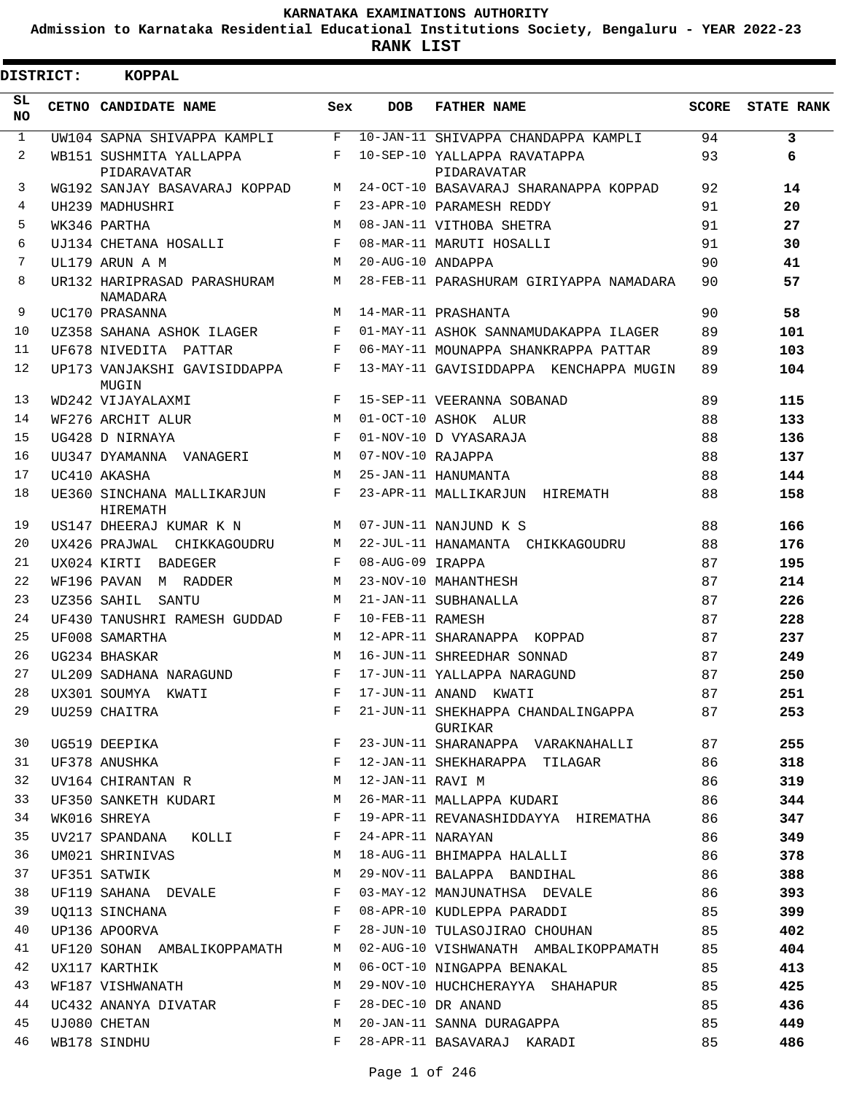**Admission to Karnataka Residential Educational Institutions Society, Bengaluru - YEAR 2022-23**

**RANK LIST**

 $\overline{\phantom{a}}$ 

| <b>DISTRICT:</b> | KOPPAL                                  |              |                   |                                               |       |                   |
|------------------|-----------------------------------------|--------------|-------------------|-----------------------------------------------|-------|-------------------|
| SL<br><b>NO</b>  | CETNO CANDIDATE NAME                    | Sex          | <b>DOB</b>        | <b>FATHER NAME</b>                            | SCORE | <b>STATE RANK</b> |
| $\mathbf{1}$     | UW104 SAPNA SHIVAPPA KAMPLI             | F            |                   | 10-JAN-11 SHIVAPPA CHANDAPPA KAMPLI           | 94    | 3                 |
| 2                | WB151 SUSHMITA YALLAPPA<br>PIDARAVATAR  | F            |                   | 10-SEP-10 YALLAPPA RAVATAPPA<br>PIDARAVATAR   | 93    | 6                 |
| 3                | WG192 SANJAY BASAVARAJ KOPPAD           | M            |                   | 24-OCT-10 BASAVARAJ SHARANAPPA KOPPAD         | 92    | 14                |
| 4                | UH239 MADHUSHRI                         | $\mathbf{F}$ |                   | 23-APR-10 PARAMESH REDDY                      | 91    | 20                |
| 5                | WK346 PARTHA                            | M            |                   | 08-JAN-11 VITHOBA SHETRA                      | 91    | 27                |
| 6                | UJ134 CHETANA HOSALLI                   | F            |                   | 08-MAR-11 MARUTI HOSALLI                      | 91    | 30                |
| 7                | UL179 ARUN A M                          | M            | 20-AUG-10 ANDAPPA |                                               | 90    | 41                |
| 8                | UR132 HARIPRASAD PARASHURAM<br>NAMADARA | M            |                   | 28-FEB-11 PARASHURAM GIRIYAPPA NAMADARA       | 90    | 57                |
| 9                | UC170 PRASANNA                          | M            |                   | 14-MAR-11 PRASHANTA                           | 90    | 58                |
| 10               | UZ358 SAHANA ASHOK ILAGER               | F            |                   | 01-MAY-11 ASHOK SANNAMUDAKAPPA ILAGER         | 89    | 101               |
| 11               | UF678 NIVEDITA PATTAR                   | F            |                   | 06-MAY-11 MOUNAPPA SHANKRAPPA PATTAR          | 89    | 103               |
| $12 \,$          | UP173 VANJAKSHI GAVISIDDAPPA<br>MUGIN   | F            |                   | 13-MAY-11 GAVISIDDAPPA KENCHAPPA MUGIN        | 89    | 104               |
| 13               | WD242 VIJAYALAXMI                       | F            |                   | 15-SEP-11 VEERANNA SOBANAD                    | 89    | 115               |
| 14               | WF276 ARCHIT ALUR                       | M            |                   | 01-OCT-10 ASHOK ALUR                          | 88    | 133               |
| 15               | UG428 D NIRNAYA                         | F            |                   | 01-NOV-10 D VYASARAJA                         | 88    | 136               |
| 16               | UU347 DYAMANNA VANAGERI                 | M            | 07-NOV-10 RAJAPPA |                                               | 88    | 137               |
| 17               | UC410 AKASHA                            | M            |                   | 25-JAN-11 HANUMANTA                           | 88    | 144               |
| 18               | UE360 SINCHANA MALLIKARJUN<br>HIREMATH  | $\mathbf{F}$ |                   | 23-APR-11 MALLIKARJUN HIREMATH                | 88    | 158               |
| 19               | US147 DHEERAJ KUMAR K N                 | M            |                   | 07-JUN-11 NANJUND K S                         | 88    | 166               |
| 20               | UX426 PRAJWAL CHIKKAGOUDRU              | M            |                   | 22-JUL-11 HANAMANTA CHIKKAGOUDRU              | 88    | 176               |
| 21               | UX024 KIRTI BADEGER                     | F            | 08-AUG-09 IRAPPA  |                                               | 87    | 195               |
| 22               | WF196 PAVAN M RADDER                    | M            |                   | 23-NOV-10 MAHANTHESH                          | 87    | 214               |
| 23               | UZ356 SAHIL<br>SANTU                    | M            |                   | 21-JAN-11 SUBHANALLA                          | 87    | 226               |
| 24               | UF430 TANUSHRI RAMESH GUDDAD            | F            | 10-FEB-11 RAMESH  |                                               | 87    | 228               |
| 25               | UF008 SAMARTHA                          | M            |                   | 12-APR-11 SHARANAPPA KOPPAD                   | 87    | 237               |
| 26               | UG234 BHASKAR                           | M            |                   | 16-JUN-11 SHREEDHAR SONNAD                    | 87    | 249               |
| 27               | UL209 SADHANA NARAGUND                  | F            |                   | 17-JUN-11 YALLAPPA NARAGUND                   | 87    | 250               |
| 28               | UX301 SOUMYA KWATI                      | F            |                   | 17-JUN-11 ANAND KWATI                         | 87    | 251               |
| 29               | UU259 CHAITRA                           | $F$ and $F$  |                   | 21-JUN-11 SHEKHAPPA CHANDALINGAPPA<br>GURIKAR | 87    | 253               |
| 30               | UG519 DEEPIKA                           | $\mathbf{F}$ |                   | 23-JUN-11 SHARANAPPA VARAKNAHALLI             | 87    | 255               |
| 31               | UF378 ANUSHKA                           | $\mathbf{F}$ |                   | 12-JAN-11 SHEKHARAPPA TILAGAR                 | 86    | 318               |
| 32               | UV164 CHIRANTAN R                       | M            | 12-JAN-11 RAVI M  |                                               | 86    | 319               |
| 33               | UF350 SANKETH KUDARI M                  |              |                   | 26-MAR-11 MALLAPPA KUDARI                     | 86    | 344               |
| 34               | WK016 SHREYA                            | $\mathbf{F}$ |                   | 19-APR-11 REVANASHIDDAYYA HIREMATHA           | 86    | 347               |
| 35               | UV217 SPANDANA KOLLI                    | F            | 24-APR-11 NARAYAN |                                               | 86    | 349               |
| 36               | UM021 SHRINIVAS                         | M            |                   | 18-AUG-11 BHIMAPPA HALALLI                    | 86    | 378               |
| 37               | UF351 SATWIK                            | M            |                   | 29-NOV-11 BALAPPA BANDIHAL                    | 86    | 388               |
| 38               | UF119 SAHANA DEVALE                     | F            |                   | 03-MAY-12 MANJUNATHSA DEVALE                  | 86    | 393               |
| 39               | UO113 SINCHANA                          | $\mathbf{F}$ |                   | 08-APR-10 KUDLEPPA PARADDI                    | 85    | 399               |
| 40               | UP136 APOORVA                           | F            |                   | 28-JUN-10 TULASOJIRAO CHOUHAN                 | 85    | 402               |
| 41               | UF120 SOHAN AMBALIKOPPAMATH M           |              |                   | 02-AUG-10 VISHWANATH AMBALIKOPPAMATH 85       |       | 404               |
| 42               | UX117 KARTHIK                           | M            |                   | 06-OCT-10 NINGAPPA BENAKAL                    | 85    | 413               |
| 43               | WF187 VISHWANATH                        | М            |                   | 29-NOV-10 HUCHCHERAYYA SHAHAPUR               | 85    | 425               |
| 44               | UC432 ANANYA DIVATAR                    | $\mathbf{F}$ |                   | 28-DEC-10 DR ANAND                            | 85    | 436               |
| 45               | UJ080 CHETAN                            | M            |                   | 20-JAN-11 SANNA DURAGAPPA                     | 85    | 449               |
| 46               | WB178 SINDHU                            | F            |                   | 28-APR-11 BASAVARAJ KARADI                    | 85    | 486               |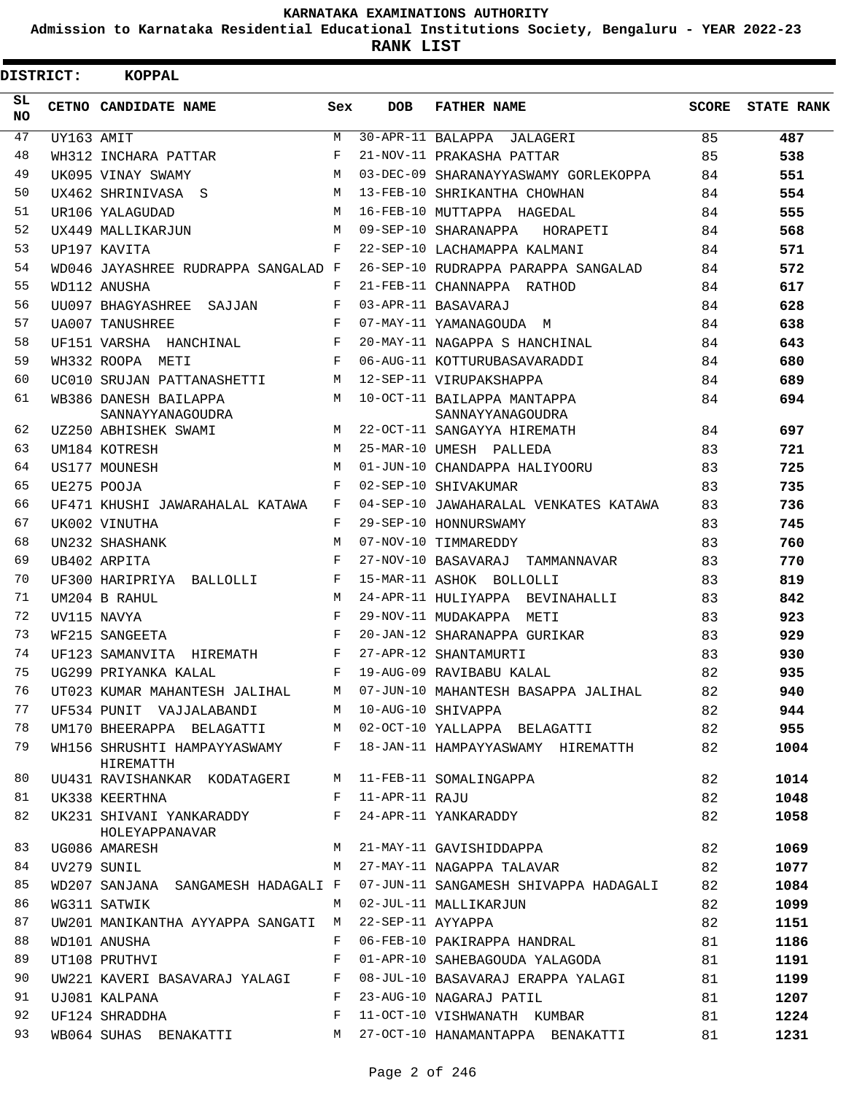**Admission to Karnataka Residential Educational Institutions Society, Bengaluru - YEAR 2022-23**

**RANK LIST**

| SL<br><b>NO</b> |            | CETNO CANDIDATE NAME                       |     |                   |                                                 |       |                   |
|-----------------|------------|--------------------------------------------|-----|-------------------|-------------------------------------------------|-------|-------------------|
|                 |            |                                            | Sex | <b>DOB</b>        | <b>FATHER NAME</b>                              | SCORE | <b>STATE RANK</b> |
| 47              | UY163 AMIT |                                            | M   |                   | 30-APR-11 BALAPPA JALAGERI                      | 85    | 487               |
| 48              |            | WH312 INCHARA PATTAR                       | F   |                   | 21-NOV-11 PRAKASHA PATTAR                       | 85    | 538               |
| 49              |            | UK095 VINAY SWAMY                          | M   |                   | 03-DEC-09 SHARANAYYASWAMY GORLEKOPPA            | 84    | 551               |
| 50              |            | UX462 SHRINIVASA S                         | M   |                   | 13-FEB-10 SHRIKANTHA CHOWHAN                    | 84    | 554               |
| 51              |            | UR106 YALAGUDAD                            | M   |                   | 16-FEB-10 MUTTAPPA HAGEDAL                      | 84    | 555               |
| 52              |            | UX449 MALLIKARJUN                          | M   |                   | 09-SEP-10 SHARANAPPA HORAPETI                   | 84    | 568               |
| 53              |            | UP197 KAVITA                               | F   |                   | 22-SEP-10 LACHAMAPPA KALMANI                    | 84    | 571               |
| 54              |            | WD046 JAYASHREE RUDRAPPA SANGALAD F        |     |                   | 26-SEP-10 RUDRAPPA PARAPPA SANGALAD             | 84    | 572               |
| 55              |            | WD112 ANUSHA                               | F   |                   | 21-FEB-11 CHANNAPPA RATHOD                      | 84    | 617               |
| 56              |            | UU097 BHAGYASHREE SAJJAN                   | F   |                   | 03-APR-11 BASAVARAJ                             | 84    | 628               |
| 57              |            | <b>UA007 TANUSHREE</b>                     | F   |                   | 07-MAY-11 YAMANAGOUDA M                         | 84    | 638               |
| 58              |            | UF151 VARSHA HANCHINAL                     | F   |                   | 20-MAY-11 NAGAPPA S HANCHINAL                   | 84    | 643               |
| 59              |            | WH332 ROOPA METI                           | F   |                   | 06-AUG-11 KOTTURUBASAVARADDI                    | 84    | 680               |
| 60              |            | UC010 SRUJAN PATTANASHETTI                 | M   |                   | 12-SEP-11 VIRUPAKSHAPPA                         | 84    | 689               |
| 61              |            | WB386 DANESH BAILAPPA<br>SANNAYYANAGOUDRA  | M   |                   | 10-OCT-11 BAILAPPA MANTAPPA<br>SANNAYYANAGOUDRA | 84    | 694               |
| 62              |            | UZ250 ABHISHEK SWAMI                       | M   |                   | 22-OCT-11 SANGAYYA HIREMATH                     | 84    | 697               |
| 63              |            | UM184 KOTRESH                              | M   |                   | 25-MAR-10 UMESH PALLEDA                         | 83    | 721               |
| 64              |            | US177 MOUNESH                              | M   |                   | 01-JUN-10 CHANDAPPA HALIYOORU                   | 83    | 725               |
| 65              |            | UE275 POOJA                                | F   |                   | 02-SEP-10 SHIVAKUMAR                            | 83    | 735               |
| 66              |            | UF471 KHUSHI JAWARAHALAL KATAWA            | F   |                   | 04-SEP-10 JAWAHARALAL VENKATES KATAWA           | 83    | 736               |
| 67              |            | UK002 VINUTHA                              | F   |                   | 29-SEP-10 HONNURSWAMY                           | 83    | 745               |
| 68              |            | UN232 SHASHANK                             | M   |                   | 07-NOV-10 TIMMAREDDY                            | 83    | 760               |
| 69              |            | UB402 ARPITA                               | F   |                   | 27-NOV-10 BASAVARAJ TAMMANNAVAR                 | 83    | 770               |
| 70              |            | UF300 HARIPRIYA BALLOLLI                   | F   |                   | 15-MAR-11 ASHOK BOLLOLLI                        | 83    | 819               |
| 71              |            | UM204 B RAHUL                              | M   |                   | 24-APR-11 HULIYAPPA BEVINAHALLI                 | 83    | 842               |
| 72              |            | UV115 NAVYA                                | F   |                   | 29-NOV-11 MUDAKAPPA METI                        | 83    | 923               |
| 73              |            | WF215 SANGEETA                             | F   |                   | 20-JAN-12 SHARANAPPA GURIKAR                    | 83    | 929               |
| 74              |            | UF123 SAMANVITA HIREMATH                   | F   |                   | 27-APR-12 SHANTAMURTI                           | 83    | 930               |
| 75              |            | UG299 PRIYANKA KALAL                       | F   |                   | 19-AUG-09 RAVIBABU KALAL                        | 82    | 935               |
| 76              |            | UT023 KUMAR MAHANTESH JALIHAL              | M   |                   | 07-JUN-10 MAHANTESH BASAPPA JALIHAL             | 82    | 940               |
| 77              |            | UF534 PUNIT VAJJALABANDI                   | M   |                   | 10-AUG-10 SHIVAPPA                              | 82    | 944               |
| 78              |            | UM170 BHEERAPPA BELAGATTI                  |     |                   | M 02-OCT-10 YALLAPPA BELAGATTI                  | 82    | 955               |
| 79              |            | WH156 SHRUSHTI HAMPAYYASWAMY<br>HIREMATTH  |     |                   | F 18-JAN-11 HAMPAYYASWAMY HIREMATTH             | 82    | 1004              |
| 80              |            | UU431 RAVISHANKAR KODATAGERI               | M   |                   | 11-FEB-11 SOMALINGAPPA                          | 82    | 1014              |
| 81              |            | UK338 KEERTHNA                             | F   | 11-APR-11 RAJU    |                                                 | 82    | 1048              |
| 82              |            | UK231 SHIVANI YANKARADDY<br>HOLEYAPPANAVAR | F   |                   | 24-APR-11 YANKARADDY                            | 82    | 1058              |
| 83              |            | UG086 AMARESH                              | M   |                   | 21-MAY-11 GAVISHIDDAPPA                         | 82    | 1069              |
| 84              |            | UV279 SUNIL                                | M   |                   | 27-MAY-11 NAGAPPA TALAVAR                       | 82    | 1077              |
| 85              |            | WD207 SANJANA SANGAMESH HADAGALI F         |     |                   | 07-JUN-11 SANGAMESH SHIVAPPA HADAGALI           | 82    | 1084              |
| 86              |            | WG311 SATWIK                               | M   |                   | 02-JUL-11 MALLIKARJUN                           | 82    | 1099              |
| 87              |            | UW201 MANIKANTHA AYYAPPA SANGATI           | M   | 22-SEP-11 AYYAPPA |                                                 | 82    | 1151              |
| 88              |            | WD101 ANUSHA                               | F   |                   | 06-FEB-10 PAKIRAPPA HANDRAL                     | 81    | 1186              |
| 89              |            | UT108 PRUTHVI                              | F   |                   | 01-APR-10 SAHEBAGOUDA YALAGODA                  | 81    | 1191              |
| 90              |            | UW221 KAVERI BASAVARAJ YALAGI              | F   |                   | 08-JUL-10 BASAVARAJ ERAPPA YALAGI               | 81    | 1199              |
| 91              |            | UJ081 KALPANA                              | F   |                   | 23-AUG-10 NAGARAJ PATIL                         | 81    | 1207              |
| 92              |            | UF124 SHRADDHA                             | F   |                   | 11-OCT-10 VISHWANATH KUMBAR                     | 81    | 1224              |
| 93              |            | WB064 SUHAS BENAKATTI                      | M   |                   | 27-OCT-10 HANAMANTAPPA BENAKATTI                | 81    | 1231              |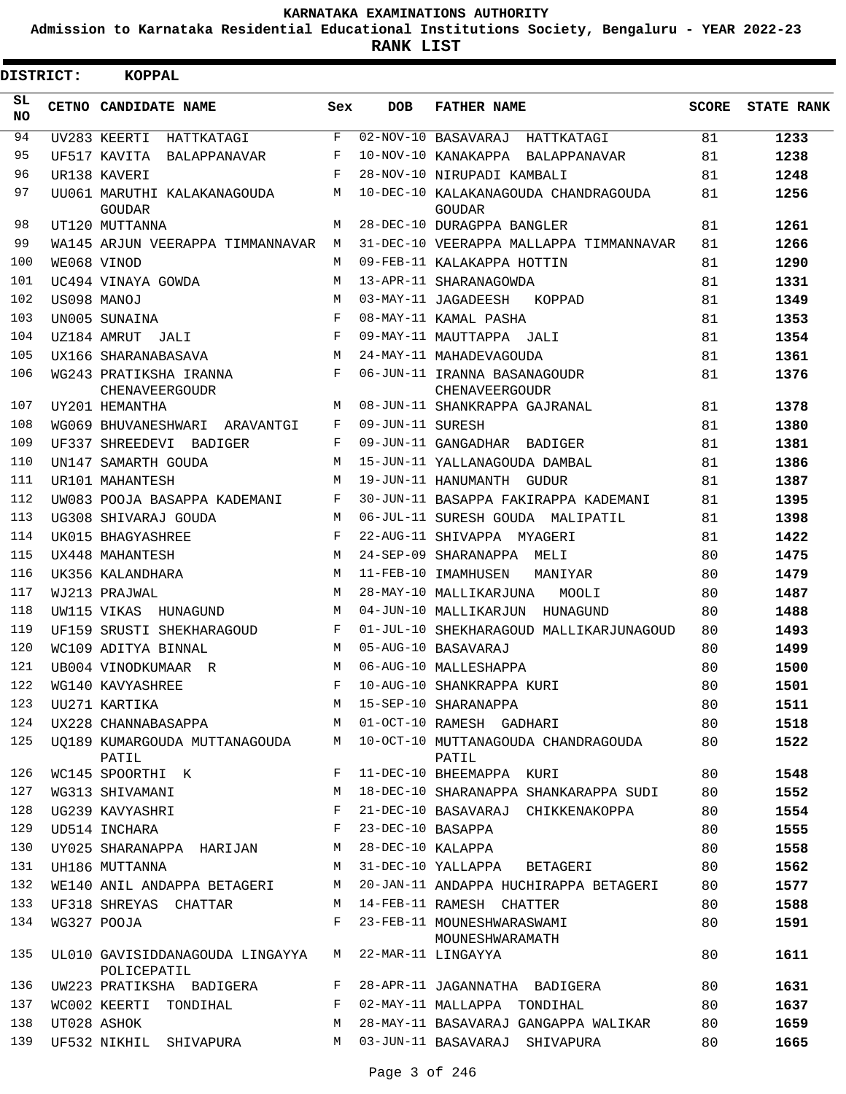**Admission to Karnataka Residential Educational Institutions Society, Bengaluru - YEAR 2022-23**

| <b>DISTRICT:</b> | <b>KOPPAL</b>                                                       |              |                  |                                                                              |              |                   |
|------------------|---------------------------------------------------------------------|--------------|------------------|------------------------------------------------------------------------------|--------------|-------------------|
| SL<br><b>NO</b>  | CETNO CANDIDATE NAME                                                | Sex          | <b>DOB</b>       | <b>FATHER NAME</b>                                                           | <b>SCORE</b> | <b>STATE RANK</b> |
| 94               | UV283 KEERTI<br>HATTKATAGI                                          | F            |                  | 02-NOV-10 BASAVARAJ HATTKATAGI                                               | 81           | 1233              |
| 95               | UF517 KAVITA<br>BALAPPANAVAR                                        | F            |                  | 10-NOV-10 KANAKAPPA BALAPPANAVAR                                             | 81           | 1238              |
| 96               | UR138 KAVERI                                                        | $_{\rm F}$   |                  | 28-NOV-10 NIRUPADI KAMBALI                                                   | 81           | 1248              |
| 97               | UU061 MARUTHI KALAKANAGOUDA<br>GOUDAR                               | M            |                  | 10-DEC-10 KALAKANAGOUDA CHANDRAGOUDA<br>GOUDAR                               | 81           | 1256              |
| 98               | UT120 MUTTANNA                                                      | M            |                  | 28-DEC-10 DURAGPPA BANGLER                                                   | 81           | 1261              |
| 99               | WA145 ARJUN VEERAPPA TIMMANNAVAR                                    | M            |                  | 31-DEC-10 VEERAPPA MALLAPPA TIMMANNAVAR                                      | 81           | 1266              |
| 100              | WE068 VINOD                                                         | M            |                  | 09-FEB-11 KALAKAPPA HOTTIN                                                   | 81           | 1290              |
| 101              | UC494 VINAYA GOWDA                                                  | M            |                  | 13-APR-11 SHARANAGOWDA                                                       | 81           | 1331              |
| 102              | US098 MANOJ                                                         | M            |                  | 03-MAY-11 JAGADEESH<br>KOPPAD                                                | 81           | 1349              |
| 103              | UN005 SUNAINA                                                       | $_{\rm F}$   |                  | 08-MAY-11 KAMAL PASHA                                                        | 81           | 1353              |
| 104              | UZ184 AMRUT JALI                                                    | $_{\rm F}$   |                  | 09-MAY-11 MAUTTAPPA JALI                                                     | 81           | 1354              |
| 105              | UX166 SHARANABASAVA                                                 | M            |                  | 24-MAY-11 MAHADEVAGOUDA                                                      | 81           | 1361              |
| 106              | WG243 PRATIKSHA IRANNA<br>CHENAVEERGOUDR                            | F            |                  | 06-JUN-11 IRANNA BASANAGOUDR<br><b>CHENAVEERGOUDR</b>                        | 81           | 1376              |
| 107              | UY201 HEMANTHA                                                      | М            |                  | 08-JUN-11 SHANKRAPPA GAJRANAL                                                | 81           | 1378              |
| 108              | WG069 BHUVANESHWARI ARAVANTGI                                       | F            | 09-JUN-11 SURESH |                                                                              | 81           | 1380              |
| 109              | UF337 SHREEDEVI BADIGER                                             | F            |                  | 09-JUN-11 GANGADHAR BADIGER                                                  | 81           | 1381              |
| 110              | UN147 SAMARTH GOUDA                                                 | M            |                  | 15-JUN-11 YALLANAGOUDA DAMBAL                                                | 81           | 1386              |
| 111              | UR101 MAHANTESH                                                     | M            |                  | 19-JUN-11 HANUMANTH GUDUR                                                    | 81           | 1387              |
| 112              | UW083 POOJA BASAPPA KADEMANI                                        | F            |                  | 30-JUN-11 BASAPPA FAKIRAPPA KADEMANI                                         | 81           | 1395              |
| 113              | UG308 SHIVARAJ GOUDA                                                | M            |                  | 06-JUL-11 SURESH GOUDA MALIPATIL                                             | 81           | 1398              |
| 114              | UK015 BHAGYASHREE                                                   | F            |                  | 22-AUG-11 SHIVAPPA MYAGERI                                                   | 81           | 1422              |
| 115              | UX448 MAHANTESH                                                     | M            |                  | 24-SEP-09 SHARANAPPA MELI                                                    | 80           | 1475              |
| 116              | UK356 KALANDHARA                                                    | M            |                  | 11-FEB-10 IMAMHUSEN<br>MANIYAR                                               | 80           | 1479              |
| 117              | WJ213 PRAJWAL                                                       | M            |                  | 28-MAY-10 MALLIKARJUNA<br>MOOLI                                              | 80           | 1487              |
| 118              | UW115 VIKAS<br>HUNAGUND                                             | M            |                  | 04-JUN-10 MALLIKARJUN HUNAGUND                                               | 80           | 1488              |
| 119              | UF159 SRUSTI SHEKHARAGOUD                                           | F            |                  | 01-JUL-10 SHEKHARAGOUD MALLIKARJUNAGOUD                                      | 80           | 1493              |
| 120              | WC109 ADITYA BINNAL                                                 | M            |                  | 05-AUG-10 BASAVARAJ                                                          | 80           | 1499              |
| 121              | UB004 VINODKUMAAR R                                                 | M            |                  | 06-AUG-10 MALLESHAPPA                                                        | 80           | 1500              |
| 122              | WG140 KAVYASHREE                                                    |              |                  | F 10-AUG-10 SHANKRAPPA KURI                                                  | 80           | 1501              |
| 123              | UU271 KARTIKA                                                       |              |                  | M 15-SEP-10 SHARANAPPA                                                       | 80           | 1511              |
| 124              |                                                                     |              |                  | UX228 CHANNABASAPPA M 01-OCT-10 RAMESH GADHARI                               | 80           | 1518              |
| 125              | PATIL                                                               |              |                  | UQ189 KUMARGOUDA MUTTANAGOUDA M 10-OCT-10 MUTTANAGOUDA CHANDRAGOUDA<br>PATIL | 80           | 1522              |
| 126              | WC145 SPOORTHI K                                                    | $F$ and      |                  | 11-DEC-10 BHEEMAPPA KURI                                                     | 80           | 1548              |
| 127              | WG313 SHIVAMANI<br><b>M</b>                                         |              |                  | 18-DEC-10 SHARANAPPA SHANKARAPPA SUDI                                        | 80           | 1552              |
| 128              | $\mathbf{F}$ and $\mathbf{F}$<br>UG239 KAVYASHRI                    |              |                  | 21-DEC-10 BASAVARAJ CHIKKENAKOPPA                                            | 80           | 1554              |
| 129              | UD514 INCHARA                                                       | $\mathbf{F}$ |                  | 23-DEC-10 BASAPPA                                                            | 80           | 1555              |
| 130              | UY025 SHARANAPPA HARIJAN                                            | M            |                  | 28-DEC-10 KALAPPA                                                            | 80           | 1558              |
| 131              | UH186 MUTTANNA                                                      | M            |                  | 31-DEC-10 YALLAPPA BETAGERI                                                  | 80           | 1562              |
| 132              | WE140 ANIL ANDAPPA BETAGERI M                                       |              |                  | 20-JAN-11 ANDAPPA HUCHIRAPPA BETAGERI                                        | 80           | 1577              |
| 133              | UF318 SHREYAS CHATTAR                                               | M            |                  | 14-FEB-11 RAMESH CHATTER                                                     | 80           | 1588              |
| 134              | WG327 POOJA                                                         | $F -$        |                  | 23-FEB-11 MOUNESHWARASWAMI<br>MOUNESHWARAMATH                                | 80           | 1591              |
| 135              | UL010 GAVISIDDANAGOUDA LINGAYYA M 22-MAR-11 LINGAYYA<br>POLICEPATIL |              |                  |                                                                              | 80           | 1611              |
| 136              | UW223 PRATIKSHA BADIGERA                                            |              |                  | F 28-APR-11 JAGANNATHA BADIGERA                                              | 80           | 1631              |
| 137              | WC002 KEERTI TONDIHAL                                               |              |                  | F 02-MAY-11 MALLAPPA TONDIHAL                                                | 80           | 1637              |
| 138              | UT028 ASHOK                                                         | M            |                  | 28-MAY-11 BASAVARAJ GANGAPPA WALIKAR                                         | 80           | 1659              |
| 139              | UF532 NIKHIL SHIVAPURA                                              | M            |                  | 03-JUN-11 BASAVARAJ SHIVAPURA                                                | 80           | 1665              |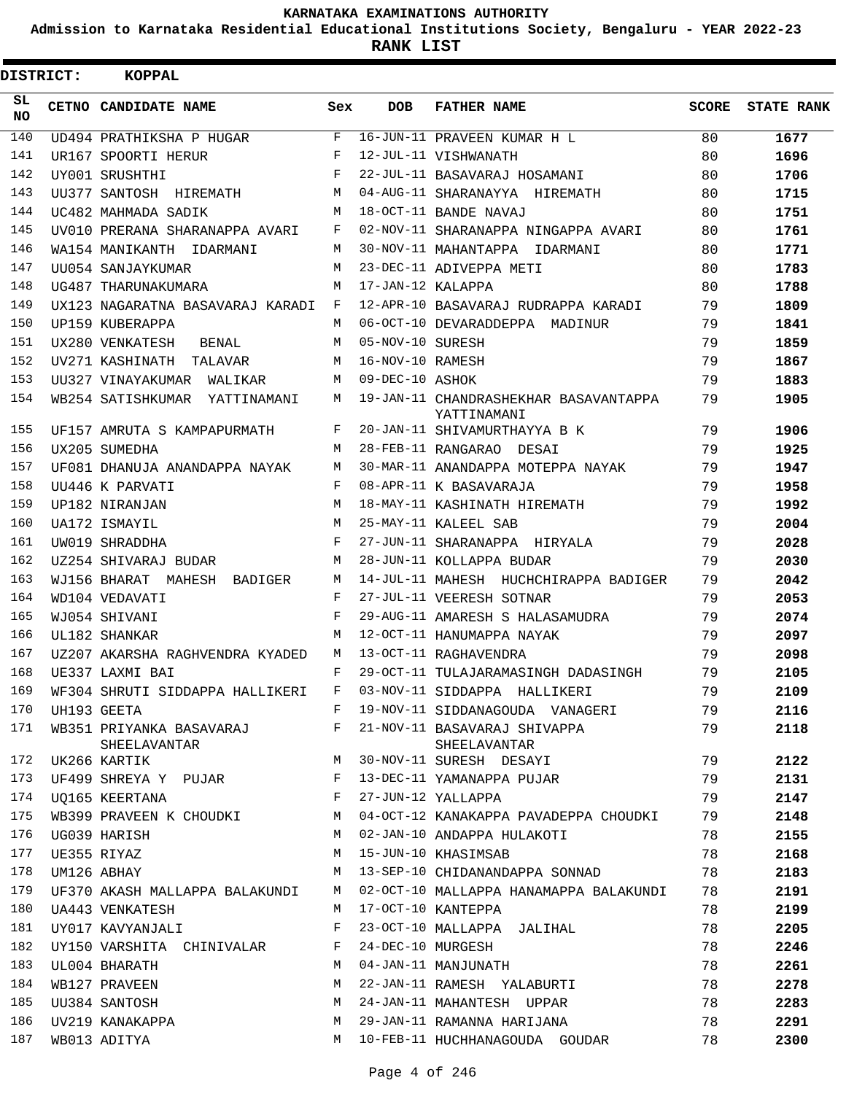**Admission to Karnataka Residential Educational Institutions Society, Bengaluru - YEAR 2022-23**

**RANK LIST**

| <b>DISTRICT:</b> | KOPPAL                                   |              |                   |                                                                 |       |                   |
|------------------|------------------------------------------|--------------|-------------------|-----------------------------------------------------------------|-------|-------------------|
| SL<br><b>NO</b>  | CETNO CANDIDATE NAME                     | Sex          | <b>DOB</b>        | <b>FATHER NAME</b>                                              | SCORE | <b>STATE RANK</b> |
| 140              | UD494 PRATHIKSHA P HUGAR                 | F            |                   | 16-JUN-11 PRAVEEN KUMAR H L                                     | 80    | 1677              |
| 141              | UR167 SPOORTI HERUR                      | F            |                   | 12-JUL-11 VISHWANATH                                            | 80    | 1696              |
| 142              | UY001 SRUSHTHI                           | F            |                   | 22-JUL-11 BASAVARAJ HOSAMANI                                    | 80    | 1706              |
| 143              | UU377 SANTOSH HIREMATH                   | M            |                   | 04-AUG-11 SHARANAYYA HIREMATH                                   | 80    | 1715              |
| 144              | UC482 MAHMADA SADIK                      | M            |                   | 18-OCT-11 BANDE NAVAJ                                           | 80    | 1751              |
| 145              | UV010 PRERANA SHARANAPPA AVARI           | $\mathbf{F}$ |                   | 02-NOV-11 SHARANAPPA NINGAPPA AVARI                             | 80    | 1761              |
| 146              | WA154 MANIKANTH IDARMANI                 | M            |                   | 30-NOV-11 MAHANTAPPA IDARMANI                                   | 80    | 1771              |
| 147              | UU054 SANJAYKUMAR                        | M            |                   | 23-DEC-11 ADIVEPPA METI                                         | 80    | 1783              |
| 148              | UG487 THARUNAKUMARA                      | м            | 17-JAN-12 KALAPPA |                                                                 | 80    | 1788              |
| 149              | UX123 NAGARATNA BASAVARAJ KARADI F       |              |                   | 12-APR-10 BASAVARAJ RUDRAPPA KARADI                             | 79    | 1809              |
| 150              | UP159 KUBERAPPA                          | M            |                   | 06-OCT-10 DEVARADDEPPA MADINUR                                  | 79    | 1841              |
| 151              | UX280 VENKATESH<br>BENAL                 | M            | 05-NOV-10 SURESH  |                                                                 | 79    | 1859              |
| 152              | UV271 KASHINATH TALAVAR                  | M            | 16-NOV-10 RAMESH  |                                                                 | 79    | 1867              |
| 153              | UU327 VINAYAKUMAR WALIKAR                | M            | 09-DEC-10 ASHOK   |                                                                 | 79    | 1883              |
| 154              | WB254 SATISHKUMAR YATTINAMANI            | M            |                   | 19-JAN-11 CHANDRASHEKHAR BASAVANTAPPA<br>YATTINAMANI            | 79    | 1905              |
| 155              | UF157 AMRUTA S KAMPAPURMATH              | F            |                   | 20-JAN-11 SHIVAMURTHAYYA B K                                    | 79    | 1906              |
| 156              | UX205 SUMEDHA                            | M            |                   | 28-FEB-11 RANGARAO DESAI                                        | 79    | 1925              |
| 157              | UF081 DHANUJA ANANDAPPA NAYAK            | М            |                   | 30-MAR-11 ANANDAPPA MOTEPPA NAYAK                               | 79    | 1947              |
| 158              | UU446 K PARVATI                          | F            |                   | 08-APR-11 K BASAVARAJA                                          | 79    | 1958              |
| 159              | UP182 NIRANJAN                           | M            |                   | 18-MAY-11 KASHINATH HIREMATH                                    | 79    | 1992              |
| 160              | UA172 ISMAYIL                            | м            |                   | 25-MAY-11 KALEEL SAB                                            | 79    | 2004              |
| 161              | UW019 SHRADDHA                           | F            |                   | 27-JUN-11 SHARANAPPA HIRYALA                                    | 79    | 2028              |
| 162              | UZ254 SHIVARAJ BUDAR                     | M            |                   | 28-JUN-11 KOLLAPPA BUDAR                                        | 79    | 2030              |
| 163              | WJ156 BHARAT MAHESH BADIGER              | M            |                   | 14-JUL-11 MAHESH HUCHCHIRAPPA BADIGER                           | 79    | 2042              |
| 164              | WD104 VEDAVATI                           | $_{\rm F}$   |                   | 27-JUL-11 VEERESH SOTNAR                                        | 79    | 2053              |
| 165              | WJ054 SHIVANI                            | F            |                   | 29-AUG-11 AMARESH S HALASAMUDRA                                 | 79    | 2074              |
| 166              | UL182 SHANKAR                            | M            |                   | 12-OCT-11 HANUMAPPA NAYAK                                       | 79    | 2097              |
| 167              | UZ207 AKARSHA RAGHVENDRA KYADED          | M            |                   | 13-OCT-11 RAGHAVENDRA                                           | 79    | 2098              |
| 168              | UE337 LAXMI BAI                          | F            |                   | 29-OCT-11 TULAJARAMASINGH DADASINGH                             | 79    | 2105              |
| 169              | WF304 SHRUTI SIDDAPPA HALLIKERI          | $\mathbf{F}$ |                   | 03-NOV-11 SIDDAPPA HALLIKERI                                    | 79    | 2109              |
| 170              | UH193 GEETA                              | $\mathbf{F}$ |                   | 19-NOV-11 SIDDANAGOUDA VANAGERI                                 | 79    | 2116              |
| 171              | WB351 PRIYANKA BASAVARAJ<br>SHEELAVANTAR | F            |                   | 21-NOV-11 BASAVARAJ SHIVAPPA<br>SHEELAVANTAR                    | 79    | 2118              |
| 172              | UK266 KARTIK                             | M            |                   | 30-NOV-11 SURESH DESAYI                                         | 79    | 2122              |
| 173              | UF499 SHREYA Y PUJAR F                   |              |                   | 13-DEC-11 YAMANAPPA PUJAR                                       | 79    | 2131              |
| 174              | <b>Example 19</b><br>UO165 KEERTANA      |              |                   | 27-JUN-12 YALLAPPA                                              | 79    | 2147              |
| 175              |                                          |              |                   | WB399 PRAVEEN K CHOUDKI M 04-OCT-12 KANAKAPPA PAVADEPPA CHOUDKI | 79    | 2148              |
| 176              | UG039 HARISH                             | M            |                   | 02-JAN-10 ANDAPPA HULAKOTI                                      | 78    | 2155              |
| 177              | UE355 RIYAZ                              | М            |                   | 15-JUN-10 KHASIMSAB                                             | 78    | 2168              |
| 178              | UM126 ABHAY                              | M            |                   | 13-SEP-10 CHIDANANDAPPA SONNAD                                  | 78    | 2183              |
| 179              | UF370 AKASH MALLAPPA BALAKUNDI M         |              |                   | 02-OCT-10 MALLAPPA HANAMAPPA BALAKUNDI                          | 78    | 2191              |
| 180              | UA443 VENKATESH                          | M            |                   | 17-OCT-10 KANTEPPA                                              | 78    | 2199              |
| 181              | UY017 KAVYANJALI                         | F            |                   | 23-OCT-10 MALLAPPA JALIHAL                                      | 78    | 2205              |
| 182              | UY150 VARSHITA CHINIVALAR F              |              | 24-DEC-10 MURGESH |                                                                 | 78    | 2246              |
| 183              | UL004 BHARATH                            | M            |                   | 04-JAN-11 MANJUNATH                                             | 78    | 2261              |
| 184              | WB127 PRAVEEN                            | М            |                   | 22-JAN-11 RAMESH YALABURTI                                      | 78    | 2278              |
| 185              | UU384 SANTOSH                            | М            |                   | 24-JAN-11 MAHANTESH UPPAR                                       | 78    | 2283              |
| 186              | UV219 KANAKAPPA                          | M            |                   | 29-JAN-11 RAMANNA HARIJANA                                      | 78    | 2291              |
| 187              | WB013 ADITYA                             | M            |                   | 10-FEB-11 HUCHHANAGOUDA GOUDAR                                  | 78    | 2300              |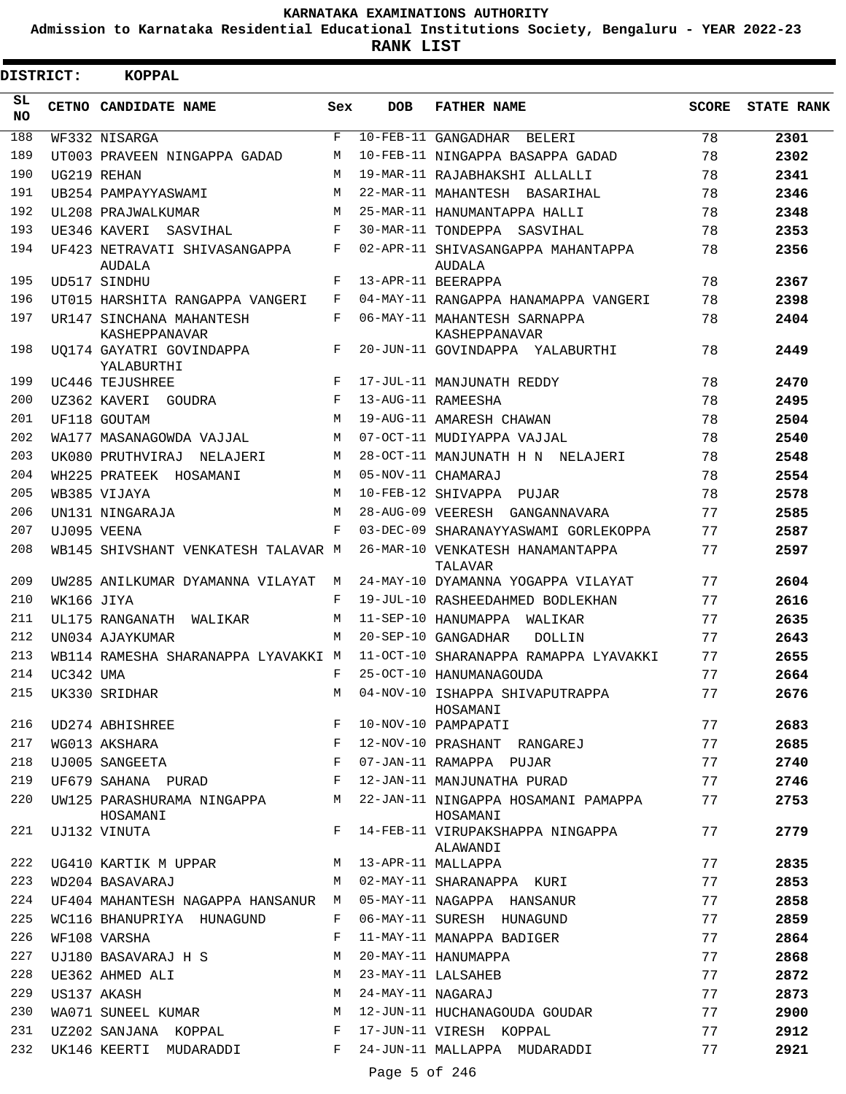**Admission to Karnataka Residential Educational Institutions Society, Bengaluru - YEAR 2022-23**

**RANK LIST**

| <b>DISTRICT:</b> |            | <b>KOPPAL</b>                             |     |                   |                                                 |              |                   |
|------------------|------------|-------------------------------------------|-----|-------------------|-------------------------------------------------|--------------|-------------------|
| SL<br>NO         |            | CETNO CANDIDATE NAME                      | Sex | <b>DOB</b>        | <b>FATHER NAME</b>                              | <b>SCORE</b> | <b>STATE RANK</b> |
| 188              |            | WF332 NISARGA                             | F   |                   | 10-FEB-11 GANGADHAR<br><b>BELERI</b>            | 78           | 2301              |
| 189              |            | UT003 PRAVEEN NINGAPPA GADAD              | M   |                   | 10-FEB-11 NINGAPPA BASAPPA GADAD                | 78           | 2302              |
| 190              |            | UG219 REHAN                               | M   |                   | 19-MAR-11 RAJABHAKSHI ALLALLI                   | 78           | 2341              |
| 191              |            | UB254 PAMPAYYASWAMI                       | M   |                   | 22-MAR-11 MAHANTESH BASARIHAL                   | 78           | 2346              |
| 192              |            | UL208 PRAJWALKUMAR                        | M   |                   | 25-MAR-11 HANUMANTAPPA HALLI                    | 78           | 2348              |
| 193              |            | UE346 KAVERI<br>SASVIHAL                  | F   |                   | 30-MAR-11 TONDEPPA SASVIHAL                     | 78           | 2353              |
| 194              |            | UF423 NETRAVATI SHIVASANGAPPA<br>AUDALA   | F   |                   | 02-APR-11 SHIVASANGAPPA MAHANTAPPA<br>AUDALA    | 78           | 2356              |
| 195              |            | UD517 SINDHU                              | F   |                   | 13-APR-11 BEERAPPA                              | 78           | 2367              |
| 196              |            | UT015 HARSHITA RANGAPPA VANGERI           | F   |                   | 04-MAY-11 RANGAPPA HANAMAPPA VANGERI            | 78           | 2398              |
| 197              |            | UR147 SINCHANA MAHANTESH<br>KASHEPPANAVAR | F   |                   | 06-MAY-11 MAHANTESH SARNAPPA<br>KASHEPPANAVAR   | 78           | 2404              |
| 198              |            | UO174 GAYATRI GOVINDAPPA<br>YALABURTHI    | F   |                   | 20-JUN-11 GOVINDAPPA YALABURTHI                 | 78           | 2449              |
| 199              |            | UC446 TEJUSHREE                           | F   |                   | 17-JUL-11 MANJUNATH REDDY                       | 78           | 2470              |
| 200              |            | UZ362 KAVERI<br>GOUDRA                    | F   |                   | 13-AUG-11 RAMEESHA                              | 78           | 2495              |
| 201              |            | UF118 GOUTAM                              | M   |                   | 19-AUG-11 AMARESH CHAWAN                        | 78           | 2504              |
| 202              |            | WA177 MASANAGOWDA VAJJAL                  | M   |                   | 07-OCT-11 MUDIYAPPA VAJJAL                      | 78           | 2540              |
| 203              |            | UK080 PRUTHVIRAJ<br>NELAJERI              | M   |                   | 28-OCT-11 MANJUNATH H N NELAJERI                | 78           | 2548              |
| 204              |            | WH225 PRATEEK HOSAMANI                    | М   |                   | 05-NOV-11 CHAMARAJ                              | 78           | 2554              |
| 205              |            | WB385 VIJAYA                              | M   |                   | 10-FEB-12 SHIVAPPA PUJAR                        | 78           | 2578              |
| 206              |            | UN131 NINGARAJA                           | M   |                   | 28-AUG-09 VEERESH GANGANNAVARA                  | 77           | 2585              |
| 207              |            | UJ095 VEENA                               | F   |                   | 03-DEC-09 SHARANAYYASWAMI GORLEKOPPA            | 77           | 2587              |
| 208              |            | WB145 SHIVSHANT VENKATESH TALAVAR M       |     |                   | 26-MAR-10 VENKATESH HANAMANTAPPA<br>TALAVAR     | 77           | 2597              |
| 209              |            | UW285 ANILKUMAR DYAMANNA VILAYAT          | М   |                   | 24-MAY-10 DYAMANNA YOGAPPA VILAYAT              | 77           | 2604              |
| 210              | WK166 JIYA |                                           | F   |                   | 19-JUL-10 RASHEEDAHMED BODLEKHAN                | 77           | 2616              |
| 211              |            | UL175 RANGANATH<br>WALIKAR                | M   |                   | 11-SEP-10 HANUMAPPA<br>WALIKAR                  | 77           | 2635              |
| 212              |            | UN034 AJAYKUMAR                           | M   |                   | 20-SEP-10 GANGADHAR<br>DOLLIN                   | 77           | 2643              |
| 213              |            | WB114 RAMESHA SHARANAPPA LYAVAKKI M       |     |                   | 11-OCT-10 SHARANAPPA RAMAPPA LYAVAKKI           | 77           | 2655              |
| 214              | UC342 UMA  |                                           | F   |                   | 25-OCT-10 HANUMANAGOUDA                         | 77           | 2664              |
| 215              |            | UK330 SRIDHAR                             | М   |                   | 04-NOV-10 ISHAPPA SHIVAPUTRAPPA<br>HOSAMANI     | 77           | 2676              |
| 216              |            | UD274 ABHISHREE                           | F   |                   | 10-NOV-10 PAMPAPATI                             | 77           | 2683              |
| 217              |            | WG013 AKSHARA                             | F   |                   | 12-NOV-10 PRASHANT RANGAREJ                     | 77           | 2685              |
| 218              |            | UJ005 SANGEETA                            | F   |                   | 07-JAN-11 RAMAPPA PUJAR                         | 77           | 2740              |
| 219              |            | UF679 SAHANA PURAD                        | F   |                   | 12-JAN-11 MANJUNATHA PURAD                      | 77           | 2746              |
| 220              |            | UW125 PARASHURAMA NINGAPPA<br>HOSAMANI    | M   |                   | 22-JAN-11 NINGAPPA HOSAMANI PAMAPPA<br>HOSAMANI | 77           | 2753              |
| 221              |            | UJ132 VINUTA                              | F   |                   | 14-FEB-11 VIRUPAKSHAPPA NINGAPPA<br>ALAWANDI    | 77           | 2779              |
| 222              |            | UG410 KARTIK M UPPAR                      | M   |                   | 13-APR-11 MALLAPPA                              | 77           | 2835              |
| 223              |            | WD204 BASAVARAJ                           | M   |                   | 02-MAY-11 SHARANAPPA KURI                       | 77           | 2853              |
| 224              |            | UF404 MAHANTESH NAGAPPA HANSANUR M        |     |                   | 05-MAY-11 NAGAPPA HANSANUR                      | 77           | 2858              |
| 225              |            | WC116 BHANUPRIYA HUNAGUND                 | F   |                   | 06-MAY-11 SURESH HUNAGUND                       | 77           | 2859              |
| 226              |            | WF108 VARSHA                              | F   |                   | 11-MAY-11 MANAPPA BADIGER                       | 77           | 2864              |
| 227              |            | UJ180 BASAVARAJ H S                       | M   |                   | 20-MAY-11 HANUMAPPA                             | 77           | 2868              |
| 228              |            | UE362 AHMED ALI                           | М   |                   | 23-MAY-11 LALSAHEB                              | 77           | 2872              |
| 229              |            | US137 AKASH                               | М   | 24-MAY-11 NAGARAJ |                                                 | 77           | 2873              |
| 230              |            | WA071 SUNEEL KUMAR                        | M   |                   | 12-JUN-11 HUCHANAGOUDA GOUDAR                   | 77           | 2900              |
| 231              |            | UZ202 SANJANA KOPPAL                      | F   |                   | 17-JUN-11 VIRESH KOPPAL                         | 77           | 2912              |
| 232              |            | UK146 KEERTI MUDARADDI                    | F   |                   | 24-JUN-11 MALLAPPA MUDARADDI                    | 77           | 2921              |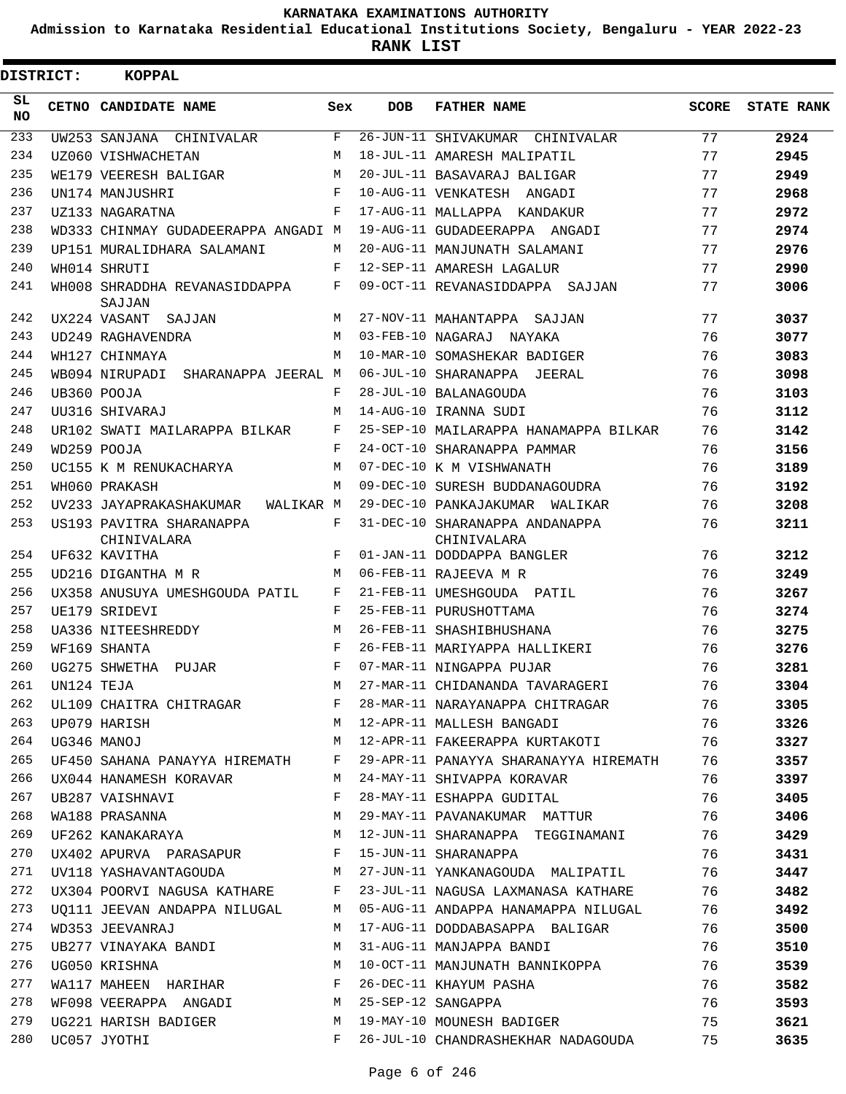**Admission to Karnataka Residential Educational Institutions Society, Bengaluru - YEAR 2022-23**

**RANK LIST**

| <b>DISTRICT:</b> |                | KOPPAL                                                            |              |            |                                                                          |              |                   |
|------------------|----------------|-------------------------------------------------------------------|--------------|------------|--------------------------------------------------------------------------|--------------|-------------------|
| SL<br><b>NO</b>  |                | CETNO CANDIDATE NAME                                              | Sex          | <b>DOB</b> | <b>FATHER NAME</b>                                                       | <b>SCORE</b> | <b>STATE RANK</b> |
| 233              |                | UW253 SANJANA CHINIVALAR                                          | F            |            | 26-JUN-11 SHIVAKUMAR CHINIVALAR                                          | 77           | 2924              |
| 234              |                | UZ060 VISHWACHETAN                                                | M            |            | 18-JUL-11 AMARESH MALIPATIL                                              | 77           | 2945              |
| 235              |                | WE179 VEERESH BALIGAR                                             | M            |            | 20-JUL-11 BASAVARAJ BALIGAR                                              | 77           | 2949              |
| 236              |                | UN174 MANJUSHRI                                                   | F            |            | 10-AUG-11 VENKATESH ANGADI                                               | 77           | 2968              |
| 237              |                | UZ133 NAGARATNA                                                   | F            |            | 17-AUG-11 MALLAPPA KANDAKUR                                              | 77           | 2972              |
| 238              |                | WD333 CHINMAY GUDADEERAPPA ANGADI M                               |              |            | 19-AUG-11 GUDADEERAPPA ANGADI                                            | 77           | 2974              |
| 239              |                | UP151 MURALIDHARA SALAMANI                                        | M            |            | 20-AUG-11 MANJUNATH SALAMANI                                             | 77           | 2976              |
| 240              |                | WH014 SHRUTI                                                      | F            |            | 12-SEP-11 AMARESH LAGALUR                                                | 77           | 2990              |
| 241              |                | WH008 SHRADDHA REVANASIDDAPPA<br>SAJJAN                           | $\mathbf{F}$ |            | 09-OCT-11 REVANASIDDAPPA SAJJAN                                          | 77           | 3006              |
| 242              |                | UX224 VASANT<br>SAJJAN                                            | M            |            | 27-NOV-11 MAHANTAPPA SAJJAN                                              | 77           | 3037              |
| 243              |                | UD249 RAGHAVENDRA                                                 | M            |            | 03-FEB-10 NAGARAJ NAYAKA                                                 | 76           | 3077              |
| 244              |                | WH127 CHINMAYA                                                    | M            |            | 10-MAR-10 SOMASHEKAR BADIGER                                             | 76           | 3083              |
| 245              |                | WB094 NIRUPADI SHARANAPPA JEERAL M                                |              |            | 06-JUL-10 SHARANAPPA JEERAL                                              | 76           | 3098              |
| 246              |                | UB360 POOJA                                                       | F            |            | 28-JUL-10 BALANAGOUDA                                                    | 76           | 3103              |
| 247              |                | UU316 SHIVARAJ                                                    | M            |            | 14-AUG-10 IRANNA SUDI                                                    | 76           | 3112              |
| 248              |                | UR102 SWATI MAILARAPPA BILKAR                                     | F            |            | 25-SEP-10 MAILARAPPA HANAMAPPA BILKAR                                    | 76           | 3142              |
| 249              |                | WD259 POOJA                                                       | F            |            | 24-OCT-10 SHARANAPPA PAMMAR                                              | 76           | 3156              |
| 250              |                | UC155 K M RENUKACHARYA                                            | M            |            | 07-DEC-10 K M VISHWANATH                                                 | 76           | 3189              |
| 251              |                | WH060 PRAKASH                                                     | M            |            | 09-DEC-10 SURESH BUDDANAGOUDRA                                           | 76           | 3192              |
| 252              |                | UV233 JAYAPRAKASHAKUMAR<br>WALIKAR M                              |              |            | 29-DEC-10 PANKAJAKUMAR WALIKAR                                           | 76           | 3208              |
| 253              |                | US193 PAVITRA SHARANAPPA<br>CHINIVALARA                           | F            |            | 31-DEC-10 SHARANAPPA ANDANAPPA<br>CHINIVALARA                            | 76           | 3211              |
| 254              |                | UF632 KAVITHA                                                     | F            |            | 01-JAN-11 DODDAPPA BANGLER                                               | 76           | 3212              |
| 255              |                | UD216 DIGANTHA M R                                                | M            |            | 06-FEB-11 RAJEEVA M R                                                    | 76           | 3249              |
| 256              |                | UX358 ANUSUYA UMESHGOUDA PATIL                                    | F            |            | 21-FEB-11 UMESHGOUDA PATIL                                               | 76           | 3267              |
| 257              |                | UE179 SRIDEVI                                                     | $_{\rm F}$   |            | 25-FEB-11 PURUSHOTTAMA                                                   | 76           | 3274              |
| 258              |                | UA336 NITEESHREDDY                                                | M            |            | 26-FEB-11 SHASHIBHUSHANA                                                 | 76           | 3275              |
| 259              |                | WF169 SHANTA                                                      | F            |            | 26-FEB-11 MARIYAPPA HALLIKERI                                            | 76           | 3276              |
| 260              |                | UG275 SHWETHA PUJAR                                               | F            |            | 07-MAR-11 NINGAPPA PUJAR                                                 | 76           | 3281              |
|                  | 261 UN124 TEJA |                                                                   |              |            | M 27-MAR-11 CHIDANANDA TAVARAGERI 76                                     |              | 3304              |
| 262              |                | UL109 CHAITRA CHITRAGAR F                                         |              |            | 28-MAR-11 NARAYANAPPA CHITRAGAR 76                                       |              | 3305              |
| 263              |                | UP079 HARISH                                                      |              |            |                                                                          |              | 3326              |
| 264              | UG346 MANOJ    |                                                                   |              |            |                                                                          |              | 3327              |
| 265              |                |                                                                   |              |            | UF450 SAHANA PANAYYA HIREMATH F 29-APR-11 PANAYYA SHARANAYYA HIREMATH 76 |              | 3357              |
| 266              |                |                                                                   |              |            |                                                                          | 76           | 3397              |
| 267              |                | $\mathbf{F}$ and $\mathbf{F}$ and $\mathbf{F}$<br>UB287 VAISHNAVI |              |            | 28-MAY-11 ESHAPPA GUDITAL                                                | 76 — 76      | 3405              |
| 268              |                |                                                                   |              |            | WA188 PRASANNA (M 29-MAY-11 PAVANAKUMAR MATTUR                           | 76           | 3406              |
| 269              |                |                                                                   |              |            | UF262 KANAKARAYA M 12-JUN-11 SHARANAPPA TEGGINAMANI 76                   |              | 3429              |
| 270              |                | UX402 APURVA PARASAPUR F 15-JUN-11 SHARANAPPA                     |              |            |                                                                          | 76           | 3431              |
| 271              |                |                                                                   |              |            | UV118 YASHAVANTAGOUDA MARKAN MARKANAGOUDA MALIPATIL                      |              | 3447              |
| 272              |                |                                                                   |              |            | UX304 POORVI NAGUSA KATHARE $F$ 23-JUL-11 NAGUSA LAXMANASA KATHARE 76    |              | 3482              |
| 273              |                |                                                                   |              |            | UQ111 JEEVAN ANDAPPA NILUGAL M 05-AUG-11 ANDAPPA HANAMAPPA NILUGAL 76    |              | 3492              |
| 274              |                | WD353 JEEVANRAJ                                                   |              |            | M 17-AUG-11 DODDABASAPPA BALIGAR 76                                      |              | 3500              |
| 275              |                | UB277 VINAYAKA BANDI M                                            |              |            | 76<br>31-AUG-11 MANJAPPA BANDI                                           |              | 3510              |
| 276              |                | UG050 KRISHNA                                                     |              |            | M 10-OCT-11 MANJUNATH BANNIKOPPA 76                                      |              | 3539              |
| 277              |                | WA117 MAHEEN HARIHAR F                                            |              |            | 26-DEC-11 KHAYUM PASHA 76                                                |              | 3582              |
| 278              |                | WF098 VEERAPPA ANGADI M 25-SEP-12 SANGAPPA                        |              |            | 76                                                                       |              | 3593              |
| 279              |                |                                                                   |              |            | UG221 HARISH BADIGER M 19-MAY-10 MOUNESH BADIGER 75                      |              | 3621              |
| 280              |                | $\mathbf{F}$<br>UC057 JYOTHI                                      |              |            | 26-JUL-10 CHANDRASHEKHAR NADAGOUDA 75                                    |              | 3635              |
|                  |                |                                                                   |              |            |                                                                          |              |                   |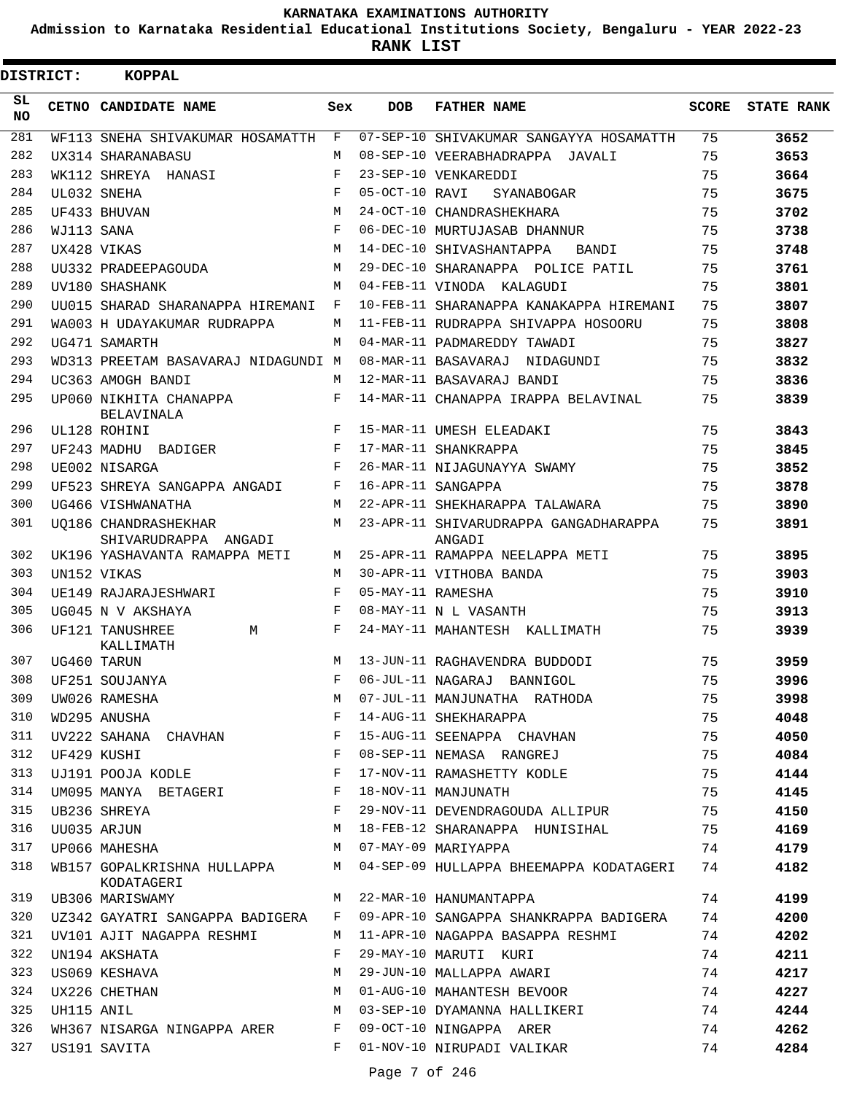**Admission to Karnataka Residential Educational Institutions Society, Bengaluru - YEAR 2022-23**

**RANK LIST**

| DISTRICT:  |             | KOPPAL                                                |              |                   |                                                                             |    |                         |
|------------|-------------|-------------------------------------------------------|--------------|-------------------|-----------------------------------------------------------------------------|----|-------------------------|
| SL.<br>NO. |             | CETNO CANDIDATE NAME                                  | Sex          | <b>DOB</b>        | <b>FATHER NAME</b>                                                          |    | <b>SCORE</b> STATE RANK |
| 281        |             | WF113 SNEHA SHIVAKUMAR HOSAMATTH                      | F            |                   | 07-SEP-10 SHIVAKUMAR SANGAYYA HOSAMATTH                                     | 75 | 3652                    |
| 282        |             | UX314 SHARANABASU                                     | M            |                   | 08-SEP-10 VEERABHADRAPPA JAVALI                                             | 75 | 3653                    |
| 283        |             | WK112 SHREYA HANASI                                   | F            |                   | 23-SEP-10 VENKAREDDI                                                        | 75 | 3664                    |
| 284        |             | UL032 SNEHA                                           | F            | 05-OCT-10 RAVI    | SYANABOGAR                                                                  | 75 | 3675                    |
| 285        |             | UF433 BHUVAN                                          | M            |                   | 24-OCT-10 CHANDRASHEKHARA                                                   | 75 | 3702                    |
| 286        | WJ113 SANA  |                                                       | F            |                   | 06-DEC-10 MURTUJASAB DHANNUR                                                | 75 | 3738                    |
| 287        |             | UX428 VIKAS                                           | M            |                   | 14-DEC-10 SHIVASHANTAPPA<br>BANDI                                           | 75 | 3748                    |
| 288        |             | UU332 PRADEEPAGOUDA                                   | M            |                   | 29-DEC-10 SHARANAPPA POLICE PATIL                                           | 75 | 3761                    |
| 289        |             | UV180 SHASHANK                                        | M            |                   | 04-FEB-11 VINODA KALAGUDI                                                   | 75 | 3801                    |
| 290        |             | UU015 SHARAD SHARANAPPA HIREMANI                      | $\mathbf{F}$ |                   | 10-FEB-11 SHARANAPPA KANAKAPPA HIREMANI                                     | 75 | 3807                    |
| 291        |             | WA003 H UDAYAKUMAR RUDRAPPA                           | M            |                   | 11-FEB-11 RUDRAPPA SHIVAPPA HOSOORU                                         | 75 | 3808                    |
| 292        |             | UG471 SAMARTH                                         | M            |                   | 04-MAR-11 PADMAREDDY TAWADI                                                 | 75 | 3827                    |
| 293        |             | WD313 PREETAM BASAVARAJ NIDAGUNDI M                   |              |                   | 08-MAR-11 BASAVARAJ NIDAGUNDI                                               | 75 | 3832                    |
| 294        |             | UC363 AMOGH BANDI                                     | M            |                   | 12-MAR-11 BASAVARAJ BANDI                                                   | 75 | 3836                    |
| 295        |             | UP060 NIKHITA CHANAPPA<br>BELAVINALA                  | F            |                   | 14-MAR-11 CHANAPPA IRAPPA BELAVINAL                                         | 75 | 3839                    |
| 296        |             | UL128 ROHINI                                          | F            |                   | 15-MAR-11 UMESH ELEADAKI                                                    | 75 | 3843                    |
| 297        |             | UF243 MADHU BADIGER                                   | F            |                   | 17-MAR-11 SHANKRAPPA                                                        | 75 | 3845                    |
| 298        |             | UE002 NISARGA                                         | F            |                   | 26-MAR-11 NIJAGUNAYYA SWAMY                                                 | 75 | 3852                    |
| 299        |             | UF523 SHREYA SANGAPPA ANGADI                          | F            |                   | 16-APR-11 SANGAPPA                                                          | 75 | 3878                    |
| 300        |             | UG466 VISHWANATHA                                     | M            |                   | 22-APR-11 SHEKHARAPPA TALAWARA                                              | 75 | 3890                    |
| 301        |             | UO186 CHANDRASHEKHAR<br>SHIVARUDRAPPA ANGADI          | M            |                   | 23-APR-11 SHIVARUDRAPPA GANGADHARAPPA<br>ANGADI                             | 75 | 3891                    |
| 302        |             | UK196 YASHAVANTA RAMAPPA METI                         | M            |                   | 25-APR-11 RAMAPPA NEELAPPA METI                                             | 75 | 3895                    |
| 303        |             | UN152 VIKAS                                           | M            |                   | 30-APR-11 VITHOBA BANDA                                                     | 75 | 3903                    |
| 304        |             | UE149 RAJARAJESHWARI                                  | F            | 05-MAY-11 RAMESHA |                                                                             | 75 | 3910                    |
| 305        |             | UG045 N V AKSHAYA                                     | $_{\rm F}$   |                   | 08-MAY-11 N L VASANTH                                                       | 75 | 3913                    |
| 306        |             | UF121 TANUSHREE<br>M<br>KALLIMATH                     | F            |                   | 24-MAY-11 MAHANTESH KALLIMATH                                               | 75 | 3939                    |
| 307        |             | UG460 TARUN                                           | M            |                   | 13-JUN-11 RAGHAVENDRA BUDDODI                                               | 75 | 3959                    |
| 308        |             | UF251 SOUJANYA                                        | F            |                   | 06-JUL-11 NAGARAJ BANNIGOL                                                  | 75 | 3996                    |
| 309        |             | UW026 RAMESHA                                         | M            |                   | 07-JUL-11 MANJUNATHA RATHODA                                                | 75 | 3998                    |
| 310        |             | WD295 ANUSHA                                          | $\mathbf{F}$ |                   | 14-AUG-11 SHEKHARAPPA                                                       | 75 | 4048                    |
| 311        |             | UV222 SAHANA CHAVHAN $F$                              |              |                   | 15-AUG-11 SEENAPPA CHAVHAN                                                  | 75 | 4050                    |
| 312        | UF429 KUSHI |                                                       | $\mathbf{F}$ |                   | 08-SEP-11 NEMASA RANGREJ                                                    | 75 | 4084                    |
| 313        |             | UJ191 POOJA KODLE F                                   |              |                   | 17-NOV-11 RAMASHETTY KODLE                                                  | 75 | 4144                    |
| 314        |             | UM095 MANYA BETAGERI F                                |              |                   | 18-NOV-11 MANJUNATH                                                         | 75 | 4145                    |
| 315        |             | $\mathbf{F}$<br>UB236 SHREYA                          |              |                   | 29-NOV-11 DEVENDRAGOUDA ALLIPUR 75                                          |    | 4150                    |
| 316        |             | UU035 ARJUN                                           | M            |                   | 18-FEB-12 SHARANAPPA HUNISIHAL 75                                           |    | 4169                    |
| 317        |             | UP066 MAHESHA 67-MAY-09 MARIYAPPA                     |              |                   |                                                                             | 74 | 4179                    |
| 318        |             | KODATAGERI                                            |              |                   | WB157 GOPALKRISHNA HULLAPPA M 04-SEP-09 HULLAPPA BHEEMAPPA KODATAGERI 74    |    | 4182                    |
| 319        |             | UB306 MARISWAMY                                       |              |                   | M 22-MAR-10 HANUMANTAPPA                                                    | 74 | 4199                    |
| 320        |             |                                                       |              |                   | UZ342 GAYATRI SANGAPPA BADIGERA F 09-APR-10 SANGAPPA SHANKRAPPA BADIGERA 74 |    | 4200                    |
| 321        |             |                                                       |              |                   | UV101 AJIT NAGAPPA RESHMI MANIPAR-10 NAGAPPA BASAPPA RESHMI                 | 74 | 4202                    |
| 322        |             | UN194 AKSHATA                                         | F            |                   | 29-MAY-10 MARUTI KURI                                                       | 74 | 4211                    |
| 323        |             | US069 KESHAVA                                         | M            |                   | 29-JUN-10 MALLAPPA AWARI                                                    | 74 | 4217                    |
| 324        |             | M<br>UX226 CHETHAN                                    |              |                   | 01-AUG-10 MAHANTESH BEVOOR                                                  | 74 | 4227                    |
| 325        | UH115 ANIL  |                                                       | M            |                   | 03-SEP-10 DYAMANNA HALLIKERI                                                | 74 | 4244                    |
| 326        |             | WH367 NISARGA NINGAPPA ARER F 09-OCT-10 NINGAPPA ARER |              |                   |                                                                             | 74 | 4262                    |
| 327        |             | US191 SAVITA                                          |              |                   | F 01-NOV-10 NIRUPADI VALIKAR                                                | 74 | 4284                    |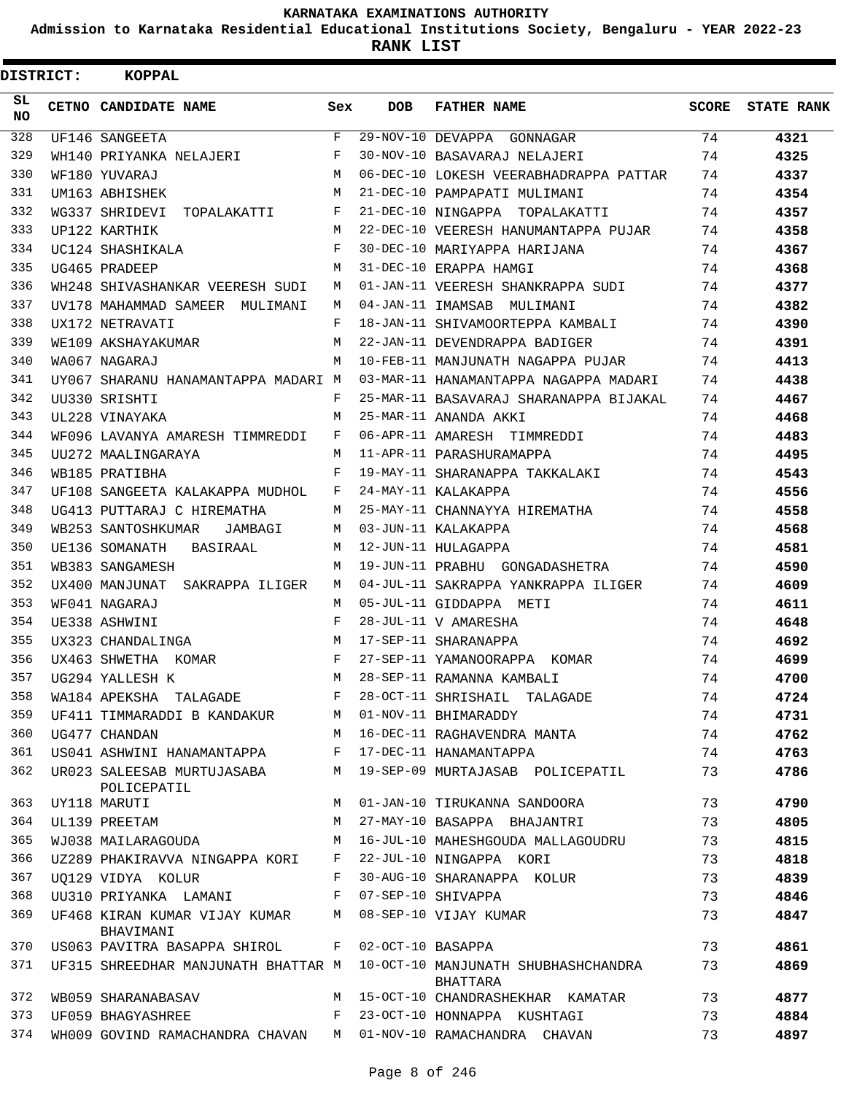**Admission to Karnataka Residential Educational Institutions Society, Bengaluru - YEAR 2022-23**

**RANK LIST**

| <b>DISTRICT:</b> | KOPPAL                                                                       |              |     |                                                                                     |    |                  |
|------------------|------------------------------------------------------------------------------|--------------|-----|-------------------------------------------------------------------------------------|----|------------------|
| SL.<br>NO.       | CETNO CANDIDATE NAME                                                         | Sex          | DOB | <b>FATHER NAME</b>                                                                  |    | SCORE STATE RANK |
| 328              | UF146 SANGEETA                                                               | F            |     | 29-NOV-10 DEVAPPA GONNAGAR                                                          | 74 | 4321             |
| 329              | WH140 PRIYANKA NELAJERI                                                      | $\mathbf{F}$ |     | 30-NOV-10 BASAVARAJ NELAJERI                                                        | 74 | 4325             |
| 330              | WF180 YUVARAJ                                                                | M            |     | 06-DEC-10 LOKESH VEERABHADRAPPA PATTAR                                              | 74 | 4337             |
| 331              | UM163 ABHISHEK                                                               | M            |     | 21-DEC-10 PAMPAPATI MULIMANI                                                        | 74 | 4354             |
| 332              | WG337 SHRIDEVI TOPALAKATTI<br>$\mathbf{F}$ and $\mathbf{F}$ and $\mathbf{F}$ |              |     | 21-DEC-10 NINGAPPA TOPALAKATTI                                                      | 74 | 4357             |
| 333              | UP122 KARTHIK                                                                | M            |     | 22-DEC-10 VEERESH HANUMANTAPPA PUJAR                                                | 74 | 4358             |
| 334              | UC124 SHASHIKALA                                                             | F            |     | 30-DEC-10 MARIYAPPA HARIJANA                                                        | 74 | 4367             |
| 335              | UG465 PRADEEP                                                                | м            |     | 31-DEC-10 ERAPPA HAMGI                                                              | 74 | 4368             |
| 336              | WH248 SHIVASHANKAR VEERESH SUDI                                              | M            |     | 01-JAN-11 VEERESH SHANKRAPPA SUDI                                                   | 74 | 4377             |
| 337              | UV178 MAHAMMAD SAMEER MULIMANI                                               | M            |     | 04-JAN-11 IMAMSAB MULIMANI                                                          | 74 | 4382             |
| 338              | UX172 NETRAVATI                                                              | F            |     | 18-JAN-11 SHIVAMOORTEPPA KAMBALI                                                    | 74 | 4390             |
| 339              | WE109 AKSHAYAKUMAR                                                           | M            |     | 22-JAN-11 DEVENDRAPPA BADIGER                                                       | 74 | 4391             |
| 340              | WA067 NAGARAJ                                                                | M            |     | 10-FEB-11 MANJUNATH NAGAPPA PUJAR                                                   | 74 | 4413             |
| 341              |                                                                              |              |     | UY067 SHARANU HANAMANTAPPA MADARI M 03-MAR-11 HANAMANTAPPA NAGAPPA MADARI           | 74 | 4438             |
| 342              | UU330 SRISHTI                                                                | F            |     | 25-MAR-11 BASAVARAJ SHARANAPPA BIJAKAL                                              | 74 | 4467             |
| 343              | UL228 VINAYAKA                                                               | M            |     | 25-MAR-11 ANANDA AKKI                                                               | 74 | 4468             |
| 344              | WF096 LAVANYA AMARESH TIMMREDDI                                              | F            |     | 06-APR-11 AMARESH TIMMREDDI                                                         | 74 | 4483             |
| 345              | UU272 MAALINGARAYA                                                           | M            |     | 11-APR-11 PARASHURAMAPPA                                                            | 74 | 4495             |
| 346              | WB185 PRATIBHA                                                               | F            |     | 19-MAY-11 SHARANAPPA TAKKALAKI                                                      | 74 | 4543             |
| 347              | UF108 SANGEETA KALAKAPPA MUDHOL                                              | F            |     | 24-MAY-11 KALAKAPPA                                                                 | 74 | 4556             |
| 348              | UG413 PUTTARAJ C HIREMATHA                                                   | M            |     | 25-MAY-11 CHANNAYYA HIREMATHA                                                       | 74 | 4558             |
| 349              | WB253 SANTOSHKUMAR JAMBAGI                                                   | M            |     | 03-JUN-11 KALAKAPPA                                                                 | 74 | 4568             |
| 350              | UE136 SOMANATH BASIRAAL                                                      | M            |     | 12-JUN-11 HULAGAPPA                                                                 | 74 | 4581             |
| 351              | WB383 SANGAMESH                                                              | M            |     | 19-JUN-11 PRABHU GONGADASHETRA                                                      | 74 | 4590             |
| 352              | UX400 MANJUNAT SAKRAPPA ILIGER                                               | M            |     | 04-JUL-11 SAKRAPPA YANKRAPPA ILIGER                                                 | 74 | 4609             |
| 353              | WF041 NAGARAJ                                                                | M            |     | 05-JUL-11 GIDDAPPA METI                                                             | 74 | 4611             |
| 354              | UE338 ASHWINI                                                                | $\mathbf{F}$ |     | 28-JUL-11 V AMARESHA                                                                | 74 | 4648             |
| 355              | UX323 CHANDALINGA<br>M 17-SEP-11 SHARANAPPA                                  |              |     |                                                                                     | 74 | 4692             |
| 356              | UX463 SHWETHA KOMAR F                                                        |              |     | 27-SEP-11 YAMANOORAPPA KOMAR                                                        | 74 | 4699             |
| 357              | UG294 YALLESH K                                                              | M            |     | 28-SEP-11 RAMANNA KAMBALI                                                           | 74 | 4700             |
| 358              | WA184 APEKSHA TALAGADE                                                       | F            |     | 28-OCT-11 SHRISHAIL TALAGADE                                                        | 74 | 4724             |
| 359              | UF411 TIMMARADDI B KANDAKUR                                                  | M            |     | 01-NOV-11 BHIMARADDY                                                                | 74 | 4731             |
| 360              | UG477 CHANDAN                                                                | M            |     | 16-DEC-11 RAGHAVENDRA MANTA                                                         | 74 | 4762             |
| 361              | US041 ASHWINI HANAMANTAPPA                                                   | F            |     | 17-DEC-11 HANAMANTAPPA                                                              | 74 | 4763             |
| 362              | UR023 SALEESAB MURTUJASABA<br>POLICEPATIL                                    | M            |     | 19-SEP-09 MURTAJASAB POLICEPATIL                                                    | 73 | 4786             |
| 363              | UY118 MARUTI                                                                 | M            |     | 01-JAN-10 TIRUKANNA SANDOORA                                                        | 73 | 4790             |
| 364              | UL139 PREETAM                                                                | M            |     | 27-MAY-10 BASAPPA BHAJANTRI                                                         | 73 | 4805             |
| 365              | WJ038 MAILARAGOUDA                                                           | M            |     | 16-JUL-10 MAHESHGOUDA MALLAGOUDRU                                                   | 73 | 4815             |
| 366              | UZ289 PHAKIRAVVA NINGAPPA KORI F                                             |              |     | 22-JUL-10 NINGAPPA KORI                                                             | 73 | 4818             |
| 367              | UO129 VIDYA KOLUR                                                            | $\mathbf{F}$ |     | 30-AUG-10 SHARANAPPA KOLUR                                                          | 73 | 4839             |
| 368              | UU310 PRIYANKA LAMANI                                                        |              |     | F 07-SEP-10 SHIVAPPA                                                                | 73 | 4846             |
| 369              | UF468 KIRAN KUMAR VIJAY KUMAR M<br>BHAVIMANI                                 |              |     | 08-SEP-10 VIJAY KUMAR                                                               | 73 | 4847             |
| 370              | US063 PAVITRA BASAPPA SHIROL F 02-OCT-10 BASAPPA                             |              |     |                                                                                     | 73 | 4861             |
| 371              |                                                                              |              |     | UF315 SHREEDHAR MANJUNATH BHATTAR M 10-OCT-10 MANJUNATH SHUBHASHCHANDRA<br>BHATTARA | 73 | 4869             |
| 372              | WB059 SHARANABASAV                                                           |              |     | M 15-OCT-10 CHANDRASHEKHAR KAMATAR                                                  | 73 | 4877             |
| 373              | UF059 BHAGYASHREE                                                            | F            |     | 23-OCT-10 HONNAPPA KUSHTAGI                                                         | 73 | 4884             |
| 374              | WH009 GOVIND RAMACHANDRA CHAVAN M 01-NOV-10 RAMACHANDRA CHAVAN               |              |     |                                                                                     | 73 | 4897             |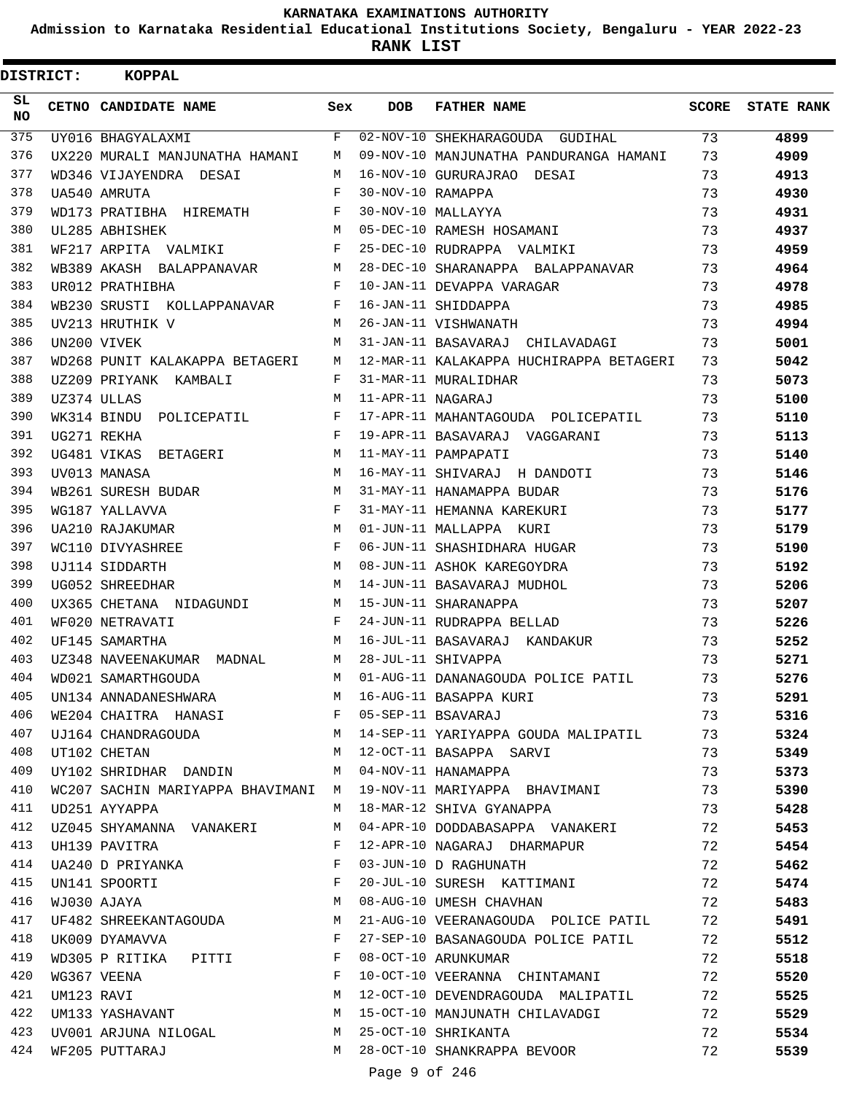**Admission to Karnataka Residential Educational Institutions Society, Bengaluru - YEAR 2022-23**

| <b>DISTRICT:</b> |            | KOPPAL                                    |              |                   |                                                                  |       |                   |
|------------------|------------|-------------------------------------------|--------------|-------------------|------------------------------------------------------------------|-------|-------------------|
| SL.<br><b>NO</b> |            | CETNO CANDIDATE NAME                      | Sex          | <b>DOB</b>        | <b>FATHER NAME</b>                                               | SCORE | <b>STATE RANK</b> |
| 375              |            | UY016 BHAGYALAXMI                         | $_{\rm F}$   |                   | 02-NOV-10 SHEKHARAGOUDA GUDIHAL                                  | 73    | 4899              |
| 376              |            | UX220 MURALI MANJUNATHA HAMANI            | M            |                   | 09-NOV-10 MANJUNATHA PANDURANGA HAMANI                           | 73    | 4909              |
| 377              |            | WD346 VIJAYENDRA DESAI                    | M            |                   | 16-NOV-10 GURURAJRAO DESAI                                       | 73    | 4913              |
| 378              |            | UA540 AMRUTA                              | F            | 30-NOV-10 RAMAPPA |                                                                  | 73    | 4930              |
| 379              |            | WD173 PRATIBHA HIREMATH                   | F            |                   | 30-NOV-10 MALLAYYA                                               | 73    | 4931              |
| 380              |            | UL285 ABHISHEK                            | M            |                   | 05-DEC-10 RAMESH HOSAMANI                                        | 73    | 4937              |
| 381              |            | WF217 ARPITA VALMIKI                      | F            |                   | 25-DEC-10 RUDRAPPA VALMIKI                                       | 73    | 4959              |
| 382              |            | WB389 AKASH BALAPPANAVAR                  | M            |                   | 28-DEC-10 SHARANAPPA BALAPPANAVAR                                | 73    | 4964              |
| 383              |            | UR012 PRATHIBHA                           | F            |                   | 10-JAN-11 DEVAPPA VARAGAR                                        | 73    | 4978              |
| 384              |            | WB230 SRUSTI KOLLAPPANAVAR                | F            |                   | 16-JAN-11 SHIDDAPPA                                              | 73    | 4985              |
| 385              |            | UV213 HRUTHIK V                           | M            |                   | 26-JAN-11 VISHWANATH                                             | 73    | 4994              |
| 386              |            | UN200 VIVEK                               | M            |                   | 31-JAN-11 BASAVARAJ CHILAVADAGI                                  | 73    | 5001              |
| 387              |            | WD268 PUNIT KALAKAPPA BETAGERI            | М            |                   | 12-MAR-11 KALAKAPPA HUCHIRAPPA BETAGERI                          | 73    | 5042              |
| 388              |            | UZ209 PRIYANK KAMBALI                     | F            |                   | 31-MAR-11 MURALIDHAR                                             | 73    | 5073              |
| 389              |            | UZ374 ULLAS                               | M            | 11-APR-11 NAGARAJ |                                                                  | 73    | 5100              |
| 390              |            | WK314 BINDU<br>POLICEPATIL                | F            |                   | 17-APR-11 MAHANTAGOUDA POLICEPATIL                               | 73    | 5110              |
| 391              |            | UG271 REKHA                               | F            |                   | 19-APR-11 BASAVARAJ VAGGARANI                                    | 73    | 5113              |
| 392              |            | UG481 VIKAS BETAGERI                      | M            |                   | 11-MAY-11 PAMPAPATI                                              | 73    | 5140              |
| 393              |            | UV013 MANASA                              | M            |                   | 16-MAY-11 SHIVARAJ H DANDOTI                                     | 73    | 5146              |
| 394              |            | WB261 SURESH BUDAR                        | M            |                   | 31-MAY-11 HANAMAPPA BUDAR                                        | 73    | 5176              |
| 395              |            | WG187 YALLAVVA                            | F            |                   | 31-MAY-11 HEMANNA KAREKURI                                       | 73    | 5177              |
| 396              |            | <b>UA210 RAJAKUMAR</b>                    | M            |                   | 01-JUN-11 MALLAPPA KURI                                          | 73    | 5179              |
| 397              |            | WC110 DIVYASHREE                          | F            |                   | 06-JUN-11 SHASHIDHARA HUGAR                                      | 73    | 5190              |
| 398              |            | UJ114 SIDDARTH                            | M            |                   | 08-JUN-11 ASHOK KAREGOYDRA                                       | 73    | 5192              |
| 399              |            | UG052 SHREEDHAR                           | M            |                   | 14-JUN-11 BASAVARAJ MUDHOL                                       | 73    | 5206              |
| 400              |            | UX365 CHETANA NIDAGUNDI                   | М            |                   | 15-JUN-11 SHARANAPPA                                             | 73    | 5207              |
| 401              |            | WF020 NETRAVATI                           | F            |                   | 24-JUN-11 RUDRAPPA BELLAD                                        | 73    | 5226              |
| 402              |            | UF145 SAMARTHA                            | M            |                   | 16-JUL-11 BASAVARAJ KANDAKUR                                     | 73    | 5252              |
| 403              |            | UZ348 NAVEENAKUMAR MADNAL                 | М            |                   | 28-JUL-11 SHIVAPPA                                               | 73    | 5271              |
| 404              |            | WD021 SAMARTHGOUDA                        | M            |                   | 01-AUG-11 DANANAGOUDA POLICE PATIL                               | 73    | 5276              |
| 405              |            | UN134 ANNADANESHWARA                      |              |                   | M 16-AUG-11 BASAPPA KURI                                         | 73    | 5291              |
| 406              |            | WE204 CHAITRA HANASI F 05-SEP-11 BSAVARAJ |              |                   |                                                                  | 73    | 5316              |
| 407              |            |                                           |              |                   | UJ164 CHANDRAGOUDA M 14-SEP-11 YARIYAPPA GOUDA MALIPATIL         | 73    | 5324              |
| 408              |            | UT102 CHETAN                              |              |                   | M 12-OCT-11 BASAPPA SARVI                                        | 73    | 5349              |
| 409              |            | UY102 SHRIDHAR DANDIN                     |              |                   | M 04-NOV-11 HANAMAPPA                                            | 73    | 5373              |
| 410              |            |                                           |              |                   | WC207 SACHIN MARIYAPPA BHAVIMANI M 19-NOV-11 MARIYAPPA BHAVIMANI | 73    | 5390              |
| 411              |            | UD251 AYYAPPA                             | M            |                   | 18-MAR-12 SHIVA GYANAPPA                                         | 73    | 5428              |
| 412              |            | UZ045 SHYAMANNA VANAKERI                  | M            |                   | 04-APR-10 DODDABASAPPA VANAKERI                                  | 72    | 5453              |
| 413              |            | UH139 PAVITRA                             | F            |                   | 12-APR-10 NAGARAJ DHARMAPUR                                      | 72    | 5454              |
| 414              |            | UA240 D PRIYANKA                          | F            |                   | 03-JUN-10 D RAGHUNATH                                            | 72    | 5462              |
| 415              |            | UN141 SPOORTI                             | F            |                   | 20-JUL-10 SURESH KATTIMANI                                       | 72    | 5474              |
| 416              |            | M<br>WJ030 AJAYA                          |              |                   | 08-AUG-10 UMESH CHAVHAN                                          | 72    | 5483              |
| 417              |            | UF482 SHREEKANTAGOUDA M                   |              |                   | 21-AUG-10 VEERANAGOUDA POLICE PATIL                              | 72    | 5491              |
| 418              |            | UK009 DYAMAVVA                            | $\mathbf{F}$ |                   | 27-SEP-10 BASANAGOUDA POLICE PATIL                               | 72    | 5512              |
| 419              |            | WD305 P RITIKA PITTI                      | F            |                   | 08-OCT-10 ARUNKUMAR                                              | 72    | 5518              |
| 420              |            | WG367 VEENA                               | F            |                   | 10-OCT-10 VEERANNA CHINTAMANI                                    | 72    | 5520              |
| 421              | UM123 RAVI |                                           | M            |                   | 12-OCT-10 DEVENDRAGOUDA MALIPATIL                                | 72    | 5525              |
| 422              |            | UM133 YASHAVANT                           | M            |                   | 15-OCT-10 MANJUNATH CHILAVADGI                                   | 72    | 5529              |
| 423              |            | UV001 ARJUNA NILOGAL                      | M            |                   | 25-OCT-10 SHRIKANTA                                              | 72    | 5534              |
| 424              |            | WF205 PUTTARAJ                            | M            |                   | 28-OCT-10 SHANKRAPPA BEVOOR                                      | 72    | 5539              |
|                  |            |                                           |              | Page 9 of 246     |                                                                  |       |                   |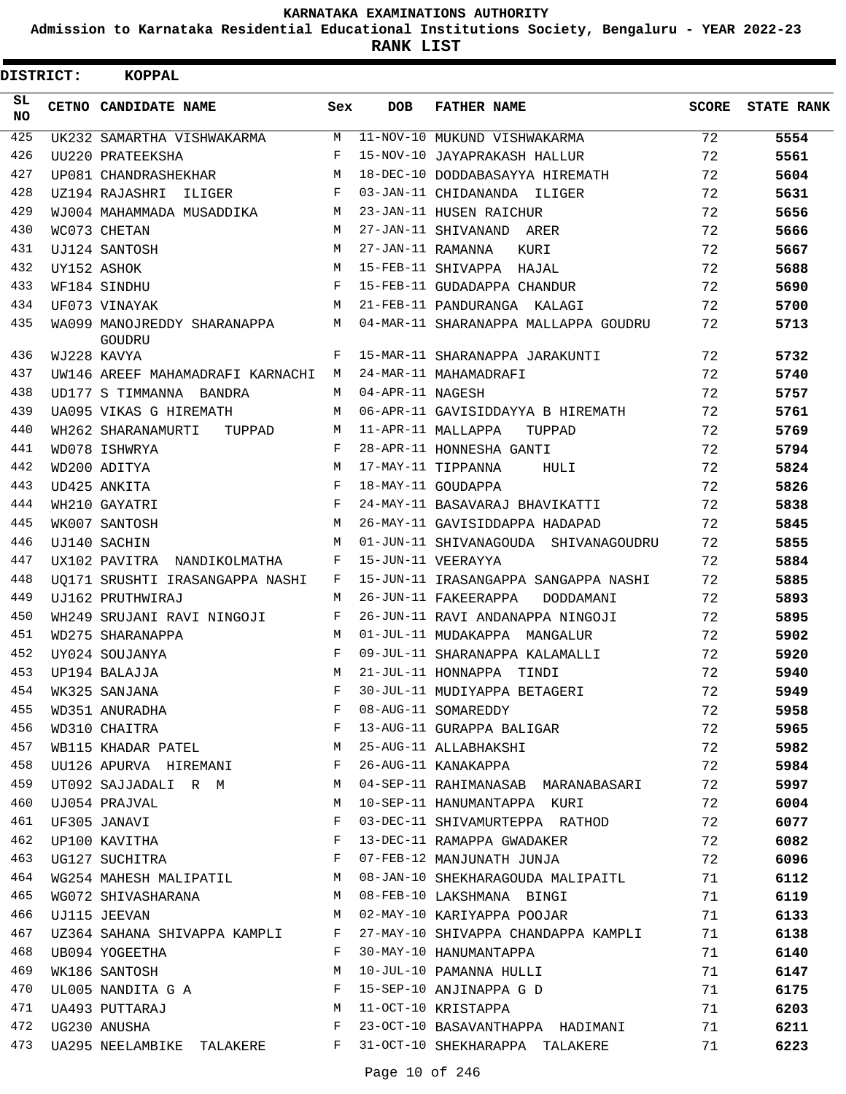**Admission to Karnataka Residential Educational Institutions Society, Bengaluru - YEAR 2022-23**

**RANK LIST**

| <b>DISTRICT:</b> | <b>KOPPAL</b>                                             |              |                   |                                      |              |                   |
|------------------|-----------------------------------------------------------|--------------|-------------------|--------------------------------------|--------------|-------------------|
| SL.<br>NO.       | CETNO CANDIDATE NAME                                      | Sex          | <b>DOB</b>        | <b>FATHER NAME</b>                   | <b>SCORE</b> | <b>STATE RANK</b> |
| 425              | UK232 SAMARTHA VISHWAKARMA                                | М            |                   | 11-NOV-10 MUKUND VISHWAKARMA         | 72           | 5554              |
| 426              | UU220 PRATEEKSHA                                          | $_{\rm F}$   |                   | 15-NOV-10 JAYAPRAKASH HALLUR         | 72           | 5561              |
| 427              | UP081 CHANDRASHEKHAR                                      | M            |                   | 18-DEC-10 DODDABASAYYA HIREMATH      | 72           | 5604              |
| 428              | UZ194 RAJASHRI<br>ILIGER                                  | F            |                   | 03-JAN-11 CHIDANANDA ILIGER          | 72           | 5631              |
| 429              | WJ004 MAHAMMADA MUSADDIKA                                 | М            |                   | 23-JAN-11 HUSEN RAICHUR              | 72           | 5656              |
| 430              | WC073 CHETAN                                              | M            |                   | 27-JAN-11 SHIVANAND ARER             | 72           | 5666              |
| 431              | UJ124 SANTOSH                                             | M            | 27-JAN-11 RAMANNA | KURI                                 | 72           | 5667              |
| 432              | UY152 ASHOK                                               | M            |                   | 15-FEB-11 SHIVAPPA HAJAL             | 72           | 5688              |
| 433              | WF184 SINDHU                                              | $_{\rm F}$   |                   | 15-FEB-11 GUDADAPPA CHANDUR          | 72           | 5690              |
| 434              | UF073 VINAYAK                                             | M            |                   | 21-FEB-11 PANDURANGA KALAGI          | 72           | 5700              |
| 435              | WA099 MANOJREDDY SHARANAPPA<br>GOUDRU                     | M            |                   | 04-MAR-11 SHARANAPPA MALLAPPA GOUDRU | 72           | 5713              |
| 436              | WJ228 KAVYA                                               | F            |                   | 15-MAR-11 SHARANAPPA JARAKUNTI       | 72           | 5732              |
| 437              | UW146 AREEF MAHAMADRAFI KARNACHI                          | М            |                   | 24-MAR-11 MAHAMADRAFI                | 72           | 5740              |
| 438              | UD177 S TIMMANNA BANDRA                                   | M            | 04-APR-11 NAGESH  |                                      | 72           | 5757              |
| 439              | UA095 VIKAS G HIREMATH                                    | M            |                   | 06-APR-11 GAVISIDDAYYA B HIREMATH    | 72           | 5761              |
| 440              | WH262 SHARANAMURTI<br>TUPPAD                              | M            |                   | 11-APR-11 MALLAPPA<br>TUPPAD         | 72           | 5769              |
| 441              | WD078 ISHWRYA                                             | F            |                   | 28-APR-11 HONNESHA GANTI             | 72           | 5794              |
| 442              | WD200 ADITYA                                              | M            |                   | 17-MAY-11 TIPPANNA<br>HULI           | 72           | 5824              |
| 443              | UD425 ANKITA                                              | F            |                   | 18-MAY-11 GOUDAPPA                   | 72           | 5826              |
| 444              | WH210 GAYATRI                                             | F            |                   | 24-MAY-11 BASAVARAJ BHAVIKATTI       | 72           | 5838              |
| 445              | WK007 SANTOSH                                             | M            |                   | 26-MAY-11 GAVISIDDAPPA HADAPAD       | 72           | 5845              |
| 446              | UJ140 SACHIN                                              | M            |                   | 01-JUN-11 SHIVANAGOUDA SHIVANAGOUDRU | 72           | 5855              |
| 447              | UX102 PAVITRA NANDIKOLMATHA                               | F            |                   | 15-JUN-11 VEERAYYA                   | 72           | 5884              |
| 448              | UO171 SRUSHTI IRASANGAPPA NASHI                           | F            |                   | 15-JUN-11 IRASANGAPPA SANGAPPA NASHI | 72           | 5885              |
| 449              | UJ162 PRUTHWIRAJ                                          | M            |                   | 26-JUN-11 FAKEERAPPA<br>DODDAMANI    | 72           | 5893              |
| 450              | WH249 SRUJANI RAVI NINGOJI                                | F            |                   | 26-JUN-11 RAVI ANDANAPPA NINGOJI     | 72           | 5895              |
| 451              | WD275 SHARANAPPA                                          | M            |                   | 01-JUL-11 MUDAKAPPA MANGALUR         | 72           | 5902              |
| 452              | UY024 SOUJANYA                                            | F            |                   | 09-JUL-11 SHARANAPPA KALAMALLI       | 72           | 5920              |
| 453              | UP194 BALAJJA                                             | M            |                   | 21-JUL-11 HONNAPPA TINDI             | 72           | 5940              |
| 454              | WK325 SANJANA                                             |              |                   | 30-JUL-11 MUDIYAPPA BETAGERI         | 72           | 5949              |
| 455              | WD351 ANURADHA                                            | F            |                   | 08-AUG-11 SOMAREDDY                  | 72           | 5958              |
| 456              | WD310 CHAITRA                                             | $_{\rm F}$   |                   | 13-AUG-11 GURAPPA BALIGAR            | 72           | 5965              |
| 457              | WB115 KHADAR PATEL M                                      |              |                   | 25-AUG-11 ALLABHAKSHI                | 72           | 5982              |
| 458              | UU126 APURVA HIREMANI                                     | F            |                   | 26-AUG-11 KANAKAPPA                  | 72           | 5984              |
| 459              | UT092 SAJJADALI R M M                                     |              |                   | 04-SEP-11 RAHIMANASAB MARANABASARI   | 72           | 5997              |
| 460              | UJ054 PRAJVAL                                             | М            |                   | 10-SEP-11 HANUMANTAPPA KURI          | 72           | 6004              |
| 461              | UF305 JANAVI                                              | $\mathbf{F}$ |                   | 03-DEC-11 SHIVAMURTEPPA RATHOD       | 72           | 6077              |
| 462              | $\mathbb{F}$ . The set of $\mathbb{F}^n$<br>UP100 KAVITHA |              |                   | 13-DEC-11 RAMAPPA GWADAKER           | 72           | 6082              |
| 463              | UG127 SUCHITRA $F$                                        |              |                   | 07-FEB-12 MANJUNATH JUNJA            | 72           | 6096              |
| 464              | WG254 MAHESH MALIPATIL M                                  |              |                   | 08-JAN-10 SHEKHARAGOUDA MALIPAITL    | 71           | 6112              |
| 465              | WG072 SHIVASHARANA M                                      |              |                   | 08-FEB-10 LAKSHMANA BINGI            | 71           | 6119              |
| 466              | UJ115 JEEVAN                                              | M            |                   | 02-MAY-10 KARIYAPPA POOJAR           | 71           | 6133              |
| 467              | UZ364 SAHANA SHIVAPPA KAMPLI F                            |              |                   | 27-MAY-10 SHIVAPPA CHANDAPPA KAMPLI  | 71           | 6138              |
| 468              | UB094 YOGEETHA                                            | $\mathbf{F}$ |                   | 30-MAY-10 HANUMANTAPPA               | 71           | 6140              |
| 469              | WK186 SANTOSH                                             | М            |                   | 10-JUL-10 PAMANNA HULLI              | 71           | 6147              |
| 470              | UL005 NANDITA G A F                                       |              |                   | 15-SEP-10 ANJINAPPA G D              | 71           | 6175              |
| 471              | UA493 PUTTARAJ                                            | М            |                   | 11-OCT-10 KRISTAPPA                  | 71           | 6203              |
| 472              | UG230 ANUSHA                                              | $_{\rm F}$   |                   | 23-OCT-10 BASAVANTHAPPA HADIMANI     | 71           | 6211              |
| 473              | UA295 NEELAMBIKE TALAKERE                                 | F            |                   | 31-OCT-10 SHEKHARAPPA TALAKERE       | 71           | 6223              |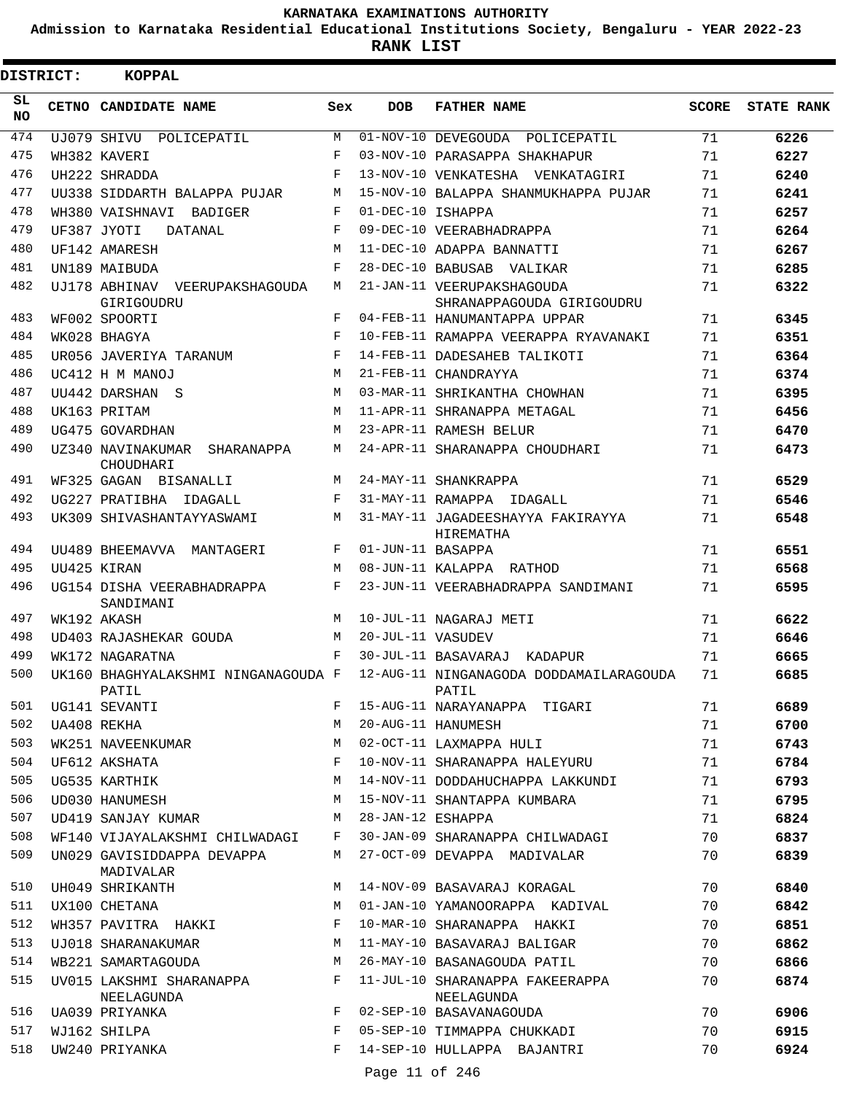**Admission to Karnataka Residential Educational Institutions Society, Bengaluru - YEAR 2022-23**

**RANK LIST**

Ė

| <b>DISTRICT:</b> | <b>KOPPAL</b>                                |            |                   |                                                         |              |                   |
|------------------|----------------------------------------------|------------|-------------------|---------------------------------------------------------|--------------|-------------------|
| SL.<br>NO.       | CETNO CANDIDATE NAME                         | Sex        | <b>DOB</b>        | <b>FATHER NAME</b>                                      | <b>SCORE</b> | <b>STATE RANK</b> |
| 474              | UJ079 SHIVU POLICEPATIL                      | М          |                   | 01-NOV-10 DEVEGOUDA POLICEPATIL                         | 71           | 6226              |
| 475              | WH382 KAVERI                                 | $_{\rm F}$ |                   | 03-NOV-10 PARASAPPA SHAKHAPUR                           | 71           | 6227              |
| 476              | UH222 SHRADDA                                | $_{\rm F}$ |                   | 13-NOV-10 VENKATESHA VENKATAGIRI                        | 71           | 6240              |
| 477              | UU338 SIDDARTH BALAPPA PUJAR                 | М          |                   | 15-NOV-10 BALAPPA SHANMUKHAPPA PUJAR                    | 71           | 6241              |
| 478              | WH380 VAISHNAVI BADIGER                      | F          | 01-DEC-10 ISHAPPA |                                                         | 71           | 6257              |
| 479              | UF387 JYOTI<br>DATANAL                       | F          |                   | 09-DEC-10 VEERABHADRAPPA                                | 71           | 6264              |
| 480              | UF142 AMARESH                                | М          |                   | 11-DEC-10 ADAPPA BANNATTI                               | 71           | 6267              |
| 481              | UN189 MAIBUDA                                | F          |                   | 28-DEC-10 BABUSAB VALIKAR                               | 71           | 6285              |
| 482              | UJ178 ABHINAV VEERUPAKSHAGOUDA<br>GIRIGOUDRU | М          |                   | 21-JAN-11 VEERUPAKSHAGOUDA<br>SHRANAPPAGOUDA GIRIGOUDRU | 71           | 6322              |
| 483              | WF002 SPOORTI                                | F          |                   | 04-FEB-11 HANUMANTAPPA UPPAR                            | 71           | 6345              |
| 484              | WK028 BHAGYA                                 | F          |                   | 10-FEB-11 RAMAPPA VEERAPPA RYAVANAKI                    | 71           | 6351              |
| 485              | UR056 JAVERIYA TARANUM                       | F          |                   | 14-FEB-11 DADESAHEB TALIKOTI                            | 71           | 6364              |
| 486              | UC412 H M MANOJ                              | M          |                   | 21-FEB-11 CHANDRAYYA                                    | 71           | 6374              |
| 487              | UU442 DARSHAN S                              | M          |                   | 03-MAR-11 SHRIKANTHA CHOWHAN                            | 71           | 6395              |
| 488              | UK163 PRITAM                                 | M          |                   | 11-APR-11 SHRANAPPA METAGAL                             | 71           | 6456              |
| 489              | UG475 GOVARDHAN                              | М          |                   | 23-APR-11 RAMESH BELUR                                  | 71           | 6470              |
| 490              | UZ340 NAVINAKUMAR SHARANAPPA<br>CHOUDHARI    | M          |                   | 24-APR-11 SHARANAPPA CHOUDHARI                          | 71           | 6473              |
| 491              | WF325 GAGAN BISANALLI                        | M          |                   | 24-MAY-11 SHANKRAPPA                                    | 71           | 6529              |
| 492              | UG227 PRATIBHA IDAGALL                       | F          |                   | 31-MAY-11 RAMAPPA IDAGALL                               | 71           | 6546              |
| 493              | UK309 SHIVASHANTAYYASWAMI                    | M          |                   | 31-MAY-11 JAGADEESHAYYA FAKIRAYYA<br>HIREMATHA          | 71           | 6548              |
| 494              | UU489 BHEEMAVVA MANTAGERI                    | F          | 01-JUN-11 BASAPPA |                                                         | 71           | 6551              |
| 495              | UU425 KIRAN                                  | М          |                   | 08-JUN-11 KALAPPA RATHOD                                | 71           | 6568              |
| 496              | UG154 DISHA VEERABHADRAPPA<br>SANDIMANI      | F          |                   | 23-JUN-11 VEERABHADRAPPA SANDIMANI                      | 71           | 6595              |
| 497              | WK192 AKASH                                  | M          |                   | 10-JUL-11 NAGARAJ METI                                  | 71           | 6622              |
| 498              | UD403 RAJASHEKAR GOUDA                       | M          | 20-JUL-11 VASUDEV |                                                         | 71           | 6646              |
| 499              | WK172 NAGARATNA                              | F          |                   | 30-JUL-11 BASAVARAJ KADAPUR                             | 71           | 6665              |
| 500              | UK160 BHAGHYALAKSHMI NINGANAGOUDA F<br>PATIL |            |                   | 12-AUG-11 NINGANAGODA DODDAMAILARAGOUDA<br>PATIL        | 71           | 6685              |
| 501              | UG141 SEVANTI                                | F          |                   | 15-AUG-11 NARAYANAPPA TIGARI                            | 71           | 6689              |
| 502              | UA408 REKHA                                  | М          |                   | 20-AUG-11 HANUMESH                                      | 71           | 6700              |
| 503              | WK251 NAVEENKUMAR                            | M          |                   | 02-OCT-11 LAXMAPPA HULI                                 | 71           | 6743              |
| 504              | UF612 AKSHATA                                | F          |                   | 10-NOV-11 SHARANAPPA HALEYURU                           | 71           | 6784              |
| 505              | UG535 KARTHIK                                | М          |                   | 14-NOV-11 DODDAHUCHAPPA LAKKUNDI                        | 71           | 6793              |
| 506              | UD030 HANUMESH                               | M          |                   | 15-NOV-11 SHANTAPPA KUMBARA                             | 71           | 6795              |
| 507              | UD419 SANJAY KUMAR                           | м          | 28-JAN-12 ESHAPPA |                                                         | 71           | 6824              |
| 508              | WF140 VIJAYALAKSHMI CHILWADAGI               | F          |                   | 30-JAN-09 SHARANAPPA CHILWADAGI                         | 70           | 6837              |
| 509              | UN029 GAVISIDDAPPA DEVAPPA<br>MADIVALAR      | М          |                   | 27-OCT-09 DEVAPPA MADIVALAR                             | 70           | 6839              |
| 510              | UH049 SHRIKANTH                              | M          |                   | 14-NOV-09 BASAVARAJ KORAGAL                             | 70           | 6840              |
| 511              | UX100 CHETANA                                | M          |                   | 01-JAN-10 YAMANOORAPPA KADIVAL                          | 70           | 6842              |
| 512              | WH357 PAVITRA HAKKI                          | F          |                   | 10-MAR-10 SHARANAPPA HAKKI                              | 70           | 6851              |
| 513              | UJ018 SHARANAKUMAR                           | М          |                   | 11-MAY-10 BASAVARAJ BALIGAR                             | 70           | 6862              |
| 514              | WB221 SAMARTAGOUDA                           | М          |                   | 26-MAY-10 BASANAGOUDA PATIL                             | 70           | 6866              |
| 515              | UV015 LAKSHMI SHARANAPPA<br>NEELAGUNDA       | F          |                   | 11-JUL-10 SHARANAPPA FAKEERAPPA<br>NEELAGUNDA           | 70           | 6874              |
| 516              | UA039 PRIYANKA                               | F          |                   | 02-SEP-10 BASAVANAGOUDA                                 | 70           | 6906              |
| 517              | WJ162 SHILPA                                 | F          |                   | 05-SEP-10 TIMMAPPA CHUKKADI                             | 70           | 6915              |
| 518              | UW240 PRIYANKA                               | F          |                   | 14-SEP-10 HULLAPPA BAJANTRI                             | 70           | 6924              |
|                  |                                              |            | Page 11 of 246    |                                                         |              |                   |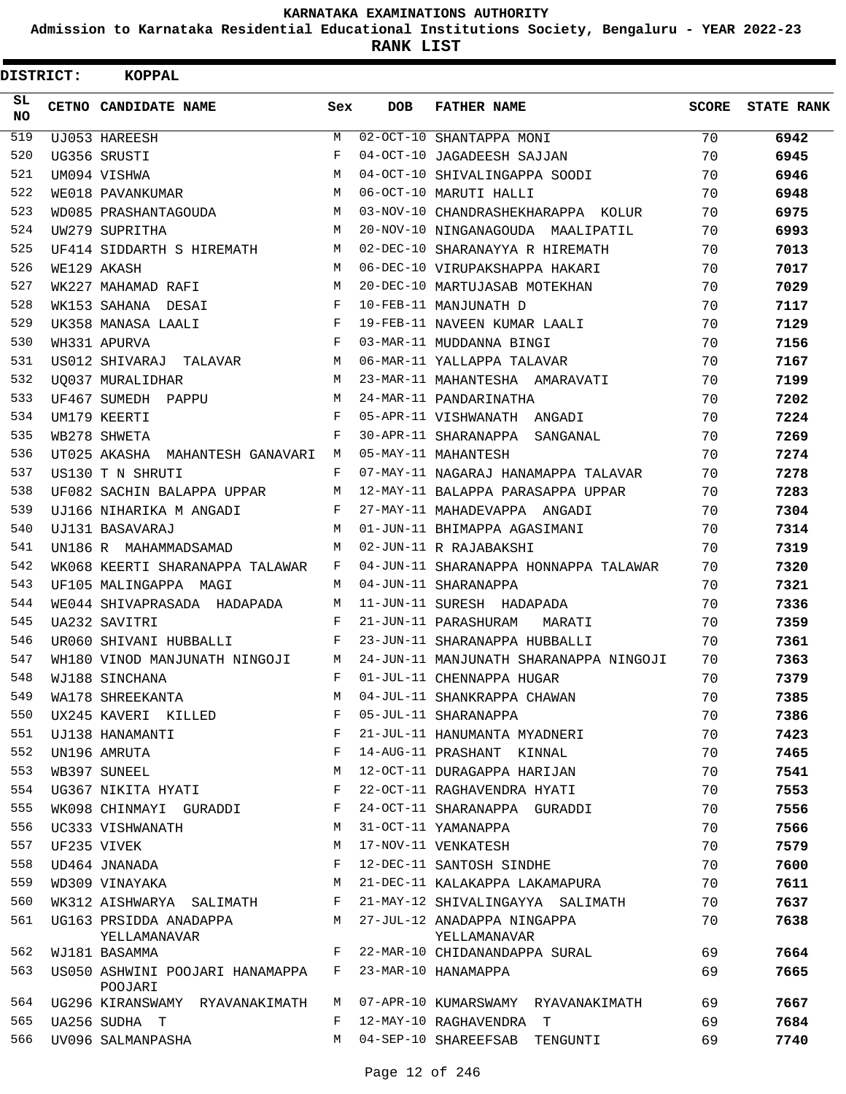**Admission to Karnataka Residential Educational Institutions Society, Bengaluru - YEAR 2022-23**

| <b>DISTRICT:</b> |  | KOPPAL                                     |     |            |                                        |       |                   |  |  |  |  |
|------------------|--|--------------------------------------------|-----|------------|----------------------------------------|-------|-------------------|--|--|--|--|
| SL.<br>NO.       |  | CETNO CANDIDATE NAME                       | Sex | <b>DOB</b> | <b>FATHER NAME</b>                     | SCORE | <b>STATE RANK</b> |  |  |  |  |
| 519              |  | UJ053 HAREESH                              | M   |            | 02-OCT-10 SHANTAPPA MONI               | 70    | 6942              |  |  |  |  |
| 520              |  | UG356 SRUSTI                               | F   |            | 04-OCT-10 JAGADEESH SAJJAN             | 70    | 6945              |  |  |  |  |
| 521              |  | UM094 VISHWA                               | M   |            | 04-OCT-10 SHIVALINGAPPA SOODI          | 70    | 6946              |  |  |  |  |
| 522              |  | WE018 PAVANKUMAR                           | M   |            | 06-OCT-10 MARUTI HALLI                 | 70    | 6948              |  |  |  |  |
| 523              |  | WD085 PRASHANTAGOUDA                       | M   |            | 03-NOV-10 CHANDRASHEKHARAPPA KOLUR     | 70    | 6975              |  |  |  |  |
| 524              |  | UW279 SUPRITHA                             | M   |            | 20-NOV-10 NINGANAGOUDA MAALIPATIL      | 70    | 6993              |  |  |  |  |
| 525              |  | UF414 SIDDARTH S HIREMATH                  | M   |            | 02-DEC-10 SHARANAYYA R HIREMATH        | 70    | 7013              |  |  |  |  |
| 526              |  | WE129 AKASH                                | M   |            | 06-DEC-10 VIRUPAKSHAPPA HAKARI         | 70    | 7017              |  |  |  |  |
| 527              |  | WK227 MAHAMAD RAFI                         | M   |            | 20-DEC-10 MARTUJASAB MOTEKHAN          | 70    | 7029              |  |  |  |  |
| 528              |  | WK153 SAHANA DESAI                         | F   |            | 10-FEB-11 MANJUNATH D                  | 70    | 7117              |  |  |  |  |
| 529              |  | UK358 MANASA LAALI                         | F   |            | 19-FEB-11 NAVEEN KUMAR LAALI           | 70    | 7129              |  |  |  |  |
| 530              |  | WH331 APURVA                               | F   |            | 03-MAR-11 MUDDANNA BINGI               | 70    | 7156              |  |  |  |  |
| 531              |  | US012 SHIVARAJ TALAVAR                     | M   |            | 06-MAR-11 YALLAPPA TALAVAR             | 70    | 7167              |  |  |  |  |
| 532              |  | UO037 MURALIDHAR                           | м   |            | 23-MAR-11 MAHANTESHA AMARAVATI         | 70    | 7199              |  |  |  |  |
| 533              |  | UF467 SUMEDH PAPPU                         | м   |            | 24-MAR-11 PANDARINATHA                 | 70    | 7202              |  |  |  |  |
| 534              |  | UM179 KEERTI                               | F   |            | 05-APR-11 VISHWANATH ANGADI            | 70    | 7224              |  |  |  |  |
| 535              |  | WB278 SHWETA                               | F   |            | 30-APR-11 SHARANAPPA SANGANAL          | 70    | 7269              |  |  |  |  |
| 536              |  | UT025 AKASHA MAHANTESH GANAVARI            | M   |            | 05-MAY-11 MAHANTESH                    | 70    | 7274              |  |  |  |  |
| 537              |  | US130 T N SHRUTI                           | F   |            | 07-MAY-11 NAGARAJ HANAMAPPA TALAVAR    | 70    | 7278              |  |  |  |  |
| 538              |  | UF082 SACHIN BALAPPA UPPAR                 | М   |            | 12-MAY-11 BALAPPA PARASAPPA UPPAR      | 70    | 7283              |  |  |  |  |
| 539              |  | UJ166 NIHARIKA M ANGADI                    | F   |            | 27-MAY-11 MAHADEVAPPA ANGADI           | 70    | 7304              |  |  |  |  |
| 540              |  | UJ131 BASAVARAJ                            | M   |            | 01-JUN-11 BHIMAPPA AGASIMANI           | 70    | 7314              |  |  |  |  |
| 541              |  | UN186 R MAHAMMADSAMAD                      | M   |            | 02-JUN-11 R RAJABAKSHI                 | 70    | 7319              |  |  |  |  |
| 542              |  | WK068 KEERTI SHARANAPPA TALAWAR            | F   |            | 04-JUN-11 SHARANAPPA HONNAPPA TALAWAR  | 70    | 7320              |  |  |  |  |
| 543              |  | UF105 MALINGAPPA MAGI                      | M   |            | 04-JUN-11 SHARANAPPA                   | 70    | 7321              |  |  |  |  |
| 544              |  | WE044 SHIVAPRASADA HADAPADA                | М   |            | 11-JUN-11 SURESH HADAPADA              | 70    | 7336              |  |  |  |  |
| 545              |  | UA232 SAVITRI                              | F   |            | 21-JUN-11 PARASHURAM<br>MARATI         | 70    | 7359              |  |  |  |  |
| 546              |  | UR060 SHIVANI HUBBALLI                     | F   |            | 23-JUN-11 SHARANAPPA HUBBALLI          | 70    | 7361              |  |  |  |  |
| 547              |  | WH180 VINOD MANJUNATH NINGOJI              | M   |            | 24-JUN-11 MANJUNATH SHARANAPPA NINGOJI | 70    | 7363              |  |  |  |  |
| 548              |  | WJ188 SINCHANA                             | F   |            | 01-JUL-11 CHENNAPPA HUGAR              | 70    | 7379              |  |  |  |  |
| 549              |  | WA178 SHREEKANTA                           | М   |            | 04-JUL-11 SHANKRAPPA CHAWAN            | 70    | 7385              |  |  |  |  |
| 550              |  | UX245 KAVERI KILLED                        | F   |            | 05-JUL-11 SHARANAPPA                   | 70    | 7386              |  |  |  |  |
| 551              |  | UJ138 HANAMANTI                            | F   |            | 21-JUL-11 HANUMANTA MYADNERI           | 70    | 7423              |  |  |  |  |
| 552              |  | UN196 AMRUTA                               | F   |            | 14-AUG-11 PRASHANT KINNAL              | 70    | 7465              |  |  |  |  |
| 553              |  | WB397 SUNEEL                               | M   |            | 12-OCT-11 DURAGAPPA HARIJAN            | 70    | 7541              |  |  |  |  |
| 554              |  | UG367 NIKITA HYATI                         | F   |            | 22-OCT-11 RAGHAVENDRA HYATI            | 70    | 7553              |  |  |  |  |
| 555              |  | WK098 CHINMAYI GURADDI                     | F   |            | 24-OCT-11 SHARANAPPA GURADDI           | 70    | 7556              |  |  |  |  |
| 556              |  | UC333 VISHWANATH                           | М   |            | 31-OCT-11 YAMANAPPA                    | 70    | 7566              |  |  |  |  |
| 557              |  | UF235 VIVEK                                | M   |            | 17-NOV-11 VENKATESH                    | 70    | 7579              |  |  |  |  |
| 558              |  | UD464 JNANADA                              | F   |            | 12-DEC-11 SANTOSH SINDHE               | 70    | 7600              |  |  |  |  |
| 559              |  | WD309 VINAYAKA                             | M   |            | 21-DEC-11 KALAKAPPA LAKAMAPURA         | 70    | 7611              |  |  |  |  |
| 560              |  | WK312 AISHWARYA SALIMATH                   | F   |            | 21-MAY-12 SHIVALINGAYYA SALIMATH       | 70    | 7637              |  |  |  |  |
| 561              |  | UG163 PRSIDDA ANADAPPA                     | M   |            | 27-JUL-12 ANADAPPA NINGAPPA            | 70    | 7638              |  |  |  |  |
|                  |  | YELLAMANAVAR                               |     |            | YELLAMANAVAR                           |       |                   |  |  |  |  |
| 562              |  | WJ181 BASAMMA                              | F   |            | 22-MAR-10 CHIDANANDAPPA SURAL          | 69    | 7664              |  |  |  |  |
| 563              |  | US050 ASHWINI POOJARI HANAMAPPA<br>POOJARI | F   |            | 23-MAR-10 HANAMAPPA                    | 69    | 7665              |  |  |  |  |
| 564              |  | UG296 KIRANSWAMY RYAVANAKIMATH             | M   |            | 07-APR-10 KUMARSWAMY RYAVANAKIMATH     | 69    | 7667              |  |  |  |  |
| 565              |  | UA256 SUDHA T                              | F   |            | 12-MAY-10 RAGHAVENDRA T                | 69    | 7684              |  |  |  |  |
| 566              |  | UV096 SALMANPASHA                          | М   |            | 04-SEP-10 SHAREEFSAB TENGUNTI          | 69    | 7740              |  |  |  |  |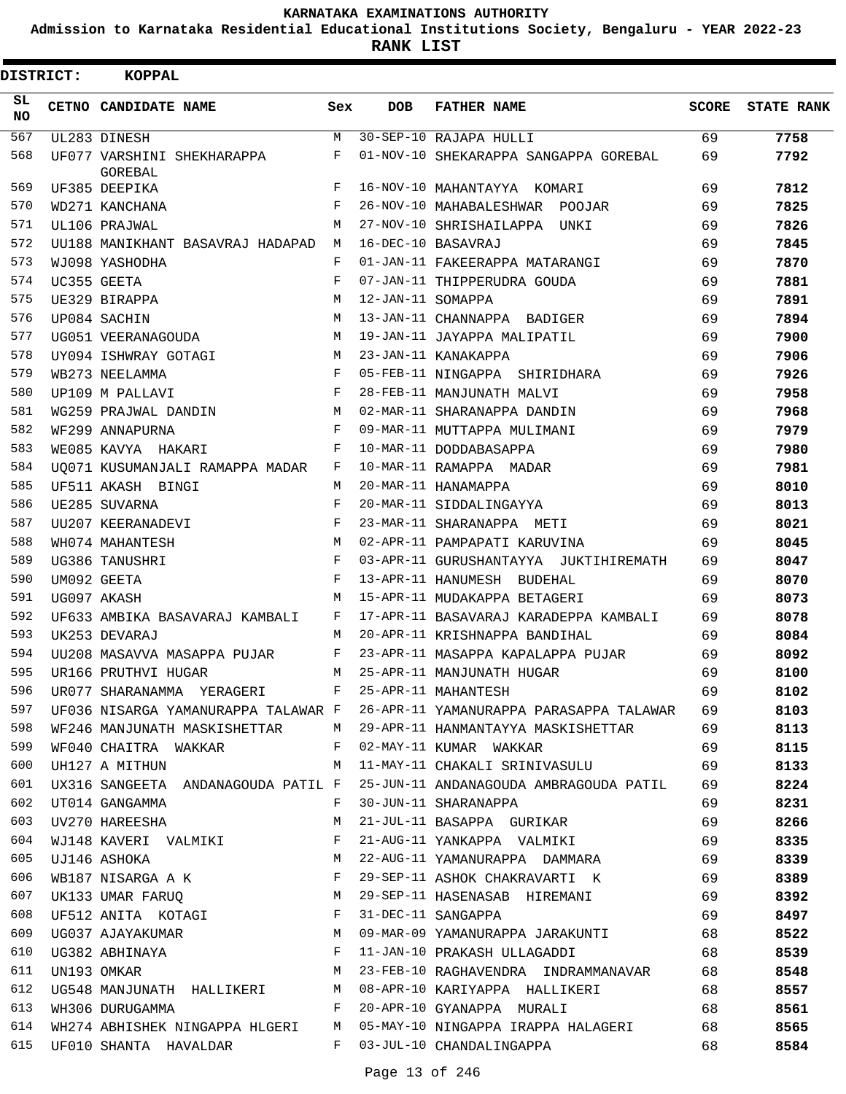**Admission to Karnataka Residential Educational Institutions Society, Bengaluru - YEAR 2022-23**

**RANK LIST**

| <b>DISTRICT:</b> | KOPPAL                                |              |                    |                                                                             |       |                   |
|------------------|---------------------------------------|--------------|--------------------|-----------------------------------------------------------------------------|-------|-------------------|
| SL<br><b>NO</b>  | CETNO CANDIDATE NAME                  | Sex          | <b>DOB</b>         | <b>FATHER NAME</b>                                                          | SCORE | <b>STATE RANK</b> |
| 567              | UL283 DINESH                          | M            |                    | 30-SEP-10 RAJAPA HULLI                                                      | 69    | 7758              |
| 568              | UF077 VARSHINI SHEKHARAPPA<br>GOREBAL | F            |                    | 01-NOV-10 SHEKARAPPA SANGAPPA GOREBAL                                       | 69    | 7792              |
| 569              | UF385 DEEPIKA                         | F            |                    | 16-NOV-10 MAHANTAYYA KOMARI                                                 | 69    | 7812              |
| 570              | WD271 KANCHANA                        | F            |                    | 26-NOV-10 MAHABALESHWAR POOJAR                                              | 69    | 7825              |
| 571              | UL106 PRAJWAL                         | M            |                    | 27-NOV-10 SHRISHAILAPPA UNKI                                                | 69    | 7826              |
| 572              | UU188 MANIKHANT BASAVRAJ HADAPAD M    |              | 16-DEC-10 BASAVRAJ |                                                                             | 69    | 7845              |
| 573              | WJ098 YASHODHA                        | F            |                    | 01-JAN-11 FAKEERAPPA MATARANGI                                              | 69    | 7870              |
| 574              | UC355 GEETA                           | F            |                    | 07-JAN-11 THIPPERUDRA GOUDA                                                 | 69    | 7881              |
| 575              | UE329 BIRAPPA                         | M            | 12-JAN-11 SOMAPPA  |                                                                             | 69    | 7891              |
| 576              | UP084 SACHIN                          | M            |                    | 13-JAN-11 CHANNAPPA BADIGER                                                 | 69    | 7894              |
| 577              | UG051 VEERANAGOUDA                    | M            |                    | 19-JAN-11 JAYAPPA MALIPATIL                                                 | 69    | 7900              |
| 578              | UY094 ISHWRAY GOTAGI                  | M            |                    | 23-JAN-11 KANAKAPPA                                                         | 69    | 7906              |
| 579              | WB273 NEELAMMA                        | F            |                    | 05-FEB-11 NINGAPPA SHIRIDHARA                                               | 69    | 7926              |
| 580              | UP109 M PALLAVI                       | F            |                    | 28-FEB-11 MANJUNATH MALVI                                                   | 69    | 7958              |
| 581              | WG259 PRAJWAL DANDIN                  | M            |                    | 02-MAR-11 SHARANAPPA DANDIN                                                 | 69    | 7968              |
| 582              | WF299 ANNAPURNA                       | $\mathbf{F}$ |                    | 09-MAR-11 MUTTAPPA MULIMANI                                                 | 69    | 7979              |
| 583              | WE085 KAVYA HAKARI                    | F            |                    | 10-MAR-11 DODDABASAPPA                                                      | 69    | 7980              |
| 584              | UO071 KUSUMANJALI RAMAPPA MADAR       | $\mathbf{F}$ |                    | 10-MAR-11 RAMAPPA MADAR                                                     | 69    | 7981              |
| 585              | UF511 AKASH BINGI                     | M            |                    | 20-MAR-11 HANAMAPPA                                                         | 69    | 8010              |
| 586              | UE285 SUVARNA                         | F            |                    | 20-MAR-11 SIDDALINGAYYA                                                     | 69    | 8013              |
| 587              | UU207 KEERANADEVI                     | F            |                    | 23-MAR-11 SHARANAPPA METI                                                   | 69    | 8021              |
| 588              | WH074 MAHANTESH                       | M            |                    | 02-APR-11 PAMPAPATI KARUVINA                                                | 69    | 8045              |
| 589              | UG386 TANUSHRI                        | F            |                    | 03-APR-11 GURUSHANTAYYA JUKTIHIREMATH                                       | 69    | 8047              |
| 590              | UM092 GEETA                           | F            |                    | 13-APR-11 HANUMESH BUDEHAL                                                  | 69    | 8070              |
| 591              | UG097 AKASH                           | M            |                    | 15-APR-11 MUDAKAPPA BETAGERI                                                | 69    | 8073              |
| 592              | UF633 AMBIKA BASAVARAJ KAMBALI        | F            |                    | 17-APR-11 BASAVARAJ KARADEPPA KAMBALI                                       | 69    | 8078              |
| 593              | UK253 DEVARAJ                         | M            |                    | 20-APR-11 KRISHNAPPA BANDIHAL                                               | 69    | 8084              |
| 594              | UU208 MASAVVA MASAPPA PUJAR           | F            |                    | 23-APR-11 MASAPPA KAPALAPPA PUJAR                                           | 69    | 8092              |
| 595              | UR166 PRUTHVI HUGAR                   | M            |                    | 25-APR-11 MANJUNATH HUGAR                                                   | 69    | 8100              |
| 596              | UR077 SHARANAMMA YERAGERI F           |              |                    | 25-APR-11 MAHANTESH                                                         | 69    | 8102              |
| 597              |                                       |              |                    | UF036 NISARGA YAMANURAPPA TALAWAR F 26-APR-11 YAMANURAPPA PARASAPPA TALAWAR | 69    | 8103              |
| 598              | WF246 MANJUNATH MASKISHETTAR          |              |                    | M 29-APR-11 HANMANTAYYA MASKISHETTAR                                        | 69    | 8113              |
| 599              | WF040 CHAITRA WAKKAR                  | F            |                    | 02-MAY-11 KUMAR WAKKAR                                                      | 69    | 8115              |
| 600              | UH127 A MITHUN                        | M            |                    | 11-MAY-11 CHAKALI SRINIVASULU                                               | 69    | 8133              |
| 601              | UX316 SANGEETA ANDANAGOUDA PATIL F    |              |                    | 25-JUN-11 ANDANAGOUDA AMBRAGOUDA PATIL                                      | 69    | 8224              |
| 602              | UT014 GANGAMMA                        | F            |                    | 30-JUN-11 SHARANAPPA                                                        | 69    | 8231              |
| 603              | UV270 HAREESHA                        | M            |                    | 21-JUL-11 BASAPPA GURIKAR                                                   | 69    | 8266              |
| 604              | WJ148 KAVERI VALMIKI                  | F            |                    | 21-AUG-11 YANKAPPA VALMIKI                                                  | 69    | 8335              |
| 605              | UJ146 ASHOKA                          | M            |                    | 22-AUG-11 YAMANURAPPA DAMMARA                                               | 69    | 8339              |
| 606              | WB187 NISARGA A K                     | F            |                    | 29-SEP-11 ASHOK CHAKRAVARTI K                                               | 69    | 8389              |
| 607              | M<br>UK133 UMAR FARUQ                 |              |                    | 29-SEP-11 HASENASAB HIREMANI                                                | 69    | 8392              |
| 608              | UF512 ANITA KOTAGI F                  |              |                    | 31-DEC-11 SANGAPPA                                                          | 69    | 8497              |
| 609              | UG037 AJAYAKUMAR M                    |              |                    | 09-MAR-09 YAMANURAPPA JARAKUNTI                                             | 68    | 8522              |
| 610              | UG382 ABHINAYA                        | $\mathbf{F}$ |                    | 11-JAN-10 PRAKASH ULLAGADDI                                                 | 68    | 8539              |
| 611              | UN193 OMKAR                           | M            |                    | 23-FEB-10 RAGHAVENDRA INDRAMMANAVAR                                         | 68    | 8548              |
| 612              | UG548 MANJUNATH HALLIKERI M           |              |                    | 08-APR-10 KARIYAPPA HALLIKERI                                               | 68    | 8557              |
| 613              | WH306 DURUGAMMA                       | $\mathbf{F}$ |                    | 20-APR-10 GYANAPPA MURALI                                                   | 68    | 8561              |
| 614              | WH274 ABHISHEK NINGAPPA HLGERI<br>M   |              |                    | 05-MAY-10 NINGAPPA IRAPPA HALAGERI                                          | 68    | 8565              |
| 615              | UF010 SHANTA HAVALDAR                 | $F -$        |                    | 03-JUL-10 CHANDALINGAPPA                                                    | 68    | 8584              |
|                  |                                       |              |                    |                                                                             |       |                   |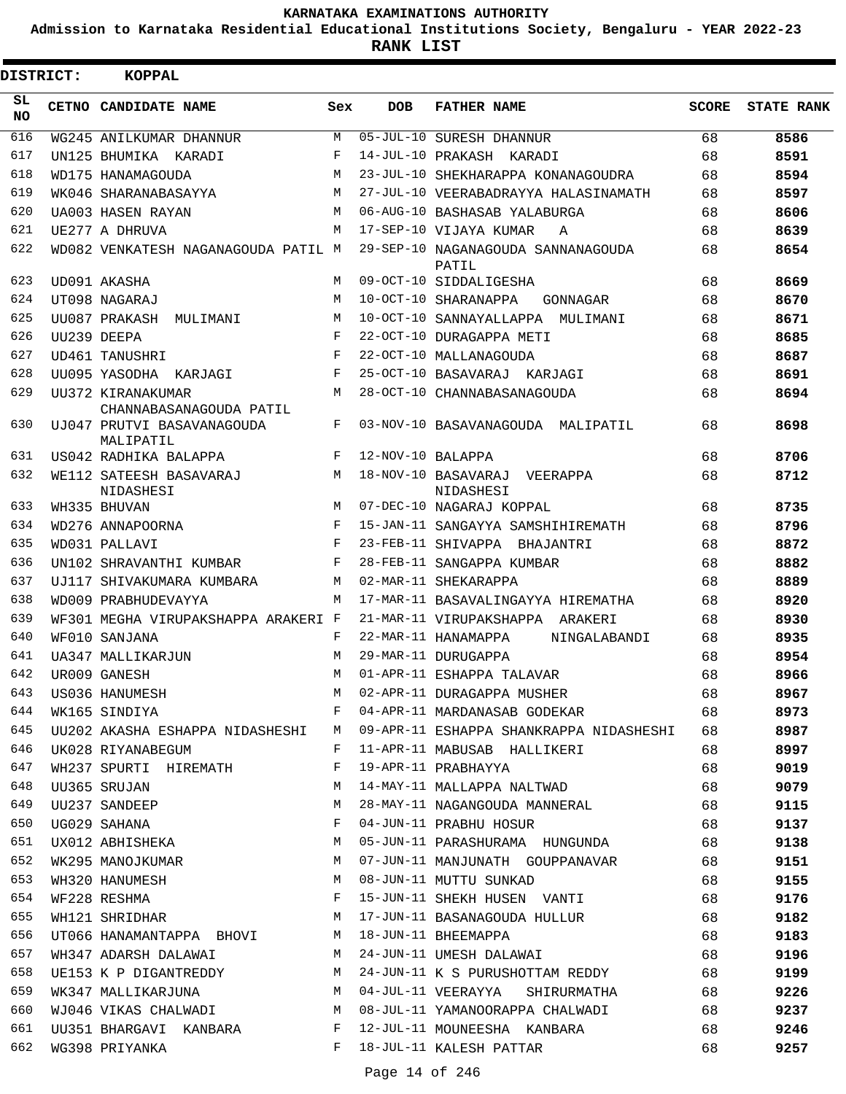**Admission to Karnataka Residential Educational Institutions Society, Bengaluru - YEAR 2022-23**

**RANK LIST**

| <b>DISTRICT:</b> | <b>KOPPAL</b>                                        |            |                   |                                                                              |       |                   |
|------------------|------------------------------------------------------|------------|-------------------|------------------------------------------------------------------------------|-------|-------------------|
| SL.<br><b>NO</b> | CETNO CANDIDATE NAME                                 | Sex        | <b>DOB</b>        | <b>FATHER NAME</b>                                                           | SCORE | <b>STATE RANK</b> |
| 616              | WG245 ANILKUMAR DHANNUR                              | M          |                   | 05-JUL-10 SURESH DHANNUR                                                     | 68    | 8586              |
| 617              | UN125 BHUMIKA KARADI                                 | F          |                   | 14-JUL-10 PRAKASH KARADI                                                     | 68    | 8591              |
| 618              | WD175 HANAMAGOUDA                                    | M          |                   | 23-JUL-10 SHEKHARAPPA KONANAGOUDRA                                           | 68    | 8594              |
| 619              | WK046 SHARANABASAYYA                                 | M          |                   | 27-JUL-10 VEERABADRAYYA HALASINAMATH                                         | 68    | 8597              |
| 620              | UA003 HASEN RAYAN                                    | M          |                   | 06-AUG-10 BASHASAB YALABURGA                                                 | 68    | 8606              |
| 621              | UE277 A DHRUVA                                       | M          |                   | 17-SEP-10 VIJAYA KUMAR<br>A                                                  | 68    | 8639              |
| 622              | WD082 VENKATESH NAGANAGOUDA PATIL M                  |            |                   | 29-SEP-10 NAGANAGOUDA SANNANAGOUDA<br>PATIL                                  | 68    | 8654              |
| 623              | UD091 AKASHA                                         | M          |                   | 09-OCT-10 SIDDALIGESHA                                                       | 68    | 8669              |
| 624              | UT098 NAGARAJ                                        | M          |                   | 10-OCT-10 SHARANAPPA<br>GONNAGAR                                             | 68    | 8670              |
| 625              | UU087 PRAKASH MULIMANI                               | M          |                   | 10-OCT-10 SANNAYALLAPPA MULIMANI                                             | 68    | 8671              |
| 626              | UU239 DEEPA                                          | F          |                   | 22-OCT-10 DURAGAPPA METI                                                     | 68    | 8685              |
| 627              | UD461 TANUSHRI                                       | $_{\rm F}$ |                   | 22-OCT-10 MALLANAGOUDA                                                       | 68    | 8687              |
| 628              | UU095 YASODHA KARJAGI                                | F          |                   | 25-OCT-10 BASAVARAJ KARJAGI                                                  | 68    | 8691              |
| 629              | UU372 KIRANAKUMAR<br>CHANNABASANAGOUDA PATIL         | M          |                   | 28-OCT-10 CHANNABASANAGOUDA                                                  | 68    | 8694              |
| 630              | UJ047 PRUTVI BASAVANAGOUDA<br>MALIPATIL              | F          |                   | 03-NOV-10 BASAVANAGOUDA MALIPATIL                                            | 68    | 8698              |
| 631              | US042 RADHIKA BALAPPA                                | F          | 12-NOV-10 BALAPPA |                                                                              | 68    | 8706              |
| 632              | WE112 SATEESH BASAVARAJ<br>NIDASHESI                 | M          |                   | 18-NOV-10 BASAVARAJ VEERAPPA<br>NIDASHESI                                    | 68    | 8712              |
| 633              | WH335 BHUVAN                                         | M          |                   | 07-DEC-10 NAGARAJ KOPPAL                                                     | 68    | 8735              |
| 634              | WD276 ANNAPOORNA                                     | F          |                   | 15-JAN-11 SANGAYYA SAMSHIHIREMATH                                            | 68    | 8796              |
| 635              | WD031 PALLAVI                                        | F          |                   | 23-FEB-11 SHIVAPPA BHAJANTRI                                                 | 68    | 8872              |
| 636              | UN102 SHRAVANTHI KUMBAR                              | F          |                   | 28-FEB-11 SANGAPPA KUMBAR                                                    | 68    | 8882              |
| 637              | UJ117 SHIVAKUMARA KUMBARA                            | M          |                   | 02-MAR-11 SHEKARAPPA                                                         | 68    | 8889              |
| 638              | WD009 PRABHUDEVAYYA                                  | M          |                   | 17-MAR-11 BASAVALINGAYYA HIREMATHA                                           | 68    | 8920              |
| 639              | WF301 MEGHA VIRUPAKSHAPPA ARAKERI F                  |            |                   | 21-MAR-11 VIRUPAKSHAPPA ARAKERI                                              | 68    | 8930              |
| 640              | WF010 SANJANA                                        | F          |                   | 22-MAR-11 HANAMAPPA<br>NINGALABANDI                                          | 68    | 8935              |
| 641              | UA347 MALLIKARJUN                                    | M          |                   | 29-MAR-11 DURUGAPPA                                                          | 68    | 8954              |
| 642              | UR009 GANESH                                         | M          |                   | 01-APR-11 ESHAPPA TALAVAR                                                    | 68    | 8966              |
| 643              | US036 HANUMESH                                       | M          |                   | 02-APR-11 DURAGAPPA MUSHER                                                   | 68    | 8967              |
| 644              | WK165 SINDIYA                                        | F          |                   | 04-APR-11 MARDANASAB GODEKAR                                                 | 68    | 8973              |
| 645              |                                                      |            |                   | UU202 AKASHA ESHAPPA NIDASHESHI M 09-APR-11 ESHAPPA SHANKRAPPA NIDASHESHI 68 |       | 8987              |
| 646              | UK028 RIYANABEGUM                                    | F          |                   | 11-APR-11 MABUSAB HALLIKERI                                                  | 68    | 8997              |
| 647              | WH237 SPURTI HIREMATH F                              |            |                   | 19-APR-11 PRABHAYYA                                                          | 68    | 9019              |
| 648              | UU365 SRUJAN<br>M <sub>N</sub>                       |            |                   | 14-MAY-11 MALLAPPA NALTWAD                                                   | 68    | 9079              |
| 649              | UU237 SANDEEP                                        | М          |                   | 28-MAY-11 NAGANGOUDA MANNERAL                                                | 68    | 9115              |
| 650              | UG029 SAHANA                                         | F          |                   | 04-JUN-11 PRABHU HOSUR                                                       | 68    | 9137              |
| 651              | UX012 ABHISHEKA                                      | M          |                   | 05-JUN-11 PARASHURAMA HUNGUNDA                                               | 68    | 9138              |
| 652              | WK295 MANOJKUMAR M                                   |            |                   | 07-JUN-11 MANJUNATH GOUPPANAVAR                                              | 68    | 9151              |
| 653              | WH320 HANUMESH M                                     |            |                   | 08-JUN-11 MUTTU SUNKAD                                                       | 68    | 9155              |
| 654              | $\mathbf F$ . The set of $\mathbf F$<br>WF228 RESHMA |            |                   | 15-JUN-11 SHEKH HUSEN VANTI                                                  | 68    | 9176              |
| 655              | WH121 SHRIDHAR                                       | M          |                   | 17-JUN-11 BASANAGOUDA HULLUR                                                 | 68    | 9182              |
| 656              | UT066 HANAMANTAPPA BHOVI M 18-JUN-11 BHEEMAPPA       |            |                   |                                                                              | 68    | 9183              |
| 657              | WH347 ADARSH DALAWAI M                               |            |                   | 24-JUN-11 UMESH DALAWAI                                                      | 68    | 9196              |
| 658              | UE153 K P DIGANTREDDY M                              |            |                   | 24-JUN-11 K S PURUSHOTTAM REDDY                                              | 68    | 9199              |
| 659              | WK347 MALLIKARJUNA M                                 |            |                   | 04-JUL-11 VEERAYYA SHIRURMATHA                                               | 68    | 9226              |
| 660              |                                                      |            |                   | WJ046 VIKAS CHALWADI M 08-JUL-11 YAMANOORAPPA CHALWADI                       | 68    | 9237              |
| 661              | UU351 BHARGAVI KANBARA F                             |            |                   | 12-JUL-11 MOUNEESHA KANBARA                                                  | 68    | 9246              |
| 662              | WG398 PRIYANKA                                       | F          |                   | 18-JUL-11 KALESH PATTAR                                                      | 68    | 9257              |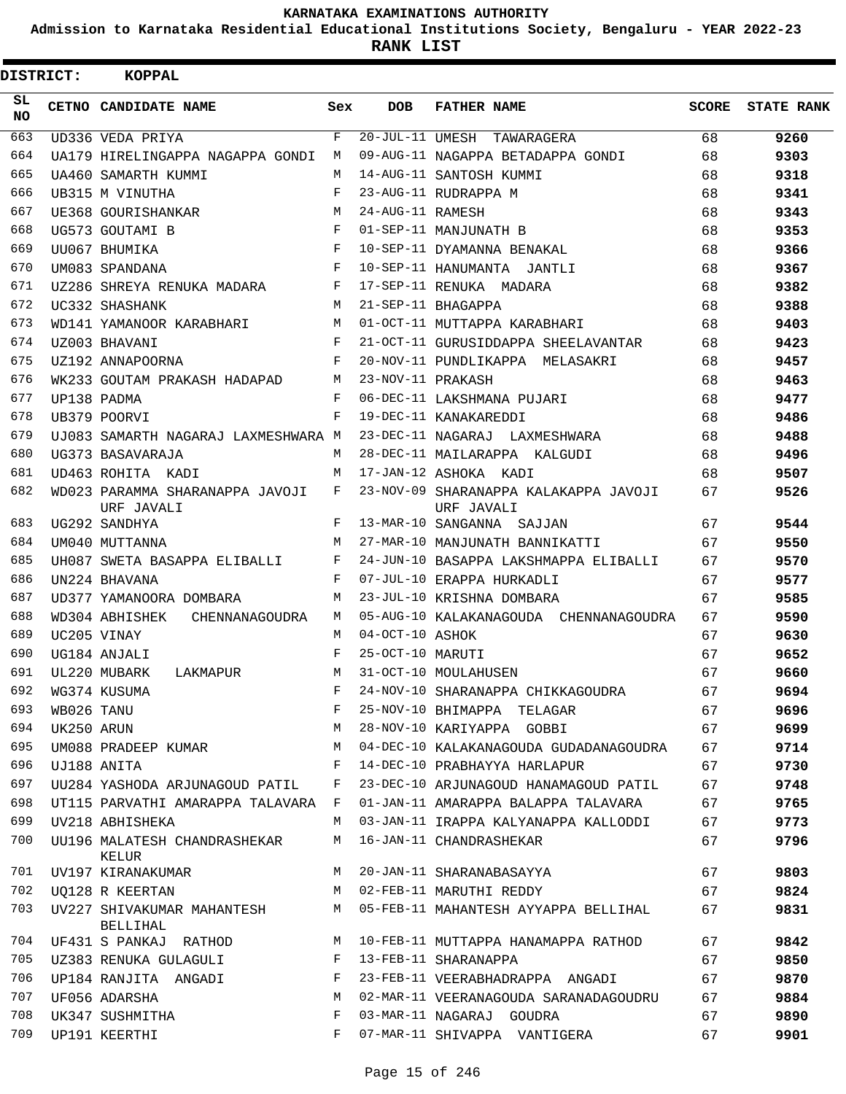**Admission to Karnataka Residential Educational Institutions Society, Bengaluru - YEAR 2022-23**

**RANK LIST**

| <b>DISTRICT:</b> |            | KOPPAL                                        |              |                   |                                                     |              |                   |
|------------------|------------|-----------------------------------------------|--------------|-------------------|-----------------------------------------------------|--------------|-------------------|
| SL.<br>NO.       |            | CETNO CANDIDATE NAME                          | Sex          | <b>DOB</b>        | <b>FATHER NAME</b>                                  | <b>SCORE</b> | <b>STATE RANK</b> |
| 663              |            | UD336 VEDA PRIYA                              | F            |                   | 20-JUL-11 UMESH TAWARAGERA                          | 68           | 9260              |
| 664              |            | UA179 HIRELINGAPPA NAGAPPA GONDI              | M            |                   | 09-AUG-11 NAGAPPA BETADAPPA GONDI                   | 68           | 9303              |
| 665              |            | UA460 SAMARTH KUMMI                           | M            |                   | 14-AUG-11 SANTOSH KUMMI                             | 68           | 9318              |
| 666              |            | UB315 M VINUTHA                               | $\mathbf{F}$ |                   | 23-AUG-11 RUDRAPPA M                                | 68           | 9341              |
| 667              |            | UE368 GOURISHANKAR                            | M            | 24-AUG-11 RAMESH  |                                                     | 68           | 9343              |
| 668              |            | UG573 GOUTAMI B                               | F            |                   | 01-SEP-11 MANJUNATH B                               | 68           | 9353              |
| 669              |            | UU067 BHUMIKA                                 | F            |                   | 10-SEP-11 DYAMANNA BENAKAL                          | 68           | 9366              |
| 670              |            | UM083 SPANDANA                                | F            |                   | 10-SEP-11 HANUMANTA JANTLI                          | 68           | 9367              |
| 671              |            | UZ286 SHREYA RENUKA MADARA                    | $\mathbf{F}$ |                   | 17-SEP-11 RENUKA MADARA                             | 68           | 9382              |
| 672              |            | UC332 SHASHANK                                | M            |                   | 21-SEP-11 BHAGAPPA                                  | 68           | 9388              |
| 673              |            | WD141 YAMANOOR KARABHARI                      | M            |                   | 01-OCT-11 MUTTAPPA KARABHARI                        | 68           | 9403              |
| 674              |            | UZ003 BHAVANI                                 | F            |                   | 21-OCT-11 GURUSIDDAPPA SHEELAVANTAR                 | 68           | 9423              |
| 675              |            | UZ192 ANNAPOORNA                              | $\mathbf{F}$ |                   | 20-NOV-11 PUNDLIKAPPA MELASAKRI                     | 68           | 9457              |
| 676              |            | WK233 GOUTAM PRAKASH HADAPAD M                |              | 23-NOV-11 PRAKASH |                                                     | 68           | 9463              |
| 677              |            | UP138 PADMA                                   | $\mathbf{F}$ |                   | 06-DEC-11 LAKSHMANA PUJARI                          | 68           | 9477              |
| 678              |            | UB379 POORVI                                  | F            |                   | 19-DEC-11 KANAKAREDDI                               | 68           | 9486              |
| 679              |            | UJ083 SAMARTH NAGARAJ LAXMESHWARA M           |              |                   | 23-DEC-11 NAGARAJ LAXMESHWARA                       | 68           | 9488              |
| 680              |            | UG373 BASAVARAJA                              | M            |                   | 28-DEC-11 MAILARAPPA KALGUDI                        | 68           | 9496              |
| 681              |            | UD463 ROHITA KADI                             | M            |                   | 17-JAN-12 ASHOKA KADI                               | 68           | 9507              |
| 682              |            | WD023 PARAMMA SHARANAPPA JAVOJI<br>URF JAVALI | $F$ and      |                   | 23-NOV-09 SHARANAPPA KALAKAPPA JAVOJI<br>URF JAVALI | 67           | 9526              |
| 683              |            | UG292 SANDHYA                                 | F            |                   | 13-MAR-10 SANGANNA SAJJAN                           | 67           | 9544              |
| 684              |            | UM040 MUTTANNA                                | M            |                   | 27-MAR-10 MANJUNATH BANNIKATTI                      | 67           | 9550              |
| 685              |            | UH087 SWETA BASAPPA ELIBALLI                  | F            |                   | 24-JUN-10 BASAPPA LAKSHMAPPA ELIBALLI               | 67           | 9570              |
| 686              |            | UN224 BHAVANA                                 | F            |                   | 07-JUL-10 ERAPPA HURKADLI                           | 67           | 9577              |
| 687              |            | UD377 YAMANOORA DOMBARA                       | M            |                   | 23-JUL-10 KRISHNA DOMBARA                           | 67           | 9585              |
| 688              |            | WD304 ABHISHEK<br>CHENNANAGOUDRA              | M            |                   | 05-AUG-10 KALAKANAGOUDA CHENNANAGOUDRA              | 67           | 9590              |
| 689              |            | UC205 VINAY                                   | M            | 04-OCT-10 ASHOK   |                                                     | 67           | 9630              |
| 690              |            | UG184 ANJALI                                  | F            | 25-OCT-10 MARUTI  |                                                     | 67           | 9652              |
| 691              |            | UL220 MUBARK<br>LAKMAPUR                      | M            |                   | 31-OCT-10 MOULAHUSEN                                | 67           | 9660              |
| 692              |            | WG374 KUSUMA                                  | F            |                   | 24-NOV-10 SHARANAPPA CHIKKAGOUDRA                   | 67           | 9694              |
| 693              | WB026 TANU |                                               | F            |                   | 25-NOV-10 BHIMAPPA TELAGAR                          | 67           | 9696              |
| 694              | UK250 ARUN |                                               | M            |                   | 28-NOV-10 KARIYAPPA GOBBI                           | 67           | 9699              |
| 695              |            | UM088 PRADEEP KUMAR                           | М            |                   | 04-DEC-10 KALAKANAGOUDA GUDADANAGOUDRA              | 67           | 9714              |
| 696              |            | UJ188 ANITA                                   | F            |                   | 14-DEC-10 PRABHAYYA HARLAPUR                        | 67           | 9730              |
| 697              |            | UU284 YASHODA ARJUNAGOUD PATIL                | F            |                   | 23-DEC-10 ARJUNAGOUD HANAMAGOUD PATIL               | 67           | 9748              |
| 698              |            | UT115 PARVATHI AMARAPPA TALAVARA F            |              |                   | 01-JAN-11 AMARAPPA BALAPPA TALAVARA                 | 67           | 9765              |
| 699              |            | UV218 ABHISHEKA                               | M            |                   | 03-JAN-11 IRAPPA KALYANAPPA KALLODDI                | 67           | 9773              |
| 700              |            | UU196 MALATESH CHANDRASHEKAR<br>KELUR         | М            |                   | 16-JAN-11 CHANDRASHEKAR                             | 67           | 9796              |
| 701              |            | UV197 KIRANAKUMAR                             | M            |                   | 20-JAN-11 SHARANABASAYYA                            | 67           | 9803              |
| 702              |            | UO128 R KEERTAN                               | M            |                   | 02-FEB-11 MARUTHI REDDY                             | 67           | 9824              |
| 703              |            | UV227 SHIVAKUMAR MAHANTESH<br>BELLIHAL        | М            |                   | 05-FEB-11 MAHANTESH AYYAPPA BELLIHAL                | 67           | 9831              |
| 704              |            | UF431 S PANKAJ RATHOD                         | М            |                   | 10-FEB-11 MUTTAPPA HANAMAPPA RATHOD                 | 67           | 9842              |
| 705              |            | UZ383 RENUKA GULAGULI                         | F            |                   | 13-FEB-11 SHARANAPPA                                | 67           | 9850              |
| 706              |            | UP184 RANJITA ANGADI                          | F            |                   | 23-FEB-11 VEERABHADRAPPA ANGADI                     | 67           | 9870              |
| 707              |            | UF056 ADARSHA                                 | М            |                   | 02-MAR-11 VEERANAGOUDA SARANADAGOUDRU               | 67           | 9884              |
| 708              |            | UK347 SUSHMITHA                               | F            |                   | 03-MAR-11 NAGARAJ GOUDRA                            | 67           | 9890              |
| 709              |            | UP191 KEERTHI                                 | F            |                   | 07-MAR-11 SHIVAPPA VANTIGERA                        | 67           | 9901              |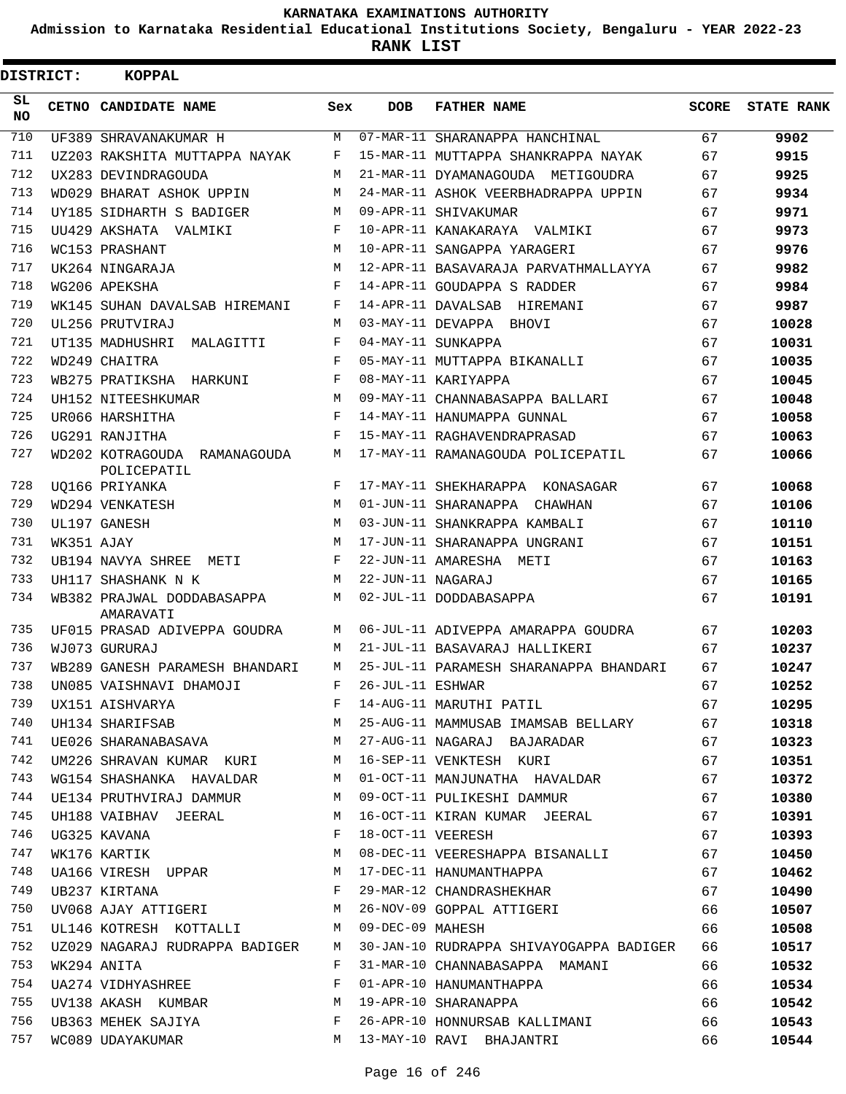**Admission to Karnataka Residential Educational Institutions Society, Bengaluru - YEAR 2022-23**

**RANK LIST**

| <b>DISTRICT:</b> |            | KOPPAL                                         |              |                   |                                                   |              |                   |
|------------------|------------|------------------------------------------------|--------------|-------------------|---------------------------------------------------|--------------|-------------------|
| SL<br><b>NO</b>  |            | CETNO CANDIDATE NAME                           | Sex          | <b>DOB</b>        | <b>FATHER NAME</b>                                | <b>SCORE</b> | <b>STATE RANK</b> |
| 710              |            | UF389 SHRAVANAKUMAR H                          | M            |                   | 07-MAR-11 SHARANAPPA HANCHINAL                    | 67           | 9902              |
| 711              |            | UZ203 RAKSHITA MUTTAPPA NAYAK                  | F            |                   | 15-MAR-11 MUTTAPPA SHANKRAPPA NAYAK               | 67           | 9915              |
| 712              |            | UX283 DEVINDRAGOUDA                            | М            |                   | 21-MAR-11 DYAMANAGOUDA METIGOUDRA                 | 67           | 9925              |
| 713              |            | WD029 BHARAT ASHOK UPPIN                       | M            |                   | 24-MAR-11 ASHOK VEERBHADRAPPA UPPIN               | 67           | 9934              |
| 714              |            | UY185 SIDHARTH S BADIGER                       | M            |                   | 09-APR-11 SHIVAKUMAR                              | 67           | 9971              |
| 715              |            | UU429 AKSHATA VALMIKI                          | F            |                   | 10-APR-11 KANAKARAYA VALMIKI                      | 67           | 9973              |
| 716              |            | WC153 PRASHANT                                 | M            |                   | 10-APR-11 SANGAPPA YARAGERI                       | 67           | 9976              |
| 717              |            | UK264 NINGARAJA                                | M            |                   | 12-APR-11 BASAVARAJA PARVATHMALLAYYA              | 67           | 9982              |
| 718              |            | WG206 APEKSHA                                  | F            |                   | 14-APR-11 GOUDAPPA S RADDER                       | 67           | 9984              |
| 719              |            | WK145 SUHAN DAVALSAB HIREMANI                  | F            |                   | 14-APR-11 DAVALSAB HIREMANI                       | 67           | 9987              |
| 720              |            | UL256 PRUTVIRAJ                                | M            |                   | 03-MAY-11 DEVAPPA BHOVI                           | 67           | 10028             |
| 721              |            | UT135 MADHUSHRI MALAGITTI                      | F            |                   | 04-MAY-11 SUNKAPPA                                | 67           | 10031             |
| 722              |            | WD249 CHAITRA                                  | F            |                   | 05-MAY-11 MUTTAPPA BIKANALLI                      | 67           | 10035             |
| 723              |            | WB275 PRATIKSHA HARKUNI                        | F            |                   | 08-MAY-11 KARIYAPPA                               | 67           | 10045             |
| 724              |            | UH152 NITEESHKUMAR                             | M            |                   | 09-MAY-11 CHANNABASAPPA BALLARI                   | 67           | 10048             |
| 725              |            | UR066 HARSHITHA                                | F            |                   | 14-MAY-11 HANUMAPPA GUNNAL                        | 67           | 10058             |
| 726              |            | UG291 RANJITHA                                 | F            |                   | 15-MAY-11 RAGHAVENDRAPRASAD                       | 67           | 10063             |
| 727              |            | WD202 KOTRAGOUDA RAMANAGOUDA<br>POLICEPATIL    | М            |                   | 17-MAY-11 RAMANAGOUDA POLICEPATIL                 | 67           | 10066             |
| 728              |            | UQ166 PRIYANKA                                 | F            |                   | 17-MAY-11 SHEKHARAPPA KONASAGAR                   | 67           | 10068             |
| 729              |            | WD294 VENKATESH                                | M            |                   | 01-JUN-11 SHARANAPPA CHAWHAN                      | 67           | 10106             |
| 730              |            | UL197 GANESH                                   | M            |                   | 03-JUN-11 SHANKRAPPA KAMBALI                      | 67           | 10110             |
| 731              | WK351 AJAY |                                                | M            |                   | 17-JUN-11 SHARANAPPA UNGRANI                      | 67           | 10151             |
| 732              |            | UB194 NAVYA SHREE METI                         | F            |                   | 22-JUN-11 AMARESHA METI                           | 67           | 10163             |
| 733              |            | UH117 SHASHANK N K                             | М            | 22-JUN-11 NAGARAJ |                                                   | 67           | 10165             |
| 734              |            | WB382 PRAJWAL DODDABASAPPA<br>AMARAVATI        | M            |                   | 02-JUL-11 DODDABASAPPA                            | 67           | 10191             |
| 735              |            | UF015 PRASAD ADIVEPPA GOUDRA                   | M            |                   | 06-JUL-11 ADIVEPPA AMARAPPA GOUDRA                | 67           | 10203             |
| 736              |            | WJ073 GURURAJ                                  | M            |                   | 21-JUL-11 BASAVARAJ HALLIKERI                     | 67           | 10237             |
| 737              |            | WB289 GANESH PARAMESH BHANDARI                 | M            |                   | 25-JUL-11 PARAMESH SHARANAPPA BHANDARI            | 67           | 10247             |
|                  |            | 738 UN085 VAISHNAVI DHAMOJI F 26-JUL-11 ESHWAR |              |                   |                                                   | 67           | 10252             |
| 739              |            | UX151 AISHVARYA F                              |              |                   | 14-AUG-11 MARUTHI PATIL                           | 67           | 10295             |
| 740              |            | UH134 SHARIFSAB M                              |              |                   | 25-AUG-11 MAMMUSAB IMAMSAB BELLARY 67             |              | 10318             |
| 741              |            |                                                |              |                   | UE026 SHARANABASAVA M 27-AUG-11 NAGARAJ BAJARADAR | 67           | 10323             |
| 742              |            | UM226 SHRAVAN KUMAR KURI M                     |              |                   | 16-SEP-11 VENKTESH KURI                           | 67           | 10351             |
| 743              |            | WG154 SHASHANKA HAVALDAR                       | M            |                   | 01-OCT-11 MANJUNATHA HAVALDAR                     | 67           | 10372             |
| 744              |            | UE134 PRUTHVIRAJ DAMMUR M                      |              |                   | 09-OCT-11 PULIKESHI DAMMUR                        | 67           | 10380             |
| 745              |            | UH188 VAIBHAV JEERAL M                         |              |                   | 16-OCT-11 KIRAN KUMAR JEERAL                      | 67           | 10391             |
| 746              |            | UG325 KAVANA                                   | $\mathbb{F}$ | 18-OCT-11 VEERESH |                                                   | 67           | 10393             |
| 747              |            | WK176 KARTIK                                   | M            |                   | 08-DEC-11 VEERESHAPPA BISANALLI                   | 67           | 10450             |
| 748              |            | UA166 VIRESH UPPAR M                           |              |                   | 17-DEC-11 HANUMANTHAPPA                           | 67           | 10462             |
| 749              |            | $\mathbf{F}$<br>UB237 KIRTANA                  |              |                   | 29-MAR-12 CHANDRASHEKHAR                          | 67           | 10490             |
| 750              |            |                                                |              |                   | UV068 AJAY ATTIGERI M 26-NOV-09 GOPPAL ATTIGERI   | 66           | 10507             |
| 751              |            | UL146 KOTRESH KOTTALLI M                       |              | 09-DEC-09 MAHESH  |                                                   | 66           | 10508             |
| 752              |            | UZ029 NAGARAJ RUDRAPPA BADIGER M               |              |                   | 30-JAN-10 RUDRAPPA SHIVAYOGAPPA BADIGER           | 66           | 10517             |
| 753              |            | WK294 ANITA                                    | F            |                   | 31-MAR-10 CHANNABASAPPA MAMANI                    | 66           | 10532             |
| 754              |            | UA274 VIDHYASHREE                              | $\mathbf{F}$ |                   | 01-APR-10 HANUMANTHAPPA                           | 66           | 10534             |
| 755              |            | UV138 AKASH KUMBAR M                           |              |                   | 19-APR-10 SHARANAPPA                              | 66           | 10542             |
| 756              |            | UB363 MEHEK SAJIYA F                           |              |                   | 26-APR-10 HONNURSAB KALLIMANI                     | 66           | 10543             |
| 757              |            | WC089 UDAYAKUMAR                               |              |                   | M 13-MAY-10 RAVI BHAJANTRI                        | 66           | 10544             |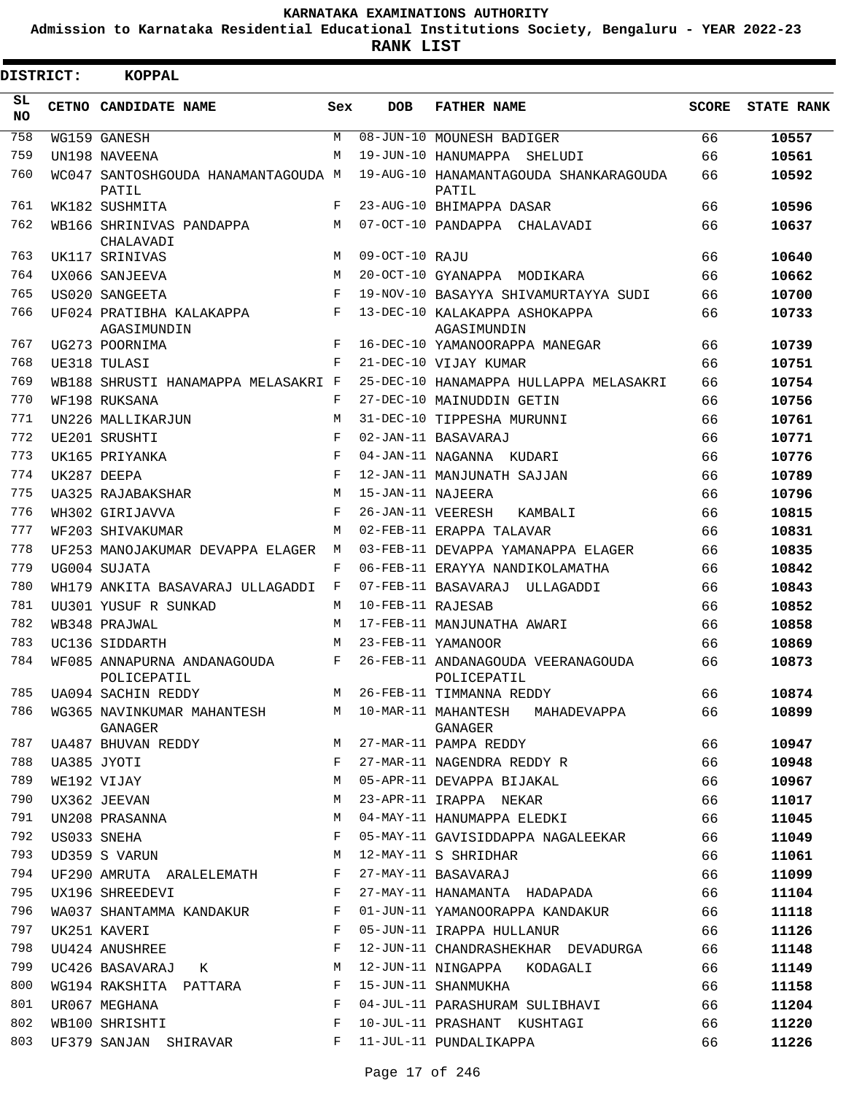**Admission to Karnataka Residential Educational Institutions Society, Bengaluru - YEAR 2022-23**

**RANK LIST**

| <b>DISTRICT:</b> | <b>KOPPAL</b>                                |            |                   |                                                   |              |                   |
|------------------|----------------------------------------------|------------|-------------------|---------------------------------------------------|--------------|-------------------|
| SL<br>NO         | CETNO CANDIDATE NAME                         | Sex        | <b>DOB</b>        | <b>FATHER NAME</b>                                | <b>SCORE</b> | <b>STATE RANK</b> |
| 758              | WG159 GANESH                                 | M          |                   | 08-JUN-10 MOUNESH BADIGER                         | 66           | 10557             |
| 759              | UN198 NAVEENA                                | M          |                   | 19-JUN-10 HANUMAPPA SHELUDI                       | 66           | 10561             |
| 760              | WC047 SANTOSHGOUDA HANAMANTAGOUDA M<br>PATIL |            |                   | 19-AUG-10 HANAMANTAGOUDA SHANKARAGOUDA<br>PATIL   | 66           | 10592             |
| 761              | WK182 SUSHMITA                               | F          |                   | 23-AUG-10 BHIMAPPA DASAR                          | 66           | 10596             |
| 762              | WB166 SHRINIVAS PANDAPPA<br>CHALAVADI        | M          |                   | 07-OCT-10 PANDAPPA CHALAVADI                      | 66           | 10637             |
| 763              | UK117 SRINIVAS                               | M          | 09-OCT-10 RAJU    |                                                   | 66           | 10640             |
| 764              | UX066 SANJEEVA                               | M          |                   | 20-OCT-10 GYANAPPA MODIKARA                       | 66           | 10662             |
| 765              | US020 SANGEETA                               | $_{\rm F}$ |                   | 19-NOV-10 BASAYYA SHIVAMURTAYYA SUDI              | 66           | 10700             |
| 766              | UF024 PRATIBHA KALAKAPPA<br>AGASIMUNDIN      | $_{\rm F}$ |                   | 13-DEC-10 KALAKAPPA ASHOKAPPA<br>AGASIMUNDIN      | 66           | 10733             |
| 767              | UG273 POORNIMA                               | F          |                   | 16-DEC-10 YAMANOORAPPA MANEGAR                    | 66           | 10739             |
| 768              | UE318 TULASI                                 | F          |                   | 21-DEC-10 VIJAY KUMAR                             | 66           | 10751             |
| 769              | WB188 SHRUSTI HANAMAPPA MELASAKRI F          |            |                   | 25-DEC-10 HANAMAPPA HULLAPPA MELASAKRI            | 66           | 10754             |
| 770              | WF198 RUKSANA                                | F          |                   | 27-DEC-10 MAINUDDIN GETIN                         | 66           | 10756             |
| 771              | UN226 MALLIKARJUN                            | M          |                   | 31-DEC-10 TIPPESHA MURUNNI                        | 66           | 10761             |
| 772              | UE201 SRUSHTI                                | F          |                   | 02-JAN-11 BASAVARAJ                               | 66           | 10771             |
| 773              | UK165 PRIYANKA                               | $_{\rm F}$ |                   | 04-JAN-11 NAGANNA KUDARI                          | 66           | 10776             |
| 774              | UK287 DEEPA                                  | F          |                   | 12-JAN-11 MANJUNATH SAJJAN                        | 66           | 10789             |
| 775              | UA325 RAJABAKSHAR                            | M          | 15-JAN-11 NAJEERA |                                                   | 66           | 10796             |
| 776              | WH302 GIRIJAVVA                              | F          | 26-JAN-11 VEERESH | KAMBALI                                           | 66           | 10815             |
| 777              | WF203 SHIVAKUMAR                             | M          |                   | 02-FEB-11 ERAPPA TALAVAR                          | 66           | 10831             |
| 778              | UF253 MANOJAKUMAR DEVAPPA ELAGER             | М          |                   | 03-FEB-11 DEVAPPA YAMANAPPA ELAGER                | 66           | 10835             |
| 779              | UG004 SUJATA                                 | F          |                   | 06-FEB-11 ERAYYA NANDIKOLAMATHA                   | 66           | 10842             |
| 780              | WH179 ANKITA BASAVARAJ ULLAGADDI             | F          |                   | 07-FEB-11 BASAVARAJ ULLAGADDI                     | 66           | 10843             |
| 781              | UU301 YUSUF R SUNKAD                         | M          | 10-FEB-11 RAJESAB |                                                   | 66           | 10852             |
| 782              | WB348 PRAJWAL                                | M          |                   | 17-FEB-11 MANJUNATHA AWARI                        | 66           | 10858             |
| 783              | UC136 SIDDARTH                               | M          |                   | 23-FEB-11 YAMANOOR                                | 66           | 10869             |
| 784              | WF085 ANNAPURNA ANDANAGOUDA<br>POLICEPATIL   | F          |                   | 26-FEB-11 ANDANAGOUDA VEERANAGOUDA<br>POLICEPATIL | 66           | 10873             |
| 785              | <b>UA094 SACHIN REDDY</b>                    | М          |                   | 26-FEB-11 TIMMANNA REDDY                          | 66           | 10874             |
| 786              | WG365 NAVINKUMAR MAHANTESH<br>GANAGER        | M          |                   | 10-MAR-11 MAHANTESH MAHADEVAPPA<br>GANAGER        | 66           | 10899             |
| 787              | UA487 BHUVAN REDDY                           | M          |                   | 27-MAR-11 PAMPA REDDY                             | 66           | 10947             |
| 788              | UA385 JYOTI                                  | F          |                   | 27-MAR-11 NAGENDRA REDDY R                        | 66           | 10948             |
| 789              | WE192 VIJAY                                  | М          |                   | 05-APR-11 DEVAPPA BIJAKAL                         | 66           | 10967             |
| 790              | UX362 JEEVAN                                 | М          |                   | 23-APR-11 IRAPPA NEKAR                            | 66           | 11017             |
| 791              | UN208 PRASANNA                               | M          |                   | 04-MAY-11 HANUMAPPA ELEDKI                        | 66           | 11045             |
| 792              | US033 SNEHA                                  | F          |                   | 05-MAY-11 GAVISIDDAPPA NAGALEEKAR                 | 66           | 11049             |
| 793              | UD359 S VARUN                                | М          |                   | 12-MAY-11 S SHRIDHAR                              | 66           | 11061             |
| 794              | UF290 AMRUTA ARALELEMATH                     | F          |                   | 27-MAY-11 BASAVARAJ                               | 66           | 11099             |
| 795              | UX196 SHREEDEVI                              | F          |                   | 27-MAY-11 HANAMANTA HADAPADA                      | 66           | 11104             |
| 796              | WA037 SHANTAMMA KANDAKUR                     | F          |                   | 01-JUN-11 YAMANOORAPPA KANDAKUR                   | 66           | 11118             |
| 797              | UK251 KAVERI                                 | F          |                   | 05-JUN-11 IRAPPA HULLANUR                         | 66           | 11126             |
| 798              | UU424 ANUSHREE                               | F          |                   | 12-JUN-11 CHANDRASHEKHAR DEVADURGA                | 66           | 11148             |
| 799              | UC426 BASAVARAJ K                            | M          |                   | 12-JUN-11 NINGAPPA KODAGALI                       | 66           | 11149             |
| 800              | WG194 RAKSHITA PATTARA                       | F          |                   | 15-JUN-11 SHANMUKHA                               | 66           | 11158             |
| 801              | UR067 MEGHANA                                | F          |                   | 04-JUL-11 PARASHURAM SULIBHAVI                    | 66           | 11204             |
| 802              | WB100 SHRISHTI                               | F          |                   | 10-JUL-11 PRASHANT KUSHTAGI                       | 66           | 11220             |
| 803              | UF379 SANJAN SHIRAVAR                        | F          |                   | 11-JUL-11 PUNDALIKAPPA                            | 66           | 11226             |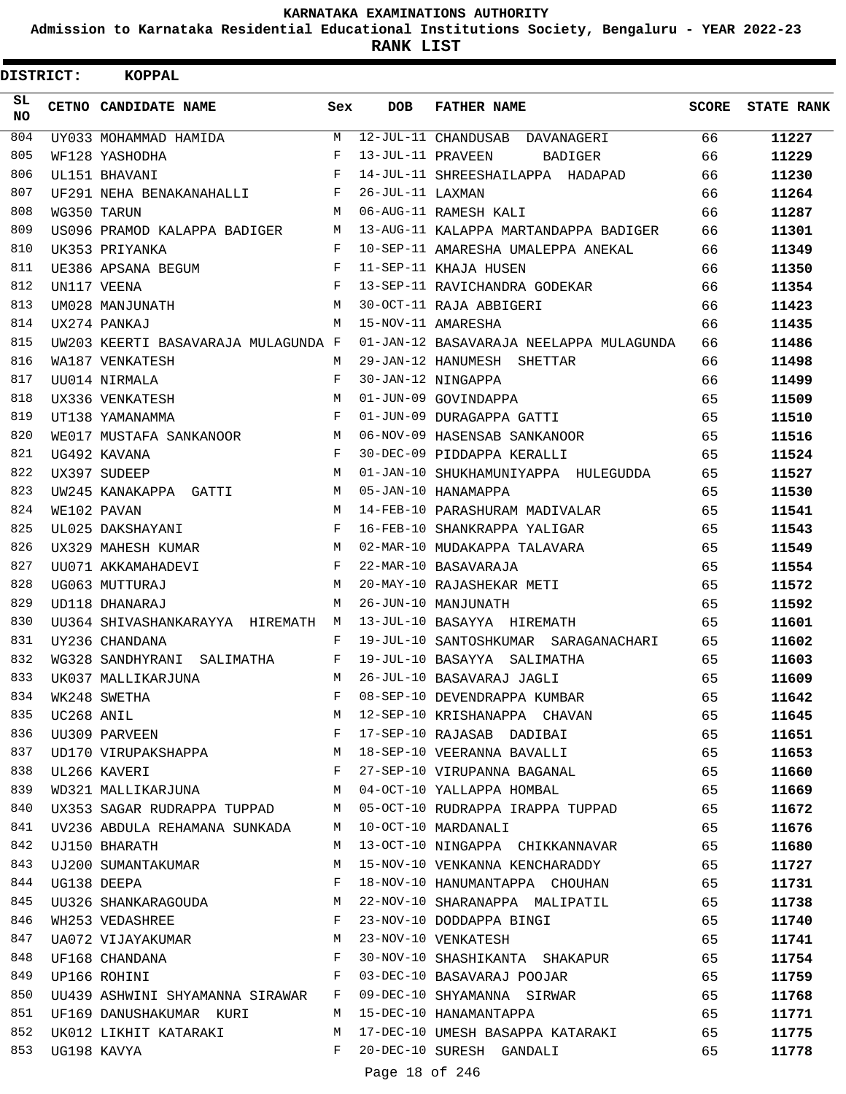**Admission to Karnataka Residential Educational Institutions Society, Bengaluru - YEAR 2022-23**

**RANK LIST**

 $\blacksquare$ 

| <b>DISTRICT:</b> |            | <b>KOPPAL</b>                                                    |                                        |                   |                                              |              |                   |
|------------------|------------|------------------------------------------------------------------|----------------------------------------|-------------------|----------------------------------------------|--------------|-------------------|
| SL<br>NO.        |            | CETNO CANDIDATE NAME                                             | Sex                                    | <b>DOB</b>        | <b>FATHER NAME</b>                           | <b>SCORE</b> | <b>STATE RANK</b> |
| 804              |            | UY033 MOHAMMAD HAMIDA                                            | M                                      |                   | 12-JUL-11 CHANDUSAB DAVANAGERI               | 66           | 11227             |
| 805              |            | WF128 YASHODHA                                                   | F                                      | 13-JUL-11 PRAVEEN | <b>BADIGER</b>                               | 66           | 11229             |
| 806              |            | UL151 BHAVANI                                                    | F                                      |                   | 14-JUL-11 SHREESHAILAPPA HADAPAD             | 66           | 11230             |
| 807              |            | UF291 NEHA BENAKANAHALLI                                         | F                                      | 26-JUL-11 LAXMAN  |                                              | 66           | 11264             |
| 808              |            | WG350 TARUN                                                      | M                                      |                   | 06-AUG-11 RAMESH KALI                        | 66           | 11287             |
| 809              |            | US096 PRAMOD KALAPPA BADIGER                                     | M                                      |                   | 13-AUG-11 KALAPPA MARTANDAPPA BADIGER        | 66           | 11301             |
| 810              |            | UK353 PRIYANKA                                                   | F                                      |                   | 10-SEP-11 AMARESHA UMALEPPA ANEKAL           | 66           | 11349             |
| 811              |            | UE386 APSANA BEGUM                                               | F                                      |                   | 11-SEP-11 KHAJA HUSEN                        | 66           | 11350             |
| 812              |            | UN117 VEENA                                                      | F                                      |                   | 13-SEP-11 RAVICHANDRA GODEKAR                | 66           | 11354             |
| 813              |            | UM028 MANJUNATH                                                  | M                                      |                   | 30-OCT-11 RAJA ABBIGERI                      | 66           | 11423             |
| 814              |            | UX274 PANKAJ                                                     | M                                      |                   | 15-NOV-11 AMARESHA                           | 66           | 11435             |
| 815              |            | UW203 KEERTI BASAVARAJA MULAGUNDA F                              |                                        |                   | 01-JAN-12 BASAVARAJA NEELAPPA MULAGUNDA      | 66           | 11486             |
| 816              |            | WA187 VENKATESH                                                  | М                                      |                   | 29-JAN-12 HANUMESH SHETTAR                   | 66           | 11498             |
| 817              |            | UU014 NIRMALA                                                    | F                                      |                   | 30-JAN-12 NINGAPPA                           | 66           | 11499             |
| 818              |            | UX336 VENKATESH                                                  | M                                      |                   | 01-JUN-09 GOVINDAPPA                         | 65           | 11509             |
| 819              |            | UT138 YAMANAMMA                                                  | F                                      |                   | 01-JUN-09 DURAGAPPA GATTI                    | 65           | 11510             |
| 820              |            | WE017 MUSTAFA SANKANOOR                                          | M                                      |                   | 06-NOV-09 HASENSAB SANKANOOR                 | 65           | 11516             |
| 821              |            | UG492 KAVANA                                                     | F                                      |                   | 30-DEC-09 PIDDAPPA KERALLI                   | 65           | 11524             |
| 822              |            | UX397 SUDEEP                                                     | M                                      |                   | 01-JAN-10 SHUKHAMUNIYAPPA HULEGUDDA          | 65           | 11527             |
| 823              |            | UW245 KANAKAPPA GATTI                                            | М                                      |                   | 05-JAN-10 HANAMAPPA                          | 65           | 11530             |
| 824              |            | WE102 PAVAN                                                      | M                                      |                   | 14-FEB-10 PARASHURAM MADIVALAR               | 65           | 11541             |
| 825              |            | UL025 DAKSHAYANI                                                 | F                                      |                   | 16-FEB-10 SHANKRAPPA YALIGAR                 | 65           | 11543             |
| 826              |            | UX329 MAHESH KUMAR                                               | M                                      |                   | 02-MAR-10 MUDAKAPPA TALAVARA                 | 65           | 11549             |
| 827              |            | UU071 AKKAMAHADEVI                                               | F                                      |                   | 22-MAR-10 BASAVARAJA                         | 65           | 11554             |
| 828              |            | UG063 MUTTURAJ                                                   | М                                      |                   | 20-MAY-10 RAJASHEKAR METI                    | 65           | 11572             |
| 829              |            | UD118 DHANARAJ                                                   | M                                      |                   | 26-JUN-10 MANJUNATH                          | 65           | 11592             |
| 830              |            | UU364 SHIVASHANKARAYYA HIREMATH                                  | M                                      |                   | 13-JUL-10 BASAYYA HIREMATH                   | 65           | 11601             |
| 831              |            | UY236 CHANDANA                                                   | F                                      |                   | 19-JUL-10 SANTOSHKUMAR SARAGANACHARI         | 65           | 11602             |
| 832              |            | WG328 SANDHYRANI SALIMATHA                                       | F                                      |                   | 19-JUL-10 BASAYYA SALIMATHA                  | 65           | 11603             |
| 833              |            | UK037 MALLIKARJUNA                                               | M                                      |                   | 26-JUL-10 BASAVARAJ JAGLI                    | 65           | 11609             |
| 834              |            | WK248 SWETHA                                                     | F                                      |                   | 08-SEP-10 DEVENDRAPPA KUMBAR                 | 65           | 11642             |
| 835              | UC268 ANIL |                                                                  | M                                      |                   | 12-SEP-10 KRISHANAPPA CHAVAN                 | 65           | 11645             |
| 836              |            | UU309 PARVEEN F                                                  |                                        |                   | 17-SEP-10 RAJASAB DADIBAI                    | 65           | 11651             |
| 837              |            | UD170 VIRUPAKSHAPPA M 18-SEP-10 VEERANNA BAVALLI                 |                                        |                   |                                              | 65           | 11653             |
| 838              |            | UL266 KAVERI                                                     | $\mathbb{F}$ .<br><br>For $\mathbb{F}$ |                   | 27-SEP-10 VIRUPANNA BAGANAL 65               |              | 11660             |
| 839              |            | WD321 MALLIKARJUNA M                                             |                                        |                   | 04-OCT-10 YALLAPPA HOMBAL 65                 |              | 11669             |
| 840              |            | UX353 SAGAR RUDRAPPA TUPPAD M                                    |                                        |                   | 05-OCT-10 RUDRAPPA IRAPPA TUPPAD             | 65           | 11672             |
| 841              |            | UV236 ABDULA REHAMANA SUNKADA M                                  |                                        |                   | 10-OCT-10 MARDANALI                          | 65           | 11676             |
| 842              |            | UJ150 BHARATH                                                    | M                                      |                   | 13-OCT-10 NINGAPPA CHIKKANNAVAR              | 65           | 11680             |
| 843              |            | UJ200 SUMANTAKUMAR                                               | М                                      |                   | 15-NOV-10 VENKANNA KENCHARADDY               | 65           | 11727             |
| 844              |            | $\mathbf{F}$ and $\mathbf{F}$<br>UG138 DEEPA                     |                                        |                   | 18-NOV-10 HANUMANTAPPA CHOUHAN               | 65           | 11731             |
| 845              |            | UU326 SHANKARAGOUDA M                                            |                                        |                   | 22-NOV-10 SHARANAPPA MALIPATIL 65            |              | 11738             |
| 846              |            | WH253 VEDASHREE                                                  | $\mathbf{F}$                           |                   | 23-NOV-10 DODDAPPA BINGI                     | 65           | 11740             |
| 847              |            | UA072 VIJAYAKUMAR M                                              |                                        |                   | 23-NOV-10 VENKATESH                          | 65           | 11741             |
| 848              |            | $\mathbf{F}$ and $\mathbf{F}$ and $\mathbf{F}$<br>UF168 CHANDANA |                                        |                   | 30-NOV-10 SHASHIKANTA SHAKAPUR               | 65           | 11754             |
| 849              |            | $\mathbb F$ . The set of $\mathbb F$<br>UP166 ROHINI             |                                        |                   | 03-DEC-10 BASAVARAJ POOJAR                   | 65           | 11759             |
| 850              |            | UU439 ASHWINI SHYAMANNA SIRAWAR F                                |                                        |                   | 09-DEC-10 SHYAMANNA SIRWAR                   | 65           | 11768             |
| 851              |            | UF169 DANUSHAKUMAR KURI                                          | M                                      |                   | 15-DEC-10 HANAMANTAPPA                       | 65           | 11771             |
| 852              |            |                                                                  |                                        |                   | UK012 LIKHIT KATARAKI MARTARAKI MARTARAKI 65 |              | 11775             |
| 853              |            | UG198 KAVYA                                                      | $F$ –                                  |                   | 20-DEC-10 SURESH GANDALI                     | 65           | 11778             |
|                  |            |                                                                  |                                        |                   |                                              |              |                   |

Page 18 of 246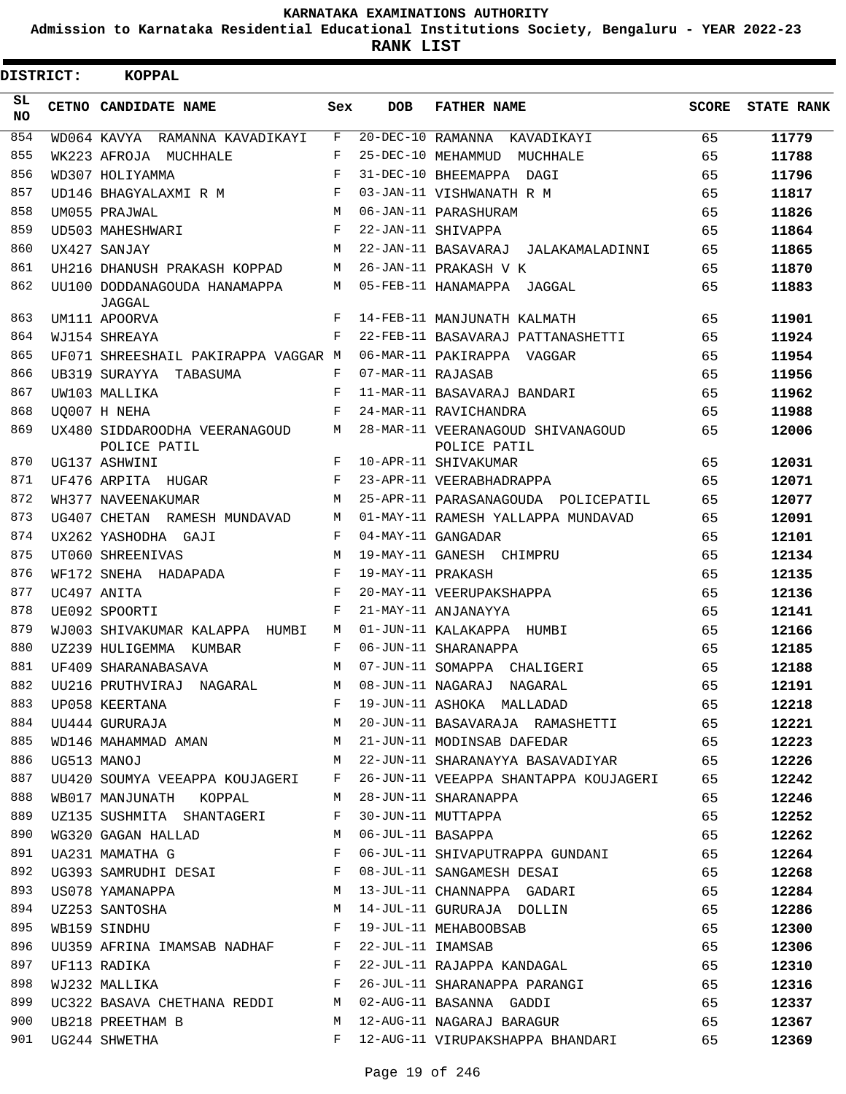**Admission to Karnataka Residential Educational Institutions Society, Bengaluru - YEAR 2022-23**

**RANK LIST**

| <b>DISTRICT:</b> | <b>KOPPAL</b>                                   |            |                                |                                                                           |              |                   |
|------------------|-------------------------------------------------|------------|--------------------------------|---------------------------------------------------------------------------|--------------|-------------------|
| SL<br>NO.        | CETNO CANDIDATE NAME                            | Sex        | <b>DOB</b>                     | <b>FATHER NAME</b>                                                        | <b>SCORE</b> | <b>STATE RANK</b> |
| 854              | WD064 KAVYA RAMANNA KAVADIKAYI                  | F          | $20-\overline{DEC-10}$ RAMANNA | KAVADIKAYI                                                                | 65           | 11779             |
| 855              | WK223 AFROJA MUCHHALE                           | F          |                                | 25-DEC-10 MEHAMMUD MUCHHALE                                               | 65           | 11788             |
| 856              | WD307 HOLIYAMMA                                 | $_{\rm F}$ |                                | 31-DEC-10 BHEEMAPPA DAGI                                                  | 65           | 11796             |
| 857              | UD146 BHAGYALAXMI R M                           | F          |                                | 03-JAN-11 VISHWANATH R M                                                  | 65           | 11817             |
| 858              | UM055 PRAJWAL                                   | M          |                                | 06-JAN-11 PARASHURAM                                                      | 65           | 11826             |
| 859              | UD503 MAHESHWARI                                | F          |                                | 22-JAN-11 SHIVAPPA                                                        | 65           | 11864             |
| 860              | UX427 SANJAY                                    | M          |                                | 22-JAN-11 BASAVARAJ JALAKAMALADINNI                                       | 65           | 11865             |
| 861              | UH216 DHANUSH PRAKASH KOPPAD                    | М          |                                | 26-JAN-11 PRAKASH V K                                                     | 65           | 11870             |
| 862              | UU100 DODDANAGOUDA HANAMAPPA<br>JAGGAL          | M          |                                | 05-FEB-11 HANAMAPPA JAGGAL                                                | 65           | 11883             |
| 863              | UM111 APOORVA                                   | F          |                                | 14-FEB-11 MANJUNATH KALMATH                                               | 65           | 11901             |
| 864              | WJ154 SHREAYA                                   | F          |                                | 22-FEB-11 BASAVARAJ PATTANASHETTI                                         | 65           | 11924             |
| 865              | UF071 SHREESHAIL PAKIRAPPA VAGGAR M             |            |                                | 06-MAR-11 PAKIRAPPA VAGGAR                                                | 65           | 11954             |
| 866              | UB319 SURAYYA TABASUMA                          | F          | 07-MAR-11 RAJASAB              |                                                                           | 65           | 11956             |
| 867              | UW103 MALLIKA                                   | F          |                                | 11-MAR-11 BASAVARAJ BANDARI                                               | 65           | 11962             |
| 868              | UO007 H NEHA                                    | F          |                                | 24-MAR-11 RAVICHANDRA                                                     | 65           | 11988             |
| 869              | UX480 SIDDAROODHA VEERANAGOUD<br>POLICE PATIL   | M          |                                | 28-MAR-11 VEERANAGOUD SHIVANAGOUD<br>POLICE PATIL                         | 65           | 12006             |
| 870              | UG137 ASHWINI                                   | F          |                                | 10-APR-11 SHIVAKUMAR                                                      | 65           | 12031             |
| 871              | UF476 ARPITA HUGAR                              | F          |                                | 23-APR-11 VEERABHADRAPPA                                                  | 65           | 12071             |
| 872              | WH377 NAVEENAKUMAR                              | M          |                                | 25-APR-11 PARASANAGOUDA POLICEPATIL                                       | 65           | 12077             |
| 873              | UG407 CHETAN RAMESH MUNDAVAD                    | M          |                                | 01-MAY-11 RAMESH YALLAPPA MUNDAVAD                                        | 65           | 12091             |
| 874              | UX262 YASHODHA GAJI                             | F          |                                | 04-MAY-11 GANGADAR                                                        | 65           | 12101             |
| 875              | UT060 SHREENIVAS                                | M          |                                | 19-MAY-11 GANESH CHIMPRU                                                  | 65           | 12134             |
| 876              | WF172 SNEHA HADAPADA                            | F          | 19-MAY-11 PRAKASH              |                                                                           | 65           | 12135             |
| 877              | UC497 ANITA                                     | $_{\rm F}$ |                                | 20-MAY-11 VEERUPAKSHAPPA                                                  | 65           | 12136             |
| 878              | UE092 SPOORTI                                   | $_{\rm F}$ |                                | 21-MAY-11 ANJANAYYA                                                       | 65           | 12141             |
| 879              | WJ003 SHIVAKUMAR KALAPPA HUMBI                  | M          |                                | 01-JUN-11 KALAKAPPA HUMBI                                                 | 65           | 12166             |
| 880              | UZ239 HULIGEMMA KUMBAR                          | F          |                                | 06-JUN-11 SHARANAPPA                                                      | 65           | 12185             |
| 881              | UF409 SHARANABASAVA                             | М          |                                | 07-JUN-11 SOMAPPA CHALIGERI                                               | 65           | 12188             |
| 882              | UU216 PRUTHVIRAJ NAGARAL                        |            |                                | M 08-JUN-11 NAGARAJ NAGARAL                                               | 65           | 12191             |
| 883              |                                                 |            |                                |                                                                           |              | 12218             |
| 884              |                                                 |            |                                |                                                                           |              | 12221             |
| 885              |                                                 |            |                                | WD146 MAHAMMAD AMAN 65                                                    |              | 12223             |
| 886              | UG513 MANOJ                                     |            |                                | M 22-JUN-11 SHARANAYYA BASAVADIYAR 65                                     |              | 12226             |
| 887              |                                                 |            |                                | UU420 SOUMYA VEEAPPA KOUJAGERI F 26-JUN-11 VEEAPPA SHANTAPPA KOUJAGERI 65 |              | 12242             |
| 888              | WB017 MANJUNATH KOPPAL M 28-JUN-11 SHARANAPPA   |            |                                |                                                                           | 65           | 12246             |
| 889              | UZ135 SUSHMITA SHANTAGERI F                     |            |                                | 30-JUN-11 MUTTAPPA                                                        | 65           | 12252             |
| 890              | WG320 GAGAN HALLAD M 06-JUL-11 BASAPPA          |            |                                | 65                                                                        |              | 12262             |
| 891              | $\mathbb F$<br>UA231 MAMATHA G                  |            |                                | 06-JUL-11 SHIVAPUTRAPPA GUNDANI 65                                        |              | 12264             |
| 892              |                                                 |            |                                | UG393 SAMRUDHI DESAI F 08-JUL-11 SANGAMESH DESAI 65                       |              | 12268             |
| 893              | US078 YAMANAPPA M                               |            |                                | 13-JUL-11 CHANNAPPA GADARI 65                                             |              | 12284             |
| 894              |                                                 |            |                                | 14-JUL-11 GURURAJA DOLLIN 65                                              |              | 12286             |
| 895              | UZ253 SANTOSHA M<br>WB159 SINDHU F              |            |                                | 19-JUL-11 MEHABOOBSAB                                                     | 65           | 12300             |
| 896              | UU359 AFRINA IMAMSAB NADHAF F 22-JUL-11 IMAMSAB |            |                                |                                                                           | 65           | 12306             |
| 897              | UF113 RADIKA                                    |            |                                | F 22-JUL-11 RAJAPPA KANDAGAL 65                                           |              | 12310             |
| 898              | WJ232 MALLIKA F                                 |            |                                | 26-JUL-11 SHARANAPPA PARANGI 65                                           |              | 12316             |
| 899              |                                                 |            |                                | UC322 BASAVA CHETHANA REDDI M 02-AUG-11 BASANNA GADDI                     | 65           | 12337             |
| 900              |                                                 |            |                                | UB218 PREETHAM B M 12-AUG-11 NAGARAJ BARAGUR 65                           |              | 12367             |
|                  | 901 UG244 SHWETHA                               |            |                                | F 12-AUG-11 VIRUPAKSHAPPA BHANDARI 65                                     |              | 12369             |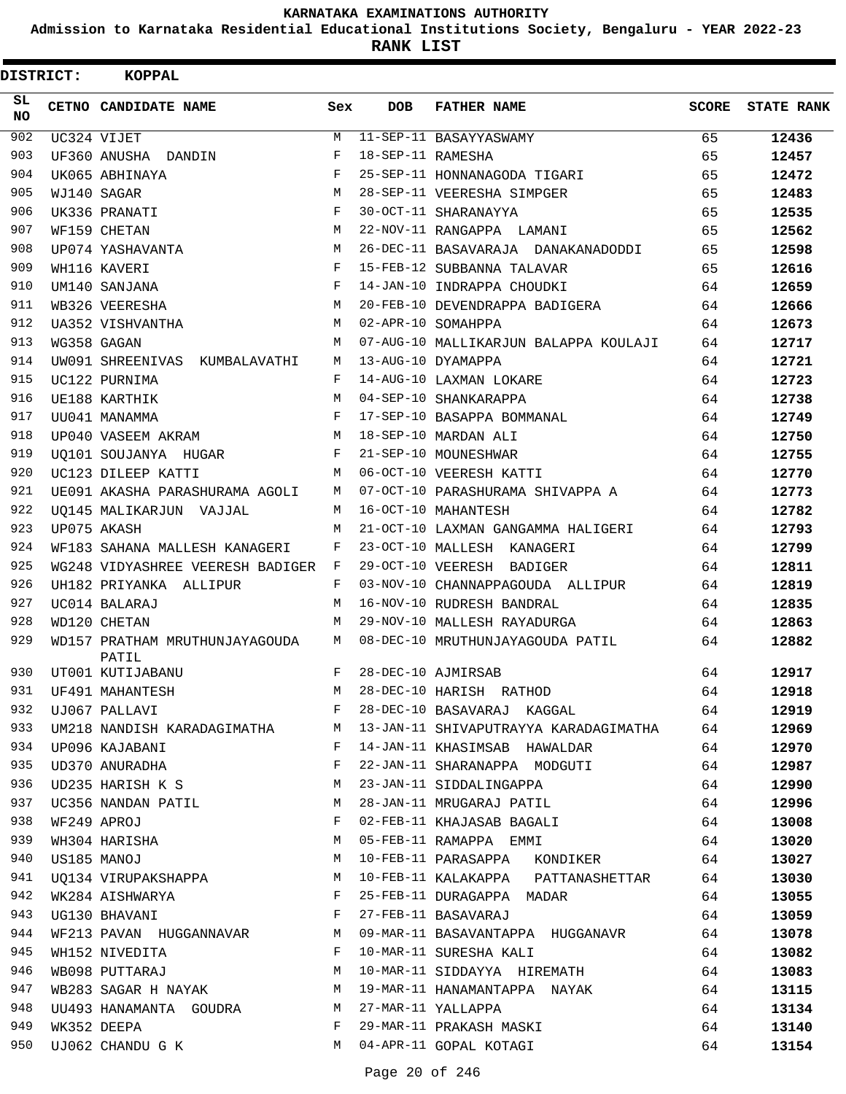**Admission to Karnataka Residential Educational Institutions Society, Bengaluru - YEAR 2022-23**

| <b>DISTRICT:</b> | <b>KOPPAL</b>                                   |                           |                   |                                          |              |                   |
|------------------|-------------------------------------------------|---------------------------|-------------------|------------------------------------------|--------------|-------------------|
| SL<br><b>NO</b>  | CETNO CANDIDATE NAME                            | Sex                       | <b>DOB</b>        | <b>FATHER NAME</b>                       | <b>SCORE</b> | <b>STATE RANK</b> |
| 902              | UC324 VIJET                                     | М                         |                   | 11-SEP-11 BASAYYASWAMY                   | 65           | 12436             |
| 903              | UF360 ANUSHA DANDIN                             | F                         | 18-SEP-11 RAMESHA |                                          | 65           | 12457             |
| 904              | UK065 ABHINAYA                                  | F                         |                   | 25-SEP-11 HONNANAGODA TIGARI             | 65           | 12472             |
| 905              | WJ140 SAGAR                                     | M                         |                   | 28-SEP-11 VEERESHA SIMPGER               | 65           | 12483             |
| 906              | UK336 PRANATI                                   | F                         |                   | 30-OCT-11 SHARANAYYA                     | 65           | 12535             |
| 907              | WF159 CHETAN                                    | M                         |                   | 22-NOV-11 RANGAPPA LAMANI                | 65           | 12562             |
| 908              | UP074 YASHAVANTA                                | M                         |                   | 26-DEC-11 BASAVARAJA DANAKANADODDI       | 65           | 12598             |
| 909              | WH116 KAVERI                                    | F                         |                   | 15-FEB-12 SUBBANNA TALAVAR               | 65           | 12616             |
| 910              | UM140 SANJANA                                   | F                         |                   | 14-JAN-10 INDRAPPA CHOUDKI               | 64           | 12659             |
| 911              | WB326 VEERESHA                                  | M                         |                   | 20-FEB-10 DEVENDRAPPA BADIGERA           | 64           | 12666             |
| 912              | UA352 VISHVANTHA                                | M                         |                   | 02-APR-10 SOMAHPPA                       | 64           | 12673             |
| 913              | WG358 GAGAN                                     | M                         |                   | 07-AUG-10 MALLIKARJUN BALAPPA KOULAJI    | 64           | 12717             |
| 914              | UW091 SHREENIVAS<br>KUMBALAVATHI                | M                         |                   | 13-AUG-10 DYAMAPPA                       | 64           | 12721             |
| 915              | UC122 PURNIMA                                   | F                         |                   | 14-AUG-10 LAXMAN LOKARE                  | 64           | 12723             |
| 916              | UE188 KARTHIK                                   | M                         |                   | 04-SEP-10 SHANKARAPPA                    | 64           | 12738             |
| 917              | UU041 MANAMMA                                   | F                         |                   | 17-SEP-10 BASAPPA BOMMANAL               | 64           | 12749             |
| 918              | UP040 VASEEM AKRAM                              | M                         |                   | 18-SEP-10 MARDAN ALI                     | 64           | 12750             |
| 919              | UO101 SOUJANYA HUGAR                            | F                         |                   | 21-SEP-10 MOUNESHWAR                     | 64           | 12755             |
| 920              | UC123 DILEEP KATTI                              | M                         |                   | 06-OCT-10 VEERESH KATTI                  | 64           | 12770             |
| 921              | UE091 AKASHA PARASHURAMA AGOLI                  | M                         |                   | 07-OCT-10 PARASHURAMA SHIVAPPA A         | 64           | 12773             |
| 922              | UO145 MALIKARJUN VAJJAL                         | М                         |                   | 16-OCT-10 MAHANTESH                      | 64           | 12782             |
| 923              | UP075 AKASH                                     | M                         |                   | 21-OCT-10 LAXMAN GANGAMMA HALIGERI       | 64           | 12793             |
| 924              | WF183 SAHANA MALLESH KANAGERI                   | F                         |                   | 23-OCT-10 MALLESH KANAGERI               | 64           | 12799             |
| 925              | WG248 VIDYASHREE VEERESH BADIGER                | F                         |                   | 29-OCT-10 VEERESH BADIGER                | 64           | 12811             |
| 926              | UH182 PRIYANKA ALLIPUR                          | F                         |                   | 03-NOV-10 CHANNAPPAGOUDA ALLIPUR         | 64           | 12819             |
| 927              | UC014 BALARAJ                                   | M                         |                   | 16-NOV-10 RUDRESH BANDRAL                | 64           | 12835             |
| 928              | WD120 CHETAN                                    | M                         |                   | 29-NOV-10 MALLESH RAYADURGA              | 64           | 12863             |
| 929              | WD157 PRATHAM MRUTHUNJAYAGOUDA<br>PATIL         | M                         |                   | 08-DEC-10 MRUTHUNJAYAGOUDA PATIL         | 64           | 12882             |
| 930              | UT001 KUTIJABANU                                | F                         |                   | 28-DEC-10 AJMIRSAB                       | 64           | 12917             |
| 931              | UF491 MAHANTESH                                 | $\mathop{\rm M}\nolimits$ |                   | 28-DEC-10 HARISH RATHOD                  | 64           | 12918             |
| 932              | UJ067 PALLAVI                                   | F                         |                   | 28-DEC-10 BASAVARAJ KAGGAL               | 64           | 12919             |
| 933              | UM218 NANDISH KARADAGIMATHA M                   |                           |                   | 13-JAN-11 SHIVAPUTRAYYA KARADAGIMATHA 64 |              | 12969             |
| 934              | UP096 KAJABANI                                  | F                         |                   | 14-JAN-11 KHASIMSAB HAWALDAR             | 64           | 12970             |
| 935              | UD370 ANURADHA                                  | F                         |                   | 22-JAN-11 SHARANAPPA MODGUTI             | 64           | 12987             |
| 936              | UD235 HARISH K S M                              |                           |                   | 23-JAN-11 SIDDALINGAPPA                  | 64           | 12990             |
| 937              | UC356 NANDAN PATIL                              | M                         |                   | 28-JAN-11 MRUGARAJ PATIL                 | 64           | 12996             |
| 938              | WF249 APROJ<br>WH304 HARISHA                    | $\mathbf{F}$              |                   | 02-FEB-11 KHAJASAB BAGALI                | 64           | 13008             |
| 939              |                                                 | M                         |                   | 05-FEB-11 RAMAPPA EMMI                   | 64           | 13020             |
| 940              | US185 MANOJ                                     | M                         |                   | 10-FEB-11 PARASAPPA KONDIKER             | 64           | 13027             |
| 941              | UQ134 VIRUPAKSHAPPA M                           |                           |                   | 10-FEB-11 KALAKAPPA PATTANASHETTAR       | 64           | 13030             |
| 942              | WK284 AISHWARYA F                               |                           |                   | 25-FEB-11 DURAGAPPA MADAR                | 64           | 13055             |
| 943              | $\frac{1}{\mathbf{F}}$<br>UG130 BHAVANI         |                           |                   | 27-FEB-11 BASAVARAJ                      | 64           | 13059             |
| 944              | WF213 PAVAN HUGGANNAVAR M                       |                           |                   | 09-MAR-11 BASAVANTAPPA HUGGANAVR         | 64           | 13078             |
| 945              | $\mathbf{F}$ and $\mathbf{F}$<br>WH152 NIVEDITA |                           |                   | 10-MAR-11 SURESHA KALI                   | 64           | 13082             |
| 946              | WB098 PUTTARAJ                                  | M                         |                   | 10-MAR-11 SIDDAYYA HIREMATH              | 64           | 13083             |
| 947              | WB283 SAGAR H NAYAK M                           |                           |                   | 19-MAR-11 HANAMANTAPPA NAYAK             | 64           | 13115             |
| 948              | UU493 HANAMANTA GOUDRA M                        |                           |                   | 27-MAR-11 YALLAPPA                       | 64           | 13134             |
| 949              | WK352 DEEPA                                     | F                         |                   | 29-MAR-11 PRAKASH MASKI                  | 64           | 13140             |
| 950              | UJ062 CHANDU G K                                | M                         |                   | 04-APR-11 GOPAL KOTAGI                   | 64           | 13154             |
|                  |                                                 |                           |                   |                                          |              |                   |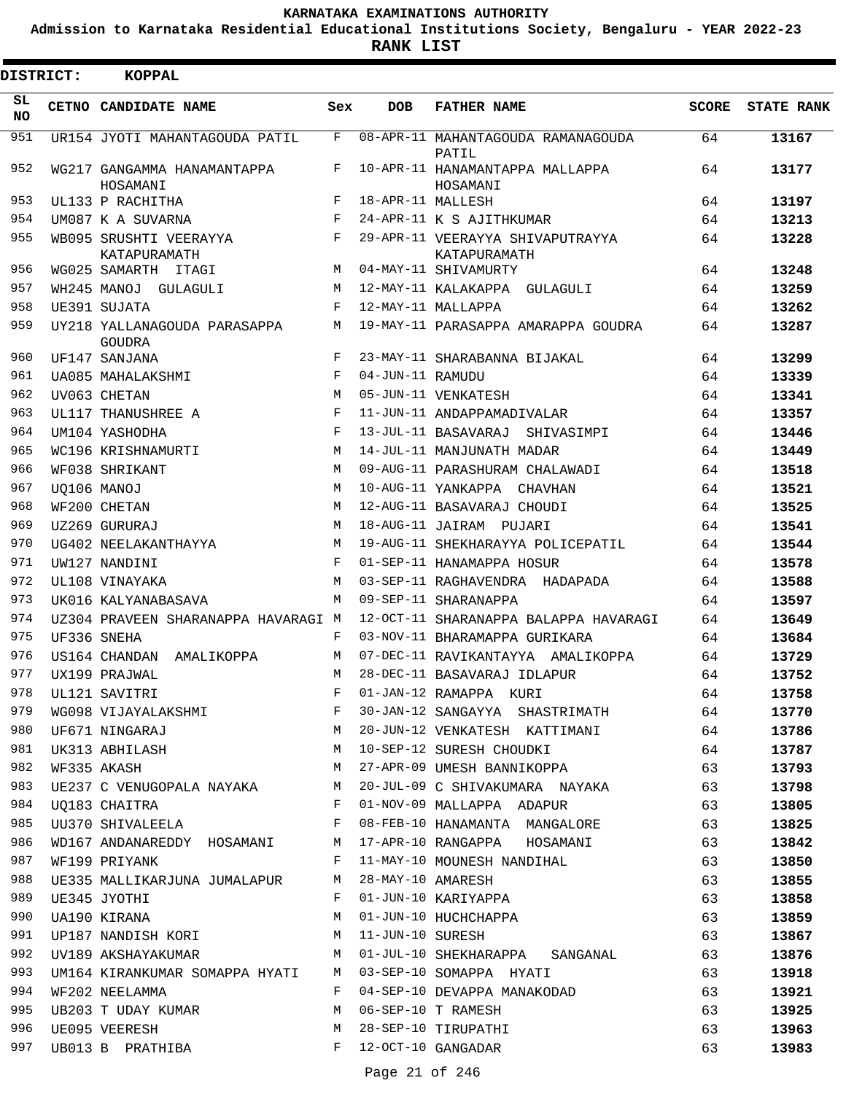**Admission to Karnataka Residential Educational Institutions Society, Bengaluru - YEAR 2022-23**

**RANK LIST**

| <b>DISTRICT:</b> | <b>KOPPAL</b>                                 |            |                   |                                                  |              |                   |
|------------------|-----------------------------------------------|------------|-------------------|--------------------------------------------------|--------------|-------------------|
| SL.<br>NO.       | CETNO CANDIDATE NAME                          | Sex        | <b>DOB</b>        | <b>FATHER NAME</b>                               | <b>SCORE</b> | <b>STATE RANK</b> |
| 951              | UR154 JYOTI MAHANTAGOUDA PATIL                | F          |                   | 08-APR-11 MAHANTAGOUDA RAMANAGOUDA<br>PATIL      | 64           | 13167             |
| 952              | WG217 GANGAMMA HANAMANTAPPA<br>HOSAMANI       | F          |                   | 10-APR-11 HANAMANTAPPA MALLAPPA<br>HOSAMANI      | 64           | 13177             |
| 953              | UL133 P RACHITHA                              | F          | 18-APR-11 MALLESH |                                                  | 64           | 13197             |
| 954              | UM087 K A SUVARNA                             | $_{\rm F}$ |                   | 24-APR-11 K S AJITHKUMAR                         | 64           | 13213             |
| 955              | WB095 SRUSHTI VEERAYYA<br>KATAPURAMATH        | F          |                   | 29-APR-11 VEERAYYA SHIVAPUTRAYYA<br>KATAPURAMATH | 64           | 13228             |
| 956              | WG025 SAMARTH ITAGI                           | M          |                   | 04-MAY-11 SHIVAMURTY                             | 64           | 13248             |
| 957              | WH245 MANOJ GULAGULI                          | M          |                   | 12-MAY-11 KALAKAPPA GULAGULI                     | 64           | 13259             |
| 958              | UE391 SUJATA                                  | $_{\rm F}$ |                   | 12-MAY-11 MALLAPPA                               | 64           | 13262             |
| 959              | UY218 YALLANAGOUDA PARASAPPA<br><b>GOUDRA</b> | М          |                   | 19-MAY-11 PARASAPPA AMARAPPA GOUDRA              | 64           | 13287             |
| 960              | UF147 SANJANA                                 | F          |                   | 23-MAY-11 SHARABANNA BIJAKAL                     | 64           | 13299             |
| 961              | UA085 MAHALAKSHMI                             | F          | 04-JUN-11 RAMUDU  |                                                  | 64           | 13339             |
| 962              | UV063 CHETAN                                  | М          |                   | 05-JUN-11 VENKATESH                              | 64           | 13341             |
| 963              | UL117 THANUSHREE A                            | F          |                   | 11-JUN-11 ANDAPPAMADIVALAR                       | 64           | 13357             |
| 964              | UM104 YASHODHA                                | F          |                   | 13-JUL-11 BASAVARAJ SHIVASIMPI                   | 64           | 13446             |
| 965              | WC196 KRISHNAMURTI                            | М          |                   | 14-JUL-11 MANJUNATH MADAR                        | 64           | 13449             |
| 966              | WF038 SHRIKANT                                | М          |                   | 09-AUG-11 PARASHURAM CHALAWADI                   | 64           | 13518             |
| 967              | UO106 MANOJ                                   | М          |                   | 10-AUG-11 YANKAPPA CHAVHAN                       | 64           | 13521             |
| 968              | WF200 CHETAN                                  | M          |                   | 12-AUG-11 BASAVARAJ CHOUDI                       | 64           | 13525             |
| 969              | UZ269 GURURAJ                                 | М          |                   | 18-AUG-11 JAIRAM PUJARI                          | 64           | 13541             |
| 970              | UG402 NEELAKANTHAYYA                          | M          |                   | 19-AUG-11 SHEKHARAYYA POLICEPATIL                | 64           | 13544             |
| 971              | UW127 NANDINI                                 | F          |                   | 01-SEP-11 HANAMAPPA HOSUR                        | 64           | 13578             |
| 972              | UL108 VINAYAKA                                | M          |                   | 03-SEP-11 RAGHAVENDRA HADAPADA                   | 64           | 13588             |
| 973              | UK016 KALYANABASAVA                           | М          |                   | 09-SEP-11 SHARANAPPA                             | 64           | 13597             |
| 974              | UZ304 PRAVEEN SHARANAPPA HAVARAGI M           |            |                   | 12-OCT-11 SHARANAPPA BALAPPA HAVARAGI            | 64           | 13649             |
| 975              | UF336 SNEHA                                   | F          |                   | 03-NOV-11 BHARAMAPPA GURIKARA                    | 64           | 13684             |
| 976              | US164 CHANDAN AMALIKOPPA                      | М          |                   | 07-DEC-11 RAVIKANTAYYA AMALIKOPPA                | 64           | 13729             |
| 977              | UX199 PRAJWAL                                 | M          |                   | 28-DEC-11 BASAVARAJ IDLAPUR                      | 64           | 13752             |
| 978              | UL121 SAVITRI                                 | F          |                   | 01-JAN-12 RAMAPPA KURI                           | 64           | 13758             |
| 979              | WG098 VIJAYALAKSHMI                           | F          |                   | 30-JAN-12 SANGAYYA SHASTRIMATH                   | 64           | 13770             |
| 980              | UF671 NINGARAJ                                | М          |                   | 20-JUN-12 VENKATESH KATTIMANI                    | 64           | 13786             |
| 981              | UK313 ABHILASH                                | М          |                   | 10-SEP-12 SURESH CHOUDKI                         | 64           | 13787             |
| 982              | WF335 AKASH                                   | М          |                   | 27-APR-09 UMESH BANNIKOPPA                       | 63           | 13793             |
| 983              | UE237 C VENUGOPALA NAYAKA                     | М          |                   | 20-JUL-09 C SHIVAKUMARA NAYAKA                   | 63           | 13798             |
| 984              | UQ183 CHAITRA                                 | F          |                   | 01-NOV-09 MALLAPPA ADAPUR                        | 63           | 13805             |
| 985              | UU370 SHIVALEELA                              | F          |                   | 08-FEB-10 HANAMANTA MANGALORE                    | 63           | 13825             |
| 986              | WD167 ANDANAREDDY HOSAMANI                    | М          |                   | 17-APR-10 RANGAPPA HOSAMANI                      | 63           | 13842             |
| 987              | WF199 PRIYANK                                 | F          |                   | 11-MAY-10 MOUNESH NANDIHAL                       | 63           | 13850             |
| 988              | UE335 MALLIKARJUNA JUMALAPUR                  | М          | 28-MAY-10 AMARESH |                                                  | 63           | 13855             |
| 989              | UE345 JYOTHI                                  | F          |                   | 01-JUN-10 KARIYAPPA                              | 63           | 13858             |
| 990              | UA190 KIRANA                                  | М          |                   | 01-JUN-10 HUCHCHAPPA                             | 63           | 13859             |
| 991              | UP187 NANDISH KORI                            | М          | 11-JUN-10 SURESH  |                                                  | 63           | 13867             |
| 992              | UV189 AKSHAYAKUMAR                            | M          |                   | 01-JUL-10 SHEKHARAPPA SANGANAL                   | 63           | 13876             |
| 993              | UM164 KIRANKUMAR SOMAPPA HYATI                | M          |                   | 03-SEP-10 SOMAPPA HYATI                          | 63           | 13918             |
| 994              | WF202 NEELAMMA                                | F          |                   | 04-SEP-10 DEVAPPA MANAKODAD                      | 63           | 13921             |
| 995              | UB203 T UDAY KUMAR                            | М          |                   | 06-SEP-10 T RAMESH                               | 63           | 13925             |
| 996              | UE095 VEERESH                                 | М          |                   | 28-SEP-10 TIRUPATHI                              | 63           | 13963             |
| 997              | UB013 B PRATHIBA                              | F          |                   | 12-OCT-10 GANGADAR                               | 63           | 13983             |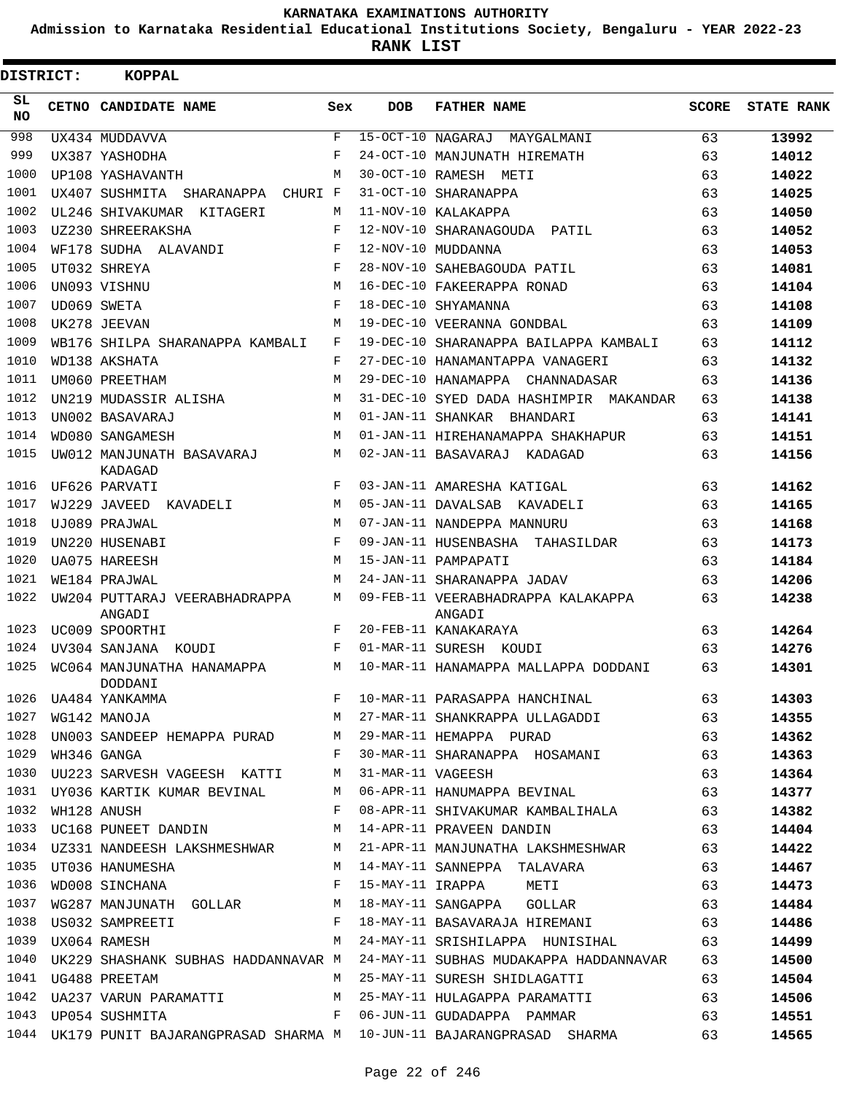**Admission to Karnataka Residential Educational Institutions Society, Bengaluru - YEAR 2022-23**

**RANK LIST**

| <b>DISTRICT:</b> | <b>KOPPAL</b>                                        |            |                   |                                                                                                                  |              |                   |
|------------------|------------------------------------------------------|------------|-------------------|------------------------------------------------------------------------------------------------------------------|--------------|-------------------|
| SL.<br>NO.       | CETNO CANDIDATE NAME                                 | Sex        | <b>DOB</b>        | <b>FATHER NAME</b>                                                                                               | <b>SCORE</b> | <b>STATE RANK</b> |
| 998              | UX434 MUDDAVVA                                       | F          | 15-OCT-10 NAGARAJ | MAYGALMANI                                                                                                       | 63           | 13992             |
| 999              | UX387 YASHODHA                                       | F          |                   | 24-OCT-10 MANJUNATH HIREMATH                                                                                     | 63           | 14012             |
| 1000             | UP108 YASHAVANTH                                     | M          |                   | 30-OCT-10 RAMESH METI                                                                                            | 63           | 14022             |
| 1001             | UX407 SUSHMITA SHARANAPPA CHURI F                    |            |                   | 31-OCT-10 SHARANAPPA                                                                                             | 63           | 14025             |
| 1002             | UL246 SHIVAKUMAR KITAGERI                            | M          |                   | 11-NOV-10 KALAKAPPA                                                                                              | 63           | 14050             |
| 1003             | UZ230 SHREERAKSHA                                    | F          |                   | 12-NOV-10 SHARANAGOUDA PATIL                                                                                     | 63           | 14052             |
| 1004             | WF178 SUDHA ALAVANDI                                 | F          |                   | 12-NOV-10 MUDDANNA                                                                                               | 63           | 14053             |
| 1005             | UT032 SHREYA                                         | F          |                   | 28-NOV-10 SAHEBAGOUDA PATIL                                                                                      | 63           | 14081             |
| 1006             | UN093 VISHNU                                         | M          |                   | 16-DEC-10 FAKEERAPPA RONAD                                                                                       | 63           | 14104             |
| 1007             | UD069 SWETA                                          | F          |                   | 18-DEC-10 SHYAMANNA                                                                                              | 63           | 14108             |
| 1008             | UK278 JEEVAN                                         | M          |                   | 19-DEC-10 VEERANNA GONDBAL                                                                                       | 63           | 14109             |
| 1009             | WB176 SHILPA SHARANAPPA KAMBALI                      | F          |                   | 19-DEC-10 SHARANAPPA BAILAPPA KAMBALI                                                                            | 63           | 14112             |
| 1010             | WD138 AKSHATA                                        | F          |                   | 27-DEC-10 HANAMANTAPPA VANAGERI                                                                                  | 63           | 14132             |
| 1011             | UM060 PREETHAM                                       | M          |                   | 29-DEC-10 HANAMAPPA CHANNADASAR                                                                                  | 63           | 14136             |
| 1012             | UN219 MUDASSIR ALISHA                                | M          |                   | 31-DEC-10 SYED DADA HASHIMPIR MAKANDAR                                                                           | 63           | 14138             |
| 1013             | UN002 BASAVARAJ                                      | M          |                   | 01-JAN-11 SHANKAR BHANDARI                                                                                       | 63           | 14141             |
| 1014             | WD080 SANGAMESH                                      | M          |                   | 01-JAN-11 HIREHANAMAPPA SHAKHAPUR                                                                                | 63           | 14151             |
| 1015             | UW012 MANJUNATH BASAVARAJ<br>KADAGAD                 | М          |                   | 02-JAN-11 BASAVARAJ KADAGAD                                                                                      | 63           | 14156             |
| 1016             | UF626 PARVATI                                        | F          |                   | 03-JAN-11 AMARESHA KATIGAL                                                                                       | 63           | 14162             |
| 1017             | WJ229 JAVEED KAVADELI                                | М          |                   | 05-JAN-11 DAVALSAB<br>KAVADELI                                                                                   | 63           | 14165             |
| 1018             | UJ089 PRAJWAL                                        | M          |                   | 07-JAN-11 NANDEPPA MANNURU                                                                                       | 63           | 14168             |
| 1019             | UN220 HUSENABI                                       | $_{\rm F}$ |                   | 09-JAN-11 HUSENBASHA<br>TAHASILDAR                                                                               | 63           | 14173             |
| 1020             | <b>UA075 HAREESH</b>                                 | М          |                   | 15-JAN-11 PAMPAPATI                                                                                              | 63           | 14184             |
| 1021             | WE184 PRAJWAL                                        | M          |                   | 24-JAN-11 SHARANAPPA JADAV                                                                                       | 63           | 14206             |
| 1022             | UW204 PUTTARAJ VEERABHADRAPPA<br>ANGADI              | M          |                   | 09-FEB-11 VEERABHADRAPPA KALAKAPPA<br>ANGADI                                                                     | 63           | 14238             |
| 1023             | UC009 SPOORTHI                                       | F          |                   | 20-FEB-11 KANAKARAYA                                                                                             | 63           | 14264             |
| 1024             | UV304 SANJANA<br>KOUDI                               | F          |                   | 01-MAR-11 SURESH KOUDI                                                                                           | 63           | 14276             |
| 1025             | WC064 MANJUNATHA HANAMAPPA<br>DODDANI                | M          |                   | 10-MAR-11 HANAMAPPA MALLAPPA DODDANI                                                                             | 63           | 14301             |
|                  |                                                      |            |                   |                                                                                                                  |              | 14303             |
|                  |                                                      |            |                   |                                                                                                                  |              | 14355             |
|                  |                                                      |            |                   |                                                                                                                  |              | 14362             |
|                  |                                                      |            |                   |                                                                                                                  |              | 14363             |
|                  | 1030 UU223 SARVESH VAGEESH KATTI M 31-MAR-11 VAGEESH |            |                   | 63                                                                                                               |              | 14364             |
|                  |                                                      |            |                   | 1031 UY036 KARTIK KUMAR BEVINAL M 06-APR-11 HANUMAPPA BEVINAL 63                                                 |              | 14377             |
|                  |                                                      |            |                   | 1032 WH128 ANUSH F 08-APR-11 SHIVAKUMAR KAMBALIHALA 63<br>1033 UC168 PUNEET DANDIN M 14-APR-11 PRAVEEN DANDIN 63 |              | 14382             |
|                  |                                                      |            |                   |                                                                                                                  |              | 14404             |
|                  |                                                      |            |                   | 1034 UZ331 NANDEESH LAKSHMESHWAR M 21-APR-11 MANJUNATHA LAKSHMESHWAR 63                                          |              | 14422             |
|                  |                                                      |            |                   |                                                                                                                  |              | 14467             |
|                  |                                                      |            |                   |                                                                                                                  |              | 14473             |
|                  |                                                      |            |                   |                                                                                                                  |              | 14484             |
|                  |                                                      |            |                   | 1038 US032 SAMPREETI TERRY E 18-MAY-11 BASAVARAJA HIREMANI 63                                                    |              | 14486             |
|                  |                                                      |            |                   | 1039 UX064 RAMESH M 24-MAY-11 SRISHILAPPA HUNISIHAL 63                                                           |              | 14499             |
|                  |                                                      |            |                   | 1040 UK229 SHASHANK SUBHAS HADDANNAVAR M 24-MAY-11 SUBHAS MUDAKAPPA HADDANNAVAR 63                               |              | 14500             |
|                  | 1041 UG488 PREETAM                                   |            |                   | M 25-MAY-11 SURESH SHIDLAGATTI 63                                                                                |              | 14504             |
|                  |                                                      |            |                   | 1042 UA237 VARUN PARAMATTI MARAMATTI MULAGAPPA PARAMATTI 63                                                      |              | 14506             |
|                  |                                                      |            |                   | 1043 UP054 SUSHMITA 63                                                                                           |              | 14551             |
|                  |                                                      |            |                   | 1044 UK179 PUNIT BAJARANGPRASAD SHARMA M 10-JUN-11 BAJARANGPRASAD SHARMA 63                                      |              | 14565             |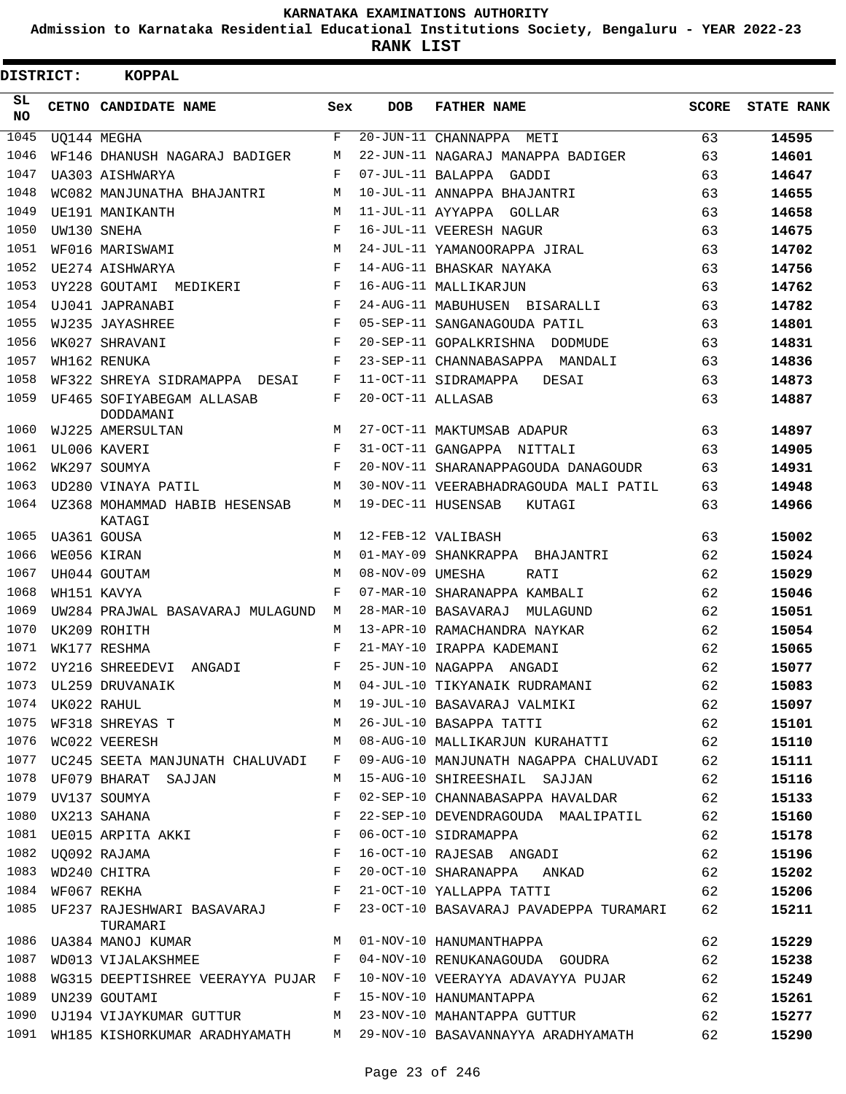**Admission to Karnataka Residential Educational Institutions Society, Bengaluru - YEAR 2022-23**

| DISTRICT:       | <b>KOPPAL</b>                                    |             |                   |                                                                                                                                                                                                                                                                                                                                                                                           |       |                   |
|-----------------|--------------------------------------------------|-------------|-------------------|-------------------------------------------------------------------------------------------------------------------------------------------------------------------------------------------------------------------------------------------------------------------------------------------------------------------------------------------------------------------------------------------|-------|-------------------|
| SL<br><b>NO</b> | CETNO CANDIDATE NAME                             | Sex         | <b>DOB</b>        | <b>FATHER NAME</b>                                                                                                                                                                                                                                                                                                                                                                        | SCORE | <b>STATE RANK</b> |
| 1045            | UQ144 MEGHA                                      | $\mathbf F$ |                   | 20-JUN-11 CHANNAPPA METI                                                                                                                                                                                                                                                                                                                                                                  | 63    | 14595             |
| 1046            | WF146 DHANUSH NAGARAJ BADIGER                    | М           |                   | 22-JUN-11 NAGARAJ MANAPPA BADIGER                                                                                                                                                                                                                                                                                                                                                         | 63    | 14601             |
| 1047            | UA303 AISHWARYA                                  | F           | 07-JUL-11 BALAPPA | GADDI                                                                                                                                                                                                                                                                                                                                                                                     | 63    | 14647             |
| 1048            | WC082 MANJUNATHA BHAJANTRI                       | M           |                   | 10-JUL-11 ANNAPPA BHAJANTRI                                                                                                                                                                                                                                                                                                                                                               | 63    | 14655             |
| 1049            | UE191 MANIKANTH                                  | М           | 11-JUL-11 AYYAPPA | GOLLAR                                                                                                                                                                                                                                                                                                                                                                                    | 63    | 14658             |
| 1050            | UW130 SNEHA                                      | F           |                   | 16-JUL-11 VEERESH NAGUR                                                                                                                                                                                                                                                                                                                                                                   | 63    | 14675             |
| 1051            | WF016 MARISWAMI                                  | М           |                   | 24-JUL-11 YAMANOORAPPA JIRAL                                                                                                                                                                                                                                                                                                                                                              | 63    | 14702             |
| 1052            | UE274 AISHWARYA                                  | F           |                   | 14-AUG-11 BHASKAR NAYAKA                                                                                                                                                                                                                                                                                                                                                                  | 63    | 14756             |
| 1053            | UY228 GOUTAMI MEDIKERI                           | F           |                   | 16-AUG-11 MALLIKARJUN                                                                                                                                                                                                                                                                                                                                                                     | 63    | 14762             |
| 1054            | UJ041 JAPRANABI                                  | F           |                   | 24-AUG-11 MABUHUSEN BISARALLI                                                                                                                                                                                                                                                                                                                                                             | 63    | 14782             |
| 1055            | WJ235 JAYASHREE                                  | F           |                   | 05-SEP-11 SANGANAGOUDA PATIL                                                                                                                                                                                                                                                                                                                                                              | 63    | 14801             |
| 1056            | WK027 SHRAVANI                                   | F           |                   | 20-SEP-11 GOPALKRISHNA DODMUDE                                                                                                                                                                                                                                                                                                                                                            | 63    | 14831             |
| 1057            | WH162 RENUKA                                     | F           |                   | 23-SEP-11 CHANNABASAPPA MANDALI                                                                                                                                                                                                                                                                                                                                                           | 63    | 14836             |
| 1058            | WF322 SHREYA SIDRAMAPPA DESAI                    | F           |                   | 11-OCT-11 SIDRAMAPPA<br>DESAI                                                                                                                                                                                                                                                                                                                                                             | 63    | 14873             |
| 1059            | UF465 SOFIYABEGAM ALLASAB<br>DODDAMANI           | F           | 20-OCT-11 ALLASAB |                                                                                                                                                                                                                                                                                                                                                                                           | 63    | 14887             |
| 1060            | WJ225 AMERSULTAN                                 | M           |                   | 27-OCT-11 MAKTUMSAB ADAPUR                                                                                                                                                                                                                                                                                                                                                                | 63    | 14897             |
| 1061            | UL006 KAVERI                                     | $_{\rm F}$  |                   | 31-OCT-11 GANGAPPA NITTALI                                                                                                                                                                                                                                                                                                                                                                | 63    | 14905             |
| 1062            | WK297 SOUMYA                                     | F           |                   | 20-NOV-11 SHARANAPPAGOUDA DANAGOUDR                                                                                                                                                                                                                                                                                                                                                       | 63    | 14931             |
| 1063            | UD280 VINAYA PATIL                               | М           |                   | 30-NOV-11 VEERABHADRAGOUDA MALI PATIL                                                                                                                                                                                                                                                                                                                                                     | 63    | 14948             |
| 1064            | UZ368 MOHAMMAD HABIB HESENSAB<br>KATAGI          | М           |                   | 19-DEC-11 HUSENSAB<br>KUTAGI                                                                                                                                                                                                                                                                                                                                                              | 63    | 14966             |
| 1065            | UA361 GOUSA                                      | M           |                   | 12-FEB-12 VALIBASH                                                                                                                                                                                                                                                                                                                                                                        | 63    | 15002             |
| 1066            | WE056 KIRAN                                      | М           |                   | 01-MAY-09 SHANKRAPPA BHAJANTRI                                                                                                                                                                                                                                                                                                                                                            | 62    | 15024             |
| 1067            | UH044 GOUTAM                                     | М           | 08-NOV-09 UMESHA  | RATI                                                                                                                                                                                                                                                                                                                                                                                      | 62    | 15029             |
| 1068            | WH151 KAVYA                                      | F           |                   | 07-MAR-10 SHARANAPPA KAMBALI                                                                                                                                                                                                                                                                                                                                                              | 62    | 15046             |
| 1069            | UW284 PRAJWAL BASAVARAJ MULAGUND                 | М           |                   | 28-MAR-10 BASAVARAJ MULAGUND                                                                                                                                                                                                                                                                                                                                                              | 62    | 15051             |
| 1070            | UK209 ROHITH                                     | M           |                   | 13-APR-10 RAMACHANDRA NAYKAR                                                                                                                                                                                                                                                                                                                                                              | 62    | 15054             |
| 1071            | WK177 RESHMA                                     | F           |                   | 21-MAY-10 IRAPPA KADEMANI                                                                                                                                                                                                                                                                                                                                                                 | 62    | 15065             |
| 1072            | UY216 SHREEDEVI<br>ANGADI                        | F           | 25-JUN-10 NAGAPPA | ANGADI                                                                                                                                                                                                                                                                                                                                                                                    | 62    | 15077             |
|                 | 1073 UL259 DRUVANAIK                             | M           |                   | 04-JUL-10 TIKYANAIK RUDRAMANI                                                                                                                                                                                                                                                                                                                                                             | 62    | 15083             |
|                 |                                                  |             |                   | 1073 ULZS9 DROVANAIR<br>1074 UK022 RAHUL M 19-JUL-10 BASAVARAJ VALMIKI 62<br>1075 WF318 SHREYAS T M 26-JUL-10 BASAPPA TATTI 62                                                                                                                                                                                                                                                            |       | 15097             |
|                 |                                                  |             |                   |                                                                                                                                                                                                                                                                                                                                                                                           |       | 15101             |
|                 |                                                  |             |                   | 1076 WC022 VEERESH M O8-AUG-10 MALLIKARJUN KURAHATTI 62                                                                                                                                                                                                                                                                                                                                   |       | 15110             |
|                 | 1077 UC245 SEETA MANJUNATH CHALUVADI F           |             |                   | 09-AUG-10 MANJUNATH NAGAPPA CHALUVADI 62                                                                                                                                                                                                                                                                                                                                                  |       | 15111             |
|                 | 1078 UF079 BHARAT SAJJAN                         | M           |                   | 15-AUG-10 SHIREESHAIL SAJJAN 62                                                                                                                                                                                                                                                                                                                                                           |       | 15116             |
|                 | 1079 UV137 SOUMYA                                | F           |                   | 02-SEP-10 CHANNABASAPPA HAVALDAR 62                                                                                                                                                                                                                                                                                                                                                       |       | 15133             |
| 1080            | $\mathbb F$ . If $\mathbb F$<br>UX213 SAHANA     |             |                   | 22-SEP-10 DEVENDRAGOUDA MAALIPATIL 62                                                                                                                                                                                                                                                                                                                                                     |       | 15160             |
|                 |                                                  |             |                   |                                                                                                                                                                                                                                                                                                                                                                                           |       | 15178             |
|                 |                                                  |             |                   |                                                                                                                                                                                                                                                                                                                                                                                           |       | 15196             |
|                 |                                                  |             |                   |                                                                                                                                                                                                                                                                                                                                                                                           |       | 15202             |
|                 |                                                  |             |                   | 1081 UE015 ARPITA AKKI $\begin{array}{l} \texttt{F} \quad 06-9CT-10 \quad SLDRAMAPPA \quad \texttt{NGA} \quad \texttt{G2} \end{array}$ 1082 UQ092 RAJAMA $\begin{array}{l} \texttt{F} \quad 06-9CT-10 \quad RJESAB \quad ANGADI \quad \texttt{G2} \end{array}$ 1083 WD240 CHITRA $\begin{array}{l} \texttt{F} \quad 20-9CT-10 \quad SHARANAPPA \quad ANKAD \quad \texttt{G2} \end{array}$ |       | 15206             |
|                 | TURAMARI                                         |             |                   | 1085 UF237 RAJESHWARI BASAVARAJ F 23-OCT-10 BASAVARAJ PAVADEPPA TURAMARI 62                                                                                                                                                                                                                                                                                                               |       | 15211             |
|                 | 1086 UA384 MANOJ KUMAR M O1-NOV-10 HANUMANTHAPPA |             |                   |                                                                                                                                                                                                                                                                                                                                                                                           | 62    | 15229             |
| 1087            |                                                  |             |                   | WD013 VIJALAKSHMEE F 04-NOV-10 RENUKANAGOUDA GOUDRA 62                                                                                                                                                                                                                                                                                                                                    |       | 15238             |
| 1088            |                                                  |             |                   | WG315 DEEPTISHREE VEERAYYA PUJAR F 10-NOV-10 VEERAYYA ADAVAYYA PUJAR 62                                                                                                                                                                                                                                                                                                                   |       | 15249             |
| 1089            | UN239 GOUTAMI                                    |             |                   | F 15-NOV-10 HANUMANTAPPA                                                                                                                                                                                                                                                                                                                                                                  | 62    | 15261             |
|                 |                                                  |             |                   | 1090 UJ194 VIJAYKUMAR GUTTUR M 23-NOV-10 MAHANTAPPA GUTTUR 62                                                                                                                                                                                                                                                                                                                             |       | 15277             |
|                 |                                                  |             |                   | 1091 WH185 KISHORKUMAR ARADHYAMATH M 29-NOV-10 BASAVANNAYYA ARADHYAMATH 62                                                                                                                                                                                                                                                                                                                |       | 15290             |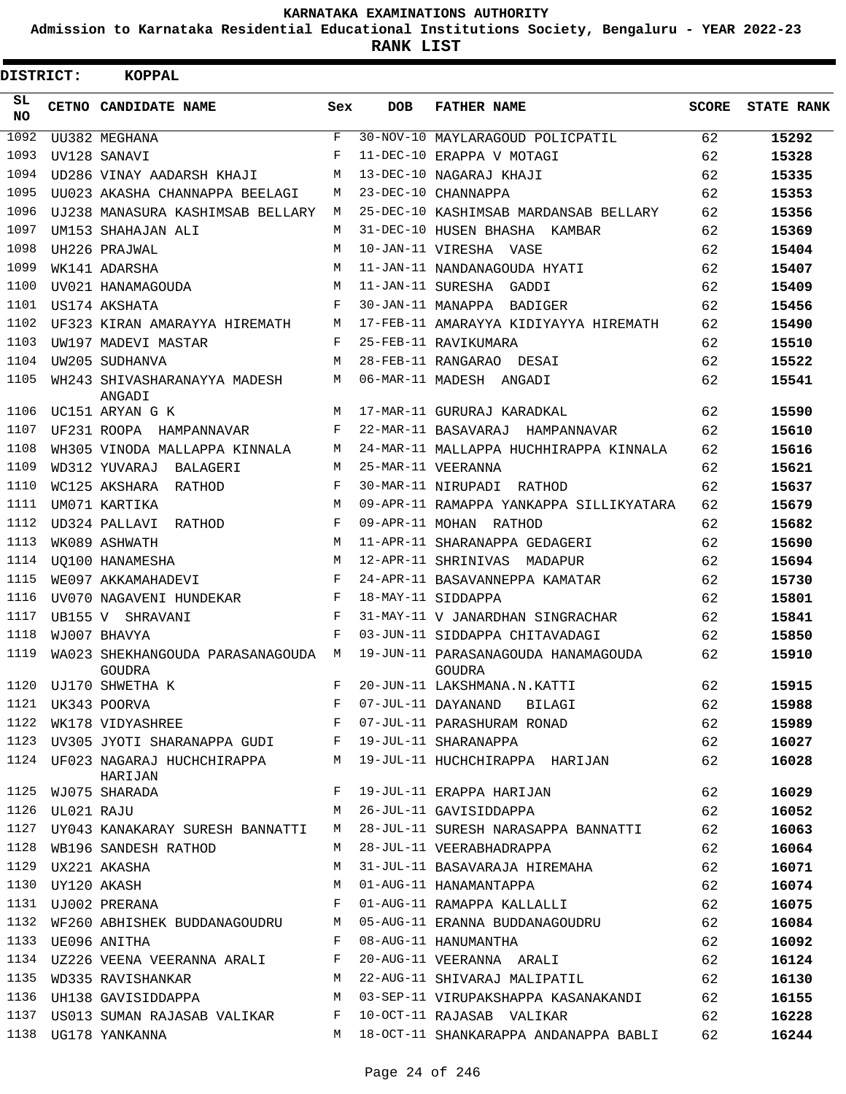**Admission to Karnataka Residential Educational Institutions Society, Bengaluru - YEAR 2022-23**

| DISTRICT:        | <b>KOPPAL</b>                                |     |            |                                                                                                                                                      |              |                   |
|------------------|----------------------------------------------|-----|------------|------------------------------------------------------------------------------------------------------------------------------------------------------|--------------|-------------------|
| SL.<br><b>NO</b> | CETNO CANDIDATE NAME                         | Sex | <b>DOB</b> | <b>FATHER NAME</b>                                                                                                                                   | <b>SCORE</b> | <b>STATE RANK</b> |
| 1092             | UU382 MEGHANA                                | F   |            | 30-NOV-10 MAYLARAGOUD POLICPATIL                                                                                                                     | 62           | 15292             |
| 1093             | UV128 SANAVI                                 | F   |            | 11-DEC-10 ERAPPA V MOTAGI                                                                                                                            | 62           | 15328             |
| 1094             | UD286 VINAY AADARSH KHAJI                    | M   |            | 13-DEC-10 NAGARAJ KHAJI                                                                                                                              | 62           | 15335             |
| 1095             | UU023 AKASHA CHANNAPPA BEELAGI               | М   |            | 23-DEC-10 CHANNAPPA                                                                                                                                  | 62           | 15353             |
| 1096             | UJ238 MANASURA KASHIMSAB BELLARY             | М   |            | 25-DEC-10 KASHIMSAB MARDANSAB BELLARY                                                                                                                | 62           | 15356             |
| 1097             | UM153 SHAHAJAN ALI                           | M   |            | 31-DEC-10 HUSEN BHASHA KAMBAR                                                                                                                        | 62           | 15369             |
| 1098             | UH226 PRAJWAL                                | M   |            | 10-JAN-11 VIRESHA VASE                                                                                                                               | 62           | 15404             |
| 1099             | WK141 ADARSHA                                | M   |            | 11-JAN-11 NANDANAGOUDA HYATI                                                                                                                         | 62           | 15407             |
| 1100             | UV021 HANAMAGOUDA                            | M   |            | 11-JAN-11 SURESHA GADDI                                                                                                                              | 62           | 15409             |
| 1101             | US174 AKSHATA                                | F   |            | 30-JAN-11 MANAPPA BADIGER                                                                                                                            | 62           | 15456             |
| 1102             | UF323 KIRAN AMARAYYA HIREMATH                | М   |            | 17-FEB-11 AMARAYYA KIDIYAYYA HIREMATH                                                                                                                | 62           | 15490             |
| 1103             | UW197 MADEVI MASTAR                          | F   |            | 25-FEB-11 RAVIKUMARA                                                                                                                                 | 62           | 15510             |
| 1104             | UW205 SUDHANVA                               | M   |            | 28-FEB-11 RANGARAO DESAI                                                                                                                             | 62           | 15522             |
| 1105             | WH243 SHIVASHARANAYYA MADESH<br>ANGADI       | M   |            | 06-MAR-11 MADESH ANGADI                                                                                                                              | 62           | 15541             |
| 1106             | UC151 ARYAN G K                              | М   |            | 17-MAR-11 GURURAJ KARADKAL                                                                                                                           | 62           | 15590             |
| 1107             | UF231 ROOPA HAMPANNAVAR                      | F   |            | 22-MAR-11 BASAVARAJ HAMPANNAVAR                                                                                                                      | 62           | 15610             |
| 1108             | WH305 VINODA MALLAPPA KINNALA                | M   |            | 24-MAR-11 MALLAPPA HUCHHIRAPPA KINNALA                                                                                                               | 62           | 15616             |
| 1109             | WD312 YUVARAJ BALAGERI                       | М   |            | 25-MAR-11 VEERANNA                                                                                                                                   | 62           | 15621             |
| 1110             | WC125 AKSHARA RATHOD                         | F   |            | 30-MAR-11 NIRUPADI RATHOD                                                                                                                            | 62           | 15637             |
| 1111             | UM071 KARTIKA                                | M   |            | 09-APR-11 RAMAPPA YANKAPPA SILLIKYATARA                                                                                                              | 62           | 15679             |
| 1112             | UD324 PALLAVI RATHOD                         | F   |            | 09-APR-11 MOHAN RATHOD                                                                                                                               | 62           | 15682             |
| 1113             | WK089 ASHWATH                                | M   |            | 11-APR-11 SHARANAPPA GEDAGERI                                                                                                                        | 62           | 15690             |
| 1114             | <b>UO100 HANAMESHA</b>                       | M   |            | 12-APR-11 SHRINIVAS MADAPUR                                                                                                                          | 62           | 15694             |
| 1115             | WE097 AKKAMAHADEVI                           | F   |            | 24-APR-11 BASAVANNEPPA KAMATAR                                                                                                                       | 62           | 15730             |
| 1116             | UV070 NAGAVENI HUNDEKAR                      | F   |            | 18-MAY-11 SIDDAPPA                                                                                                                                   | 62           | 15801             |
| 1117             | UB155 V SHRAVANI                             | F   |            | 31-MAY-11 V JANARDHAN SINGRACHAR                                                                                                                     | 62           | 15841             |
| 1118             | WJ007 BHAVYA                                 | F   |            | 03-JUN-11 SIDDAPPA CHITAVADAGI                                                                                                                       | 62           | 15850             |
| 1119             | WA023 SHEKHANGOUDA PARASANAGOUDA M<br>GOUDRA |     |            | 19-JUN-11 PARASANAGOUDA HANAMAGOUDA<br>GOUDRA                                                                                                        | 62           | 15910             |
|                  | 1120 UJ170 SHWETHA K                         | F   |            | 20-JUN-11 LAKSHMANA.N.KATTI                                                                                                                          | 62           | 15915             |
|                  |                                              |     |            | 1120 00170 SHWEIHA K<br>1121 UK343 POORVA F 07-JUL-11 DAYANAND BILAGI 62<br>1122 WK178 VIDYASHREE F F 07-JUL-11 PARASHURAM RONAD 62                  |              | 15988             |
|                  |                                              |     |            |                                                                                                                                                      |              | 15989             |
|                  |                                              |     |            | 1123 UV305 JYOTI SHARANAPPA GUDI F 19-JUL-11 SHARANAPPA 62                                                                                           |              | 16027             |
|                  | HARIJAN                                      |     |            | 1124 UF023 NAGARAJ HUCHCHIRAPPA M 19-JUL-11 HUCHCHIRAPPA HARIJAN 62                                                                                  |              | 16028             |
|                  | 1125 WJ075 SHARADA                           |     |            | F 19-JUL-11 ERAPPA HARIJAN 62                                                                                                                        |              | 16029             |
|                  | 1126    UL021    RAJU                        |     |            | M 26-JUL-11 GAVISIDDAPPA<br>62                                                                                                                       |              | 16052             |
|                  |                                              |     |            | 1127 UY043 KANAKARAY SURESH BANNATTI M 28-JUL-11 SURESH NARASAPPA BANNATTI 62                                                                        |              | 16063             |
|                  | 1128 WB196 SANDESH RATHOD                    |     |            | M 28-JUL-11 VEERABHADRAPPA                                                                                                                           | 62           | 16064             |
|                  | 1129 UX221 AKASHA                            | M   |            | 31-JUL-11 BASAVARAJA HIREMAHA 62                                                                                                                     |              | 16071             |
|                  | 1130 UY120 AKASH                             |     |            | M 01-AUG-11 HANAMANTAPPA<br>62                                                                                                                       |              | 16074             |
|                  |                                              |     |            | 1131 UJ002 PRERANA (F 01-AUG-11 RAMAPPA KALLALLI                                                                                                     | 62           | 16075             |
|                  |                                              |     |            | 1132 WF260 ABHISHEK BUDDANAGOUDRU M 05-AUG-11 ERANNA BUDDANAGOUDRU 62                                                                                |              | 16084             |
|                  | 1133 UE096 ANITHA F                          |     |            | 08-AUG-11 HANUMANTHA 62                                                                                                                              |              | 16092             |
|                  |                                              |     |            |                                                                                                                                                      |              | 16124             |
|                  |                                              |     |            | 1131 UZZZU VIIINI VIIINEINI IRIIII.<br>1135 WD335 RAVISHANKAR MARTAM MARTINI MARTINI MARTINI MARTINI MARTINI MARTINI MARTINI MARTINI MARTINI MARTINI | 62           | 16130             |
|                  |                                              |     |            | 1136 UH138 GAVISIDDAPPA M 03-SEP-11 VIRUPAKSHAPPA KASANAKANDI 62                                                                                     |              | 16155             |
|                  |                                              |     |            | 1137 US013 SUMAN RAJASAB VALIKAR F 10-OCT-11 RAJASAB VALIKAR 62                                                                                      |              | 16228             |
|                  | 1138 UG178 YANKANNA                          |     |            | M 18-OCT-11 SHANKARAPPA ANDANAPPA BABLI 62                                                                                                           |              | 16244             |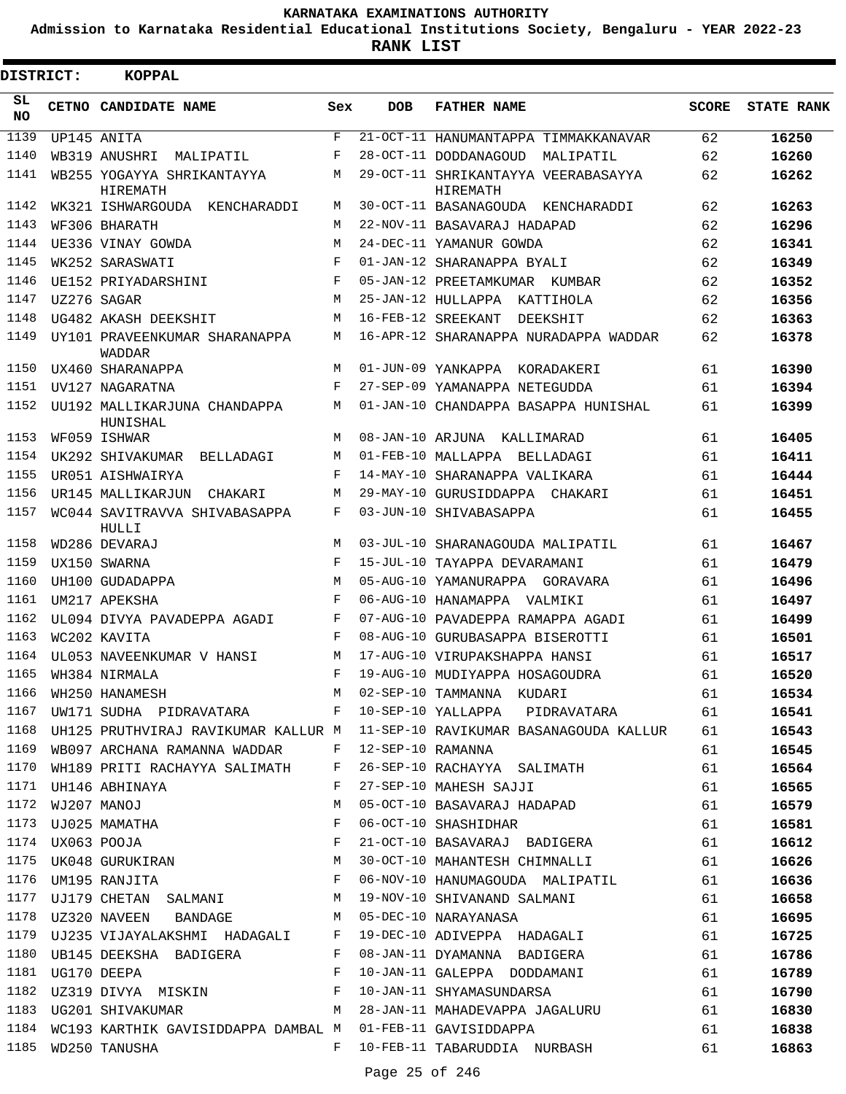**Admission to Karnataka Residential Educational Institutions Society, Bengaluru - YEAR 2022-23**

| <b>DISTRICT:</b> |             | <b>KOPPAL</b>                                 |            |                   |                                                 |              |                   |
|------------------|-------------|-----------------------------------------------|------------|-------------------|-------------------------------------------------|--------------|-------------------|
| SL<br><b>NO</b>  |             | CETNO CANDIDATE NAME                          | Sex        | <b>DOB</b>        | <b>FATHER NAME</b>                              | <b>SCORE</b> | <b>STATE RANK</b> |
| 1139             |             | UP145 ANITA                                   | $_{\rm F}$ |                   | 21-OCT-11 HANUMANTAPPA TIMMAKKANAVAR            | 62           | 16250             |
| 1140             |             | WB319 ANUSHRI<br>MALIPATIL                    | F          |                   | 28-OCT-11 DODDANAGOUD<br>MALIPATIL              | 62           | 16260             |
| 1141             |             | WB255 YOGAYYA SHRIKANTAYYA<br><b>HIREMATH</b> | М          |                   | 29-OCT-11 SHRIKANTAYYA VEERABASAYYA<br>HIREMATH | 62           | 16262             |
| 1142             |             | WK321 ISHWARGOUDA<br>KENCHARADDI              | М          |                   | 30-OCT-11 BASANAGOUDA KENCHARADDI               | 62           | 16263             |
| 1143             |             | WF306 BHARATH                                 | M          |                   | 22-NOV-11 BASAVARAJ HADAPAD                     | 62           | 16296             |
| 1144             |             | UE336 VINAY GOWDA                             | М          |                   | 24-DEC-11 YAMANUR GOWDA                         | 62           | 16341             |
| 1145             |             | WK252 SARASWATI                               | $_{\rm F}$ |                   | 01-JAN-12 SHARANAPPA BYALI                      | 62           | 16349             |
| 1146             |             | UE152 PRIYADARSHINI                           | F          |                   | 05-JAN-12 PREETAMKUMAR KUMBAR                   | 62           | 16352             |
| 1147             |             | UZ276 SAGAR                                   | M          |                   | 25-JAN-12 HULLAPPA KATTIHOLA                    | 62           | 16356             |
| 1148             |             | UG482 AKASH DEEKSHIT                          | М          |                   | 16-FEB-12 SREEKANT<br>DEEKSHIT                  | 62           | 16363             |
| 1149             |             | UY101 PRAVEENKUMAR SHARANAPPA<br>WADDAR       | М          |                   | 16-APR-12 SHARANAPPA NURADAPPA WADDAR           | 62           | 16378             |
| 1150             |             | UX460 SHARANAPPA                              | M          |                   | 01-JUN-09 YANKAPPA KORADAKERI                   | 61           | 16390             |
| 1151             |             | UV127 NAGARATNA                               | F          |                   | 27-SEP-09 YAMANAPPA NETEGUDDA                   | 61           | 16394             |
| 1152             |             | UU192 MALLIKARJUNA CHANDAPPA<br>HUNISHAL      | М          |                   | 01-JAN-10 CHANDAPPA BASAPPA HUNISHAL            | 61           | 16399             |
| 1153             |             | WF059 ISHWAR                                  | М          |                   | 08-JAN-10 ARJUNA KALLIMARAD                     | 61           | 16405             |
| 1154             |             | UK292 SHIVAKUMAR<br>BELLADAGI                 | М          |                   | 01-FEB-10 MALLAPPA BELLADAGI                    | 61           | 16411             |
| 1155             |             | UR051 AISHWAIRYA                              | F          |                   | 14-MAY-10 SHARANAPPA VALIKARA                   | 61           | 16444             |
| 1156             |             | UR145 MALLIKARJUN<br>CHAKARI                  | М          |                   | 29-MAY-10 GURUSIDDAPPA CHAKARI                  | 61           | 16451             |
| 1157             |             | WC044 SAVITRAVVA SHIVABASAPPA<br>HULLI        | F          |                   | 03-JUN-10 SHIVABASAPPA                          | 61           | 16455             |
| 1158             |             | WD286 DEVARAJ                                 | M          |                   | 03-JUL-10 SHARANAGOUDA MALIPATIL                | 61           | 16467             |
| 1159             |             | UX150 SWARNA                                  | F          |                   | 15-JUL-10 TAYAPPA DEVARAMANI                    | 61           | 16479             |
| 1160             |             | UH100 GUDADAPPA                               | M          |                   | 05-AUG-10 YAMANURAPPA GORAVARA                  | 61           | 16496             |
| 1161             |             | UM217 APEKSHA                                 | F          |                   | 06-AUG-10 HANAMAPPA VALMIKI                     | 61           | 16497             |
| 1162             |             | UL094 DIVYA PAVADEPPA AGADI                   | F          |                   | 07-AUG-10 PAVADEPPA RAMAPPA AGADI               | 61           | 16499             |
| 1163             |             | WC202 KAVITA                                  | F          |                   | 08-AUG-10 GURUBASAPPA BISEROTTI                 | 61           | 16501             |
| 1164             |             | UL053 NAVEENKUMAR V HANSI                     | М          |                   | 17-AUG-10 VIRUPAKSHAPPA HANSI                   | 61           | 16517             |
| 1165             |             | WH384 NIRMALA                                 | F          |                   | 19-AUG-10 MUDIYAPPA HOSAGOUDRA                  | 61           | 16520             |
| 1166             |             | WH250 HANAMESH                                | М          |                   | 02-SEP-10 TAMMANNA KUDARI                       | 61           | 16534             |
| 1167             |             | UW171 SUDHA PIDRAVATARA F                     |            |                   | 10-SEP-10 YALLAPPA PIDRAVATARA                  | 61           | 16541             |
| 1168             |             | UH125 PRUTHVIRAJ RAVIKUMAR KALLUR M           |            |                   | 11-SEP-10 RAVIKUMAR BASANAGOUDA KALLUR          | 61           | 16543             |
| 1169             |             | WB097 ARCHANA RAMANNA WADDAR                  | F          | 12-SEP-10 RAMANNA |                                                 | 61           | 16545             |
| 1170             |             | WH189 PRITI RACHAYYA SALIMATH                 | F          |                   | 26-SEP-10 RACHAYYA SALIMATH                     | 61           | 16564             |
| 1171             |             | UH146 ABHINAYA                                | F          |                   | 27-SEP-10 MAHESH SAJJI                          | 61           | 16565             |
| 1172             | WJ207 MANOJ |                                               | M          |                   | 05-OCT-10 BASAVARAJ HADAPAD                     | 61           | 16579             |
| 1173             |             | UJ025 MAMATHA                                 | F          |                   | 06-OCT-10 SHASHIDHAR                            | 61           | 16581             |
| 1174             |             | UX063 POOJA                                   | F          |                   | 21-OCT-10 BASAVARAJ BADIGERA                    | 61           | 16612             |
| 1175             |             | UK048 GURUKIRAN                               | M          |                   | 30-OCT-10 MAHANTESH CHIMNALLI                   | 61           | 16626             |
| 1176             |             | UM195 RANJITA                                 | F          |                   | 06-NOV-10 HANUMAGOUDA MALIPATIL                 | 61           | 16636             |
| 1177             |             | UJ179 CHETAN SALMANI                          | M          |                   | 19-NOV-10 SHIVANAND SALMANI                     | 61           | 16658             |
| 1178             |             | UZ320 NAVEEN BANDAGE                          | M          |                   | 05-DEC-10 NARAYANASA                            | 61           | 16695             |
| 1179             |             | UJ235 VIJAYALAKSHMI HADAGALI F                |            |                   | 19-DEC-10 ADIVEPPA HADAGALI                     | 61           | 16725             |
| 1180             |             | UB145 DEEKSHA BADIGERA                        | F          |                   | 08-JAN-11 DYAMANNA BADIGERA                     | 61           | 16786             |
| 1181             |             | UG170 DEEPA                                   | F          |                   | 10-JAN-11 GALEPPA DODDAMANI                     | 61           | 16789             |
| 1182             |             | UZ319 DIVYA MISKIN                            | F          |                   | 10-JAN-11 SHYAMASUNDARSA                        | 61           | 16790             |
| 1183             |             | UG201 SHIVAKUMAR                              | M          |                   | 28-JAN-11 MAHADEVAPPA JAGALURU                  | 61           | 16830             |
|                  |             | 1184 WC193 KARTHIK GAVISIDDAPPA DAMBAL M      |            |                   | 01-FEB-11 GAVISIDDAPPA                          | 61           | 16838             |
| 1185             |             | WD250 TANUSHA                                 | F          |                   | 10-FEB-11 TABARUDDIA NURBASH                    | 61           | 16863             |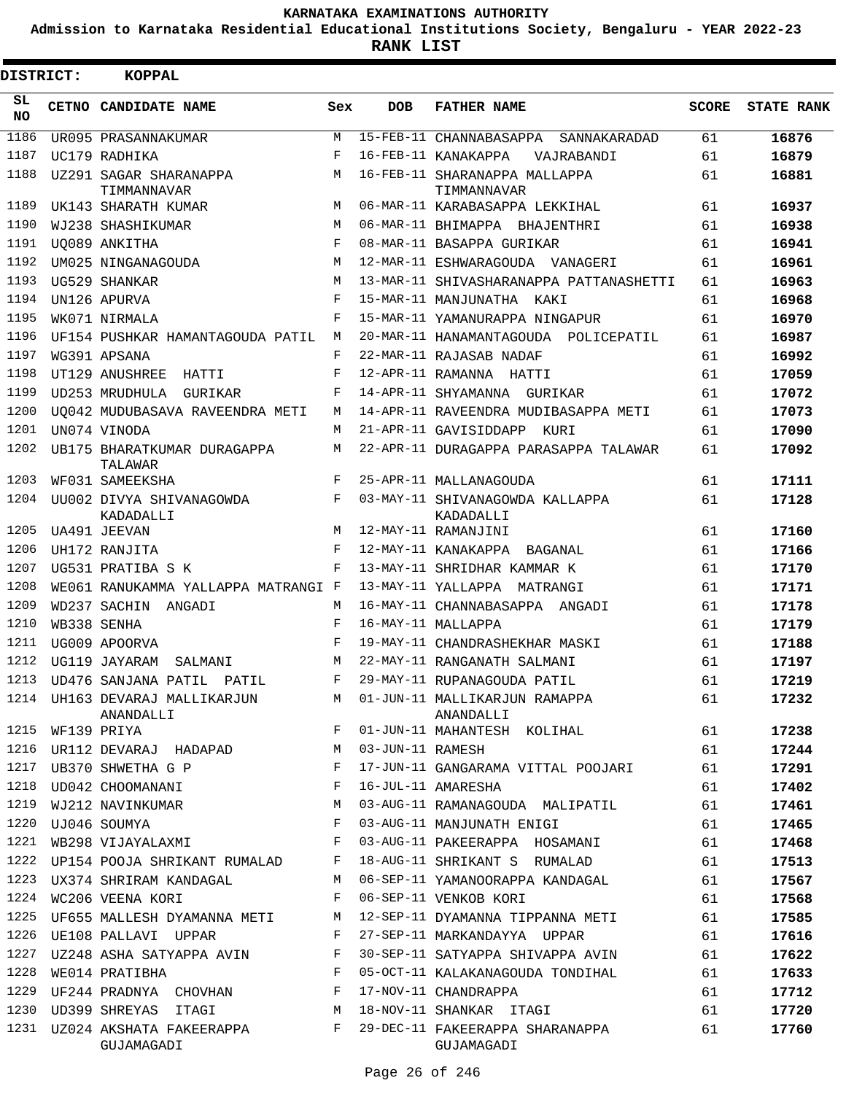**Admission to Karnataka Residential Educational Institutions Society, Bengaluru - YEAR 2022-23**

| DISTRICT:       |             | <b>KOPPAL</b>                               |     |                  |                                               |       |                   |
|-----------------|-------------|---------------------------------------------|-----|------------------|-----------------------------------------------|-------|-------------------|
| SL<br><b>NO</b> |             | CETNO CANDIDATE NAME                        | Sex | <b>DOB</b>       | <b>FATHER NAME</b>                            | SCORE | <b>STATE RANK</b> |
| 1186            |             | UR095 PRASANNAKUMAR                         | M   |                  | 15-FEB-11 CHANNABASAPPA SANNAKARADAD          | 61    | 16876             |
| 1187            |             | UC179 RADHIKA                               | F   |                  | 16-FEB-11 KANAKAPPA<br>VAJRABANDI             | 61    | 16879             |
| 1188            |             | UZ291 SAGAR SHARANAPPA<br>TIMMANNAVAR       | M   |                  | 16-FEB-11 SHARANAPPA MALLAPPA<br>TIMMANNAVAR  | 61    | 16881             |
| 1189            |             | UK143 SHARATH KUMAR                         | M   |                  | 06-MAR-11 KARABASAPPA LEKKIHAL                | 61    | 16937             |
| 1190            |             | WJ238 SHASHIKUMAR                           | M   |                  | 06-MAR-11 BHIMAPPA BHAJENTHRI                 | 61    | 16938             |
| 1191            |             | UO089 ANKITHA                               | F   |                  | 08-MAR-11 BASAPPA GURIKAR                     | 61    | 16941             |
| 1192            |             | UM025 NINGANAGOUDA                          | M   |                  | 12-MAR-11 ESHWARAGOUDA VANAGERI               | 61    | 16961             |
| 1193            |             | UG529 SHANKAR                               | M   |                  | 13-MAR-11 SHIVASHARANAPPA PATTANASHETTI       | 61    | 16963             |
| 1194            |             | UN126 APURVA                                | F   |                  | 15-MAR-11 MANJUNATHA KAKI                     | 61    | 16968             |
| 1195            |             | WK071 NIRMALA                               | F   |                  | 15-MAR-11 YAMANURAPPA NINGAPUR                | 61    | 16970             |
| 1196            |             | UF154 PUSHKAR HAMANTAGOUDA PATIL            | М   |                  | 20-MAR-11 HANAMANTAGOUDA POLICEPATIL          | 61    | 16987             |
| 1197            |             | WG391 APSANA                                | F   |                  | 22-MAR-11 RAJASAB NADAF                       | 61    | 16992             |
| 1198            |             | UT129 ANUSHREE<br>HATTI                     | F   |                  | 12-APR-11 RAMANNA HATTI                       | 61    | 17059             |
| 1199            |             | UD253 MRUDHULA<br>GURIKAR                   | F   |                  | 14-APR-11 SHYAMANNA GURIKAR                   | 61    | 17072             |
| 1200            |             | UQ042 MUDUBASAVA RAVEENDRA METI             | М   |                  | 14-APR-11 RAVEENDRA MUDIBASAPPA METI          | 61    | 17073             |
| 1201            |             | UN074 VINODA                                | М   |                  | 21-APR-11 GAVISIDDAPP KURI                    | 61    | 17090             |
| 1202            |             | UB175 BHARATKUMAR DURAGAPPA<br>TALAWAR      | М   |                  | 22-APR-11 DURAGAPPA PARASAPPA TALAWAR         | 61    | 17092             |
| 1203            |             | WF031 SAMEEKSHA                             | F   |                  | 25-APR-11 MALLANAGOUDA                        | 61    | 17111             |
| 1204            |             | UU002 DIVYA SHIVANAGOWDA<br>KADADALLI       | F   |                  | 03-MAY-11 SHIVANAGOWDA KALLAPPA<br>KADADALLI  | 61    | 17128             |
| 1205            |             | UA491 JEEVAN                                | М   |                  | 12-MAY-11 RAMANJINI                           | 61    | 17160             |
| 1206            |             | UH172 RANJITA                               | F   |                  | 12-MAY-11 KANAKAPPA BAGANAL                   | 61    | 17166             |
| 1207            |             | UG531 PRATIBA S K                           | F   |                  | 13-MAY-11 SHRIDHAR KAMMAR K                   | 61    | 17170             |
| 1208            |             | WE061 RANUKAMMA YALLAPPA MATRANGI F         |     |                  | 13-MAY-11 YALLAPPA MATRANGI                   | 61    | 17171             |
| 1209            |             | WD237 SACHIN ANGADI                         | М   |                  | 16-MAY-11 CHANNABASAPPA ANGADI                | 61    | 17178             |
| 1210            |             | WB338 SENHA                                 | F   |                  | 16-MAY-11 MALLAPPA                            | 61    | 17179             |
| 1211            |             | UG009 APOORVA                               | F   |                  | 19-MAY-11 CHANDRASHEKHAR MASKI                | 61    | 17188             |
| 1212            |             | UG119 JAYARAM<br>SALMANI                    | М   |                  | 22-MAY-11 RANGANATH SALMANI                   | 61    | 17197             |
| 1213            |             | UD476 SANJANA PATIL<br>PATIL                | F   |                  | 29-MAY-11 RUPANAGOUDA PATIL                   | 61    | 17219             |
|                 |             | 1214 UH163 DEVARAJ MALLIKARJUN<br>ANANDALLI | М   |                  | 01-JUN-11 MALLIKARJUN RAMAPPA<br>ANANDALLI    | 61    | 17232             |
| 1215            | WF139 PRIYA |                                             | F   |                  | 01-JUN-11 MAHANTESH KOLIHAL                   | 61    | 17238             |
| 1216            |             | UR112 DEVARAJ HADAPAD                       | М   | 03-JUN-11 RAMESH |                                               | 61    | 17244             |
| 1217            |             | UB370 SHWETHA G P                           | F   |                  | 17-JUN-11 GANGARAMA VITTAL POOJARI            | 61    | 17291             |
| 1218            |             | UD042 CHOOMANANI                            | F   |                  | 16-JUL-11 AMARESHA                            | 61    | 17402             |
| 1219            |             | WJ212 NAVINKUMAR                            | М   |                  | 03-AUG-11 RAMANAGOUDA MALIPATIL               | 61    | 17461             |
| 1220            |             | UJ046 SOUMYA                                | F   |                  | 03-AUG-11 MANJUNATH ENIGI                     | 61    | 17465             |
| 1221            |             | WB298 VIJAYALAXMI                           | F   |                  | 03-AUG-11 PAKEERAPPA HOSAMANI                 | 61    | 17468             |
| 1222            |             | UP154 POOJA SHRIKANT RUMALAD                | F   |                  | 18-AUG-11 SHRIKANT S RUMALAD                  | 61    | 17513             |
| 1223            |             | UX374 SHRIRAM KANDAGAL                      | М   |                  | 06-SEP-11 YAMANOORAPPA KANDAGAL               | 61    | 17567             |
| 1224            |             | WC206 VEENA KORI                            | F   |                  | 06-SEP-11 VENKOB KORI                         | 61    | 17568             |
| 1225            |             | UF655 MALLESH DYAMANNA METI                 | М   |                  | 12-SEP-11 DYAMANNA TIPPANNA METI              | 61    | 17585             |
| 1226            |             | UE108 PALLAVI UPPAR                         | F   |                  | 27-SEP-11 MARKANDAYYA UPPAR                   | 61    | 17616             |
| 1227            |             | UZ248 ASHA SATYAPPA AVIN                    | F   |                  | 30-SEP-11 SATYAPPA SHIVAPPA AVIN              | 61    | 17622             |
| 1228            |             | WE014 PRATIBHA                              | F   |                  | 05-OCT-11 KALAKANAGOUDA TONDIHAL              | 61    | 17633             |
| 1229            |             | UF244 PRADNYA CHOVHAN                       | F   |                  | 17-NOV-11 CHANDRAPPA                          | 61    | 17712             |
| 1230            |             | UD399 SHREYAS ITAGI                         | M   |                  | 18-NOV-11 SHANKAR ITAGI                       | 61    | 17720             |
|                 |             | 1231 UZ024 AKSHATA FAKEERAPPA<br>GUJAMAGADI | F   |                  | 29-DEC-11 FAKEERAPPA SHARANAPPA<br>GUJAMAGADI | 61    | 17760             |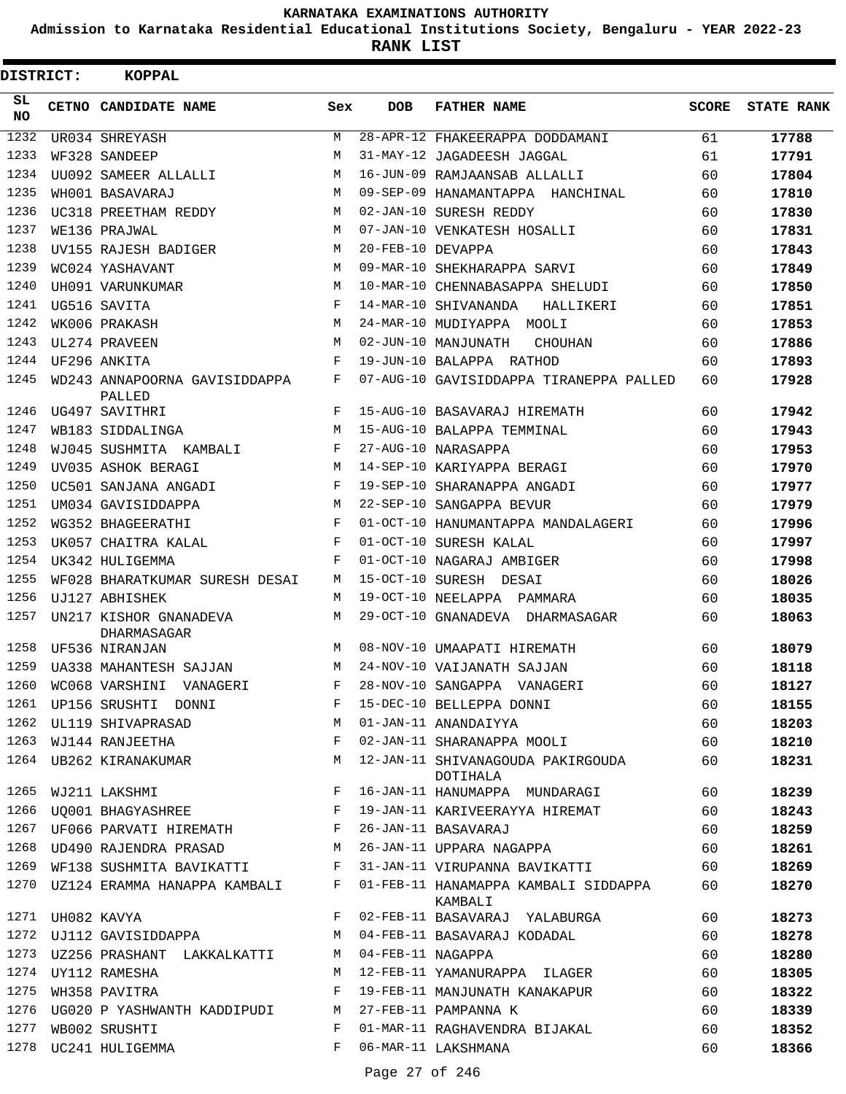**Admission to Karnataka Residential Educational Institutions Society, Bengaluru - YEAR 2022-23**

**RANK LIST**

| DISTRICT:       |                  | <b>KOPPAL</b>                           |     |                   |                                                             |              |                   |
|-----------------|------------------|-----------------------------------------|-----|-------------------|-------------------------------------------------------------|--------------|-------------------|
| SL<br><b>NO</b> |                  | CETNO CANDIDATE NAME                    | Sex | <b>DOB</b>        | <b>FATHER NAME</b>                                          | <b>SCORE</b> | <b>STATE RANK</b> |
| 1232            |                  | UR034 SHREYASH                          | М   |                   | 28-APR-12 FHAKEERAPPA DODDAMANI                             | 61           | 17788             |
| 1233            |                  | WF328 SANDEEP                           | М   |                   | 31-MAY-12 JAGADEESH JAGGAL                                  | 61           | 17791             |
| 1234            |                  | UU092 SAMEER ALLALLI                    | M   |                   | 16-JUN-09 RAMJAANSAB ALLALLI                                | 60           | 17804             |
| 1235            |                  | WH001 BASAVARAJ                         | M   |                   | 09-SEP-09 HANAMANTAPPA HANCHINAL                            | 60           | 17810             |
| 1236            |                  | UC318 PREETHAM REDDY                    | M   |                   | 02-JAN-10 SURESH REDDY                                      | 60           | 17830             |
| 1237            |                  | WE136 PRAJWAL                           | M   |                   | 07-JAN-10 VENKATESH HOSALLI                                 | 60           | 17831             |
| 1238            |                  | UV155 RAJESH BADIGER                    | M   | 20-FEB-10 DEVAPPA |                                                             | 60           | 17843             |
| 1239            |                  | WC024 YASHAVANT                         | M   |                   | 09-MAR-10 SHEKHARAPPA SARVI                                 | 60           | 17849             |
| 1240            |                  | UH091 VARUNKUMAR                        | M   |                   | 10-MAR-10 CHENNABASAPPA SHELUDI                             | 60           | 17850             |
| 1241            |                  | UG516 SAVITA                            | F   |                   | 14-MAR-10 SHIVANANDA<br>HALLIKERI                           | 60           | 17851             |
| 1242            |                  | WK006 PRAKASH                           | M   |                   | 24-MAR-10 MUDIYAPPA MOOLI                                   | 60           | 17853             |
| 1243            |                  | UL274 PRAVEEN                           | M   |                   | 02-JUN-10 MANJUNATH<br><b>CHOUHAN</b>                       | 60           | 17886             |
| 1244            |                  | UF296 ANKITA                            | F   |                   | 19-JUN-10 BALAPPA RATHOD                                    | 60           | 17893             |
| 1245            |                  | WD243 ANNAPOORNA GAVISIDDAPPA<br>PALLED | F   |                   | 07-AUG-10 GAVISIDDAPPA TIRANEPPA PALLED                     | 60           | 17928             |
| 1246            |                  | UG497 SAVITHRI                          | F   |                   | 15-AUG-10 BASAVARAJ HIREMATH                                | 60           | 17942             |
| 1247            |                  | WB183 SIDDALINGA                        | M   |                   | 15-AUG-10 BALAPPA TEMMINAL                                  | 60           | 17943             |
| 1248            |                  | WJ045 SUSHMITA KAMBALI                  | F   |                   | 27-AUG-10 NARASAPPA                                         | 60           | 17953             |
| 1249            |                  | UV035 ASHOK BERAGI                      | М   |                   | 14-SEP-10 KARIYAPPA BERAGI                                  | 60           | 17970             |
| 1250            |                  | UC501 SANJANA ANGADI                    | F   |                   | 19-SEP-10 SHARANAPPA ANGADI                                 | 60           | 17977             |
| 1251            |                  | UM034 GAVISIDDAPPA                      | M   |                   | 22-SEP-10 SANGAPPA BEVUR                                    | 60           | 17979             |
| 1252            |                  | WG352 BHAGEERATHI                       | F   |                   | 01-OCT-10 HANUMANTAPPA MANDALAGERI                          | 60           | 17996             |
| 1253            |                  | UK057 CHAITRA KALAL                     | F   |                   | 01-OCT-10 SURESH KALAL                                      | 60           | 17997             |
| 1254            |                  | UK342 HULIGEMMA                         | F   |                   | 01-OCT-10 NAGARAJ AMBIGER                                   | 60           | 17998             |
| 1255            |                  | WF028 BHARATKUMAR SURESH DESAI          | М   |                   | 15-OCT-10 SURESH DESAI                                      | 60           | 18026             |
| 1256            |                  | UJ127 ABHISHEK                          | М   |                   | 19-OCT-10 NEELAPPA PAMMARA                                  | 60           | 18035             |
| 1257            |                  | UN217 KISHOR GNANADEVA<br>DHARMASAGAR   | М   |                   | 29-OCT-10 GNANADEVA DHARMASAGAR                             | 60           | 18063             |
| 1258            |                  | UF536 NIRANJAN                          | М   |                   | 08-NOV-10 UMAAPATI HIREMATH                                 | 60           | 18079             |
| 1259            |                  | <b>UA338 MAHANTESH SAJJAN</b>           | М   |                   | 24-NOV-10 VAIJANATH SAJJAN                                  | 60           | 18118             |
|                 |                  | 1260 WC068 VARSHINI VANAGERI            | F   |                   | 28-NOV-10 SANGAPPA VANAGERI                                 | 60           | 18127             |
|                 |                  |                                         |     |                   | 1261 UP156 SRUSHTI DONNI NA PRODUCE PRODUCED BELLEPPA DONNI | 60           | 18155             |
|                 |                  | 1262 UL119 SHIVAPRASAD M                |     |                   | 01-JAN-11 ANANDAIYYA                                        | 60           | 18203             |
| 1263            |                  | WJ144 RANJEETHA                         | F   |                   | 02-JAN-11 SHARANAPPA MOOLI                                  | 60           | 18210             |
| 1264            |                  | UB262 KIRANAKUMAR M                     |     |                   | 12-JAN-11 SHIVANAGOUDA PAKIRGOUDA<br>DOTIHALA               | 60           | 18231             |
| 1265            |                  | WJ211 LAKSHMI                           | F   |                   | 16-JAN-11 HANUMAPPA MUNDARAGI                               | 60           | 18239             |
| 1266            |                  | UQ001 BHAGYASHREE F                     |     |                   | 19-JAN-11 KARIVEERAYYA HIREMAT                              | 60           | 18243             |
|                 |                  | 1267 UF066 PARVATI HIREMATH F           |     |                   | 26-JAN-11 BASAVARAJ                                         | 60           | 18259             |
| 1268            |                  | UD490 RAJENDRA PRASAD M                 |     |                   | 26-JAN-11 UPPARA NAGAPPA                                    | 60           | 18261             |
|                 |                  | 1269 WF138 SUSHMITA BAVIKATTI F         |     |                   | 31-JAN-11 VIRUPANNA BAVIKATTI                               | 60           | 18269             |
| 1270            |                  | UZ124 ERAMMA HANAPPA KAMBALI F          |     |                   | 01-FEB-11 HANAMAPPA KAMBALI SIDDAPPA<br>KAMBALI             | 60           | 18270             |
|                 | 1271 UH082 KAVYA |                                         | F   |                   | 02-FEB-11 BASAVARAJ YALABURGA                               | 60           | 18273             |
| 1272            |                  | UJ112 GAVISIDDAPPA                      | М   |                   | 04-FEB-11 BASAVARAJ KODADAL                                 | 60           | 18278             |
| 1273            |                  | UZ256 PRASHANT LAKKALKATTI              | M   | 04-FEB-11 NAGAPPA |                                                             | 60           | 18280             |
| 1274            |                  | UY112 RAMESHA                           | М   |                   | 12-FEB-11 YAMANURAPPA ILAGER                                | 60           | 18305             |
| 1275            |                  | WH358 PAVITRA                           | F   |                   | 19-FEB-11 MANJUNATH KANAKAPUR                               | 60           | 18322             |
| 1276            |                  | UG020 P YASHWANTH KADDIPUDI M           |     |                   | 27-FEB-11 PAMPANNA K                                        | 60           | 18339             |
| 1277            |                  | WB002 SRUSHTI                           | F   |                   | 01-MAR-11 RAGHAVENDRA BIJAKAL                               | 60           | 18352             |
| 1278            |                  | UC241 HULIGEMMA                         | F   |                   | 06-MAR-11 LAKSHMANA                                         | 60           | 18366             |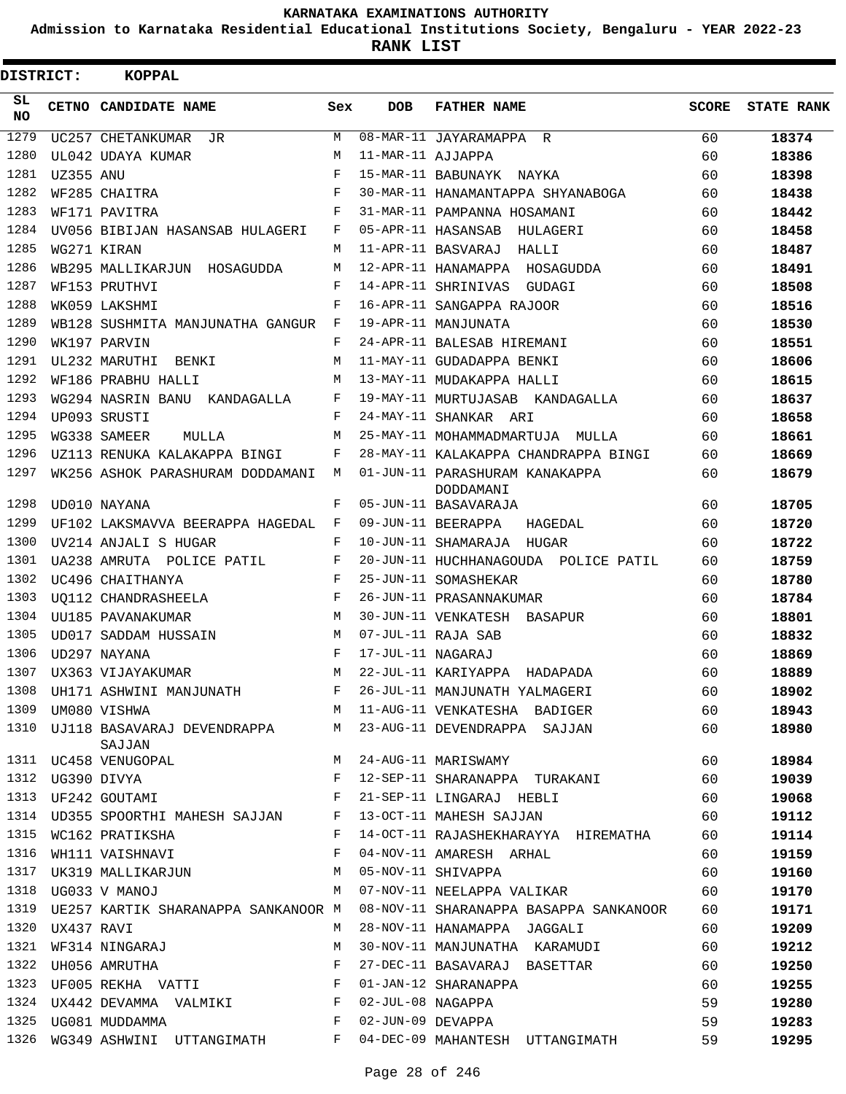**Admission to Karnataka Residential Educational Institutions Society, Bengaluru - YEAR 2022-23**

| <b>DISTRICT:</b> |             | KOPPAL                                                               |              |                   |                                                            |              |                   |
|------------------|-------------|----------------------------------------------------------------------|--------------|-------------------|------------------------------------------------------------|--------------|-------------------|
| SL.<br><b>NO</b> |             | CETNO CANDIDATE NAME                                                 | Sex          | <b>DOB</b>        | <b>FATHER NAME</b>                                         | <b>SCORE</b> | <b>STATE RANK</b> |
| 1279             |             | UC257 CHETANKUMAR JR                                                 | M            |                   | 08-MAR-11 JAYARAMAPPA R                                    | 60           | 18374             |
| 1280             |             | UL042 UDAYA KUMAR                                                    | M            | 11-MAR-11 AJJAPPA |                                                            | 60           | 18386             |
| 1281             | UZ355 ANU   |                                                                      | F            |                   | 15-MAR-11 BABUNAYK NAYKA                                   | 60           | 18398             |
| 1282             |             | WF285 CHAITRA                                                        | F            |                   | 30-MAR-11 HANAMANTAPPA SHYANABOGA                          | 60           | 18438             |
| 1283             |             | WF171 PAVITRA                                                        | F            |                   | 31-MAR-11 PAMPANNA HOSAMANI                                | 60           | 18442             |
| 1284             |             | UV056 BIBIJAN HASANSAB HULAGERI                                      | F            |                   | 05-APR-11 HASANSAB HULAGERI                                | 60           | 18458             |
| 1285             |             | WG271 KIRAN                                                          | M            |                   | 11-APR-11 BASVARAJ HALLI                                   | 60           | 18487             |
| 1286             |             | WB295 MALLIKARJUN HOSAGUDDA                                          | M            |                   | 12-APR-11 HANAMAPPA HOSAGUDDA                              | 60           | 18491             |
| 1287             |             | WF153 PRUTHVI                                                        | F            |                   | 14-APR-11 SHRINIVAS GUDAGI                                 | 60           | 18508             |
| 1288             |             | WK059 LAKSHMI                                                        | F            |                   | 16-APR-11 SANGAPPA RAJOOR                                  | 60           | 18516             |
| 1289             |             | WB128 SUSHMITA MANJUNATHA GANGUR F                                   |              |                   | 19-APR-11 MANJUNATA                                        | 60           | 18530             |
| 1290             |             | WK197 PARVIN                                                         | F            |                   | 24-APR-11 BALESAB HIREMANI                                 | 60           | 18551             |
| 1291             |             | UL232 MARUTHI BENKI                                                  | M            |                   | 11-MAY-11 GUDADAPPA BENKI                                  | 60           | 18606             |
| 1292             |             | WF186 PRABHU HALLI                                                   | M            |                   | 13-MAY-11 MUDAKAPPA HALLI                                  | 60           | 18615             |
| 1293             |             | WG294 NASRIN BANU KANDAGALLA                                         | F            |                   | 19-MAY-11 MURTUJASAB KANDAGALLA                            | 60           | 18637             |
| 1294             |             | UP093 SRUSTI                                                         | F            |                   | 24-MAY-11 SHANKAR ARI                                      | 60           | 18658             |
| 1295             |             | WG338 SAMEER<br>MULLA                                                | M            |                   | 25-MAY-11 MOHAMMADMARTUJA MULLA                            | 60           | 18661             |
| 1296             |             | UZ113 RENUKA KALAKAPPA BINGI                                         | F            |                   | 28-MAY-11 KALAKAPPA CHANDRAPPA BINGI                       | 60           | 18669             |
| 1297             |             | WK256 ASHOK PARASHURAM DODDAMANI M                                   |              |                   | 01-JUN-11 PARASHURAM KANAKAPPA<br>DODDAMANI                | 60           | 18679             |
| 1298             |             | UD010 NAYANA                                                         | F            |                   | 05-JUN-11 BASAVARAJA                                       | 60           | 18705             |
| 1299             |             | UF102 LAKSMAVVA BEERAPPA HAGEDAL F                                   |              |                   | 09-JUN-11 BEERAPPA<br>HAGEDAL                              | 60           | 18720             |
| 1300             |             | UV214 ANJALI S HUGAR                                                 | $_{\rm F}$   |                   | 10-JUN-11 SHAMARAJA HUGAR                                  | 60           | 18722             |
| 1301             |             | UA238 AMRUTA POLICE PATIL                                            | $\mathbf{F}$ |                   | 20-JUN-11 HUCHHANAGOUDA POLICE PATIL                       | 60           | 18759             |
| 1302             |             | UC496 CHAITHANYA                                                     | F            |                   | 25-JUN-11 SOMASHEKAR                                       | 60           | 18780             |
| 1303             |             | UQ112 CHANDRASHEELA                                                  | F            |                   | 26-JUN-11 PRASANNAKUMAR                                    | 60           | 18784             |
| 1304             |             | M<br>UU185 PAVANAKUMAR                                               |              |                   | 30-JUN-11 VENKATESH BASAPUR                                | 60           | 18801             |
| 1305             |             | UD017 SADDAM HUSSAIN                                                 | M            |                   | 07-JUL-11 RAJA SAB                                         | 60           | 18832             |
| 1306             |             | UD297 NAYANA                                                         | F            | 17-JUL-11 NAGARAJ |                                                            | 60           | 18869             |
| 1307             |             | UX363 VIJAYAKUMAR                                                    | M            |                   | 22-JUL-11 KARIYAPPA HADAPADA                               | 60           | 18889             |
| 1308             |             | UH171 ASHWINI MANJUNATH                                              | F            |                   | 26-JUL-11 MANJUNATH YALMAGERI                              | 60           | 18902             |
|                  |             | 1309 UM080 VISHWA                                                    | M            |                   | 11-AUG-11 VENKATESHA BADIGER                               | 60           | 18943             |
| 1310             |             | SAJJAN                                                               |              |                   | UJ118 BASAVARAJ DEVENDRAPPA M 23-AUG-11 DEVENDRAPPA SAJJAN | 60           | 18980             |
|                  |             | 1311 UC458 VENUGOPAL                                                 | M            |                   | 24-AUG-11 MARISWAMY                                        | 60           | 18984             |
| 1312             | UG390 DIVYA |                                                                      | F            |                   | 12-SEP-11 SHARANAPPA TURAKANI                              | 60           | 19039             |
|                  |             | $\mathbf{F}$ and $\mathbf{F}$ and $\mathbf{F}$<br>1313 UF242 GOUTAMI |              |                   | 21-SEP-11 LINGARAJ HEBLI                                   | 60           | 19068             |
|                  |             | 1314 UD355 SPOORTHI MAHESH SAJJAN F                                  |              |                   | 13-OCT-11 MAHESH SAJJAN                                    | 60           | 19112             |
|                  |             | 1315 WC162 PRATIKSHA                                                 | F            |                   | 14-OCT-11 RAJASHEKHARAYYA HIREMATHA                        | 60           | 19114             |
| 1316             |             | WH111 VAISHNAVI                                                      | F            |                   | 04-NOV-11 AMARESH ARHAL                                    | 60           | 19159             |
| 1317             |             | UK319 MALLIKARJUN M                                                  |              |                   | 05-NOV-11 SHIVAPPA                                         | 60           | 19160             |
|                  |             |                                                                      | M            |                   | 07-NOV-11 NEELAPPA VALIKAR                                 | 60           | 19170             |
| 1319             |             | UE257 KARTIK SHARANAPPA SANKANOOR M                                  |              |                   | 08-NOV-11 SHARANAPPA BASAPPA SANKANOOR                     | 60           | 19171             |
| 1320             | UX437 RAVI  |                                                                      | M            |                   | 28-NOV-11 HANAMAPPA JAGGALI                                | 60           | 19209             |
| 1321             |             | WF314 NINGARAJ                                                       | M            |                   | 30-NOV-11 MANJUNATHA KARAMUDI                              | 60           | 19212             |
| 1322             |             | UH056 AMRUTHA                                                        | F            |                   | 27-DEC-11 BASAVARAJ BASETTAR                               | 60           | 19250             |
| 1323             |             | UF005 REKHA VATTI<br>$\mathbb{F}$                                    |              |                   | 01-JAN-12 SHARANAPPA                                       | 60           | 19255             |
| 1324             |             | UX442 DEVAMMA VALMIKI                                                | $\mathbf{F}$ | 02-JUL-08 NAGAPPA |                                                            | 59           | 19280             |
| 1325             |             | UG081 MUDDAMMA                                                       | $\mathbf{F}$ | 02-JUN-09 DEVAPPA |                                                            | 59           | 19283             |
|                  |             | 1326 WG349 ASHWINI UTTANGIMATH                                       | F            |                   | 04-DEC-09 MAHANTESH UTTANGIMATH                            | 59           | 19295             |
|                  |             |                                                                      |              |                   |                                                            |              |                   |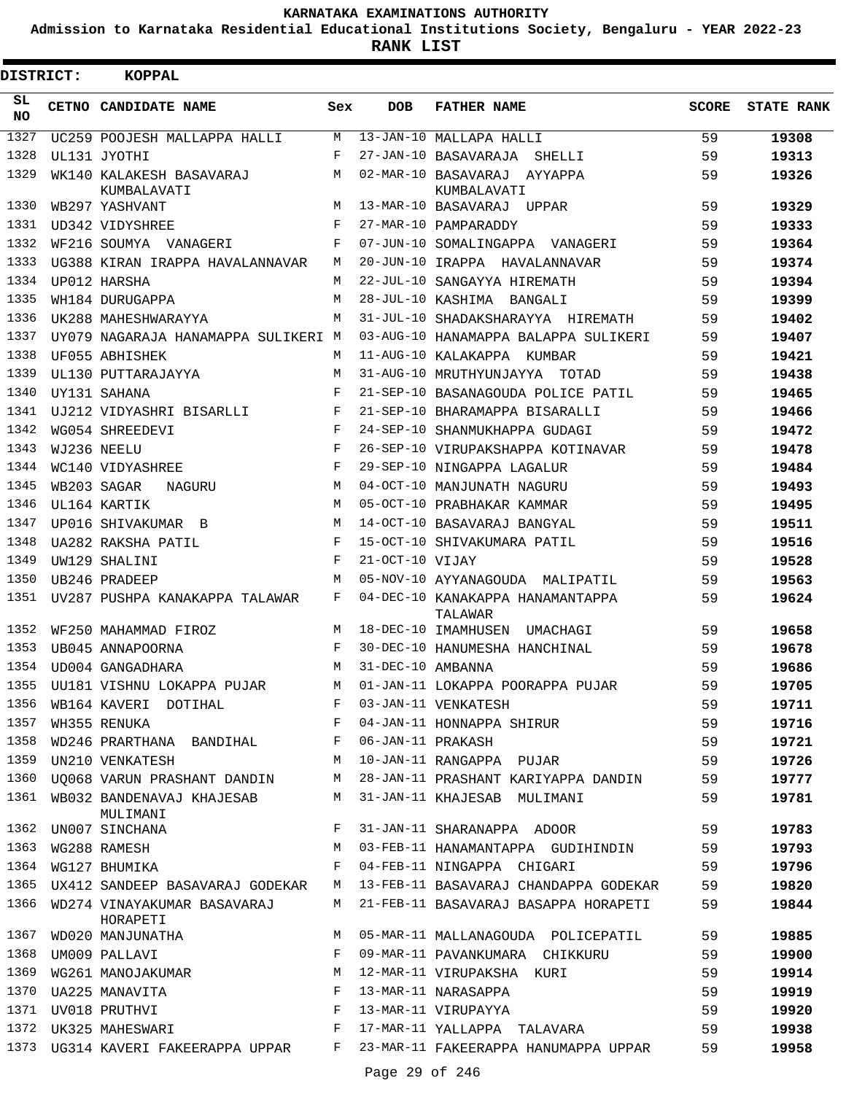**Admission to Karnataka Residential Educational Institutions Society, Bengaluru - YEAR 2022-23**

| <b>DISTRICT:</b> | <b>KOPPAL</b>                                                            |                    |                   |                                                                              |              |                   |
|------------------|--------------------------------------------------------------------------|--------------------|-------------------|------------------------------------------------------------------------------|--------------|-------------------|
| SL<br><b>NO</b>  | CETNO CANDIDATE NAME                                                     | Sex                | <b>DOB</b>        | <b>FATHER NAME</b>                                                           | <b>SCORE</b> | <b>STATE RANK</b> |
| 1327             | UC259 POOJESH MALLAPPA HALLI                                             | M                  |                   | 13-JAN-10 MALLAPA HALLI                                                      | 59           | 19308             |
| 1328             | UL131 JYOTHI                                                             | F                  |                   | 27-JAN-10 BASAVARAJA SHELLI                                                  | 59           | 19313             |
| 1329             | WK140 KALAKESH BASAVARAJ<br>KUMBALAVATI                                  | М                  |                   | 02-MAR-10 BASAVARAJ AYYAPPA<br>KUMBALAVATI                                   | 59           | 19326             |
| 1330             | WB297 YASHVANT                                                           | M                  |                   | 13-MAR-10 BASAVARAJ UPPAR                                                    | 59           | 19329             |
| 1331             | UD342 VIDYSHREE                                                          | F                  |                   | 27-MAR-10 PAMPARADDY                                                         | 59           | 19333             |
| 1332             | WF216 SOUMYA VANAGERI                                                    | F                  |                   | 07-JUN-10 SOMALINGAPPA VANAGERI                                              | 59           | 19364             |
| 1333             | UG388 KIRAN IRAPPA HAVALANNAVAR                                          | M                  |                   | 20-JUN-10 IRAPPA HAVALANNAVAR                                                | 59           | 19374             |
| 1334             | UP012 HARSHA                                                             | М                  |                   | 22-JUL-10 SANGAYYA HIREMATH                                                  | 59           | 19394             |
| 1335             | WH184 DURUGAPPA                                                          | M                  |                   | 28-JUL-10 KASHIMA BANGALI                                                    | 59           | 19399             |
| 1336             | UK288 MAHESHWARAYYA                                                      | М                  |                   | 31-JUL-10 SHADAKSHARAYYA HIREMATH                                            | 59           | 19402             |
| 1337             | UY079 NAGARAJA HANAMAPPA SULIKERI M                                      |                    |                   | 03-AUG-10 HANAMAPPA BALAPPA SULIKERI                                         | 59           | 19407             |
| 1338             | UF055 ABHISHEK                                                           | М                  |                   | 11-AUG-10 KALAKAPPA KUMBAR                                                   | 59           | 19421             |
| 1339             | UL130 PUTTARAJAYYA                                                       | M                  |                   | 31-AUG-10 MRUTHYUNJAYYA<br>TOTAD                                             | 59           | 19438             |
| 1340             | UY131 SAHANA                                                             | F                  |                   | 21-SEP-10 BASANAGOUDA POLICE PATIL                                           | 59           | 19465             |
| 1341             | UJ212 VIDYASHRI BISARLLI                                                 | F                  |                   | 21-SEP-10 BHARAMAPPA BISARALLI                                               | 59           | 19466             |
| 1342             | WG054 SHREEDEVI                                                          | $_{\rm F}$         |                   | 24-SEP-10 SHANMUKHAPPA GUDAGI                                                | 59           | 19472             |
| 1343             | WJ236 NEELU                                                              | $\mathbf{F}% _{0}$ |                   | 26-SEP-10 VIRUPAKSHAPPA KOTINAVAR                                            | 59           | 19478             |
| 1344             | WC140 VIDYASHREE                                                         | $_{\rm F}$         |                   | 29-SEP-10 NINGAPPA LAGALUR                                                   | 59           | 19484             |
| 1345             | WB203 SAGAR<br>NAGURU                                                    | M                  |                   | 04-OCT-10 MANJUNATH NAGURU                                                   | 59           | 19493             |
| 1346             | UL164 KARTIK                                                             | M                  |                   | 05-OCT-10 PRABHAKAR KAMMAR                                                   | 59           | 19495             |
| 1347             | UP016 SHIVAKUMAR B                                                       | M                  |                   | 14-OCT-10 BASAVARAJ BANGYAL                                                  | 59           | 19511             |
| 1348             | UA282 RAKSHA PATIL                                                       | F                  |                   | 15-OCT-10 SHIVAKUMARA PATIL                                                  | 59           | 19516             |
| 1349             | UW129 SHALINI                                                            | $_{\rm F}$         | 21-OCT-10 VIJAY   |                                                                              | 59           | 19528             |
| 1350             | UB246 PRADEEP                                                            | M                  |                   | 05-NOV-10 AYYANAGOUDA MALIPATIL                                              | 59           | 19563             |
| 1351             | UV287 PUSHPA KANAKAPPA TALAWAR                                           | F                  |                   | 04-DEC-10 KANAKAPPA HANAMANTAPPA<br>TALAWAR                                  | 59           | 19624             |
| 1352             | WF250 MAHAMMAD FIROZ                                                     | M                  |                   | 18-DEC-10 IMAMHUSEN UMACHAGI                                                 | 59           | 19658             |
| 1353             | UB045 ANNAPOORNA                                                         | F                  |                   | 30-DEC-10 HANUMESHA HANCHINAL                                                | 59           | 19678             |
| 1354             | UD004 GANGADHARA                                                         | M                  | 31-DEC-10 AMBANNA |                                                                              | 59           | 19686             |
|                  | 1355 UU181 VISHNU LOKAPPA PUJAR                                          |                    |                   | M 01-JAN-11 LOKAPPA POORAPPA PUJAR                                           | 59           | 19705             |
|                  |                                                                          |                    |                   |                                                                              | 59           | 19711             |
|                  |                                                                          |                    |                   |                                                                              | 59           | 19716             |
| 1358             | WD246 PRARTHANA BANDIHAL F 06-JAN-11 PRAKASH                             |                    |                   |                                                                              | 59           | 19721             |
| 1359             | UN210 VENKATESH M                                                        |                    |                   | 10-JAN-11 RANGAPPA PUJAR                                                     | 59           | 19726             |
|                  |                                                                          |                    |                   | 1360 UQ068 VARUN PRASHANT DANDIN M 28-JAN-11 PRASHANT KARIYAPPA DANDIN       | 59           | 19777             |
|                  | 1361 WB032 BANDENAVAJ KHAJESAB M 31-JAN-11 KHAJESAB MULIMANI<br>MULIMANI |                    |                   |                                                                              | 59           | 19781             |
|                  | 1362 UN007 SINCHANA F                                                    |                    |                   | 31-JAN-11 SHARANAPPA ADOOR                                                   | 59           | 19783             |
| 1363             | M <sub>1</sub><br>WG288 RAMESH                                           |                    |                   | 03-FEB-11 HANAMANTAPPA GUDIHINDIN 59                                         |              | 19793             |
| 1364             | WG127 BHUMIKA                                                            | $F -$              |                   | 04-FEB-11 NINGAPPA CHIGARI                                                   | 59           | 19796             |
|                  |                                                                          |                    |                   | 1365 UX412 SANDEEP BASAVARAJ GODEKAR M 13-FEB-11 BASAVARAJ CHANDAPPA GODEKAR | 59           | 19820             |
|                  | 1366 WD274 VINAYAKUMAR BASAVARAJ<br>HORAPETI                             |                    |                   | M 21-FEB-11 BASAVARAJ BASAPPA HORAPETI                                       | 59           | 19844             |
| 1367             |                                                                          |                    |                   | WD020 MANJUNATHA M M 05-MAR-11 MALLANAGOUDA POLICEPATIL                      | 59           | 19885             |
| 1368             | UM009 PALLAVI<br>WG261 MANOJAKUMAR NAMARA M                              |                    |                   | 09-MAR-11 PAVANKUMARA CHIKKURU                                               | 59           | 19900             |
| 1369             |                                                                          |                    |                   | 12-MAR-11 VIRUPAKSHA KURI                                                    | 59           | 19914             |
| 1370             | $\mathbf{F}$ and $\mathbf{F}$ and $\mathbf{F}$<br>UA225 MANAVITA         |                    |                   | 13-MAR-11 NARASAPPA                                                          | 59           | 19919             |
| 1371             | $\mathbf{F}$<br>UV018 PRUTHVI                                            |                    |                   | 13-MAR-11 VIRUPAYYA                                                          | 59           | 19920             |
|                  | 1372 UK325 MAHESWARI F                                                   |                    |                   | 17-MAR-11 YALLAPPA TALAVARA                                                  | 59           | 19938             |
|                  |                                                                          |                    |                   | 1373 UG314 KAVERI FAKEERAPPA UPPAR F 23-MAR-11 FAKEERAPPA HANUMAPPA UPPAR    | 59           | 19958             |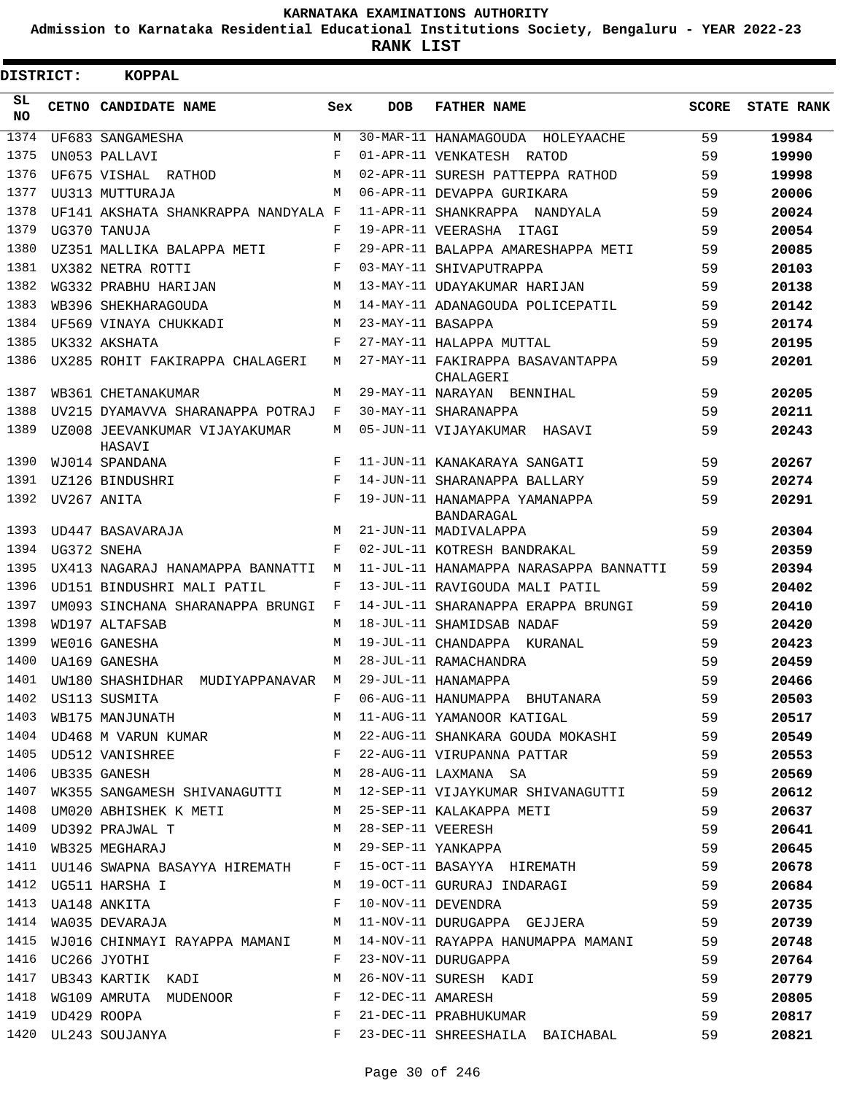**Admission to Karnataka Residential Educational Institutions Society, Bengaluru - YEAR 2022-23**

**RANK LIST**

| DISTRICT: | <b>KOPPAL</b>                       |       |                   |                                                                                                                        |              |                   |
|-----------|-------------------------------------|-------|-------------------|------------------------------------------------------------------------------------------------------------------------|--------------|-------------------|
| SL<br>NO. | CETNO CANDIDATE NAME                | Sex   | <b>DOB</b>        | <b>FATHER NAME</b>                                                                                                     | <b>SCORE</b> | <b>STATE RANK</b> |
| 1374      | UF683 SANGAMESHA                    | М     |                   | 30-MAR-11 HANAMAGOUDA HOLEYAACHE                                                                                       | 59           | 19984             |
| 1375      | UN053 PALLAVI                       | F     |                   | 01-APR-11 VENKATESH RATOD                                                                                              | 59           | 19990             |
| 1376      | UF675 VISHAL RATHOD                 | M     |                   | 02-APR-11 SURESH PATTEPPA RATHOD                                                                                       | 59           | 19998             |
| 1377      | UU313 MUTTURAJA                     | M     |                   | 06-APR-11 DEVAPPA GURIKARA                                                                                             | 59           | 20006             |
| 1378      | UF141 AKSHATA SHANKRAPPA NANDYALA F |       |                   | 11-APR-11 SHANKRAPPA NANDYALA                                                                                          | 59           | 20024             |
| 1379      | UG370 TANUJA                        | F     |                   | 19-APR-11 VEERASHA ITAGI                                                                                               | 59           | 20054             |
| 1380      | UZ351 MALLIKA BALAPPA METI          | F     |                   | 29-APR-11 BALAPPA AMARESHAPPA METI                                                                                     | 59           | 20085             |
| 1381      | UX382 NETRA ROTTI                   | F     |                   | 03-MAY-11 SHIVAPUTRAPPA                                                                                                | 59           | 20103             |
| 1382      | WG332 PRABHU HARIJAN                | M     |                   | 13-MAY-11 UDAYAKUMAR HARIJAN                                                                                           | 59           | 20138             |
| 1383      | WB396 SHEKHARAGOUDA                 | M     |                   | 14-MAY-11 ADANAGOUDA POLICEPATIL                                                                                       | 59           | 20142             |
| 1384      | UF569 VINAYA CHUKKADI               | M     | 23-MAY-11 BASAPPA |                                                                                                                        | 59           | 20174             |
| 1385      | UK332 AKSHATA                       | F     |                   | 27-MAY-11 HALAPPA MUTTAL                                                                                               | 59           | 20195             |
| 1386      | UX285 ROHIT FAKIRAPPA CHALAGERI     | М     |                   | 27-MAY-11 FAKIRAPPA BASAVANTAPPA<br>CHALAGERI                                                                          | 59           | 20201             |
| 1387      | WB361 CHETANAKUMAR                  | М     |                   | 29-MAY-11 NARAYAN BENNIHAL                                                                                             | 59           | 20205             |
| 1388      | UV215 DYAMAVVA SHARANAPPA POTRAJ    | F     |                   | 30-MAY-11 SHARANAPPA                                                                                                   | 59           | 20211             |
| 1389      | UZ008 JEEVANKUMAR VIJAYAKUMAR       | М     |                   | 05-JUN-11 VIJAYAKUMAR HASAVI                                                                                           | 59           | 20243             |
| 1390      | HASAVI<br>WJ014 SPANDANA            | F     |                   | 11-JUN-11 KANAKARAYA SANGATI                                                                                           | 59           | 20267             |
| 1391      | UZ126 BINDUSHRI                     | F     |                   | 14-JUN-11 SHARANAPPA BALLARY                                                                                           | 59           | 20274             |
| 1392      | UV267 ANITA                         | F     |                   | 19-JUN-11 HANAMAPPA YAMANAPPA                                                                                          | 59           | 20291             |
|           |                                     |       |                   | BANDARAGAL                                                                                                             |              |                   |
| 1393      | UD447 BASAVARAJA                    | M     |                   | 21-JUN-11 MADIVALAPPA                                                                                                  | 59           | 20304             |
| 1394      | UG372 SNEHA                         | F     |                   | 02-JUL-11 KOTRESH BANDRAKAL                                                                                            | 59           | 20359             |
| 1395      | UX413 NAGARAJ HANAMAPPA BANNATTI    | М     |                   | 11-JUL-11 HANAMAPPA NARASAPPA BANNATTI                                                                                 | 59           | 20394             |
| 1396      | UD151 BINDUSHRI MALI PATIL          | F     |                   | 13-JUL-11 RAVIGOUDA MALI PATIL                                                                                         | 59           | 20402             |
| 1397      | UM093 SINCHANA SHARANAPPA BRUNGI    | F     |                   | 14-JUL-11 SHARANAPPA ERAPPA BRUNGI                                                                                     | 59           | 20410             |
| 1398      | WD197 ALTAFSAB                      | M     |                   | 18-JUL-11 SHAMIDSAB NADAF                                                                                              | 59           | 20420             |
| 1399      | WE016 GANESHA                       | M     |                   | 19-JUL-11 CHANDAPPA KURANAL                                                                                            | 59           | 20423             |
| 1400      | <b>UA169 GANESHA</b>                | M     |                   | 28-JUL-11 RAMACHANDRA                                                                                                  | 59           | 20459             |
| 1401      | UW180 SHASHIDHAR MUDIYAPPANAVAR     | M     |                   | 29-JUL-11 HANAMAPPA                                                                                                    | 59           | 20466             |
| 1402      | US113 SUSMITA                       | F     |                   | 06-AUG-11 HANUMAPPA BHUTANARA                                                                                          | 59           | 20503             |
| 1403      | WB175 MANJUNATH                     | M     |                   | 11-AUG-11 YAMANOOR KATIGAL 59                                                                                          |              | 20517             |
|           |                                     |       |                   |                                                                                                                        |              | 20549             |
|           |                                     |       |                   | 1404 UD468 M VARUN KUMAR M 22-AUG-11 SHANKARA GOUDA MOKASHI 59<br>1405 UD512 VANISHREE F 22-AUG-11 VIRUPANNA PATTAR 59 |              | 20553             |
| 1406      | UB335 GANESH                        | M     |                   | 28-AUG-11 LAXMANA SA 59                                                                                                |              | 20569             |
| 1407      |                                     |       |                   | WK355 SANGAMESH SHIVANAGUTTI M 12-SEP-11 VIJAYKUMAR SHIVANAGUTTI 59                                                    |              | 20612             |
| 1408      | UM020 ABHISHEK K METI               |       |                   | M 25-SEP-11 KALAKAPPA METI                                                                                             | 59           | 20637             |
|           | 1409 UD392 PRAJWAL T                | M     |                   | 28-SEP-11 VEERESH                                                                                                      | 59           | 20641             |
| 1410      | WB325 MEGHARAJ                      | M     |                   | 29-SEP-11 YANKAPPA                                                                                                     | 59           | 20645             |
| 1411      | UU146 SWAPNA BASAYYA HIREMATH F     |       |                   | 15-OCT-11 BASAYYA HIREMATH                                                                                             | 59           | 20678             |
|           | 1412 UG511 HARSHA I                 | M     |                   | 19-OCT-11 GURURAJ INDARAGI<br>10-NOV-11 DEVENDRA                                                                       | 59           | 20684             |
|           | 1413 UA148 ANKITA                   | F     |                   |                                                                                                                        | 59           | 20735             |
| 1414      | WA035 DEVARAJA                      | М     |                   | 11-NOV-11 DURUGAPPA GEJJERA                                                                                            | 59           | 20739             |
| 1415      | WJ016 CHINMAYI RAYAPPA MAMANI       | M     |                   | 14-NOV-11 RAYAPPA HANUMAPPA MAMANI                                                                                     | 59           | 20748             |
| 1416      | UC266 JYOTHI                        | F     |                   | 23-NOV-11 DURUGAPPA                                                                                                    | 59           | 20764             |
| 1417      | UB343 KARTIK KADI                   | М     |                   |                                                                                                                        | 59           | 20779             |
| 1418      | WG109 AMRUTA MUDENOOR               | F     |                   | 26-NOV-11 SURESH KADI<br>12-DEC-11 AMARESH<br>21-DEC-11 PRABHUKUMAR                                                    | 59           | 20805             |
| 1419      | UD429 ROOPA                         | F     |                   |                                                                                                                        | 59           | 20817             |
|           | 1420 UL243 SOUJANYA                 | $F -$ |                   | 23-DEC-11 SHREESHAILA BAICHABAL                                                                                        | 59           | 20821             |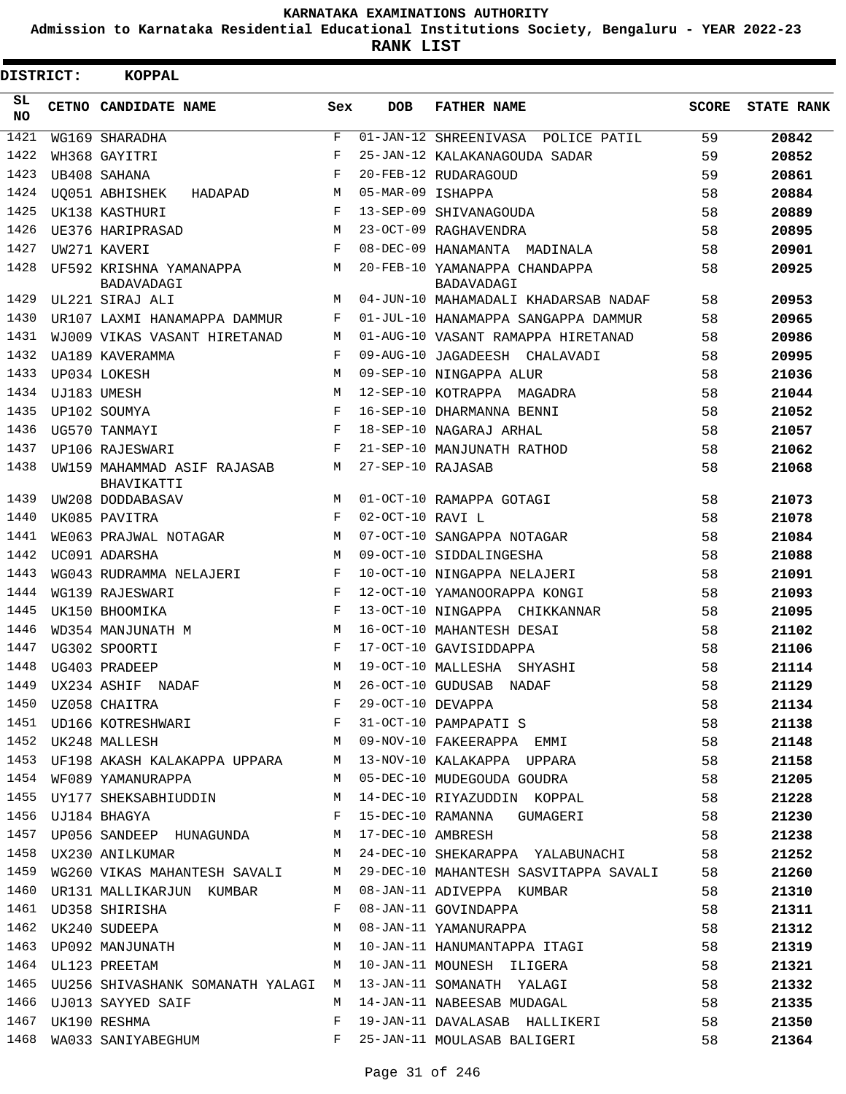**Admission to Karnataka Residential Educational Institutions Society, Bengaluru - YEAR 2022-23**

**RANK LIST**

| DISTRICT: | <b>KOPPAL</b>                                    |            |                   |                                                                                                                                                                                                                                                                                                                                                                                              |              |                   |
|-----------|--------------------------------------------------|------------|-------------------|----------------------------------------------------------------------------------------------------------------------------------------------------------------------------------------------------------------------------------------------------------------------------------------------------------------------------------------------------------------------------------------------|--------------|-------------------|
| SL<br>NO. | CETNO CANDIDATE NAME                             | Sex        | <b>DOB</b>        | <b>FATHER NAME</b>                                                                                                                                                                                                                                                                                                                                                                           | <b>SCORE</b> | <b>STATE RANK</b> |
| 1421      | WG169 SHARADHA                                   | F          |                   | 01-JAN-12 SHREENIVASA<br>POLICE PATIL                                                                                                                                                                                                                                                                                                                                                        | 59           | 20842             |
| 1422      | WH368 GAYITRI                                    | F          |                   | 25-JAN-12 KALAKANAGOUDA SADAR                                                                                                                                                                                                                                                                                                                                                                | 59           | 20852             |
| 1423      | UB408 SAHANA                                     | $_{\rm F}$ |                   | 20-FEB-12 RUDARAGOUD                                                                                                                                                                                                                                                                                                                                                                         | 59           | 20861             |
| 1424      | <b>UO051 ABHISHEK</b><br>HADAPAD                 | М          | 05-MAR-09 ISHAPPA |                                                                                                                                                                                                                                                                                                                                                                                              | 58           | 20884             |
| 1425      | UK138 KASTHURI                                   | F          |                   | 13-SEP-09 SHIVANAGOUDA                                                                                                                                                                                                                                                                                                                                                                       | 58           | 20889             |
| 1426      | UE376 HARIPRASAD                                 | М          |                   | 23-OCT-09 RAGHAVENDRA                                                                                                                                                                                                                                                                                                                                                                        | 58           | 20895             |
| 1427      | UW271 KAVERI                                     | F          |                   | 08-DEC-09 HANAMANTA MADINALA                                                                                                                                                                                                                                                                                                                                                                 | 58           | 20901             |
| 1428      | UF592 KRISHNA YAMANAPPA<br>BADAVADAGI            | М          |                   | 20-FEB-10 YAMANAPPA CHANDAPPA<br>BADAVADAGI                                                                                                                                                                                                                                                                                                                                                  | 58           | 20925             |
| 1429      | UL221 SIRAJ ALI                                  | M          |                   | 04-JUN-10 MAHAMADALI KHADARSAB NADAF                                                                                                                                                                                                                                                                                                                                                         | 58           | 20953             |
| 1430      | UR107 LAXMI HANAMAPPA DAMMUR                     | F          |                   | 01-JUL-10 HANAMAPPA SANGAPPA DAMMUR                                                                                                                                                                                                                                                                                                                                                          | 58           | 20965             |
| 1431      | WJ009 VIKAS VASANT HIRETANAD                     | М          |                   | 01-AUG-10 VASANT RAMAPPA HIRETANAD                                                                                                                                                                                                                                                                                                                                                           | 58           | 20986             |
| 1432      | UA189 KAVERAMMA                                  | F          |                   | 09-AUG-10 JAGADEESH CHALAVADI                                                                                                                                                                                                                                                                                                                                                                | 58           | 20995             |
| 1433      | UP034 LOKESH                                     | M          |                   | 09-SEP-10 NINGAPPA ALUR                                                                                                                                                                                                                                                                                                                                                                      | 58           | 21036             |
| 1434      | UJ183 UMESH                                      | М          |                   | 12-SEP-10 KOTRAPPA MAGADRA                                                                                                                                                                                                                                                                                                                                                                   | 58           | 21044             |
| 1435      | UP102 SOUMYA                                     | F          |                   | 16-SEP-10 DHARMANNA BENNI                                                                                                                                                                                                                                                                                                                                                                    | 58           | 21052             |
| 1436      | UG570 TANMAYI                                    | F          |                   | 18-SEP-10 NAGARAJ ARHAL                                                                                                                                                                                                                                                                                                                                                                      | 58           | 21057             |
| 1437      | UP106 RAJESWARI                                  | F          |                   | 21-SEP-10 MANJUNATH RATHOD                                                                                                                                                                                                                                                                                                                                                                   | 58           | 21062             |
| 1438      | UW159 MAHAMMAD ASIF RAJASAB<br>BHAVIKATTI        | M          | 27-SEP-10 RAJASAB |                                                                                                                                                                                                                                                                                                                                                                                              | 58           | 21068             |
| 1439      | UW208 DODDABASAV                                 | M          |                   | 01-OCT-10 RAMAPPA GOTAGI                                                                                                                                                                                                                                                                                                                                                                     | 58           | 21073             |
| 1440      | UK085 PAVITRA                                    | F          | 02-OCT-10 RAVI L  |                                                                                                                                                                                                                                                                                                                                                                                              | 58           | 21078             |
| 1441      | WE063 PRAJWAL NOTAGAR                            | M          |                   | 07-OCT-10 SANGAPPA NOTAGAR                                                                                                                                                                                                                                                                                                                                                                   | 58           | 21084             |
| 1442      | UC091 ADARSHA                                    | М          |                   | 09-OCT-10 SIDDALINGESHA                                                                                                                                                                                                                                                                                                                                                                      | 58           | 21088             |
| 1443      | WG043 RUDRAMMA NELAJERI                          | F          |                   | 10-OCT-10 NINGAPPA NELAJERI                                                                                                                                                                                                                                                                                                                                                                  | 58           | 21091             |
| 1444      | WG139 RAJESWARI                                  | F          |                   | 12-OCT-10 YAMANOORAPPA KONGI                                                                                                                                                                                                                                                                                                                                                                 | 58           | 21093             |
| 1445      | UK150 BHOOMIKA                                   | F          |                   | 13-OCT-10 NINGAPPA CHIKKANNAR                                                                                                                                                                                                                                                                                                                                                                | 58           | 21095             |
| 1446      | WD354 MANJUNATH M                                | M          |                   | 16-OCT-10 MAHANTESH DESAI                                                                                                                                                                                                                                                                                                                                                                    | 58           | 21102             |
| 1447      | UG302 SPOORTI                                    | F          |                   | 17-OCT-10 GAVISIDDAPPA                                                                                                                                                                                                                                                                                                                                                                       | 58           | 21106             |
| 1448      | UG403 PRADEEP                                    | M          |                   | 19-OCT-10 MALLESHA SHYASHI                                                                                                                                                                                                                                                                                                                                                                   | 58           | 21114             |
|           |                                                  |            |                   |                                                                                                                                                                                                                                                                                                                                                                                              |              | 21129             |
|           |                                                  |            |                   |                                                                                                                                                                                                                                                                                                                                                                                              |              | 21134             |
|           |                                                  |            |                   |                                                                                                                                                                                                                                                                                                                                                                                              |              | 21138             |
|           |                                                  |            |                   | $\begin{array}{cccccccc} 1449 & \text{UX234 ASHIF} & \text{NADAF} & \text{M} & 26-0 \text{CT}-10 & \text{GUDUSAB} & \text{NADAF} & 58 \\ 1450 & \text{UZ058 CHAITRA} & \text{F} & 29-0 \text{CT}-10 & \text{DEVAPPA} & 58 \\ 1451 & \text{UD166 KOTRESHWARI} & \text{F} & 31-0 \text{CT}-10 & \text{PAMPAPATI} & \text{S} & 58 \\ 1452 & \text{UK248 MALLESH} & \text{M} & 09- \text{NOV}-1$ |              | 21148             |
|           |                                                  |            |                   | 1453 UF198 AKASH KALAKAPPA UPPARA M 13-NOV-10 KALAKAPPA UPPARA 58                                                                                                                                                                                                                                                                                                                            |              | 21158             |
|           |                                                  |            |                   |                                                                                                                                                                                                                                                                                                                                                                                              |              | 21205             |
|           |                                                  |            |                   |                                                                                                                                                                                                                                                                                                                                                                                              |              | 21228             |
|           | 1456 UJ184 BHAGYA                                |            |                   | F 15-DEC-10 RAMANNA GUMAGERI 58                                                                                                                                                                                                                                                                                                                                                              |              | 21230             |
|           | 1457 UP056 SANDEEP HUNAGUNDA M 17-DEC-10 AMBRESH |            |                   | 58                                                                                                                                                                                                                                                                                                                                                                                           |              | 21238             |
|           | 1458 UX230 ANILKUMAR                             |            |                   | M 24-DEC-10 SHEKARAPPA YALABUNACHI 58                                                                                                                                                                                                                                                                                                                                                        |              | 21252             |
| 1459      |                                                  |            |                   | WG260 VIKAS MAHANTESH SAVALI M 29-DEC-10 MAHANTESH SASVITAPPA SAVALI 58                                                                                                                                                                                                                                                                                                                      |              | 21260             |
|           |                                                  |            |                   | 1460 UR131 MALLIKARJUN KUMBAR M 08-JAN-11 ADIVEPPA KUMBAR                                                                                                                                                                                                                                                                                                                                    | 58           | 21310             |
|           |                                                  |            |                   |                                                                                                                                                                                                                                                                                                                                                                                              |              | 21311             |
|           |                                                  |            |                   | 1461 UD358 SHIRISHA<br>1462 UK240 SUDEEPA<br>1463 UP092 MANJUNATH<br>1463 UP092 MANJUNATH<br>1463 UP092 MANJUNATH<br>1463 UP092 MANJUNATH<br>1463 UP092 MANJUNATH<br>1463 UP092 MANJUNATH<br>58                                                                                                                                                                                              |              | 21312             |
|           |                                                  |            |                   |                                                                                                                                                                                                                                                                                                                                                                                              |              | 21319             |
|           | 1464 UL123 PREETAM                               |            |                   | M 10-JAN-11 MOUNESH ILIGERA 58                                                                                                                                                                                                                                                                                                                                                               |              | 21321             |
|           |                                                  |            |                   | 1465 UU256 SHIVASHANK SOMANATH YALAGI M 13-JAN-11 SOMANATH YALAGI 58                                                                                                                                                                                                                                                                                                                         |              | 21332             |
|           | 1466 UJ013 SAYYED SAIF                           |            |                   | M 14-JAN-11 NABEESAB MUDAGAL 58                                                                                                                                                                                                                                                                                                                                                              |              | 21335             |
|           | 1467 UK190 RESHMA                                |            |                   | F 19-JAN-11 DAVALASAB HALLIKERI 58                                                                                                                                                                                                                                                                                                                                                           |              | 21350             |
|           |                                                  |            |                   | 1468 WA033 SANIYABEGHUM F 25-JAN-11 MOULASAB BALIGERI                                                                                                                                                                                                                                                                                                                                        | 58           | 21364             |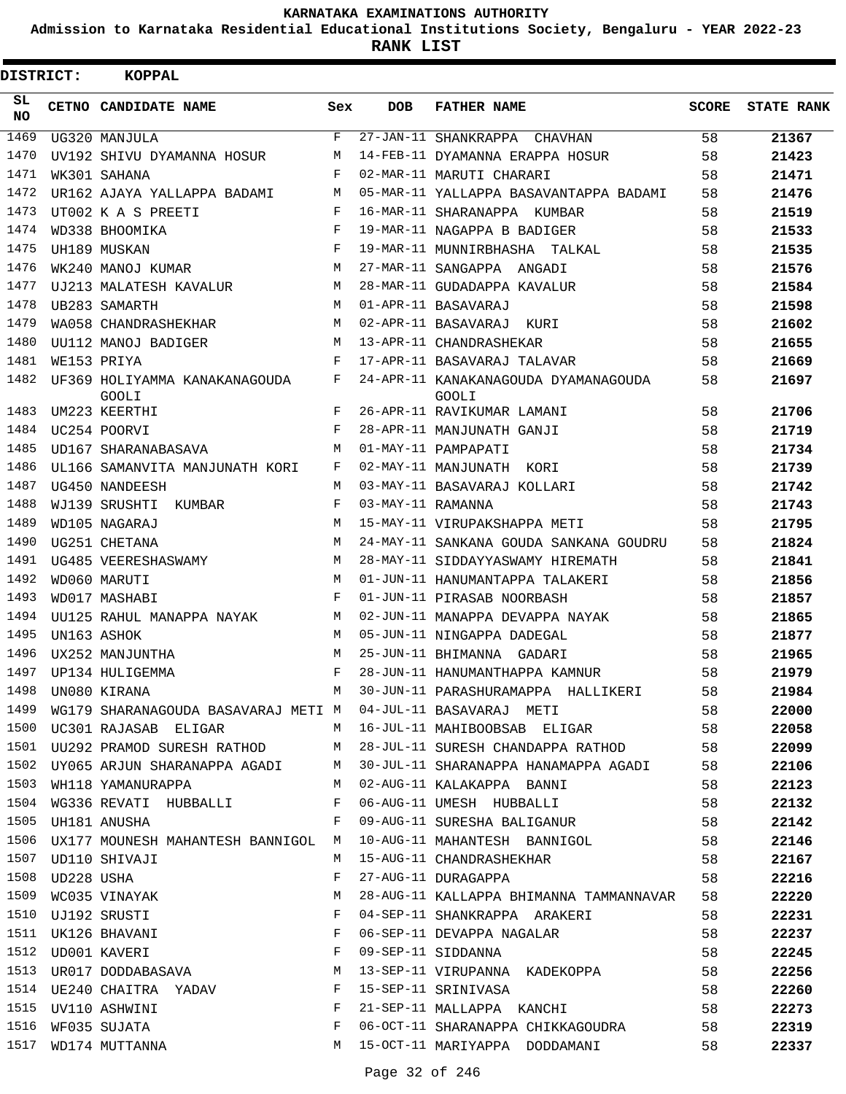**Admission to Karnataka Residential Educational Institutions Society, Bengaluru - YEAR 2022-23**

**RANK LIST**

| DISTRICT: |                 | <b>KOPPAL</b>                                                                                                                               |            |                   |                                                                        |              |                   |
|-----------|-----------------|---------------------------------------------------------------------------------------------------------------------------------------------|------------|-------------------|------------------------------------------------------------------------|--------------|-------------------|
| SL<br>NO. |                 | CETNO CANDIDATE NAME                                                                                                                        | Sex        | <b>DOB</b>        | <b>FATHER NAME</b>                                                     | <b>SCORE</b> | <b>STATE RANK</b> |
| 1469      |                 | UG320 MANJULA                                                                                                                               | F          |                   | 27-JAN-11 SHANKRAPPA<br>CHAVHAN                                        | 58           | 21367             |
| 1470      |                 | UV192 SHIVU DYAMANNA HOSUR                                                                                                                  | M          |                   | 14-FEB-11 DYAMANNA ERAPPA HOSUR                                        | 58           | 21423             |
| 1471      |                 | WK301 SAHANA                                                                                                                                | F          |                   | 02-MAR-11 MARUTI CHARARI                                               | 58           | 21471             |
| 1472      |                 | UR162 AJAYA YALLAPPA BADAMI                                                                                                                 | М          |                   | 05-MAR-11 YALLAPPA BASAVANTAPPA BADAMI                                 | 58           | 21476             |
| 1473      |                 | UT002 K A S PREETI                                                                                                                          | F          |                   | 16-MAR-11 SHARANAPPA KUMBAR                                            | 58           | 21519             |
| 1474      |                 | WD338 BHOOMIKA                                                                                                                              | F          |                   | 19-MAR-11 NAGAPPA B BADIGER                                            | 58           | 21533             |
| 1475      |                 | UH189 MUSKAN                                                                                                                                | F          |                   | 19-MAR-11 MUNNIRBHASHA TALKAL                                          | 58           | 21535             |
| 1476      |                 | WK240 MANOJ KUMAR                                                                                                                           | M          |                   | 27-MAR-11 SANGAPPA ANGADI                                              | 58           | 21576             |
| 1477      |                 | UJ213 MALATESH KAVALUR                                                                                                                      | M          |                   | 28-MAR-11 GUDADAPPA KAVALUR                                            | 58           | 21584             |
| 1478      |                 | UB283 SAMARTH                                                                                                                               | M          |                   | 01-APR-11 BASAVARAJ                                                    | 58           | 21598             |
| 1479      |                 | WA058 CHANDRASHEKHAR                                                                                                                        | M          |                   | 02-APR-11 BASAVARAJ KURI                                               | 58           | 21602             |
| 1480      |                 | UU112 MANOJ BADIGER                                                                                                                         | М          |                   | 13-APR-11 CHANDRASHEKAR                                                | 58           | 21655             |
| 1481      |                 | WE153 PRIYA                                                                                                                                 | F          |                   | 17-APR-11 BASAVARAJ TALAVAR                                            | 58           | 21669             |
| 1482      |                 | UF369 HOLIYAMMA KANAKANAGOUDA<br><b>GOOLI</b>                                                                                               | F          |                   | 24-APR-11 KANAKANAGOUDA DYAMANAGOUDA<br><b>GOOLI</b>                   | 58           | 21697             |
| 1483      |                 | UM223 KEERTHI                                                                                                                               | F          |                   | 26-APR-11 RAVIKUMAR LAMANI                                             | 58           | 21706             |
| 1484      |                 | UC254 POORVI                                                                                                                                | F          |                   | 28-APR-11 MANJUNATH GANJI                                              | 58           | 21719             |
| 1485      |                 | UD167 SHARANABASAVA                                                                                                                         | M          |                   | 01-MAY-11 PAMPAPATI                                                    | 58           | 21734             |
| 1486      |                 | UL166 SAMANVITA MANJUNATH KORI                                                                                                              | F          |                   | 02-MAY-11 MANJUNATH KORI                                               | 58           | 21739             |
| 1487      |                 | UG450 NANDEESH                                                                                                                              | М          |                   | 03-MAY-11 BASAVARAJ KOLLARI                                            | 58           | 21742             |
| 1488      |                 | WJ139 SRUSHTI KUMBAR                                                                                                                        | F          | 03-MAY-11 RAMANNA |                                                                        | 58           | 21743             |
| 1489      |                 | WD105 NAGARAJ                                                                                                                               | M          |                   | 15-MAY-11 VIRUPAKSHAPPA METI                                           | 58           | 21795             |
| 1490      |                 | UG251 CHETANA                                                                                                                               | M          |                   | 24-MAY-11 SANKANA GOUDA SANKANA GOUDRU                                 | 58           | 21824             |
| 1491      |                 | UG485 VEERESHASWAMY                                                                                                                         | М          |                   | 28-MAY-11 SIDDAYYASWAMY HIREMATH                                       | 58           | 21841             |
| 1492      |                 | WD060 MARUTI                                                                                                                                | M          |                   | 01-JUN-11 HANUMANTAPPA TALAKERI                                        | 58           | 21856             |
| 1493      |                 | WD017 MASHABI                                                                                                                               | $_{\rm F}$ |                   | 01-JUN-11 PIRASAB NOORBASH                                             | 58           | 21857             |
| 1494      |                 | UU125 RAHUL MANAPPA NAYAK                                                                                                                   | М          |                   | 02-JUN-11 MANAPPA DEVAPPA NAYAK                                        | 58           | 21865             |
| 1495      |                 | UN163 ASHOK                                                                                                                                 | M          |                   | 05-JUN-11 NINGAPPA DADEGAL                                             | 58           | 21877             |
| 1496      |                 | UX252 MANJUNTHA                                                                                                                             | M          |                   | 25-JUN-11 BHIMANNA GADARI                                              | 58           | 21965             |
| 1497      |                 | UP134 HULIGEMMA                                                                                                                             | F          |                   | 28-JUN-11 HANUMANTHAPPA KAMNUR                                         | 58           | 21979             |
| 1498      |                 | UN080 KIRANA                                                                                                                                | M          |                   | 30-JUN-11 PARASHURAMAPPA HALLIKERI                                     | 58           | 21984             |
| 1499      |                 |                                                                                                                                             |            |                   | WG179 SHARANAGOUDA BASAVARAJ METI MO04-JUL-11 BASAVARAJ METI           | 58           | 22000             |
|           |                 |                                                                                                                                             |            |                   | 1500 UC301 RAJASAB ELIGAR M 16-JUL-11 MAHIBOOBSAB ELIGAR 58            |              | 22058             |
|           |                 |                                                                                                                                             |            |                   | 1501 UU292 PRAMOD SURESH RATHOD M 28-JUL-11 SURESH CHANDAPPA RATHOD 58 |              | 22099             |
| 1502      |                 |                                                                                                                                             |            |                   | UY065 ARJUN SHARANAPPA AGADI M 30-JUL-11 SHARANAPPA HANAMAPPA AGADI 58 |              | 22106             |
| 1503      |                 | WH118 YAMANURAPPA M 02-AUG-11 KALAKAPPA BANNI                                                                                               |            |                   |                                                                        | 58           | 22123             |
|           |                 | 1504 WG336 REVATI HUBBALLI F                                                                                                                |            |                   | 06-AUG-11 UMESH HUBBALLI                                               | 58           | 22132             |
|           |                 | 1505 UH181 ANUSHA F                                                                                                                         |            |                   | 09-AUG-11 SURESHA BALIGANUR 58                                         |              | 22142             |
| 1506      |                 | UX177 MOUNESH MAHANTESH BANNIGOL M                                                                                                          |            |                   | 10-AUG-11 MAHANTESH BANNIGOL 58                                        |              | 22146             |
| 1507      |                 | UD110 SHIVAJI                                                                                                                               | M          |                   |                                                                        |              | 22167             |
|           | 1508 UD228 USHA |                                                                                                                                             |            |                   | 15-AUG-11 CHANDRASHEKHAR 58<br>27-AUG-11 DURAGAPPA 58                  |              | 22216             |
|           |                 |                                                                                                                                             |            |                   | 28-AUG-11 KALLAPPA BHIMANNA TAMMANNAVAR 58                             |              | 22220             |
|           |                 |                                                                                                                                             |            |                   | 04-SEP-11 SHANKRAPPA ARAKERI                                           | 58           | 22231             |
|           |                 | 1508 UD228 USHA F<br>1509 WC035 VINAYAK M<br>1510 UJ192 SRUSTI F<br>1511 UK126 BHAVANI F<br>1512 UD001 KAVERI F<br>1513 UR017 DODDABASAVA M |            |                   |                                                                        | 58           | 22237             |
|           |                 |                                                                                                                                             |            |                   | 06-SEP-11 DEVAPPA NAGALAR<br>09-SEP-11 SIDDANNA                        | 58           | 22245             |
|           |                 |                                                                                                                                             |            |                   | 13-SEP-11 VIRUPANNA KADEKOPPA                                          | 58           | 22256             |
|           |                 | 1514 UE240 CHAITRA YADAV F                                                                                                                  |            |                   | 15-SEP-11 SRINIVASA                                                    | 58           | 22260             |
| 1515      |                 | UV110 ASHWINI                                                                                                                               | F          |                   | 21-SEP-11 MALLAPPA KANCHI 58                                           |              | 22273             |
| 1516      |                 | WF035 SUJATA                                                                                                                                | F          |                   | 06-OCT-11 SHARANAPPA CHIKKAGOUDRA 58                                   |              | 22319             |
| 1517      |                 | WD174 MUTTANNA                                                                                                                              | M          |                   | 15-OCT-11 MARIYAPPA DODDAMANI                                          | 58           | 22337             |
|           |                 |                                                                                                                                             |            |                   |                                                                        |              |                   |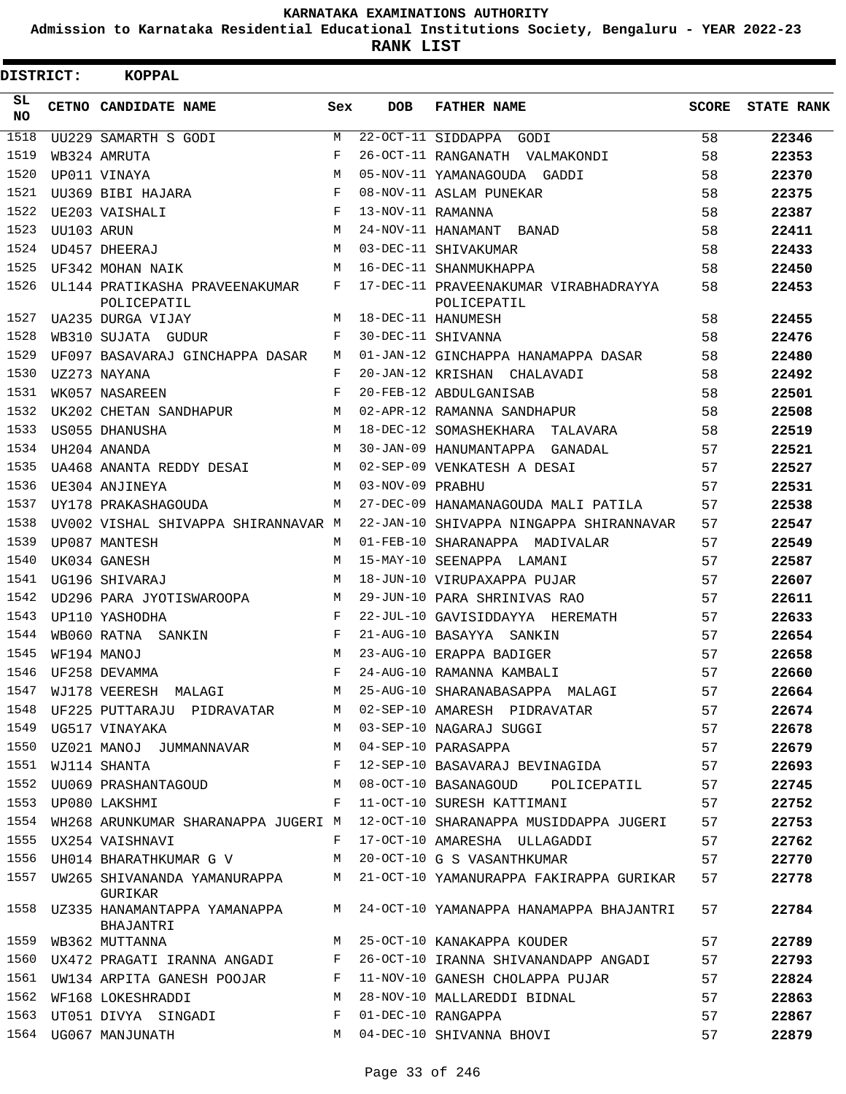**Admission to Karnataka Residential Educational Institutions Society, Bengaluru - YEAR 2022-23**

| DISTRICT:        |            | <b>KOPPAL</b>                                 |     |                   |                                                                               |       |                   |
|------------------|------------|-----------------------------------------------|-----|-------------------|-------------------------------------------------------------------------------|-------|-------------------|
| SL.<br><b>NO</b> |            | CETNO CANDIDATE NAME                          | Sex | <b>DOB</b>        | FATHER NAME                                                                   | SCORE | <b>STATE RANK</b> |
| $\frac{1518}{ }$ |            | UU229 SAMARTH S GODI                          | M   |                   | 22-OCT-11 SIDDAPPA GODI                                                       | 58    | 22346             |
| 1519             |            | WB324 AMRUTA                                  | F   |                   | 26-OCT-11 RANGANATH VALMAKONDI                                                | 58    | 22353             |
| 1520             |            | UP011 VINAYA                                  | М   |                   | 05-NOV-11 YAMANAGOUDA GADDI                                                   | 58    | 22370             |
| 1521             |            | UU369 BIBI HAJARA                             | F   |                   | 08-NOV-11 ASLAM PUNEKAR                                                       | 58    | 22375             |
| 1522             |            | UE203 VAISHALI                                | F   | 13-NOV-11 RAMANNA |                                                                               | 58    | 22387             |
| 1523             | UU103 ARUN |                                               | М   |                   | 24-NOV-11 HANAMANT BANAD                                                      | 58    | 22411             |
| 1524             |            | UD457 DHEERAJ                                 | M   |                   | 03-DEC-11 SHIVAKUMAR                                                          | 58    | 22433             |
| 1525             |            | UF342 MOHAN NAIK                              | M   |                   | 16-DEC-11 SHANMUKHAPPA                                                        | 58    | 22450             |
| 1526             |            | UL144 PRATIKASHA PRAVEENAKUMAR<br>POLICEPATIL | F   |                   | 17-DEC-11 PRAVEENAKUMAR VIRABHADRAYYA<br>POLICEPATIL                          | 58    | 22453             |
| 1527             |            | UA235 DURGA VIJAY                             | M   |                   | 18-DEC-11 HANUMESH                                                            | 58    | 22455             |
| 1528             |            | WB310 SUJATA GUDUR                            | F   |                   | 30-DEC-11 SHIVANNA                                                            | 58    | 22476             |
| 1529             |            | UF097 BASAVARAJ GINCHAPPA DASAR               | М   |                   | 01-JAN-12 GINCHAPPA HANAMAPPA DASAR                                           | 58    | 22480             |
| 1530             |            | UZ273 NAYANA                                  | F   |                   | 20-JAN-12 KRISHAN CHALAVADI                                                   | 58    | 22492             |
| 1531             |            | WK057 NASAREEN                                | F   |                   | 20-FEB-12 ABDULGANISAB                                                        | 58    | 22501             |
| 1532             |            | UK202 CHETAN SANDHAPUR                        | М   |                   | 02-APR-12 RAMANNA SANDHAPUR                                                   | 58    | 22508             |
| 1533             |            | US055 DHANUSHA                                | М   |                   | 18-DEC-12 SOMASHEKHARA TALAVARA                                               | 58    | 22519             |
| 1534             |            | UH204 ANANDA                                  | M   |                   | 30-JAN-09 HANUMANTAPPA GANADAL                                                | 57    | 22521             |
| 1535             |            | UA468 ANANTA REDDY DESAI                      | M   |                   | 02-SEP-09 VENKATESH A DESAI                                                   | 57    | 22527             |
| 1536             |            | UE304 ANJINEYA                                | M   | 03-NOV-09 PRABHU  |                                                                               | 57    | 22531             |
| 1537             |            | UY178 PRAKASHAGOUDA                           | M   |                   | 27-DEC-09 HANAMANAGOUDA MALI PATILA                                           | 57    | 22538             |
| 1538             |            | UV002 VISHAL SHIVAPPA SHIRANNAVAR M           |     |                   | 22-JAN-10 SHIVAPPA NINGAPPA SHIRANNAVAR                                       | 57    | 22547             |
| 1539             |            | UP087 MANTESH                                 | M   |                   | 01-FEB-10 SHARANAPPA MADIVALAR                                                | 57    | 22549             |
| 1540             |            | UK034 GANESH                                  | M   |                   | 15-MAY-10 SEENAPPA LAMANI                                                     | 57    | 22587             |
| 1541             |            | UG196 SHIVARAJ                                | M   |                   | 18-JUN-10 VIRUPAXAPPA PUJAR                                                   | 57    | 22607             |
| 1542             |            | UD296 PARA JYOTISWAROOPA                      | M   |                   | 29-JUN-10 PARA SHRINIVAS RAO                                                  | 57    | 22611             |
| 1543             |            | UP110 YASHODHA                                | F   |                   | 22-JUL-10 GAVISIDDAYYA HEREMATH                                               | 57    | 22633             |
| 1544             |            | WB060 RATNA SANKIN                            | F   |                   | 21-AUG-10 BASAYYA SANKIN                                                      | 57    | 22654             |
| 1545             |            | WF194 MANOJ                                   | M   |                   | 23-AUG-10 ERAPPA BADIGER                                                      | 57    | 22658             |
| 1546             |            | UF258 DEVAMMA                                 | F   |                   | 24-AUG-10 RAMANNA KAMBALI                                                     | 57    | 22660             |
|                  |            |                                               |     |                   | 1547 WJ178 VEERESH MALAGI MARAMAN MARAMANA SHARANABASAPPA MALAGI              | 57    | 22664             |
| 1548             |            | UF225 PUTTARAJU PIDRAVATAR                    |     |                   | M 02-SEP-10 AMARESH PIDRAVATAR                                                | 57    | 22674             |
| 1549             |            | UG517 VINAYAKA                                | M   |                   | 03-SEP-10 NAGARAJ SUGGI                                                       | 57    | 22678             |
| 1550             |            | UZ021 MANOJ JUMMANNAVAR                       | M   |                   | 04-SEP-10 PARASAPPA                                                           | 57    | 22679             |
| 1551             |            | WJ114 SHANTA                                  | F   |                   | 12-SEP-10 BASAVARAJ BEVINAGIDA                                                | 57    | 22693             |
| 1552             |            | UU069 PRASHANTAGOUD                           | М   |                   | 08-OCT-10 BASANAGOUD POLICEPATIL                                              | 57    | 22745             |
| 1553             |            | UP080 LAKSHMI                                 | F   |                   | 11-OCT-10 SURESH KATTIMANI                                                    | 57    | 22752             |
| 1554             |            |                                               |     |                   | WH268 ARUNKUMAR SHARANAPPA JUGERI M 12-OCT-10 SHARANAPPA MUSIDDAPPA JUGERI 57 |       | 22753             |
| 1555             |            | UX254 VAISHNAVI                               | F   |                   | 17-OCT-10 AMARESHA ULLAGADDI                                                  | 57    | 22762             |
| 1556             |            | UH014 BHARATHKUMAR G V                        | M   |                   | 20-OCT-10 G S VASANTHKUMAR                                                    | 57    | 22770             |
| 1557             |            | GURIKAR                                       |     |                   | UW265 SHIVANANDA YAMANURAPPA M 21-OCT-10 YAMANURAPPA FAKIRAPPA GURIKAR        | 57    | 22778             |
| 1558             |            | BHAJANTRI                                     |     |                   | UZ335 HANAMANTAPPA YAMANAPPA M 24-OCT-10 YAMANAPPA HANAMAPPA BHAJANTRI        | 57    | 22784             |
| 1559             |            | WB362 MUTTANNA                                | M   |                   | 25-OCT-10 KANAKAPPA KOUDER                                                    | 57    | 22789             |
| 1560             |            | UX472 PRAGATI IRANNA ANGADI F                 |     |                   | 26-OCT-10 IRANNA SHIVANANDAPP ANGADI                                          | 57    | 22793             |
| 1561             |            | UW134 ARPITA GANESH POOJAR F                  |     |                   | 11-NOV-10 GANESH CHOLAPPA PUJAR                                               | 57    | 22824             |
|                  |            | 1562 WF168 LOKESHRADDI                        | M   |                   | 28-NOV-10 MALLAREDDI BIDNAL                                                   | 57    | 22863             |
| 1563             |            | UT051 DIVYA SINGADI                           | F   |                   | 01-DEC-10 RANGAPPA                                                            | 57    | 22867             |
|                  |            | 1564 UG067 MANJUNATH                          |     |                   | M 04-DEC-10 SHIVANNA BHOVI                                                    | 57    | 22879             |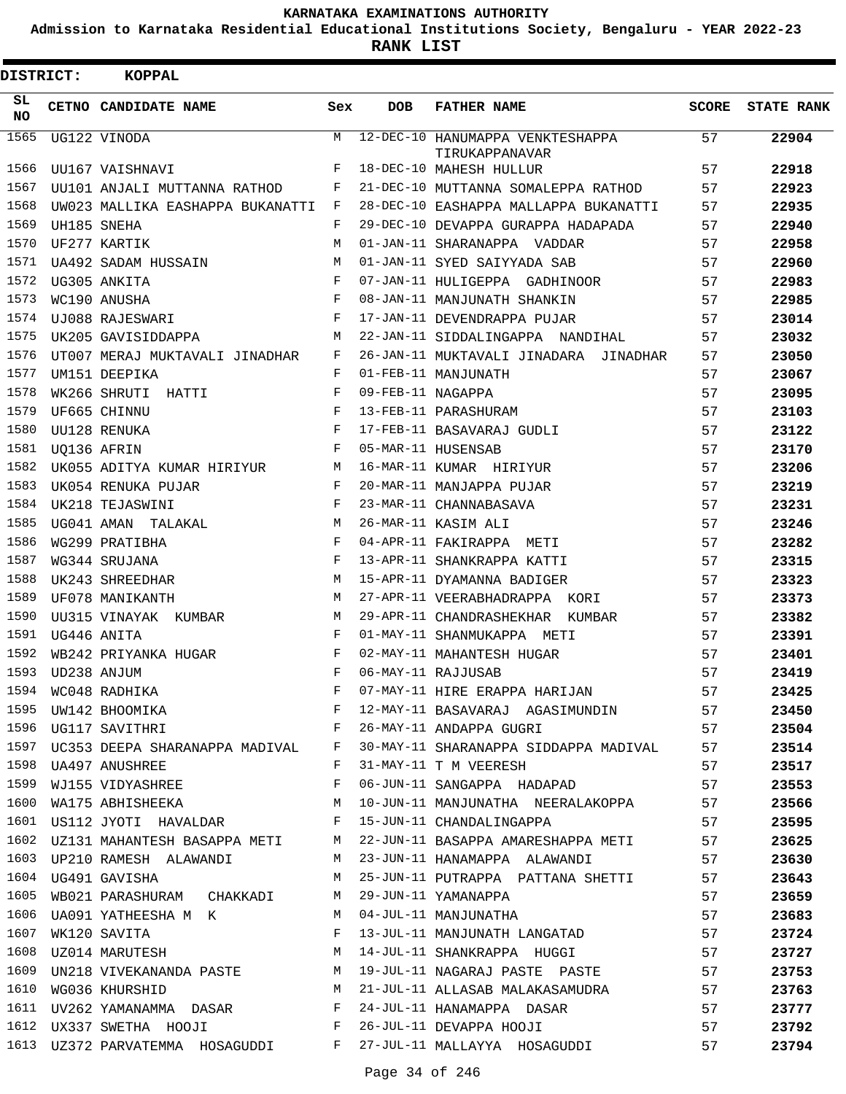**Admission to Karnataka Residential Educational Institutions Society, Bengaluru - YEAR 2022-23**

| DISTRICT:       |                  | <b>KOPPAL</b>                                                          |            |                   |                                                                                |              |                   |
|-----------------|------------------|------------------------------------------------------------------------|------------|-------------------|--------------------------------------------------------------------------------|--------------|-------------------|
| SL<br><b>NO</b> |                  | CETNO CANDIDATE NAME                                                   | Sex        | DOB               | <b>FATHER NAME</b>                                                             | <b>SCORE</b> | <b>STATE RANK</b> |
| 1565            |                  | UG122 VINODA                                                           | M          |                   | 12-DEC-10 HANUMAPPA VENKTESHAPPA<br>TIRUKAPPANAVAR                             | 57           | 22904             |
| 1566            |                  | UU167 VAISHNAVI                                                        | F          |                   | 18-DEC-10 MAHESH HULLUR                                                        | 57           | 22918             |
| 1567            |                  | UU101 ANJALI MUTTANNA RATHOD                                           | F          |                   | 21-DEC-10 MUTTANNA SOMALEPPA RATHOD                                            | 57           | 22923             |
| 1568            |                  | UW023 MALLIKA EASHAPPA BUKANATTI                                       | F          |                   | 28-DEC-10 EASHAPPA MALLAPPA BUKANATTI                                          | 57           | 22935             |
| 1569            |                  | UH185 SNEHA                                                            | $_{\rm F}$ |                   | 29-DEC-10 DEVAPPA GURAPPA HADAPADA                                             | 57           | 22940             |
| 1570            |                  | UF277 KARTIK                                                           | M          |                   | 01-JAN-11 SHARANAPPA VADDAR                                                    | 57           | 22958             |
| 1571            |                  | UA492 SADAM HUSSAIN                                                    | M          |                   | 01-JAN-11 SYED SAIYYADA SAB                                                    | 57           | 22960             |
| 1572            |                  | UG305 ANKITA                                                           | F          |                   | 07-JAN-11 HULIGEPPA GADHINOOR                                                  | 57           | 22983             |
| 1573            |                  | WC190 ANUSHA                                                           | F          |                   | 08-JAN-11 MANJUNATH SHANKIN                                                    | 57           | 22985             |
| 1574            |                  | UJ088 RAJESWARI                                                        | F          |                   | 17-JAN-11 DEVENDRAPPA PUJAR                                                    | 57           | 23014             |
| 1575            |                  | UK205 GAVISIDDAPPA                                                     | M          |                   | 22-JAN-11 SIDDALINGAPPA NANDIHAL                                               | 57           | 23032             |
| 1576            |                  | UT007 MERAJ MUKTAVALI JINADHAR                                         | F          |                   | 26-JAN-11 MUKTAVALI JINADARA JINADHAR                                          | 57           | 23050             |
| 1577            |                  | UM151 DEEPIKA                                                          | F          |                   | 01-FEB-11 MANJUNATH                                                            | 57           | 23067             |
| 1578            |                  | WK266 SHRUTI HATTI                                                     | F          | 09-FEB-11 NAGAPPA |                                                                                | 57           | 23095             |
| 1579            |                  | UF665 CHINNU                                                           | F          |                   | 13-FEB-11 PARASHURAM                                                           | 57           | 23103             |
| 1580            |                  | UU128 RENUKA                                                           | F          |                   | 17-FEB-11 BASAVARAJ GUDLI                                                      | 57           | 23122             |
| 1581            | UO136 AFRIN      |                                                                        | F          |                   | 05-MAR-11 HUSENSAB                                                             | 57           | 23170             |
| 1582            |                  | UK055 ADITYA KUMAR HIRIYUR                                             | M          |                   | 16-MAR-11 KUMAR HIRIYUR                                                        | 57           | 23206             |
| 1583            |                  | UK054 RENUKA PUJAR                                                     | F          |                   | 20-MAR-11 MANJAPPA PUJAR                                                       | 57           | 23219             |
| 1584            |                  | UK218 TEJASWINI                                                        | F          |                   | 23-MAR-11 CHANNABASAVA                                                         | 57           | 23231             |
| 1585            |                  | UG041 AMAN TALAKAL                                                     | M          |                   | 26-MAR-11 KASIM ALI                                                            | 57           | 23246             |
| 1586            |                  | WG299 PRATIBHA                                                         | F          |                   | 04-APR-11 FAKIRAPPA METI                                                       | 57           | 23282             |
| 1587            |                  | WG344 SRUJANA                                                          | F          |                   | 13-APR-11 SHANKRAPPA KATTI                                                     | 57           | 23315             |
| 1588            |                  | UK243 SHREEDHAR                                                        | M          |                   | 15-APR-11 DYAMANNA BADIGER                                                     | 57           | 23323             |
| 1589            |                  | UF078 MANIKANTH                                                        | M          |                   | 27-APR-11 VEERABHADRAPPA KORI                                                  | 57           | 23373             |
| 1590            |                  | UU315 VINAYAK KUMBAR                                                   | M          |                   | 29-APR-11 CHANDRASHEKHAR KUMBAR                                                | 57           | 23382             |
| 1591            |                  | UG446 ANITA                                                            | F          |                   | 01-MAY-11 SHANMUKAPPA METI                                                     | 57           | 23391             |
| 1592            |                  | WB242 PRIYANKA HUGAR                                                   | F          |                   | 02-MAY-11 MAHANTESH HUGAR                                                      | 57           | 23401             |
|                 | 1593 UD238 ANJUM |                                                                        | $_{\rm F}$ |                   | 06-MAY-11 RAJJUSAB                                                             | 57           | 23419             |
|                 |                  |                                                                        |            |                   | 07-MAY-11 HIRE ERAPPA HARIJAN                                                  | 57           | 23425             |
|                 |                  | 1594 WC048 RADHIKA F<br>1595 UW142 BHOOMIKA F<br>1596 UG117 SAVITHRI F |            |                   | 12-MAY-11 BASAVARAJ AGASIMUNDIN 57                                             |              | 23450             |
|                 |                  |                                                                        |            |                   | 26-MAY-11 ANDAPPA GUGRI 57                                                     |              | 23504             |
|                 |                  |                                                                        |            |                   | 1597 UC353 DEEPA SHARANAPPA MADIVAL F 30-MAY-11 SHARANAPPA SIDDAPPA MADIVAL 57 |              | 23514             |
|                 |                  | 1598 UA497 ANUSHREE                                                    | F          |                   | 31-MAY-11 T M VEERESH                                                          | 57           | 23517             |
|                 |                  | 1599 WJ155 VIDYASHREE F                                                |            |                   | 06-JUN-11 SANGAPPA HADAPAD 57                                                  |              | 23553             |
|                 |                  |                                                                        |            |                   | 1600 WA175 ABHISHEEKA M 10-JUN-11 MANJUNATHA NEERALAKOPPA 57                   |              | 23566             |
|                 |                  |                                                                        |            |                   | 1601 US112 JYOTI HAVALDAR F 15-JUN-11 CHANDALINGAPPA                           | 57           | 23595             |
|                 |                  |                                                                        |            |                   | 1602 UZ131 MAHANTESH BASAPPA METI M 22-JUN-11 BASAPPA AMARESHAPPA METI 57      |              | 23625             |
|                 |                  | 1603 UP210 RAMESH ALAWANDI M                                           |            |                   | 23-JUN-11 HANAMAPPA ALAWANDI 57                                                |              | 23630             |
|                 |                  | M<br>1604 UG491 GAVISHA                                                |            |                   | 25-JUN-11 PUTRAPPA PATTANA SHETTI 57                                           |              | 23643             |
|                 |                  | 1605 WB021 PARASHURAM CHAKKADI M                                       |            |                   | 29-JUN-11 YAMANAPPA                                                            | 57           | 23659             |
| 1606            |                  | UA091 YATHEESHA M K M M 04-JUL-11 MANJUNATHA                           |            |                   |                                                                                | 57           | 23683             |
| 1607            |                  | $\mathbf{F}$ and the set of $\mathbf{F}$<br>WK120 SAVITA               |            |                   | 13-JUL-11 MANJUNATH LANGATAD                                                   | 57           | 23724             |
|                 |                  |                                                                        |            |                   | 1608 UZ014 MARUTESH M 14-JUL-11 SHANKRAPPA HUGGI 57                            |              | 23727             |
|                 |                  |                                                                        |            |                   | 1609 UN218 VIVEKANANDA PASTE M 19-JUL-11 NAGARAJ PASTE PASTE (57               |              | 23753             |
| 1610            |                  |                                                                        |            |                   | WG036 KHURSHID M 21-JUL-11 ALLASAB MALAKASAMUDRA 57                            |              | 23763             |
| 1611            |                  | UV262 YAMANAMMA DASAR F                                                |            |                   | 24-JUL-11 HANAMAPPA DASAR 57                                                   |              | 23777             |
|                 |                  | 1612 UX337 SWETHA HOOJI F                                              |            |                   | 57<br>26-JUL-11 DEVAPPA HOOJI                                                  |              | 23792             |
|                 |                  |                                                                        |            |                   | 1613 UZ372 PARVATEMMA HOSAGUDDI F 27-JUL-11 MALLAYYA HOSAGUDDI                 | 57           | 23794             |
|                 |                  |                                                                        |            |                   |                                                                                |              |                   |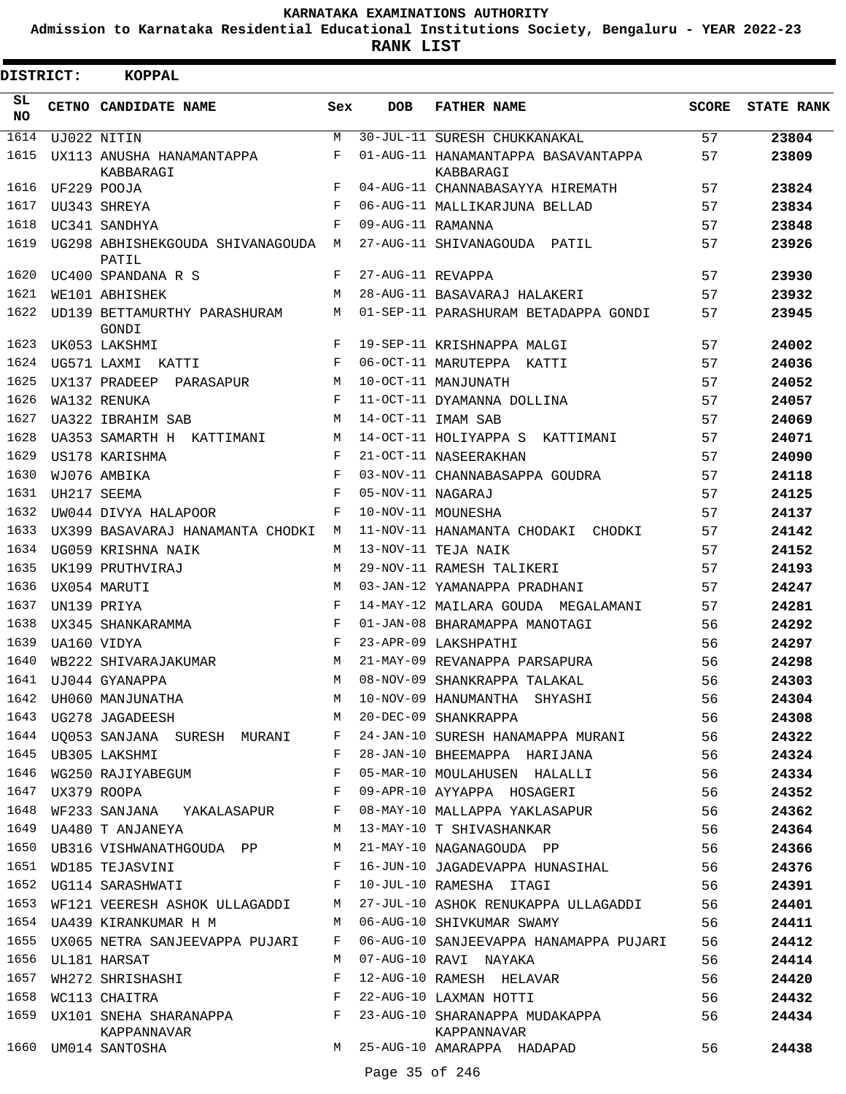**Admission to Karnataka Residential Educational Institutions Society, Bengaluru - YEAR 2022-23**

**RANK LIST**

| <b>DISTRICT:</b> | <b>KOPPAL</b>                                                                                  |     |                   |                                                                                |       |                   |
|------------------|------------------------------------------------------------------------------------------------|-----|-------------------|--------------------------------------------------------------------------------|-------|-------------------|
| SL<br>NO.        | CETNO CANDIDATE NAME                                                                           | Sex | <b>DOB</b>        | <b>FATHER NAME</b>                                                             | SCORE | <b>STATE RANK</b> |
| 1614             | UJ022 NITIN                                                                                    | M   |                   | 30-JUL-11 SURESH CHUKKANAKAL                                                   | 57    | 23804             |
| 1615             | UX113 ANUSHA HANAMANTAPPA<br>KABBARAGI                                                         | F   |                   | 01-AUG-11 HANAMANTAPPA BASAVANTAPPA<br>KABBARAGI                               | 57    | 23809             |
| 1616             | UF229 POOJA                                                                                    | F   |                   | 04-AUG-11 CHANNABASAYYA HIREMATH                                               | 57    | 23824             |
| 1617             | UU343 SHREYA                                                                                   | F   |                   | 06-AUG-11 MALLIKARJUNA BELLAD                                                  | 57    | 23834             |
| 1618             | UC341 SANDHYA                                                                                  | F   | 09-AUG-11 RAMANNA |                                                                                | 57    | 23848             |
| 1619             | UG298 ABHISHEKGOUDA SHIVANAGOUDA M<br>PATIL                                                    |     |                   | 27-AUG-11 SHIVANAGOUDA PATIL                                                   | 57    | 23926             |
| 1620             | UC400 SPANDANA R S                                                                             | F   | 27-AUG-11 REVAPPA |                                                                                | 57    | 23930             |
| 1621             | WE101 ABHISHEK                                                                                 | М   |                   | 28-AUG-11 BASAVARAJ HALAKERI                                                   | 57    | 23932             |
| 1622             | UD139 BETTAMURTHY PARASHURAM<br>GONDI                                                          | M   |                   | 01-SEP-11 PARASHURAM BETADAPPA GONDI                                           | 57    | 23945             |
| 1623             | UK053 LAKSHMI                                                                                  | F   |                   | 19-SEP-11 KRISHNAPPA MALGI                                                     | 57    | 24002             |
| 1624             | UG571 LAXMI KATTI                                                                              | F   |                   | 06-OCT-11 MARUTEPPA KATTI                                                      | 57    | 24036             |
| 1625             | UX137 PRADEEP PARASAPUR                                                                        | M   |                   | 10-OCT-11 MANJUNATH                                                            | 57    | 24052             |
| 1626             | WA132 RENUKA                                                                                   | F   |                   | 11-OCT-11 DYAMANNA DOLLINA                                                     | 57    | 24057             |
| 1627             | UA322 IBRAHIM SAB                                                                              | M   |                   | 14-OCT-11 IMAM SAB                                                             | 57    | 24069             |
| 1628             | UA353 SAMARTH H KATTIMANI                                                                      | М   |                   | 14-OCT-11 HOLIYAPPA S KATTIMANI                                                | 57    | 24071             |
| 1629             | US178 KARISHMA                                                                                 | F   |                   | 21-OCT-11 NASEERAKHAN                                                          | 57    | 24090             |
| 1630             | WJ076 AMBIKA                                                                                   | F   |                   | 03-NOV-11 CHANNABASAPPA GOUDRA                                                 | 57    | 24118             |
| 1631             | UH217 SEEMA                                                                                    | F   | 05-NOV-11 NAGARAJ |                                                                                | 57    | 24125             |
| 1632             | UW044 DIVYA HALAPOOR                                                                           | F   |                   | 10-NOV-11 MOUNESHA                                                             | 57    | 24137             |
| 1633             | UX399 BASAVARAJ HANAMANTA CHODKI                                                               | M   |                   | 11-NOV-11 HANAMANTA CHODAKI CHODKI                                             | 57    | 24142             |
| 1634             | UG059 KRISHNA NAIK                                                                             | М   |                   | 13-NOV-11 TEJA NAIK                                                            | 57    | 24152             |
| 1635             | UK199 PRUTHVIRAJ                                                                               | M   |                   | 29-NOV-11 RAMESH TALIKERI                                                      | 57    | 24193             |
| 1636             | UX054 MARUTI                                                                                   | M   |                   | 03-JAN-12 YAMANAPPA PRADHANI                                                   | 57    | 24247             |
| 1637             | UN139 PRIYA                                                                                    | F   |                   | 14-MAY-12 MAILARA GOUDA MEGALAMANI                                             | 57    | 24281             |
| 1638             | UX345 SHANKARAMMA                                                                              | F   |                   | 01-JAN-08 BHARAMAPPA MANOTAGI                                                  | 56    | 24292             |
| 1639             | UA160 VIDYA                                                                                    | F   |                   | 23-APR-09 LAKSHPATHI                                                           | 56    | 24297             |
| 1640             | WB222 SHIVARAJAKUMAR                                                                           | М   |                   | 21-MAY-09 REVANAPPA PARSAPURA                                                  | 56    | 24298             |
| 1641             | UJ044 GYANAPPA                                                                                 | M   |                   | 08-NOV-09 SHANKRAPPA TALAKAL                                                   | 56    | 24303             |
|                  | 1642 UH060 MANJUNATHA 10-NOV-09 HANUMANTHA<br>1643 UG278 JAGADEESH NAMAN MARADEG-09 SHANKRAPPA |     |                   | 10-NOV-09 HANUMANTHA SHYASHI 56<br>20-DEC-09 SHANKRAPPA 56                     |       | 24304             |
|                  |                                                                                                |     |                   |                                                                                |       | 24308             |
|                  |                                                                                                |     |                   | 1644 UQ053 SANJANA SURESH MURANI F 24-JAN-10 SURESH HANAMAPPA MURANI 56        |       | 24322             |
|                  |                                                                                                |     |                   | 1645 UB305 LAKSHMI 66 F 28-JAN-10 BHEEMAPPA HARIJANA 56                        |       | 24324             |
| 1646             | WG250 RAJIYABEGUM F                                                                            |     |                   | 05-MAR-10 MOULAHUSEN HALALLI 56                                                |       | 24334             |
| 1647             | UX379 ROOPA F                                                                                  |     |                   | 09-APR-10 AYYAPPA HOSAGERI 56                                                  |       | 24352             |
|                  |                                                                                                |     |                   | 1648 WF233 SANJANA YAKALASAPUR F 08-MAY-10 MALLAPPA YAKLASAPUR 56              |       | 24362             |
|                  |                                                                                                |     |                   | 1649 UA480 T ANJANEYA M 13-MAY-10 T SHIVASHANKAR 56                            |       | 24364             |
|                  |                                                                                                |     |                   | 1650 UB316 VISHWANATHGOUDA PP M 21-MAY-10 NAGANAGOUDA PP 56                    |       | 24366             |
| 1651             | $\mathbf{F}$<br>WD185 TEJASVINI                                                                |     |                   | 16-JUN-10 JAGADEVAPPA HUNASIHAL 56                                             |       | 24376             |
|                  |                                                                                                |     |                   | 1652 UG114 SARASHWATI F 10-JUL-10 RAMESHA ITAGI                                | 56    | 24391             |
| 1653             |                                                                                                |     |                   | WF121 VEERESH ASHOK ULLAGADDI M 27-JUL-10 ASHOK RENUKAPPA ULLAGADDI 56         |       | 24401             |
|                  |                                                                                                |     |                   | 1654 UA439 KIRANKUMAR H M M 06-AUG-10 SHIVKUMAR SWAMY 56                       |       | 24411             |
| 1655             | UX065 NETRA SANJEEVAPPA PUJARI F                                                               |     |                   | 06-AUG-10 SANJEEVAPPA HANAMAPPA PUJARI 56                                      |       | 24412             |
|                  | 1656 UL181 HARSAT                                                                              | M   |                   | 07-AUG-10 RAVI NAYAKA                                                          | 56    | 24414             |
| 1657             |                                                                                                |     |                   |                                                                                |       | 24420             |
| 1658             |                                                                                                |     |                   |                                                                                |       | 24432             |
|                  | KAPPANNAVAR                                                                                    |     |                   | 1659 UX101 SNEHA SHARANAPPA<br>F 23-AUG-10 SHARANAPPA MUDAKAPPA<br>KAPPANNAVAR |       | 24434             |
|                  | 1660 UM014 SANTOSHA                                                                            |     |                   | M 25-AUG-10 AMARAPPA HADAPAD                                                   | 56 —  | 24438             |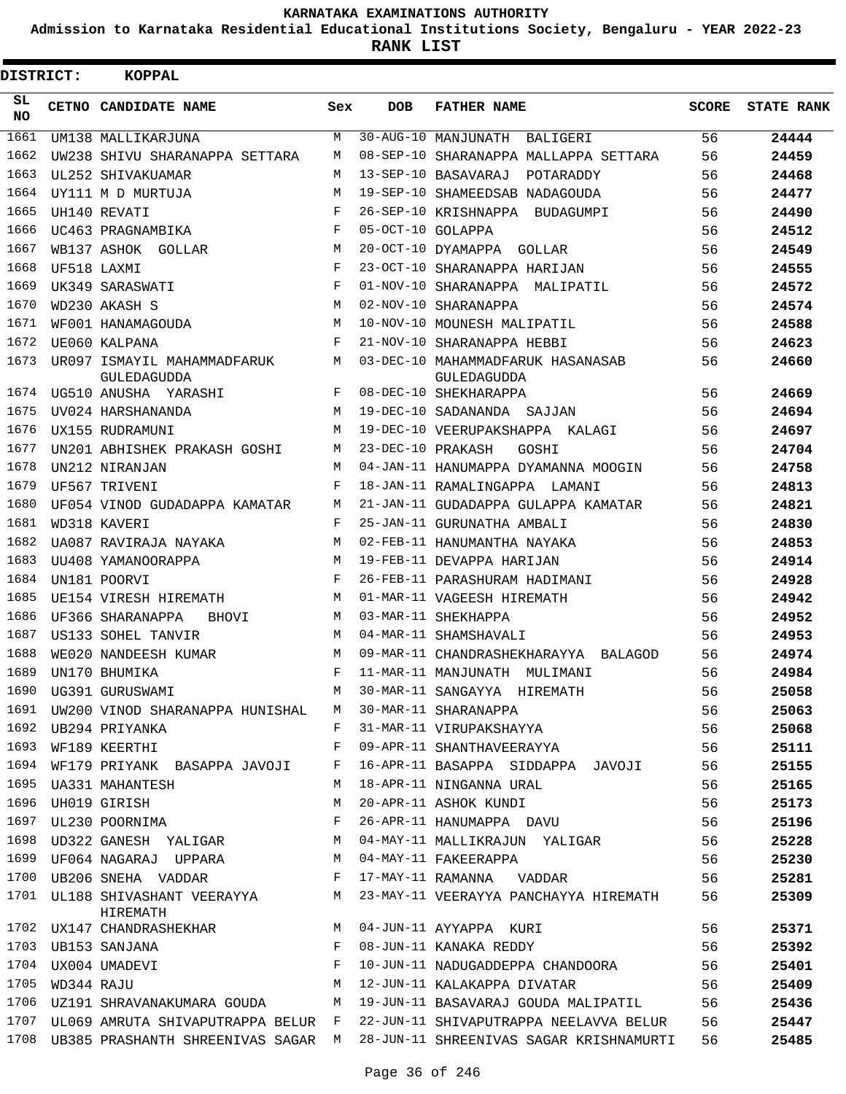**Admission to Karnataka Residential Educational Institutions Society, Bengaluru - YEAR 2022-23**

**RANK LIST**

| DISTRICT:       |            | <b>KOPPAL</b>                              |            |                   |                                                  |              |                   |
|-----------------|------------|--------------------------------------------|------------|-------------------|--------------------------------------------------|--------------|-------------------|
| SL<br><b>NO</b> |            | CETNO CANDIDATE NAME                       | Sex        | <b>DOB</b>        | <b>FATHER NAME</b>                               | <b>SCORE</b> | <b>STATE RANK</b> |
| 1661            |            | UM138 MALLIKARJUNA                         | M          |                   | 30-AUG-10 MANJUNATH<br>BALIGERI                  | 56           | 24444             |
| 1662            |            | UW238 SHIVU SHARANAPPA SETTARA             | M          |                   | 08-SEP-10 SHARANAPPA MALLAPPA SETTARA            | 56           | 24459             |
| 1663            |            | UL252 SHIVAKUAMAR                          | M          |                   | 13-SEP-10 BASAVARAJ<br>POTARADDY                 | 56           | 24468             |
| 1664            |            | UY111 M D MURTUJA                          | M          |                   | 19-SEP-10 SHAMEEDSAB NADAGOUDA                   | 56           | 24477             |
| 1665            |            | UH140 REVATI                               | F          |                   | 26-SEP-10 KRISHNAPPA<br>BUDAGUMPI                | 56           | 24490             |
| 1666            |            | UC463 PRAGNAMBIKA                          | F          | 05-OCT-10 GOLAPPA |                                                  | 56           | 24512             |
| 1667            |            | WB137 ASHOK GOLLAR                         | M          |                   | 20-OCT-10 DYAMAPPA GOLLAR                        | 56           | 24549             |
| 1668            |            | UF518 LAXMI                                | F          |                   | 23-OCT-10 SHARANAPPA HARIJAN                     | 56           | 24555             |
| 1669            |            | UK349 SARASWATI                            | F          |                   | 01-NOV-10 SHARANAPPA MALIPATIL                   | 56           | 24572             |
| 1670            |            | WD230 AKASH S                              | M          |                   | 02-NOV-10 SHARANAPPA                             | 56           | 24574             |
| 1671            |            | WF001 HANAMAGOUDA                          | M          |                   | 10-NOV-10 MOUNESH MALIPATIL                      | 56           | 24588             |
| 1672            |            | UE060 KALPANA                              | $_{\rm F}$ |                   | 21-NOV-10 SHARANAPPA HEBBI                       | 56           | 24623             |
| 1673            |            | UR097 ISMAYIL MAHAMMADFARUK<br>GULEDAGUDDA | М          |                   | 03-DEC-10 MAHAMMADFARUK HASANASAB<br>GULEDAGUDDA | 56           | 24660             |
| 1674            |            | UG510 ANUSHA YARASHI                       | F          |                   | 08-DEC-10 SHEKHARAPPA                            | 56           | 24669             |
| 1675            |            | UV024 HARSHANANDA                          | M          |                   | 19-DEC-10 SADANANDA SAJJAN                       | 56           | 24694             |
| 1676            |            | UX155 RUDRAMUNI                            | М          |                   | 19-DEC-10 VEERUPAKSHAPPA KALAGI                  | 56           | 24697             |
| 1677            |            | UN201 ABHISHEK PRAKASH GOSHI               | M          | 23-DEC-10 PRAKASH | GOSHI                                            | 56           | 24704             |
| 1678            |            | UN212 NIRANJAN                             | M          |                   | 04-JAN-11 HANUMAPPA DYAMANNA MOOGIN              | 56           | 24758             |
| 1679            |            | UF567 TRIVENI                              | F          |                   | 18-JAN-11 RAMALINGAPPA LAMANI                    | 56           | 24813             |
| 1680            |            | UF054 VINOD GUDADAPPA KAMATAR              | М          |                   | 21-JAN-11 GUDADAPPA GULAPPA KAMATAR              | 56           | 24821             |
| 1681            |            | WD318 KAVERI                               | F          |                   | 25-JAN-11 GURUNATHA AMBALI                       | 56           | 24830             |
| 1682            |            | UA087 RAVIRAJA NAYAKA                      | M          |                   | 02-FEB-11 HANUMANTHA NAYAKA                      | 56           | 24853             |
| 1683            |            | UU408 YAMANOORAPPA                         | M          |                   | 19-FEB-11 DEVAPPA HARIJAN                        | 56           | 24914             |
| 1684            |            | UN181 POORVI                               | $_{\rm F}$ |                   | 26-FEB-11 PARASHURAM HADIMANI                    | 56           | 24928             |
| 1685            |            | UE154 VIRESH HIREMATH                      | M          |                   | 01-MAR-11 VAGEESH HIREMATH                       | 56           | 24942             |
| 1686            |            | UF366 SHARANAPPA<br><b>BHOVI</b>           | M          |                   | 03-MAR-11 SHEKHAPPA                              | 56           | 24952             |
| 1687            |            | US133 SOHEL TANVIR                         | М          |                   | 04-MAR-11 SHAMSHAVALI                            | 56           | 24953             |
| 1688            |            | WE020 NANDEESH KUMAR                       | M          |                   | 09-MAR-11 CHANDRASHEKHARAYYA BALAGOD             | 56           | 24974             |
| 1689            |            | UN170 BHUMIKA                              | F          |                   | 11-MAR-11 MANJUNATH MULIMANI                     | 56           | 24984             |
| 1690            |            | UG391 GURUSWAMI                            | M          |                   | 30-MAR-11 SANGAYYA HIREMATH                      | 56           | 25058             |
| 1691            |            | UW200 VINOD SHARANAPPA HUNISHAL            | M          |                   | 30-MAR-11 SHARANAPPA                             | 56           | 25063             |
| 1692            |            | UB294 PRIYANKA                             | F          |                   | 31-MAR-11 VIRUPAKSHAYYA                          | 56           | 25068             |
| 1693            |            | WF189 KEERTHI                              | F          |                   | 09-APR-11 SHANTHAVEERAYYA                        | 56           | 25111             |
| 1694            |            | WF179 PRIYANK BASAPPA JAVOJI               | F          |                   | 16-APR-11 BASAPPA SIDDAPPA JAVOJI                | 56           | 25155             |
| 1695            |            | UA331 MAHANTESH                            | М          |                   | 18-APR-11 NINGANNA URAL                          | 56           | 25165             |
| 1696            |            | UH019 GIRISH                               | М          |                   | 20-APR-11 ASHOK KUNDI                            | 56           | 25173             |
| 1697            |            | UL230 POORNIMA                             | F          |                   | 26-APR-11 HANUMAPPA DAVU                         | 56           | 25196             |
| 1698            |            | UD322 GANESH YALIGAR                       | М          |                   | 04-MAY-11 MALLIKRAJUN YALIGAR                    | 56           | 25228             |
| 1699            |            | UF064 NAGARAJ UPPARA                       | М          |                   | 04-MAY-11 FAKEERAPPA                             | 56           | 25230             |
| 1700            |            | $\mathbf{F}$<br>UB206 SNEHA VADDAR         |            |                   | 17-MAY-11 RAMANNA VADDAR                         | 56           | 25281             |
|                 |            | 1701 UL188 SHIVASHANT VEERAYYA<br>HIREMATH | M          |                   | 23-MAY-11 VEERAYYA PANCHAYYA HIREMATH            | 56           | 25309             |
|                 |            | 1702 UX147 CHANDRASHEKHAR                  | M          |                   | 04-JUN-11 AYYAPPA KURI                           | 56           | 25371             |
| 1703            |            | UB153 SANJANA                              | F          |                   | 08-JUN-11 KANAKA REDDY                           | 56           | 25392             |
| 1704            |            | UX004 UMADEVI                              | F          |                   | 10-JUN-11 NADUGADDEPPA CHANDOORA                 | 56           | 25401             |
| 1705            | WD344 RAJU |                                            | M          |                   | 12-JUN-11 KALAKAPPA DIVATAR                      | 56           | 25409             |
|                 |            | 1706 UZ191 SHRAVANAKUMARA GOUDA            | M          |                   | 19-JUN-11 BASAVARAJ GOUDA MALIPATIL              | 56           | 25436             |
| 1707            |            | UL069 AMRUTA SHIVAPUTRAPPA BELUR F         |            |                   | 22-JUN-11 SHIVAPUTRAPPA NEELAVVA BELUR           | 56           | 25447             |
| 1708            |            | UB385 PRASHANTH SHREENIVAS SAGAR M         |            |                   | 28-JUN-11 SHREENIVAS SAGAR KRISHNAMURTI          | 56           | 25485             |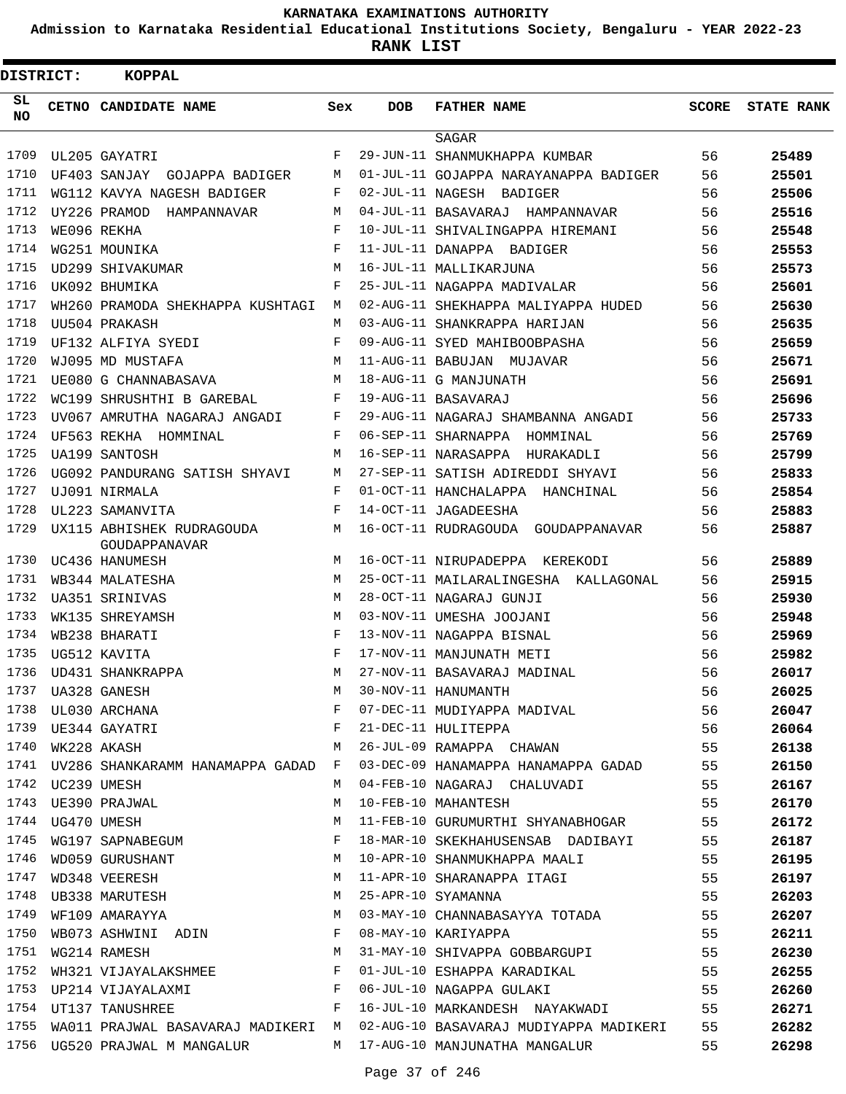**Admission to Karnataka Residential Educational Institutions Society, Bengaluru - YEAR 2022-23**

**RANK LIST**

| <b>DISTRICT:</b> |                  | <b>KOPPAL</b>                                        |            |            |                                           |              |                   |
|------------------|------------------|------------------------------------------------------|------------|------------|-------------------------------------------|--------------|-------------------|
| SL<br><b>NO</b>  |                  | CETNO CANDIDATE NAME                                 | Sex        | <b>DOB</b> | <b>FATHER NAME</b>                        | <b>SCORE</b> | <b>STATE RANK</b> |
|                  |                  |                                                      |            |            | SAGAR                                     |              |                   |
| 1709             |                  | UL205 GAYATRI                                        | F          |            | 29-JUN-11 SHANMUKHAPPA KUMBAR             | 56           | 25489             |
| 1710             |                  | UF403 SANJAY GOJAPPA BADIGER                         | M          |            | 01-JUL-11 GOJAPPA NARAYANAPPA BADIGER     | 56           | 25501             |
| 1711             |                  | WG112 KAVYA NAGESH BADIGER                           | F          |            | 02-JUL-11 NAGESH BADIGER                  | 56           | 25506             |
| 1712             |                  | UY226 PRAMOD<br>HAMPANNAVAR                          | М          |            | 04-JUL-11 BASAVARAJ HAMPANNAVAR           | 56           | 25516             |
| 1713             |                  | WE096 REKHA                                          | $_{\rm F}$ |            | 10-JUL-11 SHIVALINGAPPA HIREMANI          | 56           | 25548             |
| 1714             |                  | WG251 MOUNIKA                                        | $_{\rm F}$ |            | 11-JUL-11 DANAPPA BADIGER                 | 56           | 25553             |
| 1715             |                  | UD299 SHIVAKUMAR                                     | M          |            | 16-JUL-11 MALLIKARJUNA                    | 56           | 25573             |
| 1716             |                  | UK092 BHUMIKA                                        | F          |            | 25-JUL-11 NAGAPPA MADIVALAR               | 56           | 25601             |
| 1717             |                  | WH260 PRAMODA SHEKHAPPA KUSHTAGI                     | M          |            | 02-AUG-11 SHEKHAPPA MALIYAPPA HUDED       | 56           | 25630             |
| 1718             |                  | UU504 PRAKASH                                        | М          |            | 03-AUG-11 SHANKRAPPA HARIJAN              | 56           | 25635             |
| 1719             |                  | UF132 ALFIYA SYEDI                                   | F          |            | 09-AUG-11 SYED MAHIBOOBPASHA              | 56           | 25659             |
| 1720             |                  | WJ095 MD MUSTAFA                                     | M          |            | 11-AUG-11 BABUJAN MUJAVAR                 | 56           | 25671             |
| 1721             |                  | UE080 G CHANNABASAVA                                 | M          |            | 18-AUG-11 G MANJUNATH                     | 56           | 25691             |
| 1722             |                  | WC199 SHRUSHTHI B GAREBAL                            | F          |            | 19-AUG-11 BASAVARAJ                       | 56           | 25696             |
| 1723             |                  | UV067 AMRUTHA NAGARAJ ANGADI                         | F          |            | 29-AUG-11 NAGARAJ SHAMBANNA ANGADI        | 56           | 25733             |
| 1724             |                  | UF563 REKHA HOMMINAL                                 | F          |            | 06-SEP-11 SHARNAPPA HOMMINAL              | 56           | 25769             |
| 1725             |                  | UA199 SANTOSH                                        | М          |            | 16-SEP-11 NARASAPPA HURAKADLI             | 56           | 25799             |
| 1726             |                  | UG092 PANDURANG SATISH SHYAVI                        | M          |            | 27-SEP-11 SATISH ADIREDDI SHYAVI          | 56           | 25833             |
| 1727             |                  | UJ091 NIRMALA                                        | F          |            | 01-OCT-11 HANCHALAPPA HANCHINAL           | 56           | 25854             |
| 1728             |                  | UL223 SAMANVITA                                      | F          |            | 14-OCT-11 JAGADEESHA                      | 56           | 25883             |
| 1729             |                  | UX115 ABHISHEK RUDRAGOUDA<br>GOUDAPPANAVAR           | М          |            | 16-OCT-11 RUDRAGOUDA GOUDAPPANAVAR        | 56           | 25887             |
| 1730             |                  | UC436 HANUMESH                                       | M          |            | 16-OCT-11 NIRUPADEPPA KEREKODI            | 56           | 25889             |
| 1731             |                  | WB344 MALATESHA                                      | M          |            | 25-OCT-11 MAILARALINGESHA KALLAGONAL      | 56           | 25915             |
| 1732             |                  | UA351 SRINIVAS                                       | M          |            | 28-OCT-11 NAGARAJ GUNJI                   | 56           | 25930             |
| 1733             |                  | WK135 SHREYAMSH                                      | M          |            | 03-NOV-11 UMESHA JOOJANI                  | 56           | 25948             |
| 1734             |                  | WB238 BHARATI                                        | F          |            | 13-NOV-11 NAGAPPA BISNAL                  | 56           | 25969             |
| 1735             |                  | UG512 KAVITA                                         | $_{\rm F}$ |            | 17-NOV-11 MANJUNATH METI                  | 56           | 25982             |
| 1736             |                  | UD431 SHANKRAPPA                                     | M          |            | 27-NOV-11 BASAVARAJ MADINAL               | 56           | 26017             |
| 1737             |                  | UA328 GANESH                                         | M          |            | 30-NOV-11 HANUMANTH                       | 56           | 26025             |
| 1738             |                  | UL030 ARCHANA                                        | F          |            | 07-DEC-11 MUDIYAPPA MADIVAL               | 56           | 26047             |
|                  |                  | 1739 UE344 GAYATRI                                   | F          |            | 21-DEC-11 HULITEPPA                       | 56           | 26064             |
| 1740             |                  | WK228 AKASH                                          | M          |            | 26-JUL-09 RAMAPPA CHAWAN                  | 55           | 26138             |
|                  |                  | 1741 UV286 SHANKARAMM HANAMAPPA GADAD F              |            |            | 03-DEC-09 HANAMAPPA HANAMAPPA GADAD 55    |              | 26150             |
|                  | 1742 UC239 UMESH |                                                      | M          |            | 04-FEB-10 NAGARAJ CHALUVADI               | 55           | 26167             |
|                  |                  | 1743 UE390 PRAJWAL                                   | М          |            | 10-FEB-10 MAHANTESH                       | 55           | 26170             |
| 1744             |                  | UG470 UMESH                                          | М          |            | 11-FEB-10 GURUMURTHI SHYANABHOGAR         | 55           | 26172             |
| 1745             |                  | UG470 UMESH<br>WG197 SAPNABEGUM                      | F          |            | 18-MAR-10 SKEKHAHUSENSAB DADIBAYI         | 55           | 26187             |
| 1746             |                  | WD059 GURUSHANT                                      | M          |            | 10-APR-10 SHANMUKHAPPA MAALI              | 55           | 26195             |
| 1747             |                  | WD032 OCNOCHERESH<br>UB348 VEERESH<br>UB338 MARUTESH | M          |            | 11-APR-10 SHARANAPPA ITAGI                | 55           | 26197             |
| 1748             |                  |                                                      | M          |            | 25-APR-10 SYAMANNA                        | 55           | 26203             |
| 1749             |                  | WF109 AMARAYYA                                       | M          |            | 03-MAY-10 CHANNABASAYYA TOTADA            | 55           | 26207             |
| 1750             |                  | WB073 ASHWINI ADIN F                                 |            |            | 08-MAY-10 KARIYAPPA                       | 55           | 26211             |
| 1751             |                  | WG214 RAMESH                                         | M          |            | 31-MAY-10 SHIVAPPA GOBBARGUPI             | 55           | 26230             |
| 1752             |                  | WH321 VIJAYALAKSHMEE                                 | F          |            | 01-JUL-10 ESHAPPA KARADIKAL               | 55           | 26255             |
| 1753             |                  | UP214 VIJAYALAXMI                                    | F          |            | 06-JUL-10 NAGAPPA GULAKI                  | 55           | 26260             |
| 1754             |                  | $\mathbf{F}$<br>UT137 TANUSHREE                      |            |            | 16-JUL-10 MARKANDESH NAYAKWADI 55         |              | 26271             |
| 1755             |                  | WA011 PRAJWAL BASAVARAJ MADIKERI M                   |            |            | 02-AUG-10 BASAVARAJ MUDIYAPPA MADIKERI 55 |              | 26282             |
| 1756             |                  | UG520 PRAJWAL M MANGALUR                             |            |            | M 17-AUG-10 MANJUNATHA MANGALUR           | 55           | 26298             |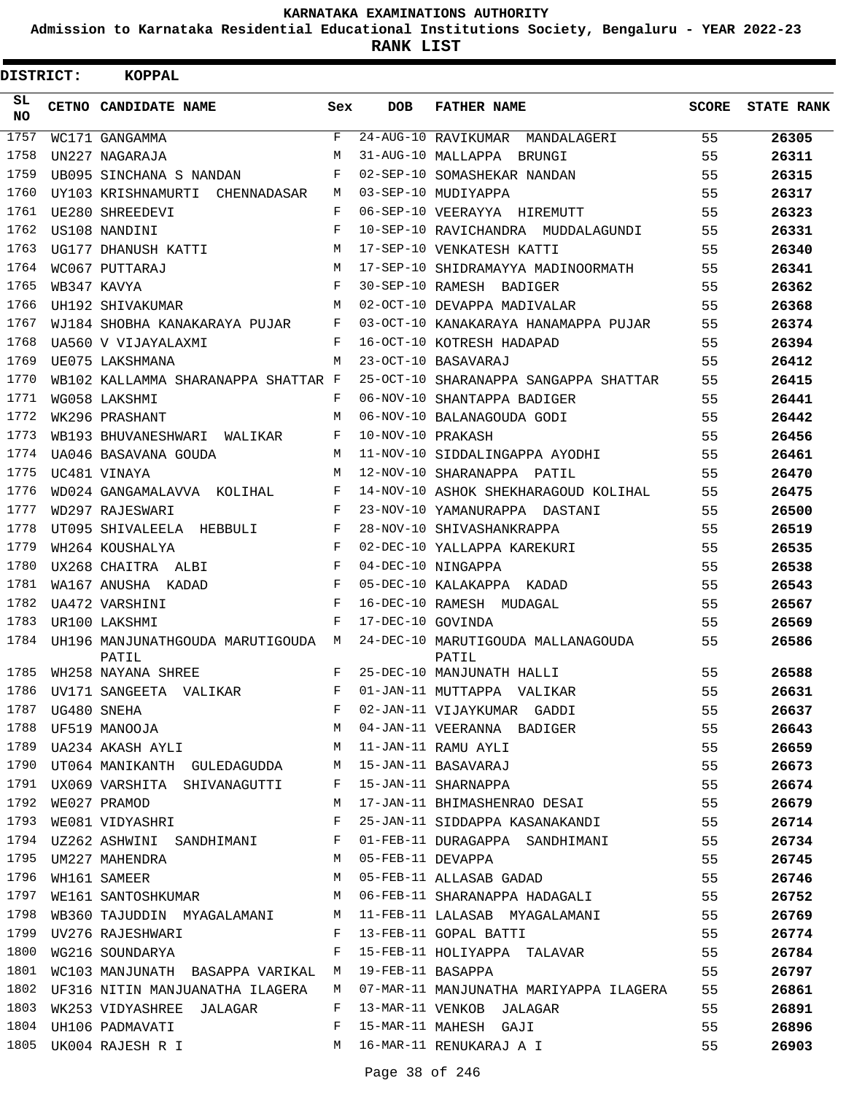**Admission to Karnataka Residential Educational Institutions Society, Bengaluru - YEAR 2022-23**

**RANK LIST**

| DISTRICT: | <b>KOPPAL</b>                               |            |                   |                                             |       |                   |
|-----------|---------------------------------------------|------------|-------------------|---------------------------------------------|-------|-------------------|
| SL<br>NO. | CETNO CANDIDATE NAME                        | Sex        | <b>DOB</b>        | <b>FATHER NAME</b>                          | SCORE | <b>STATE RANK</b> |
| 1757      | WC171 GANGAMMA                              | F          |                   | 24-AUG-10 RAVIKUMAR MANDALAGERI             | 55    | 26305             |
| 1758      | UN227 NAGARAJA                              | M          |                   | 31-AUG-10 MALLAPPA BRUNGI                   | 55    | 26311             |
| 1759      | UB095 SINCHANA S NANDAN                     | F          |                   | 02-SEP-10 SOMASHEKAR NANDAN                 | 55    | 26315             |
| 1760      | UY103 KRISHNAMURTI CHENNADASAR              | М          |                   | 03-SEP-10 MUDIYAPPA                         | 55    | 26317             |
| 1761      | UE280 SHREEDEVI                             | F          |                   | 06-SEP-10 VEERAYYA HIREMUTT                 | 55    | 26323             |
| 1762      | US108 NANDINI                               | $_{\rm F}$ |                   | 10-SEP-10 RAVICHANDRA MUDDALAGUNDI          | 55    | 26331             |
| 1763      | UG177 DHANUSH KATTI                         | M          |                   | 17-SEP-10 VENKATESH KATTI                   | 55    | 26340             |
| 1764      | WC067 PUTTARAJ                              | M          |                   | 17-SEP-10 SHIDRAMAYYA MADINOORMATH          | 55    | 26341             |
| 1765      | WB347 KAVYA                                 | F          |                   | 30-SEP-10 RAMESH BADIGER                    | 55    | 26362             |
| 1766      | UH192 SHIVAKUMAR                            | M          |                   | 02-OCT-10 DEVAPPA MADIVALAR                 | 55    | 26368             |
| 1767      | WJ184 SHOBHA KANAKARAYA PUJAR               | F          |                   | 03-OCT-10 KANAKARAYA HANAMAPPA PUJAR        | 55    | 26374             |
| 1768      | UA560 V VIJAYALAXMI                         | F          |                   | 16-OCT-10 KOTRESH HADAPAD                   | 55    | 26394             |
| 1769      | UE075 LAKSHMANA                             | М          |                   | 23-OCT-10 BASAVARAJ                         | 55    | 26412             |
| 1770      | WB102 KALLAMMA SHARANAPPA SHATTAR F         |            |                   | 25-OCT-10 SHARANAPPA SANGAPPA SHATTAR       | 55    | 26415             |
| 1771      | WG058 LAKSHMI                               | F          |                   | 06-NOV-10 SHANTAPPA BADIGER                 | 55    | 26441             |
| 1772      | WK296 PRASHANT                              | M          |                   | 06-NOV-10 BALANAGOUDA GODI                  | 55    | 26442             |
| 1773      | WB193 BHUVANESHWARI WALIKAR                 | F          | 10-NOV-10 PRAKASH |                                             | 55    | 26456             |
| 1774      | UA046 BASAVANA GOUDA                        | M          |                   | 11-NOV-10 SIDDALINGAPPA AYODHI              | 55    | 26461             |
| 1775      | UC481 VINAYA                                | M          |                   | 12-NOV-10 SHARANAPPA PATIL                  | 55    | 26470             |
| 1776      | WD024 GANGAMALAVVA KOLIHAL                  | F          |                   | 14-NOV-10 ASHOK SHEKHARAGOUD KOLIHAL        | 55    | 26475             |
| 1777      | WD297 RAJESWARI                             | F          |                   | 23-NOV-10 YAMANURAPPA DASTANI               | 55    | 26500             |
| 1778      | UT095 SHIVALEELA HEBBULI                    | F          |                   | 28-NOV-10 SHIVASHANKRAPPA                   | 55    | 26519             |
| 1779      | WH264 KOUSHALYA                             | F          |                   | 02-DEC-10 YALLAPPA KAREKURI                 | 55    | 26535             |
| 1780      | UX268 CHAITRA ALBI                          | F          |                   | 04-DEC-10 NINGAPPA                          | 55    | 26538             |
| 1781      | WA167 ANUSHA KADAD                          | F          |                   | 05-DEC-10 KALAKAPPA KADAD                   | 55    | 26543             |
| 1782      | UA472 VARSHINI                              | F          |                   | 16-DEC-10 RAMESH MUDAGAL                    | 55    | 26567             |
| 1783      | UR100 LAKSHMI                               | F          | 17-DEC-10 GOVINDA |                                             | 55    | 26569             |
| 1784      | UH196 MANJUNATHGOUDA MARUTIGOUDA M<br>PATIL |            |                   | 24-DEC-10 MARUTIGOUDA MALLANAGOUDA<br>PATIL | 55    | 26586             |
| 1785      | WH258 NAYANA SHREE                          | F          |                   | 25-DEC-10 MANJUNATH HALLI                   | 55    | 26588             |
| 1786      | UV171 SANGEETA VALIKAR                      | F          |                   | 01-JAN-11 MUTTAPPA VALIKAR                  | 55    | 26631             |
| 1787      | UG480 SNEHA                                 | F          |                   | 02-JAN-11 VIJAYKUMAR GADDI                  | 55    | 26637             |
|           | 1788 UF519 MANOOJA                          | М          |                   | 04-JAN-11 VEERANNA BADIGER                  | 55    | 26643             |
| 1789      | UA234 AKASH AYLI                            | M          |                   | 11-JAN-11 RAMU AYLI                         | 55    | 26659             |
| 1790      | UT064 MANIKANTH GULEDAGUDDA                 | M          |                   | 15-JAN-11 BASAVARAJ                         | 55    | 26673             |
|           | 1791 UX069 VARSHITA SHIVANAGUTTI            | F          |                   | 15-JAN-11 SHARNAPPA                         | 55    | 26674             |
| 1792      | WE027 PRAMOD                                | М          |                   | 17-JAN-11 BHIMASHENRAO DESAI                | 55    | 26679             |
| 1793      | WE081 VIDYASHRI                             | F          |                   | 25-JAN-11 SIDDAPPA KASANAKANDI              | 55    | 26714             |
| 1794      | UZ262 ASHWINI SANDHIMANI                    | F          |                   | 01-FEB-11 DURAGAPPA SANDHIMANI              | 55    | 26734             |
| 1795      | UM227 MAHENDRA                              | M          | 05-FEB-11 DEVAPPA |                                             | 55    | 26745             |
| 1796      | WH161 SAMEER                                | М          |                   | 05-FEB-11 ALLASAB GADAD                     | 55    | 26746             |
| 1797      | WE161 SANTOSHKUMAR                          | M          |                   | 06-FEB-11 SHARANAPPA HADAGALI               | 55    | 26752             |
| 1798      | WB360 TAJUDDIN MYAGALAMANI                  | M          |                   | 11-FEB-11 LALASAB MYAGALAMANI               | 55    | 26769             |
| 1799      | UV276 RAJESHWARI                            | F          |                   | 13-FEB-11 GOPAL BATTI                       | 55    | 26774             |
| 1800      | WG216 SOUNDARYA                             | F          |                   | 15-FEB-11 HOLIYAPPA TALAVAR                 | 55    | 26784             |
| 1801      | WC103 MANJUNATH BASAPPA VARIKAL M           |            | 19-FEB-11 BASAPPA |                                             | 55    | 26797             |
| 1802      | UF316 NITIN MANJUANATHA ILAGERA             | M          |                   | 07-MAR-11 MANJUNATHA MARIYAPPA ILAGERA      | 55    | 26861             |
| 1803      | WK253 VIDYASHREE JALAGAR                    | F          |                   | 13-MAR-11 VENKOB JALAGAR                    | 55    | 26891             |
|           | 1804 UH106 PADMAVATI                        | F          |                   | 15-MAR-11 MAHESH GAJI                       | 55    | 26896             |
|           | 1805 UK004 RAJESH R I                       | M          |                   | 16-MAR-11 RENUKARAJ A I                     | 55    | 26903             |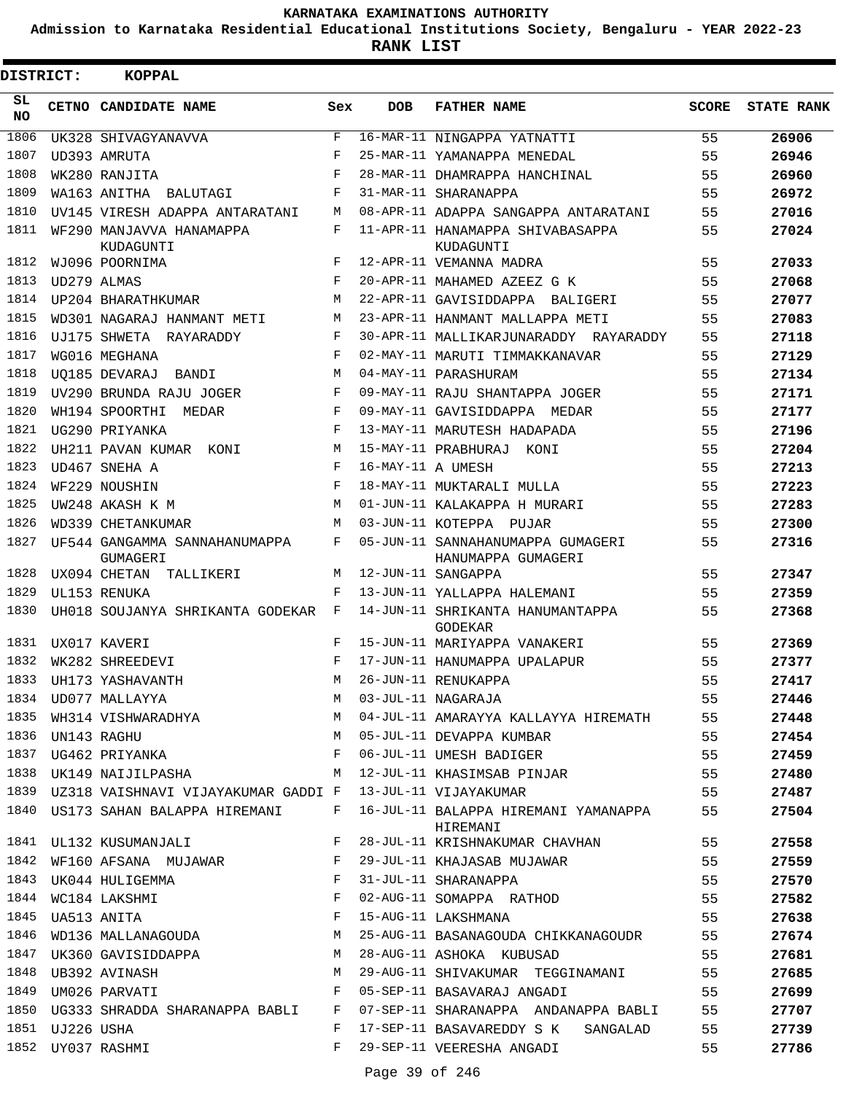**Admission to Karnataka Residential Educational Institutions Society, Bengaluru - YEAR 2022-23**

**RANK LIST**

Е

| DISTRICT:        |                 | KOPPAL                                    |                    |                   |                                                                                                                                                                                                         |              |                   |
|------------------|-----------------|-------------------------------------------|--------------------|-------------------|---------------------------------------------------------------------------------------------------------------------------------------------------------------------------------------------------------|--------------|-------------------|
| SL.<br><b>NO</b> |                 | CETNO CANDIDATE NAME                      | Sex                | <b>DOB</b>        | <b>FATHER NAME</b>                                                                                                                                                                                      | <b>SCORE</b> | <b>STATE RANK</b> |
| 1806             |                 | UK328 SHIVAGYANAVVA                       | F                  |                   | 16-MAR-11 NINGAPPA YATNATTI                                                                                                                                                                             | 55           | 26906             |
| 1807             |                 | UD393 AMRUTA                              | $_{\rm F}$         |                   | 25-MAR-11 YAMANAPPA MENEDAL                                                                                                                                                                             | 55           | 26946             |
| 1808             |                 | WK280 RANJITA                             | $\mathbf{F}% _{0}$ |                   | 28-MAR-11 DHAMRAPPA HANCHINAL                                                                                                                                                                           | 55           | 26960             |
| 1809             |                 | WA163 ANITHA BALUTAGI                     | F                  |                   | 31-MAR-11 SHARANAPPA                                                                                                                                                                                    | 55           | 26972             |
| 1810             |                 | UV145 VIRESH ADAPPA ANTARATANI            | M                  |                   | 08-APR-11 ADAPPA SANGAPPA ANTARATANI                                                                                                                                                                    | 55           | 27016             |
| 1811             |                 | WF290 MANJAVVA HANAMAPPA<br>KUDAGUNTI     | F                  |                   | 11-APR-11 HANAMAPPA SHIVABASAPPA<br>KUDAGUNTI                                                                                                                                                           | 55           | 27024             |
| 1812             |                 | WJ096 POORNIMA                            | F                  |                   | 12-APR-11 VEMANNA MADRA                                                                                                                                                                                 | 55           | 27033             |
| 1813             |                 | UD279 ALMAS                               | $_{\rm F}$         |                   | 20-APR-11 MAHAMED AZEEZ G K                                                                                                                                                                             | 55           | 27068             |
| 1814             |                 | UP204 BHARATHKUMAR                        | М                  |                   | 22-APR-11 GAVISIDDAPPA BALIGERI                                                                                                                                                                         | 55           | 27077             |
| 1815             |                 | WD301 NAGARAJ HANMANT METI                | М                  |                   | 23-APR-11 HANMANT MALLAPPA METI                                                                                                                                                                         | 55           | 27083             |
| 1816             |                 | UJ175 SHWETA RAYARADDY                    | F                  |                   | 30-APR-11 MALLIKARJUNARADDY RAYARADDY                                                                                                                                                                   | 55           | 27118             |
| 1817             |                 | WG016 MEGHANA                             | F                  |                   | 02-MAY-11 MARUTI TIMMAKKANAVAR                                                                                                                                                                          | 55           | 27129             |
| 1818             |                 | UO185 DEVARAJ BANDI                       | М                  |                   | 04-MAY-11 PARASHURAM                                                                                                                                                                                    | 55           | 27134             |
| 1819             |                 | UV290 BRUNDA RAJU JOGER                   | F                  |                   | 09-MAY-11 RAJU SHANTAPPA JOGER                                                                                                                                                                          | 55           | 27171             |
| 1820             |                 | WH194 SPOORTHI MEDAR                      | F                  |                   | 09-MAY-11 GAVISIDDAPPA MEDAR                                                                                                                                                                            | 55           | 27177             |
| 1821             |                 | UG290 PRIYANKA                            | $_{\rm F}$         |                   | 13-MAY-11 MARUTESH HADAPADA                                                                                                                                                                             | 55           | 27196             |
| 1822             |                 | UH211 PAVAN KUMAR KONI                    | M                  |                   | 15-MAY-11 PRABHURAJ KONI                                                                                                                                                                                | 55           | 27204             |
| 1823             |                 | UD467 SNEHA A                             | F                  | 16-MAY-11 A UMESH |                                                                                                                                                                                                         | 55           | 27213             |
| 1824             |                 | WF229 NOUSHIN                             | $\mathbf{F}% _{0}$ |                   | 18-MAY-11 MUKTARALI MULLA                                                                                                                                                                               | 55           | 27223             |
| 1825             |                 | UW248 AKASH K M                           | M                  |                   | 01-JUN-11 KALAKAPPA H MURARI                                                                                                                                                                            | 55           | 27283             |
| 1826             |                 | WD339 CHETANKUMAR                         | М                  |                   | 03-JUN-11 KOTEPPA PUJAR                                                                                                                                                                                 | 55           | 27300             |
| 1827             |                 | UF544 GANGAMMA SANNAHANUMAPPA<br>GUMAGERI | F                  |                   | 05-JUN-11 SANNAHANUMAPPA GUMAGERI<br>HANUMAPPA GUMAGERI                                                                                                                                                 | 55           | 27316             |
| 1828             |                 | UX094 CHETAN TALLIKERI                    | М                  |                   | 12-JUN-11 SANGAPPA                                                                                                                                                                                      | 55           | 27347             |
| 1829             |                 | UL153 RENUKA                              | F                  |                   | 13-JUN-11 YALLAPPA HALEMANI                                                                                                                                                                             | 55           | 27359             |
| 1830             |                 | UH018 SOUJANYA SHRIKANTA GODEKAR F        |                    |                   | 14-JUN-11 SHRIKANTA HANUMANTAPPA<br>GODEKAR                                                                                                                                                             | 55           | 27368             |
| 1831             |                 | UX017 KAVERI                              | F                  |                   | 15-JUN-11 MARIYAPPA VANAKERI                                                                                                                                                                            | 55           | 27369             |
| 1832             |                 | WK282 SHREEDEVI                           | F                  |                   | 17-JUN-11 HANUMAPPA UPALAPUR                                                                                                                                                                            | 55           | 27377             |
|                  |                 | 1833 UH173 YASHAVANTH                     | M                  |                   | 26-JUN-11 RENUKAPPA                                                                                                                                                                                     | 55           | 27417             |
|                  |                 | 1834 UD077 MALLAYYA                       |                    |                   | M 03-JUL-11 NAGARAJA                                                                                                                                                                                    | 55           | 27446             |
|                  |                 |                                           |                    |                   |                                                                                                                                                                                                         |              | 27448             |
|                  |                 |                                           |                    |                   |                                                                                                                                                                                                         |              | 27454             |
|                  |                 |                                           |                    |                   | 1836 UN143 RAGHU                               M   05-JUL-11 DEVAPPA KUMBAR                                 55<br>1837  UG462 PRIYANKA                                   F   06-JUL-11 UMESH BADIGER    |              | 27459             |
|                  |                 |                                           |                    |                   | 1838 UK149 NAIJILPASHA M 12-JUL-11 KHASIMSAB PINJAR 55                                                                                                                                                  |              | 27480             |
|                  |                 |                                           |                    |                   | 1839 UZ318 VAISHNAVI VIJAYAKUMAR GADDI F 13-JUL-11 VIJAYAKUMAR                                                                                                                                          | 55           | 27487             |
|                  |                 |                                           |                    |                   | 1840 US173 SAHAN BALAPPA HIREMANI F 16-JUL-11 BALAPPA HIREMANI YAMANAPPA 55<br>HIREMANI                                                                                                                 |              | 27504             |
|                  |                 |                                           |                    |                   | 1841 UL132 KUSUMANJALI KROST F 28-JUL-11 KRISHNAKUMAR CHAVHAN 55                                                                                                                                        |              | 27558             |
|                  |                 |                                           |                    |                   | 1842 WF160 AFSANA MUJAWAR F 29-JUL-11 KHAJASAB MUJAWAR 55                                                                                                                                               |              | 27559             |
|                  |                 | 1843 UK044 HULIGEMMA                      |                    |                   | F 31-JUL-11 SHARANAPPA                                                                                                                                                                                  | 55           | 27570             |
|                  |                 | 1844 WC184 LAKSHMI                        |                    |                   | F 02-AUG-11 SOMAPPA RATHOD                                                                                                                                                                              | 55           | 27582             |
|                  |                 | 1845 UA513 ANITA                          |                    |                   | F 15-AUG-11 LAKSHMANA                                                                                                                                                                                   | 55           | 27638             |
|                  |                 |                                           |                    |                   | 1846 WD136 MALLANAGOUDA M 25-AUG-11 BASANAGOUDA CHIKKANAGOUDR 55                                                                                                                                        |              | 27674             |
|                  |                 |                                           |                    |                   | 1847 UK360 GAVISIDDAPPA M 28-AUG-11 ASHOKA KUBUSAD 55                                                                                                                                                   |              | 27681             |
|                  |                 |                                           |                    |                   |                                                                                                                                                                                                         |              | 27685             |
|                  |                 |                                           |                    |                   | 1848 UB392 AVINASH                               M   29-AUG-11 SHIVAKUMAR  TEGGINAMANI                       55<br>1849  UM026 PARVATI                                   F   05-SEP-11 BASAVARAJ ANGADI | 55           | 27699             |
|                  |                 |                                           |                    |                   | 1850 UG333 SHRADDA SHARANAPPA BABLI F 07-SEP-11 SHARANAPPA ANDANAPPA BABLI 55                                                                                                                           |              | 27707             |
|                  | 1851 UJ226 USHA |                                           |                    |                   | F 17-SEP-11 BASAVAREDDY S K SANGALAD                                                                                                                                                                    | 55           | 27739             |
|                  |                 | 1852 UY037 RASHMI                         |                    |                   | F 29-SEP-11 VEERESHA ANGADI                                                                                                                                                                             | 55           | 27786             |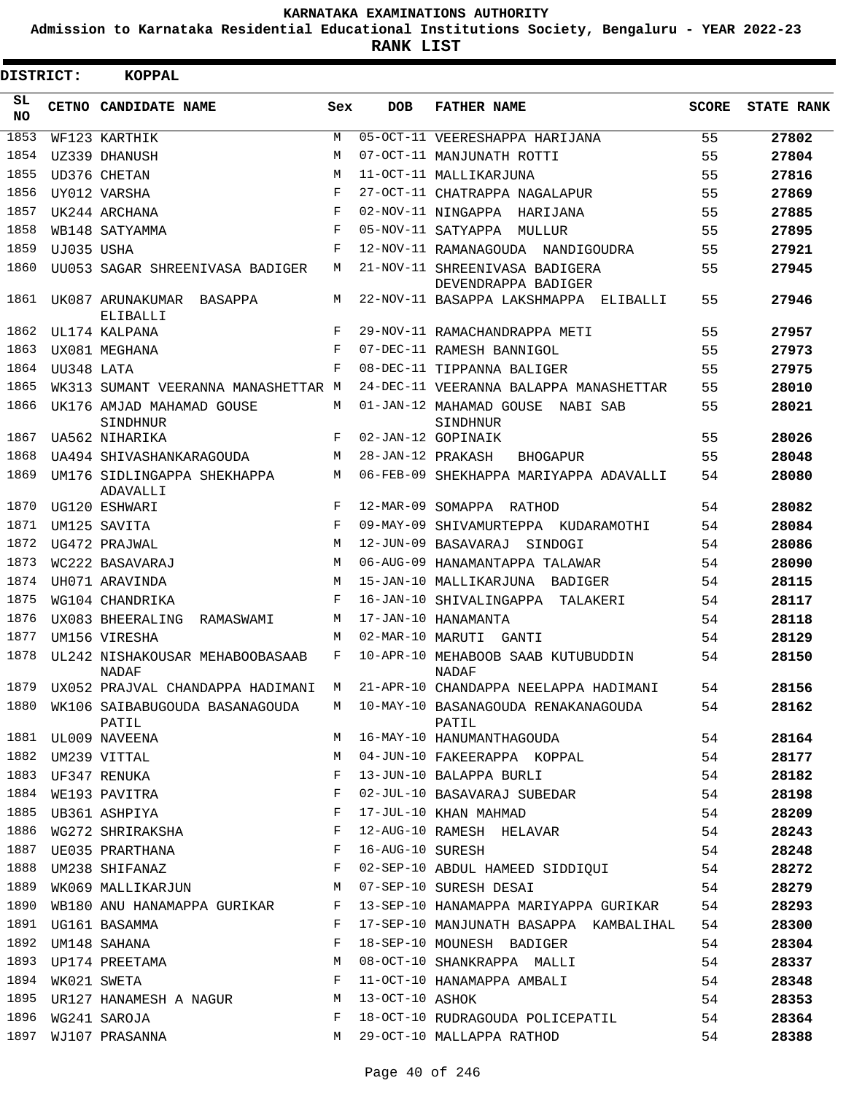**Admission to Karnataka Residential Educational Institutions Society, Bengaluru - YEAR 2022-23**

| DISTRICT:       |            | <b>KOPPAL</b>                                                    |             |                   |                                                                               |              |                   |
|-----------------|------------|------------------------------------------------------------------|-------------|-------------------|-------------------------------------------------------------------------------|--------------|-------------------|
| SL<br><b>NO</b> |            | CETNO CANDIDATE NAME                                             | Sex         | <b>DOB</b>        | <b>FATHER NAME</b>                                                            | <b>SCORE</b> | <b>STATE RANK</b> |
| 1853            |            | WF123 KARTHIK                                                    | M           |                   | 05-OCT-11 VEERESHAPPA HARIJANA                                                | 55           | 27802             |
| 1854            |            | UZ339 DHANUSH                                                    | М           |                   | 07-OCT-11 MANJUNATH ROTTI                                                     | 55           | 27804             |
| 1855            |            | UD376 CHETAN                                                     | M           |                   | 11-OCT-11 MALLIKARJUNA                                                        | 55           | 27816             |
| 1856            |            | UY012 VARSHA                                                     | F           |                   | 27-OCT-11 CHATRAPPA NAGALAPUR                                                 | 55           | 27869             |
| 1857            |            | UK244 ARCHANA                                                    | $\mathbf F$ |                   | 02-NOV-11 NINGAPPA HARIJANA                                                   | 55           | 27885             |
| 1858            |            | WB148 SATYAMMA                                                   | F           |                   | 05-NOV-11 SATYAPPA<br>MULLUR                                                  | 55           | 27895             |
| 1859            | UJ035 USHA |                                                                  | F           |                   | 12-NOV-11 RAMANAGOUDA NANDIGOUDRA                                             | 55           | 27921             |
| 1860            |            | UU053 SAGAR SHREENIVASA BADIGER                                  | М           |                   | 21-NOV-11 SHREENIVASA BADIGERA<br>DEVENDRAPPA BADIGER                         | 55           | 27945             |
| 1861            |            | UK087 ARUNAKUMAR BASAPPA<br>ELIBALLI                             | М           |                   | 22-NOV-11 BASAPPA LAKSHMAPPA ELIBALLI                                         | 55           | 27946             |
| 1862            |            | UL174 KALPANA                                                    | F           |                   | 29-NOV-11 RAMACHANDRAPPA METI                                                 | 55           | 27957             |
| 1863            |            | UX081 MEGHANA                                                    | F           |                   | 07-DEC-11 RAMESH BANNIGOL                                                     | 55           | 27973             |
| 1864            | UU348 LATA |                                                                  | F           |                   | 08-DEC-11 TIPPANNA BALIGER                                                    | 55           | 27975             |
| 1865            |            | WK313 SUMANT VEERANNA MANASHETTAR M                              |             |                   | 24-DEC-11 VEERANNA BALAPPA MANASHETTAR                                        | 55           | 28010             |
| 1866            |            | UK176 AMJAD MAHAMAD GOUSE<br>SINDHNUR                            | М           |                   | 01-JAN-12 MAHAMAD GOUSE<br>NABI SAB<br>SINDHNUR                               | 55           | 28021             |
| 1867            |            | UA562 NIHARIKA                                                   | F           |                   | 02-JAN-12 GOPINAIK                                                            | 55           | 28026             |
| 1868            |            | UA494 SHIVASHANKARAGOUDA                                         | M           | 28-JAN-12 PRAKASH | <b>BHOGAPUR</b>                                                               | 55           | 28048             |
| 1869            |            | UM176 SIDLINGAPPA SHEKHAPPA<br>ADAVALLI                          | М           |                   | 06-FEB-09 SHEKHAPPA MARIYAPPA ADAVALLI                                        | 54           | 28080             |
| 1870            |            | UG120 ESHWARI                                                    | F           |                   | 12-MAR-09 SOMAPPA RATHOD                                                      | 54           | 28082             |
| 1871            |            | UM125 SAVITA                                                     | F           |                   | 09-MAY-09 SHIVAMURTEPPA KUDARAMOTHI                                           | 54           | 28084             |
| 1872            |            | UG472 PRAJWAL                                                    | M           |                   | 12-JUN-09 BASAVARAJ<br>SINDOGI                                                | 54           | 28086             |
| 1873            |            | WC222 BASAVARAJ                                                  | M           |                   | 06-AUG-09 HANAMANTAPPA TALAWAR                                                | 54           | 28090             |
| 1874            |            | UH071 ARAVINDA                                                   | М           |                   | 15-JAN-10 MALLIKARJUNA BADIGER                                                | 54           | 28115             |
| 1875            |            | WG104 CHANDRIKA                                                  | F           |                   | 16-JAN-10 SHIVALINGAPPA<br>TALAKERI                                           | 54           | 28117             |
| 1876            |            | UX083 BHEERALING<br>RAMASWAMI                                    | М           |                   | 17-JAN-10 HANAMANTA                                                           | 54           | 28118             |
| 1877            |            | UM156 VIRESHA                                                    | M           |                   | 02-MAR-10 MARUTI GANTI                                                        | 54           | 28129             |
| 1878            |            | UL242 NISHAKOUSAR MEHABOOBASAAB<br>NADAF                         | F           |                   | 10-APR-10 MEHABOOB SAAB KUTUBUDDIN<br>NADAF                                   | 54           | 28150             |
|                 |            |                                                                  |             |                   | 1879 UX052 PRAJVAL CHANDAPPA HADIMANI M 21-APR-10 CHANDAPPA NEELAPPA HADIMANI | 54           | 28156             |
| 1880            |            | PATIL                                                            |             |                   | WK106 SAIBABUGOUDA BASANAGOUDA M 10-MAY-10 BASANAGOUDA RENAKANAGOUDA<br>PATIL | 54           | 28162             |
|                 |            | 1881 UL009 NAVEENA                                               | М           |                   | 16-MAY-10 HANUMANTHAGOUDA                                                     | 54           | 28164             |
| 1882            |            | UM239 VITTAL                                                     | М           |                   | 04-JUN-10 FAKEERAPPA KOPPAL                                                   | 54           | 28177             |
| 1883            |            | UF347 RENUKA                                                     | F           |                   | 13-JUN-10 BALAPPA BURLI                                                       | 54           | 28182             |
| 1884            |            | WE193 PAVITRA                                                    | F           |                   | 02-JUL-10 BASAVARAJ SUBEDAR                                                   | 54           | 28198             |
| 1885            |            | UB361 ASHPIYA                                                    | F           |                   | 17-JUL-10 KHAN MAHMAD                                                         | 54           | 28209             |
| 1886            |            | WG272 SHRIRAKSHA                                                 | F           |                   | 12-AUG-10 RAMESH HELAVAR                                                      | 54           | 28243             |
| 1887            |            | UE035 PRARTHANA                                                  | F           | 16-AUG-10 SURESH  |                                                                               | 54           | 28248             |
| 1888            |            | $\mathbf{F}$ and $\mathbf{F}$ and $\mathbf{F}$<br>UM238 SHIFANAZ |             |                   | 02-SEP-10 ABDUL HAMEED SIDDIQUI                                               | 54           | 28272             |
| 1889            |            | WK069 MALLIKARJUN                                                | M           |                   | 07-SEP-10 SURESH DESAI                                                        | 54           | 28279             |
| 1890            |            | WB180 ANU HANAMAPPA GURIKAR                                      | F           |                   | 13-SEP-10 HANAMAPPA MARIYAPPA GURIKAR                                         | 54           | 28293             |
| 1891            |            | UG161 BASAMMA                                                    | F           |                   | 17-SEP-10 MANJUNATH BASAPPA KAMBALIHAL                                        | 54           | 28300             |
| 1892            |            | UM148 SAHANA                                                     | F           |                   | 18-SEP-10 MOUNESH BADIGER                                                     | 54           | 28304             |
| 1893            |            | UP174 PREETAMA                                                   | М           |                   | 08-OCT-10 SHANKRAPPA MALLI                                                    | 54           | 28337             |
| 1894            |            | WK021 SWETA                                                      | F           |                   | 11-OCT-10 HANAMAPPA AMBALI                                                    | 54           | 28348             |
| 1895            |            | UR127 HANAMESH A NAGUR                                           | М           | 13-OCT-10 ASHOK   |                                                                               | 54           | 28353             |
| 1896            |            | WG241 SAROJA                                                     | F           |                   | 18-OCT-10 RUDRAGOUDA POLICEPATIL                                              | 54           | 28364             |
| 1897            |            | WJ107 PRASANNA                                                   | M           |                   | 29-OCT-10 MALLAPPA RATHOD                                                     | 54           | 28388             |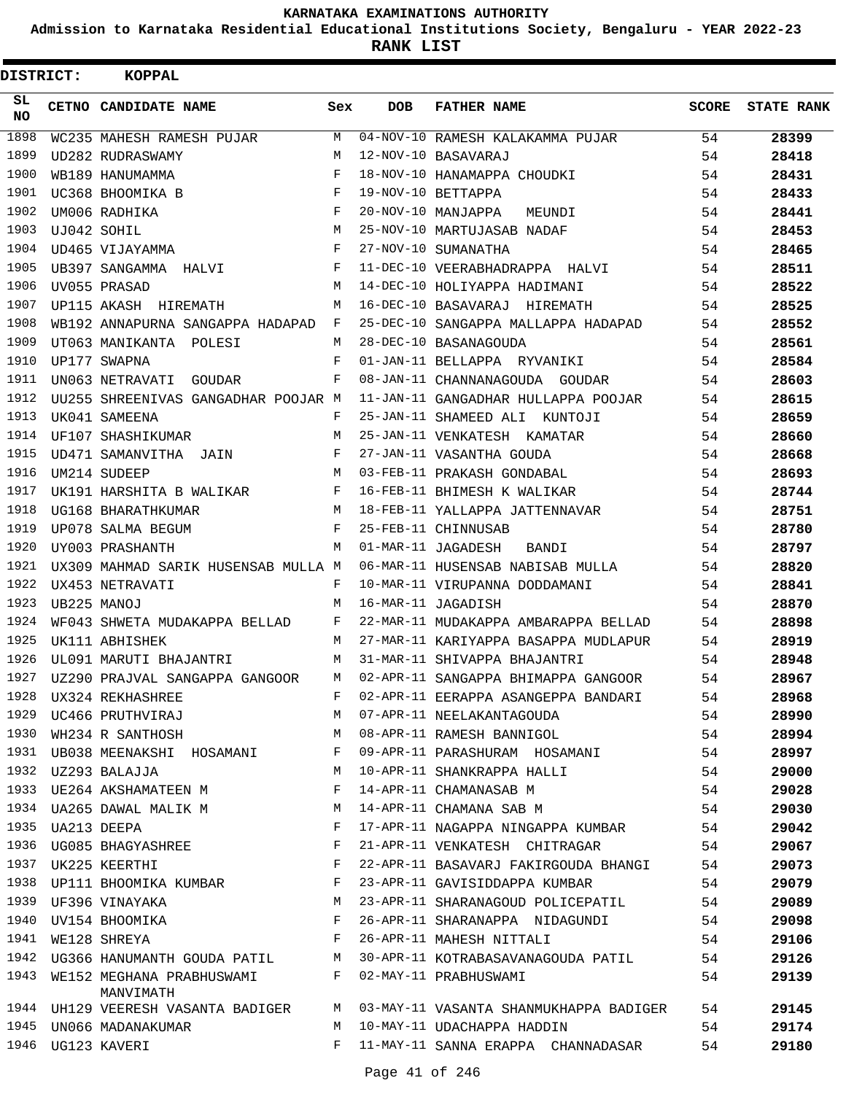**Admission to Karnataka Residential Educational Institutions Society, Bengaluru - YEAR 2022-23**

**RANK LIST**

| DISTRICT: | <b>KOPPAL</b>                                                   |     |            |                                        |              |                   |
|-----------|-----------------------------------------------------------------|-----|------------|----------------------------------------|--------------|-------------------|
| SL<br>NO. | CETNO CANDIDATE NAME                                            | Sex | <b>DOB</b> | <b>FATHER NAME</b>                     | <b>SCORE</b> | <b>STATE RANK</b> |
| 1898      | WC235 MAHESH RAMESH PUJAR                                       | M   |            | 04-NOV-10 RAMESH KALAKAMMA PUJAR       | 54           | 28399             |
| 1899      | UD282 RUDRASWAMY                                                | M   |            | 12-NOV-10 BASAVARAJ                    | 54           | 28418             |
| 1900      | WB189 HANUMAMMA                                                 | F   |            | 18-NOV-10 HANAMAPPA CHOUDKI            | 54           | 28431             |
| 1901      | UC368 BHOOMIKA B                                                | F   |            | 19-NOV-10 BETTAPPA                     | 54           | 28433             |
| 1902      | UM006 RADHIKA                                                   | F   |            | 20-NOV-10 MANJAPPA<br>MEUNDI           | 54           | 28441             |
| 1903      | UJ042 SOHIL                                                     | M   |            | 25-NOV-10 MARTUJASAB NADAF             | 54           | 28453             |
| 1904      | UD465 VIJAYAMMA                                                 | F   |            | 27-NOV-10 SUMANATHA                    | 54           | 28465             |
| 1905      | UB397 SANGAMMA HALVI                                            | F   |            | 11-DEC-10 VEERABHADRAPPA HALVI         | 54           | 28511             |
| 1906      | UV055 PRASAD                                                    | M   |            | 14-DEC-10 HOLIYAPPA HADIMANI           | 54           | 28522             |
| 1907      | UP115 AKASH HIREMATH                                            | М   |            | 16-DEC-10 BASAVARAJ HIREMATH           | 54           | 28525             |
| 1908      | WB192 ANNAPURNA SANGAPPA HADAPAD F                              |     |            | 25-DEC-10 SANGAPPA MALLAPPA HADAPAD    | 54           | 28552             |
| 1909      | UT063 MANIKANTA POLESI                                          | М   |            | 28-DEC-10 BASANAGOUDA                  | 54           | 28561             |
| 1910      | UP177 SWAPNA                                                    | F   |            | 01-JAN-11 BELLAPPA RYVANIKI            | 54           | 28584             |
| 1911      | UN063 NETRAVATI GOUDAR                                          | F   |            | 08-JAN-11 CHANNANAGOUDA GOUDAR         | 54           | 28603             |
| 1912      | UU255 SHREENIVAS GANGADHAR POOJAR M                             |     |            | 11-JAN-11 GANGADHAR HULLAPPA POOJAR    | 54           | 28615             |
| 1913      | UK041 SAMEENA                                                   | F   |            | 25-JAN-11 SHAMEED ALI KUNTOJI          | 54           | 28659             |
| 1914      | UF107 SHASHIKUMAR                                               | M   |            | 25-JAN-11 VENKATESH KAMATAR            | 54           | 28660             |
| 1915      | UD471 SAMANVITHA JAIN                                           | F   |            | 27-JAN-11 VASANTHA GOUDA               | 54           | 28668             |
| 1916      | UM214 SUDEEP                                                    | M   |            | 03-FEB-11 PRAKASH GONDABAL             | 54           | 28693             |
| 1917      | UK191 HARSHITA B WALIKAR                                        | F   |            | 16-FEB-11 BHIMESH K WALIKAR            | 54           | 28744             |
| 1918      | UG168 BHARATHKUMAR                                              | M   |            | 18-FEB-11 YALLAPPA JATTENNAVAR         | 54           | 28751             |
| 1919      | UP078 SALMA BEGUM                                               | F   |            | 25-FEB-11 CHINNUSAB                    | 54           | 28780             |
| 1920      | UY003 PRASHANTH                                                 | M   |            | 01-MAR-11 JAGADESH<br>BANDI            | 54           | 28797             |
| 1921      | UX309 MAHMAD SARIK HUSENSAB MULLA M                             |     |            | 06-MAR-11 HUSENSAB NABISAB MULLA       | 54           | 28820             |
| 1922      | UX453 NETRAVATI                                                 | F   |            | 10-MAR-11 VIRUPANNA DODDAMANI          | 54           | 28841             |
| 1923      | UB225 MANOJ                                                     | М   |            | 16-MAR-11 JAGADISH                     | 54           | 28870             |
| 1924      | WF043 SHWETA MUDAKAPPA BELLAD                                   | F   |            | 22-MAR-11 MUDAKAPPA AMBARAPPA BELLAD   | 54           | 28898             |
| 1925      | UK111 ABHISHEK                                                  | M   |            | 27-MAR-11 KARIYAPPA BASAPPA MUDLAPUR   | 54           | 28919             |
| 1926      | UL091 MARUTI BHAJANTRI                                          | М   |            | 31-MAR-11 SHIVAPPA BHAJANTRI           | 54           | 28948             |
| 1927      | UZ290 PRAJVAL SANGAPPA GANGOOR                                  | M   |            | 02-APR-11 SANGAPPA BHIMAPPA GANGOOR    | 54           | 28967             |
| 1928      | UX324 REKHASHREE<br>UC466 PRUTHVIRAJ                            | F   |            | 02-APR-11 EERAPPA ASANGEPPA BANDARI    | 54           | 28968             |
| 1929      |                                                                 | М   |            | 07-APR-11 NEELAKANTAGOUDA              | 54           | 28990             |
| 1930      | WH234 R SANTHOSH                                                | M   |            | 08-APR-11 RAMESH BANNIGOL              | 54           | 28994             |
|           | 1931 UB038 MEENAKSHI HOSAMANI F                                 |     |            | 09-APR-11 PARASHURAM HOSAMANI 54       |              | 28997             |
|           | 1932 UZ293 BALAJJA                                              | M   |            | 10-APR-11 SHANKRAPPA HALLI             | 54           | 29000             |
| 1933      | UE264 AKSHAMATEEN M                                             | F   |            | 14-APR-11 CHAMANASAB M                 | 54           | 29028             |
| 1934      | UA265 DAWAL MALIK M                                             | M   |            | 14-APR-11 CHAMANA SAB M                | 54           | 29030             |
| 1935      | UA213 DEEPA                                                     | F   |            | 17-APR-11 NAGAPPA NINGAPPA KUMBAR 54   |              | 29042             |
|           |                                                                 | F   |            | 21-APR-11 VENKATESH CHITRAGAR          | 54           | 29067             |
|           | 1936 UG085 BHAGYASHREE<br>1937 UK225 KEERTHI                    | F   |            | 22-APR-11 BASAVARJ FAKIRGOUDA BHANGI   | 54           | 29073             |
| 1938      | UP111 BHOOMIKA KUMBAR F<br>UF396 VINAYAKA M<br>UV154 BHOOMIKA F |     |            | 23-APR-11 GAVISIDDAPPA KUMBAR          | 54           | 29079             |
|           | 1939 UF396 VINAYAKA                                             |     |            | 23-APR-11 SHARANAGOUD POLICEPATIL 54   |              | 29089             |
| 1940      |                                                                 |     |            | 26-APR-11 SHARANAPPA NIDAGUNDI 54      |              | 29098             |
| 1941      | WE128 SHREYA                                                    | F   |            | 26-APR-11 MAHESH NITTALI               | 54           | 29106             |
| 1942      | UG366 HANUMANTH GOUDA PATIL M                                   |     |            | 30-APR-11 KOTRABASAVANAGOUDA PATIL     | 54           | 29126             |
| 1943      | WE152 MEGHANA PRABHUSWAMI F<br>MANVIMATH                        |     |            | 02-MAY-11 PRABHUSWAMI                  | 54           | 29139             |
|           | 1944 UH129 VEERESH VASANTA BADIGER                              | M   |            | 03-MAY-11 VASANTA SHANMUKHAPPA BADIGER | 54           | 29145             |
|           | 1945 UN066 MADANAKUMAR                                          | М   |            | 10-MAY-11 UDACHAPPA HADDIN             | 54           | 29174             |
|           | 1946 UG123 KAVERI                                               | F   |            | 11-MAY-11 SANNA ERAPPA CHANNADASAR     | 54           | 29180             |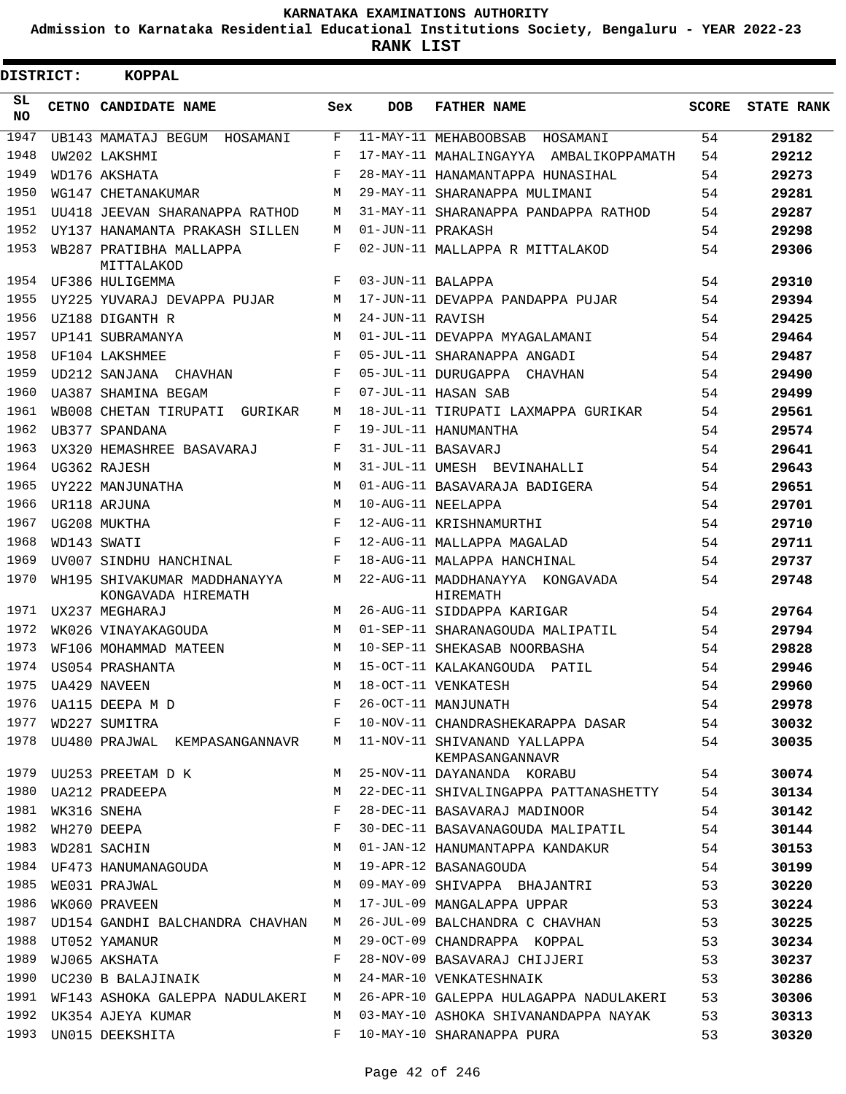**Admission to Karnataka Residential Educational Institutions Society, Bengaluru - YEAR 2022-23**

| <b>DISTRICT:</b> | <b>KOPPAL</b>                                                     |        |                   |                                                       |              |                   |
|------------------|-------------------------------------------------------------------|--------|-------------------|-------------------------------------------------------|--------------|-------------------|
| SL<br><b>NO</b>  | CETNO CANDIDATE NAME                                              | Sex    | <b>DOB</b>        | <b>FATHER NAME</b>                                    | <b>SCORE</b> | <b>STATE RANK</b> |
| 1947             | UB143 MAMATAJ BEGUM HOSAMANI                                      | F      |                   | 11-MAY-11 MEHABOOBSAB HOSAMANI                        | 54           | 29182             |
| 1948             | UW202 LAKSHMI                                                     | F      |                   | 17-MAY-11 MAHALINGAYYA AMBALIKOPPAMATH                | 54           | 29212             |
| 1949             | WD176 AKSHATA                                                     | F      |                   | 28-MAY-11 HANAMANTAPPA HUNASIHAL                      | 54           | 29273             |
| 1950             | WG147 CHETANAKUMAR                                                | M      |                   | 29-MAY-11 SHARANAPPA MULIMANI                         | 54           | 29281             |
| 1951             | UU418 JEEVAN SHARANAPPA RATHOD                                    | M      |                   | 31-MAY-11 SHARANAPPA PANDAPPA RATHOD                  | 54           | 29287             |
| 1952             | UY137 HANAMANTA PRAKASH SILLEN                                    | M      | 01-JUN-11 PRAKASH |                                                       | 54           | 29298             |
| 1953             | WB287 PRATIBHA MALLAPPA<br>MITTALAKOD                             | F      |                   | 02-JUN-11 MALLAPPA R MITTALAKOD                       | 54           | 29306             |
| 1954             | UF386 HULIGEMMA                                                   | F      | 03-JUN-11 BALAPPA |                                                       | 54           | 29310             |
| 1955             | UY225 YUVARAJ DEVAPPA PUJAR                                       | M      |                   | 17-JUN-11 DEVAPPA PANDAPPA PUJAR                      | 54           | 29394             |
| 1956             | UZ188 DIGANTH R                                                   | M      | 24-JUN-11 RAVISH  |                                                       | 54           | 29425             |
| 1957             | UP141 SUBRAMANYA                                                  | M      |                   | 01-JUL-11 DEVAPPA MYAGALAMANI                         | 54           | 29464             |
| 1958             | UF104 LAKSHMEE                                                    | F      |                   | 05-JUL-11 SHARANAPPA ANGADI                           | 54           | 29487             |
| 1959<br>1960     | UD212 SANJANA CHAVHAN                                             | F<br>F |                   | 05-JUL-11 DURUGAPPA CHAVHAN                           | 54           | 29490             |
|                  | UA387 SHAMINA BEGAM                                               |        |                   | 07-JUL-11 HASAN SAB                                   | 54           | 29499             |
| 1961<br>1962     | WB008 CHETAN TIRUPATI<br>GURIKAR                                  | M<br>F |                   | 18-JUL-11 TIRUPATI LAXMAPPA GURIKAR                   | 54           | 29561             |
| 1963             | UB377 SPANDANA                                                    | F      |                   | 19-JUL-11 HANUMANTHA<br>31-JUL-11 BASAVARJ            | 54           | 29574             |
| 1964             | UX320 HEMASHREE BASAVARAJ                                         | M      |                   |                                                       | 54           | 29641             |
| 1965             | UG362 RAJESH                                                      | M      |                   | 31-JUL-11 UMESH BEVINAHALLI                           | 54           | 29643             |
| 1966             | UY222 MANJUNATHA                                                  | M      |                   | 01-AUG-11 BASAVARAJA BADIGERA                         | 54           | 29651             |
| 1967             | UR118 ARJUNA                                                      | F      |                   | 10-AUG-11 NEELAPPA                                    | 54           | 29701             |
| 1968             | UG208 MUKTHA<br>WD143 SWATI                                       | F      |                   | 12-AUG-11 KRISHNAMURTHI<br>12-AUG-11 MALLAPPA MAGALAD | 54<br>54     | 29710             |
| 1969             | UV007 SINDHU HANCHINAL                                            | F      |                   | 18-AUG-11 MALAPPA HANCHINAL                           | 54           | 29711<br>29737    |
| 1970             | WH195 SHIVAKUMAR MADDHANAYYA<br>KONGAVADA HIREMATH                | M      |                   | 22-AUG-11 MADDHANAYYA KONGAVADA<br>HIREMATH           | 54           | 29748             |
| 1971             | UX237 MEGHARAJ                                                    | M      |                   | 26-AUG-11 SIDDAPPA KARIGAR                            | 54           | 29764             |
| 1972             | WK026 VINAYAKAGOUDA                                               | M      |                   | 01-SEP-11 SHARANAGOUDA MALIPATIL                      | 54           | 29794             |
| 1973             | WF106 MOHAMMAD MATEEN                                             | M      |                   | 10-SEP-11 SHEKASAB NOORBASHA                          | 54           | 29828             |
| 1974             | US054 PRASHANTA                                                   | M      |                   | 15-OCT-11 KALAKANGOUDA PATIL                          | 54           | 29946             |
| 1975             | UA429 NAVEEN                                                      | M      |                   | 18-OCT-11 VENKATESH                                   | 54           | 29960             |
|                  | 1976 UA115 DEEPA M D<br>1977 WD227 SUMITRA REELEMENT REF          | $F -$  |                   | 26-OCT-11 MANJUNATH                                   | 54           | 29978             |
|                  | 1977 WD227 SUMITRA                                                |        |                   | 10-NOV-11 CHANDRASHEKARAPPA DASAR 54                  |              | 30032             |
|                  | 1978 UU480 PRAJWAL KEMPASANGANNAVR M 11-NOV-11 SHIVANAND YALLAPPA |        |                   | 54<br>KEMPASANGANNAVR                                 |              | 30035             |
|                  | 1979 UU253 PREETAM D K                                            |        |                   | M 25-NOV-11 DAYANANDA KORABU                          | 54           | 30074             |
| 1980             | UA212 PRADEEPA                                                    | M      |                   | 22-DEC-11 SHIVALINGAPPA PATTANASHETTY 54              |              | 30134             |
| 1981             | WK316 SNEHA                                                       | F      |                   | 28-DEC-11 BASAVARAJ MADINOOR                          | 54           | 30142             |
| 1982             | WH270 DEEPA                                                       | F      |                   | 30-DEC-11 BASAVANAGOUDA MALIPATIL 54                  |              | 30144             |
| 1983             | WD281 SACHIN                                                      | М      |                   | 01-JAN-12 HANUMANTAPPA KANDAKUR 54                    |              | 30153             |
|                  | 1984 UF473 HANUMANAGOUDA                                          | M      |                   | 19-APR-12 BASANAGOUDA                                 | 54           | 30199             |
| 1985             | WE031 PRAJWAL                                                     |        |                   | M 09-MAY-09 SHIVAPPA BHAJANTRI                        | 53           | 30220             |
| 1986             | WK060 PRAVEEN                                                     |        |                   | M 17-JUL-09 MANGALAPPA UPPAR                          | 53           | 30224             |
| 1987             | UD154 GANDHI BALCHANDRA CHAVHAN                                   |        |                   | M 26-JUL-09 BALCHANDRA C CHAVHAN                      | 53           | 30225             |
| 1988             | UT052 YAMANUR                                                     | M      |                   | 29-OCT-09 CHANDRAPPA KOPPAL                           | 53           | 30234             |
| 1989             | WJ065 AKSHATA                                                     | F      |                   | 28-NOV-09 BASAVARAJ CHIJJERI                          | 53           | 30237             |
| 1990             | UC230 B BALAJINAIK M                                              |        |                   | 24-MAR-10 VENKATESHNAIK                               | 53           | 30286             |
| 1991             | WF143 ASHOKA GALEPPA NADULAKERI                                   |        |                   | M 26-APR-10 GALEPPA HULAGAPPA NADULAKERI              | 53           | 30306             |
|                  | 1992 UK354 AJEYA KUMAR                                            | M      |                   | 03-MAY-10 ASHOKA SHIVANANDAPPA NAYAK                  | 53           | 30313             |
| 1993             | UN015 DEEKSHITA                                                   | $F$ –  |                   | 10-MAY-10 SHARANAPPA PURA                             | 53           | 30320             |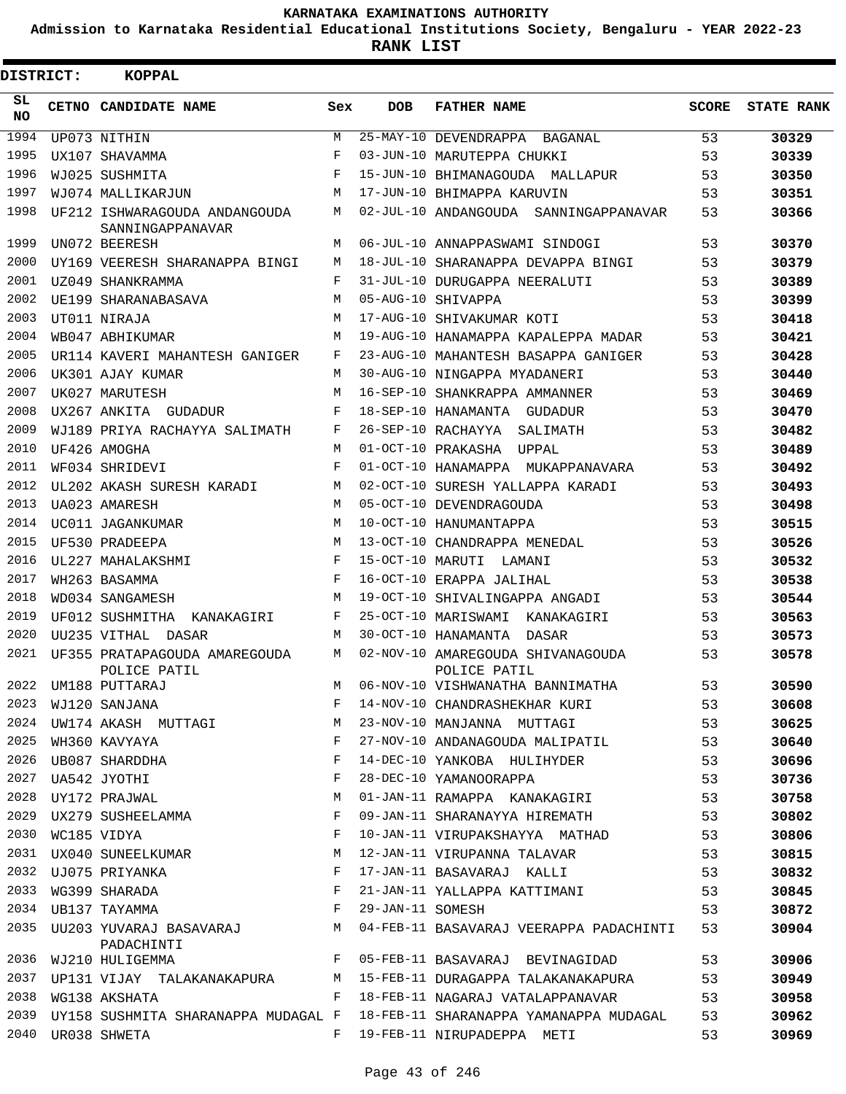**Admission to Karnataka Residential Educational Institutions Society, Bengaluru - YEAR 2022-23**

**RANK LIST**

| <b>DISTRICT:</b> |                  | <b>KOPPAL</b>                                                               |            |                  |                                                                             |              |                   |
|------------------|------------------|-----------------------------------------------------------------------------|------------|------------------|-----------------------------------------------------------------------------|--------------|-------------------|
| SL<br>NO.        |                  | CETNO CANDIDATE NAME                                                        | Sex        | <b>DOB</b>       | <b>FATHER NAME</b>                                                          | <b>SCORE</b> | <b>STATE RANK</b> |
| 1994             |                  | UP073 NITHIN                                                                | M          |                  | 25-MAY-10 DEVENDRAPPA BAGANAL                                               | 53           | 30329             |
| 1995             |                  | UX107 SHAVAMMA                                                              | F          |                  | 03-JUN-10 MARUTEPPA CHUKKI                                                  | 53           | 30339             |
| 1996             |                  | WJ025 SUSHMITA                                                              | F          |                  | 15-JUN-10 BHIMANAGOUDA MALLAPUR                                             | 53           | 30350             |
| 1997             |                  | WJ074 MALLIKARJUN                                                           | М          |                  | 17-JUN-10 BHIMAPPA KARUVIN                                                  | 53           | 30351             |
| 1998             |                  | UF212 ISHWARAGOUDA ANDANGOUDA<br>SANNINGAPPANAVAR                           | М          |                  | 02-JUL-10 ANDANGOUDA SANNINGAPPANAVAR                                       | 53           | 30366             |
| 1999             |                  | UN072 BEERESH                                                               | M          |                  | 06-JUL-10 ANNAPPASWAMI SINDOGI                                              | 53           | 30370             |
| 2000             |                  | UY169 VEERESH SHARANAPPA BINGI                                              | M          |                  | 18-JUL-10 SHARANAPPA DEVAPPA BINGI                                          | 53           | 30379             |
| 2001             |                  | UZ049 SHANKRAMMA                                                            | F          |                  | 31-JUL-10 DURUGAPPA NEERALUTI                                               | 53           | 30389             |
| 2002             |                  | UE199 SHARANABASAVA                                                         | M          |                  | 05-AUG-10 SHIVAPPA                                                          | 53           | 30399             |
| 2003             |                  | UT011 NIRAJA                                                                | М          |                  | 17-AUG-10 SHIVAKUMAR KOTI                                                   | 53           | 30418             |
| 2004             |                  | WB047 ABHIKUMAR                                                             | M          |                  | 19-AUG-10 HANAMAPPA KAPALEPPA MADAR                                         | 53           | 30421             |
| 2005             |                  | UR114 KAVERI MAHANTESH GANIGER                                              | F          |                  | 23-AUG-10 MAHANTESH BASAPPA GANIGER                                         | 53           | 30428             |
| 2006             |                  | UK301 AJAY KUMAR                                                            | M          |                  | 30-AUG-10 NINGAPPA MYADANERI                                                | 53           | 30440             |
| 2007             |                  | UK027 MARUTESH                                                              | М          |                  | 16-SEP-10 SHANKRAPPA AMMANNER                                               | 53           | 30469             |
| 2008             |                  | UX267 ANKITA GUDADUR                                                        | F          |                  | 18-SEP-10 HANAMANTA GUDADUR                                                 | 53           | 30470             |
| 2009             |                  | WJ189 PRIYA RACHAYYA SALIMATH                                               | F          |                  | 26-SEP-10 RACHAYYA SALIMATH                                                 | 53           | 30482             |
| 2010             |                  | UF426 AMOGHA                                                                | M          |                  | 01-OCT-10 PRAKASHA UPPAL                                                    | 53           | 30489             |
| 2011             |                  | WF034 SHRIDEVI                                                              | $_{\rm F}$ |                  | 01-OCT-10 HANAMAPPA MUKAPPANAVARA                                           | 53           | 30492             |
| 2012             |                  | UL202 AKASH SURESH KARADI                                                   | М          |                  | 02-OCT-10 SURESH YALLAPPA KARADI                                            | 53           | 30493             |
| 2013             |                  | UA023 AMARESH                                                               | M          |                  | 05-OCT-10 DEVENDRAGOUDA                                                     | 53           | 30498             |
| 2014             |                  | UC011 JAGANKUMAR                                                            | M          |                  | 10-OCT-10 HANUMANTAPPA                                                      | 53           | 30515             |
| 2015             |                  | UF530 PRADEEPA                                                              | M          |                  | 13-OCT-10 CHANDRAPPA MENEDAL                                                | 53           | 30526             |
| 2016             |                  | UL227 MAHALAKSHMI                                                           | F          |                  | 15-OCT-10 MARUTI LAMANI                                                     | 53           | 30532             |
| 2017             |                  | WH263 BASAMMA                                                               | F          |                  | 16-OCT-10 ERAPPA JALIHAL                                                    | 53           | 30538             |
| 2018             |                  | WD034 SANGAMESH                                                             | M          |                  | 19-OCT-10 SHIVALINGAPPA ANGADI                                              | 53           | 30544             |
| 2019             |                  | UF012 SUSHMITHA KANAKAGIRI                                                  | F          |                  | 25-OCT-10 MARISWAMI KANAKAGIRI                                              | 53           | 30563             |
| 2020             |                  | UU235 VITHAL DASAR                                                          | М          |                  | 30-OCT-10 HANAMANTA DASAR                                                   | 53           | 30573             |
| 2021             |                  | UF355 PRATAPAGOUDA AMAREGOUDA<br>POLICE PATIL                               | M          |                  | 02-NOV-10 AMAREGOUDA SHIVANAGOUDA<br>POLICE PATIL                           | 53           | 30578             |
|                  |                  | 2022 UM188 PUTTARAJ                                                         |            |                  | M 06-NOV-10 VISHWANATHA BANNIMATHA                                          | 53           | 30590             |
|                  |                  | 2023 WJ120 SANJANA                                                          | F          |                  | 14-NOV-10 CHANDRASHEKHAR KURI                                               | 53           | 30608             |
| 2024             |                  | <br>UW174 AKASH MUTTAGI                                                     | М          |                  | 23-NOV-10 MANJANNA MUTTAGI                                                  | 53           | 30625             |
| 2025             |                  | WH360 KAVYAYA                                                               | F          |                  | 27-NOV-10 ANDANAGOUDA MALIPATIL                                             | 53           | 30640             |
| 2026             |                  | UB087 SHARDDHA                                                              | F          |                  | 14-DEC-10 YANKOBA HULIHYDER                                                 | 53           | 30696             |
|                  |                  | 2027 UA542 JYOTHI                                                           | F          |                  | 28-DEC-10 YAMANOORAPPA                                                      | 53           | 30736             |
| 2028             |                  | UY172 PRAJWAL                                                               | М          |                  | 01-JAN-11 RAMAPPA KANAKAGIRI                                                | 53           | 30758             |
|                  |                  | 2029 UX279 SUSHEELAMMA                                                      | F          |                  | 09-JAN-11 SHARANAYYA HIREMATH                                               | 53           | 30802             |
|                  | 2030 WC185 VIDYA | $\mathbf{F}$                                                                |            |                  | 10-JAN-11 VIRUPAKSHAYYA MATHAD                                              | 53           | 30806             |
|                  |                  | 2031 UX040 SUNEELKUMAR<br>M                                                 |            |                  | 12-JAN-11 VIRUPANNA TALAVAR                                                 | 53           | 30815             |
| 2032             |                  | UJ075 PRIYANKA<br>$\mathbf{F}$ and $\mathbf{F}$ are the set of $\mathbf{F}$ |            |                  | 17-JAN-11 BASAVARAJ KALLI                                                   | 53           | 30832             |
| 2033             |                  | WG399 SHARADA                                                               | F          |                  | 21-JAN-11 YALLAPPA KATTIMANI                                                | 53           | 30845             |
| 2034             |                  | $\mathbf{F}$<br>UB137 TAYAMMA                                               |            | 29-JAN-11 SOMESH |                                                                             | 53           | 30872             |
|                  |                  | 2035 UU203 YUVARAJ BASAVARAJ M<br>PADACHINTI                                |            |                  | 04-FEB-11 BASAVARAJ VEERAPPA PADACHINTI                                     | 53           | 30904             |
| 2036             |                  | $\mathbf{F}$<br>WJ210 HULIGEMMA                                             |            |                  | 05-FEB-11 BASAVARAJ BEVINAGIDAD                                             | 53           | 30906             |
|                  |                  |                                                                             |            |                  | 2037 UP131 VIJAY TALAKANAKAPURA M 15-FEB-11 DURAGAPPA TALAKANAKAPURA 53     |              | 30949             |
| 2038             |                  | WG138 AKSHATA                                                               |            |                  | F 18-FEB-11 NAGARAJ VATALAPPANAVAR                                          | 53           | 30958             |
| 2039             |                  |                                                                             |            |                  | UY158 SUSHMITA SHARANAPPA MUDAGAL F  18-FEB-11 SHARANAPPA YAMANAPPA MUDAGAL | 53           | 30962             |
| 2040             |                  | UR038 SHWETA                                                                |            |                  | F 19-FEB-11 NIRUPADEPPA METI                                                | 53           | 30969             |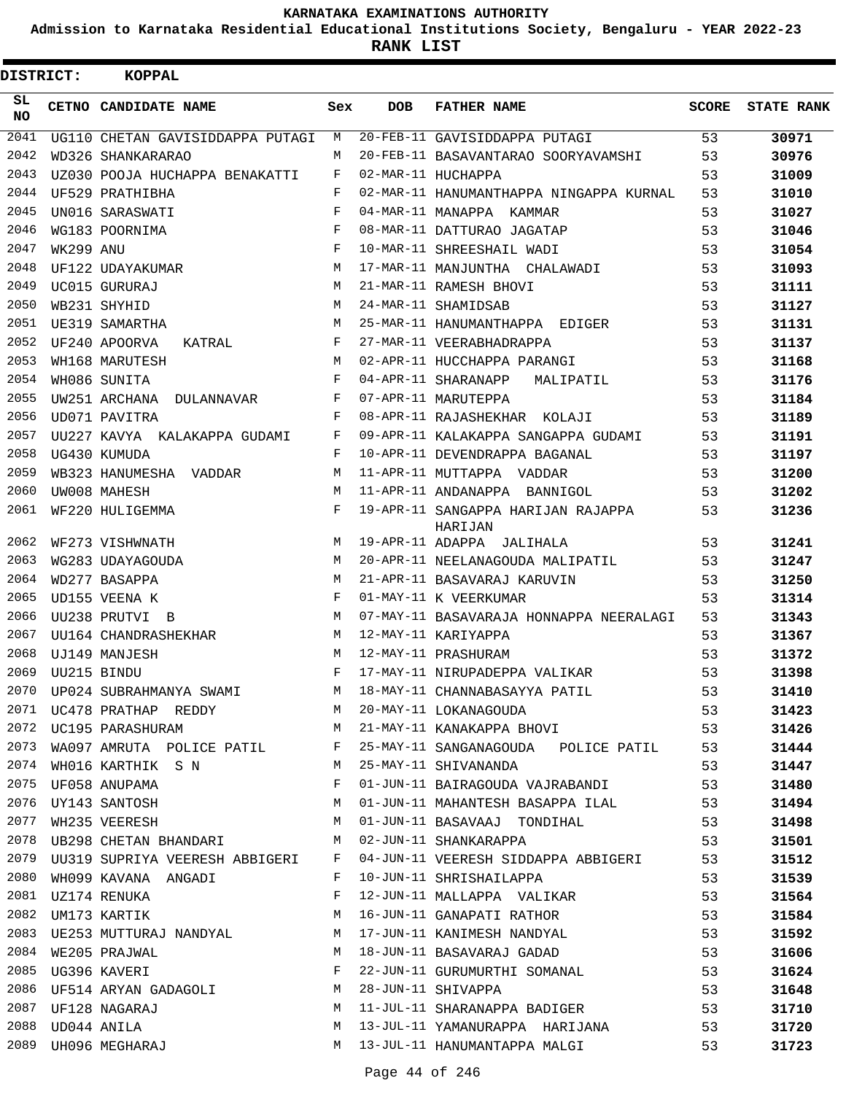**Admission to Karnataka Residential Educational Institutions Society, Bengaluru - YEAR 2022-23**

**RANK LIST**

| <b>DISTRICT:</b> |                  | <b>KOPPAL</b>                            |     |            |                                               |       |                   |
|------------------|------------------|------------------------------------------|-----|------------|-----------------------------------------------|-------|-------------------|
| SL<br>NO.        |                  | CETNO CANDIDATE NAME                     | Sex | <b>DOB</b> | <b>FATHER NAME</b>                            | SCORE | <b>STATE RANK</b> |
| 2041             |                  | UG110 CHETAN GAVISIDDAPPA PUTAGI         | M   |            | 20-FEB-11 GAVISIDDAPPA PUTAGI                 | 53    | 30971             |
| 2042             |                  | WD326 SHANKARARAO                        | M   |            | 20-FEB-11 BASAVANTARAO SOORYAVAMSHI           | 53    | 30976             |
| 2043             |                  | UZ030 POOJA HUCHAPPA BENAKATTI           | F   |            | 02-MAR-11 HUCHAPPA                            | 53    | 31009             |
| 2044             |                  | UF529 PRATHIBHA                          | F   |            | 02-MAR-11 HANUMANTHAPPA NINGAPPA KURNAL       | 53    | 31010             |
| 2045             |                  | UN016 SARASWATI                          | F   |            | 04-MAR-11 MANAPPA KAMMAR                      | 53    | 31027             |
| 2046             |                  | WG183 POORNIMA                           | F   |            | 08-MAR-11 DATTURAO JAGATAP                    | 53    | 31046             |
| 2047             | WK299 ANU        |                                          | F   |            | 10-MAR-11 SHREESHAIL WADI                     | 53    | 31054             |
| 2048             |                  | UF122 UDAYAKUMAR                         | М   |            | 17-MAR-11 MANJUNTHA CHALAWADI                 | 53    | 31093             |
| 2049             |                  | UC015 GURURAJ                            | M   |            | 21-MAR-11 RAMESH BHOVI                        | 53    | 31111             |
| 2050             |                  | WB231 SHYHID                             | М   |            | 24-MAR-11 SHAMIDSAB                           | 53    | 31127             |
| 2051             |                  | UE319 SAMARTHA                           | M   |            | 25-MAR-11 HANUMANTHAPPA EDIGER                | 53    | 31131             |
| 2052             |                  | UF240 APOORVA<br>KATRAL                  | F   |            | 27-MAR-11 VEERABHADRAPPA                      | 53    | 31137             |
| 2053             |                  | WH168 MARUTESH                           | М   |            | 02-APR-11 HUCCHAPPA PARANGI                   | 53    | 31168             |
| 2054             |                  | WH086 SUNITA                             | F   |            | 04-APR-11 SHARANAPP<br>MALIPATIL              | 53    | 31176             |
| 2055             |                  | UW251 ARCHANA DULANNAVAR                 | F   |            | 07-APR-11 MARUTEPPA                           | 53    | 31184             |
| 2056             |                  | UD071 PAVITRA                            | F   |            | 08-APR-11 RAJASHEKHAR KOLAJI                  | 53    | 31189             |
| 2057             |                  | UU227 KAVYA KALAKAPPA GUDAMI             | F   |            | 09-APR-11 KALAKAPPA SANGAPPA GUDAMI           | 53    | 31191             |
| 2058             |                  | UG430 KUMUDA                             | F   |            | 10-APR-11 DEVENDRAPPA BAGANAL                 | 53    | 31197             |
| 2059             |                  | WB323 HANUMESHA VADDAR                   | M   |            | 11-APR-11 MUTTAPPA VADDAR                     | 53    | 31200             |
| 2060             |                  | UW008 MAHESH                             | M   |            | 11-APR-11 ANDANAPPA BANNIGOL                  | 53    | 31202             |
| 2061             |                  | WF220 HULIGEMMA                          | F   |            | 19-APR-11 SANGAPPA HARIJAN RAJAPPA<br>HARIJAN | 53    | 31236             |
| 2062             |                  | WF273 VISHWNATH                          | M   |            | 19-APR-11 ADAPPA JALIHALA                     | 53    | 31241             |
| 2063             |                  | WG283 UDAYAGOUDA                         | М   |            | 20-APR-11 NEELANAGOUDA MALIPATIL              | 53    | 31247             |
| 2064             |                  | WD277 BASAPPA                            | M   |            | 21-APR-11 BASAVARAJ KARUVIN                   | 53    | 31250             |
| 2065             |                  | UD155 VEENA K                            | F   |            | 01-MAY-11 K VEERKUMAR                         | 53    | 31314             |
| 2066             |                  | UU238 PRUTVI B                           | M   |            | 07-MAY-11 BASAVARAJA HONNAPPA NEERALAGI       | 53    | 31343             |
| 2067             |                  | UU164 CHANDRASHEKHAR                     | M   |            | 12-MAY-11 KARIYAPPA                           | 53    | 31367             |
| 2068             |                  | UJ149 MANJESH                            | M   |            | 12-MAY-11 PRASHURAM                           | 53    | 31372             |
| 2069             | UU215 BINDU      |                                          | F   |            | 17-MAY-11 NIRUPADEPPA VALIKAR                 | 53    | 31398             |
| 2070             |                  | UP024 SUBRAHMANYA SWAMI                  | M   |            | 18-MAY-11 CHANNABASAYYA PATIL                 | 53    | 31410             |
| 2071             |                  | UC478 PRATHAP REDDY M                    |     |            | 20-MAY-11 LOKANAGOUDA                         | 53    | 31423             |
|                  |                  | M<br>2072 UC195 PARASHURAM               |     |            | 21-MAY-11 KANAKAPPA BHOVI                     | 53    | 31426             |
| 2073             |                  | WA097 AMRUTA POLICE PATIL F              |     |            | 25-MAY-11 SANGANAGOUDA POLICE PATIL           | 53    | 31444             |
| 2074             |                  | WH016 KARTHIK S N                        | M   |            | 25-MAY-11 SHIVANANDA                          | 53    | 31447             |
| 2075             |                  | UF058 ANUPAMA                            | F   |            | 01-JUN-11 BAIRAGOUDA VAJRABANDI               | 53    | 31480             |
|                  |                  | 2076 UY143 SANTOSH<br>2077 WH235 VEERESH | M   |            | 01-JUN-11 MAHANTESH BASAPPA ILAL 53           |       | 31494             |
|                  |                  |                                          | М   |            | 01-JUN-11 BASAVAAJ TONDIHAL 53                |       | 31498             |
|                  |                  | 2078 UB298 CHETAN BHANDARI               | М   |            | 02-JUN-11 SHANKARAPPA                         | 53    | 31501             |
| 2079             |                  | UU319 SUPRIYA VEERESH ABBIGERI F         |     |            | 04-JUN-11 VEERESH SIDDAPPA ABBIGERI 53        |       | 31512             |
| 2080             |                  | WH099 KAVANA ANGADI                      | F   |            | 10-JUN-11 SHRISHAILAPPA                       | 53    | 31539             |
|                  |                  | 2081    UZ174    RENUKA                  | F   |            | 12-JUN-11 MALLAPPA VALIKAR                    | 53    | 31564             |
| 2082             |                  | UM173 KARTIK                             | М   |            | 16-JUN-11 GANAPATI RATHOR                     | 53    | 31584             |
| 2083             |                  | UE253 MUTTURAJ NANDYAL M                 |     |            | 17-JUN-11 KANIMESH NANDYAL                    | 53    | 31592             |
|                  |                  | 2084 WE205 PRAJWAL                       | М   |            | 18-JUN-11 BASAVARAJ GADAD                     | 53    | 31606             |
| 2085             |                  | UG396 KAVERI                             | F   |            | 22-JUN-11 GURUMURTHI SOMANAL                  | 53    | 31624             |
| 2086             |                  | UF514 ARYAN GADAGOLI                     | М   |            | 28-JUN-11 SHIVAPPA                            | 53    | 31648             |
| 2087             |                  | UF128 NAGARAJ                            | M   |            | 11-JUL-11 SHARANAPPA BADIGER                  | 53    | 31710             |
|                  | 2088 UD044 ANILA |                                          | М   |            | 13-JUL-11 YAMANURAPPA HARIJANA 53             |       | 31720             |
|                  |                  | 2089 UH096 MEGHARAJ                      |     |            | M 13-JUL-11 HANUMANTAPPA MALGI                | 53    | 31723             |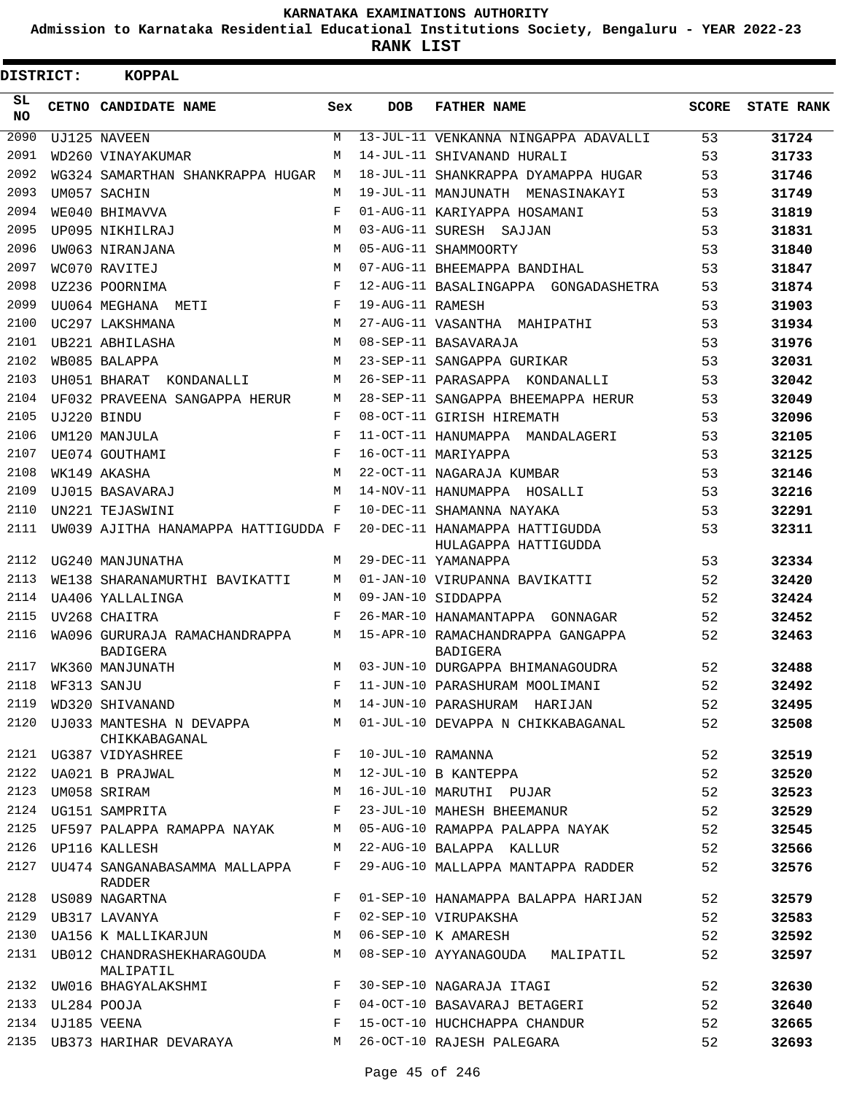**Admission to Karnataka Residential Educational Institutions Society, Bengaluru - YEAR 2022-23**

| <b>DISTRICT:</b> |                  | <b>KOPPAL</b>                                               |              |                     |                                                                                      |       |                   |
|------------------|------------------|-------------------------------------------------------------|--------------|---------------------|--------------------------------------------------------------------------------------|-------|-------------------|
| SL<br>NO.        |                  | CETNO CANDIDATE NAME                                        | Sex          | <b>DOB</b>          | <b>FATHER NAME</b>                                                                   | SCORE | <b>STATE RANK</b> |
| 2090             |                  | UJ125 NAVEEN                                                | M            |                     | 13-JUL-11 VENKANNA NINGAPPA ADAVALLI                                                 | 53    | 31724             |
| 2091             |                  | WD260 VINAYAKUMAR                                           | М            |                     | 14-JUL-11 SHIVANAND HURALI                                                           | 53    | 31733             |
| 2092             |                  | WG324 SAMARTHAN SHANKRAPPA HUGAR                            | M            |                     | 18-JUL-11 SHANKRAPPA DYAMAPPA HUGAR                                                  | 53    | 31746             |
| 2093             |                  | UM057 SACHIN                                                | M            |                     | 19-JUL-11 MANJUNATH MENASINAKAYI                                                     | 53    | 31749             |
| 2094             |                  | WE040 BHIMAVVA                                              | F            |                     | 01-AUG-11 KARIYAPPA HOSAMANI                                                         | 53    | 31819             |
| 2095             |                  | UP095 NIKHILRAJ                                             | M            |                     | 03-AUG-11 SURESH SAJJAN                                                              | 53    | 31831             |
| 2096             |                  | UW063 NIRANJANA                                             | M            |                     | 05-AUG-11 SHAMMOORTY                                                                 | 53    | 31840             |
| 2097             |                  | WC070 RAVITEJ                                               | M            |                     | 07-AUG-11 BHEEMAPPA BANDIHAL                                                         | 53    | 31847             |
| 2098             |                  | UZ236 POORNIMA                                              | F            |                     | 12-AUG-11 BASALINGAPPA GONGADASHETRA                                                 | 53    | 31874             |
| 2099             |                  | UU064 MEGHANA METI                                          | F            | 19-AUG-11 RAMESH    |                                                                                      | 53    | 31903             |
| 2100             |                  | UC297 LAKSHMANA                                             | M            |                     | 27-AUG-11 VASANTHA MAHIPATHI                                                         | 53    | 31934             |
| 2101             |                  | UB221 ABHILASHA                                             | M            |                     | 08-SEP-11 BASAVARAJA                                                                 | 53    | 31976             |
| 2102             |                  | WB085 BALAPPA                                               | M            |                     | 23-SEP-11 SANGAPPA GURIKAR                                                           | 53    | 32031             |
| 2103             |                  | UH051 BHARAT<br>KONDANALLI                                  | M            |                     | 26-SEP-11 PARASAPPA KONDANALLI                                                       | 53    | 32042             |
| 2104             |                  | UF032 PRAVEENA SANGAPPA HERUR                               | M            |                     | 28-SEP-11 SANGAPPA BHEEMAPPA HERUR                                                   | 53    | 32049             |
| 2105             |                  | UJ220 BINDU                                                 | F            |                     | 08-OCT-11 GIRISH HIREMATH                                                            | 53    | 32096             |
| 2106             |                  | UM120 MANJULA                                               | F            |                     | 11-OCT-11 HANUMAPPA MANDALAGERI                                                      | 53    | 32105             |
| 2107             |                  | UE074 GOUTHAMI                                              | F            |                     | 16-OCT-11 MARIYAPPA                                                                  | 53    | 32125             |
| 2108             |                  | WK149 AKASHA                                                | M            |                     | 22-OCT-11 NAGARAJA KUMBAR                                                            | 53    | 32146             |
| 2109             |                  | UJ015 BASAVARAJ                                             | M            |                     | 14-NOV-11 HANUMAPPA HOSALLI                                                          | 53    | 32216             |
| 2110             |                  | UN221 TEJASWINI                                             | $_{\rm F}$   |                     | 10-DEC-11 SHAMANNA NAYAKA                                                            | 53    | 32291             |
| 2111             |                  | UW039 AJITHA HANAMAPPA HATTIGUDDA F                         |              |                     | 20-DEC-11 HANAMAPPA HATTIGUDDA<br>HULAGAPPA HATTIGUDDA                               | 53    | 32311             |
| 2112             |                  | UG240 MANJUNATHA                                            | M            |                     | 29-DEC-11 YAMANAPPA                                                                  | 53    | 32334             |
| 2113             |                  | WE138 SHARANAMURTHI BAVIKATTI                               | M            |                     | 01-JAN-10 VIRUPANNA BAVIKATTI                                                        | 52    | 32420             |
| 2114             |                  | UA406 YALLALINGA                                            | M            |                     | 09-JAN-10 SIDDAPPA                                                                   | 52    | 32424             |
| 2115             |                  | UV268 CHAITRA                                               | F            |                     | 26-MAR-10 HANAMANTAPPA GONNAGAR                                                      | 52    | 32452             |
| 2116             |                  | WA096 GURURAJA RAMACHANDRAPPA<br><b>BADIGERA</b>            | M            |                     | 15-APR-10 RAMACHANDRAPPA GANGAPPA<br>BADIGERA                                        | 52    | 32463             |
| 2117             |                  | WK360 MANJUNATH                                             | M            |                     | 03-JUN-10 DURGAPPA BHIMANAGOUDRA                                                     | 52    | 32488             |
| 2118             |                  | WF313 SANJU                                                 |              |                     | F 11-JUN-10 PARASHURAM MOOLIMANI                                                     | 52    | 32492             |
|                  |                  |                                                             |              |                     | 2119 WD320 SHIVANAND<br>2120 UJ033 MANTESHA N DEVAPPA M 21-JUN-10 PARASHURAM HARIJAN | 52    | 32495             |
|                  |                  | CHIKKABAGANAL                                               |              |                     |                                                                                      | 52    | 32508             |
|                  |                  |                                                             |              | F 10-JUL-10 RAMANNA |                                                                                      | 52    | 32519             |
|                  |                  | 2121 UG387 VIDYASHREE F<br>2122 UA021 B PRAJWAL M           |              |                     | 12-JUL-10 B KANTEPPA                                                                 | 52    | 32520             |
| 2123             |                  | UM058 SRIRAM<br><b>M</b>                                    |              |                     | 16-JUL-10 MARUTHI PUJAR                                                              | 52    | 32523             |
|                  |                  | 2124 UG151 SAMPRITA F                                       |              |                     | 23-JUL-10 MAHESH BHEEMANUR                                                           | 52    | 32529             |
|                  |                  | 2125 UF597 PALAPPA RAMAPPA NAYAK M                          |              |                     | 05-AUG-10 RAMAPPA PALAPPA NAYAK                                                      | 52    | 32545             |
|                  |                  | 2126 UP116 KALLESH                                          | M            |                     | 22-AUG-10 BALAPPA KALLUR                                                             | 52    | 32566             |
|                  |                  | 2127 UU474 SANGANABASAMMA MALLAPPA<br>RADDER                | $F$ and      |                     | 29-AUG-10 MALLAPPA MANTAPPA RADDER                                                   | 52    | 32576             |
|                  |                  | 2128 US089 NAGARTNA                                         | F            |                     | 01-SEP-10 HANAMAPPA BALAPPA HARIJAN                                                  | 52    | 32579             |
|                  |                  | 2129 UB317 LAVANYA                                          | F            |                     | 02-SEP-10 VIRUPAKSHA                                                                 | 52    | 32583             |
|                  |                  | 2130 UA156 K MALLIKARJUN M                                  |              |                     | 06-SEP-10 K AMARESH                                                                  | 52    | 32592             |
|                  |                  | 2131 UB012 CHANDRASHEKHARAGOUDA M<br>MALIPATIL              |              |                     | 08-SEP-10 AYYANAGOUDA MALIPATIL                                                      | 52    | 32597             |
|                  |                  | 2132 UW016 BHAGYALAKSHMI KALENDARY SO-SEP-10 NAGARAJA ITAGI |              |                     |                                                                                      | 52    | 32630             |
|                  | 2133 UL284 POOJA |                                                             | $\mathbf{F}$ |                     | 04-OCT-10 BASAVARAJ BETAGERI                                                         | 52    | 32640             |
|                  | 2134 UJ185 VEENA |                                                             | F            |                     | 15-OCT-10 HUCHCHAPPA CHANDUR                                                         | 52    | 32665             |
|                  |                  | 2135 UB373 HARIHAR DEVARAYA M                               |              |                     | 26-OCT-10 RAJESH PALEGARA                                                            | 52    | 32693             |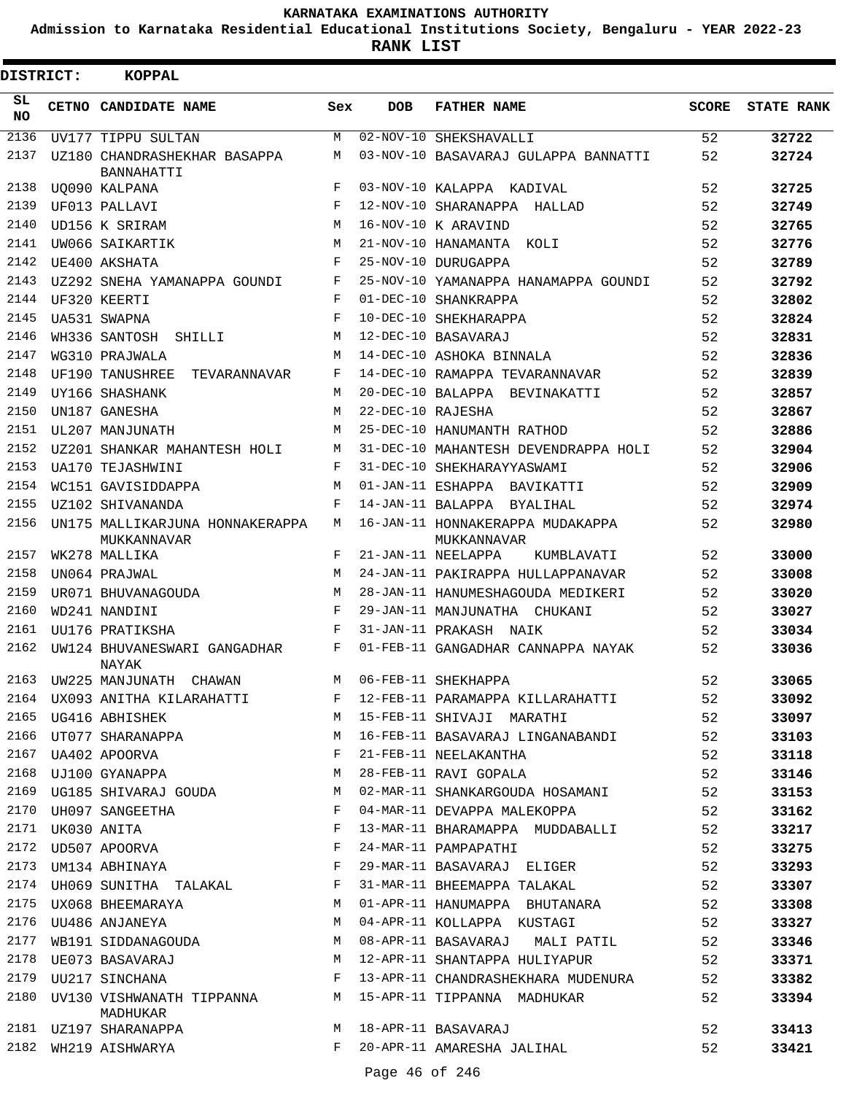**Admission to Karnataka Residential Educational Institutions Society, Bengaluru - YEAR 2022-23**

**RANK LIST**

| DISTRICT:       |                  | <b>KOPPAL</b>                                       |              |                   |                                                                         |              |                   |
|-----------------|------------------|-----------------------------------------------------|--------------|-------------------|-------------------------------------------------------------------------|--------------|-------------------|
| SL<br><b>NO</b> |                  | <b>CETNO CANDIDATE NAME</b>                         | Sex          | <b>DOB</b>        | <b>FATHER NAME</b>                                                      | <b>SCORE</b> | <b>STATE RANK</b> |
| 2136            |                  | UV177 TIPPU SULTAN                                  | М            |                   | 02-NOV-10 SHEKSHAVALLI                                                  | 52           | 32722             |
| 2137            |                  | UZ180 CHANDRASHEKHAR BASAPPA<br><b>BANNAHATTI</b>   | M            |                   | 03-NOV-10 BASAVARAJ GULAPPA BANNATTI                                    | 52           | 32724             |
| 2138            |                  | UO090 KALPANA                                       | F            |                   | 03-NOV-10 KALAPPA KADIVAL                                               | 52           | 32725             |
| 2139            |                  | UF013 PALLAVI                                       | F            |                   | 12-NOV-10 SHARANAPPA HALLAD                                             | 52           | 32749             |
| 2140            |                  | UD156 K SRIRAM                                      | M            |                   | 16-NOV-10 K ARAVIND                                                     | 52           | 32765             |
| 2141            |                  | UW066 SAIKARTIK                                     | M            |                   | 21-NOV-10 HANAMANTA KOLI                                                | 52           | 32776             |
| 2142            |                  | UE400 AKSHATA                                       | F            |                   | 25-NOV-10 DURUGAPPA                                                     | 52           | 32789             |
| 2143            |                  | UZ292 SNEHA YAMANAPPA GOUNDI                        | F            |                   | 25-NOV-10 YAMANAPPA HANAMAPPA GOUNDI                                    | 52           | 32792             |
| 2144            |                  | UF320 KEERTI                                        | F            |                   | 01-DEC-10 SHANKRAPPA                                                    | 52           | 32802             |
| 2145            |                  | UA531 SWAPNA                                        | F            |                   | 10-DEC-10 SHEKHARAPPA                                                   | 52           | 32824             |
| 2146            |                  | WH336 SANTOSH<br>SHILLI                             | M            |                   | 12-DEC-10 BASAVARAJ                                                     | 52           | 32831             |
| 2147            |                  | WG310 PRAJWALA                                      | M            |                   | 14-DEC-10 ASHOKA BINNALA                                                | 52           | 32836             |
| 2148            |                  | UF190 TANUSHREE<br>TEVARANNAVAR                     | F            |                   | 14-DEC-10 RAMAPPA TEVARANNAVAR                                          | 52           | 32839             |
| 2149            |                  | UY166 SHASHANK                                      | M            |                   | 20-DEC-10 BALAPPA<br>BEVINAKATTI                                        | 52           | 32857             |
| 2150            |                  | UN187 GANESHA                                       | М            | 22-DEC-10 RAJESHA |                                                                         | 52           | 32867             |
| 2151            |                  | UL207 MANJUNATH                                     | M            |                   | 25-DEC-10 HANUMANTH RATHOD                                              | 52           | 32886             |
| 2152            |                  | UZ201 SHANKAR MAHANTESH HOLI                        | М            |                   | 31-DEC-10 MAHANTESH DEVENDRAPPA HOLI                                    | 52           | 32904             |
| 2153            |                  | UA170 TEJASHWINI                                    | F            |                   | 31-DEC-10 SHEKHARAYYASWAMI                                              | 52           | 32906             |
| 2154            |                  | WC151 GAVISIDDAPPA                                  | M            |                   | 01-JAN-11 ESHAPPA BAVIKATTI                                             | 52           | 32909             |
| 2155            |                  | UZ102 SHIVANANDA                                    | F            |                   | 14-JAN-11 BALAPPA BYALIHAL                                              | 52           | 32974             |
| 2156            |                  | UN175 MALLIKARJUNA HONNAKERAPPA                     | M            |                   | 16-JAN-11 HONNAKERAPPA MUDAKAPPA                                        | 52           | 32980             |
| 2157            |                  | MUKKANNAVAR<br>WK278 MALLIKA                        | F            |                   | MUKKANNAVAR<br>21-JAN-11 NEELAPPA<br>KUMBLAVATI                         | 52           | 33000             |
| 2158            |                  | UN064 PRAJWAL                                       | M            |                   | 24-JAN-11 PAKIRAPPA HULLAPPANAVAR                                       | 52           | 33008             |
| 2159            |                  | UR071 BHUVANAGOUDA                                  | M            |                   | 28-JAN-11 HANUMESHAGOUDA MEDIKERI                                       | 52           | 33020             |
| 2160            |                  | WD241 NANDINI                                       | $_{\rm F}$   |                   | 29-JAN-11 MANJUNATHA CHUKANI                                            | 52           | 33027             |
| 2161            |                  | UU176 PRATIKSHA                                     | F            |                   | 31-JAN-11 PRAKASH NAIK                                                  | 52           | 33034             |
| 2162            |                  | UW124 BHUVANESWARI GANGADHAR                        | F            |                   | 01-FEB-11 GANGADHAR CANNAPPA NAYAK                                      | 52           | 33036             |
| 2163            |                  | NAYAK<br>UW225 MANJUNATH<br>CHAWAN                  | M            |                   | 06-FEB-11 SHEKHAPPA                                                     | 52           | 33065             |
|                 |                  | 2164 UX093 ANITHA KILARAHATTI                       | $F$ –        |                   | 12-FEB-11 PARAMAPPA KILLARAHATTI                                        | 52           | 33092             |
|                 |                  | 2165 UG416 ABHISHEK                                 |              |                   | M 15-FEB-11 SHIVAJI MARATHI                                             | 52           | 33097             |
|                 |                  | 2166 UT077 SHARANAPPA M                             |              |                   | 16-FEB-11 BASAVARAJ LINGANABANDI                                        | 52           | 33103             |
|                 |                  | 2167 UA402 APOORVA                                  |              |                   | 21-FEB-11 NEELAKANTHA                                                   | 52           | 33118             |
| 2168            |                  | UA402 APOORVA F<br>UJ100 GYANAPPA M                 |              |                   | 28-FEB-11 RAVI GOPALA                                                   | 52           | 33146             |
| 2169            |                  | UG185 SHIVARAJ GOUDA M                              |              |                   | 02-MAR-11 SHANKARGOUDA HOSAMANI                                         | 52           | 33153             |
|                 |                  | $\mathbf{F}^{\mathbf{r}}$<br>2170 UH097 SANGEETHA   |              |                   | 04-MAR-11 DEVAPPA MALEKOPPA                                             | 52           | 33162             |
|                 | 2171 UK030 ANITA |                                                     | $\mathbf{F}$ |                   | 13-MAR-11 BHARAMAPPA MUDDABALLI                                         | 52           | 33217             |
|                 |                  | 2172 UD507 APOORVA                                  |              |                   | 24-MAR-11 PAMPAPATHI                                                    | 52           | 33275             |
|                 |                  | 2173 UM134 ABHINAYA F                               |              |                   | 29-MAR-11 BASAVARAJ ELIGER                                              | 52           | 33293             |
|                 |                  | 2174 UH069 SUNITHA TALAKAL F                        |              |                   | 31-MAR-11 BHEEMAPPA TALAKAL                                             | 52           | 33307             |
|                 |                  | 2175 UX068 BHEEMARAYA M                             |              |                   | 01-APR-11 HANUMAPPA BHUTANARA                                           | 52           | 33308             |
|                 |                  | 2176 UU486 ANJANEYA M                               |              |                   | 04-APR-11 KOLLAPPA KUSTAGI                                              | 52           | 33327             |
| 2177            |                  | WB191 SIDDANAGOUDA M                                |              |                   | 08-APR-11 BASAVARAJ MALI PATIL                                          | 52           | 33346             |
|                 |                  |                                                     |              |                   |                                                                         | 52           | 33371             |
|                 |                  |                                                     |              |                   | 2178 UE073 BASAVARAJ (12-APR-11 SHANTAPPA HULIYAPUR 2179 UU217 SINCHANA | 52           | 33382             |
| 2180            |                  | UV130 VISHWANATH TIPPANNA MANA MADHUKAR<br>MADHUKAR |              |                   |                                                                         | 52           | 33394             |
|                 |                  | 2181 UZ197 SHARANAPPA M 18-APR-11 BASAVARAJ         |              |                   |                                                                         | 52           | 33413             |
|                 |                  | 2182 WH219 AISHWARYA                                | $F$ and      |                   | 20-APR-11 AMARESHA JALIHAL                                              | 52           | 33421             |
|                 |                  |                                                     |              |                   |                                                                         |              |                   |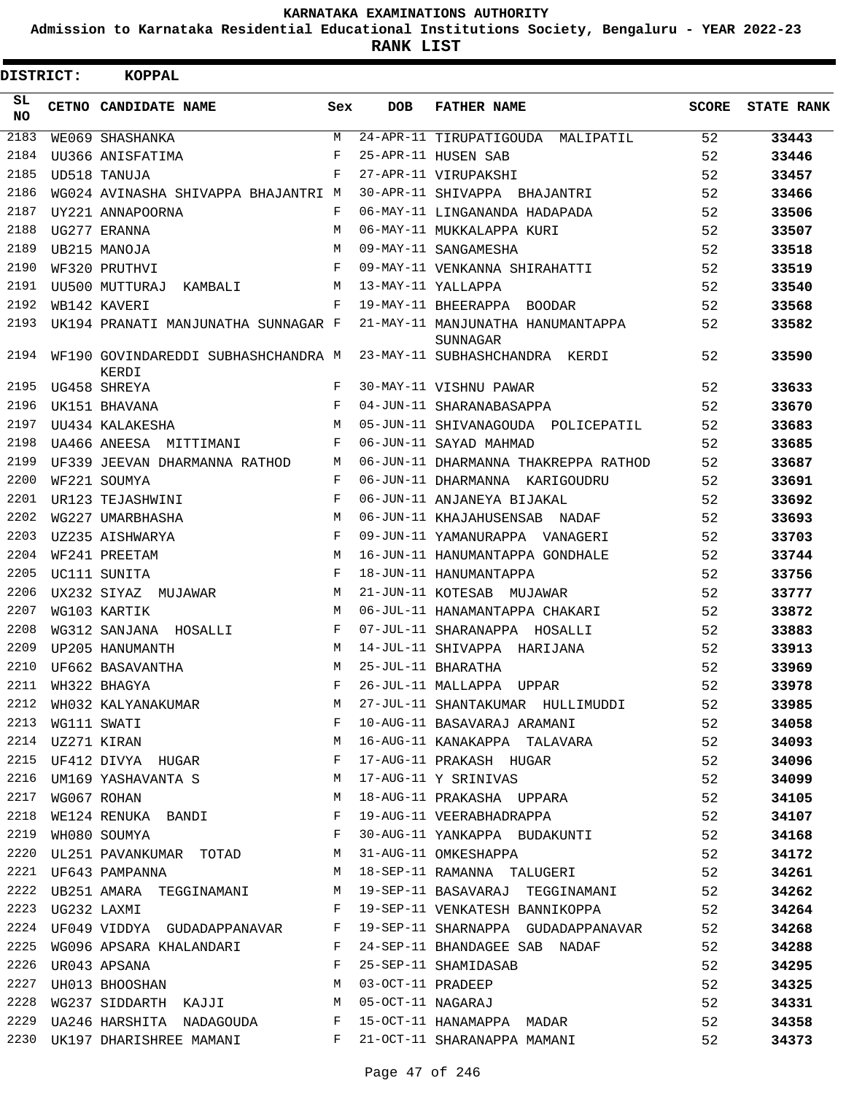**Admission to Karnataka Residential Educational Institutions Society, Bengaluru - YEAR 2022-23**

**RANK LIST**

| DISTRICT: |  | KOPPAL                                                                                                                                           |            |            |                                               |              |                   |
|-----------|--|--------------------------------------------------------------------------------------------------------------------------------------------------|------------|------------|-----------------------------------------------|--------------|-------------------|
| SL<br>NO. |  | <b>CETNO CANDIDATE NAME</b>                                                                                                                      | Sex        | <b>DOB</b> | <b>FATHER NAME</b>                            | <b>SCORE</b> | <b>STATE RANK</b> |
| 2183      |  | WE069 SHASHANKA                                                                                                                                  | M          |            | 24-APR-11 TIRUPATIGOUDA MALIPATIL             | 52           | 33443             |
| 2184      |  | UU366 ANISFATIMA                                                                                                                                 | F          |            | 25-APR-11 HUSEN SAB                           | 52           | 33446             |
| 2185      |  | UD518 TANUJA                                                                                                                                     | F          |            | 27-APR-11 VIRUPAKSHI                          | 52           | 33457             |
| 2186      |  | WG024 AVINASHA SHIVAPPA BHAJANTRI M                                                                                                              |            |            | 30-APR-11 SHIVAPPA BHAJANTRI                  | 52           | 33466             |
| 2187      |  | UY221 ANNAPOORNA                                                                                                                                 | F          |            | 06-MAY-11 LINGANANDA HADAPADA                 | 52           | 33506             |
| 2188      |  | UG277 ERANNA                                                                                                                                     | M          |            | 06-MAY-11 MUKKALAPPA KURI                     | 52           | 33507             |
| 2189      |  | UB215 MANOJA                                                                                                                                     | M          |            | 09-MAY-11 SANGAMESHA                          | 52           | 33518             |
| 2190      |  | WF320 PRUTHVI                                                                                                                                    | F          |            | 09-MAY-11 VENKANNA SHIRAHATTI                 | 52           | 33519             |
| 2191      |  | UU500 MUTTURAJ<br>KAMBALI                                                                                                                        | M          |            | 13-MAY-11 YALLAPPA                            | 52           | 33540             |
| 2192      |  | WB142 KAVERI                                                                                                                                     | F          |            | 19-MAY-11 BHEERAPPA BOODAR                    | 52           | 33568             |
| 2193      |  | UK194 PRANATI MANJUNATHA SUNNAGAR F                                                                                                              |            |            | 21-MAY-11 MANJUNATHA HANUMANTAPPA<br>SUNNAGAR | 52           | 33582             |
| 2194      |  | WF190 GOVINDAREDDI SUBHASHCHANDRA M 23-MAY-11 SUBHASHCHANDRA KERDI<br>KERDI                                                                      |            |            |                                               | 52           | 33590             |
| 2195      |  | UG458 SHREYA                                                                                                                                     | F          |            | 30-MAY-11 VISHNU PAWAR                        | 52           | 33633             |
| 2196      |  | UK151 BHAVANA                                                                                                                                    | F          |            | 04-JUN-11 SHARANABASAPPA                      | 52           | 33670             |
| 2197      |  | UU434 KALAKESHA                                                                                                                                  | M          |            | 05-JUN-11 SHIVANAGOUDA POLICEPATIL            | 52           | 33683             |
| 2198      |  | UA466 ANEESA MITTIMANI                                                                                                                           | F          |            | 06-JUN-11 SAYAD MAHMAD                        | 52           | 33685             |
| 2199      |  | UF339 JEEVAN DHARMANNA RATHOD                                                                                                                    | M          |            | 06-JUN-11 DHARMANNA THAKREPPA RATHOD          | 52           | 33687             |
| 2200      |  | WF221 SOUMYA                                                                                                                                     | F          |            | 06-JUN-11 DHARMANNA KARIGOUDRU                | 52           | 33691             |
| 2201      |  | UR123 TEJASHWINI                                                                                                                                 | F          |            | 06-JUN-11 ANJANEYA BIJAKAL                    | 52           | 33692             |
| 2202      |  | WG227 UMARBHASHA                                                                                                                                 | M          |            | 06-JUN-11 KHAJAHUSENSAB NADAF                 | 52           | 33693             |
| 2203      |  | UZ235 AISHWARYA                                                                                                                                  | $_{\rm F}$ |            | 09-JUN-11 YAMANURAPPA VANAGERI                | 52           | 33703             |
| 2204      |  | WF241 PREETAM                                                                                                                                    | M          |            | 16-JUN-11 HANUMANTAPPA GONDHALE               | 52           | 33744             |
| 2205      |  | UC111 SUNITA                                                                                                                                     | F          |            | 18-JUN-11 HANUMANTAPPA                        | 52           | 33756             |
| 2206      |  | UX232 SIYAZ MUJAWAR                                                                                                                              | M          |            | 21-JUN-11 KOTESAB MUJAWAR                     | 52           | 33777             |
| 2207      |  | WG103 KARTIK                                                                                                                                     | M          |            | 06-JUL-11 HANAMANTAPPA CHAKARI                | 52           | 33872             |
| 2208      |  | WG312 SANJANA HOSALLI                                                                                                                            | F          |            | 07-JUL-11 SHARANAPPA HOSALLI                  | 52           | 33883             |
| 2209      |  | UP205 HANUMANTH                                                                                                                                  | M          |            | 14-JUL-11 SHIVAPPA HARIJANA                   | 52           | 33913             |
| 2210      |  | UF662 BASAVANTHA                                                                                                                                 | M          |            | 25-JUL-11 BHARATHA                            | 52           | 33969             |
|           |  | 2211 WH322 BHAGYA                                                                                                                                |            |            | F 26-JUL-11 MALLAPPA UPPAR                    | 52           | 33978             |
| 2212      |  | WH032 KALYANAKUMAR                                                                                                                               | М          |            | 27-JUL-11 SHANTAKUMAR HULLIMUDDI              | 52           | 33985             |
| 2213      |  |                                                                                                                                                  | F          |            | 10-AUG-11 BASAVARAJ ARAMANI                   | 52           | 34058             |
|           |  |                                                                                                                                                  | М          |            | 16-AUG-11 KANAKAPPA TALAVARA                  | 52           | 34093             |
| 2215      |  | WG111 SWATI<br>UZ271 KIRAN<br>UF412 DIVYA HUGAR                                                                                                  | F          |            | 17-AUG-11 PRAKASH HUGAR                       | 52           | 34096             |
| 2216      |  | UM169 YASHAVANTA S<br>WG067 ROHAN                                                                                                                |            |            | 17-AUG-11 Y SRINIVAS                          | 52           | 34099             |
| 2217      |  |                                                                                                                                                  |            |            | 18-AUG-11 PRAKASHA UPPARA                     | 52           | 34105             |
| 2218      |  | $\verb WE124 RENUKA BANDI   F  \\$                                                                                                               |            |            | 19-AUG-11 VEERABHADRAPPA                      | 52           | 34107             |
| 2219      |  | WH080 SOUMYA F                                                                                                                                   |            |            | 30-AUG-11 YANKAPPA BUDAKUNTI 52               |              | 34168             |
| 2220      |  | UL251 PAVANKUMAR TOTAD M                                                                                                                         |            |            | 31-AUG-11 OMKESHAPPA                          | 52           | 34172             |
| 2221      |  | UF643 PAMPANNA                                                                                                                                   |            |            | 18-SEP-11 RAMANNA TALUGERI                    | 52           | 34261             |
|           |  | 2222 UB251 AMARA TEGGINAMANI M                                                                                                                   |            |            | 19-SEP-11 BASAVARAJ TEGGINAMANI 52            |              | 34262             |
|           |  | $\mathbb{F}^{\mathbb{Z}}$ . If $\mathbb{F}^{\mathbb{Z}}$                                                                                         |            |            | 19-SEP-11 VENKATESH BANNIKOPPA 52             |              | 34264             |
| 2224      |  | UF049 VIDDYA GUDADAPPANAVAR F                                                                                                                    |            |            | 19-SEP-11 SHARNAPPA GUDADAPPANAVAR            | 52           | 34268             |
| 2225      |  | WG096 APSARA KHALANDARI F                                                                                                                        |            |            | 24-SEP-11 BHANDAGEE SAB NADAF                 | 52           | 34288             |
|           |  | $\mathbf{F}$<br>2226 UR043 APSANA                                                                                                                |            |            | 25-SEP-11 SHAMIDASAB                          | 52           | 34295             |
| 2227      |  | $\begin{array}{lll} \texttt{UR043} & \texttt{APSANA} & \texttt{p} & \texttt{p} \\ \texttt{UH013} & \texttt{BHOOSHAN} & & \texttt{M} \end{array}$ |            |            |                                               | 52           | 34325             |
| 2228      |  | WG237 SIDDARTH KAJJI M                                                                                                                           |            |            | 03-OCT-11 PRADEEP<br>05-OCT-11 NAGARAJ        | 52           | 34331             |
| 2229      |  | UA246 HARSHITA NADAGOUDA F                                                                                                                       |            |            | 15-OCT-11 HANAMAPPA MADAR                     | 52           | 34358             |
|           |  | 2230 UK197 DHARISHREE MAMANI F                                                                                                                   |            |            | 21-OCT-11 SHARANAPPA MAMANI                   | 52           | 34373             |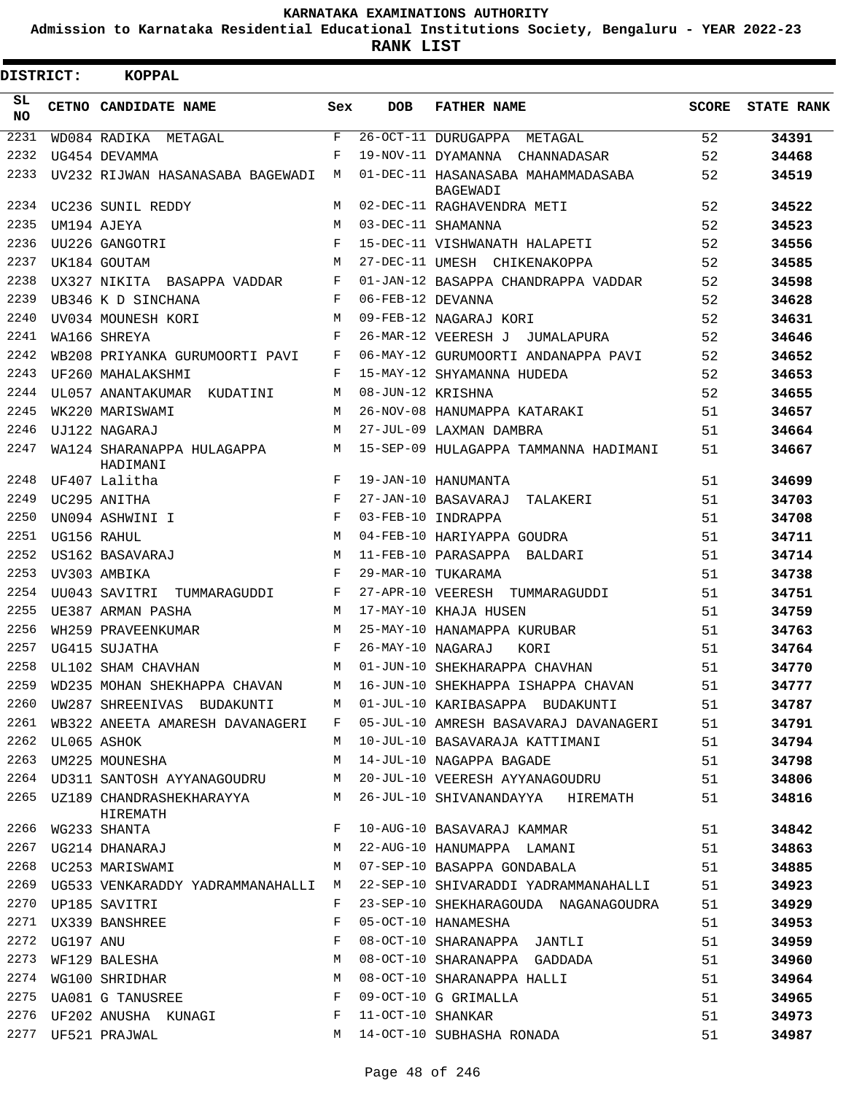**Admission to Karnataka Residential Educational Institutions Society, Bengaluru - YEAR 2022-23**

 $\blacksquare$ 

**RANK LIST**

Е

| <b>DISTRICT:</b> |             | KOPPAL                                          |            |                   |                                                |       |                   |
|------------------|-------------|-------------------------------------------------|------------|-------------------|------------------------------------------------|-------|-------------------|
| SL.<br>NO.       |             | CETNO CANDIDATE NAME                            | Sex        | <b>DOB</b>        | <b>FATHER NAME</b>                             | SCORE | <b>STATE RANK</b> |
| 2231             |             | WD084 RADIKA METAGAL                            | F          |                   | 26-OCT-11 DURUGAPPA METAGAL                    | 52    | 34391             |
| 2232             |             | UG454 DEVAMMA                                   | $_{\rm F}$ |                   | 19-NOV-11 DYAMANNA CHANNADASAR                 | 52    | 34468             |
| 2233             |             | UV232 RIJWAN HASANASABA BAGEWADI M              |            |                   | 01-DEC-11 HASANASABA MAHAMMADASABA<br>BAGEWADI | 52    | 34519             |
| 2234             |             | UC236 SUNIL REDDY                               | M          |                   | 02-DEC-11 RAGHAVENDRA METI                     | 52    | 34522             |
| 2235             |             | UM194 AJEYA                                     | M          |                   | 03-DEC-11 SHAMANNA                             | 52    | 34523             |
| 2236             |             | UU226 GANGOTRI                                  | $_{\rm F}$ |                   | 15-DEC-11 VISHWANATH HALAPETI                  | 52    | 34556             |
| 2237             |             | UK184 GOUTAM                                    | M          |                   | 27-DEC-11 UMESH CHIKENAKOPPA                   | 52    | 34585             |
| 2238             |             | UX327 NIKITA BASAPPA VADDAR                     | F          |                   | 01-JAN-12 BASAPPA CHANDRAPPA VADDAR            | 52    | 34598             |
| 2239             |             | UB346 K D SINCHANA                              | F          | 06-FEB-12 DEVANNA |                                                | 52    | 34628             |
| 2240             |             | UV034 MOUNESH KORI                              | M          |                   | 09-FEB-12 NAGARAJ KORI                         | 52    | 34631             |
| 2241             |             | WA166 SHREYA                                    | F          |                   | 26-MAR-12 VEERESH J JUMALAPURA                 | 52    | 34646             |
| 2242             |             | WB208 PRIYANKA GURUMOORTI PAVI                  | F          |                   | 06-MAY-12 GURUMOORTI ANDANAPPA PAVI            | 52    | 34652             |
| 2243             |             | UF260 MAHALAKSHMI                               | F          |                   | 15-MAY-12 SHYAMANNA HUDEDA                     | 52    | 34653             |
| 2244             |             | UL057 ANANTAKUMAR KUDATINI                      | M          | 08-JUN-12 KRISHNA |                                                | 52    | 34655             |
| 2245             |             | WK220 MARISWAMI                                 | M          |                   | 26-NOV-08 HANUMAPPA KATARAKI                   | 51    | 34657             |
| 2246             |             | UJ122 NAGARAJ                                   | M          |                   | 27-JUL-09 LAXMAN DAMBRA                        | 51    | 34664             |
| 2247             |             | WA124 SHARANAPPA HULAGAPPA<br>HADIMANI          | М          |                   | 15-SEP-09 HULAGAPPA TAMMANNA HADIMANI          | 51    | 34667             |
| 2248             |             | UF407 Lalitha                                   | $_{\rm F}$ |                   | 19-JAN-10 HANUMANTA                            | 51    | 34699             |
| 2249             |             | UC295 ANITHA                                    | F          |                   | 27-JAN-10 BASAVARAJ TALAKERI                   | 51    | 34703             |
| 2250             |             | UN094 ASHWINI I                                 | F          |                   | 03-FEB-10 INDRAPPA                             | 51    | 34708             |
| 2251             |             | UG156 RAHUL                                     | M          |                   | 04-FEB-10 HARIYAPPA GOUDRA                     | 51    | 34711             |
| 2252             |             | US162 BASAVARAJ                                 | M          |                   | 11-FEB-10 PARASAPPA BALDARI                    | 51    | 34714             |
| 2253             |             | UV303 AMBIKA                                    | F          |                   | 29-MAR-10 TUKARAMA                             | 51    | 34738             |
| 2254             |             |                                                 | $_{\rm F}$ |                   |                                                | 51    | 34751             |
| 2255             |             | UU043 SAVITRI TUMMARAGUDDI<br>UE387 ARMAN PASHA | M          |                   | 27-APR-10 VEERESH TUMMARAGUDDI                 | 51    |                   |
| 2256             |             | WH259 PRAVEENKUMAR                              | M          |                   | 17-MAY-10 KHAJA HUSEN                          | 51    | 34759<br>34763    |
| 2257             |             |                                                 | F          |                   | 25-MAY-10 HANAMAPPA KURUBAR                    |       |                   |
|                  |             | UG415 SUJATHA                                   |            | 26-MAY-10 NAGARAJ | KORI                                           | 51    | 34764             |
| 2258             |             | UL102 SHAM CHAVHAN                              | M          |                   | 01-JUN-10 SHEKHARAPPA CHAVHAN                  | 51    | 34770             |
| 2259             |             | WD235 MOHAN SHEKHAPPA CHAVAN                    | M          |                   | 16-JUN-10 SHEKHAPPA ISHAPPA CHAVAN             | 51    | 34777             |
| 2260             |             | UW287 SHREENIVAS BUDAKUNTI                      | M          |                   | 01-JUL-10 KARIBASAPPA BUDAKUNTI                | 51    | 34787             |
| 2261             |             | WB322 ANEETA AMARESH DAVANAGERI                 | F          |                   | 05-JUL-10 AMRESH BASAVARAJ DAVANAGERI          | 51    | 34791             |
| 2262             | UL065 ASHOK |                                                 | M          |                   | 10-JUL-10 BASAVARAJA KATTIMANI                 | 51    | 34794             |
| 2263             |             | UM225 MOUNESHA                                  | M          |                   | 14-JUL-10 NAGAPPA BAGADE                       | 51    | 34798             |
| 2264             |             | UD311 SANTOSH AYYANAGOUDRU                      | M          |                   | 20-JUL-10 VEERESH AYYANAGOUDRU                 | 51    | 34806             |
| 2265             |             | UZ189 CHANDRASHEKHARAYYA<br>HIREMATH            | M          |                   | 26-JUL-10 SHIVANANDAYYA HIREMATH               | 51    | 34816             |
| 2266             |             | WG233 SHANTA                                    | F          |                   | 10-AUG-10 BASAVARAJ KAMMAR                     | 51    | 34842             |
| 2267             |             | UG214 DHANARAJ                                  | М          |                   | 22-AUG-10 HANUMAPPA LAMANI                     | 51    | 34863             |
| 2268             |             | UC253 MARISWAMI                                 | М          |                   | 07-SEP-10 BASAPPA GONDABALA                    | 51    | 34885             |
| 2269             |             | UG533 VENKARADDY YADRAMMANAHALLI                | M          |                   | 22-SEP-10 SHIVARADDI YADRAMMANAHALLI           | 51    | 34923             |
| 2270             |             | UP185 SAVITRI                                   | F          |                   | 23-SEP-10 SHEKHARAGOUDA NAGANAGOUDRA           | 51    | 34929             |
| 2271             |             | UX339 BANSHREE                                  | F          |                   | 05-OCT-10 HANAMESHA                            | 51    | 34953             |
| 2272             | UG197 ANU   |                                                 | F          |                   | 08-OCT-10 SHARANAPPA JANTLI                    | 51    | 34959             |
| 2273             |             | WF129 BALESHA                                   | М          |                   | 08-OCT-10 SHARANAPPA GADDADA                   | 51    | 34960             |
| 2274             |             | WG100 SHRIDHAR                                  | M          |                   | 08-OCT-10 SHARANAPPA HALLI                     | 51    | 34964             |
| 2275             |             | UA081 G TANUSREE                                | F          |                   | 09-OCT-10 G GRIMALLA                           | 51    | 34965             |
| 2276             |             | UF202 ANUSHA KUNAGI                             | F          | 11-OCT-10 SHANKAR |                                                | 51    | 34973             |
| 2277             |             | UF521 PRAJWAL                                   | M          |                   | 14-OCT-10 SUBHASHA RONADA                      | 51    | 34987             |
|                  |             |                                                 |            |                   |                                                |       |                   |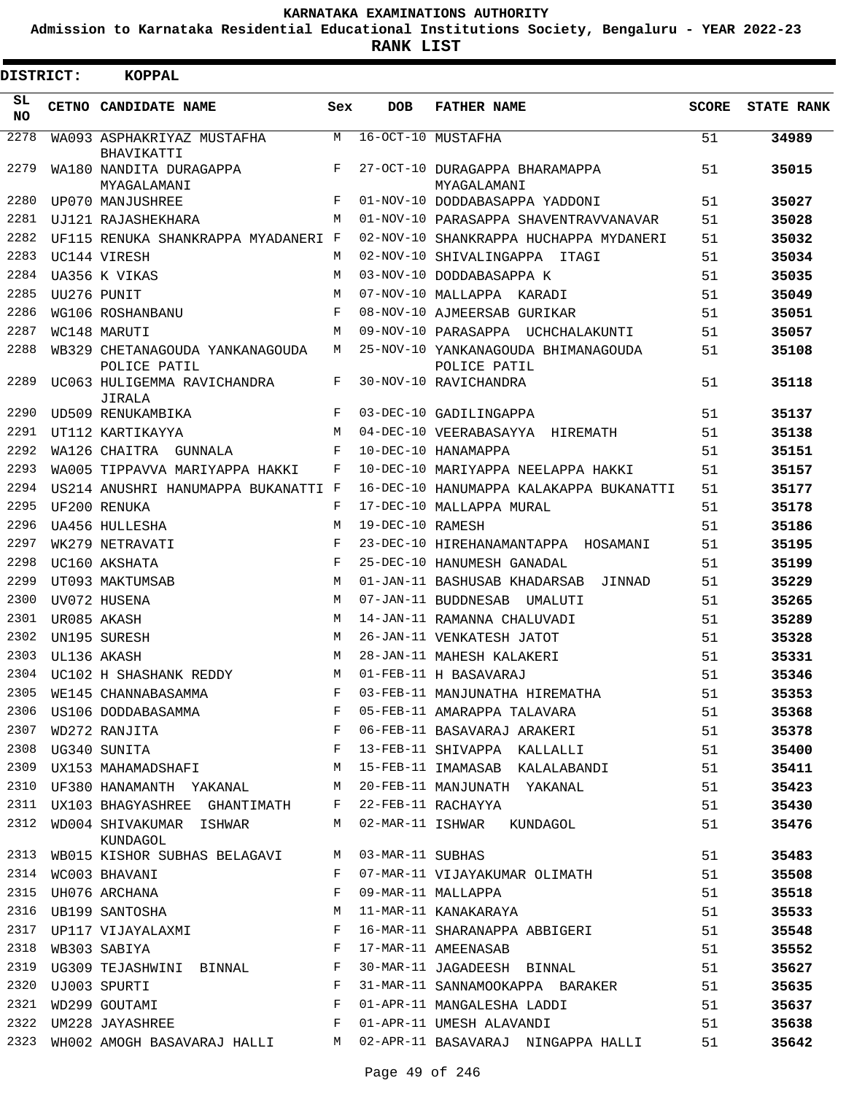**Admission to Karnataka Residential Educational Institutions Society, Bengaluru - YEAR 2022-23**

**RANK LIST**

| <b>DISTRICT:</b> | <b>KOPPAL</b>                                                            |            |                  |                                                     |       |                   |
|------------------|--------------------------------------------------------------------------|------------|------------------|-----------------------------------------------------|-------|-------------------|
| SL<br><b>NO</b>  | CETNO CANDIDATE NAME                                                     | Sex        | <b>DOB</b>       | <b>FATHER NAME</b>                                  | SCORE | <b>STATE RANK</b> |
| 2278             | WA093 ASPHAKRIYAZ MUSTAFHA<br>BHAVIKATTI                                 | M          |                  | 16-OCT-10 MUSTAFHA                                  | 51    | 34989             |
| 2279             | WA180 NANDITA DURAGAPPA<br>MYAGALAMANI                                   | F          |                  | 27-OCT-10 DURAGAPPA BHARAMAPPA<br>MYAGALAMANI       | 51    | 35015             |
| 2280             | UP070 MANJUSHREE                                                         | F          |                  | 01-NOV-10 DODDABASAPPA YADDONI                      | 51    | 35027             |
| 2281             | UJ121 RAJASHEKHARA                                                       | M          |                  | 01-NOV-10 PARASAPPA SHAVENTRAVVANAVAR               | 51    | 35028             |
| 2282             | UF115 RENUKA SHANKRAPPA MYADANERI F                                      |            |                  | 02-NOV-10 SHANKRAPPA HUCHAPPA MYDANERI              | 51    | 35032             |
| 2283             | UC144 VIRESH                                                             | M          |                  | 02-NOV-10 SHIVALINGAPPA ITAGI                       | 51    | 35034             |
| 2284             | UA356 K VIKAS                                                            | M          |                  | 03-NOV-10 DODDABASAPPA K                            | 51    | 35035             |
| 2285             | UU276 PUNIT                                                              | M          |                  | 07-NOV-10 MALLAPPA KARADI                           | 51    | 35049             |
| 2286             | WG106 ROSHANBANU                                                         | $_{\rm F}$ |                  | 08-NOV-10 AJMEERSAB GURIKAR                         | 51    | 35051             |
| 2287             | WC148 MARUTI                                                             | M          |                  | 09-NOV-10 PARASAPPA UCHCHALAKUNTI                   | 51    | 35057             |
| 2288             | WB329 CHETANAGOUDA YANKANAGOUDA<br>POLICE PATIL                          | M          |                  | 25-NOV-10 YANKANAGOUDA BHIMANAGOUDA<br>POLICE PATIL | 51    | 35108             |
| 2289             | UC063 HULIGEMMA RAVICHANDRA<br>JIRALA                                    | F          |                  | 30-NOV-10 RAVICHANDRA                               | 51    | 35118             |
| 2290             | UD509 RENUKAMBIKA                                                        | F          |                  | 03-DEC-10 GADILINGAPPA                              | 51    | 35137             |
| 2291             | UT112 KARTIKAYYA                                                         | M          |                  | 04-DEC-10 VEERABASAYYA HIREMATH                     | 51    | 35138             |
| 2292             | WA126 CHAITRA GUNNALA                                                    | F          |                  | 10-DEC-10 HANAMAPPA                                 | 51    | 35151             |
| 2293             | WA005 TIPPAVVA MARIYAPPA HAKKI                                           | F          |                  | 10-DEC-10 MARIYAPPA NEELAPPA HAKKI                  | 51    | 35157             |
| 2294             | US214 ANUSHRI HANUMAPPA BUKANATTI F                                      |            |                  | 16-DEC-10 HANUMAPPA KALAKAPPA BUKANATTI             | 51    | 35177             |
| 2295             | UF200 RENUKA                                                             | F          |                  | 17-DEC-10 MALLAPPA MURAL                            | 51    | 35178             |
| 2296             | UA456 HULLESHA                                                           | M          | 19-DEC-10 RAMESH |                                                     | 51    | 35186             |
| 2297             | WK279 NETRAVATI                                                          | F          |                  | 23-DEC-10 HIREHANAMANTAPPA HOSAMANI                 | 51    | 35195             |
| 2298             | UC160 AKSHATA                                                            | $_{\rm F}$ |                  | 25-DEC-10 HANUMESH GANADAL                          | 51    | 35199             |
| 2299             | UT093 MAKTUMSAB                                                          | M          |                  | 01-JAN-11 BASHUSAB KHADARSAB<br>JINNAD              | 51    | 35229             |
| 2300             | UV072 HUSENA                                                             | M          |                  | 07-JAN-11 BUDDNESAB UMALUTI                         | 51    | 35265             |
| 2301             | UR085 AKASH                                                              | M          |                  | 14-JAN-11 RAMANNA CHALUVADI                         | 51    | 35289             |
| 2302             | UN195 SURESH                                                             | M          |                  | 26-JAN-11 VENKATESH JATOT                           | 51    | 35328             |
| 2303             | UL136 AKASH                                                              | M          |                  | 28-JAN-11 MAHESH KALAKERI                           | 51    | 35331             |
| 2304             | UC102 H SHASHANK REDDY                                                   | М          |                  | 01-FEB-11 H BASAVARAJ                               | 51    | 35346             |
| 2305             | WE145 CHANNABASAMMA                                                      | F          |                  | 03-FEB-11 MANJUNATHA HIREMATHA                      | 51    | 35353             |
| 2306             | US106 DODDABASAMMA                                                       | F          |                  | 05-FEB-11 AMARAPPA TALAVARA                         | 51    | 35368             |
| 2307             | WD272 RANJITA                                                            |            |                  | 06-FEB-11 BASAVARAJ ARAKERI                         | 51    | 35378             |
| 2308             | $\begin{aligned} \mathbf{F} \\ \mathbf{F} \end{aligned}$<br>UG340 SUNITA |            |                  | 13-FEB-11 SHIVAPPA KALLALLI                         | 51    | 35400             |
| 2309             | UX153 MAHAMADSHAFI                                                       | M          |                  | 15-FEB-11 IMAMASAB KALALABANDI                      | 51    | 35411             |
| 2310             | UF380 HANAMANTH YAKANAL                                                  | M          |                  | 20-FEB-11 MANJUNATH YAKANAL                         | 51    | 35423             |
| 2311             | UX103 BHAGYASHREE GHANTIMATH                                             | F          |                  | 22-FEB-11 RACHAYYA                                  | 51    | 35430             |
| 2312             | WD004 SHIVAKUMAR ISHWAR<br>KUNDAGOL                                      | M          |                  | 02-MAR-11 ISHWAR KUNDAGOL                           | 51    | 35476             |
| 2313             | WB015 KISHOR SUBHAS BELAGAVI                                             | M          | 03-MAR-11 SUBHAS |                                                     | 51    | 35483             |
| 2314             | WC003 BHAVANI                                                            | F          |                  | 07-MAR-11 VIJAYAKUMAR OLIMATH                       | 51    | 35508             |
| 2315             | UH076 ARCHANA                                                            | F          |                  | 09-MAR-11 MALLAPPA                                  | 51    | 35518             |
| 2316             | UB199 SANTOSHA                                                           | М          |                  | 11-MAR-11 KANAKARAYA                                | 51    | 35533             |
| 2317             | UP117 VIJAYALAXMI                                                        | $_{\rm F}$ |                  | 16-MAR-11 SHARANAPPA ABBIGERI                       | 51    | 35548             |
| 2318             | WB303 SABIYA                                                             | F          |                  | 17-MAR-11 AMEENASAB                                 | 51    | 35552             |
| 2319             | UG309 TEJASHWINI BINNAL                                                  | F          |                  | 30-MAR-11 JAGADEESH BINNAL                          | 51    | 35627             |
| 2320             | UJ003 SPURTI                                                             | F          |                  | 31-MAR-11 SANNAMOOKAPPA BARAKER                     | 51    | 35635             |
| 2321             | WD299 GOUTAMI                                                            | F          |                  | 01-APR-11 MANGALESHA LADDI                          | 51    | 35637             |
| 2322             | UM228 JAYASHREE                                                          | F          |                  | 01-APR-11 UMESH ALAVANDI                            | 51    | 35638             |
| 2323             | WH002 AMOGH BASAVARAJ HALLI                                              | M          |                  | 02-APR-11 BASAVARAJ NINGAPPA HALLI                  | 51    | 35642             |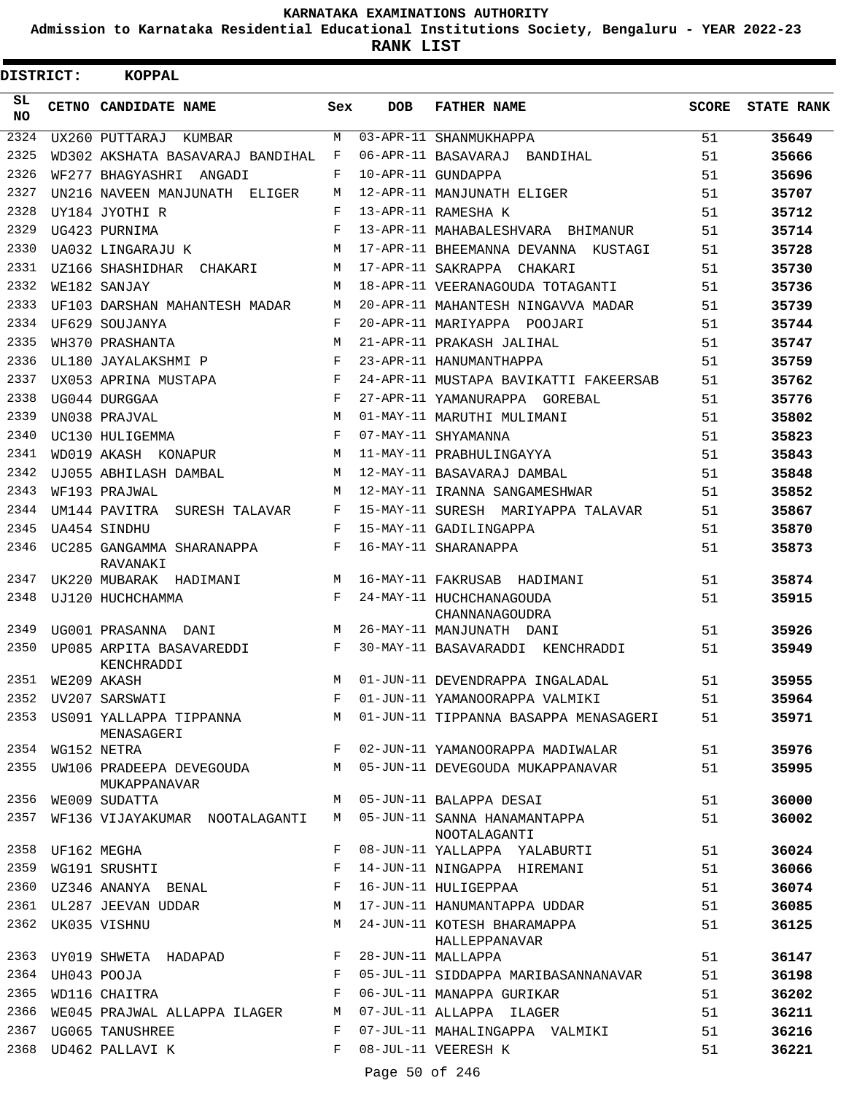**Admission to Karnataka Residential Educational Institutions Society, Bengaluru - YEAR 2022-23**

**RANK LIST**

 $\blacksquare$ 

| <b>DISTRICT:</b> |                  | KOPPAL                                        |            |            |                                                |       |                   |
|------------------|------------------|-----------------------------------------------|------------|------------|------------------------------------------------|-------|-------------------|
| SL<br><b>NO</b>  |                  | CETNO CANDIDATE NAME                          | Sex        | <b>DOB</b> | <b>FATHER NAME</b>                             | SCORE | <b>STATE RANK</b> |
| 2324             |                  | UX260 PUTTARAJ KUMBAR                         | M          |            | 03-APR-11 SHANMUKHAPPA                         | 51    | 35649             |
| 2325             |                  | WD302 AKSHATA BASAVARAJ BANDIHAL              | F          |            | 06-APR-11 BASAVARAJ BANDIHAL                   | 51    | 35666             |
| 2326             |                  | WF277 BHAGYASHRI ANGADI                       | F          |            | 10-APR-11 GUNDAPPA                             | 51    | 35696             |
| 2327             |                  | UN216 NAVEEN MANJUNATH ELIGER                 | M          |            | 12-APR-11 MANJUNATH ELIGER                     | 51    | 35707             |
| 2328             |                  | UY184 JYOTHI R                                | F          |            | 13-APR-11 RAMESHA K                            | 51    | 35712             |
| 2329             |                  | UG423 PURNIMA                                 | $_{\rm F}$ |            | 13-APR-11 MAHABALESHVARA BHIMANUR              | 51    | 35714             |
| 2330             |                  | UA032 LINGARAJU K                             | M          |            | 17-APR-11 BHEEMANNA DEVANNA KUSTAGI            | 51    | 35728             |
| 2331             |                  | UZ166 SHASHIDHAR CHAKARI                      | М          |            | 17-APR-11 SAKRAPPA CHAKARI                     | 51    | 35730             |
| 2332             |                  | WE182 SANJAY                                  | M          |            | 18-APR-11 VEERANAGOUDA TOTAGANTI               | 51    | 35736             |
| 2333             |                  | UF103 DARSHAN MAHANTESH MADAR                 | М          |            | 20-APR-11 MAHANTESH NINGAVVA MADAR             | 51    | 35739             |
| 2334             |                  | UF629 SOUJANYA                                | F          |            | 20-APR-11 MARIYAPPA POOJARI                    | 51    | 35744             |
| 2335             |                  | WH370 PRASHANTA                               | M          |            | 21-APR-11 PRAKASH JALIHAL                      | 51    | 35747             |
| 2336             |                  | UL180 JAYALAKSHMI P                           | F          |            | 23-APR-11 HANUMANTHAPPA                        | 51    | 35759             |
| 2337             |                  | UX053 APRINA MUSTAPA                          | F          |            | 24-APR-11 MUSTAPA BAVIKATTI FAKEERSAB          | 51    | 35762             |
| 2338             |                  | UG044 DURGGAA                                 | F          |            | 27-APR-11 YAMANURAPPA GOREBAL                  | 51    | 35776             |
| 2339             |                  | UN038 PRAJVAL                                 | M          |            | 01-MAY-11 MARUTHI MULIMANI                     | 51    | 35802             |
| 2340             |                  | UC130 HULIGEMMA                               | F          |            | 07-MAY-11 SHYAMANNA                            | 51    | 35823             |
| 2341             |                  | WD019 AKASH KONAPUR                           | М          |            | 11-MAY-11 PRABHULINGAYYA                       | 51    | 35843             |
| 2342             |                  | UJ055 ABHILASH DAMBAL                         | M          |            | 12-MAY-11 BASAVARAJ DAMBAL                     | 51    | 35848             |
| 2343             |                  | WF193 PRAJWAL                                 | M          |            | 12-MAY-11 IRANNA SANGAMESHWAR                  | 51    | 35852             |
| 2344             |                  | UM144 PAVITRA SURESH TALAVAR                  | F          |            | 15-MAY-11 SURESH MARIYAPPA TALAVAR             | 51    | 35867             |
| 2345             |                  | UA454 SINDHU                                  | F          |            | 15-MAY-11 GADILINGAPPA                         | 51    | 35870             |
| 2346             |                  | UC285 GANGAMMA SHARANAPPA<br>RAVANAKI         | F          |            | 16-MAY-11 SHARANAPPA                           | 51    | 35873             |
| 2347             |                  | UK220 MUBARAK HADIMANI                        | М          |            | 16-MAY-11 FAKRUSAB HADIMANI                    | 51    | 35874             |
| 2348             |                  | UJ120 HUCHCHAMMA                              |            |            | F 24-MAY-11 HUCHCHANAGOUDA<br>CHANNANAGOUDRA   | 51    | 35915             |
| 2349             |                  | UG001 PRASANNA DANI                           | M          |            | 26-MAY-11 MANJUNATH DANI                       | 51    | 35926             |
| 2350             |                  | UP085 ARPITA BASAVAREDDI<br>KENCHRADDI        | $F$ –      |            | 30-MAY-11 BASAVARADDI KENCHRADDI               | 51    | 35949             |
|                  | 2351 WE209 AKASH |                                               | М          |            | 01-JUN-11 DEVENDRAPPA INGALADAL                | 51    | 35955             |
|                  |                  | 2352 UV207 SARSWATI                           |            |            | F 01-JUN-11 YAMANOORAPPA VALMIKI               | 51    | 35964             |
|                  |                  | 2353 US091 YALLAPPA TIPPANNA<br>MENASAGERI    |            |            | M 01-JUN-11 TIPPANNA BASAPPA MENASAGERI        | 51    | 35971             |
|                  | 2354 WG152 NETRA |                                               | $F -$      |            | 02-JUN-11 YAMANOORAPPA MADIWALAR               | 51    | 35976             |
|                  |                  | 2355 UW106 PRADEEPA DEVEGOUDA<br>MUKAPPANAVAR |            |            | M 05-JUN-11 DEVEGOUDA MUKAPPANAVAR             | 51    | 35995             |
|                  |                  | 2356 WE009 SUDATTA                            | M          |            | 05-JUN-11 BALAPPA DESAI                        | 51    | 36000             |
|                  |                  | 2357 WF136 VIJAYAKUMAR NOOTALAGANTI           |            |            | M 05-JUN-11 SANNA HANAMANTAPPA<br>NOOTALAGANTI | 51    | 36002             |
|                  |                  | 2358 UF162 MEGHA                              | F          |            | 08-JUN-11 YALLAPPA YALABURTI                   | 51    | 36024             |
|                  |                  | 2359 WG191 SRUSHTI                            | F          |            | 14-JUN-11 NINGAPPA HIREMANI                    | 51    | 36066             |
|                  |                  | 2360 UZ346 ANANYA BENAL                       | F          |            | 16-JUN-11 HULIGEPPAA                           | 51    | 36074             |
|                  |                  | 2361 UL287 JEEVAN UDDAR                       | М          |            | 17-JUN-11 HANUMANTAPPA UDDAR                   | 51    | 36085             |
|                  |                  | 2362 UK035 VISHNU                             | М          |            | 24-JUN-11 KOTESH BHARAMAPPA<br>HALLEPPANAVAR   | 51    | 36125             |
|                  |                  | 2363 UY019 SHWETA HADAPAD F                   |            |            | 28-JUN-11 MALLAPPA                             | 51    | 36147             |
|                  | 2364 UH043 POOJA |                                               | F          |            | 05-JUL-11 SIDDAPPA MARIBASANNANAVAR            | 51    | 36198             |
| 2365             |                  | WD116 CHAITRA                                 | F          |            | 06-JUL-11 MANAPPA GURIKAR                      | 51    | 36202             |
| 2366             |                  | WE045 PRAJWAL ALLAPPA ILAGER M                |            |            | 07-JUL-11 ALLAPPA ILAGER                       | 51    | 36211             |
|                  |                  | 2367 UG065 TANUSHREE                          | F          |            | 07-JUL-11 MAHALINGAPPA VALMIKI                 | 51    | 36216             |
|                  |                  | 2368 UD462 PALLAVI K                          | F          |            | 08-JUL-11 VEERESH K                            | 51    | 36221             |

Page 50 of 246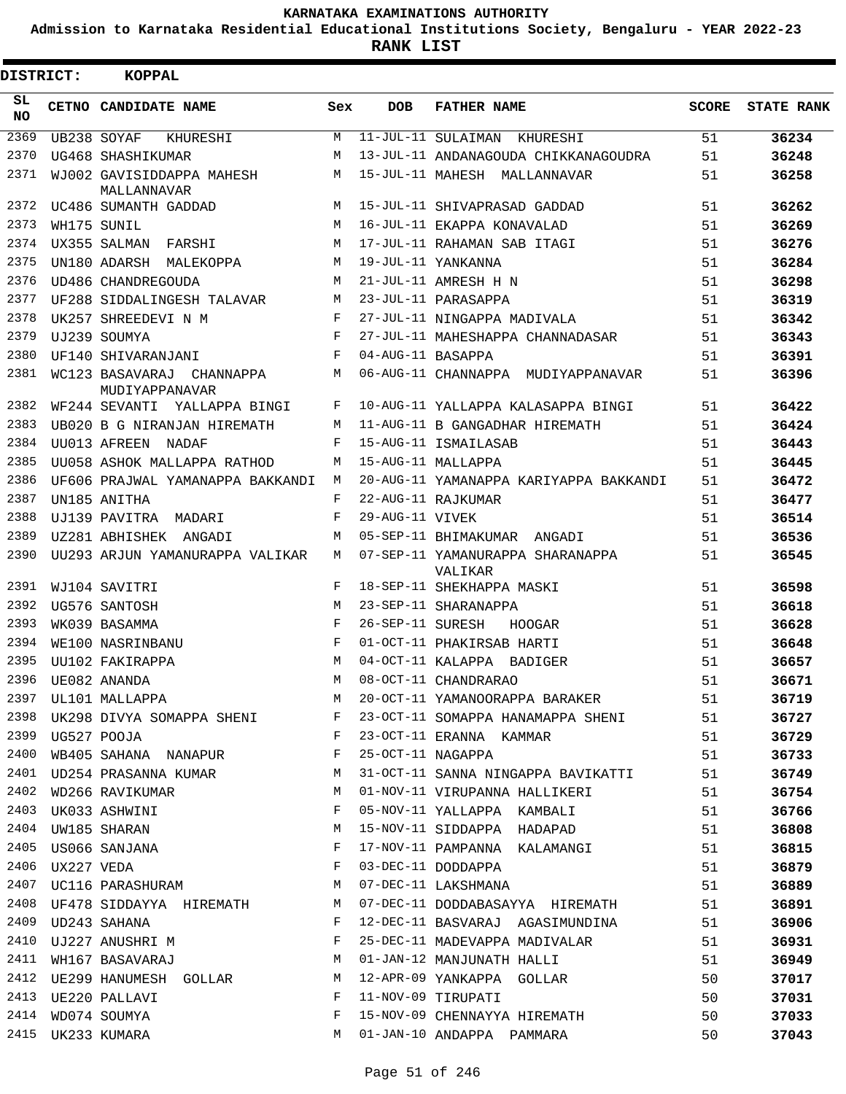**Admission to Karnataka Residential Educational Institutions Society, Bengaluru - YEAR 2022-23**

**RANK LIST**

| SL.<br><b>DOB</b><br>CETNO CANDIDATE NAME<br><b>FATHER NAME</b><br>Sex<br><b>NO</b><br>2369<br>11-JUL-11 SULAIMAN KHURESHI<br>UB238 SOYAF<br>M<br>KHURESHI<br>2370<br>М | <b>SCORE</b><br>51<br>51 | <b>STATE RANK</b><br>36234 |
|-------------------------------------------------------------------------------------------------------------------------------------------------------------------------|--------------------------|----------------------------|
|                                                                                                                                                                         |                          |                            |
|                                                                                                                                                                         |                          |                            |
| UG468 SHASHIKUMAR<br>13-JUL-11 ANDANAGOUDA CHIKKANAGOUDRA                                                                                                               |                          | 36248                      |
| 2371<br>M<br>15-JUL-11 MAHESH MALLANNAVAR<br>WJ002 GAVISIDDAPPA MAHESH<br>MALLANNAVAR                                                                                   | 51                       | 36258                      |
| 2372<br>15-JUL-11 SHIVAPRASAD GADDAD<br>UC486 SUMANTH GADDAD<br>M                                                                                                       | 51                       | 36262                      |
| 2373<br>M<br>16-JUL-11 EKAPPA KONAVALAD<br>WH175 SUNIL                                                                                                                  | 51                       | 36269                      |
| 2374<br>UX355 SALMAN<br>M<br>17-JUL-11 RAHAMAN SAB ITAGI<br>FARSHI                                                                                                      | 51                       | 36276                      |
| 2375<br>UN180 ADARSH MALEKOPPA<br>19-JUL-11 YANKANNA<br>M                                                                                                               | 51                       | 36284                      |
| 2376<br>21-JUL-11 AMRESH H N<br>UD486 CHANDREGOUDA<br>M                                                                                                                 | 51                       | 36298                      |
| 2377<br>23-JUL-11 PARASAPPA<br>UF288 SIDDALINGESH TALAVAR<br>M                                                                                                          | 51                       | 36319                      |
| 2378<br>UK257 SHREEDEVI N M<br>F<br>27-JUL-11 NINGAPPA MADIVALA                                                                                                         | 51                       | 36342                      |
| 2379<br>UJ239 SOUMYA<br>F<br>27-JUL-11 MAHESHAPPA CHANNADASAR                                                                                                           | 51                       | 36343                      |
| 2380<br>F<br>04-AUG-11 BASAPPA<br>UF140 SHIVARANJANI                                                                                                                    | 51                       | 36391                      |
| 2381<br>WC123 BASAVARAJ CHANNAPPA<br>M<br>06-AUG-11 CHANNAPPA MUDIYAPPANAVAR<br>MUDIYAPPANAVAR                                                                          | 51                       | 36396                      |
| 2382<br>WF244 SEVANTI YALLAPPA BINGI<br>10-AUG-11 YALLAPPA KALASAPPA BINGI<br>F                                                                                         | 51                       | 36422                      |
| 2383<br>UB020 B G NIRANJAN HIREMATH<br>11-AUG-11 B GANGADHAR HIREMATH<br>M                                                                                              | 51                       | 36424                      |
| 2384<br>UU013 AFREEN NADAF<br>F<br>15-AUG-11 ISMAILASAB                                                                                                                 | 51                       | 36443                      |
| 2385<br>UU058 ASHOK MALLAPPA RATHOD<br>15-AUG-11 MALLAPPA<br>M                                                                                                          | 51                       | 36445                      |
| 2386<br>UF606 PRAJWAL YAMANAPPA BAKKANDI<br>20-AUG-11 YAMANAPPA KARIYAPPA BAKKANDI<br>M                                                                                 | 51                       | 36472                      |
| 2387<br>22-AUG-11 RAJKUMAR<br>UN185 ANITHA<br>F                                                                                                                         | 51                       | 36477                      |
| 2388<br>29-AUG-11 VIVEK<br>UJ139 PAVITRA MADARI<br>F                                                                                                                    | 51                       | 36514                      |
| 2389<br>05-SEP-11 BHIMAKUMAR ANGADI<br>UZ281 ABHISHEK ANGADI<br>M                                                                                                       | 51                       | 36536                      |
| 2390<br>UU293 ARJUN YAMANURAPPA VALIKAR<br>07-SEP-11 YAMANURAPPA SHARANAPPA<br>M<br>VALIKAR                                                                             | 51                       | 36545                      |
| 2391<br>F<br>18-SEP-11 SHEKHAPPA MASKI<br>WJ104 SAVITRI                                                                                                                 | 51                       | 36598                      |
| 2392<br>M<br>23-SEP-11 SHARANAPPA<br>UG576 SANTOSH                                                                                                                      | 51                       | 36618                      |
| 2393<br>WK039 BASAMMA<br>F<br>26-SEP-11 SURESH<br>HOOGAR                                                                                                                | 51                       | 36628                      |
| 2394<br>WE100 NASRINBANU<br>F<br>01-OCT-11 PHAKIRSAB HARTI                                                                                                              | 51                       | 36648                      |
| 2395<br>04-OCT-11 KALAPPA BADIGER<br>UU102 FAKIRAPPA<br>М                                                                                                               | 51                       | 36657                      |
| 2396<br>08-OCT-11 CHANDRARAO<br>UE082 ANANDA<br>M                                                                                                                       | 51                       | 36671                      |
| 2397<br>20-OCT-11 YAMANOORAPPA BARAKER<br>UL101 MALLAPPA<br>M                                                                                                           | 51                       | 36719                      |
| UK298 DIVYA SOMAPPA SHENI F<br>2398<br>23-OCT-11 SOMAPPA HANAMAPPA SHENI                                                                                                | 51                       | 36727                      |
| 2399 UG527 POOJA<br>$\mathbf{F}$<br>23-OCT-11 ERANNA KAMMAR                                                                                                             | 51                       | 36729                      |
| WB405 SAHANA NANAPUR F<br>2400<br>25-OCT-11 NAGAPPA                                                                                                                     | 51                       | 36733                      |
| 2401<br>31-OCT-11 SANNA NINGAPPA BAVIKATTI<br>UD254 PRASANNA KUMAR M                                                                                                    | 51                       | 36749                      |
| 2402<br>01-NOV-11 VIRUPANNA HALLIKERI<br>WD266 RAVIKUMAR<br>M                                                                                                           | 51                       | 36754                      |
| 2403<br>05-NOV-11 YALLAPPA KAMBALI<br>UK033 ASHWINI<br>F                                                                                                                | 51                       | 36766                      |
| 2404 UW185 SHARAN<br>М<br>15-NOV-11 SIDDAPPA HADAPAD                                                                                                                    | 51                       | 36808                      |
| US066 SANJANA<br>2405<br>F<br>17-NOV-11 PAMPANNA KALAMANGI                                                                                                              | 51                       | 36815                      |
| $\mathbf{F}$ and $\mathbf{F}$<br>2406<br>03-DEC-11 DODDAPPA<br>UX227 VEDA                                                                                               | 51                       | 36879                      |
| 2407 UC116 PARASHURAM M<br>07-DEC-11 LAKSHMANA                                                                                                                          | 51                       | 36889                      |
| 2408 UF478 SIDDAYYA HIREMATH M<br>07-DEC-11 DODDABASAYYA HIREMATH                                                                                                       | 51                       | 36891                      |
| 2409<br>12-DEC-11 BASVARAJ AGASIMUNDINA<br>UD243 SAHANA<br>F                                                                                                            | 51                       | 36906                      |
| UJ227 ANUSHRI M<br>2410<br>25-DEC-11 MADEVAPPA MADIVALAR<br>F                                                                                                           | 51                       | 36931                      |
| M<br>01-JAN-12 MANJUNATH HALLI<br>2411<br>WH167 BASAVARAJ                                                                                                               | 51                       | 36949                      |
| 2412 UE299 HANUMESH GOLLAR M<br>12-APR-09 YANKAPPA GOLLAR                                                                                                               | 50                       | 37017                      |
| 2413<br>11-NOV-09 TIRUPATI<br>UE220 PALLAVI<br>F                                                                                                                        | 50                       | 37031                      |
| 15-NOV-09 CHENNAYYA HIREMATH<br>2414<br>WD074 SOUMYA<br>F                                                                                                               | 50                       | 37033                      |
| 2415 UK233 KUMARA<br>M 01-JAN-10 ANDAPPA PAMMARA                                                                                                                        | 50                       | 37043                      |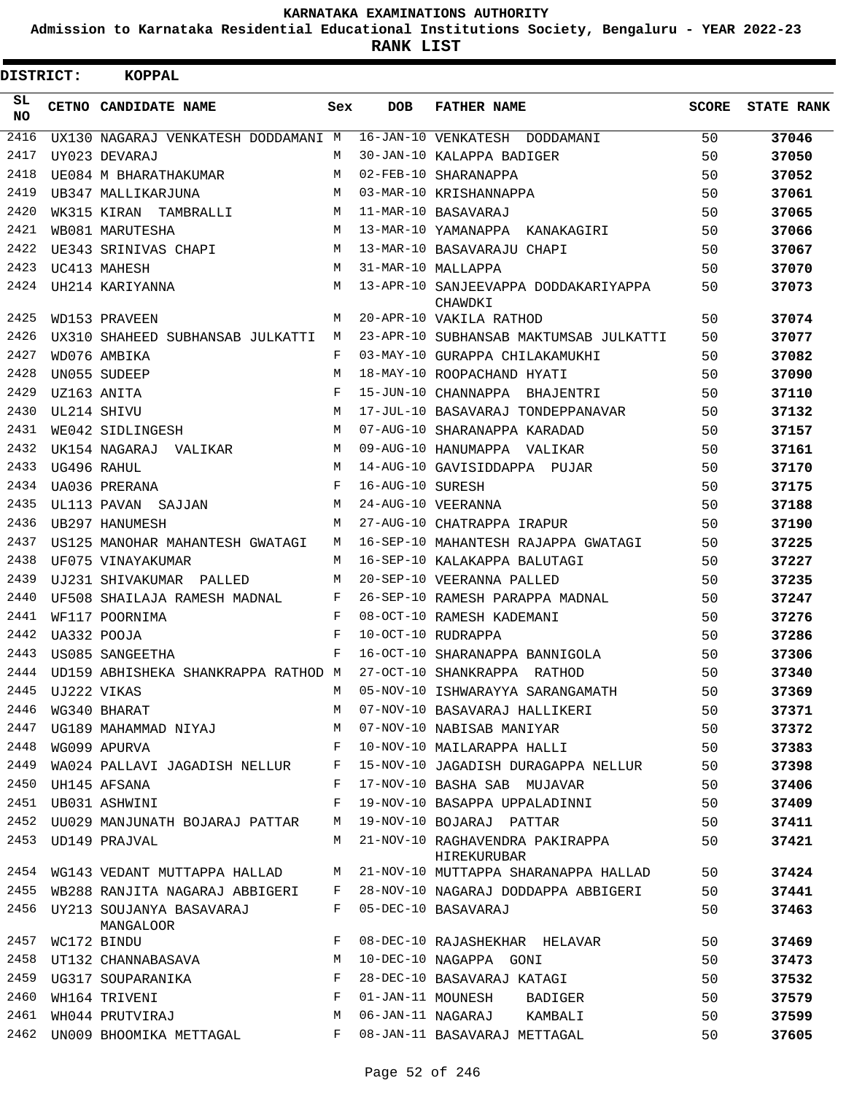**Admission to Karnataka Residential Educational Institutions Society, Bengaluru - YEAR 2022-23**

**RANK LIST**

| <b>DISTRICT:</b> |             | KOPPAL                                     |            |                  |                                                 |              |                   |
|------------------|-------------|--------------------------------------------|------------|------------------|-------------------------------------------------|--------------|-------------------|
| SL<br><b>NO</b>  |             | CETNO CANDIDATE NAME                       | Sex        | <b>DOB</b>       | <b>FATHER NAME</b>                              | <b>SCORE</b> | <b>STATE RANK</b> |
| 2416             |             | UX130 NAGARAJ VENKATESH DODDAMANI M        |            |                  | 16-JAN-10 VENKATESH DODDAMANI                   | 50           | 37046             |
| 2417             |             | UY023 DEVARAJ                              | M          |                  | 30-JAN-10 KALAPPA BADIGER                       | 50           | 37050             |
| 2418             |             | UE084 M BHARATHAKUMAR                      | М          |                  | 02-FEB-10 SHARANAPPA                            | 50           | 37052             |
| 2419             |             | UB347 MALLIKARJUNA                         | M          |                  | 03-MAR-10 KRISHANNAPPA                          | 50           | 37061             |
| 2420             |             | WK315 KIRAN TAMBRALLI                      | M          |                  | 11-MAR-10 BASAVARAJ                             | 50           | 37065             |
| 2421             |             | WB081 MARUTESHA                            | M          |                  | 13-MAR-10 YAMANAPPA KANAKAGIRI                  | 50           | 37066             |
| 2422             |             | UE343 SRINIVAS CHAPI                       | M          |                  | 13-MAR-10 BASAVARAJU CHAPI                      | 50           | 37067             |
| 2423             |             | UC413 MAHESH                               | M          |                  | 31-MAR-10 MALLAPPA                              | 50           | 37070             |
| 2424             |             | UH214 KARIYANNA                            | M          |                  | 13-APR-10 SANJEEVAPPA DODDAKARIYAPPA<br>CHAWDKI | 50           | 37073             |
| 2425             |             | WD153 PRAVEEN                              | M          |                  | 20-APR-10 VAKILA RATHOD                         | 50           | 37074             |
| 2426             |             | UX310 SHAHEED SUBHANSAB JULKATTI           | M          |                  | 23-APR-10 SUBHANSAB MAKTUMSAB JULKATTI          | 50           | 37077             |
| 2427             |             | WD076 AMBIKA                               | F          |                  | 03-MAY-10 GURAPPA CHILAKAMUKHI                  | 50           | 37082             |
| 2428             |             | UN055 SUDEEP                               | M          |                  | 18-MAY-10 ROOPACHAND HYATI                      | 50           | 37090             |
| 2429             |             | UZ163 ANITA                                | F          |                  | 15-JUN-10 CHANNAPPA BHAJENTRI                   | 50           | 37110             |
| 2430             | UL214 SHIVU |                                            | M          |                  | 17-JUL-10 BASAVARAJ TONDEPPANAVAR               | 50           | 37132             |
| 2431             |             | WE042 SIDLINGESH                           | M          |                  | 07-AUG-10 SHARANAPPA KARADAD                    | 50           | 37157             |
| 2432             |             | UK154 NAGARAJ VALIKAR                      | M          |                  | 09-AUG-10 HANUMAPPA VALIKAR                     | 50           | 37161             |
| 2433             |             | UG496 RAHUL                                | M          |                  | 14-AUG-10 GAVISIDDAPPA PUJAR                    | 50           | 37170             |
| 2434             |             | UA036 PRERANA                              | F          | 16-AUG-10 SURESH |                                                 | 50           | 37175             |
| 2435             |             | UL113 PAVAN SAJJAN                         | М          |                  | 24-AUG-10 VEERANNA                              | 50           | 37188             |
| 2436             |             | UB297 HANUMESH                             | M          |                  | 27-AUG-10 CHATRAPPA IRAPUR                      | 50           | 37190             |
| 2437             |             | US125 MANOHAR MAHANTESH GWATAGI            | М          |                  | 16-SEP-10 MAHANTESH RAJAPPA GWATAGI             | 50           | 37225             |
| 2438             |             | UF075 VINAYAKUMAR                          | M          |                  | 16-SEP-10 KALAKAPPA BALUTAGI                    | 50           | 37227             |
| 2439             |             | UJ231 SHIVAKUMAR PALLED                    | M          |                  | 20-SEP-10 VEERANNA PALLED                       | 50           | 37235             |
| 2440             |             | UF508 SHAILAJA RAMESH MADNAL               | F          |                  | 26-SEP-10 RAMESH PARAPPA MADNAL                 | 50           | 37247             |
| 2441             |             | WF117 POORNIMA                             | F          |                  | 08-OCT-10 RAMESH KADEMANI                       | 50           | 37276             |
| 2442             |             | UA332 POOJA                                | $_{\rm F}$ |                  | 10-OCT-10 RUDRAPPA                              | 50           | 37286             |
| 2443             |             | US085 SANGEETHA                            | F          |                  | 16-OCT-10 SHARANAPPA BANNIGOLA                  | 50           | 37306             |
| 2444             |             | UD159 ABHISHEKA SHANKRAPPA RATHOD M        |            |                  | 27-OCT-10 SHANKRAPPA RATHOD                     | 50           | 37340             |
| 2445             |             | UJ222 VIKAS                                | М          |                  | 05-NOV-10 ISHWARAYYA SARANGAMATH                | 50           | 37369             |
| 2446             |             | WG340 BHARAT                               | М          |                  | 07-NOV-10 BASAVARAJ HALLIKERI                   | 50           | 37371             |
| 2447             |             | UG189 MAHAMMAD NIYAJ                       | М          |                  | 07-NOV-10 NABISAB MANIYAR                       | 50           | 37372             |
| 2448             |             | WG099 APURVA                               | F          |                  | 10-NOV-10 MAILARAPPA HALLI                      | 50           | 37383             |
| 2449             |             | WA024 PALLAVI JAGADISH NELLUR              | F          |                  | 15-NOV-10 JAGADISH DURAGAPPA NELLUR             | 50           | 37398             |
| 2450             |             | UH145 AFSANA                               | F          |                  | 17-NOV-10 BASHA SAB MUJAVAR                     | 50           | 37406             |
| 2451             |             | UB031 ASHWINI                              | F          |                  | 19-NOV-10 BASAPPA UPPALADINNI                   | 50           | 37409             |
| 2452             |             | UU029 MANJUNATH BOJARAJ PATTAR             | М          |                  | 19-NOV-10 BOJARAJ PATTAR                        | 50           | 37411             |
| 2453             |             | UD149 PRAJVAL                              | М          |                  | 21-NOV-10 RAGHAVENDRA PAKIRAPPA<br>HIREKURUBAR  | 50           | 37421             |
| 2454             |             | WG143 VEDANT MUTTAPPA HALLAD               | М          |                  | 21-NOV-10 MUTTAPPA SHARANAPPA HALLAD            | 50           | 37424             |
|                  |             | 2455 WB288 RANJITA NAGARAJ ABBIGERI        | F          |                  | 28-NOV-10 NAGARAJ DODDAPPA ABBIGERI             | 50           | 37441             |
|                  |             | 2456 UY213 SOUJANYA BASAVARAJ<br>MANGALOOR | F          |                  | 05-DEC-10 BASAVARAJ                             | 50           | 37463             |
| 2457             |             | WC172 BINDU                                | F          |                  | 08-DEC-10 RAJASHEKHAR HELAVAR                   | 50           | 37469             |
| 2458             |             | UT132 CHANNABASAVA                         | М          |                  | 10-DEC-10 NAGAPPA GONI                          | 50           | 37473             |
| 2459             |             | UG317 SOUPARANIKA                          | F          |                  | 28-DEC-10 BASAVARAJ KATAGI                      | 50           | 37532             |
| 2460             |             | WH164 TRIVENI                              | F          |                  | 01-JAN-11 MOUNESH<br>BADIGER                    | 50           | 37579             |
| 2461             |             | WH044 PRUTVIRAJ                            | М          |                  | 06-JAN-11 NAGARAJ KAMBALI                       | 50           | 37599             |
| 2462             |             | UN009 BHOOMIKA METTAGAL                    | F          |                  | 08-JAN-11 BASAVARAJ METTAGAL                    | 50           | 37605             |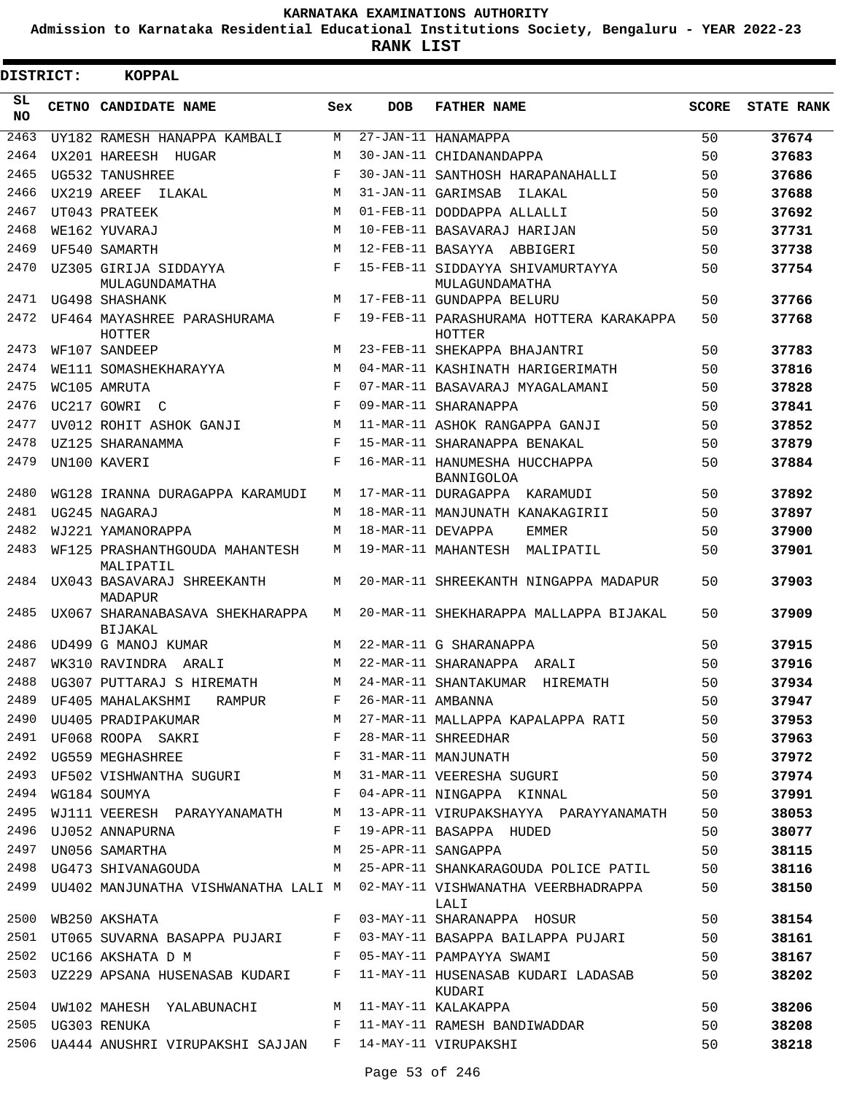**Admission to Karnataka Residential Educational Institutions Society, Bengaluru - YEAR 2022-23**

**RANK LIST**

| <b>DISTRICT:</b> | <b>KOPPAL</b>                                               |            |                   |                                                                                                                   |              |                   |
|------------------|-------------------------------------------------------------|------------|-------------------|-------------------------------------------------------------------------------------------------------------------|--------------|-------------------|
| SL<br>NO.        | CETNO CANDIDATE NAME                                        | Sex        | <b>DOB</b>        | <b>FATHER NAME</b>                                                                                                | <b>SCORE</b> | <b>STATE RANK</b> |
| 2463             | UY182 RAMESH HANAPPA KAMBALI                                | M          |                   | 27-JAN-11 HANAMAPPA                                                                                               | 50           | 37674             |
| 2464             | UX201 HAREESH HUGAR                                         | M          |                   | 30-JAN-11 CHIDANANDAPPA                                                                                           | 50           | 37683             |
| 2465             | UG532 TANUSHREE                                             | $_{\rm F}$ |                   | 30-JAN-11 SANTHOSH HARAPANAHALLI                                                                                  | 50           | 37686             |
| 2466             | UX219 AREEF<br>ILAKAL                                       | М          |                   | 31-JAN-11 GARIMSAB<br>ILAKAL                                                                                      | 50           | 37688             |
| 2467             | UT043 PRATEEK                                               | М          |                   | 01-FEB-11 DODDAPPA ALLALLI                                                                                        | 50           | 37692             |
| 2468             | WE162 YUVARAJ                                               | М          |                   | 10-FEB-11 BASAVARAJ HARIJAN                                                                                       | 50           | 37731             |
| 2469             | UF540 SAMARTH                                               | M          |                   | 12-FEB-11 BASAYYA ABBIGERI                                                                                        | 50           | 37738             |
| 2470             | UZ305 GIRIJA SIDDAYYA<br>MULAGUNDAMATHA                     | F          |                   | 15-FEB-11 SIDDAYYA SHIVAMURTAYYA<br>MULAGUNDAMATHA                                                                | 50           | 37754             |
| 2471             | UG498 SHASHANK                                              | M          |                   | 17-FEB-11 GUNDAPPA BELURU                                                                                         | 50           | 37766             |
| 2472             | UF464 MAYASHREE PARASHURAMA<br>HOTTER                       | F          |                   | 19-FEB-11 PARASHURAMA HOTTERA KARAKAPPA<br><b>HOTTER</b>                                                          | 50           | 37768             |
| 2473             | WF107 SANDEEP                                               | M          |                   | 23-FEB-11 SHEKAPPA BHAJANTRI                                                                                      | 50           | 37783             |
| 2474             | WE111 SOMASHEKHARAYYA                                       | M          |                   | 04-MAR-11 KASHINATH HARIGERIMATH                                                                                  | 50           | 37816             |
| 2475             | WC105 AMRUTA                                                | F          |                   | 07-MAR-11 BASAVARAJ MYAGALAMANI                                                                                   | 50           | 37828             |
| 2476             | UC217 GOWRI C                                               | $_{\rm F}$ |                   | 09-MAR-11 SHARANAPPA                                                                                              | 50           | 37841             |
| 2477             | UV012 ROHIT ASHOK GANJI                                     | М          |                   | 11-MAR-11 ASHOK RANGAPPA GANJI                                                                                    | 50           | 37852             |
| 2478             | UZ125 SHARANAMMA                                            | F          |                   | 15-MAR-11 SHARANAPPA BENAKAL                                                                                      | 50           | 37879             |
| 2479             | UN100 KAVERI                                                | $_{\rm F}$ |                   | 16-MAR-11 HANUMESHA HUCCHAPPA<br><b>BANNIGOLOA</b>                                                                | 50           | 37884             |
| 2480             | WG128 IRANNA DURAGAPPA KARAMUDI                             | М          |                   | 17-MAR-11 DURAGAPPA KARAMUDI                                                                                      | 50           | 37892             |
| 2481             | UG245 NAGARAJ                                               | M          |                   | 18-MAR-11 MANJUNATH KANAKAGIRII                                                                                   | 50           | 37897             |
| 2482             | WJ221 YAMANORAPPA                                           | М          | 18-MAR-11 DEVAPPA | EMMER                                                                                                             | 50           | 37900             |
| 2483             | WF125 PRASHANTHGOUDA MAHANTESH<br>MALIPATIL                 | M          |                   | 19-MAR-11 MAHANTESH MALIPATIL                                                                                     | 50           | 37901             |
| 2484             | UX043 BASAVARAJ SHREEKANTH<br>MADAPUR                       | М          |                   | 20-MAR-11 SHREEKANTH NINGAPPA MADAPUR                                                                             | 50           | 37903             |
| 2485             | UX067 SHARANABASAVA SHEKHARAPPA<br>BIJAKAL                  | M          |                   | 20-MAR-11 SHEKHARAPPA MALLAPPA BIJAKAL                                                                            | 50           | 37909             |
| 2486             | UD499 G MANOJ KUMAR                                         | M          |                   | 22-MAR-11 G SHARANAPPA                                                                                            | 50           | 37915             |
| 2487             | WK310 RAVINDRA ARALI                                        | M          |                   | 22-MAR-11 SHARANAPPA ARALI                                                                                        | 50           | 37916             |
| 2488             | UG307 PUTTARAJ S HIREMATH                                   | M          |                   | 24-MAR-11 SHANTAKUMAR HIREMATH                                                                                    | 50           | 37934             |
|                  | 2489 UF405 MAHALAKSHMI RAMPUR F 26-MAR-11 AMBANNA           |            |                   |                                                                                                                   | 50           | 37947             |
|                  |                                                             |            |                   | 2490 UU405 PRADIPAKUMAR M 27-MAR-11 MALLAPPA KAPALAPPA RATI 50<br>2491 UF068 ROOPA SAKRI NG KABAR-11 SHREEDHAR 50 |              | 37953             |
|                  |                                                             |            |                   |                                                                                                                   |              | 37963             |
|                  | 2492 UG559 MEGHASHREE F 31-MAR-11 MANJUNATH                 |            |                   |                                                                                                                   | 50           | 37972             |
|                  |                                                             |            |                   | 2493 UF502 VISHWANTHA SUGURI M 31-MAR-11 VEERESHA SUGURI 50                                                       |              | 37974             |
|                  | 2494 WG184 SOUMYA                                           |            |                   | F 04-APR-11 NINGAPPA KINNAL                                                                                       | 50           | 37991             |
|                  |                                                             |            |                   | 2495 WJ111 VEERESH PARAYYANAMATH M 13-APR-11 VIRUPAKSHAYYA PARAYYANAMATH 50                                       |              | 38053             |
|                  | 2496 UJ052 ANNAPURNA                                        |            |                   | F 19-APR-11 BASAPPA HUDED                                                                                         | 50           | 38077             |
|                  | 2497 UN056 SAMARTHA M 25-APR-11 SANGAPPA                    |            |                   |                                                                                                                   | 50           | 38115             |
|                  |                                                             |            |                   | 2498 UG473 SHIVANAGOUDA M 25-APR-11 SHANKARAGOUDA POLICE PATIL 50                                                 |              | 38116             |
|                  |                                                             |            |                   | 2499 UU402 MANJUNATHA VISHWANATHA LALI M 02-MAY-11 VISHWANATHA VEERBHADRAPPA 50<br>LALI                           |              | 38150             |
|                  | 2500 WB250 AKSHATA                                          |            |                   | F 03-MAY-11 SHARANAPPA HOSUR 50                                                                                   |              | 38154             |
|                  |                                                             |            |                   | 2501 UT065 SUVARNA BASAPPA PUJARI F 03-MAY-11 BASAPPA BAILAPPA PUJARI 50                                          |              | 38161             |
|                  |                                                             |            |                   | 2502 UC166 AKSHATA D M F 05-MAY-11 PAMPAYYA SWAMI 50                                                              |              | 38167             |
|                  |                                                             |            |                   | 2503 UZ229 APSANA HUSENASAB KUDARI F 11-MAY-11 HUSENASAB KUDARI LADASAB 50<br>KUDARI                              |              | 38202             |
|                  | 2504 UW102 MAHESH YALABUNACHI M 11-MAY-11 KALAKAPPA         |            |                   |                                                                                                                   | 50           | 38206             |
|                  | 2505 UG303 RENUKA                                           |            |                   | F 11-MAY-11 RAMESH BANDIWADDAR 50                                                                                 |              | 38208             |
|                  | 2506 UA444 ANUSHRI VIRUPAKSHI SAJJAN F 14-MAY-11 VIRUPAKSHI |            |                   |                                                                                                                   | 50           | 38218             |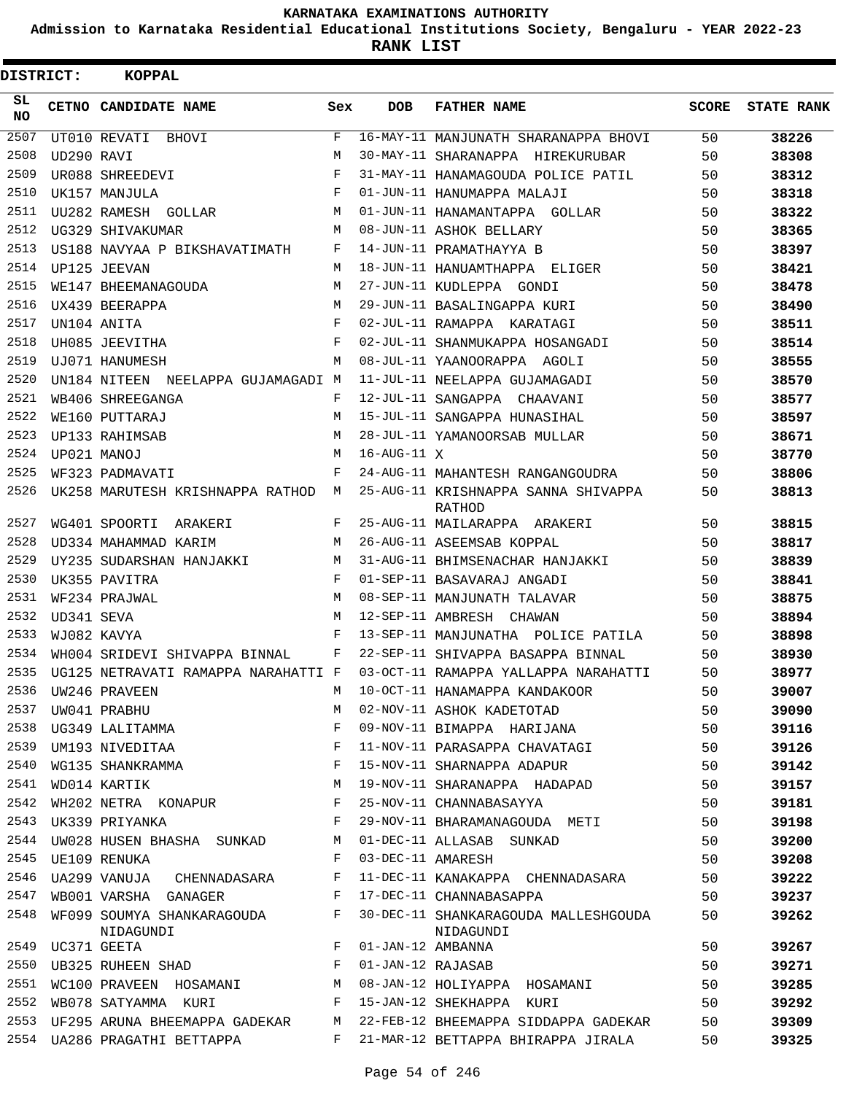**Admission to Karnataka Residential Educational Institutions Society, Bengaluru - YEAR 2022-23**

| <b>DISTRICT:</b> |             | <b>KOPPAL</b>                           |              |                   |                                                   |       |                   |
|------------------|-------------|-----------------------------------------|--------------|-------------------|---------------------------------------------------|-------|-------------------|
| SL.<br><b>NO</b> |             | CETNO CANDIDATE NAME                    | Sex          | <b>DOB</b>        | <b>FATHER NAME</b>                                | SCORE | <b>STATE RANK</b> |
| 2507             |             | UT010 REVATI BHOVI                      | $\mathbf{F}$ |                   | 16-MAY-11 MANJUNATH SHARANAPPA BHOVI              | 50    | 38226             |
| 2508             | UD290 RAVI  |                                         | М            |                   | 30-MAY-11 SHARANAPPA HIREKURUBAR                  | 50    | 38308             |
| 2509             |             | UR088 SHREEDEVI                         | F            |                   | 31-MAY-11 HANAMAGOUDA POLICE PATIL                | 50    | 38312             |
| 2510             |             | UK157 MANJULA                           | $_{\rm F}$   |                   | 01-JUN-11 HANUMAPPA MALAJI                        | 50    | 38318             |
| 2511             |             | UU282 RAMESH GOLLAR                     | M            |                   | 01-JUN-11 HANAMANTAPPA GOLLAR                     | 50    | 38322             |
| 2512             |             | UG329 SHIVAKUMAR                        | M            |                   | 08-JUN-11 ASHOK BELLARY                           | 50    | 38365             |
| 2513             |             | US188 NAVYAA P BIKSHAVATIMATH           | F            |                   | 14-JUN-11 PRAMATHAYYA B                           | 50    | 38397             |
| 2514             |             | UP125 JEEVAN                            | M            |                   | 18-JUN-11 HANUAMTHAPPA ELIGER                     | 50    | 38421             |
| 2515             |             | WE147 BHEEMANAGOUDA                     | M            |                   | 27-JUN-11 KUDLEPPA GONDI                          | 50    | 38478             |
| 2516             |             | UX439 BEERAPPA                          | M            |                   | 29-JUN-11 BASALINGAPPA KURI                       | 50    | 38490             |
| 2517             |             | UN104 ANITA                             | F            |                   | 02-JUL-11 RAMAPPA KARATAGI                        | 50    | 38511             |
| 2518             |             | UH085 JEEVITHA                          | $_{\rm F}$   |                   | 02-JUL-11 SHANMUKAPPA HOSANGADI                   | 50    | 38514             |
| 2519             |             | UJ071 HANUMESH                          | М            |                   | 08-JUL-11 YAANOORAPPA AGOLI                       | 50    | 38555             |
| 2520             |             | UN184 NITEEN NEELAPPA GUJAMAGADI M      |              |                   | 11-JUL-11 NEELAPPA GUJAMAGADI                     | 50    | 38570             |
| 2521             |             | WB406 SHREEGANGA                        | F            |                   | 12-JUL-11 SANGAPPA CHAAVANI                       | 50    | 38577             |
| 2522             |             | WE160 PUTTARAJ                          | M            |                   | 15-JUL-11 SANGAPPA HUNASIHAL                      | 50    | 38597             |
| 2523             |             | UP133 RAHIMSAB                          | M            |                   | 28-JUL-11 YAMANOORSAB MULLAR                      | 50    | 38671             |
| 2524             |             | UP021 MANOJ                             | M            | 16-AUG-11 X       |                                                   | 50    | 38770             |
| 2525             |             | WF323 PADMAVATI                         | F            |                   | 24-AUG-11 MAHANTESH RANGANGOUDRA                  | 50    | 38806             |
| 2526             |             | UK258 MARUTESH KRISHNAPPA RATHOD M      |              |                   | 25-AUG-11 KRISHNAPPA SANNA SHIVAPPA<br>RATHOD     | 50    | 38813             |
| 2527             |             | WG401 SPOORTI<br>ARAKERI                | F            |                   | 25-AUG-11 MAILARAPPA ARAKERI                      | 50    | 38815             |
| 2528             |             | UD334 MAHAMMAD KARIM                    | М            |                   | 26-AUG-11 ASEEMSAB KOPPAL                         | 50    | 38817             |
| 2529             |             | UY235 SUDARSHAN HANJAKKI                | M            |                   | 31-AUG-11 BHIMSENACHAR HANJAKKI                   | 50    | 38839             |
| 2530             |             | UK355 PAVITRA                           | F            |                   | 01-SEP-11 BASAVARAJ ANGADI                        | 50    | 38841             |
| 2531             |             | WF234 PRAJWAL                           | M            |                   | 08-SEP-11 MANJUNATH TALAVAR                       | 50    | 38875             |
| 2532             | UD341 SEVA  |                                         | M            |                   | 12-SEP-11 AMBRESH CHAWAN                          | 50    | 38894             |
| 2533             |             | WJ082 KAVYA                             | F            |                   | 13-SEP-11 MANJUNATHA POLICE PATILA                | 50    | 38898             |
| 2534             |             | WH004 SRIDEVI SHIVAPPA BINNAL           | F            |                   | 22-SEP-11 SHIVAPPA BASAPPA BINNAL                 | 50    | 38930             |
| 2535             |             | UG125 NETRAVATI RAMAPPA NARAHATTI F     |              |                   | 03-OCT-11 RAMAPPA YALLAPPA NARAHATTI              | 50    | 38977             |
| 2536             |             | UW246 PRAVEEN                           | М            |                   | 10-OCT-11 HANAMAPPA KANDAKOOR                     | 50    | 39007             |
| 2537             |             | UW041 PRABHU                            | М            |                   | 02-NOV-11 ASHOK KADETOTAD                         | 50    | 39090             |
| 2538             |             | UG349 LALITAMMA                         | F            |                   | 09-NOV-11 BIMAPPA HARIJANA                        | 50    | 39116             |
| 2539             |             | UM193 NIVEDITAA                         | F            |                   | 11-NOV-11 PARASAPPA CHAVATAGI                     | 50    | 39126             |
| 2540             |             | WG135 SHANKRAMMA                        | F            |                   | 15-NOV-11 SHARNAPPA ADAPUR                        | 50    | 39142             |
| 2541             |             | WD014 KARTIK                            | М            |                   | 19-NOV-11 SHARANAPPA HADAPAD                      | 50    | 39157             |
| 2542             |             | WH202 NETRA KONAPUR                     | F            |                   | 25-NOV-11 CHANNABASAYYA                           | 50    | 39181             |
| 2543             |             | UK339 PRIYANKA                          | F            |                   | 29-NOV-11 BHARAMANAGOUDA METI                     | 50    | 39198             |
| 2544             |             | UW028 HUSEN BHASHA SUNKAD               | М            |                   | 01-DEC-11 ALLASAB SUNKAD                          | 50    | 39200             |
| 2545             |             | UE109 RENUKA                            | F            |                   | 03-DEC-11 AMARESH                                 | 50    | 39208             |
| 2546             |             | UA299 VANUJA CHENNADASARA               | F            |                   | 11-DEC-11 KANAKAPPA CHENNADASARA                  | 50    | 39222             |
| 2547             |             | WB001 VARSHA GANAGER                    | F            |                   | 17-DEC-11 CHANNABASAPPA                           | 50    | 39237             |
| 2548             |             | WF099 SOUMYA SHANKARAGOUDA<br>NIDAGUNDI | F            |                   | 30-DEC-11 SHANKARAGOUDA MALLESHGOUDA<br>NIDAGUNDI | 50    | 39262             |
| 2549             | UC371 GEETA |                                         | F            | 01-JAN-12 AMBANNA |                                                   | 50    | 39267             |
| 2550             |             | UB325 RUHEEN SHAD                       | F            | 01-JAN-12 RAJASAB |                                                   | 50    | 39271             |
| 2551             |             | WC100 PRAVEEN HOSAMANI                  | М            |                   | 08-JAN-12 HOLIYAPPA HOSAMANI                      | 50    | 39285             |
| 2552             |             | WB078 SATYAMMA KURI                     | F            |                   | 15-JAN-12 SHEKHAPPA KURI                          | 50    | 39292             |
| 2553             |             | UF295 ARUNA BHEEMAPPA GADEKAR           | M            |                   | 22-FEB-12 BHEEMAPPA SIDDAPPA GADEKAR              | 50    | 39309             |
| 2554             |             | UA286 PRAGATHI BETTAPPA                 | F            |                   | 21-MAR-12 BETTAPPA BHIRAPPA JIRALA                | 50    | 39325             |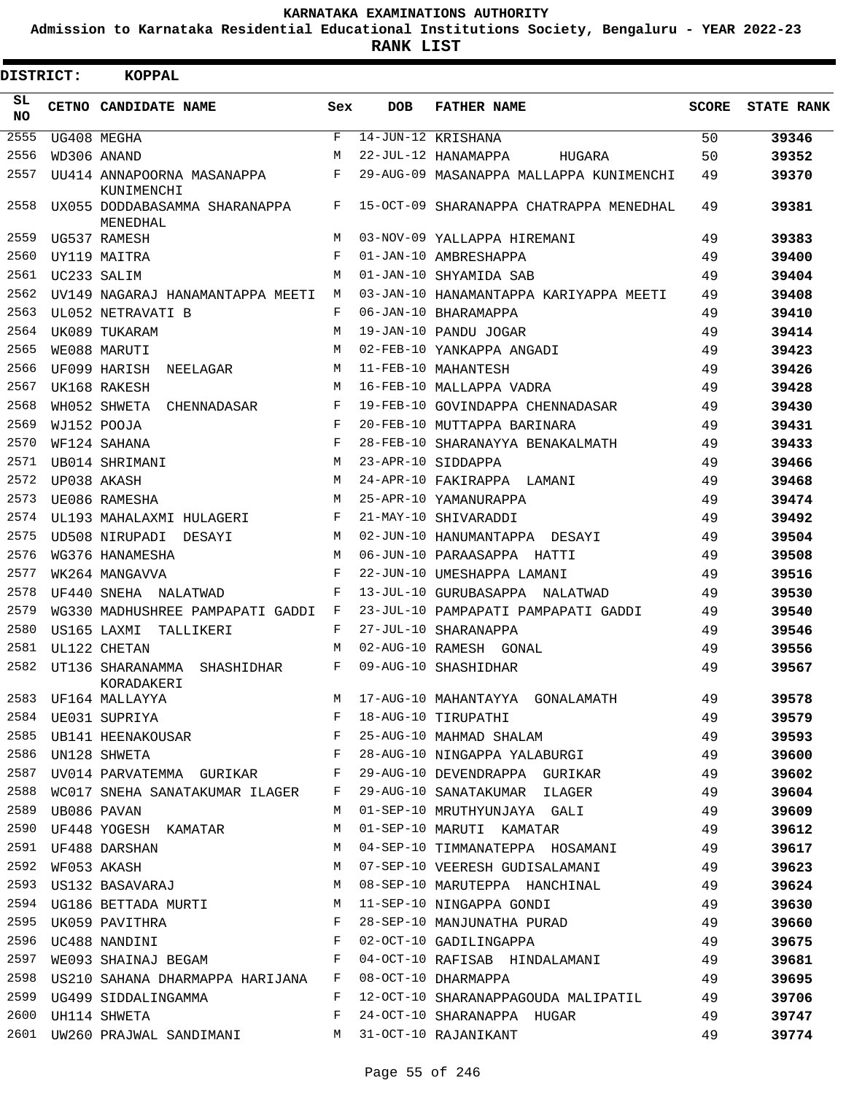**Admission to Karnataka Residential Educational Institutions Society, Bengaluru - YEAR 2022-23**

**RANK LIST**

| <b>DISTRICT:</b> | <b>KOPPAL</b>                                              |            |            |                                                                       |              |                   |
|------------------|------------------------------------------------------------|------------|------------|-----------------------------------------------------------------------|--------------|-------------------|
| SL<br><b>NO</b>  | CETNO CANDIDATE NAME                                       | Sex        | <b>DOB</b> | <b>FATHER NAME</b>                                                    | <b>SCORE</b> | <b>STATE RANK</b> |
| 2555             | UG408 MEGHA                                                | $_{\rm F}$ |            | $\overline{14}$ -JUN-12 KRISHANA                                      | 50           | 39346             |
| 2556             | WD306 ANAND                                                | M          |            | 22-JUL-12 HANAMAPPA<br>HUGARA                                         | 50           | 39352             |
| 2557             | UU414 ANNAPOORNA MASANAPPA<br>KUNIMENCHI                   | F          |            | 29-AUG-09 MASANAPPA MALLAPPA KUNIMENCHI                               | 49           | 39370             |
| 2558             | UX055 DODDABASAMMA SHARANAPPA<br>MENEDHAL                  | F          |            | 15-OCT-09 SHARANAPPA CHATRAPPA MENEDHAL                               | 49           | 39381             |
| 2559             | UG537 RAMESH                                               | M          |            | 03-NOV-09 YALLAPPA HIREMANI                                           | 49           | 39383             |
| 2560             | UY119 MAITRA                                               | F          |            | 01-JAN-10 AMBRESHAPPA                                                 | 49           | 39400             |
| 2561             | UC233 SALIM                                                | M          |            | 01-JAN-10 SHYAMIDA SAB                                                | 49           | 39404             |
| 2562             | UV149 NAGARAJ HANAMANTAPPA MEETI                           | M          |            | 03-JAN-10 HANAMANTAPPA KARIYAPPA MEETI                                | 49           | 39408             |
| 2563             | UL052 NETRAVATI B                                          | F          |            | 06-JAN-10 BHARAMAPPA                                                  | 49           | 39410             |
| 2564             | UK089 TUKARAM                                              | M          |            | 19-JAN-10 PANDU JOGAR                                                 | 49           | 39414             |
| 2565             | WE088 MARUTI                                               | M          |            | 02-FEB-10 YANKAPPA ANGADI                                             | 49           | 39423             |
| 2566             | UF099 HARISH<br>NEELAGAR                                   | M          |            | 11-FEB-10 MAHANTESH                                                   | 49           | 39426             |
| 2567             | UK168 RAKESH                                               | M          |            | 16-FEB-10 MALLAPPA VADRA                                              | 49           | 39428             |
| 2568             | WH052 SHWETA<br>CHENNADASAR                                | F          |            | 19-FEB-10 GOVINDAPPA CHENNADASAR                                      | 49           | 39430             |
| 2569             | WJ152 POOJA                                                | F          |            | 20-FEB-10 MUTTAPPA BARINARA                                           | 49           | 39431             |
| 2570             | WF124 SAHANA                                               | F          |            | 28-FEB-10 SHARANAYYA BENAKALMATH                                      | 49           | 39433             |
| 2571             | UB014 SHRIMANI                                             | M          |            | 23-APR-10 SIDDAPPA                                                    | 49           | 39466             |
| 2572             | UP038 AKASH                                                | M          |            | 24-APR-10 FAKIRAPPA LAMANI                                            | 49           | 39468             |
| 2573             | UE086 RAMESHA                                              | M          |            | 25-APR-10 YAMANURAPPA                                                 | 49           | 39474             |
| 2574             | UL193 MAHALAXMI HULAGERI                                   | F          |            | 21-MAY-10 SHIVARADDI                                                  | 49           | 39492             |
| 2575             | UD508 NIRUPADI DESAYI                                      | M          |            | 02-JUN-10 HANUMANTAPPA DESAYI                                         | 49           | 39504             |
| 2576             | WG376 HANAMESHA                                            | M          |            | 06-JUN-10 PARAASAPPA HATTI                                            | 49           | 39508             |
| 2577             | WK264 MANGAVVA                                             | F          |            | 22-JUN-10 UMESHAPPA LAMANI                                            | 49           | 39516             |
| 2578             | UF440 SNEHA NALATWAD                                       | F          |            | 13-JUL-10 GURUBASAPPA NALATWAD                                        | 49           | 39530             |
| 2579             | WG330 MADHUSHREE PAMPAPATI GADDI                           | F          |            | 23-JUL-10 PAMPAPATI PAMPAPATI GADDI                                   | 49           | 39540             |
| 2580             | US165 LAXMI<br>TALLIKERI                                   | F          |            | 27-JUL-10 SHARANAPPA                                                  | 49           | 39546             |
| 2581             | UL122 CHETAN                                               | M          |            | 02-AUG-10 RAMESH GONAL                                                | 49           | 39556             |
| 2582             | UT136 SHARANAMMA<br>SHASHIDHAR<br>KORADAKERI               | F          |            | 09-AUG-10 SHASHIDHAR                                                  | 49           | 39567             |
|                  |                                                            |            |            |                                                                       |              | 39578             |
|                  |                                                            |            |            |                                                                       |              | 39579             |
|                  |                                                            |            |            |                                                                       |              | 39593             |
|                  |                                                            |            |            | 2586 UN128 SHWETA 649                                                 |              | 39600             |
| 2587             |                                                            |            |            | UV014 PARVATEMMA GURIKAR F 29-AUG-10 DEVENDRAPPA GURIKAR 49           |              | 39602             |
|                  |                                                            |            |            | 2588 WC017 SNEHA SANATAKUMAR ILAGER F 29-AUG-10 SANATAKUMAR ILAGER 49 |              | 39604             |
|                  | 2589 UB086 PAVAN                                           |            |            | M 01-SEP-10 MRUTHYUNJAYA GALI 49                                      |              | 39609             |
|                  |                                                            |            |            | 2590 UF448 YOGESH KAMATAR M 01-SEP-10 MARUTI KAMATAR 49               |              | 39612             |
|                  | 2591 UF488 DARSHAN                                         |            |            | M 04-SEP-10 TIMMANATEPPA HOSAMANI 49                                  |              | 39617             |
|                  | 2592 WF053 AKASH                                           |            |            | M 07-SEP-10 VEERESH GUDISALAMANI 49                                   |              | 39623             |
|                  |                                                            |            |            | 2593 US132 BASAVARAJ M 08-SEP-10 MARUTEPPA HANCHINAL 49               |              | 39624             |
|                  |                                                            |            |            | 2594 UG186 BETTADA MURTI MERRIM MANUAL MINGAPPA GONDI 49              |              | 39630             |
|                  |                                                            |            |            | 28-SEP-10 MANJUNATHA PURAD 49                                         |              | 39660             |
|                  |                                                            |            |            | 02-OCT-10 GADILINGAPPA                                                | 49           | 39675             |
|                  |                                                            |            |            | 2597 WE093 SHAINAJ BEGAM F 04-OCT-10 RAFISAB HINDALAMANI 49           |              | 39681             |
|                  | 2598 US210 SAHANA DHARMAPPA HARIJANA F 08-OCT-10 DHARMAPPA |            |            | 49                                                                    |              | 39695             |
|                  |                                                            |            |            | 2599 UG499 SIDDALINGAMMA F 12-OCT-10 SHARANAPPAGOUDA MALIPATIL 49     |              | 39706             |
|                  | $\mathbf{F}$<br>2600 UH114 SHWETA                          |            |            | 24-OCT-10 SHARANAPPA HUGAR                                            | 49           | 39747             |
|                  | 2601 UW260 PRAJWAL SANDIMANI M 31-OCT-10 RAJANIKANT        |            |            |                                                                       | 49           | 39774             |
|                  |                                                            |            |            |                                                                       |              |                   |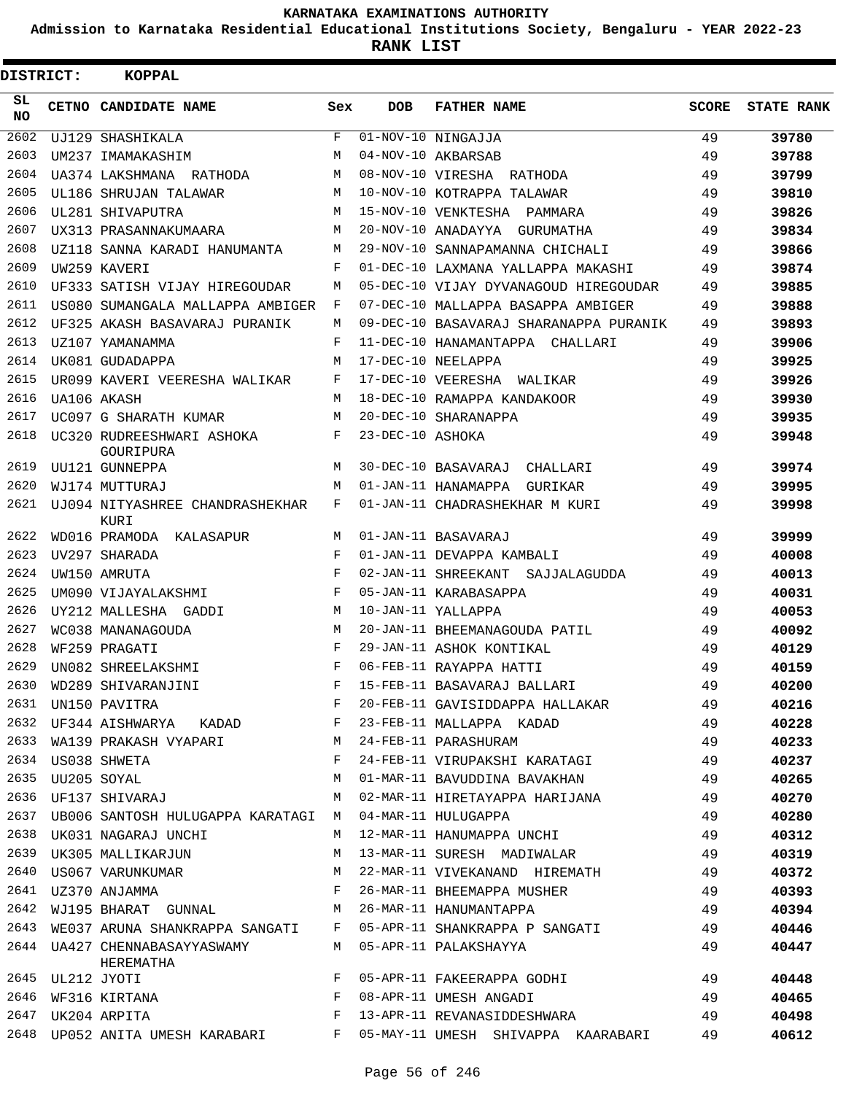**Admission to Karnataka Residential Educational Institutions Society, Bengaluru - YEAR 2022-23**

| <b>DISTRICT:</b> | <b>KOPPAL</b>                                                      |     |                  |                                                                                                                                    |              |                   |
|------------------|--------------------------------------------------------------------|-----|------------------|------------------------------------------------------------------------------------------------------------------------------------|--------------|-------------------|
| SL<br><b>NO</b>  | CETNO CANDIDATE NAME                                               | Sex | <b>DOB</b>       | <b>FATHER NAME</b>                                                                                                                 | <b>SCORE</b> | <b>STATE RANK</b> |
| 2602             | UJ129 SHASHIKALA                                                   | F   |                  | $\overline{01-NOV}-10$ NINGAJJA                                                                                                    | 49           | 39780             |
| 2603             | UM237 IMAMAKASHIM                                                  | М   |                  | 04-NOV-10 AKBARSAB                                                                                                                 | 49           | 39788             |
| 2604             | UA374 LAKSHMANA RATHODA                                            | М   |                  | 08-NOV-10 VIRESHA RATHODA                                                                                                          | 49           | 39799             |
| 2605             | UL186 SHRUJAN TALAWAR                                              | М   |                  | 10-NOV-10 KOTRAPPA TALAWAR                                                                                                         | 49           | 39810             |
| 2606             | UL281 SHIVAPUTRA                                                   | М   |                  | 15-NOV-10 VENKTESHA PAMMARA                                                                                                        | 49           | 39826             |
| 2607             | UX313 PRASANNAKUMAARA                                              | М   |                  | 20-NOV-10 ANADAYYA GURUMATHA                                                                                                       | 49           | 39834             |
| 2608             | UZ118 SANNA KARADI HANUMANTA                                       | М   |                  | 29-NOV-10 SANNAPAMANNA CHICHALI                                                                                                    | 49           | 39866             |
| 2609             | UW259 KAVERI                                                       | F   |                  | 01-DEC-10 LAXMANA YALLAPPA MAKASHI                                                                                                 | 49           | 39874             |
| 2610             | UF333 SATISH VIJAY HIREGOUDAR                                      | M   |                  | 05-DEC-10 VIJAY DYVANAGOUD HIREGOUDAR                                                                                              | 49           | 39885             |
| 2611             | US080 SUMANGALA MALLAPPA AMBIGER                                   | F   |                  | 07-DEC-10 MALLAPPA BASAPPA AMBIGER                                                                                                 | 49           | 39888             |
| 2612             | UF325 AKASH BASAVARAJ PURANIK                                      | М   |                  | 09-DEC-10 BASAVARAJ SHARANAPPA PURANIK                                                                                             | 49           | 39893             |
| 2613             | UZ107 YAMANAMMA                                                    | F   |                  | 11-DEC-10 HANAMANTAPPA CHALLARI                                                                                                    | 49           | 39906             |
| 2614             | UK081 GUDADAPPA                                                    | М   |                  | 17-DEC-10 NEELAPPA                                                                                                                 | 49           | 39925             |
| 2615             | UR099 KAVERI VEERESHA WALIKAR                                      | F   |                  | 17-DEC-10 VEERESHA WALIKAR                                                                                                         | 49           | 39926             |
| 2616             | UA106 AKASH                                                        | М   |                  | 18-DEC-10 RAMAPPA KANDAKOOR                                                                                                        | 49           | 39930             |
| 2617             | UC097 G SHARATH KUMAR                                              | М   |                  | 20-DEC-10 SHARANAPPA                                                                                                               | 49           | 39935             |
| 2618             | UC320 RUDREESHWARI ASHOKA<br>GOURIPURA                             | F   | 23-DEC-10 ASHOKA |                                                                                                                                    | 49           | 39948             |
| 2619             | UU121 GUNNEPPA                                                     | М   |                  | 30-DEC-10 BASAVARAJ CHALLARI                                                                                                       | 49           | 39974             |
| 2620             | WJ174 MUTTURAJ                                                     | M   |                  | 01-JAN-11 HANAMAPPA<br>GURIKAR                                                                                                     | 49           | 39995             |
| 2621             | UJ094 NITYASHREE CHANDRASHEKHAR<br>KURI                            | F   |                  | 01-JAN-11 CHADRASHEKHAR M KURI                                                                                                     | 49           | 39998             |
| 2622             | WD016 PRAMODA KALASAPUR                                            | М   |                  | 01-JAN-11 BASAVARAJ                                                                                                                | 49           | 39999             |
| 2623             | UV297 SHARADA                                                      | F   |                  | 01-JAN-11 DEVAPPA KAMBALI                                                                                                          | 49           | 40008             |
| 2624             | UW150 AMRUTA                                                       | F   |                  | 02-JAN-11 SHREEKANT SAJJALAGUDDA                                                                                                   | 49           | 40013             |
| 2625             | UM090 VIJAYALAKSHMI                                                | F   |                  | 05-JAN-11 KARABASAPPA                                                                                                              | 49           | 40031             |
| 2626             | UY212 MALLESHA GADDI                                               | M   |                  | 10-JAN-11 YALLAPPA                                                                                                                 | 49           | 40053             |
| 2627             | WC038 MANANAGOUDA                                                  | M   |                  | 20-JAN-11 BHEEMANAGOUDA PATIL                                                                                                      | 49           | 40092             |
| 2628             | WF259 PRAGATI                                                      | F   |                  | 29-JAN-11 ASHOK KONTIKAL                                                                                                           | 49           | 40129             |
| 2629             | UN082 SHREELAKSHMI                                                 | F   |                  | 06-FEB-11 RAYAPPA HATTI                                                                                                            | 49           | 40159             |
| 2630             | WD289 SHIVARANJINI                                                 |     |                  | F 15-FEB-11 BASAVARAJ BALLARI                                                                                                      | 49           | 40200             |
|                  |                                                                    |     |                  | 2631 UN150 PAVITRA CARDAD FOR THE PRESSURE OF THE MALLAPPA HALLAKAR AS<br>2632 UF344 AISHWARYA KADAD F 23-FEB-11 MALLAPPA KADAD 49 |              | 40216             |
|                  |                                                                    |     |                  |                                                                                                                                    |              | 40228             |
|                  | 2633 WA139 PRAKASH VYAPARI M 24-FEB-11 PARASHURAM                  |     |                  | 49                                                                                                                                 |              | 40233             |
|                  | 2634 US038 SHWETA                                                  |     |                  | F 24-FEB-11 VIRUPAKSHI KARATAGI 49                                                                                                 |              | 40237             |
|                  |                                                                    |     |                  |                                                                                                                                    |              | 40265             |
|                  |                                                                    |     |                  |                                                                                                                                    |              | 40270             |
|                  | 2637 UB006 SANTOSH HULUGAPPA KARATAGI M 04-MAR-11 HULUGAPPA        |     |                  | 49                                                                                                                                 |              | 40280             |
|                  | 2638 UK031 NAGARAJ UNCHI                                           |     |                  | M 12-MAR-11 HANUMAPPA UNCHI 49                                                                                                     |              | 40312             |
|                  | 2639 UK305 MALLIKARJUN M 13-MAR-11 SURESH MADIWALAR                |     |                  | 49                                                                                                                                 |              | 40319             |
|                  |                                                                    |     |                  | 2640 US067 VARUNKUMAR M 22-MAR-11 VIVEKANAND HIREMATH 49                                                                           |              | 40372             |
|                  |                                                                    |     |                  | 2641 UZ370 ANJAMMA 49 P 26-MAR-11 BHEEMAPPA MUSHER 49                                                                              |              | 40393             |
|                  |                                                                    |     |                  | 2642 WJ195 BHARAT GUNNAL M 26-MAR-11 HANUMANTAPPA 49                                                                               |              | 40394             |
|                  |                                                                    |     |                  | 2643 WE037 ARUNA SHANKRAPPA SANGATI F 05-APR-11 SHANKRAPPA P SANGATI 49                                                            |              | 40446             |
|                  | 2644 UA427 CHENNABASAYYASWAMY M 05-APR-11 PALAKSHAYYA<br>HEREMATHA |     |                  | 49                                                                                                                                 |              | 40447             |
|                  |                                                                    |     |                  | 05-APR-11 FAKEERAPPA GODHI 49                                                                                                      |              | 40448             |
|                  |                                                                    |     |                  |                                                                                                                                    |              | 40465             |
|                  |                                                                    |     |                  |                                                                                                                                    |              | 40498             |
|                  |                                                                    |     |                  | 2648 UP052 ANITA UMESH KARABARI F 05-MAY-11 UMESH SHIVAPPA KAARABARI 49                                                            |              | 40612             |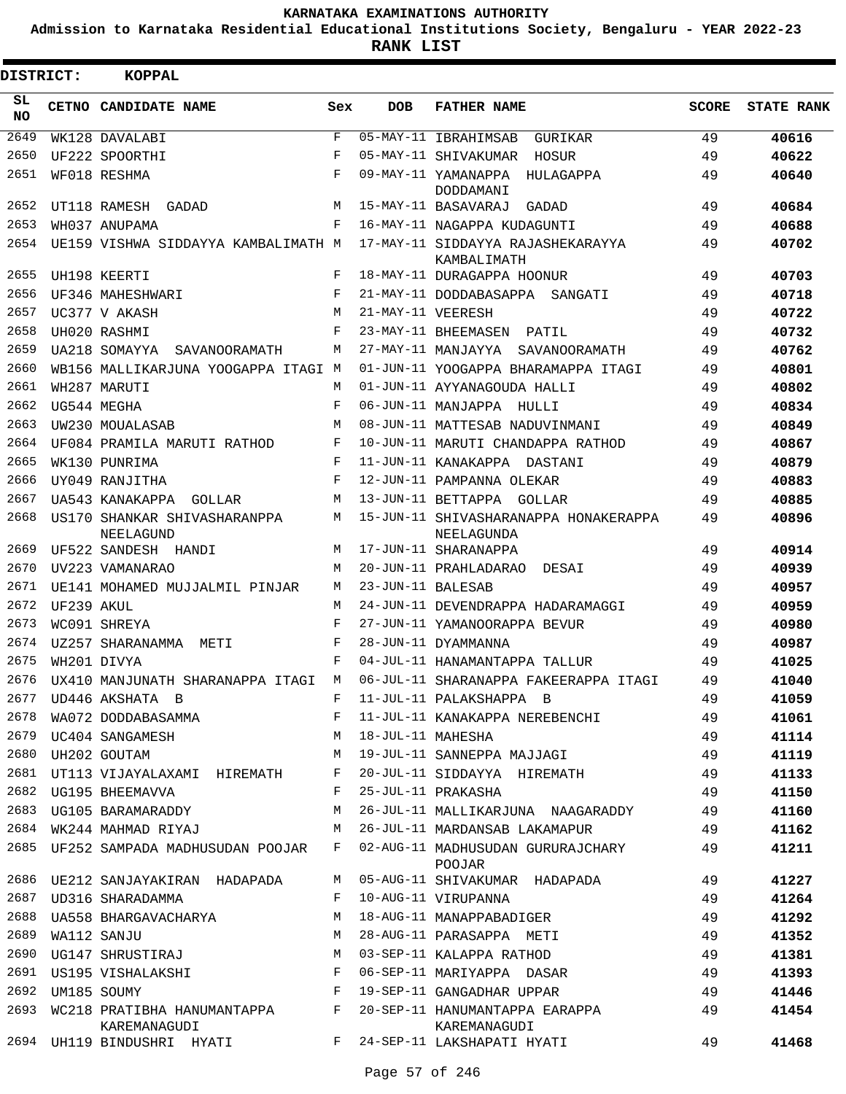**Admission to Karnataka Residential Educational Institutions Society, Bengaluru - YEAR 2022-23**

**RANK LIST**

Е

| DISTRICT:       |            | <b>KOPPAL</b>                                |            |                   |                                                                                           |              |                   |
|-----------------|------------|----------------------------------------------|------------|-------------------|-------------------------------------------------------------------------------------------|--------------|-------------------|
| SL<br><b>NO</b> |            | CETNO CANDIDATE NAME                         | Sex        | <b>DOB</b>        | <b>FATHER NAME</b>                                                                        | <b>SCORE</b> | <b>STATE RANK</b> |
| 2649            |            | WK128 DAVALABI                               | F          |                   | 05-MAY-11 IBRAHIMSAB<br>GURIKAR                                                           | 49           | 40616             |
| 2650            |            | UF222 SPOORTHI                               | $_{\rm F}$ |                   | 05-MAY-11 SHIVAKUMAR<br>HOSUR                                                             | 49           | 40622             |
| 2651            |            | WF018 RESHMA                                 | F          |                   | 09-MAY-11 YAMANAPPA<br>HULAGAPPA<br>DODDAMANI                                             | 49           | 40640             |
| 2652            |            | UT118 RAMESH GADAD                           | M          |                   | 15-MAY-11 BASAVARAJ<br>GADAD                                                              | 49           | 40684             |
| 2653            |            | WH037 ANUPAMA                                | F          |                   | 16-MAY-11 NAGAPPA KUDAGUNTI                                                               | 49           | 40688             |
| 2654            |            | UE159 VISHWA SIDDAYYA KAMBALIMATH M          |            |                   | 17-MAY-11 SIDDAYYA RAJASHEKARAYYA                                                         | 49           | 40702             |
|                 |            |                                              |            |                   | KAMBALIMATH                                                                               |              |                   |
| 2655            |            | UH198 KEERTI                                 | F          |                   | 18-MAY-11 DURAGAPPA HOONUR                                                                | 49           | 40703             |
| 2656            |            | UF346 MAHESHWARI                             | F          |                   | 21-MAY-11 DODDABASAPPA SANGATI                                                            | 49           | 40718             |
| 2657            |            | UC377 V AKASH                                | M          | 21-MAY-11 VEERESH |                                                                                           | 49           | 40722             |
| 2658            |            | UH020 RASHMI                                 | F          |                   | 23-MAY-11 BHEEMASEN<br>PATIL                                                              | 49           | 40732             |
| 2659            |            | UA218 SOMAYYA<br>SAVANOORAMATH               | М          |                   | 27-MAY-11 MANJAYYA SAVANOORAMATH                                                          | 49           | 40762             |
| 2660            |            | WB156 MALLIKARJUNA YOOGAPPA ITAGI M          |            |                   | 01-JUN-11 YOOGAPPA BHARAMAPPA ITAGI                                                       | 49           | 40801             |
| 2661            |            | WH287 MARUTI                                 | М          |                   | 01-JUN-11 AYYANAGOUDA HALLI                                                               | 49           | 40802             |
| 2662            |            | UG544 MEGHA                                  | $_{\rm F}$ |                   | 06-JUN-11 MANJAPPA HULLI                                                                  | 49           | 40834             |
| 2663            |            | UW230 MOUALASAB                              | M          |                   | 08-JUN-11 MATTESAB NADUVINMANI                                                            | 49           | 40849             |
| 2664            |            | UF084 PRAMILA MARUTI RATHOD                  | F          |                   | 10-JUN-11 MARUTI CHANDAPPA RATHOD                                                         | 49           | 40867             |
| 2665            |            | WK130 PUNRIMA                                | F          |                   | 11-JUN-11 KANAKAPPA DASTANI                                                               | 49           | 40879             |
| 2666            |            | UY049 RANJITHA                               | F          |                   | 12-JUN-11 PAMPANNA OLEKAR                                                                 | 49           | 40883             |
| 2667            |            | UA543 KANAKAPPA GOLLAR                       | M          |                   | 13-JUN-11 BETTAPPA GOLLAR                                                                 | 49           | 40885             |
| 2668            |            | US170 SHANKAR SHIVASHARANPPA<br>NEELAGUND    | M          |                   | 15-JUN-11 SHIVASHARANAPPA HONAKERAPPA<br>NEELAGUNDA                                       | 49           | 40896             |
| 2669            |            | UF522 SANDESH HANDI                          | М          |                   | 17-JUN-11 SHARANAPPA                                                                      | 49           | 40914             |
| 2670            |            | UV223 VAMANARAO                              | M          |                   | 20-JUN-11 PRAHLADARAO DESAI                                                               | 49           | 40939             |
| 2671            |            | UE141 MOHAMED MUJJALMIL PINJAR               | М          | 23-JUN-11 BALESAB |                                                                                           | 49           | 40957             |
| 2672            | UF239 AKUL |                                              | М          |                   | 24-JUN-11 DEVENDRAPPA HADARAMAGGI                                                         | 49           | 40959             |
| 2673            |            | WC091 SHREYA                                 | F          |                   | 27-JUN-11 YAMANOORAPPA BEVUR                                                              | 49           | 40980             |
| 2674            |            | UZ257 SHARANAMMA<br>METI                     | F          |                   | 28-JUN-11 DYAMMANNA                                                                       | 49           | 40987             |
| 2675            |            | WH201 DIVYA                                  | $_{\rm F}$ |                   | 04-JUL-11 HANAMANTAPPA TALLUR                                                             | 49           | 41025             |
| 2676            |            | UX410 MANJUNATH SHARANAPPA ITAGI M           |            |                   | 06-JUL-11 SHARANAPPA FAKEERAPPA ITAGI                                                     | 49           | 41040             |
|                 |            |                                              |            |                   |                                                                                           |              | 41059             |
|                 |            |                                              |            |                   |                                                                                           |              | 41061             |
|                 |            |                                              |            |                   |                                                                                           |              | 41114             |
|                 |            |                                              |            |                   | 2680 UH202 GOUTAM M 19-JUL-11 SANNEPPA MAJJAGI 49                                         |              | 41119             |
| 2681            |            |                                              |            |                   | UT113 VIJAYALAXAMI HIREMATH F 20-JUL-11 SIDDAYYA HIREMATH 49                              |              | 41133             |
|                 |            | 2682 UG195 BHEEMAVVA<br>F 25-JUL-11 PRAKASHA |            |                   |                                                                                           | 49           | 41150             |
|                 |            | 2683 UG105 BARAMARADDY M                     |            |                   | 26-JUL-11 MALLIKARJUNA NAAGARADDY 49                                                      |              | 41160             |
|                 |            |                                              |            |                   | 2684 WK244 MAHMAD RIYAJ             M   26-JUL-11 MARDANSAB LAKAMAPUR           49        |              | 41162             |
|                 |            |                                              |            |                   | 2685 UF252 SAMPADA MADHUSUDAN POOJAR F 02-AUG-11 MADHUSUDAN GURURAJCHARY 49<br>POOJAR     |              | 41211             |
|                 |            |                                              |            |                   | 2686 UE212 SANJAYAKIRAN HADAPADA M 05-AUG-11 SHIVAKUMAR HADAPADA 49                       |              | 41227             |
|                 |            | 2687 UD316 SHARADAMMA                        |            |                   | 49<br>F 10-AUG-11 VIRUPANNA                                                               |              | 41264             |
|                 |            |                                              |            |                   | 2688 UA558 BHARGAVACHARYA M 18-AUG-11 MANAPPABADIGER                                      | 49           | 41292             |
| 2689            |            | WA112 SANJU                                  |            |                   | M 28-AUG-11 PARASAPPA METI                                                                |              | 41352             |
|                 |            |                                              |            |                   | 2690 UG147 SHRUSTIRAJ M 03-SEP-11 KALAPPA RATHOD 49                                       |              | 41381             |
|                 |            |                                              |            |                   | 2691 US195 VISHALAKSHI KARA BI SHIDARIYA DASAR A SHIDARIYA DASAR A SHIDARIYA MARIYA DASAR |              | 41393             |
|                 |            | 2692 UM185 SOUMY                             |            |                   | F 19-SEP-11 GANGADHAR UPPAR 49                                                            |              | 41446             |
|                 |            | KAREMANAGUDI                                 |            |                   | 2693 WC218 PRATIBHA HANUMANTAPPA F 20-SEP-11 HANUMANTAPPA EARAPPA 49<br>KAREMANAGUDI      |              | 41454             |
|                 |            |                                              |            |                   | 2694 UH119 BINDUSHRI HYATI     F 24-SEP-11 LAKSHAPATI HYATI                               | 49           | 41468             |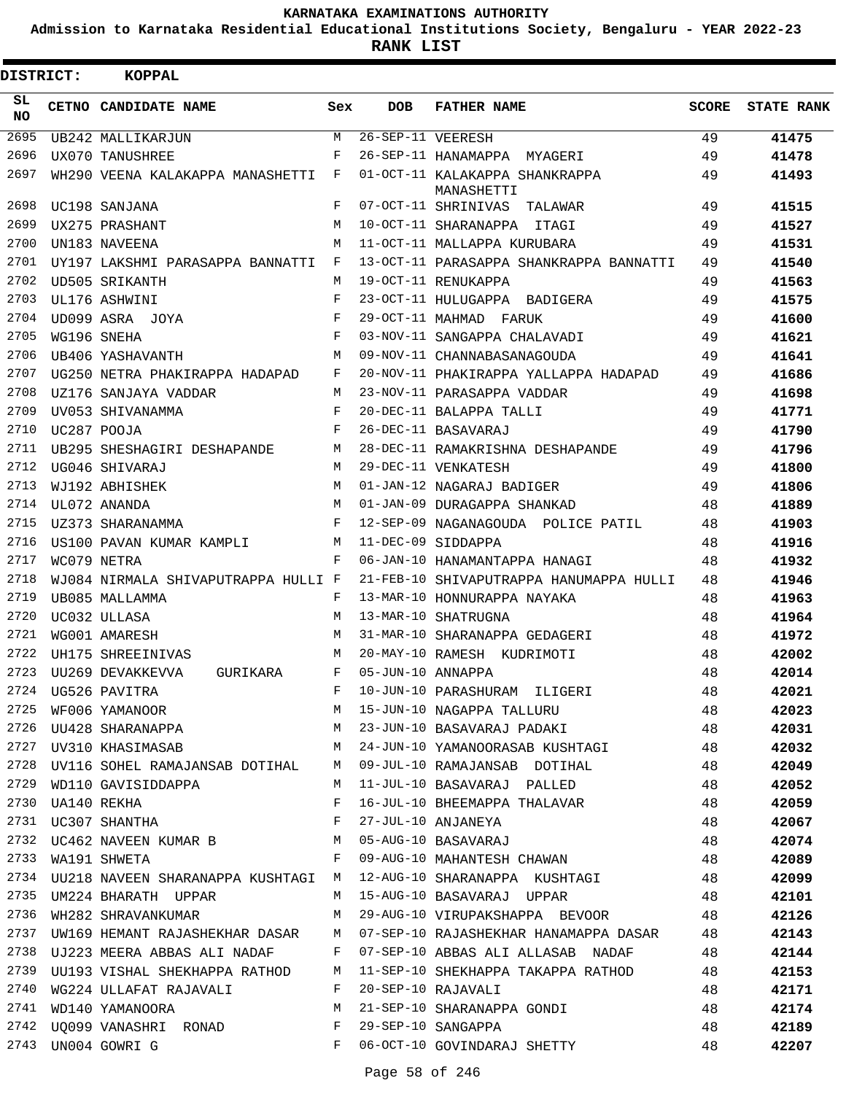**Admission to Karnataka Residential Educational Institutions Society, Bengaluru - YEAR 2022-23**

**RANK LIST**

| DISTRICT:        | KOPPAL                                  |              |                   |                                                                             |       |                   |
|------------------|-----------------------------------------|--------------|-------------------|-----------------------------------------------------------------------------|-------|-------------------|
| SL.<br><b>NO</b> | CETNO CANDIDATE NAME                    | Sex          | DOB               | <b>FATHER NAME</b>                                                          | SCORE | <b>STATE RANK</b> |
| 2695             | UB242 MALLIKARJUN                       | M            | 26-SEP-11 VEERESH |                                                                             | 49    | 41475             |
| 2696             | UX070 TANUSHREE                         | F            |                   | 26-SEP-11 HANAMAPPA MYAGERI                                                 | 49    | 41478             |
| 2697             | WH290 VEENA KALAKAPPA MANASHETTI F      |              |                   | 01-OCT-11 KALAKAPPA SHANKRAPPA<br>MANASHETTI                                | 49    | 41493             |
| 2698             | UC198 SANJANA                           | F            |                   | 07-OCT-11 SHRINIVAS TALAWAR                                                 | 49    | 41515             |
| 2699             | UX275 PRASHANT                          | M            |                   | 10-OCT-11 SHARANAPPA ITAGI                                                  | 49    | 41527             |
| 2700             | UN183 NAVEENA                           | M            |                   | 11-OCT-11 MALLAPPA KURUBARA                                                 | 49    | 41531             |
| 2701             | UY197 LAKSHMI PARASAPPA BANNATTI F      |              |                   | 13-OCT-11 PARASAPPA SHANKRAPPA BANNATTI                                     | 49    | 41540             |
| 2702             | UD505 SRIKANTH                          | M            |                   | 19-OCT-11 RENUKAPPA                                                         | 49    | 41563             |
| 2703             | UL176 ASHWINI                           | $_{\rm F}$   |                   | 23-OCT-11 HULUGAPPA BADIGERA                                                | 49    | 41575             |
| 2704             | UD099 ASRA JOYA                         | $_{\rm F}$   |                   | 29-OCT-11 MAHMAD FARUK                                                      | 49    | 41600             |
| 2705             | WG196 SNEHA                             | $\mathbf{F}$ |                   | 03-NOV-11 SANGAPPA CHALAVADI                                                | 49    | 41621             |
| 2706             | UB406 YASHAVANTH                        | М            |                   | 09-NOV-11 CHANNABASANAGOUDA                                                 | 49    | 41641             |
| 2707             | UG250 NETRA PHAKIRAPPA HADAPAD          | $\mathbf{F}$ |                   | 20-NOV-11 PHAKIRAPPA YALLAPPA HADAPAD                                       | 49    | 41686             |
| 2708             | UZ176 SANJAYA VADDAR                    | M            |                   | 23-NOV-11 PARASAPPA VADDAR                                                  | 49    | 41698             |
| 2709             | UV053 SHIVANAMMA                        | F            |                   | 20-DEC-11 BALAPPA TALLI                                                     | 49    | 41771             |
| 2710             | UC287 POOJA                             | F            |                   | 26-DEC-11 BASAVARAJ                                                         | 49    | 41790             |
| 2711             | UB295 SHESHAGIRI DESHAPANDE             | M            |                   | 28-DEC-11 RAMAKRISHNA DESHAPANDE                                            | 49    | 41796             |
| 2712             | UG046 SHIVARAJ                          | M            |                   | 29-DEC-11 VENKATESH                                                         | 49    | 41800             |
| 2713             | WJ192 ABHISHEK                          | M            |                   | 01-JAN-12 NAGARAJ BADIGER                                                   | 49    | 41806             |
| 2714             | UL072 ANANDA                            | M            |                   | 01-JAN-09 DURAGAPPA SHANKAD                                                 | 48    | 41889             |
| 2715             | UZ373 SHARANAMMA                        | F            |                   | 12-SEP-09 NAGANAGOUDA POLICE PATIL                                          | 48    | 41903             |
| 2716             | US100 PAVAN KUMAR KAMPLI M              |              |                   | 11-DEC-09 SIDDAPPA                                                          | 48    | 41916             |
| 2717             | WC079 NETRA                             | F            |                   | 06-JAN-10 HANAMANTAPPA HANAGI                                               | 48    | 41932             |
| 2718             | WJ084 NIRMALA SHIVAPUTRAPPA HULLI F     |              |                   | 21-FEB-10 SHIVAPUTRAPPA HANUMAPPA HULLI                                     | 48    | 41946             |
| 2719             | UB085 MALLAMMA                          | $\mathbf{F}$ |                   | 13-MAR-10 HONNURAPPA NAYAKA                                                 | 48    | 41963             |
| 2720             | UC032 ULLASA                            | M            |                   | 13-MAR-10 SHATRUGNA                                                         | 48    | 41964             |
| 2721             | WG001 AMARESH                           | M            |                   | 31-MAR-10 SHARANAPPA GEDAGERI                                               | 48    | 41972             |
| 2722             | UH175 SHREEINIVAS                       | M            |                   | 20-MAY-10 RAMESH KUDRIMOTI                                                  | 48    | 42002             |
| 2723             | UU269 DEVAKKEVVA<br>GURIKARA            | F            | 05-JUN-10 ANNAPPA |                                                                             | 48    | 42014             |
|                  | 2724 UG526 PAVITRA                      | F            |                   | 10-JUN-10 PARASHURAM ILIGERI                                                | 48    | 42021             |
|                  | 2725 WF006 YAMANOOR                     | M            |                   | 15-JUN-10 NAGAPPA TALLURU                                                   | 48    | 42023             |
| 2726             | UU428 SHARANAPPA                        | M            |                   | 23-JUN-10 BASAVARAJ PADAKI                                                  | 48    | 42031             |
|                  | <b>M</b><br>2727 UV310 KHASIMASAB       |              |                   | 24-JUN-10 YAMANOORASAB KUSHTAGI                                             | 48    | 42032             |
|                  | 2728 UV116 SOHEL RAMAJANSAB DOTIHAL M   |              |                   | 09-JUL-10 RAMAJANSAB DOTIHAL                                                | 48    | 42049             |
| 2729             | WD110 GAVISIDDAPPA                      | M            |                   | 11-JUL-10 BASAVARAJ PALLED                                                  | 48    | 42052             |
| 2730             | UA140 REKHA                             | F            |                   | 16-JUL-10 BHEEMAPPA THALAVAR                                                | 48    | 42059             |
| 2731             | $UC307$ SHANTHA F                       |              |                   | 27-JUL-10 ANJANEYA                                                          | 48    | 42067             |
|                  | 2732 UC462 NAVEEN KUMAR B               |              |                   | 05-AUG-10 BASAVARAJ                                                         | 48    | 42074             |
| 2733             | WA191 SHWETA                            | F            |                   | 09-AUG-10 MAHANTESH CHAWAN                                                  | 48    | 42089             |
|                  | 2734 UU218 NAVEEN SHARANAPPA KUSHTAGI M |              |                   | 12-AUG-10 SHARANAPPA KUSHTAGI                                               | 48    | 42099             |
| 2735             | UM224 BHARATH UPPAR                     | M            |                   | 15-AUG-10 BASAVARAJ UPPAR                                                   | 48    | 42101             |
| 2736             | WH282 SHRAVANKUMAR                      | M            |                   | 29-AUG-10 VIRUPAKSHAPPA BEVOOR                                              | 48    | 42126             |
|                  |                                         |              |                   | 2737 UW169 HEMANT RAJASHEKHAR DASAR M 07-SEP-10 RAJASHEKHAR HANAMAPPA DASAR | 48    | 42143             |
| 2738             | UJ223 MEERA ABBAS ALI NADAF             | F            |                   | 07-SEP-10 ABBAS ALI ALLASAB NADAF                                           | 48    | 42144             |
| 2739             | UU193 VISHAL SHEKHAPPA RATHOD           | M            |                   | 11-SEP-10 SHEKHAPPA TAKAPPA RATHOD                                          | 48    | 42153             |
| 2740             | WG224 ULLAFAT RAJAVALI                  | F            |                   | 20-SEP-10 RAJAVALI                                                          | 48    | 42171             |
| 2741             | WD140 YAMANOORA                         | M            |                   | 21-SEP-10 SHARANAPPA GONDI                                                  | 48    | 42174             |
| 2742             | UQ099 VANASHRI RONAD                    | F            |                   | 29-SEP-10 SANGAPPA                                                          | 48    | 42189             |
|                  | 2743 UN004 GOWRI G                      | F            |                   | 06-OCT-10 GOVINDARAJ SHETTY                                                 | 48    | 42207             |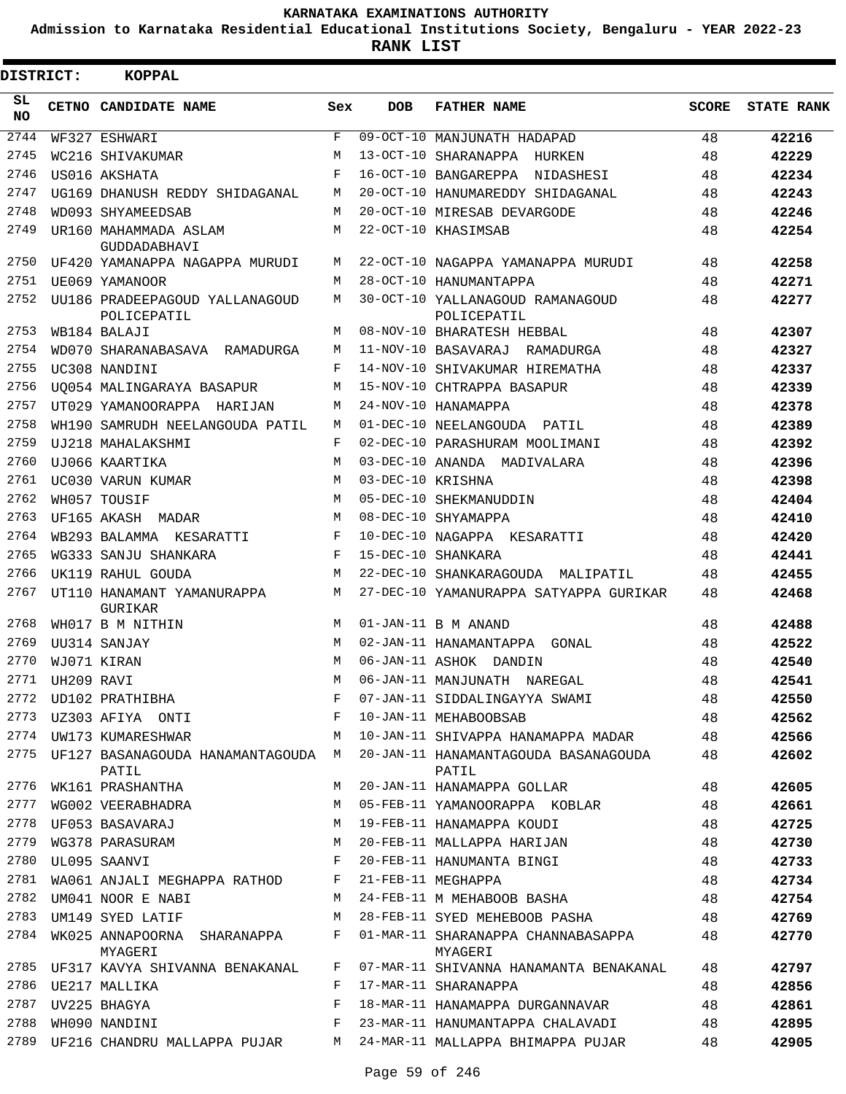**Admission to Karnataka Residential Educational Institutions Society, Bengaluru - YEAR 2022-23**

**RANK LIST**

| DISTRICT: |            | <b>KOPPAL</b>                                 |     |                   |                                                 |              |                   |
|-----------|------------|-----------------------------------------------|-----|-------------------|-------------------------------------------------|--------------|-------------------|
| SL<br>NO. |            | CETNO CANDIDATE NAME                          | Sex | <b>DOB</b>        | <b>FATHER NAME</b>                              | <b>SCORE</b> | <b>STATE RANK</b> |
| 2744      |            | WF327 ESHWARI                                 | F   |                   | 09-OCT-10 MANJUNATH HADAPAD                     | 48           | 42216             |
| 2745      |            | WC216 SHIVAKUMAR                              | M   |                   | 13-OCT-10 SHARANAPPA HURKEN                     | 48           | 42229             |
| 2746      |            | US016 AKSHATA                                 | F   |                   | 16-OCT-10 BANGAREPPA NIDASHESI                  | 48           | 42234             |
| 2747      |            | UG169 DHANUSH REDDY SHIDAGANAL                | М   |                   | 20-OCT-10 HANUMAREDDY SHIDAGANAL                | 48           | 42243             |
| 2748      |            | WD093 SHYAMEEDSAB                             | M   |                   | 20-OCT-10 MIRESAB DEVARGODE                     | 48           | 42246             |
| 2749      |            | UR160 MAHAMMADA ASLAM<br>GUDDADABHAVI         | М   |                   | 22-OCT-10 KHASIMSAB                             | 48           | 42254             |
| 2750      |            | UF420 YAMANAPPA NAGAPPA MURUDI                | М   |                   | 22-OCT-10 NAGAPPA YAMANAPPA MURUDI              | 48           | 42258             |
| 2751      |            | UE069 YAMANOOR                                | М   |                   | 28-OCT-10 HANUMANTAPPA                          | 48           | 42271             |
| 2752      |            | UU186 PRADEEPAGOUD YALLANAGOUD<br>POLICEPATIL | M   |                   | 30-OCT-10 YALLANAGOUD RAMANAGOUD<br>POLICEPATIL | 48           | 42277             |
| 2753      |            | WB184 BALAJI                                  | M   |                   | 08-NOV-10 BHARATESH HEBBAL                      | 48           | 42307             |
| 2754      |            | WD070 SHARANABASAVA RAMADURGA                 | М   |                   | 11-NOV-10 BASAVARAJ RAMADURGA                   | 48           | 42327             |
| 2755      |            | UC308 NANDINI                                 | F   |                   | 14-NOV-10 SHIVAKUMAR HIREMATHA                  | 48           | 42337             |
| 2756      |            | UO054 MALINGARAYA BASAPUR                     | M   |                   | 15-NOV-10 CHTRAPPA BASAPUR                      | 48           | 42339             |
| 2757      |            | UT029 YAMANOORAPPA HARIJAN                    | M   |                   | 24-NOV-10 HANAMAPPA                             | 48           | 42378             |
| 2758      |            | WH190 SAMRUDH NEELANGOUDA PATIL               | M   |                   | 01-DEC-10 NEELANGOUDA PATIL                     | 48           | 42389             |
| 2759      |            | UJ218 MAHALAKSHMI                             | F   |                   | 02-DEC-10 PARASHURAM MOOLIMANI                  | 48           | 42392             |
| 2760      |            | UJ066 KAARTIKA                                | M   |                   | 03-DEC-10 ANANDA MADIVALARA                     | 48           | 42396             |
| 2761      |            | UC030 VARUN KUMAR                             | M   | 03-DEC-10 KRISHNA |                                                 | 48           | 42398             |
| 2762      |            | WH057 TOUSIF                                  | M   |                   | 05-DEC-10 SHEKMANUDDIN                          | 48           | 42404             |
| 2763      |            | UF165 AKASH MADAR                             | M   |                   | 08-DEC-10 SHYAMAPPA                             | 48           | 42410             |
| 2764      |            | WB293 BALAMMA KESARATTI                       | F   |                   | 10-DEC-10 NAGAPPA KESARATTI                     | 48           | 42420             |
| 2765      |            | WG333 SANJU SHANKARA                          | F   |                   | 15-DEC-10 SHANKARA                              | 48           | 42441             |
| 2766      |            | UK119 RAHUL GOUDA                             | М   |                   | 22-DEC-10 SHANKARAGOUDA MALIPATIL               | 48           | 42455             |
| 2767      |            | UT110 HANAMANT YAMANURAPPA<br>GURIKAR         | М   |                   | 27-DEC-10 YAMANURAPPA SATYAPPA GURIKAR          | 48           | 42468             |
| 2768      |            | WH017 B M NITHIN                              | M   |                   | 01-JAN-11 B M ANAND                             | 48           | 42488             |
| 2769      |            | UU314 SANJAY                                  | M   |                   | 02-JAN-11 HANAMANTAPPA<br>GONAL                 | 48           | 42522             |
| 2770      |            | WJ071 KIRAN                                   | M   |                   | 06-JAN-11 ASHOK DANDIN                          | 48           | 42540             |
| 2771      | UH209 RAVI |                                               | M   |                   | 06-JAN-11 MANJUNATH NAREGAL                     | 48           | 42541             |
| 2772      |            | UD102 PRATHIBHA                               | F   |                   | 07-JAN-11 SIDDALINGAYYA SWAMI                   | 48           | 42550             |
|           |            | 2773 UZ303 AFIYA ONTI                         | F   |                   | 10-JAN-11 MEHABOOBSAB                           | 48           | 42562             |
|           |            | 2774 UW173 KUMARESHWAR                        | М   |                   | 10-JAN-11 SHIVAPPA HANAMAPPA MADAR              | 48           | 42566             |
| 2775      |            | UF127 BASANAGOUDA HANAMANTAGOUDA M<br>PATIL   |     |                   | 20-JAN-11 HANAMANTAGOUDA BASANAGOUDA<br>PATIL   | 48           | 42602             |
| 2776      |            | WK161 PRASHANTHA                              | М   |                   | 20-JAN-11 HANAMAPPA GOLLAR                      | 48           | 42605             |
| 2777      |            | WG002 VEERABHADRA                             | М   |                   | 05-FEB-11 YAMANOORAPPA KOBLAR                   | 48           | 42661             |
| 2778      |            | UF053 BASAVARAJ                               | М   |                   | 19-FEB-11 HANAMAPPA KOUDI                       | 48           | 42725             |
| 2779      |            | WG378 PARASURAM                               | М   |                   | 20-FEB-11 MALLAPPA HARIJAN                      | 48           | 42730             |
|           |            | 2780 UL095 SAANVI                             | F   |                   | 20-FEB-11 HANUMANTA BINGI                       | 48           | 42733             |
| 2781      |            | WA061 ANJALI MEGHAPPA RATHOD                  | F   |                   | 21-FEB-11 MEGHAPPA                              | 48           | 42734             |
| 2782      |            | UM041 NOOR E NABI                             | М   |                   | 24-FEB-11 M MEHABOOB BASHA                      | 48           | 42754             |
| 2783      |            | UM149 SYED LATIF                              | М   |                   | 28-FEB-11 SYED MEHEBOOB PASHA                   | 48           | 42769             |
| 2784      |            | WK025 ANNAPOORNA SHARANAPPA<br>MYAGERI        | F   |                   | 01-MAR-11 SHARANAPPA CHANNABASAPPA<br>MYAGERI   | 48           | 42770             |
|           |            | 2785 UF317 KAVYA SHIVANNA BENAKANAL           | F   |                   | 07-MAR-11 SHIVANNA HANAMANTA BENAKANAL          | 48           | 42797             |
| 2786      |            | UE217 MALLIKA                                 | F   |                   | 17-MAR-11 SHARANAPPA                            | 48           | 42856             |
| 2787      |            | UV225 BHAGYA                                  | F   |                   | 18-MAR-11 HANAMAPPA DURGANNAVAR                 | 48           | 42861             |
| 2788      |            | WH090 NANDINI                                 | F   |                   | 23-MAR-11 HANUMANTAPPA CHALAVADI                | 48           | 42895             |
|           |            | 2789 UF216 CHANDRU MALLAPPA PUJAR             | M   |                   | 24-MAR-11 MALLAPPA BHIMAPPA PUJAR               | 48           | 42905             |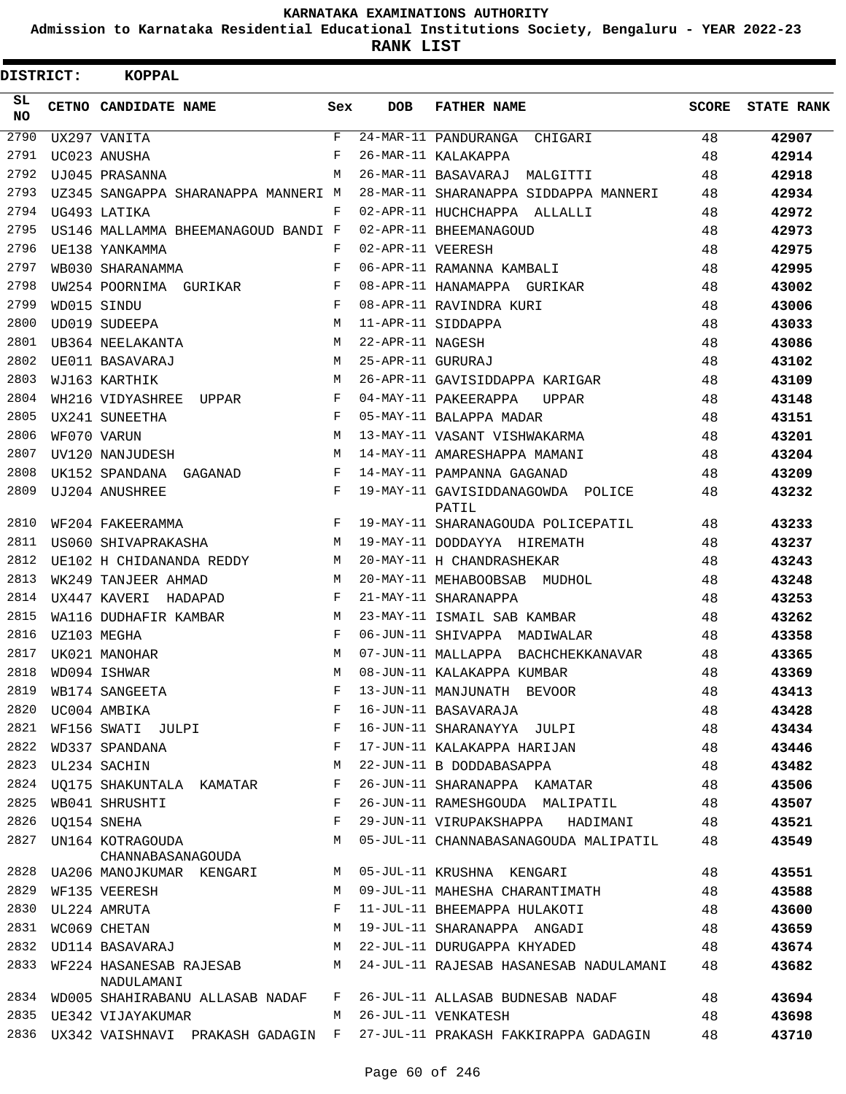**Admission to Karnataka Residential Educational Institutions Society, Bengaluru - YEAR 2022-23**

| DISTRICT:       |             | <b>KOPPAL</b>                          |              |                   |                                            |       |                   |
|-----------------|-------------|----------------------------------------|--------------|-------------------|--------------------------------------------|-------|-------------------|
| SL<br><b>NO</b> |             | CETNO CANDIDATE NAME                   | Sex          | <b>DOB</b>        | <b>FATHER NAME</b>                         | SCORE | <b>STATE RANK</b> |
| 2790            |             | UX297 VANITA                           | $\mathbf{F}$ |                   | 24-MAR-11 PANDURANGA<br>CHIGARI            | 48    | 42907             |
| 2791            |             | UC023 ANUSHA                           | F            |                   | 26-MAR-11 KALAKAPPA                        | 48    | 42914             |
| 2792            |             | UJ045 PRASANNA                         | М            |                   | 26-MAR-11 BASAVARAJ MALGITTI               | 48    | 42918             |
| 2793            |             | UZ345 SANGAPPA SHARANAPPA MANNERI M    |              |                   | 28-MAR-11 SHARANAPPA SIDDAPPA MANNERI      | 48    | 42934             |
| 2794            |             | UG493 LATIKA                           | F            |                   | 02-APR-11 HUCHCHAPPA ALLALLI               | 48    | 42972             |
| 2795            |             | US146 MALLAMMA BHEEMANAGOUD BANDI F    |              |                   | 02-APR-11 BHEEMANAGOUD                     | 48    | 42973             |
| 2796            |             | UE138 YANKAMMA                         | F            | 02-APR-11 VEERESH |                                            | 48    | 42975             |
| 2797            |             | WB030 SHARANAMMA                       | F            |                   | 06-APR-11 RAMANNA KAMBALI                  | 48    | 42995             |
| 2798            |             | UW254 POORNIMA GURIKAR                 | F            |                   | 08-APR-11 HANAMAPPA GURIKAR                | 48    | 43002             |
| 2799            |             | WD015 SINDU                            | F            |                   | 08-APR-11 RAVINDRA KURI                    | 48    | 43006             |
| 2800            |             | UD019 SUDEEPA                          | М            |                   | 11-APR-11 SIDDAPPA                         | 48    | 43033             |
| 2801            |             | UB364 NEELAKANTA                       | М            | 22-APR-11 NAGESH  |                                            | 48    | 43086             |
| 2802            |             | UE011 BASAVARAJ                        | M            | 25-APR-11 GURURAJ |                                            | 48    | 43102             |
| 2803            |             | WJ163 KARTHIK                          | M            |                   | 26-APR-11 GAVISIDDAPPA KARIGAR             | 48    | 43109             |
| 2804            |             | WH216 VIDYASHREE<br>UPPAR              | F            |                   | 04-MAY-11 PAKEERAPPA<br>UPPAR              | 48    | 43148             |
| 2805            |             | UX241 SUNEETHA                         | F            |                   | 05-MAY-11 BALAPPA MADAR                    | 48    | 43151             |
| 2806            |             | WF070 VARUN                            | М            |                   | 13-MAY-11 VASANT VISHWAKARMA               | 48    | 43201             |
| 2807            |             | UV120 NANJUDESH                        | M            |                   | 14-MAY-11 AMARESHAPPA MAMANI               | 48    | 43204             |
| 2808            |             | UK152 SPANDANA GAGANAD                 | F            |                   | 14-MAY-11 PAMPANNA GAGANAD                 | 48    | 43209             |
| 2809            |             | UJ204 ANUSHREE                         | F            |                   | 19-MAY-11 GAVISIDDANAGOWDA POLICE<br>PATIL | 48    | 43232             |
| 2810            |             | WF204 FAKEERAMMA                       | F            |                   | 19-MAY-11 SHARANAGOUDA POLICEPATIL         | 48    | 43233             |
| 2811            |             | US060 SHIVAPRAKASHA                    | M            |                   | 19-MAY-11 DODDAYYA HIREMATH                | 48    | 43237             |
| 2812            |             | UE102 H CHIDANANDA REDDY               | M            |                   | 20-MAY-11 H CHANDRASHEKAR                  | 48    | 43243             |
| 2813            |             | WK249 TANJEER AHMAD                    | M            |                   | 20-MAY-11 MEHABOOBSAB MUDHOL               | 48    | 43248             |
| 2814            |             | UX447 KAVERI HADAPAD                   | F            |                   | 21-MAY-11 SHARANAPPA                       | 48    | 43253             |
| 2815            |             | WA116 DUDHAFIR KAMBAR                  | M            |                   | 23-MAY-11 ISMAIL SAB KAMBAR                | 48    | 43262             |
| 2816            |             | UZ103 MEGHA                            | F            |                   | 06-JUN-11 SHIVAPPA MADIWALAR               | 48    | 43358             |
| 2817            |             | UK021 MANOHAR                          | М            |                   | 07-JUN-11 MALLAPPA BACHCHEKKANAVAR         | 48    | 43365             |
| 2818            |             | WD094 ISHWAR                           | M            |                   | 08-JUN-11 KALAKAPPA KUMBAR                 | 48    | 43369             |
| 2819            |             | WB174 SANGEETA                         | F            |                   | 13-JUN-11 MANJUNATH BEVOOR                 | 48    | 43413             |
| 2820            |             | UC004 AMBIKA                           | F            |                   | 16-JUN-11 BASAVARAJA                       | 48    | 43428             |
| 2821            |             | WF156 SWATI JULPI                      | F            |                   | 16-JUN-11 SHARANAYYA JULPI                 | 48    | 43434             |
| 2822            |             | WD337 SPANDANA                         | F            |                   | 17-JUN-11 KALAKAPPA HARIJAN                | 48    | 43446             |
| 2823            |             | UL234 SACHIN                           | М            |                   | 22-JUN-11 B DODDABASAPPA                   | 48    | 43482             |
| 2824            |             | UQ175 SHAKUNTALA KAMATAR               | F            |                   | 26-JUN-11 SHARANAPPA KAMATAR               | 48    | 43506             |
| 2825            |             | WB041 SHRUSHTI                         | F            |                   | 26-JUN-11 RAMESHGOUDA MALIPATIL            | 48    | 43507             |
| 2826            | UO154 SNEHA |                                        | F            |                   | 29-JUN-11 VIRUPAKSHAPPA HADIMANI           | 48    | 43521             |
| 2827            |             | UN164 KOTRAGOUDA<br>CHANNABASANAGOUDA  | М            |                   | 05-JUL-11 CHANNABASANAGOUDA MALIPATIL      | 48    | 43549             |
|                 |             | 2828    UA206    MANOJKUMAR    KENGARI | M            |                   | 05-JUL-11 KRUSHNA KENGARI                  | 48    | 43551             |
| 2829            |             | WF135 VEERESH                          | M            |                   | 09-JUL-11 MAHESHA CHARANTIMATH             | 48    | 43588             |
| 2830            |             | UL224 AMRUTA                           | F            |                   | 11-JUL-11 BHEEMAPPA HULAKOTI               | 48    | 43600             |
|                 |             | 2831 WC069 CHETAN                      | М            |                   | 19-JUL-11 SHARANAPPA ANGADI                | 48    | 43659             |
| 2832            |             | UD114 BASAVARAJ                        | M            |                   | 22-JUL-11 DURUGAPPA KHYADED                | 48    | 43674             |
| 2833            |             | WF224 HASANESAB RAJESAB<br>NADULAMANI  | M            |                   | 24-JUL-11 RAJESAB HASANESAB NADULAMANI     | 48    | 43682             |
|                 |             | 2834 WD005 SHAHIRABANU ALLASAB NADAF   | F            |                   | 26-JUL-11 ALLASAB BUDNESAB NADAF           | 48    | 43694             |
|                 |             | 2835 UE342 VIJAYAKUMAR                 | M            |                   | 26-JUL-11 VENKATESH                        | 48    | 43698             |
| 2836            |             | UX342 VAISHNAVI PRAKASH GADAGIN F      |              |                   | 27-JUL-11 PRAKASH FAKKIRAPPA GADAGIN       | 48    | 43710             |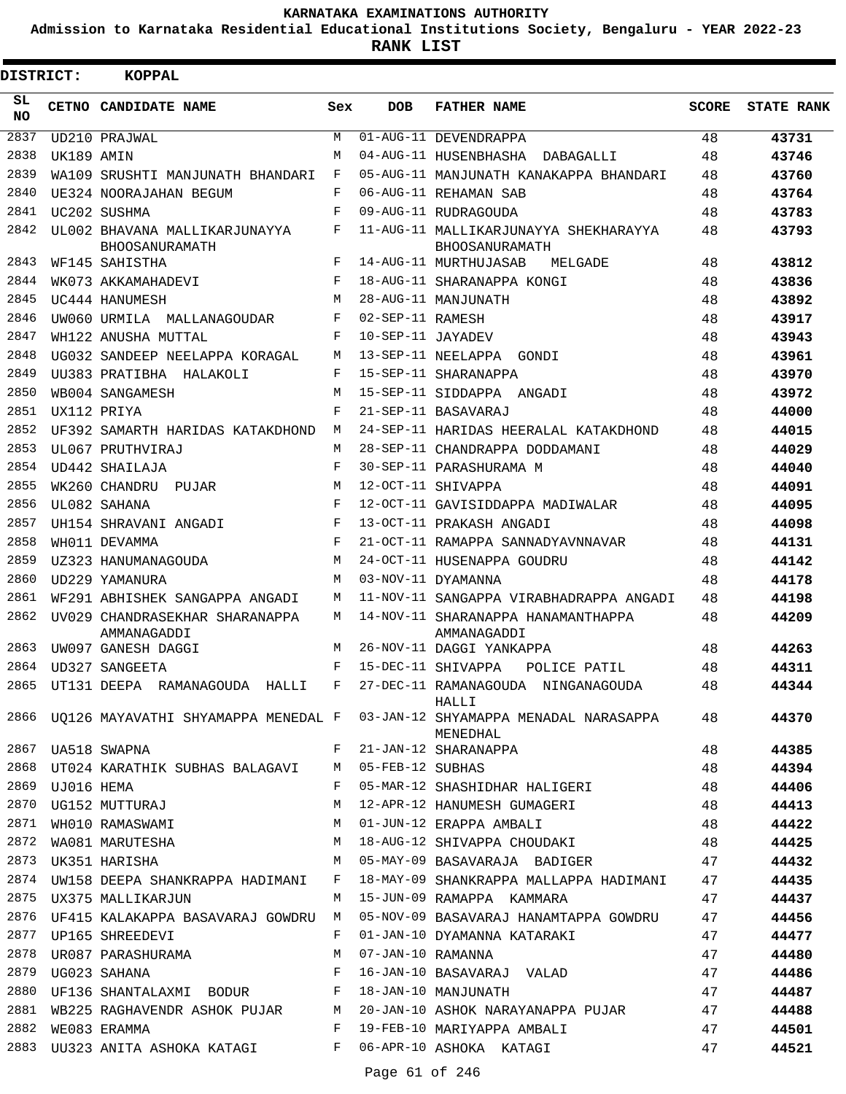**Admission to Karnataka Residential Educational Institutions Society, Bengaluru - YEAR 2022-23**

**RANK LIST**

| <b>DISTRICT:</b> |                 | <b>KOPPAL</b>                                            |         |                   |                                                                                                        |              |                   |
|------------------|-----------------|----------------------------------------------------------|---------|-------------------|--------------------------------------------------------------------------------------------------------|--------------|-------------------|
| SL<br>NO.        |                 | CETNO CANDIDATE NAME                                     | Sex     | <b>DOB</b>        | <b>FATHER NAME</b>                                                                                     | <b>SCORE</b> | <b>STATE RANK</b> |
| 2837             |                 | UD210 PRAJWAL                                            | М       |                   | 01-AUG-11 DEVENDRAPPA                                                                                  | 48           | 43731             |
| 2838             | UK189 AMIN      |                                                          | М       |                   | 04-AUG-11 HUSENBHASHA DABAGALLI                                                                        | 48           | 43746             |
| 2839             |                 | WA109 SRUSHTI MANJUNATH BHANDARI                         | F       |                   | 05-AUG-11 MANJUNATH KANAKAPPA BHANDARI                                                                 | 48           | 43760             |
| 2840             |                 | UE324 NOORAJAHAN BEGUM                                   | F       |                   | 06-AUG-11 REHAMAN SAB                                                                                  | 48           | 43764             |
| 2841             |                 | UC202 SUSHMA                                             | F       |                   | 09-AUG-11 RUDRAGOUDA                                                                                   | 48           | 43783             |
| 2842             |                 | UL002 BHAVANA MALLIKARJUNAYYA<br>BHOOSANURAMATH          | F       |                   | 11-AUG-11 MALLIKARJUNAYYA SHEKHARAYYA<br>BHOOSANURAMATH                                                | 48           | 43793             |
| 2843             |                 | WF145 SAHISTHA                                           | F       |                   | 14-AUG-11 MURTHUJASAB<br>MELGADE                                                                       | 48           | 43812             |
| 2844             |                 | WK073 AKKAMAHADEVI                                       | F       |                   | 18-AUG-11 SHARANAPPA KONGI                                                                             | 48           | 43836             |
| 2845             |                 | UC444 HANUMESH                                           | M       |                   | 28-AUG-11 MANJUNATH                                                                                    | 48           | 43892             |
| 2846             |                 | UW060 URMILA MALLANAGOUDAR                               | F       | 02-SEP-11 RAMESH  |                                                                                                        | 48           | 43917             |
| 2847             |                 | WH122 ANUSHA MUTTAL                                      | F       | 10-SEP-11 JAYADEV |                                                                                                        | 48           | 43943             |
| 2848             |                 | UG032 SANDEEP NEELAPPA KORAGAL                           | M       |                   | 13-SEP-11 NEELAPPA GONDI                                                                               | 48           | 43961             |
| 2849             |                 | UU383 PRATIBHA HALAKOLI                                  | F       |                   | 15-SEP-11 SHARANAPPA                                                                                   | 48           | 43970             |
| 2850             |                 | WB004 SANGAMESH                                          | М       |                   | 15-SEP-11 SIDDAPPA ANGADI                                                                              | 48           | 43972             |
| 2851             |                 | UX112 PRIYA                                              | F       |                   | 21-SEP-11 BASAVARAJ                                                                                    | 48           | 44000             |
| 2852             |                 | UF392 SAMARTH HARIDAS KATAKDHOND                         | M       |                   | 24-SEP-11 HARIDAS HEERALAL KATAKDHOND                                                                  | 48           | 44015             |
| 2853             |                 | UL067 PRUTHVIRAJ                                         | М       |                   | 28-SEP-11 CHANDRAPPA DODDAMANI                                                                         | 48           | 44029             |
| 2854             |                 | UD442 SHAILAJA                                           | F       |                   | 30-SEP-11 PARASHURAMA M                                                                                | 48           | 44040             |
| 2855             |                 | WK260 CHANDRU PUJAR                                      | M       |                   | 12-OCT-11 SHIVAPPA                                                                                     | 48           | 44091             |
| 2856             |                 | UL082 SAHANA                                             | F       |                   | 12-OCT-11 GAVISIDDAPPA MADIWALAR                                                                       | 48           | 44095             |
| 2857             |                 | UH154 SHRAVANI ANGADI                                    | F       |                   | 13-OCT-11 PRAKASH ANGADI                                                                               | 48           | 44098             |
| 2858             |                 | WH011 DEVAMMA                                            | F       |                   | 21-OCT-11 RAMAPPA SANNADYAVNNAVAR                                                                      | 48           | 44131             |
| 2859             |                 | UZ323 HANUMANAGOUDA                                      | M       |                   | 24-OCT-11 HUSENAPPA GOUDRU                                                                             | 48           | 44142             |
| 2860             |                 | UD229 YAMANURA                                           | M       |                   | 03-NOV-11 DYAMANNA                                                                                     | 48           | 44178             |
| 2861             |                 | WF291 ABHISHEK SANGAPPA ANGADI                           | M       |                   | 11-NOV-11 SANGAPPA VIRABHADRAPPA ANGADI                                                                | 48           | 44198             |
| 2862             |                 | UV029 CHANDRASEKHAR SHARANAPPA<br>AMMANAGADDI            | M       |                   | 14-NOV-11 SHARANAPPA HANAMANTHAPPA<br>AMMANAGADDI                                                      | 48           | 44209             |
| 2863             |                 | UW097 GANESH DAGGI                                       | M       |                   | 26-NOV-11 DAGGI YANKAPPA                                                                               | 48           | 44263             |
| 2864             |                 | UD327 SANGEETA                                           | F       |                   | 15-DEC-11 SHIVAPPA<br>POLICE PATIL                                                                     | 48           | 44311             |
|                  |                 |                                                          |         |                   | 2865 UT131 DEEPA RAMANAGOUDA HALLI F 27-DEC-11 RAMANAGOUDA NINGANAGOUDA                                | 48           | 44344             |
|                  |                 |                                                          |         |                   | HALLI<br>2866 UQ126 MAYAVATHI SHYAMAPPA MENEDAL F 03-JAN-12 SHYAMAPPA MENADAL NARASAPPA 48<br>MENEDHAL |              | 44370             |
|                  |                 | 2867 UA518 SWAPNA                                        |         |                   | F 21-JAN-12 SHARANAPPA                                                                                 | 48 — 18      | 44385             |
|                  |                 | 2868 UT024 KARATHIK SUBHAS BALAGAVI M 05-FEB-12 SUBHAS   |         |                   |                                                                                                        | 48           | 44394             |
|                  | 2869 UJ016 HEMA |                                                          | $F$ and |                   | 05-MAR-12 SHASHIDHAR HALIGERI 48                                                                       |              | 44406             |
| 2870             |                 | UJU16 HEMA<br>UG152 MUTTURAJ                             |         |                   | M 12-APR-12 HANUMESH GUMAGERI 48                                                                       |              | 44413             |
| 2871             |                 |                                                          |         |                   | WHO10 RAMASWAMI M O1-JUN-12 ERAPPA AMBALI                                                              | 48           | 44422             |
|                  |                 |                                                          |         |                   | 2872 WA081 MARUTESHA M 18-AUG-12 SHIVAPPA CHOUDAKI 48                                                  |              | 44425             |
|                  |                 | 2873 UK351 HARISHA                                       |         |                   | M 05-MAY-09 BASAVARAJA BADIGER 47                                                                      |              | 44432             |
|                  |                 |                                                          |         |                   | 2874 UW158 DEEPA SHANKRAPPA HADIMANI F 18-MAY-09 SHANKRAPPA MALLAPPA HADIMANI 47                       |              | 44435             |
|                  |                 | 2875 UX375 MALLIKARJUN                                   |         |                   | M 15-JUN-09 RAMAPPA KAMMARA<br>47                                                                      |              | 44437             |
|                  |                 |                                                          |         |                   | 2876 UF415 KALAKAPPA BASAVARAJ GOWDRU M 05-NOV-09 BASAVARAJ HANAMTAPPA GOWDRU 47                       |              | 44456             |
|                  |                 | 2877 UP165 SHREEDEVI                                     | $F$ and |                   | 01-JAN-10 DYAMANNA KATARAKI                                                                            | 47           | 44477             |
| 2878             |                 | UR087 PARASHURAMA M M 07-JAN-10 RAMANNA                  |         |                   |                                                                                                        | 47           | 44480             |
| 2879             |                 |                                                          |         |                   |                                                                                                        | 47           | 44486             |
|                  |                 | 2880 UF136 SHANTALAXMI BODUR F 18-JAN-10 MANJUNATH       |         |                   | 47                                                                                                     |              | 44487             |
|                  |                 |                                                          |         |                   | 2881 WB225 RAGHAVENDR ASHOK PUJAR M 20-JAN-10 ASHOK NARAYANAPPA PUJAR 47                               |              | 44488             |
|                  |                 | 2882 WE083 ERAMMA                                        |         |                   | F 19-FEB-10 MARIYAPPA AMBALI                                                                           | 47           | 44501             |
|                  |                 | 2883 UU323 ANITA ASHOKA KATAGI KARA BERAGI ASHOKA KATAGI |         |                   |                                                                                                        | 47           | 44521             |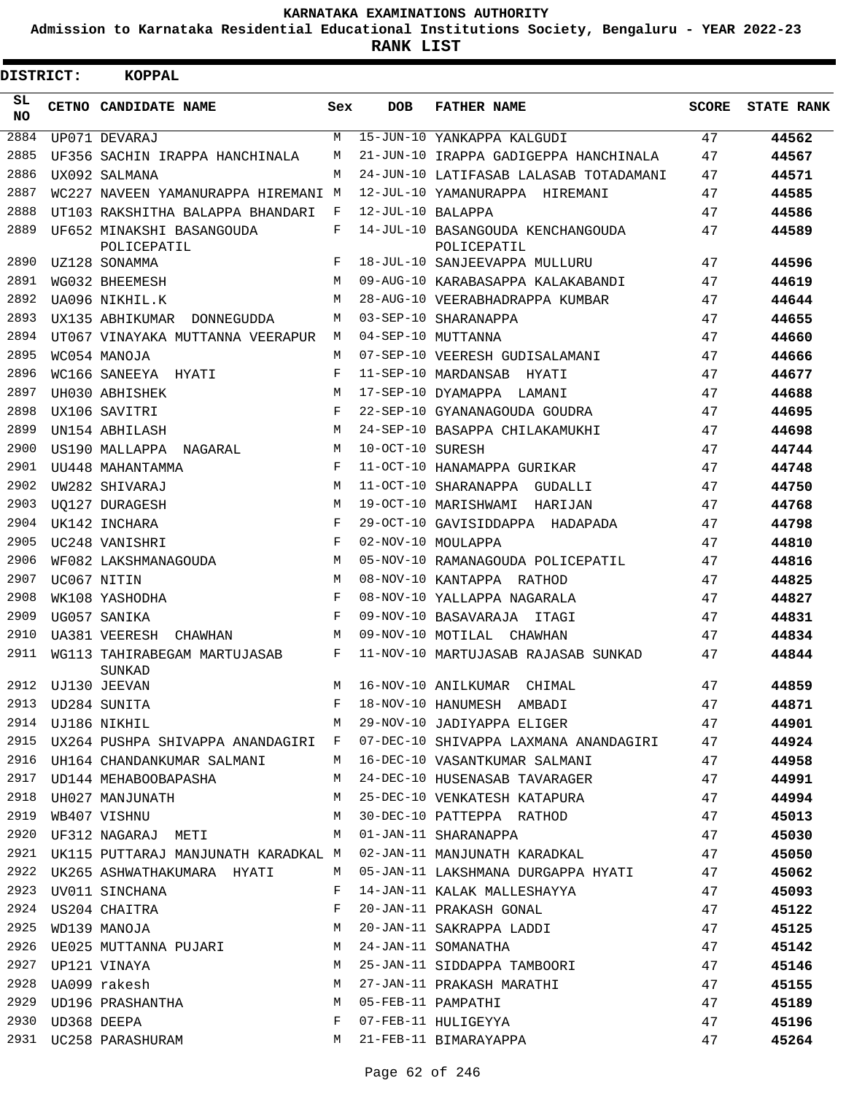**Admission to Karnataka Residential Educational Institutions Society, Bengaluru - YEAR 2022-23**

 $\blacksquare$ 

**RANK LIST**

| <b>DISTRICT:</b> |  | <b>KOPPAL</b>                                 |              |                   |                                                                             |              |                   |
|------------------|--|-----------------------------------------------|--------------|-------------------|-----------------------------------------------------------------------------|--------------|-------------------|
| SL<br>NO.        |  | CETNO CANDIDATE NAME                          | Sex          | <b>DOB</b>        | <b>FATHER NAME</b>                                                          | <b>SCORE</b> | <b>STATE RANK</b> |
| 2884             |  | UP071 DEVARAJ                                 | M            |                   | 15-JUN-10 YANKAPPA KALGUDI                                                  | 47           | 44562             |
| 2885             |  | UF356 SACHIN IRAPPA HANCHINALA                | М            |                   | 21-JUN-10 IRAPPA GADIGEPPA HANCHINALA                                       | 47           | 44567             |
| 2886             |  | UX092 SALMANA                                 | M            |                   | 24-JUN-10 LATIFASAB LALASAB TOTADAMANI                                      | 47           | 44571             |
| 2887             |  | WC227 NAVEEN YAMANURAPPA HIREMANI M           |              |                   | 12-JUL-10 YAMANURAPPA HIREMANI                                              | 47           | 44585             |
| 2888             |  | UT103 RAKSHITHA BALAPPA BHANDARI              | F            | 12-JUL-10 BALAPPA |                                                                             | 47           | 44586             |
| 2889             |  | UF652 MINAKSHI BASANGOUDA<br>POLICEPATIL      | F            |                   | 14-JUL-10 BASANGOUDA KENCHANGOUDA<br>POLICEPATIL                            | 47           | 44589             |
| 2890             |  | UZ128 SONAMMA                                 | F            |                   | 18-JUL-10 SANJEEVAPPA MULLURU                                               | 47           | 44596             |
| 2891             |  | WG032 BHEEMESH                                | М            |                   | 09-AUG-10 KARABASAPPA KALAKABANDI                                           | 47           | 44619             |
| 2892             |  | UA096 NIKHIL.K                                | M            |                   | 28-AUG-10 VEERABHADRAPPA KUMBAR                                             | 47           | 44644             |
| 2893             |  | UX135 ABHIKUMAR<br>DONNEGUDDA                 | М            |                   | 03-SEP-10 SHARANAPPA                                                        | 47           | 44655             |
| 2894             |  | UT067 VINAYAKA MUTTANNA VEERAPUR              | M            |                   | 04-SEP-10 MUTTANNA                                                          | 47           | 44660             |
| 2895             |  | WC054 MANOJA                                  | М            |                   | 07-SEP-10 VEERESH GUDISALAMANI                                              | 47           | 44666             |
| 2896             |  | WC166 SANEEYA HYATI                           | F            |                   | 11-SEP-10 MARDANSAB HYATI                                                   | 47           | 44677             |
| 2897             |  | UH030 ABHISHEK                                | M            |                   | 17-SEP-10 DYAMAPPA LAMANI                                                   | 47           | 44688             |
| 2898             |  | UX106 SAVITRI                                 | F            |                   | 22-SEP-10 GYANANAGOUDA GOUDRA                                               | 47           | 44695             |
| 2899             |  | UN154 ABHILASH                                | M            |                   | 24-SEP-10 BASAPPA CHILAKAMUKHI                                              | 47           | 44698             |
| 2900             |  | US190 MALLAPPA<br>NAGARAL                     | M            | 10-OCT-10 SURESH  |                                                                             | 47           | 44744             |
| 2901             |  | UU448 MAHANTAMMA                              | F            |                   | 11-OCT-10 HANAMAPPA GURIKAR                                                 | 47           | 44748             |
| 2902             |  | UW282 SHIVARAJ                                | M            |                   | 11-OCT-10 SHARANAPPA GUDALLI                                                | 47           | 44750             |
| 2903             |  | UO127 DURAGESH                                | M            |                   | 19-OCT-10 MARISHWAMI HARIJAN                                                | 47           | 44768             |
| 2904             |  | UK142 INCHARA                                 | F            |                   | 29-OCT-10 GAVISIDDAPPA HADAPADA                                             | 47           | 44798             |
| 2905             |  | UC248 VANISHRI                                | F            |                   | 02-NOV-10 MOULAPPA                                                          | 47           | 44810             |
| 2906             |  | WF082 LAKSHMANAGOUDA                          | M            |                   | 05-NOV-10 RAMANAGOUDA POLICEPATIL                                           | 47           | 44816             |
| 2907             |  | UC067 NITIN                                   | М            |                   | 08-NOV-10 KANTAPPA RATHOD                                                   | 47           | 44825             |
| 2908             |  | WK108 YASHODHA                                | F            |                   | 08-NOV-10 YALLAPPA NAGARALA                                                 | 47           | 44827             |
| 2909             |  | UG057 SANIKA                                  | F            |                   | 09-NOV-10 BASAVARAJA ITAGI                                                  | 47           | 44831             |
| 2910             |  | UA381 VEERESH CHAWHAN                         | М            |                   | 09-NOV-10 MOTILAL CHAWHAN                                                   | 47           | 44834             |
| 2911             |  | WG113 TAHIRABEGAM MARTUJASAB<br><b>SUNKAD</b> | F            |                   | 11-NOV-10 MARTUJASAB RAJASAB SUNKAD                                         | 47           | 44844             |
|                  |  |                                               |              |                   | M 16-NOV-10 ANILKUMAR CHIMAL                                                | 47           | 44859             |
|                  |  |                                               |              |                   |                                                                             |              | 44871             |
|                  |  |                                               |              |                   |                                                                             |              | 44901             |
| 2915             |  |                                               |              |                   | UX264 PUSHPA SHIVAPPA ANANDAGIRI F 07-DEC-10 SHIVAPPA LAXMANA ANANDAGIRI 47 |              | 44924             |
| 2916             |  |                                               |              |                   | UH164 CHANDANKUMAR SALMANI M 16-DEC-10 VASANTKUMAR SALMANI 47               |              | 44958             |
|                  |  |                                               |              |                   | 2917 UD144 MEHABOOBAPASHA MARAMAN MARAGER MARAGER TAVARAGER                 | 47           | 44991             |
| 2918             |  |                                               |              |                   | UH027 MANJUNATH 47 AM 25-DEC-10 VENKATESH KATAPURA                          |              | 44994             |
| 2919             |  | WB407 VISHNU                                  |              |                   | M 30-DEC-10 PATTEPPA RATHOD 47                                              |              | 45013             |
| 2920             |  | UF312 NAGARAJ METI M M 01-JAN-11 SHARANAPPA   |              |                   | 47                                                                          |              | 45030             |
|                  |  |                                               |              |                   | 2921 UK115 PUTTARAJ MANJUNATH KARADKAL M 02-JAN-11 MANJUNATH KARADKAL       | 47           | 45050             |
| 2922             |  |                                               |              |                   | UK265 ASHWATHAKUMARA HYATI M 05-JAN-11 LAKSHMANA DURGAPPA HYATI 47          |              | 45062             |
| 2923             |  | UV011 SINCHANA                                | F            |                   | 14-JAN-11 KALAK MALLESHAYYA 47                                              |              | 45093             |
| 2924             |  | US204 CHAITRA                                 | F            |                   | 20-JAN-11 PRAKASH GONAL                                                     | 47           | 45122             |
| 2925             |  | WD139 MANOJA                                  | M            |                   | 20-JAN-11 SAKRAPPA LADDI                                                    | 47           | 45125             |
| 2926             |  | UE025 MUTTANNA PUJARI M 24-JAN-11 SOMANATHA   |              |                   |                                                                             | 47           | 45142             |
| 2927             |  | UP121 VINAYA                                  |              |                   | M 25-JAN-11 SIDDAPPA TAMBOORI                                               | 47           | 45146             |
|                  |  | 2928 UA099 rakesh                             |              |                   | M 27-JAN-11 PRAKASH MARATHI                                                 | 47           | 45155             |
|                  |  | 2929 UD196 PRASHANTHA                         |              |                   | M 05-FEB-11 PAMPATHI                                                        | 47           | 45189             |
| 2930             |  | UD368 DEEPA VOORGEERS                         | $\mathbf{F}$ |                   | 07-FEB-11 HULIGEYYA                                                         | 47           | 45196             |
|                  |  | 2931 UC258 PARASHURAM                         |              |                   | M 21-FEB-11 BIMARAYAPPA                                                     | 47           | 45264             |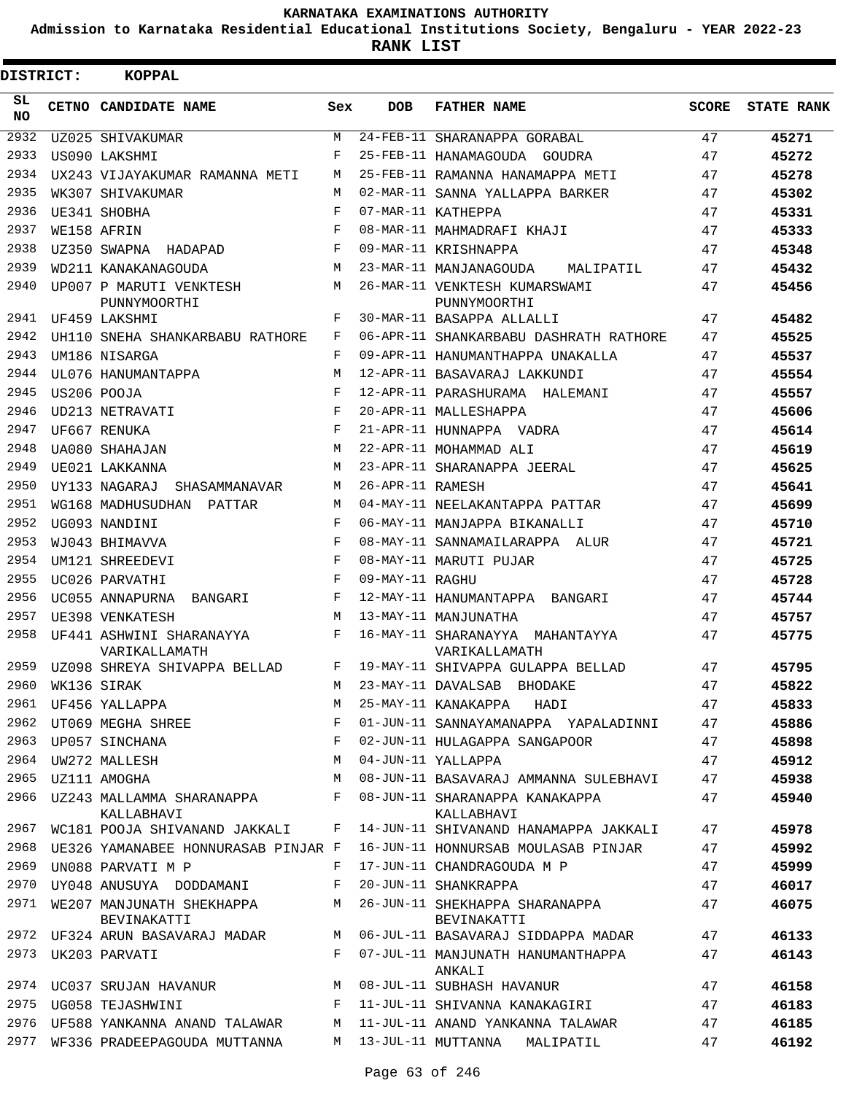**Admission to Karnataka Residential Educational Institutions Society, Bengaluru - YEAR 2022-23**

| <b>DISTRICT:</b> |  | <b>KOPPAL</b>                                         |            |                  |                                                  |              |                   |
|------------------|--|-------------------------------------------------------|------------|------------------|--------------------------------------------------|--------------|-------------------|
| SL.<br><b>NO</b> |  | CETNO CANDIDATE NAME                                  | Sex        | <b>DOB</b>       | <b>FATHER NAME</b>                               | <b>SCORE</b> | <b>STATE RANK</b> |
| 2932             |  | UZ025 SHIVAKUMAR                                      | M          |                  | 24-FEB-11 SHARANAPPA GORABAL                     | 47           | 45271             |
| 2933             |  | US090 LAKSHMI                                         | F          |                  | 25-FEB-11 HANAMAGOUDA GOUDRA                     | 47           | 45272             |
| 2934             |  | UX243 VIJAYAKUMAR RAMANNA METI                        | M          |                  | 25-FEB-11 RAMANNA HANAMAPPA METI                 | 47           | 45278             |
| 2935             |  | WK307 SHIVAKUMAR                                      | M          |                  | 02-MAR-11 SANNA YALLAPPA BARKER                  | 47           | 45302             |
| 2936             |  | UE341 SHOBHA                                          | F          |                  | 07-MAR-11 KATHEPPA                               | 47           | 45331             |
| 2937             |  | WE158 AFRIN                                           | $_{\rm F}$ |                  | 08-MAR-11 MAHMADRAFI KHAJI                       | 47           | 45333             |
| 2938             |  | UZ350 SWAPNA HADAPAD                                  | F          |                  | 09-MAR-11 KRISHNAPPA                             | 47           | 45348             |
| 2939             |  | WD211 KANAKANAGOUDA                                   | M          |                  | 23-MAR-11 MANJANAGOUDA<br>MALIPATIL              | 47           | 45432             |
| 2940             |  | UP007 P MARUTI VENKTESH<br>PUNNYMOORTHI               | M          |                  | 26-MAR-11 VENKTESH KUMARSWAMI<br>PUNNYMOORTHI    | 47           | 45456             |
| 2941             |  | UF459 LAKSHMI                                         | F          |                  | 30-MAR-11 BASAPPA ALLALLI                        | 47           | 45482             |
| 2942             |  | UH110 SNEHA SHANKARBABU RATHORE                       | F          |                  | 06-APR-11 SHANKARBABU DASHRATH RATHORE           | 47           | 45525             |
| 2943             |  | UM186 NISARGA                                         | F          |                  | 09-APR-11 HANUMANTHAPPA UNAKALLA                 | 47           | 45537             |
| 2944             |  | UL076 HANUMANTAPPA                                    | M          |                  | 12-APR-11 BASAVARAJ LAKKUNDI                     | 47           | 45554             |
| 2945             |  | US206 POOJA                                           | F          |                  | 12-APR-11 PARASHURAMA HALEMANI                   | 47           | 45557             |
| 2946             |  | UD213 NETRAVATI                                       | $_{\rm F}$ |                  | 20-APR-11 MALLESHAPPA                            | 47           | 45606             |
| 2947             |  | UF667 RENUKA                                          | F          |                  | 21-APR-11 HUNNAPPA VADRA                         | 47           | 45614             |
| 2948             |  | UA080 SHAHAJAN                                        | M          |                  | 22-APR-11 MOHAMMAD ALI                           | 47           | 45619             |
| 2949             |  | UE021 LAKKANNA                                        | M          |                  | 23-APR-11 SHARANAPPA JEERAL                      | 47           | 45625             |
| 2950             |  | UY133 NAGARAJ<br>SHASAMMANAVAR                        | M          | 26-APR-11 RAMESH |                                                  | 47           | 45641             |
| 2951             |  | WG168 MADHUSUDHAN PATTAR                              | M          |                  | 04-MAY-11 NEELAKANTAPPA PATTAR                   | 47           | 45699             |
| 2952             |  | UG093 NANDINI                                         | $_{\rm F}$ |                  | 06-MAY-11 MANJAPPA BIKANALLI                     | 47           | 45710             |
| 2953             |  | WJ043 BHIMAVVA                                        | F          |                  | 08-MAY-11 SANNAMAILARAPPA ALUR                   | 47           | 45721             |
| 2954             |  | UM121 SHREEDEVI                                       | $_{\rm F}$ |                  | 08-MAY-11 MARUTI PUJAR                           | 47           | 45725             |
| 2955             |  | UC026 PARVATHI                                        | $_{\rm F}$ | 09-MAY-11 RAGHU  |                                                  | 47           | 45728             |
| 2956             |  | UC055 ANNAPURNA BANGARI                               | F          |                  | 12-MAY-11 HANUMANTAPPA BANGARI                   | 47           | 45744             |
| 2957             |  | UE398 VENKATESH                                       | M          |                  | 13-MAY-11 MANJUNATHA                             | 47           | 45757             |
| 2958             |  | UF441 ASHWINI SHARANAYYA<br>VARIKALLAMATH             | F          |                  | 16-MAY-11 SHARANAYYA MAHANTAYYA<br>VARIKALLAMATH | 47           | 45775             |
| 2959             |  | UZ098 SHREYA SHIVAPPA BELLAD                          | F          |                  | 19-MAY-11 SHIVAPPA GULAPPA BELLAD                | 47           | 45795             |
|                  |  | 2960 WK136 SIRAK                                      |            |                  | M 23-MAY-11 DAVALSAB BHODAKE                     | 47           | 45822             |
|                  |  | 2961 UF456 YALLAPPA                                   | M          |                  | 25-MAY-11 KANAKAPPA HADI                         | 47           | 45833             |
|                  |  | 2962 UT069 MEGHA SHREE                                | F          |                  | 01-JUN-11 SANNAYAMANAPPA YAPALADINNI             | 47           | 45886             |
| 2963             |  | UP057 SINCHANA                                        | F          |                  | 02-JUN-11 HULAGAPPA SANGAPOOR                    | 47           | 45898             |
| 2964             |  | UW272 MALLESH                                         | М          |                  | 04-JUN-11 YALLAPPA                               | 47           | 45912             |
|                  |  | 2965 UZ111 AMOGHA                                     | M          |                  | 08-JUN-11 BASAVARAJ AMMANNA SULEBHAVI            | 47           | 45938             |
|                  |  | 2966 UZ243 MALLAMMA SHARANAPPA<br>KALLABHAVI          | F          |                  | 08-JUN-11 SHARANAPPA KANAKAPPA<br>KALLABHAVI     | 47           | 45940             |
| 2967             |  | WC181 POOJA SHIVANAND JAKKALI                         | F          |                  | 14-JUN-11 SHIVANAND HANAMAPPA JAKKALI            | 47           | 45978             |
| 2968             |  | UE326 YAMANABEE HONNURASAB PINJAR F                   |            |                  | 16-JUN-11 HONNURSAB MOULASAB PINJAR              | 47           | 45992             |
| 2969             |  | UN088 PARVATI M P                                     | F          |                  | 17-JUN-11 CHANDRAGOUDA M P                       | 47           | 45999             |
| 2970             |  | UY048 ANUSUYA DODDAMANI                               | F          |                  | 20-JUN-11 SHANKRAPPA                             | 47           | 46017             |
| 2971             |  | WE207 MANJUNATH SHEKHAPPA<br>BEVINAKATTI              | M          |                  | 26-JUN-11 SHEKHAPPA SHARANAPPA<br>BEVINAKATTI    | 47           | 46075             |
|                  |  | 2972 UF324 ARUN BASAVARAJ MADAR M                     |            |                  | 06-JUL-11 BASAVARAJ SIDDAPPA MADAR               | 47           | 46133             |
| 2973             |  | UK203 PARVATI                                         | F          |                  | 07-JUL-11 MANJUNATH HANUMANTHAPPA<br>ANKALI      | 47           | 46143             |
|                  |  | 2974 UC037 SRUJAN HAVANUR M 08-JUL-11 SUBHASH HAVANUR |            |                  |                                                  | 47           | 46158             |
|                  |  | 2975 UG058 TEJASHWINI                                 | F          |                  | 11-JUL-11 SHIVANNA KANAKAGIRI                    | 47           | 46183             |
| 2976             |  | UF588 YANKANNA ANAND TALAWAR                          | М          |                  | 11-JUL-11 ANAND YANKANNA TALAWAR                 | 47           | 46185             |
| 2977             |  | WF336 PRADEEPAGOUDA MUTTANNA                          |            |                  | M 13-JUL-11 MUTTANNA MALIPATIL                   | 47           | 46192             |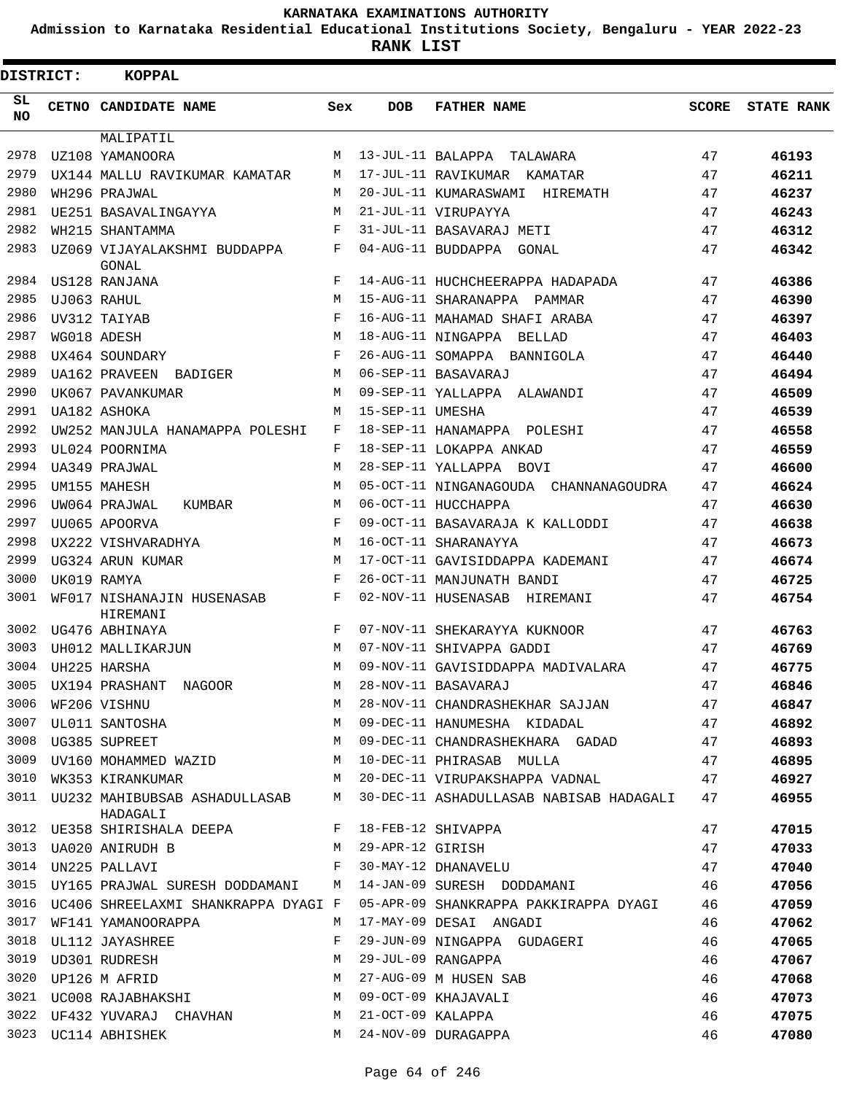**Admission to Karnataka Residential Educational Institutions Society, Bengaluru - YEAR 2022-23**

| <b>DISTRICT:</b> | <b>KOPPAL</b>                             |            |                   |                                            |              |                   |
|------------------|-------------------------------------------|------------|-------------------|--------------------------------------------|--------------|-------------------|
| SL.<br>NO.       | CETNO CANDIDATE NAME                      | Sex        | <b>DOB</b>        | <b>FATHER NAME</b>                         | <b>SCORE</b> | <b>STATE RANK</b> |
|                  | MALIPATIL                                 |            |                   |                                            |              |                   |
| 2978             | UZ108 YAMANOORA                           | М          |                   | 13-JUL-11 BALAPPA<br>TALAWARA              | 47           | 46193             |
| 2979             | UX144 MALLU RAVIKUMAR KAMATAR             | М          |                   | 17-JUL-11 RAVIKUMAR KAMATAR                | 47           | 46211             |
| 2980             | WH296 PRAJWAL                             | М          |                   | 20-JUL-11 KUMARASWAMI<br>HIREMATH          | 47           | 46237             |
| 2981             | UE251 BASAVALINGAYYA                      | М          |                   | 21-JUL-11 VIRUPAYYA                        | 47           | 46243             |
| 2982             | WH215 SHANTAMMA                           | F          |                   | 31-JUL-11 BASAVARAJ METI                   | 47           | 46312             |
| 2983             | UZ069 VIJAYALAKSHMI BUDDAPPA<br>GONAL     | F          |                   | 04-AUG-11 BUDDAPPA GONAL                   | 47           | 46342             |
| 2984             | US128 RANJANA                             | F          |                   | 14-AUG-11 HUCHCHEERAPPA HADAPADA           | 47           | 46386             |
| 2985             | UJ063 RAHUL                               | M          |                   | 15-AUG-11 SHARANAPPA PAMMAR                | 47           | 46390             |
| 2986             | UV312 TAIYAB                              | $_{\rm F}$ |                   | 16-AUG-11 MAHAMAD SHAFI ARABA              | 47           | 46397             |
| 2987             | WG018 ADESH                               | M          |                   | 18-AUG-11 NINGAPPA BELLAD                  | 47           | 46403             |
| 2988             | UX464 SOUNDARY                            | $_{\rm F}$ |                   | 26-AUG-11 SOMAPPA BANNIGOLA                | 47           | 46440             |
| 2989             | UA162 PRAVEEN<br>BADIGER                  | М          |                   | 06-SEP-11 BASAVARAJ                        | 47           | 46494             |
| 2990             | UK067 PAVANKUMAR                          | M          |                   | 09-SEP-11 YALLAPPA ALAWANDI                | 47           | 46509             |
| 2991             | UA182 ASHOKA                              | М          | 15-SEP-11 UMESHA  |                                            | 47           | 46539             |
| 2992             | UW252 MANJULA HANAMAPPA POLESHI           | F          |                   | 18-SEP-11 HANAMAPPA POLESHI                | 47           | 46558             |
| 2993             | UL024 POORNIMA                            | F          |                   | 18-SEP-11 LOKAPPA ANKAD                    | 47           | 46559             |
| 2994             | UA349 PRAJWAL                             | M          |                   | 28-SEP-11 YALLAPPA BOVI                    | 47           | 46600             |
| 2995             | UM155 MAHESH                              | М          |                   | 05-OCT-11 NINGANAGOUDA CHANNANAGOUDRA      | 47           | 46624             |
| 2996             | UW064 PRAJWAL<br>KUMBAR                   | M          |                   | 06-OCT-11 HUCCHAPPA                        | 47           | 46630             |
| 2997             | UU065 APOORVA                             | $_{\rm F}$ |                   | 09-OCT-11 BASAVARAJA K KALLODDI            | 47           | 46638             |
| 2998             | UX222 VISHVARADHYA                        | M          |                   | 16-OCT-11 SHARANAYYA                       | 47           | 46673             |
| 2999             | UG324 ARUN KUMAR                          | M          |                   | 17-OCT-11 GAVISIDDAPPA KADEMANI            | 47           | 46674             |
| 3000             | UK019 RAMYA                               | $_{\rm F}$ |                   | 26-OCT-11 MANJUNATH BANDI                  | 47           | 46725             |
| 3001             | WF017 NISHANAJIN HUSENASAB<br>HIREMANI    | F          |                   | 02-NOV-11 HUSENASAB HIREMANI               | 47           | 46754             |
| 3002             | UG476 ABHINAYA                            | F          |                   | 07-NOV-11 SHEKARAYYA KUKNOOR               | 47           | 46763             |
| 3003             | UH012 MALLIKARJUN                         | М          |                   | 07-NOV-11 SHIVAPPA GADDI                   | 47           | 46769             |
| 3004             | UH225 HARSHA                              | M          |                   | 09-NOV-11 GAVISIDDAPPA MADIVALARA          | 47           | 46775             |
| 3005             | UX194 PRASHANT<br><b>NAGOOR</b>           | М          |                   | 28-NOV-11 BASAVARAJ                        | 47           | 46846             |
| 3006             | wr206 VISHNU<br>UL011 SANTOSHA            | М          |                   | 28-NOV-11 CHANDRASHEKHAR SAJJAN            | 47           | 46847             |
| 3007             |                                           | М          |                   | 09-DEC-11 HANUMESHA KIDADAL                | 47           | 46892             |
| 3008             | UG385 SUPREET                             | М          |                   | 09-DEC-11 CHANDRASHEKHARA GADAD            | 47           | 46893             |
| 3009             | UV160 MOHAMMED WAZID                      | М          |                   | 10-DEC-11 PHIRASAB MULLA                   | 47           | 46895             |
| 3010             | WK353 KIRANKUMAR                          | M          |                   | 20-DEC-11 VIRUPAKSHAPPA VADNAL             | 47           | 46927             |
| 3011             | UU232 MAHIBUBSAB ASHADULLASAB<br>HADAGALI | M          |                   | 30-DEC-11 ASHADULLASAB NABISAB HADAGALI 47 |              | 46955             |
| 3012             | UE358 SHIRISHALA DEEPA                    | F          |                   | 18-FEB-12 SHIVAPPA                         | 47           | 47015             |
| 3013             | UA020 ANIRUDH B                           | M          | 29-APR-12 GIRISH  |                                            | 47           | 47033             |
| 3014             | UN225 PALLAVI                             | F          |                   | 30-MAY-12 DHANAVELU                        | 47           | 47040             |
| 3015             | UY165 PRAJWAL SURESH DODDAMANI M          |            |                   | 14-JAN-09 SURESH DODDAMANI                 | 46           | 47056             |
| 3016             | UC406 SHREELAXMI SHANKRAPPA DYAGI F       |            |                   | 05-APR-09 SHANKRAPPA PAKKIRAPPA DYAGI      | 46           | 47059             |
| 3017             | WF141 YAMANOORAPPA                        | M          |                   | 17-MAY-09 DESAI ANGADI                     | 46           | 47062             |
| 3018             | UL112 JAYASHREE                           | F          |                   | 29-JUN-09 NINGAPPA GUDAGERI                | 46           | 47065             |
| 3019             | UD301 RUDRESH                             | М          |                   | 29-JUL-09 RANGAPPA                         | 46           | 47067             |
| 3020             | UP126 M AFRID                             | М          |                   | 27-AUG-09 M HUSEN SAB                      | 46           | 47068             |
|                  | 3021 UC008 RAJABHAKSHI                    | М          |                   | 09-OCT-09 KHAJAVALI                        | 46           | 47073             |
| 3022             | UF432 YUVARAJ CHAVHAN                     | М          | 21-OCT-09 KALAPPA |                                            | 46           | 47075             |
|                  | 3023 UC114 ABHISHEK                       | M          |                   | 24-NOV-09 DURAGAPPA                        | 46           | 47080             |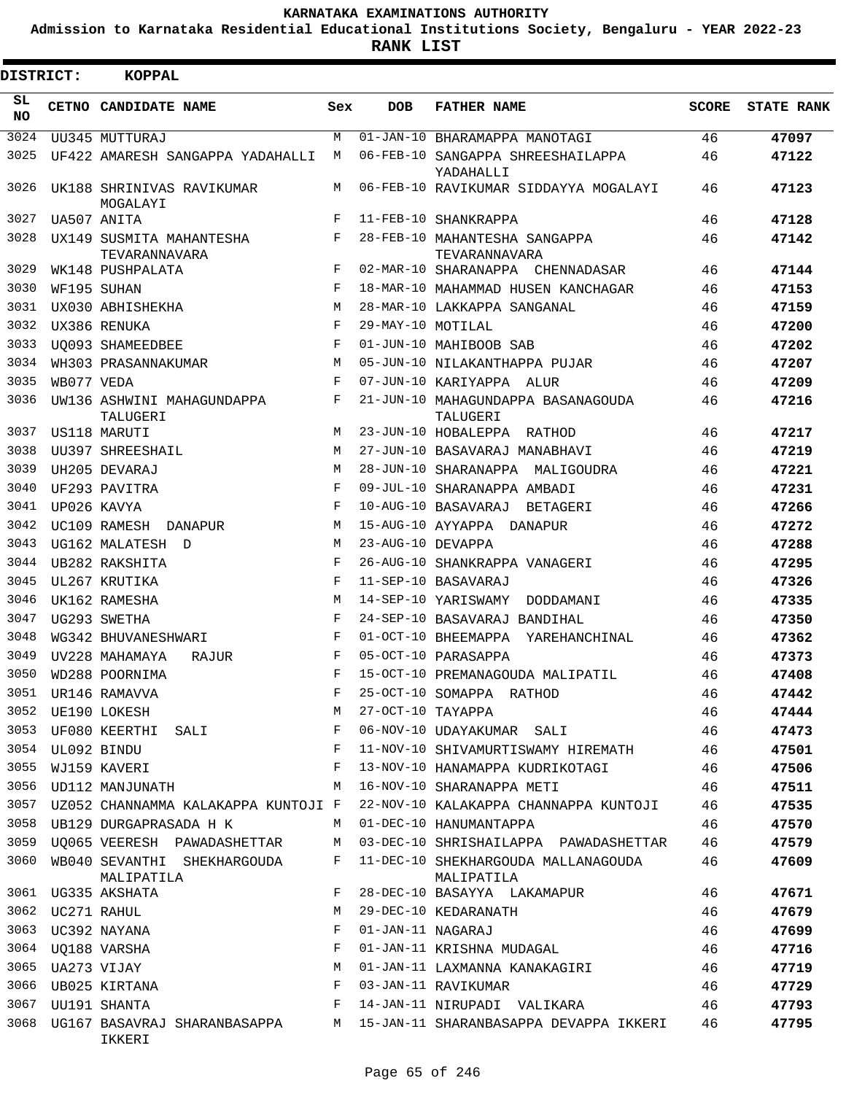**Admission to Karnataka Residential Educational Institutions Society, Bengaluru - YEAR 2022-23**

**RANK LIST**

| <b>DISTRICT:</b> |             | KOPPAL                                    |            |                   |                                                   |              |                   |
|------------------|-------------|-------------------------------------------|------------|-------------------|---------------------------------------------------|--------------|-------------------|
| SL<br><b>NO</b>  |             | CETNO CANDIDATE NAME                      | Sex        | <b>DOB</b>        | <b>FATHER NAME</b>                                | <b>SCORE</b> | <b>STATE RANK</b> |
| 3024             |             | UU345 MUTTURAJ                            | M          |                   | 01-JAN-10 BHARAMAPPA MANOTAGI                     | 46           | 47097             |
| 3025             |             | UF422 AMARESH SANGAPPA YADAHALLI          | М          |                   | 06-FEB-10 SANGAPPA SHREESHAILAPPA<br>YADAHALLI    | 46           | 47122             |
| 3026             |             | UK188 SHRINIVAS RAVIKUMAR<br>MOGALAYI     | M          |                   | 06-FEB-10 RAVIKUMAR SIDDAYYA MOGALAYI             | 46           | 47123             |
| 3027             |             | UA507 ANITA                               | $_{\rm F}$ |                   | 11-FEB-10 SHANKRAPPA                              | 46           | 47128             |
| 3028             |             | UX149 SUSMITA MAHANTESHA<br>TEVARANNAVARA | $_{\rm F}$ |                   | 28-FEB-10 MAHANTESHA SANGAPPA<br>TEVARANNAVARA    | 46           | 47142             |
| 3029             |             | WK148 PUSHPALATA                          | F          |                   | 02-MAR-10 SHARANAPPA CHENNADASAR                  | 46           | 47144             |
| 3030             |             | WF195 SUHAN                               | F          |                   | 18-MAR-10 MAHAMMAD HUSEN KANCHAGAR                | 46           | 47153             |
| 3031             |             | UX030 ABHISHEKHA                          | M          |                   | 28-MAR-10 LAKKAPPA SANGANAL                       | 46           | 47159             |
| 3032             |             | UX386 RENUKA                              | $_{\rm F}$ | 29-MAY-10 MOTILAL |                                                   | 46           | 47200             |
| 3033             |             | UO093 SHAMEEDBEE                          | F          |                   | 01-JUN-10 MAHIBOOB SAB                            | 46           | 47202             |
| 3034             |             | WH303 PRASANNAKUMAR                       | M          |                   | 05-JUN-10 NILAKANTHAPPA PUJAR                     | 46           | 47207             |
| 3035             | WB077 VEDA  |                                           | $_{\rm F}$ |                   | 07-JUN-10 KARIYAPPA ALUR                          | 46           | 47209             |
| 3036             |             | UW136 ASHWINI MAHAGUNDAPPA<br>TALUGERI    | F          |                   | 21-JUN-10 MAHAGUNDAPPA BASANAGOUDA<br>TALUGERI    | 46           | 47216             |
| 3037             |             | US118 MARUTI                              | M          |                   | 23-JUN-10 HOBALEPPA RATHOD                        | 46           | 47217             |
| 3038             |             | UU397 SHREESHAIL                          | M          |                   | 27-JUN-10 BASAVARAJ MANABHAVI                     | 46           | 47219             |
| 3039             |             | UH205 DEVARAJ                             | M          |                   | 28-JUN-10 SHARANAPPA MALIGOUDRA                   | 46           | 47221             |
| 3040             |             | UF293 PAVITRA                             | F          |                   | 09-JUL-10 SHARANAPPA AMBADI                       | 46           | 47231             |
| 3041             |             | UP026 KAVYA                               | F          |                   | 10-AUG-10 BASAVARAJ BETAGERI                      | 46           | 47266             |
| 3042             |             | UC109 RAMESH DANAPUR                      | M          |                   | 15-AUG-10 AYYAPPA DANAPUR                         | 46           | 47272             |
| 3043             |             | UG162 MALATESH D                          | M          | 23-AUG-10 DEVAPPA |                                                   | 46           | 47288             |
| 3044             |             | UB282 RAKSHITA                            | F          |                   | 26-AUG-10 SHANKRAPPA VANAGERI                     | 46           | 47295             |
| 3045             |             | UL267 KRUTIKA                             | $_{\rm F}$ |                   | 11-SEP-10 BASAVARAJ                               | 46           | 47326             |
| 3046             |             | UK162 RAMESHA                             | M          |                   | 14-SEP-10 YARISWAMY<br>DODDAMANI                  | 46           | 47335             |
| 3047             |             | UG293 SWETHA                              | F          |                   | 24-SEP-10 BASAVARAJ BANDIHAL                      | 46           | 47350             |
| 3048             |             | WG342 BHUVANESHWARI                       | F          |                   | 01-OCT-10 BHEEMAPPA YAREHANCHINAL                 | 46           | 47362             |
| 3049             |             | <b>IIV228 MAHAMAYA</b><br>RAJUR           | F          |                   | 05-OCT-10 PARASAPPA                               | 46           | 47373             |
| 3050             |             | WD288 POORNIMA                            | F          |                   | 15-OCT-10 PREMANAGOUDA MALIPATIL                  | 46           | 47408             |
| 3051             |             | UR146 RAMAVVA                             | F          |                   | 25-OCT-10 SOMAPPA RATHOD                          | 46           | 47442             |
| 3052             |             | UE190 LOKESH                              | М          | 27-OCT-10 TAYAPPA |                                                   | 46           | 47444             |
| 3053             |             | UF080 KEERTHI SALI                        | F          |                   | 06-NOV-10 UDAYAKUMAR SALI                         | 46           | 47473             |
| 3054             |             | UL092 BINDU                               | F          |                   | 11-NOV-10 SHIVAMURTISWAMY HIREMATH                | 46           | 47501             |
| 3055             |             | WJ159 KAVERI                              | F          |                   | 13-NOV-10 HANAMAPPA KUDRIKOTAGI                   | 46           | 47506             |
| 3056             |             | UD112 MANJUNATH                           | М          |                   | 16-NOV-10 SHARANAPPA METI                         | 46           | 47511             |
| 3057             |             | UZ052 CHANNAMMA KALAKAPPA KUNTOJI F       |            |                   | 22-NOV-10 KALAKAPPA CHANNAPPA KUNTOJI             | 46           | 47535             |
| 3058             |             | UB129 DURGAPRASADA H K                    | M          |                   | 01-DEC-10 HANUMANTAPPA                            | 46           | 47570             |
|                  |             | 3059 UQ065 VEERESH PAWADASHETTAR          | М          |                   | 03-DEC-10 SHRISHAILAPPA PAWADASHETTAR             | 46           | 47579             |
| 3060             |             | WB040 SEVANTHI SHEKHARGOUDA<br>MALIPATILA | F          |                   | 11-DEC-10 SHEKHARGOUDA MALLANAGOUDA<br>MALIPATILA | 46           | 47609             |
|                  |             | 3061 UG335 AKSHATA                        | F          |                   | 28-DEC-10 BASAYYA LAKAMAPUR                       | 46           | 47671             |
| 3062             | UC271 RAHUL |                                           | М          |                   | 29-DEC-10 KEDARANATH                              | 46           | 47679             |
| 3063             |             | UC392 NAYANA                              | F          | 01-JAN-11 NAGARAJ |                                                   | 46           | 47699             |
|                  |             | 3064 UO188 VARSHA                         | F          |                   | 01-JAN-11 KRISHNA MUDAGAL                         | 46           | 47716             |
| 3065             | UA273 VIJAY |                                           | M          |                   | 01-JAN-11 LAXMANNA KANAKAGIRI                     | 46           | 47719             |
| 3066             |             | UB025 KIRTANA                             | F          |                   | 03-JAN-11 RAVIKUMAR                               | 46           | 47729             |
| 3067             |             | UU191 SHANTA                              | F          |                   | 14-JAN-11 NIRUPADI VALIKARA                       | 46           | 47793             |
| 3068             |             | UG167 BASAVRAJ SHARANBASAPPA M<br>IKKERI  |            |                   | 15-JAN-11 SHARANBASAPPA DEVAPPA IKKERI            | 46           | 47795             |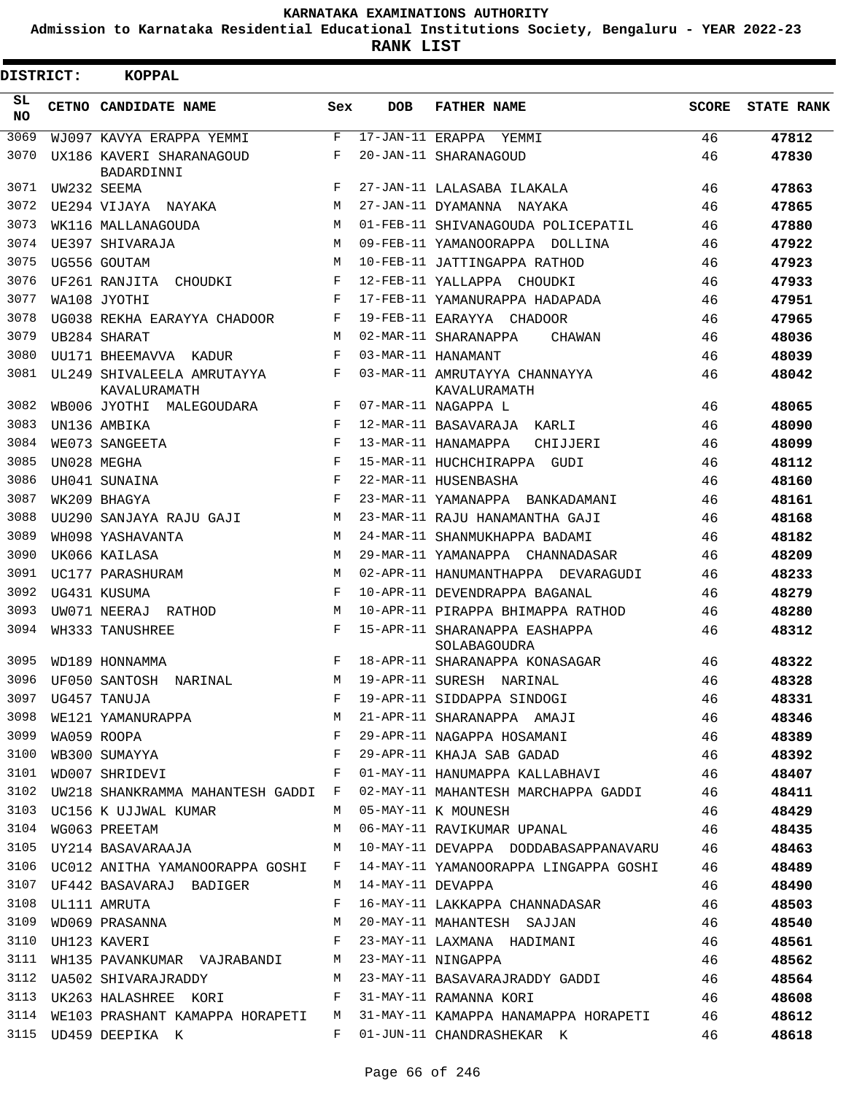**Admission to Karnataka Residential Educational Institutions Society, Bengaluru - YEAR 2022-23**

**RANK LIST**

Е

| <b>DISTRICT:</b> | <b>KOPPAL</b>                                     |     |            |                                                                                 |       |                   |
|------------------|---------------------------------------------------|-----|------------|---------------------------------------------------------------------------------|-------|-------------------|
| SL.<br><b>NO</b> | <b>CETNO CANDIDATE NAME</b>                       | Sex | <b>DOB</b> | <b>FATHER NAME</b>                                                              | SCORE | <b>STATE RANK</b> |
| 3069             | WJ097 KAVYA ERAPPA YEMMI                          | F   |            | 17-JAN-11 ERAPPA YEMMI                                                          | 46    | 47812             |
| 3070             | UX186 KAVERI SHARANAGOUD<br>BADARDINNI            | F   |            | 20-JAN-11 SHARANAGOUD                                                           | 46    | 47830             |
| 3071             | UW232 SEEMA                                       | F   |            | 27-JAN-11 LALASABA ILAKALA                                                      | 46    | 47863             |
| 3072             | UE294 VIJAYA NAYAKA                               | M   |            | 27-JAN-11 DYAMANNA NAYAKA                                                       | 46    | 47865             |
| 3073             | WK116 MALLANAGOUDA                                | M   |            | 01-FEB-11 SHIVANAGOUDA POLICEPATIL                                              | 46    | 47880             |
| 3074             | UE397 SHIVARAJA                                   | M   |            | 09-FEB-11 YAMANOORAPPA DOLLINA                                                  | 46    | 47922             |
| 3075             | UG556 GOUTAM                                      | M   |            | 10-FEB-11 JATTINGAPPA RATHOD                                                    | 46    | 47923             |
| 3076             | UF261 RANJITA CHOUDKI                             | F   |            | 12-FEB-11 YALLAPPA CHOUDKI                                                      | 46    | 47933             |
| 3077             | WA108 JYOTHI                                      | F   |            | 17-FEB-11 YAMANURAPPA HADAPADA                                                  | 46    | 47951             |
| 3078             | UG038 REKHA EARAYYA CHADOOR                       | F   |            | 19-FEB-11 EARAYYA CHADOOR                                                       | 46    | 47965             |
| 3079             | UB284 SHARAT                                      | M   |            | 02-MAR-11 SHARANAPPA<br>CHAWAN                                                  | 46    | 48036             |
| 3080             | UU171 BHEEMAVVA KADUR                             | F   |            | 03-MAR-11 HANAMANT                                                              | 46    | 48039             |
| 3081             | UL249 SHIVALEELA AMRUTAYYA<br>KAVALURAMATH        | F   |            | 03-MAR-11 AMRUTAYYA CHANNAYYA<br>KAVALURAMATH                                   | 46    | 48042             |
| 3082             | WB006 JYOTHI MALEGOUDARA                          | F   |            | 07-MAR-11 NAGAPPA L                                                             | 46    | 48065             |
| 3083             | UN136 AMBIKA                                      | F   |            | 12-MAR-11 BASAVARAJA KARLI                                                      | 46    | 48090             |
| 3084             | WE073 SANGEETA                                    | F   |            | 13-MAR-11 HANAMAPPA<br>CHIJJERI                                                 | 46    | 48099             |
| 3085             | UN028 MEGHA                                       | F   |            | 15-MAR-11 HUCHCHIRAPPA GUDI                                                     | 46    | 48112             |
| 3086             | UH041 SUNAINA                                     | F   |            | 22-MAR-11 HUSENBASHA                                                            | 46    | 48160             |
| 3087             | WK209 BHAGYA                                      | F   |            | 23-MAR-11 YAMANAPPA BANKADAMANI                                                 | 46    | 48161             |
| 3088             | UU290 SANJAYA RAJU GAJI                           | M   |            | 23-MAR-11 RAJU HANAMANTHA GAJI                                                  | 46    | 48168             |
| 3089             | WH098 YASHAVANTA                                  | M   |            | 24-MAR-11 SHANMUKHAPPA BADAMI                                                   | 46    | 48182             |
| 3090             | UK066 KAILASA                                     | M   |            | 29-MAR-11 YAMANAPPA CHANNADASAR                                                 | 46    | 48209             |
| 3091             | UC177 PARASHURAM                                  | M   |            |                                                                                 | 46    |                   |
|                  |                                                   |     |            | 02-APR-11 HANUMANTHAPPA DEVARAGUDI                                              |       | 48233             |
| 3092             | UG431 KUSUMA                                      | F   |            | 10-APR-11 DEVENDRAPPA BAGANAL                                                   | 46    | 48279             |
| 3093             | UW071 NEERAJ RATHOD                               | M   |            | 10-APR-11 PIRAPPA BHIMAPPA RATHOD                                               | 46    | 48280             |
| 3094             | WH333 TANUSHREE                                   | F   |            | 15-APR-11 SHARANAPPA EASHAPPA<br>SOLABAGOUDRA                                   | 46    | 48312             |
| 3095             | WD189 HONNAMMA                                    | F   |            | 18-APR-11 SHARANAPPA KONASAGAR                                                  | 46    | 48322             |
| 3096             | UF050 SANTOSH NARINAL                             | M   |            | 19-APR-11 SURESH NARINAL                                                        | 46    | 48328             |
|                  | 3097 UG457 TANUJA                                 |     |            | F 19-APR-11 SIDDAPPA SINDOGI 46                                                 |       | 48331             |
|                  |                                                   |     |            |                                                                                 |       | 48346             |
|                  |                                                   |     |            |                                                                                 |       | 48389             |
|                  |                                                   |     |            |                                                                                 |       | 48392             |
| 3101             |                                                   |     |            | WD007 SHRIDEVI               F   01-MAY-11 HANUMAPPA KALLABHAVI       46        |       | 48407             |
|                  |                                                   |     |            | 3102 UW218 SHANKRAMMA MAHANTESH GADDI F 02-MAY-11 MAHANTESH MARCHAPPA GADDI 46  |       | 48411             |
|                  | 3103 UC156 K UJJWAL KUMAR M M 05-MAY-11 K MOUNESH |     |            |                                                                                 | 46    | 48429             |
|                  |                                                   |     |            | 3104 WG063 PREETAM M 06-MAY-11 RAVIKUMAR UPANAL 46                              |       | 48435             |
|                  |                                                   |     |            | 3105 UY214 BASAVARAAJA M 10-MAY-11 DEVAPPA DODDABASAPPANAVARU 46                |       | 48463             |
|                  |                                                   |     |            | 3106 UC012 ANITHA YAMANOORAPPA GOSHI F 14-MAY-11 YAMANOORAPPA LINGAPPA GOSHI 46 |       | 48489             |
|                  |                                                   |     |            | 3107 UF442 BASAVARAJ BADIGER M 14-MAY-11 DEVAPPA 46                             |       | 48490             |
|                  |                                                   |     |            |                                                                                 |       | 48503             |
|                  |                                                   |     |            |                                                                                 |       | 48540             |
|                  |                                                   |     |            |                                                                                 |       | 48561             |
|                  |                                                   |     |            |                                                                                 |       | 48562             |
|                  |                                                   |     |            | 3112 UA502 SHIVARAJRADDY M 23-MAY-11 BASAVARAJRADDY GADDI 46                    |       | 48564             |
|                  |                                                   |     |            | 3113 UK263 HALASHREE KORI F 31-MAY-11 RAMANNA KORI 46                           |       | 48608             |
|                  |                                                   |     |            | 3114 WE103 PRASHANT KAMAPPA HORAPETI M 31-MAY-11 KAMAPPA HANAMAPPA HORAPETI 46  |       | 48612             |
|                  |                                                   |     |            | 3115 UD459 DEEPIKA K F 01-JUN-11 CHANDRASHEKAR K                                | 46    | 48618             |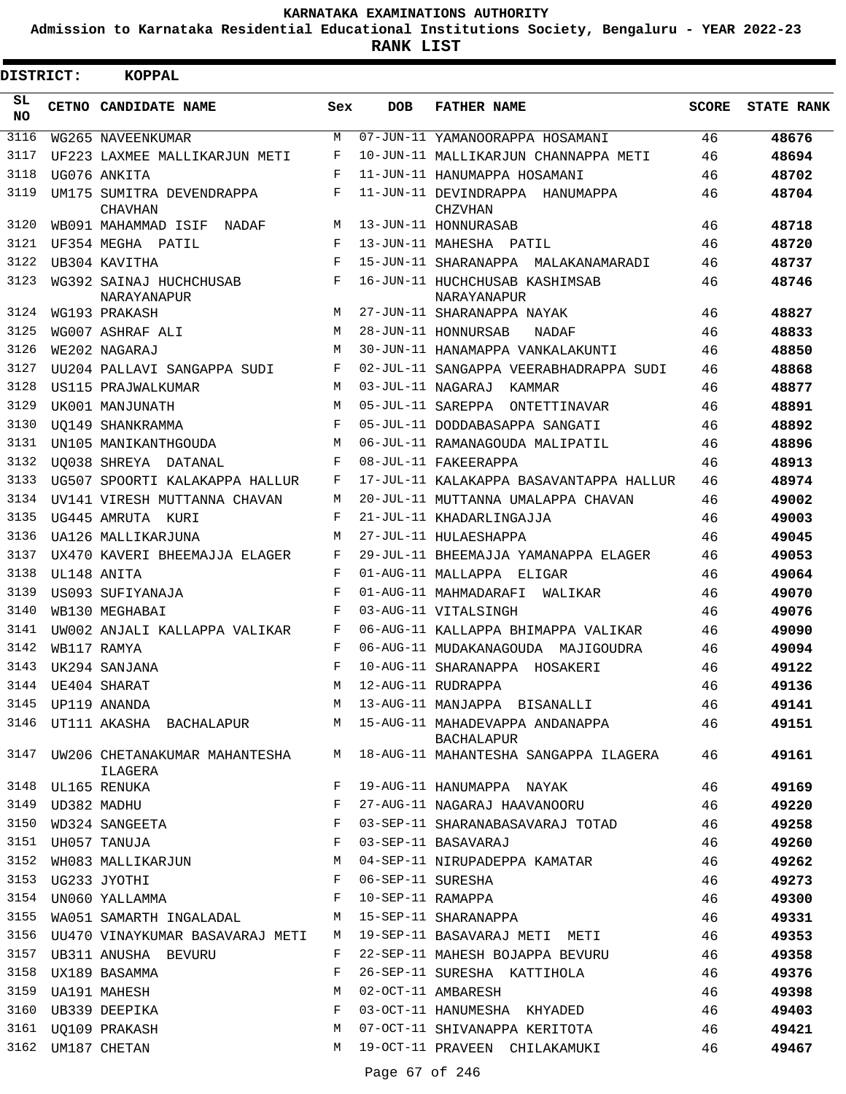**Admission to Karnataka Residential Educational Institutions Society, Bengaluru - YEAR 2022-23**

 $\blacksquare$ 

**RANK LIST**

| DISTRICT: |                  | <b>KOPPAL</b>                                  |            |                   |                                                                                 |              |                   |
|-----------|------------------|------------------------------------------------|------------|-------------------|---------------------------------------------------------------------------------|--------------|-------------------|
| SL<br>NO. |                  | CETNO CANDIDATE NAME                           | Sex        | <b>DOB</b>        | <b>FATHER NAME</b>                                                              | <b>SCORE</b> | <b>STATE RANK</b> |
| 3116      |                  | WG265 NAVEENKUMAR                              | M          |                   | 07-JUN-11 YAMANOORAPPA HOSAMANI                                                 | 46           | 48676             |
| 3117      |                  | UF223 LAXMEE MALLIKARJUN METI                  | F          |                   | 10-JUN-11 MALLIKARJUN CHANNAPPA METI                                            | 46           | 48694             |
| 3118      |                  | UG076 ANKITA                                   | F          |                   | 11-JUN-11 HANUMAPPA HOSAMANI                                                    | 46           | 48702             |
| 3119      |                  | UM175 SUMITRA DEVENDRAPPA<br><b>CHAVHAN</b>    | F          |                   | 11-JUN-11 DEVINDRAPPA HANUMAPPA<br>CHZVHAN                                      | 46           | 48704             |
| 3120      |                  | WB091 MAHAMMAD ISIF NADAF                      | M          |                   | 13-JUN-11 HONNURASAB                                                            | 46           | 48718             |
| 3121      |                  | UF354 MEGHA PATIL                              | F          |                   | 13-JUN-11 MAHESHA PATIL                                                         | 46           | 48720             |
| 3122      |                  | UB304 KAVITHA                                  | F          |                   | 15-JUN-11 SHARANAPPA MALAKANAMARADI                                             | 46           | 48737             |
| 3123      |                  | WG392 SAINAJ HUCHCHUSAB<br>NARAYANAPUR         | F          |                   | 16-JUN-11 HUCHCHUSAB KASHIMSAB<br>NARAYANAPUR                                   | 46           | 48746             |
| 3124      |                  | WG193 PRAKASH                                  | М          |                   | 27-JUN-11 SHARANAPPA NAYAK                                                      | 46           | 48827             |
| 3125      |                  | WG007 ASHRAF ALI                               | М          |                   | 28-JUN-11 HONNURSAB<br>NADAF                                                    | 46           | 48833             |
| 3126      |                  | WE202 NAGARAJ                                  | M          |                   | 30-JUN-11 HANAMAPPA VANKALAKUNTI                                                | 46           | 48850             |
| 3127      |                  | UU204 PALLAVI SANGAPPA SUDI                    | F          |                   | 02-JUL-11 SANGAPPA VEERABHADRAPPA SUDI                                          | 46           | 48868             |
| 3128      |                  | US115 PRAJWALKUMAR                             | M          |                   | 03-JUL-11 NAGARAJ<br>KAMMAR                                                     | 46           | 48877             |
| 3129      |                  | UK001 MANJUNATH                                | М          |                   | 05-JUL-11 SAREPPA ONTETTINAVAR                                                  | 46           | 48891             |
| 3130      |                  | UO149 SHANKRAMMA                               | $_{\rm F}$ |                   | 05-JUL-11 DODDABASAPPA SANGATI                                                  | 46           | 48892             |
| 3131      |                  | UN105 MANIKANTHGOUDA                           | M          |                   | 06-JUL-11 RAMANAGOUDA MALIPATIL                                                 | 46           | 48896             |
| 3132      |                  | UO038 SHREYA DATANAL                           | F          |                   | 08-JUL-11 FAKEERAPPA                                                            | 46           | 48913             |
| 3133      |                  | UG507 SPOORTI KALAKAPPA HALLUR                 | F          |                   | 17-JUL-11 KALAKAPPA BASAVANTAPPA HALLUR                                         | 46           | 48974             |
| 3134      |                  | UV141 VIRESH MUTTANNA CHAVAN                   | M          |                   | 20-JUL-11 MUTTANNA UMALAPPA CHAVAN                                              | 46           | 49002             |
| 3135      |                  | UG445 AMRUTA KURI                              | F          |                   | 21-JUL-11 KHADARLINGAJJA                                                        | 46           | 49003             |
| 3136      |                  | UA126 MALLIKARJUNA                             | M          |                   | 27-JUL-11 HULAESHAPPA                                                           | 46           | 49045             |
| 3137      |                  | UX470 KAVERI BHEEMAJJA ELAGER                  | F          |                   | 29-JUL-11 BHEEMAJJA YAMANAPPA ELAGER                                            | 46           | 49053             |
| 3138      |                  | UL148 ANITA                                    | F          |                   | 01-AUG-11 MALLAPPA ELIGAR                                                       | 46           | 49064             |
| 3139      |                  | US093 SUFIYANAJA                               | $_{\rm F}$ |                   | 01-AUG-11 MAHMADARAFI<br>WALIKAR                                                | 46           | 49070             |
| 3140      |                  | WB130 MEGHABAI                                 | F          |                   | 03-AUG-11 VITALSINGH                                                            | 46           | 49076             |
| 3141      |                  | UW002 ANJALI KALLAPPA VALIKAR                  | F          |                   | 06-AUG-11 KALLAPPA BHIMAPPA VALIKAR                                             | 46           | 49090             |
| 3142      |                  | WB117 RAMYA                                    | F          |                   | 06-AUG-11 MUDAKANAGOUDA MAJIGOUDRA                                              | 46           | 49094             |
| 3143      |                  | UK294 SANJANA                                  | $_{\rm F}$ |                   | 10-AUG-11 SHARANAPPA HOSAKERI                                                   | 46           | 49122             |
|           |                  | 3144 UE404 SHARAT                              |            |                   | M 12-AUG-11 RUDRAPPA                                                            | 46           | 49136             |
|           |                  | 3145 UP119 ANANDA                              |            |                   | M 13-AUG-11 MANJAPPA BISANALLI                                                  | 46           | 49141             |
|           |                  |                                                |            |                   | 3146 UT111 AKASHA BACHALAPUR M 15-AUG-11 MAHADEVAPPA ANDANAPPA 46<br>BACHALAPUR |              | 49151             |
|           |                  | ILAGERA                                        |            |                   | 3147 UW206 CHETANAKUMAR MAHANTESHA M 18-AUG-11 MAHANTESHA SANGAPPA ILAGERA      | 46           | 49161             |
|           |                  | 3148 UL165 RENUKA                              | F          |                   | 19-AUG-11 HANUMAPPA NAYAK                                                       | 46           | 49169             |
|           | 3149 UD382 MADHU | UD382 MADHU<br>WD324 SANGEETA                  | F          |                   | 27-AUG-11 NAGARAJ HAAVANOORU                                                    | 46           | 49220             |
| 3150      |                  |                                                | F          |                   | 03-SEP-11 SHARANABASAVARAJ TOTAD                                                | 46           | 49258             |
| 3151      |                  | UH057 TANUJA                                   | F          |                   | 03-SEP-11 BASAVARAJ                                                             | 46           | 49260             |
| 3152      |                  | WH083 MALLIKARJUN M                            |            |                   | 04-SEP-11 NIRUPADEPPA KAMATAR                                                   | 46           | 49262             |
| 3153      |                  | UG233 JYOTHI                                   | F          | 06-SEP-11 SURESHA |                                                                                 | 46           | 49273             |
|           |                  | 3154 UN060 YALLAMMA F                          |            |                   | 10-SEP-11 RAMAPPA                                                               | 46           | 49300             |
| 3155      |                  | WA051 SAMARTH INGALADAL M 15-SEP-11 SHARANAPPA |            |                   |                                                                                 | 46           | 49331             |
|           |                  |                                                |            |                   | 3156 UU470 VINAYKUMAR BASAVARAJ METI M 19-SEP-11 BASAVARAJ METI METI            | 46           | 49353             |
|           |                  | 3157 UB311 ANUSHA BEVURU                       | F          |                   | 22-SEP-11 MAHESH BOJAPPA BEVURU                                                 | 46           | 49358             |
| 3158      |                  | UX189 BASAMMA                                  | F          |                   | 26-SEP-11 SURESHA KATTIHOLA                                                     | 46           | 49376             |
| 3159      |                  | UA191 MAHESH                                   | M          |                   | 02-OCT-11 AMBARESH                                                              | 46           | 49398             |
|           |                  | 3160 UB339 DEEPIKA                             | F          |                   | 03-OCT-11 HANUMESHA KHYADED                                                     | 46           | 49403             |
|           |                  | 3161 UQ109 PRAKASH                             | M          |                   | 07-OCT-11 SHIVANAPPA KERITOTA                                                   | 46           | 49421             |
|           |                  | 3162 UM187 CHETAN                              |            |                   | M 19-OCT-11 PRAVEEN CHILAKAMUKI                                                 | 46           | 49467             |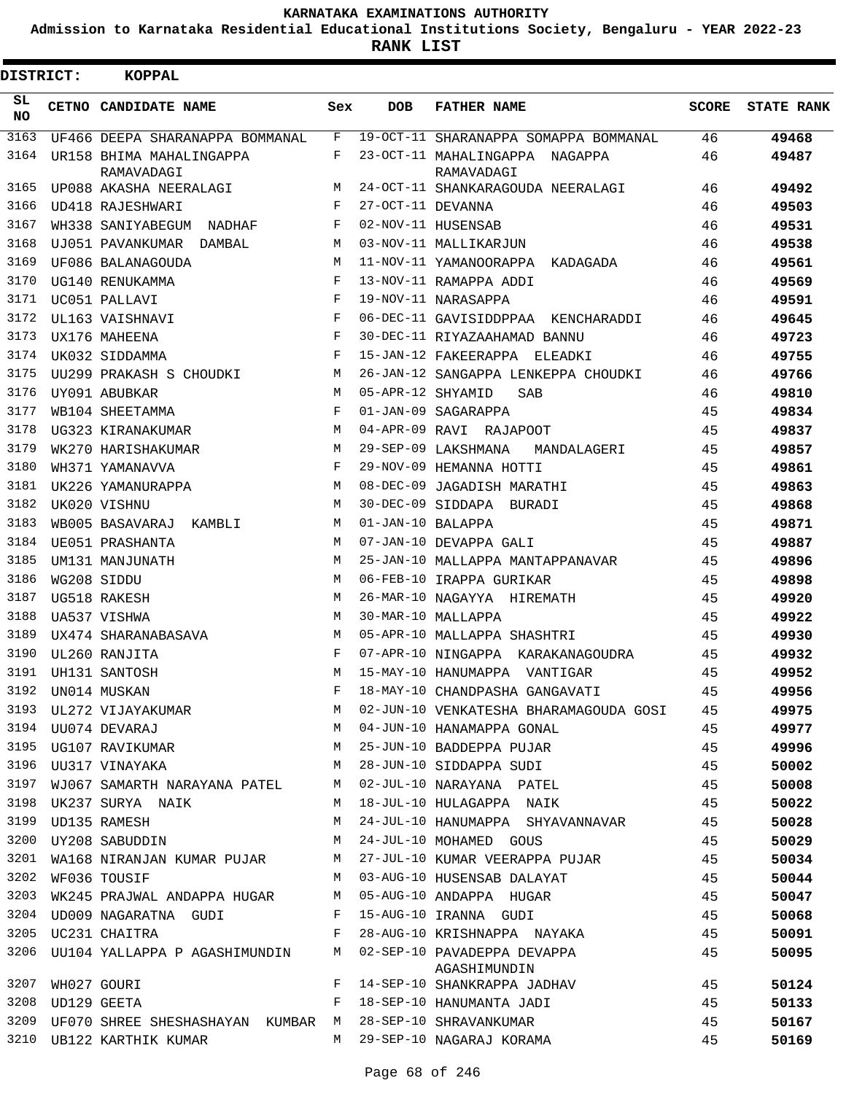**Admission to Karnataka Residential Educational Institutions Society, Bengaluru - YEAR 2022-23**

**RANK LIST**

| DISTRICT:       |             | <b>KOPPAL</b>                          |     |                   |                                              |              |                   |
|-----------------|-------------|----------------------------------------|-----|-------------------|----------------------------------------------|--------------|-------------------|
| SL<br><b>NO</b> |             | CETNO CANDIDATE NAME                   | Sex | <b>DOB</b>        | <b>FATHER NAME</b>                           | <b>SCORE</b> | <b>STATE RANK</b> |
| 3163            |             | UF466 DEEPA SHARANAPPA BOMMANAL        | F   |                   | 19-OCT-11 SHARANAPPA SOMAPPA BOMMANAL        | 46           | 49468             |
| 3164            |             | UR158 BHIMA MAHALINGAPPA<br>RAMAVADAGI | F   |                   | 23-OCT-11 MAHALINGAPPA NAGAPPA<br>RAMAVADAGI | 46           | 49487             |
| 3165            |             | UP088 AKASHA NEERALAGI                 | M   |                   | 24-OCT-11 SHANKARAGOUDA NEERALAGI            | 46           | 49492             |
| 3166            |             | UD418 RAJESHWARI                       | F   | 27-OCT-11 DEVANNA |                                              | 46           | 49503             |
| 3167            |             | WH338 SANIYABEGUM<br>NADHAF            | F   |                   | 02-NOV-11 HUSENSAB                           | 46           | 49531             |
| 3168            |             | UJ051 PAVANKUMAR<br>DAMBAL             | M   |                   | 03-NOV-11 MALLIKARJUN                        | 46           | 49538             |
| 3169            |             | UF086 BALANAGOUDA                      | M   |                   | 11-NOV-11 YAMANOORAPPA KADAGADA              | 46           | 49561             |
| 3170            |             | UG140 RENUKAMMA                        | F   |                   | 13-NOV-11 RAMAPPA ADDI                       | 46           | 49569             |
| 3171            |             | UC051 PALLAVI                          | F   |                   | 19-NOV-11 NARASAPPA                          | 46           | 49591             |
| 3172            |             | UL163 VAISHNAVI                        | F   |                   | 06-DEC-11 GAVISIDDPPAA KENCHARADDI           | 46           | 49645             |
| 3173            |             | UX176 MAHEENA                          | F   |                   | 30-DEC-11 RIYAZAAHAMAD BANNU                 | 46           | 49723             |
| 3174            |             | UK032 SIDDAMMA                         | F   |                   | 15-JAN-12 FAKEERAPPA ELEADKI                 | 46           | 49755             |
| 3175            |             | UU299 PRAKASH S CHOUDKI                | М   |                   | 26-JAN-12 SANGAPPA LENKEPPA CHOUDKI          | 46           | 49766             |
| 3176            |             | UY091 ABUBKAR                          | M   | 05-APR-12 SHYAMID | <b>SAB</b>                                   | 46           | 49810             |
| 3177            |             | WB104 SHEETAMMA                        | F   |                   | 01-JAN-09 SAGARAPPA                          | 45           | 49834             |
| 3178            |             | UG323 KIRANAKUMAR                      | M   |                   | 04-APR-09 RAVI RAJAPOOT                      | 45           | 49837             |
| 3179            |             | WK270 HARISHAKUMAR                     | M   |                   | 29-SEP-09 LAKSHMANA<br>MANDALAGERI           | 45           | 49857             |
| 3180            |             | WH371 YAMANAVVA                        | F   |                   | 29-NOV-09 HEMANNA HOTTI                      | 45           | 49861             |
| 3181            |             | UK226 YAMANURAPPA                      | M   |                   | 08-DEC-09 JAGADISH MARATHI                   | 45           | 49863             |
| 3182            |             | UK020 VISHNU                           | M   |                   | 30-DEC-09 SIDDAPA BURADI                     | 45           | 49868             |
| 3183            |             | WB005 BASAVARAJ<br>KAMBLI              | M   | 01-JAN-10 BALAPPA |                                              | 45           | 49871             |
| 3184            |             | UE051 PRASHANTA                        | M   |                   | 07-JAN-10 DEVAPPA GALI                       | 45           | 49887             |
| 3185            |             | UM131 MANJUNATH                        | M   |                   | 25-JAN-10 MALLAPPA MANTAPPANAVAR             | 45           | 49896             |
| 3186            |             | WG208 SIDDU                            | M   |                   | 06-FEB-10 IRAPPA GURIKAR                     | 45           | 49898             |
| 3187            |             | UG518 RAKESH                           | М   |                   | 26-MAR-10 NAGAYYA HIREMATH                   | 45           | 49920             |
| 3188            |             | UA537 VISHWA                           | M   |                   | 30-MAR-10 MALLAPPA                           | 45           | 49922             |
| 3189            |             | UX474 SHARANABASAVA                    | M   |                   | 05-APR-10 MALLAPPA SHASHTRI                  | 45           | 49930             |
| 3190            |             | UL260 RANJITA                          | F   |                   | 07-APR-10 NINGAPPA KARAKANAGOUDRA            | 45           | 49932             |
| 3191            |             | UH131 SANTOSH                          | М   |                   | 15-MAY-10 HANUMAPPA VANTIGAR                 | 45           | 49952             |
| 3192            |             | UN014 MUSKAN                           | F   |                   | 18-MAY-10 CHANDPASHA GANGAVATI               | 45           | 49956             |
| 3193            |             | UL272 VIJAYAKUMAR                      | М   |                   | 02-JUN-10 VENKATESHA BHARAMAGOUDA GOSI       | 45           | 49975             |
|                 |             | 3194 UU074 DEVARAJ                     | М   |                   | 04-JUN-10 HANAMAPPA GONAL                    | 45           | 49977             |
| 3195            |             | UG107 RAVIKUMAR                        | М   |                   | 25-JUN-10 BADDEPPA PUJAR                     | 45           | 49996             |
| 3196            |             | UU317 VINAYAKA                         | М   |                   | 28-JUN-10 SIDDAPPA SUDI                      | 45           | 50002             |
| 3197            |             | WJ067 SAMARTH NARAYANA PATEL           | М   |                   | 02-JUL-10 NARAYANA PATEL                     | 45           | 50008             |
| 3198            |             | UK237 SURYA NAIK                       | М   |                   | 18-JUL-10 HULAGAPPA NAIK                     | 45           | 50022             |
| 3199            |             | UD135 RAMESH                           | М   |                   | 24-JUL-10 HANUMAPPA SHYAVANNAVAR             | 45           | 50028             |
| 3200            |             | UY208 SABUDDIN                         | М   |                   | 24-JUL-10 MOHAMED GOUS                       | 45           | 50029             |
| 3201            |             | WA168 NIRANJAN KUMAR PUJAR             | М   |                   | 27-JUL-10 KUMAR VEERAPPA PUJAR               | 45           | 50034             |
| 3202            |             | WF036 TOUSIF                           | М   |                   | 03-AUG-10 HUSENSAB DALAYAT                   | 45           | 50044             |
| 3203            |             | WK245 PRAJWAL ANDAPPA HUGAR            | М   |                   | 05-AUG-10 ANDAPPA HUGAR                      | 45           | 50047             |
| 3204            |             | UD009 NAGARATNA GUDI                   | F   |                   | 15-AUG-10 IRANNA GUDI                        | 45           | 50068             |
| 3205            |             | UC231 CHAITRA                          | F   |                   | 28-AUG-10 KRISHNAPPA NAYAKA                  | 45           | 50091             |
| 3206            |             | UU104 YALLAPPA P AGASHIMUNDIN          | М   |                   | 02-SEP-10 PAVADEPPA DEVAPPA                  | 45           | 50095             |
| 3207            | WH027 GOURI |                                        | F   |                   | AGASHIMUNDIN<br>14-SEP-10 SHANKRAPPA JADHAV  | 45           |                   |
| 3208            | UD129 GEETA |                                        | F   |                   |                                              | 45           | 50124             |
| 3209            |             |                                        |     |                   | 18-SEP-10 HANUMANTA JADI                     |              | 50133             |
|                 |             | UF070 SHREE SHESHASHAYAN KUMBAR        | M   |                   | 28-SEP-10 SHRAVANKUMAR                       | 45           | 50167             |
| 3210            |             | UB122 KARTHIK KUMAR                    | М   |                   | 29-SEP-10 NAGARAJ KORAMA                     | 45           | 50169             |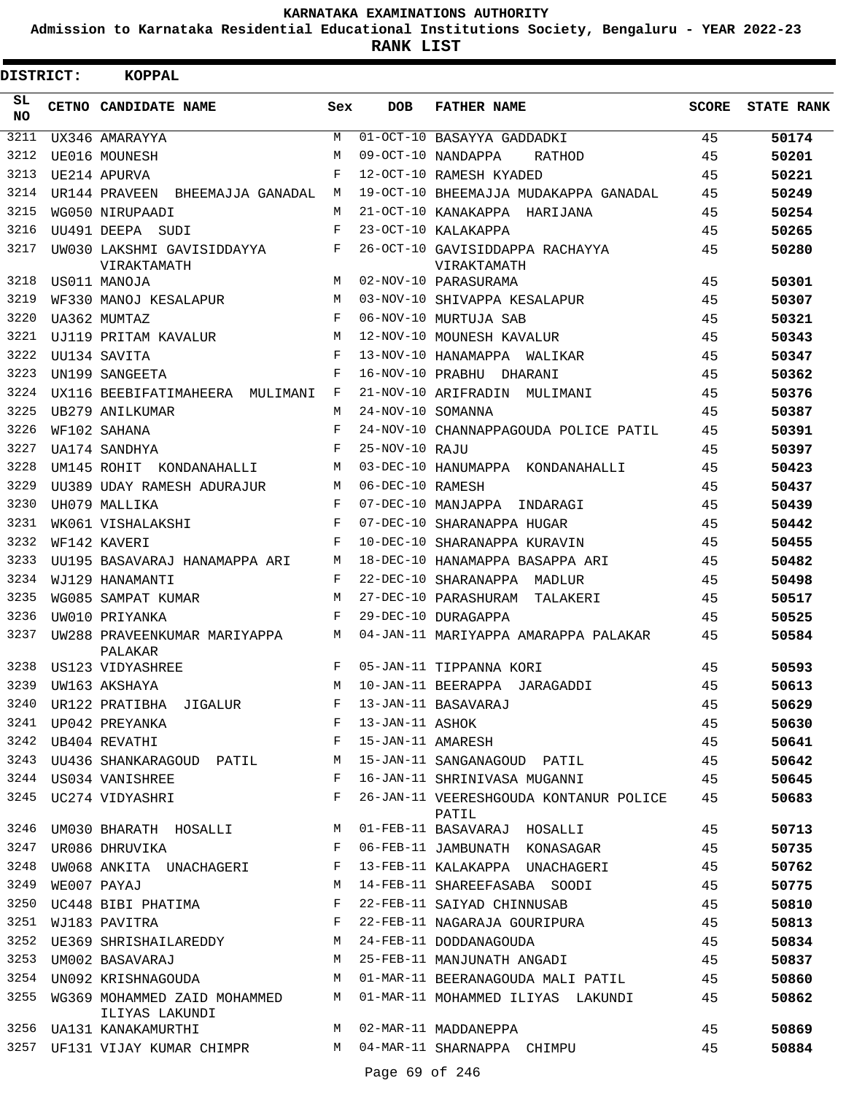**Admission to Karnataka Residential Educational Institutions Society, Bengaluru - YEAR 2022-23**

**RANK LIST**

| DISTRICT: | <b>KOPPAL</b>                                                            |              |                   |                                                                          |              |                   |
|-----------|--------------------------------------------------------------------------|--------------|-------------------|--------------------------------------------------------------------------|--------------|-------------------|
| SL<br>NO. | CETNO CANDIDATE NAME                                                     | Sex          | <b>DOB</b>        | <b>FATHER NAME</b>                                                       | <b>SCORE</b> | <b>STATE RANK</b> |
| 3211      | UX346 AMARAYYA                                                           | M            |                   | 01-OCT-10 BASAYYA GADDADKI                                               | 45           | 50174             |
| 3212      | UE016 MOUNESH                                                            | М            |                   | 09-OCT-10 NANDAPPA<br>RATHOD                                             | 45           | 50201             |
| 3213      | UE214 APURVA                                                             | F            |                   | 12-OCT-10 RAMESH KYADED                                                  | 45           | 50221             |
| 3214      | UR144 PRAVEEN BHEEMAJJA GANADAL                                          | М            |                   | 19-OCT-10 BHEEMAJJA MUDAKAPPA GANADAL                                    | 45           | 50249             |
| 3215      | WG050 NIRUPAADI                                                          | М            |                   | 21-OCT-10 KANAKAPPA HARIJANA                                             | 45           | 50254             |
| 3216      | UU491 DEEPA SUDI                                                         | F            |                   | 23-OCT-10 KALAKAPPA                                                      | 45           | 50265             |
| 3217      | UW030 LAKSHMI GAVISIDDAYYA<br>VIRAKTAMATH                                | F            |                   | 26-OCT-10 GAVISIDDAPPA RACHAYYA<br>VIRAKTAMATH                           | 45           | 50280             |
| 3218      | US011 MANOJA                                                             | М            |                   | 02-NOV-10 PARASURAMA                                                     | 45           | 50301             |
| 3219      | WF330 MANOJ KESALAPUR                                                    | M            |                   | 03-NOV-10 SHIVAPPA KESALAPUR                                             | 45           | 50307             |
| 3220      | UA362 MUMTAZ                                                             | F            |                   | 06-NOV-10 MURTUJA SAB                                                    | 45           | 50321             |
| 3221      | UJ119 PRITAM KAVALUR                                                     | M            |                   | 12-NOV-10 MOUNESH KAVALUR                                                | 45           | 50343             |
| 3222      | UU134 SAVITA                                                             | F            |                   | 13-NOV-10 HANAMAPPA WALIKAR                                              | 45           | 50347             |
| 3223      | UN199 SANGEETA                                                           | F            |                   | 16-NOV-10 PRABHU DHARANI                                                 | 45           | 50362             |
| 3224      | UX116 BEEBIFATIMAHEERA MULIMANI                                          | F            |                   | 21-NOV-10 ARIFRADIN MULIMANI                                             | 45           | 50376             |
| 3225      | UB279 ANILKUMAR                                                          | М            | 24-NOV-10 SOMANNA |                                                                          | 45           | 50387             |
| 3226      | WF102 SAHANA                                                             | F            |                   | 24-NOV-10 CHANNAPPAGOUDA POLICE PATIL                                    | 45           | 50391             |
| 3227      | UA174 SANDHYA                                                            | F            | 25-NOV-10 RAJU    |                                                                          | 45           | 50397             |
| 3228      | UM145 ROHIT KONDANAHALLI                                                 | M            |                   | 03-DEC-10 HANUMAPPA KONDANAHALLI                                         | 45           | 50423             |
| 3229      | UU389 UDAY RAMESH ADURAJUR                                               | М            | 06-DEC-10 RAMESH  |                                                                          | 45           | 50437             |
| 3230      | UH079 MALLIKA                                                            | F            |                   | 07-DEC-10 MANJAPPA INDARAGI                                              | 45           | 50439             |
| 3231      | WK061 VISHALAKSHI                                                        | F            |                   | 07-DEC-10 SHARANAPPA HUGAR                                               | 45           | 50442             |
| 3232      | WF142 KAVERI                                                             | F            |                   | 10-DEC-10 SHARANAPPA KURAVIN                                             | 45           | 50455             |
| 3233      | UU195 BASAVARAJ HANAMAPPA ARI                                            | М            |                   | 18-DEC-10 HANAMAPPA BASAPPA ARI                                          | 45           | 50482             |
| 3234      | WJ129 HANAMANTI                                                          | F            |                   | 22-DEC-10 SHARANAPPA MADLUR                                              | 45           | 50498             |
| 3235      | WG085 SAMPAT KUMAR                                                       | М            |                   | 27-DEC-10 PARASHURAM<br>TALAKERI                                         | 45           | 50517             |
| 3236      | UW010 PRIYANKA                                                           | F            |                   | 29-DEC-10 DURAGAPPA                                                      | 45           | 50525             |
| 3237      | UW288 PRAVEENKUMAR MARIYAPPA<br>PALAKAR                                  | M            |                   | 04-JAN-11 MARIYAPPA AMARAPPA PALAKAR                                     | 45           | 50584             |
| 3238      | US123 VIDYASHREE                                                         | F            |                   | 05-JAN-11 TIPPANNA KORI                                                  | 45           | 50593             |
|           | 3239 UW163 AKSHAYA                                                       |              |                   | M 10-JAN-11 BEERAPPA JARAGADDI                                           | 45           | 50613             |
|           |                                                                          |              |                   |                                                                          | 45           | 50629             |
|           | 3239 UNIUS ANUMINI.<br>3240 UR122 PRATIBHA JIGALUR F 13-JAN-11 BASAVARAJ |              |                   |                                                                          | 45           | 50630             |
|           | 3242 UB404 REVATHI F 15-JAN-11 AMARESH                                   |              |                   |                                                                          | 45           | 50641             |
|           |                                                                          |              |                   | 3243 UU436 SHANKARAGOUD PATIL M 15-JAN-11 SANGANAGOUD PATIL              | 45           | 50642             |
|           | 3244 US034 VANISHREE                                                     | $\mathbf{F}$ |                   | 16-JAN-11 SHRINIVASA MUGANNI                                             | 45           | 50645             |
|           | 3245 UC274 VIDYASHRI F                                                   |              |                   | 26-JAN-11 VEERESHGOUDA KONTANUR POLICE 45<br>PATIL                       |              | 50683             |
|           |                                                                          |              |                   | 3246 UM030 BHARATH HOSALLI M 01-FEB-11 BASAVARAJ HOSALLI                 | 45           | 50713             |
|           | 3247 UR086 DHRUVIKA                                                      |              |                   | F 06-FEB-11 JAMBUNATH KONASAGAR                                          | 45           | 50735             |
| 3248      |                                                                          |              |                   | UW068 ANKITA UNACHAGERI F 13-FEB-11 KALAKAPPA UNACHAGERI 45              |              | 50762             |
|           | 3249 WE007 PAYAJ                                                         |              |                   | M 14-FEB-11 SHAREEFASABA SOODI                                           | 45           | 50775             |
|           | $3250$ $UC448$ BIBI PHATIMA F                                            |              |                   | 22-FEB-11 SAIYAD CHINNUSAB                                               | 45           | 50810             |
| 3251      | $\mathbf{F}$ . The set of $\mathbf{F}$<br>WJ183 PAVITRA                  |              |                   | 22-FEB-11 NAGARAJA GOURIPURA 45                                          |              | 50813             |
| 3252      | UE369 SHRISHAILAREDDY M 24-FEB-11 DODDANAGOUDA                           |              |                   | 45                                                                       |              | 50834             |
|           |                                                                          |              |                   | 3253 UM002 BASAVARAJ M 25-FEB-11 MANJUNATH ANGADI 45                     |              | 50837             |
|           |                                                                          |              |                   | 3254 UN092 KRISHNAGOUDA M 01-MAR-11 BEERANAGOUDA MALI PATIL 45           |              | 50860             |
|           | ILIYAS LAKUNDI                                                           |              |                   | 3255 WG369 MOHAMMED ZAID MOHAMMED M 01-MAR-11 MOHAMMED ILIYAS LAKUNDI 45 |              | 50862             |
|           | 3256 UA131 KANAKAMURTHI                                                  |              |                   | M 02-MAR-11 MADDANEPPA                                                   | 45           | 50869             |
|           |                                                                          |              |                   | 3257 UF131 VIJAY KUMAR CHIMPR M 04-MAR-11 SHARNAPPA CHIMPU               | 45           | 50884             |
|           |                                                                          |              | Page 69 of 246    |                                                                          |              |                   |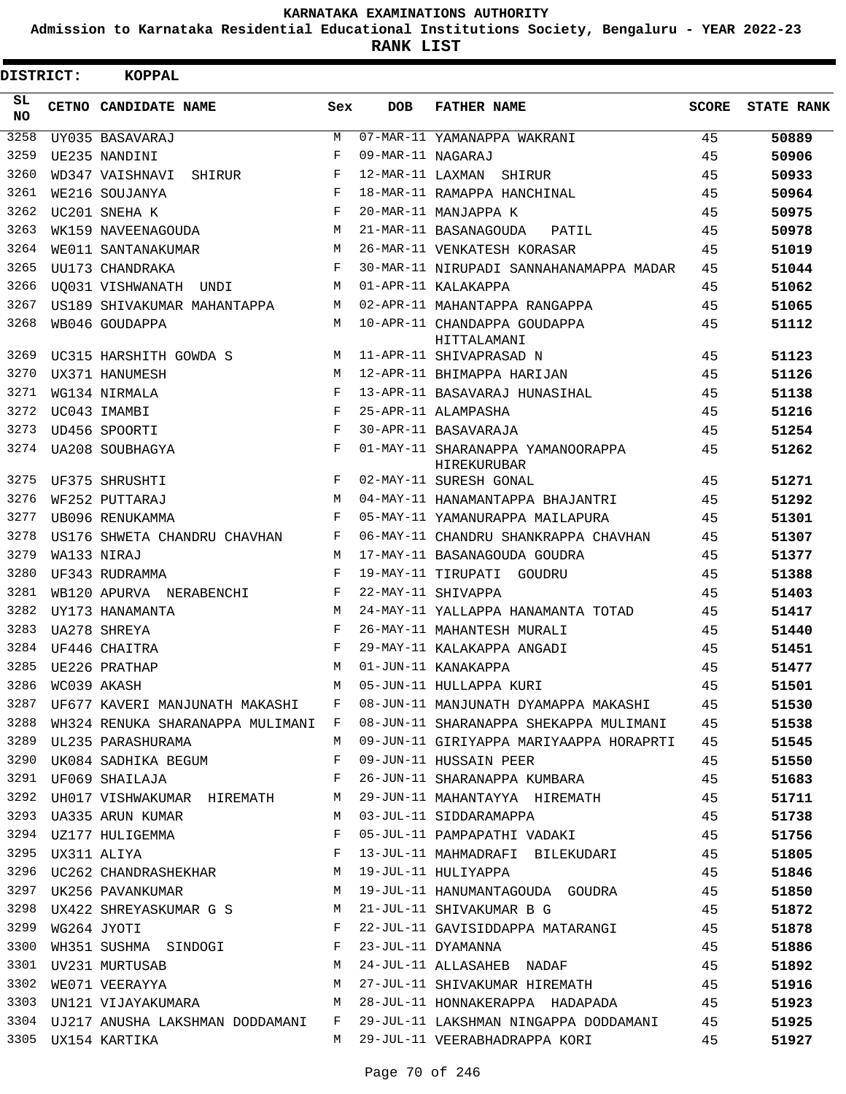**Admission to Karnataka Residential Educational Institutions Society, Bengaluru - YEAR 2022-23**

**RANK LIST**

| DISTRICT: |                  | <b>KOPPAL</b>                                               |            |                   |                                                                                                                                                                                                                            |       |                   |
|-----------|------------------|-------------------------------------------------------------|------------|-------------------|----------------------------------------------------------------------------------------------------------------------------------------------------------------------------------------------------------------------------|-------|-------------------|
| SL<br>NO. |                  | CETNO CANDIDATE NAME                                        | Sex        | <b>DOB</b>        | <b>FATHER NAME</b>                                                                                                                                                                                                         | SCORE | <b>STATE RANK</b> |
| 3258      |                  | UY035 BASAVARAJ                                             | М          |                   | 07-MAR-11 YAMANAPPA WAKRANI                                                                                                                                                                                                | 45    | 50889             |
| 3259      |                  | UE235 NANDINI                                               | F          | 09-MAR-11 NAGARAJ |                                                                                                                                                                                                                            | 45    | 50906             |
| 3260      |                  | WD347 VAISHNAVI<br>SHIRUR                                   | F          |                   | 12-MAR-11 LAXMAN SHIRUR                                                                                                                                                                                                    | 45    | 50933             |
| 3261      |                  | WE216 SOUJANYA                                              | F          |                   | 18-MAR-11 RAMAPPA HANCHINAL                                                                                                                                                                                                | 45    | 50964             |
| 3262      |                  | UC201 SNEHA K                                               | F          |                   | 20-MAR-11 MANJAPPA K                                                                                                                                                                                                       | 45    | 50975             |
| 3263      |                  | WK159 NAVEENAGOUDA                                          | M          |                   | 21-MAR-11 BASANAGOUDA<br>PATIL                                                                                                                                                                                             | 45    | 50978             |
| 3264      |                  | WE011 SANTANAKUMAR                                          | M          |                   | 26-MAR-11 VENKATESH KORASAR                                                                                                                                                                                                | 45    | 51019             |
| 3265      |                  | UU173 CHANDRAKA                                             | F          |                   | 30-MAR-11 NIRUPADI SANNAHANAMAPPA MADAR                                                                                                                                                                                    | 45    | 51044             |
| 3266      |                  | UO031 VISHWANATH UNDI                                       | M          |                   | 01-APR-11 KALAKAPPA                                                                                                                                                                                                        | 45    | 51062             |
| 3267      |                  | US189 SHIVAKUMAR MAHANTAPPA                                 | М          |                   | 02-APR-11 MAHANTAPPA RANGAPPA                                                                                                                                                                                              | 45    | 51065             |
| 3268      |                  | WB046 GOUDAPPA                                              | M          |                   | 10-APR-11 CHANDAPPA GOUDAPPA<br>HITTALAMANI                                                                                                                                                                                | 45    | 51112             |
| 3269      |                  | UC315 HARSHITH GOWDA S                                      | M          |                   | 11-APR-11 SHIVAPRASAD N                                                                                                                                                                                                    | 45    | 51123             |
| 3270      |                  | UX371 HANUMESH                                              | M          |                   | 12-APR-11 BHIMAPPA HARIJAN                                                                                                                                                                                                 | 45    | 51126             |
| 3271      |                  | WG134 NIRMALA                                               | F          |                   | 13-APR-11 BASAVARAJ HUNASIHAL                                                                                                                                                                                              | 45    | 51138             |
| 3272      |                  | UC043 IMAMBI                                                | F          |                   | 25-APR-11 ALAMPASHA                                                                                                                                                                                                        | 45    | 51216             |
| 3273      |                  | UD456 SPOORTI                                               | $_{\rm F}$ |                   | 30-APR-11 BASAVARAJA                                                                                                                                                                                                       | 45    | 51254             |
| 3274      |                  | UA208 SOUBHAGYA                                             | F          |                   | 01-MAY-11 SHARANAPPA YAMANOORAPPA<br><b>HIREKURUBAR</b>                                                                                                                                                                    | 45    | 51262             |
| 3275      |                  | UF375 SHRUSHTI                                              | F          |                   | 02-MAY-11 SURESH GONAL                                                                                                                                                                                                     | 45    | 51271             |
| 3276      |                  | WF252 PUTTARAJ                                              | M          |                   | 04-MAY-11 HANAMANTAPPA BHAJANTRI                                                                                                                                                                                           | 45    | 51292             |
| 3277      |                  | UB096 RENUKAMMA                                             | F          |                   | 05-MAY-11 YAMANURAPPA MAILAPURA                                                                                                                                                                                            | 45    | 51301             |
| 3278      |                  | US176 SHWETA CHANDRU CHAVHAN                                | F          |                   | 06-MAY-11 CHANDRU SHANKRAPPA CHAVHAN                                                                                                                                                                                       | 45    | 51307             |
| 3279      |                  | WA133 NIRAJ                                                 | M          |                   | 17-MAY-11 BASANAGOUDA GOUDRA                                                                                                                                                                                               | 45    | 51377             |
| 3280      |                  | UF343 RUDRAMMA                                              | F          |                   | 19-MAY-11 TIRUPATI GOUDRU                                                                                                                                                                                                  | 45    | 51388             |
| 3281      |                  | WB120 APURVA NERABENCHI                                     | F          |                   | 22-MAY-11 SHIVAPPA                                                                                                                                                                                                         | 45    | 51403             |
| 3282      |                  | UY173 HANAMANTA                                             | M          |                   | 24-MAY-11 YALLAPPA HANAMANTA TOTAD                                                                                                                                                                                         | 45    | 51417             |
| 3283      |                  | UA278 SHREYA                                                | F          |                   | 26-MAY-11 MAHANTESH MURALI                                                                                                                                                                                                 | 45    | 51440             |
| 3284      |                  | UF446 CHAITRA                                               | F          |                   | 29-MAY-11 KALAKAPPA ANGADI                                                                                                                                                                                                 | 45    | 51451             |
| 3285      |                  | UE226 PRATHAP                                               | M          |                   | 01-JUN-11 KANAKAPPA                                                                                                                                                                                                        | 45    | 51477             |
|           | 3286 WC039 AKASH |                                                             | M          |                   | 05-JUN-11 HULLAPPA KURI                                                                                                                                                                                                    | 45    | 51501             |
|           |                  |                                                             |            |                   | 3287 UF677 KAVERI MANJUNATH MAKASHI   F   08-JUN-11 MANJUNATH DYAMAPPA MAKASHI       45                                                                                                                                    |       | 51530             |
|           |                  |                                                             |            |                   | 3288 WH324 RENUKA SHARANAPPA MULIMANI F 08-JUN-11 SHARANAPPA SHEKAPPA MULIMANI 45                                                                                                                                          |       | 51538             |
|           |                  | 3289 UL235 PARASHURAMA                                      | M          |                   | 09-JUN-11 GIRIYAPPA MARIYAAPPA HORAPRTI 45                                                                                                                                                                                 |       | 51545             |
| 3290      |                  | UK084 SADHIKA BEGUM F                                       |            |                   | 09-JUN-11 HUSSAIN PEER                                                                                                                                                                                                     | 45    | 51550             |
|           |                  | $\mathbb F$ . The set of $\mathbb F$<br>3291 UF069 SHAILAJA |            |                   | 26-JUN-11 SHARANAPPA KUMBARA                                                                                                                                                                                               | 45    | 51683             |
|           |                  |                                                             |            |                   | 3292 UH017 VISHWAKUMAR HIREMATH M 29-JUN-11 MAHANTAYYA HIREMATH 45                                                                                                                                                         |       | 51711             |
|           |                  | 3293 UA335 ARUN KUMAR<br><b>M</b>                           |            |                   | 45<br>03-JUL-11 SIDDARAMAPPA                                                                                                                                                                                               |       | 51738             |
|           |                  | 3294 UZ177 HULIGEMMA F                                      |            |                   | 05-JUL-11 PAMPAPATHI VADAKI 45                                                                                                                                                                                             |       | 51756             |
|           |                  | $\mathbb{F}^{\mathbb{Z}}$                                   |            |                   | 13-JUL-11 MAHMADRAFI BILEKUDARI 45                                                                                                                                                                                         |       | 51805             |
|           |                  |                                                             |            |                   | 45                                                                                                                                                                                                                         |       | 51846             |
|           |                  | 3297 UK256 PAVANKUMAR M                                     |            |                   | 19-JUL-11 HANUMANTAGOUDA GOUDRA 45                                                                                                                                                                                         |       | 51850             |
|           |                  | 3298 UX422 SHREYASKUMAR G S M                               |            |                   | 21-JUL-11 SHIVAKUMAR B G 45                                                                                                                                                                                                |       | 51872             |
|           |                  | $\mathbb F$<br>3299 WG264 JYOTI                             |            |                   | 22-JUL-11 GAVISIDDAPPA MATARANGI 45                                                                                                                                                                                        |       | 51878             |
| 3300      |                  | WH351 SUSHMA SINDOGI F                                      |            |                   | 45<br>23-JUL-11 DYAMANNA                                                                                                                                                                                                   |       | 51886             |
|           |                  | 3301 UV231 MURTUSAB M                                       |            |                   | 24-JUL-11 ALLASAHEB NADAF 45                                                                                                                                                                                               |       | 51892             |
|           |                  |                                                             |            |                   |                                                                                                                                                                                                                            |       | 51916             |
|           |                  |                                                             |            |                   | 3302 WE071 VEERAYYA                             M   27-JUL-11 SHIVAKUMAR HIREMATH                     45<br>3303  UN121 VIJAYAKUMARA                             M   28-JUL-11 HONNAKERAPPA  HADAPADA                   45 |       | 51923             |
|           |                  |                                                             |            |                   | 3304 UJ217 ANUSHA LAKSHMAN DODDAMANI F 29-JUL-11 LAKSHMAN NINGAPPA DODDAMANI 45                                                                                                                                            |       | 51925             |
|           |                  | 3305 UX154 KARTIKA                                          |            |                   | M 29-JUL-11 VEERABHADRAPPA KORI                 45                                                                                                                                                                         |       | 51927             |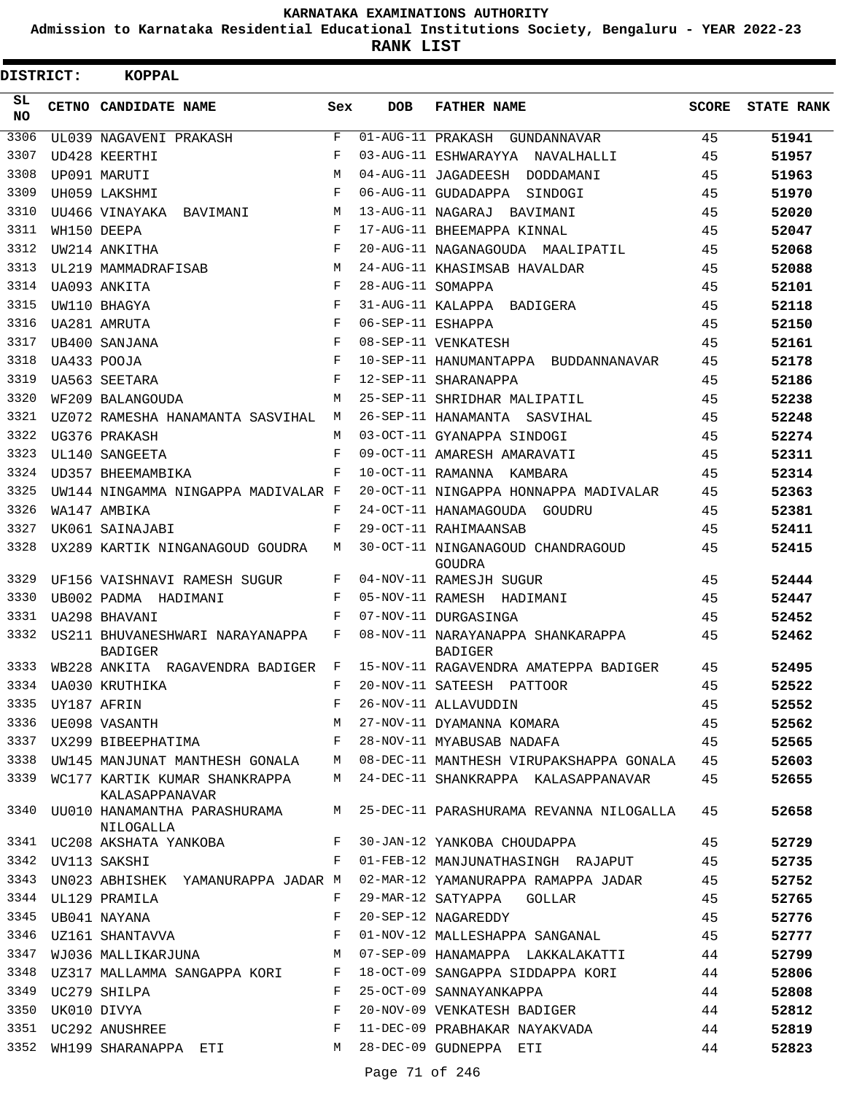**Admission to Karnataka Residential Educational Institutions Society, Bengaluru - YEAR 2022-23**

| <b>DISTRICT:</b> | <b>KOPPAL</b>                                     |                    |                   |                                                                                                                  |              |                   |
|------------------|---------------------------------------------------|--------------------|-------------------|------------------------------------------------------------------------------------------------------------------|--------------|-------------------|
| SL<br>NO.        | CETNO CANDIDATE NAME                              | Sex                | <b>DOB</b>        | <b>FATHER NAME</b>                                                                                               | <b>SCORE</b> | <b>STATE RANK</b> |
| 3306             | UL039 NAGAVENI PRAKASH                            | $\mathbf{F}% _{0}$ | 01-AUG-11 PRAKASH | GUNDANNAVAR                                                                                                      | 45           | 51941             |
| 3307             | UD428 KEERTHI                                     | $_{\rm F}$         |                   | 03-AUG-11 ESHWARAYYA NAVALHALLI                                                                                  | 45           | 51957             |
| 3308             | UP091 MARUTI                                      | M                  |                   | 04-AUG-11 JAGADEESH DODDAMANI                                                                                    | 45           | 51963             |
| 3309             | UH059 LAKSHMI                                     | F                  |                   | 06-AUG-11 GUDADAPPA SINDOGI                                                                                      | 45           | 51970             |
| 3310             | UU466 VINAYAKA<br>BAVIMANI                        | M                  |                   | 13-AUG-11 NAGARAJ BAVIMANI                                                                                       | 45           | 52020             |
| 3311             | WH150 DEEPA                                       | F                  |                   | 17-AUG-11 BHEEMAPPA KINNAL                                                                                       | 45           | 52047             |
| 3312             | UW214 ANKITHA                                     | F                  |                   | 20-AUG-11 NAGANAGOUDA MAALIPATIL                                                                                 | 45           | 52068             |
| 3313             | UL219 MAMMADRAFISAB                               | M                  |                   | 24-AUG-11 KHASIMSAB HAVALDAR                                                                                     | 45           | 52088             |
| 3314             | UA093 ANKITA                                      | F                  | 28-AUG-11 SOMAPPA |                                                                                                                  | 45           | 52101             |
| 3315             | UW110 BHAGYA                                      | F                  |                   | 31-AUG-11 KALAPPA BADIGERA                                                                                       | 45           | 52118             |
| 3316             | UA281 AMRUTA                                      | F                  | 06-SEP-11 ESHAPPA |                                                                                                                  | 45           | 52150             |
| 3317             | UB400 SANJANA                                     | F                  |                   | 08-SEP-11 VENKATESH                                                                                              | 45           | 52161             |
| 3318             | UA433 POOJA                                       | F                  |                   | 10-SEP-11 HANUMANTAPPA BUDDANNANAVAR                                                                             | 45           | 52178             |
| 3319             | UA563 SEETARA                                     | F                  |                   | 12-SEP-11 SHARANAPPA                                                                                             | 45           | 52186             |
| 3320             | WF209 BALANGOUDA                                  | M                  |                   | 25-SEP-11 SHRIDHAR MALIPATIL                                                                                     | 45           | 52238             |
| 3321             | UZ072 RAMESHA HANAMANTA SASVIHAL                  | M                  |                   | 26-SEP-11 HANAMANTA SASVIHAL                                                                                     | 45           | 52248             |
| 3322             | UG376 PRAKASH                                     | M                  |                   | 03-OCT-11 GYANAPPA SINDOGI                                                                                       | 45           | 52274             |
| 3323             | UL140 SANGEETA                                    | F                  |                   | 09-OCT-11 AMARESH AMARAVATI                                                                                      | 45           | 52311             |
| 3324             | UD357 BHEEMAMBIKA                                 | F                  |                   | 10-OCT-11 RAMANNA KAMBARA                                                                                        | 45           | 52314             |
| 3325             | UW144 NINGAMMA NINGAPPA MADIVALAR F               |                    |                   | 20-OCT-11 NINGAPPA HONNAPPA MADIVALAR                                                                            | 45           | 52363             |
| 3326             | WA147 AMBIKA                                      | F                  |                   | 24-OCT-11 HANAMAGOUDA GOUDRU                                                                                     | 45           | 52381             |
| 3327             | UK061 SAINAJABI                                   | F                  |                   | 29-OCT-11 RAHIMAANSAB                                                                                            | 45           | 52411             |
| 3328             | UX289 KARTIK NINGANAGOUD GOUDRA                   | M                  |                   | 30-OCT-11 NINGANAGOUD CHANDRAGOUD<br>GOUDRA                                                                      | 45           | 52415             |
| 3329             | UF156 VAISHNAVI RAMESH SUGUR                      | F                  |                   | 04-NOV-11 RAMESJH SUGUR                                                                                          | 45           | 52444             |
| 3330             | UB002 PADMA HADIMANI                              | F                  |                   | 05-NOV-11 RAMESH HADIMANI                                                                                        | 45           | 52447             |
| 3331             | UA298 BHAVANI                                     | F                  |                   | 07-NOV-11 DURGASINGA                                                                                             | 45           | 52452             |
| 3332             | US211 BHUVANESHWARI NARAYANAPPA<br><b>BADIGER</b> | F                  |                   | 08-NOV-11 NARAYANAPPA SHANKARAPPA<br><b>BADIGER</b>                                                              | 45           | 52462             |
| 3333             | WB228 ANKITA RAGAVENDRA BADIGER                   | F                  |                   | 15-NOV-11 RAGAVENDRA AMATEPPA BADIGER                                                                            | 45           | 52495             |
|                  | 3334 UA030 KRUTHIKA                               | F                  |                   | 20-NOV-11 SATEESH PATTOOR                                                                                        | 45           | 52522             |
|                  |                                                   |                    |                   | 3334 UA030 KRUTHIKA<br>3335 UY187 AFRIN F 26-NOV-11 ALLAVUDDIN<br>3336 UE098 VASANTH M 27-NOV-11 DYAMANNA KOMARA | 45           | 52552             |
|                  |                                                   |                    |                   |                                                                                                                  | 45           | 52562             |
|                  | 3337 UX299 BIBEEPHATIMA F                         |                    |                   | 28-NOV-11 MYABUSAB NADAFA 45                                                                                     |              | 52565             |
| 3338             |                                                   |                    |                   | UW145 MANJUNAT MANTHESH GONALA M 08-DEC-11 MANTHESH VIRUPAKSHAPPA GONALA 45                                      |              | 52603             |
|                  | KALASAPPANAVAR                                    |                    |                   | 3339 WC177 KARTIK KUMAR SHANKRAPPA M 24-DEC-11 SHANKRAPPA KALASAPPANAVAR                                         | 45           | 52655             |
| 3340             | NILOGALLA                                         |                    |                   | UU010 HANAMANTHA PARASHURAMA M 25-DEC-11 PARASHURAMA REVANNA NILOGALLA                                           | 45           | 52658             |
|                  | 3341 UC208 AKSHATA YANKOBA F<br>$\mathbf{F}$      |                    |                   | 30-JAN-12 YANKOBA CHOUDAPPA                                                                                      | 45           | 52729             |
|                  | 3342 UV113 SAKSHI                                 |                    |                   | 01-FEB-12 MANJUNATHASINGH RAJAPUT 45                                                                             |              | 52735             |
| 3343             | UN023 ABHISHEK YAMANURAPPA JADAR M                |                    |                   | 02-MAR-12 YAMANURAPPA RAMAPPA JADAR 45                                                                           |              | 52752             |
|                  | 3344 UL129 PRAMILA                                | F                  |                   | 29-MAR-12 SATYAPPA GOLLAR                                                                                        | 45           | 52765             |
| 3345             | UB041 NAYANA                                      | $\mathbf{F}$       |                   | 20-SEP-12 NAGAREDDY<br>45                                                                                        |              | 52776             |
| 3346             | UZ161 SHANTAVVA F                                 |                    |                   | 01-NOV-12 MALLESHAPPA SANGANAL 45                                                                                |              | 52777             |
| 3347             | WJ036 MALLIKARJUNA                                |                    |                   | M 07-SEP-09 HANAMAPPA LAKKALAKATTI 44                                                                            |              | 52799             |
| 3348             | UZ317 MALLAMMA SANGAPPA KORI F                    |                    |                   | 18-OCT-09 SANGAPPA SIDDAPPA KORI 44                                                                              |              | 52806             |
| 3349             | UC279 SHILPA                                      | F                  |                   | 25-OCT-09 SANNAYANKAPPA                                                                                          | 44           | 52808             |
| 3350             | $\mathbf{F}$<br>UK010 DIVYA                       |                    |                   | 20-NOV-09 VENKATESH BADIGER                                                                                      | 44           | 52812             |
|                  | 3351 UC292 ANUSHREE                               | $\mathbf{F}$       |                   | 11-DEC-09 PRABHAKAR NAYAKVADA                                                                                    | 44           | 52819             |
|                  | 3352 WH199 SHARANAPPA ETI                         | M                  |                   | 28-DEC-09 GUDNEPPA ETI                                                                                           | 44           | 52823             |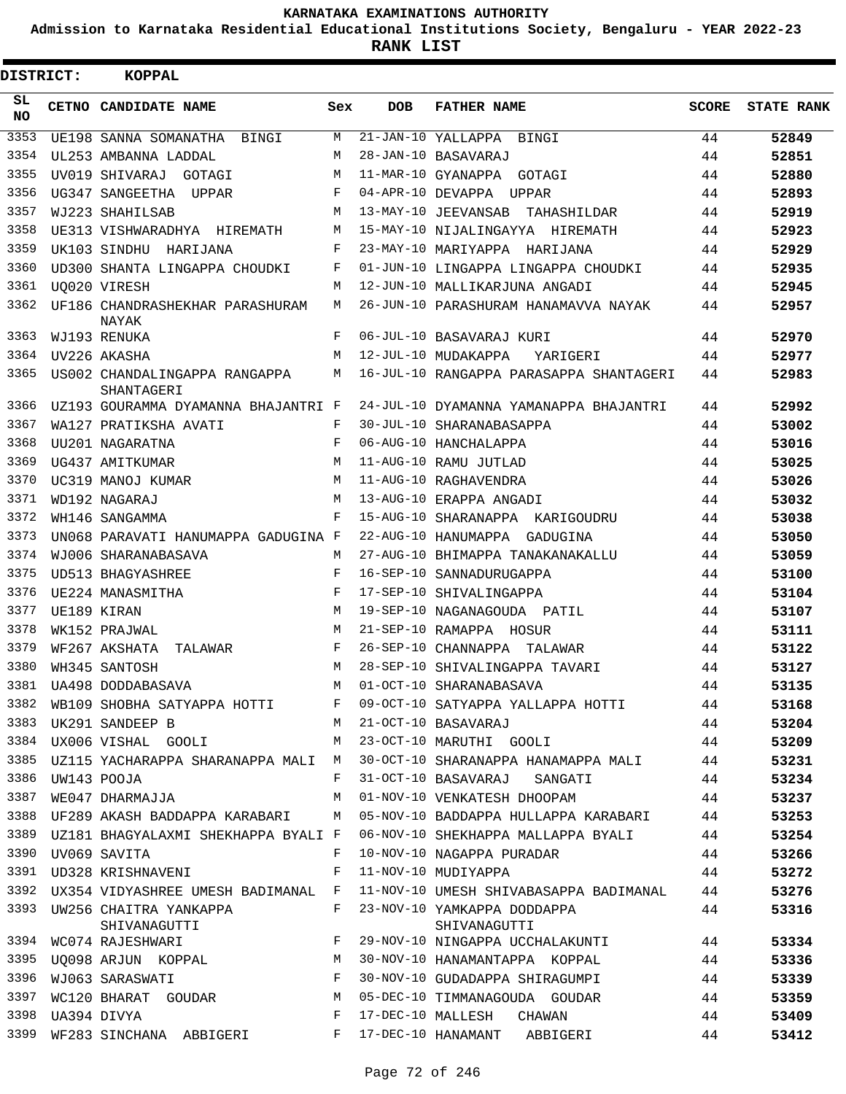**Admission to Karnataka Residential Educational Institutions Society, Bengaluru - YEAR 2022-23**

**RANK LIST**

| DISTRICT:       | <b>KOPPAL</b>                               |            |            |                                             |              |                   |
|-----------------|---------------------------------------------|------------|------------|---------------------------------------------|--------------|-------------------|
| SL<br><b>NO</b> | CETNO CANDIDATE NAME                        | Sex        | <b>DOB</b> | <b>FATHER NAME</b>                          | <b>SCORE</b> | <b>STATE RANK</b> |
| 3353            | UE198 SANNA SOMANATHA BINGI                 | M          |            | 21-JAN-10 YALLAPPA<br>BINGI                 | 44           | 52849             |
| 3354            | UL253 AMBANNA LADDAL                        | M          |            | 28-JAN-10 BASAVARAJ                         | 44           | 52851             |
| 3355            | UV019 SHIVARAJ<br>GOTAGI                    | M          |            | 11-MAR-10 GYANAPPA GOTAGI                   | 44           | 52880             |
| 3356            | UG347 SANGEETHA UPPAR                       | F          |            | 04-APR-10 DEVAPPA UPPAR                     | 44           | 52893             |
| 3357            | WJ223 SHAHILSAB                             | M          |            | 13-MAY-10 JEEVANSAB TAHASHILDAR             | 44           | 52919             |
| 3358            | UE313 VISHWARADHYA HIREMATH                 | М          |            | 15-MAY-10 NIJALINGAYYA HIREMATH             | 44           | 52923             |
| 3359            | UK103 SINDHU HARIJANA                       | F          |            | 23-MAY-10 MARIYAPPA HARIJANA                | 44           | 52929             |
| 3360            | UD300 SHANTA LINGAPPA CHOUDKI               | F          |            | 01-JUN-10 LINGAPPA LINGAPPA CHOUDKI         | 44           | 52935             |
| 3361            | <b>UO020 VIRESH</b>                         | M          |            | 12-JUN-10 MALLIKARJUNA ANGADI               | 44           | 52945             |
| 3362            | UF186 CHANDRASHEKHAR PARASHURAM<br>NAYAK    | M          |            | 26-JUN-10 PARASHURAM HANAMAVVA NAYAK        | 44           | 52957             |
| 3363            | WJ193 RENUKA                                | F          |            | 06-JUL-10 BASAVARAJ KURI                    | 44           | 52970             |
| 3364            | UV226 AKASHA                                | M          |            | 12-JUL-10 MUDAKAPPA<br>YARIGERI             | 44           | 52977             |
| 3365            | US002 CHANDALINGAPPA RANGAPPA<br>SHANTAGERI | М          |            | 16-JUL-10 RANGAPPA PARASAPPA SHANTAGERI     | 44           | 52983             |
| 3366            | UZ193 GOURAMMA DYAMANNA BHAJANTRI F         |            |            | 24-JUL-10 DYAMANNA YAMANAPPA BHAJANTRI      | 44           | 52992             |
| 3367            | WA127 PRATIKSHA AVATI                       | F          |            | 30-JUL-10 SHARANABASAPPA                    | 44           | 53002             |
| 3368            | UU201 NAGARATNA                             | F          |            | 06-AUG-10 HANCHALAPPA                       | 44           | 53016             |
| 3369            | UG437 AMITKUMAR                             | M          |            | 11-AUG-10 RAMU JUTLAD                       | 44           | 53025             |
| 3370            | UC319 MANOJ KUMAR                           | M          |            | 11-AUG-10 RAGHAVENDRA                       | 44           | 53026             |
| 3371            | WD192 NAGARAJ                               | M          |            | 13-AUG-10 ERAPPA ANGADI                     | 44           | 53032             |
| 3372            | WH146 SANGAMMA                              | F          |            | 15-AUG-10 SHARANAPPA KARIGOUDRU             | 44           | 53038             |
| 3373            | UN068 PARAVATI HANUMAPPA GADUGINA F         |            |            | 22-AUG-10 HANUMAPPA GADUGINA                | 44           | 53050             |
| 3374            | WJ006 SHARANABASAVA                         | M          |            | 27-AUG-10 BHIMAPPA TANAKANAKALLU            | 44           | 53059             |
| 3375            | <b>UD513 BHAGYASHREE</b>                    | $_{\rm F}$ |            | 16-SEP-10 SANNADURUGAPPA                    | 44           | 53100             |
| 3376            | UE224 MANASMITHA                            | F          |            | 17-SEP-10 SHIVALINGAPPA                     | 44           | 53104             |
| 3377            | UE189 KIRAN                                 | M          |            | 19-SEP-10 NAGANAGOUDA PATIL                 | 44           | 53107             |
| 3378            | WK152 PRAJWAL                               | M          |            | 21-SEP-10 RAMAPPA HOSUR                     | 44           | 53111             |
| 3379            | WF267 AKSHATA<br>TALAWAR                    | F          |            | 26-SEP-10 CHANNAPPA TALAWAR                 | 44           | 53122             |
| 3380            | WH345 SANTOSH                               | M          |            | 28-SEP-10 SHIVALINGAPPA TAVARI              | 44           | 53127             |
|                 | 3381 UA498 DODDABASAVA                      |            |            | M 01-OCT-10 SHARANABASAVA                   | 44           | 53135             |
| 3382            | WB109 SHOBHA SATYAPPA HOTTI                 | F          |            | 09-OCT-10 SATYAPPA YALLAPPA HOTTI           | 44           | 53168             |
| 3383            | UK291 SANDEEP B                             | M          |            | 21-OCT-10 BASAVARAJ                         | 44           | 53204             |
| 3384            | UX006 VISHAL GOOLI                          | M          |            | 23-OCT-10 MARUTHI GOOLI                     | 44           | 53209             |
| 3385            | UZ115 YACHARAPPA SHARANAPPA MALI M          |            |            | 30-OCT-10 SHARANAPPA HANAMAPPA MALI         | 44           | 53231             |
| 3386            | UW143 POOJA                                 | F          |            | 31-OCT-10 BASAVARAJ<br>SANGATI              | 44           | 53234             |
| 3387            | WE047 DHARMAJJA                             | M          |            | 01-NOV-10 VENKATESH DHOOPAM                 | 44           | 53237             |
| 3388            | UF289 AKASH BADDAPPA KARABARI               | M          |            | 05-NOV-10 BADDAPPA HULLAPPA KARABARI        | 44           | 53253             |
| 3389            | UZ181 BHAGYALAXMI SHEKHAPPA BYALI F         |            |            | 06-NOV-10 SHEKHAPPA MALLAPPA BYALI          | 44           | 53254             |
| 3390            | UV069 SAVITA                                | F          |            | 10-NOV-10 NAGAPPA PURADAR                   | 44           | 53266             |
| 3391            | UD328 KRISHNAVENI                           | F          |            | 11-NOV-10 MUDIYAPPA                         | 44           | 53272             |
| 3392            | UX354 VIDYASHREE UMESH BADIMANAL F          |            |            | 11-NOV-10 UMESH SHIVABASAPPA BADIMANAL      | 44           | 53276             |
| 3393            | UW256 CHAITRA YANKAPPA<br>SHIVANAGUTTI      | F          |            | 23-NOV-10 YAMKAPPA DODDAPPA<br>SHIVANAGUTTI | 44           | 53316             |
| 3394            | WC074 RAJESHWARI                            | F          |            | 29-NOV-10 NINGAPPA UCCHALAKUNTI             | 44           | 53334             |
| 3395            | UQ098 ARJUN KOPPAL                          | М          |            | 30-NOV-10 HANAMANTAPPA KOPPAL               | 44           | 53336             |
| 3396            | WJ063 SARASWATI                             | F          |            | 30-NOV-10 GUDADAPPA SHIRAGUMPI              | 44           | 53339             |
| 3397            | WC120 BHARAT GOUDAR                         | М          |            | 05-DEC-10 TIMMANAGOUDA GOUDAR               | 44           | 53359             |
| 3398            | UA394 DIVYA                                 | F          |            | 17-DEC-10 MALLESH<br>CHAWAN                 | 44           | 53409             |
| 3399            | WF283 SINCHANA ABBIGERI                     | F          |            | 17-DEC-10 HANAMANT ABBIGERI                 | 44           | 53412             |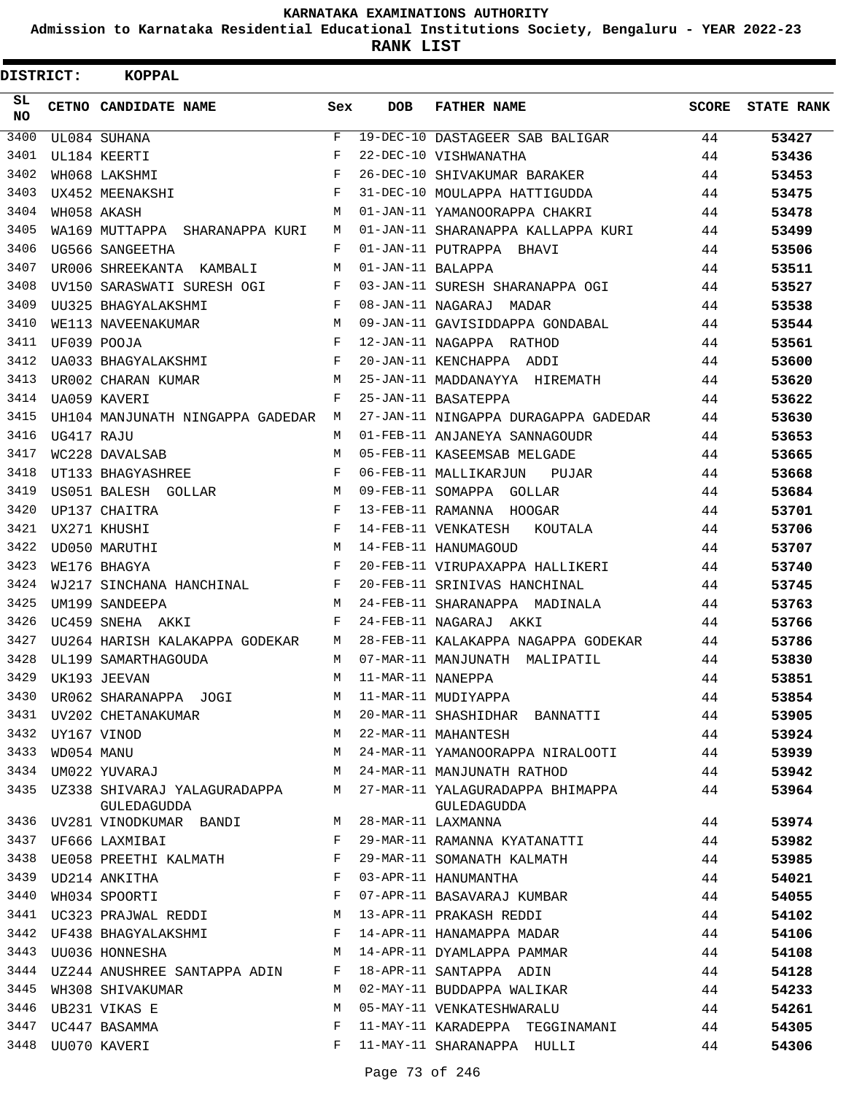**Admission to Karnataka Residential Educational Institutions Society, Bengaluru - YEAR 2022-23**

| DISTRICT:       |                  | <b>KOPPAL</b>                               |              |                   |                                                 |       |                   |
|-----------------|------------------|---------------------------------------------|--------------|-------------------|-------------------------------------------------|-------|-------------------|
| SL<br><b>NO</b> |                  | CETNO CANDIDATE NAME                        | Sex          | <b>DOB</b>        | <b>FATHER NAME</b>                              | SCORE | <b>STATE RANK</b> |
| 3400            |                  | UL084 SUHANA                                | $\mathbf{F}$ |                   | 19-DEC-10 DASTAGEER SAB BALIGAR                 | 44    | 53427             |
| 3401            |                  | UL184 KEERTI                                | F            |                   | 22-DEC-10 VISHWANATHA                           | 44    | 53436             |
| 3402            |                  | WH068 LAKSHMI                               | F            |                   | 26-DEC-10 SHIVAKUMAR BARAKER                    | 44    | 53453             |
| 3403            |                  | UX452 MEENAKSHI                             | F            |                   | 31-DEC-10 MOULAPPA HATTIGUDDA                   | 44    | 53475             |
| 3404            |                  | WH058 AKASH                                 | M            |                   | 01-JAN-11 YAMANOORAPPA CHAKRI                   | 44    | 53478             |
| 3405            |                  | WA169 MUTTAPPA SHARANAPPA KURI              | M            |                   | 01-JAN-11 SHARANAPPA KALLAPPA KURI              | 44    | 53499             |
| 3406            |                  | UG566 SANGEETHA                             | F            |                   | 01-JAN-11 PUTRAPPA BHAVI                        | 44    | 53506             |
| 3407            |                  | UR006 SHREEKANTA KAMBALI                    | М            | 01-JAN-11 BALAPPA |                                                 | 44    | 53511             |
| 3408            |                  | UV150 SARASWATI SURESH OGI                  | F            |                   | 03-JAN-11 SURESH SHARANAPPA OGI                 | 44    | 53527             |
| 3409            |                  | UU325 BHAGYALAKSHMI                         | F            |                   | 08-JAN-11 NAGARAJ MADAR                         | 44    | 53538             |
| 3410            |                  | WE113 NAVEENAKUMAR                          | M            |                   | 09-JAN-11 GAVISIDDAPPA GONDABAL                 | 44    | 53544             |
| 3411            |                  | UF039 POOJA                                 | F            |                   | 12-JAN-11 NAGAPPA RATHOD                        | 44    | 53561             |
| 3412            |                  | UA033 BHAGYALAKSHMI                         | F            |                   | 20-JAN-11 KENCHAPPA ADDI                        | 44    | 53600             |
| 3413            |                  | UR002 CHARAN KUMAR                          | M            |                   | 25-JAN-11 MADDANAYYA HIREMATH                   | 44    | 53620             |
| 3414            |                  | UA059 KAVERI                                | F            |                   | 25-JAN-11 BASATEPPA                             | 44    | 53622             |
| 3415            |                  | UH104 MANJUNATH NINGAPPA GADEDAR            | M            |                   | 27-JAN-11 NINGAPPA DURAGAPPA GADEDAR            | 44    | 53630             |
| 3416            | UG417 RAJU       |                                             | М            |                   | 01-FEB-11 ANJANEYA SANNAGOUDR                   | 44    | 53653             |
| 3417            |                  | WC228 DAVALSAB                              | M            |                   | 05-FEB-11 KASEEMSAB MELGADE                     | 44    | 53665             |
| 3418            |                  | UT133 BHAGYASHREE                           | F            |                   | 06-FEB-11 MALLIKARJUN PUJAR                     | 44    | 53668             |
| 3419            |                  | US051 BALESH GOLLAR                         | М            |                   | 09-FEB-11 SOMAPPA GOLLAR                        | 44    | 53684             |
| 3420            |                  | UP137 CHAITRA                               | F            |                   | 13-FEB-11 RAMANNA HOOGAR                        | 44    | 53701             |
| 3421            |                  | UX271 KHUSHI                                | F            |                   | 14-FEB-11 VENKATESH<br>KOUTALA                  | 44    | 53706             |
| 3422            |                  | UD050 MARUTHI                               | M            |                   | 14-FEB-11 HANUMAGOUD                            | 44    | 53707             |
| 3423            |                  | WE176 BHAGYA                                | F            |                   | 20-FEB-11 VIRUPAXAPPA HALLIKERI                 | 44    | 53740             |
| 3424            |                  | WJ217 SINCHANA HANCHINAL                    | F            |                   | 20-FEB-11 SRINIVAS HANCHINAL                    | 44    | 53745             |
| 3425            |                  | UM199 SANDEEPA                              | М            |                   | 24-FEB-11 SHARANAPPA MADINALA                   | 44    | 53763             |
| 3426            |                  | UC459 SNEHA AKKI                            | F            |                   | 24-FEB-11 NAGARAJ AKKI                          | 44    | 53766             |
| 3427            |                  | UU264 HARISH KALAKAPPA GODEKAR              | M            |                   | 28-FEB-11 KALAKAPPA NAGAPPA GODEKAR             | 44    | 53786             |
| 3428            |                  | UL199 SAMARTHAGOUDA                         | M            |                   | 07-MAR-11 MANJUNATH MALIPATIL                   | 44    | 53830             |
| 3429            |                  | UK193 JEEVAN                                | M            | 11-MAR-11 NANEPPA |                                                 | 44    | 53851             |
| 3430            |                  | UR062 SHARANAPPA JOGI                       | М            |                   | 11-MAR-11 MUDIYAPPA                             | 44    | 53854             |
|                 |                  | 3431 UV202 CHETANAKUMAR                     | M            |                   | 20-MAR-11 SHASHIDHAR BANNATTI                   | 44    | 53905             |
|                 | 3432 UY167 VINOD |                                             | M            |                   | 22-MAR-11 MAHANTESH                             | 44    | 53924             |
| 3433            | WD054 MANU       |                                             | M            |                   | 24-MAR-11 YAMANOORAPPA NIRALOOTI                | 44    | 53939             |
|                 |                  | 3434 UM022 YUVARAJ                          | M            |                   | 24-MAR-11 MANJUNATH RATHOD                      | 44    | 53942             |
| 3435            |                  | UZ338 SHIVARAJ YALAGURADAPPA<br>GULEDAGUDDA | M            |                   | 27-MAR-11 YALAGURADAPPA BHIMAPPA<br>GULEDAGUDDA | 44    | 53964             |
|                 |                  | 3436 UV281 VINODKUMAR BANDI                 | M            |                   | 28-MAR-11 LAXMANNA                              | 44    | 53974             |
| 3437            |                  | UF666 LAXMIBAI                              | F            |                   | 29-MAR-11 RAMANNA KYATANATTI                    | 44    | 53982             |
| 3438            |                  | UE058 PREETHI KALMATH                       | F            |                   | 29-MAR-11 SOMANATH KALMATH                      | 44    | 53985             |
| 3439            |                  | UD214 ANKITHA                               | F            |                   | 03-APR-11 HANUMANTHA                            | 44    | 54021             |
| 3440            |                  | WH034 SPOORTI                               | F            |                   | 07-APR-11 BASAVARAJ KUMBAR                      | 44    | 54055             |
|                 |                  | 3441 UC323 PRAJWAL REDDI                    | M            |                   | 13-APR-11 PRAKASH REDDI                         | 44    | 54102             |
| 3442            |                  | UF438 BHAGYALAKSHMI                         | F            |                   | 14-APR-11 HANAMAPPA MADAR                       | 44    | 54106             |
| 3443            |                  | UU036 HONNESHA                              | M            |                   | 14-APR-11 DYAMLAPPA PAMMAR                      | 44    | 54108             |
|                 |                  | 3444 UZ244 ANUSHREE SANTAPPA ADIN           | F            |                   | 18-APR-11 SANTAPPA ADIN                         | 44    | 54128             |
| 3445            |                  | WH308 SHIVAKUMAR                            | М            |                   | 02-MAY-11 BUDDAPPA WALIKAR                      | 44    | 54233             |
| 3446            |                  | UB231 VIKAS E                               | М            |                   | 05-MAY-11 VENKATESHWARALU                       | 44    | 54261             |
| 3447            |                  | UC447 BASAMMA                               | F            |                   | 11-MAY-11 KARADEPPA TEGGINAMANI                 | 44    | 54305             |
|                 |                  | 3448 UU070 KAVERI                           | F            |                   | 11-MAY-11 SHARANAPPA HULLI                      | 44    | 54306             |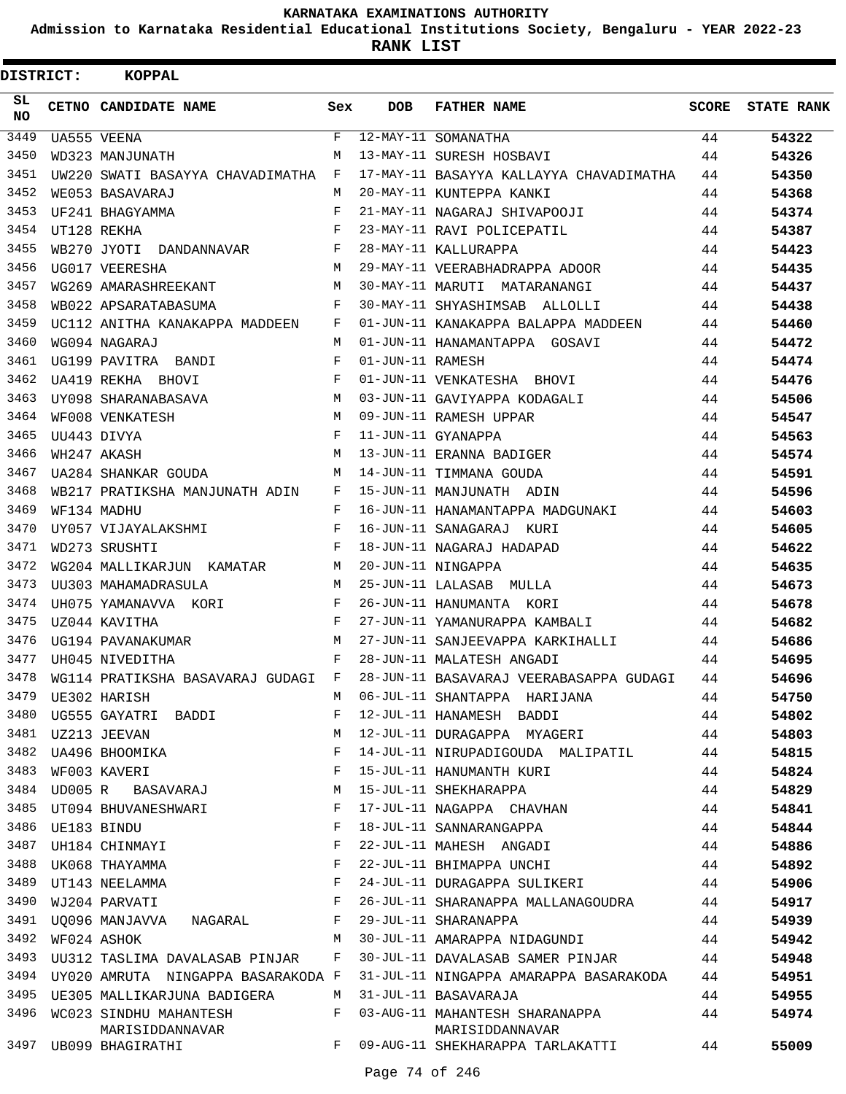**Admission to Karnataka Residential Educational Institutions Society, Bengaluru - YEAR 2022-23**

| <b>DISTRICT:</b> | <b>KOPPAL</b>                             |              |                  |                                                   |              |                   |
|------------------|-------------------------------------------|--------------|------------------|---------------------------------------------------|--------------|-------------------|
| SL.<br><b>NO</b> | CETNO CANDIDATE NAME                      | Sex          | <b>DOB</b>       | <b>FATHER NAME</b>                                | <b>SCORE</b> | <b>STATE RANK</b> |
| 3449             | UA555 VEENA                               | $\mathbf{F}$ |                  | 12-MAY-11 SOMANATHA                               | 44           | 54322             |
| 3450             | WD323 MANJUNATH                           | M            |                  | 13-MAY-11 SURESH HOSBAVI                          | 44           | 54326             |
| 3451             | UW220 SWATI BASAYYA CHAVADIMATHA          | F            |                  | 17-MAY-11 BASAYYA KALLAYYA CHAVADIMATHA           | 44           | 54350             |
| 3452             | WE053 BASAVARAJ                           | М            |                  | 20-MAY-11 KUNTEPPA KANKI                          | 44           | 54368             |
| 3453             | UF241 BHAGYAMMA                           | F            |                  | 21-MAY-11 NAGARAJ SHIVAPOOJI                      | 44           | 54374             |
| 3454             | UT128 REKHA                               | $\mathbf{F}$ |                  | 23-MAY-11 RAVI POLICEPATIL                        | 44           | 54387             |
| 3455             | WB270 JYOTI DANDANNAVAR                   | F            |                  | 28-MAY-11 KALLURAPPA                              | 44           | 54423             |
| 3456             | UG017 VEERESHA                            | M            |                  | 29-MAY-11 VEERABHADRAPPA ADOOR                    | 44           | 54435             |
| 3457             | WG269 AMARASHREEKANT                      | M            |                  | 30-MAY-11 MARUTI MATARANANGI                      | 44           | 54437             |
| 3458             | WB022 APSARATABASUMA                      | F            |                  | 30-MAY-11 SHYASHIMSAB ALLOLLI                     | 44           | 54438             |
| 3459             | UC112 ANITHA KANAKAPPA MADDEEN            | F            |                  | 01-JUN-11 KANAKAPPA BALAPPA MADDEEN               | 44           | 54460             |
| 3460             | WG094 NAGARAJ                             | M            |                  | 01-JUN-11 HANAMANTAPPA GOSAVI                     | 44           | 54472             |
| 3461             | UG199 PAVITRA BANDI                       | F            | 01-JUN-11 RAMESH |                                                   | 44           | 54474             |
| 3462             | UA419 REKHA BHOVI                         | F            |                  | 01-JUN-11 VENKATESHA BHOVI                        | 44           | 54476             |
| 3463             | UY098 SHARANABASAVA                       | M            |                  | 03-JUN-11 GAVIYAPPA KODAGALI                      | 44           | 54506             |
| 3464             | WF008 VENKATESH                           | M            |                  | 09-JUN-11 RAMESH UPPAR                            | 44           | 54547             |
| 3465             | UU443 DIVYA                               | $_{\rm F}$   |                  | 11-JUN-11 GYANAPPA                                | 44           | 54563             |
| 3466             | WH247 AKASH                               | M            |                  | 13-JUN-11 ERANNA BADIGER                          | 44           | 54574             |
| 3467             | UA284 SHANKAR GOUDA                       | M            |                  | 14-JUN-11 TIMMANA GOUDA                           | 44           | 54591             |
| 3468             | WB217 PRATIKSHA MANJUNATH ADIN            | F            |                  | 15-JUN-11 MANJUNATH ADIN                          | 44           | 54596             |
| 3469             | WF134 MADHU                               | F            |                  | 16-JUN-11 HANAMANTAPPA MADGUNAKI                  | 44           | 54603             |
| 3470             | UY057 VIJAYALAKSHMI                       | F            |                  | 16-JUN-11 SANAGARAJ KURI                          | 44           | 54605             |
| 3471             | WD273 SRUSHTI                             | $_{\rm F}$   |                  | 18-JUN-11 NAGARAJ HADAPAD                         | 44           | 54622             |
| 3472             | WG204 MALLIKARJUN KAMATAR                 | M            |                  | 20-JUN-11 NINGAPPA                                | 44           | 54635             |
| 3473             | UU303 MAHAMADRASULA                       | M            |                  | 25-JUN-11 LALASAB MULLA                           | 44           | 54673             |
| 3474             | UH075 YAMANAVVA KORI                      | F            |                  | 26-JUN-11 HANUMANTA KORI                          | 44           | 54678             |
| 3475             | UZ044 KAVITHA                             | F            |                  | 27-JUN-11 YAMANURAPPA KAMBALI                     | 44           | 54682             |
| 3476             | UG194 PAVANAKUMAR                         | M            |                  | 27-JUN-11 SANJEEVAPPA KARKIHALLI                  | 44           | 54686             |
| 3477             | UH045 NIVEDITHA                           | F            |                  | 28-JUN-11 MALATESH ANGADI                         | 44           | 54695             |
| 3478             | WG114 PRATIKSHA BASAVARAJ GUDAGI          | F            |                  | 28-JUN-11 BASAVARAJ VEERABASAPPA GUDAGI           | 44           | 54696             |
| 3479             | UE302 HARISH                              | М            |                  | 06-JUL-11 SHANTAPPA HARIJANA                      | 44           | 54750             |
| 3480             | UG555 GAYATRI BADDI                       | F            |                  | 12-JUL-11 HANAMESH BADDI                          | 44           | 54802             |
| 3481             | UZ213 JEEVAN                              | М            |                  | 12-JUL-11 DURAGAPPA MYAGERI                       | 44           |                   |
| 3482             |                                           | F            |                  |                                                   |              | 54803             |
| 3483             | UA496 BHOOMIKA                            | F            |                  | 14-JUL-11 NIRUPADIGOUDA MALIPATIL                 | 44           | 54815             |
|                  | WF003 KAVERI                              |              |                  | 15-JUL-11 HANUMANTH KURI                          | 44           | 54824             |
|                  | 3484 UD005 R BASAVARAJ                    | М            |                  | 15-JUL-11 SHEKHARAPPA                             | 44           | 54829             |
| 3485             | UT094 BHUVANESHWARI                       | F            |                  | 17-JUL-11 NAGAPPA CHAVHAN                         | 44           | 54841             |
| 3486             | UE183 BINDU                               | F            |                  | 18-JUL-11 SANNARANGAPPA                           | 44           | 54844             |
| 3487             | UH184 CHINMAYI                            | F            |                  | 22-JUL-11 MAHESH ANGADI                           | 44           | 54886             |
| 3488             | UK068 THAYAMMA                            | F            |                  | 22-JUL-11 BHIMAPPA UNCHI                          | 44           | 54892             |
| 3489             | UT143 NEELAMMA                            | F            |                  | 24-JUL-11 DURAGAPPA SULIKERI                      | 44           | 54906             |
| 3490             | WJ204 PARVATI                             | F            |                  | 26-JUL-11 SHARANAPPA MALLANAGOUDRA                | 44           | 54917             |
|                  | 3491 UQ096 MANJAVVA NAGARAL               | F            |                  | 29-JUL-11 SHARANAPPA                              | 44           | 54939             |
| 3492             | WF024 ASHOK                               | M            |                  | 30-JUL-11 AMARAPPA NIDAGUNDI                      | 44           | 54942             |
| 3493             | UU312 TASLIMA DAVALASAB PINJAR            | F            |                  | 30-JUL-11 DAVALASAB SAMER PINJAR                  | 44           | 54948             |
| 3494             | UY020 AMRUTA NINGAPPA BASARAKODA F        |              |                  | 31-JUL-11 NINGAPPA AMARAPPA BASARAKODA            | 44           | 54951             |
| 3495             | UE305 MALLIKARJUNA BADIGERA               | М            |                  | 31-JUL-11 BASAVARAJA                              | 44           | 54955             |
| 3496             | WC023 SINDHU MAHANTESH<br>MARISIDDANNAVAR | F            |                  | 03-AUG-11 MAHANTESH SHARANAPPA<br>MARISIDDANNAVAR | 44           | 54974             |
|                  | 3497 UB099 BHAGIRATHI                     | F            |                  | 09-AUG-11 SHEKHARAPPA TARLAKATTI                  | 44           | 55009             |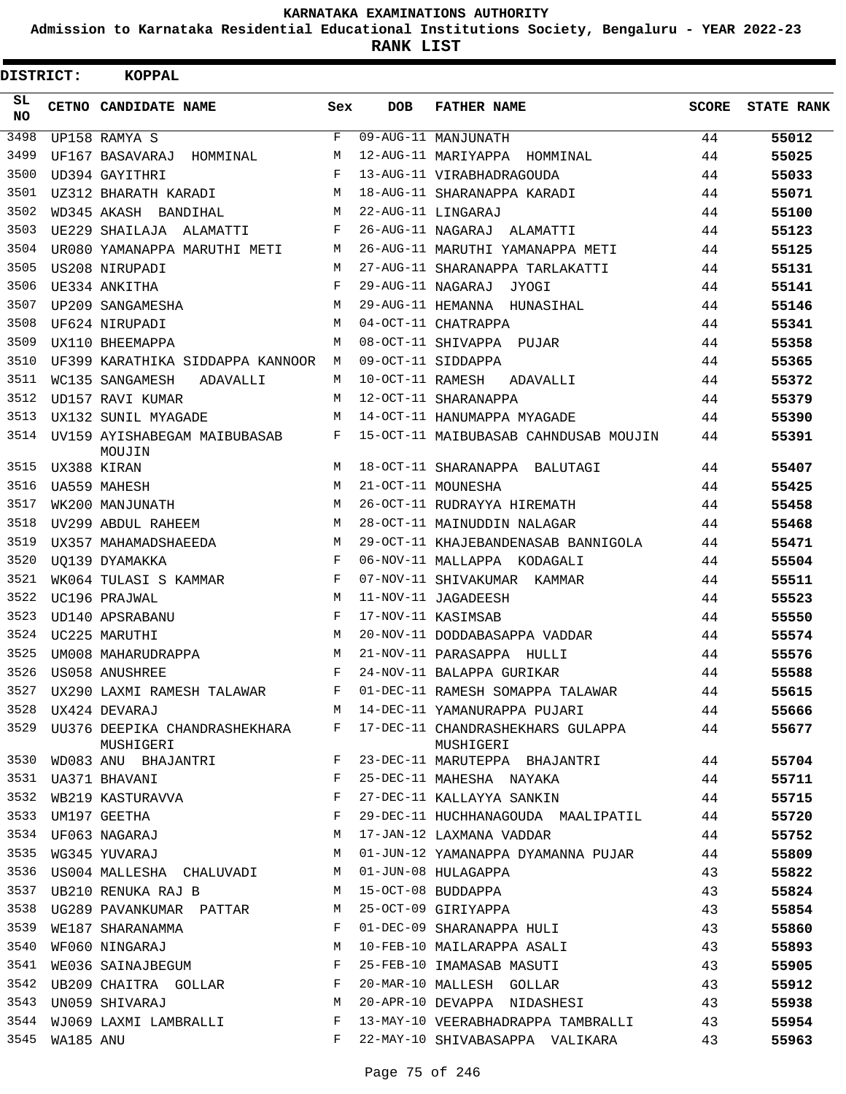**Admission to Karnataka Residential Educational Institutions Society, Bengaluru - YEAR 2022-23**

| DISTRICT:       |           | <b>KOPPAL</b>                              |             |                   |                                                |              |                   |
|-----------------|-----------|--------------------------------------------|-------------|-------------------|------------------------------------------------|--------------|-------------------|
| SL<br><b>NO</b> |           | CETNO CANDIDATE NAME                       | Sex         | DOB               | <b>FATHER NAME</b>                             | <b>SCORE</b> | <b>STATE RANK</b> |
| 3498            |           | UP158 RAMYA S                              | F           |                   | 09-AUG-11 MANJUNATH                            | 44           | 55012             |
| 3499            |           | UF167 BASAVARAJ<br>HOMMINAL                | M           |                   | 12-AUG-11 MARIYAPPA HOMMINAL                   | 44           | 55025             |
| 3500            |           | UD394 GAYITHRI                             | F           |                   | 13-AUG-11 VIRABHADRAGOUDA                      | 44           | 55033             |
| 3501            |           | UZ312 BHARATH KARADI                       | M           |                   | 18-AUG-11 SHARANAPPA KARADI                    | 44           | 55071             |
| 3502            |           | WD345 AKASH BANDIHAL                       | M           |                   | 22-AUG-11 LINGARAJ                             | 44           | 55100             |
| 3503            |           | UE229 SHAILAJA ALAMATTI                    | F           |                   | 26-AUG-11 NAGARAJ ALAMATTI                     | 44           | 55123             |
| 3504            |           | UR080 YAMANAPPA MARUTHI METI               | M           |                   | 26-AUG-11 MARUTHI YAMANAPPA METI               | 44           | 55125             |
| 3505            |           | US208 NIRUPADI                             | M           |                   | 27-AUG-11 SHARANAPPA TARLAKATTI                | 44           | 55131             |
| 3506            |           | UE334 ANKITHA                              | F           | 29-AUG-11 NAGARAJ | JYOGI                                          | 44           | 55141             |
| 3507            |           | UP209 SANGAMESHA                           | M           |                   | 29-AUG-11 HEMANNA HUNASIHAL                    | 44           | 55146             |
| 3508            |           | UF624 NIRUPADI                             | M           |                   | 04-OCT-11 CHATRAPPA                            | 44           | 55341             |
| 3509            |           | UX110 BHEEMAPPA                            | M           |                   | 08-OCT-11 SHIVAPPA PUJAR                       | 44           | 55358             |
| 3510            |           | UF399 KARATHIKA SIDDAPPA KANNOOR           | М           |                   | 09-OCT-11 SIDDAPPA                             | 44           | 55365             |
| 3511            |           | WC135 SANGAMESH<br>ADAVALLI                | M           | 10-OCT-11 RAMESH  | ADAVALLI                                       | 44           | 55372             |
| 3512            |           | UD157 RAVI KUMAR                           | М           |                   | 12-OCT-11 SHARANAPPA                           | 44           | 55379             |
| 3513            |           | UX132 SUNIL MYAGADE                        | M           |                   | 14-OCT-11 HANUMAPPA MYAGADE                    | 44           | 55390             |
| 3514            |           | UV159 AYISHABEGAM MAIBUBASAB<br>MOUJIN     | F           |                   | 15-OCT-11 MAIBUBASAB CAHNDUSAB MOUJIN          | 44           | 55391             |
| 3515            |           | UX388 KIRAN                                | M           |                   | 18-OCT-11 SHARANAPPA BALUTAGI                  | 44           | 55407             |
| 3516            |           | <b>UA559 MAHESH</b>                        | M           |                   | 21-OCT-11 MOUNESHA                             | 44           | 55425             |
| 3517            |           | WK200 MANJUNATH                            | M           |                   | 26-OCT-11 RUDRAYYA HIREMATH                    | 44           | 55458             |
| 3518            |           | UV299 ABDUL RAHEEM                         | M           |                   | 28-OCT-11 MAINUDDIN NALAGAR                    | 44           | 55468             |
| 3519            |           | UX357 MAHAMADSHAEEDA                       | M           |                   | 29-OCT-11 KHAJEBANDENASAB BANNIGOLA            | 44           | 55471             |
| 3520            |           | UO139 DYAMAKKA                             | F           |                   | 06-NOV-11 MALLAPPA KODAGALI                    | 44           | 55504             |
| 3521            |           | WK064 TULASI S KAMMAR                      | F           |                   | 07-NOV-11 SHIVAKUMAR KAMMAR                    | 44           | 55511             |
| 3522            |           | UC196 PRAJWAL                              | M           |                   | 11-NOV-11 JAGADEESH                            | 44           | 55523             |
| 3523            |           | UD140 APSRABANU                            | F           |                   | 17-NOV-11 KASIMSAB                             | 44           | 55550             |
| 3524            |           | UC225 MARUTHI                              | M           |                   | 20-NOV-11 DODDABASAPPA VADDAR                  | 44           | 55574             |
| 3525            |           | UM008 MAHARUDRAPPA                         | M           |                   | 21-NOV-11 PARASAPPA HULLI                      | 44           | 55576             |
| 3526            |           | US058 ANUSHREE                             | $_{\rm F}$  |                   | 24-NOV-11 BALAPPA GURIKAR                      | 44           | 55588             |
| 3527            |           | UX290 LAXMI RAMESH TALAWAR                 | $\mathbf F$ |                   | 01-DEC-11 RAMESH SOMAPPA TALAWAR               | 44           | 55615             |
| 3528            |           | UX424 DEVARAJ                              | M           |                   | 14-DEC-11 YAMANURAPPA PUJARI                   | 44           | 55666             |
| 3529            |           | UU376 DEEPIKA CHANDRASHEKHARA<br>MUSHIGERI | F           |                   | 17-DEC-11 CHANDRASHEKHARS GULAPPA<br>MUSHIGERI | 44           | 55677             |
| 3530            |           | WD083 ANU BHAJANTRI                        | F           |                   | 23-DEC-11 MARUTEPPA BHAJANTRI                  | 44           | 55704             |
| 3531            |           | UA371 BHAVANI                              | F           |                   | 25-DEC-11 MAHESHA NAYAKA                       | 44           | 55711             |
| 3532            |           | WB219 KASTURAVVA<br>UM197 GEETHA           | F           |                   | 27-DEC-11 KALLAYYA SANKIN                      | 44           | 55715             |
| 3533            |           |                                            | F           |                   | 29-DEC-11 HUCHHANAGOUDA MAALIPATIL             | 44           | 55720             |
| 3534            |           | UF063 NAGARAJ                              | М           |                   | 17-JAN-12 LAXMANA VADDAR                       | 44           | 55752             |
| 3535            |           | WG345 YUVARAJ                              | M           |                   | 01-JUN-12 YAMANAPPA DYAMANNA PUJAR             | 44           | 55809             |
| 3536            |           | US004 MALLESHA CHALUVADI                   | M           |                   | 01-JUN-08 HULAGAPPA                            | 43           | 55822             |
| 3537            |           | UB210 RENUKA RAJ B                         | M           |                   | 15-OCT-08 BUDDAPPA                             | 43           | 55824             |
| 3538            |           | UG289 PAVANKUMAR PATTAR                    | М           |                   | 25-OCT-09 GIRIYAPPA                            | 43           | 55854             |
| 3539            |           | WE187 SHARANAMMA                           | F           |                   | 01-DEC-09 SHARANAPPA HULI                      | 43           | 55860             |
| 3540            |           | WF060 NINGARAJ                             | М           |                   | 10-FEB-10 MAILARAPPA ASALI                     | 43           | 55893             |
| 3541            |           | WE036 SAINAJBEGUM                          | F           |                   | 25-FEB-10 IMAMASAB MASUTI                      | 43           | 55905             |
| 3542            |           | UB209 CHAITRA GOLLAR                       | F           |                   | 20-MAR-10 MALLESH GOLLAR                       | 43           | 55912             |
| 3543            |           | UN059 SHIVARAJ                             | M           |                   | 20-APR-10 DEVAPPA NIDASHESI                    | 43           | 55938             |
| 3544            |           | WJ069 LAXMI LAMBRALLI                      | F           |                   | 13-MAY-10 VEERABHADRAPPA TAMBRALLI             | 43           | 55954             |
| 3545            | WA185 ANU |                                            | F           |                   | 22-MAY-10 SHIVABASAPPA VALIKARA                | 43           | 55963             |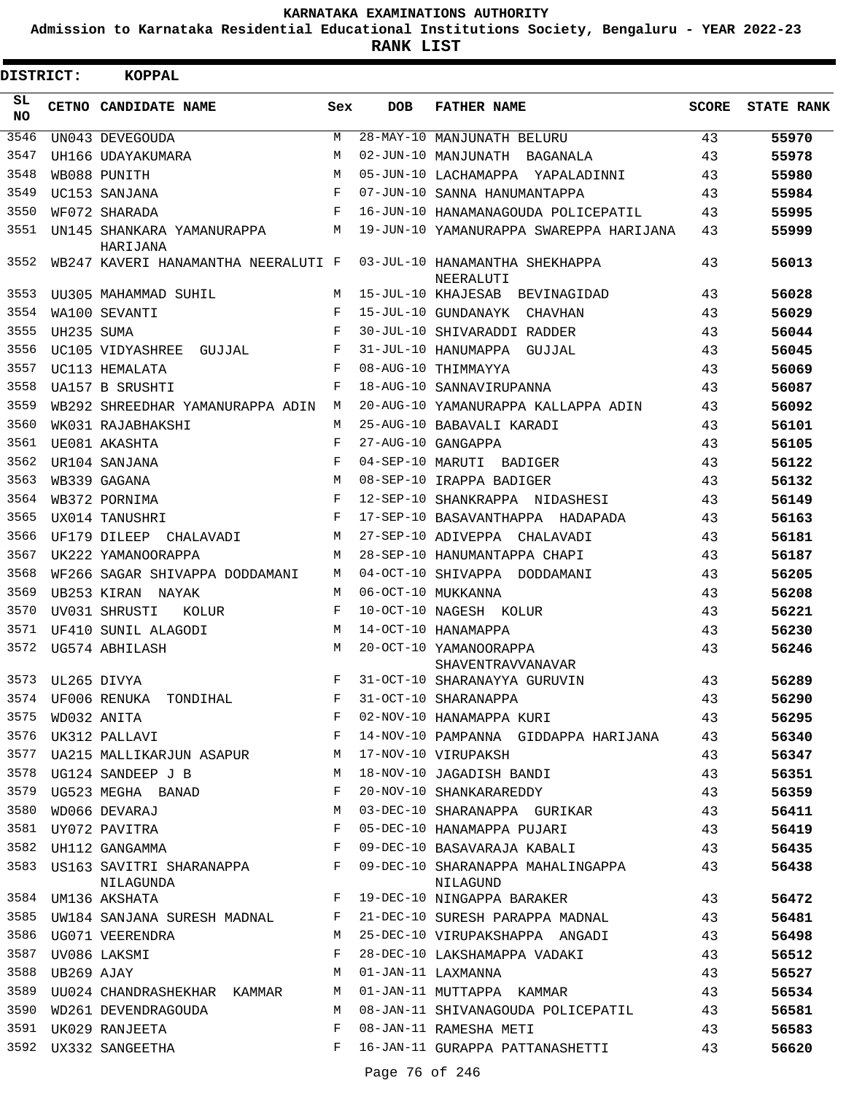**Admission to Karnataka Residential Educational Institutions Society, Bengaluru - YEAR 2022-23**

**RANK LIST**

| DISTRICT: |             | <b>KOPPAL</b>                                                                                                                                                                                                                                                                                                                                                                                                                                                                   |            |            |                                                  |              |                   |
|-----------|-------------|---------------------------------------------------------------------------------------------------------------------------------------------------------------------------------------------------------------------------------------------------------------------------------------------------------------------------------------------------------------------------------------------------------------------------------------------------------------------------------|------------|------------|--------------------------------------------------|--------------|-------------------|
| SL<br>NO. |             | CETNO CANDIDATE NAME                                                                                                                                                                                                                                                                                                                                                                                                                                                            | Sex        | <b>DOB</b> | <b>FATHER NAME</b>                               | <b>SCORE</b> | <b>STATE RANK</b> |
| 3546      |             | UN043 DEVEGOUDA                                                                                                                                                                                                                                                                                                                                                                                                                                                                 | M          |            | 28-MAY-10 MANJUNATH BELURU                       | 43           | 55970             |
| 3547      |             | UH166 UDAYAKUMARA                                                                                                                                                                                                                                                                                                                                                                                                                                                               | М          |            | 02-JUN-10 MANJUNATH BAGANALA                     | 43           | 55978             |
| 3548      |             | WB088 PUNITH                                                                                                                                                                                                                                                                                                                                                                                                                                                                    | М          |            | 05-JUN-10 LACHAMAPPA YAPALADINNI                 | 43           | 55980             |
| 3549      |             | UC153 SANJANA                                                                                                                                                                                                                                                                                                                                                                                                                                                                   | F          |            | 07-JUN-10 SANNA HANUMANTAPPA                     | 43           | 55984             |
| 3550      |             | WF072 SHARADA                                                                                                                                                                                                                                                                                                                                                                                                                                                                   | F          |            | 16-JUN-10 HANAMANAGOUDA POLICEPATIL              | 43           | 55995             |
| 3551      |             | UN145 SHANKARA YAMANURAPPA<br>HARIJANA                                                                                                                                                                                                                                                                                                                                                                                                                                          | M          |            | 19-JUN-10 YAMANURAPPA SWAREPPA HARIJANA          | 43           | 55999             |
| 3552      |             | WB247 KAVERI HANAMANTHA NEERALUTI F                                                                                                                                                                                                                                                                                                                                                                                                                                             |            |            | 03-JUL-10 HANAMANTHA SHEKHAPPA<br>NEERALUTI      | 43           | 56013             |
| 3553      |             | UU305 MAHAMMAD SUHIL                                                                                                                                                                                                                                                                                                                                                                                                                                                            | M          |            | 15-JUL-10 KHAJESAB BEVINAGIDAD                   | 43           | 56028             |
| 3554      |             | WA100 SEVANTI                                                                                                                                                                                                                                                                                                                                                                                                                                                                   | F          |            | 15-JUL-10 GUNDANAYK CHAVHAN                      | 43           | 56029             |
| 3555      | UH235 SUMA  |                                                                                                                                                                                                                                                                                                                                                                                                                                                                                 | $_{\rm F}$ |            | 30-JUL-10 SHIVARADDI RADDER                      | 43           | 56044             |
| 3556      |             | UC105 VIDYASHREE<br>GUJJAL                                                                                                                                                                                                                                                                                                                                                                                                                                                      | F          |            | 31-JUL-10 HANUMAPPA GUJJAL                       | 43           | 56045             |
| 3557      |             | UC113 HEMALATA                                                                                                                                                                                                                                                                                                                                                                                                                                                                  | F          |            | 08-AUG-10 THIMMAYYA                              | 43           | 56069             |
| 3558      |             | UA157 B SRUSHTI                                                                                                                                                                                                                                                                                                                                                                                                                                                                 | $_{\rm F}$ |            | 18-AUG-10 SANNAVIRUPANNA                         | 43           | 56087             |
| 3559      |             | WB292 SHREEDHAR YAMANURAPPA ADIN                                                                                                                                                                                                                                                                                                                                                                                                                                                | M          |            | 20-AUG-10 YAMANURAPPA KALLAPPA ADIN              | 43           | 56092             |
| 3560      |             | WK031 RAJABHAKSHI                                                                                                                                                                                                                                                                                                                                                                                                                                                               | М          |            | 25-AUG-10 BABAVALI KARADI                        | 43           | 56101             |
| 3561      |             | UE081 AKASHTA                                                                                                                                                                                                                                                                                                                                                                                                                                                                   | F          |            | 27-AUG-10 GANGAPPA                               | 43           | 56105             |
| 3562      |             | UR104 SANJANA                                                                                                                                                                                                                                                                                                                                                                                                                                                                   | F          |            | 04-SEP-10 MARUTI BADIGER                         | 43           | 56122             |
| 3563      |             | WB339 GAGANA                                                                                                                                                                                                                                                                                                                                                                                                                                                                    | M          |            | 08-SEP-10 IRAPPA BADIGER                         | 43           | 56132             |
| 3564      |             | WB372 PORNIMA                                                                                                                                                                                                                                                                                                                                                                                                                                                                   | F          |            | 12-SEP-10 SHANKRAPPA NIDASHESI                   | 43           | 56149             |
| 3565      |             | UX014 TANUSHRI                                                                                                                                                                                                                                                                                                                                                                                                                                                                  | F          |            | 17-SEP-10 BASAVANTHAPPA HADAPADA                 | 43           | 56163             |
| 3566      |             | UF179 DILEEP<br>CHALAVADI                                                                                                                                                                                                                                                                                                                                                                                                                                                       | M          |            | 27-SEP-10 ADIVEPPA CHALAVADI                     | 43           | 56181             |
| 3567      |             | UK222 YAMANOORAPPA                                                                                                                                                                                                                                                                                                                                                                                                                                                              | М          |            | 28-SEP-10 HANUMANTAPPA CHAPI                     | 43           | 56187             |
| 3568      |             | WF266 SAGAR SHIVAPPA DODDAMANI                                                                                                                                                                                                                                                                                                                                                                                                                                                  | М          |            | 04-OCT-10 SHIVAPPA DODDAMANI                     | 43           | 56205             |
| 3569      |             | UB253 KIRAN<br>NAYAK                                                                                                                                                                                                                                                                                                                                                                                                                                                            | М          |            | 06-OCT-10 MUKKANNA                               | 43           | 56208             |
| 3570      |             | UV031 SHRUSTI<br>KOLUR                                                                                                                                                                                                                                                                                                                                                                                                                                                          | F          |            | 10-OCT-10 NAGESH KOLUR                           | 43           | 56221             |
| 3571      |             | UF410 SUNIL ALAGODI                                                                                                                                                                                                                                                                                                                                                                                                                                                             | M          |            | 14-OCT-10 HANAMAPPA                              | 43           | 56230             |
| 3572      |             | UG574 ABHILASH                                                                                                                                                                                                                                                                                                                                                                                                                                                                  | M          |            | 20-OCT-10 YAMANOORAPPA<br>SHAVENTRAVVANAVAR      | 43           | 56246             |
| 3573      | UL265 DIVYA |                                                                                                                                                                                                                                                                                                                                                                                                                                                                                 | F          |            | 31-OCT-10 SHARANAYYA GURUVIN                     | 43           | 56289             |
| 3574      |             | UF006 RENUKA TONDIHAL                                                                                                                                                                                                                                                                                                                                                                                                                                                           | F          |            | 31-OCT-10 SHARANAPPA                             | 43           | 56290             |
| 3575      |             | $\mathbb F$<br>WD032 ANITA                                                                                                                                                                                                                                                                                                                                                                                                                                                      |            |            | 02-NOV-10 HANAMAPPA KURI                         | 43           | 56295             |
|           |             | $\mathbb F$<br>3576 UK312 PALLAVI                                                                                                                                                                                                                                                                                                                                                                                                                                               |            |            | 14-NOV-10 PAMPANNA GIDDAPPA HARIJANA 43          |              | 56340             |
|           |             | 3577 UA215 MALLIKARJUN ASAPUR M                                                                                                                                                                                                                                                                                                                                                                                                                                                 |            |            | 17-NOV-10 VIRUPAKSH                              | 43           | 56347             |
| 3578      |             | UG124 SANDEEP J B                                                                                                                                                                                                                                                                                                                                                                                                                                                               | М          |            | 18-NOV-10 JAGADISH BANDI                         | 43           | 56351             |
| 3579      |             | UG523 MEGHA BANAD                                                                                                                                                                                                                                                                                                                                                                                                                                                               | F          |            | 20-NOV-10 SHANKARAREDDY                          | 43           | 56359             |
|           |             |                                                                                                                                                                                                                                                                                                                                                                                                                                                                                 |            |            | 03-DEC-10 SHARANAPPA GURIKAR                     | 43           | 56411             |
|           |             | 3580 WD066 DEVARAJ M<br>3581 UY072 PAVITRA F<br>3582 UH112 GANGAMMA F                                                                                                                                                                                                                                                                                                                                                                                                           |            |            | 05-DEC-10 HANAMAPPA PUJARI                       | 43           | 56419             |
|           |             |                                                                                                                                                                                                                                                                                                                                                                                                                                                                                 |            |            | 09-DEC-10 BASAVARAJA KABALI 43                   |              | 56435             |
|           |             | 3583 US163 SAVITRI SHARANAPPA F<br>NILAGUNDA                                                                                                                                                                                                                                                                                                                                                                                                                                    |            |            | 09-DEC-10 SHARANAPPA MAHALINGAPPA 43<br>NILAGUND |              | 56438             |
|           |             | $\mathbf{F}^{\prime}=\mathbf{F}^{\prime}+\mathbf{F}^{\prime}+\mathbf{F}^{\prime}+\mathbf{F}^{\prime}+\mathbf{F}^{\prime}+\mathbf{F}^{\prime}+\mathbf{F}^{\prime}+\mathbf{F}^{\prime}+\mathbf{F}^{\prime}+\mathbf{F}^{\prime}+\mathbf{F}^{\prime}+\mathbf{F}^{\prime}+\mathbf{F}^{\prime}+\mathbf{F}^{\prime}+\mathbf{F}^{\prime}+\mathbf{F}^{\prime}+\mathbf{F}^{\prime}+\mathbf{F}^{\prime}+\mathbf{F}^{\prime}+\mathbf{F}^{\prime}+\mathbf{F}^{\prime}$<br>3584 UM136 AKSHATA |            |            | 19-DEC-10 NINGAPPA BARAKER                       | 43           | 56472             |
|           |             | 3585 UW184 SANJANA SURESH MADNAL F                                                                                                                                                                                                                                                                                                                                                                                                                                              |            |            | 21-DEC-10 SURESH PARAPPA MADNAL                  | 43           | 56481             |
|           |             | 3586 UG071 VEERENDRA                                                                                                                                                                                                                                                                                                                                                                                                                                                            | M          |            | 25-DEC-10 VIRUPAKSHAPPA ANGADI                   | 43           | 56498             |
| 3587      |             | UV086 LAKSMI                                                                                                                                                                                                                                                                                                                                                                                                                                                                    | F          |            | 28-DEC-10 LAKSHAMAPPA VADAKI                     | 43           | 56512             |
| 3588      | UB269 AJAY  |                                                                                                                                                                                                                                                                                                                                                                                                                                                                                 | М          |            | 01-JAN-11 LAXMANNA                               | 43           | 56527             |
| 3589      |             | UU024 CHANDRASHEKHAR KAMMAR                                                                                                                                                                                                                                                                                                                                                                                                                                                     | M          |            | 01-JAN-11 MUTTAPPA KAMMAR                        | 43           | 56534             |
|           |             | 3590 WD261 DEVENDRAGOUDA                                                                                                                                                                                                                                                                                                                                                                                                                                                        | M          |            | 08-JAN-11 SHIVANAGOUDA POLICEPATIL               | 43           | 56581             |
|           |             | 3591 UK029 RANJEETA                                                                                                                                                                                                                                                                                                                                                                                                                                                             | F          |            | 08-JAN-11 RAMESHA METI                           | 43           | 56583             |
|           |             | 3592 UX332 SANGEETHA                                                                                                                                                                                                                                                                                                                                                                                                                                                            | F          |            | 16-JAN-11 GURAPPA PATTANASHETTI                  | 43           | 56620             |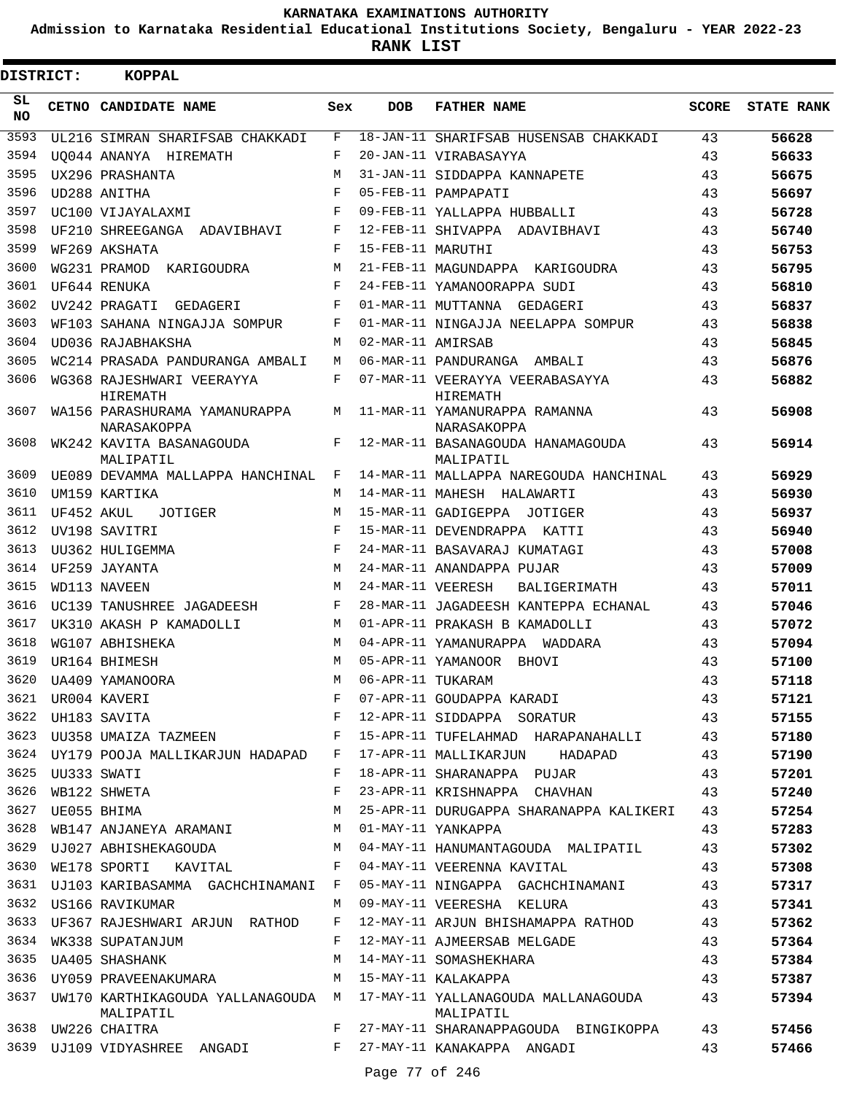**Admission to Karnataka Residential Educational Institutions Society, Bengaluru - YEAR 2022-23**

**RANK LIST**

| DISTRICT: |                  | <b>KOPPAL</b>                                             |         |                   |                                                                                        |              |                   |
|-----------|------------------|-----------------------------------------------------------|---------|-------------------|----------------------------------------------------------------------------------------|--------------|-------------------|
| SL<br>NO. |                  | CETNO CANDIDATE NAME                                      | Sex     | <b>DOB</b>        | <b>FATHER NAME</b>                                                                     | <b>SCORE</b> | <b>STATE RANK</b> |
| 3593      |                  | UL216 SIMRAN SHARIFSAB CHAKKADI                           | F       |                   | 18-JAN-11 SHARIFSAB HUSENSAB CHAKKADI                                                  | 43           | 56628             |
| 3594      |                  | UO044 ANANYA HIREMATH                                     | F       |                   | 20-JAN-11 VIRABASAYYA                                                                  | 43           | 56633             |
| 3595      |                  | UX296 PRASHANTA                                           | M       |                   | 31-JAN-11 SIDDAPPA KANNAPETE                                                           | 43           | 56675             |
| 3596      |                  | UD288 ANITHA                                              | F       |                   | 05-FEB-11 PAMPAPATI                                                                    | 43           | 56697             |
| 3597      |                  | UC100 VIJAYALAXMI                                         | F       |                   | 09-FEB-11 YALLAPPA HUBBALLI                                                            | 43           | 56728             |
| 3598      |                  | UF210 SHREEGANGA ADAVIBHAVI                               | F       |                   | 12-FEB-11 SHIVAPPA ADAVIBHAVI                                                          | 43           | 56740             |
| 3599      |                  | WF269 AKSHATA                                             | F       | 15-FEB-11 MARUTHI |                                                                                        | 43           | 56753             |
| 3600      |                  | WG231 PRAMOD KARIGOUDRA                                   | М       |                   | 21-FEB-11 MAGUNDAPPA KARIGOUDRA                                                        | 43           | 56795             |
| 3601      |                  | UF644 RENUKA                                              | F       |                   | 24-FEB-11 YAMANOORAPPA SUDI                                                            | 43           | 56810             |
| 3602      |                  | UV242 PRAGATI GEDAGERI                                    | F       |                   | 01-MAR-11 MUTTANNA GEDAGERI                                                            | 43           | 56837             |
| 3603      |                  | WF103 SAHANA NINGAJJA SOMPUR                              | F       |                   | 01-MAR-11 NINGAJJA NEELAPPA SOMPUR                                                     | 43           | 56838             |
| 3604      |                  | UD036 RAJABHAKSHA                                         | М       | 02-MAR-11 AMIRSAB |                                                                                        | 43           | 56845             |
| 3605      |                  | WC214 PRASADA PANDURANGA AMBALI                           | M       |                   | 06-MAR-11 PANDURANGA AMBALI                                                            | 43           | 56876             |
| 3606      |                  | WG368 RAJESHWARI VEERAYYA<br>HIREMATH                     | F       |                   | 07-MAR-11 VEERAYYA VEERABASAYYA<br>HIREMATH                                            | 43           | 56882             |
| 3607      |                  | WA156 PARASHURAMA YAMANURAPPA<br>NARASAKOPPA              | М       |                   | 11-MAR-11 YAMANURAPPA RAMANNA<br>NARASAKOPPA                                           | 43           | 56908             |
| 3608      |                  | WK242 KAVITA BASANAGOUDA<br>MALIPATIL                     | F       |                   | 12-MAR-11 BASANAGOUDA HANAMAGOUDA<br>MALIPATIL                                         | 43           | 56914             |
| 3609      |                  | UE089 DEVAMMA MALLAPPA HANCHINAL                          | F       |                   | 14-MAR-11 MALLAPPA NAREGOUDA HANCHINAL                                                 | 43           | 56929             |
| 3610      |                  | UM159 KARTIKA                                             | М       |                   | 14-MAR-11 MAHESH HALAWARTI                                                             | 43           | 56930             |
| 3611      | UF452 AKUL       | JOTIGER                                                   | M       |                   | 15-MAR-11 GADIGEPPA JOTIGER                                                            | 43           | 56937             |
| 3612      |                  | UV198 SAVITRI                                             | F       |                   | 15-MAR-11 DEVENDRAPPA KATTI                                                            | 43           | 56940             |
| 3613      |                  | UU362 HULIGEMMA                                           | F       |                   | 24-MAR-11 BASAVARAJ KUMATAGI                                                           | 43           | 57008             |
| 3614      |                  | UF259 JAYANTA                                             | M       |                   | 24-MAR-11 ANANDAPPA PUJAR                                                              | 43           | 57009             |
| 3615      |                  | WD113 NAVEEN                                              | M       | 24-MAR-11 VEERESH | BALIGERIMATH                                                                           | 43           | 57011             |
| 3616      |                  | UC139 TANUSHREE JAGADEESH                                 | F       |                   | 28-MAR-11 JAGADEESH KANTEPPA ECHANAL                                                   | 43           | 57046             |
| 3617      |                  | UK310 AKASH P KAMADOLLI                                   | М       |                   | 01-APR-11 PRAKASH B KAMADOLLI                                                          | 43           | 57072             |
| 3618      |                  | WG107 ABHISHEKA                                           | M       |                   | 04-APR-11 YAMANURAPPA WADDARA                                                          | 43           | 57094             |
| 3619      |                  | UR164 BHIMESH                                             | M       |                   | 05-APR-11 YAMANOOR BHOVI                                                               | 43           | 57100             |
| 3620      |                  | UA409 YAMANOORA                                           | M       | 06-APR-11 TUKARAM |                                                                                        | 43           | 57118             |
| 3621      |                  | UR004 KAVERI                                              | F       |                   | 07-APR-11 GOUDAPPA KARADI                                                              | 43           | 57121             |
|           |                  | 3622 UH183 SAVITA                                         | $F$ and |                   | 12-APR-11 SIDDAPPA SORATUR 43                                                          |              | 57155             |
|           |                  |                                                           |         |                   | 3623 UU358 UMAIZA TAZMEEN F 15-APR-11 TUFELAHMAD HARAPANAHALLI 43                      |              | 57180             |
|           |                  |                                                           |         |                   | 3624 UY179 POOJA MALLIKARJUN HADAPAD F 17-APR-11 MALLIKARJUN HADAPAD                   | 43           | 57190             |
| 3625      | UU333 SWATI      |                                                           | F       |                   | 18-APR-11 SHARANAPPA PUJAR                                                             | 43           | 57201             |
| 3626      |                  | WB122 SHWETA                                              | F       |                   | 23-APR-11 KRISHNAPPA CHAVHAN                                                           | 43           | 57240             |
|           | 3627 UE055 BHIMA |                                                           | М       |                   | 25-APR-11 DURUGAPPA SHARANAPPA KALIKERI 43                                             |              | 57254             |
|           |                  | 3628 WB147 ANJANEYA ARAMANI M                             |         |                   | 01-MAY-11 YANKAPPA                                                                     | 43           | 57283             |
|           |                  | 3629 UJ027 ABHISHEKAGOUDA M                               |         |                   | 04-MAY-11 HANUMANTAGOUDA MALIPATIL                                                     | 43           | 57302             |
|           |                  | 3630 WE178 SPORTI KAVITAL F                               |         |                   | 04-MAY-11 VEERENNA KAVITAL                                                             | 43           | 57308             |
|           |                  | 3631 UJ103 KARIBASAMMA GACHCHINAMANI F                    |         |                   | 05-MAY-11 NINGAPPA GACHCHINAMANI 43                                                    |              | 57317             |
|           |                  | 3632 US166 RAVIKUMAR                                      | M       |                   | 09-MAY-11 VEERESHA KELURA                                                              | 43           | 57341             |
| 3633      |                  | UF367 RAJESHWARI ARJUN RATHOD                             | F       |                   | 12-MAY-11 ARJUN BHISHAMAPPA RATHOD 43                                                  |              | 57362             |
| 3634      |                  | WK338 SUPATANJUM                                          | F       |                   | 12-MAY-11 AJMEERSAB MELGADE                                                            | 43           | 57364             |
|           |                  | 3635 UA405 SHASHANK                                       | M       |                   | 14-MAY-11 SOMASHEKHARA                                                                 | 43           | 57384             |
|           |                  | 3636 UY059 PRAVEENAKUMARA M 15-MAY-11 KALAKAPPA           |         |                   |                                                                                        | 43           | 57387             |
| 3637      |                  | MALIPATIL                                                 |         |                   | UW170 KARTHIKAGOUDA YALLANAGOUDA M 17-MAY-11 YALLANAGOUDA MALLANAGOUDA 43<br>MALIPATIL |              | 57394             |
|           |                  | 3638 UW226 CHAITRA                                        | F       |                   | 27-MAY-11 SHARANAPPAGOUDA BINGIKOPPA                                                   | 43           | 57456             |
|           |                  | 3639 UJ109 VIDYASHREE ANGADI F 27-MAY-11 KANAKAPPA ANGADI |         |                   |                                                                                        | 43           | 57466             |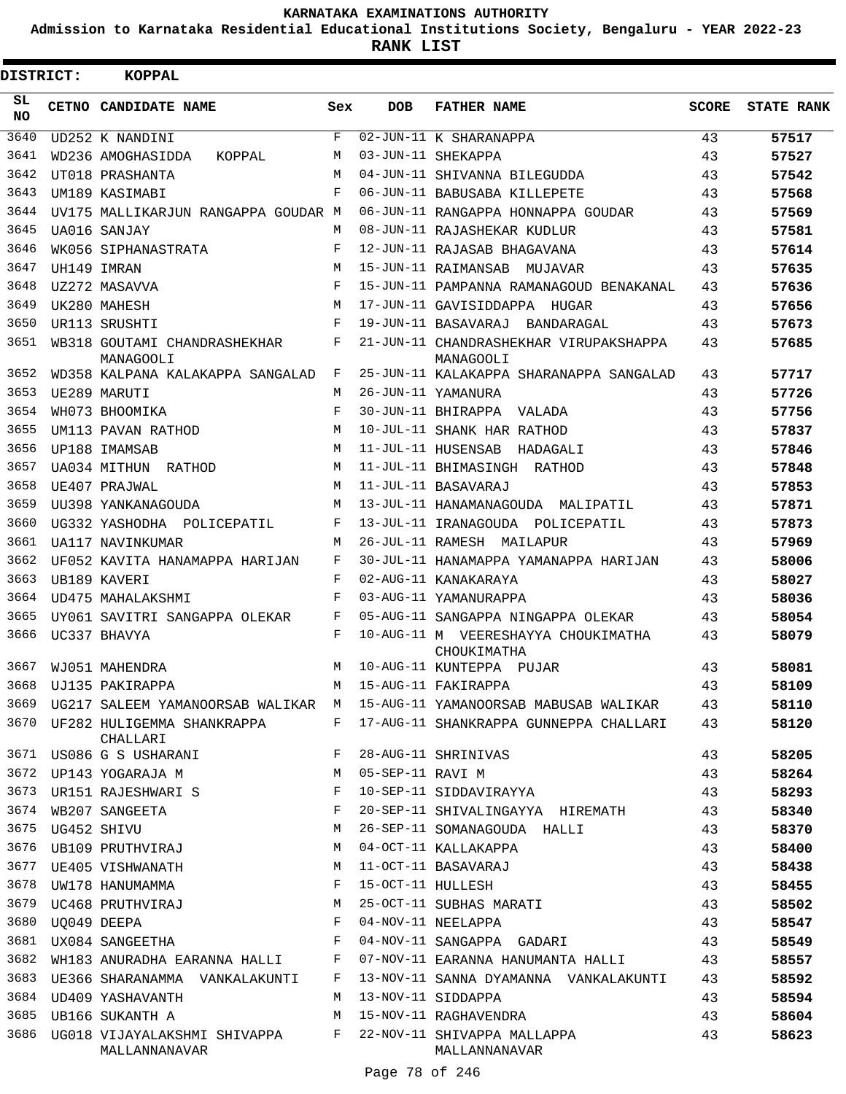**Admission to Karnataka Residential Educational Institutions Society, Bengaluru - YEAR 2022-23**

**RANK LIST**

| DISTRICT: | <b>KOPPAL</b>                                 |            |                   |                                                     |              |                   |
|-----------|-----------------------------------------------|------------|-------------------|-----------------------------------------------------|--------------|-------------------|
| SL<br>NO. | CETNO CANDIDATE NAME                          | Sex        | <b>DOB</b>        | <b>FATHER NAME</b>                                  | <b>SCORE</b> | <b>STATE RANK</b> |
| 3640      | UD252 K NANDINI                               | F          |                   | 02-JUN-11 K SHARANAPPA                              | 43           | 57517             |
| 3641      | WD236 AMOGHASIDDA<br>KOPPAL                   | M          |                   | 03-JUN-11 SHEKAPPA                                  | 43           | 57527             |
| 3642      | UT018 PRASHANTA                               | M          |                   | 04-JUN-11 SHIVANNA BILEGUDDA                        | 43           | 57542             |
| 3643      | UM189 KASIMABI                                | F          |                   | 06-JUN-11 BABUSABA KILLEPETE                        | 43           | 57568             |
| 3644      | UV175 MALLIKARJUN RANGAPPA GOUDAR M           |            |                   | 06-JUN-11 RANGAPPA HONNAPPA GOUDAR                  | 43           | 57569             |
| 3645      | UA016 SANJAY                                  | M          |                   | 08-JUN-11 RAJASHEKAR KUDLUR                         | 43           | 57581             |
| 3646      | WK056 SIPHANASTRATA                           | F          |                   | 12-JUN-11 RAJASAB BHAGAVANA                         | 43           | 57614             |
| 3647      | UH149 IMRAN                                   | M          |                   | 15-JUN-11 RAIMANSAB MUJAVAR                         | 43           | 57635             |
| 3648      | UZ272 MASAVVA                                 | F          |                   | 15-JUN-11 PAMPANNA RAMANAGOUD BENAKANAL             | 43           | 57636             |
| 3649      | UK280 MAHESH                                  | M          |                   | 17-JUN-11 GAVISIDDAPPA HUGAR                        | 43           | 57656             |
| 3650      | UR113 SRUSHTI                                 | F          |                   | 19-JUN-11 BASAVARAJ BANDARAGAL                      | 43           | 57673             |
| 3651      | WB318 GOUTAMI CHANDRASHEKHAR<br>MANAGOOLI     | F          |                   | 21-JUN-11 CHANDRASHEKHAR VIRUPAKSHAPPA<br>MANAGOOLI | 43           | 57685             |
| 3652      | WD358 KALPANA KALAKAPPA SANGALAD              | F          |                   | 25-JUN-11 KALAKAPPA SHARANAPPA SANGALAD             | 43           | 57717             |
| 3653      | UE289 MARUTI                                  | M          |                   | 26-JUN-11 YAMANURA                                  | 43           | 57726             |
| 3654      | WH073 BHOOMIKA                                | $_{\rm F}$ |                   | 30-JUN-11 BHIRAPPA VALADA                           | 43           | 57756             |
| 3655      | UM113 PAVAN RATHOD                            | M          |                   | 10-JUL-11 SHANK HAR RATHOD                          | 43           | 57837             |
| 3656      | UP188 IMAMSAB                                 | M          |                   | 11-JUL-11 HUSENSAB HADAGALI                         | 43           | 57846             |
| 3657      | UA034 MITHUN RATHOD                           | M          |                   | 11-JUL-11 BHIMASINGH RATHOD                         | 43           | 57848             |
| 3658      | UE407 PRAJWAL                                 | M          |                   | 11-JUL-11 BASAVARAJ                                 | 43           | 57853             |
| 3659      | UU398 YANKANAGOUDA                            | M          |                   | 13-JUL-11 HANAMANAGOUDA MALIPATIL                   | 43           | 57871             |
| 3660      | UG332 YASHODHA POLICEPATIL                    | F          |                   | 13-JUL-11 IRANAGOUDA POLICEPATIL                    | 43           | 57873             |
| 3661      | UA117 NAVINKUMAR                              | M          |                   | 26-JUL-11 RAMESH MAILAPUR                           | 43           | 57969             |
| 3662      | UF052 KAVITA HANAMAPPA HARIJAN                | F          |                   | 30-JUL-11 HANAMAPPA YAMANAPPA HARIJAN               | 43           | 58006             |
| 3663      | UB189 KAVERI                                  | F          |                   | 02-AUG-11 KANAKARAYA                                | 43           | 58027             |
| 3664      | UD475 MAHALAKSHMI                             | F          |                   | 03-AUG-11 YAMANURAPPA                               | 43           | 58036             |
| 3665      | UY061 SAVITRI SANGAPPA OLEKAR                 | F          |                   | 05-AUG-11 SANGAPPA NINGAPPA OLEKAR                  | 43           | 58054             |
| 3666      | UC337 BHAVYA                                  | F          |                   | 10-AUG-11 M VEERESHAYYA CHOUKIMATHA<br>CHOUKIMATHA  | 43           | 58079             |
| 3667      | WJ051 MAHENDRA                                | M          |                   | 10-AUG-11 KUNTEPPA PUJAR                            | 43           | 58081             |
|           | 3668 UJ135 PAKIRAPPA                          |            |                   | M 15-AUG-11 FAKIRAPPA                               | 43           | 58109             |
| 3669      | UG217 SALEEM YAMANOORSAB WALIKAR M            |            |                   | 15-AUG-11 YAMANOORSAB MABUSAB WALIKAR               | 43           | 58110             |
| 3670      | UF282 HULIGEMMA SHANKRAPPA<br>CHALLARI        | F          |                   | 17-AUG-11 SHANKRAPPA GUNNEPPA CHALLARI              | 43           | 58120             |
| 3671      | US086 G S USHARANI                            | F          |                   | 28-AUG-11 SHRINIVAS                                 | 43           | 58205             |
| 3672      | UP143 YOGARAJA M                              | M          | 05-SEP-11 RAVI M  |                                                     | 43           | 58264             |
| 3673      | UR151 RAJESHWARI S                            | F          |                   | 10-SEP-11 SIDDAVIRAYYA                              | 43           | 58293             |
| 3674      | WB207 SANGEETA                                | F          |                   | 20-SEP-11 SHIVALINGAYYA HIREMATH                    | 43           | 58340             |
| 3675      | UG452 SHIVU                                   | М          |                   | 26-SEP-11 SOMANAGOUDA HALLI                         | 43           | 58370             |
| 3676      | UB109 PRUTHVIRAJ                              | M          |                   | 04-OCT-11 KALLAKAPPA                                | 43           | 58400             |
| 3677      | UE405 VISHWANATH                              | M          |                   | 11-OCT-11 BASAVARAJ                                 | 43           | 58438             |
| 3678      | UW178 HANUMAMMA                               | F          | 15-OCT-11 HULLESH |                                                     | 43           | 58455             |
| 3679      | UC468 PRUTHVIRAJ                              | M          |                   | 25-OCT-11 SUBHAS MARATI                             | 43           | 58502             |
| 3680      | UO049 DEEPA                                   | F          |                   | 04-NOV-11 NEELAPPA                                  | 43           | 58547             |
| 3681      | UX084 SANGEETHA                               | F          |                   | 04-NOV-11 SANGAPPA GADARI                           | 43           | 58549             |
| 3682      | WH183 ANURADHA EARANNA HALLI                  | F          |                   | 07-NOV-11 EARANNA HANUMANTA HALLI                   | 43           | 58557             |
| 3683      | UE366 SHARANAMMA VANKALAKUNTI                 | F          |                   | 13-NOV-11 SANNA DYAMANNA VANKALAKUNTI               | 43           | 58592             |
| 3684      | UD409 YASHAVANTH                              | M          |                   | 13-NOV-11 SIDDAPPA                                  | 43           | 58594             |
| 3685      | UB166 SUKANTH A                               | M          |                   | 15-NOV-11 RAGHAVENDRA                               | 43           | 58604             |
| 3686      | UG018 VIJAYALAKSHMI SHIVAPPA<br>MALLANNANAVAR | F          |                   | 22-NOV-11 SHIVAPPA MALLAPPA<br>MALLANNANAVAR        | 43           | 58623             |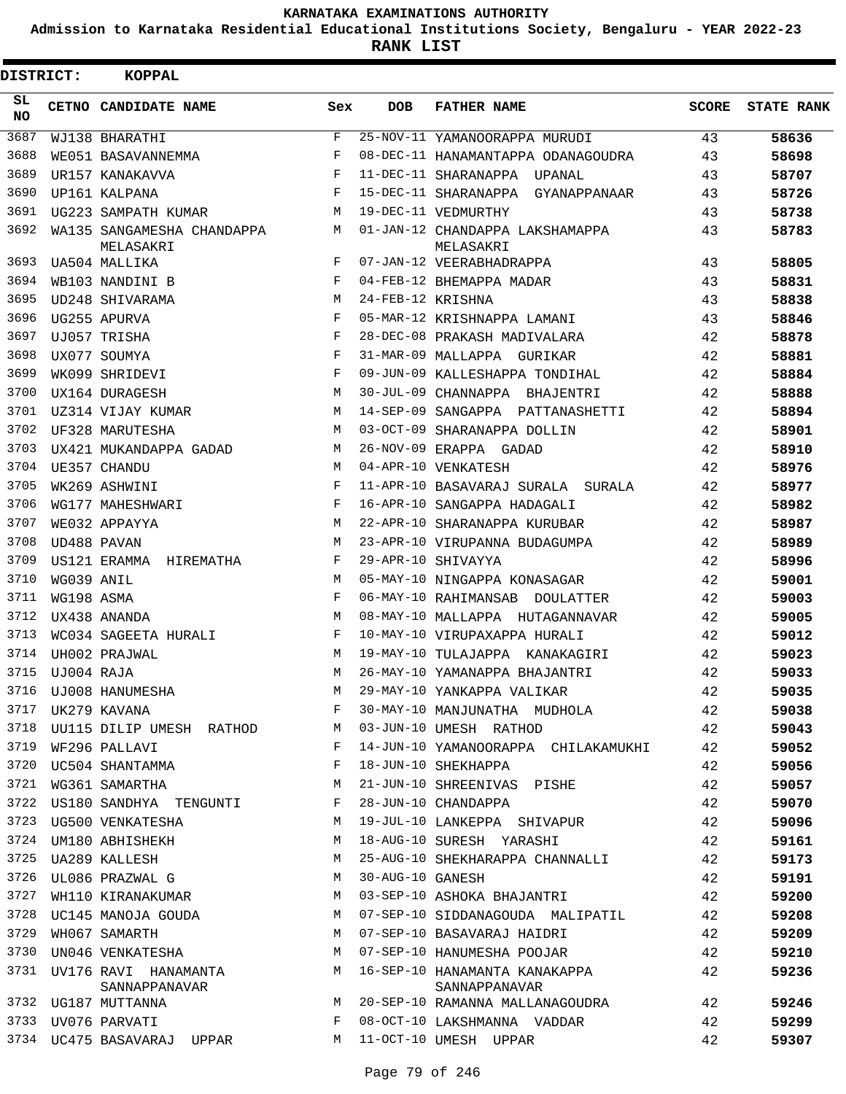**Admission to Karnataka Residential Educational Institutions Society, Bengaluru - YEAR 2022-23**

| <b>DISTRICT:</b> |            | <b>KOPPAL</b>                           |              |                   |                                                |       |                   |
|------------------|------------|-----------------------------------------|--------------|-------------------|------------------------------------------------|-------|-------------------|
| SL.<br><b>NO</b> |            | CETNO CANDIDATE NAME                    | Sex          | <b>DOB</b>        | <b>FATHER NAME</b>                             | SCORE | <b>STATE RANK</b> |
| 3687             |            | WJ138 BHARATHI                          | $\mathbf{F}$ |                   | 25-NOV-11 YAMANOORAPPA MURUDI                  | 43    | 58636             |
| 3688             |            | WE051 BASAVANNEMMA                      | F            |                   | 08-DEC-11 HANAMANTAPPA ODANAGOUDRA             | 43    | 58698             |
| 3689             |            | UR157 KANAKAVVA                         | F            |                   | 11-DEC-11 SHARANAPPA UPANAL                    | 43    | 58707             |
| 3690             |            | UP161 KALPANA                           | F            |                   | 15-DEC-11 SHARANAPPA<br>GYANAPPANAAR           | 43    | 58726             |
| 3691             |            | UG223 SAMPATH KUMAR                     | M            |                   | 19-DEC-11 VEDMURTHY                            | 43    | 58738             |
| 3692             |            | WA135 SANGAMESHA CHANDAPPA<br>MELASAKRI | M            |                   | 01-JAN-12 CHANDAPPA LAKSHAMAPPA<br>MELASAKRI   | 43    | 58783             |
| 3693             |            | UA504 MALLIKA                           | $_{\rm F}$   |                   | 07-JAN-12 VEERABHADRAPPA                       | 43    | 58805             |
| 3694             |            | WB103 NANDINI B                         | F            |                   | 04-FEB-12 BHEMAPPA MADAR                       | 43    | 58831             |
| 3695             |            | UD248 SHIVARAMA                         | M            | 24-FEB-12 KRISHNA |                                                | 43    | 58838             |
| 3696             |            | UG255 APURVA                            | F            |                   | 05-MAR-12 KRISHNAPPA LAMANI                    | 43    | 58846             |
| 3697             |            | UJ057 TRISHA                            | F            |                   | 28-DEC-08 PRAKASH MADIVALARA                   | 42    | 58878             |
| 3698             |            | UX077 SOUMYA                            | F            |                   | 31-MAR-09 MALLAPPA GURIKAR                     | 42    | 58881             |
| 3699             |            | WK099 SHRIDEVI                          | $_{\rm F}$   |                   | 09-JUN-09 KALLESHAPPA TONDIHAL                 | 42    | 58884             |
| 3700             |            | UX164 DURAGESH                          | M            |                   | 30-JUL-09 CHANNAPPA BHAJENTRI                  | 42    | 58888             |
| 3701             |            | UZ314 VIJAY KUMAR                       | M            |                   | 14-SEP-09 SANGAPPA PATTANASHETTI               | 42    | 58894             |
| 3702             |            | UF328 MARUTESHA                         | M            |                   | 03-OCT-09 SHARANAPPA DOLLIN                    | 42    | 58901             |
| 3703             |            | UX421 MUKANDAPPA GADAD                  | M            |                   | 26-NOV-09 ERAPPA GADAD                         | 42    | 58910             |
| 3704             |            | UE357 CHANDU                            | М            |                   | 04-APR-10 VENKATESH                            | 42    | 58976             |
| 3705             |            | WK269 ASHWINI                           | F            |                   | 11-APR-10 BASAVARAJ SURALA SURALA              | 42    | 58977             |
| 3706             |            | WG177 MAHESHWARI                        | F            |                   | 16-APR-10 SANGAPPA HADAGALI                    | 42    | 58982             |
| 3707             |            | WE032 APPAYYA                           | M            |                   | 22-APR-10 SHARANAPPA KURUBAR                   | 42    | 58987             |
| 3708             |            | UD488 PAVAN                             | М            |                   | 23-APR-10 VIRUPANNA BUDAGUMPA                  | 42    | 58989             |
| 3709             |            | US121 ERAMMA HIREMATHA                  | F            |                   | 29-APR-10 SHIVAYYA                             | 42    | 58996             |
| 3710             | WG039 ANIL |                                         | M            |                   | 05-MAY-10 NINGAPPA KONASAGAR                   | 42    | 59001             |
| 3711             | WG198 ASMA |                                         | F            |                   | 06-MAY-10 RAHIMANSAB DOULATTER                 | 42    | 59003             |
| 3712             |            | UX438 ANANDA                            | M            |                   | 08-MAY-10 MALLAPPA HUTAGANNAVAR                | 42    | 59005             |
| 3713             |            | WC034 SAGEETA HURALI                    | F            |                   | 10-MAY-10 VIRUPAXAPPA HURALI                   | 42    | 59012             |
| 3714             |            | UH002 PRAJWAL                           | M            |                   | 19-MAY-10 TULAJAPPA KANAKAGIRI                 | 42    | 59023             |
| 3715             | UJ004 RAJA |                                         | M            |                   | 26-MAY-10 YAMANAPPA BHAJANTRI                  | 42    | 59033             |
| 3716             |            | UJ008 HANUMESHA                         | М            |                   | 29-MAY-10 YANKAPPA VALIKAR                     | 42    | 59035             |
| 3717             |            | UK279 KAVANA                            | F            |                   | 30-MAY-10 MANJUNATHA MUDHOLA                   | 42    | 59038             |
| 3718             |            | UU115 DILIP UMESH RATHOD                | M            |                   | 03-JUN-10 UMESH RATHOD                         | 42    | 59043             |
| 3719             |            | WF296 PALLAVI                           | F            |                   | 14-JUN-10 YAMANOORAPPA CHILAKAMUKHI            | 42    | 59052             |
| 3720             |            | UC504 SHANTAMMA                         | F            |                   | 18-JUN-10 SHEKHAPPA                            | 42    | 59056             |
| 3721             |            | WG361 SAMARTHA                          | М            |                   | 21-JUN-10 SHREENIVAS PISHE                     | 42    | 59057             |
| 3722             |            | US180 SANDHYA TENGUNTI                  | F            |                   | 28-JUN-10 CHANDAPPA                            | 42    | 59070             |
| 3723             |            | UG500 VENKATESHA                        | M            |                   | 19-JUL-10 LANKEPPA SHIVAPUR                    | 42    | 59096             |
| 3724             |            | UM180 ABHISHEKH                         | М            |                   | 18-AUG-10 SURESH YARASHI                       | 42    | 59161             |
| 3725             |            | UA289 KALLESH                           | M            |                   | 25-AUG-10 SHEKHARAPPA CHANNALLI                | 42    | 59173             |
| 3726             |            | UL086 PRAZWAL G                         | М            | 30-AUG-10 GANESH  |                                                | 42    | 59191             |
| 3727             |            | WH110 KIRANAKUMAR                       | M            |                   | 03-SEP-10 ASHOKA BHAJANTRI                     | 42    | 59200             |
| 3728             |            | UC145 MANOJA GOUDA                      | М            |                   | 07-SEP-10 SIDDANAGOUDA MALIPATIL               | 42    | 59208             |
| 3729             |            | WH067 SAMARTH                           | M            |                   | 07-SEP-10 BASAVARAJ HAIDRI                     | 42    | 59209             |
| 3730             |            | UN046 VENKATESHA                        | М            |                   | 07-SEP-10 HANUMESHA POOJAR                     | 42    | 59210             |
| 3731             |            | UV176 RAVI HANAMANTA<br>SANNAPPANAVAR   | M            |                   | 16-SEP-10 HANAMANTA KANAKAPPA<br>SANNAPPANAVAR | 42    | 59236             |
|                  |            | 3732 UG187 MUTTANNA                     | M            |                   | 20-SEP-10 RAMANNA MALLANAGOUDRA                | 42    | 59246             |
| 3733             |            | UV076 PARVATI                           | F            |                   | 08-OCT-10 LAKSHMANNA VADDAR                    | 42    | 59299             |
| 3734             |            | UC475 BASAVARAJ UPPAR                   | M            |                   | 11-OCT-10 UMESH UPPAR                          | 42    | 59307             |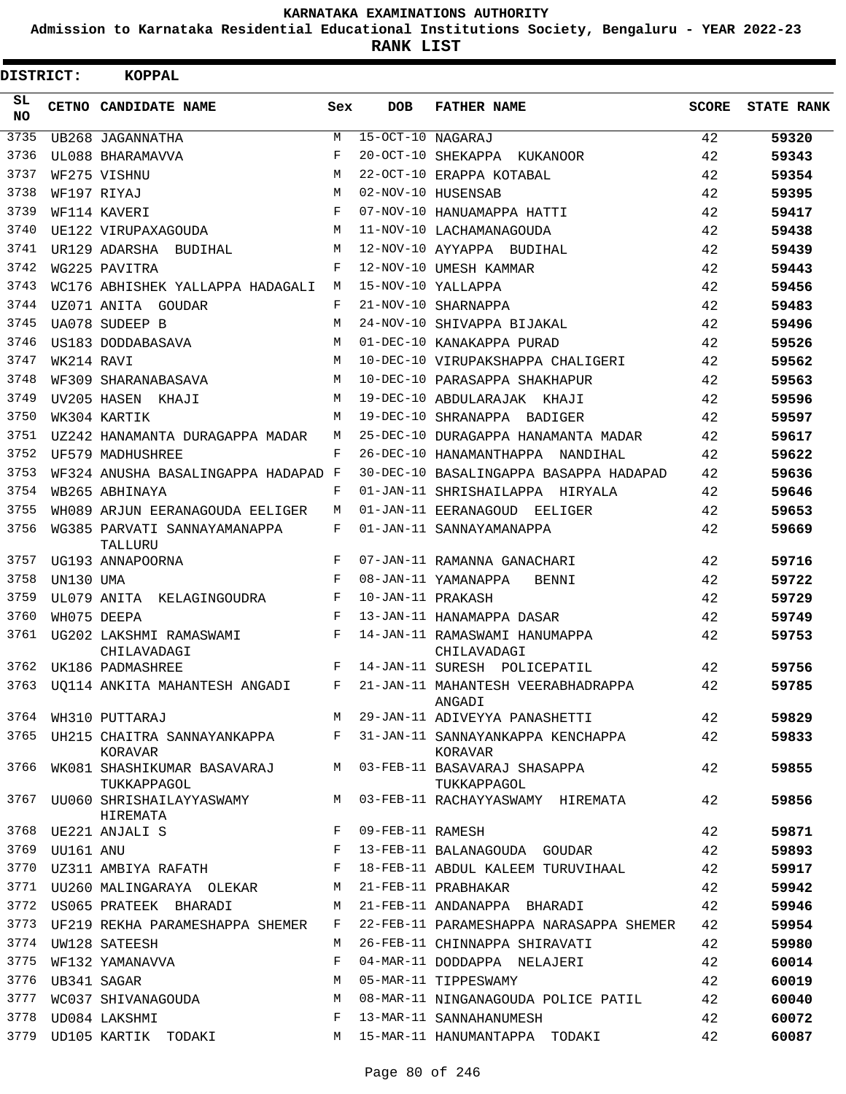**Admission to Karnataka Residential Educational Institutions Society, Bengaluru - YEAR 2022-23**

| <b>DISTRICT:</b> |                  | <b>KOPPAL</b>                                                   |                    |                   |                                                                                                     |       |                   |
|------------------|------------------|-----------------------------------------------------------------|--------------------|-------------------|-----------------------------------------------------------------------------------------------------|-------|-------------------|
| SL.<br><b>NO</b> |                  | CETNO CANDIDATE NAME                                            | Sex                | <b>DOB</b>        | <b>FATHER NAME</b>                                                                                  | SCORE | <b>STATE RANK</b> |
| 3735             |                  | UB268 JAGANNATHA                                                | M                  | 15-OCT-10 NAGARAJ |                                                                                                     | 42    | 59320             |
| 3736             |                  | UL088 BHARAMAVVA                                                | F                  |                   | 20-OCT-10 SHEKAPPA KUKANOOR                                                                         | 42    | 59343             |
| 3737             |                  | WF275 VISHNU                                                    | M                  |                   | 22-OCT-10 ERAPPA KOTABAL                                                                            | 42    | 59354             |
| 3738             |                  | WF197 RIYAJ                                                     | M                  |                   | 02-NOV-10 HUSENSAB                                                                                  | 42    | 59395             |
| 3739             |                  | WF114 KAVERI                                                    | $\mathbf{F}% _{0}$ |                   | 07-NOV-10 HANUAMAPPA HATTI                                                                          | 42    | 59417             |
| 3740             |                  | UE122 VIRUPAXAGOUDA                                             | M                  |                   | 11-NOV-10 LACHAMANAGOUDA                                                                            | 42    | 59438             |
| 3741             |                  | UR129 ADARSHA BUDIHAL                                           | М                  |                   | 12-NOV-10 AYYAPPA BUDIHAL                                                                           | 42    | 59439             |
| 3742             |                  | WG225 PAVITRA                                                   | F                  |                   | 12-NOV-10 UMESH KAMMAR                                                                              | 42    | 59443             |
| 3743             |                  | WC176 ABHISHEK YALLAPPA HADAGALI                                | М                  |                   | 15-NOV-10 YALLAPPA                                                                                  | 42    | 59456             |
| 3744             |                  | UZ071 ANITA GOUDAR                                              | F                  |                   | 21-NOV-10 SHARNAPPA                                                                                 | 42    | 59483             |
| 3745             |                  | UA078 SUDEEP B                                                  | M                  |                   | 24-NOV-10 SHIVAPPA BIJAKAL                                                                          | 42    | 59496             |
| 3746             |                  | US183 DODDABASAVA                                               | M                  |                   | 01-DEC-10 KANAKAPPA PURAD                                                                           | 42    | 59526             |
| 3747             | WK214 RAVI       |                                                                 | M                  |                   | 10-DEC-10 VIRUPAKSHAPPA CHALIGERI                                                                   | 42    | 59562             |
| 3748             |                  | WF309 SHARANABASAVA                                             | M                  |                   | 10-DEC-10 PARASAPPA SHAKHAPUR                                                                       | 42    | 59563             |
| 3749             |                  | UV205 HASEN KHAJI                                               | М                  |                   | 19-DEC-10 ABDULARAJAK KHAJI                                                                         | 42    | 59596             |
| 3750             |                  | WK304 KARTIK                                                    | M                  |                   | 19-DEC-10 SHRANAPPA BADIGER                                                                         | 42    | 59597             |
| 3751             |                  | UZ242 HANAMANTA DURAGAPPA MADAR                                 | M                  |                   | 25-DEC-10 DURAGAPPA HANAMANTA MADAR                                                                 | 42    | 59617             |
| 3752             |                  | UF579 MADHUSHREE                                                | F                  |                   | 26-DEC-10 HANAMANTHAPPA NANDIHAL                                                                    | 42    | 59622             |
| 3753             |                  | WF324 ANUSHA BASALINGAPPA HADAPAD F                             |                    |                   | 30-DEC-10 BASALINGAPPA BASAPPA HADAPAD                                                              | 42    | 59636             |
| 3754             |                  | WB265 ABHINAYA                                                  | F                  |                   | 01-JAN-11 SHRISHAILAPPA HIRYALA                                                                     | 42    | 59646             |
| 3755             |                  | WH089 ARJUN EERANAGOUDA EELIGER                                 | M                  |                   | 01-JAN-11 EERANAGOUD EELIGER                                                                        | 42    | 59653             |
| 3756             |                  | WG385 PARVATI SANNAYAMANAPPA<br>TALLURU                         | F                  |                   | 01-JAN-11 SANNAYAMANAPPA                                                                            | 42    | 59669             |
| 3757             |                  | UG193 ANNAPOORNA                                                | F                  |                   | 07-JAN-11 RAMANNA GANACHARI                                                                         | 42    | 59716             |
| 3758             | UN130 UMA        |                                                                 | F                  |                   | 08-JAN-11 YAMANAPPA<br>BENNI                                                                        | 42    | 59722             |
| 3759             |                  | UL079 ANITA KELAGINGOUDRA                                       | F                  | 10-JAN-11 PRAKASH |                                                                                                     | 42    | 59729             |
| 3760             |                  | WH075 DEEPA                                                     | F                  |                   | 13-JAN-11 HANAMAPPA DASAR                                                                           | 42    | 59749             |
| 3761             |                  | UG202 LAKSHMI RAMASWAMI<br>CHILAVADAGI                          | F                  |                   | 14-JAN-11 RAMASWAMI HANUMAPPA<br>CHILAVADAGI                                                        | 42    | 59753             |
| 3762             |                  | UK186 PADMASHREE                                                | F                  |                   | 14-JAN-11 SURESH POLICEPATIL                                                                        | 42    | 59756             |
|                  |                  | 3763 UQ114 ANKITA MAHANTESH ANGADI                              | F                  |                   | 21-JAN-11 MAHANTESH VEERABHADRAPPA<br>ANGADI                                                        | 42    | 59785             |
|                  |                  |                                                                 |                    |                   | 3764 WH310 PUTTARAJ M 29-JAN-11 ADIVEYYA PANASHETTI                                                 | 42    | 59829             |
|                  |                  | KORAVAR                                                         |                    |                   | 3765 UH215 CHAITRA SANNAYANKAPPA F 31-JAN-11 SANNAYANKAPPA KENCHAPPA 42<br>KORAVAR                  |       | 59833             |
|                  |                  | TUKKAPPAGOL                                                     |                    |                   | 3766 WK081 SHASHIKUMAR BASAVARAJ M 03-FEB-11 BASAVARAJ SHASAPPA<br>TUKKAPPAGOL                      | 42    | 59855             |
|                  |                  | HIREMATA                                                        |                    |                   | 3767 UU060 SHRISHAILAYYASWAMY MARINING MARINGA MARINING MARINING MARINING MARINING MARINING SHARATA | 42    | 59856             |
|                  |                  | F 09-FEB-11 RAMESH<br>3768 UE221 ANJALI S                       |                    |                   |                                                                                                     | 42    | 59871             |
|                  |                  |                                                                 |                    |                   | F 13-FEB-11 BALANAGOUDA GOUDAR                                                                      | 42    | 59893             |
|                  |                  |                                                                 |                    |                   | 3770 UZ311 AMBIYA RAFATH F 18-FEB-11 ABDUL KALEEM TURUVIHAAL                                        | 42    | 59917             |
|                  |                  | 3771 UU260 MALINGARAYA OLEKAR M 21-FEB-11 PRABHAKAR             |                    |                   |                                                                                                     | 42    | 59942             |
|                  |                  | 3772 US065 PRATEEK BHARADI                                      |                    |                   | M 21-FEB-11 ANDANAPPA BHARADI                                                                       | 42    | 59946             |
| 3773             |                  | UF219 REKHA PARAMESHAPPA SHEMER                                 | F                  |                   | 22-FEB-11 PARAMESHAPPA NARASAPPA SHEMER                                                             | 42    | 59954             |
| 3774             |                  | UW128 SATEESH                                                   | M                  |                   | 26-FEB-11 CHINNAPPA SHIRAVATI                                                                       | 42    | 59980             |
|                  |                  | 3775 WF132 YAMANAVVA                                            | F                  |                   | 04-MAR-11 DODDAPPA NELAJERI                                                                         | 42    | 60014             |
|                  | 3776 UB341 SAGAR |                                                                 | М                  |                   | 05-MAR-11 TIPPESWAMY                                                                                | 42    | 60019             |
| 3777             |                  | WC037 SHIVANAGOUDA                                              |                    |                   | M 08-MAR-11 NINGANAGOUDA POLICE PATIL                                                               | 42    | 60040             |
| 3778             |                  | $\mathbf{F}$ and $\mathbf{F}$ and $\mathbf{F}$<br>UD084 LAKSHMI |                    |                   | 13-MAR-11 SANNAHANUMESH                                                                             | 42    | 60072             |
|                  |                  | 3779 UD105 KARTIK TODAKI                                        |                    |                   | M 15-MAR-11 HANUMANTAPPA TODAKI                                                                     | 42    | 60087             |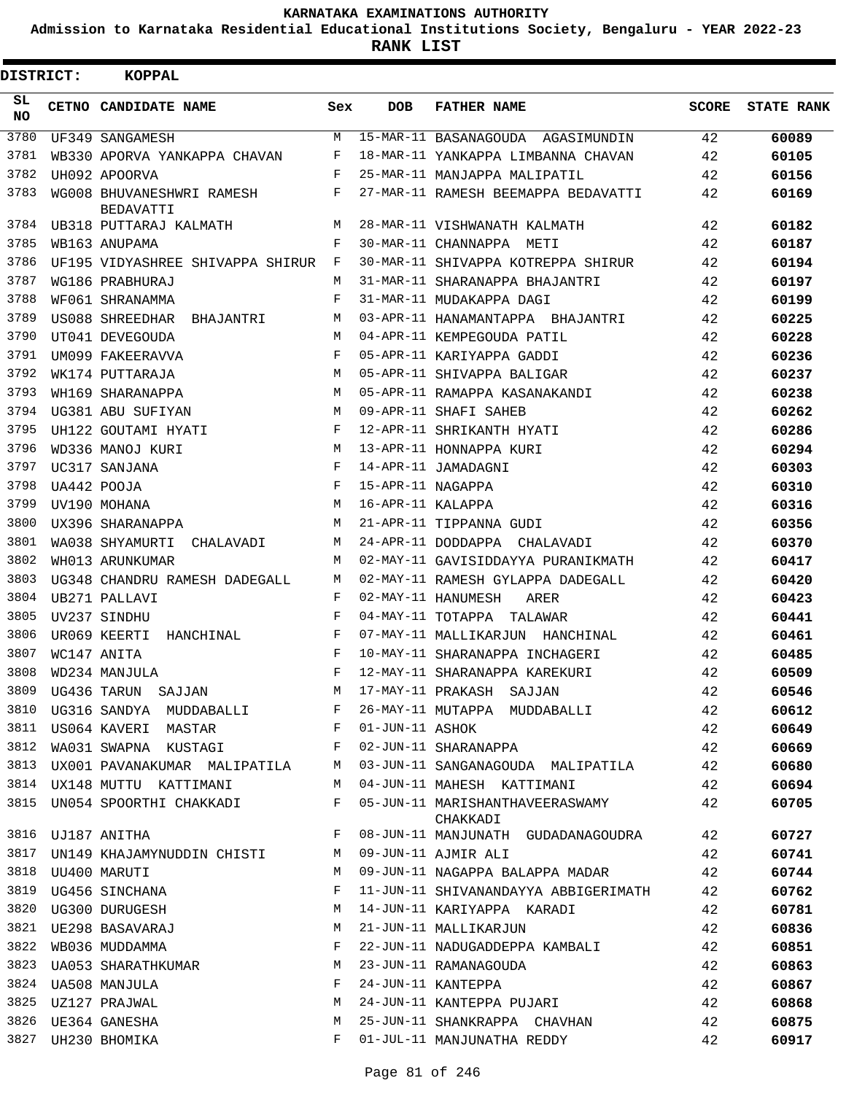**Admission to Karnataka Residential Educational Institutions Society, Bengaluru - YEAR 2022-23**

**RANK LIST**

| DISTRICT:       | KOPPAL                                        |         |                   |                                             |              |                   |
|-----------------|-----------------------------------------------|---------|-------------------|---------------------------------------------|--------------|-------------------|
| SL<br><b>NO</b> | CETNO CANDIDATE NAME                          | Sex     | DOB               | <b>FATHER NAME</b>                          | <b>SCORE</b> | <b>STATE RANK</b> |
| 3780            | UF349 SANGAMESH                               | M       |                   | 15-MAR-11 BASANAGOUDA AGASIMUNDIN           | 42           | 60089             |
| 3781            | WB330 APORVA YANKAPPA CHAVAN                  | F       |                   | 18-MAR-11 YANKAPPA LIMBANNA CHAVAN          | 42           | 60105             |
| 3782            | UH092 APOORVA                                 | F       |                   | 25-MAR-11 MANJAPPA MALIPATIL                | 42           | 60156             |
| 3783            | WG008 BHUVANESHWRI RAMESH<br><b>BEDAVATTI</b> | $F$ and |                   | 27-MAR-11 RAMESH BEEMAPPA BEDAVATTI         | 42           | 60169             |
| 3784            | UB318 PUTTARAJ KALMATH                        | M       |                   | 28-MAR-11 VISHWANATH KALMATH                | 42           | 60182             |
| 3785            | WB163 ANUPAMA                                 | F       |                   | 30-MAR-11 CHANNAPPA METI                    | 42           | 60187             |
| 3786            | UF195 VIDYASHREE SHIVAPPA SHIRUR F            |         |                   | 30-MAR-11 SHIVAPPA KOTREPPA SHIRUR          | 42           | 60194             |
| 3787            | WG186 PRABHURAJ                               | М       |                   | 31-MAR-11 SHARANAPPA BHAJANTRI              | 42           | 60197             |
| 3788            | WF061 SHRANAMMA                               | F       |                   | 31-MAR-11 MUDAKAPPA DAGI                    | 42           | 60199             |
| 3789            | US088 SHREEDHAR BHAJANTRI                     | М       |                   | 03-APR-11 HANAMANTAPPA BHAJANTRI            | 42           | 60225             |
| 3790            | UT041 DEVEGOUDA                               | M       |                   | 04-APR-11 KEMPEGOUDA PATIL                  | 42           | 60228             |
| 3791            | UM099 FAKEERAVVA                              | F       |                   | 05-APR-11 KARIYAPPA GADDI                   | 42           | 60236             |
| 3792            | WK174 PUTTARAJA                               | M       |                   | 05-APR-11 SHIVAPPA BALIGAR                  | 42           | 60237             |
| 3793            | WH169 SHARANAPPA                              | M       |                   | 05-APR-11 RAMAPPA KASANAKANDI               | 42           | 60238             |
| 3794            | UG381 ABU SUFIYAN                             | M       |                   | 09-APR-11 SHAFI SAHEB                       | 42           | 60262             |
| 3795            | UH122 GOUTAMI HYATI                           | F       |                   | 12-APR-11 SHRIKANTH HYATI                   | 42           | 60286             |
| 3796            | WD336 MANOJ KURI                              | M       |                   | 13-APR-11 HONNAPPA KURI                     | 42           | 60294             |
| 3797            | UC317 SANJANA                                 | F       |                   | 14-APR-11 JAMADAGNI                         | 42           | 60303             |
| 3798            | UA442 POOJA                                   | F       | 15-APR-11 NAGAPPA |                                             | 42           | 60310             |
| 3799            | UV190 MOHANA                                  | M       | 16-APR-11 KALAPPA |                                             | 42           | 60316             |
| 3800            | UX396 SHARANAPPA                              | M       |                   | 21-APR-11 TIPPANNA GUDI                     | 42           | 60356             |
| 3801            | WA038 SHYAMURTI CHALAVADI                     | M       |                   | 24-APR-11 DODDAPPA CHALAVADI                | 42           | 60370             |
| 3802            | WH013 ARUNKUMAR                               | M       |                   | 02-MAY-11 GAVISIDDAYYA PURANIKMATH          | 42           | 60417             |
| 3803            |                                               | M       |                   | 02-MAY-11 RAMESH GYLAPPA DADEGALL           |              |                   |
| 3804            | UG348 CHANDRU RAMESH DADEGALL                 | F       |                   |                                             | 42           | 60420             |
| 3805            | UB271 PALLAVI                                 | F       |                   | 02-MAY-11 HANUMESH<br>ARER                  | 42           | 60423             |
|                 | UV237 SINDHU                                  |         |                   | 04-MAY-11 TOTAPPA TALAWAR                   | 42           | 60441             |
| 3806            | UR069 KEERTI HANCHINAL                        | F       |                   | 07-MAY-11 MALLIKARJUN HANCHINAL             | 42           | 60461             |
| 3807            | WC147 ANITA                                   | F       |                   | 10-MAY-11 SHARANAPPA INCHAGERI              | 42           | 60485             |
| 3808            | WD234 MANJULA                                 | F       |                   | 12-MAY-11 SHARANAPPA KAREKURI               | 42           | 60509             |
| 3809            | UG436 TARUN SAJJAN                            | М       |                   | 17-MAY-11 PRAKASH SAJJAN                    | 42           | 60546             |
| 3810            | UG316 SANDYA MUDDABALLI                       | F       |                   | 26-MAY-11 MUTAPPA MUDDABALLI                | 42           | 60612             |
| 3811            | US064 KAVERI MASTAR                           | F       | 01-JUN-11 ASHOK   |                                             | 42           | 60649             |
| 3812            | WA031 SWAPNA KUSTAGI                          | F       |                   | 02-JUN-11 SHARANAPPA                        | 42           | 60669             |
| 3813            | UX001 PAVANAKUMAR MALIPATILA                  | M       |                   | 03-JUN-11 SANGANAGOUDA MALIPATILA           | 42           | 60680             |
|                 | 3814 UX148 MUTTU KATTIMANI                    | М       |                   | 04-JUN-11 MAHESH KATTIMANI                  | 42           | 60694             |
| 3815            | UN054 SPOORTHI CHAKKADI                       | F       |                   | 05-JUN-11 MARISHANTHAVEERASWAMY<br>CHAKKADI | 42           | 60705             |
| 3816            | UJ187 ANITHA                                  | F       |                   | 08-JUN-11 MANJUNATH GUDADANAGOUDRA          | 42           | 60727             |
| 3817            | UN149 KHAJAMYNUDDIN CHISTI                    | М       |                   | 09-JUN-11 AJMIR ALI                         | 42           | 60741             |
| 3818            | UU400 MARUTI                                  | М       |                   | 09-JUN-11 NAGAPPA BALAPPA MADAR             | 42           | 60744             |
| 3819            | UG456 SINCHANA                                | F       |                   | 11-JUN-11 SHIVANANDAYYA ABBIGERIMATH        | 42           | 60762             |
| 3820            | UG300 DURUGESH                                | М       |                   | 14-JUN-11 KARIYAPPA KARADI                  | 42           | 60781             |
| 3821            | UE298 BASAVARAJ                               | М       |                   | 21-JUN-11 MALLIKARJUN                       | 42           | 60836             |
| 3822            | WB036 MUDDAMMA                                | F       |                   | 22-JUN-11 NADUGADDEPPA KAMBALI              | 42           | 60851             |
| 3823            | UA053 SHARATHKUMAR                            | М       |                   | 23-JUN-11 RAMANAGOUDA                       | 42           | 60863             |
|                 | 3824 UA508 MANJULA                            | F       |                   | 24-JUN-11 KANTEPPA                          | 42           | 60867             |
| 3825            | UZ127 PRAJWAL                                 | М       |                   | 24-JUN-11 KANTEPPA PUJARI                   | 42           | 60868             |
| 3826            | UE364 GANESHA                                 | М       |                   | 25-JUN-11 SHANKRAPPA CHAVHAN                | 42           | 60875             |
|                 | 3827 UH230 BHOMIKA                            | F       |                   | 01-JUL-11 MANJUNATHA REDDY                  | 42           | 60917             |
|                 |                                               |         |                   |                                             |              |                   |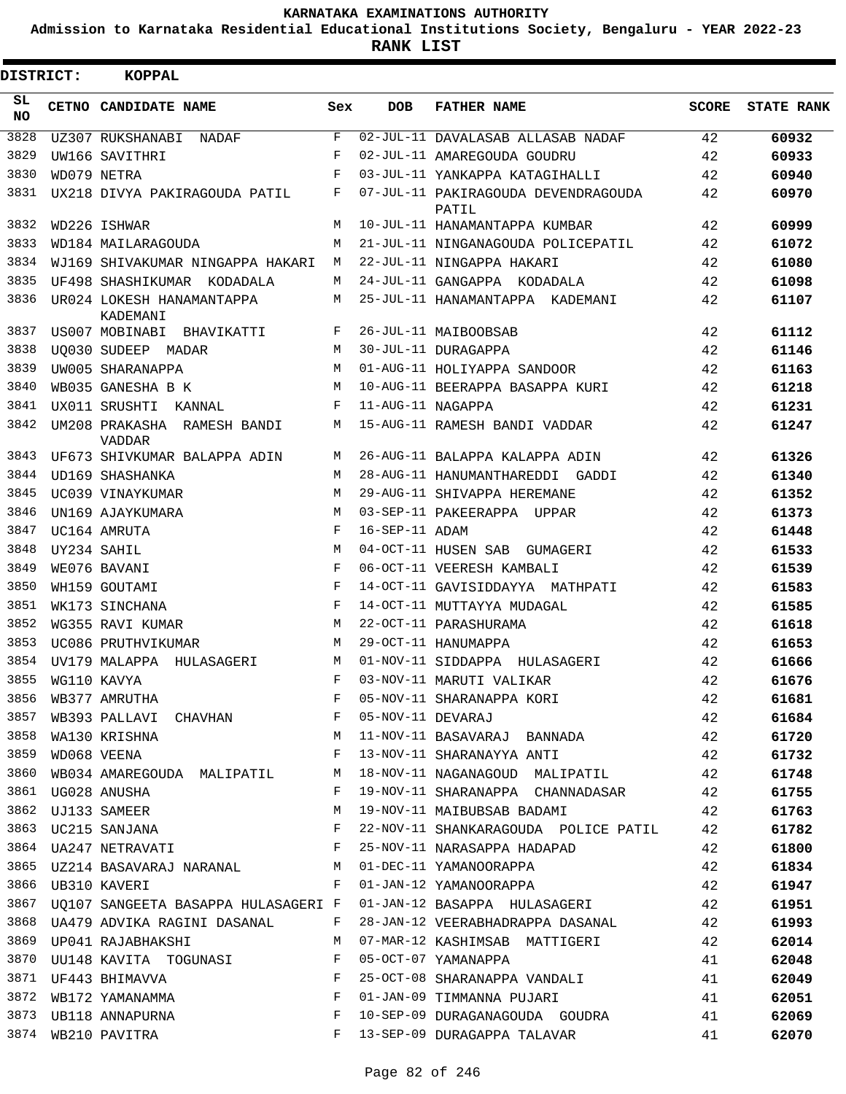**Admission to Karnataka Residential Educational Institutions Society, Bengaluru - YEAR 2022-23**

**RANK LIST**

| <b>DISTRICT:</b> | <b>KOPPAL</b>                                                  |         |                   |                                                                       |              |                   |
|------------------|----------------------------------------------------------------|---------|-------------------|-----------------------------------------------------------------------|--------------|-------------------|
| SL.<br>NO.       | CETNO CANDIDATE NAME                                           | Sex     | <b>DOB</b>        | <b>FATHER NAME</b>                                                    | <b>SCORE</b> | <b>STATE RANK</b> |
| 3828             | UZ307 RUKSHANABI<br>NADAF                                      | F       |                   | 02-JUL-11 DAVALASAB ALLASAB NADAF                                     | 42           | 60932             |
| 3829             | UW166 SAVITHRI                                                 | F       |                   | 02-JUL-11 AMAREGOUDA GOUDRU                                           | 42           | 60933             |
| 3830             | WD079 NETRA                                                    | F       |                   | 03-JUL-11 YANKAPPA KATAGIHALLI                                        | 42           | 60940             |
| 3831             | UX218 DIVYA PAKIRAGOUDA PATIL                                  | F       |                   | 07-JUL-11 PAKIRAGOUDA DEVENDRAGOUDA<br>PATIL                          | 42           | 60970             |
| 3832             | WD226 ISHWAR                                                   | М       |                   | 10-JUL-11 HANAMANTAPPA KUMBAR                                         | 42           | 60999             |
| 3833             | WD184 MAILARAGOUDA                                             | М       |                   | 21-JUL-11 NINGANAGOUDA POLICEPATIL                                    | 42           | 61072             |
| 3834             | WJ169 SHIVAKUMAR NINGAPPA HAKARI                               | М       |                   | 22-JUL-11 NINGAPPA HAKARI                                             | 42           | 61080             |
| 3835             | UF498 SHASHIKUMAR KODADALA                                     | M       |                   | 24-JUL-11 GANGAPPA KODADALA                                           | 42           | 61098             |
| 3836             | UR024 LOKESH HANAMANTAPPA<br>KADEMANI                          | М       |                   | 25-JUL-11 HANAMANTAPPA KADEMANI                                       | 42           | 61107             |
| 3837             | US007 MOBINABI BHAVIKATTI                                      | F       |                   | 26-JUL-11 MAIBOOBSAB                                                  | 42           | 61112             |
| 3838             | UO030 SUDEEP MADAR                                             | M       |                   | 30-JUL-11 DURAGAPPA                                                   | 42           | 61146             |
| 3839             | UW005 SHARANAPPA                                               | М       |                   | 01-AUG-11 HOLIYAPPA SANDOOR                                           | 42           | 61163             |
| 3840             | WB035 GANESHA B K                                              | M       |                   | 10-AUG-11 BEERAPPA BASAPPA KURI                                       | 42           | 61218             |
| 3841             | UX011 SRUSHTI<br>KANNAL                                        | F       | 11-AUG-11 NAGAPPA |                                                                       | 42           | 61231             |
| 3842             | UM208 PRAKASHA RAMESH BANDI<br><b>VADDAR</b>                   | М       |                   | 15-AUG-11 RAMESH BANDI VADDAR                                         | 42           | 61247             |
| 3843             | UF673 SHIVKUMAR BALAPPA ADIN                                   | М       |                   | 26-AUG-11 BALAPPA KALAPPA ADIN                                        | 42           | 61326             |
| 3844             | UD169 SHASHANKA                                                | М       |                   | 28-AUG-11 HANUMANTHAREDDI GADDI                                       | 42           | 61340             |
| 3845             | UC039 VINAYKUMAR                                               | M       |                   | 29-AUG-11 SHIVAPPA HEREMANE                                           | 42           | 61352             |
| 3846             | UN169 AJAYKUMARA                                               | M       |                   | 03-SEP-11 PAKEERAPPA UPPAR                                            | 42           | 61373             |
| 3847             | UC164 AMRUTA                                                   | F       | 16-SEP-11 ADAM    |                                                                       | 42           | 61448             |
| 3848             | UY234 SAHIL                                                    | M       |                   | 04-OCT-11 HUSEN SAB GUMAGERI                                          | 42           | 61533             |
| 3849             | WE076 BAVANI                                                   | F       |                   | 06-OCT-11 VEERESH KAMBALI                                             | 42           | 61539             |
| 3850             | WH159 GOUTAMI                                                  | F       |                   | 14-OCT-11 GAVISIDDAYYA MATHPATI                                       | 42           | 61583             |
| 3851             | WK173 SINCHANA                                                 | F       |                   | 14-OCT-11 MUTTAYYA MUDAGAL                                            | 42           | 61585             |
| 3852             | WG355 RAVI KUMAR                                               | M       |                   | 22-OCT-11 PARASHURAMA                                                 | 42           | 61618             |
| 3853             | UC086 PRUTHVIKUMAR                                             | М       |                   | 29-OCT-11 HANUMAPPA                                                   | 42           | 61653             |
| 3854             | UV179 MALAPPA HULASAGERI                                       | M       |                   | 01-NOV-11 SIDDAPPA HULASAGERI                                         | 42           | 61666             |
| 3855             | WG110 KAVYA                                                    | F       |                   | 03-NOV-11 MARUTI VALIKAR                                              | 42           | 61676             |
| 3856             | WB377 AMRUTHA                                                  | F       |                   | 05-NOV-11 SHARANAPPA KORI                                             | 42           | 61681             |
| 3857             | WB393 PALLAVI CHAVHAN F                                        |         | 05-NOV-11 DEVARAJ |                                                                       | 42           | 61684             |
| 3858             | M<br>WA130 KRISHNA                                             |         |                   | 11-NOV-11 BASAVARAJ BANNADA                                           | 42           | 61720             |
| 3859             | WD068 VEENA                                                    | F       |                   | 13-NOV-11 SHARANAYYA ANTI 42                                          |              | 61732             |
| 3860             | WB034 AMAREGOUDA MALIPATIL                                     | M       |                   | 18-NOV-11 NAGANAGOUD MALIPATIL 42                                     |              | 61748             |
| 3861             | UG028 ANUSHA                                                   | F       |                   | 19-NOV-11 SHARANAPPA CHANNADASAR 42                                   |              | 61755             |
|                  |                                                                |         |                   | 19-NOV-11 MAIBUBSAB BADAMI                                            | 42           | 61763             |
|                  |                                                                |         |                   | 22-NOV-11 SHANKARAGOUDA POLICE PATIL 42                               |              | 61782             |
|                  |                                                                |         |                   | 25-NOV-11 NARASAPPA HADAPAD                                           | 42           | 61800             |
|                  |                                                                |         |                   | 3865 UZ214 BASAVARAJ NARANAL M 01-DEC-11 YAMANOORAPPA                 | 42           | 61834             |
|                  | $\mathbf{F}^{(1)}$ and $\mathbf{F}^{(2)}$<br>3866 UB310 KAVERI |         |                   | 01-JAN-12 YAMANOORAPPA                                                | 42           | 61947             |
|                  |                                                                |         |                   | 3867 UQ107 SANGEETA BASAPPA HULASAGERI F 01-JAN-12 BASAPPA HULASAGERI | 42           | 61951             |
| 3868             | UA479 ADVIKA RAGINI DASANAL                                    | $F$ and |                   | 28-JAN-12 VEERABHADRAPPA DASANAL 42                                   |              | 61993             |
| 3869             | UP041 RAJABHAKSHI                                              | М       |                   | 07-MAR-12 KASHIMSAB MATTIGERI                                         | 42           | 62014             |
|                  | 3870 UU148 KAVITA TOGUNASI F                                   |         |                   | 05-OCT-07 YAMANAPPA                                                   | 41           | 62048             |
|                  | $\mathbf{F}$<br>3871 UF443 BHIMAVVA                            |         |                   | 25-OCT-08 SHARANAPPA VANDALI                                          | 41           | 62049             |
|                  | 3872 WB172 YAMANAMMA F                                         |         |                   | 01-JAN-09 TIMMANNA PUJARI                                             | 41           | 62051             |
|                  | 3873 UB118 ANNAPURNA F                                         |         |                   | 10-SEP-09 DURAGANAGOUDA GOUDRA 41                                     |              | 62069             |
|                  | 3874 WB210 PAVITRA                                             | $F$ and |                   | 13-SEP-09 DURAGAPPA TALAVAR                                           | 41           | 62070             |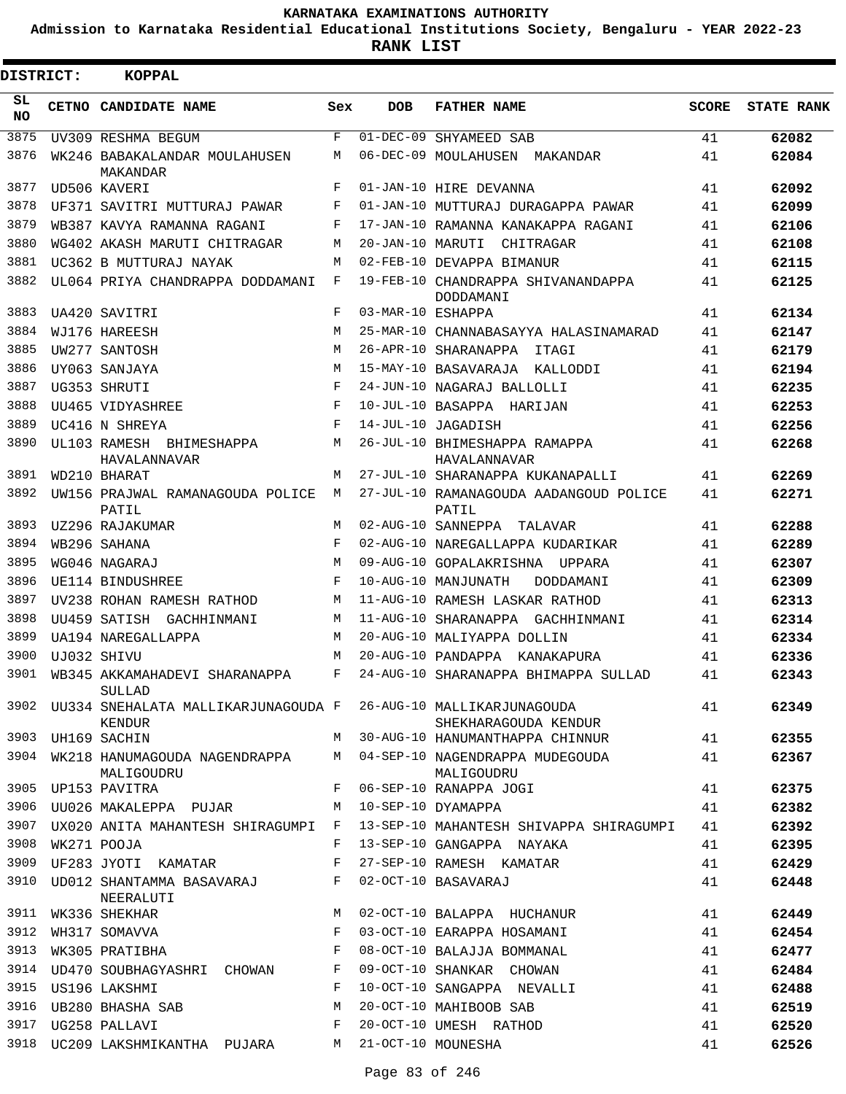**Admission to Karnataka Residential Educational Institutions Society, Bengaluru - YEAR 2022-23**

**RANK LIST**

ı

| <b>DISTRICT:</b> |  | <b>KOPPAL</b>                                                   |            |                   |                                                          |              |                   |
|------------------|--|-----------------------------------------------------------------|------------|-------------------|----------------------------------------------------------|--------------|-------------------|
| SL<br>NO.        |  | <b>CETNO CANDIDATE NAME</b>                                     | Sex        | <b>DOB</b>        | <b>FATHER NAME</b>                                       | <b>SCORE</b> | <b>STATE RANK</b> |
| 3875             |  | UV309 RESHMA BEGUM                                              | $_{\rm F}$ | $01 - DEC - 09$   | SHYAMEED SAB                                             | 41           | 62082             |
| 3876             |  | WK246 BABAKALANDAR MOULAHUSEN<br>MAKANDAR                       | M          |                   | 06-DEC-09 MOULAHUSEN MAKANDAR                            | 41           | 62084             |
| 3877             |  | UD506 KAVERI                                                    | $_{\rm F}$ |                   | 01-JAN-10 HIRE DEVANNA                                   | 41           | 62092             |
| 3878             |  | UF371 SAVITRI MUTTURAJ PAWAR                                    | F          |                   | 01-JAN-10 MUTTURAJ DURAGAPPA PAWAR                       | 41           | 62099             |
| 3879             |  | WB387 KAVYA RAMANNA RAGANI                                      | F          |                   | 17-JAN-10 RAMANNA KANAKAPPA RAGANI                       | 41           | 62106             |
| 3880             |  | WG402 AKASH MARUTI CHITRAGAR                                    | M          |                   | 20-JAN-10 MARUTI CHITRAGAR                               | 41           | 62108             |
| 3881             |  | UC362 B MUTTURAJ NAYAK                                          | M          |                   | 02-FEB-10 DEVAPPA BIMANUR                                | 41           | 62115             |
| 3882             |  | UL064 PRIYA CHANDRAPPA DODDAMANI                                | F          |                   | 19-FEB-10 CHANDRAPPA SHIVANANDAPPA<br>DODDAMANI          | 41           | 62125             |
| 3883             |  | UA420 SAVITRI                                                   | F          | 03-MAR-10 ESHAPPA |                                                          | 41           | 62134             |
| 3884             |  | WJ176 HAREESH                                                   | M          |                   | 25-MAR-10 CHANNABASAYYA HALASINAMARAD                    | 41           | 62147             |
| 3885             |  | UW277 SANTOSH                                                   | M          |                   | 26-APR-10 SHARANAPPA<br>ITAGI                            | 41           | 62179             |
| 3886             |  | UY063 SANJAYA                                                   | M          |                   | 15-MAY-10 BASAVARAJA KALLODDI                            | 41           | 62194             |
| 3887             |  | UG353 SHRUTI                                                    | $_{\rm F}$ |                   | 24-JUN-10 NAGARAJ BALLOLLI                               | 41           | 62235             |
| 3888             |  | <b>IIII465 VIDYASHREE</b>                                       | F          |                   | 10-JUL-10 BASAPPA HARIJAN                                | 41           | 62253             |
| 3889             |  | UC416 N SHREYA                                                  | $_{\rm F}$ |                   | 14-JUL-10 JAGADISH                                       | 41           | 62256             |
| 3890             |  | UL103 RAMESH BHIMESHAPPA<br>HAVALANNAVAR                        | M          |                   | 26-JUL-10 BHIMESHAPPA RAMAPPA<br>HAVALANNAVAR            | 41           | 62268             |
| 3891             |  | WD210 BHARAT                                                    | M          |                   | 27-JUL-10 SHARANAPPA KUKANAPALLI                         | 41           | 62269             |
| 3892             |  | UW156 PRAJWAL RAMANAGOUDA POLICE<br>PATIL                       | M          |                   | 27-JUL-10 RAMANAGOUDA AADANGOUD POLICE<br>PATIL          | 41           | 62271             |
| 3893             |  | UZ296 RAJAKUMAR                                                 | M          |                   | 02-AUG-10 SANNEPPA TALAVAR                               | 41           | 62288             |
| 3894             |  | WB296 SAHANA                                                    | $_{\rm F}$ |                   | 02-AUG-10 NAREGALLAPPA KUDARIKAR                         | 41           | 62289             |
| 3895             |  | WG046 NAGARAJ                                                   | M          |                   | 09-AUG-10 GOPALAKRISHNA UPPARA                           | 41           | 62307             |
| 3896             |  | UE114 BINDUSHREE                                                | $_{\rm F}$ |                   | 10-AUG-10 MANJUNATH<br>DODDAMANI                         | 41           | 62309             |
| 3897             |  | UV238 ROHAN RAMESH RATHOD                                       | M          |                   | 11-AUG-10 RAMESH LASKAR RATHOD                           | 41           | 62313             |
| 3898             |  | UU459 SATISH GACHHINMANI                                        | M          |                   | 11-AUG-10 SHARANAPPA GACHHINMANI                         | 41           | 62314             |
| 3899             |  | UA194 NAREGALLAPPA                                              | M          |                   | 20-AUG-10 MALIYAPPA DOLLIN                               | 41           | 62334             |
| 3900             |  | UJ032 SHIVU                                                     | M          |                   | 20-AUG-10 PANDAPPA KANAKAPURA                            | 41           | 62336             |
| 3901             |  | WB345 AKKAMAHADEVI SHARANAPPA<br>SULLAD                         | F          |                   | 24-AUG-10 SHARANAPPA BHIMAPPA SULLAD                     | 41           | 62343             |
| 3902             |  | UU334 SNEHALATA MALLIKARJUNAGOUDA F 26-AUG-10 MALLIKARJUNAGOUDA |            |                   |                                                          | 41           | 62349             |
| 3903             |  | KENDUR<br>UH169 SACHIN                                          | M          |                   | SHEKHARAGOUDA KENDUR<br>30-AUG-10 HANUMANTHAPPA CHINNUR  | 41           | 62355             |
| 3904             |  | WK218 HANUMAGOUDA NAGENDRAPPA<br>MALIGOUDRU                     | M          |                   | 04-SEP-10 NAGENDRAPPA MUDEGOUDA<br>MALIGOUDRU            | 41           | 62367             |
| 3905             |  | UP153 PAVITRA                                                   | F          |                   | 06-SEP-10 RANAPPA JOGI                                   | 41           | 62375             |
| 3906             |  | UU026 MAKALEPPA PUJAR                                           | М          |                   | 10-SEP-10 DYAMAPPA                                       | 41           | 62382             |
| 3907             |  | UX020 ANITA MAHANTESH SHIRAGUMPI                                | F          |                   | 13-SEP-10 MAHANTESH SHIVAPPA SHIRAGUMPI                  | 41           | 62392             |
| 3908             |  | WK271 POOJA                                                     | F          |                   | 13-SEP-10 GANGAPPA NAYAKA                                | 41           | 62395             |
| 3909             |  | UF283 JYOTI KAMATAR                                             | F          |                   | 27-SEP-10 RAMESH KAMATAR                                 | 41           | 62429             |
| 3910             |  | UD012 SHANTAMMA BASAVARAJ                                       | F          |                   | 02-OCT-10 BASAVARAJ                                      | 41           | 62448             |
| 3911             |  | NEERALUTI                                                       | M          |                   |                                                          | 41           |                   |
| 3912             |  | WK336 SHEKHAR                                                   | F          |                   | 02-OCT-10 BALAPPA HUCHANUR<br>03-OCT-10 EARAPPA HOSAMANI | 41           | 62449             |
| 3913             |  | WH317 SOMAVVA                                                   | F          |                   | 08-OCT-10 BALAJJA BOMMANAL                               | 41           | 62454             |
|                  |  | WK305 PRATIBHA                                                  |            |                   |                                                          |              | 62477             |
| 3914<br>3915     |  | UD470 SOUBHAGYASHRI CHOWAN                                      | F<br>F     |                   | 09-OCT-10 SHANKAR CHOWAN<br>10-OCT-10 SANGAPPA NEVALLI   | 41           | 62484             |
|                  |  | US196 LAKSHMI                                                   |            |                   |                                                          | 41           | 62488             |
| 3916             |  | UB280 BHASHA SAB                                                | M          |                   | 20-OCT-10 MAHIBOOB SAB                                   | 41           | 62519             |
| 3917             |  | UG258 PALLAVI                                                   | F          |                   | 20-OCT-10 UMESH RATHOD                                   | 41           | 62520             |
| 3918             |  | UC209 LAKSHMIKANTHA PUJARA                                      | M          |                   | 21-OCT-10 MOUNESHA                                       | 41           | 62526             |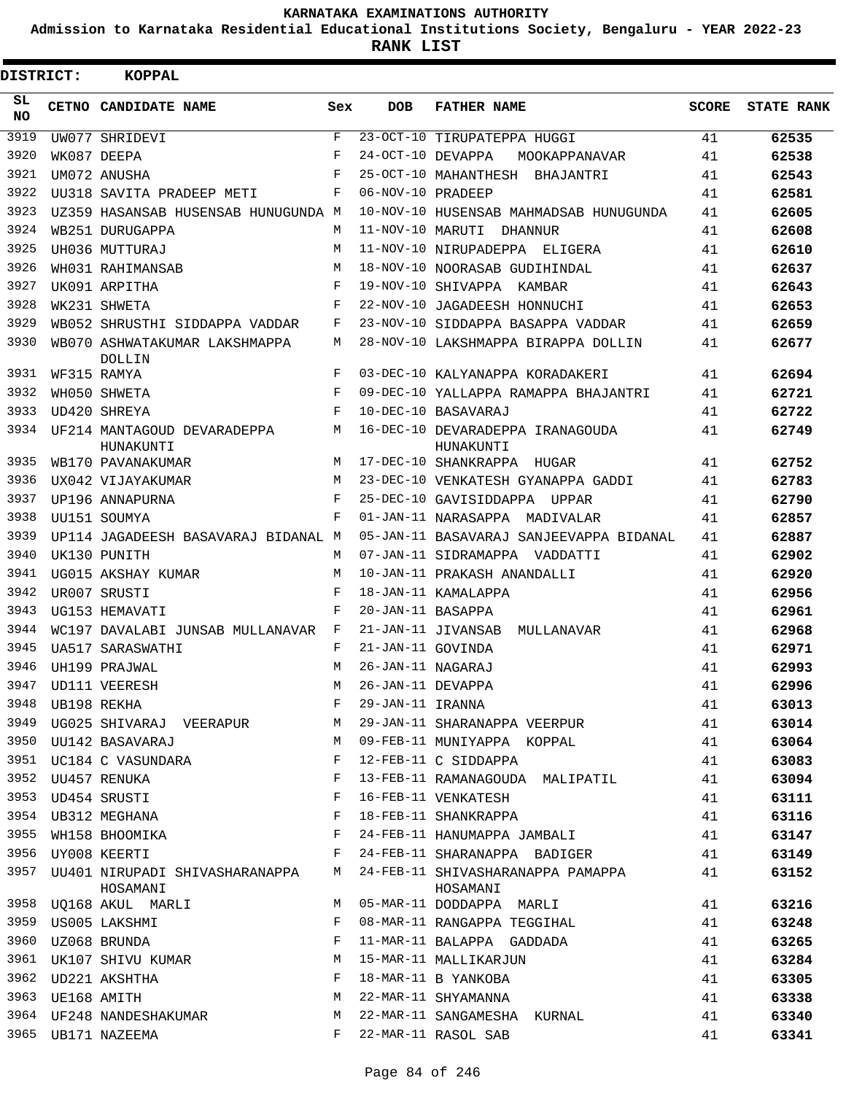**Admission to Karnataka Residential Educational Institutions Society, Bengaluru - YEAR 2022-23**

**RANK LIST**

| DISTRICT:       |                  | <b>KOPPAL</b>                                  |            |                   |                                               |              |                   |
|-----------------|------------------|------------------------------------------------|------------|-------------------|-----------------------------------------------|--------------|-------------------|
| SL<br><b>NO</b> |                  | CETNO CANDIDATE NAME                           | Sex        | <b>DOB</b>        | <b>FATHER NAME</b>                            | <b>SCORE</b> | <b>STATE RANK</b> |
| 3919            |                  | UW077 SHRIDEVI                                 | F          |                   | 23-OCT-10 TIRUPATEPPA HUGGI                   | 41           | 62535             |
| 3920            |                  | WK087 DEEPA                                    | F          | 24-OCT-10 DEVAPPA | MOOKAPPANAVAR                                 | 41           | 62538             |
| 3921            |                  | UM072 ANUSHA                                   | $_{\rm F}$ |                   | 25-OCT-10 MAHANTHESH BHAJANTRI                | 41           | 62543             |
| 3922            |                  | UU318 SAVITA PRADEEP METI                      | F          | 06-NOV-10 PRADEEP |                                               | 41           | 62581             |
| 3923            |                  | UZ359 HASANSAB HUSENSAB HUNUGUNDA M            |            |                   | 10-NOV-10 HUSENSAB MAHMADSAB HUNUGUNDA        | 41           | 62605             |
| 3924            |                  | WB251 DURUGAPPA                                | M          |                   | 11-NOV-10 MARUTI DHANNUR                      | 41           | 62608             |
| 3925            |                  | UH036 MUTTURAJ                                 | M          |                   | 11-NOV-10 NIRUPADEPPA ELIGERA                 | 41           | 62610             |
| 3926            |                  | WH031 RAHIMANSAB                               | M          |                   | 18-NOV-10 NOORASAB GUDIHINDAL                 | 41           | 62637             |
| 3927            |                  | UK091 ARPITHA                                  | F          |                   | 19-NOV-10 SHIVAPPA KAMBAR                     | 41           | 62643             |
| 3928            |                  | WK231 SHWETA                                   | F          |                   | 22-NOV-10 JAGADEESH HONNUCHI                  | 41           | 62653             |
| 3929            |                  | WB052 SHRUSTHI SIDDAPPA VADDAR                 | F          |                   | 23-NOV-10 SIDDAPPA BASAPPA VADDAR             | 41           | 62659             |
| 3930            |                  | WB070 ASHWATAKUMAR LAKSHMAPPA<br><b>DOLLIN</b> | M          |                   | 28-NOV-10 LAKSHMAPPA BIRAPPA DOLLIN           | 41           | 62677             |
| 3931            |                  | WF315 RAMYA                                    | F          |                   | 03-DEC-10 KALYANAPPA KORADAKERI               | 41           | 62694             |
| 3932            |                  | WH050 SHWETA                                   | F          |                   | 09-DEC-10 YALLAPPA RAMAPPA BHAJANTRI          | 41           | 62721             |
| 3933            |                  | UD420 SHREYA                                   | $_{\rm F}$ |                   | 10-DEC-10 BASAVARAJ                           | 41           | 62722             |
| 3934            |                  | UF214 MANTAGOUD DEVARADEPPA<br>HUNAKUNTI       | M          |                   | 16-DEC-10 DEVARADEPPA IRANAGOUDA<br>HUNAKUNTI | 41           | 62749             |
| 3935            |                  | WB170 PAVANAKUMAR                              | M          |                   | 17-DEC-10 SHANKRAPPA HUGAR                    | 41           | 62752             |
| 3936            |                  | UX042 VIJAYAKUMAR                              | M          |                   | 23-DEC-10 VENKATESH GYANAPPA GADDI            | 41           | 62783             |
| 3937            |                  | UP196 ANNAPURNA                                | F          |                   | 25-DEC-10 GAVISIDDAPPA UPPAR                  | 41           | 62790             |
| 3938            |                  | UU151 SOUMYA                                   | $_{\rm F}$ |                   | 01-JAN-11 NARASAPPA MADIVALAR                 | 41           | 62857             |
| 3939            |                  | UP114 JAGADEESH BASAVARAJ BIDANAL M            |            |                   | 05-JAN-11 BASAVARAJ SANJEEVAPPA BIDANAL       | 41           | 62887             |
| 3940            |                  | UK130 PUNITH                                   | M          |                   | 07-JAN-11 SIDRAMAPPA VADDATTI                 | 41           | 62902             |
| 3941            |                  | UG015 AKSHAY KUMAR                             | M          |                   | 10-JAN-11 PRAKASH ANANDALLI                   | 41           | 62920             |
| 3942            |                  | UR007 SRUSTI                                   | F          |                   | 18-JAN-11 KAMALAPPA                           | 41           | 62956             |
| 3943            |                  | UG153 HEMAVATI                                 | F          | 20-JAN-11 BASAPPA |                                               | 41           | 62961             |
| 3944            |                  | WC197 DAVALABI JUNSAB MULLANAVAR               | F          |                   | 21-JAN-11 JIVANSAB MULLANAVAR                 | 41           | 62968             |
| 3945            |                  | UA517 SARASWATHI                               | F          | 21-JAN-11 GOVINDA |                                               | 41           | 62971             |
| 3946            |                  | UH199 PRAJWAL                                  | M          | 26-JAN-11 NAGARAJ |                                               | 41           | 62993             |
|                 |                  | 3947 UD111 VEERESH                             | M          | 26-JAN-11 DEVAPPA |                                               | 41           | 62996             |
|                 | 3948 UB198 REKHA |                                                | F          | 29-JAN-11 IRANNA  |                                               | 41           | 63013             |
| 3949            |                  | UG025 SHIVARAJ VEERAPUR                        | М          |                   | 29-JAN-11 SHARANAPPA VEERPUR                  | 41           | 63014             |
| 3950            |                  | UU142 BASAVARAJ                                | M          |                   | 09-FEB-11 MUNIYAPPA KOPPAL                    | 41           | 63064             |
| 3951            |                  | UC184 C VASUNDARA                              | F          |                   | 12-FEB-11 C SIDDAPPA                          | 41           | 63083             |
|                 |                  | 3952 UU457 RENUKA                              | F          |                   | 13-FEB-11 RAMANAGOUDA MALIPATIL               | 41           | 63094             |
| 3953            |                  | UD454 SRUSTI                                   | F          |                   | 16-FEB-11 VENKATESH                           | 41           | 63111             |
|                 |                  | 3954 UB312 MEGHANA                             | F          |                   | 18-FEB-11 SHANKRAPPA                          | 41           | 63116             |
| 3955            |                  | WH158 BHOOMIKA                                 | F          |                   | 24-FEB-11 HANUMAPPA JAMBALI                   | 41           | 63147             |
|                 |                  | 3956 UY008 KEERTI                              | F          |                   | 24-FEB-11 SHARANAPPA BADIGER                  | 41           | 63149             |
| 3957            |                  | UU401 NIRUPADI SHIVASHARANAPPA<br>HOSAMANI     | M          |                   | 24-FEB-11 SHIVASHARANAPPA PAMAPPA<br>HOSAMANI | 41           | 63152             |
|                 |                  | 3958 UQ168 AKUL MARLI                          | М          |                   | 05-MAR-11 DODDAPPA MARLI                      | 41           | 63216             |
| 3959            |                  | US005 LAKSHMI                                  | F          |                   | 08-MAR-11 RANGAPPA TEGGIHAL                   | 41           | 63248             |
| 3960            |                  | UZ068 BRUNDA                                   | F          |                   | 11-MAR-11 BALAPPA GADDADA                     | 41           | 63265             |
| 3961            |                  | UK107 SHIVU KUMAR                              | М          |                   | 15-MAR-11 MALLIKARJUN                         | 41           | 63284             |
|                 |                  | 3962 UD221 AKSHTHA                             | F          |                   | 18-MAR-11 B YANKOBA                           | 41           | 63305             |
|                 | 3963 UE168 AMITH |                                                | М          |                   | 22-MAR-11 SHYAMANNA                           | 41           | 63338             |
|                 |                  | 3964 UF248 NANDESHAKUMAR                       | М          |                   | 22-MAR-11 SANGAMESHA KURNAL                   | 41           | 63340             |
|                 |                  | 3965 UB171 NAZEEMA                             | F          |                   | 22-MAR-11 RASOL SAB                           | 41           | 63341             |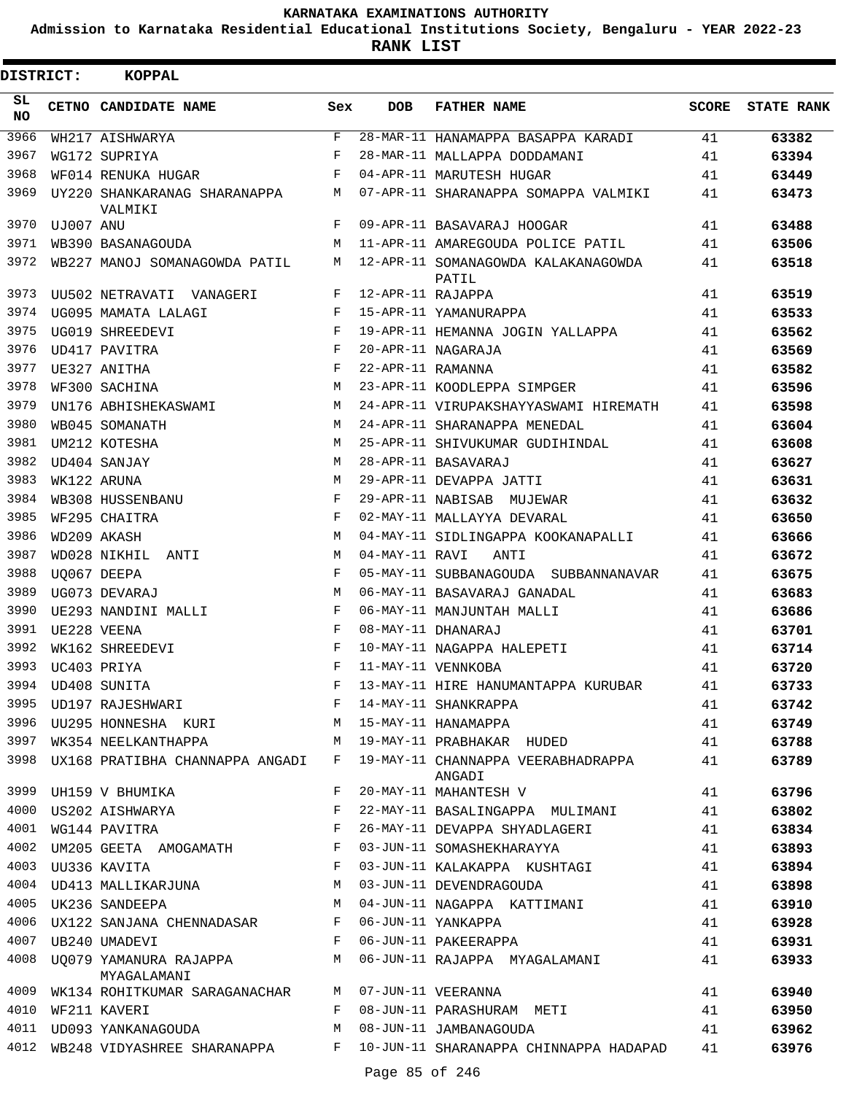**Admission to Karnataka Residential Educational Institutions Society, Bengaluru - YEAR 2022-23**

**RANK LIST**

| DISTRICT:        |           | KOPPAL                                                                                                                                                                                                                                                   |       |                   |                                                                                     |       |                   |
|------------------|-----------|----------------------------------------------------------------------------------------------------------------------------------------------------------------------------------------------------------------------------------------------------------|-------|-------------------|-------------------------------------------------------------------------------------|-------|-------------------|
| SL.<br><b>NO</b> |           | CETNO CANDIDATE NAME                                                                                                                                                                                                                                     | Sex   | <b>DOB</b>        | <b>FATHER NAME</b>                                                                  | SCORE | <b>STATE RANK</b> |
| 3966             |           | WH217 AISHWARYA                                                                                                                                                                                                                                          | F     |                   | 28-MAR-11 HANAMAPPA BASAPPA KARADI                                                  | 41    | 63382             |
| 3967             |           | WG172 SUPRIYA                                                                                                                                                                                                                                            | F     |                   | 28-MAR-11 MALLAPPA DODDAMANI                                                        | 41    | 63394             |
| 3968             |           | WF014 RENUKA HUGAR                                                                                                                                                                                                                                       | F     |                   | 04-APR-11 MARUTESH HUGAR                                                            | 41    | 63449             |
| 3969             |           | UY220 SHANKARANAG SHARANAPPA<br>VALMIKI                                                                                                                                                                                                                  |       |                   | M 07-APR-11 SHARANAPPA SOMAPPA VALMIKI                                              | 41    | 63473             |
| 3970             | UJ007 ANU |                                                                                                                                                                                                                                                          | F     |                   | 09-APR-11 BASAVARAJ HOOGAR                                                          | 41    | 63488             |
| 3971             |           | WB390 BASANAGOUDA                                                                                                                                                                                                                                        | М     |                   | 11-APR-11 AMAREGOUDA POLICE PATIL                                                   | 41    | 63506             |
| 3972             |           | WB227 MANOJ SOMANAGOWDA PATIL                                                                                                                                                                                                                            | M     |                   | 12-APR-11 SOMANAGOWDA KALAKANAGOWDA<br>PATIL                                        | 41    | 63518             |
| 3973             |           | UU502 NETRAVATI VANAGERI                                                                                                                                                                                                                                 | $F$ – | 12-APR-11 RAJAPPA |                                                                                     | 41    | 63519             |
| 3974             |           | UG095 MAMATA LALAGI                                                                                                                                                                                                                                      | F     |                   | 15-APR-11 YAMANURAPPA                                                               | 41    | 63533             |
| 3975             |           | UG019 SHREEDEVI                                                                                                                                                                                                                                          | F     |                   | 19-APR-11 HEMANNA JOGIN YALLAPPA                                                    | 41    | 63562             |
| 3976             |           | UD417 PAVITRA                                                                                                                                                                                                                                            | F     |                   | 20-APR-11 NAGARAJA                                                                  | 41    | 63569             |
| 3977             |           | UE327 ANITHA                                                                                                                                                                                                                                             | F     | 22-APR-11 RAMANNA |                                                                                     | 41    | 63582             |
| 3978             |           | WF300 SACHINA                                                                                                                                                                                                                                            | M     |                   | 23-APR-11 KOODLEPPA SIMPGER                                                         | 41    | 63596             |
| 3979             |           | UN176 ABHISHEKASWAMI                                                                                                                                                                                                                                     | М     |                   | 24-APR-11 VIRUPAKSHAYYASWAMI HIREMATH                                               | 41    | 63598             |
| 3980             |           | WB045 SOMANATH                                                                                                                                                                                                                                           | M     |                   | 24-APR-11 SHARANAPPA MENEDAL                                                        | 41    | 63604             |
| 3981             |           | UM212 KOTESHA                                                                                                                                                                                                                                            | M     |                   | 25-APR-11 SHIVUKUMAR GUDIHINDAL                                                     | 41    | 63608             |
| 3982             |           | UD404 SANJAY                                                                                                                                                                                                                                             | M     |                   | 28-APR-11 BASAVARAJ                                                                 | 41    | 63627             |
| 3983             |           | WK122 ARUNA                                                                                                                                                                                                                                              | M     |                   | 29-APR-11 DEVAPPA JATTI                                                             | 41    | 63631             |
| 3984             |           | WB308 HUSSENBANU                                                                                                                                                                                                                                         | F     |                   | 29-APR-11 NABISAB MUJEWAR                                                           | 41    | 63632             |
| 3985             |           | WF295 CHAITRA                                                                                                                                                                                                                                            | F     |                   | 02-MAY-11 MALLAYYA DEVARAL                                                          | 41    | 63650             |
| 3986             |           | WD209 AKASH                                                                                                                                                                                                                                              | M     |                   | 04-MAY-11 SIDLINGAPPA KOOKANAPALLI                                                  | 41    | 63666             |
| 3987             |           | WD028 NIKHIL ANTI                                                                                                                                                                                                                                        | М     | 04-MAY-11 RAVI    | ANTI                                                                                | 41    | 63672             |
| 3988             |           | UQ067 DEEPA                                                                                                                                                                                                                                              | F     |                   | 05-MAY-11 SUBBANAGOUDA SUBBANNANAVAR                                                | 41    | 63675             |
| 3989             |           | UG073 DEVARAJ                                                                                                                                                                                                                                            | M     |                   | 06-MAY-11 BASAVARAJ GANADAL                                                         | 41    | 63683             |
| 3990             |           | UE293 NANDINI MALLI                                                                                                                                                                                                                                      | F     |                   | 06-MAY-11 MANJUNTAH MALLI                                                           | 41    | 63686             |
| 3991             |           | UE228 VEENA                                                                                                                                                                                                                                              | F     |                   | 08-MAY-11 DHANARAJ                                                                  | 41    | 63701             |
| 3992             |           | WK162 SHREEDEVI                                                                                                                                                                                                                                          | F     |                   | 10-MAY-11 NAGAPPA HALEPETI                                                          | 41    | 63714             |
| 3993             |           | UC403 PRIYA                                                                                                                                                                                                                                              | F     |                   | 11-MAY-11 VENNKOBA                                                                  | 41    | 63720             |
|                  |           | 3994 UD408 SUNITA<br><b>Example 2</b> For the Equation of the Equation of the Equation of the Equation of the Equation of the Equation of the Equation of the Equation of the Equation of the Equation of the Equation of the Equation of the Equation o |       |                   | 13-MAY-11 HIRE HANUMANTAPPA KURUBAR                                                 | 41    | 63733             |
| 3995             |           | UD197 RAJESHWARI                                                                                                                                                                                                                                         | F     |                   | 14-MAY-11 SHANKRAPPA                                                                | 41    | 63742             |
| 3996             |           | UU295 HONNESHA KURI                                                                                                                                                                                                                                      |       |                   | M 15-MAY-11 HANAMAPPA                                                               | 41    | 63749             |
| 3997             |           | WK354 NEELKANTHAPPA                                                                                                                                                                                                                                      |       |                   | M 19-MAY-11 PRABHAKAR HUDED                                                         | 41    | 63788             |
|                  |           |                                                                                                                                                                                                                                                          |       |                   | 3998 UX168 PRATIBHA CHANNAPPA ANGADI F 19-MAY-11 CHANNAPPA VEERABHADRAPPA<br>ANGADI | 41    | 63789             |
|                  |           | 3999 UH159 V BHUMIKA                                                                                                                                                                                                                                     | F     |                   | 20-MAY-11 MAHANTESH V                                                               | 41    | 63796             |
|                  |           | 4000 US202 AISHWARYA                                                                                                                                                                                                                                     | F     |                   | 22-MAY-11 BASALINGAPPA MULIMANI                                                     | 41    | 63802             |
| 4001             |           | WG144 PAVITRA                                                                                                                                                                                                                                            | F     |                   | 26-MAY-11 DEVAPPA SHYADLAGERI                                                       | 41    | 63834             |
|                  |           | 4002 UM205 GEETA AMOGAMATH F                                                                                                                                                                                                                             |       |                   | 03-JUN-11 SOMASHEKHARAYYA                                                           | 41    | 63893             |
|                  |           | $\mathbf{F}$<br>4003 UU336 KAVITA                                                                                                                                                                                                                        |       |                   | 03-JUN-11 KALAKAPPA KUSHTAGI                                                        | 41    | 63894             |
|                  |           | 4004 UD413 MALLIKARJUNA M                                                                                                                                                                                                                                |       |                   | 03-JUN-11 DEVENDRAGOUDA                                                             | 41    | 63898             |
|                  |           | 4005 UK236 SANDEEPA<br>$M_{\odot}$                                                                                                                                                                                                                       |       |                   | 04-JUN-11 NAGAPPA KATTIMANI                                                         | 41    | 63910             |
| 4006             |           | UX122 SANJANA CHENNADASAR                                                                                                                                                                                                                                | F     |                   | 06-JUN-11 YANKAPPA                                                                  | 41    | 63928             |
|                  |           | $\mathbf{F}$<br>4007 UB240 UMADEVI                                                                                                                                                                                                                       |       |                   | 06-JUN-11 PAKEERAPPA                                                                | 41    | 63931             |
|                  |           | 4008 UQ079 YAMANURA RAJAPPA M<br>MYAGALAMANI                                                                                                                                                                                                             |       |                   | 06-JUN-11 RAJAPPA MYAGALAMANI                                                       | 41    | 63933             |
| 4009             |           | WK134 ROHITKUMAR SARAGANACHAR                                                                                                                                                                                                                            | M     |                   | 07-JUN-11 VEERANNA                                                                  | 41    | 63940             |
| 4010             |           | WF211 KAVERI                                                                                                                                                                                                                                             | F     |                   | 08-JUN-11 PARASHURAM METI                                                           | 41    | 63950             |
| 4011             |           | UD093 YANKANAGOUDA                                                                                                                                                                                                                                       | М     |                   | 08-JUN-11 JAMBANAGOUDA                                                              | 41    | 63962             |
| 4012             |           | WB248 VIDYASHREE SHARANAPPA F                                                                                                                                                                                                                            |       |                   | 10-JUN-11 SHARANAPPA CHINNAPPA HADAPAD 41                                           |       | 63976             |
|                  |           |                                                                                                                                                                                                                                                          |       | Page 85 of 246    |                                                                                     |       |                   |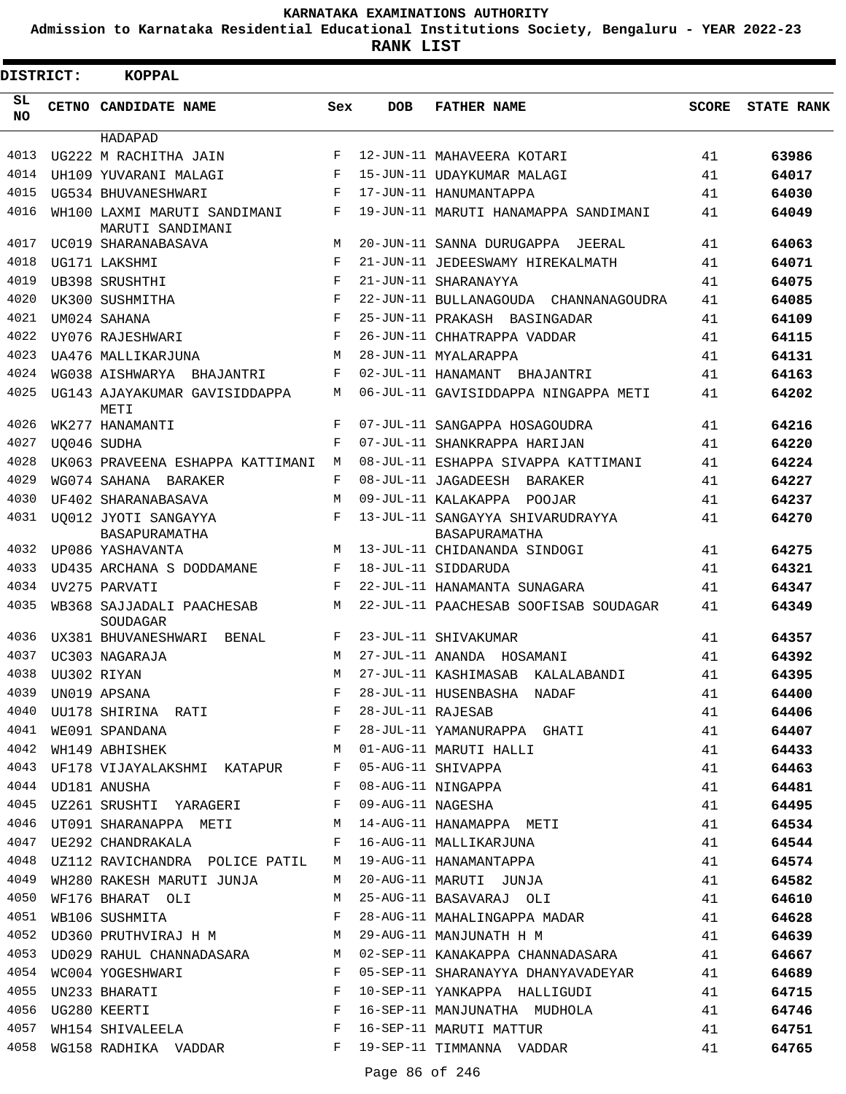**Admission to Karnataka Residential Educational Institutions Society, Bengaluru - YEAR 2022-23**

| <b>DISTRICT:</b> | <b>KOPPAL</b>                                    |                    |                   |                                                   |              |                   |
|------------------|--------------------------------------------------|--------------------|-------------------|---------------------------------------------------|--------------|-------------------|
| SL<br><b>NO</b>  | CETNO CANDIDATE NAME                             | Sex                | <b>DOB</b>        | <b>FATHER NAME</b>                                | <b>SCORE</b> | <b>STATE RANK</b> |
|                  | HADAPAD                                          |                    |                   |                                                   |              |                   |
| 4013             | UG222 M RACHITHA JAIN                            | $_{\rm F}$         |                   | 12-JUN-11 MAHAVEERA KOTARI                        | 41           | 63986             |
| 4014             | UH109 YUVARANI MALAGI                            | F                  |                   | 15-JUN-11 UDAYKUMAR MALAGI                        | 41           | 64017             |
| 4015             | UG534 BHUVANESHWARI                              | F                  |                   | 17-JUN-11 HANUMANTAPPA                            | 41           | 64030             |
| 4016             | WH100 LAXMI MARUTI SANDIMANI<br>MARUTI SANDIMANI | F                  |                   | 19-JUN-11 MARUTI HANAMAPPA SANDIMANI              | 41           | 64049             |
| 4017             | UC019 SHARANABASAVA                              | М                  |                   | 20-JUN-11 SANNA DURUGAPPA JEERAL                  | 41           | 64063             |
| 4018             | UG171 LAKSHMI                                    | $_{\rm F}$         |                   | 21-JUN-11 JEDEESWAMY HIREKALMATH                  | 41           | 64071             |
| 4019             | UB398 SRUSHTHI                                   | $\mathbf{F}% _{0}$ |                   | 21-JUN-11 SHARANAYYA                              | 41           | 64075             |
| 4020             | UK300 SUSHMITHA                                  | F                  |                   | 22-JUN-11 BULLANAGOUDA CHANNANAGOUDRA             | 41           | 64085             |
| 4021             | UM024 SAHANA                                     | $_{\rm F}$         |                   | 25-JUN-11 PRAKASH BASINGADAR                      | 41           | 64109             |
| 4022             | UY076 RAJESHWARI                                 | $_{\rm F}$         |                   | 26-JUN-11 CHHATRAPPA VADDAR                       | 41           | 64115             |
| 4023             | UA476 MALLIKARJUNA                               | M                  |                   | 28-JUN-11 MYALARAPPA                              | 41           | 64131             |
| 4024             | WG038 AISHWARYA BHAJANTRI                        | F                  |                   | 02-JUL-11 HANAMANT BHAJANTRI                      | 41           | 64163             |
| 4025             | UG143 AJAYAKUMAR GAVISIDDAPPA<br>METI            | М                  |                   | 06-JUL-11 GAVISIDDAPPA NINGAPPA METI              | 41           | 64202             |
| 4026             | WK277 HANAMANTI                                  | F                  |                   | 07-JUL-11 SANGAPPA HOSAGOUDRA                     | 41           | 64216             |
| 4027             | UO046 SUDHA                                      | F                  |                   | 07-JUL-11 SHANKRAPPA HARIJAN                      | 41           | 64220             |
| 4028             | UK063 PRAVEENA ESHAPPA KATTIMANI                 | М                  |                   | 08-JUL-11 ESHAPPA SIVAPPA KATTIMANI               | 41           | 64224             |
| 4029             | WG074 SAHANA BARAKER                             | F                  |                   | 08-JUL-11 JAGADEESH BARAKER                       | 41           | 64227             |
| 4030             | UF402 SHARANABASAVA                              | M                  |                   | 09-JUL-11 KALAKAPPA POOJAR                        | 41           | 64237             |
| 4031             | UO012 JYOTI SANGAYYA<br>BASAPURAMATHA            | F                  |                   | 13-JUL-11 SANGAYYA SHIVARUDRAYYA<br>BASAPURAMATHA | 41           | 64270             |
| 4032             | UP086 YASHAVANTA                                 | M                  |                   | 13-JUL-11 CHIDANANDA SINDOGI                      | 41           | 64275             |
| 4033             | UD435 ARCHANA S DODDAMANE                        | F                  |                   | 18-JUL-11 SIDDARUDA                               | 41           | 64321             |
| 4034             | UV275 PARVATI                                    | $_{\rm F}$         |                   | 22-JUL-11 HANAMANTA SUNAGARA                      | 41           | 64347             |
| 4035             | WB368 SAJJADALI PAACHESAB<br>SOUDAGAR            | M                  |                   | 22-JUL-11 PAACHESAB SOOFISAB SOUDAGAR             | 41           | 64349             |
| 4036             | UX381 BHUVANESHWARI<br>BENAL                     | F                  |                   | 23-JUL-11 SHIVAKUMAR                              | 41           | 64357             |
| 4037             | UC303 NAGARAJA                                   | M                  |                   | 27-JUL-11 ANANDA HOSAMANI                         | 41           | 64392             |
| 4038             | UU302 RIYAN                                      | M                  |                   | 27-JUL-11 KASHIMASAB KALALABANDI                  | 41           | 64395             |
| 4039             | UN019 APSANA                                     | $\mathbf F$        |                   | 28-JUL-11 HUSENBASHA NADAF                        | 41           | 64400             |
| 4040             | UU178 SHIRINA RATI F                             |                    | 28-JUL-11 RAJESAB |                                                   | 41           | 64406             |
| 4041             | WE091 SPANDANA<br>WH149 ABHISHEK MH149 M         |                    |                   | 28-JUL-11 YAMANURAPPA GHATI                       | 41           | 64407             |
| 4042             |                                                  |                    |                   | 01-AUG-11 MARUTI HALLI                            | 41           | 64433             |
| 4043             | UF178 VIJAYALAKSHMI KATAPUR F                    |                    |                   | 05-AUG-11 SHIVAPPA                                | 41           | 64463             |
|                  | 4044 UD181 ANUSHA                                | $\mathbf{F}$       |                   | 08-AUG-11 NINGAPPA<br>09-AUG-11 NAGESHA           | 41           | 64481             |
| 4045             | UZ261 SRUSHTI YARAGERI F                         |                    |                   |                                                   | 41           | 64495             |
|                  |                                                  |                    |                   | 4046 UT091 SHARANAPPA METI Manamara Manamara Meti | 41           | 64534             |
| 4047             | UE292 CHANDRAKALA F                              |                    |                   | 16-AUG-11 MALLIKARJUNA                            | 41           | 64544             |
| 4048             | UZ112 RAVICHANDRA POLICE PATIL                   | M                  |                   | 19-AUG-11 HANAMANTAPPA                            | 41           | 64574             |
| 4049             | WH280 RAKESH MARUTI JUNJA                        | M                  |                   | 20-AUG-11 MARUTI JUNJA                            | 41           | 64582             |
| 4050             | WF176 BHARAT OLI                                 | M                  |                   | 25-AUG-11 BASAVARAJ OLI                           | 41           | 64610             |
| 4051             | WB106 SUSHMITA                                   | F                  |                   | 28-AUG-11 MAHALINGAPPA MADAR                      | 41           | 64628             |
| 4052             | UD360 PRUTHVIRAJ H M                             |                    |                   | 29-AUG-11 MANJUNATH H M                           | 41           | 64639             |
| 4053             | UD029 RAHUL CHANNADASARA M                       |                    |                   | 02-SEP-11 KANAKAPPA CHANNADASARA                  | 41           | 64667             |
|                  | 4054 WC004 YOGESHWARI                            | $\mathbf{F}$       |                   | 05-SEP-11 SHARANAYYA DHANYAVADEYAR                | 41           | 64689             |
| 4055             |                                                  |                    |                   | 10-SEP-11 YANKAPPA HALLIGUDI                      | 41           | 64715             |
| 4056             | UN233 BHARATI F<br>UG280 KEERTI F                |                    |                   | 16-SEP-11 MANJUNATHA MUDHOLA                      | 41           | 64746             |
| 4057             | WH154 SHIVALEELA F                               |                    |                   | 16-SEP-11 MARUTI MATTUR                           | 41           | 64751             |
| 4058             | WG158 RADHIKA VADDAR F                           |                    |                   | 19-SEP-11 TIMMANNA VADDAR                         | 41           | 64765             |
|                  |                                                  |                    |                   |                                                   |              |                   |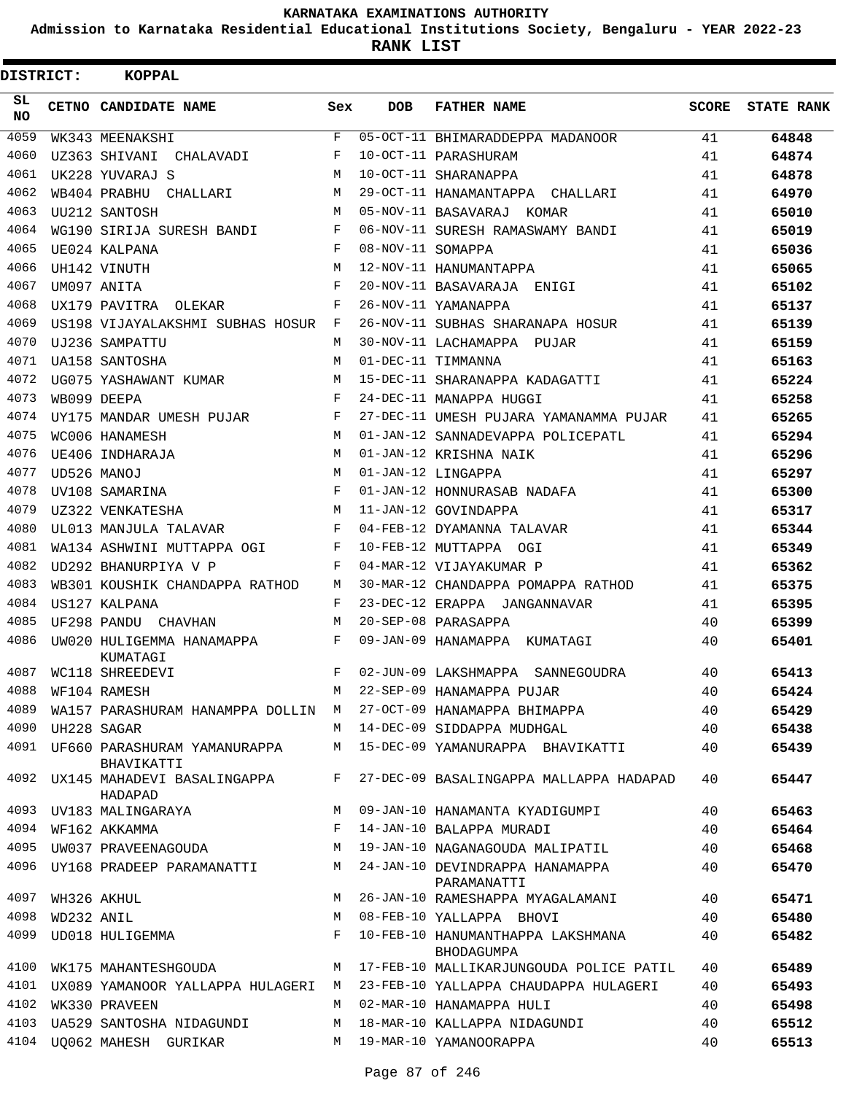**Admission to Karnataka Residential Educational Institutions Society, Bengaluru - YEAR 2022-23**

| DISTRICT:       |            | <b>KOPPAL</b>                                   |              |                   |                                                 |       |                   |
|-----------------|------------|-------------------------------------------------|--------------|-------------------|-------------------------------------------------|-------|-------------------|
| SL<br><b>NO</b> |            | CETNO CANDIDATE NAME                            | Sex          | <b>DOB</b>        | <b>FATHER NAME</b>                              | SCORE | <b>STATE RANK</b> |
| 4059            |            | WK343 MEENAKSHI                                 | $\mathbf{F}$ |                   | 05-OCT-11 BHIMARADDEPPA MADANOOR                | 41    | 64848             |
| 4060            |            | UZ363 SHIVANI<br>CHALAVADI                      | F            |                   | 10-OCT-11 PARASHURAM                            | 41    | 64874             |
| 4061            |            | UK228 YUVARAJ S                                 | M            |                   | 10-OCT-11 SHARANAPPA                            | 41    | 64878             |
| 4062            |            | WB404 PRABHU<br>CHALLARI                        | M            |                   | 29-OCT-11 HANAMANTAPPA CHALLARI                 | 41    | 64970             |
| 4063            |            | UU212 SANTOSH                                   | M            |                   | 05-NOV-11 BASAVARAJ KOMAR                       | 41    | 65010             |
| 4064            |            | WG190 SIRIJA SURESH BANDI                       | F            |                   | 06-NOV-11 SURESH RAMASWAMY BANDI                | 41    | 65019             |
| 4065            |            | UE024 KALPANA                                   | F            | 08-NOV-11 SOMAPPA |                                                 | 41    | 65036             |
| 4066            |            | UH142 VINUTH                                    | M            |                   | 12-NOV-11 HANUMANTAPPA                          | 41    | 65065             |
| 4067            |            | UM097 ANITA                                     | F            |                   | 20-NOV-11 BASAVARAJA ENIGI                      | 41    | 65102             |
| 4068            |            | UX179 PAVITRA OLEKAR                            | F            |                   | 26-NOV-11 YAMANAPPA                             | 41    | 65137             |
| 4069            |            | US198 VIJAYALAKSHMI SUBHAS HOSUR                | F            |                   | 26-NOV-11 SUBHAS SHARANAPA HOSUR                | 41    | 65139             |
| 4070            |            | UJ236 SAMPATTU                                  | М            |                   | 30-NOV-11 LACHAMAPPA PUJAR                      | 41    | 65159             |
| 4071            |            | UA158 SANTOSHA                                  | М            |                   | 01-DEC-11 TIMMANNA                              | 41    | 65163             |
| 4072            |            | UG075 YASHAWANT KUMAR                           | M            |                   | 15-DEC-11 SHARANAPPA KADAGATTI                  | 41    | 65224             |
| 4073            |            | WB099 DEEPA                                     | F            |                   | 24-DEC-11 MANAPPA HUGGI                         | 41    | 65258             |
| 4074            |            | UY175 MANDAR UMESH PUJAR                        | F            |                   | 27-DEC-11 UMESH PUJARA YAMANAMMA PUJAR          | 41    | 65265             |
| 4075            |            | WC006 HANAMESH                                  | M            |                   | 01-JAN-12 SANNADEVAPPA POLICEPATL               | 41    | 65294             |
| 4076            |            | UE406 INDHARAJA                                 | M            |                   | 01-JAN-12 KRISHNA NAIK                          | 41    | 65296             |
| 4077            |            | UD526 MANOJ                                     | M            |                   | 01-JAN-12 LINGAPPA                              | 41    | 65297             |
| 4078            |            | UV108 SAMARINA                                  | F            |                   | 01-JAN-12 HONNURASAB NADAFA                     | 41    | 65300             |
| 4079            |            | UZ322 VENKATESHA                                | M            |                   | 11-JAN-12 GOVINDAPPA                            | 41    | 65317             |
| 4080            |            | UL013 MANJULA TALAVAR                           | F            |                   | 04-FEB-12 DYAMANNA TALAVAR                      | 41    | 65344             |
| 4081            |            | WA134 ASHWINI MUTTAPPA OGI                      | F            |                   | 10-FEB-12 MUTTAPPA OGI                          | 41    | 65349             |
| 4082            |            | UD292 BHANURPIYA V P                            | F            |                   | 04-MAR-12 VIJAYAKUMAR P                         | 41    | 65362             |
| 4083            |            | WB301 KOUSHIK CHANDAPPA RATHOD                  | М            |                   | 30-MAR-12 CHANDAPPA POMAPPA RATHOD              | 41    | 65375             |
| 4084            |            | US127 KALPANA                                   | F            |                   | 23-DEC-12 ERAPPA JANGANNAVAR                    | 41    | 65395             |
| 4085            |            | UF298 PANDU CHAVHAN                             | M            |                   | 20-SEP-08 PARASAPPA                             | 40    | 65399             |
| 4086            |            | UW020 HULIGEMMA HANAMAPPA<br>KUMATAGI           | F            |                   | 09-JAN-09 HANAMAPPA KUMATAGI                    | 40    | 65401             |
| 4087            |            | WC118 SHREEDEVI                                 | F            |                   | 02-JUN-09 LAKSHMAPPA SANNEGOUDRA                | 40    | 65413             |
| 4088            |            | WF104 RAMESH                                    | М            |                   | 22-SEP-09 HANAMAPPA PUJAR                       | 40    | 65424             |
| 4089            |            | WA157 PARASHURAM HANAMPPA DOLLIN                | M            |                   | 27-OCT-09 HANAMAPPA BHIMAPPA                    | 40    | 65429             |
| 4090            |            | UH228 SAGAR                                     | M            |                   | 14-DEC-09 SIDDAPPA MUDHGAL                      | 40    | 65438             |
|                 |            | 4091 UF660 PARASHURAM YAMANURAPPA<br>BHAVIKATTI | М            |                   | 15-DEC-09 YAMANURAPPA BHAVIKATTI                | 40    | 65439             |
| 4092            |            | UX145 MAHADEVI BASALINGAPPA<br>HADAPAD          | F            |                   | 27-DEC-09 BASALINGAPPA MALLAPPA HADAPAD         | 40    | 65447             |
| 4093            |            | UV183 MALINGARAYA                               | M            |                   | 09-JAN-10 HANAMANTA KYADIGUMPI                  | 40    | 65463             |
| 4094            |            | WF162 AKKAMMA                                   | F            |                   | 14-JAN-10 BALAPPA MURADI                        | 40    | 65464             |
| 4095            |            | UW037 PRAVEENAGOUDA                             | М            |                   | 19-JAN-10 NAGANAGOUDA MALIPATIL                 | 40    | 65468             |
| 4096            |            | UY168 PRADEEP PARAMANATTI                       | М            |                   | 24-JAN-10 DEVINDRAPPA HANAMAPPA<br>PARAMANATTI  | 40    | 65470             |
| 4097            |            | WH326 AKHUL                                     | М            |                   | 26-JAN-10 RAMESHAPPA MYAGALAMANI                | 40    | 65471             |
| 4098            | WD232 ANIL |                                                 | M            |                   | 08-FEB-10 YALLAPPA BHOVI                        | 40    | 65480             |
| 4099            |            | UD018 HULIGEMMA                                 | F            |                   | 10-FEB-10 HANUMANTHAPPA LAKSHMANA<br>BHODAGUMPA | 40    | 65482             |
| 4100            |            | WK175 MAHANTESHGOUDA                            | M            |                   | 17-FEB-10 MALLIKARJUNGOUDA POLICE PATIL         | 40    | 65489             |
|                 |            | 4101 UX089 YAMANOOR YALLAPPA HULAGERI M         |              |                   | 23-FEB-10 YALLAPPA CHAUDAPPA HULAGERI           | 40    | 65493             |
| 4102            |            | WK330 PRAVEEN                                   | M            |                   | 02-MAR-10 HANAMAPPA HULI                        | 40    | 65498             |
| 4103            |            | UA529 SANTOSHA NIDAGUNDI                        | М            |                   | 18-MAR-10 KALLAPPA NIDAGUNDI                    | 40    | 65512             |
| 4104            |            | UO062 MAHESH GURIKAR                            | M            |                   | 19-MAR-10 YAMANOORAPPA                          | 40    | 65513             |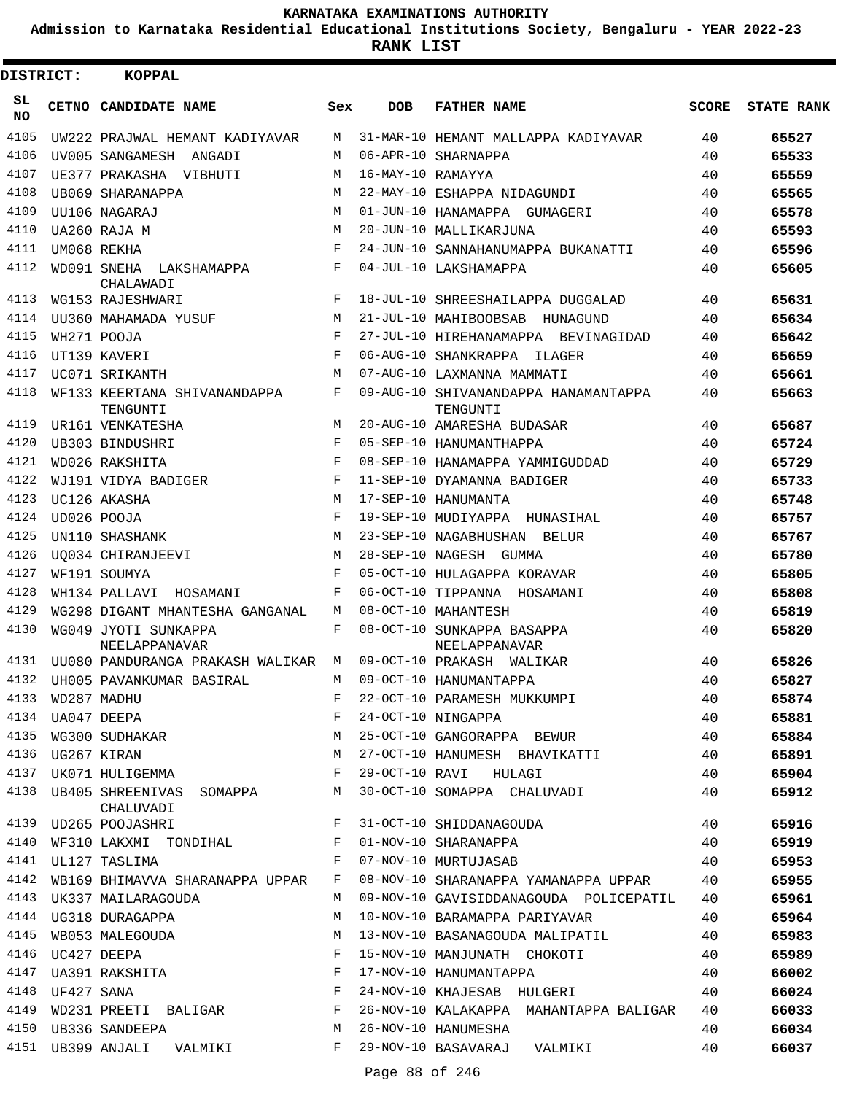**Admission to Karnataka Residential Educational Institutions Society, Bengaluru - YEAR 2022-23**

**RANK LIST**

| <b>DISTRICT:</b> |                 | <b>KOPPAL</b>                                                 |                    |                   |                                                                                                                                                                                                                                              |       |                   |
|------------------|-----------------|---------------------------------------------------------------|--------------------|-------------------|----------------------------------------------------------------------------------------------------------------------------------------------------------------------------------------------------------------------------------------------|-------|-------------------|
| SL<br>NO.        |                 | CETNO CANDIDATE NAME                                          | Sex                | <b>DOB</b>        | <b>FATHER NAME</b>                                                                                                                                                                                                                           | SCORE | <b>STATE RANK</b> |
| 4105             |                 | UW222 PRAJWAL HEMANT KADIYAVAR                                | M                  |                   | 31-MAR-10 HEMANT MALLAPPA KADIYAVAR                                                                                                                                                                                                          | 40    | 65527             |
| 4106             |                 | UV005 SANGAMESH ANGADI                                        | М                  |                   | 06-APR-10 SHARNAPPA                                                                                                                                                                                                                          | 40    | 65533             |
| 4107             |                 | UE377 PRAKASHA VIBHUTI                                        | М                  | 16-MAY-10 RAMAYYA |                                                                                                                                                                                                                                              | 40    | 65559             |
| 4108             |                 | UB069 SHARANAPPA                                              | M                  |                   | 22-MAY-10 ESHAPPA NIDAGUNDI                                                                                                                                                                                                                  | 40    | 65565             |
| 4109             |                 | UU106 NAGARAJ                                                 | M                  |                   | 01-JUN-10 HANAMAPPA GUMAGERI                                                                                                                                                                                                                 | 40    | 65578             |
| 4110             |                 | UA260 RAJA M                                                  | M                  |                   | 20-JUN-10 MALLIKARJUNA                                                                                                                                                                                                                       | 40    | 65593             |
| 4111             |                 | UM068 REKHA                                                   | $\mathbf F$        |                   | 24-JUN-10 SANNAHANUMAPPA BUKANATTI                                                                                                                                                                                                           | 40    | 65596             |
| 4112             |                 | WD091 SNEHA LAKSHAMAPPA<br>CHALAWADI                          | F                  |                   | 04-JUL-10 LAKSHAMAPPA                                                                                                                                                                                                                        | 40    | 65605             |
| 4113             |                 | WG153 RAJESHWARI                                              | F                  |                   | 18-JUL-10 SHREESHAILAPPA DUGGALAD                                                                                                                                                                                                            | 40    | 65631             |
| 4114             |                 | UU360 MAHAMADA YUSUF                                          | М                  |                   | 21-JUL-10 MAHIBOOBSAB<br>HUNAGUND                                                                                                                                                                                                            | 40    | 65634             |
| 4115             |                 | WH271 POOJA                                                   | $\mathbf{F}% _{0}$ |                   | 27-JUL-10 HIREHANAMAPPA BEVINAGIDAD                                                                                                                                                                                                          | 40    | 65642             |
| 4116             |                 | UT139 KAVERI                                                  | $_{\rm F}$         |                   | 06-AUG-10 SHANKRAPPA<br>ILAGER                                                                                                                                                                                                               | 40    | 65659             |
| 4117             |                 | UC071 SRIKANTH                                                | M                  |                   | 07-AUG-10 LAXMANNA MAMMATI                                                                                                                                                                                                                   | 40    | 65661             |
| 4118             |                 | WF133 KEERTANA SHIVANANDAPPA<br>TENGUNTI                      | F                  |                   | 09-AUG-10 SHIVANANDAPPA HANAMANTAPPA<br>TENGUNTI                                                                                                                                                                                             | 40    | 65663             |
| 4119             |                 | UR161 VENKATESHA                                              | M                  |                   | 20-AUG-10 AMARESHA BUDASAR                                                                                                                                                                                                                   | 40    | 65687             |
| 4120             |                 | UB303 BINDUSHRI                                               | F                  |                   | 05-SEP-10 HANUMANTHAPPA                                                                                                                                                                                                                      | 40    | 65724             |
| 4121             |                 | WD026 RAKSHITA                                                | $_{\rm F}$         |                   | 08-SEP-10 HANAMAPPA YAMMIGUDDAD                                                                                                                                                                                                              | 40    | 65729             |
| 4122             |                 | WJ191 VIDYA BADIGER                                           | F                  |                   | 11-SEP-10 DYAMANNA BADIGER                                                                                                                                                                                                                   | 40    | 65733             |
| 4123             |                 | UC126 AKASHA                                                  | M                  |                   | 17-SEP-10 HANUMANTA                                                                                                                                                                                                                          | 40    | 65748             |
| 4124             |                 | UD026 POOJA                                                   | F                  |                   | 19-SEP-10 MUDIYAPPA HUNASIHAL                                                                                                                                                                                                                | 40    | 65757             |
| 4125             |                 |                                                               | M                  |                   |                                                                                                                                                                                                                                              | 40    | 65767             |
| 4126             |                 | UN110 SHASHANK                                                | M                  |                   | 23-SEP-10 NAGABHUSHAN<br>BELUR<br>28-SEP-10 NAGESH GUMMA                                                                                                                                                                                     | 40    |                   |
| 4127             |                 | UO034 CHIRANJEEVI                                             | F                  |                   |                                                                                                                                                                                                                                              | 40    | 65780             |
| 4128             |                 | WF191 SOUMYA                                                  | F                  |                   | 05-OCT-10 HULAGAPPA KORAVAR                                                                                                                                                                                                                  |       | 65805             |
| 4129             |                 | WH134 PALLAVI HOSAMANI                                        |                    |                   | 06-OCT-10 TIPPANNA HOSAMANI                                                                                                                                                                                                                  | 40    | 65808             |
|                  |                 | WG298 DIGANT MHANTESHA GANGANAL                               | M                  |                   | 08-OCT-10 MAHANTESH                                                                                                                                                                                                                          | 40    | 65819             |
| 4130             |                 | WG049 JYOTI SUNKAPPA<br><b>NEELAPPANAVAR</b>                  | F                  |                   | 08-OCT-10 SUNKAPPA BASAPPA<br>NEELAPPANAVAR                                                                                                                                                                                                  | 40    | 65820             |
| 4131             |                 | UU080 PANDURANGA PRAKASH WALIKAR                              | M                  |                   | 09-OCT-10 PRAKASH WALIKAR                                                                                                                                                                                                                    | 40    | 65826             |
| 4132             |                 | UH005 PAVANKUMAR BASIRAL                                      | М                  |                   | 09-OCT-10 HANUMANTAPPA                                                                                                                                                                                                                       | 40    | 65827             |
|                  |                 | 4133 WD287 MADHU                                              |                    |                   | F 22-OCT-10 PARAMESH MUKKUMPI                                                                                                                                                                                                                |       | 65874             |
|                  |                 |                                                               |                    |                   |                                                                                                                                                                                                                                              |       | 65881             |
|                  |                 |                                                               |                    |                   |                                                                                                                                                                                                                                              |       | 65884             |
|                  |                 | 4136 UG267 KIRAN                                              |                    |                   | M 27-OCT-10 HANUMESH BHAVIKATTI 40                                                                                                                                                                                                           |       | 65891             |
|                  |                 | 4137 UK071 HULIGEMMA <b>E</b> 29-OCT-10 RAVI HULAGI           |                    |                   | 40                                                                                                                                                                                                                                           |       | 65904             |
|                  |                 | CHALUVADI                                                     |                    |                   | 4138 UB405 SHREENIVAS SOMAPPA M 30-OCT-10 SOMAPPA CHALUVADI 40                                                                                                                                                                               |       | 65912             |
|                  |                 | 4139 UD265 POOJASHRI SALLA SALAMA E 31-OCT-10 SHIDDANAGOUDA   |                    |                   | 40                                                                                                                                                                                                                                           |       | 65916             |
|                  |                 |                                                               |                    |                   | $\begin{array}{cccccccccc} 4140 & \text{WF310 LAKXML} & \text{TONDIHAL} & & & \text{F} & 01-NOV-10 SHARANAPPA & & & & \\ 4141 & \text{UL127 TASLIMA} & & & & \text{F} & 07-NOV-10 MURTUJASAB & & & & \\ & & & & & & 40 & & & \\ \end{array}$ |       | 65919             |
|                  |                 |                                                               |                    |                   |                                                                                                                                                                                                                                              |       | 65953             |
|                  |                 |                                                               |                    |                   | 4142 WB169 BHIMAVVA SHARANAPPA UPPAR F 08-NOV-10 SHARANAPPA YAMANAPPA UPPAR 40                                                                                                                                                               |       | 65955             |
|                  |                 | 4143 UK337 MAILARAGOUDA                                       |                    |                   | M 09-NOV-10 GAVISIDDANAGOUDA POLICEPATIL 40                                                                                                                                                                                                  |       | 65961             |
|                  |                 |                                                               |                    |                   | 4144 UG318 DURAGAPPA 10-NOV-10 BARAMAPPA PARIYAVAR                                                                                                                                                                                           |       | 65964             |
|                  |                 |                                                               |                    |                   | 4145 WB053 MALEGOUDA M 13-NOV-10 BASANAGOUDA MALIPATIL 40                                                                                                                                                                                    |       | 65983             |
|                  |                 |                                                               |                    |                   | 4146 UC427 DEEPA <b>Example 20</b> F 15-NOV-10 MANJUNATH CHOKOTI 40                                                                                                                                                                          |       | 65989             |
|                  |                 | 4147 UA391 RAKSHITA $F$ 17-NOV-10 HANUMANTAPPA                |                    |                   | 40                                                                                                                                                                                                                                           |       | 66002             |
|                  | 4148 UF427 SANA |                                                               |                    |                   | F 24-NOV-10 KHAJESAB HULGERI 40                                                                                                                                                                                                              |       | 66024             |
|                  |                 |                                                               |                    |                   | 4149 WD231 PREETI BALIGAR F 26-NOV-10 KALAKAPPA MAHANTAPPA BALIGAR 40                                                                                                                                                                        |       | 66033             |
|                  |                 | 4150 UB336 SANDEEPA M 26-NOV-10 HANUMESHA                     |                    |                   |                                                                                                                                                                                                                                              | 40    | 66034             |
|                  |                 | 4151 UB399 ANJALI VALMIKI KWA KWA 29-NOV-10 BASAVARAJ VALMIKI |                    |                   |                                                                                                                                                                                                                                              | 40    | 66037             |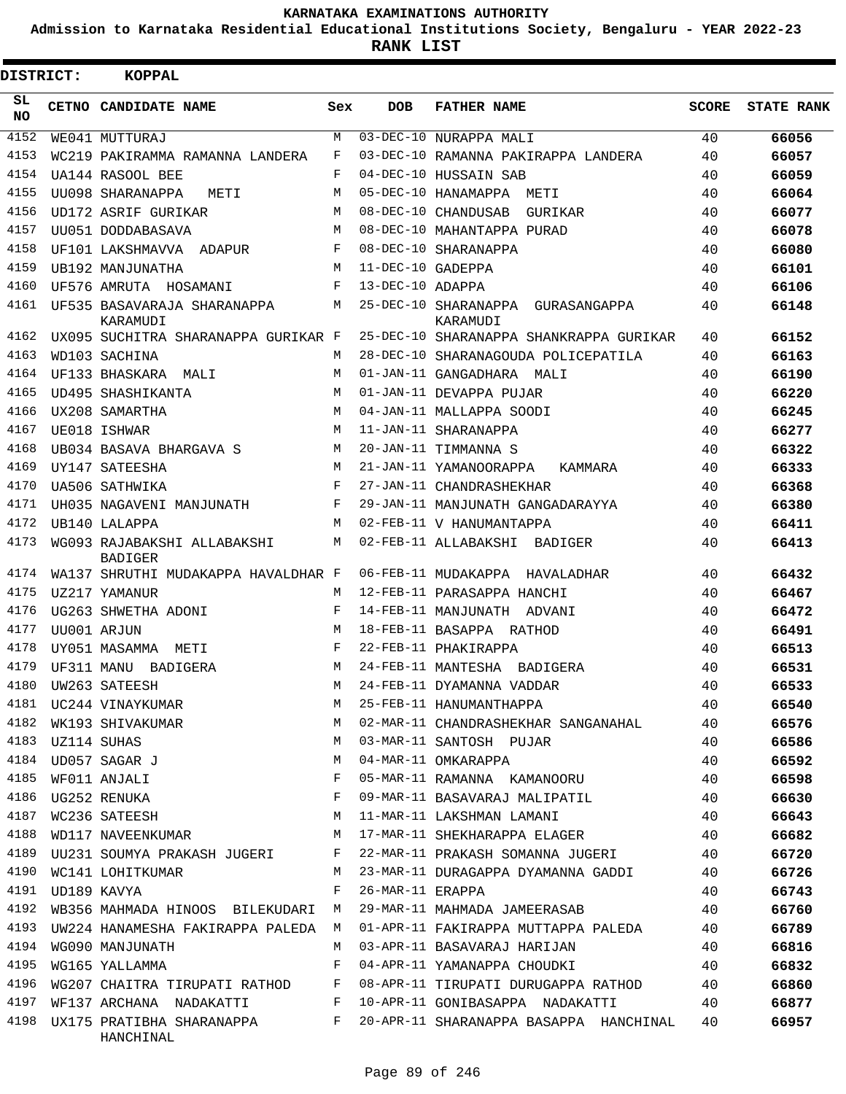**Admission to Karnataka Residential Educational Institutions Society, Bengaluru - YEAR 2022-23**

**RANK LIST**

| <b>DISTRICT:</b> | <b>KOPPAL</b>                                 |              |                   |                                                  |              |                   |
|------------------|-----------------------------------------------|--------------|-------------------|--------------------------------------------------|--------------|-------------------|
| SL<br>NO.        | CETNO CANDIDATE NAME                          | Sex          | <b>DOB</b>        | <b>FATHER NAME</b>                               | <b>SCORE</b> | <b>STATE RANK</b> |
| 4152             | WE041 MUTTURAJ                                | M            |                   | 03-DEC-10 NURAPPA MALI                           | 40           | 66056             |
| 4153             | WC219 PAKIRAMMA RAMANNA LANDERA               | F            |                   | 03-DEC-10 RAMANNA PAKIRAPPA LANDERA              | 40           | 66057             |
| 4154             | UA144 RASOOL BEE                              | F            |                   | 04-DEC-10 HUSSAIN SAB                            | 40           | 66059             |
| 4155             | UU098 SHARANAPPA<br>METI                      | M            |                   | 05-DEC-10 HANAMAPPA METI                         | 40           | 66064             |
| 4156             | UD172 ASRIF GURIKAR                           | M            |                   | 08-DEC-10 CHANDUSAB<br>GURIKAR                   | 40           | 66077             |
| 4157             | UU051 DODDABASAVA                             | M            |                   | 08-DEC-10 MAHANTAPPA PURAD                       | 40           | 66078             |
| 4158             | UF101 LAKSHMAVVA ADAPUR                       | F            |                   | 08-DEC-10 SHARANAPPA                             | 40           | 66080             |
| 4159             | UB192 MANJUNATHA                              | M            | 11-DEC-10 GADEPPA |                                                  | 40           | 66101             |
| 4160             | UF576 AMRUTA HOSAMANI                         | F            | 13-DEC-10 ADAPPA  |                                                  | 40           | 66106             |
| 4161             | UF535 BASAVARAJA SHARANAPPA<br>KARAMUDI       | М            |                   | 25-DEC-10 SHARANAPPA<br>GURASANGAPPA<br>KARAMUDI | 40           | 66148             |
| 4162             | UX095 SUCHITRA SHARANAPPA GURIKAR F           |              |                   | 25-DEC-10 SHARANAPPA SHANKRAPPA GURIKAR          | 40           | 66152             |
| 4163             | WD103 SACHINA                                 | M            |                   | 28-DEC-10 SHARANAGOUDA POLICEPATILA              | 40           | 66163             |
| 4164             | UF133 BHASKARA<br>MAT T                       | M            |                   | 01-JAN-11 GANGADHARA MALI                        | 40           | 66190             |
| 4165             | UD495 SHASHIKANTA                             | M            |                   | 01-JAN-11 DEVAPPA PUJAR                          | 40           | 66220             |
| 4166             | UX208 SAMARTHA                                | M            |                   | 04-JAN-11 MALLAPPA SOODI                         | 40           | 66245             |
| 4167             | UE018 ISHWAR                                  | M            |                   | 11-JAN-11 SHARANAPPA                             | 40           | 66277             |
| 4168             | UB034 BASAVA BHARGAVA S                       | M            |                   | 20-JAN-11 TIMMANNA S                             | 40           | 66322             |
| 4169             | UY147 SATEESHA                                | M            |                   | 21-JAN-11 YAMANOORAPPA<br>KAMMARA                | 40           | 66333             |
| 4170             | UA506 SATHWIKA                                | F            |                   | 27-JAN-11 CHANDRASHEKHAR                         | 40           | 66368             |
| 4171             | UH035 NAGAVENI MANJUNATH                      | F            |                   | 29-JAN-11 MANJUNATH GANGADARAYYA                 | 40           | 66380             |
| 4172             | UB140 LALAPPA                                 | M            |                   | 02-FEB-11 V HANUMANTAPPA                         | 40           | 66411             |
| 4173             | WG093 RAJABAKSHI ALLABAKSHI<br><b>BADIGER</b> | М            |                   | 02-FEB-11 ALLABAKSHI<br>BADIGER                  | 40           | 66413             |
| 4174             | WA137 SHRUTHI MUDAKAPPA HAVALDHAR F           |              |                   | 06-FEB-11 MUDAKAPPA HAVALADHAR                   | 40           | 66432             |
| 4175             | UZ217 YAMANUR                                 | M            |                   | 12-FEB-11 PARASAPPA HANCHI                       | 40           | 66467             |
| 4176             | UG263 SHWETHA ADONI                           | F            |                   | 14-FEB-11 MANJUNATH ADVANI                       | 40           | 66472             |
| 4177             | UU001 ARJUN                                   | M            |                   | 18-FEB-11 BASAPPA RATHOD                         | 40           | 66491             |
| 4178             | UY051 MASAMMA<br>METI                         | F            |                   | 22-FEB-11 PHAKIRAPPA                             | 40           | 66513             |
| 4179             | UF311 MANU BADIGERA                           | M            |                   | 24-FEB-11 MANTESHA BADIGERA                      | 40           | 66531             |
|                  | 4180 UW263 SATEESH                            | M            |                   | 24-FEB-11 DYAMANNA VADDAR                        | 40           | 66533             |
|                  | 4181 UC244 VINAYKUMAR                         | M            |                   | 25-FEB-11 HANUMANTHAPPA                          | 40           | 66540             |
| 4182             | WK193 SHIVAKUMAR                              | M            |                   | 02-MAR-11 CHANDRASHEKHAR SANGANAHAL              | 40           | 66576             |
| 4183             | UZ114 SUHAS                                   | M            |                   | 03-MAR-11 SANTOSH PUJAR                          | 40           | 66586             |
| 4184             | UD057 SAGAR J                                 | М            |                   | 04-MAR-11 OMKARAPPA                              | 40           | 66592             |
| 4185             | WF011 ANJALI                                  | F            |                   | 05-MAR-11 RAMANNA KAMANOORU                      | 40           | 66598             |
| 4186             | UG252 RENUKA                                  | F            |                   | 09-MAR-11 BASAVARAJ MALIPATIL                    | 40           | 66630             |
| 4187             | M<br>WC236 SATEESH                            |              |                   | 11-MAR-11 LAKSHMAN LAMANI                        | 40           | 66643             |
| 4188             | WD117 NAVEENKUMAR M                           |              |                   | 17-MAR-11 SHEKHARAPPA ELAGER                     | 40           | 66682             |
| 4189             | UU231 SOUMYA PRAKASH JUGERI F                 |              |                   | 22-MAR-11 PRAKASH SOMANNA JUGERI                 | 40           | 66720             |
| 4190             | WC141 LOHITKUMAR                              | М            |                   | 23-MAR-11 DURAGAPPA DYAMANNA GADDI               | 40           | 66726             |
| 4191             | UD189 KAVYA                                   | F            | 26-MAR-11 ERAPPA  |                                                  | 40           | 66743             |
| 4192             | WB356 MAHMADA HINOOS BILEKUDARI M             |              |                   | 29-MAR-11 MAHMADA JAMEERASAB                     | 40           | 66760             |
| 4193             | UW224 HANAMESHA FAKIRAPPA PALEDA M            |              |                   | 01-APR-11 FAKIRAPPA MUTTAPPA PALEDA              | 40           | 66789             |
| 4194             | WG090 MANJUNATH                               | М            |                   | 03-APR-11 BASAVARAJ HARIJAN                      | 40           | 66816             |
| 4195             | WG165 YALLAMMA                                | F            |                   | 04-APR-11 YAMANAPPA CHOUDKI                      | 40           | 66832             |
| 4196             | WG207 CHAITRA TIRUPATI RATHOD F               |              |                   | 08-APR-11 TIRUPATI DURUGAPPA RATHOD              | 40           | 66860             |
| 4197             | WF137 ARCHANA NADAKATTI                       | $\mathbb{F}$ |                   | 10-APR-11 GONIBASAPPA NADAKATTI                  | 40           | 66877             |
| 4198             | UX175 PRATIBHA SHARANAPPA F<br>HANCHINAL      |              |                   | 20-APR-11 SHARANAPPA BASAPPA HANCHINAL           | 40           | 66957             |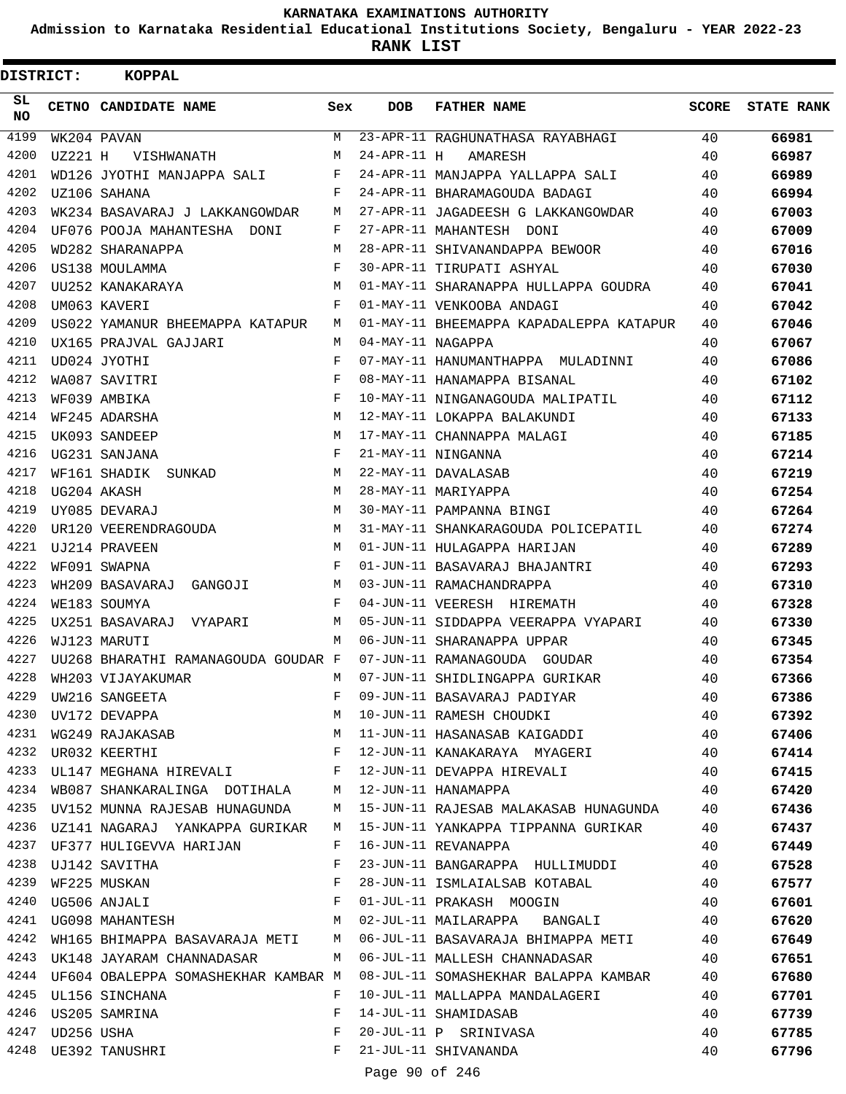**Admission to Karnataka Residential Educational Institutions Society, Bengaluru - YEAR 2022-23**

| DISTRICT:  |                 | <b>KOPPAL</b>                                                   |     |                   |                                         |              |                   |
|------------|-----------------|-----------------------------------------------------------------|-----|-------------------|-----------------------------------------|--------------|-------------------|
| SL.<br>NO. |                 | CETNO CANDIDATE NAME                                            | Sex | <b>DOB</b>        | <b>FATHER NAME</b>                      | <b>SCORE</b> | <b>STATE RANK</b> |
| 4199       |                 | WK204 PAVAN                                                     | M   |                   | 23-APR-11 RAGHUNATHASA RAYABHAGI        | 40           | 66981             |
| 4200       | UZ221 H         | VISHWANATH                                                      | M   | $24-APR-11$ H     | AMARESH                                 | 40           | 66987             |
| 4201       |                 | WD126 JYOTHI MANJAPPA SALI                                      | F   |                   | 24-APR-11 MANJAPPA YALLAPPA SALI        | 40           | 66989             |
| 4202       |                 | UZ106 SAHANA                                                    | F   |                   | 24-APR-11 BHARAMAGOUDA BADAGI           | 40           | 66994             |
| 4203       |                 | WK234 BASAVARAJ J LAKKANGOWDAR                                  | М   |                   | 27-APR-11 JAGADEESH G LAKKANGOWDAR      | 40           | 67003             |
| 4204       |                 | UF076 POOJA MAHANTESHA DONI                                     | F   |                   | 27-APR-11 MAHANTESH DONI                | 40           | 67009             |
| 4205       |                 | WD282 SHARANAPPA                                                | M   |                   | 28-APR-11 SHIVANANDAPPA BEWOOR          | 40           | 67016             |
| 4206       |                 | US138 MOULAMMA                                                  | F   |                   | 30-APR-11 TIRUPATI ASHYAL               | 40           | 67030             |
| 4207       |                 | UU252 KANAKARAYA                                                | M   |                   | 01-MAY-11 SHARANAPPA HULLAPPA GOUDRA    | 40           | 67041             |
| 4208       |                 | UM063 KAVERI                                                    | F   |                   | 01-MAY-11 VENKOOBA ANDAGI               | 40           | 67042             |
| 4209       |                 | US022 YAMANUR BHEEMAPPA KATAPUR                                 | M   |                   | 01-MAY-11 BHEEMAPPA KAPADALEPPA KATAPUR | 40           | 67046             |
| 4210       |                 | UX165 PRAJVAL GAJJARI                                           | M   | 04-MAY-11 NAGAPPA |                                         | 40           | 67067             |
| 4211       |                 | UD024 JYOTHI                                                    | F   |                   | 07-MAY-11 HANUMANTHAPPA MULADINNI       | 40           | 67086             |
| 4212       |                 | WA087 SAVITRI                                                   | F   |                   | 08-MAY-11 HANAMAPPA BISANAL             | 40           | 67102             |
| 4213       |                 | WF039 AMBIKA                                                    | F   |                   | 10-MAY-11 NINGANAGOUDA MALIPATIL        | 40           | 67112             |
| 4214       |                 | WF245 ADARSHA                                                   | M   |                   | 12-MAY-11 LOKAPPA BALAKUNDI             | 40           | 67133             |
| 4215       |                 | UK093 SANDEEP                                                   | M   |                   | 17-MAY-11 CHANNAPPA MALAGI              | 40           | 67185             |
| 4216       |                 | UG231 SANJANA                                                   | F   |                   | 21-MAY-11 NINGANNA                      | 40           | 67214             |
| 4217       |                 | WF161 SHADIK SUNKAD                                             | M   |                   | 22-MAY-11 DAVALASAB                     | 40           | 67219             |
| 4218       |                 | UG204 AKASH                                                     | M   |                   | 28-MAY-11 MARIYAPPA                     | 40           | 67254             |
| 4219       |                 | UY085 DEVARAJ                                                   | M   |                   | 30-MAY-11 PAMPANNA BINGI                | 40           | 67264             |
| 4220       |                 | UR120 VEERENDRAGOUDA                                            | M   |                   | 31-MAY-11 SHANKARAGOUDA POLICEPATIL     | 40           | 67274             |
| 4221       |                 | UJ214 PRAVEEN                                                   | M   |                   | 01-JUN-11 HULAGAPPA HARIJAN             | 40           | 67289             |
| 4222       |                 | WF091 SWAPNA                                                    | F   |                   | 01-JUN-11 BASAVARAJ BHAJANTRI           | 40           | 67293             |
| 4223       |                 | WH209 BASAVARAJ GANGOJI                                         | М   |                   | 03-JUN-11 RAMACHANDRAPPA                | 40           | 67310             |
| 4224       |                 | WE183 SOUMYA                                                    | F   |                   | 04-JUN-11 VEERESH HIREMATH              | 40           | 67328             |
| 4225       |                 | UX251 BASAVARAJ VYAPARI                                         | M   |                   | 05-JUN-11 SIDDAPPA VEERAPPA VYAPARI     | 40           | 67330             |
| 4226       |                 | WJ123 MARUTI                                                    | M   |                   | 06-JUN-11 SHARANAPPA UPPAR              | 40           | 67345             |
| 4227       |                 | UU268 BHARATHI RAMANAGOUDA GOUDAR F                             |     |                   | 07-JUN-11 RAMANAGOUDA GOUDAR            | 40           | 67354             |
| 4228       |                 | WH203 VIJAYAKUMAR                                               | М   |                   | 07-JUN-11 SHIDLINGAPPA GURIKAR          | 40           | 67366             |
| 4229       |                 | UW216 SANGEETA                                                  | F   |                   | 09-JUN-11 BASAVARAJ PADIYAR             | 40           | 67386             |
| 4230       |                 | UV172 DEVAPPA                                                   | М   |                   | 10-JUN-11 RAMESH CHOUDKI                | 40           | 67392             |
| 4231       |                 | WG249 RAJAKASAB                                                 | М   |                   | 11-JUN-11 HASANASAB KAIGADDI            | 40           | 67406             |
| 4232       |                 | $\mathbf{F}$ and $\mathbf{F}$ and $\mathbf{F}$<br>UR032 KEERTHI |     |                   | 12-JUN-11 KANAKARAYA MYAGERI            | 40           | 67414             |
|            |                 | 4233 UL147 MEGHANA HIREVALI F                                   |     |                   | 12-JUN-11 DEVAPPA HIREVALI              | 40           | 67415             |
| 4234       |                 | WB087 SHANKARALINGA DOTIHALA M                                  |     |                   | 12-JUN-11 HANAMAPPA                     | 40           | 67420             |
| 4235       |                 | UV152 MUNNA RAJESAB HUNAGUNDA                                   | М   |                   | 15-JUN-11 RAJESAB MALAKASAB HUNAGUNDA   | 40           | 67436             |
| 4236       |                 | UZ141 NAGARAJ YANKAPPA GURIKAR                                  | M   |                   | 15-JUN-11 YANKAPPA TIPPANNA GURIKAR     | 40           | 67437             |
|            |                 | 4237 UF377 HULIGEVVA HARIJAN                                    | F   |                   | 16-JUN-11 REVANAPPA                     | 40           | 67449             |
| 4238       |                 | UJ142 SAVITHA                                                   | F   |                   | 23-JUN-11 BANGARAPPA HULLIMUDDI         | 40           | 67528             |
| 4239       |                 | WF225 MUSKAN                                                    | F   |                   | 28-JUN-11 ISMLAIALSAB KOTABAL           | 40           | 67577             |
| 4240       |                 | UG506 ANJALI                                                    | F   |                   | 01-JUL-11 PRAKASH MOOGIN                | 40           | 67601             |
|            |                 | 4241 UG098 MAHANTESH                                            | M   |                   | 02-JUL-11 MAILARAPPA BANGALI            | 40           | 67620             |
| 4242       |                 | WH165 BHIMAPPA BASAVARAJA METI                                  | M   |                   | 06-JUL-11 BASAVARAJA BHIMAPPA METI      | 40           | 67649             |
| 4243       |                 | UK148 JAYARAM CHANNADASAR                                       | М   |                   | 06-JUL-11 MALLESH CHANNADASAR           | 40           | 67651             |
| 4244       |                 | UF604 OBALEPPA SOMASHEKHAR KAMBAR M                             |     |                   | 08-JUL-11 SOMASHEKHAR BALAPPA KAMBAR    | 40           | 67680             |
|            |                 | 4245 UL156 SINCHANA                                             | F   |                   | 10-JUL-11 MALLAPPA MANDALAGERI          | 40           | 67701             |
|            |                 | 4246 US205 SAMRINA                                              | F   |                   | 14-JUL-11 SHAMIDASAB                    | 40           | 67739             |
|            | 4247 UD256 USHA |                                                                 | F   |                   | 20-JUL-11 P SRINIVASA                   | 40           | 67785             |
|            |                 | 4248 UE392 TANUSHRI                                             | F   |                   | 21-JUL-11 SHIVANANDA                    | 40           | 67796             |
|            |                 |                                                                 |     | Page 90 of 246    |                                         |              |                   |
|            |                 |                                                                 |     |                   |                                         |              |                   |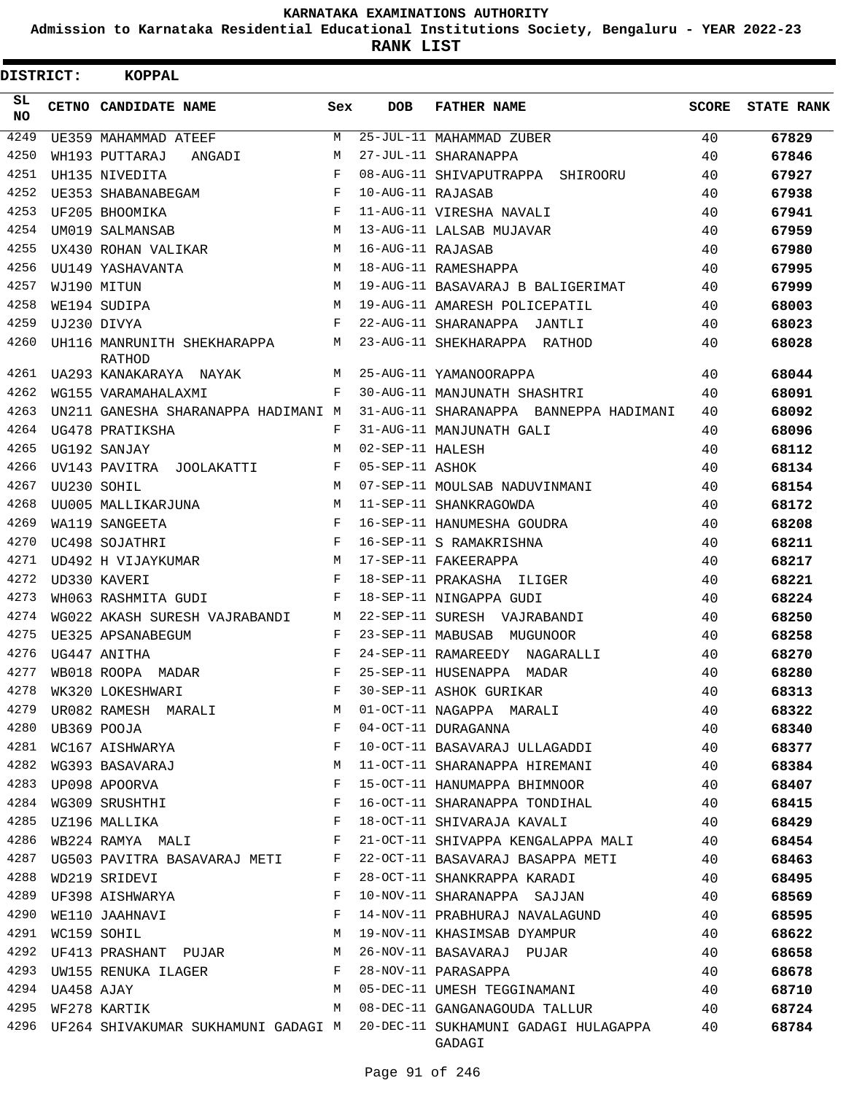**Admission to Karnataka Residential Educational Institutions Society, Bengaluru - YEAR 2022-23**

**RANK LIST**

| <b>DISTRICT:</b> |            | <b>KOPPAL</b>                         |            |                   |                                                                                         |              |                   |
|------------------|------------|---------------------------------------|------------|-------------------|-----------------------------------------------------------------------------------------|--------------|-------------------|
| SL.<br>NO.       |            | CETNO CANDIDATE NAME                  | Sex        | <b>DOB</b>        | <b>FATHER NAME</b>                                                                      | <b>SCORE</b> | <b>STATE RANK</b> |
| 4249             |            | UE359 MAHAMMAD ATEEF                  | М          |                   | 25-JUL-11 MAHAMMAD ZUBER                                                                | 40           | 67829             |
| 4250             |            | WH193 PUTTARAJ<br>ANGADI              | M          |                   | 27-JUL-11 SHARANAPPA                                                                    | 40           | 67846             |
| 4251             |            | UH135 NIVEDITA                        | F          |                   | 08-AUG-11 SHIVAPUTRAPPA SHIROORU                                                        | 40           | 67927             |
| 4252             |            | UE353 SHABANABEGAM                    | F          | 10-AUG-11 RAJASAB |                                                                                         | 40           | 67938             |
| 4253             |            | UF205 BHOOMIKA                        | F          |                   | 11-AUG-11 VIRESHA NAVALI                                                                | 40           | 67941             |
| 4254             |            | UM019 SALMANSAB                       | M          |                   | 13-AUG-11 LALSAB MUJAVAR                                                                | 40           | 67959             |
| 4255             |            | UX430 ROHAN VALIKAR                   | M          | 16-AUG-11 RAJASAB |                                                                                         | 40           | 67980             |
| 4256             |            | UU149 YASHAVANTA                      | M          |                   | 18-AUG-11 RAMESHAPPA                                                                    | 40           | 67995             |
| 4257             |            | WJ190 MITUN                           | M          |                   | 19-AUG-11 BASAVARAJ B BALIGERIMAT                                                       | 40           | 67999             |
| 4258             |            | WE194 SUDIPA                          | M          |                   | 19-AUG-11 AMARESH POLICEPATIL                                                           | 40           | 68003             |
| 4259             |            | UJ230 DIVYA                           | $_{\rm F}$ |                   | 22-AUG-11 SHARANAPPA JANTLI                                                             | 40           | 68023             |
| 4260             |            | UH116 MANRUNITH SHEKHARAPPA<br>RATHOD | М          |                   | 23-AUG-11 SHEKHARAPPA RATHOD                                                            | 40           | 68028             |
| 4261             |            | UA293 KANAKARAYA NAYAK                | M          |                   | 25-AUG-11 YAMANOORAPPA                                                                  | 40           | 68044             |
| 4262             |            | WG155 VARAMAHALAXMI                   | F          |                   | 30-AUG-11 MANJUNATH SHASHTRI                                                            | 40           | 68091             |
| 4263             |            | UN211 GANESHA SHARANAPPA HADIMANI M   |            |                   | 31-AUG-11 SHARANAPPA BANNEPPA HADIMANI                                                  | 40           | 68092             |
| 4264             |            | UG478 PRATIKSHA                       | F          |                   | 31-AUG-11 MANJUNATH GALI                                                                | 40           | 68096             |
| 4265             |            | UG192 SANJAY                          | М          | 02-SEP-11 HALESH  |                                                                                         | 40           | 68112             |
| 4266             |            | UV143 PAVITRA JOOLAKATTI              | F          | 05-SEP-11 ASHOK   |                                                                                         | 40           | 68134             |
| 4267             |            | UU230 SOHIL                           | M          |                   | 07-SEP-11 MOULSAB NADUVINMANI                                                           | 40           | 68154             |
| 4268             |            | UU005 MALLIKARJUNA                    | M          |                   | 11-SEP-11 SHANKRAGOWDA                                                                  | 40           | 68172             |
| 4269             |            | WA119 SANGEETA                        | F          |                   | 16-SEP-11 HANUMESHA GOUDRA                                                              | 40           | 68208             |
| 4270             |            | UC498 SOJATHRI                        | $_{\rm F}$ |                   | 16-SEP-11 S RAMAKRISHNA                                                                 | 40           | 68211             |
| 4271             |            | UD492 H VIJAYKUMAR                    | M          |                   | 17-SEP-11 FAKEERAPPA                                                                    | 40           | 68217             |
| 4272             |            | UD330 KAVERI                          | F          |                   | 18-SEP-11 PRAKASHA ILIGER                                                               | 40           | 68221             |
| 4273             |            | WH063 RASHMITA GUDI                   | F          |                   | 18-SEP-11 NINGAPPA GUDI                                                                 | 40           | 68224             |
| 4274             |            | WG022 AKASH SURESH VAJRABANDI         | М          |                   | 22-SEP-11 SURESH VAJRABANDI                                                             | 40           | 68250             |
| 4275             |            | UE325 APSANABEGUM                     | F          | 23-SEP-11 MABUSAB | MUGUNOOR                                                                                | 40           | 68258             |
| 4276             |            | UG447 ANITHA                          | F          |                   | 24-SEP-11 RAMAREEDY NAGARALLI                                                           | 40           | 68270             |
| 4277             |            | WB018 ROOPA MADAR                     | F          |                   | 25-SEP-11 HUSENAPPA MADAR                                                               | 40           | 68280             |
| 4278             |            | WK320 LOKESHWARI                      |            |                   | 30-SEP-11 ASHOK GURIKAR                                                                 | 40           | 68313             |
| 4279             |            | UR082 RAMESH MARALI                   | М          |                   | 01-OCT-11 NAGAPPA MARALI                                                                | 40           | 68322             |
| 4280             |            | UB369 POOJA                           | F          |                   | 04-OCT-11 DURAGANNA                                                                     | 40           | 68340             |
| 4281             |            | WC167 AISHWARYA                       | F          |                   | 10-OCT-11 BASAVARAJ ULLAGADDI                                                           | 40           | 68377             |
| 4282             |            | WG393 BASAVARAJ                       | М          |                   | 11-OCT-11 SHARANAPPA HIREMANI                                                           | 40           | 68384             |
| 4283             |            | UP098 APOORVA                         | F          |                   | 15-OCT-11 HANUMAPPA BHIMNOOR                                                            | 40           | 68407             |
| 4284             |            | WG309 SRUSHTHI                        | F          |                   | 16-OCT-11 SHARANAPPA TONDIHAL                                                           | 40           | 68415             |
| 4285             |            | UZ196 MALLIKA                         | F          |                   | 18-OCT-11 SHIVARAJA KAVALI                                                              | 40           | 68429             |
| 4286             |            | WB224 RAMYA MALI                      | F          |                   | 21-OCT-11 SHIVAPPA KENGALAPPA MALI                                                      | 40           | 68454             |
| 4287             |            | UG503 PAVITRA BASAVARAJ METI          | F          |                   | 22-OCT-11 BASAVARAJ BASAPPA METI                                                        | 40           | 68463             |
| 4288             |            | WD219 SRIDEVI                         | F          |                   | 28-OCT-11 SHANKRAPPA KARADI                                                             | 40           | 68495             |
| 4289             |            | UF398 AISHWARYA                       | F          |                   | 10-NOV-11 SHARANAPPA SAJJAN                                                             | 40           | 68569             |
| 4290             |            | WE110 JAAHNAVI                        | F          |                   | 14-NOV-11 PRABHURAJ NAVALAGUND                                                          | 40           | 68595             |
| 4291             |            | WC159 SOHIL                           | М          |                   | 19-NOV-11 KHASIMSAB DYAMPUR                                                             | 40           | 68622             |
| 4292             |            | UF413 PRASHANT PUJAR                  | М          |                   | 26-NOV-11 BASAVARAJ PUJAR                                                               | 40           | 68658             |
| 4293             |            | UW155 RENUKA ILAGER                   | F          |                   | 28-NOV-11 PARASAPPA                                                                     | 40           | 68678             |
| 4294             | UA458 AJAY |                                       | М          |                   | 05-DEC-11 UMESH TEGGINAMANI                                                             | 40           | 68710             |
| 4295             |            | WF278 KARTIK                          | М          |                   | 08-DEC-11 GANGANAGOUDA TALLUR                                                           | 40           | 68724             |
|                  |            |                                       |            |                   | 4296 UF264 SHIVAKUMAR SUKHAMUNI GADAGI M 20-DEC-11 SUKHAMUNI GADAGI HULAGAPPA<br>GADAGI | 40           | 68784             |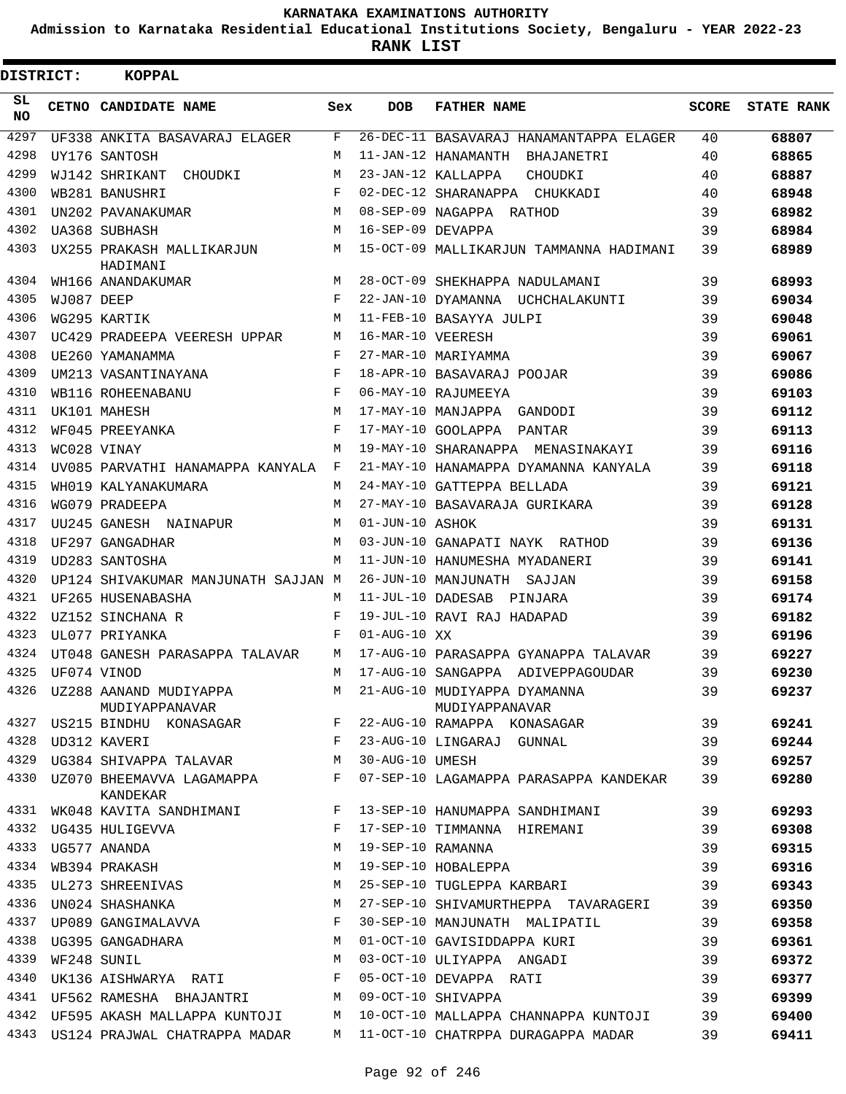**Admission to Karnataka Residential Educational Institutions Society, Bengaluru - YEAR 2022-23**

| DISTRICT:        |            | <b>KOPPAL</b>                            |       |                    |                                                |              |                   |
|------------------|------------|------------------------------------------|-------|--------------------|------------------------------------------------|--------------|-------------------|
| SL.<br><b>NO</b> |            | CETNO CANDIDATE NAME                     | Sex   | <b>DOB</b>         | <b>FATHER NAME</b>                             | <b>SCORE</b> | <b>STATE RANK</b> |
| 4297             |            | UF338 ANKITA BASAVARAJ ELAGER            | F     |                    | 26-DEC-11 BASAVARAJ HANAMANTAPPA ELAGER        | 40           | 68807             |
| 4298             |            | UY176 SANTOSH                            | M     |                    | 11-JAN-12 HANAMANTH BHAJANETRI                 | 40           | 68865             |
| 4299             |            | WJ142 SHRIKANT<br>CHOUDKI                | М     |                    | 23-JAN-12 KALLAPPA<br>CHOUDKI                  | 40           | 68887             |
| 4300             |            | WB281 BANUSHRI                           | F     |                    | 02-DEC-12 SHARANAPPA CHUKKADI                  | 40           | 68948             |
| 4301             |            | UN202 PAVANAKUMAR                        | М     |                    | 08-SEP-09 NAGAPPA RATHOD                       | 39           | 68982             |
| 4302             |            | UA368 SUBHASH                            | M     | 16-SEP-09 DEVAPPA  |                                                | 39           | 68984             |
| 4303             |            | UX255 PRAKASH MALLIKARJUN<br>HADIMANI    | M     |                    | 15-OCT-09 MALLIKARJUN TAMMANNA HADIMANI        | 39           | 68989             |
| 4304             |            | WH166 ANANDAKUMAR                        | M     |                    | 28-OCT-09 SHEKHAPPA NADULAMANI                 | 39           | 68993             |
| 4305             | WJ087 DEEP |                                          | F     |                    | 22-JAN-10 DYAMANNA UCHCHALAKUNTI               | 39           | 69034             |
| 4306             |            | WG295 KARTIK                             | M     |                    | 11-FEB-10 BASAYYA JULPI                        | 39           | 69048             |
| 4307             |            | UC429 PRADEEPA VEERESH UPPAR             | М     | 16-MAR-10 VEERESH  |                                                | 39           | 69061             |
| 4308             |            | UE260 YAMANAMMA                          | F     |                    | 27-MAR-10 MARIYAMMA                            | 39           | 69067             |
| 4309             |            | UM213 VASANTINAYANA                      | F     |                    | 18-APR-10 BASAVARAJ POOJAR                     | 39           | 69086             |
| 4310             |            | WB116 ROHEENABANU                        | F     |                    | 06-MAY-10 RAJUMEEYA                            | 39           | 69103             |
| 4311             |            | UK101 MAHESH                             | M     |                    | 17-MAY-10 MANJAPPA GANDODI                     | 39           | 69112             |
| 4312             |            | WF045 PREEYANKA                          | F     |                    | 17-MAY-10 GOOLAPPA PANTAR                      | 39           | 69113             |
| 4313             |            | WC028 VINAY                              | M     |                    | 19-MAY-10 SHARANAPPA MENASINAKAYI              | 39           | 69116             |
| 4314             |            | UV085 PARVATHI HANAMAPPA KANYALA         | F     |                    | 21-MAY-10 HANAMAPPA DYAMANNA KANYALA           | 39           | 69118             |
| 4315             |            | WH019 KALYANAKUMARA                      | M     |                    | 24-MAY-10 GATTEPPA BELLADA                     | 39           | 69121             |
| 4316             |            | WG079 PRADEEPA                           | M     |                    | 27-MAY-10 BASAVARAJA GURIKARA                  | 39           | 69128             |
| 4317             |            | UU245 GANESH NAINAPUR                    | М     | 01-JUN-10 ASHOK    |                                                | 39           | 69131             |
| 4318             |            | UF297 GANGADHAR                          | M     |                    | 03-JUN-10 GANAPATI NAYK RATHOD                 | 39           | 69136             |
| 4319             |            | UD283 SANTOSHA                           | M     |                    | 11-JUN-10 HANUMESHA MYADANERI                  | 39           | 69141             |
| 4320             |            | UP124 SHIVAKUMAR MANJUNATH SAJJAN M      |       |                    | 26-JUN-10 MANJUNATH SAJJAN                     | 39           | 69158             |
| 4321             |            | UF265 HUSENABASHA                        | M     |                    | 11-JUL-10 DADESAB PINJARA                      | 39           | 69174             |
| 4322             |            | UZ152 SINCHANA R                         | F     |                    | 19-JUL-10 RAVI RAJ HADAPAD                     | 39           | 69182             |
| 4323             |            | UL077 PRIYANKA                           | F     | $01 - AUG - 10 XX$ |                                                | 39           | 69196             |
| 4324             |            | UT048 GANESH PARASAPPA TALAVAR           | М     |                    | 17-AUG-10 PARASAPPA GYANAPPA TALAVAR           | 39           | 69227             |
| 4325             |            | UF074 VINOD                              | М     |                    | 17-AUG-10 SANGAPPA ADIVEPPAGOUDAR              | 39           | 69230             |
| 4326             |            | UZ288 AANAND MUDIYAPPA<br>MUDIYAPPANAVAR | М     |                    | 21-AUG-10 MUDIYAPPA DYAMANNA<br>MUDIYAPPANAVAR | 39           | 69237             |
|                  |            | 4327 US215 BINDHU KONASAGAR              | $F -$ |                    | 22-AUG-10 RAMAPPA KONASAGAR                    | 39           | 69241             |
| 4328             |            | UD312 KAVERI                             | F     |                    | 23-AUG-10 LINGARAJ GUNNAL                      | 39           | 69244             |
| 4329             |            | UG384 SHIVAPPA TALAVAR                   | М     | 30-AUG-10 UMESH    |                                                | 39           | 69257             |
| 4330             |            | UZ070 BHEEMAVVA LAGAMAPPA<br>KANDEKAR    | F     |                    | 07-SEP-10 LAGAMAPPA PARASAPPA KANDEKAR         | 39           | 69280             |
| 4331             |            | WK048 KAVITA SANDHIMANI                  | F     |                    | 13-SEP-10 HANUMAPPA SANDHIMANI                 | 39           | 69293             |
| 4332             |            | UG435 HULIGEVVA                          | F     |                    | 17-SEP-10 TIMMANNA HIREMANI                    | 39           | 69308             |
| 4333             |            | UG577 ANANDA                             | М     | 19-SEP-10 RAMANNA  |                                                | 39           | 69315             |
| 4334             |            | WB394 PRAKASH                            | М     |                    | 19-SEP-10 HOBALEPPA                            | 39           | 69316             |
| 4335             |            | UL273 SHREENIVAS                         | М     |                    | 25-SEP-10 TUGLEPPA KARBARI                     | 39           | 69343             |
| 4336             |            | UN024 SHASHANKA                          | M     |                    | 27-SEP-10 SHIVAMURTHEPPA TAVARAGERI            | 39           | 69350             |
| 4337             |            | UP089 GANGIMALAVVA                       | F     |                    | 30-SEP-10 MANJUNATH MALIPATIL                  | 39           | 69358             |
| 4338             |            | UG395 GANGADHARA                         | M     |                    | 01-OCT-10 GAVISIDDAPPA KURI                    | 39           | 69361             |
| 4339             |            | WF248 SUNIL                              | М     |                    | 03-OCT-10 ULIYAPPA ANGADI                      | 39           | 69372             |
| 4340             |            | UK136 AISHWARYA RATI                     | F     |                    | 05-OCT-10 DEVAPPA RATI                         | 39           | 69377             |
| 4341             |            | UF562 RAMESHA BHAJANTRI                  | М     |                    | 09-OCT-10 SHIVAPPA                             | 39           | 69399             |
| 4342             |            | UF595 AKASH MALLAPPA KUNTOJI             | М     |                    | 10-OCT-10 MALLAPPA CHANNAPPA KUNTOJI           | 39           | 69400             |
| 4343             |            | US124 PRAJWAL CHATRAPPA MADAR            | M     |                    | 11-OCT-10 CHATRPPA DURAGAPPA MADAR             | 39           | 69411             |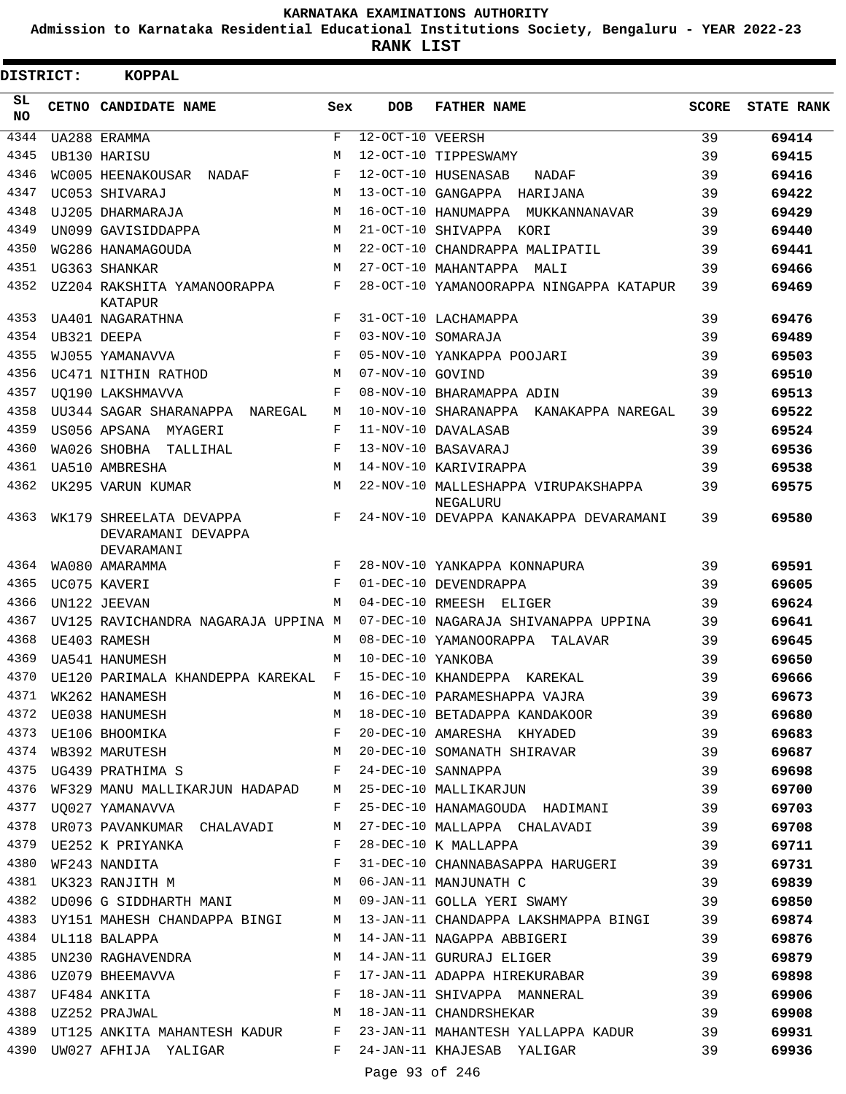**Admission to Karnataka Residential Educational Institutions Society, Bengaluru - YEAR 2022-23**

**RANK LIST**

 $\blacksquare$ 

| DISTRICT:       | <b>KOPPAL</b>                                               |              |                   |                                                                                                                                                                                                                                        |              |                   |
|-----------------|-------------------------------------------------------------|--------------|-------------------|----------------------------------------------------------------------------------------------------------------------------------------------------------------------------------------------------------------------------------------|--------------|-------------------|
| SL<br><b>NO</b> | CETNO CANDIDATE NAME                                        | Sex          | <b>DOB</b>        | <b>FATHER NAME</b>                                                                                                                                                                                                                     | <b>SCORE</b> | <b>STATE RANK</b> |
| 4344            | UA288 ERAMMA                                                | F            | 12-OCT-10 VEERSH  |                                                                                                                                                                                                                                        | 39           | 69414             |
| 4345            | UB130 HARISU                                                | М            |                   | 12-OCT-10 TIPPESWAMY                                                                                                                                                                                                                   | 39           | 69415             |
| 4346            | WC005 HEENAKOUSAR NADAF                                     | F            |                   | 12-OCT-10 HUSENASAB<br>NADAF                                                                                                                                                                                                           | 39           | 69416             |
| 4347            | UC053 SHIVARAJ                                              | M            |                   | 13-OCT-10 GANGAPPA HARIJANA                                                                                                                                                                                                            | 39           | 69422             |
| 4348            | UJ205 DHARMARAJA                                            | M            |                   | 16-OCT-10 HANUMAPPA MUKKANNANAVAR                                                                                                                                                                                                      | 39           | 69429             |
| 4349            | UN099 GAVISIDDAPPA                                          | M            |                   | 21-OCT-10 SHIVAPPA KORI                                                                                                                                                                                                                | 39           | 69440             |
| 4350            | WG286 HANAMAGOUDA                                           | M            |                   | 22-OCT-10 CHANDRAPPA MALIPATIL                                                                                                                                                                                                         | 39           | 69441             |
| 4351            | UG363 SHANKAR                                               | M            |                   | 27-OCT-10 MAHANTAPPA MALI                                                                                                                                                                                                              | 39           | 69466             |
| 4352            | UZ204 RAKSHITA YAMANOORAPPA<br>KATAPUR                      | F            |                   | 28-OCT-10 YAMANOORAPPA NINGAPPA KATAPUR                                                                                                                                                                                                | 39           | 69469             |
| 4353            | UA401 NAGARATHNA                                            | F            |                   | 31-OCT-10 LACHAMAPPA                                                                                                                                                                                                                   | 39           | 69476             |
| 4354            | UB321 DEEPA                                                 | F            |                   | 03-NOV-10 SOMARAJA                                                                                                                                                                                                                     | 39           | 69489             |
| 4355            | WJ055 YAMANAVVA                                             | F            |                   | 05-NOV-10 YANKAPPA POOJARI                                                                                                                                                                                                             | 39           | 69503             |
| 4356            | UC471 NITHIN RATHOD                                         | M            | 07-NOV-10 GOVIND  |                                                                                                                                                                                                                                        | 39           | 69510             |
| 4357            | UO190 LAKSHMAVVA                                            | F            |                   | 08-NOV-10 BHARAMAPPA ADIN                                                                                                                                                                                                              | 39           | 69513             |
| 4358            | UU344 SAGAR SHARANAPPA NAREGAL                              | M            |                   | 10-NOV-10 SHARANAPPA KANAKAPPA NAREGAL                                                                                                                                                                                                 | 39           | 69522             |
| 4359            | US056 APSANA MYAGERI                                        | F            |                   | 11-NOV-10 DAVALASAB                                                                                                                                                                                                                    | 39           | 69524             |
| 4360            | WA026 SHOBHA<br>TALLIHAL                                    | F            |                   | 13-NOV-10 BASAVARAJ                                                                                                                                                                                                                    | 39           | 69536             |
| 4361            | <b>UA510 AMBRESHA</b>                                       | M            |                   | 14-NOV-10 KARIVIRAPPA                                                                                                                                                                                                                  | 39           | 69538             |
| 4362            | UK295 VARUN KUMAR                                           | M            |                   | 22-NOV-10 MALLESHAPPA VIRUPAKSHAPPA<br>NEGALURU                                                                                                                                                                                        | 39           | 69575             |
| 4363            | WK179 SHREELATA DEVAPPA<br>DEVARAMANI DEVAPPA<br>DEVARAMANI | F            |                   | 24-NOV-10 DEVAPPA KANAKAPPA DEVARAMANI                                                                                                                                                                                                 | 39           | 69580             |
| 4364            | WA080 AMARAMMA                                              | F            |                   | 28-NOV-10 YANKAPPA KONNAPURA                                                                                                                                                                                                           | 39           | 69591             |
| 4365            | UC075 KAVERI                                                | F            |                   | 01-DEC-10 DEVENDRAPPA                                                                                                                                                                                                                  | 39           | 69605             |
| 4366            | UN122 JEEVAN                                                | M            |                   | 04-DEC-10 RMEESH ELIGER                                                                                                                                                                                                                | 39           | 69624             |
| 4367            | UV125 RAVICHANDRA NAGARAJA UPPINA M                         |              |                   | 07-DEC-10 NAGARAJA SHIVANAPPA UPPINA                                                                                                                                                                                                   | 39           | 69641             |
| 4368            | UE403 RAMESH                                                | M            |                   | 08-DEC-10 YAMANOORAPPA<br>TALAVAR                                                                                                                                                                                                      | 39           | 69645             |
| 4369            | <b>UA541 HANUMESH</b>                                       | М            | 10-DEC-10 YANKOBA |                                                                                                                                                                                                                                        | 39           | 69650             |
| 4370            | UE120 PARIMALA KHANDEPPA KAREKAL                            | $_{\rm F}$   |                   | 15-DEC-10 KHANDEPPA KAREKAL                                                                                                                                                                                                            | 39           | 69666             |
|                 |                                                             |              |                   |                                                                                                                                                                                                                                        |              | 69673             |
|                 |                                                             |              |                   |                                                                                                                                                                                                                                        |              | 69680             |
|                 |                                                             |              |                   |                                                                                                                                                                                                                                        |              | 69683             |
|                 |                                                             |              |                   | 4371 WK262 HANAMESH M 16-DEC-10 PARAMESHAPPA VAJRA 39<br>4372 UE038 HANUMESH M 18-DEC-10 BETADAPPA KANDAKOOR 39<br>4373 UE106 BHOOMIKA F 20-DEC-10 AMARESHA KHYADED 39<br>4374 WB392 MARUTESH M 20-DEC-10 SOMANATH SHIRAVAR 39<br>4374 |              | 69687             |
| 4375            | UG439 PRATHIMA S F                                          |              |                   | 24-DEC-10 SANNAPPA 39                                                                                                                                                                                                                  |              | 69698             |
| 4376            |                                                             |              |                   | WF329 MANU MALLIKARJUN HADAPAD M 25-DEC-10 MALLIKARJUN 39                                                                                                                                                                              |              | 69700             |
| 4377            | UO027 YAMANAVVA                                             | $\mathbf{F}$ |                   | 25-DEC-10 HANAMAGOUDA HADIMANI 39                                                                                                                                                                                                      |              | 69703             |
|                 | 4378 UR073 PAVANKUMAR CHALAVADI M                           |              |                   |                                                                                                                                                                                                                                        |              | 69708             |
| 4379            | UE252 K PRIYANKA                                            | F            |                   | 27-DEC-10 MALLAPPA CHALAVADI 39<br>28-DEC-10 K MALLAPPA 39                                                                                                                                                                             |              | 69711             |
| 4380            | WF243 NANDITA F                                             |              |                   | 31-DEC-10 CHANNABASAPPA HARUGERI 39                                                                                                                                                                                                    |              | 69731             |
| 4381            | UK323 RANJITH M M O6-JAN-11 MANJUNATH C                     |              |                   | 39                                                                                                                                                                                                                                     |              | 69839             |
|                 |                                                             |              |                   | 4382 UD096 G SIDDHARTH MANI M 09-JAN-11 GOLLA YERI SWAMY                                                                                                                                                                               | 39           | 69850             |
| 4383            |                                                             |              |                   | UY151 MAHESH CHANDAPPA BINGI M 13-JAN-11 CHANDAPPA LAKSHMAPPA BINGI 39                                                                                                                                                                 |              | 69874             |
| 4384            | UL118 BALAPPA                                               | M            |                   | 14-JAN-11 NAGAPPA ABBIGERI 39                                                                                                                                                                                                          |              | 69876             |
| 4385            | UN230 RAGHAVENDRA M                                         |              |                   | 39<br>14-JAN-11 GURURAJ ELIGER                                                                                                                                                                                                         |              | 69879             |
|                 |                                                             |              |                   |                                                                                                                                                                                                                                        |              | 69898             |
|                 |                                                             |              |                   |                                                                                                                                                                                                                                        |              | 69906             |
|                 |                                                             |              |                   |                                                                                                                                                                                                                                        |              | 69908             |
|                 |                                                             |              |                   | 4389 UT125 ANKITA MAHANTESH KADUR F 23-JAN-11 MAHANTESH YALLAPPA KADUR 39                                                                                                                                                              |              | 69931             |
|                 |                                                             |              |                   | 4390 UW027 AFHIJA YALIGAR     F   24-JAN-11 KHAJESAB YALIGAR                                                                                                                                                                           | 39           | 69936             |

Page 93 of 246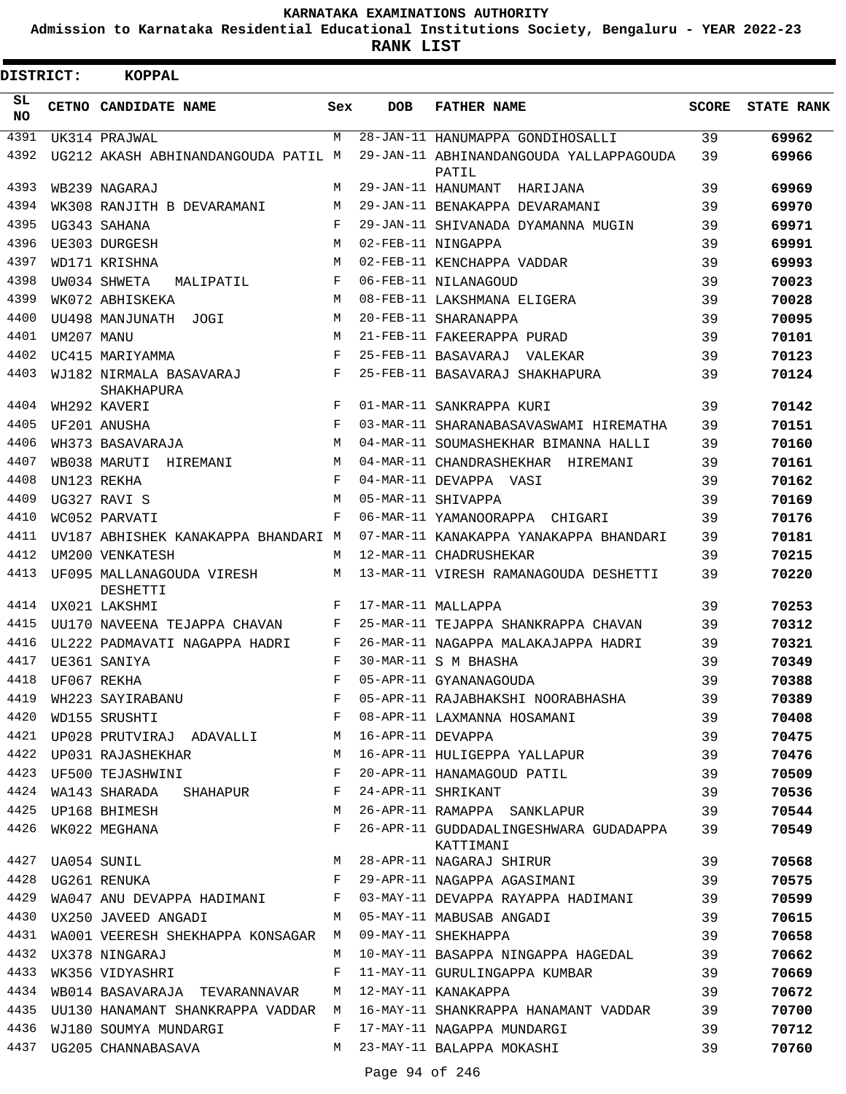**Admission to Karnataka Residential Educational Institutions Society, Bengaluru - YEAR 2022-23**

| <b>DISTRICT:</b> |            | <b>KOPPAL</b>                                          |            |                   |                                                                              |              |                   |
|------------------|------------|--------------------------------------------------------|------------|-------------------|------------------------------------------------------------------------------|--------------|-------------------|
| SL.<br>NO.       |            | CETNO CANDIDATE NAME                                   | Sex        | <b>DOB</b>        | <b>FATHER NAME</b>                                                           | <b>SCORE</b> | <b>STATE RANK</b> |
| 4391             |            | UK314 PRAJWAL                                          | M          |                   | 28-JAN-11 HANUMAPPA GONDIHOSALLI                                             | 39           | 69962             |
| 4392             |            | UG212 AKASH ABHINANDANGOUDA PATIL M                    |            |                   | 29-JAN-11 ABHINANDANGOUDA YALLAPPAGOUDA<br>PATIL                             | 39           | 69966             |
| 4393             |            | WB239 NAGARAJ                                          | M          |                   | 29-JAN-11 HANUMANT<br>HARIJANA                                               | 39           | 69969             |
| 4394             |            | WK308 RANJITH B DEVARAMANI                             | M          |                   | 29-JAN-11 BENAKAPPA DEVARAMANI                                               | 39           | 69970             |
| 4395             |            | UG343 SAHANA                                           | $_{\rm F}$ |                   | 29-JAN-11 SHIVANADA DYAMANNA MUGIN                                           | 39           | 69971             |
| 4396             |            | UE303 DURGESH                                          | M          |                   | 02-FEB-11 NINGAPPA                                                           | 39           | 69991             |
| 4397             |            | WD171 KRISHNA                                          | M          |                   | 02-FEB-11 KENCHAPPA VADDAR                                                   | 39           | 69993             |
| 4398             |            | UW034 SHWETA<br>MALIPATIL                              | F          |                   | 06-FEB-11 NILANAGOUD                                                         | 39           | 70023             |
| 4399             |            | WK072 ABHISKEKA                                        | M          |                   | 08-FEB-11 LAKSHMANA ELIGERA                                                  | 39           | 70028             |
| 4400             |            | UU498 MANJUNATH JOGI                                   | M          |                   | 20-FEB-11 SHARANAPPA                                                         | 39           | 70095             |
| 4401             | UM207 MANU |                                                        | M          |                   | 21-FEB-11 FAKEERAPPA PURAD                                                   | 39           | 70101             |
| 4402             |            | UC415 MARIYAMMA                                        | F          |                   | 25-FEB-11 BASAVARAJ VALEKAR                                                  | 39           | 70123             |
| 4403             |            | WJ182 NIRMALA BASAVARAJ<br>SHAKHAPURA                  | F          |                   | 25-FEB-11 BASAVARAJ SHAKHAPURA                                               | 39           | 70124             |
| 4404             |            | WH292 KAVERI                                           | $_{\rm F}$ |                   | 01-MAR-11 SANKRAPPA KURI                                                     | 39           | 70142             |
| 4405             |            | UF201 ANUSHA                                           | $_{\rm F}$ |                   | 03-MAR-11 SHARANABASAVASWAMI HIREMATHA                                       | 39           | 70151             |
| 4406             |            | WH373 BASAVARAJA                                       | M          |                   | 04-MAR-11 SOUMASHEKHAR BIMANNA HALLI                                         | 39           | 70160             |
| 4407             |            | WB038 MARUTI<br>HIREMANI                               | M          |                   | 04-MAR-11 CHANDRASHEKHAR HIREMANI                                            | 39           | 70161             |
| 4408             |            | UN123 REKHA                                            | F          |                   | 04-MAR-11 DEVAPPA VASI                                                       | 39           | 70162             |
| 4409             |            | UG327 RAVI S                                           | M          |                   | 05-MAR-11 SHIVAPPA                                                           | 39           | 70169             |
| 4410             |            | WC052 PARVATI                                          | F          |                   | 06-MAR-11 YAMANOORAPPA CHIGARI                                               | 39           | 70176             |
| 4411             |            | UV187 ABHISHEK KANAKAPPA BHANDARI M                    |            |                   | 07-MAR-11 KANAKAPPA YANAKAPPA BHANDARI                                       | 39           | 70181             |
| 4412             |            | UM200 VENKATESH                                        | M          |                   | 12-MAR-11 CHADRUSHEKAR                                                       | 39           | 70215             |
| 4413             |            | UF095 MALLANAGOUDA VIRESH<br>DESHETTI                  | M          |                   | 13-MAR-11 VIRESH RAMANAGOUDA DESHETTI                                        | 39           | 70220             |
| 4414             |            | UX021 LAKSHMI                                          | F          |                   | 17-MAR-11 MALLAPPA                                                           | 39           | 70253             |
| 4415             |            | UU170 NAVEENA TEJAPPA CHAVAN                           | F          |                   | 25-MAR-11 TEJAPPA SHANKRAPPA CHAVAN                                          | 39           | 70312             |
| 4416             |            | UL222 PADMAVATI NAGAPPA HADRI                          | F          |                   | 26-MAR-11 NAGAPPA MALAKAJAPPA HADRI                                          | 39           | 70321             |
| 4417             |            | UE361 SANIYA                                           | F          |                   | 30-MAR-11 S M BHASHA                                                         | 39           | 70349             |
| 4418             |            | UF067 REKHA                                            | F          |                   | 05-APR-11 GYANANAGOUDA                                                       | 39           | 70388             |
| 4419             |            | WH223 SAYIRABANU F<br>WD155 SRUSHTI F                  |            |                   | 05-APR-11 RAJABHAKSHI NOORABHASHA                                            | 39           | 70389             |
| 4420             |            |                                                        |            |                   | 08-APR-11 LAXMANNA HOSAMANI                                                  | 39           | 70408             |
|                  |            | 4421 UP028 PRUTVIRAJ ADAVALLI M                        |            | 16-APR-11 DEVAPPA |                                                                              | 39           | 70475             |
|                  |            | 4422 UP031 RAJASHEKHAR M                               |            |                   | 16-APR-11 DEVAPPA<br>16-APR-11 HULIGEPPA YALLAPUR (1999)                     |              | 70476             |
| 4423             |            | UF500 TEJASHWINI                                       | F          |                   | 20-APR-11 HANAMAGOUD PATIL 39                                                |              | 70509             |
| 4424             |            | WA143 SHARADA SHAHAPUR F                               |            |                   | 24-APR-11 SHRIKANT                                                           | 39           | 70536             |
|                  |            | 4425 UP168 BHIMESH                                     | M          |                   | 26-APR-11 RAMAPPA SANKLAPUR                                                  | 39           | 70544             |
|                  |            | 4426 WK022 MEGHANA                                     | $F$ and    |                   | 26-APR-11 GUDDADALINGESHWARA GUDADAPPA 39<br>KATTIMANI                       |              | 70549             |
|                  |            | 4427 UA054 SUNIL                                       |            |                   | M 28-APR-11 NAGARAJ SHIRUR<br>F 29-APR-11 NAGAPPA AGASIMANI                  | 39           | 70568             |
| 4428             |            | UG261 RENUKA                                           |            |                   |                                                                              | 39           | 70575             |
| 4429             |            |                                                        |            |                   | WA047 ANU DEVAPPA HADIMANI F 03-MAY-11 DEVAPPA RAYAPPA HADIMANI 39           |              | 70599             |
| 4430             |            | UX250 JAVEED ANGADI                                    |            |                   | M 05-MAY-11 MABUSAB ANGADI                                                   | 39           | 70615             |
| 4431             |            | WA001 VEERESH SHEKHAPPA KONSAGAR M 09-MAY-11 SHEKHAPPA |            |                   |                                                                              | 39           | 70658             |
| 4432             |            | UX378 NINGARAJ                                         | M          |                   | 10-MAY-11 BASAPPA NINGAPPA HAGEDAL 39                                        |              | 70662             |
| 4433             |            | WK356 VIDYASHRI                                        | F          |                   | 11-MAY-11 GURULINGAPPA KUMBAR 39                                             |              | 70669             |
| 4434             |            | WB014 BASAVARAJA TEVARANNAVAR M                        |            |                   | 12-MAY-11 KANAKAPPA                                                          | 39           | 70672             |
|                  |            |                                                        |            |                   | 4435 UU130 HANAMANT SHANKRAPPA VADDAR M 16-MAY-11 SHANKRAPPA HANAMANT VADDAR | 39           | 70700             |
| 4436             |            | WJ180 SOUMYA MUNDARGI                                  | F          |                   | 17-MAY-11 NAGAPPA MUNDARGI                                                   | 39           | 70712             |
| 4437             |            | UG205 CHANNABASAVA                                     |            |                   | M 23-MAY-11 BALAPPA MOKASHI                                                  | 39           | 70760             |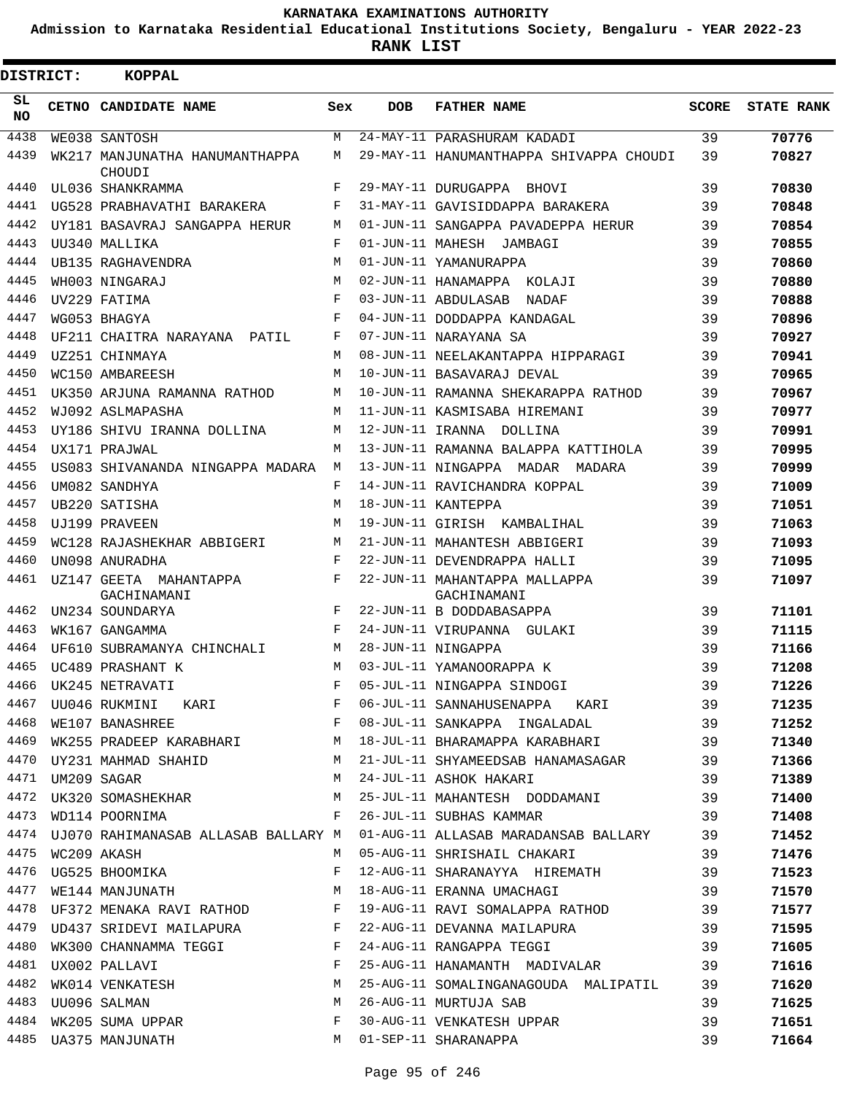**Admission to Karnataka Residential Educational Institutions Society, Bengaluru - YEAR 2022-23**

| <b>DISTRICT:</b> | KOPPAL                                   |     |            |                                              |       |                   |
|------------------|------------------------------------------|-----|------------|----------------------------------------------|-------|-------------------|
| SL<br>NO.        | CETNO CANDIDATE NAME                     | Sex | <b>DOB</b> | <b>FATHER NAME</b>                           | SCORE | <b>STATE RANK</b> |
| 4438             | WE038 SANTOSH                            | M   |            | 24-MAY-11 PARASHURAM KADADI                  | 39    | 70776             |
| 4439             | WK217 MANJUNATHA HANUMANTHAPPA<br>CHOUDI | M   |            | 29-MAY-11 HANUMANTHAPPA SHIVAPPA CHOUDI      | 39    | 70827             |
| 4440             | UL036 SHANKRAMMA                         | F   |            | 29-MAY-11 DURUGAPPA BHOVI                    | 39    | 70830             |
| 4441             | UG528 PRABHAVATHI BARAKERA               | F   |            | 31-MAY-11 GAVISIDDAPPA BARAKERA              | 39    | 70848             |
| 4442             | UY181 BASAVRAJ SANGAPPA HERUR            | M   |            | 01-JUN-11 SANGAPPA PAVADEPPA HERUR           | 39    | 70854             |
| 4443             | UU340 MALLIKA                            | F   |            | 01-JUN-11 MAHESH JAMBAGI                     | 39    | 70855             |
| 4444             | UB135 RAGHAVENDRA                        | M   |            | 01-JUN-11 YAMANURAPPA                        | 39    | 70860             |
| 4445             | WH003 NINGARAJ                           | M   |            | 02-JUN-11 HANAMAPPA KOLAJI                   | 39    | 70880             |
| 4446             | UV229 FATIMA                             | F   |            | 03-JUN-11 ABDULASAB NADAF                    | 39    | 70888             |
| 4447             | WG053 BHAGYA                             | F   |            | 04-JUN-11 DODDAPPA KANDAGAL                  | 39    | 70896             |
| 4448             | UF211 CHAITRA NARAYANA PATIL             | F   |            | 07-JUN-11 NARAYANA SA                        | 39    | 70927             |
| 4449             | UZ251 CHINMAYA                           | M   |            | 08-JUN-11 NEELAKANTAPPA HIPPARAGI            | 39    | 70941             |
| 4450             | WC150 AMBAREESH                          | M   |            | 10-JUN-11 BASAVARAJ DEVAL                    | 39    | 70965             |
| 4451             | UK350 ARJUNA RAMANNA RATHOD              | M   |            | 10-JUN-11 RAMANNA SHEKARAPPA RATHOD          | 39    | 70967             |
| 4452             | WJ092 ASLMAPASHA                         | M   |            | 11-JUN-11 KASMISABA HIREMANI                 | 39    | 70977             |
| 4453             | UY186 SHIVU IRANNA DOLLINA               | M   |            | 12-JUN-11 IRANNA DOLLINA                     | 39    | 70991             |
| 4454             | UX171 PRAJWAL                            | M   |            | 13-JUN-11 RAMANNA BALAPPA KATTIHOLA          | 39    | 70995             |
| 4455             | US083 SHIVANANDA NINGAPPA MADARA         | М   |            | 13-JUN-11 NINGAPPA MADAR MADARA              | 39    | 70999             |
| 4456             | UM082 SANDHYA                            | F   |            | 14-JUN-11 RAVICHANDRA KOPPAL                 | 39    | 71009             |
| 4457             | UB220 SATISHA                            | M   |            | 18-JUN-11 KANTEPPA                           | 39    | 71051             |
| 4458             | UJ199 PRAVEEN                            | M   |            | 19-JUN-11 GIRISH KAMBALIHAL                  | 39    | 71063             |
| 4459             | WC128 RAJASHEKHAR ABBIGERI               | M   |            | 21-JUN-11 MAHANTESH ABBIGERI                 | 39    | 71093             |
| 4460             | UN098 ANURADHA                           | F   |            | 22-JUN-11 DEVENDRAPPA HALLI                  | 39    | 71095             |
| 4461             | UZ147 GEETA MAHANTAPPA<br>GACHINAMANI    | F   |            | 22-JUN-11 MAHANTAPPA MALLAPPA<br>GACHINAMANI | 39    | 71097             |
| 4462             | UN234 SOUNDARYA                          | F   |            | 22-JUN-11 B DODDABASAPPA                     | 39    | 71101             |
| 4463             | WK167 GANGAMMA                           | F   |            | 24-JUN-11 VIRUPANNA GULAKI                   | 39    | 71115             |
| 4464             | UF610 SUBRAMANYA CHINCHALI               | M   |            | 28-JUN-11 NINGAPPA                           | 39    | 71166             |
| 4465             | UC489 PRASHANT K                         | M   |            | 03-JUL-11 YAMANOORAPPA K                     | 39    | 71208             |
|                  | 4466 UK245 NETRAVATI                     |     |            | F 05-JUL-11 NINGAPPA SINDOGI                 | 39    | 71226             |
| 4467             | UU046 RUKMINI KARI F                     |     |            | 06-JUL-11 SANNAHUSENAPPA KARI 39             |       | 71235             |
| 4468             | WE107 BANASHREE F                        |     |            | 08-JUL-11 SANKAPPA INGALADAL 39              |       | 71252             |
| 4469             | WK255 PRADEEP KARABHARI M                |     |            | 18-JUL-11 BHARAMAPPA KARABHARI 39            |       | 71340             |
| 4470             | UY231 MAHMAD SHAHID M                    |     |            | 21-JUL-11 SHYAMEEDSAB HANAMASAGAR 39         |       | 71366             |
| 4471             | UM209 SAGAR                              | M   |            | 39<br>24-JUL-11 ASHOK HAKARI                 |       | 71389             |
| 4472             |                                          |     |            | 25-JUL-11 MAHANTESH DODDAMANI 39             |       | 71400             |
| 4473             | UK320 SOMASHEKHAR M<br>WD114 POORNIMA F  |     |            | 26-JUL-11 SUBHAS KAMMAR                      | 39    | 71408             |
|                  | 4474 UJ070 RAHIMANASAB ALLASAB BALLARY M |     |            | 01-AUG-11 ALLASAB MARADANSAB BALLARY 39      |       | 71452             |
| 4475             | WC209 AKASH                              | M   |            | 05-AUG-11 SHRISHAIL CHAKARI                  | 39    | 71476             |
| 4476             | UG525 BHOOMIKA                           | F   |            | 12-AUG-11 SHARANAYYA HIREMATH                | 39    | 71523             |
| 4477             | WE144 MANJUNATH                          | M   |            | 18-AUG-11 ERANNA UMACHAGI                    | 39    | 71570             |
|                  | 4478 UF372 MENAKA RAVI RATHOD F          |     |            | 19-AUG-11 RAVI SOMALAPPA RATHOD              | 39    | 71577             |
| 4479             | UD437 SRIDEVI MAILAPURA F                |     |            | 22-AUG-11 DEVANNA MAILAPURA                  | 39    | 71595             |
| 4480             | WK300 CHANNAMMA TEGGI F                  |     |            | 24-AUG-11 RANGAPPA TEGGI 39                  |       | 71605             |
|                  | 4481 UX002 PALLAVI                       |     |            | 25-AUG-11 HANAMANTH MADIVALAR                | 39    | 71616             |
| 4482             | UX002 PALLAVI F<br>WK014 VENKATESH M     |     |            | 25-AUG-11 SOMALINGANAGOUDA MALIPATIL 39      |       | 71620             |
| 4483             |                                          | M   |            | 26-AUG-11 MURTUJA SAB                        | 39    | 71625             |
|                  | UU096 SALMAN<br>WK205 SUMA UPPAR         |     |            |                                              |       |                   |
| 4484             |                                          | F   |            | 30-AUG-11 VENKATESH UPPAR                    | 39    | 71651             |
|                  | 4485 UA375 MANJUNATH                     | M   |            | 01-SEP-11 SHARANAPPA                         | 39    | 71664             |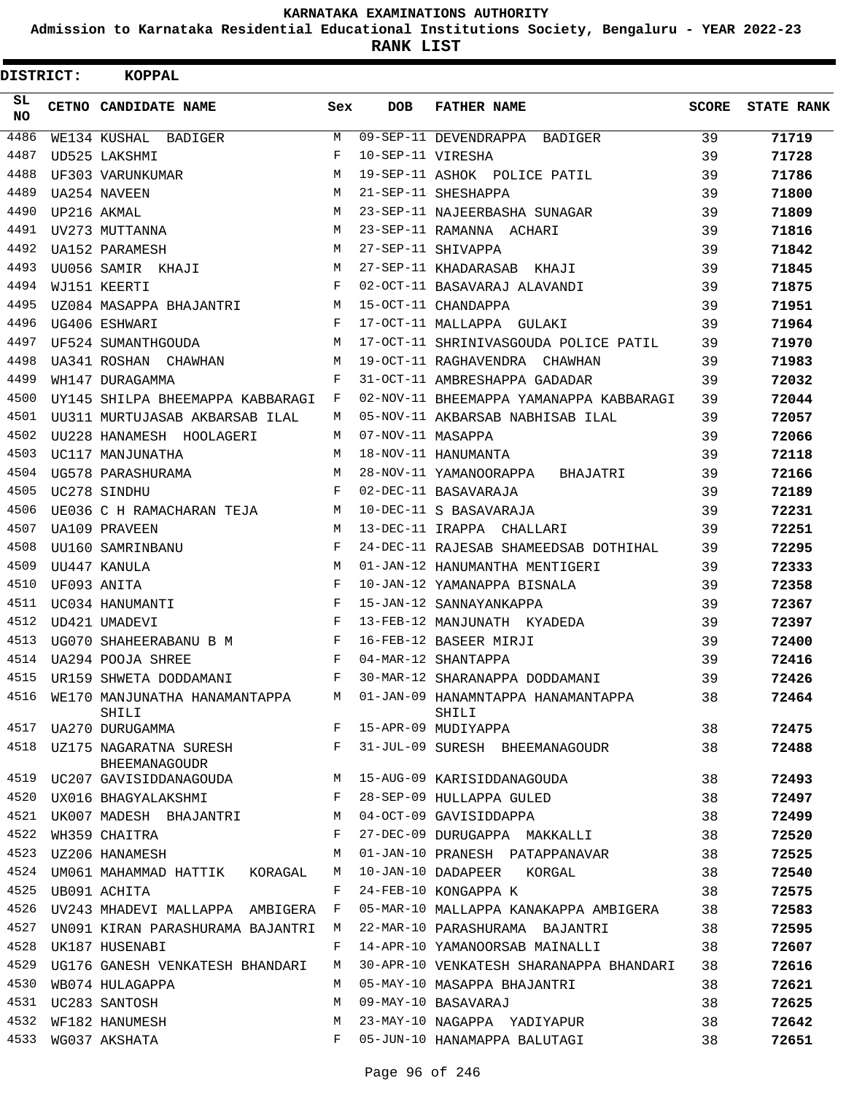**Admission to Karnataka Residential Educational Institutions Society, Bengaluru - YEAR 2022-23**

| <b>DISTRICT:</b> | <b>KOPPAL</b>                                         |     |                   |                                             |       |                   |
|------------------|-------------------------------------------------------|-----|-------------------|---------------------------------------------|-------|-------------------|
| SL.<br>NO.       | CETNO CANDIDATE NAME                                  | Sex | <b>DOB</b>        | <b>FATHER NAME</b>                          | SCORE | <b>STATE RANK</b> |
| 4486             | WE134 KUSHAL BADIGER                                  | М   |                   | 09-SEP-11 DEVENDRAPPA BADIGER               | 39    | 71719             |
| 4487             | UD525 LAKSHMI                                         | F   | 10-SEP-11 VIRESHA |                                             | 39    | 71728             |
| 4488             | UF303 VARUNKUMAR                                      | M   |                   | 19-SEP-11 ASHOK POLICE PATIL                | 39    | 71786             |
| 4489             | UA254 NAVEEN                                          | M   |                   | 21-SEP-11 SHESHAPPA                         | 39    | 71800             |
| 4490             | UP216 AKMAL                                           | M   |                   | 23-SEP-11 NAJEERBASHA SUNAGAR               | 39    | 71809             |
| 4491             | UV273 MUTTANNA                                        | M   |                   | 23-SEP-11 RAMANNA ACHARI                    | 39    | 71816             |
| 4492             | UA152 PARAMESH                                        | M   |                   | 27-SEP-11 SHIVAPPA                          | 39    | 71842             |
| 4493             | UU056 SAMIR KHAJI                                     | M   |                   | 27-SEP-11 KHADARASAB KHAJI                  | 39    | 71845             |
| 4494             | WJ151 KEERTI                                          | F   |                   | 02-OCT-11 BASAVARAJ ALAVANDI                | 39    | 71875             |
| 4495             | UZ084 MASAPPA BHAJANTRI                               | M   |                   | 15-OCT-11 CHANDAPPA                         | 39    | 71951             |
| 4496             | UG406 ESHWARI                                         | F   |                   | 17-OCT-11 MALLAPPA GULAKI                   | 39    | 71964             |
| 4497             | UF524 SUMANTHGOUDA                                    | M   |                   | 17-OCT-11 SHRINIVASGOUDA POLICE PATIL       | 39    | 71970             |
| 4498             | UA341 ROSHAN CHAWHAN                                  | M   |                   | 19-OCT-11 RAGHAVENDRA CHAWHAN               | 39    | 71983             |
| 4499             | WH147 DURAGAMMA                                       | F   |                   | 31-OCT-11 AMBRESHAPPA GADADAR               | 39    | 72032             |
| 4500             | UY145 SHILPA BHEEMAPPA KABBARAGI                      | F   |                   | 02-NOV-11 BHEEMAPPA YAMANAPPA KABBARAGI     | 39    | 72044             |
| 4501             | UU311 MURTUJASAB AKBARSAB ILAL                        | М   |                   | 05-NOV-11 AKBARSAB NABHISAB ILAL            | 39    | 72057             |
| 4502             | UU228 HANAMESH HOOLAGERI                              | М   | 07-NOV-11 MASAPPA |                                             | 39    | 72066             |
| 4503             | UC117 MANJUNATHA                                      | M   |                   | 18-NOV-11 HANUMANTA                         | 39    | 72118             |
| 4504             | UG578 PARASHURAMA                                     | M   |                   | 28-NOV-11 YAMANOORAPPA<br>BHAJATRI          | 39    | 72166             |
| 4505             | UC278 SINDHU                                          | F   |                   | 02-DEC-11 BASAVARAJA                        | 39    | 72189             |
| 4506             | UE036 C H RAMACHARAN TEJA                             | M   |                   | 10-DEC-11 S BASAVARAJA                      | 39    | 72231             |
| 4507             | <b>UA109 PRAVEEN</b>                                  | M   |                   | 13-DEC-11 IRAPPA CHALLARI                   | 39    | 72251             |
| 4508             | UU160 SAMRINBANU                                      | F   |                   | 24-DEC-11 RAJESAB SHAMEEDSAB DOTHIHAL       | 39    | 72295             |
| 4509             | UU447 KANULA                                          | M   |                   | 01-JAN-12 HANUMANTHA MENTIGERI              | 39    | 72333             |
| 4510             | UF093 ANITA                                           | F   |                   | 10-JAN-12 YAMANAPPA BISNALA                 | 39    | 72358             |
| 4511             | UC034 HANUMANTI                                       | F   |                   | 15-JAN-12 SANNAYANKAPPA                     | 39    | 72367             |
| 4512             | UD421 UMADEVI                                         | F   |                   | 13-FEB-12 MANJUNATH KYADEDA                 | 39    | 72397             |
| 4513             | UG070 SHAHEERABANU B M                                | F   |                   | 16-FEB-12 BASEER MIRJI                      | 39    | 72400             |
| 4514             | UA294 POOJA SHREE                                     | F   |                   | 04-MAR-12 SHANTAPPA                         | 39    | 72416             |
| 4515             | UR159 SHWETA DODDAMANI                                | F   |                   | 30-MAR-12 SHARANAPPA DODDAMANI              | 39    | 72426             |
| 4516             | WE170 MANJUNATHA HANAMANTAPPA<br>SHILI                | M   |                   | 01-JAN-09 HANAMNTAPPA HANAMANTAPPA<br>SHILI | 38    | 72464             |
| 4517             | UA270 DURUGAMMA                                       | F   |                   | 15-APR-09 MUDIYAPPA                         | 38    | 72475             |
|                  | 4518  UZ175  NAGARATNA SURESH<br><b>BHEEMANAGOUDR</b> | F   |                   | 31-JUL-09 SURESH BHEEMANAGOUDR              | 38    | 72488             |
|                  | 4519 UC207 GAVISIDDANAGOUDA                           | M   |                   | 15-AUG-09 KARISIDDANAGOUDA                  | 38    | 72493             |
| 4520             | UX016 BHAGYALAKSHMI                                   | F   |                   | 28-SEP-09 HULLAPPA GULED                    | 38    | 72497             |
| 4521             | UK007 MADESH BHAJANTRI                                | М   |                   | 04-OCT-09 GAVISIDDAPPA                      | 38    | 72499             |
| 4522             | WH359 CHAITRA                                         | F   |                   | 27-DEC-09 DURUGAPPA MAKKALLI                | 38    | 72520             |
| 4523             | UZ206 HANAMESH                                        | M   |                   | 01-JAN-10 PRANESH PATAPPANAVAR              | 38    | 72525             |
| 4524             | UM061 MAHAMMAD HATTIK KORAGAL                         | М   |                   | 10-JAN-10 DADAPEER KORGAL                   | 38    | 72540             |
| 4525             | UB091 ACHITA                                          | F   |                   | 24-FEB-10 KONGAPPA K                        | 38    | 72575             |
| 4526             | UV243 MHADEVI MALLAPPA AMBIGERA                       | F   |                   | 05-MAR-10 MALLAPPA KANAKAPPA AMBIGERA       | 38    | 72583             |
| 4527             | UN091 KIRAN PARASHURAMA BAJANTRI                      | M   |                   | 22-MAR-10 PARASHURAMA BAJANTRI              | 38    | 72595             |
| 4528             | UK187 HUSENABI                                        | F   |                   | 14-APR-10 YAMANOORSAB MAINALLI              | 38    | 72607             |
| 4529             | UG176 GANESH VENKATESH BHANDARI                       | M   |                   | 30-APR-10 VENKATESH SHARANAPPA BHANDARI     | 38    | 72616             |
| 4530             | WB074 HULAGAPPA                                       | М   |                   | 05-MAY-10 MASAPPA BHAJANTRI                 | 38    | 72621             |
|                  | 4531 UC283 SANTOSH                                    | М   |                   | 09-MAY-10 BASAVARAJ                         | 38    | 72625             |
| 4532             | WF182 HANUMESH                                        | М   |                   | 23-MAY-10 NAGAPPA YADIYAPUR                 | 38    | 72642             |
| 4533             | WG037 AKSHATA                                         | F   |                   | 05-JUN-10 HANAMAPPA BALUTAGI                | 38    | 72651             |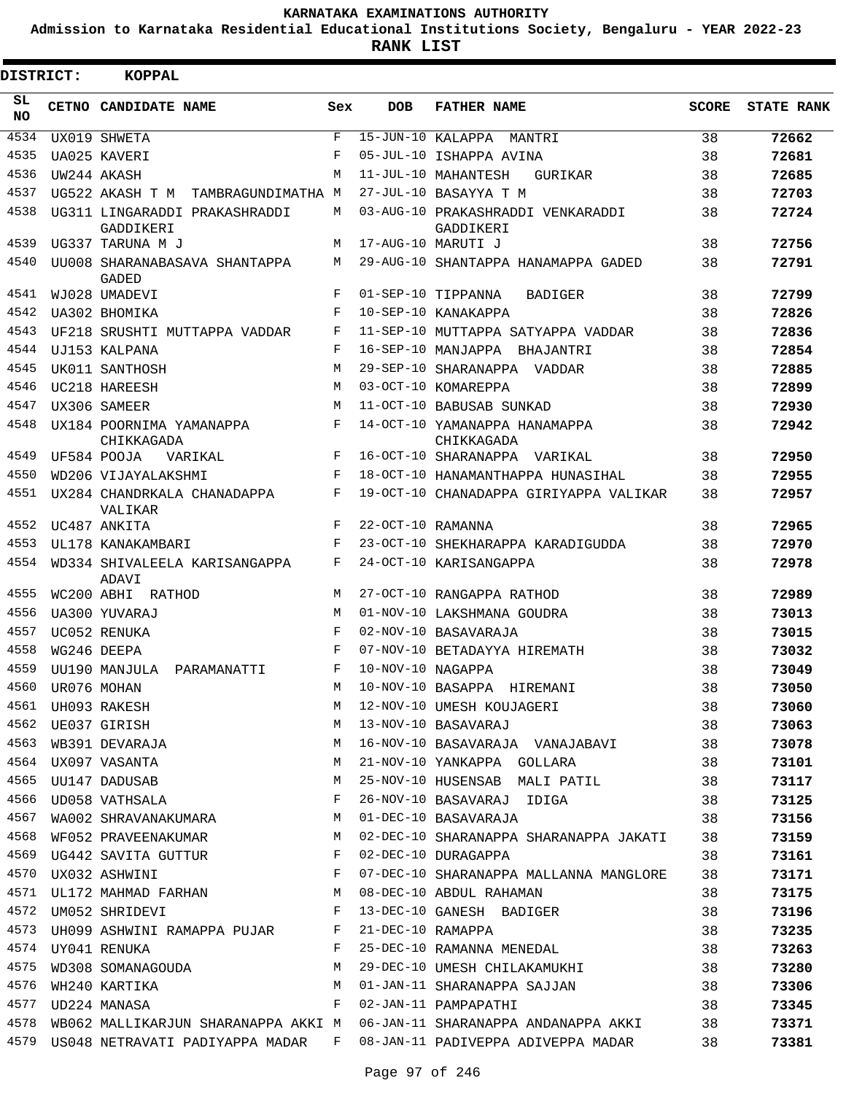**Admission to Karnataka Residential Educational Institutions Society, Bengaluru - YEAR 2022-23**

 $\blacksquare$ 

**RANK LIST**

| DISTRICT:        |             | KOPPAL                                                                                                                                                                                                                                              |            |                    |                                                                           |              |                   |
|------------------|-------------|-----------------------------------------------------------------------------------------------------------------------------------------------------------------------------------------------------------------------------------------------------|------------|--------------------|---------------------------------------------------------------------------|--------------|-------------------|
| SL.<br><b>NO</b> |             | CETNO CANDIDATE NAME                                                                                                                                                                                                                                | Sex        | <b>DOB</b>         | <b>FATHER NAME</b>                                                        | <b>SCORE</b> | <b>STATE RANK</b> |
| 4534             |             | UX019 SHWETA                                                                                                                                                                                                                                        | F          |                    | 15-JUN-10 KALAPPA MANTRI                                                  | 38           | 72662             |
| 4535             |             | UA025 KAVERI                                                                                                                                                                                                                                        | $_{\rm F}$ |                    | 05-JUL-10 ISHAPPA AVINA                                                   | 38           | 72681             |
| 4536             |             | UW244 AKASH                                                                                                                                                                                                                                         | M          |                    | 11-JUL-10 MAHANTESH<br>GURIKAR                                            | 38           | 72685             |
| 4537             |             | UG522 AKASH T M TAMBRAGUNDIMATHA M                                                                                                                                                                                                                  |            |                    | 27-JUL-10 BASAYYA T M                                                     | 38           | 72703             |
| 4538             |             | UG311 LINGARADDI PRAKASHRADDI<br>GADDIKERI                                                                                                                                                                                                          | М          |                    | 03-AUG-10 PRAKASHRADDI VENKARADDI<br>GADDIKERI                            | 38           | 72724             |
| 4539             |             | UG337 TARUNA M J                                                                                                                                                                                                                                    | М          | 17-AUG-10 MARUTI J |                                                                           | 38           | 72756             |
| 4540             |             | UU008 SHARANABASAVA SHANTAPPA<br><b>GADED</b>                                                                                                                                                                                                       | M          |                    | 29-AUG-10 SHANTAPPA HANAMAPPA GADED                                       | 38           | 72791             |
| 4541             |             | WJ028 UMADEVI                                                                                                                                                                                                                                       | F          |                    | 01-SEP-10 TIPPANNA<br><b>BADIGER</b>                                      | 38           | 72799             |
| 4542             |             | UA302 BHOMIKA                                                                                                                                                                                                                                       | $_{\rm F}$ |                    | 10-SEP-10 KANAKAPPA                                                       | 38           | 72826             |
| 4543             |             | UF218 SRUSHTI MUTTAPPA VADDAR                                                                                                                                                                                                                       | F          |                    | 11-SEP-10 MUTTAPPA SATYAPPA VADDAR                                        | 38           | 72836             |
| 4544             |             | UJ153 KALPANA                                                                                                                                                                                                                                       | F          |                    | 16-SEP-10 MANJAPPA BHAJANTRI                                              | 38           | 72854             |
| 4545             |             | UK011 SANTHOSH                                                                                                                                                                                                                                      | M          |                    | 29-SEP-10 SHARANAPPA VADDAR                                               | 38           | 72885             |
| 4546             |             | UC218 HAREESH                                                                                                                                                                                                                                       | M          |                    | 03-OCT-10 KOMAREPPA                                                       | 38           | 72899             |
| 4547             |             | UX306 SAMEER                                                                                                                                                                                                                                        | M          |                    | 11-OCT-10 BABUSAB SUNKAD                                                  | 38           | 72930             |
| 4548             |             | UX184 POORNIMA YAMANAPPA<br>CHIKKAGADA                                                                                                                                                                                                              | $_{\rm F}$ |                    | 14-OCT-10 YAMANAPPA HANAMAPPA<br>CHIKKAGADA                               | 38           | 72942             |
| 4549             |             | UF584 POOJA<br>VARIKAL                                                                                                                                                                                                                              | F          |                    | 16-OCT-10 SHARANAPPA VARIKAL                                              | 38           | 72950             |
| 4550             |             | WD206 VIJAYALAKSHMI                                                                                                                                                                                                                                 | F          |                    | 18-OCT-10 HANAMANTHAPPA HUNASIHAL                                         | 38           | 72955             |
| 4551             |             | UX284 CHANDRKALA CHANADAPPA<br>VALIKAR                                                                                                                                                                                                              | F          |                    | 19-OCT-10 CHANADAPPA GIRIYAPPA VALIKAR                                    | 38           | 72957             |
| 4552             |             | UC487 ANKITA                                                                                                                                                                                                                                        | $_{\rm F}$ | 22-OCT-10 RAMANNA  |                                                                           | 38           | 72965             |
| 4553             |             | UL178 KANAKAMBARI                                                                                                                                                                                                                                   | F          |                    | 23-OCT-10 SHEKHARAPPA KARADIGUDDA                                         | 38           | 72970             |
| 4554             |             | WD334 SHIVALEELA KARISANGAPPA<br>ADAVI                                                                                                                                                                                                              | F          |                    | 24-OCT-10 KARISANGAPPA                                                    | 38           | 72978             |
| 4555             |             | WC200 ABHI RATHOD                                                                                                                                                                                                                                   | M          |                    | 27-OCT-10 RANGAPPA RATHOD                                                 | 38           | 72989             |
| 4556             |             | UA300 YUVARAJ                                                                                                                                                                                                                                       | M          |                    | 01-NOV-10 LAKSHMANA GOUDRA                                                | 38           | 73013             |
| 4557             |             | UC052 RENUKA                                                                                                                                                                                                                                        | $_{\rm F}$ |                    | 02-NOV-10 BASAVARAJA                                                      | 38           | 73015             |
| 4558             |             | WG246 DEEPA                                                                                                                                                                                                                                         | F          |                    | 07-NOV-10 BETADAYYA HIREMATH                                              | 38           | 73032             |
|                  |             | 4559 UU190 MANJULA PARAMANATTI                                                                                                                                                                                                                      | $_{\rm F}$ | 10-NOV-10 NAGAPPA  |                                                                           | 38           | 73049             |
| 4560             | UR076 MOHAN |                                                                                                                                                                                                                                                     | М          |                    | 10-NOV-10 BASAPPA HIREMANI                                                | 38           | 73050             |
|                  |             |                                                                                                                                                                                                                                                     | M          |                    | 12-NOV-10 UMESH KOUJAGERI                                                 | 38           | 73060             |
|                  |             |                                                                                                                                                                                                                                                     | M          |                    | 13-NOV-10 BASAVARAJ                                                       | 38           | 73063             |
|                  |             | 4560 UR076 MOHAN<br>4561 UH093 RAKESH<br>4562 UE037 GIRISH<br>4563 WB391 DEVARAJA<br>4564 UX097 VASANTA                                                                                                                                             | M          |                    | 16-NOV-10 BASAVARAJA VANAJABAVI 38                                        |              | 73078             |
|                  |             |                                                                                                                                                                                                                                                     | M          |                    | 21-NOV-10 YANKAPPA GOLLARA                                                | 38           | 73101             |
|                  |             | 4565 UU147 DADUSAB                                                                                                                                                                                                                                  | M          |                    | 25-NOV-10 HUSENSAB MALI PATIL 38                                          |              | 73117             |
| 4566             |             | UD058 VATHSALA                                                                                                                                                                                                                                      | F          |                    | 26-NOV-10 BASAVARAJ IDIGA                                                 | 38           | 73125             |
| 4567             |             | WA002 SHRAVANAKUMARA M                                                                                                                                                                                                                              |            |                    | 01-DEC-10 BASAVARAJA                                                      | 38           | 73156             |
| 4568             |             | WF052 PRAVEENAKUMAR M                                                                                                                                                                                                                               |            |                    | 02-DEC-10 SHARANAPPA SHARANAPPA JAKATI 38                                 |              | 73159             |
| 4569             |             | UG442 SAVITA GUTTUR F                                                                                                                                                                                                                               |            |                    | 02-DEC-10 DURAGAPPA                                                       | 38           | 73161             |
| 4570             |             | $\mathbf{F}$<br>UX032 ASHWINI                                                                                                                                                                                                                       |            |                    | 07-DEC-10 SHARANAPPA MALLANNA MANGLORE                                    | 38           | 73171             |
|                  |             | 4571 UL172 MAHMAD FARHAN M                                                                                                                                                                                                                          |            |                    | 08-DEC-10 ABDUL RAHAMAN                                                   | 38           | 73175             |
| 4572             |             | $\mathbf{F}$ . The set of the set of the set of the set of the set of the set of the set of the set of the set of the set of the set of the set of the set of the set of the set of the set of the set of the set of the set of t<br>UM052 SHRIDEVI |            |                    | 13-DEC-10 GANESH BADIGER                                                  | 38           | 73196             |
|                  |             | 4573 UH099 ASHWINI RAMAPPA PUJAR F                                                                                                                                                                                                                  |            |                    | 21-DEC-10 RAMAPPA                                                         | 38           | 73235             |
| 4574             |             | $\mathbf{F}$<br>UY041 RENUKA FRENUKA KRANDSOS SOMANAGOUDA METALLA METALLA METALLA METALLA METALLA METALLA METALLA METALLA METALLA METALLA METALLA METALLA METALLA METALLA METALLA METALLA METALLA METALLA METALLA METALLA METALLA METALLA META      |            |                    | 25-DEC-10 RAMANNA MENEDAL                                                 | 38           | 73263             |
| 4575             |             |                                                                                                                                                                                                                                                     |            |                    | 29-DEC-10 UMESH CHILAKAMUKHI                                              | 38           | 73280             |
| 4576             |             | WH240 KARTIKA M<br>UD224 MANASA F                                                                                                                                                                                                                   |            |                    | 01-JAN-11 SHARANAPPA SAJJAN                                               | 38           | 73306             |
| 4577             |             |                                                                                                                                                                                                                                                     |            |                    | 02-JAN-11 PAMPAPATHI                                                      | 38           | 73345             |
| 4578             |             | WB062 MALLIKARJUN SHARANAPPA AKKI M                                                                                                                                                                                                                 |            |                    | 06-JAN-11 SHARANAPPA ANDANAPPA AKKI 38                                    |              | 73371             |
|                  |             |                                                                                                                                                                                                                                                     |            |                    | 4579 US048 NETRAVATI PADIYAPPA MADAR F 08-JAN-11 PADIVEPPA ADIVEPPA MADAR | 38           | 73381             |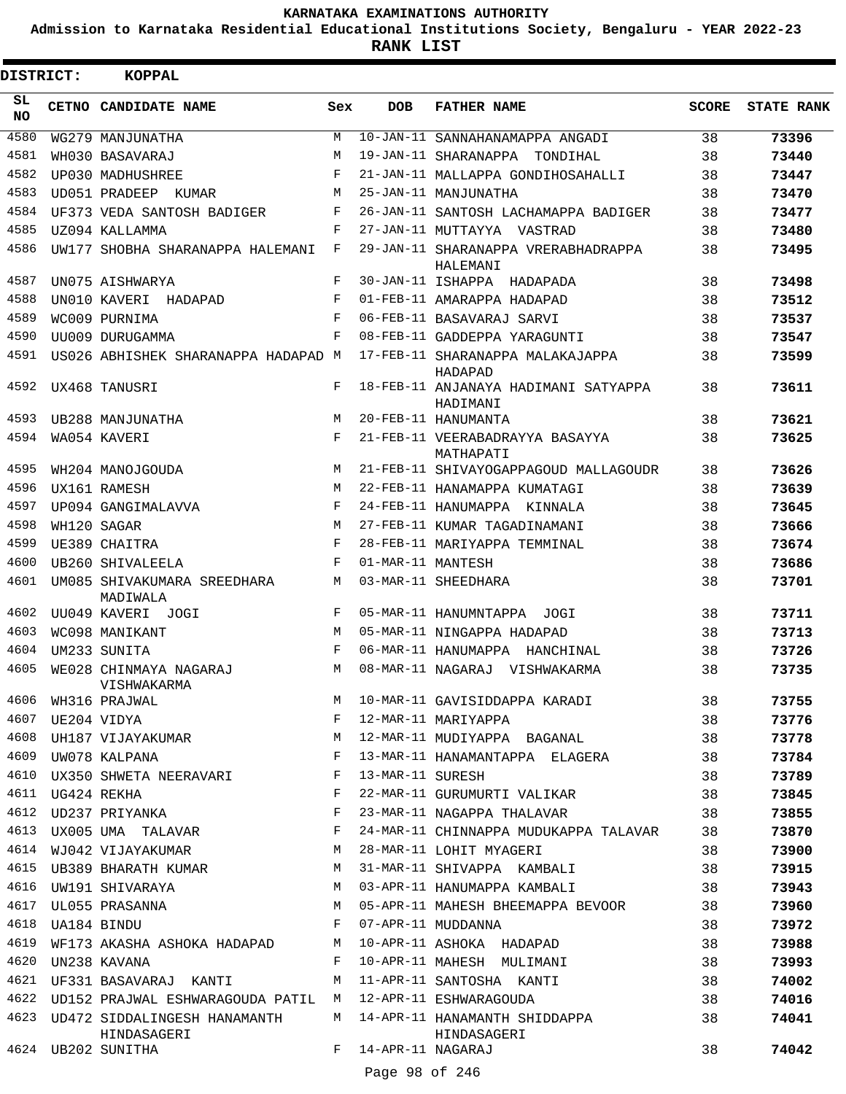**Admission to Karnataka Residential Educational Institutions Society, Bengaluru - YEAR 2022-23**

**RANK LIST**

| SL<br><b>DOB</b><br><b>FATHER NAME</b><br><b>SCORE</b><br>CETNO CANDIDATE NAME<br>Sex<br><b>NO</b><br>4580<br>10-JAN-11 SANNAHANAMAPPA ANGADI<br>38<br>73396<br>WG279 MANJUNATHA<br>M<br>4581<br>19-JAN-11 SHARANAPPA TONDIHAL<br>38<br>WH030 BASAVARAJ<br>M<br>73440<br>4582<br>F<br>21-JAN-11 MALLAPPA GONDIHOSAHALLI<br>UP030 MADHUSHREE<br>38<br>73447<br>4583<br>25-JAN-11 MANJUNATHA<br>38<br>UD051 PRADEEP<br>M<br>73470<br>KUMAR<br>4584<br>F<br>26-JAN-11 SANTOSH LACHAMAPPA BADIGER<br>38<br>UF373 VEDA SANTOSH BADIGER<br>73477<br>4585<br>F<br>UZ094 KALLAMMA<br>27-JAN-11 MUTTAYYA VASTRAD<br>38<br>73480<br>4586<br>F<br>29-JAN-11 SHARANAPPA VRERABHADRAPPA<br>38<br>UW177 SHOBHA SHARANAPPA HALEMANI<br>73495<br>HALEMANI<br>4587<br>UN075 AISHWARYA<br>F<br>30-JAN-11 ISHAPPA HADAPADA<br>38<br>73498<br>4588<br>F<br>UN010 KAVERI HADAPAD<br>01-FEB-11 AMARAPPA HADAPAD<br>38<br>73512<br>4589<br>F<br>06-FEB-11 BASAVARAJ SARVI<br>WC009 PURNIMA<br>38<br>73537<br>4590<br>$_{\rm F}$<br>08-FEB-11 GADDEPPA YARAGUNTI<br>UU009 DURUGAMMA<br>38<br>73547<br>4591<br>17-FEB-11 SHARANAPPA MALAKAJAPPA<br>38<br>73599<br>US026 ABHISHEK SHARANAPPA HADAPAD M<br>HADAPAD<br>4592<br>18-FEB-11 ANJANAYA HADIMANI SATYAPPA<br>38<br>73611<br>UX468 TANUSRI<br>F<br>HADIMANI<br>4593<br>20-FEB-11 HANUMANTA<br>38<br>M<br>73621<br>UB288 MANJUNATHA<br>4594<br>F<br>38<br>WA054 KAVERI<br>21-FEB-11 VEERABADRAYYA BASAYYA<br>73625<br>MATHAPATI<br>4595<br>21-FEB-11 SHIVAYOGAPPAGOUD MALLAGOUDR<br>38<br>73626<br>WH204 MANOJGOUDA<br>M<br>4596<br>UX161 RAMESH<br>22-FEB-11 HANAMAPPA KUMATAGI<br>38<br>73639<br>M<br>4597<br>F<br>UP094 GANGIMALAVVA<br>24-FEB-11 HANUMAPPA KINNALA<br>38<br>73645<br>4598<br>27-FEB-11 KUMAR TAGADINAMANI<br>WH120 SAGAR<br>M<br>38<br>73666<br>4599<br>F<br>28-FEB-11 MARIYAPPA TEMMINAL<br>UE389 CHAITRA<br>38<br>73674<br>4600<br>01-MAR-11 MANTESH<br>38<br>UB260 SHIVALEELA<br>F<br>73686<br>4601<br>03-MAR-11 SHEEDHARA<br>UM085 SHIVAKUMARA SREEDHARA<br>М<br>38<br>73701<br>MADIWALA<br>4602<br>UU049 KAVERI JOGI<br>38<br>73711<br>F<br>05-MAR-11 HANUMNTAPPA JOGI<br>4603<br>WC098 MANIKANT<br>05-MAR-11 NINGAPPA HADAPAD<br>38<br>73713<br>M<br>4604<br>UM233 SUNITA<br>F<br>38<br>73726<br>06-MAR-11 HANUMAPPA HANCHINAL<br>4605<br>WE028 CHINMAYA NAGARAJ<br>38<br>73735<br>M<br>08-MAR-11 NAGARAJ VISHWAKARMA<br>VISHWAKARMA<br>$\begin{array}{c}\n\hline\n\vdots \\ \hline\n\end{array}$<br>10-MAR-11 GAVISIDDAPPA KARADI<br>4606 WH316 PRAJWAL<br>M<br>38<br>73755<br>4607<br>12-MAR-11 MARIYAPPA<br>UE204 VIDYA<br>F<br>38<br>73776<br>UH187 VIJAYAKUMAR<br>12-MAR-11 MUDIYAPPA BAGANAL<br>4608<br>М<br>38<br>73778<br>4609<br>13-MAR-11 HANAMANTAPPA ELAGERA<br>F<br>UW078 KALPANA<br>38<br>73784<br>UX350 SHWETA NEERAVARI<br>4610<br>F<br>13-MAR-11 SURESH<br>38<br>73789<br>4611<br>F<br>UG424 REKHA<br>22-MAR-11 GURUMURTI VALIKAR<br>38<br>73845<br>4612<br>F<br>UD237 PRIYANKA<br>23-MAR-11 NAGAPPA THALAVAR<br>38<br>73855<br>UX005 UMA TALAVAR<br>4613<br>F<br>24-MAR-11 CHINNAPPA MUDUKAPPA TALAVAR<br>38<br>73870<br>4614 WJ042 VIJAYAKUMAR<br>M<br>28-MAR-11 LOHIT MYAGERI<br>38<br>73900<br>UB389 BHARATH KUMAR<br>4615<br>М<br>31-MAR-11 SHIVAPPA KAMBALI<br>38<br>73915<br>4616<br>UW191 SHIVARAYA<br>M<br>03-APR-11 HANUMAPPA KAMBALI<br>38<br>73943<br>4617<br>05-APR-11 MAHESH BHEEMAPPA BEVOOR<br>UL055 PRASANNA<br>М<br>38<br>73960<br>4618<br>F<br>UA184 BINDU<br>07-APR-11 MUDDANNA<br>38<br>73972<br>4619<br>М<br>10-APR-11 ASHOKA HADAPAD<br>38<br>WF173 AKASHA ASHOKA HADAPAD<br>73988<br>4620<br>F<br>10-APR-11 MAHESH MULIMANI<br>UN238 KAVANA<br>38<br>73993<br>11-APR-11 SANTOSHA KANTI<br>UF331 BASAVARAJ KANTI<br>4621<br>M<br>38<br>74002<br>4622 UD152 PRAJWAL ESHWARAGOUDA PATIL M<br>12-APR-11 ESHWARAGOUDA<br>38<br>74016<br>4623 UD472 SIDDALINGESH HANAMANTH<br>14-APR-11 HANAMANTH SHIDDAPPA<br>M<br>38<br>74041<br>HINDASAGERI<br>HINDASAGERI<br>14-APR-11 NAGARAJ<br>4624 UB202 SUNITHA<br>F<br>38<br>74042<br>Page 98 of 246 | DISTRICT: | <b>KOPPAL</b> |  |  |                   |
|-----------------------------------------------------------------------------------------------------------------------------------------------------------------------------------------------------------------------------------------------------------------------------------------------------------------------------------------------------------------------------------------------------------------------------------------------------------------------------------------------------------------------------------------------------------------------------------------------------------------------------------------------------------------------------------------------------------------------------------------------------------------------------------------------------------------------------------------------------------------------------------------------------------------------------------------------------------------------------------------------------------------------------------------------------------------------------------------------------------------------------------------------------------------------------------------------------------------------------------------------------------------------------------------------------------------------------------------------------------------------------------------------------------------------------------------------------------------------------------------------------------------------------------------------------------------------------------------------------------------------------------------------------------------------------------------------------------------------------------------------------------------------------------------------------------------------------------------------------------------------------------------------------------------------------------------------------------------------------------------------------------------------------------------------------------------------------------------------------------------------------------------------------------------------------------------------------------------------------------------------------------------------------------------------------------------------------------------------------------------------------------------------------------------------------------------------------------------------------------------------------------------------------------------------------------------------------------------------------------------------------------------------------------------------------------------------------------------------------------------------------------------------------------------------------------------------------------------------------------------------------------------------------------------------------------------------------------------------------------------------------------------------------------------------------------------------------------------------------------------------------------------------------------------------------------------------------------------------------------------------------------------------------------------------------------------------------------------------------------------------------------------------------------------------------------------------------------------------------------------------------------------------------------------------------------------------------------------------------------------------------------------------------------------------------------------------------------------------------------------------------------------------------------------------------------------------------------------------------------------------------------------------------------------------------------------------------------------------------------------------------------------------------------------|-----------|---------------|--|--|-------------------|
|                                                                                                                                                                                                                                                                                                                                                                                                                                                                                                                                                                                                                                                                                                                                                                                                                                                                                                                                                                                                                                                                                                                                                                                                                                                                                                                                                                                                                                                                                                                                                                                                                                                                                                                                                                                                                                                                                                                                                                                                                                                                                                                                                                                                                                                                                                                                                                                                                                                                                                                                                                                                                                                                                                                                                                                                                                                                                                                                                                                                                                                                                                                                                                                                                                                                                                                                                                                                                                                                                                                                                                                                                                                                                                                                                                                                                                                                                                                                                                                                                                         |           |               |  |  | <b>STATE RANK</b> |
|                                                                                                                                                                                                                                                                                                                                                                                                                                                                                                                                                                                                                                                                                                                                                                                                                                                                                                                                                                                                                                                                                                                                                                                                                                                                                                                                                                                                                                                                                                                                                                                                                                                                                                                                                                                                                                                                                                                                                                                                                                                                                                                                                                                                                                                                                                                                                                                                                                                                                                                                                                                                                                                                                                                                                                                                                                                                                                                                                                                                                                                                                                                                                                                                                                                                                                                                                                                                                                                                                                                                                                                                                                                                                                                                                                                                                                                                                                                                                                                                                                         |           |               |  |  |                   |
|                                                                                                                                                                                                                                                                                                                                                                                                                                                                                                                                                                                                                                                                                                                                                                                                                                                                                                                                                                                                                                                                                                                                                                                                                                                                                                                                                                                                                                                                                                                                                                                                                                                                                                                                                                                                                                                                                                                                                                                                                                                                                                                                                                                                                                                                                                                                                                                                                                                                                                                                                                                                                                                                                                                                                                                                                                                                                                                                                                                                                                                                                                                                                                                                                                                                                                                                                                                                                                                                                                                                                                                                                                                                                                                                                                                                                                                                                                                                                                                                                                         |           |               |  |  |                   |
|                                                                                                                                                                                                                                                                                                                                                                                                                                                                                                                                                                                                                                                                                                                                                                                                                                                                                                                                                                                                                                                                                                                                                                                                                                                                                                                                                                                                                                                                                                                                                                                                                                                                                                                                                                                                                                                                                                                                                                                                                                                                                                                                                                                                                                                                                                                                                                                                                                                                                                                                                                                                                                                                                                                                                                                                                                                                                                                                                                                                                                                                                                                                                                                                                                                                                                                                                                                                                                                                                                                                                                                                                                                                                                                                                                                                                                                                                                                                                                                                                                         |           |               |  |  |                   |
|                                                                                                                                                                                                                                                                                                                                                                                                                                                                                                                                                                                                                                                                                                                                                                                                                                                                                                                                                                                                                                                                                                                                                                                                                                                                                                                                                                                                                                                                                                                                                                                                                                                                                                                                                                                                                                                                                                                                                                                                                                                                                                                                                                                                                                                                                                                                                                                                                                                                                                                                                                                                                                                                                                                                                                                                                                                                                                                                                                                                                                                                                                                                                                                                                                                                                                                                                                                                                                                                                                                                                                                                                                                                                                                                                                                                                                                                                                                                                                                                                                         |           |               |  |  |                   |
|                                                                                                                                                                                                                                                                                                                                                                                                                                                                                                                                                                                                                                                                                                                                                                                                                                                                                                                                                                                                                                                                                                                                                                                                                                                                                                                                                                                                                                                                                                                                                                                                                                                                                                                                                                                                                                                                                                                                                                                                                                                                                                                                                                                                                                                                                                                                                                                                                                                                                                                                                                                                                                                                                                                                                                                                                                                                                                                                                                                                                                                                                                                                                                                                                                                                                                                                                                                                                                                                                                                                                                                                                                                                                                                                                                                                                                                                                                                                                                                                                                         |           |               |  |  |                   |
|                                                                                                                                                                                                                                                                                                                                                                                                                                                                                                                                                                                                                                                                                                                                                                                                                                                                                                                                                                                                                                                                                                                                                                                                                                                                                                                                                                                                                                                                                                                                                                                                                                                                                                                                                                                                                                                                                                                                                                                                                                                                                                                                                                                                                                                                                                                                                                                                                                                                                                                                                                                                                                                                                                                                                                                                                                                                                                                                                                                                                                                                                                                                                                                                                                                                                                                                                                                                                                                                                                                                                                                                                                                                                                                                                                                                                                                                                                                                                                                                                                         |           |               |  |  |                   |
|                                                                                                                                                                                                                                                                                                                                                                                                                                                                                                                                                                                                                                                                                                                                                                                                                                                                                                                                                                                                                                                                                                                                                                                                                                                                                                                                                                                                                                                                                                                                                                                                                                                                                                                                                                                                                                                                                                                                                                                                                                                                                                                                                                                                                                                                                                                                                                                                                                                                                                                                                                                                                                                                                                                                                                                                                                                                                                                                                                                                                                                                                                                                                                                                                                                                                                                                                                                                                                                                                                                                                                                                                                                                                                                                                                                                                                                                                                                                                                                                                                         |           |               |  |  |                   |
|                                                                                                                                                                                                                                                                                                                                                                                                                                                                                                                                                                                                                                                                                                                                                                                                                                                                                                                                                                                                                                                                                                                                                                                                                                                                                                                                                                                                                                                                                                                                                                                                                                                                                                                                                                                                                                                                                                                                                                                                                                                                                                                                                                                                                                                                                                                                                                                                                                                                                                                                                                                                                                                                                                                                                                                                                                                                                                                                                                                                                                                                                                                                                                                                                                                                                                                                                                                                                                                                                                                                                                                                                                                                                                                                                                                                                                                                                                                                                                                                                                         |           |               |  |  |                   |
|                                                                                                                                                                                                                                                                                                                                                                                                                                                                                                                                                                                                                                                                                                                                                                                                                                                                                                                                                                                                                                                                                                                                                                                                                                                                                                                                                                                                                                                                                                                                                                                                                                                                                                                                                                                                                                                                                                                                                                                                                                                                                                                                                                                                                                                                                                                                                                                                                                                                                                                                                                                                                                                                                                                                                                                                                                                                                                                                                                                                                                                                                                                                                                                                                                                                                                                                                                                                                                                                                                                                                                                                                                                                                                                                                                                                                                                                                                                                                                                                                                         |           |               |  |  |                   |
|                                                                                                                                                                                                                                                                                                                                                                                                                                                                                                                                                                                                                                                                                                                                                                                                                                                                                                                                                                                                                                                                                                                                                                                                                                                                                                                                                                                                                                                                                                                                                                                                                                                                                                                                                                                                                                                                                                                                                                                                                                                                                                                                                                                                                                                                                                                                                                                                                                                                                                                                                                                                                                                                                                                                                                                                                                                                                                                                                                                                                                                                                                                                                                                                                                                                                                                                                                                                                                                                                                                                                                                                                                                                                                                                                                                                                                                                                                                                                                                                                                         |           |               |  |  |                   |
|                                                                                                                                                                                                                                                                                                                                                                                                                                                                                                                                                                                                                                                                                                                                                                                                                                                                                                                                                                                                                                                                                                                                                                                                                                                                                                                                                                                                                                                                                                                                                                                                                                                                                                                                                                                                                                                                                                                                                                                                                                                                                                                                                                                                                                                                                                                                                                                                                                                                                                                                                                                                                                                                                                                                                                                                                                                                                                                                                                                                                                                                                                                                                                                                                                                                                                                                                                                                                                                                                                                                                                                                                                                                                                                                                                                                                                                                                                                                                                                                                                         |           |               |  |  |                   |
|                                                                                                                                                                                                                                                                                                                                                                                                                                                                                                                                                                                                                                                                                                                                                                                                                                                                                                                                                                                                                                                                                                                                                                                                                                                                                                                                                                                                                                                                                                                                                                                                                                                                                                                                                                                                                                                                                                                                                                                                                                                                                                                                                                                                                                                                                                                                                                                                                                                                                                                                                                                                                                                                                                                                                                                                                                                                                                                                                                                                                                                                                                                                                                                                                                                                                                                                                                                                                                                                                                                                                                                                                                                                                                                                                                                                                                                                                                                                                                                                                                         |           |               |  |  |                   |
|                                                                                                                                                                                                                                                                                                                                                                                                                                                                                                                                                                                                                                                                                                                                                                                                                                                                                                                                                                                                                                                                                                                                                                                                                                                                                                                                                                                                                                                                                                                                                                                                                                                                                                                                                                                                                                                                                                                                                                                                                                                                                                                                                                                                                                                                                                                                                                                                                                                                                                                                                                                                                                                                                                                                                                                                                                                                                                                                                                                                                                                                                                                                                                                                                                                                                                                                                                                                                                                                                                                                                                                                                                                                                                                                                                                                                                                                                                                                                                                                                                         |           |               |  |  |                   |
|                                                                                                                                                                                                                                                                                                                                                                                                                                                                                                                                                                                                                                                                                                                                                                                                                                                                                                                                                                                                                                                                                                                                                                                                                                                                                                                                                                                                                                                                                                                                                                                                                                                                                                                                                                                                                                                                                                                                                                                                                                                                                                                                                                                                                                                                                                                                                                                                                                                                                                                                                                                                                                                                                                                                                                                                                                                                                                                                                                                                                                                                                                                                                                                                                                                                                                                                                                                                                                                                                                                                                                                                                                                                                                                                                                                                                                                                                                                                                                                                                                         |           |               |  |  |                   |
|                                                                                                                                                                                                                                                                                                                                                                                                                                                                                                                                                                                                                                                                                                                                                                                                                                                                                                                                                                                                                                                                                                                                                                                                                                                                                                                                                                                                                                                                                                                                                                                                                                                                                                                                                                                                                                                                                                                                                                                                                                                                                                                                                                                                                                                                                                                                                                                                                                                                                                                                                                                                                                                                                                                                                                                                                                                                                                                                                                                                                                                                                                                                                                                                                                                                                                                                                                                                                                                                                                                                                                                                                                                                                                                                                                                                                                                                                                                                                                                                                                         |           |               |  |  |                   |
|                                                                                                                                                                                                                                                                                                                                                                                                                                                                                                                                                                                                                                                                                                                                                                                                                                                                                                                                                                                                                                                                                                                                                                                                                                                                                                                                                                                                                                                                                                                                                                                                                                                                                                                                                                                                                                                                                                                                                                                                                                                                                                                                                                                                                                                                                                                                                                                                                                                                                                                                                                                                                                                                                                                                                                                                                                                                                                                                                                                                                                                                                                                                                                                                                                                                                                                                                                                                                                                                                                                                                                                                                                                                                                                                                                                                                                                                                                                                                                                                                                         |           |               |  |  |                   |
|                                                                                                                                                                                                                                                                                                                                                                                                                                                                                                                                                                                                                                                                                                                                                                                                                                                                                                                                                                                                                                                                                                                                                                                                                                                                                                                                                                                                                                                                                                                                                                                                                                                                                                                                                                                                                                                                                                                                                                                                                                                                                                                                                                                                                                                                                                                                                                                                                                                                                                                                                                                                                                                                                                                                                                                                                                                                                                                                                                                                                                                                                                                                                                                                                                                                                                                                                                                                                                                                                                                                                                                                                                                                                                                                                                                                                                                                                                                                                                                                                                         |           |               |  |  |                   |
|                                                                                                                                                                                                                                                                                                                                                                                                                                                                                                                                                                                                                                                                                                                                                                                                                                                                                                                                                                                                                                                                                                                                                                                                                                                                                                                                                                                                                                                                                                                                                                                                                                                                                                                                                                                                                                                                                                                                                                                                                                                                                                                                                                                                                                                                                                                                                                                                                                                                                                                                                                                                                                                                                                                                                                                                                                                                                                                                                                                                                                                                                                                                                                                                                                                                                                                                                                                                                                                                                                                                                                                                                                                                                                                                                                                                                                                                                                                                                                                                                                         |           |               |  |  |                   |
|                                                                                                                                                                                                                                                                                                                                                                                                                                                                                                                                                                                                                                                                                                                                                                                                                                                                                                                                                                                                                                                                                                                                                                                                                                                                                                                                                                                                                                                                                                                                                                                                                                                                                                                                                                                                                                                                                                                                                                                                                                                                                                                                                                                                                                                                                                                                                                                                                                                                                                                                                                                                                                                                                                                                                                                                                                                                                                                                                                                                                                                                                                                                                                                                                                                                                                                                                                                                                                                                                                                                                                                                                                                                                                                                                                                                                                                                                                                                                                                                                                         |           |               |  |  |                   |
|                                                                                                                                                                                                                                                                                                                                                                                                                                                                                                                                                                                                                                                                                                                                                                                                                                                                                                                                                                                                                                                                                                                                                                                                                                                                                                                                                                                                                                                                                                                                                                                                                                                                                                                                                                                                                                                                                                                                                                                                                                                                                                                                                                                                                                                                                                                                                                                                                                                                                                                                                                                                                                                                                                                                                                                                                                                                                                                                                                                                                                                                                                                                                                                                                                                                                                                                                                                                                                                                                                                                                                                                                                                                                                                                                                                                                                                                                                                                                                                                                                         |           |               |  |  |                   |
|                                                                                                                                                                                                                                                                                                                                                                                                                                                                                                                                                                                                                                                                                                                                                                                                                                                                                                                                                                                                                                                                                                                                                                                                                                                                                                                                                                                                                                                                                                                                                                                                                                                                                                                                                                                                                                                                                                                                                                                                                                                                                                                                                                                                                                                                                                                                                                                                                                                                                                                                                                                                                                                                                                                                                                                                                                                                                                                                                                                                                                                                                                                                                                                                                                                                                                                                                                                                                                                                                                                                                                                                                                                                                                                                                                                                                                                                                                                                                                                                                                         |           |               |  |  |                   |
|                                                                                                                                                                                                                                                                                                                                                                                                                                                                                                                                                                                                                                                                                                                                                                                                                                                                                                                                                                                                                                                                                                                                                                                                                                                                                                                                                                                                                                                                                                                                                                                                                                                                                                                                                                                                                                                                                                                                                                                                                                                                                                                                                                                                                                                                                                                                                                                                                                                                                                                                                                                                                                                                                                                                                                                                                                                                                                                                                                                                                                                                                                                                                                                                                                                                                                                                                                                                                                                                                                                                                                                                                                                                                                                                                                                                                                                                                                                                                                                                                                         |           |               |  |  |                   |
|                                                                                                                                                                                                                                                                                                                                                                                                                                                                                                                                                                                                                                                                                                                                                                                                                                                                                                                                                                                                                                                                                                                                                                                                                                                                                                                                                                                                                                                                                                                                                                                                                                                                                                                                                                                                                                                                                                                                                                                                                                                                                                                                                                                                                                                                                                                                                                                                                                                                                                                                                                                                                                                                                                                                                                                                                                                                                                                                                                                                                                                                                                                                                                                                                                                                                                                                                                                                                                                                                                                                                                                                                                                                                                                                                                                                                                                                                                                                                                                                                                         |           |               |  |  |                   |
|                                                                                                                                                                                                                                                                                                                                                                                                                                                                                                                                                                                                                                                                                                                                                                                                                                                                                                                                                                                                                                                                                                                                                                                                                                                                                                                                                                                                                                                                                                                                                                                                                                                                                                                                                                                                                                                                                                                                                                                                                                                                                                                                                                                                                                                                                                                                                                                                                                                                                                                                                                                                                                                                                                                                                                                                                                                                                                                                                                                                                                                                                                                                                                                                                                                                                                                                                                                                                                                                                                                                                                                                                                                                                                                                                                                                                                                                                                                                                                                                                                         |           |               |  |  |                   |
|                                                                                                                                                                                                                                                                                                                                                                                                                                                                                                                                                                                                                                                                                                                                                                                                                                                                                                                                                                                                                                                                                                                                                                                                                                                                                                                                                                                                                                                                                                                                                                                                                                                                                                                                                                                                                                                                                                                                                                                                                                                                                                                                                                                                                                                                                                                                                                                                                                                                                                                                                                                                                                                                                                                                                                                                                                                                                                                                                                                                                                                                                                                                                                                                                                                                                                                                                                                                                                                                                                                                                                                                                                                                                                                                                                                                                                                                                                                                                                                                                                         |           |               |  |  |                   |
|                                                                                                                                                                                                                                                                                                                                                                                                                                                                                                                                                                                                                                                                                                                                                                                                                                                                                                                                                                                                                                                                                                                                                                                                                                                                                                                                                                                                                                                                                                                                                                                                                                                                                                                                                                                                                                                                                                                                                                                                                                                                                                                                                                                                                                                                                                                                                                                                                                                                                                                                                                                                                                                                                                                                                                                                                                                                                                                                                                                                                                                                                                                                                                                                                                                                                                                                                                                                                                                                                                                                                                                                                                                                                                                                                                                                                                                                                                                                                                                                                                         |           |               |  |  |                   |
|                                                                                                                                                                                                                                                                                                                                                                                                                                                                                                                                                                                                                                                                                                                                                                                                                                                                                                                                                                                                                                                                                                                                                                                                                                                                                                                                                                                                                                                                                                                                                                                                                                                                                                                                                                                                                                                                                                                                                                                                                                                                                                                                                                                                                                                                                                                                                                                                                                                                                                                                                                                                                                                                                                                                                                                                                                                                                                                                                                                                                                                                                                                                                                                                                                                                                                                                                                                                                                                                                                                                                                                                                                                                                                                                                                                                                                                                                                                                                                                                                                         |           |               |  |  |                   |
|                                                                                                                                                                                                                                                                                                                                                                                                                                                                                                                                                                                                                                                                                                                                                                                                                                                                                                                                                                                                                                                                                                                                                                                                                                                                                                                                                                                                                                                                                                                                                                                                                                                                                                                                                                                                                                                                                                                                                                                                                                                                                                                                                                                                                                                                                                                                                                                                                                                                                                                                                                                                                                                                                                                                                                                                                                                                                                                                                                                                                                                                                                                                                                                                                                                                                                                                                                                                                                                                                                                                                                                                                                                                                                                                                                                                                                                                                                                                                                                                                                         |           |               |  |  |                   |
|                                                                                                                                                                                                                                                                                                                                                                                                                                                                                                                                                                                                                                                                                                                                                                                                                                                                                                                                                                                                                                                                                                                                                                                                                                                                                                                                                                                                                                                                                                                                                                                                                                                                                                                                                                                                                                                                                                                                                                                                                                                                                                                                                                                                                                                                                                                                                                                                                                                                                                                                                                                                                                                                                                                                                                                                                                                                                                                                                                                                                                                                                                                                                                                                                                                                                                                                                                                                                                                                                                                                                                                                                                                                                                                                                                                                                                                                                                                                                                                                                                         |           |               |  |  |                   |
|                                                                                                                                                                                                                                                                                                                                                                                                                                                                                                                                                                                                                                                                                                                                                                                                                                                                                                                                                                                                                                                                                                                                                                                                                                                                                                                                                                                                                                                                                                                                                                                                                                                                                                                                                                                                                                                                                                                                                                                                                                                                                                                                                                                                                                                                                                                                                                                                                                                                                                                                                                                                                                                                                                                                                                                                                                                                                                                                                                                                                                                                                                                                                                                                                                                                                                                                                                                                                                                                                                                                                                                                                                                                                                                                                                                                                                                                                                                                                                                                                                         |           |               |  |  |                   |
|                                                                                                                                                                                                                                                                                                                                                                                                                                                                                                                                                                                                                                                                                                                                                                                                                                                                                                                                                                                                                                                                                                                                                                                                                                                                                                                                                                                                                                                                                                                                                                                                                                                                                                                                                                                                                                                                                                                                                                                                                                                                                                                                                                                                                                                                                                                                                                                                                                                                                                                                                                                                                                                                                                                                                                                                                                                                                                                                                                                                                                                                                                                                                                                                                                                                                                                                                                                                                                                                                                                                                                                                                                                                                                                                                                                                                                                                                                                                                                                                                                         |           |               |  |  |                   |
|                                                                                                                                                                                                                                                                                                                                                                                                                                                                                                                                                                                                                                                                                                                                                                                                                                                                                                                                                                                                                                                                                                                                                                                                                                                                                                                                                                                                                                                                                                                                                                                                                                                                                                                                                                                                                                                                                                                                                                                                                                                                                                                                                                                                                                                                                                                                                                                                                                                                                                                                                                                                                                                                                                                                                                                                                                                                                                                                                                                                                                                                                                                                                                                                                                                                                                                                                                                                                                                                                                                                                                                                                                                                                                                                                                                                                                                                                                                                                                                                                                         |           |               |  |  |                   |
|                                                                                                                                                                                                                                                                                                                                                                                                                                                                                                                                                                                                                                                                                                                                                                                                                                                                                                                                                                                                                                                                                                                                                                                                                                                                                                                                                                                                                                                                                                                                                                                                                                                                                                                                                                                                                                                                                                                                                                                                                                                                                                                                                                                                                                                                                                                                                                                                                                                                                                                                                                                                                                                                                                                                                                                                                                                                                                                                                                                                                                                                                                                                                                                                                                                                                                                                                                                                                                                                                                                                                                                                                                                                                                                                                                                                                                                                                                                                                                                                                                         |           |               |  |  |                   |
|                                                                                                                                                                                                                                                                                                                                                                                                                                                                                                                                                                                                                                                                                                                                                                                                                                                                                                                                                                                                                                                                                                                                                                                                                                                                                                                                                                                                                                                                                                                                                                                                                                                                                                                                                                                                                                                                                                                                                                                                                                                                                                                                                                                                                                                                                                                                                                                                                                                                                                                                                                                                                                                                                                                                                                                                                                                                                                                                                                                                                                                                                                                                                                                                                                                                                                                                                                                                                                                                                                                                                                                                                                                                                                                                                                                                                                                                                                                                                                                                                                         |           |               |  |  |                   |
|                                                                                                                                                                                                                                                                                                                                                                                                                                                                                                                                                                                                                                                                                                                                                                                                                                                                                                                                                                                                                                                                                                                                                                                                                                                                                                                                                                                                                                                                                                                                                                                                                                                                                                                                                                                                                                                                                                                                                                                                                                                                                                                                                                                                                                                                                                                                                                                                                                                                                                                                                                                                                                                                                                                                                                                                                                                                                                                                                                                                                                                                                                                                                                                                                                                                                                                                                                                                                                                                                                                                                                                                                                                                                                                                                                                                                                                                                                                                                                                                                                         |           |               |  |  |                   |
|                                                                                                                                                                                                                                                                                                                                                                                                                                                                                                                                                                                                                                                                                                                                                                                                                                                                                                                                                                                                                                                                                                                                                                                                                                                                                                                                                                                                                                                                                                                                                                                                                                                                                                                                                                                                                                                                                                                                                                                                                                                                                                                                                                                                                                                                                                                                                                                                                                                                                                                                                                                                                                                                                                                                                                                                                                                                                                                                                                                                                                                                                                                                                                                                                                                                                                                                                                                                                                                                                                                                                                                                                                                                                                                                                                                                                                                                                                                                                                                                                                         |           |               |  |  |                   |
|                                                                                                                                                                                                                                                                                                                                                                                                                                                                                                                                                                                                                                                                                                                                                                                                                                                                                                                                                                                                                                                                                                                                                                                                                                                                                                                                                                                                                                                                                                                                                                                                                                                                                                                                                                                                                                                                                                                                                                                                                                                                                                                                                                                                                                                                                                                                                                                                                                                                                                                                                                                                                                                                                                                                                                                                                                                                                                                                                                                                                                                                                                                                                                                                                                                                                                                                                                                                                                                                                                                                                                                                                                                                                                                                                                                                                                                                                                                                                                                                                                         |           |               |  |  |                   |
|                                                                                                                                                                                                                                                                                                                                                                                                                                                                                                                                                                                                                                                                                                                                                                                                                                                                                                                                                                                                                                                                                                                                                                                                                                                                                                                                                                                                                                                                                                                                                                                                                                                                                                                                                                                                                                                                                                                                                                                                                                                                                                                                                                                                                                                                                                                                                                                                                                                                                                                                                                                                                                                                                                                                                                                                                                                                                                                                                                                                                                                                                                                                                                                                                                                                                                                                                                                                                                                                                                                                                                                                                                                                                                                                                                                                                                                                                                                                                                                                                                         |           |               |  |  |                   |
|                                                                                                                                                                                                                                                                                                                                                                                                                                                                                                                                                                                                                                                                                                                                                                                                                                                                                                                                                                                                                                                                                                                                                                                                                                                                                                                                                                                                                                                                                                                                                                                                                                                                                                                                                                                                                                                                                                                                                                                                                                                                                                                                                                                                                                                                                                                                                                                                                                                                                                                                                                                                                                                                                                                                                                                                                                                                                                                                                                                                                                                                                                                                                                                                                                                                                                                                                                                                                                                                                                                                                                                                                                                                                                                                                                                                                                                                                                                                                                                                                                         |           |               |  |  |                   |
|                                                                                                                                                                                                                                                                                                                                                                                                                                                                                                                                                                                                                                                                                                                                                                                                                                                                                                                                                                                                                                                                                                                                                                                                                                                                                                                                                                                                                                                                                                                                                                                                                                                                                                                                                                                                                                                                                                                                                                                                                                                                                                                                                                                                                                                                                                                                                                                                                                                                                                                                                                                                                                                                                                                                                                                                                                                                                                                                                                                                                                                                                                                                                                                                                                                                                                                                                                                                                                                                                                                                                                                                                                                                                                                                                                                                                                                                                                                                                                                                                                         |           |               |  |  |                   |
|                                                                                                                                                                                                                                                                                                                                                                                                                                                                                                                                                                                                                                                                                                                                                                                                                                                                                                                                                                                                                                                                                                                                                                                                                                                                                                                                                                                                                                                                                                                                                                                                                                                                                                                                                                                                                                                                                                                                                                                                                                                                                                                                                                                                                                                                                                                                                                                                                                                                                                                                                                                                                                                                                                                                                                                                                                                                                                                                                                                                                                                                                                                                                                                                                                                                                                                                                                                                                                                                                                                                                                                                                                                                                                                                                                                                                                                                                                                                                                                                                                         |           |               |  |  |                   |
|                                                                                                                                                                                                                                                                                                                                                                                                                                                                                                                                                                                                                                                                                                                                                                                                                                                                                                                                                                                                                                                                                                                                                                                                                                                                                                                                                                                                                                                                                                                                                                                                                                                                                                                                                                                                                                                                                                                                                                                                                                                                                                                                                                                                                                                                                                                                                                                                                                                                                                                                                                                                                                                                                                                                                                                                                                                                                                                                                                                                                                                                                                                                                                                                                                                                                                                                                                                                                                                                                                                                                                                                                                                                                                                                                                                                                                                                                                                                                                                                                                         |           |               |  |  |                   |
|                                                                                                                                                                                                                                                                                                                                                                                                                                                                                                                                                                                                                                                                                                                                                                                                                                                                                                                                                                                                                                                                                                                                                                                                                                                                                                                                                                                                                                                                                                                                                                                                                                                                                                                                                                                                                                                                                                                                                                                                                                                                                                                                                                                                                                                                                                                                                                                                                                                                                                                                                                                                                                                                                                                                                                                                                                                                                                                                                                                                                                                                                                                                                                                                                                                                                                                                                                                                                                                                                                                                                                                                                                                                                                                                                                                                                                                                                                                                                                                                                                         |           |               |  |  |                   |
|                                                                                                                                                                                                                                                                                                                                                                                                                                                                                                                                                                                                                                                                                                                                                                                                                                                                                                                                                                                                                                                                                                                                                                                                                                                                                                                                                                                                                                                                                                                                                                                                                                                                                                                                                                                                                                                                                                                                                                                                                                                                                                                                                                                                                                                                                                                                                                                                                                                                                                                                                                                                                                                                                                                                                                                                                                                                                                                                                                                                                                                                                                                                                                                                                                                                                                                                                                                                                                                                                                                                                                                                                                                                                                                                                                                                                                                                                                                                                                                                                                         |           |               |  |  |                   |
|                                                                                                                                                                                                                                                                                                                                                                                                                                                                                                                                                                                                                                                                                                                                                                                                                                                                                                                                                                                                                                                                                                                                                                                                                                                                                                                                                                                                                                                                                                                                                                                                                                                                                                                                                                                                                                                                                                                                                                                                                                                                                                                                                                                                                                                                                                                                                                                                                                                                                                                                                                                                                                                                                                                                                                                                                                                                                                                                                                                                                                                                                                                                                                                                                                                                                                                                                                                                                                                                                                                                                                                                                                                                                                                                                                                                                                                                                                                                                                                                                                         |           |               |  |  |                   |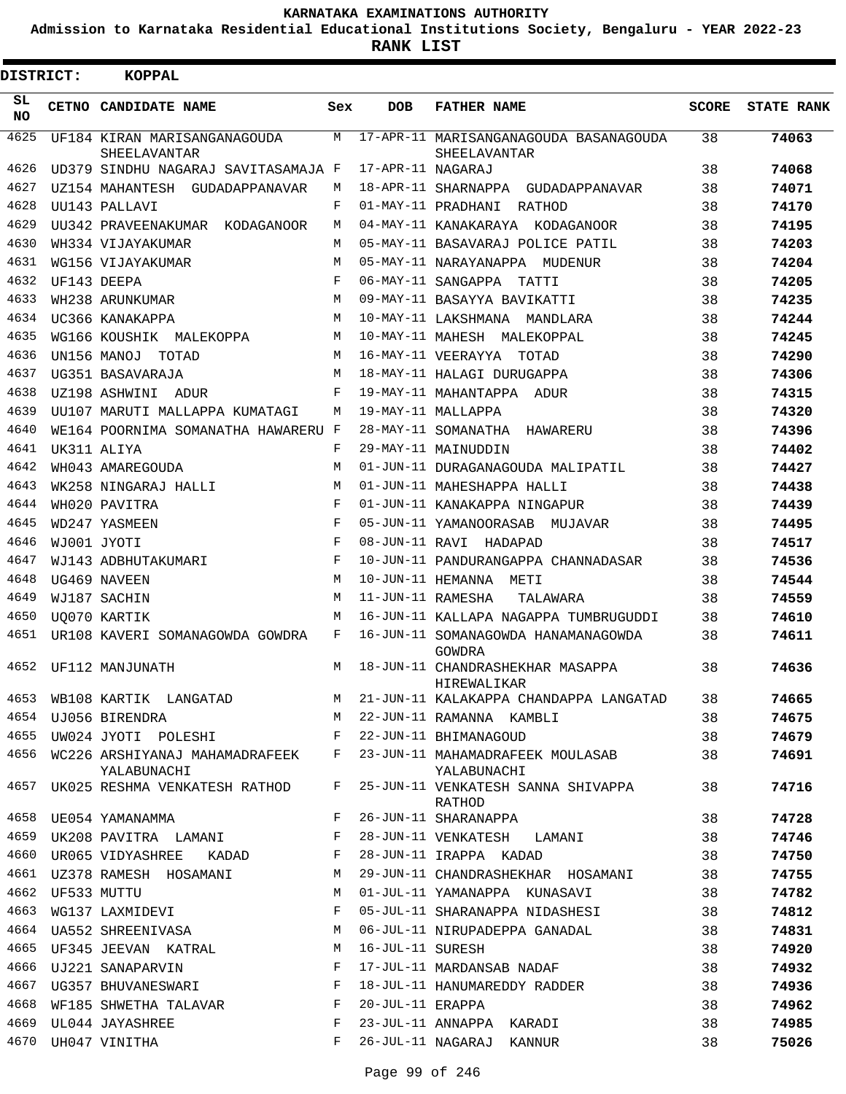**Admission to Karnataka Residential Educational Institutions Society, Bengaluru - YEAR 2022-23**

 $\blacksquare$ 

**RANK LIST**

| <b>DISTRICT:</b> |                  | <b>KOPPAL</b>                                                                                     |                 |                   |                                                                                       |          |                   |
|------------------|------------------|---------------------------------------------------------------------------------------------------|-----------------|-------------------|---------------------------------------------------------------------------------------|----------|-------------------|
| SL.<br>NO.       |                  | CETNO CANDIDATE NAME                                                                              | Sex             | <b>DOB</b>        | <b>FATHER NAME</b>                                                                    | SCORE    | <b>STATE RANK</b> |
| 4625             |                  | UF184 KIRAN MARISANGANAGOUDA<br><b>SHEELAVANTAR</b>                                               | М               |                   | 17-APR-11 MARISANGANAGOUDA BASANAGOUDA<br>SHEELAVANTAR                                | 38       | 74063             |
| 4626             |                  | UD379 SINDHU NAGARAJ SAVITASAMAJA F                                                               |                 | 17-APR-11 NAGARAJ |                                                                                       | 38       | 74068             |
| 4627             |                  | UZ154 MAHANTESH GUDADAPPANAVAR                                                                    | М               |                   | 18-APR-11 SHARNAPPA GUDADAPPANAVAR                                                    | 38       | 74071             |
| 4628             |                  | UU143 PALLAVI                                                                                     | F               |                   | 01-MAY-11 PRADHANI<br>RATHOD                                                          | 38       | 74170             |
| 4629             |                  | UU342 PRAVEENAKUMAR KODAGANOOR                                                                    | М               |                   | 04-MAY-11 KANAKARAYA KODAGANOOR                                                       | 38       | 74195             |
| 4630             |                  | WH334 VIJAYAKUMAR                                                                                 | М               |                   | 05-MAY-11 BASAVARAJ POLICE PATIL                                                      | 38       | 74203             |
| 4631             |                  | WG156 VIJAYAKUMAR                                                                                 | М               |                   | 05-MAY-11 NARAYANAPPA MUDENUR                                                         | 38       | 74204             |
| 4632             | UF143 DEEPA      |                                                                                                   | F               |                   | 06-MAY-11 SANGAPPA TATTI                                                              | 38       | 74205             |
| 4633             |                  | WH238 ARUNKUMAR                                                                                   | M               |                   | 09-MAY-11 BASAYYA BAVIKATTI                                                           | 38       | 74235             |
| 4634             |                  | UC366 KANAKAPPA                                                                                   | М               |                   | 10-MAY-11 LAKSHMANA MANDLARA                                                          | 38       | 74244             |
| 4635             |                  | WG166 KOUSHIK MALEKOPPA                                                                           | М               |                   | 10-MAY-11 MAHESH MALEKOPPAL                                                           | 38       | 74245             |
| 4636             |                  | UN156 MANOJ<br>TOTAD                                                                              | М               |                   | 16-MAY-11 VEERAYYA TOTAD                                                              | 38       | 74290             |
| 4637             |                  | UG351 BASAVARAJA                                                                                  | М               |                   | 18-MAY-11 HALAGI DURUGAPPA                                                            | 38       | 74306             |
| 4638             |                  | UZ198 ASHWINI<br>ADUR                                                                             | F               |                   | 19-MAY-11 MAHANTAPPA ADUR                                                             | 38       | 74315             |
| 4639             |                  | UU107 MARUTI MALLAPPA KUMATAGI                                                                    | M               |                   | 19-MAY-11 MALLAPPA                                                                    | 38       | 74320             |
| 4640             |                  | WE164 POORNIMA SOMANATHA HAWARERU F                                                               |                 |                   | 28-MAY-11 SOMANATHA HAWARERU                                                          | 38       | 74396             |
| 4641             |                  | UK311 ALIYA                                                                                       | F               |                   | 29-MAY-11 MAINUDDIN                                                                   | 38       | 74402             |
| 4642             |                  | WH043 AMAREGOUDA                                                                                  | M               |                   | 01-JUN-11 DURAGANAGOUDA MALIPATIL                                                     | 38       | 74427             |
| 4643             |                  | WK258 NINGARAJ HALLI                                                                              | M               |                   | 01-JUN-11 MAHESHAPPA HALLI                                                            | 38       | 74438             |
| 4644             |                  | WH020 PAVITRA                                                                                     | $_{\rm F}$      |                   | 01-JUN-11 KANAKAPPA NINGAPUR                                                          | 38       | 74439             |
| 4645             |                  | WD247 YASMEEN                                                                                     | F               |                   | 05-JUN-11 YAMANOORASAB MUJAVAR                                                        | 38       | 74495             |
| 4646<br>4647     |                  | WJ001 JYOTI                                                                                       | $_{\rm F}$<br>F |                   | 08-JUN-11 RAVI HADAPAD                                                                | 38       | 74517             |
| 4648             |                  | WJ143 ADBHUTAKUMARI                                                                               | M               |                   | 10-JUN-11 PANDURANGAPPA CHANNADASAR                                                   | 38       | 74536             |
| 4649             |                  | UG469 NAVEEN                                                                                      | M               | 11-JUN-11 RAMESHA | 10-JUN-11 HEMANNA METI                                                                | 38       | 74544             |
| 4650             |                  | WJ187 SACHIN<br><b>UO070 KARTIK</b>                                                               | М               |                   | TALAWARA<br>16-JUN-11 KALLAPA NAGAPPA TUMBRUGUDDI                                     | 38<br>38 | 74559<br>74610    |
| 4651             |                  | UR108 KAVERI SOMANAGOWDA GOWDRA                                                                   | F               |                   | 16-JUN-11 SOMANAGOWDA HANAMANAGOWDA                                                   | 38       | 74611             |
|                  |                  |                                                                                                   |                 |                   | GOWDRA                                                                                |          |                   |
| 4652             |                  | UF112 MANJUNATH                                                                                   | М               |                   | 18-JUN-11 CHANDRASHEKHAR MASAPPA<br>HIREWALIKAR                                       | 38       | 74636             |
|                  |                  | 4653 WB108 KARTIK LANGATAD                                                                        |                 |                   | M 21-JUN-11 KALAKAPPA CHANDAPPA LANGATAD 38                                           |          | 74665             |
|                  |                  | 4654 UJ056 BIRENDRA                                                                               |                 |                   | M 22-JUN-11 RAMANNA KAMBLI                                                            | 38       | 74675             |
|                  |                  | 4655 UW024 JYOTI POLESHI BHIMANAGOUD                                                              |                 |                   |                                                                                       | 38       | 74679             |
|                  |                  | YALABUNACHI                                                                                       |                 |                   | 4656 WC226 ARSHIYANAJ MAHAMADRAFEEK F 23-JUN-11 MAHAMADRAFEEK MOULASAB<br>YALABUNACHI | 38       | 74691             |
|                  |                  | 4657 UK025 RESHMA VENKATESH RATHOD                                                                |                 |                   | F 25-JUN-11 VENKATESH SANNA SHIVAPPA<br>RATHOD                                        | 38       | 74716             |
|                  |                  | 4658 UE054 YAMANAMMA                                                                              | $F$ and         |                   | 26-JUN-11 SHARANAPPA                                                                  | 38       | 74728             |
|                  |                  |                                                                                                   |                 |                   | 4659 UK208 PAVITRA LAMANI     F 28-JUN-11 VENKATESH LAMANI                            | 38       | 74746             |
|                  |                  | 4660 UR065 VIDYASHREE KADAD F                                                                     |                 |                   | 28-JUN-11 IRAPPA KADAD                                                                | 38       | 74750             |
|                  |                  | 4661 UZ378 RAMESH HOSAMANI M                                                                      |                 |                   | 29-JUN-11 CHANDRASHEKHAR HOSAMANI                                                     | 38       | 74755             |
|                  | 4662 UF533 MUTTU |                                                                                                   | M               |                   | 01-JUL-11 YAMANAPPA KUNASAVI                                                          | 38       | 74782             |
| 4663             |                  |                                                                                                   |                 |                   | WG137 LAXMIDEVI F 05-JUL-11 SHARANAPPA NIDASHESI                                      | 38       | 74812             |
|                  |                  |                                                                                                   |                 |                   | 4664 UA552 SHREENIVASA M 06-JUL-11 NIRUPADEPPA GANADAL                                | 38       | 74831             |
|                  |                  | 4665 UF345 JEEVAN KATRAL M 16-JUL-11 SURESH                                                       |                 |                   |                                                                                       | 38       | 74920             |
|                  |                  | 4666 UJ221 SANAPARVIN                                                                             |                 |                   | F 17-JUL-11 MARDANSAB NADAF                                                           | 38       | 74932             |
|                  |                  | 4667 UG357 BHUVANESWARI F                                                                         |                 |                   | 18-JUL-11 HANUMAREDDY RADDER                                                          | 38       | 74936             |
| 4668             |                  | WF185 SHWETHA TALAVAR F<br>4669 UL044 JAYASHREE<br>$\mathbf{F}$ and $\mathbf{F}$ and $\mathbf{F}$ |                 | 20-JUL-11 ERAPPA  | 23-JUL-11 ANNAPPA KARADI                                                              | 38<br>38 | 74962<br>74985    |
|                  |                  | 4670 UH047 VINITHA                                                                                | F               |                   | 26-JUL-11 NAGARAJ KANNUR                                                              | 38       | 75026             |
|                  |                  |                                                                                                   |                 |                   |                                                                                       |          |                   |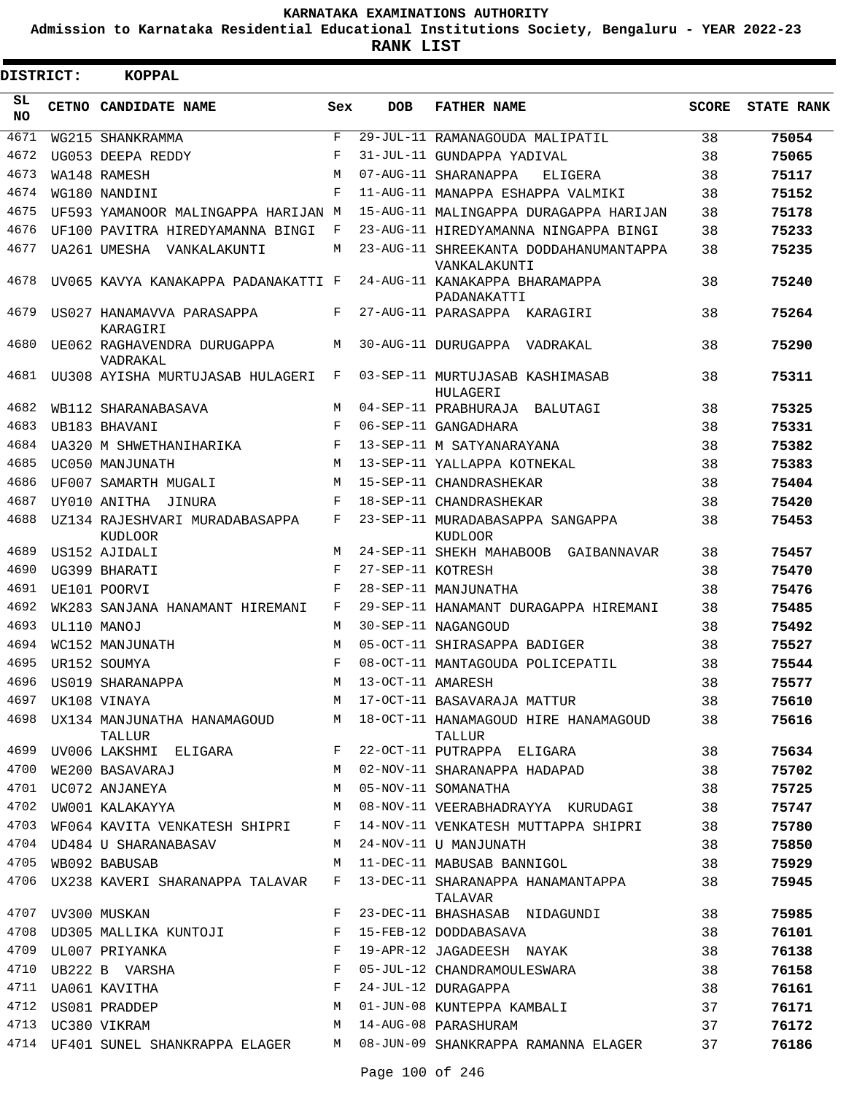**Admission to Karnataka Residential Educational Institutions Society, Bengaluru - YEAR 2022-23**

| <b>DISTRICT:</b> | <b>KOPPAL</b>                             |              |                   |                                                        |              |                   |
|------------------|-------------------------------------------|--------------|-------------------|--------------------------------------------------------|--------------|-------------------|
| SL<br><b>NO</b>  | CETNO CANDIDATE NAME                      | Sex          | <b>DOB</b>        | <b>FATHER NAME</b>                                     | <b>SCORE</b> | <b>STATE RANK</b> |
| 4671             | WG215 SHANKRAMMA                          | $\mathbf{F}$ |                   | 29-JUL-11 RAMANAGOUDA MALIPATIL                        | 38           | 75054             |
| 4672             | UG053 DEEPA REDDY                         | F            |                   | 31-JUL-11 GUNDAPPA YADIVAL                             | 38           | 75065             |
| 4673             | WA148 RAMESH                              | М            |                   | 07-AUG-11 SHARANAPPA<br>ELIGERA                        | 38           | 75117             |
| 4674             | WG180 NANDINI                             | $_{\rm F}$   |                   | 11-AUG-11 MANAPPA ESHAPPA VALMIKI                      | 38           | 75152             |
| 4675             | UF593 YAMANOOR MALINGAPPA HARIJAN M       |              |                   | 15-AUG-11 MALINGAPPA DURAGAPPA HARIJAN                 | 38           | 75178             |
| 4676             | UF100 PAVITRA HIREDYAMANNA BINGI          | F            |                   | 23-AUG-11 HIREDYAMANNA NINGAPPA BINGI                  | 38           | 75233             |
| 4677             | UA261 UMESHA VANKALAKUNTI                 | М            |                   | 23-AUG-11 SHREEKANTA DODDAHANUMANTAPPA<br>VANKALAKUNTI | 38           | 75235             |
| 4678             | UV065 KAVYA KANAKAPPA PADANAKATTI F       |              |                   | 24-AUG-11 KANAKAPPA BHARAMAPPA<br>PADANAKATTI          | 38           | 75240             |
| 4679             | US027 HANAMAVVA PARASAPPA<br>KARAGIRI     | F            |                   | 27-AUG-11 PARASAPPA KARAGIRI                           | 38           | 75264             |
| 4680             | UE062 RAGHAVENDRA DURUGAPPA<br>VADRAKAL   | М            |                   | 30-AUG-11 DURUGAPPA VADRAKAL                           | 38           | 75290             |
| 4681             | UU308 AYISHA MURTUJASAB HULAGERI          | F            |                   | 03-SEP-11 MURTUJASAB KASHIMASAB<br>HULAGERI            | 38           | 75311             |
| 4682             | WB112 SHARANABASAVA                       | M            |                   | 04-SEP-11 PRABHURAJA BALUTAGI                          | 38           | 75325             |
| 4683             | UB183 BHAVANI                             | F            |                   | 06-SEP-11 GANGADHARA                                   | 38           | 75331             |
| 4684             | UA320 M SHWETHANIHARIKA                   | $_{\rm F}$   |                   | 13-SEP-11 M SATYANARAYANA                              | 38           | 75382             |
| 4685             | UC050 MANJUNATH                           | М            |                   | 13-SEP-11 YALLAPPA KOTNEKAL                            | 38           | 75383             |
| 4686             | UF007 SAMARTH MUGALI                      | М            |                   | 15-SEP-11 CHANDRASHEKAR                                | 38           | 75404             |
| 4687             | UY010 ANITHA JINURA                       | F            |                   | 18-SEP-11 CHANDRASHEKAR                                | 38           | 75420             |
| 4688             | UZ134 RAJESHVARI MURADABASAPPA<br>KUDLOOR | F            |                   | 23-SEP-11 MURADABASAPPA SANGAPPA<br>KUDLOOR            | 38           | 75453             |
| 4689             | US152 AJIDALI                             | M            |                   | 24-SEP-11 SHEKH MAHABOOB GAIBANNAVAR                   | 38           | 75457             |
| 4690             | UG399 BHARATI                             | F            | 27-SEP-11 KOTRESH |                                                        | 38           | 75470             |
| 4691             | UE101 POORVI                              | F            |                   | 28-SEP-11 MANJUNATHA                                   | 38           | 75476             |
| 4692             | WK283 SANJANA HANAMANT HIREMANI           | F            |                   | 29-SEP-11 HANAMANT DURAGAPPA HIREMANI                  | 38           | 75485             |
| 4693             | UL110 MANOJ                               | M            |                   | 30-SEP-11 NAGANGOUD                                    | 38           | 75492             |
| 4694             | WC152 MANJUNATH                           | M            |                   | 05-OCT-11 SHIRASAPPA BADIGER                           | 38           | 75527             |
| 4695             | UR152 SOUMYA                              | F            |                   | 08-OCT-11 MANTAGOUDA POLICEPATIL                       | 38           | 75544             |
| 4696             | US019 SHARANAPPA                          | M            | 13-OCT-11 AMARESH |                                                        | 38           | 75577             |
| 4697             | UK108 VINAYA                              | М            |                   | 17-OCT-11 BASAVARAJA MATTUR                            | 38           | 75610             |
| 4698             | UX134 MANJUNATHA HANAMAGOUD<br>TALLUR     | M            |                   | 18-OCT-11 HANAMAGOUD HIRE HANAMAGOUD<br>TALLUR         | 38           | 75616             |
| 4699             | UV006 LAKSHMI ELIGARA                     | F            |                   | 22-OCT-11 PUTRAPPA ELIGARA                             | 38           | 75634             |
| 4700             | WE200 BASAVARAJ                           | М            |                   | 02-NOV-11 SHARANAPPA HADAPAD                           | 38           | 75702             |
| 4701             | UC072 ANJANEYA                            | M            |                   | 05-NOV-11 SOMANATHA                                    | 38           | 75725             |
| 4702             | UW001 KALAKAYYA                           | M            |                   | 08-NOV-11 VEERABHADRAYYA KURUDAGI                      | 38           | 75747             |
| 4703             | WF064 KAVITA VENKATESH SHIPRI             | F            |                   | 14-NOV-11 VENKATESH MUTTAPPA SHIPRI                    | 38           | 75780             |
| 4704             | UD484 U SHARANABASAV                      | М            |                   | 24-NOV-11 U MANJUNATH                                  | 38           | 75850             |
| 4705             | WB092 BABUSAB                             | М            |                   | 11-DEC-11 MABUSAB BANNIGOL                             | 38           | 75929             |
| 4706             | UX238 KAVERI SHARANAPPA TALAVAR           | F            |                   | 13-DEC-11 SHARANAPPA HANAMANTAPPA<br>TALAVAR           | 38           | 75945             |
| 4707             | UV300 MUSKAN                              | F            |                   | 23-DEC-11 BHASHASAB NIDAGUNDI                          | 38           | 75985             |
| 4708             | UD305 MALLIKA KUNTOJI                     | F            |                   | 15-FEB-12 DODDABASAVA                                  | 38           | 76101             |
| 4709             | UL007 PRIYANKA                            | F            |                   | 19-APR-12 JAGADEESH NAYAK                              | 38           | 76138             |
| 4710             | UB222 B VARSHA                            | F            |                   | 05-JUL-12 CHANDRAMOULESWARA                            | 38           | 76158             |
| 4711             | UA061 KAVITHA                             | F            |                   | 24-JUL-12 DURAGAPPA                                    | 38           | 76161             |
|                  | 4712 US081 PRADDEP                        | М            |                   | 01-JUN-08 KUNTEPPA KAMBALI                             | 37           | 76171             |
| 4713             | UC380 VIKRAM                              | М            |                   | 14-AUG-08 PARASHURAM                                   | 37           | 76172             |
|                  | 4714 UF401 SUNEL SHANKRAPPA ELAGER        | M            |                   | 08-JUN-09 SHANKRAPPA RAMANNA ELAGER                    | 37           | 76186             |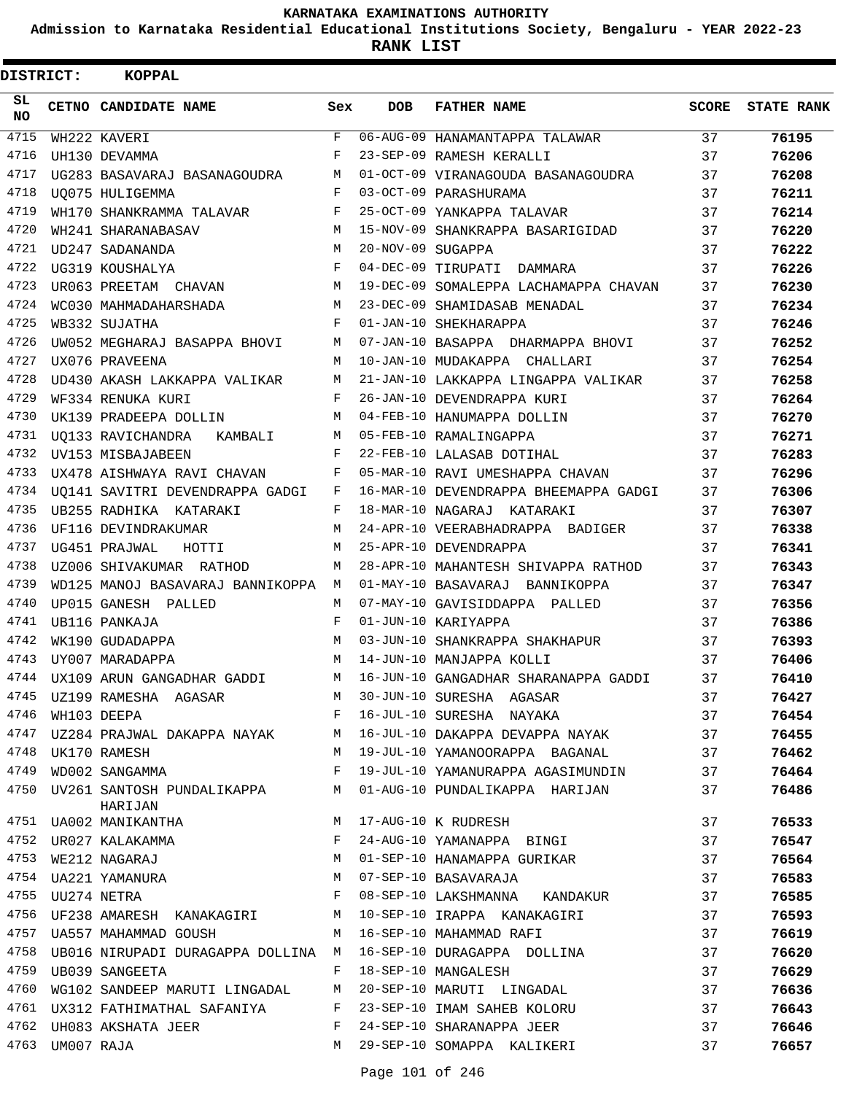**Admission to Karnataka Residential Educational Institutions Society, Bengaluru - YEAR 2022-23**

| DISTRICT: |                 | <b>KOPPAL</b>                                                            |              |                   |                                                                   |              |                   |
|-----------|-----------------|--------------------------------------------------------------------------|--------------|-------------------|-------------------------------------------------------------------|--------------|-------------------|
| SL<br>NO. |                 | CETNO CANDIDATE NAME                                                     | Sex          | <b>DOB</b>        | <b>FATHER NAME</b>                                                | <b>SCORE</b> | <b>STATE RANK</b> |
| 4715      |                 | WH222 KAVERI                                                             | $\mathbf{F}$ |                   | 06-AUG-09 HANAMANTAPPA TALAWAR                                    | 37           | 76195             |
| 4716      |                 | UH130 DEVAMMA                                                            | F            |                   | 23-SEP-09 RAMESH KERALLI                                          | 37           | 76206             |
| 4717      |                 | UG283 BASAVARAJ BASANAGOUDRA                                             | М            |                   | 01-OCT-09 VIRANAGOUDA BASANAGOUDRA                                | 37           | 76208             |
| 4718      |                 | UO075 HULIGEMMA                                                          | F            |                   | 03-OCT-09 PARASHURAMA                                             | 37           | 76211             |
| 4719      |                 | WH170 SHANKRAMMA TALAVAR                                                 | F            |                   | 25-OCT-09 YANKAPPA TALAVAR                                        | 37           | 76214             |
| 4720      |                 | WH241 SHARANABASAV                                                       | М            |                   | 15-NOV-09 SHANKRAPPA BASARIGIDAD                                  | 37           | 76220             |
| 4721      |                 | UD247 SADANANDA                                                          | M            | 20-NOV-09 SUGAPPA |                                                                   | 37           | 76222             |
| 4722      |                 | UG319 KOUSHALYA                                                          | F            |                   | 04-DEC-09 TIRUPATI DAMMARA                                        | 37           | 76226             |
| 4723      |                 | UR063 PREETAM CHAVAN                                                     | M            |                   | 19-DEC-09 SOMALEPPA LACHAMAPPA CHAVAN                             | 37           | 76230             |
| 4724      |                 | WC030 MAHMADAHARSHADA                                                    | М            |                   | 23-DEC-09 SHAMIDASAB MENADAL                                      | 37           | 76234             |
| 4725      |                 | WB332 SUJATHA                                                            | F            |                   | 01-JAN-10 SHEKHARAPPA                                             | 37           | 76246             |
| 4726      |                 | UW052 MEGHARAJ BASAPPA BHOVI                                             | M            |                   | 07-JAN-10 BASAPPA DHARMAPPA BHOVI                                 | 37           | 76252             |
| 4727      |                 | UX076 PRAVEENA                                                           | M            |                   | 10-JAN-10 MUDAKAPPA CHALLARI                                      | 37           | 76254             |
| 4728      |                 | UD430 AKASH LAKKAPPA VALIKAR                                             | М            |                   | 21-JAN-10 LAKKAPPA LINGAPPA VALIKAR                               | 37           | 76258             |
| 4729      |                 | WF334 RENUKA KURI                                                        | F            |                   | 26-JAN-10 DEVENDRAPPA KURI                                        | 37           | 76264             |
| 4730      |                 | UK139 PRADEEPA DOLLIN                                                    | М            |                   | 04-FEB-10 HANUMAPPA DOLLIN                                        | 37           | 76270             |
| 4731      |                 | UO133 RAVICHANDRA KAMBALI                                                | M            |                   | 05-FEB-10 RAMALINGAPPA                                            | 37           | 76271             |
| 4732      |                 | UV153 MISBAJABEEN                                                        | F            |                   | 22-FEB-10 LALASAB DOTIHAL                                         | 37           | 76283             |
| 4733      |                 | UX478 AISHWAYA RAVI CHAVAN                                               | F            |                   | 05-MAR-10 RAVI UMESHAPPA CHAVAN                                   | 37           | 76296             |
| 4734      |                 | UO141 SAVITRI DEVENDRAPPA GADGI                                          | F            |                   | 16-MAR-10 DEVENDRAPPA BHEEMAPPA GADGI                             | 37           | 76306             |
| 4735      |                 | UB255 RADHIKA KATARAKI                                                   | F            |                   | 18-MAR-10 NAGARAJ KATARAKI                                        | 37           | 76307             |
| 4736      |                 | UF116 DEVINDRAKUMAR                                                      | М            |                   | 24-APR-10 VEERABHADRAPPA BADIGER                                  | 37           | 76338             |
| 4737      |                 | UG451 PRAJWAL<br>HOTTI                                                   | M            |                   | 25-APR-10 DEVENDRAPPA                                             | 37           | 76341             |
| 4738      |                 | UZ006 SHIVAKUMAR RATHOD                                                  | М            |                   | 28-APR-10 MAHANTESH SHIVAPPA RATHOD                               | 37           | 76343             |
| 4739      |                 | WD125 MANOJ BASAVARAJ BANNIKOPPA M                                       |              |                   | 01-MAY-10 BASAVARAJ BANNIKOPPA                                    | 37           | 76347             |
| 4740      |                 | UP015 GANESH PALLED                                                      | M            |                   | 07-MAY-10 GAVISIDDAPPA PALLED                                     | 37           | 76356             |
| 4741      |                 | UB116 PANKAJA                                                            | F            |                   | 01-JUN-10 KARIYAPPA                                               | 37           | 76386             |
| 4742      |                 | WK190 GUDADAPPA                                                          | М            |                   | 03-JUN-10 SHANKRAPPA SHAKHAPUR                                    | 37           | 76393             |
| 4743      |                 | UY007 MARADAPPA                                                          | M            |                   | 14-JUN-10 MANJAPPA KOLLI                                          | 37           | 76406             |
| 4744      |                 | UX109 ARUN GANGADHAR GADDI                                               |              |                   | M 16-JUN-10 GANGADHAR SHARANAPPA GADDI                            | 37           | 76410             |
|           |                 | 4745 UZ199 RAMESHA AGASAR                                                | M            |                   | 30-JUN-10 SURESHA AGASAR                                          | 37           | 76427             |
| 4746      |                 | WH103 DEEPA<br>$\mathbf{F}$ and the set of $\mathbf{F}$ and $\mathbf{F}$ |              |                   | 16-JUL-10 SURESHA NAYAKA                                          | 37           | 76454             |
| 4747      |                 |                                                                          |              |                   | UZ284 PRAJWAL DAKAPPA NAYAK MARA MARAJUL-10 DAKAPPA DEVAPPA NAYAK | 37           | 76455             |
|           |                 | 4748 UK170 RAMESH                                                        | M            |                   | 19-JUL-10 YAMANOORAPPA BAGANAL                                    | 37           | 76462             |
| 4749      |                 | WD002 SANGAMMA                                                           | F            |                   | 19-JUL-10 YAMANURAPPA AGASIMUNDIN 37                              |              | 76464             |
| 4750      |                 | UV261 SANTOSH PUNDALIKAPPA<br>HARIJAN                                    | M            |                   | 01-AUG-10 PUNDALIKAPPA HARIJAN                                    | 37           | 76486             |
|           |                 | 4751 UA002 MANIKANTHA                                                    | M            |                   | 17-AUG-10 K RUDRESH                                               | 37           | 76533             |
| 4752      |                 | UR027 KALAKAMMA                                                          | F            |                   | 24-AUG-10 YAMANAPPA BINGI                                         | 37           | 76547             |
| 4753      |                 | WE212 NAGARAJ                                                            | M            |                   | 01-SEP-10 HANAMAPPA GURIKAR                                       | 37           | 76564             |
|           |                 | 4754 UA221 YAMANURA<br>4755 UU274 NETRA                                  | М            |                   | 07-SEP-10 BASAVARAJA                                              | 37           | 76583             |
|           |                 |                                                                          | F            |                   | 08-SEP-10 LAKSHMANNA KANDAKUR                                     | 37           | 76585             |
|           |                 | 4756 UF238 AMARESH KANAKAGIRI                                            | M            |                   | 10-SEP-10 IRAPPA KANAKAGIRI                                       | 37           | 76593             |
| 4757      |                 | UA557 MAHAMMAD GOUSH                                                     | M            |                   | 16-SEP-10 MAHAMMAD RAFI                                           | 37           | 76619             |
|           |                 | 4758 UB016 NIRUPADI DURAGAPPA DOLLINA M                                  |              |                   | 16-SEP-10 DURAGAPPA DOLLINA                                       | 37           | 76620             |
| 4759      |                 | UB039 SANGEETA                                                           | F            |                   | 18-SEP-10 MANGALESH                                               | 37           | 76629             |
| 4760      |                 | WG102 SANDEEP MARUTI LINGADAL                                            | М            |                   | 20-SEP-10 MARUTI LINGADAL                                         | 37           | 76636             |
| 4761      |                 | UX312 FATHIMATHAL SAFANIYA                                               | F            |                   | 23-SEP-10 IMAM SAHEB KOLORU                                       | 37           | 76643             |
|           |                 | 4762 UH083 AKSHATA JEER                                                  | F            |                   | 24-SEP-10 SHARANAPPA JEER                                         | 37           | 76646             |
|           | 4763 UM007 RAJA |                                                                          | M            |                   | 29-SEP-10 SOMAPPA KALIKERI                                        | 37           | 76657             |
|           |                 |                                                                          |              |                   |                                                                   |              |                   |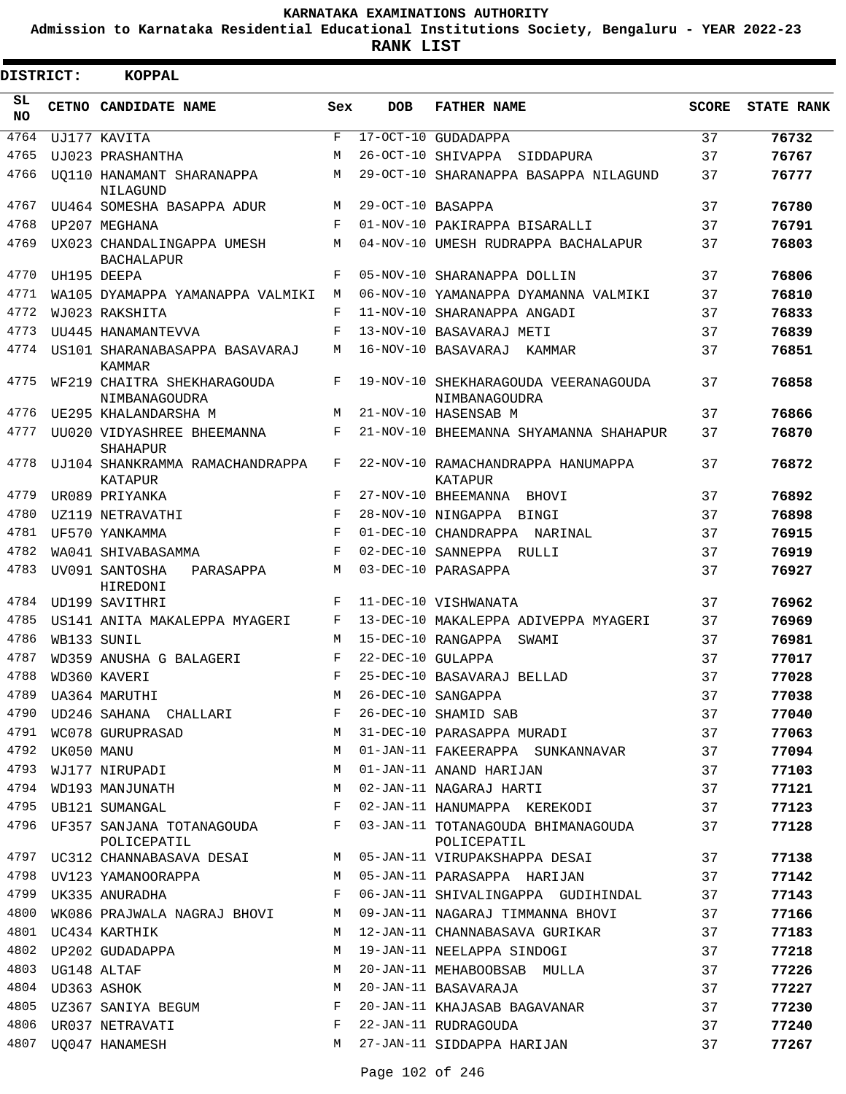**Admission to Karnataka Residential Educational Institutions Society, Bengaluru - YEAR 2022-23**

**RANK LIST**

| <b>DISTRICT:</b> |            | <b>KOPPAL</b>                                   |            |                   |                                                       |              |                   |
|------------------|------------|-------------------------------------------------|------------|-------------------|-------------------------------------------------------|--------------|-------------------|
| SL<br><b>NO</b>  |            | CETNO CANDIDATE NAME                            | Sex        | <b>DOB</b>        | <b>FATHER NAME</b>                                    | <b>SCORE</b> | <b>STATE RANK</b> |
| 4764             |            | UJ177 KAVITA                                    | F          |                   | 17-OCT-10 GUDADAPPA                                   | 37           | 76732             |
| 4765             |            | UJ023 PRASHANTHA                                | M          |                   | 26-OCT-10 SHIVAPPA<br>SIDDAPURA                       | 37           | 76767             |
| 4766             |            | UO110 HANAMANT SHARANAPPA<br>NILAGUND           | M          |                   | 29-OCT-10 SHARANAPPA BASAPPA NILAGUND                 | 37           | 76777             |
| 4767             |            | UU464 SOMESHA BASAPPA ADUR                      | M          | 29-OCT-10 BASAPPA |                                                       | 37           | 76780             |
| 4768             |            | UP207 MEGHANA                                   | F          |                   | 01-NOV-10 PAKIRAPPA BISARALLI                         | 37           | 76791             |
| 4769             |            | UX023 CHANDALINGAPPA UMESH<br><b>BACHALAPUR</b> | М          |                   | 04-NOV-10 UMESH RUDRAPPA BACHALAPUR                   | 37           | 76803             |
| 4770             |            | UH195 DEEPA                                     | F          |                   | 05-NOV-10 SHARANAPPA DOLLIN                           | 37           | 76806             |
| 4771             |            | WA105 DYAMAPPA YAMANAPPA VALMIKI                | M          |                   | 06-NOV-10 YAMANAPPA DYAMANNA VALMIKI                  | 37           | 76810             |
| 4772             |            | WJ023 RAKSHITA                                  | F          |                   | 11-NOV-10 SHARANAPPA ANGADI                           | 37           | 76833             |
| 4773             |            | UU445 HANAMANTEVVA                              | F          |                   | 13-NOV-10 BASAVARAJ METI                              | 37           | 76839             |
| 4774             |            | US101 SHARANABASAPPA BASAVARAJ<br><b>KAMMAR</b> | М          |                   | 16-NOV-10 BASAVARAJ<br>KAMMAR                         | 37           | 76851             |
| 4775             |            | WF219 CHAITRA SHEKHARAGOUDA<br>NIMBANAGOUDRA    | F          |                   | 19-NOV-10 SHEKHARAGOUDA VEERANAGOUDA<br>NIMBANAGOUDRA | 37           | 76858             |
| 4776             |            | UE295 KHALANDARSHA M                            | М          |                   | 21-NOV-10 HASENSAB M                                  | 37           | 76866             |
| 4777             |            | UU020 VIDYASHREE BHEEMANNA<br><b>SHAHAPUR</b>   | F          |                   | 21-NOV-10 BHEEMANNA SHYAMANNA SHAHAPUR                | 37           | 76870             |
| 4778             |            | UJ104 SHANKRAMMA RAMACHANDRAPPA<br>KATAPUR      | F          |                   | 22-NOV-10 RAMACHANDRAPPA HANUMAPPA<br>KATAPUR         | 37           | 76872             |
| 4779             |            | UR089 PRIYANKA                                  | F          |                   | 27-NOV-10 BHEEMANNA BHOVI                             | 37           | 76892             |
| 4780             |            | UZ119 NETRAVATHI                                | $_{\rm F}$ |                   | 28-NOV-10 NINGAPPA BINGI                              | 37           | 76898             |
| 4781             |            | UF570 YANKAMMA                                  | $_{\rm F}$ |                   | 01-DEC-10 CHANDRAPPA NARINAL                          | 37           | 76915             |
| 4782             |            | WA041 SHIVABASAMMA                              | $_{\rm F}$ |                   | 02-DEC-10 SANNEPPA RULLI                              | 37           | 76919             |
| 4783             |            | UV091 SANTOSHA<br>PARASAPPA<br>HIREDONI         | M          |                   | 03-DEC-10 PARASAPPA                                   | 37           | 76927             |
| 4784             |            | UD199 SAVITHRI                                  | F          |                   | 11-DEC-10 VISHWANATA                                  | 37           | 76962             |
| 4785             |            | US141 ANITA MAKALEPPA MYAGERI                   | F          |                   | 13-DEC-10 MAKALEPPA ADIVEPPA MYAGERI                  | 37           | 76969             |
| 4786             |            | WB133 SUNIL                                     | M          |                   | 15-DEC-10 RANGAPPA<br>SWAMI                           | 37           | 76981             |
| 4787             |            | WD359 ANUSHA G BALAGERI                         | F          | 22-DEC-10 GULAPPA |                                                       | 37           | 77017             |
| 4788             |            | WD360 KAVERI                                    | F          |                   | 25-DEC-10 BASAVARAJ BELLAD                            | 37           | 77028             |
| 4789             |            | UA364 MARUTHI                                   | М          |                   | 26-DEC-10 SANGAPPA                                    | 37           | 77038             |
| 4790             |            | UD246 SAHANA CHALLARI                           | F          |                   | 26-DEC-10 SHAMID SAB                                  | 37           | 77040             |
| 4791             |            | WC078 GURUPRASAD                                | М          |                   | 31-DEC-10 PARASAPPA MURADI                            | 37           | 77063             |
| 4792             | UK050 MANU |                                                 | M          |                   | 01-JAN-11 FAKEERAPPA SUNKANNAVAR                      | 37           | 77094             |
| 4793             |            | WJ177 NIRUPADI                                  | М          |                   | 01-JAN-11 ANAND HARIJAN                               | 37           | 77103             |
| 4794             |            | WD193 MANJUNATH                                 | М          |                   | 02-JAN-11 NAGARAJ HARTI                               | 37           | 77121             |
| 4795             |            | UB121 SUMANGAL                                  | F          |                   | 02-JAN-11 HANUMAPPA KEREKODI                          | 37           | 77123             |
| 4796             |            | UF357 SANJANA TOTANAGOUDA<br>POLICEPATIL        | F          |                   | 03-JAN-11 TOTANAGOUDA BHIMANAGOUDA<br>POLICEPATIL     | 37           | 77128             |
| 4797             |            | UC312 CHANNABASAVA DESAI                        | M          |                   | 05-JAN-11 VIRUPAKSHAPPA DESAI                         | 37           | 77138             |
|                  |            | 4798 UV123 YAMANOORAPPA                         | M          |                   | 05-JAN-11 PARASAPPA HARIJAN                           | 37           | 77142             |
| 4799             |            | UK335 ANURADHA                                  | F          |                   | 06-JAN-11 SHIVALINGAPPA GUDIHINDAL                    | 37           | 77143             |
| 4800             |            | WK086 PRAJWALA NAGRAJ BHOVI                     | M          |                   | 09-JAN-11 NAGARAJ TIMMANNA BHOVI                      | 37           | 77166             |
| 4801             |            | UC434 KARTHIK                                   | M          |                   | 12-JAN-11 CHANNABASAVA GURIKAR                        | 37           | 77183             |
|                  |            | 4802 UP202 GUDADAPPA                            | M          |                   | 19-JAN-11 NEELAPPA SINDOGI                            | 37           | 77218             |
| 4803             |            | UG148 ALTAF                                     | M          |                   | 20-JAN-11 MEHABOOBSAB MULLA                           | 37           | 77226             |
| 4804             |            | UD363 ASHOK                                     | M          |                   | 20-JAN-11 BASAVARAJA                                  | 37           | 77227             |
| 4805             |            | UZ367 SANIYA BEGUM                              | F          |                   | 20-JAN-11 KHAJASAB BAGAVANAR                          | 37           | 77230             |
|                  |            | 4806 UR037 NETRAVATI                            | F          |                   | 22-JAN-11 RUDRAGOUDA                                  | 37           | 77240             |
| 4807             |            | UQ047 HANAMESH                                  | M          |                   | 27-JAN-11 SIDDAPPA HARIJAN                            | 37           | 77267             |
|                  |            |                                                 |            |                   |                                                       |              |                   |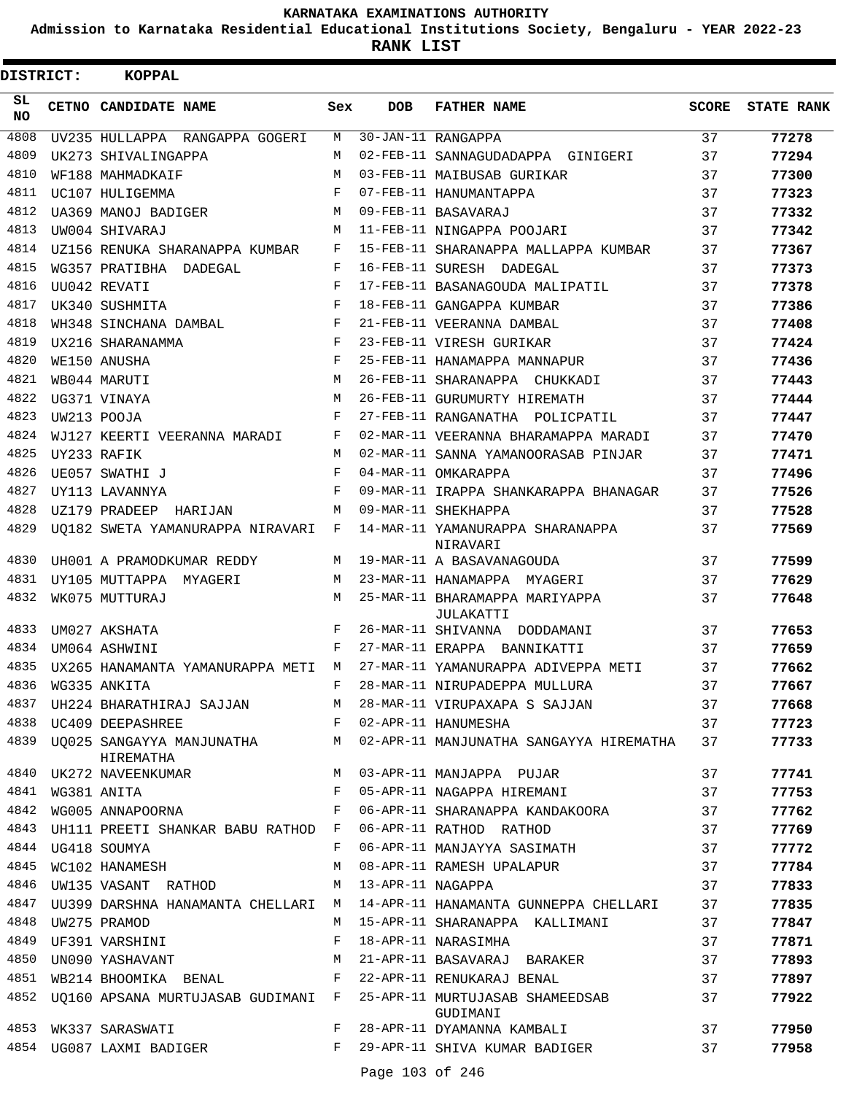**Admission to Karnataka Residential Educational Institutions Society, Bengaluru - YEAR 2022-23**

**RANK LIST**

| DISTRICT:       | <b>KOPPAL</b>                                              |         |                     |                                                                                |              |                   |
|-----------------|------------------------------------------------------------|---------|---------------------|--------------------------------------------------------------------------------|--------------|-------------------|
| SL<br><b>NO</b> | CETNO CANDIDATE NAME                                       | Sex     | <b>DOB</b>          | <b>FATHER NAME</b>                                                             | <b>SCORE</b> | <b>STATE RANK</b> |
| 4808            | UV235 HULLAPPA RANGAPPA GOGERI                             | М       |                     | 30-JAN-11 RANGAPPA                                                             | 37           | 77278             |
| 4809            | UK273 SHIVALINGAPPA                                        | M       |                     | 02-FEB-11 SANNAGUDADAPPA GINIGERI                                              | 37           | 77294             |
| 4810            | WF188 MAHMADKAIF                                           | M       |                     | 03-FEB-11 MAIBUSAB GURIKAR                                                     | 37           | 77300             |
| 4811            | UC107 HULIGEMMA                                            | F       |                     | 07-FEB-11 HANUMANTAPPA                                                         | 37           | 77323             |
| 4812            | UA369 MANOJ BADIGER                                        | M       |                     | 09-FEB-11 BASAVARAJ                                                            | 37           | 77332             |
| 4813            | UW004 SHIVARAJ                                             | M       |                     | 11-FEB-11 NINGAPPA POOJARI                                                     | 37           | 77342             |
| 4814            | UZ156 RENUKA SHARANAPPA KUMBAR                             | F       |                     | 15-FEB-11 SHARANAPPA MALLAPPA KUMBAR                                           | 37           | 77367             |
| 4815            | WG357 PRATIBHA DADEGAL                                     | F       |                     | 16-FEB-11 SURESH DADEGAL                                                       | 37           | 77373             |
| 4816            | UU042 REVATI                                               | F       |                     | 17-FEB-11 BASANAGOUDA MALIPATIL                                                | 37           | 77378             |
| 4817            | UK340 SUSHMITA                                             | F       |                     | 18-FEB-11 GANGAPPA KUMBAR                                                      | 37           | 77386             |
| 4818            | WH348 SINCHANA DAMBAL                                      | F       |                     | 21-FEB-11 VEERANNA DAMBAL                                                      | 37           | 77408             |
| 4819            | UX216 SHARANAMMA                                           | F       |                     | 23-FEB-11 VIRESH GURIKAR                                                       | 37           | 77424             |
| 4820            | WE150 ANUSHA                                               | F       |                     | 25-FEB-11 HANAMAPPA MANNAPUR                                                   | 37           | 77436             |
| 4821            | WB044 MARUTI                                               | M       |                     | 26-FEB-11 SHARANAPPA CHUKKADI                                                  | 37           | 77443             |
| 4822            | UG371 VINAYA                                               | M       |                     | 26-FEB-11 GURUMURTY HIREMATH                                                   | 37           | 77444             |
| 4823            | UW213 POOJA                                                | F       |                     | 27-FEB-11 RANGANATHA POLICPATIL                                                | 37           | 77447             |
| 4824            | WJ127 KEERTI VEERANNA MARADI                               | F       |                     | 02-MAR-11 VEERANNA BHARAMAPPA MARADI                                           | 37           | 77470             |
| 4825            | UY233 RAFIK                                                | M       |                     | 02-MAR-11 SANNA YAMANOORASAB PINJAR                                            | 37           | 77471             |
| 4826            | UE057 SWATHI J                                             | F       |                     | 04-MAR-11 OMKARAPPA                                                            | 37           | 77496             |
| 4827            | UY113 LAVANNYA                                             | F       |                     | 09-MAR-11 IRAPPA SHANKARAPPA BHANAGAR                                          | 37           | 77526             |
| 4828            | UZ179 PRADEEP HARIJAN                                      | M       |                     | 09-MAR-11 SHEKHAPPA                                                            | 37           | 77528             |
| 4829            | UQ182 SWETA YAMANURAPPA NIRAVARI                           | F       |                     | 14-MAR-11 YAMANURAPPA SHARANAPPA<br>NIRAVARI                                   | 37           | 77569             |
| 4830            | UH001 A PRAMODKUMAR REDDY                                  | M       |                     | 19-MAR-11 A BASAVANAGOUDA                                                      | 37           | 77599             |
| 4831            | UY105 MUTTAPPA MYAGERI                                     | M       |                     | 23-MAR-11 HANAMAPPA MYAGERI                                                    | 37           | 77629             |
| 4832            | WK075 MUTTURAJ                                             | М       |                     | 25-MAR-11 BHARAMAPPA MARIYAPPA<br>JULAKATTI                                    | 37           | 77648             |
| 4833            | UM027 AKSHATA                                              | F       |                     | 26-MAR-11 SHIVANNA DODDAMANI                                                   | 37           | 77653             |
| 4834            | UM064 ASHWINI                                              | F       |                     | 27-MAR-11 ERAPPA BANNIKATTI                                                    | 37           | 77659             |
| 4835            | UX265 HANAMANTA YAMANURAPPA METI M                         |         |                     | 27-MAR-11 YAMANURAPPA ADIVEPPA METI                                            | 37           | 77662             |
|                 | 4836 WG335 ANKITA                                          | $F =$   |                     | 28-MAR-11 NIRUPADEPPA MULLURA                                                  | 37           | 77667             |
|                 |                                                            |         |                     | 4837 UH224 BHARATHIRAJ SAJJAN M 28-MAR-11 VIRUPAXAPA S SAJJAN                  | 37           | 77668             |
|                 | F 02-APR-11 HANUMESHA<br>4838 UC409 DEEPASHREE             |         |                     |                                                                                | 37           | 77723             |
| 4839            | HIREMATHA                                                  |         |                     | UQ025 SANGAYYA MANJUNATHA MARI 22-APR-11 MANJUNATHA SANGAYYA HIREMATHA         | 37           | 77733             |
|                 |                                                            |         |                     | 4840 UK272 NAVEENKUMAR M 03-APR-11 MANJAPPA PUJAR                              | 37           | 77741             |
| 4841            | WG381 ANITA                                                |         |                     | F 05-APR-11 NAGAPPA HIREMANI                                                   | 37           | 77753             |
| 4842            |                                                            |         |                     |                                                                                | 37           | 77762             |
| 4843            | UH111 PREETI SHANKAR BABU RATHOD F 06-APR-11 RATHOD RATHOD |         |                     |                                                                                | 37           | 77769             |
| 4844            | UG418 SOUMYA                                               | F       |                     | 06-APR-11 MANJAYYA SASIMATH                                                    | 37           | 77772             |
| 4845            | WC102 HANAMESH                                             | М       |                     | 08-APR-11 RAMESH UPALAPUR                                                      | 37           | 77784             |
|                 | 4846 UW135 VASANT RATHOD                                   |         | M 13-APR-11 NAGAPPA |                                                                                | 37           | 77833             |
|                 |                                                            |         |                     | 4847 UU399 DARSHNA HANAMANTA CHELLARI M 14-APR-11 HANAMANTA GUNNEPPA CHELLARI  | 37           | 77835             |
| 4848            | UW275 PRAMOD                                               | M       |                     | 15-APR-11 SHARANAPPA KALLIMANI                                                 | 37           | 77847             |
| 4849            | UF391 VARSHINI                                             | F       |                     | 18-APR-11 NARASIMHA                                                            | 37           | 77871             |
| 4850            | UN090 YASHAVANT M                                          |         |                     | 21-APR-11 BASAVARAJ BARAKER                                                    | 37           | 77893             |
|                 | 4851 WB214 BHOOMIKA BENAL F 22-APR-11 RENUKARAJ BENAL      |         |                     |                                                                                | 37           | 77897             |
| 4852            |                                                            |         |                     | UQ160 APSANA MURTUJASAB GUDIMANI F 25-APR-11 MURTUJASAB SHAMEEDSAB<br>GUDIMANI | 37           | 77922             |
|                 | 4853 WK337 SARASWATI                                       | $F -$   |                     | 28-APR-11 DYAMANNA KAMBALI                                                     | 37           | 77950             |
|                 | 4854 UG087 LAXMI BADIGER                                   | $F$ and |                     | 29-APR-11 SHIVA KUMAR BADIGER                                                  | 37           | 77958             |
|                 |                                                            |         | Page 103 of 246     |                                                                                |              |                   |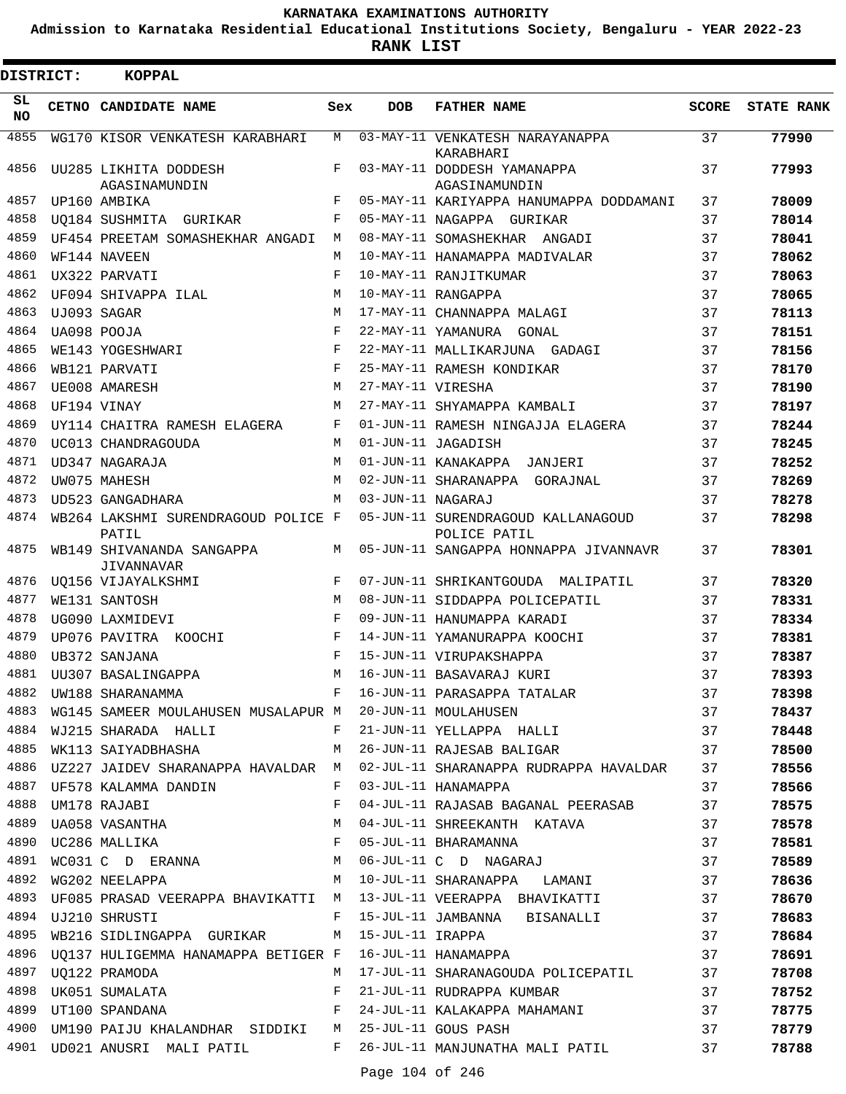**Admission to Karnataka Residential Educational Institutions Society, Bengaluru - YEAR 2022-23**

| <b>DISTRICT:</b> | <b>KOPPAL</b>                                            |            |                   |                                                    |              |                   |
|------------------|----------------------------------------------------------|------------|-------------------|----------------------------------------------------|--------------|-------------------|
| SL.<br>NO.       | CETNO CANDIDATE NAME                                     | Sex        | <b>DOB</b>        | <b>FATHER NAME</b>                                 | <b>SCORE</b> | <b>STATE RANK</b> |
| 4855             | WG170 KISOR VENKATESH KARABHARI                          | М          |                   | 03-MAY-11 VENKATESH NARAYANAPPA<br>KARABHARI       | 37           | 77990             |
| 4856             | UU285 LIKHITA DODDESH<br>AGASINAMUNDIN                   | F          |                   | 03-MAY-11 DODDESH YAMANAPPA<br>AGASINAMUNDIN       | 37           | 77993             |
| 4857             | UP160 AMBIKA                                             | F          |                   | 05-MAY-11 KARIYAPPA HANUMAPPA DODDAMANI            | 37           | 78009             |
| 4858             | UO184 SUSHMITA GURIKAR                                   | F          |                   | 05-MAY-11 NAGAPPA GURIKAR                          | 37           | 78014             |
| 4859             | UF454 PREETAM SOMASHEKHAR ANGADI                         | M          |                   | 08-MAY-11 SOMASHEKHAR ANGADI                       | 37           | 78041             |
| 4860             | WF144 NAVEEN                                             | M          |                   | 10-MAY-11 HANAMAPPA MADIVALAR                      | 37           | 78062             |
| 4861             | UX322 PARVATI                                            | F          |                   | 10-MAY-11 RANJITKUMAR                              | 37           | 78063             |
| 4862             | UF094 SHIVAPPA ILAL                                      | M          |                   | 10-MAY-11 RANGAPPA                                 | 37           | 78065             |
| 4863             | UJ093 SAGAR                                              | M          |                   | 17-MAY-11 CHANNAPPA MALAGI                         | 37           | 78113             |
| 4864             | UA098 POOJA                                              | $_{\rm F}$ |                   | 22-MAY-11 YAMANURA<br>GONAL                        | 37           | 78151             |
| 4865             | WE143 YOGESHWARI                                         | F          |                   | 22-MAY-11 MALLIKARJUNA GADAGI                      | 37           | 78156             |
| 4866             | WB121 PARVATI                                            | F          |                   | 25-MAY-11 RAMESH KONDIKAR                          | 37           | 78170             |
| 4867             | UE008 AMARESH                                            | M          | 27-MAY-11 VIRESHA |                                                    | 37           | 78190             |
| 4868             | UF194 VINAY                                              | M          |                   | 27-MAY-11 SHYAMAPPA KAMBALI                        | 37           | 78197             |
| 4869             | UY114 CHAITRA RAMESH ELAGERA                             | F          |                   | 01-JUN-11 RAMESH NINGAJJA ELAGERA                  | 37           | 78244             |
| 4870             | UC013 CHANDRAGOUDA                                       | M          |                   | 01-JUN-11 JAGADISH                                 | 37           | 78245             |
| 4871             | UD347 NAGARAJA                                           | M          |                   | 01-JUN-11 KANAKAPPA JANJERI                        | 37           | 78252             |
| 4872             | UW075 MAHESH                                             | M          |                   | 02-JUN-11 SHARANAPPA GORAJNAL                      | 37           | 78269             |
| 4873             | UD523 GANGADHARA                                         | M          | 03-JUN-11 NAGARAJ |                                                    | 37           | 78278             |
| 4874             | WB264 LAKSHMI SURENDRAGOUD POLICE F<br>PATIL             |            |                   | 05-JUN-11 SURENDRAGOUD KALLANAGOUD<br>POLICE PATIL | 37           | 78298             |
| 4875             | WB149 SHIVANANDA SANGAPPA<br><b>JIVANNAVAR</b>           | M          |                   | 05-JUN-11 SANGAPPA HONNAPPA JIVANNAVR              | 37           | 78301             |
| 4876             | UQ156 VIJAYALKSHMI                                       | F          |                   | 07-JUN-11 SHRIKANTGOUDA MALIPATIL                  | 37           | 78320             |
| 4877             | WE131 SANTOSH                                            | M          |                   | 08-JUN-11 SIDDAPPA POLICEPATIL                     | 37           | 78331             |
| 4878             | UG090 LAXMIDEVI                                          | F          |                   | 09-JUN-11 HANUMAPPA KARADI                         | 37           | 78334             |
| 4879             | UP076 PAVITRA KOOCHI                                     | F          |                   | 14-JUN-11 YAMANURAPPA KOOCHI                       | 37           | 78381             |
| 4880             | UB372 SANJANA                                            | F          |                   | 15-JUN-11 VIRUPAKSHAPPA                            | 37           | 78387             |
| 4881             | UU307 BASALINGAPPA                                       | М          |                   | 16-JUN-11 BASAVARAJ KURI                           | 37           | 78393             |
| 4882             | UW188 SHARANAMMA                                         | F          |                   | 16-JUN-11 PARASAPPA TATALAR                        | 37           | 78398             |
| 4883             | WG145 SAMEER MOULAHUSEN MUSALAPUR M 20-JUN-11 MOULAHUSEN |            |                   |                                                    | 37           | 78437             |
| 4884             | WJ215 SHARADA HALLI                                      | F          |                   | 21-JUN-11 YELLAPPA HALLI                           | 37           | 78448             |
| 4885             | WK113 SAIYADBHASHA                                       | М          |                   | 26-JUN-11 RAJESAB BALIGAR                          | 37           | 78500             |
| 4886             | UZ227 JAIDEV SHARANAPPA HAVALDAR M                       |            |                   | 02-JUL-11 SHARANAPPA RUDRAPPA HAVALDAR             | 37           | 78556             |
| 4887             | UF578 KALAMMA DANDIN                                     | F          |                   | 03-JUL-11 HANAMAPPA                                | 37           | 78566             |
| 4888             | UM178 RAJABI                                             | F          |                   | 04-JUL-11 RAJASAB BAGANAL PEERASAB                 | 37           | 78575             |
| 4889             | UA058 VASANTHA                                           | М          |                   | 04-JUL-11 SHREEKANTH KATAVA                        | 37           | 78578             |
| 4890             | UC286 MALLIKA                                            | F          |                   | 05-JUL-11 BHARAMANNA                               | 37           | 78581             |
| 4891             | $\verb+WCO31 + C + D = \verb+ERANNA+ \t\t\t M$           |            |                   | 06-JUL-11 C D NAGARAJ                              | 37           | 78589             |
| 4892             | WG202 NEELAPPA                                           | М          |                   | 10-JUL-11 SHARANAPPA LAMANI                        | 37           | 78636             |
| 4893             | UF085 PRASAD VEERAPPA BHAVIKATTI M                       |            |                   | 13-JUL-11 VEERAPPA BHAVIKATTI                      | 37           | 78670             |
| 4894             | UJ210 SHRUSTI                                            | F          |                   | 15-JUL-11 JAMBANNA BISANALLI                       | 37           | 78683             |
| 4895             | WB216 SIDLINGAPPA GURIKAR                                | M          |                   | 15-JUL-11 IRAPPA                                   | 37           | 78684             |
| 4896             | UO137 HULIGEMMA HANAMAPPA BETIGER F                      |            |                   | 16-JUL-11 HANAMAPPA                                | 37           | 78691             |
| 4897             | UQ122 PRAMODA                                            | М          |                   | 17-JUL-11 SHARANAGOUDA POLICEPATIL                 | 37           | 78708             |
| 4898             | UK051 SUMALATA                                           | F          |                   | 21-JUL-11 RUDRAPPA KUMBAR                          | 37           | 78752             |
| 4899             | UT100 SPANDANA                                           | F          |                   | 24-JUL-11 KALAKAPPA MAHAMANI                       | 37           | 78775             |
| 4900             | UM190 PAIJU KHALANDHAR SIDDIKI                           | M          |                   | 25-JUL-11 GOUS PASH                                | 37           | 78779             |
|                  | 4901 UD021 ANUSRI MALI PATIL                             | F          |                   | 26-JUL-11 MANJUNATHA MALI PATIL                    | 37           | 78788             |
|                  |                                                          |            |                   |                                                    |              |                   |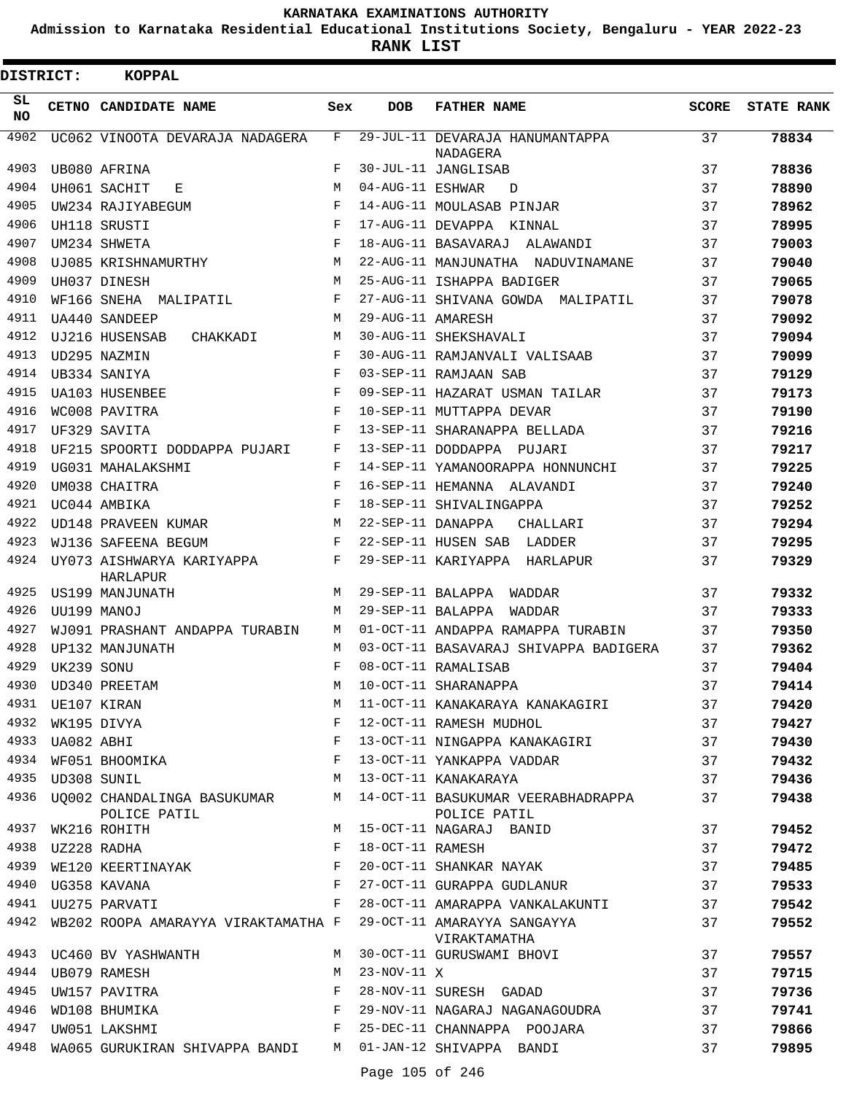**Admission to Karnataka Residential Educational Institutions Society, Bengaluru - YEAR 2022-23**

**RANK LIST**

| <b>DISTRICT:</b> |                  | KOPPAL                                                                                                         |            |                   |                                                                                          |              |                   |
|------------------|------------------|----------------------------------------------------------------------------------------------------------------|------------|-------------------|------------------------------------------------------------------------------------------|--------------|-------------------|
| SL.<br>NO.       |                  | CETNO CANDIDATE NAME                                                                                           | Sex        | <b>DOB</b>        | <b>FATHER NAME</b>                                                                       | <b>SCORE</b> | <b>STATE RANK</b> |
| 4902             |                  | UC062 VINOOTA DEVARAJA NADAGERA                                                                                | F          |                   | 29-JUL-11 DEVARAJA HANUMANTAPPA                                                          | 37           | 78834             |
| 4903             |                  | UB080 AFRINA                                                                                                   | F          |                   | NADAGERA<br>30-JUL-11 JANGLISAB                                                          | 37           | 78836             |
| 4904             |                  | UH061 SACHIT<br>Е                                                                                              | M          | 04-AUG-11 ESHWAR  | D                                                                                        | 37           | 78890             |
| 4905             |                  | UW234 RAJIYABEGUM                                                                                              | F          |                   | 14-AUG-11 MOULASAB PINJAR                                                                | 37           | 78962             |
| 4906             |                  | UH118 SRUSTI                                                                                                   | F          |                   | 17-AUG-11 DEVAPPA KINNAL                                                                 | 37           | 78995             |
| 4907             |                  | UM234 SHWETA                                                                                                   | F          |                   | 18-AUG-11 BASAVARAJ ALAWANDI                                                             | 37           | 79003             |
| 4908             |                  | UJ085 KRISHNAMURTHY                                                                                            | M          |                   | 22-AUG-11 MANJUNATHA NADUVINAMANE                                                        | 37           | 79040             |
| 4909             |                  | UH037 DINESH                                                                                                   | M          |                   | 25-AUG-11 ISHAPPA BADIGER                                                                | 37           | 79065             |
| 4910             |                  | WF166 SNEHA MALIPATIL                                                                                          | F          |                   | 27-AUG-11 SHIVANA GOWDA MALIPATIL                                                        | 37           | 79078             |
| 4911             |                  | <b>UA440 SANDEEP</b>                                                                                           | M          | 29-AUG-11 AMARESH |                                                                                          | 37           | 79092             |
| 4912             |                  | UJ216 HUSENSAB<br>CHAKKADI                                                                                     | М          |                   | 30-AUG-11 SHEKSHAVALI                                                                    | 37           | 79094             |
| 4913             |                  | UD295 NAZMIN                                                                                                   | F          |                   | 30-AUG-11 RAMJANVALI VALISAAB                                                            | 37           | 79099             |
| 4914             |                  | UB334 SANIYA                                                                                                   | F          |                   | 03-SEP-11 RAMJAAN SAB                                                                    | 37           | 79129             |
| 4915             |                  | UA103 HUSENBEE                                                                                                 | F          |                   | 09-SEP-11 HAZARAT USMAN TAILAR                                                           | 37           | 79173             |
| 4916             |                  | WC008 PAVITRA                                                                                                  | F          |                   | 10-SEP-11 MUTTAPPA DEVAR                                                                 | 37           | 79190             |
| 4917             |                  | UF329 SAVITA                                                                                                   | $_{\rm F}$ |                   | 13-SEP-11 SHARANAPPA BELLADA                                                             | 37           | 79216             |
| 4918             |                  | UF215 SPOORTI DODDAPPA PUJARI                                                                                  | F          |                   | 13-SEP-11 DODDAPPA PUJARI                                                                | 37           | 79217             |
| 4919             |                  | UG031 MAHALAKSHMI                                                                                              | F          |                   | 14-SEP-11 YAMANOORAPPA HONNUNCHI                                                         | 37           | 79225             |
| 4920             |                  | UM038 CHAITRA                                                                                                  | F          |                   | 16-SEP-11 HEMANNA ALAVANDI                                                               | 37           | 79240             |
| 4921             |                  | UC044 AMBIKA                                                                                                   | F          |                   | 18-SEP-11 SHIVALINGAPPA                                                                  | 37           | 79252             |
| 4922             |                  | UD148 PRAVEEN KUMAR                                                                                            | М          | 22-SEP-11 DANAPPA | CHALLARI                                                                                 | 37           | 79294             |
| 4923             |                  | WJ136 SAFEENA BEGUM                                                                                            | F          |                   | 22-SEP-11 HUSEN SAB LADDER                                                               | 37           | 79295             |
| 4924             |                  | UY073 AISHWARYA KARIYAPPA<br>HARLAPUR                                                                          | F          |                   | 29-SEP-11 KARIYAPPA HARLAPUR                                                             | 37           | 79329             |
| 4925             |                  | US199 MANJUNATH                                                                                                | M          |                   | 29-SEP-11 BALAPPA WADDAR                                                                 | 37           | 79332             |
| 4926             | UU199 MANOJ      |                                                                                                                | M          | 29-SEP-11 BALAPPA | WADDAR                                                                                   | 37           | 79333             |
| 4927             |                  | WJ091 PRASHANT ANDAPPA TURABIN                                                                                 | M          |                   | 01-OCT-11 ANDAPPA RAMAPPA TURABIN                                                        | 37           | 79350             |
| 4928             |                  | UP132 MANJUNATH                                                                                                | M          |                   | 03-OCT-11 BASAVARAJ SHIVAPPA BADIGERA                                                    | 37           | 79362             |
| 4929             | UK239 SONU       |                                                                                                                | F          |                   | 08-OCT-11 RAMALISAB                                                                      | 37           | 79404             |
|                  |                  | 4930 UD340 PREETAM                                                                                             | M          |                   | 10-OCT-11 SHARANAPPA                                                                     | 37           | 79414             |
|                  |                  | 4930 UD340 PREETAM M<br>4931 UE107 KIRAN M<br>4932 WK195 DIVYA F<br>4933 UA082 ABHI F<br>4934 WF051 BHOOMIKA F |            |                   | 11-OCT-11 KANAKARAYA KANAKAGIRI                                                          | 37           | 79420             |
|                  |                  |                                                                                                                |            |                   | 37<br>12-OCT-11 RAMESH MUDHOL                                                            |              | 79427             |
|                  |                  |                                                                                                                |            |                   | 13-OCT-11 NINGAPPA KANAKAGIRI 37                                                         |              | 79430             |
|                  |                  |                                                                                                                |            |                   | 13-OCT-11 YANKAPPA VADDAR 37                                                             |              | 79432             |
|                  | 4935 UD308 SUNIL |                                                                                                                | M          |                   | 13-OCT-11 KANAKARAYA                                                                     | 37           | 79436             |
|                  |                  | POLICE PATIL                                                                                                   |            |                   | 4936 UQ002 CHANDALINGA BASUKUMAR M 14-OCT-11 BASUKUMAR VEERABHADRAPPA 37<br>POLICE PATIL |              | 79438             |
|                  |                  | 4937 WK216 ROHITH                                                                                              | M          |                   | 15-OCT-11 NAGARAJ BANID                                                                  | 37           | 79452             |
|                  |                  | $\mathbf{F}$ and $\mathbf{F}$                                                                                  |            |                   | 18-OCT-11 RAMESH                                                                         | 37           | 79472             |
| 4939             |                  | WE120 KEERTINAYAK F<br>UG358 KAVANA F                                                                          |            |                   | 20-OCT-11 SHANKAR NAYAK                                                                  | 37           | 79485             |
|                  |                  | $\begin{array}{c} \mathbf{F} \\ \mathbf{F} \end{array}$<br>4940 UG358 KAVANA                                   |            |                   | 27-OCT-11 GURAPPA GUDLANUR                                                               | 37           | 79533             |
|                  |                  | 4941 UU275 PARVATI                                                                                             |            |                   | 28-OCT-11 AMARAPPA VANKALAKUNTI 37                                                       |              | 79542             |
| 4942             |                  | WB202 ROOPA AMARAYYA VIRAKTAMATHA F                                                                            |            |                   | 29-OCT-11 AMARAYYA SANGAYYA<br>VIRAKTAMATHA                                              | 37           | 79552             |
|                  |                  |                                                                                                                |            |                   | 4943 UC460 BV YASHWANTH M 30-OCT-11 GURUSWAMI BHOVI                                      | 37           | 79557             |
|                  |                  | 4944 UB079 RAMESH M                                                                                            |            | $23-NOV-11 X$     |                                                                                          | 37           | 79715             |
| 4945             |                  | UW157 PAVITRA F                                                                                                |            |                   | 28-NOV-11 SURESH GADAD                                                                   | 37           | 79736             |
|                  |                  | $\begin{aligned} \mathbf{F} \\ \mathbf{F} \end{aligned}$<br>4946 WD108 BHUMIKA                                 |            |                   | 29-NOV-11 NAGARAJ NAGANAGOUDRA                                                           | 37           | 79741             |
|                  |                  | 4947 UW051 LAKSHMI                                                                                             |            |                   | 25-DEC-11 CHANNAPPA POOJARA                                                              | 37           | 79866             |
|                  |                  | 4948 WA065 GURUKIRAN SHIVAPPA BANDI M 01-JAN-12 SHIVAPPA BANDI                                                 |            |                   |                                                                                          | 37           | 79895             |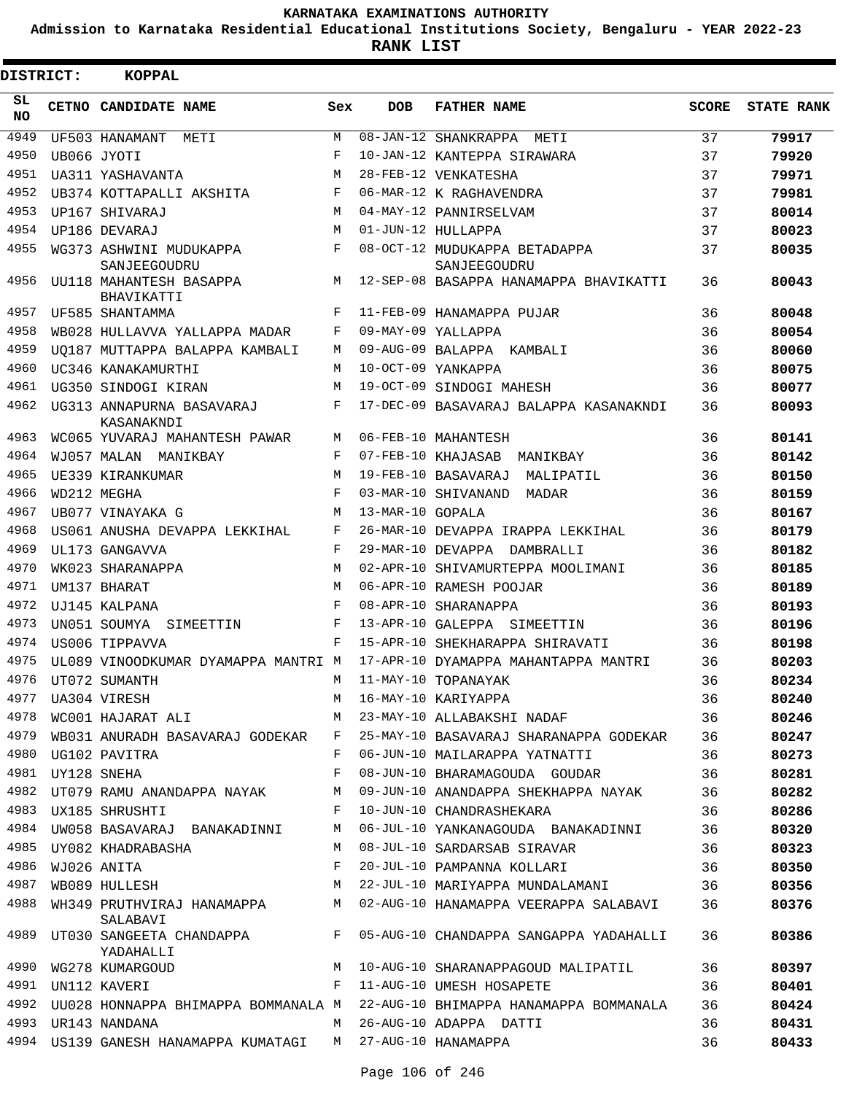**Admission to Karnataka Residential Educational Institutions Society, Bengaluru - YEAR 2022-23**

| DISTRICT: |                  | <b>KOPPAL</b>                                              |              |                   |                                                                                 |              |                   |
|-----------|------------------|------------------------------------------------------------|--------------|-------------------|---------------------------------------------------------------------------------|--------------|-------------------|
| SL<br>NO. |                  | CETNO CANDIDATE NAME                                       | Sex          | <b>DOB</b>        | <b>FATHER NAME</b>                                                              | <b>SCORE</b> | <b>STATE RANK</b> |
| 4949      |                  | UF503 HANAMANT<br>METI                                     | M            |                   | 08-JAN-12 SHANKRAPPA<br>METI                                                    | 37           | 79917             |
| 4950      |                  | UB066 JYOTI                                                | F            |                   | 10-JAN-12 KANTEPPA SIRAWARA                                                     | 37           | 79920             |
| 4951      |                  | UA311 YASHAVANTA                                           | M            |                   | 28-FEB-12 VENKATESHA                                                            | 37           | 79971             |
| 4952      |                  | UB374 KOTTAPALLI AKSHITA                                   | F            |                   | 06-MAR-12 K RAGHAVENDRA                                                         | 37           | 79981             |
| 4953      |                  | UP167 SHIVARAJ                                             | М            |                   | 04-MAY-12 PANNIRSELVAM                                                          | 37           | 80014             |
| 4954      |                  | UP186 DEVARAJ                                              | М            |                   | 01-JUN-12 HULLAPPA                                                              | 37           | 80023             |
| 4955      |                  | WG373 ASHWINI MUDUKAPPA<br>SANJEEGOUDRU                    | F            |                   | 08-OCT-12 MUDUKAPPA BETADAPPA<br>SANJEEGOUDRU                                   | 37           | 80035             |
| 4956      |                  | UU118 MAHANTESH BASAPPA<br>BHAVIKATTI                      | M            |                   | 12-SEP-08 BASAPPA HANAMAPPA BHAVIKATTI                                          | 36           | 80043             |
| 4957      |                  | UF585 SHANTAMMA                                            | F            |                   | 11-FEB-09 HANAMAPPA PUJAR                                                       | 36           | 80048             |
| 4958      |                  | WB028 HULLAVVA YALLAPPA MADAR                              | F            |                   | 09-MAY-09 YALLAPPA                                                              | 36           | 80054             |
| 4959      |                  | UO187 MUTTAPPA BALAPPA KAMBALI                             | М            |                   | 09-AUG-09 BALAPPA KAMBALI                                                       | 36           | 80060             |
| 4960      |                  | UC346 KANAKAMURTHI                                         | M            |                   | 10-OCT-09 YANKAPPA                                                              | 36           | 80075             |
| 4961      |                  | UG350 SINDOGI KIRAN                                        | M            |                   | 19-OCT-09 SINDOGI MAHESH                                                        | 36           | 80077             |
| 4962      |                  | UG313 ANNAPURNA BASAVARAJ<br>KASANAKNDI                    | F            |                   | 17-DEC-09 BASAVARAJ BALAPPA KASANAKNDI                                          | 36           | 80093             |
| 4963      |                  | WC065 YUVARAJ MAHANTESH PAWAR                              | М            |                   | 06-FEB-10 MAHANTESH                                                             | 36           | 80141             |
| 4964      |                  | WJ057 MALAN MANIKBAY                                       | F            |                   | 07-FEB-10 KHAJASAB MANIKBAY                                                     | 36           | 80142             |
| 4965      |                  | UE339 KIRANKUMAR                                           | M            |                   | 19-FEB-10 BASAVARAJ<br>MALIPATIL                                                | 36           | 80150             |
| 4966      |                  | WD212 MEGHA                                                | F            |                   | 03-MAR-10 SHIVANAND<br>MADAR                                                    | 36           | 80159             |
| 4967      |                  | UB077 VINAYAKA G                                           | М            | 13-MAR-10 GOPALA  |                                                                                 | 36           | 80167             |
| 4968      |                  | US061 ANUSHA DEVAPPA LEKKIHAL                              | F            |                   | 26-MAR-10 DEVAPPA IRAPPA LEKKIHAL                                               | 36           | 80179             |
| 4969      |                  | UL173 GANGAVVA                                             | F            | 29-MAR-10 DEVAPPA | DAMBRALLI                                                                       | 36           | 80182             |
| 4970      |                  | WK023 SHARANAPPA                                           | М            |                   | 02-APR-10 SHIVAMURTEPPA MOOLIMANI                                               | 36           | 80185             |
| 4971      |                  | UM137 BHARAT                                               | М            |                   | 06-APR-10 RAMESH POOJAR                                                         | 36           | 80189             |
| 4972      |                  | UJ145 KALPANA                                              | F            |                   | 08-APR-10 SHARANAPPA                                                            | 36           | 80193             |
| 4973      |                  | UN051 SOUMYA<br>SIMEETTIN                                  | F            |                   | 13-APR-10 GALEPPA SIMEETTIN                                                     | 36           | 80196             |
| 4974      |                  | US006 TIPPAVVA                                             | F            |                   | 15-APR-10 SHEKHARAPPA SHIRAVATI                                                 | 36           | 80198             |
| 4975      |                  | UL089 VINOODKUMAR DYAMAPPA MANTRI M                        |              |                   | 17-APR-10 DYAMAPPA MAHANTAPPA MANTRI                                            | 36           | 80203             |
| 4976      |                  | UT072 SUMANTH                                              | M            |                   | 11-MAY-10 TOPANAYAK                                                             | 36           | 80234             |
| 4977      |                  | UA304 VIRESH                                               | М            |                   | 16-MAY-10 KARIYAPPA                                                             | 36           | 80240             |
| 4978      |                  | WC001 HAJARAT ALI                                          |              |                   | M 23-MAY-10 ALLABAKSHI NADAF                                                    | 36           | 80246             |
| 4979      |                  |                                                            |              |                   | WB031 ANURADH BASAVARAJ GODEKAR F 25-MAY-10 BASAVARAJ SHARANAPPA GODEKAR 36     |              | 80247             |
|           |                  | 4980 UG102 PAVITRA                                         | F            |                   | 06-JUN-10 MAILARAPPA YATNATTI                                                   | 36           | 80273             |
| 4981      |                  | UY128 SNEHA                                                | F            |                   | 08-JUN-10 BHARAMAGOUDA GOUDAR                                                   | 36           | 80281             |
| 4982      |                  | UT079 RAMU ANANDAPPA NAYAK                                 | M            |                   | 09-JUN-10 ANANDAPPA SHEKHAPPA NAYAK                                             | 36           | 80282             |
|           |                  | 4983 UX185 SHRUSHTI                                        | F            |                   | 10-JUN-10 CHANDRASHEKARA                                                        | 36           | 80286             |
|           |                  | 4984 UW058 BASAVARAJ BANAKADINNI                           | M            |                   | 06-JUL-10 YANKANAGOUDA BANAKADINNI                                              | 36           | 80320             |
|           |                  | 4985 UY082 KHADRABASHA                                     | M            |                   | 08-JUL-10 SARDARSAB SIRAVAR                                                     | 36           | 80323             |
|           | 4986 WJ026 ANITA |                                                            | $\mathbf{F}$ |                   | 20-JUL-10 PAMPANNA KOLLARI                                                      | 36           | 80350             |
|           |                  |                                                            |              |                   | 4987 WB089 HULLESH M 22-JUL-10 MARIYAPPA MUNDALAMANI 36                         |              | 80356             |
|           |                  | SALABAVI                                                   |              |                   | 4988 WH349 PRUTHVIRAJ HANAMAPPA M 02-AUG-10 HANAMAPPA VEERAPPA SALABAVI         | 36           | 80376             |
|           |                  | YADAHALLI                                                  |              |                   | 4989 UT030 SANGEETA CHANDAPPA F 05-AUG-10 CHANDAPPA SANGAPPA YADAHALLI          | 36           | 80386             |
|           |                  |                                                            |              |                   | 4990 WG278 KUMARGOUD M M 10-AUG-10 SHARANAPPAGOUD MALIPATIL                     | 36           | 80397             |
|           |                  | 4991 UN112 KAVERI                                          |              |                   | F 11-AUG-10 UMESH HOSAPETE                                                      | 36           | 80401             |
|           |                  |                                                            |              |                   | 4992 UU028 HONNAPPA BHIMAPPA BOMMANALA M 22-AUG-10 BHIMAPPA HANAMAPPA BOMMANALA | 36           | 80424             |
|           |                  | 4993 UR143 NANDANA                                         |              |                   | M 26-AUG-10 ADAPPA DATTI                                                        | 36           | 80431             |
|           |                  | 4994 US139 GANESH HANAMAPPA KUMATAGI M 27-AUG-10 HANAMAPPA |              |                   |                                                                                 | 36           | 80433             |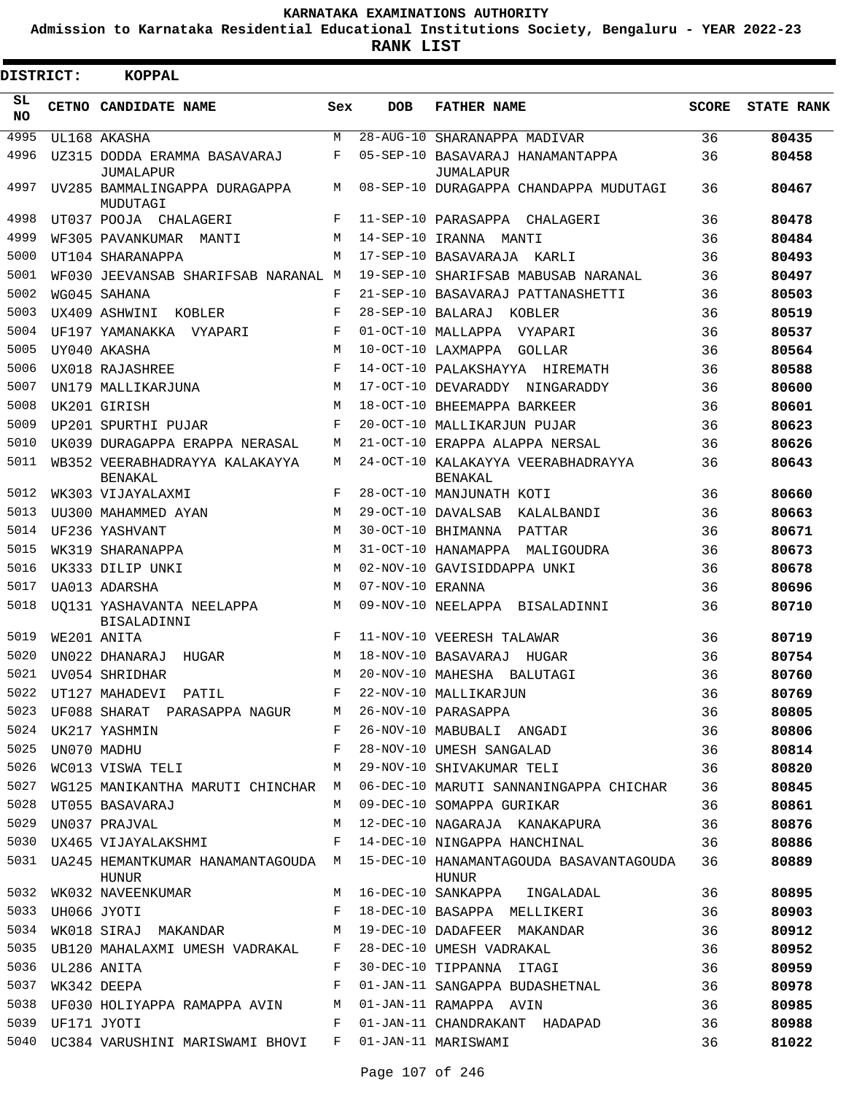**Admission to Karnataka Residential Educational Institutions Society, Bengaluru - YEAR 2022-23**

**RANK LIST**

| <b>DISTRICT:</b> |             | <b>KOPPAL</b>                                          |     |                        |                                                                                          |              |                   |
|------------------|-------------|--------------------------------------------------------|-----|------------------------|------------------------------------------------------------------------------------------|--------------|-------------------|
| SL<br>NO.        |             | CETNO CANDIDATE NAME                                   | Sex | <b>DOB</b>             | <b>FATHER NAME</b>                                                                       | <b>SCORE</b> | <b>STATE RANK</b> |
| 4995             |             | UL168 AKASHA                                           | M   | $28 - \text{AUG} - 10$ | SHARANAPPA MADIVAR                                                                       | 36           | 80435             |
| 4996             |             | UZ315 DODDA ERAMMA BASAVARAJ                           | F   |                        | 05-SEP-10 BASAVARAJ HANAMANTAPPA                                                         | 36           | 80458             |
| 4997             |             | JUMALAPUR<br>UV285 BAMMALINGAPPA DURAGAPPA<br>MUDUTAGI | M   |                        | JUMALAPUR<br>08-SEP-10 DURAGAPPA CHANDAPPA MUDUTAGI                                      | 36           | 80467             |
| 4998             |             | UT037 POOJA CHALAGERI                                  | F   |                        | 11-SEP-10 PARASAPPA CHALAGERI                                                            | 36           | 80478             |
| 4999             |             | WF305 PAVANKUMAR MANTI                                 | M   | 14-SEP-10 IRANNA       | MANTI                                                                                    | 36           | 80484             |
| 5000             |             | UT104 SHARANAPPA                                       | M   |                        | 17-SEP-10 BASAVARAJA<br>KARLI                                                            | 36           | 80493             |
| 5001             |             | WF030 JEEVANSAB SHARIFSAB NARANAL M                    |     |                        | 19-SEP-10 SHARIFSAB MABUSAB NARANAL                                                      | 36           | 80497             |
| 5002             |             | WG045 SAHANA                                           | F   |                        | 21-SEP-10 BASAVARAJ PATTANASHETTI                                                        | 36           | 80503             |
| 5003             |             | UX409 ASHWINI<br>KOBLER                                | F   | 28-SEP-10 BALARAJ      | KOBLER                                                                                   | 36           | 80519             |
| 5004             |             | UF197 YAMANAKKA VYAPARI                                | F   |                        | 01-OCT-10 MALLAPPA<br>VYAPARI                                                            | 36           | 80537             |
| 5005             |             | UY040 AKASHA                                           | M   |                        | 10-OCT-10 LAXMAPPA<br>GOLLAR                                                             | 36           | 80564             |
| 5006             |             | UX018 RAJASHREE                                        | F   |                        | 14-OCT-10 PALAKSHAYYA HIREMATH                                                           | 36           | 80588             |
| 5007             |             | UN179 MALLIKARJUNA                                     | M   |                        | 17-OCT-10 DEVARADDY NINGARADDY                                                           | 36           | 80600             |
| 5008             |             | UK201 GIRISH                                           | M   |                        | 18-OCT-10 BHEEMAPPA BARKEER                                                              | 36           | 80601             |
| 5009             |             | UP201 SPURTHI PUJAR                                    | F   |                        | 20-OCT-10 MALLIKARJUN PUJAR                                                              | 36           | 80623             |
| 5010             |             | UK039 DURAGAPPA ERAPPA NERASAL                         | M   |                        | 21-OCT-10 ERAPPA ALAPPA NERSAL                                                           | 36           | 80626             |
| 5011             |             | WB352 VEERABHADRAYYA KALAKAYYA<br><b>BENAKAL</b>       | M   |                        | 24-OCT-10 KALAKAYYA VEERABHADRAYYA<br>BENAKAL                                            | 36           | 80643             |
| 5012             |             | WK303 VIJAYALAXMI                                      | F   |                        | 28-OCT-10 MANJUNATH KOTI                                                                 | 36           | 80660             |
| 5013             |             | UU300 MAHAMMED AYAN                                    | M   |                        | 29-OCT-10 DAVALSAB<br>KALALBANDI                                                         | 36           | 80663             |
| 5014             |             | UF236 YASHVANT                                         | M   |                        | 30-OCT-10 BHIMANNA<br>PATTAR                                                             | 36           | 80671             |
| 5015             |             | WK319 SHARANAPPA                                       | M   |                        | 31-OCT-10 HANAMAPPA MALIGOUDRA                                                           | 36           | 80673             |
| 5016             |             | UK333 DILIP UNKI                                       | M   |                        | 02-NOV-10 GAVISIDDAPPA UNKI                                                              | 36           | 80678             |
| 5017             |             | UA013 ADARSHA                                          | M   | 07-NOV-10 ERANNA       |                                                                                          | 36           | 80696             |
| 5018             |             | UO131 YASHAVANTA NEELAPPA<br><b>BISALADINNI</b>        | M   |                        | 09-NOV-10 NEELAPPA BISALADINNI                                                           | 36           | 80710             |
| 5019             |             | WE201 ANITA                                            | F   |                        | 11-NOV-10 VEERESH TALAWAR                                                                | 36           | 80719             |
| 5020             |             | UN022 DHANARAJ<br>HUGAR                                | M   |                        | 18-NOV-10 BASAVARAJ<br>HUGAR                                                             | 36           | 80754             |
| 5021             |             | UV054 SHRIDHAR                                         | М   | 20-NOV-10 MAHESHA      | BALUTAGI                                                                                 | 36           | 80760             |
| 5022             |             | UT127 MAHADEVI PATIL                                   | F   |                        | 22-NOV-10 MALLIKARJUN                                                                    | 36           | 80769             |
| 5023             |             | UF088 SHARAT PARASAPPA NAGURM                          |     |                        | 26-NOV-10 PARASAPPA                                                                      | 36           | 80805             |
| 5024             |             | UK217 YASHMIN                                          | F   |                        | 26-NOV-10 MABUBALI ANGADI                                                                | 36           | 80806             |
| 5025             | UN070 MADHU |                                                        | F   |                        | 28-NOV-10 UMESH SANGALAD                                                                 | 36           | 80814             |
| 5026             |             | WC013 VISWA TELI                                       | М   |                        | 29-NOV-10 SHIVAKUMAR TELI                                                                | 36           | 80820             |
| 5027             |             | WG125 MANIKANTHA MARUTI CHINCHAR M                     |     |                        | 06-DEC-10 MARUTI SANNANINGAPPA CHICHAR                                                   | 36           | 80845             |
| 5028             |             | UT055 BASAVARAJ                                        | M   |                        | 09-DEC-10 SOMAPPA GURIKAR                                                                | 36           | 80861             |
| 5029             |             | UN037 PRAJVAL                                          | М   |                        | 12-DEC-10 NAGARAJA KANAKAPURA                                                            | 36           | 80876             |
| 5030             |             | UX465 VIJAYALAKSHMI                                    | F   |                        | 14-DEC-10 NINGAPPA HANCHINAL                                                             | 36           | 80886             |
|                  |             | HUNUR                                                  |     |                        | 5031 UA245 HEMANTKUMAR HANAMANTAGOUDA M 15-DEC-10 HANAMANTAGOUDA BASAVANTAGOUDA<br>HUNUR | 36           | 80889             |
| 5032             |             | WK032 NAVEENKUMAR                                      | M   |                        | 16-DEC-10 SANKAPPA INGALADAL                                                             | 36           | 80895             |
| 5033             |             | UH066 JYOTI                                            | F   |                        | 18-DEC-10 BASAPPA MELLIKERI                                                              | 36           | 80903             |
| 5034             |             | WK018 SIRAJ MAKANDAR                                   | M   |                        | 19-DEC-10 DADAFEER MAKANDAR                                                              | 36           | 80912             |
| 5035             |             | UB120 MAHALAXMI UMESH VADRAKAL F                       |     |                        | 28-DEC-10 UMESH VADRAKAL                                                                 | 36           | 80952             |
| 5036             | UL286 ANITA |                                                        | F   |                        | 30-DEC-10 TIPPANNA ITAGI                                                                 | 36           | 80959             |
| 5037             |             | WK342 DEEPA                                            | F   |                        | 01-JAN-11 SANGAPPA BUDASHETNAL                                                           | 36           | 80978             |
| 5038             |             | UF030 HOLIYAPPA RAMAPPA AVIN                           | М   |                        | 01-JAN-11 RAMAPPA AVIN                                                                   | 36           | 80985             |
| 5039             | UF171 JYOTI |                                                        | F   |                        | 01-JAN-11 CHANDRAKANT HADAPAD                                                            | 36           | 80988             |
|                  |             | 5040 UC384 VARUSHINI MARISWAMI BHOVI                   | F   |                        | 01-JAN-11 MARISWAMI                                                                      | 36           | 81022             |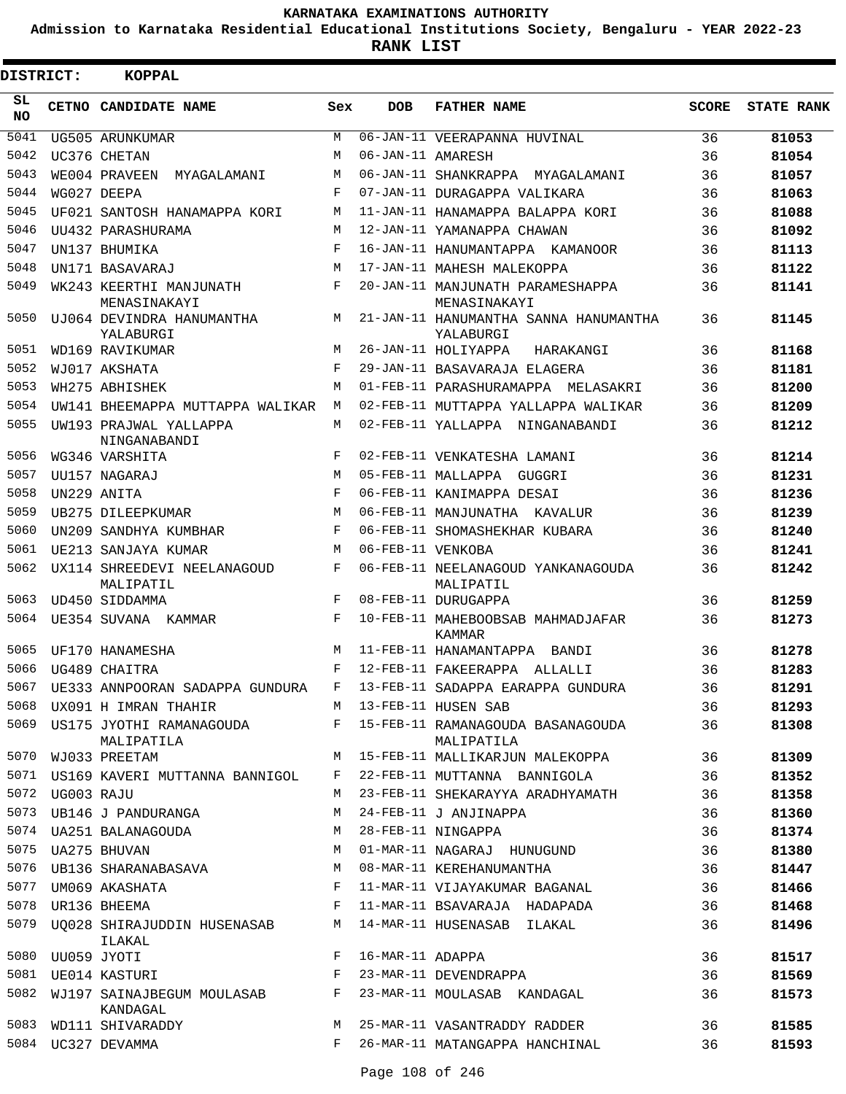**Admission to Karnataka Residential Educational Institutions Society, Bengaluru - YEAR 2022-23**

**RANK LIST**

| DISTRICT: |            | <b>KOPPAL</b>                                                            |             |                   |                                                    |              |                   |
|-----------|------------|--------------------------------------------------------------------------|-------------|-------------------|----------------------------------------------------|--------------|-------------------|
| SL<br>NO. |            | CETNO CANDIDATE NAME                                                     | Sex         | <b>DOB</b>        | <b>FATHER NAME</b>                                 | <b>SCORE</b> | <b>STATE RANK</b> |
| 5041      |            | UG505 ARUNKUMAR                                                          | M           |                   | 06-JAN-11 VEERAPANNA HUVINAL                       | 36           | 81053             |
| 5042      |            | UC376 CHETAN                                                             | M           | 06-JAN-11 AMARESH |                                                    | 36           | 81054             |
| 5043      |            | WE004 PRAVEEN<br>MYAGALAMANI                                             | M           |                   | 06-JAN-11 SHANKRAPPA MYAGALAMANI                   | 36           | 81057             |
| 5044      |            | WG027 DEEPA                                                              | F           |                   | 07-JAN-11 DURAGAPPA VALIKARA                       | 36           | 81063             |
| 5045      |            | UF021 SANTOSH HANAMAPPA KORI                                             | M           |                   | 11-JAN-11 HANAMAPPA BALAPPA KORI                   | 36           | 81088             |
| 5046      |            | UU432 PARASHURAMA                                                        | M           |                   | 12-JAN-11 YAMANAPPA CHAWAN                         | 36           | 81092             |
| 5047      |            | UN137 BHUMIKA                                                            | F           |                   | 16-JAN-11 HANUMANTAPPA KAMANOOR                    | 36           | 81113             |
| 5048      |            | UN171 BASAVARAJ                                                          | M           |                   | 17-JAN-11 MAHESH MALEKOPPA                         | 36           | 81122             |
| 5049      |            | WK243 KEERTHI MANJUNATH<br>MENASINAKAYI                                  | F           |                   | 20-JAN-11 MANJUNATH PARAMESHAPPA<br>MENASINAKAYI   | 36           | 81141             |
| 5050      |            | UJ064 DEVINDRA HANUMANTHA<br>YALABURGI                                   | М           |                   | 21-JAN-11 HANUMANTHA SANNA HANUMANTHA<br>YALABURGI | 36           | 81145             |
| 5051      |            | WD169 RAVIKUMAR                                                          | M           |                   | 26-JAN-11 HOLIYAPPA<br>HARAKANGI                   | 36           | 81168             |
| 5052      |            | WJ017 AKSHATA                                                            | $_{\rm F}$  |                   | 29-JAN-11 BASAVARAJA ELAGERA                       | 36           | 81181             |
| 5053      |            | WH275 ABHISHEK                                                           | M           |                   | 01-FEB-11 PARASHURAMAPPA MELASAKRI                 | 36           | 81200             |
| 5054      |            | UW141 BHEEMAPPA MUTTAPPA WALIKAR                                         | M           |                   | 02-FEB-11 MUTTAPPA YALLAPPA WALIKAR                | 36           | 81209             |
| 5055      |            | UW193 PRAJWAL YALLAPPA<br>NINGANABANDI                                   | M           |                   | 02-FEB-11 YALLAPPA NINGANABANDI                    | 36           | 81212             |
| 5056      |            | WG346 VARSHITA                                                           | F           |                   | 02-FEB-11 VENKATESHA LAMANI                        | 36           | 81214             |
| 5057      |            | <b>III157 NAGARAJ</b>                                                    | M           |                   | 05-FEB-11 MALLAPPA GUGGRI                          | 36           | 81231             |
| 5058      |            | UN229 ANITA                                                              | $_{\rm F}$  |                   | 06-FEB-11 KANIMAPPA DESAI                          | 36           | 81236             |
| 5059      |            | UB275 DILEEPKUMAR                                                        | M           |                   | 06-FEB-11 MANJUNATHA KAVALUR                       | 36           | 81239             |
| 5060      |            | UN209 SANDHYA KUMBHAR                                                    | F           |                   | 06-FEB-11 SHOMASHEKHAR KUBARA                      | 36           | 81240             |
| 5061      |            | UE213 SANJAYA KUMAR                                                      | M           | 06-FEB-11 VENKOBA |                                                    | 36           | 81241             |
| 5062      |            | UX114 SHREEDEVI NEELANAGOUD<br>MALIPATIL                                 | F           |                   | 06-FEB-11 NEELANAGOUD YANKANAGOUDA<br>MALIPATIL    | 36           | 81242             |
| 5063      |            | UD450 SIDDAMMA                                                           | F           |                   | 08-FEB-11 DURUGAPPA                                | 36           | 81259             |
| 5064      |            | UE354 SUVANA KAMMAR                                                      | F           |                   | 10-FEB-11 MAHEBOOBSAB MAHMADJAFAR<br>KAMMAR        | 36           | 81273             |
| 5065      |            | UF170 HANAMESHA                                                          | M           |                   | 11-FEB-11 HANAMANTAPPA BANDI                       | 36           | 81278             |
| 5066      |            | UG489 CHAITRA                                                            | $\mathbf F$ |                   | 12-FEB-11 FAKEERAPPA ALLALLI                       | 36           | 81283             |
|           |            | 5067 UE333 ANNPOORAN SADAPPA GUNDURA F 13-FEB-11 SADAPPA EARAPPA GUNDURA |             |                   |                                                    | 36           | 81291             |
| 5068      |            | UX091 H IMRAN THAHIR                                                     |             |                   | M 13-FEB-11 HUSEN SAB                              | 36           | 81293             |
| 5069      |            | US175 JYOTHI RAMANAGOUDA F<br>MALIPATILA                                 |             |                   | 15-FEB-11 RAMANAGOUDA BASANAGOUDA<br>MALIPATILA    | 36           | 81308             |
| 5070      |            | WJ033 PREETAM                                                            | М           |                   | 15-FEB-11 MALLIKARJUN MALEKOPPA                    | 36           | 81309             |
| 5071      |            | US169 KAVERI MUTTANNA BANNIGOL                                           | F           |                   | 22-FEB-11 MUTTANNA BANNIGOLA                       | 36           | 81352             |
| 5072      | UG003 RAJU |                                                                          | М           |                   | 23-FEB-11 SHEKARAYYA ARADHYAMATH                   | 36           | 81358             |
| 5073      |            | UB146 J PANDURANGA                                                       | М           |                   | 24-FEB-11 J ANJINAPPA                              | 36           | 81360             |
| 5074      |            | UA251 BALANAGOUDA                                                        | М           |                   | 28-FEB-11 NINGAPPA                                 | 36           | 81374             |
| 5075      |            | UA275 BHUVAN                                                             | М           |                   | 01-MAR-11 NAGARAJ HUNUGUND                         | 36           | 81380             |
|           |            | 5076 UB136 SHARANABASAVA                                                 | M           |                   | 08-MAR-11 KEREHANUMANTHA                           | 36           | 81447             |
| 5077      |            | UM069 AKASHATA                                                           | F           |                   | 11-MAR-11 VIJAYAKUMAR BAGANAL                      | 36           | 81466             |
| 5078      |            | UR136 BHEEMA                                                             | F           |                   | 11-MAR-11 BSAVARAJA HADAPADA                       | 36           | 81468             |
| 5079      |            | UO028 SHIRAJUDDIN HUSENASAB<br>ILAKAL                                    | М           |                   | 14-MAR-11 HUSENASAB ILAKAL                         | 36           | 81496             |
| 5080      |            | UU059 JYOTI                                                              | F           | 16-MAR-11 ADAPPA  |                                                    | 36           | 81517             |
| 5081      |            | UE014 KASTURI                                                            | F           |                   | 23-MAR-11 DEVENDRAPPA                              | 36           | 81569             |
| 5082      |            | WJ197 SAINAJBEGUM MOULASAB<br>KANDAGAL                                   | F           |                   | 23-MAR-11 MOULASAB KANDAGAL                        | 36           | 81573             |
| 5083      |            | WD111 SHIVARADDY                                                         | M           |                   | 25-MAR-11 VASANTRADDY RADDER                       | 36           | 81585             |
|           |            | 5084 UC327 DEVAMMA                                                       | F           |                   | 26-MAR-11 MATANGAPPA HANCHINAL                     | 36           | 81593             |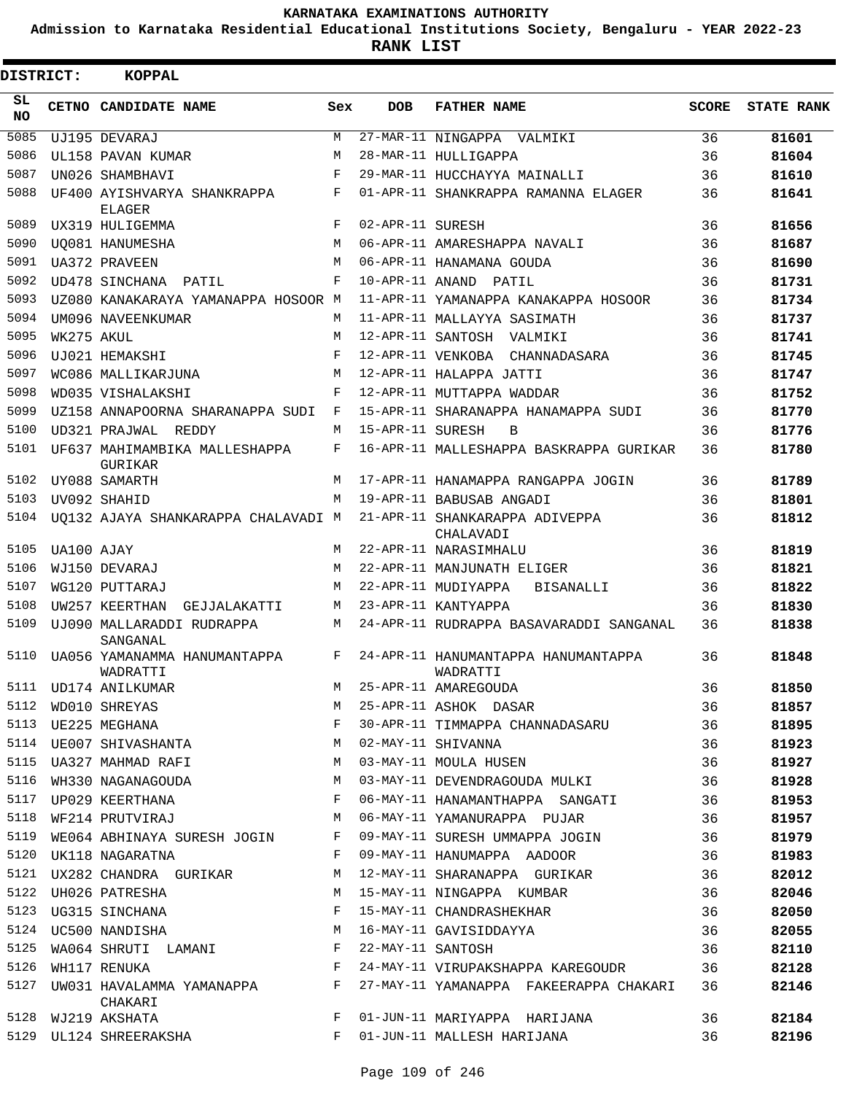**Admission to Karnataka Residential Educational Institutions Society, Bengaluru - YEAR 2022-23**

**RANK LIST**

| DISTRICT:       |            | KOPPAL                                          |     |                   |                                                                                 |              |                   |
|-----------------|------------|-------------------------------------------------|-----|-------------------|---------------------------------------------------------------------------------|--------------|-------------------|
| SL<br><b>NO</b> |            | CETNO CANDIDATE NAME                            | Sex | <b>DOB</b>        | <b>FATHER NAME</b>                                                              | <b>SCORE</b> | <b>STATE RANK</b> |
| 5085            |            | UJ195 DEVARAJ                                   | M   |                   | 27-MAR-11 NINGAPPA VALMIKI                                                      | 36           | 81601             |
| 5086            |            | UL158 PAVAN KUMAR                               | М   |                   | 28-MAR-11 HULLIGAPPA                                                            | 36           | 81604             |
| 5087            |            | UN026 SHAMBHAVI                                 | F   |                   | 29-MAR-11 HUCCHAYYA MAINALLI                                                    | 36           | 81610             |
| 5088            |            | UF400 AYISHVARYA SHANKRAPPA<br><b>ELAGER</b>    | F   |                   | 01-APR-11 SHANKRAPPA RAMANNA ELAGER                                             | 36           | 81641             |
| 5089            |            | UX319 HULIGEMMA                                 | F   | 02-APR-11 SURESH  |                                                                                 | 36           | 81656             |
| 5090            |            | <b>UO081 HANUMESHA</b>                          | M   |                   | 06-APR-11 AMARESHAPPA NAVALI                                                    | 36           | 81687             |
| 5091            |            | <b>UA372 PRAVEEN</b>                            | M   |                   | 06-APR-11 HANAMANA GOUDA                                                        | 36           | 81690             |
| 5092            |            | UD478 SINCHANA PATIL                            | F   |                   | 10-APR-11 ANAND PATIL                                                           | 36           | 81731             |
| 5093            |            | UZ080 KANAKARAYA YAMANAPPA HOSOOR M             |     |                   | 11-APR-11 YAMANAPPA KANAKAPPA HOSOOR                                            | 36           | 81734             |
| 5094            |            | UM096 NAVEENKUMAR                               | M   |                   | 11-APR-11 MALLAYYA SASIMATH                                                     | 36           | 81737             |
| 5095            | WK275 AKUL |                                                 | М   |                   | 12-APR-11 SANTOSH VALMIKI                                                       | 36           | 81741             |
| 5096            |            | UJ021 HEMAKSHI                                  | F   |                   | 12-APR-11 VENKOBA CHANNADASARA                                                  | 36           | 81745             |
| 5097            |            | WC086 MALLIKARJUNA                              | M   |                   | 12-APR-11 HALAPPA JATTI                                                         | 36           | 81747             |
| 5098            |            | WD035 VISHALAKSHI                               | F   |                   | 12-APR-11 MUTTAPPA WADDAR                                                       | 36           | 81752             |
| 5099            |            | UZ158 ANNAPOORNA SHARANAPPA SUDI F              |     |                   | 15-APR-11 SHARANAPPA HANAMAPPA SUDI                                             | 36           | 81770             |
| 5100            |            | UD321 PRAJWAL REDDY                             | M   | 15-APR-11 SURESH  | $\overline{B}$                                                                  | 36           | 81776             |
| 5101            |            | UF637 MAHIMAMBIKA MALLESHAPPA<br><b>GURIKAR</b> | F   |                   | 16-APR-11 MALLESHAPPA BASKRAPPA GURIKAR                                         | 36           | 81780             |
| 5102            |            | UY088 SAMARTH                                   | M   |                   | 17-APR-11 HANAMAPPA RANGAPPA JOGIN                                              | 36           | 81789             |
| 5103            |            | UV092 SHAHID                                    | M   |                   | 19-APR-11 BABUSAB ANGADI                                                        | 36           | 81801             |
| 5104            |            |                                                 |     |                   | UQ132 AJAYA SHANKARAPPA CHALAVADI M 21-APR-11 SHANKARAPPA ADIVEPPA<br>CHALAVADI | 36           | 81812             |
| 5105            | UA100 AJAY |                                                 | M   |                   | 22-APR-11 NARASIMHALU                                                           | 36           | 81819             |
| 5106            |            | WJ150 DEVARAJ                                   | M   |                   | 22-APR-11 MANJUNATH ELIGER                                                      | 36           | 81821             |
| 5107            |            | WG120 PUTTARAJ                                  | М   |                   | 22-APR-11 MUDIYAPPA<br>BISANALLI                                                | 36           | 81822             |
| 5108            |            | UW257 KEERTHAN<br>GEJJALAKATTI                  | M   |                   | 23-APR-11 KANTYAPPA                                                             | 36           | 81830             |
| 5109            |            | UJ090 MALLARADDI RUDRAPPA<br>SANGANAL           | M   |                   | 24-APR-11 RUDRAPPA BASAVARADDI SANGANAL                                         | 36           | 81838             |
| 5110            |            | UA056 YAMANAMMA HANUMANTAPPA<br>WADRATTI        | F   |                   | 24-APR-11 HANUMANTAPPA HANUMANTAPPA<br>WADRATTI                                 | 36           | 81848             |
|                 |            | 5111 UD174 ANILKUMAR                            |     |                   | M 25-APR-11 AMAREGOUDA                                                          | 36           | 81850             |
| 5112            |            | WD010 SHREYAS                                   | М   |                   | 25-APR-11 ASHOK DASAR                                                           | 36           | 81857             |
| 5113            |            | UE225 MEGHANA                                   | F   |                   | 30-APR-11 TIMMAPPA CHANNADASARU                                                 | 36           | 81895             |
|                 |            | 5114 UE007 SHIVASHANTA                          | M   |                   | 02-MAY-11 SHIVANNA                                                              | 36           | 81923             |
| 5115            |            | UA327 MAHMAD RAFI                               | М   |                   | 03-MAY-11 MOULA HUSEN                                                           | 36           | 81927             |
| 5116            |            | WH330 NAGANAGOUDA                               | M   |                   | 03-MAY-11 DEVENDRAGOUDA MULKI                                                   | 36           | 81928             |
| 5117            |            | UP029 KEERTHANA                                 | F   |                   | 06-MAY-11 HANAMANTHAPPA SANGATI                                                 | 36           | 81953             |
| 5118            |            | WF214 PRUTVIRAJ                                 | M   |                   | 06-MAY-11 YAMANURAPPA PUJAR                                                     | 36           | 81957             |
| 5119            |            | WE064 ABHINAYA SURESH JOGIN                     | F   |                   | 09-MAY-11 SURESH UMMAPPA JOGIN                                                  | 36           | 81979             |
| 5120            |            | UK118 NAGARATNA                                 | F   |                   | 09-MAY-11 HANUMAPPA AADOOR                                                      | 36           | 81983             |
| 5121            |            | UX282 CHANDRA GURIKAR                           | М   |                   | 12-MAY-11 SHARANAPPA GURIKAR                                                    | 36           | 82012             |
| 5122            |            | UH026 PATRESHA                                  | M   |                   | 15-MAY-11 NINGAPPA KUMBAR                                                       | 36           | 82046             |
| 5123            |            |                                                 | F   |                   | 15-MAY-11 CHANDRASHEKHAR                                                        | 36           | 82050             |
| 5124            |            | UG315 SINCHANA<br>UC500 NANDISHA                | M   |                   | 16-MAY-11 GAVISIDDAYYA                                                          | 36           | 82055             |
| 5125            |            | WA064 SHRUTI LAMANI                             | F   | 22-MAY-11 SANTOSH |                                                                                 | 36           | 82110             |
| 5126            |            | WH117 RENUKA                                    | F   |                   | 24-MAY-11 VIRUPAKSHAPPA KAREGOUDR                                               | 36           | 82128             |
| 5127            |            | UW031 HAVALAMMA YAMANAPPA<br>CHAKARI            | F   |                   | 27-MAY-11 YAMANAPPA FAKEERAPPA CHAKARI                                          | 36           | 82146             |
| 5128            |            | WJ219 AKSHATA                                   | F   |                   | 01-JUN-11 MARIYAPPA HARIJANA                                                    | 36           | 82184             |
| 5129            |            | UL124 SHREERAKSHA                               | F   |                   | 01-JUN-11 MALLESH HARIJANA                                                      | 36           | 82196             |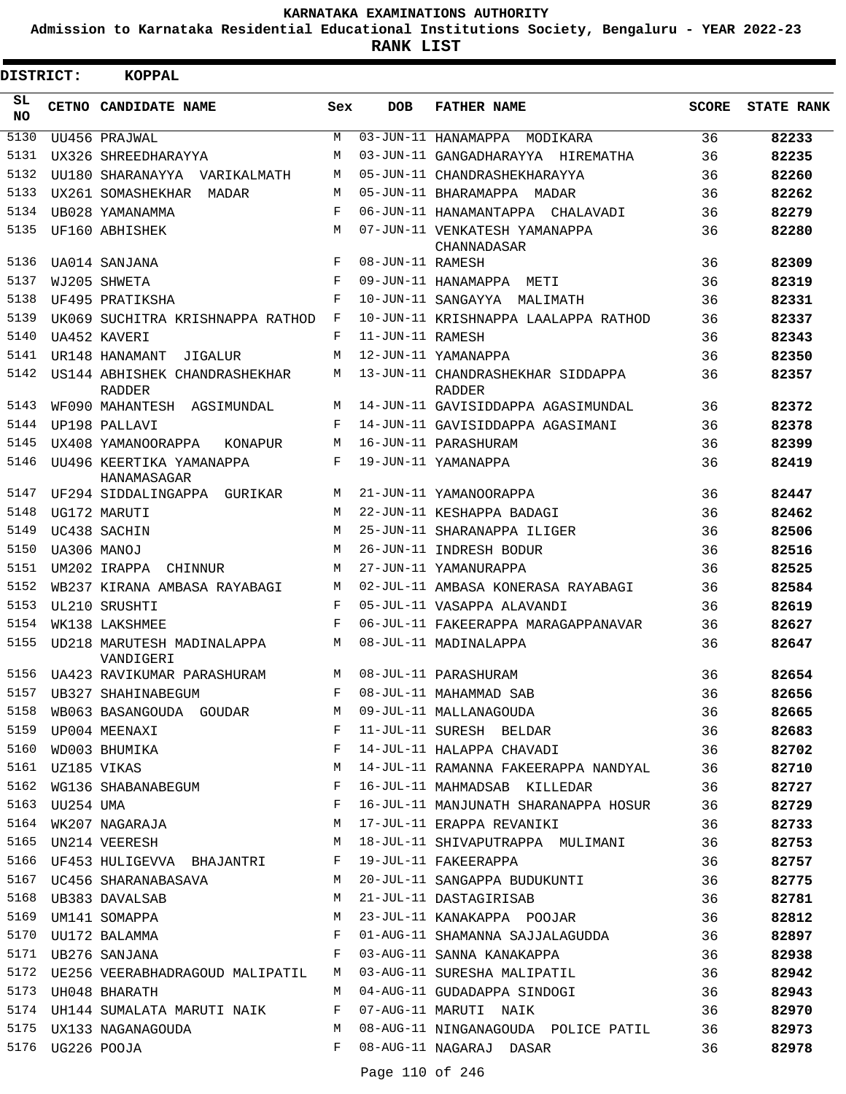**Admission to Karnataka Residential Educational Institutions Society, Bengaluru - YEAR 2022-23**

**RANK LIST**

| <b>DISTRICT:</b> |                  | <b>KOPPAL</b>                                  |            |                  |                                                                             |              |                   |
|------------------|------------------|------------------------------------------------|------------|------------------|-----------------------------------------------------------------------------|--------------|-------------------|
| SL<br>NO.        |                  | CETNO CANDIDATE NAME                           | Sex        | <b>DOB</b>       | <b>FATHER NAME</b>                                                          | <b>SCORE</b> | <b>STATE RANK</b> |
| 5130             |                  | UU456 PRAJWAL                                  | M          |                  | 03-JUN-11 HANAMAPPA MODIKARA                                                | 36           | 82233             |
| 5131             |                  | UX326 SHREEDHARAYYA                            | M          |                  | 03-JUN-11 GANGADHARAYYA HIREMATHA                                           | 36           | 82235             |
| 5132             |                  | UU180 SHARANAYYA VARIKALMATH                   | M          |                  | 05-JUN-11 CHANDRASHEKHARAYYA                                                | 36           | 82260             |
| 5133             |                  | UX261 SOMASHEKHAR<br>MADAR                     | М          |                  | 05-JUN-11 BHARAMAPPA MADAR                                                  | 36           | 82262             |
| 5134             |                  | UB028 YAMANAMMA                                | F          |                  | 06-JUN-11 HANAMANTAPPA CHALAVADI                                            | 36           | 82279             |
| 5135             |                  | UF160 ABHISHEK                                 | М          |                  | 07-JUN-11 VENKATESH YAMANAPPA<br>CHANNADASAR                                | 36           | 82280             |
| 5136             |                  | UA014 SANJANA                                  | F          | 08-JUN-11 RAMESH |                                                                             | 36           | 82309             |
| 5137             |                  | WJ205 SHWETA                                   | $_{\rm F}$ |                  | 09-JUN-11 HANAMAPPA METI                                                    | 36           | 82319             |
| 5138             |                  | UF495 PRATIKSHA                                | F          |                  | 10-JUN-11 SANGAYYA MALIMATH                                                 | 36           | 82331             |
| 5139             |                  | UK069 SUCHITRA KRISHNAPPA RATHOD               | F          |                  | 10-JUN-11 KRISHNAPPA LAALAPPA RATHOD                                        | 36           | 82337             |
| 5140             |                  | UA452 KAVERI                                   | F          | 11-JUN-11 RAMESH |                                                                             | 36           | 82343             |
| 5141             |                  | UR148 HANAMANT<br>JIGALUR                      | M          |                  | 12-JUN-11 YAMANAPPA                                                         | 36           | 82350             |
| 5142             |                  | US144 ABHISHEK CHANDRASHEKHAR<br><b>RADDER</b> | М          |                  | 13-JUN-11 CHANDRASHEKHAR SIDDAPPA<br><b>RADDER</b>                          | 36           | 82357             |
| 5143             |                  | WF090 MAHANTESH AGSIMUNDAL                     | M          |                  | 14-JUN-11 GAVISIDDAPPA AGASIMUNDAL                                          | 36           | 82372             |
| 5144             |                  | UP198 PALLAVI                                  | F          |                  | 14-JUN-11 GAVISIDDAPPA AGASIMANI                                            | 36           | 82378             |
| 5145             |                  | UX408 YAMANOORAPPA<br>KONAPUR                  | М          |                  | 16-JUN-11 PARASHURAM                                                        | 36           | 82399             |
| 5146             |                  | UU496 KEERTIKA YAMANAPPA<br>HANAMASAGAR        | F          |                  | 19-JUN-11 YAMANAPPA                                                         | 36           | 82419             |
| 5147             |                  | UF294 SIDDALINGAPPA GURIKAR                    | М          |                  | 21-JUN-11 YAMANOORAPPA                                                      | 36           | 82447             |
| 5148             |                  | UG172 MARUTI                                   | M          |                  | 22-JUN-11 KESHAPPA BADAGI                                                   | 36           | 82462             |
| 5149             |                  | UC438 SACHIN                                   | M          |                  | 25-JUN-11 SHARANAPPA ILIGER                                                 | 36           | 82506             |
| 5150             |                  | UA306 MANOJ                                    | M          |                  | 26-JUN-11 INDRESH BODUR                                                     | 36           | 82516             |
| 5151             |                  | UM202 IRAPPA<br>CHINNUR                        | М          |                  | 27-JUN-11 YAMANURAPPA                                                       | 36           | 82525             |
| 5152             |                  | WB237 KIRANA AMBASA RAYABAGI                   | M          |                  | 02-JUL-11 AMBASA KONERASA RAYABAGI                                          | 36           | 82584             |
| 5153             |                  | UL210 SRUSHTI                                  | F          |                  | 05-JUL-11 VASAPPA ALAVANDI                                                  | 36           | 82619             |
| 5154             |                  | WK138 LAKSHMEE                                 | $_{\rm F}$ |                  | 06-JUL-11 FAKEERAPPA MARAGAPPANAVAR                                         | 36           | 82627             |
| 5155             |                  | UD218 MARUTESH MADINALAPPA<br>VANDIGERI        | М          |                  | 08-JUL-11 MADINALAPPA                                                       | 36           | 82647             |
|                  |                  | 5156 UA423 RAVIKUMAR PARASHURAM                | M          |                  | 08-JUL-11 PARASHIRAM                                                        | 36           | 82654             |
| 5157             |                  | UB327 SHAHINABEGUM                             | F          |                  |                                                                             | 36           | 82656             |
| 5158             |                  | WB063 BASANGOUDA GOUDAR M                      |            |                  | 08-JUL-11 MAHAMMAD SAB<br>09-JUL-11 MALLANAGOUDA<br>11-JUL-11 SURESH BELDAR | 36           | 82665             |
| 5159             |                  | UP004 MEENAXI                                  | F          |                  |                                                                             | 36           | 82683             |
| 5160             |                  | WD003 BHUMIKA                                  | F          |                  | 14-JUL-11 HALAPPA CHAVADI                                                   | 36           | 82702             |
| 5161             |                  | UZ185 VIKAS                                    | М          |                  | 14-JUL-11 RAMANNA FAKEERAPPA NANDYAL                                        | 36           | 82710             |
| 5162             |                  | WG136 SHABANABEGUM                             | F          |                  | 16-JUL-11 MAHMADSAB KILLEDAR                                                | 36           | 82727             |
| 5163             |                  | UU254 UMA<br>WK207 NAGARAJA                    | F          |                  | 16-JUL-11 MANJUNATH SHARANAPPA HOSUR                                        | 36           | 82729             |
| 5164             |                  |                                                | M          |                  | 17-JUL-11 ERAPPA REVANIKI                                                   | 36           | 82733             |
| 5165             |                  | UN214 VEERESH                                  | М          |                  | 18-JUL-11 SHIVAPUTRAPPA MULIMANI                                            | 36           | 82753             |
|                  |                  | 5166 UF453 HULIGEVVA BHAJANTRI F               |            |                  | 19-JUL-11 FAKEERAPPA                                                        | 36           | 82757             |
|                  |                  | 5167 UC456 SHARANABASAVA                       | M          |                  | 20-JUL-11 SANGAPPA BUDUKUNTI                                                | 36           | 82775             |
|                  |                  | 5168 UB383 DAVALSAB                            | M          |                  | 21-JUL-11 DASTAGIRISAB                                                      | 36           | 82781             |
| 5169             |                  | UM141 SOMAPPA                                  | M          |                  | 23-JUL-11 KANAKAPPA POOJAR                                                  | 36           | 82812             |
|                  |                  | 5170 UU172 BALAMMA                             | F          |                  | 01-AUG-11 SHAMANNA SAJJALAGUDDA                                             | 36           | 82897             |
| 5171             |                  | UB276 SANJANA                                  | F          |                  | 03-AUG-11 SANNA KANAKAPPA                                                   | 36           | 82938             |
| 5172             |                  | UE256 VEERABHADRAGOUD MALIPATIL                | M          |                  | 03-AUG-11 SURESHA MALIPATIL                                                 | 36           | 82942             |
| 5173             |                  | UH048 BHARATH                                  | M          |                  | 04-AUG-11 GUDADAPPA SINDOGI                                                 | 36           | 82943             |
|                  |                  | 5174 UH144 SUMALATA MARUTI NAIK                | F          |                  | 07-AUG-11 MARUTI NAIK                                                       | 36           | 82970             |
|                  |                  | 5175 UX133 NAGANAGOUDA                         | M          |                  | 08-AUG-11 NINGANAGOUDA POLICE PATIL                                         | 36           | 82973             |
|                  | 5176 UG226 POOJA |                                                | F          |                  | 08-AUG-11 NAGARAJ DASAR                                                     | 36           | 82978             |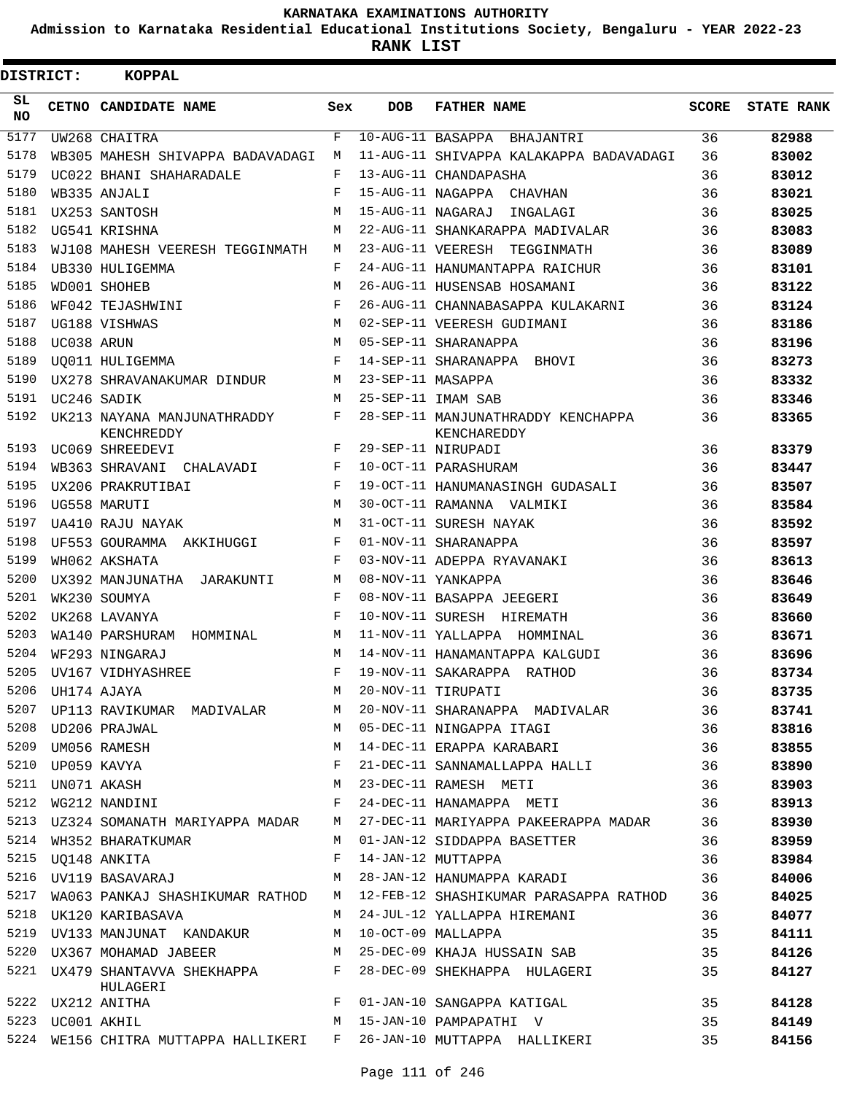**Admission to Karnataka Residential Educational Institutions Society, Bengaluru - YEAR 2022-23**

**RANK LIST**

Е

| <b>DISTRICT:</b> |                  | <b>KOPPAL</b>                             |            |                   |                                                   |       |                   |
|------------------|------------------|-------------------------------------------|------------|-------------------|---------------------------------------------------|-------|-------------------|
| SL<br><b>NO</b>  |                  | <b>CETNO CANDIDATE NAME</b>               | Sex        | <b>DOB</b>        | <b>FATHER NAME</b>                                | SCORE | <b>STATE RANK</b> |
| 5177             |                  | UW268 CHAITRA                             | F          |                   | 10-AUG-11 BASAPPA BHAJANTRI                       | 36    | 82988             |
| 5178             |                  | WB305 MAHESH SHIVAPPA BADAVADAGI          | М          |                   | 11-AUG-11 SHIVAPPA KALAKAPPA BADAVADAGI           | 36    | 83002             |
| 5179             |                  | UC022 BHANI SHAHARADALE                   | F          |                   | 13-AUG-11 CHANDAPASHA                             | 36    | 83012             |
| 5180             |                  | WB335 ANJALI                              | F          |                   | 15-AUG-11 NAGAPPA CHAVHAN                         | 36    | 83021             |
| 5181             |                  | UX253 SANTOSH                             | М          |                   | 15-AUG-11 NAGARAJ<br>INGALAGI                     | 36    | 83025             |
| 5182             |                  | UG541 KRISHNA                             | M          |                   | 22-AUG-11 SHANKARAPPA MADIVALAR                   | 36    | 83083             |
| 5183             |                  | WJ108 MAHESH VEERESH TEGGINMATH           | M          |                   | 23-AUG-11 VEERESH<br>TEGGINMATH                   | 36    | 83089             |
| 5184             |                  | UB330 HULIGEMMA                           | F          |                   | 24-AUG-11 HANUMANTAPPA RAICHUR                    | 36    | 83101             |
| 5185             |                  | WD001 SHOHEB                              | М          |                   | 26-AUG-11 HUSENSAB HOSAMANI                       | 36    | 83122             |
| 5186             |                  | WF042 TEJASHWINI                          | F          |                   | 26-AUG-11 CHANNABASAPPA KULAKARNI                 | 36    | 83124             |
| 5187             |                  | UG188 VISHWAS                             | M          |                   | 02-SEP-11 VEERESH GUDIMANI                        | 36    | 83186             |
| 5188             | UC038 ARUN       |                                           | M          |                   | 05-SEP-11 SHARANAPPA                              | 36    | 83196             |
| 5189             |                  | UQ011 HULIGEMMA                           | F          |                   | 14-SEP-11 SHARANAPPA BHOVI                        | 36    | 83273             |
| 5190             |                  | UX278 SHRAVANAKUMAR DINDUR                | M          | 23-SEP-11 MASAPPA |                                                   | 36    | 83332             |
| 5191             |                  | UC246 SADIK                               | M          |                   | 25-SEP-11 IMAM SAB                                | 36    | 83346             |
| 5192             |                  | UK213 NAYANA MANJUNATHRADDY<br>KENCHREDDY | F          |                   | 28-SEP-11 MANJUNATHRADDY KENCHAPPA<br>KENCHAREDDY | 36    | 83365             |
| 5193             |                  | UC069 SHREEDEVI                           | F          |                   | 29-SEP-11 NIRUPADI                                | 36    | 83379             |
| 5194             |                  | WB363 SHRAVANI CHALAVADI                  | F          |                   | 10-OCT-11 PARASHURAM                              | 36    | 83447             |
| 5195             |                  | UX206 PRAKRUTIBAI                         | $_{\rm F}$ |                   | 19-OCT-11 HANUMANASINGH GUDASALI                  | 36    | 83507             |
| 5196             |                  | UG558 MARUTI                              | M          |                   | 30-OCT-11 RAMANNA VALMIKI                         | 36    | 83584             |
| 5197             |                  | UA410 RAJU NAYAK                          | M          |                   | 31-OCT-11 SURESH NAYAK                            | 36    | 83592             |
| 5198             |                  | UF553 GOURAMMA AKKIHUGGI                  | F          |                   | 01-NOV-11 SHARANAPPA                              | 36    | 83597             |
| 5199             |                  | WH062 AKSHATA                             | $_{\rm F}$ |                   | 03-NOV-11 ADEPPA RYAVANAKI                        | 36    | 83613             |
| 5200             |                  | UX392 MANJUNATHA<br>JARAKUNTI             | М          |                   | 08-NOV-11 YANKAPPA                                | 36    | 83646             |
| 5201             |                  | WK230 SOUMYA                              | F          |                   | 08-NOV-11 BASAPPA JEEGERI                         | 36    | 83649             |
| 5202             |                  | UK268 LAVANYA                             | F          |                   | 10-NOV-11 SURESH HIREMATH                         | 36    | 83660             |
| 5203             |                  | WA140 PARSHURAM HOMMINAL                  | M          |                   | 11-NOV-11 YALLAPPA HOMMINAL                       | 36    | 83671             |
| 5204             |                  | WF293 NINGARAJ                            | М          |                   | 14-NOV-11 HANAMANTAPPA KALGUDI                    | 36    | 83696             |
| 5205             |                  | UV167 VIDHYASHREE                         | F          |                   | 19-NOV-11 SAKARAPPA RATHOD                        | 36    | 83734             |
|                  | 5206 UH174 AJAYA |                                           | М          |                   | 20-NOV-11 TIRUPATI                                | 36    | 83735             |
|                  |                  | 5207 UP113 RAVIKUMAR MADIVALAR            | M          |                   | 20-NOV-11 SHARANAPPA MADIVALAR                    | 36    | 83741             |
|                  |                  | 5208 UD206 PRAJWAL                        | M          |                   | 05-DEC-11 NINGAPPA ITAGI                          | 36    | 83816             |
|                  |                  | 5209 UM056 RAMESH                         | M          |                   | 14-DEC-11 ERAPPA KARABARI                         | 36    | 83855             |
|                  | 5210 UP059 KAVYA |                                           | F          |                   | 21-DEC-11 SANNAMALLAPPA HALLI                     | 36    | 83890             |
|                  |                  | 5211 UN071 AKASH                          | M          |                   | 23-DEC-11 RAMESH METI                             | 36    | 83903             |
| 5212             |                  | WG212 NANDINI                             | F          |                   | 24-DEC-11 HANAMAPPA METI                          | 36    | 83913             |
|                  |                  | 5213 UZ324 SOMANATH MARIYAPPA MADAR       | M          |                   | 27-DEC-11 MARIYAPPA PAKEERAPPA MADAR              | 36    | 83930             |
| 5214             |                  | WH352 BHARATKUMAR                         | M          |                   | 01-JAN-12 SIDDAPPA BASETTER                       | 36    | 83959             |
|                  |                  | 5215 UQ148 ANKITA                         | F          |                   | 14-JAN-12 MUTTAPPA                                | 36    | 83984             |
| 5216             |                  | UV119 BASAVARAJ                           | M          |                   | 28-JAN-12 HANUMAPPA KARADI                        | 36    | 84006             |
| 5217             |                  | WA063 PANKAJ SHASHIKUMAR RATHOD           |            |                   | M 12-FEB-12 SHASHIKUMAR PARASAPPA RATHOD          | 36    | 84025             |
|                  |                  | 5218 UK120 KARIBASAVA                     | M          |                   | 24-JUL-12 YALLAPPA HIREMANI                       | 36    | 84077             |
|                  |                  | 5219 UV133 MANJUNAT KANDAKUR              | M          |                   | 10-OCT-09 MALLAPPA                                | 35    | 84111             |
| 5220             |                  | UX367 MOHAMAD JABEER                      | M          |                   | 25-DEC-09 KHAJA HUSSAIN SAB                       | 35    | 84126             |
| 5221             |                  | UX479 SHANTAVVA SHEKHAPPA<br>HULAGERI     | F          |                   | 28-DEC-09 SHEKHAPPA HULAGERI                      | 35    | 84127             |
|                  |                  | 5222 UX212 ANITHA                         | F          |                   | 01-JAN-10 SANGAPPA KATIGAL                        | 35    | 84128             |
|                  | 5223 UC001 AKHIL |                                           | M          |                   | 15-JAN-10 PAMPAPATHI V                            | 35    | 84149             |
|                  |                  | 5224 WE156 CHITRA MUTTAPPA HALLIKERI F    |            |                   | 26-JAN-10 MUTTAPPA HALLIKERI                      | 35    | 84156             |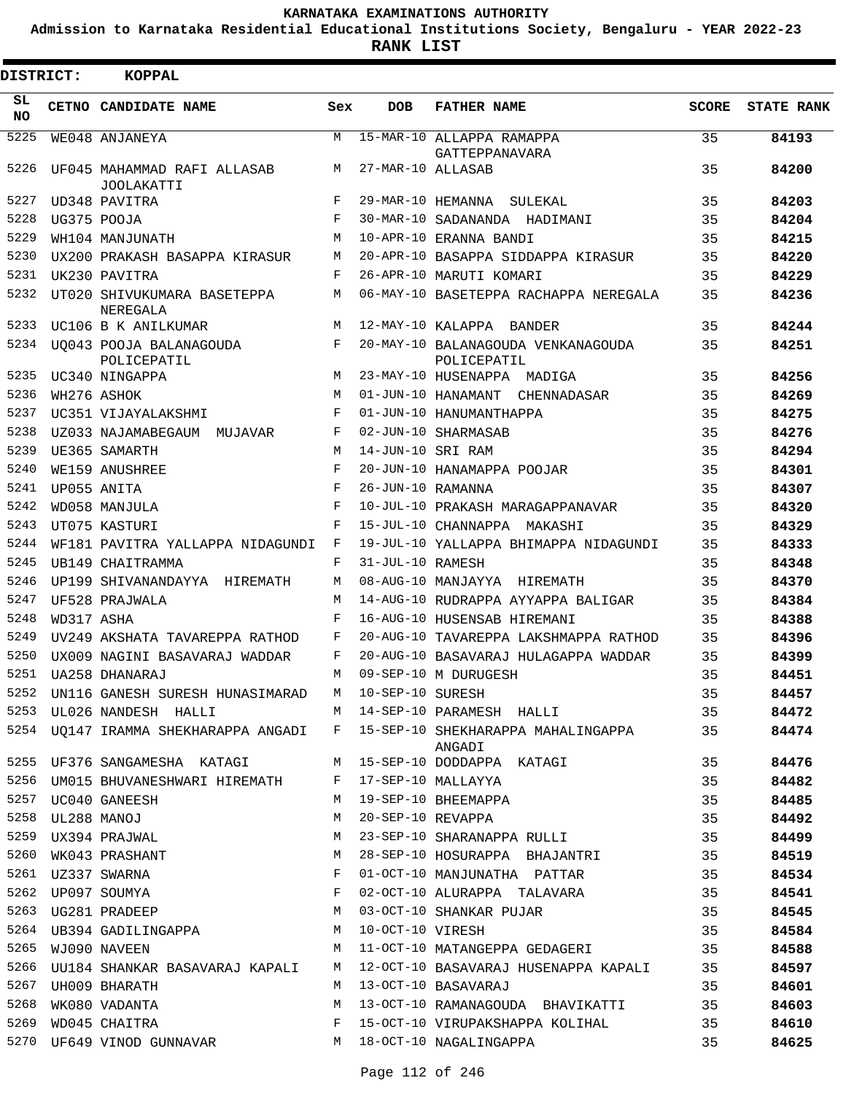**Admission to Karnataka Residential Educational Institutions Society, Bengaluru - YEAR 2022-23**

**RANK LIST**

| <b>DISTRICT:</b> |                  | <b>KOPPAL</b>                                    |     |                   |                                                                                     |              |                   |
|------------------|------------------|--------------------------------------------------|-----|-------------------|-------------------------------------------------------------------------------------|--------------|-------------------|
| SL.<br>NO.       |                  | CETNO CANDIDATE NAME                             | Sex | <b>DOB</b>        | <b>FATHER NAME</b>                                                                  | <b>SCORE</b> | <b>STATE RANK</b> |
| 5225             |                  | WE048 ANJANEYA                                   | M   |                   | 15-MAR-10 ALLAPPA RAMAPPA<br>GATTEPPANAVARA                                         | 35           | 84193             |
| 5226             |                  | UF045 MAHAMMAD RAFI ALLASAB<br><b>JOOLAKATTI</b> | M   | 27-MAR-10 ALLASAB |                                                                                     | 35           | 84200             |
| 5227             |                  | UD348 PAVITRA                                    | F   |                   | 29-MAR-10 HEMANNA SULEKAL                                                           | 35           | 84203             |
| 5228             |                  | UG375 POOJA                                      | F   |                   | 30-MAR-10 SADANANDA HADIMANI                                                        | 35           | 84204             |
| 5229             |                  | WH104 MANJUNATH                                  | M   |                   | 10-APR-10 ERANNA BANDI                                                              | 35           | 84215             |
| 5230             |                  | UX200 PRAKASH BASAPPA KIRASUR                    | M   |                   | 20-APR-10 BASAPPA SIDDAPPA KIRASUR                                                  | 35           | 84220             |
| 5231             |                  | UK230 PAVITRA                                    | F   |                   | 26-APR-10 MARUTI KOMARI                                                             | 35           | 84229             |
| 5232             |                  | UT020 SHIVUKUMARA BASETEPPA<br>NEREGALA          | M   |                   | 06-MAY-10 BASETEPPA RACHAPPA NEREGALA                                               | 35           | 84236             |
| 5233             |                  | UC106 B K ANILKUMAR                              | M   |                   | 12-MAY-10 KALAPPA BANDER                                                            | 35           | 84244             |
| 5234             |                  | UQ043 POOJA BALANAGOUDA<br>POLICEPATIL           | F   |                   | 20-MAY-10 BALANAGOUDA VENKANAGOUDA<br>POLICEPATIL                                   | 35           | 84251             |
| 5235             |                  | UC340 NINGAPPA                                   | M   |                   | 23-MAY-10 HUSENAPPA MADIGA                                                          | 35           | 84256             |
| 5236             |                  | WH276 ASHOK                                      | M   |                   | 01-JUN-10 HANAMANT CHENNADASAR                                                      | 35           | 84269             |
| 5237             |                  | UC351 VIJAYALAKSHMI                              | F   |                   | 01-JUN-10 HANUMANTHAPPA                                                             | 35           | 84275             |
| 5238             |                  | UZ033 NAJAMABEGAUM MUJAVAR                       | F   |                   | 02-JUN-10 SHARMASAB                                                                 | 35           | 84276             |
| 5239             |                  | UE365 SAMARTH                                    | M   | 14-JUN-10 SRI RAM |                                                                                     | 35           | 84294             |
| 5240             |                  | WE159 ANUSHREE                                   | F   |                   | 20-JUN-10 HANAMAPPA POOJAR                                                          | 35           | 84301             |
| 5241             |                  | UP055 ANITA                                      | F   | 26-JUN-10 RAMANNA |                                                                                     | 35           | 84307             |
| 5242             |                  | WD058 MANJULA                                    | F   |                   | 10-JUL-10 PRAKASH MARAGAPPANAVAR                                                    | 35           | 84320             |
| 5243             |                  | UT075 KASTURI                                    | F   |                   | 15-JUL-10 CHANNAPPA MAKASHI                                                         | 35           | 84329             |
| 5244             |                  | WF181 PAVITRA YALLAPPA NIDAGUNDI                 | F   |                   | 19-JUL-10 YALLAPPA BHIMAPPA NIDAGUNDI                                               | 35           | 84333             |
| 5245             |                  | UB149 CHAITRAMMA                                 | F   | 31-JUL-10 RAMESH  |                                                                                     | 35           | 84348             |
| 5246             |                  | UP199 SHIVANANDAYYA HIREMATH                     | M   |                   | 08-AUG-10 MANJAYYA HIREMATH                                                         | 35           | 84370             |
| 5247             |                  | UF528 PRAJWALA                                   | M   |                   | 14-AUG-10 RUDRAPPA AYYAPPA BALIGAR                                                  | 35           | 84384             |
| 5248             | WD317 ASHA       |                                                  | F   |                   | 16-AUG-10 HUSENSAB HIREMANI                                                         | 35           | 84388             |
| 5249             |                  | UV249 AKSHATA TAVAREPPA RATHOD                   | F   |                   | 20-AUG-10 TAVAREPPA LAKSHMAPPA RATHOD                                               | 35           | 84396             |
| 5250             |                  | UX009 NAGINI BASAVARAJ WADDAR                    | F   |                   | 20-AUG-10 BASAVARAJ HULAGAPPA WADDAR                                                | 35           | 84399             |
| 5251             |                  | UA258 DHANARAJ                                   | М   |                   | 09-SEP-10 M DURUGESH                                                                | 35           | 84451             |
| 5252             |                  | UN116 GANESH SURESH HUNASIMARAD                  | M   | 10-SEP-10 SURESH  |                                                                                     | 35           | 84457             |
|                  |                  | 5253 UL026 NANDESH HALLI                         |     |                   | M 14-SEP-10 PARAMESH HALLI                                                          | 35           | 84472             |
|                  |                  |                                                  |     |                   | 5254 UQ147 IRAMMA SHEKHARAPPA ANGADI F 15-SEP-10 SHEKHARAPPA MAHALINGAPPA<br>ANGADI | 35           | 84474             |
|                  |                  | 5255 UF376 SANGAMESHA KATAGI                     |     |                   | M 15-SEP-10 DODDAPPA KATAGI                                                         | 35           | 84476             |
|                  |                  | 5256 UM015 BHUVANESHWARI HIREMATH                | F   |                   | 17-SEP-10 MALLAYYA                                                                  | 35           | 84482             |
|                  |                  | 5257 UC040 GANEESH                               | M   |                   | 19-SEP-10 BHEEMAPPA                                                                 | 35           | 84485             |
|                  | 5258 UL288 MANOJ |                                                  | М   | 20-SEP-10 REVAPPA |                                                                                     | 35           | 84492             |
|                  |                  | 5259 UX394 PRAJWAL                               | M   |                   | 23-SEP-10 SHARANAPPA RULLI                                                          | 35           | 84499             |
| 5260             |                  | WK043 PRASHANT                                   | М   |                   | 28-SEP-10 HOSURAPPA BHAJANTRI                                                       | 35           | 84519             |
|                  |                  |                                                  | F   |                   | 01-OCT-10 MANJUNATHA PATTAR                                                         | 35           | 84534             |
|                  |                  | 5262 UP097 SOUMYA                                | F   |                   | 02-OCT-10 ALURAPPA TALAVARA                                                         | 35           | 84541             |
|                  |                  | 5263 UG281 PRADEEP                               | M   |                   | 03-OCT-10 SHANKAR PUJAR                                                             | 35           | 84545             |
|                  |                  | 5264 UB394 GADILINGAPPA                          | М   | 10-OCT-10 VIRESH  |                                                                                     | 35           | 84584             |
| 5265             |                  | WJ090 NAVEEN                                     | M   |                   | 11-OCT-10 MATANGEPPA GEDAGERI                                                       | 35           | 84588             |
| 5266             |                  | UU184 SHANKAR BASAVARAJ KAPALI                   | M   |                   | 12-OCT-10 BASAVARAJ HUSENAPPA KAPALI                                                | 35           | 84597             |
|                  |                  | 5267 UH009 BHARATH                               | M   |                   | 13-OCT-10 BASAVARAJ                                                                 | 35           | 84601             |
| 5268             |                  | WK080 VADANTA                                    | M   |                   | 13-OCT-10 RAMANAGOUDA BHAVIKATTI                                                    | 35           | 84603             |
| 5269             |                  | WD045 CHAITRA                                    | F   |                   | 15-OCT-10 VIRUPAKSHAPPA KOLIHAL                                                     | 35           | 84610             |
|                  |                  | 5270 UF649 VINOD GUNNAVAR                        | M   |                   | 18-OCT-10 NAGALINGAPPA                                                              | 35           | 84625             |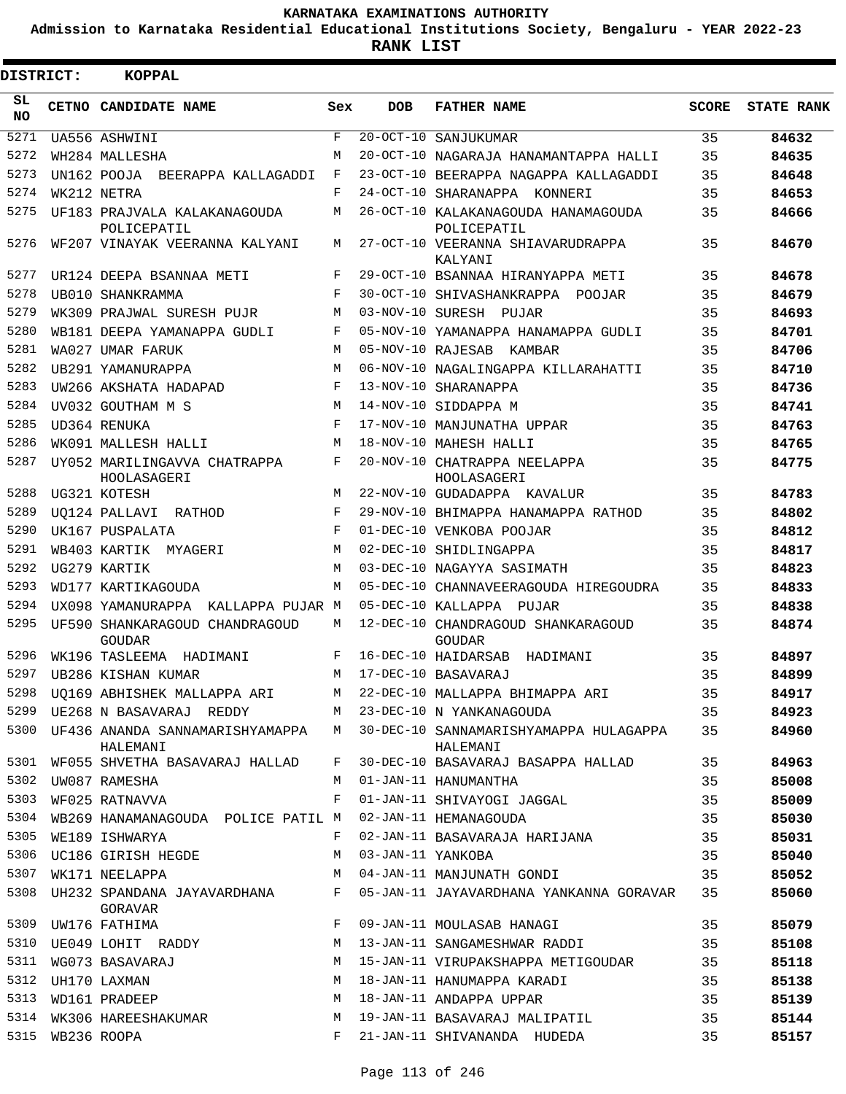**Admission to Karnataka Residential Educational Institutions Society, Bengaluru - YEAR 2022-23**

**RANK LIST**

Е

| DISTRICT:  | <b>KOPPAL</b>                                    |     |                   |                                                      |              |                   |
|------------|--------------------------------------------------|-----|-------------------|------------------------------------------------------|--------------|-------------------|
| SL.<br>NO. | CETNO CANDIDATE NAME                             | Sex | <b>DOB</b>        | <b>FATHER NAME</b>                                   | <b>SCORE</b> | <b>STATE RANK</b> |
| 5271       | UA556 ASHWINI                                    | F   | $20 - OCT - 10$   | SANJUKUMAR                                           | 35           | 84632             |
| 5272       | WH284 MALLESHA                                   | М   |                   | 20-OCT-10 NAGARAJA HANAMANTAPPA HALLI                | 35           | 84635             |
| 5273       | UN162 POOJA BEERAPPA KALLAGADDI                  | F   |                   | 23-OCT-10 BEERAPPA NAGAPPA KALLAGADDI                | 35           | 84648             |
| 5274       | WK212 NETRA                                      | F   | 24-OCT-10         | SHARANAPPA KONNERI                                   | 35           | 84653             |
| 5275       | UF183 PRAJVALA KALAKANAGOUDA<br>POLICEPATIL      | М   |                   | 26-OCT-10 KALAKANAGOUDA HANAMAGOUDA<br>POLICEPATIL   | 35           | 84666             |
| 5276       | WF207 VINAYAK VEERANNA KALYANI                   | М   |                   | 27-OCT-10 VEERANNA SHIAVARUDRAPPA<br>KALYANI         | 35           | 84670             |
| 5277       | UR124 DEEPA BSANNAA METI                         | F   |                   | 29-OCT-10 BSANNAA HIRANYAPPA METI                    | 35           | 84678             |
| 5278       | UB010 SHANKRAMMA                                 | F   |                   | 30-OCT-10 SHIVASHANKRAPPA POOJAR                     | 35           | 84679             |
| 5279       | WK309 PRAJWAL SURESH PUJR                        | M   | 03-NOV-10 SURESH  | PUJAR                                                | 35           | 84693             |
| 5280       | WB181 DEEPA YAMANAPPA GUDLI                      | F   |                   | 05-NOV-10 YAMANAPPA HANAMAPPA GUDLI                  | 35           | 84701             |
| 5281       | WA027 UMAR FARUK                                 | M   |                   | 05-NOV-10 RAJESAB KAMBAR                             | 35           | 84706             |
| 5282       | UB291 YAMANURAPPA                                | M   |                   | 06-NOV-10 NAGALINGAPPA KILLARAHATTI                  | 35           | 84710             |
| 5283       | UW266 AKSHATA HADAPAD                            | F   |                   | 13-NOV-10 SHARANAPPA                                 | 35           | 84736             |
| 5284       | UV032 GOUTHAM M S                                | M   |                   | 14-NOV-10 SIDDAPPA M                                 | 35           | 84741             |
| 5285       | UD364 RENUKA                                     | F   |                   | 17-NOV-10 MANJUNATHA UPPAR                           | 35           | 84763             |
| 5286       | WK091 MALLESH HALLI                              | M   |                   | 18-NOV-10 MAHESH HALLI                               | 35           | 84765             |
| 5287       | UY052 MARILINGAVVA CHATRAPPA<br>HOOLASAGERI      | F   |                   | 20-NOV-10 CHATRAPPA NEELAPPA<br>HOOLASAGERI          | 35           | 84775             |
| 5288       | UG321 KOTESH                                     | M   |                   | 22-NOV-10 GUDADAPPA KAVALUR                          | 35           | 84783             |
| 5289       | UO124 PALLAVI RATHOD                             | F   |                   | 29-NOV-10 BHIMAPPA HANAMAPPA RATHOD                  | 35           | 84802             |
| 5290       | UK167 PUSPALATA                                  | F   |                   | 01-DEC-10 VENKOBA POOJAR                             | 35           | 84812             |
| 5291       | WB403 KARTIK MYAGERI                             | М   |                   | 02-DEC-10 SHIDLINGAPPA                               | 35           | 84817             |
| 5292       | UG279 KARTIK                                     | М   |                   | 03-DEC-10 NAGAYYA SASIMATH                           | 35           | 84823             |
| 5293       | WD177 KARTIKAGOUDA                               | М   |                   | 05-DEC-10 CHANNAVEERAGOUDA HIREGOUDRA                | 35           | 84833             |
| 5294       | UX098 YAMANURAPPA KALLAPPA PUJAR M               |     |                   | 05-DEC-10 KALLAPPA PUJAR                             | 35           | 84838             |
| 5295       | UF590 SHANKARAGOUD CHANDRAGOUD<br><b>GOUDAR</b>  | М   |                   | 12-DEC-10 CHANDRAGOUD SHANKARAGOUD<br>GOUDAR         | 35           | 84874             |
| 5296       | WK196 TASLEEMA<br>HADIMANI                       | F   |                   | 16-DEC-10 HAIDARSAB<br>HADIMANI                      | 35           | 84897             |
| 5297       | UB286 KISHAN KUMAR                               | М   |                   | 17-DEC-10 BASAVARAJ                                  | 35           | 84899             |
| 5298       | UQ169 ABHISHEK MALLAPPA ARI                      | M   |                   | 22-DEC-10 MALLAPPA BHIMAPPA ARI                      | 35           | 84917             |
|            | 5299 UE268 N BASAVARAJ REDDY                     |     |                   | M 23-DEC-10 N YANKANAGOUDA                           | 35           | 84923             |
|            | 5300 UF436 ANANDA SANNAMARISHYAMAPPA<br>HALEMANI |     |                   | M 30-DEC-10 SANNAMARISHYAMAPPA HULAGAPPA<br>HALEMANI | 35           | 84960             |
|            | 5301 WF055 SHVETHA BASAVARAJ HALLAD              | F   |                   | 30-DEC-10 BASAVARAJ BASAPPA HALLAD                   | 35           | 84963             |
| 5302       | UW087 RAMESHA                                    | M   |                   | 01-JAN-11 HANUMANTHA                                 | 35           | 85008             |
| 5303       | WF025 RATNAVVA                                   | F   |                   | 01-JAN-11 SHIVAYOGI JAGGAL                           | 35           | 85009             |
| 5304       | WB269 HANAMANAGOUDA POLICE PATIL M               |     |                   | 02-JAN-11 HEMANAGOUDA                                | 35           | 85030             |
| 5305       | WE189 ISHWARYA                                   | F   |                   | 02-JAN-11 BASAVARAJA HARIJANA                        | 35           | 85031             |
| 5306       | UC186 GIRISH HEGDE                               | М   | 03-JAN-11 YANKOBA |                                                      | 35           | 85040             |
| 5307       | WK171 NEELAPPA                                   | M   |                   | 04-JAN-11 MANJUNATH GONDI                            | 35           | 85052             |
| 5308       | UH232 SPANDANA JAYAVARDHANA<br>GORAVAR           | F   |                   | 05-JAN-11 JAYAVARDHANA YANKANNA GORAVAR              | 35           | 85060             |
| 5309       | UW176 FATHIMA                                    | F   |                   | 09-JAN-11 MOULASAB HANAGI                            | 35           | 85079             |
| 5310       | UE049 LOHIT RADDY                                | M   |                   | 13-JAN-11 SANGAMESHWAR RADDI                         | 35           | 85108             |
| 5311       | WG073 BASAVARAJ                                  | M   |                   | 15-JAN-11 VIRUPAKSHAPPA METIGOUDAR                   | 35           | 85118             |
| 5312       | UH170 LAXMAN                                     | M   |                   | 18-JAN-11 HANUMAPPA KARADI                           | 35           | 85138             |
| 5313       | WD161 PRADEEP                                    | M   |                   | 18-JAN-11 ANDAPPA UPPAR                              | 35           | 85139             |
| 5314       | WK306 HAREESHAKUMAR                              | M   |                   | 19-JAN-11 BASAVARAJ MALIPATIL                        | 35           | 85144             |
| 5315       | WB236 ROOPA                                      | F   |                   | 21-JAN-11 SHIVANANDA HUDEDA                          | 35           | 85157             |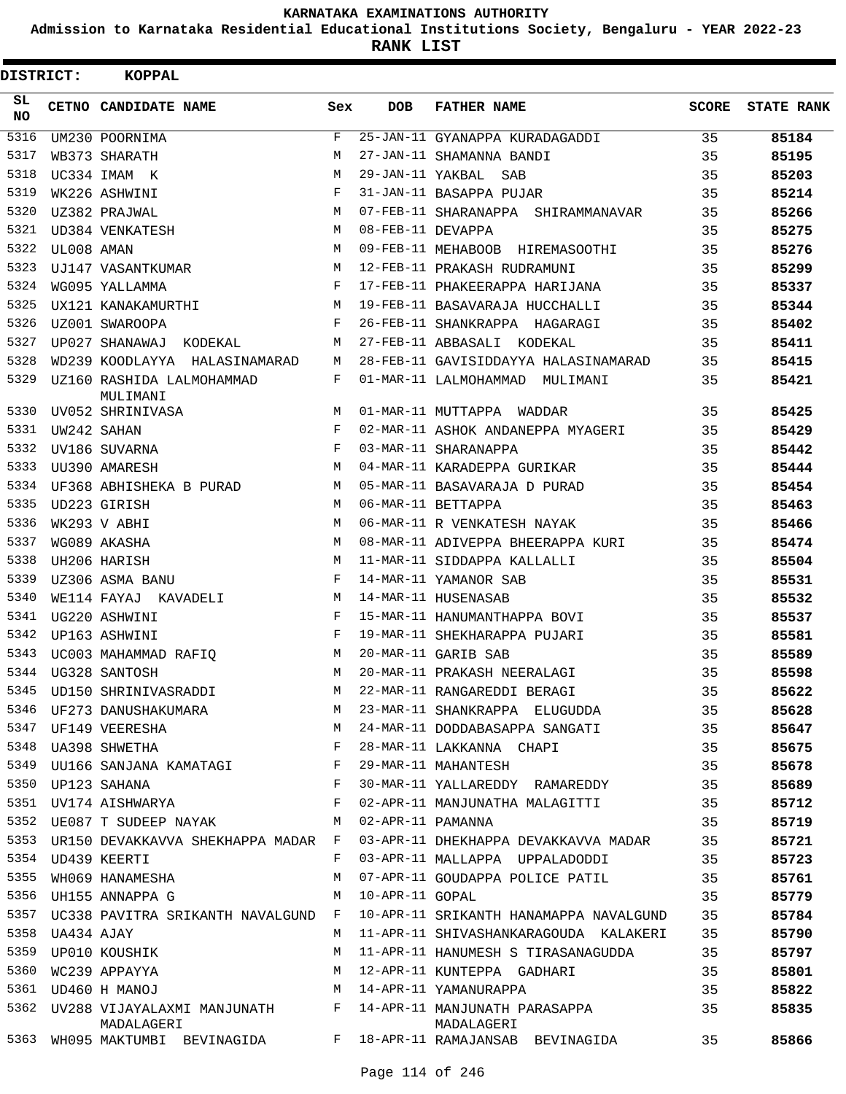**Admission to Karnataka Residential Educational Institutions Society, Bengaluru - YEAR 2022-23**

**RANK LIST**

| DISTRICT:  |            | <b>KOPPAL</b>                           |            |                   |                                                                                |              |                   |
|------------|------------|-----------------------------------------|------------|-------------------|--------------------------------------------------------------------------------|--------------|-------------------|
| SL.<br>NO. |            | CETNO CANDIDATE NAME                    | Sex        | <b>DOB</b>        | <b>FATHER NAME</b>                                                             | <b>SCORE</b> | <b>STATE RANK</b> |
| 5316       |            | UM230 POORNIMA                          | F          |                   | 25-JAN-11 GYANAPPA KURADAGADDI                                                 | 35           | 85184             |
| 5317       |            | WB373 SHARATH                           | M          |                   | 27-JAN-11 SHAMANNA BANDI                                                       | 35           | 85195             |
| 5318       |            | UC334 IMAM K                            | M          | 29-JAN-11 YAKBAL  | SAB                                                                            | 35           | 85203             |
| 5319       |            | WK226 ASHWINI                           | F          |                   | 31-JAN-11 BASAPPA PUJAR                                                        | 35           | 85214             |
| 5320       |            | UZ382 PRAJWAL                           | M          |                   | 07-FEB-11 SHARANAPPA SHIRAMMANAVAR                                             | 35           | 85266             |
| 5321       |            | UD384 VENKATESH                         | М          | 08-FEB-11 DEVAPPA |                                                                                | 35           | 85275             |
| 5322       | UL008 AMAN |                                         | M          |                   | 09-FEB-11 MEHABOOB HIREMASOOTHI                                                | 35           | 85276             |
| 5323       |            | UJ147 VASANTKUMAR                       | M          |                   | 12-FEB-11 PRAKASH RUDRAMUNI                                                    | 35           | 85299             |
| 5324       |            | WG095 YALLAMMA                          | F          |                   | 17-FEB-11 PHAKEERAPPA HARIJANA                                                 | 35           | 85337             |
| 5325       |            | UX121 KANAKAMURTHI                      | М          |                   | 19-FEB-11 BASAVARAJA HUCCHALLI                                                 | 35           | 85344             |
| 5326       |            | UZ001 SWAROOPA                          | F          |                   | 26-FEB-11 SHANKRAPPA HAGARAGI                                                  | 35           | 85402             |
| 5327       |            | UP027 SHANAWAJ<br>KODEKAL               | М          |                   | 27-FEB-11 ABBASALI KODEKAL                                                     | 35           | 85411             |
| 5328       |            | WD239 KOODLAYYA HALASINAMARAD           | М          |                   | 28-FEB-11 GAVISIDDAYYA HALASINAMARAD                                           | 35           | 85415             |
| 5329       |            | UZ160 RASHIDA LALMOHAMMAD<br>MULIMANI   | F          |                   | 01-MAR-11 LALMOHAMMAD MULIMANI                                                 | 35           | 85421             |
| 5330       |            | UV052 SHRINIVASA                        | M          |                   | 01-MAR-11 MUTTAPPA WADDAR                                                      | 35           | 85425             |
| 5331       |            | UW242 SAHAN                             | $_{\rm F}$ |                   | 02-MAR-11 ASHOK ANDANEPPA MYAGERI                                              | 35           | 85429             |
| 5332       |            | UV186 SUVARNA                           | F          |                   | 03-MAR-11 SHARANAPPA                                                           | 35           | 85442             |
| 5333       |            | UU390 AMARESH                           | M          |                   | 04-MAR-11 KARADEPPA GURIKAR                                                    | 35           | 85444             |
| 5334       |            | UF368 ABHISHEKA B PURAD                 | M          |                   | 05-MAR-11 BASAVARAJA D PURAD                                                   | 35           | 85454             |
| 5335       |            | UD223 GIRISH                            | M          |                   | 06-MAR-11 BETTAPPA                                                             | 35           | 85463             |
| 5336       |            | WK293 V ABHI                            | M          |                   | 06-MAR-11 R VENKATESH NAYAK                                                    | 35           | 85466             |
| 5337       |            | WG089 AKASHA                            | M          |                   | 08-MAR-11 ADIVEPPA BHEERAPPA KURI                                              | 35           | 85474             |
| 5338       |            | UH206 HARISH                            | M          |                   | 11-MAR-11 SIDDAPPA KALLALLI                                                    | 35           | 85504             |
| 5339       |            | UZ306 ASMA BANU                         | F          |                   | 14-MAR-11 YAMANOR SAB                                                          | 35           | 85531             |
| 5340       |            | WE114 FAYAJ KAVADELI                    | M          |                   | 14-MAR-11 HUSENASAB                                                            | 35           | 85532             |
| 5341       |            | UG220 ASHWINI                           | F          |                   | 15-MAR-11 HANUMANTHAPPA BOVI                                                   | 35           | 85537             |
| 5342       |            | UP163 ASHWINI                           | F          |                   | 19-MAR-11 SHEKHARAPPA PUJARI                                                   | 35           | 85581             |
| 5343       |            | UC003 MAHAMMAD RAFIO                    | М          |                   | 20-MAR-11 GARIB SAB                                                            | 35           | 85589             |
| 5344       |            | UG328 SANTOSH                           | М          |                   | 20-MAR-11 PRAKASH NEERALAGI                                                    | 35           | 85598             |
| 5345       |            | UD150 SHRINIVASRADDI                    | М          |                   | 22-MAR-11 RANGAREDDI BERAGI                                                    | 35           | 85622             |
| 5346       |            | UF273 DANUSHAKUMARA                     | М          |                   | 23-MAR-11 SHANKRAPPA ELUGUDDA                                                  | 35           | 85628             |
| 5347       |            | UF149 VEERESHA                          | М          |                   | 24-MAR-11 DODDABASAPPA SANGATI                                                 | 35           | 85647             |
| 5348       |            | UA398 SHWETHA                           | F          |                   | 28-MAR-11 LAKKANNA CHAPI                                                       | 35           | 85675             |
| 5349       |            | UU166 SANJANA KAMATAGI                  | F          |                   | 29-MAR-11 MAHANTESH                                                            | 35           | 85678             |
| 5350       |            | UP123 SAHANA                            | F          |                   | 30-MAR-11 YALLAREDDY RAMAREDDY                                                 | 35           | 85689             |
| 5351       |            | UV174 AISHWARYA                         | $_{\rm F}$ |                   | 02-APR-11 MANJUNATHA MALAGITTI                                                 | 35           | 85712             |
| 5352       |            | UE087 T SUDEEP NAYAK                    | М          | 02-APR-11 PAMANNA |                                                                                | 35           | 85719             |
| 5353       |            | UR150 DEVAKKAVVA SHEKHAPPA MADAR F      |            |                   | 03-APR-11 DHEKHAPPA DEVAKKAVVA MADAR                                           | 35           | 85721             |
| 5354       |            | UD439 KEERTI                            | F          |                   | 03-APR-11 MALLAPPA UPPALADODDI                                                 | 35           | 85723             |
| 5355       |            | WH069 HANAMESHA                         | М          |                   | 07-APR-11 GOUDAPPA POLICE PATIL                                                | 35           | 85761             |
| 5356       |            | UH155 ANNAPPA G                         | М          | 10-APR-11 GOPAL   |                                                                                | 35           | 85779             |
| 5357       |            | UC338 PAVITRA SRIKANTH NAVALGUND        | F          |                   | 10-APR-11 SRIKANTH HANAMAPPA NAVALGUND                                         | 35           | 85784             |
| 5358       | UA434 AJAY |                                         | M          |                   | 11-APR-11 SHIVASHANKARAGOUDA KALAKERI                                          | 35           | 85790             |
| 5359       |            | UP010 KOUSHIK                           | М          |                   | 11-APR-11 HANUMESH S TIRASANAGUDDA                                             | 35           | 85797             |
| 5360       |            | WC239 APPAYYA                           | M          |                   | 12-APR-11 KUNTEPPA GADHARI                                                     | 35           | 85801             |
| 5361       |            | UD460 H MANOJ                           | М          |                   | 14-APR-11 YAMANURAPPA                                                          | 35           | 85822             |
| 5362       |            | UV288 VIJAYALAXMI MANJUNATH             | F          |                   |                                                                                | 35           |                   |
| 5363       |            | MADALAGERI<br>WH095 MAKTUMBI BEVINAGIDA | $F$ –      |                   | 14-APR-11 MANJUNATH PARASAPPA<br>MADALAGERI<br>18-APR-11 RAMAJANSAB BEVINAGIDA | 35           | 85835<br>85866    |
|            |            |                                         |            |                   |                                                                                |              |                   |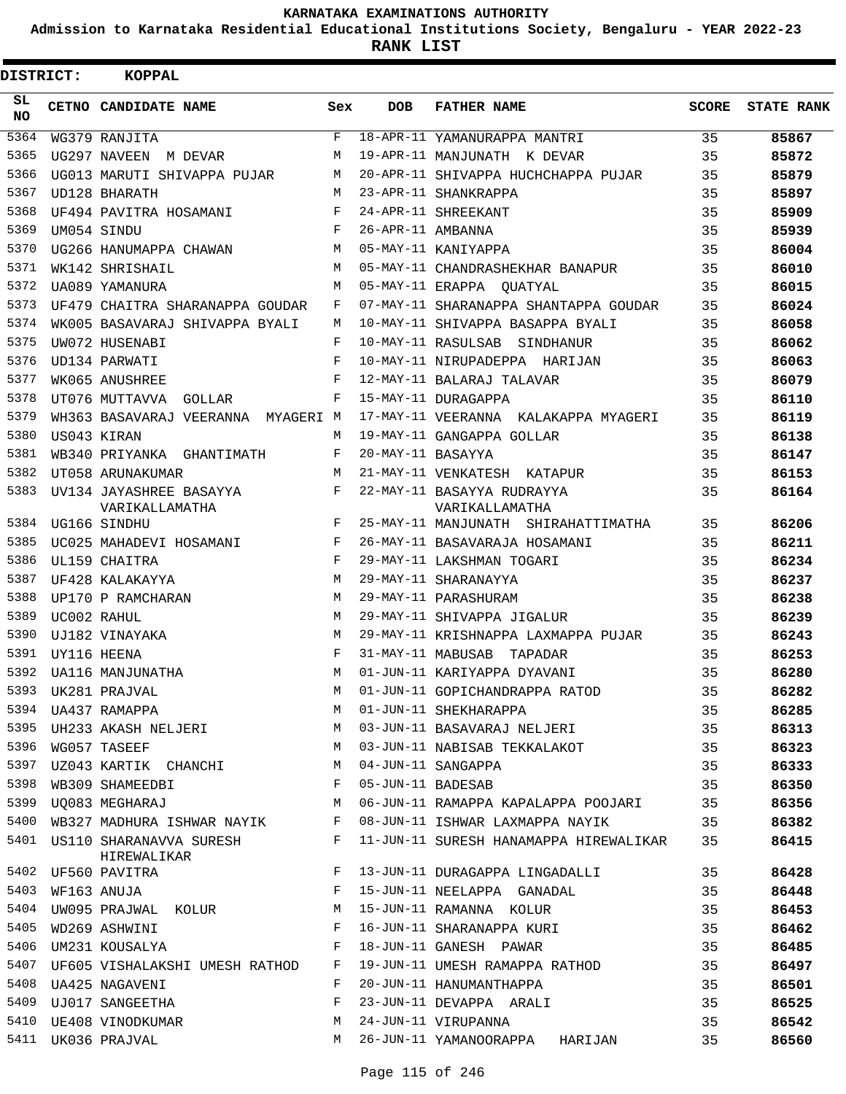**Admission to Karnataka Residential Educational Institutions Society, Bengaluru - YEAR 2022-23**

| <b>DISTRICT:</b> | <b>KOPPAL</b>                             |              |                   |                                              |       |                   |
|------------------|-------------------------------------------|--------------|-------------------|----------------------------------------------|-------|-------------------|
| SL<br><b>NO</b>  | CETNO CANDIDATE NAME                      | Sex          | <b>DOB</b>        | <b>FATHER NAME</b>                           | SCORE | <b>STATE RANK</b> |
| 5364             | WG379 RANJITA                             | F            |                   | 18-APR-11 YAMANURAPPA MANTRI                 | 35    | 85867             |
| 5365             | UG297 NAVEEN<br>M DEVAR                   | M            |                   | 19-APR-11 MANJUNATH K DEVAR                  | 35    | 85872             |
| 5366             | UG013 MARUTI SHIVAPPA PUJAR               | M            |                   | 20-APR-11 SHIVAPPA HUCHCHAPPA PUJAR          | 35    | 85879             |
| 5367             | UD128 BHARATH                             | M            |                   | 23-APR-11 SHANKRAPPA                         | 35    | 85897             |
| 5368             | UF494 PAVITRA HOSAMANI                    | F            |                   | 24-APR-11 SHREEKANT                          | 35    | 85909             |
| 5369             | UM054 SINDU                               | F            | 26-APR-11 AMBANNA |                                              | 35    | 85939             |
| 5370             | UG266 HANUMAPPA CHAWAN                    | M            |                   | 05-MAY-11 KANIYAPPA                          | 35    | 86004             |
| 5371             | WK142 SHRISHAIL                           | M            |                   | 05-MAY-11 CHANDRASHEKHAR BANAPUR             | 35    | 86010             |
| 5372             | UA089 YAMANURA                            | M            |                   | 05-MAY-11 ERAPPA QUATYAL                     | 35    | 86015             |
| 5373             | UF479 CHAITRA SHARANAPPA GOUDAR           | F            |                   | 07-MAY-11 SHARANAPPA SHANTAPPA GOUDAR        | 35    | 86024             |
| 5374             | WK005 BASAVARAJ SHIVAPPA BYALI            | M            |                   | 10-MAY-11 SHIVAPPA BASAPPA BYALI             | 35    | 86058             |
| 5375             | UW072 HUSENABI                            | F            |                   | 10-MAY-11 RASULSAB SINDHANUR                 | 35    | 86062             |
| 5376             | UD134 PARWATI                             | F            |                   | 10-MAY-11 NIRUPADEPPA HARIJAN                | 35    | 86063             |
| 5377             | WK065 ANUSHREE                            | F            |                   | 12-MAY-11 BALARAJ TALAVAR                    | 35    | 86079             |
| 5378             | UT076 MUTTAVVA GOLLAR                     | F            |                   | 15-MAY-11 DURAGAPPA                          | 35    | 86110             |
| 5379             | WH363 BASAVARAJ VEERANNA MYAGERI M        |              |                   | 17-MAY-11 VEERANNA KALAKAPPA MYAGERI         | 35    | 86119             |
| 5380             | US043 KIRAN                               | M            |                   | 19-MAY-11 GANGAPPA GOLLAR                    | 35    | 86138             |
| 5381             | WB340 PRIYANKA GHANTIMATH                 | F            | 20-MAY-11 BASAYYA |                                              | 35    | 86147             |
| 5382             | UT058 ARUNAKUMAR                          | M            |                   | 21-MAY-11 VENKATESH KATAPUR                  | 35    | 86153             |
| 5383             | UV134 JAYASHREE BASAYYA<br>VARIKALLAMATHA | F            |                   | 22-MAY-11 BASAYYA RUDRAYYA<br>VARIKALLAMATHA | 35    | 86164             |
| 5384             | UG166 SINDHU                              | F            |                   | 25-MAY-11 MANJUNATH SHIRAHATTIMATHA          | 35    | 86206             |
| 5385             | UC025 MAHADEVI HOSAMANI                   | F            |                   | 26-MAY-11 BASAVARAJA HOSAMANI                | 35    | 86211             |
| 5386             | UL159 CHAITRA                             | F            |                   | 29-MAY-11 LAKSHMAN TOGARI                    | 35    | 86234             |
| 5387             | UF428 KALAKAYYA                           | M            |                   | 29-MAY-11 SHARANAYYA                         | 35    | 86237             |
| 5388             | UP170 P RAMCHARAN                         | M            |                   | 29-MAY-11 PARASHURAM                         | 35    | 86238             |
| 5389             | UC002 RAHUL                               | M            |                   | 29-MAY-11 SHIVAPPA JIGALUR                   | 35    | 86239             |
| 5390             | UJ182 VINAYAKA                            | M            |                   | 29-MAY-11 KRISHNAPPA LAXMAPPA PUJAR          | 35    | 86243             |
| 5391             | UY116 HEENA                               | $_{\rm F}$   |                   | 31-MAY-11 MABUSAB TAPADAR                    | 35    | 86253             |
|                  | 5392 UA116 MANJUNATHA                     | M            |                   | 01-JUN-11 KARIYAPPA DYAVANI                  | 35    | 86280             |
| 5393             | UK281 PRAJVAL                             | $M_{\odot}$  |                   | 01-JUN-11 GOPICHANDRAPPA RATOD               | 35    | 86282             |
| 5394             | UA437 RAMAPPA                             | M            |                   | 01-JUN-11 SHEKHARAPPA                        | 35    | 86285             |
| 5395             | UH233 AKASH NELJERI                       | М            |                   | 03-JUN-11 BASAVARAJ NELJERI                  | 35    | 86313             |
| 5396             | WG057 TASEEF                              | M            |                   | 03-JUN-11 NABISAB TEKKALAKOT                 | 35    | 86323             |
| 5397             | UZ043 KARTIK CHANCHI                      | M            |                   | 04-JUN-11 SANGAPPA                           | 35    | 86333             |
| 5398             | WB309 SHAMEEDBI                           | $\mathbf{F}$ | 05-JUN-11 BADESAB |                                              | 35    | 86350             |
|                  | 5399 UQ083 MEGHARAJ<br><b>M</b>           |              |                   | 06-JUN-11 RAMAPPA KAPALAPPA POOJARI          | 35    | 86356             |
| 5400             | WB327 MADHURA ISHWAR NAYIK                | $_{\rm F}$   |                   | 08-JUN-11 ISHWAR LAXMAPPA NAYIK              | 35    | 86382             |
| 5401             | US110 SHARANAVVA SURESH<br>HIREWALIKAR    | F            |                   | 11-JUN-11 SURESH HANAMAPPA HIREWALIKAR       | 35    | 86415             |
|                  | 5402 UF560 PAVITRA                        | F            |                   | 13-JUN-11 DURAGAPPA LINGADALLI               | 35    | 86428             |
| 5403             | WF163 ANUJA                               | F            |                   | 15-JUN-11 NEELAPPA GANADAL                   | 35    | 86448             |
| 5404             | UW095 PRAJWAL KOLUR                       | M            |                   | 15-JUN-11 RAMANNA KOLUR                      | 35    | 86453             |
|                  | 5405 WD269 ASHWINI                        | F            |                   | 16-JUN-11 SHARANAPPA KURI                    | 35    | 86462             |
|                  | 5406 UM231 KOUSALYA                       | F            |                   | 18-JUN-11 GANESH PAWAR                       | 35    | 86485             |
| 5407             | UF605 VISHALAKSHI UMESH RATHOD            | F            |                   | 19-JUN-11 UMESH RAMAPPA RATHOD               | 35    | 86497             |
| 5408             | UA425 NAGAVENI                            | F            |                   | 20-JUN-11 HANUMANTHAPPA                      | 35    | 86501             |
|                  | 5409 UJ017 SANGEETHA                      | F            |                   | 23-JUN-11 DEVAPPA ARALI                      | 35    | 86525             |
| 5410             | UE408 VINODKUMAR                          | М            |                   | 24-JUN-11 VIRUPANNA                          | 35    | 86542             |
| 5411             | UK036 PRAJVAL                             | М            |                   | 26-JUN-11 YAMANOORAPPA HARIJAN               | 35    | 86560             |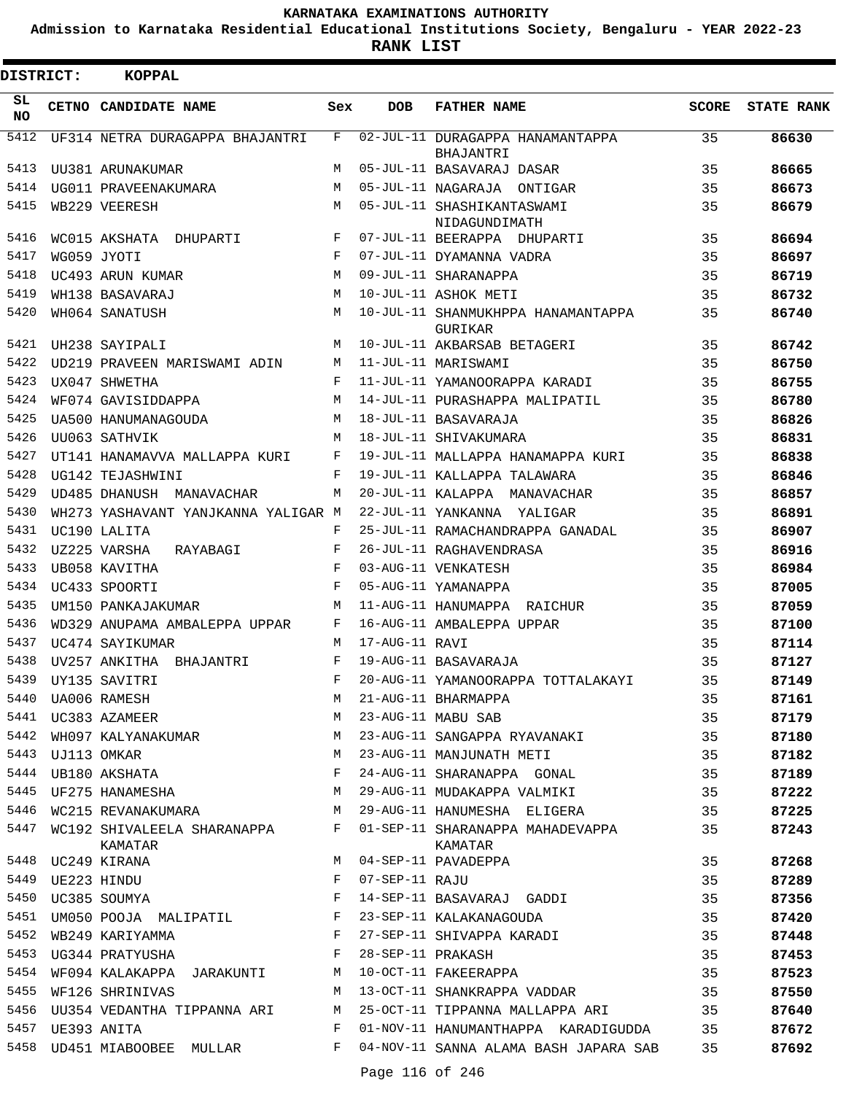**Admission to Karnataka Residential Educational Institutions Society, Bengaluru - YEAR 2022-23**

**RANK LIST**

| <b>DISTRICT:</b> |                  | <b>KOPPAL</b>                                 |              |                |                                               |              |                   |
|------------------|------------------|-----------------------------------------------|--------------|----------------|-----------------------------------------------|--------------|-------------------|
| SL<br>NO.        |                  | CETNO CANDIDATE NAME                          | Sex          | <b>DOB</b>     | <b>FATHER NAME</b>                            | <b>SCORE</b> | <b>STATE RANK</b> |
| 5412             |                  | UF314 NETRA DURAGAPPA BHAJANTRI               | F            |                | 02-JUL-11 DURAGAPPA HANAMANTAPPA<br>BHAJANTRI | 35           | 86630             |
| 5413             |                  | UU381 ARUNAKUMAR                              | М            |                | 05-JUL-11 BASAVARAJ DASAR                     | 35           | 86665             |
| 5414             |                  | UG011 PRAVEENAKUMARA                          | M            |                | 05-JUL-11 NAGARAJA ONTIGAR                    | 35           | 86673             |
| 5415             |                  | WB229 VEERESH                                 | M            |                | 05-JUL-11 SHASHIKANTASWAMI<br>NIDAGUNDIMATH   | 35           | 86679             |
| 5416             |                  | WC015 AKSHATA DHUPARTI                        | F            |                | 07-JUL-11 BEERAPPA DHUPARTI                   | 35           | 86694             |
| 5417             |                  | WG059 JYOTI                                   | $_{\rm F}$   |                | 07-JUL-11 DYAMANNA VADRA                      | 35           | 86697             |
| 5418             |                  | UC493 ARUN KUMAR                              | М            |                | 09-JUL-11 SHARANAPPA                          | 35           | 86719             |
| 5419             |                  | WH138 BASAVARAJ                               | М            |                | 10-JUL-11 ASHOK METI                          | 35           | 86732             |
| 5420             |                  | WH064 SANATUSH                                | M            |                | 10-JUL-11 SHANMUKHPPA HANAMANTAPPA<br>GURIKAR | 35           | 86740             |
| 5421             |                  | UH238 SAYIPALI                                | M            |                | 10-JUL-11 AKBARSAB BETAGERI                   | 35           | 86742             |
| 5422             |                  | UD219 PRAVEEN MARISWAMI ADIN                  | M            |                | 11-JUL-11 MARISWAMI                           | 35           | 86750             |
| 5423             |                  | UX047 SHWETHA                                 | F            |                | 11-JUL-11 YAMANOORAPPA KARADI                 | 35           | 86755             |
| 5424             |                  | WF074 GAVISIDDAPPA                            | М            |                | 14-JUL-11 PURASHAPPA MALIPATIL                | 35           | 86780             |
| 5425             |                  | UA500 HANUMANAGOUDA                           | M            |                | 18-JUL-11 BASAVARAJA                          | 35           | 86826             |
| 5426             |                  | UU063 SATHVIK                                 | М            |                | 18-JUL-11 SHIVAKUMARA                         | 35           | 86831             |
| 5427             |                  | UT141 HANAMAVVA MALLAPPA KURI                 | F            |                | 19-JUL-11 MALLAPPA HANAMAPPA KURI             | 35           | 86838             |
| 5428             |                  | UG142 TEJASHWINI                              | F            |                | 19-JUL-11 KALLAPPA TALAWARA                   | 35           | 86846             |
| 5429             |                  | UD485 DHANUSH MANAVACHAR                      | M            |                | 20-JUL-11 KALAPPA MANAVACHAR                  | 35           | 86857             |
| 5430             |                  | WH273 YASHAVANT YANJKANNA YALIGAR M           |              |                | 22-JUL-11 YANKANNA YALIGAR                    | 35           | 86891             |
| 5431             |                  | UC190 LALITA                                  | F            |                | 25-JUL-11 RAMACHANDRAPPA GANADAL              | 35           | 86907             |
| 5432             |                  | UZ225 VARSHA<br>RAYABAGI                      | F            |                | 26-JUL-11 RAGHAVENDRASA                       | 35           | 86916             |
| 5433             |                  | UB058 KAVITHA                                 | F            |                | 03-AUG-11 VENKATESH                           | 35           | 86984             |
| 5434             |                  | UC433 SPOORTI                                 | F            |                | 05-AUG-11 YAMANAPPA                           | 35           | 87005             |
| 5435             |                  | UM150 PANKAJAKUMAR                            | M            |                | 11-AUG-11 HANUMAPPA RAICHUR                   | 35           | 87059             |
| 5436             |                  | WD329 ANUPAMA AMBALEPPA UPPAR                 | F            |                | 16-AUG-11 AMBALEPPA UPPAR                     | 35           | 87100             |
| 5437             |                  | UC474 SAYIKUMAR                               | M            | 17-AUG-11 RAVI |                                               | 35           | 87114             |
| 5438             |                  | UV257 ANKITHA BHAJANTRI                       | F            |                | 19-AUG-11 BASAVARAJA                          | 35           | 87127             |
| 5439             |                  | UY135 SAVITRI                                 | F            |                | 20-AUG-11 YAMANOORAPPA TOTTALAKAYI            | 35           | 87149             |
| 5440             |                  | UA006 RAMESH                                  | М            |                | 21-AUG-11 BHARMAPPA                           | 35           | 87161             |
| 5441             |                  | UC383 AZAMEER                                 | М            |                | 23-AUG-11 MABU SAB                            | 35           | 87179             |
| 5442             |                  | WH097 KALYANAKUMAR                            | М            |                | 23-AUG-11 SANGAPPA RYAVANAKI                  | 35           | 87180             |
| 5443             |                  | UJ113 OMKAR<br>UB180 AKSHATA                  | М            |                | 23-AUG-11 MANJUNATH METI                      | 35           | 87182             |
| 5444             |                  |                                               | F            |                | 24-AUG-11 SHARANAPPA GONAL                    | 35           | 87189             |
| 5445             |                  | UF275 HANAMESHA                               | M            |                | 29-AUG-11 MUDAKAPPA VALMIKI                   | 35           | 87222             |
|                  |                  | 5446 WC215 REVANAKUMARA M                     |              |                | 29-AUG-11 HANUMESHA ELIGERA                   | 35           | 87225             |
|                  |                  | 5447 WC192 SHIVALEELA SHARANAPPA F<br>KAMATAR |              |                | 01-SEP-11 SHARANAPPA MAHADEVAPPA<br>KAMATAR   | 35           | 87243             |
|                  |                  | 5448 UC249 KIRANA                             | M            |                | 04-SEP-11 PAVADEPPA                           | 35           | 87268             |
|                  | 5449 UE223 HINDU |                                               | F            | 07-SEP-11 RAJU |                                               | 35           | 87289             |
|                  |                  | 5450 UC385 SOUMYA                             | F            |                | 14-SEP-11 BASAVARAJ GADDI                     | 35           | 87356             |
| 5451             |                  | UM050 POOJA MALIPATIL F                       |              |                | 23-SEP-11 KALAKANAGOUDA                       | 35           | 87420             |
| 5452             |                  | WB249 KARIYAMMA                               | $\mathbf{F}$ |                | 27-SEP-11 SHIVAPPA KARADI                     | 35           | 87448             |
|                  |                  | 5453 UG344 PRATYUSHA                          | F            |                | 28-SEP-11 PRAKASH                             | 35           | 87453             |
| 5454             |                  | WF094 KALAKAPPA JARAKUNTI                     | М            |                | 10-OCT-11 FAKEERAPPA                          | 35           | 87523             |
| 5455             |                  | WF126 SHRINIVAS                               | М            |                | 13-OCT-11 SHANKRAPPA VADDAR                   | 35           | 87550             |
|                  |                  | 5456 UU354 VEDANTHA TIPPANNA ARI              | М            |                | 25-OCT-11 TIPPANNA MALLAPPA ARI               | 35           | 87640             |
|                  | 5457 UE393 ANITA |                                               | F            |                | 01-NOV-11 HANUMANTHAPPA KARADIGUDDA           | 35           | 87672             |
|                  |                  | 5458 UD451 MIABOOBEE MULLAR                   | F            |                | 04-NOV-11 SANNA ALAMA BASH JAPARA SAB         | 35           | 87692             |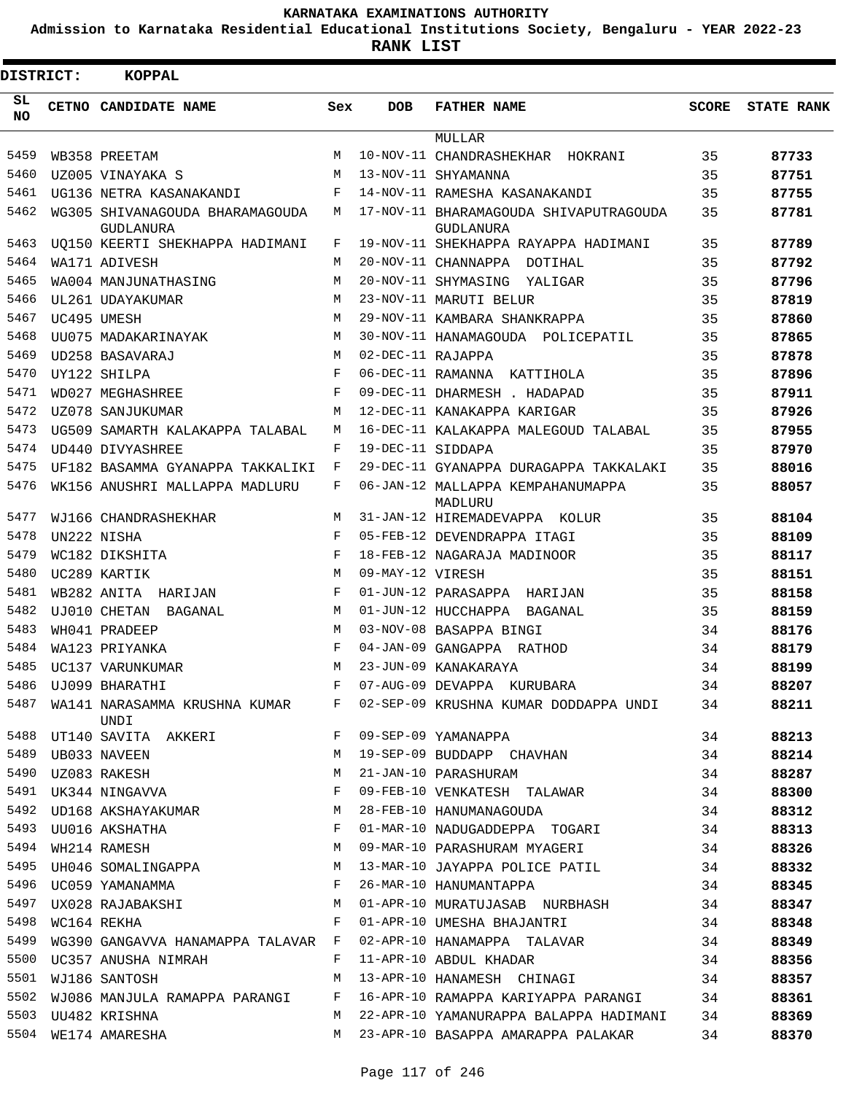**Admission to Karnataka Residential Educational Institutions Society, Bengaluru - YEAR 2022-23**

**RANK LIST**

| DISTRICT:  | <b>KOPPAL</b>                                               |              |                   |                                                                                                                      |              |                   |
|------------|-------------------------------------------------------------|--------------|-------------------|----------------------------------------------------------------------------------------------------------------------|--------------|-------------------|
| SL.<br>NO. | CETNO CANDIDATE NAME                                        | Sex          | <b>DOB</b>        | <b>FATHER NAME</b>                                                                                                   | <b>SCORE</b> | <b>STATE RANK</b> |
|            |                                                             |              |                   | MULLAR                                                                                                               |              |                   |
| 5459       | WB358 PREETAM                                               | M            |                   | 10-NOV-11 CHANDRASHEKHAR HOKRANI                                                                                     | 35           | 87733             |
| 5460       | UZ005 VINAYAKA S                                            | M            |                   | 13-NOV-11 SHYAMANNA                                                                                                  | 35           | 87751             |
| 5461       | UG136 NETRA KASANAKANDI                                     | F            |                   | 14-NOV-11 RAMESHA KASANAKANDI                                                                                        | 35           | 87755             |
| 5462       | WG305 SHIVANAGOUDA BHARAMAGOUDA<br>GUDLANURA                | М            |                   | 17-NOV-11 BHARAMAGOUDA SHIVAPUTRAGOUDA<br>GUDLANURA                                                                  | 35           | 87781             |
| 5463       | UQ150 KEERTI SHEKHAPPA HADIMANI                             | F            |                   | 19-NOV-11 SHEKHAPPA RAYAPPA HADIMANI                                                                                 | 35           | 87789             |
| 5464       | WA171 ADIVESH                                               | M            |                   | 20-NOV-11 CHANNAPPA DOTIHAL                                                                                          | 35           | 87792             |
| 5465       | WA004 MANJUNATHASING                                        | M            |                   | 20-NOV-11 SHYMASING YALIGAR                                                                                          | 35           | 87796             |
| 5466       | UL261 UDAYAKUMAR                                            | M            |                   | 23-NOV-11 MARUTI BELUR                                                                                               | 35           | 87819             |
| 5467       | UC495 UMESH                                                 | M            |                   | 29-NOV-11 KAMBARA SHANKRAPPA                                                                                         | 35           | 87860             |
| 5468       | UU075 MADAKARINAYAK                                         | M            |                   | 30-NOV-11 HANAMAGOUDA POLICEPATIL                                                                                    | 35           | 87865             |
| 5469       | UD258 BASAVARAJ                                             | M            | 02-DEC-11 RAJAPPA |                                                                                                                      | 35           | 87878             |
| 5470       | UY122 SHILPA                                                | F            |                   | 06-DEC-11 RAMANNA KATTIHOLA                                                                                          | 35           | 87896             |
| 5471       | WD027 MEGHASHREE                                            | F            |                   | 09-DEC-11 DHARMESH . HADAPAD                                                                                         | 35           | 87911             |
| 5472       | UZ078 SANJUKUMAR                                            | M            |                   | 12-DEC-11 KANAKAPPA KARIGAR                                                                                          | 35           | 87926             |
| 5473       | UG509 SAMARTH KALAKAPPA TALABAL                             | M            |                   | 16-DEC-11 KALAKAPPA MALEGOUD TALABAL                                                                                 | 35           | 87955             |
| 5474       | UD440 DIVYASHREE                                            | F            | 19-DEC-11 SIDDAPA |                                                                                                                      | 35           | 87970             |
| 5475       | UF182 BASAMMA GYANAPPA TAKKALIKI                            | $\mathbf{F}$ |                   | 29-DEC-11 GYANAPPA DURAGAPPA TAKKALAKI                                                                               | 35           | 88016             |
| 5476       | WK156 ANUSHRI MALLAPPA MADLURU                              | F            |                   | 06-JAN-12 MALLAPPA KEMPAHANUMAPPA<br>MADLURU                                                                         | 35           | 88057             |
| 5477       | WJ166 CHANDRASHEKHAR                                        | M            |                   | 31-JAN-12 HIREMADEVAPPA KOLUR                                                                                        | 35           | 88104             |
| 5478       | UN222 NISHA                                                 | F            |                   | 05-FEB-12 DEVENDRAPPA ITAGI                                                                                          | 35           | 88109             |
| 5479       | WC182 DIKSHITA                                              | $_{\rm F}$   |                   | 18-FEB-12 NAGARAJA MADINOOR                                                                                          | 35           | 88117             |
| 5480       | UC289 KARTIK                                                | M            | 09-MAY-12 VIRESH  |                                                                                                                      | 35           | 88151             |
| 5481       | WB282 ANITA HARIJAN                                         | F            |                   | 01-JUN-12 PARASAPPA HARIJAN                                                                                          | 35           | 88158             |
| 5482       | UJ010 CHETAN BAGANAL                                        | M            |                   | 01-JUN-12 HUCCHAPPA BAGANAL                                                                                          | 35           | 88159             |
| 5483       | WH041 PRADEEP                                               | M            |                   | 03-NOV-08 BASAPPA BINGI                                                                                              | 34           | 88176             |
| 5484       | WA123 PRIYANKA                                              | F            |                   | 04-JAN-09 GANGAPPA RATHOD                                                                                            | 34           | 88179             |
| 5485       | UC137 VARUNKUMAR                                            | M            |                   | 23-JUN-09 KANAKARAYA                                                                                                 | 34           | 88199             |
|            | 5486 UJ099 BHARATHI                                         |              |                   | F 07-AUG-09 DEVAPPA KURUBARA                                                                                         | 34           | 88207             |
| 5487       |                                                             |              |                   | WA141 NARASAMMA KRUSHNA KUMAR F 02-SEP-09 KRUSHNA KUMAR DODDAPPA UNDI 34                                             |              | 88211             |
|            | UNDI<br>5488 UT140 SAVITA AKKERI NAMA F 09-SEP-09 YAMANAPPA |              |                   |                                                                                                                      | 34           | 88213             |
| 5489       |                                                             |              |                   | UB033 NAVEEN 34                                                                                                      |              | 88214             |
| 5490       | UZ083 RAKESH                                                | M            |                   | 21-JAN-10 PARASHURAM                                                                                                 | 34           | 88287             |
|            | 5491 UK344 NINGAVVA                                         | F            |                   | 09-FEB-10 VENKATESH TALAWAR                                                                                          | 34           | 88300             |
|            | 5492 UD168 AKSHAYAKUMAR M                                   |              |                   | 28-FEB-10 HANUMANAGOUDA 34                                                                                           |              | 88312             |
| 5493       | $\mathbf{F}^{\mathbf{r}}$<br>UU016 AKSHATHA                 |              |                   | 01-MAR-10 NADUGADDEPPA TOGARI 34                                                                                     |              | 88313             |
| 5494       | WH214 RAMESH                                                |              |                   | M 09-MAR-10 PARASHURAM MYAGERI                                                                                       | 34           | 88326             |
|            |                                                             |              |                   | 5495 UH046 SOMALINGAPPA M 13-MAR-10 JAYAPPA POLICE PATIL                                                             | 34           | 88332             |
|            | 5496 UC059 YAMANAMMA<br>----                                |              |                   | 26-MAR-10 HANUMANTAPPA 34                                                                                            |              | 88345             |
| 5497       | UX028 RAJABAKSHI M                                          |              |                   | 01-APR-10 MURATUJASAB NURBHASH 34                                                                                    |              | 88347             |
| 5498       | $WC164$ REKHA F                                             |              |                   | 01-APR-10 UMESHA BHAJANTRI                                                                                           | 34           | 88348             |
| 5499       |                                                             |              |                   |                                                                                                                      | 34           | 88349             |
| 5500       |                                                             |              |                   | WG390 GANGAVVA HANAMAPPA TALAVAR F 02-APR-10 HANAMAPPA TALAVAR 34<br>UC357 ANUSHA NIMRAH F 11-APR-10 ABDUL KHADAR 34 |              | 88356             |
| 5501       | UC357 ANUSHA NIMRAH                                         |              |                   | M 13-APR-10 HANAMESH CHINAGI 34                                                                                      |              |                   |
|            | WJ186 SANTOSH                                               |              |                   |                                                                                                                      |              | 88357             |
| 5502       |                                                             |              |                   | WJ086 MANJULA RAMAPPA PARANGI F 16-APR-10 RAMAPPA KARIYAPPA PARANGI 34                                               |              | 88361             |
|            | 5503 UU482 KRISHNA                                          | M            |                   | 22-APR-10 YAMANURAPPA BALAPPA HADIMANI 34                                                                            |              | 88369             |
|            | 5504 WE174 AMARESHA                                         |              |                   | M 23-APR-10 BASAPPA AMARAPPA PALAKAR                                                                                 | 34           | 88370             |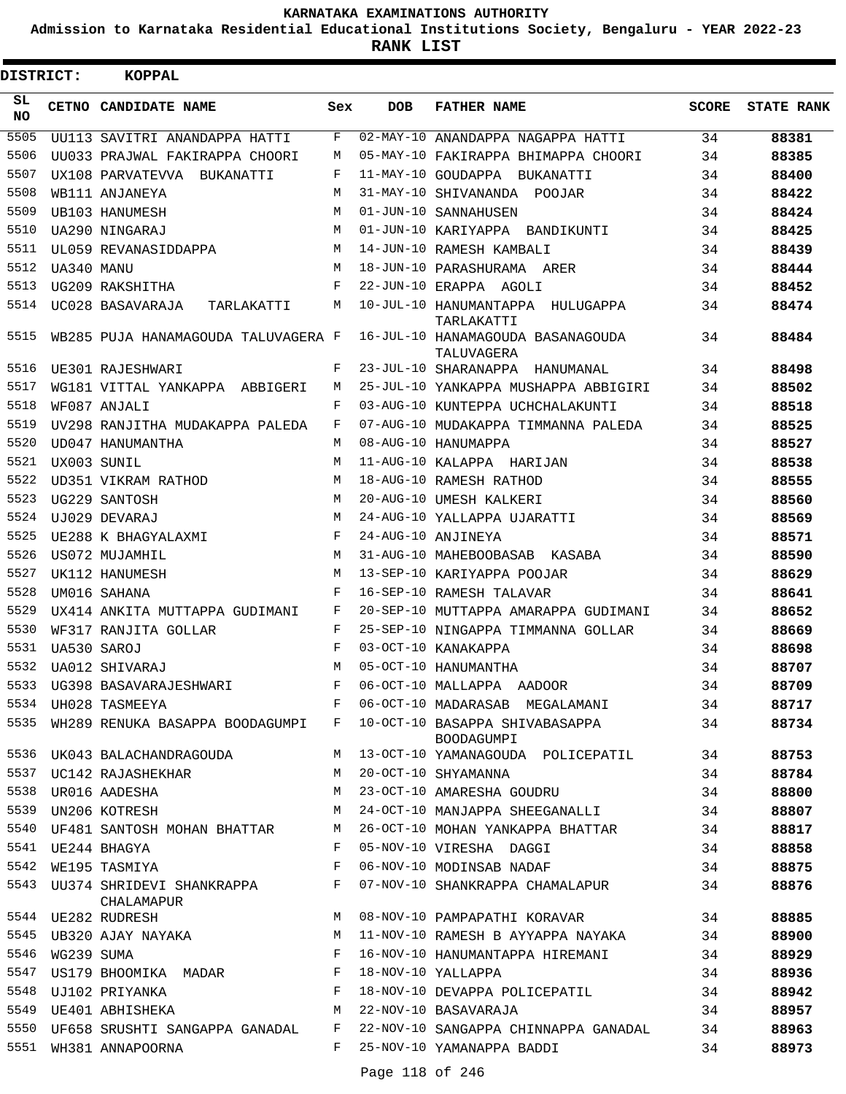**Admission to Karnataka Residential Educational Institutions Society, Bengaluru - YEAR 2022-23**

**RANK LIST**

| <b>DISTRICT:</b> |            | KOPPAL                                       |              |            |                                                         |              |                   |
|------------------|------------|----------------------------------------------|--------------|------------|---------------------------------------------------------|--------------|-------------------|
| SL<br><b>NO</b>  |            | CETNO CANDIDATE NAME                         | Sex          | <b>DOB</b> | <b>FATHER NAME</b>                                      | <b>SCORE</b> | <b>STATE RANK</b> |
| 5505             |            | UU113 SAVITRI ANANDAPPA HATTI                | F            |            | 02-MAY-10 ANANDAPPA NAGAPPA HATTI                       | 34           | 88381             |
| 5506             |            | UU033 PRAJWAL FAKIRAPPA CHOORI               | M            |            | 05-MAY-10 FAKIRAPPA BHIMAPPA CHOORI                     | 34           | 88385             |
| 5507             |            | UX108 PARVATEVVA BUKANATTI                   | F            |            | 11-MAY-10 GOUDAPPA BUKANATTI                            | 34           | 88400             |
| 5508             |            | WB111 ANJANEYA                               | M            |            | 31-MAY-10 SHIVANANDA POOJAR                             | 34           | 88422             |
| 5509             |            | UB103 HANUMESH                               | M            |            | 01-JUN-10 SANNAHUSEN                                    | 34           | 88424             |
| 5510             |            | UA290 NINGARAJ                               | M            |            | 01-JUN-10 KARIYAPPA BANDIKUNTI                          | 34           | 88425             |
| 5511             |            | UL059 REVANASIDDAPPA                         | M            |            | 14-JUN-10 RAMESH KAMBALI                                | 34           | 88439             |
| 5512             | UA340 MANU |                                              | M            |            | 18-JUN-10 PARASHURAMA ARER                              | 34           | 88444             |
| 5513             |            | UG209 RAKSHITHA                              | F            |            | 22-JUN-10 ERAPPA AGOLI                                  | 34           | 88452             |
| 5514             |            | UC028 BASAVARAJA<br>TARLAKATTI               | М            |            | 10-JUL-10 HANUMANTAPPA HULUGAPPA<br>TARLAKATTI          | 34           | 88474             |
| 5515             |            | WB285 PUJA HANAMAGOUDA TALUVAGERA F          |              |            | 16-JUL-10 HANAMAGOUDA BASANAGOUDA<br>TALUVAGERA         | 34           | 88484             |
| 5516             |            | UE301 RAJESHWARI                             | F            |            | 23-JUL-10 SHARANAPPA HANUMANAL                          | 34           | 88498             |
| 5517             |            | WG181 VITTAL YANKAPPA ABBIGERI               | M            |            | 25-JUL-10 YANKAPPA MUSHAPPA ABBIGIRI                    | 34           | 88502             |
| 5518             |            | WF087 ANJALI                                 | F            |            | 03-AUG-10 KUNTEPPA UCHCHALAKUNTI                        | 34           | 88518             |
| 5519             |            | UV298 RANJITHA MUDAKAPPA PALEDA              | F            |            | 07-AUG-10 MUDAKAPPA TIMMANNA PALEDA                     | 34           | 88525             |
| 5520             |            | UD047 HANUMANTHA                             | M            |            | 08-AUG-10 HANUMAPPA                                     | 34           | 88527             |
| 5521             |            | UX003 SUNIL                                  | M            |            | 11-AUG-10 KALAPPA HARIJAN                               | 34           | 88538             |
| 5522             |            | UD351 VIKRAM RATHOD                          | М            |            | 18-AUG-10 RAMESH RATHOD                                 | 34           | 88555             |
| 5523             |            | UG229 SANTOSH                                | M            |            | 20-AUG-10 UMESH KALKERI                                 | 34           | 88560             |
| 5524             |            | UJ029 DEVARAJ                                | M            |            | 24-AUG-10 YALLAPPA UJARATTI                             | 34           | 88569             |
| 5525             |            | UE288 K BHAGYALAXMI                          | F            |            | 24-AUG-10 ANJINEYA                                      | 34           | 88571             |
| 5526             |            | US072 MUJAMHIL                               | M            |            | 31-AUG-10 MAHEBOOBASAB KASABA                           | 34           | 88590             |
| 5527             |            | UK112 HANUMESH                               | M            |            | 13-SEP-10 KARIYAPPA POOJAR                              | 34           | 88629             |
| 5528             |            | UM016 SAHANA                                 | F            |            | 16-SEP-10 RAMESH TALAVAR                                | 34           | 88641             |
| 5529             |            | UX414 ANKITA MUTTAPPA GUDIMANI               | F            |            | 20-SEP-10 MUTTAPPA AMARAPPA GUDIMANI                    | 34           | 88652             |
| 5530             |            | WF317 RANJITA GOLLAR                         | F            |            | 25-SEP-10 NINGAPPA TIMMANNA GOLLAR                      | 34           | 88669             |
| 5531             |            | UA530 SAROJ                                  | F            |            | 03-OCT-10 KANAKAPPA                                     | 34           | 88698             |
| 5532             |            | UA012 SHIVARAJ                               | M            |            | 05-OCT-10 HANUMANTHA                                    | 34           | 88707             |
|                  |            |                                              |              |            | 5533 UG398 BASAVARAJESHWARI F 06-OCT-10 MALLAPPA AADOOR | 34           | 88709             |
| 5534             |            | UH028 TASMEEYA                               | F            |            | 06-OCT-10 MADARASAB MEGALAMANI                          | 34           | 88717             |
| 5535             |            | WH289 RENUKA BASAPPA BOODAGUMPI F            |              |            | 10-OCT-10 BASAPPA SHIVABASAPPA<br>BOODAGUMPI            | 34           | 88734             |
|                  |            | 5536 UK043 BALACHANDRAGOUDA                  | M            |            | 13-OCT-10 YAMANAGOUDA POLICEPATIL                       | 34           | 88753             |
| 5537             |            | UC142 RAJASHEKHAR                            | M            |            | 20-OCT-10 SHYAMANNA                                     | 34           | 88784             |
|                  |            | 5538 UR016 AADESHA                           | М            |            | 23-OCT-10 AMARESHA GOUDRU                               | 34           | 88800             |
| 5539             |            | UN206 KOTRESH                                | М            |            | 24-OCT-10 MANJAPPA SHEEGANALLI                          | 34           | 88807             |
|                  |            | 5540 UF481 SANTOSH MOHAN BHATTAR             | M            |            | 26-OCT-10 MOHAN YANKAPPA BHATTAR                        | 34           | 88817             |
|                  |            | 5541 UE244 BHAGYA                            | F            |            | 05-NOV-10 VIRESHA DAGGI                                 | 34           | 88858             |
|                  |            | 5542 WE195 TASMIYA                           | F            |            | 06-NOV-10 MODINSAB NADAF                                | 34           | 88875             |
|                  |            | 5543 UU374 SHRIDEVI SHANKRAPPA<br>CHALAMAPUR | F            |            | 07-NOV-10 SHANKRAPPA CHAMALAPUR                         | 34           | 88876             |
|                  |            | 5544 UE282 RUDRESH                           | M            |            | 08-NOV-10 PAMPAPATHI KORAVAR                            | 34           | 88885             |
| 5545             |            | UB320 AJAY NAYAKA                            | M            |            | 11-NOV-10 RAMESH B AYYAPPA NAYAKA                       | 34           | 88900             |
| 5546             |            | WG239 SUMA                                   | F            |            | 16-NOV-10 HANUMANTAPPA HIREMANI                         | 34           | 88929             |
| 5547             |            | US179 BHOOMIKA MADAR F                       |              |            | 18-NOV-10 YALLAPPA                                      | 34           | 88936             |
|                  |            | 5548 UJ102 PRIYANKA                          | $\mathbf{F}$ |            | 18-NOV-10 DEVAPPA POLICEPATIL                           | 34           | 88942             |
|                  |            | 5549 UE401 ABHISHEKA                         | M            |            | 22-NOV-10 BASAVARAJA                                    | 34           | 88957             |
|                  |            | 5550 UF658 SRUSHTI SANGAPPA GANADAL F        |              |            | 22-NOV-10 SANGAPPA CHINNAPPA GANADAL                    | 34           | 88963             |
| 5551             |            | WH381 ANNAPOORNA                             | F            |            | 25-NOV-10 YAMANAPPA BADDI                               | 34           | 88973             |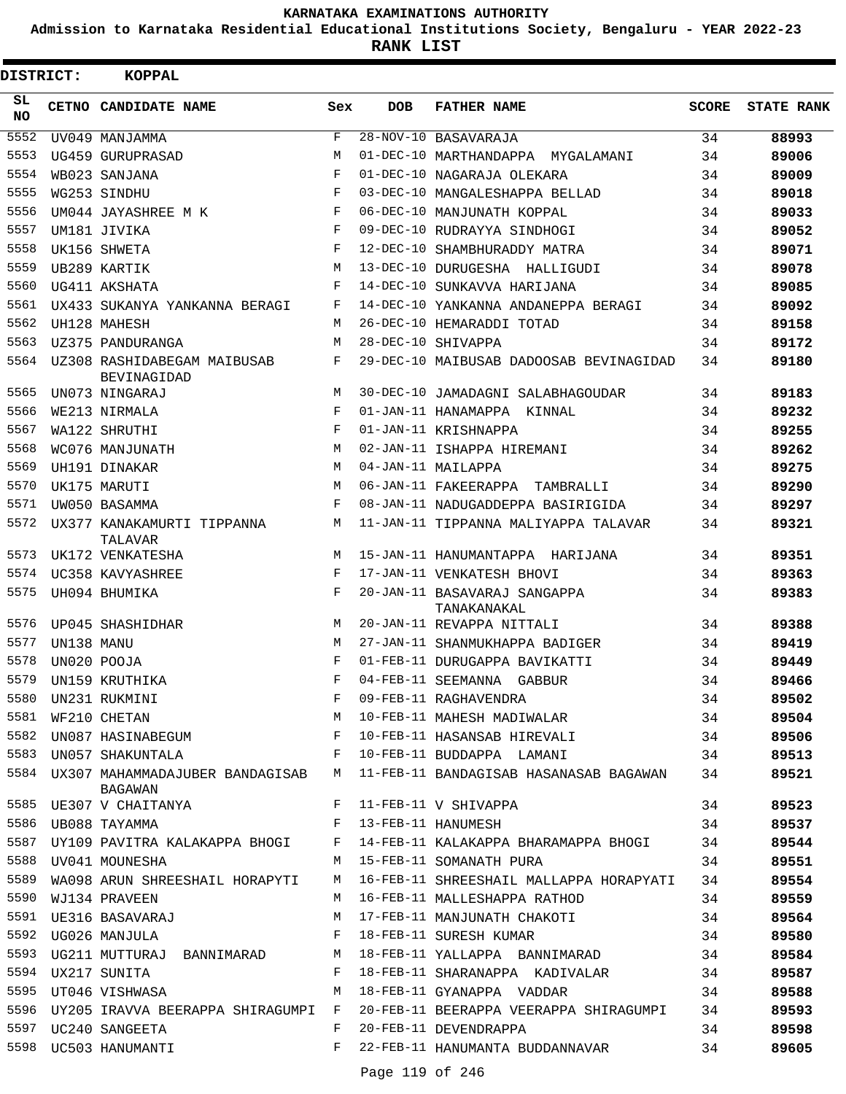**Admission to Karnataka Residential Educational Institutions Society, Bengaluru - YEAR 2022-23**

| DISTRICT:       |            | <b>KOPPAL</b>                                                                   |                    |            |                                                                                  |       |                   |
|-----------------|------------|---------------------------------------------------------------------------------|--------------------|------------|----------------------------------------------------------------------------------|-------|-------------------|
| SL<br><b>NO</b> |            | CETNO CANDIDATE NAME                                                            | Sex                | <b>DOB</b> | <b>FATHER NAME</b>                                                               | SCORE | <b>STATE RANK</b> |
| 5552            |            | UV049 MANJAMMA                                                                  | $\mathbf{F}$       |            | 28-NOV-10 BASAVARAJA                                                             | 34    | 88993             |
| 5553            |            | UG459 GURUPRASAD                                                                | M                  |            | 01-DEC-10 MARTHANDAPPA MYGALAMANI                                                | 34    | 89006             |
| 5554            |            | WB023 SANJANA                                                                   | $_{\rm F}$         |            | 01-DEC-10 NAGARAJA OLEKARA                                                       | 34    | 89009             |
| 5555            |            | WG253 SINDHU                                                                    | F                  |            | 03-DEC-10 MANGALESHAPPA BELLAD                                                   | 34    | 89018             |
| 5556            |            | UM044 JAYASHREE M K                                                             | F                  |            | 06-DEC-10 MANJUNATH KOPPAL                                                       | 34    | 89033             |
| 5557            |            | UM181 JIVIKA                                                                    | F                  |            | 09-DEC-10 RUDRAYYA SINDHOGI                                                      | 34    | 89052             |
| 5558            |            | UK156 SHWETA                                                                    | F                  |            | 12-DEC-10 SHAMBHURADDY MATRA                                                     | 34    | 89071             |
| 5559            |            | UB289 KARTIK                                                                    | M                  |            | 13-DEC-10 DURUGESHA HALLIGUDI                                                    | 34    | 89078             |
| 5560            |            | UG411 AKSHATA                                                                   | F                  |            | 14-DEC-10 SUNKAVVA HARIJANA                                                      | 34    | 89085             |
| 5561            |            | UX433 SUKANYA YANKANNA BERAGI                                                   | F                  |            | 14-DEC-10 YANKANNA ANDANEPPA BERAGI                                              | 34    | 89092             |
| 5562            |            | UH128 MAHESH                                                                    | М                  |            | 26-DEC-10 HEMARADDI TOTAD                                                        | 34    | 89158             |
| 5563            |            | UZ375 PANDURANGA                                                                | M                  |            | 28-DEC-10 SHIVAPPA                                                               | 34    | 89172             |
| 5564            |            | UZ308 RASHIDABEGAM MAIBUSAB<br>BEVINAGIDAD                                      | F                  |            | 29-DEC-10 MAIBUSAB DADOOSAB BEVINAGIDAD                                          | 34    | 89180             |
| 5565            |            | UN073 NINGARAJ                                                                  | M                  |            | 30-DEC-10 JAMADAGNI SALABHAGOUDAR                                                | 34    | 89183             |
| 5566            |            | WE213 NIRMALA                                                                   | $_{\rm F}$         |            | 01-JAN-11 HANAMAPPA KINNAL                                                       | 34    | 89232             |
| 5567            |            | WA122 SHRUTHI                                                                   | F                  |            | 01-JAN-11 KRISHNAPPA                                                             | 34    | 89255             |
| 5568            |            | WC076 MANJUNATH                                                                 | M                  |            | 02-JAN-11 ISHAPPA HIREMANI                                                       | 34    | 89262             |
| 5569            |            | UH191 DINAKAR                                                                   | M                  |            | 04-JAN-11 MAILAPPA                                                               | 34    | 89275             |
| 5570            |            | UK175 MARUTI                                                                    | M                  |            | 06-JAN-11 FAKEERAPPA TAMBRALLI                                                   | 34    | 89290             |
| 5571            |            | UW050 BASAMMA                                                                   | F                  |            | 08-JAN-11 NADUGADDEPPA BASIRIGIDA                                                | 34    | 89297             |
| 5572            |            | UX377 KANAKAMURTI TIPPANNA<br>TALAVAR                                           | M                  |            | 11-JAN-11 TIPPANNA MALIYAPPA TALAVAR                                             | 34    | 89321             |
| 5573            |            | UK172 VENKATESHA                                                                | М                  |            | 15-JAN-11 HANUMANTAPPA HARIJANA                                                  | 34    | 89351             |
| 5574            |            | UC358 KAVYASHREE                                                                | F                  |            | 17-JAN-11 VENKATESH BHOVI                                                        | 34    | 89363             |
| 5575            |            | UH094 BHUMIKA                                                                   | F                  |            | 20-JAN-11 BASAVARAJ SANGAPPA<br>TANAKANAKAL                                      | 34    | 89383             |
| 5576            |            | UP045 SHASHIDHAR                                                                | M                  |            | 20-JAN-11 REVAPPA NITTALI                                                        | 34    | 89388             |
| 5577            | UN138 MANU |                                                                                 | M                  |            | 27-JAN-11 SHANMUKHAPPA BADIGER                                                   | 34    | 89419             |
| 5578            |            | UN020 POOJA                                                                     | F                  |            | 01-FEB-11 DURUGAPPA BAVIKATTI                                                    | 34    | 89449             |
| 5579            |            | UN159 KRUTHIKA                                                                  | $\mathbf{F}% _{0}$ |            | 04-FEB-11 SEEMANNA GABBUR                                                        | 34    | 89466             |
| 5580            |            |                                                                                 |                    |            | ---<br>09-FEB-11 RAGHAVENDRA                                                     |       | 89502             |
| 5581            |            |                                                                                 |                    |            |                                                                                  |       | 89504             |
| 5582            |            |                                                                                 |                    |            |                                                                                  |       | 89506             |
|                 |            | 5583 UN057 SHAKUNTALA                                                           |                    |            | F 10-FEB-11 BUDDAPPA LAMANI                                                      | 34    | 89513             |
|                 |            | BAGAWAN                                                                         |                    |            | 5584 UX307 MAHAMMADAJUBER BANDAGISAB M 11-FEB-11 BANDAGISAB HASANASAB BAGAWAN    | 34    | 89521             |
|                 |            | 5585 UE307 V CHAITANYA                                                          |                    |            | F 11-FEB-11 V SHIVAPPA                                                           | 34    | 89523             |
|                 |            | 5586 UB088 TAYAMMA 6 6 F 13-FEB-11 HANUMESH                                     |                    |            |                                                                                  | 34    | 89537             |
| 5587            |            |                                                                                 |                    |            | UY109 PAVITRA KALAKAPPA BHOGI F 14-FEB-11 KALAKAPPA BHARAMAPPA BHOGI 34          |       | 89544             |
| 5588            |            | UV041 MOUNESHA MARINE MARING MARINE PURA MARINE PURA                            |                    |            |                                                                                  | 34    | 89551             |
|                 |            |                                                                                 |                    |            | 5589 WA098 ARUN SHREESHAIL HORAPYTI M 16-FEB-11 SHREESHAIL MALLAPPA HORAPYATI 34 |       | 89554             |
| 5590            |            | WJ134 PRAVEEN                                                                   | M                  |            | 16-FEB-11 MALLESHAPPA RATHOD                                                     | 34    | 89559             |
|                 |            | 5591 UE316 BASAVARAJ                                                            |                    |            | M 17-FEB-11 MANJUNATH CHAKOTI                                                    | 34    | 89564             |
|                 |            | $\mathbf{F}$ and $\mathbf{F}$ are the set of $\mathbf{F}$<br>5592 UG026 MANJULA |                    |            | 18-FEB-11 SURESH KUMAR                                                           | 34    | 89580             |
|                 |            |                                                                                 |                    |            | 5593 UG211 MUTTURAJ BANNIMARAD M 18-FEB-11 YALLAPPA BANNIMARAD 34                |       | 89584             |
| 5594            |            | UX217 SUNITA                                                                    | F                  |            | 18-FEB-11 SHARANAPPA KADIVALAR 34                                                |       | 89587             |
|                 |            | 5595 UT046 VISHWASA                                                             | M                  |            | 18-FEB-11 GYANAPPA VADDAR 34                                                     |       | 89588             |
|                 |            | 5596 UY205 IRAVVA BEERAPPA SHIRAGUMPI F                                         |                    |            | 20-FEB-11 BEERAPPA VEERAPPA SHIRAGUMPI 34                                        |       | 89593             |
|                 |            | 5597 UC240 SANGEETA                                                             | F                  |            | 20-FEB-11 DEVENDRAPPA                                                            | 34    | 89598             |
|                 |            | 5598 UC503 HANUMANTI                                                            |                    |            | F 22-FEB-11 HANUMANTA BUDDANNAVAR                                                | 34    | 89605             |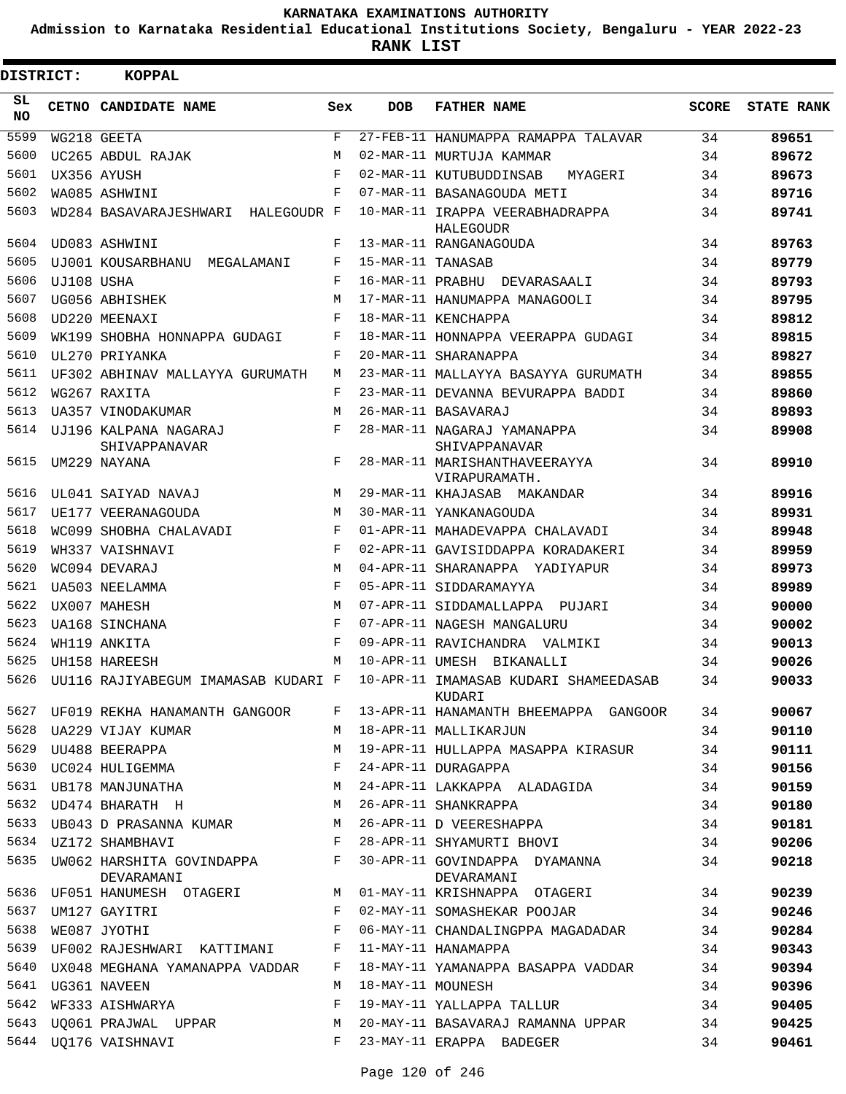**Admission to Karnataka Residential Educational Institutions Society, Bengaluru - YEAR 2022-23**

| <b>DISTRICT:</b> |            | KOPPAL                                 |     |                   |                                                                                                                                                                                        |       |                   |
|------------------|------------|----------------------------------------|-----|-------------------|----------------------------------------------------------------------------------------------------------------------------------------------------------------------------------------|-------|-------------------|
| SL.<br>NO.       |            | CETNO CANDIDATE NAME                   | Sex | <b>DOB</b>        | <b>FATHER NAME</b>                                                                                                                                                                     | SCORE | <b>STATE RANK</b> |
| 5599             |            | WG218 GEETA                            | F   |                   | 27-FEB-11 HANUMAPPA RAMAPPA TALAVAR                                                                                                                                                    | 34    | 89651             |
| 5600             |            | UC265 ABDUL RAJAK                      | M   |                   | 02-MAR-11 MURTUJA KAMMAR                                                                                                                                                               | 34    | 89672             |
| 5601             |            | UX356 AYUSH                            | F   |                   | 02-MAR-11 KUTUBUDDINSAB<br>MYAGERI                                                                                                                                                     | 34    | 89673             |
| 5602             |            | WA085 ASHWINI                          | F   |                   | 07-MAR-11 BASANAGOUDA METI                                                                                                                                                             | 34    | 89716             |
| 5603             |            | WD284 BASAVARAJESHWARI HALEGOUDR F     |     |                   | 10-MAR-11 IRAPPA VEERABHADRAPPA<br>HALEGOUDR                                                                                                                                           | 34    | 89741             |
| 5604             |            | UD083 ASHWINI                          | F   |                   | 13-MAR-11 RANGANAGOUDA                                                                                                                                                                 | 34    | 89763             |
| 5605             |            | UJ001 KOUSARBHANU MEGALAMANI           | F   | 15-MAR-11 TANASAB |                                                                                                                                                                                        | 34    | 89779             |
| 5606             | UJ108 USHA |                                        | F   |                   | 16-MAR-11 PRABHU DEVARASAALI                                                                                                                                                           | 34    | 89793             |
| 5607             |            | UG056 ABHISHEK                         | M   |                   | 17-MAR-11 HANUMAPPA MANAGOOLI                                                                                                                                                          | 34    | 89795             |
| 5608             |            | UD220 MEENAXI                          | F   |                   | 18-MAR-11 KENCHAPPA                                                                                                                                                                    | 34    | 89812             |
| 5609             |            | WK199 SHOBHA HONNAPPA GUDAGI           | F   |                   | 18-MAR-11 HONNAPPA VEERAPPA GUDAGI                                                                                                                                                     | 34    | 89815             |
| 5610             |            | UL270 PRIYANKA                         | F   |                   | 20-MAR-11 SHARANAPPA                                                                                                                                                                   | 34    | 89827             |
| 5611             |            | UF302 ABHINAV MALLAYYA GURUMATH        | M   |                   | 23-MAR-11 MALLAYYA BASAYYA GURUMATH                                                                                                                                                    | 34    | 89855             |
| 5612             |            | WG267 RAXITA                           | F   |                   | 23-MAR-11 DEVANNA BEVURAPPA BADDI                                                                                                                                                      | 34    | 89860             |
| 5613             |            | UA357 VINODAKUMAR                      | M   |                   | 26-MAR-11 BASAVARAJ                                                                                                                                                                    | 34    | 89893             |
| 5614             |            | UJ196 KALPANA NAGARAJ<br>SHIVAPPANAVAR | F   |                   | 28-MAR-11 NAGARAJ YAMANAPPA<br>SHIVAPPANAVAR                                                                                                                                           | 34    | 89908             |
| 5615             |            | UM229 NAYANA                           | F   |                   | 28-MAR-11 MARISHANTHAVEERAYYA<br>VIRAPURAMATH.                                                                                                                                         | 34    | 89910             |
| 5616             |            | UL041 SAIYAD NAVAJ                     | M   |                   | 29-MAR-11 KHAJASAB MAKANDAR                                                                                                                                                            | 34    | 89916             |
| 5617             |            | UE177 VEERANAGOUDA                     | M   |                   | 30-MAR-11 YANKANAGOUDA                                                                                                                                                                 | 34    | 89931             |
| 5618             |            | WC099 SHOBHA CHALAVADI                 | F   |                   | 01-APR-11 MAHADEVAPPA CHALAVADI                                                                                                                                                        | 34    | 89948             |
| 5619             |            | WH337 VAISHNAVI                        | F   |                   | 02-APR-11 GAVISIDDAPPA KORADAKERI                                                                                                                                                      | 34    | 89959             |
| 5620             |            | WC094 DEVARAJ                          | M   |                   | 04-APR-11 SHARANAPPA YADIYAPUR                                                                                                                                                         | 34    | 89973             |
| 5621             |            | <b>UA503 NEELAMMA</b>                  | F   |                   | 05-APR-11 SIDDARAMAYYA                                                                                                                                                                 | 34    | 89989             |
| 5622             |            | UX007 MAHESH                           | М   |                   | 07-APR-11 SIDDAMALLAPPA PUJARI                                                                                                                                                         | 34    | 90000             |
| 5623             |            | UA168 SINCHANA                         | F   |                   | 07-APR-11 NAGESH MANGALURU                                                                                                                                                             | 34    | 90002             |
| 5624             |            | WH119 ANKITA                           | F   |                   | 09-APR-11 RAVICHANDRA VALMIKI                                                                                                                                                          | 34    | 90013             |
| 5625             |            | UH158 HAREESH                          | M   |                   | 10-APR-11 UMESH BIKANALLI                                                                                                                                                              | 34    | 90026             |
| 5626             |            | UU116 RAJIYABEGUM IMAMASAB KUDARI F    |     |                   | 10-APR-11 IMAMASAB KUDARI SHAMEEDASAB<br>KUDARI                                                                                                                                        | 34    | 90033             |
|                  |            |                                        |     |                   | 5627 UF019 REKHA HANAMANTH GANGOOR F 13-APR-11 HANAMANTH BHEEMAPPA GANGOOR 34                                                                                                          |       | 90067             |
|                  |            |                                        |     |                   | 5628 UA229 VIJAY KUMAR M 18-APR-11 MALLIKARJUN 34                                                                                                                                      |       | 90110             |
|                  |            |                                        |     |                   |                                                                                                                                                                                        |       | 90111             |
|                  |            |                                        |     |                   |                                                                                                                                                                                        |       | 90156             |
|                  |            |                                        |     |                   |                                                                                                                                                                                        |       | 90159             |
|                  |            |                                        |     |                   | 5632 UD474 BHARATH H M 26-APR-11 SHANKRAPPA 34                                                                                                                                         |       | 90180             |
|                  |            |                                        |     |                   | 5633 UB043 D PRASANNA KUMAR M 26-APR-11 D VEERESHAPPA 34                                                                                                                               |       | 90181             |
|                  |            |                                        |     |                   | 5634 UZ172 SHAMBHAVI F 28-APR-11 SHYAMURTI BHOVI 34                                                                                                                                    |       | 90206             |
|                  |            | DEVARAMANI                             |     |                   | 5635 UW062 HARSHITA GOVINDAPPA F 30-APR-11 GOVINDAPPA DYAMANNA 34<br>DEVARAMANI                                                                                                        |       | 90218             |
|                  |            |                                        |     |                   | 5636 UF051 HANUMESH OTAGERI M 01-MAY-11 KRISHNAPPA OTAGERI 34                                                                                                                          |       | 90239             |
|                  |            |                                        |     |                   | 5637 UM127 GAYITRI 634 COME F 02-MAY-11 SOMASHEKAR POOJAR                                                                                                                              |       | 90246             |
|                  |            |                                        |     |                   | 5638 WE087 JYOTHI 69 CONSERVED BY THE OS-MAY-11 CHANDALINGPPA MAGADADAR 34                                                                                                             |       | 90284             |
|                  |            |                                        |     |                   |                                                                                                                                                                                        |       | 90343             |
|                  |            |                                        |     |                   |                                                                                                                                                                                        |       | 90394             |
|                  |            |                                        |     |                   | 5641 UG361 NAVEEN 34 M 18-MAY-11 MOUNESH                                                                                                                                               |       | 90396             |
|                  |            |                                        |     |                   | 5642 WF333 AISHWARYA                 F   19-MAY-11 YALLAPPA TALLUR             34                                                                                                      |       | 90405             |
|                  |            |                                        |     |                   |                                                                                                                                                                                        |       | 90425             |
|                  |            |                                        |     |                   | 5643 UQ061 PRAJWAL UPPAR               M  20-MAY-11 BASAVARAJ RAMANNA UPPAR           34<br>5644 UQ176 VAISHNAVI                     F  23-MAY-11 ERAPPA  BADEGER                   34 |       | 90461             |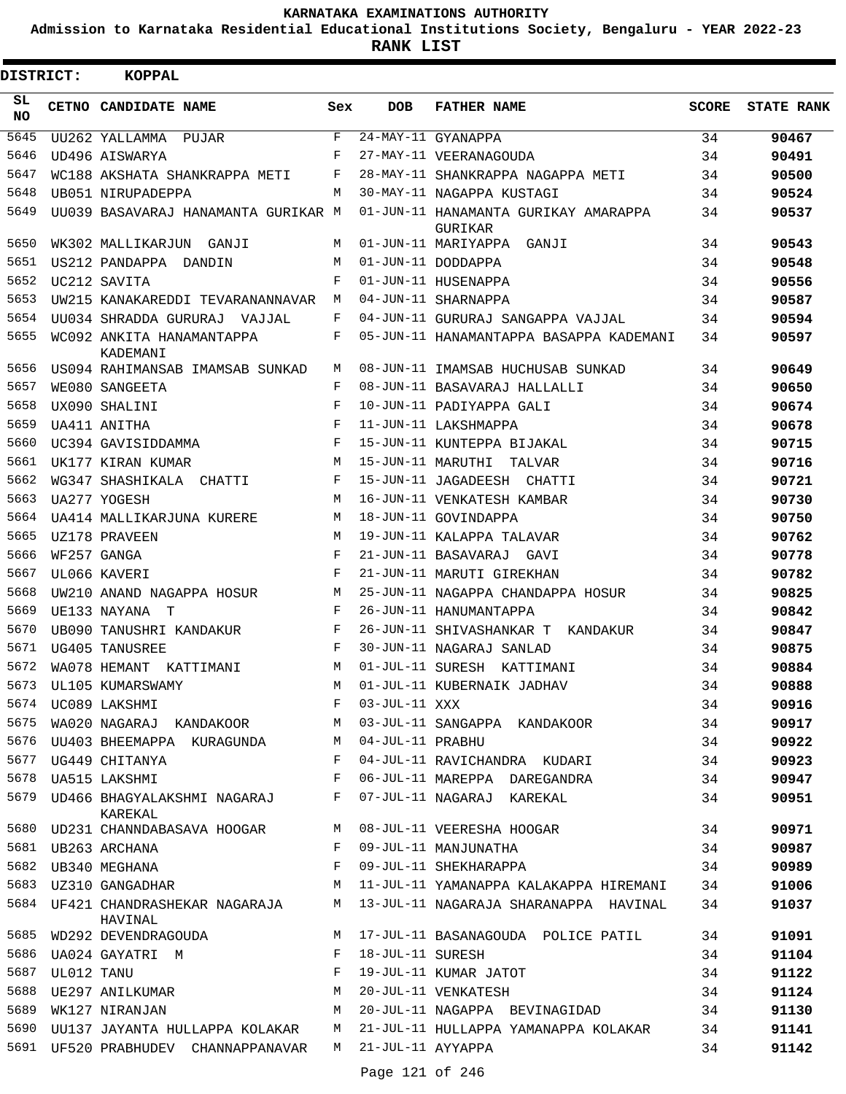**Admission to Karnataka Residential Educational Institutions Society, Bengaluru - YEAR 2022-23**

**RANK LIST**

| DISTRICT:       |            | <b>KOPPAL</b>                                        |              |                     |                                                                            |              |                   |
|-----------------|------------|------------------------------------------------------|--------------|---------------------|----------------------------------------------------------------------------|--------------|-------------------|
| SL<br><b>NO</b> |            | CETNO CANDIDATE NAME                                 | Sex          | <b>DOB</b>          | <b>FATHER NAME</b>                                                         | <b>SCORE</b> | <b>STATE RANK</b> |
| 5645            |            | UU262 YALLAMMA PUJAR                                 | F            |                     | 24-MAY-11 GYANAPPA                                                         | 34           | 90467             |
| 5646            |            | UD496 AISWARYA                                       | F            |                     | 27-MAY-11 VEERANAGOUDA                                                     | 34           | 90491             |
| 5647            |            | WC188 AKSHATA SHANKRAPPA METI                        | F            |                     | 28-MAY-11 SHANKRAPPA NAGAPPA METI                                          | 34           | 90500             |
| 5648            |            | UB051 NIRUPADEPPA                                    | М            |                     | 30-MAY-11 NAGAPPA KUSTAGI                                                  | 34           | 90524             |
| 5649            |            | UU039 BASAVARAJ HANAMANTA GURIKAR M                  |              |                     | 01-JUN-11 HANAMANTA GURIKAY AMARAPPA<br>GURIKAR                            | 34           | 90537             |
| 5650            |            | WK302 MALLIKARJUN GANJI                              | М            |                     | 01-JUN-11 MARIYAPPA GANJI                                                  | 34           | 90543             |
| 5651            |            | US212 PANDAPPA DANDIN                                | М            |                     | 01-JUN-11 DODDAPPA                                                         | 34           | 90548             |
| 5652            |            | UC212 SAVITA                                         | F            |                     | 01-JUN-11 HUSENAPPA                                                        | 34           | 90556             |
| 5653            |            | UW215 KANAKAREDDI TEVARANANNAVAR                     | М            |                     | 04-JUN-11 SHARNAPPA                                                        | 34           | 90587             |
| 5654            |            | UU034 SHRADDA GURURAJ VAJJAL                         | F            |                     | 04-JUN-11 GURURAJ SANGAPPA VAJJAL                                          | 34           | 90594             |
| 5655            |            | WC092 ANKITA HANAMANTAPPA<br><b>KADEMANT</b>         | F            |                     | 05-JUN-11 HANAMANTAPPA BASAPPA KADEMANI                                    | 34           | 90597             |
| 5656            |            | US094 RAHIMANSAB IMAMSAB SUNKAD                      | М            |                     | 08-JUN-11 IMAMSAB HUCHUSAB SUNKAD                                          | 34           | 90649             |
| 5657            |            | WE080 SANGEETA                                       | F            |                     | 08-JUN-11 BASAVARAJ HALLALLI                                               | 34           | 90650             |
| 5658            |            | UX090 SHALINI                                        | $_{\rm F}$   |                     | 10-JUN-11 PADIYAPPA GALI                                                   | 34           | 90674             |
| 5659            |            | UA411 ANITHA                                         | F            |                     | 11-JUN-11 LAKSHMAPPA                                                       | 34           | 90678             |
| 5660            |            | UC394 GAVISIDDAMMA                                   | F            |                     | 15-JUN-11 KUNTEPPA BIJAKAL                                                 | 34           | 90715             |
| 5661            |            | UK177 KIRAN KUMAR                                    | M            | 15-JUN-11 MARUTHI   | TALVAR                                                                     | 34           | 90716             |
| 5662            |            | WG347 SHASHIKALA CHATTI                              | F            |                     | 15-JUN-11 JAGADEESH CHATTI                                                 | 34           | 90721             |
| 5663            |            | UA277 YOGESH                                         | M            |                     | 16-JUN-11 VENKATESH KAMBAR                                                 | 34           | 90730             |
| 5664            |            | UA414 MALLIKARJUNA KURERE                            | M            |                     | 18-JUN-11 GOVINDAPPA                                                       | 34           | 90750             |
| 5665            |            | UZ178 PRAVEEN                                        | M            |                     | 19-JUN-11 KALAPPA TALAVAR                                                  | 34           | 90762             |
| 5666            |            | WF257 GANGA                                          | $\mathbf F$  |                     | 21-JUN-11 BASAVARAJ GAVI                                                   | 34           | 90778             |
| 5667            |            | UL066 KAVERI                                         | F            |                     | 21-JUN-11 MARUTI GIREKHAN                                                  | 34           | 90782             |
| 5668            |            | UW210 ANAND NAGAPPA HOSUR                            | M            |                     | 25-JUN-11 NAGAPPA CHANDAPPA HOSUR                                          | 34           | 90825             |
| 5669            |            | UE133 NAYANA T                                       | F            |                     | 26-JUN-11 HANUMANTAPPA                                                     | 34           | 90842             |
| 5670            |            | UB090 TANUSHRI KANDAKUR                              | F            |                     | 26-JUN-11 SHIVASHANKAR T KANDAKUR                                          | 34           | 90847             |
| 5671            |            | UG405 TANUSREE                                       | F            |                     | 30-JUN-11 NAGARAJ SANLAD                                                   | 34           | 90875             |
| 5672            |            | WA078 HEMANT KATTIMANI                               | М            |                     | 01-JUL-11 SURESH KATTIMANI                                                 | 34           | 90884             |
|                 |            | 5673 UL105 KUMARSWAMY                                | M            |                     | 01-JUL-11 KUBERNAIK JADHAV                                                 | 34           | 90888             |
|                 |            | 5674 UC089 LAKSHMI                                   | F            | 03-JUL-11 XXX       |                                                                            | 34           | 90916             |
| 5675            |            | WA020 NAGARAJ KANDAKOOR M                            |              |                     | 03-JUL-11 SANGAPPA KANDAKOOR                                               | 34           | 90917             |
| 5676            |            | UU403 BHEEMAPPA KURAGUNDA       M   04-JUL-11 PRABHU |              |                     |                                                                            | 34           | 90922             |
|                 |            | 5677 UG449 CHITANYA                                  | F            |                     | 04-JUL-11 RAVICHANDRA KUDARI                                               | 34           | 90923             |
|                 |            | 5678 UA515 LAKSHMI                                   | $\mathbf{F}$ |                     | 06-JUL-11 MAREPPA DAREGANDRA                                               | 34           | 90947             |
|                 |            | 5679 UD466 BHAGYALAKSHMI NAGARAJ F<br>KAREKAL        |              |                     | 07-JUL-11 NAGARAJ KAREKAL                                                  | 34           | 90951             |
|                 |            | 5680 UD231 CHANNDABASAVA HOOGAR M                    |              |                     | 08-JUL-11 VEERESHA HOOGAR 34                                               |              | 90971             |
|                 |            | 5681 UB263 ARCHANA                                   | F            |                     | 09-JUL-11 MANJUNATHA                                                       | 34           | 90987             |
|                 |            | 5682 UB340 MEGHANA                                   | F            |                     | 09-JUL-11 SHEKHARAPPA                                                      | 34           | 90989             |
|                 |            | M<br>5683    UZ310    GANGADHAR                      |              |                     | 11-JUL-11 YAMANAPPA KALAKAPPA HIREMANI 34                                  |              | 91006             |
|                 |            | HAVINAL                                              |              |                     | 5684 UF421 CHANDRASHEKAR NAGARAJA M 13-JUL-11 NAGARAJA SHARANAPPA HAVINAL  | 34           | 91037             |
|                 |            | 5685 WD292 DEVENDRAGOUDA                             |              |                     | M 17-JUL-11 BASANAGOUDA POLICE PATIL                                       | 34           | 91091             |
|                 |            | 5686 UA024 GAYATRI M                                 |              | F 18-JUL-11 SURESH  |                                                                            | 34           | 91104             |
| 5687            | UL012 TANU |                                                      | F            |                     | 19-JUL-11 KUMAR JATOT                                                      | 34           | 91122             |
| 5688            |            | UE297 ANILKUMAR M                                    |              |                     | 20-JUL-11 VENKATESH                                                        | 34           | 91124             |
| 5689            |            | WK127 NIRANJAN                                       | M            |                     | 20-JUL-11 NAGAPPA BEVINAGIDAD                                              | 34           | 91130             |
|                 |            |                                                      |              |                     | 5690 UU137 JAYANTA HULLAPPA KOLAKAR M 21-JUL-11 HULLAPPA YAMANAPPA KOLAKAR | 34           | 91141             |
|                 |            | 5691 UF520 PRABHUDEV CHANNAPPANAVAR                  |              | M 21-JUL-11 AYYAPPA |                                                                            | 34           | 91142             |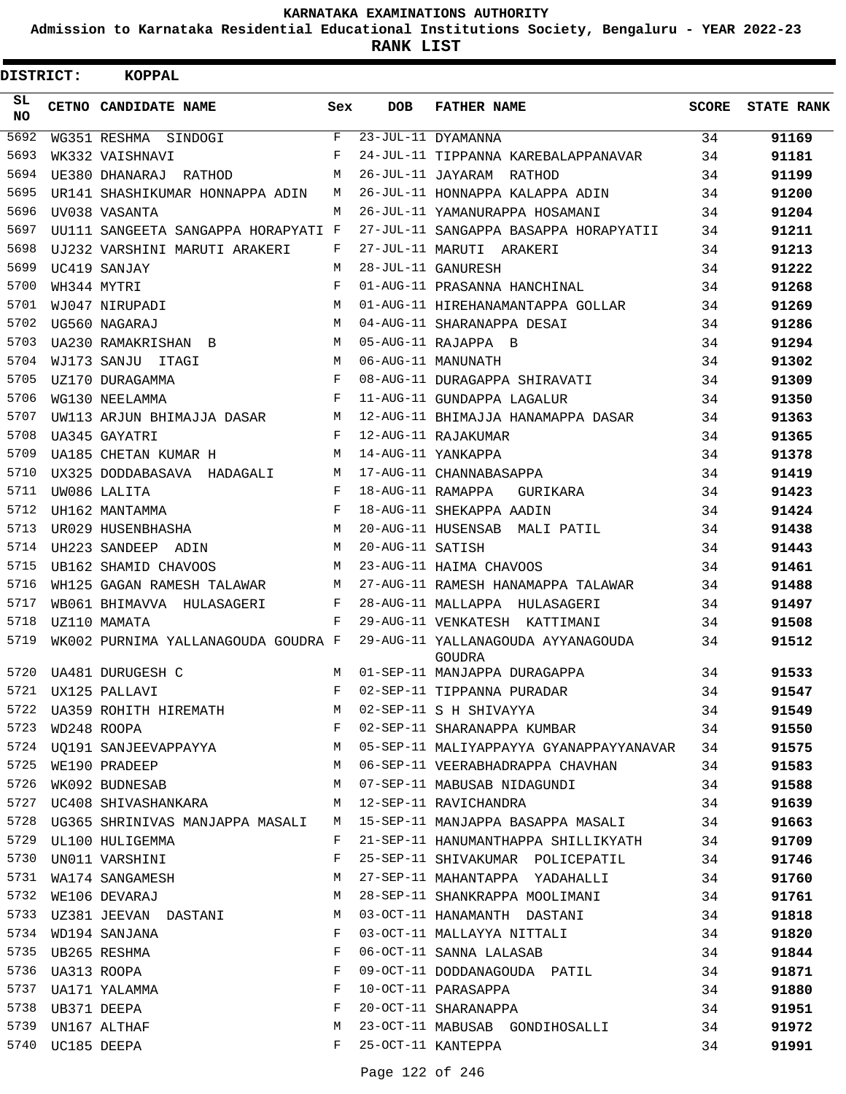**Admission to Karnataka Residential Educational Institutions Society, Bengaluru - YEAR 2022-23**

**RANK LIST**

| DISTRICT:        |                  | KOPPAL                              |     |                    |                                                     |              |                   |
|------------------|------------------|-------------------------------------|-----|--------------------|-----------------------------------------------------|--------------|-------------------|
| SL.<br><b>NO</b> |                  | CETNO CANDIDATE NAME                | Sex | <b>DOB</b>         | <b>FATHER NAME</b>                                  | <b>SCORE</b> | <b>STATE RANK</b> |
| 5692             |                  | WG351 RESHMA SINDOGI                | F   |                    | 23-JUL-11 DYAMANNA                                  | 34           | 91169             |
| 5693             |                  | WK332 VAISHNAVI                     | F   |                    | 24-JUL-11 TIPPANNA KAREBALAPPANAVAR                 | 34           | 91181             |
| 5694             |                  | UE380 DHANARAJ RATHOD               | M   |                    | 26-JUL-11 JAYARAM RATHOD                            | 34           | 91199             |
| 5695             |                  | UR141 SHASHIKUMAR HONNAPPA ADIN     | M   |                    | 26-JUL-11 HONNAPPA KALAPPA ADIN                     | 34           | 91200             |
| 5696             |                  | UV038 VASANTA                       | M   |                    | 26-JUL-11 YAMANURAPPA HOSAMANI                      | 34           | 91204             |
| 5697             |                  | UU111 SANGEETA SANGAPPA HORAPYATI F |     |                    | 27-JUL-11 SANGAPPA BASAPPA HORAPYATII               | 34           | 91211             |
| 5698             |                  | UJ232 VARSHINI MARUTI ARAKERI       | F   |                    | 27-JUL-11 MARUTI ARAKERI                            | 34           | 91213             |
| 5699             |                  | UC419 SANJAY                        | M   |                    | 28-JUL-11 GANURESH                                  | 34           | 91222             |
| 5700             |                  | WH344 MYTRI                         | F   |                    | 01-AUG-11 PRASANNA HANCHINAL                        | 34           | 91268             |
| 5701             |                  | WJ047 NIRUPADI                      | M   |                    | 01-AUG-11 HIREHANAMANTAPPA GOLLAR                   | 34           | 91269             |
| 5702             |                  | UG560 NAGARAJ                       | M   |                    | 04-AUG-11 SHARANAPPA DESAI                          | 34           | 91286             |
| 5703             |                  | UA230 RAMAKRISHAN B                 | M   |                    | 05-AUG-11 RAJAPPA B                                 | 34           | 91294             |
| 5704             |                  | WJ173 SANJU ITAGI                   | M   |                    | 06-AUG-11 MANUNATH                                  | 34           | 91302             |
| 5705             |                  | UZ170 DURAGAMMA                     | F   |                    | 08-AUG-11 DURAGAPPA SHIRAVATI                       | 34           | 91309             |
| 5706             |                  | WG130 NEELAMMA                      | F   |                    | 11-AUG-11 GUNDAPPA LAGALUR                          | 34           | 91350             |
| 5707             |                  | UW113 ARJUN BHIMAJJA DASAR          | М   |                    | 12-AUG-11 BHIMAJJA HANAMAPPA DASAR                  | 34           | 91363             |
| 5708             |                  | UA345 GAYATRI                       | F   |                    | 12-AUG-11 RAJAKUMAR                                 | 34           | 91365             |
| 5709             |                  | UA185 CHETAN KUMAR H                | M   | 14-AUG-11 YANKAPPA |                                                     | 34           | 91378             |
| 5710             |                  | UX325 DODDABASAVA HADAGALI          | M   |                    | 17-AUG-11 CHANNABASAPPA                             | 34           | 91419             |
| 5711             |                  | UW086 LALITA                        | F   | 18-AUG-11 RAMAPPA  | GURIKARA                                            | 34           | 91423             |
| 5712             |                  | UH162 MANTAMMA                      | F   |                    | 18-AUG-11 SHEKAPPA AADIN                            | 34           | 91424             |
| 5713             |                  | UR029 HUSENBHASHA                   | M   |                    | 20-AUG-11 HUSENSAB MALI PATIL                       | 34           | 91438             |
| 5714             |                  | UH223 SANDEEP ADIN                  | M   | 20-AUG-11 SATISH   |                                                     | 34           | 91443             |
| 5715             |                  | UB162 SHAMID CHAVOOS                | М   |                    | 23-AUG-11 HAIMA CHAVOOS                             | 34           | 91461             |
| 5716             |                  | WH125 GAGAN RAMESH TALAWAR          | М   |                    | 27-AUG-11 RAMESH HANAMAPPA TALAWAR                  | 34           | 91488             |
| 5717             |                  | WB061 BHIMAVVA HULASAGERI           | F   |                    | 28-AUG-11 MALLAPPA HULASAGERI                       | 34           | 91497             |
| 5718             |                  | UZ110 MAMATA                        | F   |                    | 29-AUG-11 VENKATESH KATTIMANI                       | 34           | 91508             |
| 5719             |                  | WK002 PURNIMA YALLANAGOUDA GOUDRA F |     |                    | 29-AUG-11 YALLANAGOUDA AYYANAGOUDA<br><b>GOUDRA</b> | 34           | 91512             |
| 5720             |                  | UA481 DURUGESH C                    | M   |                    | 01-SEP-11 MANJAPPA DURAGAPPA                        | 34           | 91533             |
| 5721             |                  | UX125 PALLAVI                       | F   |                    | 02-SEP-11 TIPPANNA PURADAR                          | 34           | 91547             |
|                  |                  | 5722 UA359 ROHITH HIREMATH          |     |                    | M 02-SEP-11 S H SHIVAYYA                            | 34           | 91549             |
| 5723             |                  | WD248 ROOPA                         | F   |                    | 02-SEP-11 SHARANAPPA KUMBAR 34                      |              | 91550             |
| 5724             |                  | UQ191 SANJEEVAPPAYYA                | М   |                    | 05-SEP-11 MALIYAPPAYYA GYANAPPAYYANAVAR 34          |              | 91575             |
| 5725             |                  | WE190 PRADEEP                       | М   |                    | 06-SEP-11 VEERABHADRAPPA CHAVHAN                    | 34           | 91583             |
| 5726             |                  | WK092 BUDNESAB                      | M   |                    | 07-SEP-11 MABUSAB NIDAGUNDI                         | 34           | 91588             |
| 5727             |                  | UC408 SHIVASHANKARA                 | M   |                    | 12-SEP-11 RAVICHANDRA                               | 34           | 91639             |
| 5728             |                  | UG365 SHRINIVAS MANJAPPA MASALI     | M   |                    | 15-SEP-11 MANJAPPA BASAPPA MASALI                   | 34           | 91663             |
| 5729             |                  | UL100 HULIGEMMA                     | F   |                    | 21-SEP-11 HANUMANTHAPPA SHILLIKYATH                 | 34           | 91709             |
| 5730             |                  | UN011 VARSHINI                      | F   |                    | 25-SEP-11 SHIVAKUMAR POLICEPATIL                    | 34           | 91746             |
| 5731             |                  | WA174 SANGAMESH                     | М   |                    | 27-SEP-11 MAHANTAPPA YADAHALLI                      | 34           | 91760             |
| 5732             |                  | WE106 DEVARAJ                       | М   |                    | 28-SEP-11 SHANKRAPPA MOOLIMANI                      | 34           | 91761             |
| 5733             |                  | UZ381 JEEVAN DASTANI                | M   |                    | 03-OCT-11 HANAMANTH DASTANI                         | 34           | 91818             |
| 5734             |                  | WD194 SANJANA                       | F   |                    | 03-OCT-11 MALLAYYA NITTALI                          | 34           | 91820             |
| 5735             |                  | UB265 RESHMA                        | F   |                    | 06-OCT-11 SANNA LALASAB                             | 34           | 91844             |
| 5736             |                  | UA313 ROOPA                         | F   |                    | 09-OCT-11 DODDANAGOUDA PATIL                        | 34           | 91871             |
| 5737             |                  | UA171 YALAMMA                       | F   |                    | 10-OCT-11 PARASAPPA                                 | 34           | 91880             |
|                  | 5738 UB371 DEEPA |                                     | F   |                    | 20-OCT-11 SHARANAPPA                                | 34           | 91951             |
| 5739             |                  | UN167 ALTHAF                        | М   |                    | 23-OCT-11 MABUSAB GONDIHOSALLI                      | 34           | 91972             |
|                  | 5740 UC185 DEEPA |                                     | F   |                    | 25-OCT-11 KANTEPPA                                  | 34           | 91991             |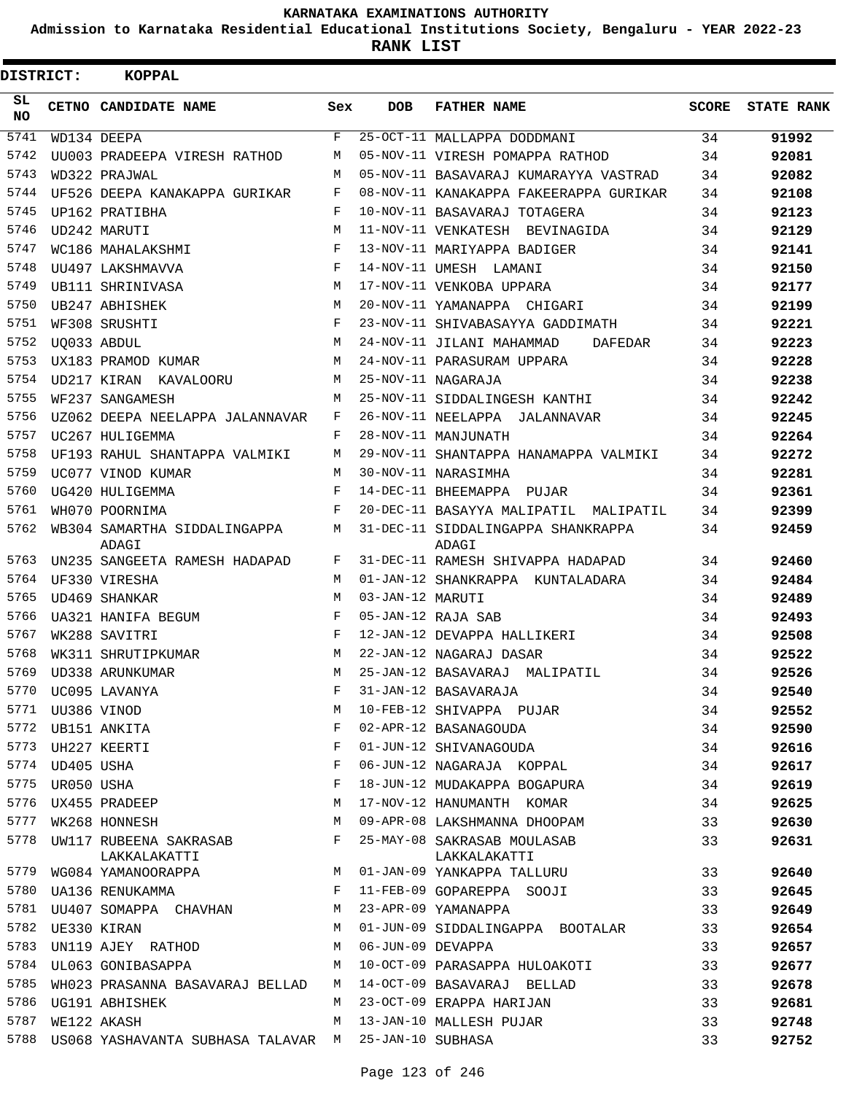**Admission to Karnataka Residential Educational Institutions Society, Bengaluru - YEAR 2022-23**

| <b>DISTRICT:</b> |            | <b>KOPPAL</b>                          |     |                   |                                             |       |                   |
|------------------|------------|----------------------------------------|-----|-------------------|---------------------------------------------|-------|-------------------|
| SL.<br><b>NO</b> |            | CETNO CANDIDATE NAME                   | Sex | <b>DOB</b>        | <b>FATHER NAME</b>                          | SCORE | <b>STATE RANK</b> |
| 5741             |            | WD134 DEEPA                            | F   |                   | 25-OCT-11 MALLAPPA DODDMANI                 | 34    | 91992             |
| 5742             |            | UU003 PRADEEPA VIRESH RATHOD           | М   |                   | 05-NOV-11 VIRESH POMAPPA RATHOD             | 34    | 92081             |
| 5743             |            | WD322 PRAJWAL                          | М   |                   | 05-NOV-11 BASAVARAJ KUMARAYYA VASTRAD       | 34    | 92082             |
| 5744             |            | UF526 DEEPA KANAKAPPA GURIKAR          | F   |                   | 08-NOV-11 KANAKAPPA FAKEERAPPA GURIKAR      | 34    | 92108             |
| 5745             |            | UP162 PRATIBHA                         | F   |                   | 10-NOV-11 BASAVARAJ TOTAGERA                | 34    | 92123             |
| 5746             |            | UD242 MARUTI                           | M   |                   | 11-NOV-11 VENKATESH BEVINAGIDA              | 34    | 92129             |
| 5747             |            | WC186 MAHALAKSHMI                      | F   |                   | 13-NOV-11 MARIYAPPA BADIGER                 | 34    | 92141             |
| 5748             |            | UU497 LAKSHMAVVA                       | F   |                   | 14-NOV-11 UMESH LAMANI                      | 34    | 92150             |
| 5749             |            | UB111 SHRINIVASA                       | M   |                   | 17-NOV-11 VENKOBA UPPARA                    | 34    | 92177             |
| 5750             |            | UB247 ABHISHEK                         | M   |                   | 20-NOV-11 YAMANAPPA CHIGARI                 | 34    | 92199             |
| 5751             |            | WF308 SRUSHTI                          | F   |                   | 23-NOV-11 SHIVABASAYYA GADDIMATH            | 34    | 92221             |
| 5752             |            | UO033 ABDUL                            | M   |                   | 24-NOV-11 JILANI MAHAMMAD<br>DAFEDAR        | 34    | 92223             |
| 5753             |            | UX183 PRAMOD KUMAR                     | M   |                   | 24-NOV-11 PARASURAM UPPARA                  | 34    | 92228             |
| 5754             |            | UD217 KIRAN KAVALOORU                  | M   |                   | 25-NOV-11 NAGARAJA                          | 34    | 92238             |
| 5755             |            | WF237 SANGAMESH                        | M   |                   | 25-NOV-11 SIDDALINGESH KANTHI               | 34    | 92242             |
| 5756             |            | UZ062 DEEPA NEELAPPA JALANNAVAR        | F   |                   | 26-NOV-11 NEELAPPA JALANNAVAR               | 34    | 92245             |
| 5757             |            | UC267 HULIGEMMA                        | F   |                   | 28-NOV-11 MANJUNATH                         | 34    | 92264             |
| 5758             |            | UF193 RAHUL SHANTAPPA VALMIKI          | M   |                   | 29-NOV-11 SHANTAPPA HANAMAPPA VALMIKI       | 34    | 92272             |
| 5759             |            | UC077 VINOD KUMAR                      | M   |                   | 30-NOV-11 NARASIMHA                         | 34    | 92281             |
| 5760             |            | UG420 HULIGEMMA                        | F   |                   | 14-DEC-11 BHEEMAPPA PUJAR                   | 34    | 92361             |
| 5761             |            | WH070 POORNIMA                         | F   |                   | 20-DEC-11 BASAYYA MALIPATIL MALIPATIL       | 34    | 92399             |
| 5762             |            | WB304 SAMARTHA SIDDALINGAPPA<br>ADAGI  | M   |                   | 31-DEC-11 SIDDALINGAPPA SHANKRAPPA<br>ADAGI | 34    | 92459             |
| 5763             |            | UN235 SANGEETA RAMESH HADAPAD          | F   |                   | 31-DEC-11 RAMESH SHIVAPPA HADAPAD           | 34    | 92460             |
| 5764             |            | UF330 VIRESHA                          | M   |                   | 01-JAN-12 SHANKRAPPA KUNTALADARA            | 34    | 92484             |
| 5765             |            | UD469 SHANKAR                          | M   | 03-JAN-12 MARUTI  |                                             | 34    | 92489             |
| 5766             |            | UA321 HANIFA BEGUM                     | F   |                   | 05-JAN-12 RAJA SAB                          | 34    | 92493             |
| 5767             |            | WK288 SAVITRI                          | F   |                   | 12-JAN-12 DEVAPPA HALLIKERI                 | 34    | 92508             |
| 5768             |            | WK311 SHRUTIPKUMAR                     | М   |                   | 22-JAN-12 NAGARAJ DASAR                     | 34    | 92522             |
| 5769             |            | UD338 ARUNKUMAR                        | М   |                   | 25-JAN-12 BASAVARAJ MALIPATIL               | 34    | 92526             |
| 5770             |            | UC095 LAVANYA                          | F   |                   | 31-JAN-12 BASAVARAJA                        | 34    | 92540             |
| 5771             |            | UU386 VINOD                            | М   |                   | 10-FEB-12 SHIVAPPA PUJAR                    | 34    | 92552             |
| 5772             |            | UB151 ANKITA                           | F   |                   | 02-APR-12 BASANAGOUDA                       | 34    | 92590             |
| 5773             |            | UH227 KEERTI                           | F   |                   | 01-JUN-12 SHIVANAGOUDA                      | 34    | 92616             |
| 5774             | UD405 USHA |                                        | F   |                   | 06-JUN-12 NAGARAJA KOPPAL                   | 34    | 92617             |
| 5775             | UR050 USHA |                                        | F   |                   | 18-JUN-12 MUDAKAPPA BOGAPURA                | 34    | 92619             |
| 5776             |            | UX455 PRADEEP                          | М   |                   | 17-NOV-12 HANUMANTH KOMAR                   | 34    | 92625             |
| 5777             |            | WK268 HONNESH                          | M   |                   | 09-APR-08 LAKSHMANNA DHOOPAM                | 33    | 92630             |
| 5778             |            | UW117 RUBEENA SAKRASAB<br>LAKKALAKATTI | F   |                   | 25-MAY-08 SAKRASAB MOULASAB<br>LAKKALAKATTI | 33    | 92631             |
| 5779             |            | WG084 YAMANOORAPPA                     | M   |                   | 01-JAN-09 YANKAPPA TALLURU                  | 33    | 92640             |
| 5780             |            | UA136 RENUKAMMA                        | F   |                   | 11-FEB-09 GOPAREPPA SOOJI                   | 33    | 92645             |
| 5781             |            | UU407 SOMAPPA CHAVHAN                  | М   |                   | 23-APR-09 YAMANAPPA                         | 33    | 92649             |
| 5782             |            | UE330 KIRAN                            | М   |                   | 01-JUN-09 SIDDALINGAPPA BOOTALAR            | 33    | 92654             |
| 5783             |            | UN119 AJEY RATHOD                      | М   | 06-JUN-09 DEVAPPA |                                             | 33    | 92657             |
| 5784             |            | UL063 GONIBASAPPA                      | М   |                   | 10-OCT-09 PARASAPPA HULOAKOTI               | 33    | 92677             |
| 5785             |            | WH023 PRASANNA BASAVARAJ BELLAD        | M   |                   | 14-OCT-09 BASAVARAJ BELLAD                  | 33    | 92678             |
| 5786             |            | UG191 ABHISHEK                         | M   |                   | 23-OCT-09 ERAPPA HARIJAN                    | 33    | 92681             |
| 5787             |            | WE122 AKASH                            | М   |                   | 13-JAN-10 MALLESH PUJAR                     | 33    | 92748             |
| 5788             |            | US068 YASHAVANTA SUBHASA TALAVAR M     |     | 25-JAN-10 SUBHASA |                                             | 33    | 92752             |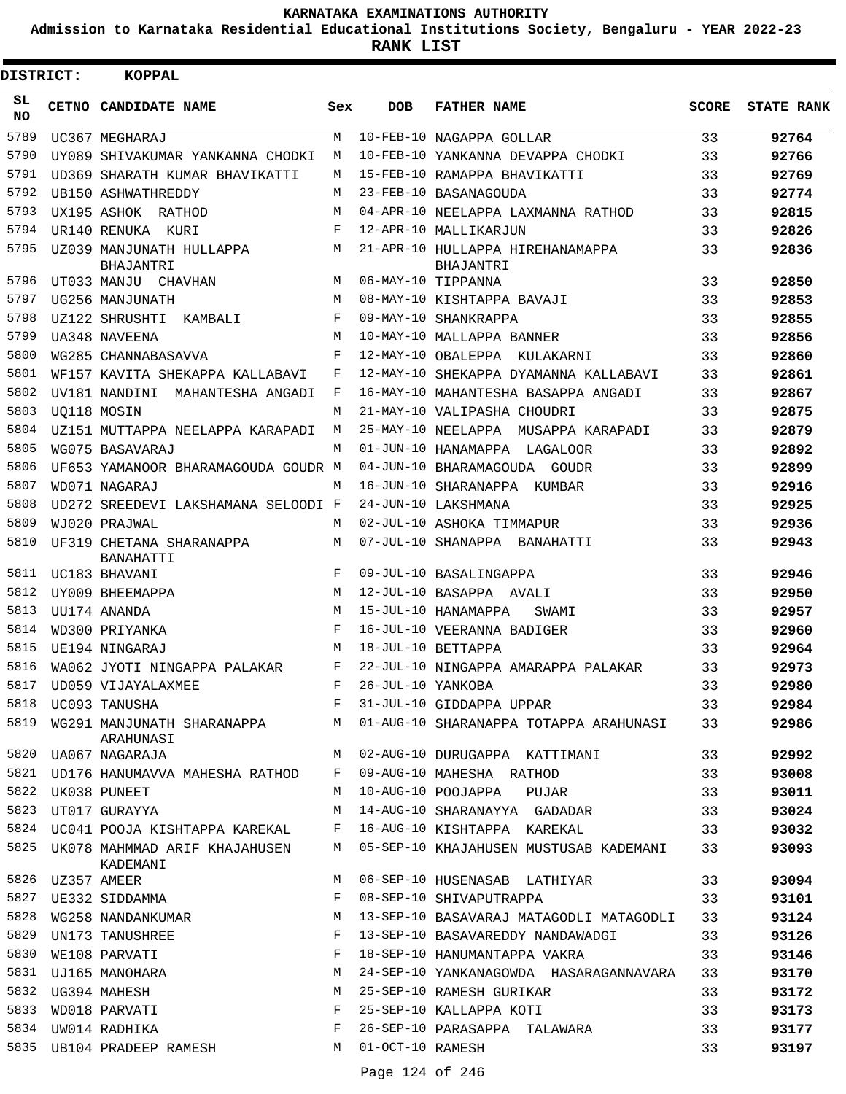**Admission to Karnataka Residential Educational Institutions Society, Bengaluru - YEAR 2022-23**

 $\blacksquare$ 

| DISTRICT:    | <b>KOPPAL</b>                                                 |              |                    |                                                                             |          |                   |
|--------------|---------------------------------------------------------------|--------------|--------------------|-----------------------------------------------------------------------------|----------|-------------------|
| SL<br>NO.    | CETNO CANDIDATE NAME                                          | Sex          | <b>DOB</b>         | <b>FATHER NAME</b>                                                          | SCORE    | <b>STATE RANK</b> |
| 5789         | UC367 MEGHARAJ                                                | M            |                    | 10-FEB-10 NAGAPPA GOLLAR                                                    | 33       | 92764             |
| 5790         | UY089 SHIVAKUMAR YANKANNA CHODKI                              | M            |                    | 10-FEB-10 YANKANNA DEVAPPA CHODKI                                           | 33       | 92766             |
| 5791         | UD369 SHARATH KUMAR BHAVIKATTI                                | M            |                    | 15-FEB-10 RAMAPPA BHAVIKATTI                                                | 33       | 92769             |
| 5792         | UB150 ASHWATHREDDY                                            | М            |                    | 23-FEB-10 BASANAGOUDA                                                       | 33       | 92774             |
| 5793         | UX195 ASHOK RATHOD                                            | М            |                    | 04-APR-10 NEELAPPA LAXMANNA RATHOD                                          | 33       | 92815             |
| 5794         | UR140 RENUKA KURI                                             | F            |                    | 12-APR-10 MALLIKARJUN                                                       | 33       | 92826             |
| 5795         | UZ039 MANJUNATH HULLAPPA<br>BHAJANTRI                         | M            |                    | 21-APR-10 HULLAPPA HIREHANAMAPPA<br>BHAJANTRI                               | 33       | 92836             |
| 5796         | UT033 MANJU CHAVHAN                                           | M            | 06-MAY-10 TIPPANNA |                                                                             | 33       | 92850             |
| 5797         | UG256 MANJUNATH                                               | M            |                    | 08-MAY-10 KISHTAPPA BAVAJI                                                  | 33       | 92853             |
| 5798         | UZ122 SHRUSHTI KAMBALI                                        | F            |                    | 09-MAY-10 SHANKRAPPA                                                        | 33       | 92855             |
| 5799         | UA348 NAVEENA                                                 | M            |                    | 10-MAY-10 MALLAPPA BANNER                                                   | 33       | 92856             |
| 5800         | WG285 CHANNABASAVVA                                           | F            |                    | 12-MAY-10 OBALEPPA KULAKARNI                                                | 33       | 92860             |
| 5801         | WF157 KAVITA SHEKAPPA KALLABAVI                               | F            |                    | 12-MAY-10 SHEKAPPA DYAMANNA KALLABAVI                                       | 33       | 92861             |
| 5802         | UV181 NANDINI MAHANTESHA ANGADI                               | F            |                    | 16-MAY-10 MAHANTESHA BASAPPA ANGADI                                         | 33       | 92867             |
| 5803         | UO118 MOSIN                                                   | М            |                    | 21-MAY-10 VALIPASHA CHOUDRI                                                 | 33       | 92875             |
| 5804         | UZ151 MUTTAPPA NEELAPPA KARAPADI                              | M            |                    | 25-MAY-10 NEELAPPA MUSAPPA KARAPADI                                         | 33       | 92879             |
| 5805         | WG075 BASAVARAJ                                               | M            |                    | 01-JUN-10 HANAMAPPA LAGALOOR                                                | 33       | 92892             |
| 5806         | UF653 YAMANOOR BHARAMAGOUDA GOUDR M                           |              |                    | 04-JUN-10 BHARAMAGOUDA GOUDR                                                | 33       | 92899             |
| 5807<br>5808 | WD071 NAGARAJ                                                 | М            |                    | 16-JUN-10 SHARANAPPA KUMBAR                                                 | 33       | 92916             |
| 5809         | UD272 SREEDEVI LAKSHAMANA SELOODI F                           | М            |                    | 24-JUN-10 LAKSHMANA<br>02-JUL-10 ASHOKA TIMMAPUR                            | 33<br>33 | 92925             |
| 5810         | WJ020 PRAJWAL<br>UF319 CHETANA SHARANAPPA<br><b>BANAHATTI</b> | М            |                    | 07-JUL-10 SHANAPPA BANAHATTI                                                | 33       | 92936<br>92943    |
| 5811         | UC183 BHAVANI                                                 | F            |                    | 09-JUL-10 BASALINGAPPA                                                      | 33       | 92946             |
| 5812         | UY009 BHEEMAPPA                                               | M            |                    | 12-JUL-10 BASAPPA AVALI                                                     | 33       | 92950             |
| 5813         | UU174 ANANDA                                                  | M            |                    | 15-JUL-10 HANAMAPPA<br>SWAMI                                                | 33       | 92957             |
| 5814         | WD300 PRIYANKA                                                | $_{\rm F}$   |                    | 16-JUL-10 VEERANNA BADIGER                                                  | 33       | 92960             |
| 5815         | UE194 NINGARAJ                                                | М            |                    | 18-JUL-10 BETTAPPA                                                          | 33       | 92964             |
| 5816         | WA062 JYOTI NINGAPPA PALAKAR                                  | F            |                    | 22-JUL-10 NINGAPPA AMARAPPA PALAKAR                                         | 33       | 92973             |
|              | 5817 UD059 VIJAYALAXMEE                                       | F            | 26-JUL-10 YANKOBA  |                                                                             | 33       | 92980             |
|              | 5818 UC093 TANUSHA                                            |              |                    | F 31-JUL-10 GIDDAPPA UPPAR                                                  | 33       | 92984             |
|              | ARAHUNASI                                                     |              |                    | 5819 WG291 MANJUNATH SHARANAPPA M 01-AUG-10 SHARANAPPA TOTAPPA ARAHUNASI 33 |          | 92986             |
|              | 5820 UA067 NAGARAJA                                           |              |                    | M 02-AUG-10 DURUGAPPA KATTIMANI 33                                          |          | 92992             |
|              |                                                               |              |                    | 5821 UD176 HANUMAVVA MAHESHA RATHOD F 09-AUG-10 MAHESHA RATHOD 33           |          | 93008             |
|              | 5822 UK038 PUNEET                                             |              |                    | M 10-AUG-10 POOJAPPA PUJAR 33                                               |          | 93011             |
|              | 5823 UT017 GURAYYA                                            |              |                    | M 14-AUG-10 SHARANAYYA GADADAR                                              | 33       | 93024             |
|              |                                                               |              |                    | 5824 UC041 POOJA KISHTAPPA KAREKAL F 16-AUG-10 KISHTAPPA KAREKAL            | 33       | 93032             |
|              | KADEMANI                                                      |              |                    | 5825 UK078 MAHMMAD ARIF KHAJAHUSEN M 05-SEP-10 KHAJAHUSEN MUSTUSAB KADEMANI | 33       | 93093             |
|              |                                                               |              |                    | M 06-SEP-10 HUSENASAB LATHIYAR                                              | 33       | 93094             |
|              | 5827 UE332 SIDDAMMA                                           | F            |                    | 08-SEP-10 SHIVAPUTRAPPA                                                     | 33       | 93101             |
| 5828         |                                                               |              |                    | WG258 NANDANKUMAR M 13-SEP-10 BASAVARAJ MATAGODLI MATAGODLI 33              |          | 93124             |
|              | 5829 UN173 TANUSHREE                                          | F            |                    | 13-SEP-10 BASAVAREDDY NANDAWADGI 33                                         |          | 93126             |
| 5830         | WE108 PARVATI                                                 | F            |                    | 18-SEP-10 HANUMANTAPPA VAKRA                                                | 33       | 93146             |
|              | 5831 UJ165 MANOHARA                                           | M            |                    | 24-SEP-10 YANKANAGOWDA HASARAGANNAVARA 33                                   |          | 93170             |
| 5832         | UG394 MAHESH                                                  | M            |                    | 25-SEP-10 RAMESH GURIKAR                                                    | 33       | 93172             |
|              | 5833 WD018 PARVATI                                            | $\mathbf{F}$ |                    | 25-SEP-10 KALLAPPA KOTI                                                     | 33       | 93173             |
|              | $\mathbf{F}$<br>5834 UW014 RADHIKA                            |              |                    | 26-SEP-10 PARASAPPA TALAWARA                                                | 33       | 93177             |
|              | 5835 UB104 PRADEEP RAMESH M 01-OCT-10 RAMESH                  |              |                    |                                                                             | 33       | 93197             |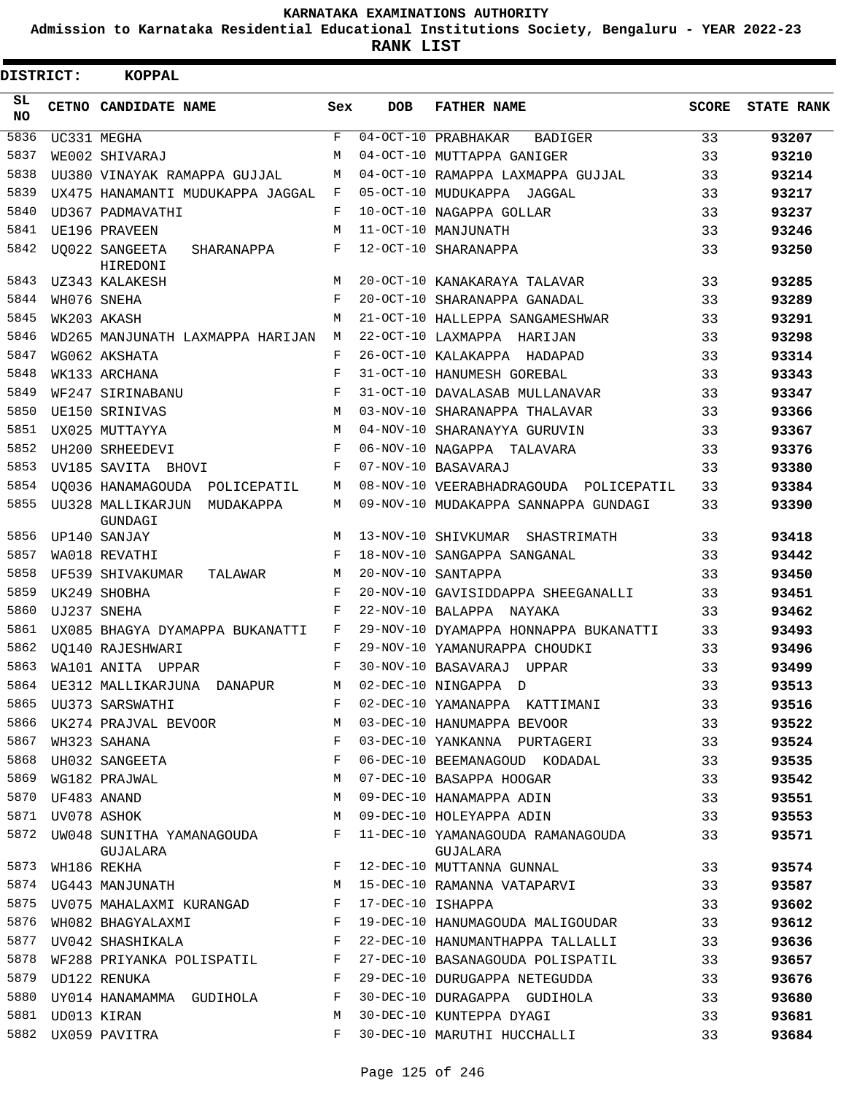**Admission to Karnataka Residential Educational Institutions Society, Bengaluru - YEAR 2022-23**

**RANK LIST**

| DISTRICT:       |                  | <b>KOPPAL</b>                            |            |                   |                                                  |              |                   |
|-----------------|------------------|------------------------------------------|------------|-------------------|--------------------------------------------------|--------------|-------------------|
| SL<br><b>NO</b> |                  | CETNO CANDIDATE NAME                     | Sex        | <b>DOB</b>        | <b>FATHER NAME</b>                               | <b>SCORE</b> | <b>STATE RANK</b> |
| 5836            |                  | UC331 MEGHA                              | F          |                   | 04-OCT-10 PRABHAKAR<br><b>BADIGER</b>            | 33           | 93207             |
| 5837            |                  | WE002 SHIVARAJ                           | M          |                   | 04-OCT-10 MUTTAPPA GANIGER                       | 33           | 93210             |
| 5838            |                  | UU380 VINAYAK RAMAPPA GUJJAL             | M          |                   | 04-OCT-10 RAMAPPA LAXMAPPA GUJJAL                | 33           | 93214             |
| 5839            |                  | UX475 HANAMANTI MUDUKAPPA JAGGAL         | F          |                   | 05-OCT-10 MUDUKAPPA JAGGAL                       | 33           | 93217             |
| 5840            |                  | UD367 PADMAVATHI                         | F          |                   | 10-OCT-10 NAGAPPA GOLLAR                         | 33           | 93237             |
| 5841            |                  | UE196 PRAVEEN                            | M          |                   | 11-OCT-10 MANJUNATH                              | 33           | 93246             |
| 5842            |                  | UQ022 SANGEETA<br>SHARANAPPA<br>HIREDONI | F          |                   | 12-OCT-10 SHARANAPPA                             | 33           | 93250             |
| 5843            |                  | UZ343 KALAKESH                           | М          |                   | 20-OCT-10 KANAKARAYA TALAVAR                     | 33           | 93285             |
| 5844            |                  | WH076 SNEHA                              | F          |                   | 20-OCT-10 SHARANAPPA GANADAL                     | 33           | 93289             |
| 5845            |                  | WK203 AKASH                              | M          |                   | 21-OCT-10 HALLEPPA SANGAMESHWAR                  | 33           | 93291             |
| 5846            |                  | WD265 MANJUNATH LAXMAPPA HARIJAN         | M          |                   | 22-OCT-10 LAXMAPPA HARIJAN                       | 33           | 93298             |
| 5847            |                  | WG062 AKSHATA                            | F          |                   | 26-OCT-10 KALAKAPPA HADAPAD                      | 33           | 93314             |
| 5848            |                  | WK133 ARCHANA                            | $_{\rm F}$ |                   | 31-OCT-10 HANUMESH GOREBAL                       | 33           | 93343             |
| 5849            |                  | WF247 SIRINABANU                         | F          |                   | 31-OCT-10 DAVALASAB MULLANAVAR                   | 33           | 93347             |
| 5850            |                  | UE150 SRINIVAS                           | М          |                   | 03-NOV-10 SHARANAPPA THALAVAR                    | 33           | 93366             |
| 5851            |                  | UX025 MUTTAYYA                           | М          |                   | 04-NOV-10 SHARANAYYA GURUVIN                     | 33           | 93367             |
| 5852            |                  | UH200 SRHEEDEVI                          | F          |                   | 06-NOV-10 NAGAPPA TALAVARA                       | 33           | 93376             |
| 5853            |                  | UV185 SAVITA BHOVI                       | F          |                   | 07-NOV-10 BASAVARAJ                              | 33           | 93380             |
| 5854            |                  | UO036 HANAMAGOUDA POLICEPATIL            | М          |                   | 08-NOV-10 VEERABHADRAGOUDA POLICEPATIL           | 33           | 93384             |
| 5855            |                  | UU328 MALLIKARJUN MUDAKAPPA<br>GUNDAGI   | М          |                   | 09-NOV-10 MUDAKAPPA SANNAPPA GUNDAGI             | 33           | 93390             |
| 5856            |                  | UP140 SANJAY                             | M          |                   | 13-NOV-10 SHIVKUMAR SHASTRIMATH                  | 33           | 93418             |
| 5857            |                  | WA018 REVATHI                            | $_{\rm F}$ |                   | 18-NOV-10 SANGAPPA SANGANAL                      | 33           | 93442             |
| 5858            |                  | UF539 SHIVAKUMAR<br>TALAWAR              | M          |                   | 20-NOV-10 SANTAPPA                               | 33           | 93450             |
| 5859            |                  | UK249 SHOBHA                             | $_{\rm F}$ |                   | 20-NOV-10 GAVISIDDAPPA SHEEGANALLI               | 33           | 93451             |
| 5860            |                  | UJ237 SNEHA                              | F          |                   | 22-NOV-10 BALAPPA NAYAKA                         | 33           | 93462             |
| 5861            |                  | UX085 BHAGYA DYAMAPPA BUKANATTI          | F          |                   | 29-NOV-10 DYAMAPPA HONNAPPA BUKANATTI            | 33           | 93493             |
| 5862            |                  | UO140 RAJESHWARI                         | $_{\rm F}$ |                   | 29-NOV-10 YAMANURAPPA CHOUDKI                    | 33           | 93496             |
| 5863            |                  | WA101 ANITA UPPAR                        | $_{\rm F}$ |                   | 30-NOV-10 BASAVARAJ UPPAR                        | 33           | 93499             |
|                 |                  | 5864 UE312 MALLIKARJUNA DANAPUR          |            |                   | M 02-DEC-10 NINGAPPA D                           | 33           | 93513             |
|                 |                  | 5865 UU373 SARSWATHI                     | F          |                   | 02-DEC-10 YAMANAPPA KATTIMANI                    | 33           | 93516             |
|                 |                  |                                          |            |                   | 03-DEC-10 HANUMAPPA BEVOOR                       | 33           | 93522             |
| 5867            |                  | WH323 SAHANA                             | F          |                   | 03-DEC-10 YANKANNA PURTAGERI                     | 33           | 93524             |
| 5868            |                  | UH032 SANGEETA                           | F          |                   | 06-DEC-10 BEEMANAGOUD KODADAL 33                 |              | 93535             |
|                 |                  | 5869 WG182 PRAJWAL                       | М          |                   | 07-DEC-10 BASAPPA HOOGAR                         | 33           | 93542             |
| 5870            | UF483 ANAND      |                                          | М          |                   | 09-DEC-10 HANAMAPPA ADIN                         | 33           | 93551             |
|                 | 5871 UV078 ASHOK |                                          | М          |                   | 09-DEC-10 HOLEYAPPA ADIN 33                      |              | 93553             |
| 5872            |                  | UW048 SUNITHA YAMANAGOUDA F<br>GUJALARA  |            |                   | 11-DEC-10 YAMANAGOUDA RAMANAGOUDA 33<br>GUJALARA |              | 93571             |
|                 | 5873 WH186 REKHA |                                          | $F$ –      |                   | 12-DEC-10 MUTTANNA GUNNAL                        | 33           | 93574             |
|                 |                  | M<br>5874 UG443 MANJUNATH                |            |                   | 15-DEC-10 RAMANNA VATAPARVI                      | 33           | 93587             |
|                 |                  | 5875 UV075 MAHALAXMI KURANGAD F          |            | 17-DEC-10 ISHAPPA |                                                  | 33           | 93602             |
| 5876            |                  | WH082 BHAGYALAXMI F                      |            |                   | 19-DEC-10 HANUMAGOUDA MALIGOUDAR                 | 33           | 93612             |
| 5877            |                  | UV042 SHASHIKALA F                       |            |                   | 22-DEC-10 HANUMANTHAPPA TALLALLI                 | 33           | 93636             |
| 5878            |                  | WF288 PRIYANKA POLISPATIL F              |            |                   | 27-DEC-10 BASANAGOUDA POLISPATIL 33              |              | 93657             |
| 5879            |                  | UD122 RENUKA                             | F          |                   | 29-DEC-10 DURUGAPPA NETEGUDDA                    | 33           | 93676             |
| 5880            |                  | UY014 HANAMAMMA GUDIHOLA                 | F          |                   | 30-DEC-10 DURAGAPPA GUDIHOLA                     | 33           | 93680             |
| 5881            |                  | UD013 KIRAN                              | М          |                   | 30-DEC-10 KUNTEPPA DYAGI                         | 33           | 93681             |
|                 |                  | 5882 UX059 PAVITRA                       | $F -$      |                   | 30-DEC-10 MARUTHI HUCCHALLI                      | 33           | 93684             |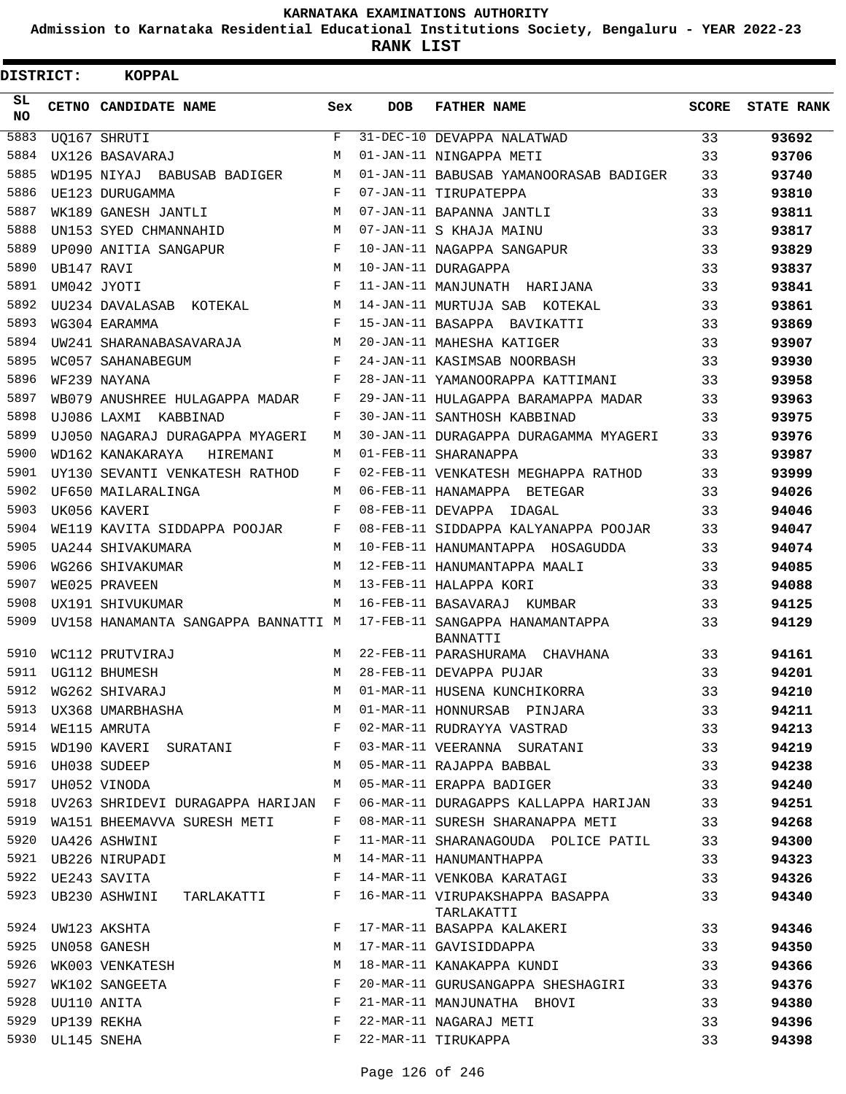**Admission to Karnataka Residential Educational Institutions Society, Bengaluru - YEAR 2022-23**

| <b>DISTRICT:</b> |             | KOPPAL                                                              |            |     |                                               |              |                   |
|------------------|-------------|---------------------------------------------------------------------|------------|-----|-----------------------------------------------|--------------|-------------------|
| SL.<br><b>NO</b> |             | CETNO CANDIDATE NAME                                                | Sex        | DOB | <b>FATHER NAME</b>                            | <b>SCORE</b> | <b>STATE RANK</b> |
| 5883             |             | UO167 SHRUTI                                                        | F          |     | 31-DEC-10 DEVAPPA NALATWAD                    | 33           | 93692             |
| 5884             |             | UX126 BASAVARAJ                                                     | M          |     | 01-JAN-11 NINGAPPA METI                       | 33           | 93706             |
| 5885             |             | WD195 NIYAJ BABUSAB BADIGER                                         | M          |     | 01-JAN-11 BABUSAB YAMANOORASAB BADIGER        | 33           | 93740             |
| 5886             |             | UE123 DURUGAMMA                                                     | F          |     | 07-JAN-11 TIRUPATEPPA                         | 33           | 93810             |
| 5887             |             | WK189 GANESH JANTLI                                                 | M          |     | 07-JAN-11 BAPANNA JANTLI                      | 33           | 93811             |
| 5888             |             | UN153 SYED CHMANNAHID                                               | M          |     | 07-JAN-11 S KHAJA MAINU                       | 33           | 93817             |
| 5889             |             | UP090 ANITIA SANGAPUR                                               | F          |     | 10-JAN-11 NAGAPPA SANGAPUR                    | 33           | 93829             |
| 5890             | UB147 RAVI  |                                                                     | M          |     | 10-JAN-11 DURAGAPPA                           | 33           | 93837             |
| 5891             |             | UM042 JYOTI                                                         | F          |     | 11-JAN-11 MANJUNATH HARIJANA                  | 33           | 93841             |
| 5892             |             | UU234 DAVALASAB KOTEKAL                                             | M          |     | 14-JAN-11 MURTUJA SAB KOTEKAL                 | 33           | 93861             |
| 5893             |             | WG304 EARAMMA                                                       | F          |     | 15-JAN-11 BASAPPA BAVIKATTI                   | 33           | 93869             |
| 5894             |             | UW241 SHARANABASAVARAJA                                             | M          |     | 20-JAN-11 MAHESHA KATIGER                     | 33           | 93907             |
| 5895             |             | WC057 SAHANABEGUM                                                   | F          |     | 24-JAN-11 KASIMSAB NOORBASH                   | 33           | 93930             |
| 5896             |             | WF239 NAYANA                                                        | F          |     | 28-JAN-11 YAMANOORAPPA KATTIMANI              | 33           | 93958             |
| 5897             |             | WB079 ANUSHREE HULAGAPPA MADAR                                      | F          |     | 29-JAN-11 HULAGAPPA BARAMAPPA MADAR           | 33           | 93963             |
| 5898             |             | UJ086 LAXMI KABBINAD                                                | F          |     | 30-JAN-11 SANTHOSH KABBINAD                   | 33           | 93975             |
| 5899             |             | UJ050 NAGARAJ DURAGAPPA MYAGERI                                     | M          |     | 30-JAN-11 DURAGAPPA DURAGAMMA MYAGERI         | 33           | 93976             |
| 5900             |             | WD162 KANAKARAYA<br>HIREMANI                                        | M          |     | 01-FEB-11 SHARANAPPA                          | 33           | 93987             |
| 5901             |             | UY130 SEVANTI VENKATESH RATHOD                                      | F          |     | 02-FEB-11 VENKATESH MEGHAPPA RATHOD           | 33           | 93999             |
| 5902             |             | UF650 MAILARALINGA                                                  | M          |     | 06-FEB-11 HANAMAPPA BETEGAR                   | 33           | 94026             |
| 5903             |             | UK056 KAVERI                                                        | F          |     | 08-FEB-11 DEVAPPA IDAGAL                      | 33           | 94046             |
| 5904             |             | WE119 KAVITA SIDDAPPA POOJAR                                        | F          |     | 08-FEB-11 SIDDAPPA KALYANAPPA POOJAR          | 33           | 94047             |
| 5905             |             | UA244 SHIVAKUMARA                                                   | M          |     | 10-FEB-11 HANUMANTAPPA HOSAGUDDA              | 33           | 94074             |
| 5906             |             | WG266 SHIVAKUMAR                                                    | M          |     | 12-FEB-11 HANUMANTAPPA MAALI                  | 33           | 94085             |
| 5907             |             | WE025 PRAVEEN                                                       | M          |     | 13-FEB-11 HALAPPA KORI                        | 33           | 94088             |
| 5908             |             | UX191 SHIVUKUMAR                                                    | M          |     | 16-FEB-11 BASAVARAJ KUMBAR                    | 33           | 94125             |
| 5909             |             | UV158 HANAMANTA SANGAPPA BANNATTI M 17-FEB-11 SANGAPPA HANAMANTAPPA |            |     | <b>BANNATTI</b>                               | 33           | 94129             |
| 5910             |             | WC112 PRUTVIRAJ                                                     | M          |     | 22-FEB-11 PARASHURAMA CHAVHANA                | 33           | 94161             |
|                  |             | 5911 UG112 BHUMESH                                                  | M          |     | 28-FEB-11 DEVAPPA PUJAR                       | 33           | 94201             |
| 5912             |             | WG262 SHIVARAJ                                                      | M          |     | 01-MAR-11 HUSENA KUNCHIKORRA                  | 33           | 94210             |
| 5913             |             | UX368 UMARBHASHA                                                    | M          |     | 01-MAR-11 HONNURSAB PINJARA                   | 33           | 94211             |
| 5914             |             | WE115 AMRUTA                                                        | $_{\rm F}$ |     | 02-MAR-11 RUDRAYYA VASTRAD                    | 33           | 94213             |
| 5915             |             | WD190 KAVERI SURATANI F                                             |            |     | 03-MAR-11 VEERANNA SURATANI                   | 33           | 94219             |
| 5916             |             | UH038 SUDEEP                                                        | М          |     | 05-MAR-11 RAJAPPA BABBAL                      | 33           | 94238             |
| 5917             |             | UH052 VINODA                                                        | M          |     | 05-MAR-11 ERAPPA BADIGER                      | 33           | 94240             |
| 5918             |             | UV263 SHRIDEVI DURAGAPPA HARIJAN F                                  |            |     | 06-MAR-11 DURAGAPPS KALLAPPA HARIJAN          | 33           | 94251             |
|                  |             | 5919 WA151 BHEEMAVVA SURESH METI                                    | F          |     | 08-MAR-11 SURESH SHARANAPPA METI              | 33           | 94268             |
| 5920             |             | UA426 ASHWINI                                                       | F          |     | 11-MAR-11 SHARANAGOUDA POLICE PATIL           | 33           | 94300             |
| 5921             |             | UB226 NIRUPADI                                                      | M          |     | 14-MAR-11 HANUMANTHAPPA                       | 33           | 94323             |
| 5922             |             | UE243 SAVITA                                                        | F          |     | 14-MAR-11 VENKOBA KARATAGI                    | 33           | 94326             |
|                  |             | 5923 UB230 ASHWINI TARLAKATTI                                       | F          |     | 16-MAR-11 VIRUPAKSHAPPA BASAPPA<br>TARLAKATTI | 33           | 94340             |
|                  |             | 5924 UW123 AKSHTA                                                   | F          |     | 17-MAR-11 BASAPPA KALAKERI                    | 33           | 94346             |
| 5925             |             | UN058 GANESH                                                        | М          |     | 17-MAR-11 GAVISIDDAPPA                        | 33           | 94350             |
| 5926             |             | WK003 VENKATESH                                                     | М          |     | 18-MAR-11 KANAKAPPA KUNDI                     | 33           | 94366             |
| 5927             |             | WK102 SANGEETA                                                      | F          |     | 20-MAR-11 GURUSANGAPPA SHESHAGIRI 33          |              | 94376             |
| 5928             | UU110 ANITA |                                                                     | F          |     | 21-MAR-11 MANJUNATHA BHOVI                    | 33           | 94380             |
| 5929             | UP139 REKHA |                                                                     | F          |     | 22-MAR-11 NAGARAJ METI                        | 33           | 94396             |
| 5930             | UL145 SNEHA |                                                                     | F          |     | 22-MAR-11 TIRUKAPPA                           | 33           | 94398             |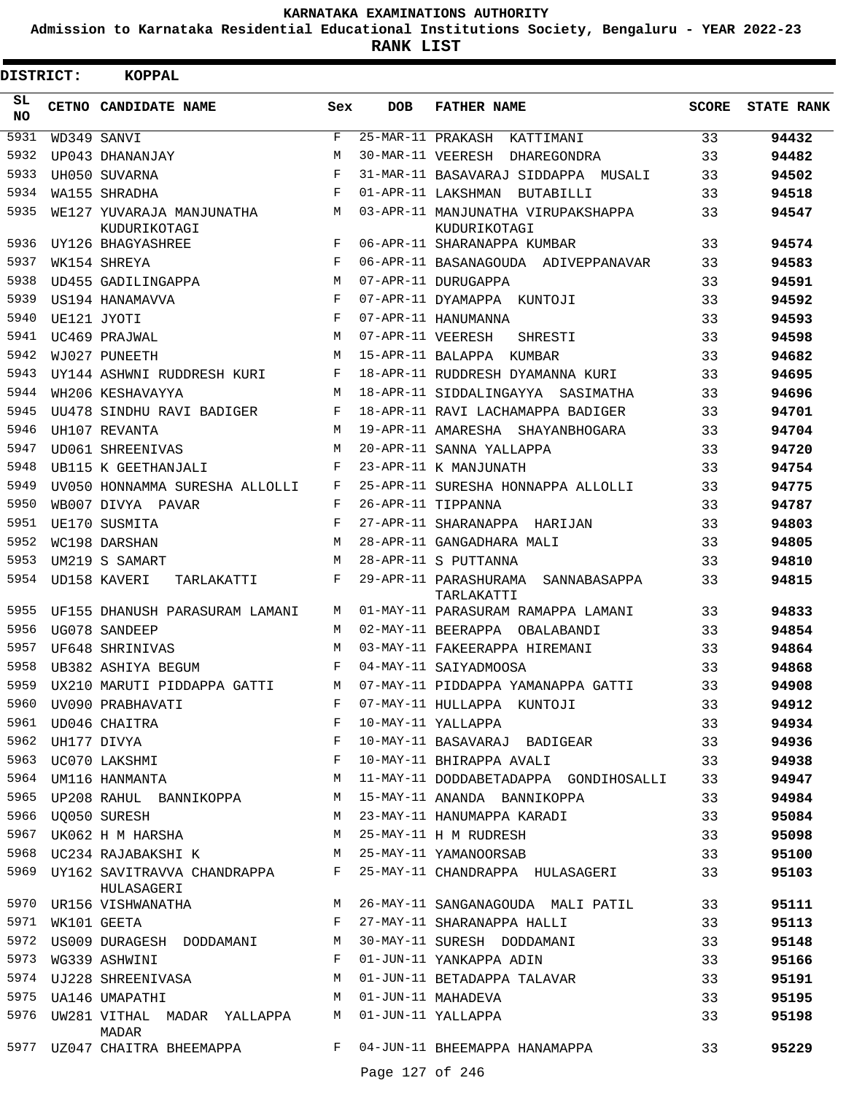**Admission to Karnataka Residential Educational Institutions Society, Bengaluru - YEAR 2022-23**

**RANK LIST**

| DISTRICT:       | KOPPAL                                                                                             |              |                   |                                                                                                                                                |              |                   |
|-----------------|----------------------------------------------------------------------------------------------------|--------------|-------------------|------------------------------------------------------------------------------------------------------------------------------------------------|--------------|-------------------|
| SL<br><b>NO</b> | CETNO CANDIDATE NAME                                                                               | Sex          | <b>DOB</b>        | <b>FATHER NAME</b>                                                                                                                             | <b>SCORE</b> | <b>STATE RANK</b> |
| 5931            | WD349 SANVI                                                                                        | $_{\rm F}$   |                   | 25-MAR-11 PRAKASH KATTIMANI                                                                                                                    | 33           | 94432             |
| 5932            | UP043 DHANANJAY                                                                                    | M            |                   | 30-MAR-11 VEERESH DHAREGONDRA                                                                                                                  | 33           | 94482             |
| 5933            | UH050 SUVARNA                                                                                      | $_{\rm F}$   |                   | 31-MAR-11 BASAVARAJ SIDDAPPA MUSALI                                                                                                            | 33           | 94502             |
| 5934            | WA155 SHRADHA                                                                                      | F            |                   | 01-APR-11 LAKSHMAN BUTABILLI                                                                                                                   | 33           | 94518             |
| 5935            | WE127 YUVARAJA MANJUNATHA<br>KUDURIKOTAGI                                                          | M            |                   | 03-APR-11 MANJUNATHA VIRUPAKSHAPPA<br>KUDURIKOTAGI                                                                                             | 33           | 94547             |
| 5936            | UY126 BHAGYASHREE                                                                                  | F            |                   | 06-APR-11 SHARANAPPA KUMBAR                                                                                                                    | 33           | 94574             |
| 5937            | WK154 SHREYA                                                                                       | F            |                   | 06-APR-11 BASANAGOUDA ADIVEPPANAVAR                                                                                                            | 33           | 94583             |
| 5938            | UD455 GADILINGAPPA                                                                                 | M            |                   | 07-APR-11 DURUGAPPA                                                                                                                            | 33           | 94591             |
| 5939            | US194 HANAMAVVA                                                                                    | F            |                   | 07-APR-11 DYAMAPPA KUNTOJI                                                                                                                     | 33           | 94592             |
| 5940            | UE121 JYOTI                                                                                        | F            |                   | 07-APR-11 HANUMANNA                                                                                                                            | 33           | 94593             |
| 5941            | UC469 PRAJWAL                                                                                      | M            | 07-APR-11 VEERESH | SHRESTI                                                                                                                                        | 33           | 94598             |
| 5942            | WJ027 PUNEETH                                                                                      | M            |                   | 15-APR-11 BALAPPA KUMBAR                                                                                                                       | 33           | 94682             |
| 5943            | UY144 ASHWNI RUDDRESH KURI                                                                         | F            |                   | 18-APR-11 RUDDRESH DYAMANNA KURI                                                                                                               | 33           | 94695             |
| 5944            | WH206 KESHAVAYYA                                                                                   | M            |                   | 18-APR-11 SIDDALINGAYYA SASIMATHA                                                                                                              | 33           | 94696             |
| 5945            | UU478 SINDHU RAVI BADIGER                                                                          | F            |                   | 18-APR-11 RAVI LACHAMAPPA BADIGER                                                                                                              | 33           | 94701             |
| 5946            | UH107 REVANTA                                                                                      | M            |                   | 19-APR-11 AMARESHA SHAYANBHOGARA                                                                                                               | 33           | 94704             |
| 5947            | UD061 SHREENIVAS                                                                                   | M            |                   | 20-APR-11 SANNA YALLAPPA                                                                                                                       | 33           | 94720             |
| 5948            | UB115 K GEETHANJALI                                                                                | F            |                   | 23-APR-11 K MANJUNATH                                                                                                                          | 33           | 94754             |
| 5949            | UV050 HONNAMMA SURESHA ALLOLLI                                                                     | F            |                   | 25-APR-11 SURESHA HONNAPPA ALLOLLI                                                                                                             | 33           | 94775             |
| 5950            | WB007 DIVYA PAVAR                                                                                  | F            |                   | 26-APR-11 TIPPANNA                                                                                                                             | 33           | 94787             |
| 5951            | UE170 SUSMITA                                                                                      | F            |                   | 27-APR-11 SHARANAPPA HARIJAN                                                                                                                   | 33           | 94803             |
| 5952            | WC198 DARSHAN                                                                                      | M            |                   | 28-APR-11 GANGADHARA MALI                                                                                                                      | 33           | 94805             |
| 5953            | UM219 S SAMART                                                                                     | M            |                   | 28-APR-11 S PUTTANNA                                                                                                                           | 33           | 94810             |
| 5954            | UD158 KAVERI<br>TARLAKATTI                                                                         | F            |                   | 29-APR-11 PARASHURAMA SANNABASAPPA<br>TARLAKATTI                                                                                               | 33           | 94815             |
| 5955            | UF155 DHANUSH PARASURAM LAMANI                                                                     | M            |                   | 01-MAY-11 PARASURAM RAMAPPA LAMANI                                                                                                             | 33           | 94833             |
| 5956            | UG078 SANDEEP                                                                                      | M            |                   | 02-MAY-11 BEERAPPA OBALABANDI                                                                                                                  | 33           | 94854             |
| 5957            | UF648 SHRINIVAS                                                                                    | M            |                   | 03-MAY-11 FAKEERAPPA HIREMANI                                                                                                                  | 33           | 94864             |
| 5958            | UB382 ASHIYA BEGUM                                                                                 | F            |                   | 04-MAY-11 SAIYADMOOSA                                                                                                                          | 33           | 94868             |
|                 | 5959 UX210 MARUTI PIDDAPPA GATTI                                                                   |              |                   | M 07-MAY-11 PIDDAPPA YAMANAPPA GATTI                                                                                                           | 33           | 94908             |
| 5960            | UV090 PRABHAVATI                                                                                   |              |                   | 07-MAY-11 HULLAPPA KUNTOJI                                                                                                                     | 33           | 94912             |
|                 | $\begin{array}{cc} \textbf{F} & \\ \textbf{F} & \\ \textbf{F} & \end{array}$<br>5961 UD046 CHAITRA |              |                   | 10-MAY-11 YALLAPPA                                                                                                                             | 33           | 94934             |
|                 |                                                                                                    |              |                   | 10-MAY-11 BASAVARAJ BADIGEAR 33                                                                                                                |              | 94936             |
|                 |                                                                                                    |              |                   | 10-MAY-11 BHIRAPPA AVALI                                                                                                                       | 33           | 94938             |
|                 |                                                                                                    |              |                   | 11-MAY-11 DODDABETADAPPA GONDIHOSALLI                                                                                                          | 33           | 94947             |
|                 | 5965 UP208 RAHUL BANNIKOPPA M 15-MAY-11 ANANDA BANNIKOPPA                                          |              |                   |                                                                                                                                                | 33           | 94984             |
|                 | 5966 UQ050 SURESH                                                                                  |              |                   | M 23-MAY-11 HANUMAPPA KARADI                                                                                                                   | 33           | 95084             |
|                 | 5967 UK062 H M HARSHA M 25-MAY-11 H M RUDRESH                                                      |              |                   |                                                                                                                                                | 33           | 95098             |
|                 |                                                                                                    |              |                   | 5968 UC234 RAJABAKSHI K M 25-MAY-11 YAMANOORSAB                                                                                                | 33           | 95100             |
|                 | HULASAGERI                                                                                         |              |                   | 5969 UY162 SAVITRAVVA CHANDRAPPA F 25-MAY-11 CHANDRAPPA HULASAGERI                                                                             | 33           | 95103             |
|                 |                                                                                                    |              |                   | 5970 UR156 VISHWANATHA M 26-MAY-11 SANGANAGOUDA MALI PATIL 33                                                                                  |              | 95111             |
| 5971            | WK101 GEETA                                                                                        |              |                   | F 27-MAY-11 SHARANAPPA HALLI                                                                                                                   | 33           | 95113             |
|                 |                                                                                                    |              |                   |                                                                                                                                                | 33           | 95148             |
|                 | 5973 WG339 ASHWINI                                                                                 | $\mathbb{F}$ |                   | 5972 US009 DURAGESH DODDAMANI M 30-MAY-11 SURESH DODDAMANI<br>5973 WG339 ASHWINI MIRAMANI F 01-JUN-11 YANKAPPA ADIN<br>01-JUN-11 YANKAPPA ADIN | 33           | 95166             |
|                 |                                                                                                    |              |                   | 5974 UJ228 SHREENIVASA M O1-JUN-11 BETADAPPA TALAVAR                                                                                           | 33           | 95191             |
|                 | M 01-JUN-11 MAHADEVA<br>5975 UA146 UMAPATHI                                                        |              |                   |                                                                                                                                                | 33           | 95195             |
|                 | 5976 UW281 VITHAL MADAR YALLAPPA M<br>MADAR                                                        |              |                   | 01-JUN-11 YALLAPPA                                                                                                                             | 33           | 95198             |
|                 | 5977 UZ047 CHAITRA BHEEMAPPA F                                                                     |              |                   | 04-JUN-11 BHEEMAPPA HANAMAPPA                                                                                                                  | 33           | 95229             |
|                 |                                                                                                    |              | Page 127 of 246   |                                                                                                                                                |              |                   |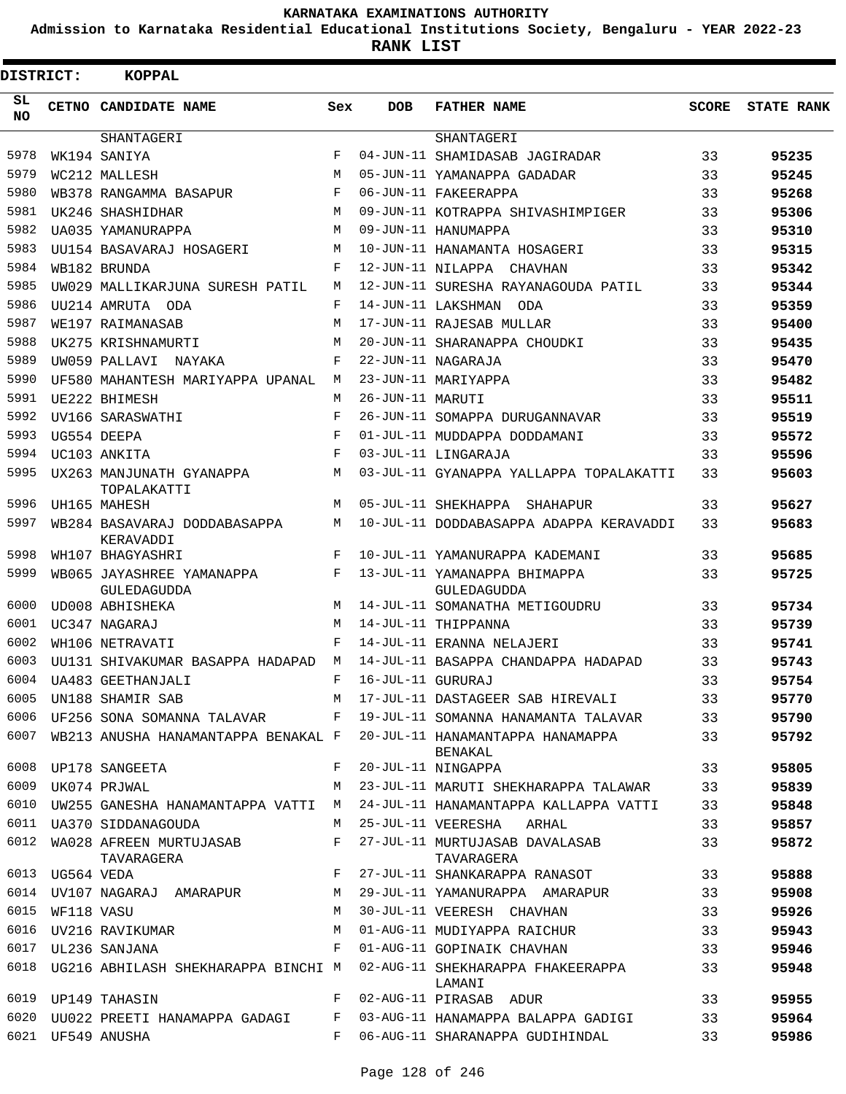**Admission to Karnataka Residential Educational Institutions Society, Bengaluru - YEAR 2022-23**

| DISTRICT:       |                 | <b>KOPPAL</b>                             |            |                   |                                                                                 |              |                   |
|-----------------|-----------------|-------------------------------------------|------------|-------------------|---------------------------------------------------------------------------------|--------------|-------------------|
| SL<br><b>NO</b> |                 | CETNO CANDIDATE NAME                      | Sex        | <b>DOB</b>        | <b>FATHER NAME</b>                                                              | <b>SCORE</b> | <b>STATE RANK</b> |
|                 |                 | SHANTAGERI                                |            |                   | SHANTAGERI                                                                      |              |                   |
| 5978            |                 | WK194 SANIYA                              | F          |                   | 04-JUN-11 SHAMIDASAB JAGIRADAR                                                  | 33           | 95235             |
| 5979            |                 | WC212 MALLESH                             | M          |                   | 05-JUN-11 YAMANAPPA GADADAR                                                     | 33           | 95245             |
| 5980            |                 | WB378 RANGAMMA BASAPUR                    | F          |                   | 06-JUN-11 FAKEERAPPA                                                            | 33           | 95268             |
| 5981            |                 | UK246 SHASHIDHAR                          | М          |                   | 09-JUN-11 KOTRAPPA SHIVASHIMPIGER                                               | 33           | 95306             |
| 5982            |                 | UA035 YAMANURAPPA                         | М          |                   | 09-JUN-11 HANUMAPPA                                                             | 33           | 95310             |
| 5983            |                 | UU154 BASAVARAJ HOSAGERI                  | M          |                   | 10-JUN-11 HANAMANTA HOSAGERI                                                    | 33           | 95315             |
| 5984            |                 | WB182 BRUNDA                              | F          |                   | 12-JUN-11 NILAPPA CHAVHAN                                                       | 33           | 95342             |
| 5985            |                 | UW029 MALLIKARJUNA SURESH PATIL           | М          |                   | 12-JUN-11 SURESHA RAYANAGOUDA PATIL                                             | 33           | 95344             |
| 5986            |                 | UU214 AMRUTA ODA                          | F          |                   | 14-JUN-11 LAKSHMAN ODA                                                          | 33           | 95359             |
| 5987            |                 | WE197 RAIMANASAB                          | M          |                   | 17-JUN-11 RAJESAB MULLAR                                                        | 33           | 95400             |
| 5988            |                 | UK275 KRISHNAMURTI                        | M          |                   | 20-JUN-11 SHARANAPPA CHOUDKI                                                    | 33           | 95435             |
| 5989            |                 | UW059 PALLAVI NAYAKA                      | F          |                   | 22-JUN-11 NAGARAJA                                                              | 33           | 95470             |
| 5990            |                 | UF580 MAHANTESH MARIYAPPA UPANAL          | М          |                   | 23-JUN-11 MARIYAPPA                                                             | 33           | 95482             |
| 5991            |                 | UE222 BHIMESH                             | M          | 26-JUN-11 MARUTI  |                                                                                 | 33           | 95511             |
| 5992            |                 | UV166 SARASWATHI                          | F          |                   | 26-JUN-11 SOMAPPA DURUGANNAVAR                                                  | 33           | 95519             |
| 5993            |                 | UG554 DEEPA                               | F          |                   | 01-JUL-11 MUDDAPPA DODDAMANI                                                    | 33           | 95572             |
| 5994            |                 | UC103 ANKITA                              | $_{\rm F}$ |                   | 03-JUL-11 LINGARAJA                                                             | 33           | 95596             |
| 5995            |                 | UX263 MANJUNATH GYANAPPA<br>TOPALAKATTI   | М          |                   | 03-JUL-11 GYANAPPA YALLAPPA TOPALAKATTI                                         | 33           | 95603             |
| 5996            |                 | UH165 MAHESH                              | М          |                   | 05-JUL-11 SHEKHAPPA SHAHAPUR                                                    | 33           | 95627             |
| 5997            |                 | WB284 BASAVARAJ DODDABASAPPA<br>KERAVADDI | М          |                   | 10-JUL-11 DODDABASAPPA ADAPPA KERAVADDI                                         | 33           | 95683             |
| 5998            |                 | WH107 BHAGYASHRI                          | F          |                   | 10-JUL-11 YAMANURAPPA KADEMANI                                                  | 33           | 95685             |
| 5999            |                 | WB065 JAYASHREE YAMANAPPA<br>GULEDAGUDDA  | F          |                   | 13-JUL-11 YAMANAPPA BHIMAPPA<br>GULEDAGUDDA                                     | 33           | 95725             |
| 6000            |                 | UD008 ABHISHEKA                           | М          |                   | 14-JUL-11 SOMANATHA METIGOUDRU                                                  | 33           | 95734             |
| 6001            |                 | UC347 NAGARAJ                             | M          |                   | 14-JUL-11 THIPPANNA                                                             | 33           | 95739             |
| 6002            |                 | WH106 NETRAVATI                           | F          |                   | 14-JUL-11 ERANNA NELAJERI                                                       | 33           | 95741             |
| 6003            |                 | UU131 SHIVAKUMAR BASAPPA HADAPAD          | M          |                   | 14-JUL-11 BASAPPA CHANDAPPA HADAPAD                                             | 33           | 95743             |
| 6004            |                 | UA483 GEETHANJALI                         | F          | 16-JUL-11 GURURAJ |                                                                                 | 33           | 95754             |
| 6005            |                 | UN188 SHAMIR SAB                          | М          |                   | 17-JUL-11 DASTAGEER SAB HIREVALI                                                | 33           | 95770             |
| 6006            |                 | UF256 SONA SOMANNA TALAVAR                | $F$ –      |                   | 19-JUL-11 SOMANNA HANAMANTA TALAVAR                                             | 33           | 95790             |
| 6007            |                 | WB213 ANUSHA HANAMANTAPPA BENAKAL F       |            |                   | 20-JUL-11 HANAMANTAPPA HANAMAPPA<br><b>BENAKAL</b>                              | 33           | 95792             |
| 6008            |                 | UP178 SANGEETA                            | F          |                   | 20-JUL-11 NINGAPPA                                                              | 33           | 95805             |
| 6009            |                 | UK074 PRJWAL                              | М          |                   | 23-JUL-11 MARUTI SHEKHARAPPA TALAWAR                                            | 33           | 95839             |
| 6010            |                 | UW255 GANESHA HANAMANTAPPA VATTI          | М          |                   | 24-JUL-11 HANAMANTAPPA KALLAPPA VATTI                                           | 33           | 95848             |
| 6011            |                 | UA370 SIDDANAGOUDA                        | М          |                   | 25-JUL-11 VEERESHA<br>ARHAL                                                     | 33           | 95857             |
| 6012            |                 | WA028 AFREEN MURTUJASAB<br>TAVARAGERA     | F          |                   | 27-JUL-11 MURTUJASAB DAVALASAB<br>TAVARAGERA                                    | 33           | 95872             |
|                 | 6013 UG564 VEDA |                                           | F          |                   | 27-JUL-11 SHANKARAPPA RANASOT                                                   | 33           | 95888             |
| 6014            |                 | UV107 NAGARAJ AMARAPUR                    | М          |                   | 29-JUL-11 YAMANURAPPA AMARAPUR                                                  | 33           | 95908             |
| 6015            | WF118 VASU      |                                           | М          |                   | 30-JUL-11 VEERESH CHAVHAN                                                       | 33           | 95926             |
| 6016            |                 | UV216 RAVIKUMAR                           | М          |                   | 01-AUG-11 MUDIYAPPA RAICHUR                                                     | 33           | 95943             |
| 6017            |                 | UL236 SANJANA                             | F          |                   | 01-AUG-11 GOPINAIK CHAVHAN                                                      | 33           | 95946             |
| 6018            |                 |                                           |            |                   | UG216 ABHILASH SHEKHARAPPA BINCHI M 02-AUG-11 SHEKHARAPPA FHAKEERAPPA<br>LAMANI | 33           | 95948             |
|                 |                 | 6019 UP149 TAHASIN                        | F          |                   | 02-AUG-11 PIRASAB ADUR                                                          | 33           | 95955             |
| 6020            |                 | UU022 PREETI HANAMAPPA GADAGI             | F          |                   | 03-AUG-11 HANAMAPPA BALAPPA GADIGI                                              | 33           | 95964             |
|                 |                 | 6021 UF549 ANUSHA                         | F          |                   | 06-AUG-11 SHARANAPPA GUDIHINDAL                                                 | 33           | 95986             |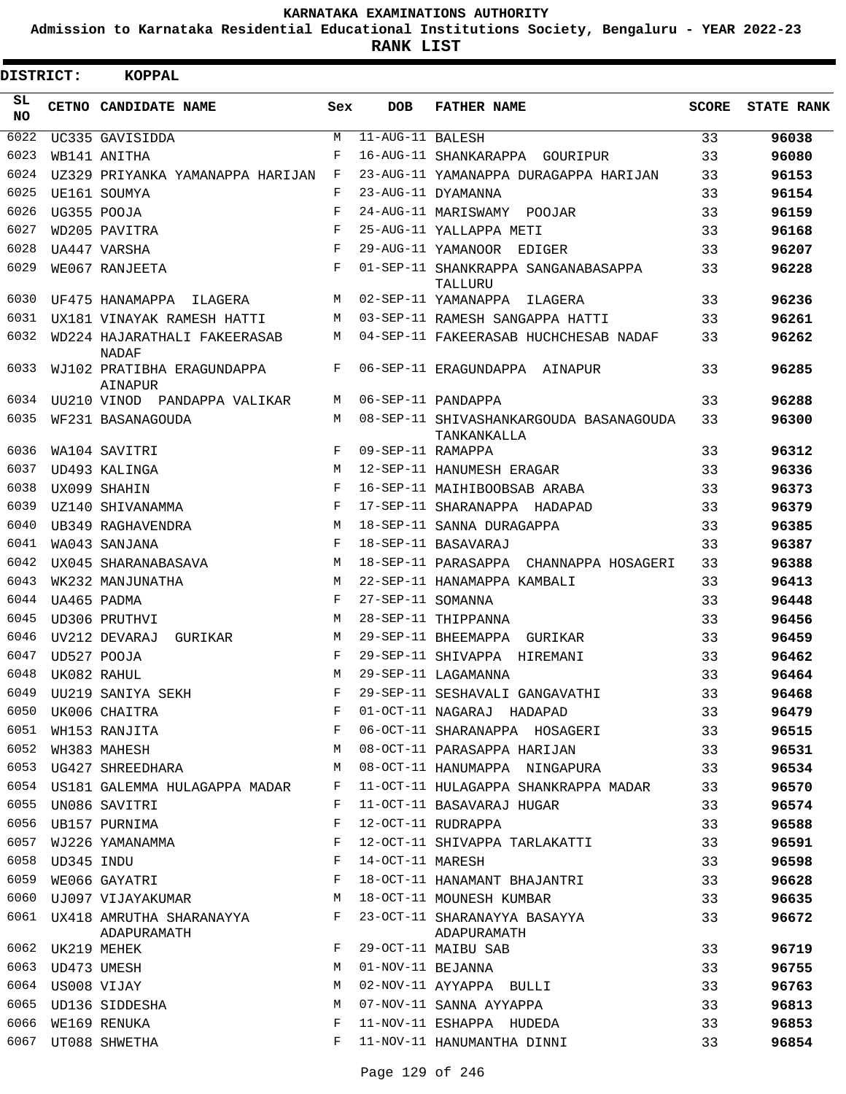**Admission to Karnataka Residential Educational Institutions Society, Bengaluru - YEAR 2022-23**

| <b>DISTRICT:</b> |                  | <b>KOPPAL</b>                                |            |                   |                                                        |              |                   |
|------------------|------------------|----------------------------------------------|------------|-------------------|--------------------------------------------------------|--------------|-------------------|
| SL.<br>NO.       |                  | CETNO CANDIDATE NAME                         | Sex        | <b>DOB</b>        | <b>FATHER NAME</b>                                     | <b>SCORE</b> | <b>STATE RANK</b> |
| 6022             |                  | UC335 GAVISIDDA                              | М          | 11-AUG-11 BALESH  |                                                        | 33           | 96038             |
| 6023             |                  | WB141 ANITHA                                 | F          |                   | 16-AUG-11 SHANKARAPPA GOURIPUR                         | 33           | 96080             |
| 6024             |                  | UZ329 PRIYANKA YAMANAPPA HARIJAN             | F          |                   | 23-AUG-11 YAMANAPPA DURAGAPPA HARIJAN                  | 33           | 96153             |
| 6025             |                  | UE161 SOUMYA                                 | F          |                   | 23-AUG-11 DYAMANNA                                     | 33           | 96154             |
| 6026             |                  | UG355 POOJA                                  | F          |                   | 24-AUG-11 MARISWAMY<br>POOJAR                          | 33           | 96159             |
| 6027             |                  | WD205 PAVITRA                                | F          |                   | 25-AUG-11 YALLAPPA METI                                | 33           | 96168             |
| 6028             |                  | UA447 VARSHA                                 | $_{\rm F}$ |                   | 29-AUG-11 YAMANOOR EDIGER                              | 33           | 96207             |
| 6029             |                  | WE067 RANJEETA                               | F          |                   | 01-SEP-11 SHANKRAPPA SANGANABASAPPA<br>TALLURU         | 33           | 96228             |
| 6030             |                  | UF475 HANAMAPPA<br>ILAGERA                   | M          |                   | 02-SEP-11 YAMANAPPA<br>ILAGERA                         | 33           | 96236             |
| 6031             |                  | UX181 VINAYAK RAMESH HATTI                   | M          |                   | 03-SEP-11 RAMESH SANGAPPA HATTI                        | 33           | 96261             |
| 6032             |                  | WD224 HAJARATHALI FAKEERASAB<br><b>NADAF</b> | М          |                   | 04-SEP-11 FAKEERASAB HUCHCHESAB NADAF                  | 33           | 96262             |
| 6033             |                  | WJ102 PRATIBHA ERAGUNDAPPA<br><b>AINAPUR</b> | F          |                   | 06-SEP-11 ERAGUNDAPPA AINAPUR                          | 33           | 96285             |
| 6034             |                  | UU210 VINOD PANDAPPA VALIKAR                 | М          |                   | 06-SEP-11 PANDAPPA                                     | 33           | 96288             |
| 6035             |                  | WF231 BASANAGOUDA                            | M          |                   | 08-SEP-11 SHIVASHANKARGOUDA BASANAGOUDA<br>TANKANKALLA | 33           | 96300             |
| 6036             |                  | WA104 SAVITRI                                | F          | 09-SEP-11 RAMAPPA |                                                        | 33           | 96312             |
| 6037             |                  | UD493 KALINGA                                | M          |                   | 12-SEP-11 HANUMESH ERAGAR                              | 33           | 96336             |
| 6038             |                  | UX099 SHAHIN                                 | F          |                   | 16-SEP-11 MAIHIBOOBSAB ARABA                           | 33           | 96373             |
| 6039             |                  | UZ140 SHIVANAMMA                             | F          |                   | 17-SEP-11 SHARANAPPA HADAPAD                           | 33           | 96379             |
| 6040             |                  | UB349 RAGHAVENDRA                            | M          |                   | 18-SEP-11 SANNA DURAGAPPA                              | 33           | 96385             |
| 6041             |                  | WA043 SANJANA                                | F          |                   | 18-SEP-11 BASAVARAJ                                    | 33           | 96387             |
| 6042             |                  | UX045 SHARANABASAVA                          | M          |                   | 18-SEP-11 PARASAPPA CHANNAPPA HOSAGERI                 | 33           | 96388             |
| 6043             |                  | WK232 MANJUNATHA                             | M          |                   | 22-SEP-11 HANAMAPPA KAMBALI                            | 33           | 96413             |
| 6044             |                  | UA465 PADMA                                  | F          | 27-SEP-11 SOMANNA |                                                        | 33           | 96448             |
| 6045             |                  | UD306 PRUTHVI                                | M          |                   | 28-SEP-11 THIPPANNA                                    | 33           | 96456             |
| 6046             |                  | UV212 DEVARAJ<br>GURIKAR                     | M          |                   | 29-SEP-11 BHEEMAPPA GURIKAR                            | 33           | 96459             |
| 6047             |                  | UD527 POOJA                                  | F          |                   | 29-SEP-11 SHIVAPPA HIREMANI                            | 33           | 96462             |
| 6048             |                  | UK082 RAHUL                                  | М          |                   | 29-SEP-11 LAGAMANNA                                    | 33           | 96464             |
| 6049             |                  | UU219 SANIYA SEKH                            | F          |                   | 29-SEP-11 SESHAVALI GANGAVATHI                         | 33           | 96468             |
| 6050             |                  | UK006 CHAITRA                                | F          |                   | 01-OCT-11 NAGARAJ HADAPAD                              | 33           | 96479             |
| 6051             |                  | WH153 RANJITA                                | F          |                   | 06-OCT-11 SHARANAPPA HOSAGERI                          | 33           | 96515             |
| 6052             |                  | WH383 MAHESH                                 | М          |                   | 08-OCT-11 PARASAPPA HARIJAN                            | 33           | 96531             |
| 6053             |                  | UG427 SHREEDHARA                             | M          |                   | 08-OCT-11 HANUMAPPA NINGAPURA                          | 33           | 96534             |
|                  |                  | 6054 US181 GALEMMA HULAGAPPA MADAR           | F          |                   | 11-OCT-11 HULAGAPPA SHANKRAPPA MADAR                   | 33           | 96570             |
| 6055             |                  | UN086 SAVITRI                                | F          |                   | 11-OCT-11 BASAVARAJ HUGAR                              | 33           | 96574             |
| 6056             |                  | UB157 PURNIMA                                | F          |                   | 12-OCT-11 RUDRAPPA                                     | 33           | 96588             |
| 6057             |                  | WJ226 YAMANAMMA                              | F          |                   | 12-OCT-11 SHIVAPPA TARLAKATTI                          | 33           | 96591             |
|                  | 6058 UD345 INDU  |                                              | F          | 14-OCT-11 MARESH  |                                                        | 33           | 96598             |
| 6059             |                  | WE066 GAYATRI                                | F          |                   | 18-OCT-11 HANAMANT BHAJANTRI                           | 33           | 96628             |
| 6060             |                  | UJ097 VIJAYAKUMAR                            | М          |                   | 18-OCT-11 MOUNESH KUMBAR                               | 33           | 96635             |
|                  |                  | 6061 UX418 AMRUTHA SHARANAYYA<br>ADAPURAMATH | F          |                   | 23-OCT-11 SHARANAYYA BASAYYA<br>ADAPURAMATH            | 33           | 96672             |
|                  | 6062 UK219 MEHEK |                                              | F          |                   | 29-OCT-11 MAIBU SAB                                    | 33           | 96719             |
| 6063             |                  | UD473 UMESH                                  | M          | 01-NOV-11 BEJANNA |                                                        | 33           | 96755             |
|                  | 6064 US008 VIJAY |                                              | M          |                   | 02-NOV-11 AYYAPPA BULLI                                | 33           | 96763             |
| 6065             |                  | UD136 SIDDESHA                               | M          |                   | 07-NOV-11 SANNA AYYAPPA                                | 33           | 96813             |
| 6066             |                  | WE169 RENUKA                                 | F          |                   | 11-NOV-11 ESHAPPA HUDEDA                               | 33           | 96853             |
|                  |                  | 6067 UT088 SHWETHA                           | F          |                   | 11-NOV-11 HANUMANTHA DINNI                             | 33           | 96854             |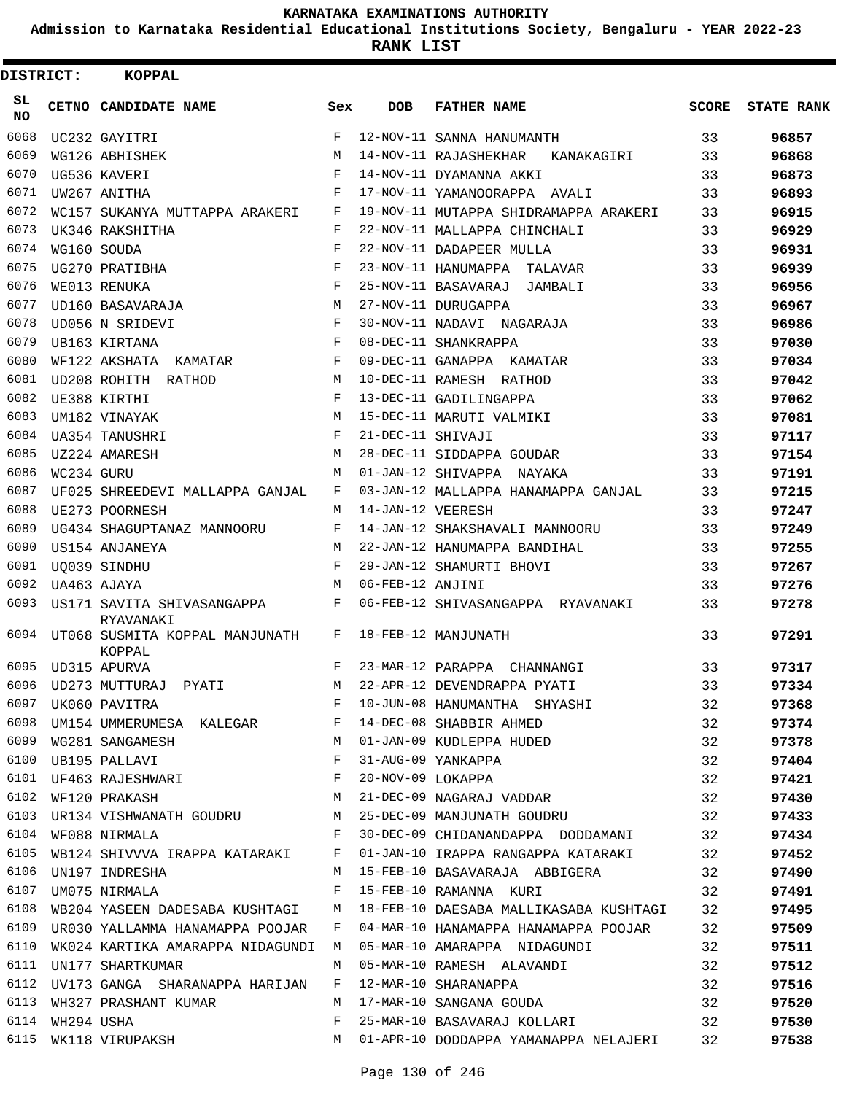**Admission to Karnataka Residential Educational Institutions Society, Bengaluru - YEAR 2022-23**

**RANK LIST**

| DISTRICT:        |            | <b>KOPPAL</b>                                   |            |                   |                                                                                                                         |              |                   |
|------------------|------------|-------------------------------------------------|------------|-------------------|-------------------------------------------------------------------------------------------------------------------------|--------------|-------------------|
| SL.<br><b>NO</b> |            | CETNO CANDIDATE NAME                            | Sex        | <b>DOB</b>        | <b>FATHER NAME</b>                                                                                                      | <b>SCORE</b> | <b>STATE RANK</b> |
| 6068             |            | UC232 GAYITRI                                   | F          |                   | 12-NOV-11 SANNA HANUMANTH                                                                                               | 33           | 96857             |
| 6069             |            | WG126 ABHISHEK                                  | M          |                   | 14-NOV-11 RAJASHEKHAR<br>KANAKAGIRI                                                                                     | 33           | 96868             |
| 6070             |            | UG536 KAVERI                                    | F          |                   | 14-NOV-11 DYAMANNA AKKI                                                                                                 | 33           | 96873             |
| 6071             |            | UW267 ANITHA                                    | F          |                   | 17-NOV-11 YAMANOORAPPA AVALI                                                                                            | 33           | 96893             |
| 6072             |            | WC157 SUKANYA MUTTAPPA ARAKERI                  | F          |                   | 19-NOV-11 MUTAPPA SHIDRAMAPPA ARAKERI                                                                                   | 33           | 96915             |
| 6073             |            | UK346 RAKSHITHA                                 | F          |                   | 22-NOV-11 MALLAPPA CHINCHALI                                                                                            | 33           | 96929             |
| 6074             |            | WG160 SOUDA                                     | F          |                   | 22-NOV-11 DADAPEER MULLA                                                                                                | 33           | 96931             |
| 6075             |            | UG270 PRATIBHA                                  | $_{\rm F}$ |                   | 23-NOV-11 HANUMAPPA TALAVAR                                                                                             | 33           | 96939             |
| 6076             |            | WE013 RENUKA                                    | F          |                   | 25-NOV-11 BASAVARAJ JAMBALI                                                                                             | 33           | 96956             |
| 6077             |            | UD160 BASAVARAJA                                | M          |                   | 27-NOV-11 DURUGAPPA                                                                                                     | 33           | 96967             |
| 6078             |            | UD056 N SRIDEVI                                 | F          |                   | 30-NOV-11 NADAVI NAGARAJA                                                                                               | 33           | 96986             |
| 6079             |            | UB163 KIRTANA                                   | F          |                   | 08-DEC-11 SHANKRAPPA                                                                                                    | 33           | 97030             |
| 6080             |            | WF122 AKSHATA KAMATAR                           | F          |                   | 09-DEC-11 GANAPPA KAMATAR                                                                                               | 33           | 97034             |
| 6081             |            | UD208 ROHITH RATHOD                             | M          |                   | 10-DEC-11 RAMESH RATHOD                                                                                                 | 33           | 97042             |
| 6082             |            | UE388 KIRTHI                                    | F          |                   | 13-DEC-11 GADILINGAPPA                                                                                                  | 33           | 97062             |
| 6083             |            | UM182 VINAYAK                                   | M          |                   | 15-DEC-11 MARUTI VALMIKI                                                                                                | 33           | 97081             |
| 6084             |            | UA354 TANUSHRI                                  | F          | 21-DEC-11 SHIVAJI |                                                                                                                         | 33           | 97117             |
| 6085             |            | UZ224 AMARESH                                   | M          |                   | 28-DEC-11 SIDDAPPA GOUDAR                                                                                               | 33           | 97154             |
| 6086             | WC234 GURU |                                                 | M          |                   | 01-JAN-12 SHIVAPPA NAYAKA                                                                                               | 33           | 97191             |
| 6087             |            | UF025 SHREEDEVI MALLAPPA GANJAL                 | F          |                   | 03-JAN-12 MALLAPPA HANAMAPPA GANJAL                                                                                     | 33           | 97215             |
| 6088             |            | UE273 POORNESH                                  | M          | 14-JAN-12 VEERESH |                                                                                                                         | 33           | 97247             |
| 6089             |            | UG434 SHAGUPTANAZ MANNOORU                      | F          |                   | 14-JAN-12 SHAKSHAVALI MANNOORU                                                                                          | 33           | 97249             |
| 6090             |            | US154 ANJANEYA                                  | M          |                   | 22-JAN-12 HANUMAPPA BANDIHAL                                                                                            | 33           | 97255             |
| 6091             |            | UO039 SINDHU                                    | F          |                   | 29-JAN-12 SHAMURTI BHOVI                                                                                                | 33           | 97267             |
| 6092             |            | UA463 AJAYA                                     | М          | 06-FEB-12 ANJINI  |                                                                                                                         | 33           | 97276             |
| 6093             |            | US171 SAVITA SHIVASANGAPPA<br>RYAVANAKI         | F          |                   | 06-FEB-12 SHIVASANGAPPA RYAVANAKI                                                                                       | 33           | 97278             |
| 6094             |            | UT068 SUSMITA KOPPAL MANJUNATH<br><b>KOPPAL</b> | F          |                   | 18-FEB-12 MANJUNATH                                                                                                     | 33           | 97291             |
| 6095             |            | UD315 APURVA                                    | F          |                   | 23-MAR-12 PARAPPA CHANNANGI                                                                                             | 33           | 97317             |
|                  |            |                                                 |            |                   | 6096 UD273 MUTTURAJ PYATI M 22-APR-12 DEVENDRAPPA PYATI 33                                                              |              | 97334             |
| 6097             |            |                                                 |            |                   | UK060 PAVITRA 32                                                                                                        |              | 97368             |
| 6098             |            |                                                 |            |                   | UM154 UMMERUMESA KALEGAR F 14-DEC-08 SHABBIR AHMED 32                                                                   |              | 97374             |
|                  |            |                                                 |            |                   |                                                                                                                         |              | 97378             |
|                  |            |                                                 |            |                   |                                                                                                                         |              | 97404             |
|                  |            |                                                 |            |                   | M 21-DEC-09 NAGARAJ VADDAR 32                                                                                           |              | 97421<br>97430    |
|                  |            | 6102 WF120 PRAKASH                              |            |                   | 6103 UR134 VISHWANATH GOUDRU M 25-DEC-09 MANJUNATH GOUDRU 32                                                            |              |                   |
|                  |            |                                                 |            |                   | 6104 WF088 NIRMALA 6104 F 30-DEC-09 CHIDANANDAPPA DODDAMANI 32                                                          |              | 97433             |
| 6105             |            |                                                 |            |                   |                                                                                                                         |              | 97434<br>97452    |
| 6106             |            |                                                 |            |                   | WB124 SHIVVVA IRAPPA KATARAKI F 01-JAN-10 IRAPPA RANGAPPA KATARAKI 32                                                   |              |                   |
|                  |            | UM075 NIRMALA F                                 |            |                   | UN197 INDRESHA                         M   15-FEB-10 BASAVARAJA  ABBIGERA             32                                |              | 97490             |
| 6107             |            |                                                 |            |                   | 15-FEB-10 RAMANNA KURI 32                                                                                               |              | 97491             |
|                  |            |                                                 |            |                   | 6108 WB204 YASEEN DADESABA KUSHTAGI M 18-FEB-10 DAESABA MALLIKASABA KUSHTAGI 32                                         |              | 97495             |
| 6109             |            |                                                 |            |                   | UR030 YALLAMMA HANAMAPPA POOJAR F 04-MAR-10 HANAMAPPA HANAMAPPA POOJAR 32                                               |              | 97509             |
| 6110             |            |                                                 |            |                   | WK024 KARTIKA AMARAPPA NIDAGUNDI M 05-MAR-10 AMARAPPA NIDAGUNDI 32                                                      |              | 97511             |
|                  |            |                                                 |            |                   | 6111 UN177 SHARTKUMAR M 05-MAR-10 RAMESH ALAVANDI 32                                                                    |              | 97512             |
|                  |            |                                                 |            |                   | 6112 UV173 GANGA SHARANAPPA HARIJAN F 12-MAR-10 SHARANAPPA 32<br>6113 WH327 PRASHANT KUMAR M 17-MAR-10 SANGANA GOUDA 32 |              | 97516             |
|                  |            |                                                 |            |                   |                                                                                                                         |              | 97520             |
| 6114             |            | WH294 USHA                                      | F          |                   | 25-MAR-10 BASAVARAJ KOLLARI 32<br>6115 WK118 VIRUPAKSH M 01-APR-10 DODDAPPA YAMANAPPA NELAJERI 32                       |              | 97530             |
|                  |            |                                                 |            |                   |                                                                                                                         |              | 97538             |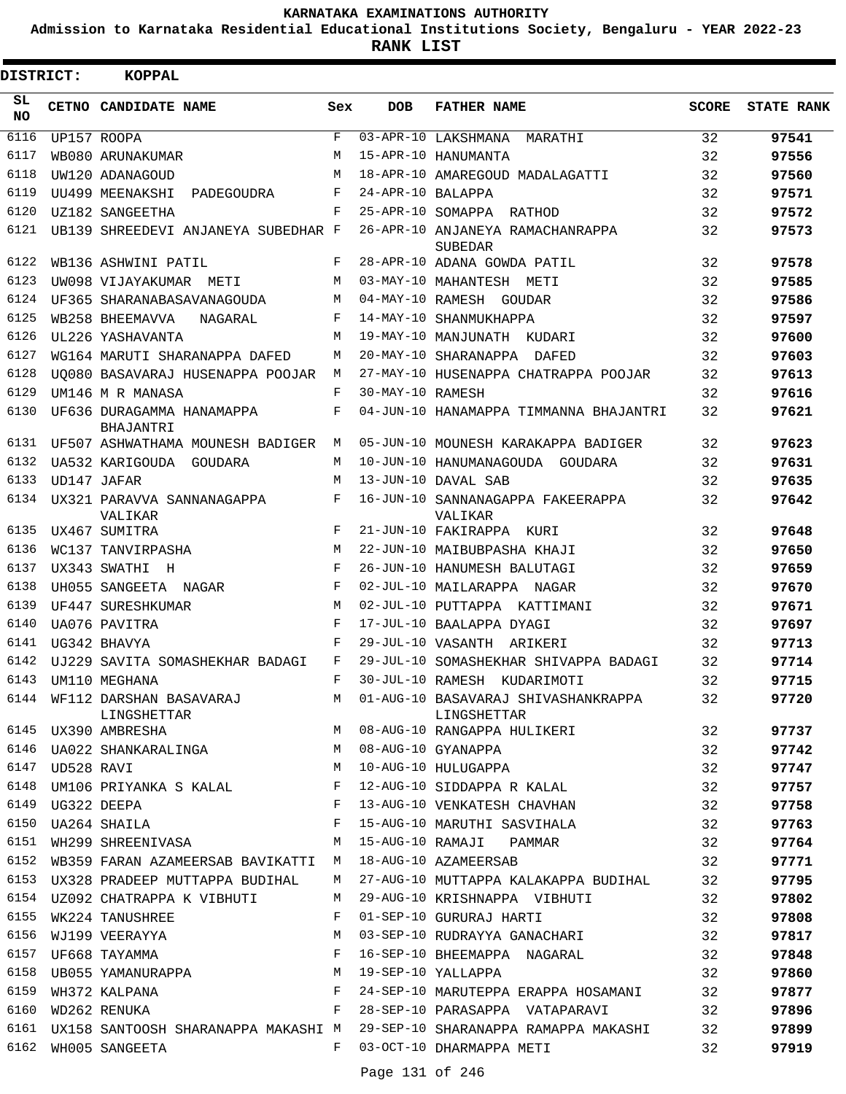**Admission to Karnataka Residential Educational Institutions Society, Bengaluru - YEAR 2022-23**

**RANK LIST**

| <b>DISTRICT:</b> |             | <b>KOPPAL</b>                                         |       |                   |                                                                               |              |                   |
|------------------|-------------|-------------------------------------------------------|-------|-------------------|-------------------------------------------------------------------------------|--------------|-------------------|
| SL.<br>NO.       |             | CETNO CANDIDATE NAME                                  | Sex   | <b>DOB</b>        | <b>FATHER NAME</b>                                                            | <b>SCORE</b> | <b>STATE RANK</b> |
| 6116             |             | UP157 ROOPA                                           | F     |                   | 03-APR-10 LAKSHMANA<br>MARATHI                                                | 32           | 97541             |
| 6117             |             | WB080 ARUNAKUMAR                                      | M     |                   | 15-APR-10 HANUMANTA                                                           | 32           | 97556             |
| 6118             |             | UW120 ADANAGOUD                                       | M     |                   | 18-APR-10 AMAREGOUD MADALAGATTI                                               | 32           | 97560             |
| 6119             |             | UU499 MEENAKSHI<br>PADEGOUDRA                         | F     | 24-APR-10 BALAPPA |                                                                               | 32           | 97571             |
| 6120             |             | UZ182 SANGEETHA                                       | F     |                   | 25-APR-10 SOMAPPA RATHOD                                                      | 32           | 97572             |
| 6121             |             | UB139 SHREEDEVI ANJANEYA SUBEDHAR F                   |       |                   | 26-APR-10 ANJANEYA RAMACHANRAPPA<br><b>SUBEDAR</b>                            | 32           | 97573             |
| 6122             |             | WB136 ASHWINI PATIL                                   | F     |                   | 28-APR-10 ADANA GOWDA PATIL                                                   | 32           | 97578             |
| 6123             |             | UW098 VIJAYAKUMAR<br>METI                             | М     |                   | 03-MAY-10 MAHANTESH METI                                                      | 32           | 97585             |
| 6124             |             | UF365 SHARANABASAVANAGOUDA                            | М     |                   | 04-MAY-10 RAMESH GOUDAR                                                       | 32           | 97586             |
| 6125             |             | WB258 BHEEMAVVA<br>NAGARAL                            | F     |                   | 14-MAY-10 SHANMUKHAPPA                                                        | 32           | 97597             |
| 6126             |             | UL226 YASHAVANTA                                      | M     |                   | 19-MAY-10 MANJUNATH KUDARI                                                    | 32           | 97600             |
| 6127             |             | WG164 MARUTI SHARANAPPA DAFED                         | M     |                   | 20-MAY-10 SHARANAPPA DAFED                                                    | 32           | 97603             |
| 6128             |             | UO080 BASAVARAJ HUSENAPPA POOJAR                      | M     |                   | 27-MAY-10 HUSENAPPA CHATRAPPA POOJAR                                          | 32           | 97613             |
| 6129             |             | <b>IM146 M R MANASA</b>                               | F     | 30-MAY-10 RAMESH  |                                                                               | 32           | 97616             |
| 6130             |             | UF636 DURAGAMMA HANAMAPPA<br><b>BHAJANTRI</b>         | F     |                   | 04-JUN-10 HANAMAPPA TIMMANNA BHAJANTRI                                        | 32           | 97621             |
| 6131             |             | UF507 ASHWATHAMA MOUNESH BADIGER                      | M     |                   | 05-JUN-10 MOUNESH KARAKAPPA BADIGER                                           | 32           | 97623             |
| 6132             |             | UA532 KARIGOUDA GOUDARA                               | М     |                   | 10-JUN-10 HANUMANAGOUDA GOUDARA                                               | 32           | 97631             |
| 6133             |             | UD147 JAFAR                                           | M     |                   | 13-JUN-10 DAVAL SAB                                                           | 32           | 97635             |
| 6134             |             | UX321 PARAVVA SANNANAGAPPA<br>VALIKAR                 | F     |                   | 16-JUN-10 SANNANAGAPPA FAKEERAPPA<br>VALIKAR                                  | 32           | 97642             |
| 6135             |             | UX467 SUMITRA                                         | F     |                   | 21-JUN-10 FAKIRAPPA KURI                                                      | 32           | 97648             |
| 6136             |             | WC137 TANVIRPASHA                                     | M     |                   | 22-JUN-10 MAIBUBPASHA KHAJI                                                   | 32           | 97650             |
| 6137             |             | UX343 SWATHI H                                        | F     |                   | 26-JUN-10 HANUMESH BALUTAGI                                                   | 32           | 97659             |
| 6138             |             | UH055 SANGEETA NAGAR                                  | F     |                   | 02-JUL-10 MAILARAPPA NAGAR                                                    | 32           | 97670             |
| 6139             |             | UF447 SURESHKUMAR                                     | M     |                   | 02-JUL-10 PUTTAPPA KATTIMANI                                                  | 32           | 97671             |
| 6140             |             | UA076 PAVITRA                                         | F     |                   | 17-JUL-10 BAALAPPA DYAGI                                                      | 32           | 97697             |
| 6141             |             | UG342 BHAVYA                                          | F     |                   | 29-JUL-10 VASANTH ARIKERI                                                     | 32           | 97713             |
| 6142             |             | UJ229 SAVITA SOMASHEKHAR BADAGI                       | F     |                   | 29-JUL-10 SOMASHEKHAR SHIVAPPA BADAGI                                         | 32           | 97714             |
| 6143             |             | UM110 MEGHANA                                         | F     |                   | 30-JUL-10 RAMESH KUDARIMOTI                                                   | 32           | 97715             |
|                  |             | 6144 WF112 DARSHAN BASAVARAJ M<br>LINGSHETTAR         |       |                   | 01-AUG-10 BASAVARAJ SHIVASHANKRAPPA                                           | 32           | 97720             |
|                  |             | 6145 UX390 AMBRESHA                                   |       |                   | EINGSHETTAR<br>M 08-AUG-10 RANGAPPA HULIKERI                                  | 32           | 97737             |
| 6146             |             | UA022 SHANKARALINGA M                                 |       |                   | ULANAFFA<br>10-AUG-10 HULUGAPPA<br>12-AUG-10 SIDDARRA                         | 32           | 97742             |
| 6147             | UD528 RAVI  | M                                                     |       |                   |                                                                               | 32           | 97747             |
|                  |             | 6148 UM106 PRIYANKA S KALAL F                         |       |                   | 12-AUG-10 SIDDAPPA R KALAL                                                    | 32           | 97757             |
| 6149             | UG322 DEEPA | $\begin{array}{c}\n\text{F} \\ \text{F}\n\end{array}$ |       |                   | 13-AUG-10 VENKATESH CHAVHAN                                                   | 32           | 97758             |
| 6150             |             | UA264 SHAILA                                          |       |                   | 15-AUG-10 MARUTHI SASVIHALA                                                   | 32           | 97763             |
| 6151             |             | WH299 SHREENIVASA M                                   |       |                   | 15-AUG-10 RAMAJI PAMMAR                                                       | 32           | 97764             |
|                  |             | 6152 WB359 FARAN AZAMEERSAB BAVIKATTI M               |       |                   | 18-AUG-10 AZAMEERSAB                                                          | 32           | 97771             |
|                  |             | 6153 UX328 PRADEEP MUTTAPPA BUDIHAL                   | M     |                   | 27-AUG-10 MUTTAPPA KALAKAPPA BUDIHAL                                          | 32           | 97795             |
|                  |             | 6154 UZ092 CHATRAPPA K VIBHUTI                        | M     |                   | 29-AUG-10 KRISHNAPPA VIBHUTI                                                  | 32           | 97802             |
| 6155             |             | WK224 TANUSHREE                                       | F     |                   | 01-SEP-10 GURURAJ HARTI                                                       | 32           | 97808             |
| 6156             |             | WJ199 VEERAYYA                                        | M     |                   | 03-SEP-10 RUDRAYYA GANACHARI                                                  | 32           | 97817             |
| 6157             |             |                                                       |       |                   | 16-SEP-10 BHEEMAPPA NAGARAL                                                   | 32           | 97848             |
| 6158             |             | UF668 TAYAMMA<br>UF668 TAYAMMA<br>UB055 YAMANURAPPA M |       |                   | 19-SEP-10 YALLAPPA                                                            | 32           | 97860             |
| 6159             |             | WH372 KALPANA F<br>WD262 RENIKA F                     |       |                   | 24-SEP-10 MARUTEPPA ERAPPA HOSAMANI                                           | 32           | 97877             |
|                  |             | 6160 WD262 RENUKA                                     |       |                   | 28-SEP-10 PARASAPPA VATAPARAVI                                                | 32           | 97896             |
|                  |             |                                                       |       |                   | 6161 UX158 SANTOOSH SHARANAPPA MAKASHI M 29-SEP-10 SHARANAPPA RAMAPPA MAKASHI | 32           | 97899             |
| 6162             |             | WH005 SANGEETA                                        | $F$ – |                   | 03-OCT-10 DHARMAPPA METI                                                      | 32           | 97919             |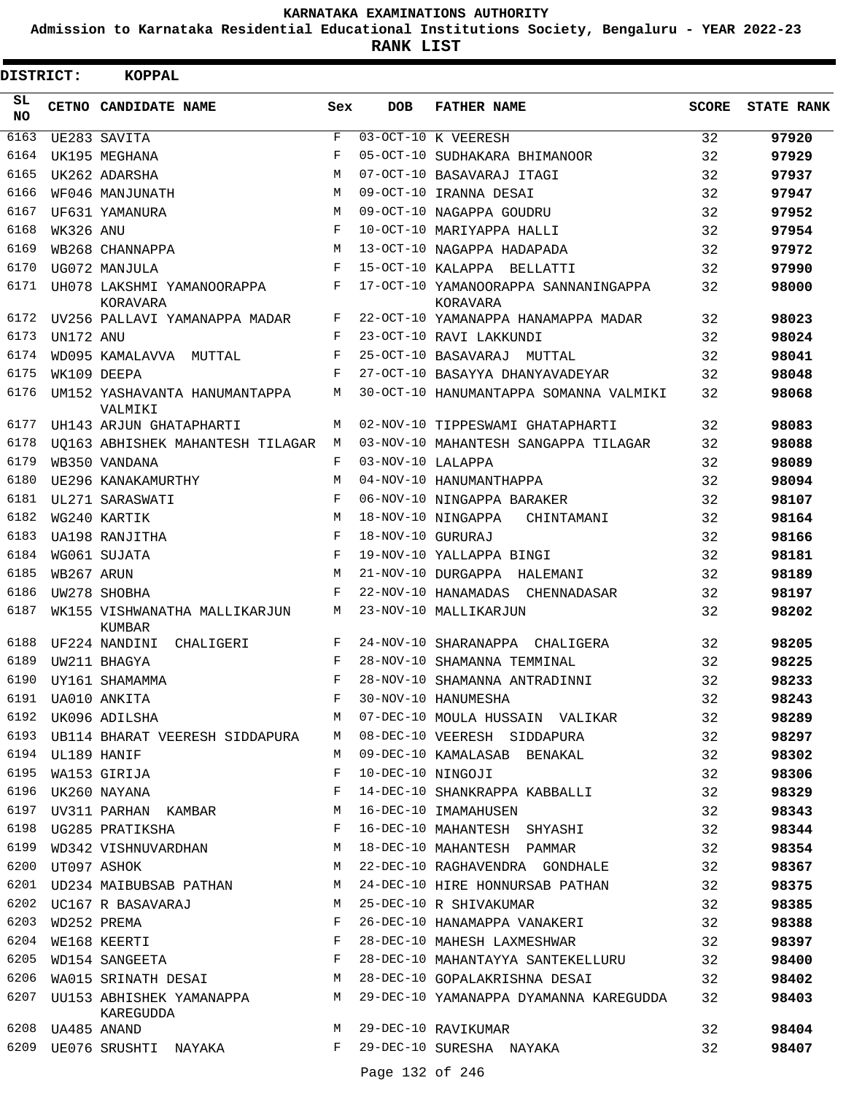**Admission to Karnataka Residential Educational Institutions Society, Bengaluru - YEAR 2022-23**

| DISTRICT:       |                  | <b>KOPPAL</b>                            |              |                   |                                                  |              |                   |
|-----------------|------------------|------------------------------------------|--------------|-------------------|--------------------------------------------------|--------------|-------------------|
| SL<br><b>NO</b> |                  | CETNO CANDIDATE NAME                     | Sex          | <b>DOB</b>        | <b>FATHER NAME</b>                               | <b>SCORE</b> | <b>STATE RANK</b> |
| 6163            |                  | UE283 SAVITA                             | F            |                   | 03-OCT-10 K VEERESH                              | 32           | 97920             |
| 6164            |                  | UK195 MEGHANA                            | F            |                   | 05-OCT-10 SUDHAKARA BHIMANOOR                    | 32           | 97929             |
| 6165            |                  | UK262 ADARSHA                            | M            |                   | 07-OCT-10 BASAVARAJ ITAGI                        | 32           | 97937             |
| 6166            |                  | WF046 MANJUNATH                          | M            |                   | 09-OCT-10 IRANNA DESAI                           | 32           | 97947             |
| 6167            |                  | UF631 YAMANURA                           | M            |                   | 09-OCT-10 NAGAPPA GOUDRU                         | 32           | 97952             |
| 6168            | WK326 ANU        |                                          | F            |                   | 10-OCT-10 MARIYAPPA HALLI                        | 32           | 97954             |
| 6169            |                  | WB268 CHANNAPPA                          | M            |                   | 13-OCT-10 NAGAPPA HADAPADA                       | 32           | 97972             |
| 6170            |                  | UG072 MANJULA                            | F            |                   | 15-OCT-10 KALAPPA BELLATTI                       | 32           | 97990             |
| 6171            |                  | UH078 LAKSHMI YAMANOORAPPA<br>KORAVARA   | F            |                   | 17-OCT-10 YAMANOORAPPA SANNANINGAPPA<br>KORAVARA | 32           | 98000             |
| 6172            |                  | UV256 PALLAVI YAMANAPPA MADAR            | F            |                   | 22-OCT-10 YAMANAPPA HANAMAPPA MADAR              | 32           | 98023             |
| 6173            | UN172 ANU        |                                          | F            |                   | 23-OCT-10 RAVI LAKKUNDI                          | 32           | 98024             |
| 6174            |                  | WD095 KAMALAVVA MUTTAL                   | F            |                   | 25-OCT-10 BASAVARAJ MUTTAL                       | 32           | 98041             |
| 6175            |                  | WK109 DEEPA                              | F            |                   | 27-OCT-10 BASAYYA DHANYAVADEYAR                  | 32           | 98048             |
| 6176            |                  | UM152 YASHAVANTA HANUMANTAPPA<br>VALMIKI | М            |                   | 30-OCT-10 HANUMANTAPPA SOMANNA VALMIKI           | 32           | 98068             |
| 6177            |                  | UH143 ARJUN GHATAPHARTI                  | M            |                   | 02-NOV-10 TIPPESWAMI GHATAPHARTI                 | 32           | 98083             |
| 6178            |                  | UO163 ABHISHEK MAHANTESH TILAGAR         | М            |                   | 03-NOV-10 MAHANTESH SANGAPPA TILAGAR             | 32           | 98088             |
| 6179            |                  | WB350 VANDANA                            | F            | 03-NOV-10 LALAPPA |                                                  | 32           | 98089             |
| 6180            |                  | UE296 KANAKAMURTHY                       | M            |                   | 04-NOV-10 HANUMANTHAPPA                          | 32           | 98094             |
| 6181            |                  | UL271 SARASWATI                          | F            |                   | 06-NOV-10 NINGAPPA BARAKER                       | 32           | 98107             |
| 6182            |                  | WG240 KARTIK                             | M            |                   | 18-NOV-10 NINGAPPA<br>CHINTAMANI                 | 32           | 98164             |
| 6183            |                  | UA198 RANJITHA                           | F            | 18-NOV-10 GURURAJ |                                                  | 32           | 98166             |
| 6184            |                  | WG061 SUJATA                             | $_{\rm F}$   |                   | 19-NOV-10 YALLAPPA BINGI                         | 32           | 98181             |
| 6185            | WB267 ARUN       |                                          | M            |                   | 21-NOV-10 DURGAPPA HALEMANI                      | 32           | 98189             |
| 6186            |                  | UW278 SHOBHA                             | F            |                   | 22-NOV-10 HANAMADAS<br>CHENNADASAR               | 32           | 98197             |
| 6187            |                  | WK155 VISHWANATHA MALLIKARJUN<br>KUMBAR  | М            |                   | 23-NOV-10 MALLIKARJUN                            | 32           | 98202             |
| 6188            |                  | UF224 NANDINI<br>CHALIGERI               | F            |                   | 24-NOV-10 SHARANAPPA<br>CHALIGERA                | 32           | 98205             |
| 6189            |                  | UW211 BHAGYA                             | $_{\rm F}$   |                   | 28-NOV-10 SHAMANNA TEMMINAL                      | 32           | 98225             |
| 6190            |                  | UY161 SHAMAMMA                           | F            |                   | 28-NOV-10 SHAMANNA ANTRADINNI                    | 32           | 98233             |
| 6191            |                  | UA010 ANKITA                             | F            |                   | 30-NOV-10 HANUMESHA                              | 32           | 98243             |
|                 |                  | 6192 UK096 ADILSHA                       | M            |                   | 07-DEC-10 MOULA HUSSAIN VALIKAR                  | 32           | 98289             |
| 6193            |                  | UB114 BHARAT VEERESH SIDDAPURA M         |              |                   | 08-DEC-10 VEERESH SIDDAPURA                      | 32           | 98297             |
|                 | 6194 UL189 HANIF |                                          | M            |                   | 09-DEC-10 KAMALASAB BENAKAL                      | 32           | 98302             |
| 6195            |                  | WA153 GIRIJA                             | F            | 10-DEC-10 NINGOJI |                                                  | 32           | 98306             |
| 6196            |                  | UK260 NAYANA                             | $_{\rm F}$   |                   | 14-DEC-10 SHANKRAPPA KABBALLI                    | 32           | 98329             |
| 6197            |                  | UV311 PARHAN KAMBAR M                    |              |                   | 16-DEC-10 IMAMAHUSEN                             | 32           | 98343             |
| 6198            |                  | $\mathbf{F}$<br>UG285 PRATIKSHA          |              |                   | 16-DEC-10 MAHANTESH SHYASHI                      | 32           | 98344             |
| 6199            |                  | WD342 VISHNUVARDHAN M                    |              |                   | 18-DEC-10 MAHANTESH PAMMAR                       | 32           | 98354             |
| 6200            |                  | UT097 ASHOK                              | M            |                   | 22-DEC-10 RAGHAVENDRA GONDHALE                   | 32           | 98367             |
| 6201            |                  | UD234 MAIBUBSAB PATHAN M                 |              |                   | 24-DEC-10 HIRE HONNURSAB PATHAN                  | 32           | 98375             |
|                 |                  | 6202 UC167 R BASAVARAJ                   | M            |                   | 25-DEC-10 R SHIVAKUMAR                           | 32           | 98385             |
| 6203            |                  | WD252 PREMA                              | F            |                   | 26-DEC-10 HANAMAPPA VANAKERI                     | 32           | 98388             |
| 6204            |                  | WE168 KEERTI                             | F            |                   | 28-DEC-10 MAHESH LAXMESHWAR                      | 32           | 98397             |
| 6205            |                  | WD154 SANGEETA F                         |              |                   | 28-DEC-10 MAHANTAYYA SANTEKELLURU                | 32           | 98400             |
| 6206            |                  | WA015 SRINATH DESAI M                    |              |                   | 28-DEC-10 GOPALAKRISHNA DESAI                    | 32           | 98402             |
| 6207            |                  | UU153 ABHISHEK YAMANAPPA<br>KAREGUDDA    | M            |                   | 29-DEC-10 YAMANAPPA DYAMANNA KAREGUDDA           | 32           | 98403             |
|                 | 6208 UA485 ANAND |                                          | M            |                   | 29-DEC-10 RAVIKUMAR                              | 32           | 98404             |
| 6209            |                  | UE076 SRUSHTI NAYAKA                     | $\mathbf{F}$ |                   | 29-DEC-10 SURESHA NAYAKA                         | 32           | 98407             |
|                 |                  |                                          |              | Page 132 of 246   |                                                  |              |                   |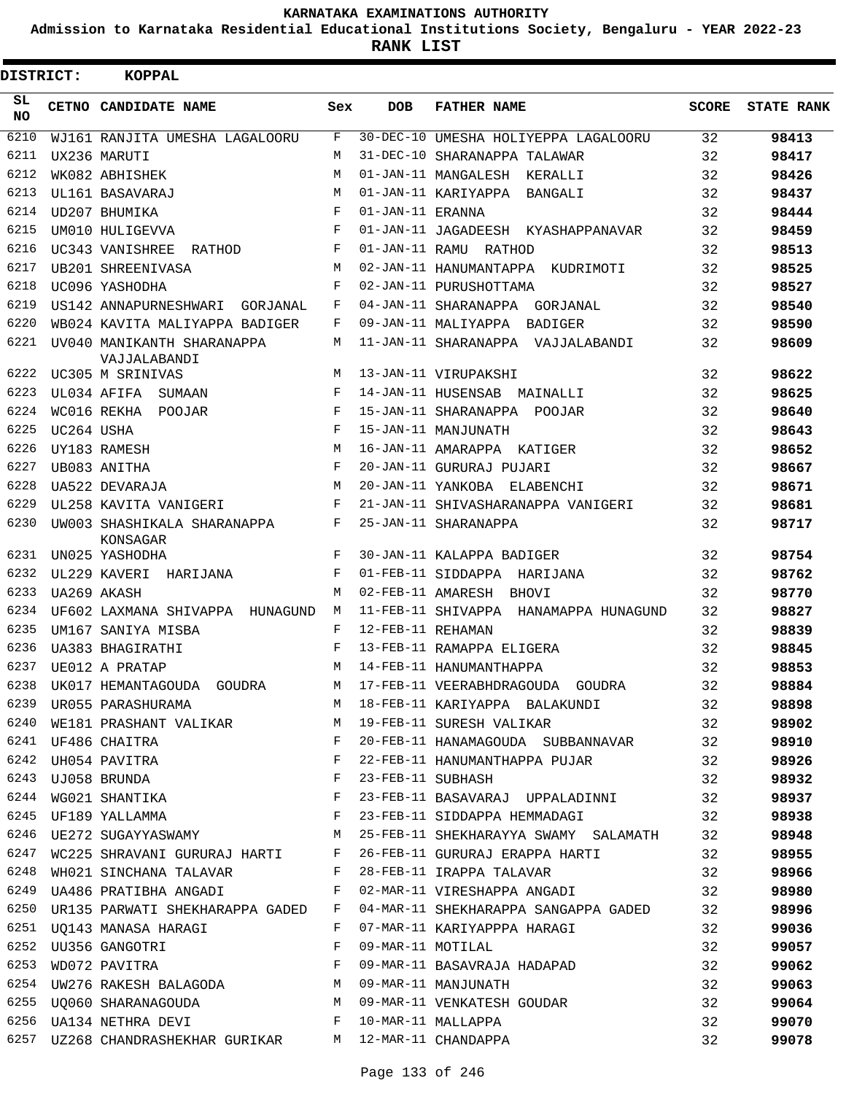**Admission to Karnataka Residential Educational Institutions Society, Bengaluru - YEAR 2022-23**

**RANK LIST**

| <b>DISTRICT:</b> |            | <b>KOPPAL</b>                                           |            |                   |                                                                                                                                                                                                                                                                                                                                                                                |       |                   |
|------------------|------------|---------------------------------------------------------|------------|-------------------|--------------------------------------------------------------------------------------------------------------------------------------------------------------------------------------------------------------------------------------------------------------------------------------------------------------------------------------------------------------------------------|-------|-------------------|
| SL<br>NO.        |            | CETNO CANDIDATE NAME                                    | Sex        | <b>DOB</b>        | <b>FATHER NAME</b>                                                                                                                                                                                                                                                                                                                                                             | SCORE | <b>STATE RANK</b> |
| 6210             |            | WJ161 RANJITA UMESHA LAGALOORU                          | F          |                   | 30-DEC-10 UMESHA HOLIYEPPA LAGALOORU                                                                                                                                                                                                                                                                                                                                           | 32    | 98413             |
| 6211             |            | UX236 MARUTI                                            | M          |                   | 31-DEC-10 SHARANAPPA TALAWAR                                                                                                                                                                                                                                                                                                                                                   | 32    | 98417             |
| 6212             |            | WK082 ABHISHEK                                          | M          |                   | 01-JAN-11 MANGALESH KERALLI                                                                                                                                                                                                                                                                                                                                                    | 32    | 98426             |
| 6213             |            | UL161 BASAVARAJ                                         | M          |                   | 01-JAN-11 KARIYAPPA BANGALI                                                                                                                                                                                                                                                                                                                                                    | 32    | 98437             |
| 6214             |            | UD207 BHUMIKA                                           | $_{\rm F}$ | 01-JAN-11 ERANNA  |                                                                                                                                                                                                                                                                                                                                                                                | 32    | 98444             |
| 6215             |            | UM010 HULIGEVVA                                         | $_{\rm F}$ |                   | 01-JAN-11 JAGADEESH KYASHAPPANAVAR                                                                                                                                                                                                                                                                                                                                             | 32    | 98459             |
| 6216             |            | UC343 VANISHREE RATHOD                                  | F          |                   | 01-JAN-11 RAMU RATHOD                                                                                                                                                                                                                                                                                                                                                          | 32    | 98513             |
| 6217             |            | UB201 SHREENIVASA                                       | M          |                   | 02-JAN-11 HANUMANTAPPA KUDRIMOTI                                                                                                                                                                                                                                                                                                                                               | 32    | 98525             |
| 6218             |            | UC096 YASHODHA                                          | F          |                   | 02-JAN-11 PURUSHOTTAMA                                                                                                                                                                                                                                                                                                                                                         | 32    | 98527             |
| 6219             |            | US142 ANNAPURNESHWARI GORJANAL                          | F          |                   | 04-JAN-11 SHARANAPPA GORJANAL                                                                                                                                                                                                                                                                                                                                                  | 32    | 98540             |
| 6220             |            | WB024 KAVITA MALIYAPPA BADIGER                          | F          |                   | 09-JAN-11 MALIYAPPA BADIGER                                                                                                                                                                                                                                                                                                                                                    | 32    | 98590             |
| 6221             |            | UV040 MANIKANTH SHARANAPPA<br>VAJJALABANDI              | М          |                   | 11-JAN-11 SHARANAPPA VAJJALABANDI                                                                                                                                                                                                                                                                                                                                              | 32    | 98609             |
| 6222             |            | UC305 M SRINIVAS                                        | M          |                   | 13-JAN-11 VIRUPAKSHI                                                                                                                                                                                                                                                                                                                                                           | 32    | 98622             |
| 6223             |            | UL034 AFIFA SUMAAN                                      | F          |                   | 14-JAN-11 HUSENSAB MAINALLI                                                                                                                                                                                                                                                                                                                                                    | 32    | 98625             |
| 6224             |            | WC016 REKHA POOJAR                                      | F          |                   | 15-JAN-11 SHARANAPPA POOJAR                                                                                                                                                                                                                                                                                                                                                    | 32    | 98640             |
| 6225             | UC264 USHA |                                                         | F          |                   | 15-JAN-11 MANJUNATH                                                                                                                                                                                                                                                                                                                                                            | 32    | 98643             |
| 6226             |            | UY183 RAMESH                                            | M          |                   | 16-JAN-11 AMARAPPA KATIGER                                                                                                                                                                                                                                                                                                                                                     | 32    | 98652             |
| 6227             |            | UB083 ANITHA                                            | F          |                   | 20-JAN-11 GURURAJ PUJARI                                                                                                                                                                                                                                                                                                                                                       | 32    | 98667             |
| 6228             |            | UA522 DEVARAJA                                          | M          |                   | 20-JAN-11 YANKOBA ELABENCHI                                                                                                                                                                                                                                                                                                                                                    | 32    | 98671             |
| 6229             |            | UL258 KAVITA VANIGERI                                   | F          |                   | 21-JAN-11 SHIVASHARANAPPA VANIGERI                                                                                                                                                                                                                                                                                                                                             | 32    | 98681             |
| 6230             |            | UW003 SHASHIKALA SHARANAPPA<br>KONSAGAR                 | F          |                   | 25-JAN-11 SHARANAPPA                                                                                                                                                                                                                                                                                                                                                           | 32    | 98717             |
| 6231             |            | UN025 YASHODHA                                          | $_{\rm F}$ |                   | 30-JAN-11 KALAPPA BADIGER                                                                                                                                                                                                                                                                                                                                                      | 32    | 98754             |
| 6232             |            | UL229 KAVERI HARIJANA                                   | F          |                   | 01-FEB-11 SIDDAPPA HARIJANA                                                                                                                                                                                                                                                                                                                                                    | 32    | 98762             |
| 6233             |            | UA269 AKASH                                             | M          | 02-FEB-11 AMARESH | BHOVI                                                                                                                                                                                                                                                                                                                                                                          | 32    | 98770             |
| 6234             |            | UF602 LAXMANA SHIVAPPA HUNAGUND                         | M          |                   | 11-FEB-11 SHIVAPPA HANAMAPPA HUNAGUND                                                                                                                                                                                                                                                                                                                                          | 32    | 98827             |
| 6235             |            | UM167 SANIYA MISBA                                      | F          | 12-FEB-11 REHAMAN |                                                                                                                                                                                                                                                                                                                                                                                | 32    | 98839             |
| 6236             |            | UA383 BHAGIRATHI                                        | F          |                   | 13-FEB-11 RAMAPPA ELIGERA                                                                                                                                                                                                                                                                                                                                                      | 32    | 98845             |
| 6237             |            | UE012 A PRATAP                                          | M          |                   | 14-FEB-11 HANUMANTHAPPA                                                                                                                                                                                                                                                                                                                                                        | 32    | 98853             |
|                  |            |                                                         |            |                   | 6238 UK017 HEMANTAGOUDA GOUDRA M 17-FEB-11 VEERABHDRAGOUDA GOUDRA                                                                                                                                                                                                                                                                                                              | 32    | 98884             |
|                  |            |                                                         |            |                   |                                                                                                                                                                                                                                                                                                                                                                                |       | 98898             |
|                  |            |                                                         |            |                   |                                                                                                                                                                                                                                                                                                                                                                                |       | 98902             |
|                  |            |                                                         |            |                   |                                                                                                                                                                                                                                                                                                                                                                                |       | 98910             |
|                  |            |                                                         |            |                   | $\begin{array}{lllllllllllllll} 6241&\text{UF486 CHAITRA}&\text{F}&20-{\text{FEB}-11 HANAMAGOUDA}&\text{SUBBANNAVAR}&32\\ 6242&\text{UH054 PAVITRA}&\text{F}&22-{\text{FEB}-11 HANUMANTHAPPA PUJAR}&32\\ 6243&\text{UJ058 BRUNDA}&\text{F}&23-{\text{FEB}-11 SUBHASH}&32\\ 6244&\text{WG021 SHANTIKA}&\text{F}&23-{\text{FEB}-11 BASAVARAJ UPPALADINNI}&32\\ 6245&\text{UF189$ |       | 98926             |
|                  |            |                                                         |            |                   |                                                                                                                                                                                                                                                                                                                                                                                |       | 98932             |
|                  |            |                                                         |            |                   |                                                                                                                                                                                                                                                                                                                                                                                |       | 98937             |
|                  |            |                                                         |            |                   |                                                                                                                                                                                                                                                                                                                                                                                |       | 98938             |
|                  |            |                                                         |            |                   | 6246 UE272 SUGAYYASWAMY M 25-FEB-11 SHEKHARAYYA SWAMY SALAMATH 32                                                                                                                                                                                                                                                                                                              |       | 98948             |
|                  |            |                                                         |            |                   | 6247 WC225 SHRAVANI GURURAJ HARTI F 26-FEB-11 GURURAJ ERAPPA HARTI 32                                                                                                                                                                                                                                                                                                          |       | 98955             |
|                  |            |                                                         |            |                   | 6248 WH021 SINCHANA TALAVAR F 28-FEB-11 IRAPPA TALAVAR 32                                                                                                                                                                                                                                                                                                                      |       | 98966             |
|                  |            |                                                         |            |                   | 6249 UA486 PRATIBHA ANGADI F 02-MAR-11 VIRESHAPPA ANGADI 32                                                                                                                                                                                                                                                                                                                    |       | 98980             |
| 6250             |            |                                                         |            |                   | UR135 PARWATI SHEKHARAPPA GADED F 04-MAR-11 SHEKHARAPPA SANGAPPA GADED 32                                                                                                                                                                                                                                                                                                      |       | 98996             |
|                  |            |                                                         |            |                   | 6251 UQ143 MANASA HARAGI                 F   07-MAR-11 KARIYAPPPA HARAGI                 32<br>6252  UU356 GANGOTRI                   F     09-MAR-11 MOTILAL                                                                                                                                                                                                                  |       | 99036             |
|                  |            |                                                         |            |                   | 6252 UU356 GANGOTRI                             F   09-MAR-11 MOTILAL                             32<br>6253  WDO72 PAVITRA                                 F   09-MAR-11 BASAVRAJA HADAPAD                 32                                                                                                                                                                 |       | 99057             |
|                  |            |                                                         |            |                   |                                                                                                                                                                                                                                                                                                                                                                                |       | 99062             |
|                  |            |                                                         |            |                   | 6253 WD072 INVITED<br>6254 UW276 RAKESH BALAGODA M 09-MAR-11 MANJUNATH<br>6255 UQ060 SHARANAGOUDA M 09-MAR-11 VENKATESH GOUDAR 32<br>A M DE MARANAGOUDA M DE MAR-11 VENKATESH GOUDAR 32                                                                                                                                                                                        |       | 99063             |
|                  |            |                                                         |            |                   |                                                                                                                                                                                                                                                                                                                                                                                |       | 99064             |
|                  |            |                                                         |            |                   | 6256 UA134 NETHRA DEVI F 10-MAR-11 MALLAPPA                                                                                                                                                                                                                                                                                                                                    | 32    | 99070             |
|                  |            | 6257 UZ268 CHANDRASHEKHAR GURIKAR M 12-MAR-11 CHANDAPPA |            |                   |                                                                                                                                                                                                                                                                                                                                                                                | 32    | 99078             |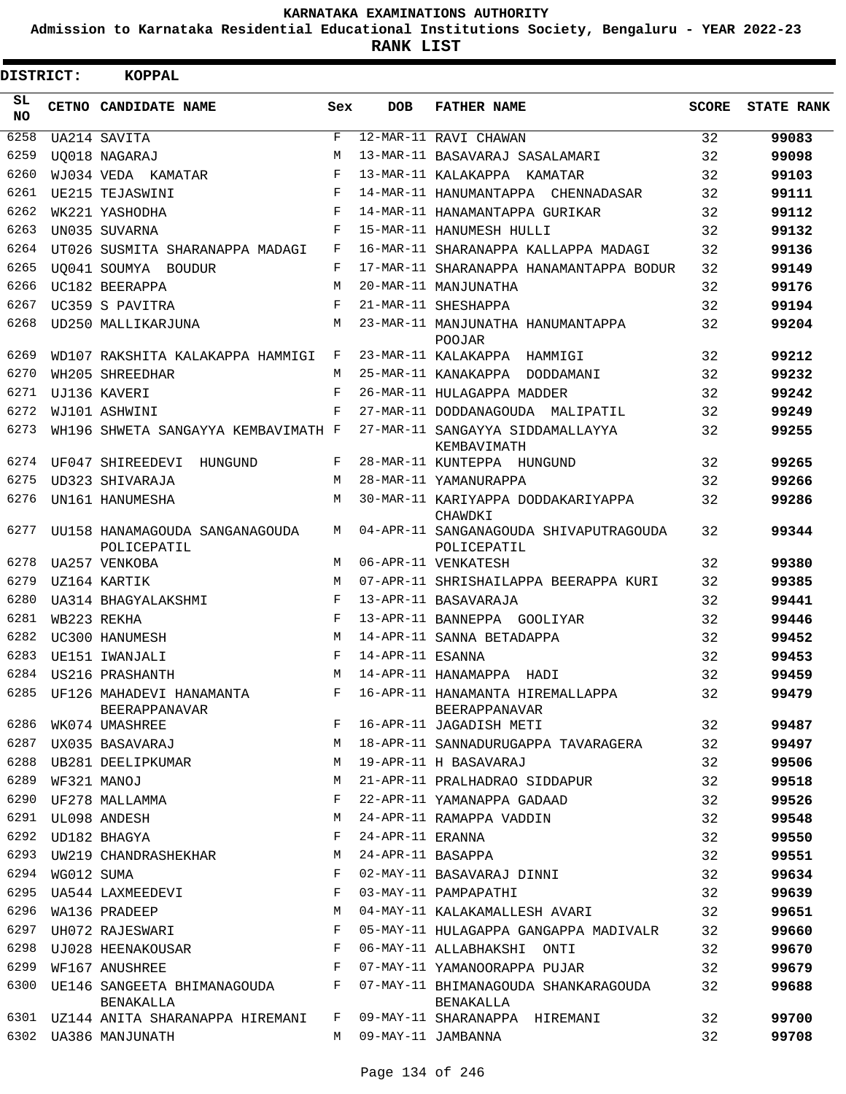**Admission to Karnataka Residential Educational Institutions Society, Bengaluru - YEAR 2022-23**

**RANK LIST**

| DISTRICT:  |            | <b>KOPPAL</b>                                    |            |                   |                                                          |              |                   |
|------------|------------|--------------------------------------------------|------------|-------------------|----------------------------------------------------------|--------------|-------------------|
| SL.<br>NO. |            | CETNO CANDIDATE NAME                             | Sex        | <b>DOB</b>        | <b>FATHER NAME</b>                                       | <b>SCORE</b> | <b>STATE RANK</b> |
| 6258       |            | UA214 SAVITA                                     | F          |                   | 12-MAR-11 RAVI CHAWAN                                    | 32           | 99083             |
| 6259       |            | UO018 NAGARAJ                                    | М          |                   | 13-MAR-11 BASAVARAJ SASALAMARI                           | 32           | 99098             |
| 6260       |            | WJ034 VEDA KAMATAR                               | F          |                   | 13-MAR-11 KALAKAPPA KAMATAR                              | 32           | 99103             |
| 6261       |            | UE215 TEJASWINI                                  | F          |                   | 14-MAR-11 HANUMANTAPPA CHENNADASAR                       | 32           | 99111             |
| 6262       |            | WK221 YASHODHA                                   | F          |                   | 14-MAR-11 HANAMANTAPPA GURIKAR                           | 32           | 99112             |
| 6263       |            | UN035 SUVARNA                                    | F          |                   | 15-MAR-11 HANUMESH HULLI                                 | 32           | 99132             |
| 6264       |            | UT026 SUSMITA SHARANAPPA MADAGI                  | F          |                   | 16-MAR-11 SHARANAPPA KALLAPPA MADAGI                     | 32           | 99136             |
| 6265       |            | UO041 SOUMYA BOUDUR                              | F          |                   | 17-MAR-11 SHARANAPPA HANAMANTAPPA BODUR                  | 32           | 99149             |
| 6266       |            | UC182 BEERAPPA                                   | M          |                   | 20-MAR-11 MANJUNATHA                                     | 32           | 99176             |
| 6267       |            | UC359 S PAVITRA                                  | F          |                   | 21-MAR-11 SHESHAPPA                                      | 32           | 99194             |
| 6268       |            | UD250 MALLIKARJUNA                               | M          |                   | 23-MAR-11 MANJUNATHA HANUMANTAPPA<br><b>POOJAR</b>       | 32           | 99204             |
| 6269       |            | WD107 RAKSHITA KALAKAPPA HAMMIGI                 | $_{\rm F}$ |                   | 23-MAR-11 KALAKAPPA HAMMIGI                              | 32           | 99212             |
| 6270       |            | WH205 SHREEDHAR                                  | М          |                   | 25-MAR-11 KANAKAPPA DODDAMANI                            | 32           | 99232             |
| 6271       |            | UJ136 KAVERI                                     | F          |                   | 26-MAR-11 HULAGAPPA MADDER                               | 32           | 99242             |
| 6272       |            | WJ101 ASHWINI                                    | F          |                   | 27-MAR-11 DODDANAGOUDA MALIPATIL                         | 32           | 99249             |
| 6273       |            | WH196 SHWETA SANGAYYA KEMBAVIMATH F              |            |                   | 27-MAR-11 SANGAYYA SIDDAMALLAYYA<br>KEMBAVIMATH          | 32           | 99255             |
| 6274       |            | UF047 SHIREEDEVI<br>HUNGUND                      | F          |                   | 28-MAR-11 KUNTEPPA HUNGUND                               | 32           | 99265             |
| 6275       |            | UD323 SHIVARAJA                                  | M          |                   | 28-MAR-11 YAMANURAPPA                                    | 32           | 99266             |
| 6276       |            | UN161 HANUMESHA                                  | M          |                   | 30-MAR-11 KARIYAPPA DODDAKARIYAPPA<br>CHAWDKI            | 32           | 99286             |
| 6277       |            | UU158 HANAMAGOUDA SANGANAGOUDA<br>POLICEPATIL    | M          |                   | 04-APR-11 SANGANAGOUDA SHIVAPUTRAGOUDA<br>POLICEPATIL    | 32           | 99344             |
| 6278       |            | UA257 VENKOBA                                    | М          |                   | 06-APR-11 VENKATESH                                      | 32           | 99380             |
| 6279       |            | UZ164 KARTIK                                     | M          |                   | 07-APR-11 SHRISHAILAPPA BEERAPPA KURI                    | 32           | 99385             |
| 6280       |            | UA314 BHAGYALAKSHMI                              | F          |                   | 13-APR-11 BASAVARAJA                                     | 32           | 99441             |
| 6281       |            | WB223 REKHA                                      | F          |                   | 13-APR-11 BANNEPPA GOOLIYAR                              | 32           | 99446             |
| 6282       |            | UC300 HANUMESH                                   | M          |                   | 14-APR-11 SANNA BETADAPPA                                | 32           | 99452             |
| 6283       |            | UE151 IWANJALI                                   | F          | 14-APR-11 ESANNA  |                                                          | 32           | 99453             |
| 6284       |            | US216 PRASHANTH                                  | М          |                   | 14-APR-11 HANAMAPPA HADI                                 | 32           | 99459             |
| 6285       |            | UF126 MAHADEVI HANAMANTA<br><b>BEERAPPANAVAR</b> | F          |                   | 16-APR-11 HANAMANTA HIREMALLAPPA<br><b>BEERAPPANAVAR</b> | 32           | 99479             |
| 6286       |            | WK074 UMASHREE                                   | F          |                   | 16-APR-11 JAGADISH METI                                  | 32           | 99487             |
| 6287       |            | UX035 BASAVARAJ                                  | М          |                   | 18-APR-11 SANNADURUGAPPA TAVARAGERA                      | 32           | 99497             |
| 6288       |            | UB281 DEELIPKUMAR                                | M          |                   | 19-APR-11 H BASAVARAJ                                    | 32           | 99506             |
| 6289       |            | WF321 MANOJ                                      | М          |                   | 21-APR-11 PRALHADRAO SIDDAPUR                            | 32           | 99518             |
| 6290       |            | UF278 MALLAMMA                                   | F          |                   | 22-APR-11 YAMANAPPA GADAAD                               | 32           | 99526             |
| 6291       |            | UL098 ANDESH                                     | M          |                   | 24-APR-11 RAMAPPA VADDIN                                 | 32           | 99548             |
| 6292       |            | UD182 BHAGYA                                     | F          | 24-APR-11 ERANNA  |                                                          | 32           | 99550             |
| 6293       |            | UW219 CHANDRASHEKHAR                             | M          | 24-APR-11 BASAPPA |                                                          | 32           | 99551             |
| 6294       | WG012 SUMA |                                                  | F          |                   | 02-MAY-11 BASAVARAJ DINNI                                | 32           | 99634             |
| 6295       |            | UA544 LAXMEEDEVI                                 | F          |                   | 03-MAY-11 PAMPAPATHI                                     | 32           | 99639             |
| 6296       |            | WA136 PRADEEP                                    | M          |                   | 04-MAY-11 KALAKAMALLESH AVARI                            | 32           | 99651             |
| 6297       |            | UH072 RAJESWARI                                  | F          |                   | 05-MAY-11 HULAGAPPA GANGAPPA MADIVALR                    | 32           | 99660             |
| 6298       |            | UJ028 HEENAKOUSAR                                | F          |                   | 06-MAY-11 ALLABHAKSHI ONTI                               | 32           | 99670             |
| 6299       |            | WF167 ANUSHREE                                   | F          |                   | 07-MAY-11 YAMANOORAPPA PUJAR                             | 32           | 99679             |
| 6300       |            | UE146 SANGEETA BHIMANAGOUDA<br>BENAKALLA         | F          |                   | 07-MAY-11 BHIMANAGOUDA SHANKARAGOUDA<br>BENAKALLA        | 32           | 99688             |
|            |            | 6301 UZ144 ANITA SHARANAPPA HIREMANI             | F          |                   | 09-MAY-11 SHARANAPPA HIREMANI                            | 32           | 99700             |
|            |            | 6302 UA386 MANJUNATH                             | M          |                   | 09-MAY-11 JAMBANNA                                       | 32           | 99708             |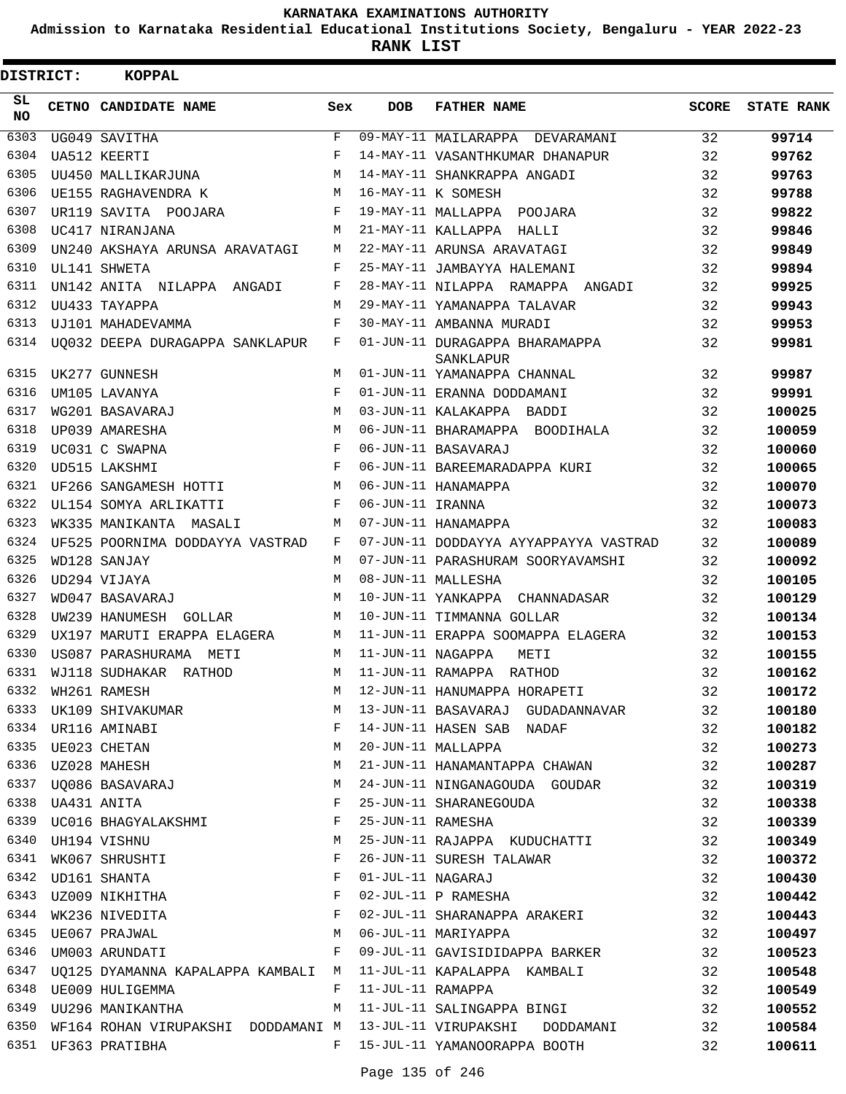**Admission to Karnataka Residential Educational Institutions Society, Bengaluru - YEAR 2022-23**

| <b>DISTRICT:</b> | <b>KOPPAL</b>                      |              |                   |                                                                        |              |                   |
|------------------|------------------------------------|--------------|-------------------|------------------------------------------------------------------------|--------------|-------------------|
| SL.<br>NO.       | CETNO CANDIDATE NAME               | Sex          | <b>DOB</b>        | <b>FATHER NAME</b>                                                     | <b>SCORE</b> | <b>STATE RANK</b> |
| 6303             | UG049 SAVITHA                      | $\mathbf{F}$ |                   | 09-MAY-11 MAILARAPPA DEVARAMANI                                        | 32           | 99714             |
| 6304             | UA512 KEERTI                       | F            |                   | 14-MAY-11 VASANTHKUMAR DHANAPUR                                        | 32           | 99762             |
| 6305             | UU450 MALLIKARJUNA                 | M            |                   | 14-MAY-11 SHANKRAPPA ANGADI                                            | 32           | 99763             |
| 6306             | UE155 RAGHAVENDRA K                | M            |                   | 16-MAY-11 K SOMESH                                                     | 32           | 99788             |
| 6307             | UR119 SAVITA POOJARA               | F            |                   | 19-MAY-11 MALLAPPA POOJARA                                             | 32           | 99822             |
| 6308             | UC417 NIRANJANA                    | M            |                   | 21-MAY-11 KALLAPPA HALLI                                               | 32           | 99846             |
| 6309             | UN240 AKSHAYA ARUNSA ARAVATAGI     | М            |                   | 22-MAY-11 ARUNSA ARAVATAGI                                             | 32           | 99849             |
| 6310             | UL141 SHWETA                       | F            |                   | 25-MAY-11 JAMBAYYA HALEMANI                                            | 32           | 99894             |
| 6311             | UN142 ANITA NILAPPA ANGADI         | F            |                   | 28-MAY-11 NILAPPA RAMAPPA ANGADI                                       | 32           | 99925             |
| 6312             | UU433 TAYAPPA                      | M            |                   | 29-MAY-11 YAMANAPPA TALAVAR                                            | 32           | 99943             |
| 6313             | UJ101 MAHADEVAMMA                  | F            |                   | 30-MAY-11 AMBANNA MURADI                                               | 32           | 99953             |
| 6314             | UQ032 DEEPA DURAGAPPA SANKLAPUR    | F            |                   | 01-JUN-11 DURAGAPPA BHARAMAPPA<br>SANKLAPUR                            | 32           | 99981             |
| 6315             | UK277 GUNNESH                      | М            |                   | 01-JUN-11 YAMANAPPA CHANNAL                                            | 32           | 99987             |
| 6316             | UM105 LAVANYA                      | F            |                   | 01-JUN-11 ERANNA DODDAMANI                                             | 32           | 99991             |
| 6317             | WG201 BASAVARAJ                    | М            |                   | 03-JUN-11 KALAKAPPA BADDI                                              | 32           | 100025            |
| 6318             | UP039 AMARESHA                     | M            |                   | 06-JUN-11 BHARAMAPPA BOODIHALA                                         | 32           | 100059            |
| 6319             | UC031 C SWAPNA                     | F            |                   | 06-JUN-11 BASAVARAJ                                                    | 32           | 100060            |
| 6320             | UD515 LAKSHMI                      | F            |                   | 06-JUN-11 BAREEMARADAPPA KURI                                          | 32           | 100065            |
| 6321             | UF266 SANGAMESH HOTTI              | М            |                   | 06-JUN-11 HANAMAPPA                                                    | 32           | 100070            |
| 6322             | UL154 SOMYA ARLIKATTI              | F            | 06-JUN-11 IRANNA  |                                                                        | 32           | 100073            |
| 6323             | WK335 MANIKANTA MASALI             | M            |                   | 07-JUN-11 HANAMAPPA                                                    | 32           | 100083            |
| 6324             | UF525 POORNIMA DODDAYYA VASTRAD    | F            |                   | 07-JUN-11 DODDAYYA AYYAPPAYYA VASTRAD                                  | 32           | 100089            |
| 6325             | WD128 SANJAY                       | M            |                   | 07-JUN-11 PARASHURAM SOORYAVAMSHI                                      | 32           | 100092            |
| 6326             | UD294 VIJAYA                       | M            |                   | 08-JUN-11 MALLESHA                                                     | 32           | 100105            |
| 6327             | WD047 BASAVARAJ                    | M            |                   | 10-JUN-11 YANKAPPA CHANNADASAR                                         | 32           | 100129            |
| 6328             | UW239 HANUMESH GOLLAR              | M            |                   | 10-JUN-11 TIMMANNA GOLLAR                                              | 32           | 100134            |
| 6329             | UX197 MARUTI ERAPPA ELAGERA        | M            |                   | 11-JUN-11 ERAPPA SOOMAPPA ELAGERA                                      | 32           | 100153            |
| 6330             | US087 PARASHURAMA METI             | M            | 11-JUN-11 NAGAPPA | METI                                                                   | 32           | 100155            |
| 6331             | WJ118 SUDHAKAR RATHOD              | М            |                   | 11-JUN-11 RAMAPPA RATHOD                                               | 32           | 100162            |
| 6332             | WH261 RAMESH                       |              |                   | 12-JUN-11 HANUMAPPA HORAPETI                                           | 32           | 100172            |
| 6333             | UK109 SHIVAKUMAR                   | М            |                   | 13-JUN-11 BASAVARAJ GUDADANNAVAR                                       | 32           | 100180            |
| 6334             | UR116 AMINABI                      | F            |                   | 14-JUN-11 HASEN SAB NADAF                                              | 32           | 100182            |
| 6335             | UE023 CHETAN                       | М            |                   | 20-JUN-11 MALLAPPA                                                     | 32           | 100273            |
| 6336             | UZ028 MAHESH                       | М            |                   | 21-JUN-11 HANAMANTAPPA CHAWAN                                          | 32           | 100287            |
| 6337             | UQ086 BASAVARAJ                    | M            |                   | 24-JUN-11 NINGANAGOUDA GOUDAR                                          | 32           | 100319            |
|                  |                                    | F            |                   | 25-JUN-11 SHARANEGOUDA                                                 | 32           | 100338            |
| 6339             | UC016 BHAGYALAKSHMI                | F            |                   | 25-JUN-11 RAMESHA                                                      | 32           | 100339            |
| 6340             | UH194 VISHNU                       | М            |                   | 25-JUN-11 RAJAPPA KUDUCHATTI                                           | 32           | 100349            |
| 6341             | WK067 SHRUSHTI                     | F            |                   | 26-JUN-11 SURESH TALAWAR                                               | 32           | 100372            |
| 6342             | UD161 SHANTA                       | F            | 01-JUL-11 NAGARAJ |                                                                        | 32           | 100430            |
| 6343             | UZ009 NIKHITHA                     | F            |                   | 02-JUL-11 P RAMESHA                                                    | 32           | 100442            |
| 6344             | WK236 NIVEDITA                     | F            |                   | 02-JUL-11 SHARANAPPA ARAKERI                                           | 32           | 100443            |
| 6345             | UE067 PRAJWAL                      | M            |                   | 06-JUL-11 MARIYAPPA                                                    | 32           | 100497            |
| 6346             | UM003 ARUNDATI                     | $\mathbf{F}$ |                   | 09-JUL-11 GAVISIDIDAPPA BARKER                                         | 32           | 100523            |
| 6347             | UQ125 DYAMANNA KAPALAPPA KAMBALI M |              |                   | 11-JUL-11 KAPALAPPA KAMBALI                                            | 32           | 100548            |
| 6348             | UE009 HULIGEMMA                    | F            |                   | 11-JUL-11 RAMAPPA                                                      | 32           | 100549            |
| 6349             | UU296 MANIKANTHA                   | M            |                   | 11-JUL-11 SALINGAPPA BINGI                                             | 32           | 100552            |
|                  |                                    |              |                   | 6350 WF164 ROHAN VIRUPAKSHI DODDAMANI M 13-JUL-11 VIRUPAKSHI DODDAMANI | 32           | 100584            |
|                  | 6351 UF363 PRATIBHA                | $F$ –        |                   | 15-JUL-11 YAMANOORAPPA BOOTH                                           | 32           | 100611            |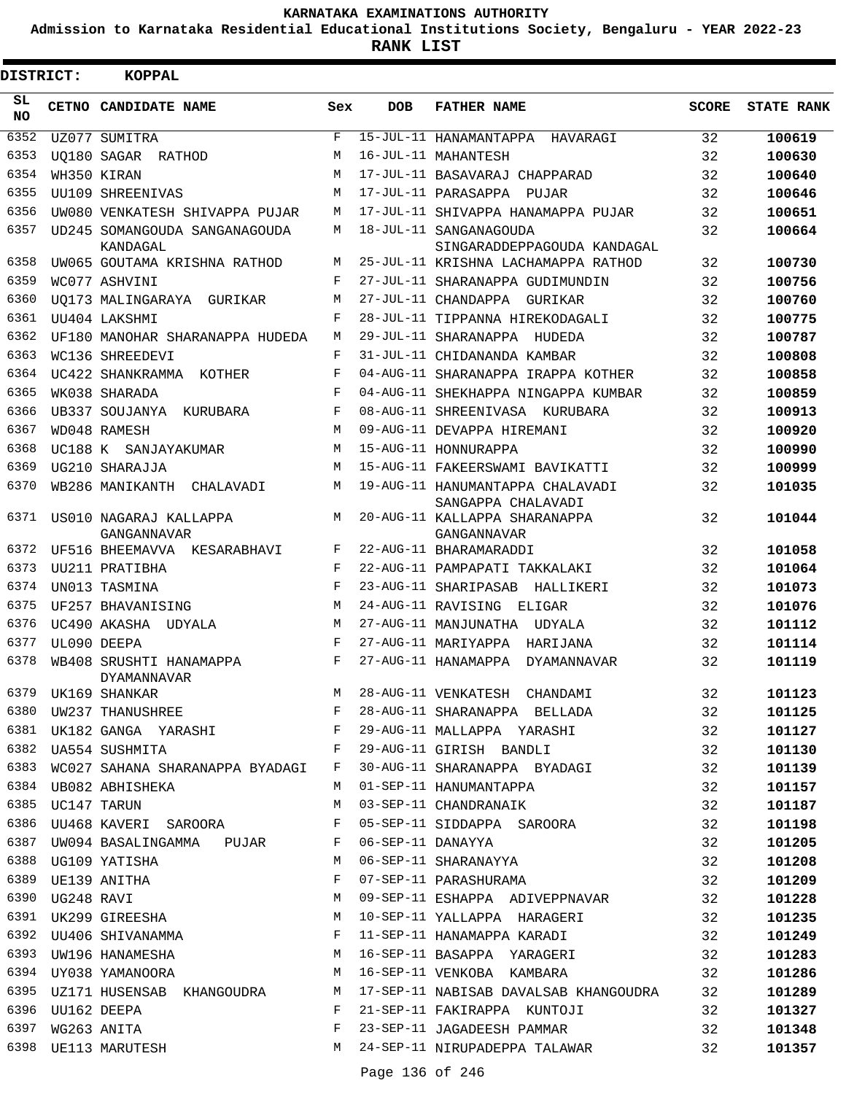**Admission to Karnataka Residential Educational Institutions Society, Bengaluru - YEAR 2022-23**

 $\blacksquare$ 

**RANK LIST**

Е

| DISTRICT: | <b>KOPPAL</b>                                                                                                                    |              |            |                                                                    |              |                   |
|-----------|----------------------------------------------------------------------------------------------------------------------------------|--------------|------------|--------------------------------------------------------------------|--------------|-------------------|
| SL<br>NO. | CETNO CANDIDATE NAME                                                                                                             | Sex          | <b>DOB</b> | <b>FATHER NAME</b>                                                 | <b>SCORE</b> | <b>STATE RANK</b> |
| 6352      | UZ077 SUMITRA                                                                                                                    | F            |            | 15-JUL-11 HANAMANTAPPA HAVARAGI                                    | 32           | 100619            |
| 6353      | <b>UQ180 SAGAR RATHOD</b>                                                                                                        | M            |            | 16-JUL-11 MAHANTESH                                                | 32           | 100630            |
| 6354      | WH350 KIRAN                                                                                                                      | M            |            | 17-JUL-11 BASAVARAJ CHAPPARAD                                      | 32           | 100640            |
| 6355      | UU109 SHREENIVAS                                                                                                                 | M            |            | 17-JUL-11 PARASAPPA PUJAR                                          | 32           | 100646            |
| 6356      | UW080 VENKATESH SHIVAPPA PUJAR                                                                                                   | M            |            | 17-JUL-11 SHIVAPPA HANAMAPPA PUJAR                                 | 32           | 100651            |
| 6357      | UD245 SOMANGOUDA SANGANAGOUDA                                                                                                    | M            |            | 18-JUL-11 SANGANAGOUDA                                             | 32           | 100664            |
| 6358      | KANDAGAL                                                                                                                         | М            |            | SINGARADDEPPAGOUDA KANDAGAL<br>25-JUL-11 KRISHNA LACHAMAPPA RATHOD |              |                   |
| 6359      | UW065 GOUTAMA KRISHNA RATHOD                                                                                                     | F            |            | 27-JUL-11 SHARANAPPA GUDIMUNDIN                                    | 32<br>32     | 100730            |
| 6360      | WC077 ASHVINI                                                                                                                    | M            |            | 27-JUL-11 CHANDAPPA GURIKAR                                        | 32           | 100756<br>100760  |
| 6361      | UO173 MALINGARAYA GURIKAR<br>UU404 LAKSHMI                                                                                       | F            |            | 28-JUL-11 TIPPANNA HIREKODAGALI                                    | 32           | 100775            |
| 6362      | UF180 MANOHAR SHARANAPPA HUDEDA                                                                                                  | М            |            | 29-JUL-11 SHARANAPPA HUDEDA                                        | 32           | 100787            |
| 6363      | WC136 SHREEDEVI                                                                                                                  | F            |            | 31-JUL-11 CHIDANANDA KAMBAR                                        | 32           | 100808            |
| 6364      | UC422 SHANKRAMMA KOTHER                                                                                                          | F            |            | 04-AUG-11 SHARANAPPA IRAPPA KOTHER                                 | 32           | 100858            |
| 6365      | WK038 SHARADA                                                                                                                    | F            |            | 04-AUG-11 SHEKHAPPA NINGAPPA KUMBAR                                | 32           | 100859            |
| 6366      | UB337 SOUJANYA KURUBARA                                                                                                          | F            |            | 08-AUG-11 SHREENIVASA KURUBARA                                     | 32           | 100913            |
| 6367      | WD048 RAMESH                                                                                                                     | M            |            | 09-AUG-11 DEVAPPA HIREMANI                                         | 32           | 100920            |
| 6368      | UC188 K SANJAYAKUMAR                                                                                                             | M            |            | 15-AUG-11 HONNURAPPA                                               | 32           | 100990            |
| 6369      | UG210 SHARAJJA                                                                                                                   | M            |            | 15-AUG-11 FAKEERSWAMI BAVIKATTI                                    | 32           | 100999            |
| 6370      | WB286 MANIKANTH CHALAVADI                                                                                                        | M            |            | 19-AUG-11 HANUMANTAPPA CHALAVADI                                   | 32           |                   |
|           |                                                                                                                                  |              |            | SANGAPPA CHALAVADI                                                 |              | 101035            |
| 6371      | US010 NAGARAJ KALLAPPA                                                                                                           | M            |            | 20-AUG-11 KALLAPPA SHARANAPPA                                      | 32           | 101044            |
|           | GANGANNAVAR                                                                                                                      |              |            | GANGANNAVAR                                                        |              |                   |
| 6372      | UF516 BHEEMAVVA KESARABHAVI                                                                                                      | F            |            | 22-AUG-11 BHARAMARADDI                                             | 32           | 101058            |
| 6373      | UU211 PRATIBHA                                                                                                                   | F            |            | 22-AUG-11 PAMPAPATI TAKKALAKI                                      | 32           | 101064            |
| 6374      | UN013 TASMINA                                                                                                                    | F            |            | 23-AUG-11 SHARIPASAB HALLIKERI                                     | 32           | 101073            |
| 6375      | UF257 BHAVANISING                                                                                                                | M            |            | 24-AUG-11 RAVISING ELIGAR                                          | 32           | 101076            |
| 6376      | UC490 AKASHA UDYALA                                                                                                              | M            |            | 27-AUG-11 MANJUNATHA UDYALA                                        | 32           | 101112            |
| 6377      | UL090 DEEPA                                                                                                                      | F.           |            | 27-AUG-11 MARIYAPPA HARIJANA                                       | 32           | 101114            |
| 6378      | WB408 SRUSHTI HANAMAPPA<br>DYAMANNAVAR                                                                                           | F            |            | 27-AUG-11 HANAMAPPA DYAMANNAVAR                                    | 32           | 101119            |
| 6379      | UK169 SHANKAR<br>UW237 THANUSHREE                                                                                                | М            |            | 28-AUG-11 VENKATESH CHANDAMI                                       | 32           | 101123            |
| 6380      |                                                                                                                                  | $\mathbf{F}$ |            | 28-AUG-11 SHARANAPPA BELLADA                                       | 32           | 101125            |
|           | 6381 UK182 GANGA YARASHI F                                                                                                       |              |            | 29-AUG-11 MALLAPPA YARASHI                                         | 32           | 101127            |
| 6382      | in the state of the state of the state of the state of the state of the state of the state of the state of the<br>UA554 SUSHMITA |              |            | 29-AUG-11 GIRISH BANDLI                                            | 32           | 101130            |
| 6383      | WC027 SAHANA SHARANAPPA BYADAGI F                                                                                                |              |            | 30-AUG-11 SHARANAPPA BYADAGI                                       | 32           | 101139            |
|           | 6384 UB082 ABHISHEKA                                                                                                             | M            |            | 01-SEP-11 HANUMANTAPPA                                             | 32           | 101157            |
| 6385      | UC147 TARUN                                                                                                                      | М            |            | 03-SEP-11 CHANDRANAIK                                              | 32           | 101187            |
| 6386      | UU468 KAVERI SAROORA                                                                                                             | F            |            | 05-SEP-11 SIDDAPPA SAROORA                                         | 32           | 101198            |
| 6387      | UW094 BASALINGAMMA PUJAR F                                                                                                       |              |            | 06-SEP-11 DANAYYA                                                  | 32           | 101205            |
| 6388      | UG109 YATISHA                                                                                                                    | M            |            | 00 BEL 11 DANAILA<br>06-SEP-11 SHARANAYYA<br>07-SEP-11 PARASHURAMA | 32           | 101208            |
| 6389      | UE139 ANITHA                                                                                                                     | F            |            |                                                                    | 32           | 101209            |
| 6390      | UG248 RAVI<br>UK299 GIREESHA                                                                                                     | M            |            | 09-SEP-11 ESHAPPA ADIVEPPNAVAR                                     | 32           | 101228            |
| 6391      |                                                                                                                                  | M            |            | 10-SEP-11 YALLAPPA HARAGERI                                        | 32           | 101235            |
|           |                                                                                                                                  |              |            | 11-SEP-11 HANAMAPPA KARADI                                         | 32           | 101249            |
|           |                                                                                                                                  |              |            | 16-SEP-11 BASAPPA YARAGERI                                         | 32           | 101283            |
| 6394      | UY038 YAMANOORA M                                                                                                                |              |            | 16-SEP-11 VENKOBA KAMBARA                                          | 32           | 101286            |
| 6395      | UZ171 HUSENSAB KHANGOUDRA M                                                                                                      |              |            | 17-SEP-11 NABISAB DAVALSAB KHANGOUDRA                              | 32           | 101289            |
| 6396      | UU162 DEEPA                                                                                                                      | F            |            | 21-SEP-11 FAKIRAPPA KUNTOJI                                        | 32           | 101327            |
| 6397      | WG263 ANITA                                                                                                                      | F            |            | 23-SEP-11 JAGADEESH PAMMAR                                         | 32           | 101348            |
| 6398      | UE113 MARUTESH                                                                                                                   |              |            | M 24-SEP-11 NIRUPADEPPA TALAWAR                                    | 32           | 101357            |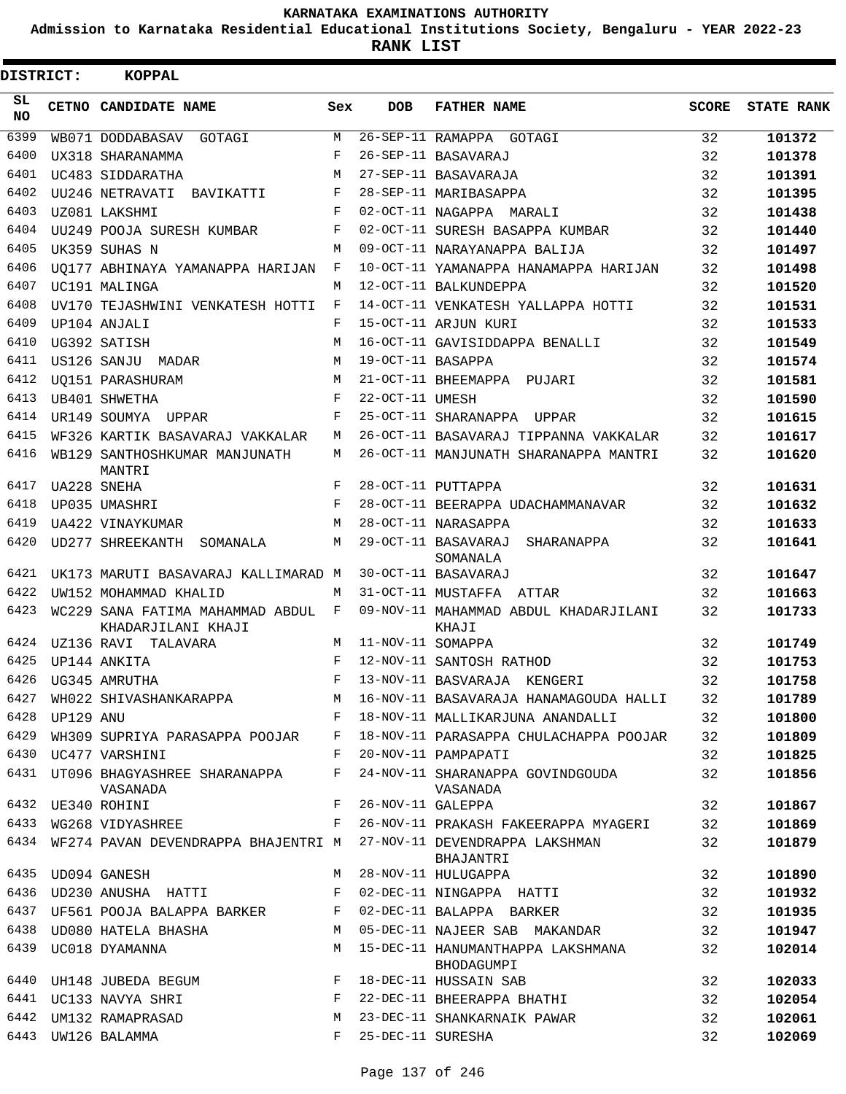**Admission to Karnataka Residential Educational Institutions Society, Bengaluru - YEAR 2022-23**

**RANK LIST**

| DISTRICT:        |           | <b>KOPPAL</b>                                          |              |                   |                                                 |              |                   |
|------------------|-----------|--------------------------------------------------------|--------------|-------------------|-------------------------------------------------|--------------|-------------------|
| SL.<br><b>NO</b> |           | CETNO CANDIDATE NAME                                   | Sex          | <b>DOB</b>        | <b>FATHER NAME</b>                              | <b>SCORE</b> | <b>STATE RANK</b> |
| 6399             |           | WB071 DODDABASAV GOTAGI                                | М            |                   | 26-SEP-11 RAMAPPA GOTAGI                        | 32           | 101372            |
| 6400             |           | UX318 SHARANAMMA                                       | F            |                   | 26-SEP-11 BASAVARAJ                             | 32           | 101378            |
| 6401             |           | UC483 SIDDARATHA                                       | M            |                   | 27-SEP-11 BASAVARAJA                            | 32           | 101391            |
| 6402             |           | UU246 NETRAVATI BAVIKATTI                              | F            |                   | 28-SEP-11 MARIBASAPPA                           | 32           | 101395            |
| 6403             |           | UZ081 LAKSHMI                                          | F            |                   | 02-OCT-11 NAGAPPA MARALI                        | 32           | 101438            |
| 6404             |           | UU249 POOJA SURESH KUMBAR                              | F            |                   | 02-OCT-11 SURESH BASAPPA KUMBAR                 | 32           | 101440            |
| 6405             |           | UK359 SUHAS N                                          | M            |                   | 09-OCT-11 NARAYANAPPA BALIJA                    | 32           | 101497            |
| 6406             |           | UO177 ABHINAYA YAMANAPPA HARIJAN                       | F            |                   | 10-OCT-11 YAMANAPPA HANAMAPPA HARIJAN           | 32           | 101498            |
| 6407             |           | UC191 MALINGA                                          | M            |                   | 12-OCT-11 BALKUNDEPPA                           | 32           | 101520            |
| 6408             |           | UV170 TEJASHWINI VENKATESH HOTTI                       | F            |                   | 14-OCT-11 VENKATESH YALLAPPA HOTTI              | 32           | 101531            |
| 6409             |           | UP104 ANJALI                                           | F            |                   | 15-OCT-11 ARJUN KURI                            | 32           | 101533            |
| 6410             |           | UG392 SATISH                                           | M            |                   | 16-OCT-11 GAVISIDDAPPA BENALLI                  | 32           | 101549            |
| 6411             |           | US126 SANJU MADAR                                      | M            | 19-OCT-11 BASAPPA |                                                 | 32           | 101574            |
| 6412             |           | UO151 PARASHURAM                                       | M            |                   | 21-OCT-11 BHEEMAPPA PUJARI                      | 32           | 101581            |
| 6413             |           | UB401 SHWETHA                                          | F            | 22-OCT-11 UMESH   |                                                 | 32           | 101590            |
| 6414             |           | UR149 SOUMYA UPPAR                                     | F            |                   | 25-OCT-11 SHARANAPPA UPPAR                      | 32           | 101615            |
| 6415             |           | WF326 KARTIK BASAVARAJ VAKKALAR                        | М            |                   | 26-OCT-11 BASAVARAJ TIPPANNA VAKKALAR           | 32           | 101617            |
| 6416             |           | WB129 SANTHOSHKUMAR MANJUNATH<br>MANTRI                | M            |                   | 26-OCT-11 MANJUNATH SHARANAPPA MANTRI           | 32           | 101620            |
| 6417             |           | UA228 SNEHA                                            | F            |                   | 28-OCT-11 PUTTAPPA                              | 32           | 101631            |
| 6418             |           | UP035 UMASHRI                                          | F            |                   | 28-OCT-11 BEERAPPA UDACHAMMANAVAR               | 32           | 101632            |
| 6419             |           | UA422 VINAYKUMAR                                       | M            |                   | 28-OCT-11 NARASAPPA                             | 32           | 101633            |
| 6420             |           | <b>UD277 SHREEKANTH</b><br>SOMANALA                    | М            |                   | 29-OCT-11 BASAVARAJ<br>SHARANAPPA<br>SOMANALA   | 32           | 101641            |
| 6421             |           | UK173 MARUTI BASAVARAJ KALLIMARAD M                    |              |                   | 30-OCT-11 BASAVARAJ                             | 32           | 101647            |
| 6422             |           | UW152 MOHAMMAD KHALID                                  | M            |                   | 31-OCT-11 MUSTAFFA ATTAR                        | 32           | 101663            |
| 6423             |           | WC229 SANA FATIMA MAHAMMAD ABDUL<br>KHADARJILANI KHAJI | F            |                   | 09-NOV-11 MAHAMMAD ABDUL KHADARJILANI<br>KHAJI  | 32           | 101733            |
| 6424             |           | UZ136 RAVI TALAVARA                                    | M            | 11-NOV-11 SOMAPPA |                                                 | 32           | 101749            |
| 6425             |           | UP144 ANKITA                                           | F            |                   | 12-NOV-11 SANTOSH RATHOD                        | 32           | 101753            |
| 6426             |           | UG345 AMRUTHA                                          | F            |                   | 13-NOV-11 BASVARAJA KENGERI                     | 32           | 101758            |
| 6427             |           | WH022 SHIVASHANKARAPPA                                 | М            |                   | 16-NOV-11 BASAVARAJA HANAMAGOUDA HALLI          | 32           | 101789            |
| 6428             | UP129 ANU |                                                        | F            |                   | 18-NOV-11 MALLIKARJUNA ANANDALLI                | 32           | 101800            |
| 6429             |           | WH309 SUPRIYA PARASAPPA POOJAR                         | F            |                   | 18-NOV-11 PARASAPPA CHULACHAPPA POOJAR          | 32           | 101809            |
| 6430             |           | UC477 VARSHINI                                         | F            |                   | 20-NOV-11 PAMPAPATI                             | 32           | 101825            |
| 6431             |           | UT096 BHAGYASHREE SHARANAPPA<br>VASANADA               | F            |                   | 24-NOV-11 SHARANAPPA GOVINDGOUDA<br>VASANADA    | 32           | 101856            |
|                  |           | 6432 UE340 ROHINI                                      | F            | 26-NOV-11 GALEPPA |                                                 | 32           | 101867            |
| 6433             |           | WG268 VIDYASHREE                                       | F            |                   | 26-NOV-11 PRAKASH FAKEERAPPA MYAGERI            | 32           | 101869            |
| 6434             |           | WF274 PAVAN DEVENDRAPPA BHAJENTRI M                    |              |                   | 27-NOV-11 DEVENDRAPPA LAKSHMAN<br>BHAJANTRI     | 32           | 101879            |
| 6435             |           | UD094 GANESH                                           | M            |                   | 28-NOV-11 HULUGAPPA                             | 32           | 101890            |
| 6436             |           | UD230 ANUSHA HATTI                                     | $\mathbf{F}$ |                   | 02-DEC-11 NINGAPPA HATTI                        | 32           | 101932            |
| 6437             |           | UF561 POOJA BALAPPA BARKER                             | F            |                   | 02-DEC-11 BALAPPA BARKER                        | 32           | 101935            |
| 6438             |           | UD080 HATELA BHASHA                                    | М            |                   | 05-DEC-11 NAJEER SAB MAKANDAR                   | 32           | 101947            |
| 6439             |           | UC018 DYAMANNA                                         | М            |                   | 15-DEC-11 HANUMANTHAPPA LAKSHMANA<br>BHODAGUMPI | 32           | 102014            |
| 6440             |           | UH148 JUBEDA BEGUM                                     | F            |                   | 18-DEC-11 HUSSAIN SAB                           | 32           | 102033            |
| 6441             |           | UC133 NAVYA SHRI                                       | F            |                   | 22-DEC-11 BHEERAPPA BHATHI                      | 32           | 102054            |
| 6442             |           | UM132 RAMAPRASAD                                       | М            |                   | 23-DEC-11 SHANKARNAIK PAWAR                     | 32           | 102061            |
| 6443             |           | UW126 BALAMMA                                          | F            | 25-DEC-11 SURESHA |                                                 | 32           | 102069            |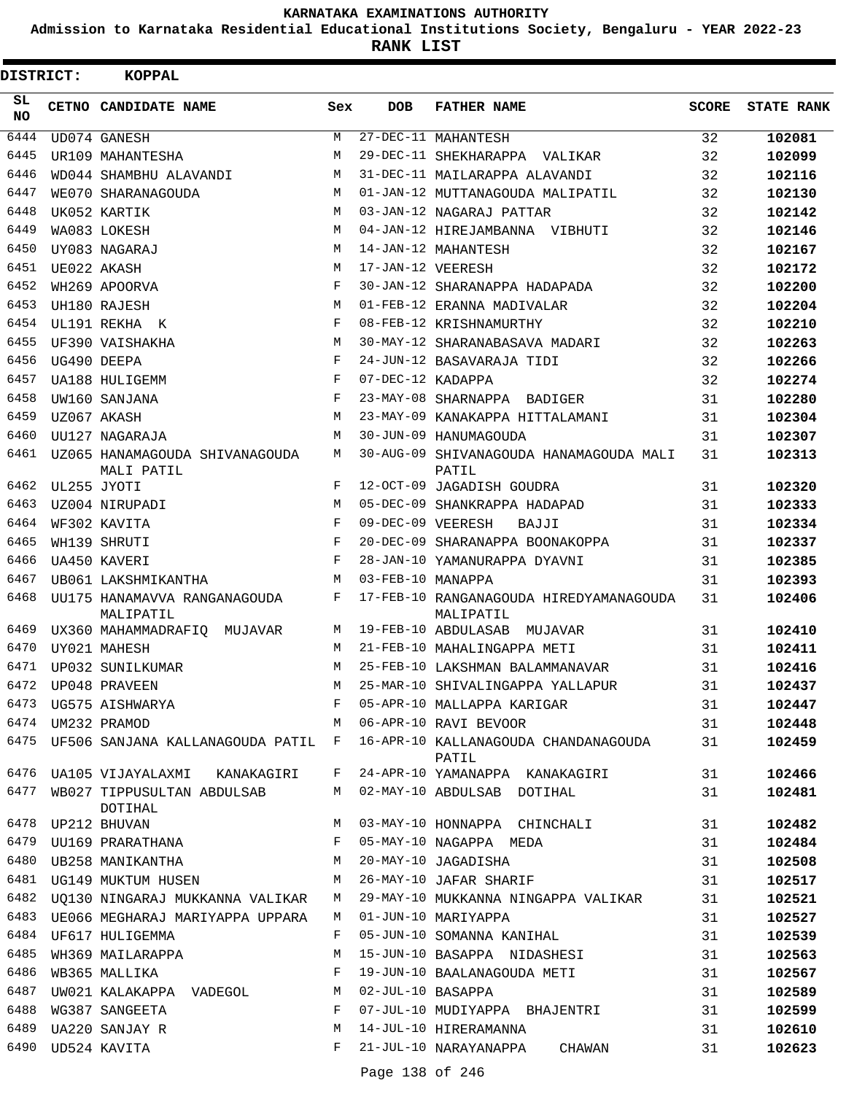**Admission to Karnataka Residential Educational Institutions Society, Bengaluru - YEAR 2022-23**

| DISTRICT:        | <b>KOPPAL</b>                                |     |                   |                                                                                          |              |                   |
|------------------|----------------------------------------------|-----|-------------------|------------------------------------------------------------------------------------------|--------------|-------------------|
| SL.<br><b>NO</b> | CETNO CANDIDATE NAME                         | Sex | <b>DOB</b>        | <b>FATHER NAME</b>                                                                       | <b>SCORE</b> | <b>STATE RANK</b> |
| 6444             | UD074 GANESH                                 | M   |                   | 27-DEC-11 MAHANTESH                                                                      | 32           | 102081            |
| 6445             | UR109 MAHANTESHA                             | М   |                   | 29-DEC-11 SHEKHARAPPA VALIKAR                                                            | 32           | 102099            |
| 6446             | WD044 SHAMBHU ALAVANDI                       | М   |                   | 31-DEC-11 MAILARAPPA ALAVANDI                                                            | 32           | 102116            |
| 6447             | WE070 SHARANAGOUDA                           | M   |                   | 01-JAN-12 MUTTANAGOUDA MALIPATIL                                                         | 32           | 102130            |
| 6448             | UK052 KARTIK                                 | M   |                   | 03-JAN-12 NAGARAJ PATTAR                                                                 | 32           | 102142            |
| 6449             | WA083 LOKESH                                 | M   |                   | 04-JAN-12 HIREJAMBANNA VIBHUTI                                                           | 32           | 102146            |
| 6450             | UY083 NAGARAJ                                | M   |                   | 14-JAN-12 MAHANTESH                                                                      | 32           | 102167            |
| 6451             | UE022 AKASH                                  | M   | 17-JAN-12 VEERESH |                                                                                          | 32           | 102172            |
| 6452             | WH269 APOORVA                                | F   |                   | 30-JAN-12 SHARANAPPA HADAPADA                                                            | 32           | 102200            |
| 6453             | UH180 RAJESH                                 | M   |                   | 01-FEB-12 ERANNA MADIVALAR                                                               | 32           | 102204            |
| 6454             | UL191 REKHA K                                | F   |                   | 08-FEB-12 KRISHNAMURTHY                                                                  | 32           | 102210            |
| 6455             | UF390 VAISHAKHA                              | M   |                   | 30-MAY-12 SHARANABASAVA MADARI                                                           | 32           | 102263            |
| 6456             | UG490 DEEPA                                  | F   |                   | 24-JUN-12 BASAVARAJA TIDI                                                                | 32           | 102266            |
| 6457             | UA188 HULIGEMM                               | F   | 07-DEC-12 KADAPPA |                                                                                          | 32           | 102274            |
| 6458             | UW160 SANJANA                                | F   |                   | 23-MAY-08 SHARNAPPA BADIGER                                                              | 31           | 102280            |
| 6459             | UZ067 AKASH                                  | M   |                   | 23-MAY-09 KANAKAPPA HITTALAMANI                                                          | 31           | 102304            |
| 6460             | UU127 NAGARAJA                               | М   |                   | 30-JUN-09 HANUMAGOUDA                                                                    | 31           | 102307            |
| 6461             | UZ065 HANAMAGOUDA SHIVANAGOUDA<br>MALI PATIL | M   |                   | 30-AUG-09 SHIVANAGOUDA HANAMAGOUDA MALI<br>PATIL                                         | 31           | 102313            |
| 6462             | UL255 JYOTI                                  | F   |                   | 12-OCT-09 JAGADISH GOUDRA                                                                | 31           | 102320            |
| 6463             | UZ004 NIRUPADI                               | M   |                   | 05-DEC-09 SHANKRAPPA HADAPAD                                                             | 31           | 102333            |
| 6464             | WF302 KAVITA                                 | F   | 09-DEC-09 VEERESH | BAJJI                                                                                    | 31           | 102334            |
| 6465             | WH139 SHRUTI                                 | F   |                   | 20-DEC-09 SHARANAPPA BOONAKOPPA                                                          | 31           | 102337            |
| 6466             | UA450 KAVERI                                 | F   |                   | 28-JAN-10 YAMANURAPPA DYAVNI                                                             | 31           | 102385            |
| 6467             | UB061 LAKSHMIKANTHA                          | M   | 03-FEB-10 MANAPPA |                                                                                          | 31           | 102393            |
| 6468             | UU175 HANAMAVVA RANGANAGOUDA<br>MALIPATIL    | F   |                   | 17-FEB-10 RANGANAGOUDA HIREDYAMANAGOUDA<br>MALIPATIL                                     | 31           | 102406            |
| 6469             | UX360 MAHAMMADRAFIQ MUJAVAR                  | М   |                   | 19-FEB-10 ABDULASAB MUJAVAR                                                              | 31           | 102410            |
| 6470             | UY021 MAHESH                                 | M   |                   | 21-FEB-10 MAHALINGAPPA METI                                                              | 31           | 102411            |
| 6471             | UP032 SUNILKUMAR                             | M   |                   | 25-FEB-10 LAKSHMAN BALAMMANAVAR                                                          | 31           | 102416            |
| 6472             | UP048 PRAVEEN                                | M   |                   | 25-MAR-10 SHIVALINGAPPA YALLAPUR                                                         | 31           | 102437            |
|                  |                                              |     |                   |                                                                                          |              | 102447            |
|                  |                                              |     |                   |                                                                                          |              | 102448            |
|                  |                                              |     |                   | 6475 UF506 SANJANA KALLANAGOUDA PATIL F 16-APR-10 KALLANAGOUDA CHANDANAGOUDA 31<br>PATIL |              | 102459            |
|                  |                                              |     |                   | 6476 UA105 VIJAYALAXMI KANAKAGIRI F 24-APR-10 YAMANAPPA KANAKAGIRI 31                    |              | 102466            |
|                  | DOTIHAL                                      |     |                   | 6477 WB027 TIPPUSULTAN ABDULSAB M 02-MAY-10 ABDULSAB DOTIHAL 31                          |              | 102481            |
|                  | 6478 UP212 BHUVAN                            |     |                   | M 03-MAY-10 HONNAPPA CHINCHALI 31                                                        |              | 102482            |
|                  |                                              |     |                   | 6479 UU169 PRARATHANA 6479 WAGAPPA MEDA 31                                               |              | 102484            |
| 6480             | UB258 MANIKANTHA M 20-MAY-10 JAGADISHA       |     |                   |                                                                                          | 31           | 102508            |
|                  |                                              |     |                   | 6481 UG149 MUKTUM HUSEN M 26-MAY-10 JAFAR SHARIF                                         | 31           | 102517            |
|                  |                                              |     |                   | 6482 UQ130 NINGARAJ MUKKANNA VALIKAR M 29-MAY-10 MUKKANNA NINGAPPA VALIKAR 31            |              | 102521            |
|                  | 6483 UE066 MEGHARAJ MARIYAPPA UPPARA         |     |                   | M 01-JUN-10 MARIYAPPA                                                                    | 31           | 102527            |
|                  | 6484 UF617 HULIGEMMA                         |     |                   | F 05-JUN-10 SOMANNA KANIHAL                                                              | 31           | 102539            |
|                  |                                              |     |                   | 6485 WH369 MAILARAPPA 15-JUN-10 BASAPPA NIDASHESI 31                                     |              | 102563            |
| 6486             |                                              |     |                   | WB365 MALLIKA 61 CHA SHOW F 19-JUN-10 BAALANAGOUDA METI                                  |              | 102567            |
| 6487             | UW021 KALAKAPPA VADEGOL M 02-JUL-10 BASAPPA  |     |                   | 31                                                                                       |              | 102589            |
| 6488             | WG387 SANGEETA                               |     |                   | F 07-JUL-10 MUDIYAPPA BHAJENTRI                                                          | 31           | 102599            |
|                  | M<br>6489 UA220 SANJAY R                     |     |                   | 14-JUL-10 HIRERAMANNA                                                                    | 31           | 102610            |
|                  | 6490 UD524 KAVITA                            |     |                   | F 21-JUL-10 NARAYANAPPA CHAWAN                                                           | 31           | 102623            |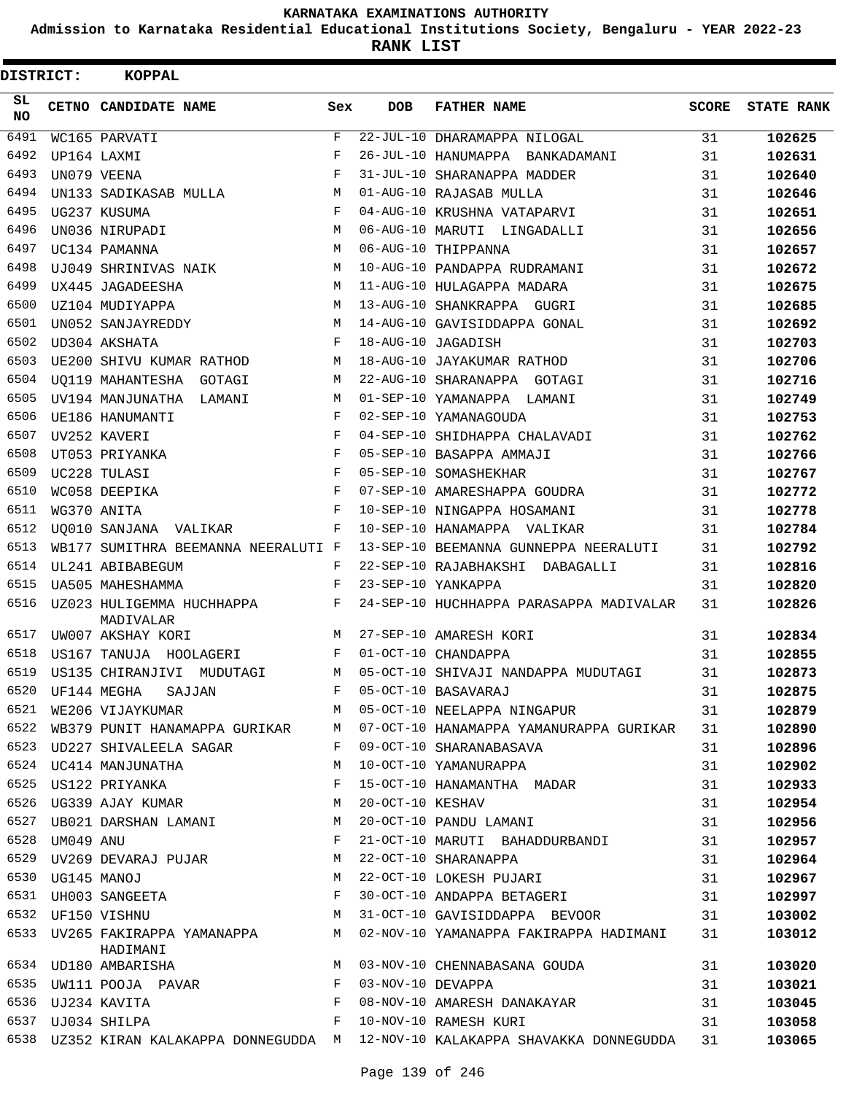**Admission to Karnataka Residential Educational Institutions Society, Bengaluru - YEAR 2022-23**

| DISTRICT:       |                | KOPPAL                                                             |              |                   |                                                                                 |              |                   |
|-----------------|----------------|--------------------------------------------------------------------|--------------|-------------------|---------------------------------------------------------------------------------|--------------|-------------------|
| SL<br><b>NO</b> |                | CETNO CANDIDATE NAME                                               | Sex          | <b>DOB</b>        | <b>FATHER NAME</b>                                                              | <b>SCORE</b> | <b>STATE RANK</b> |
| 6491            |                | WC165 PARVATI                                                      | $\mathbf{F}$ |                   | 22-JUL-10 DHARAMAPPA NILOGAL                                                    | 31           | 102625            |
| 6492            |                | UP164 LAXMI                                                        | F            |                   | 26-JUL-10 HANUMAPPA BANKADAMANI                                                 | 31           | 102631            |
| 6493            |                | UN079 VEENA                                                        | F            |                   | 31-JUL-10 SHARANAPPA MADDER                                                     | 31           | 102640            |
| 6494            |                | UN133 SADIKASAB MULLA                                              | М            |                   | 01-AUG-10 RAJASAB MULLA                                                         | 31           | 102646            |
| 6495            |                | UG237 KUSUMA                                                       | F            |                   | 04-AUG-10 KRUSHNA VATAPARVI                                                     | 31           | 102651            |
| 6496            |                | UN036 NIRUPADI                                                     | М            |                   | 06-AUG-10 MARUTI LINGADALLI                                                     | 31           | 102656            |
| 6497            |                | UC134 PAMANNA                                                      | М            |                   | 06-AUG-10 THIPPANNA                                                             | 31           | 102657            |
| 6498            |                | UJ049 SHRINIVAS NAIK                                               | М            |                   | 10-AUG-10 PANDAPPA RUDRAMANI                                                    | 31           | 102672            |
| 6499            |                | UX445 JAGADEESHA                                                   | М            |                   | 11-AUG-10 HULAGAPPA MADARA                                                      | 31           | 102675            |
| 6500            |                | UZ104 MUDIYAPPA                                                    | М            |                   | 13-AUG-10 SHANKRAPPA GUGRI                                                      | 31           | 102685            |
| 6501            |                | UN052 SANJAYREDDY                                                  | М            |                   | 14-AUG-10 GAVISIDDAPPA GONAL                                                    | 31           | 102692            |
| 6502            |                | UD304 AKSHATA                                                      | F            |                   | 18-AUG-10 JAGADISH                                                              | 31           | 102703            |
| 6503            |                | UE200 SHIVU KUMAR RATHOD                                           | М            |                   | 18-AUG-10 JAYAKUMAR RATHOD                                                      | 31           | 102706            |
| 6504            |                | UQ119 MAHANTESHA GOTAGI                                            | М            |                   | 22-AUG-10 SHARANAPPA GOTAGI                                                     | 31           | 102716            |
| 6505            |                | UV194 MANJUNATHA LAMANI                                            | М            |                   | 01-SEP-10 YAMANAPPA LAMANI                                                      | 31           | 102749            |
| 6506            |                | UE186 HANUMANTI                                                    | F            |                   | 02-SEP-10 YAMANAGOUDA                                                           | 31           | 102753            |
| 6507            |                | UV252 KAVERI                                                       | F            |                   | 04-SEP-10 SHIDHAPPA CHALAVADI                                                   | 31           | 102762            |
| 6508            |                | UT053 PRIYANKA                                                     | F            |                   | 05-SEP-10 BASAPPA AMMAJI                                                        | 31           | 102766            |
| 6509            |                | UC228 TULASI                                                       | $_{\rm F}$   |                   | 05-SEP-10 SOMASHEKHAR                                                           | 31           | 102767            |
| 6510            |                | WC058 DEEPIKA                                                      | F            |                   | 07-SEP-10 AMARESHAPPA GOUDRA                                                    | 31           | 102772            |
| 6511            |                | WG370 ANITA                                                        | F            |                   | 10-SEP-10 NINGAPPA HOSAMANI                                                     | 31           | 102778            |
| 6512            |                | UO010 SANJANA VALIKAR                                              | F            |                   | 10-SEP-10 HANAMAPPA VALIKAR                                                     | 31           | 102784            |
| 6513            |                | WB177 SUMITHRA BEEMANNA NEERALUTI F                                |              |                   | 13-SEP-10 BEEMANNA GUNNEPPA NEERALUTI                                           | 31           | 102792            |
| 6514            |                | UL241 ABIBABEGUM                                                   | F            |                   | 22-SEP-10 RAJABHAKSHI DABAGALLI                                                 | 31           | 102816            |
| 6515            |                | <b>UA505 MAHESHAMMA</b>                                            | F            |                   | 23-SEP-10 YANKAPPA                                                              | 31           | 102820            |
| 6516            |                | UZ023 HULIGEMMA HUCHHAPPA<br>MADIVALAR                             | F            |                   | 24-SEP-10 HUCHHAPPA PARASAPPA MADIVALAR                                         | 31           | 102826            |
| 6517            |                | UW007 AKSHAY KORI                                                  | М            |                   | 27-SEP-10 AMARESH KORI                                                          | 31           | 102834            |
| 6518            |                | US167 TANUJA HOOLAGERI                                             | F            |                   | 01-OCT-10 CHANDAPPA                                                             | 31           | 102855            |
| 6519            |                | US135 CHIRANJIVI MUDUTAGI                                          | M            |                   | 05-OCT-10 SHIVAJI NANDAPPA MUDUTAGI                                             | 31           | 102873            |
|                 |                | 6520 UF144 MEGHA SAJJAN NAMA F 05-OCT-10 BASAVARAJ                 |              |                   |                                                                                 | 31           | 102875            |
| 6521            |                | WE206 VIJAYKUMAR                                                   |              |                   | M 05-OCT-10 NEELAPPA NINGAPUR 31                                                |              | 102879            |
| 6522            |                |                                                                    |              |                   | WB379 PUNIT HANAMAPPA GURIKAR M 07-OCT-10 HANAMAPPA YAMANURAPPA GURIKAR 31      |              | 102890            |
| 6523            |                | UD227 SHIVALEELA SAGAR<br>F 09-OCT-10 SHARANABASAVA                |              |                   |                                                                                 | 31           | 102896            |
|                 |                | 6524 UC414 MANJUNATHA<br>M <sub>N</sub>                            |              |                   | 10-OCT-10 YAMANURAPPA                                                           | 31           | 102902            |
| 6525            |                | US122 PRIYANKA F                                                   |              |                   | 15-OCT-10 HANAMANTHA MADAR                                                      | 31           | 102933            |
| 6526            |                | UG339 AJAY KUMAR M                                                 |              | 20-OCT-10 KESHAV  |                                                                                 | 31           | 102954            |
|                 |                | 6527 UB021 DARSHAN LAMANI M                                        |              |                   | 20-OCT-10 PANDU LAMANI                                                          | 31           | 102956            |
|                 | 6528 UM049 ANU | UM049 ANU<br>UV269 DEVARAJ PUJAR NA M                              |              |                   | 21-OCT-10 MARUTI BAHADDURBANDI                                                  | 31           | 102957            |
| 6529            |                |                                                                    |              |                   | 22-OCT-10 SHARANAPPA                                                            | 31           | 102964            |
|                 |                |                                                                    |              |                   | 22-OCT-10 LOKESH PUJARI                                                         | 31           | 102967            |
|                 |                | 6530 UG145 MANOJ M<br>6531 UH003 SANGEETA F<br>6532 UF150 VISHNU M |              |                   | 30-OCT-10 ANDAPPA BETAGERI                                                      | 31           | 102997            |
|                 |                |                                                                    |              |                   | 31-OCT-10 GAVISIDDAPPA BEVOOR 31                                                |              | 103002            |
|                 |                | HADIMANI                                                           |              |                   | 6533 UV265 FAKIRAPPA YAMANAPPA M 02-NOV-10 YAMANAPPA FAKIRAPPA HADIMANI 31      |              | 103012            |
|                 |                | 6534 UD180 AMBARISHA M                                             |              |                   | 03-NOV-10 CHENNABASANA GOUDA                                                    | 31           | 103020            |
|                 |                | 6535 UW111 POOJA PAVAR F                                           |              | 03-NOV-10 DEVAPPA |                                                                                 | 31           | 103021            |
|                 |                |                                                                    |              |                   |                                                                                 | 31           | 103045            |
|                 |                |                                                                    |              |                   |                                                                                 | 31           | 103058            |
|                 |                |                                                                    |              |                   | 6538 UZ352 KIRAN KALAKAPPA DONNEGUDDA M 12-NOV-10 KALAKAPPA SHAVAKKA DONNEGUDDA | 31           | 103065            |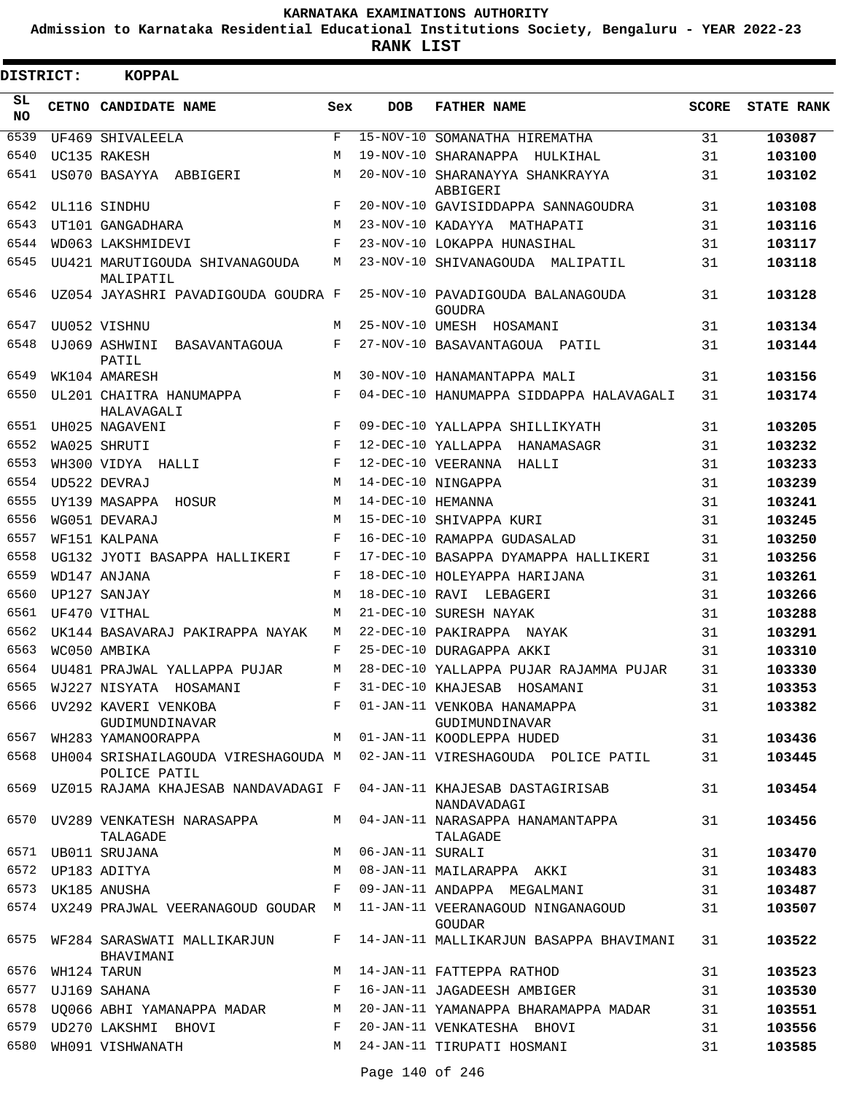**Admission to Karnataka Residential Educational Institutions Society, Bengaluru - YEAR 2022-23**

| DISTRICT:       | <b>KOPPAL</b>                                                                            |              |                   |                                                                                                             |              |                   |
|-----------------|------------------------------------------------------------------------------------------|--------------|-------------------|-------------------------------------------------------------------------------------------------------------|--------------|-------------------|
| SL<br><b>NO</b> | CETNO CANDIDATE NAME                                                                     | Sex          | <b>DOB</b>        | <b>FATHER NAME</b>                                                                                          | <b>SCORE</b> | <b>STATE RANK</b> |
| 6539            | UF469 SHIVALEELA                                                                         | $\mathbf{F}$ |                   | 15-NOV-10 SOMANATHA HIREMATHA                                                                               | 31           | 103087            |
| 6540            | UC135 RAKESH                                                                             | M            |                   | 19-NOV-10 SHARANAPPA HULKIHAL                                                                               | 31           | 103100            |
| 6541            | US070 BASAYYA ABBIGERI                                                                   | М            |                   | 20-NOV-10 SHARANAYYA SHANKRAYYA<br>ABBIGERI                                                                 | 31           | 103102            |
| 6542            | UL116 SINDHU                                                                             | F            |                   | 20-NOV-10 GAVISIDDAPPA SANNAGOUDRA                                                                          | 31           | 103108            |
| 6543            | UT101 GANGADHARA                                                                         | M            |                   | 23-NOV-10 KADAYYA MATHAPATI                                                                                 | 31           | 103116            |
| 6544            | WD063 LAKSHMIDEVI                                                                        | F            |                   | 23-NOV-10 LOKAPPA HUNASIHAL                                                                                 | 31           | 103117            |
| 6545            | UU421 MARUTIGOUDA SHIVANAGOUDA<br>MALIPATIL                                              | М            |                   | 23-NOV-10 SHIVANAGOUDA MALIPATIL                                                                            | 31           | 103118            |
| 6546            | UZ054 JAYASHRI PAVADIGOUDA GOUDRA F                                                      |              |                   | 25-NOV-10 PAVADIGOUDA BALANAGOUDA<br>GOUDRA                                                                 | 31           | 103128            |
| 6547            | UU052 VISHNU                                                                             | M            |                   | 25-NOV-10 UMESH HOSAMANI                                                                                    | 31           | 103134            |
| 6548            | UJ069 ASHWINI BASAVANTAGOUA<br>PATIL                                                     | F            |                   | 27-NOV-10 BASAVANTAGOUA PATIL                                                                               | 31           | 103144            |
| 6549            | WK104 AMARESH                                                                            | M            |                   | 30-NOV-10 HANAMANTAPPA MALI                                                                                 | 31           | 103156            |
| 6550            | UL201 CHAITRA HANUMAPPA<br>HALAVAGALI                                                    | F            |                   | 04-DEC-10 HANUMAPPA SIDDAPPA HALAVAGALI                                                                     | 31           | 103174            |
| 6551            | UH025 NAGAVENI                                                                           | $_{\rm F}$   |                   | 09-DEC-10 YALLAPPA SHILLIKYATH                                                                              | 31           | 103205            |
| 6552            | WA025 SHRUTI                                                                             | $_{\rm F}$   |                   | 12-DEC-10 YALLAPPA HANAMASAGR                                                                               | 31           | 103232            |
| 6553            | WH300 VIDYA HALLI                                                                        | F            |                   | 12-DEC-10 VEERANNA HALLI                                                                                    | 31           | 103233            |
| 6554            | UD522 DEVRAJ                                                                             | M            |                   | 14-DEC-10 NINGAPPA                                                                                          | 31           | 103239            |
| 6555            | UY139 MASAPPA HOSUR                                                                      | M            | 14-DEC-10 HEMANNA |                                                                                                             | 31           | 103241            |
| 6556            | WG051 DEVARAJ                                                                            | M            |                   | 15-DEC-10 SHIVAPPA KURI                                                                                     | 31           | 103245            |
| 6557            | WF151 KALPANA                                                                            | $_{\rm F}$   |                   | 16-DEC-10 RAMAPPA GUDASALAD                                                                                 | 31           | 103250            |
| 6558            | UG132 JYOTI BASAPPA HALLIKERI                                                            | F            |                   | 17-DEC-10 BASAPPA DYAMAPPA HALLIKERI                                                                        | 31           | 103256            |
| 6559            | WD147 ANJANA                                                                             | F            |                   | 18-DEC-10 HOLEYAPPA HARIJANA                                                                                | 31           | 103261            |
| 6560            | UP127 SANJAY                                                                             | М            |                   | 18-DEC-10 RAVI LEBAGERI                                                                                     | 31           | 103266            |
| 6561            | UF470 VITHAL                                                                             | M            |                   | 21-DEC-10 SURESH NAYAK                                                                                      | 31           | 103288            |
| 6562            | UK144 BASAVARAJ PAKIRAPPA NAYAK                                                          | М            |                   | 22-DEC-10 PAKIRAPPA NAYAK                                                                                   | 31           | 103291            |
| 6563            | WC050 AMBIKA                                                                             | F            |                   | 25-DEC-10 DURAGAPPA AKKI                                                                                    | 31           | 103310            |
| 6564            | UU481 PRAJWAL YALLAPPA PUJAR                                                             | М            |                   | 28-DEC-10 YALLAPPA PUJAR RAJAMMA PUJAR                                                                      | 31           | 103330            |
|                 | 6565 WJ227 NISYATA HOSAMANI                                                              | $\mathbf{F}$ |                   | 31-DEC-10 KHAJESAB HOSAMANI                                                                                 | 31           | 103353            |
| 6567            | 6566 UV292 KAVERI VENKOBA<br>$\mathbf{F}$<br>GUDIMUNDINAVAR                              |              |                   | 01-JAN-11 VENKOBA HANAMAPPA<br>GUDIMUNDINAVAR                                                               | 31           | 103382            |
|                 | WH283 YAMANOORAPPA                                                                       |              |                   | M 01-JAN-11 KOODLEPPA HUDED<br>6568 UH004 SRISHAILAGOUDA VIRESHAGOUDA M 02-JAN-11 VIRESHAGOUDA POLICE PATIL | 31<br>31     | 103436            |
|                 | POLICE PATIL<br>6569 UZ015 RAJAMA KHAJESAB NANDAVADAGI F 04-JAN-11 KHAJESAB DASTAGIRISAB |              |                   |                                                                                                             | 31           | 103445            |
|                 | 6570 UV289 VENKATESH NARASAPPA                                                           |              |                   | NANDAVADAGI<br>M 04-JAN-11 NARASAPPA HANAMANTAPPA                                                           | 31           | 103454            |
|                 | TALAGADE<br>6571 UB011 SRUJANA                                                           | M            | 06-JAN-11 SURALI  | TALAGADE                                                                                                    | 31           | 103456            |
|                 | 6572 UP183 ADITYA                                                                        | M            |                   | 08-JAN-11 MAILARAPPA AKKI                                                                                   | 31           | 103470<br>103483  |
|                 | 6573 UK185 ANUSHA                                                                        | F            |                   | 09-JAN-11 ANDAPPA MEGALMANI                                                                                 | 31           | 103487            |
|                 | 6574 UX249 PRAJWAL VEERANAGOUD GOUDAR M                                                  |              |                   | 11-JAN-11 VEERANAGOUD NINGANAGOUD                                                                           | 31           | 103507            |
|                 | 6575 WF284 SARASWATI MALLIKARJUN                                                         | F            |                   | GOUDAR<br>14-JAN-11 MALLIKARJUN BASAPPA BHAVIMANI                                                           | 31           | 103522            |
| 6576            | BHAVIMANI<br>WH124 TARUN                                                                 | M            |                   | 14-JAN-11 FATTEPPA RATHOD                                                                                   | 31           | 103523            |
| 6577            | UJ169 SAHANA                                                                             | F            |                   | 16-JAN-11 JAGADEESH AMBIGER                                                                                 | 31           | 103530            |
| 6578            | UQ066 ABHI YAMANAPPA MADAR M                                                             |              |                   | 20-JAN-11 YAMANAPPA BHARAMAPPA MADAR                                                                        | 31           | 103551            |
|                 | 6579 UD270 LAKSHMI BHOVI                                                                 | F            |                   | 20-JAN-11 VENKATESHA BHOVI                                                                                  | 31           | 103556            |
| 6580            | WH091 VISHWANATH                                                                         |              |                   | M 24-JAN-11 TIRUPATI HOSMANI                                                                                | 31           | 103585            |
|                 |                                                                                          |              |                   |                                                                                                             |              |                   |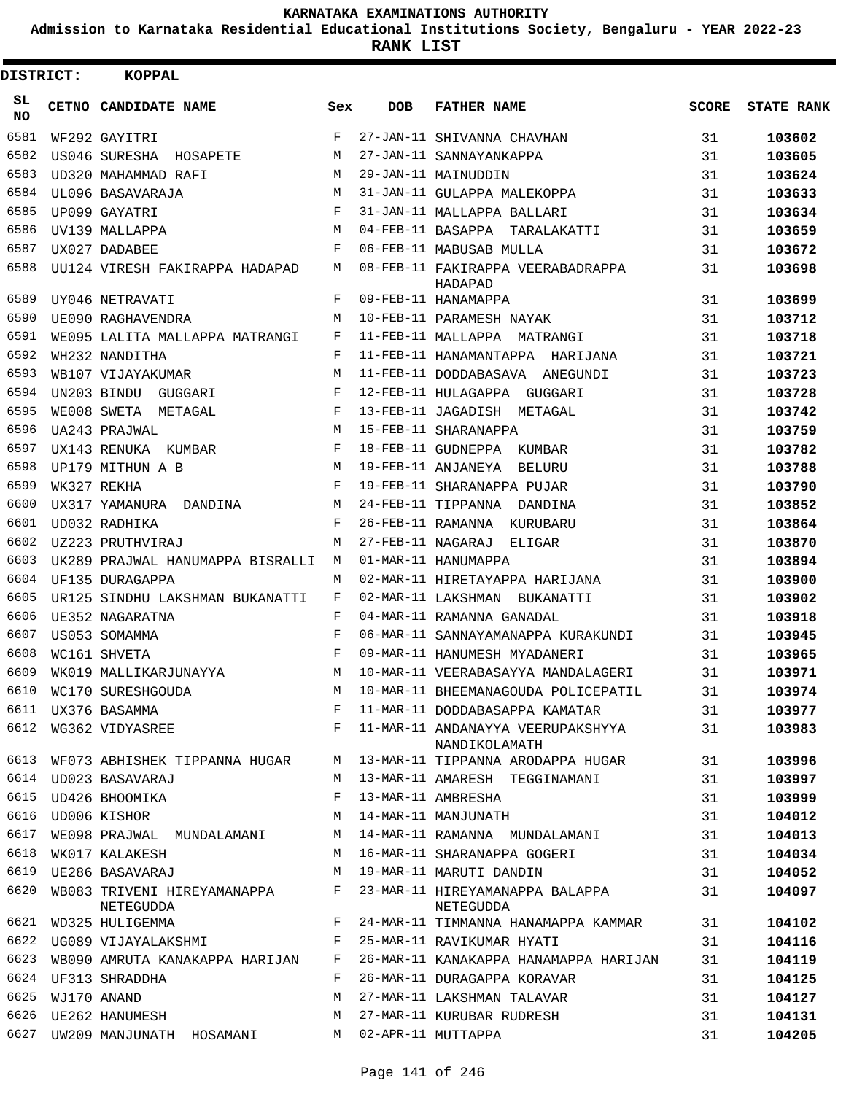**Admission to Karnataka Residential Educational Institutions Society, Bengaluru - YEAR 2022-23**

| DISTRICT:        | <b>KOPPAL</b>                            |             |                   |                                                    |              |                   |
|------------------|------------------------------------------|-------------|-------------------|----------------------------------------------------|--------------|-------------------|
| SL.<br><b>NO</b> | CETNO CANDIDATE NAME                     | Sex         | <b>DOB</b>        | <b>FATHER NAME</b>                                 | <b>SCORE</b> | <b>STATE RANK</b> |
| 6581             | WF292 GAYITRI                            | $\mathbf F$ |                   | 27-JAN-11 SHIVANNA CHAVHAN                         | 31           | 103602            |
| 6582             | US046 SURESHA HOSAPETE                   | M           |                   | 27-JAN-11 SANNAYANKAPPA                            | 31           | 103605            |
| 6583             | UD320 MAHAMMAD RAFI                      | M           |                   | 29-JAN-11 MAINUDDIN                                | 31           | 103624            |
| 6584             | UL096 BASAVARAJA                         | M           |                   | 31-JAN-11 GULAPPA MALEKOPPA                        | 31           | 103633            |
| 6585             | UP099 GAYATRI                            | F           |                   | 31-JAN-11 MALLAPPA BALLARI                         | 31           | 103634            |
| 6586             | UV139 MALLAPPA                           | M           |                   | 04-FEB-11 BASAPPA TARALAKATTI                      | 31           | 103659            |
| 6587             | UX027 DADABEE                            | F           |                   | 06-FEB-11 MABUSAB MULLA                            | 31           | 103672            |
| 6588             | UU124 VIRESH FAKIRAPPA HADAPAD           | М           |                   | 08-FEB-11 FAKIRAPPA VEERABADRAPPA<br>HADAPAD       | 31           | 103698            |
| 6589             | UY046 NETRAVATI                          | F           |                   | 09-FEB-11 HANAMAPPA                                | 31           | 103699            |
| 6590             | UE090 RAGHAVENDRA                        | M           |                   | 10-FEB-11 PARAMESH NAYAK                           | 31           | 103712            |
| 6591             | WE095 LALITA MALLAPPA MATRANGI           | F           |                   | 11-FEB-11 MALLAPPA MATRANGI                        | 31           | 103718            |
| 6592             | WH232 NANDITHA                           | F           |                   | 11-FEB-11 HANAMANTAPPA HARIJANA                    | 31           | 103721            |
| 6593             | WB107 VIJAYAKUMAR                        | M           |                   | 11-FEB-11 DODDABASAVA ANEGUNDI                     | 31           | 103723            |
| 6594             | UN203 BINDU GUGGARI                      | F           |                   | 12-FEB-11 HULAGAPPA GUGGARI                        | 31           | 103728            |
| 6595             | WE008 SWETA METAGAL                      | F           |                   | 13-FEB-11 JAGADISH METAGAL                         | 31           | 103742            |
| 6596             | UA243 PRAJWAL                            | M           |                   | 15-FEB-11 SHARANAPPA                               | 31           | 103759            |
| 6597             | UX143 RENUKA KUMBAR                      | F           |                   | 18-FEB-11 GUDNEPPA KUMBAR                          | 31           | 103782            |
| 6598             | UP179 MITHUN A B                         | M           |                   | 19-FEB-11 ANJANEYA BELURU                          | 31           | 103788            |
| 6599             | WK327 REKHA                              | F           |                   | 19-FEB-11 SHARANAPPA PUJAR                         | 31           | 103790            |
| 6600             | UX317 YAMANURA DANDINA                   | M           |                   | 24-FEB-11 TIPPANNA DANDINA                         | 31           | 103852            |
| 6601             | UD032 RADHIKA                            | F           |                   | 26-FEB-11 RAMANNA KURUBARU                         | 31           | 103864            |
| 6602             | UZ223 PRUTHVIRAJ                         | M           | 27-FEB-11 NAGARAJ | ELIGAR                                             | 31           | 103870            |
| 6603             | UK289 PRAJWAL HANUMAPPA BISRALLI         | M           |                   | 01-MAR-11 HANUMAPPA                                | 31           | 103894            |
| 6604             | UF135 DURAGAPPA                          | M           |                   | 02-MAR-11 HIRETAYAPPA HARIJANA                     | 31           | 103900            |
| 6605             | UR125 SINDHU LAKSHMAN BUKANATTI          | F           |                   | 02-MAR-11 LAKSHMAN BUKANATTI                       | 31           | 103902            |
| 6606             | UE352 NAGARATNA                          | F           |                   | 04-MAR-11 RAMANNA GANADAL                          | 31           | 103918            |
| 6607             | US053 SOMAMMA                            | F           |                   | 06-MAR-11 SANNAYAMANAPPA KURAKUNDI                 | 31           | 103945            |
| 6608             | WC161 SHVETA                             | F           |                   | 09-MAR-11 HANUMESH MYADANERI                       | 31           | 103965            |
| 6609             | WK019 MALLIKARJUNAYYA                    | М           |                   | 10-MAR-11 VEERABASAYYA MANDALAGERI                 | 31           | 103971            |
| 6610             | WC170 SURESHGOUDA                        | M           |                   | 10-MAR-11 BHEEMANAGOUDA POLICEPATIL                | 31           | 103974            |
| 6611             |                                          | F           |                   | 11-MAR-11 DODDABASAPPA KAMATAR                     | 31           | 103977            |
| 6612             | UX376 BASAMMA<br>WG362 VIDYASREE         | F           |                   | 11-MAR-11 ANDANAYYA VEERUPAKSHYYA<br>NANDIKOLAMATH | 31           | 103983            |
| 6613             | WF073 ABHISHEK TIPPANNA HUGAR            | M           |                   | 13-MAR-11 TIPPANNA ARODAPPA HUGAR                  | 31           | 103996            |
| 6614             | UD023 BASAVARAJ                          | M           |                   | 13-MAR-11 AMARESH TEGGINAMANI                      | 31           | 103997            |
| 6615             | UD426 BHOOMIKA                           | F           |                   | 13-MAR-11 AMBRESHA                                 | 31           | 103999            |
| 6616             | UD006 KISHOR                             | M           |                   | 14-MAR-11 MANJUNATH                                | 31           | 104012            |
| 6617             | WE098 PRAJWAL MUNDALAMANI                | M           |                   | 14-MAR-11 RAMANNA MUNDALAMANI                      | 31           | 104013            |
| 6618             | WK017 KALAKESH                           | M           |                   | 16-MAR-11 SHARANAPPA GOGERI                        | 31           | 104034            |
| 6619             | UE286 BASAVARAJ                          | M           |                   | 19-MAR-11 MARUTI DANDIN                            | 31           | 104052            |
| 6620             | WB083 TRIVENI HIREYAMANAPPA<br>NETEGUDDA | F           |                   | 23-MAR-11 HIREYAMANAPPA BALAPPA<br>NETEGUDDA       | 31           | 104097            |
| 6621             | WD325 HULIGEMMA                          | F           |                   | 24-MAR-11 TIMMANNA HANAMAPPA KAMMAR                | 31           | 104102            |
| 6622             | UG089 VIJAYALAKSHMI                      | F           |                   | 25-MAR-11 RAVIKUMAR HYATI                          | 31           | 104116            |
| 6623             | WB090 AMRUTA KANAKAPPA HARIJAN           | F           |                   | 26-MAR-11 KANAKAPPA HANAMAPPA HARIJAN              | 31           | 104119            |
| 6624             | UF313 SHRADDHA                           | F           |                   | 26-MAR-11 DURAGAPPA KORAVAR                        | 31           | 104125            |
| 6625             | WJ170 ANAND                              | М           |                   | 27-MAR-11 LAKSHMAN TALAVAR                         | 31           | 104127            |
| 6626             | UE262 HANUMESH                           | М           |                   | 27-MAR-11 KURUBAR RUDRESH                          | 31           | 104131            |
| 6627             | UW209 MANJUNATH HOSAMANI                 | M           |                   | 02-APR-11 MUTTAPPA                                 | 31           | 104205            |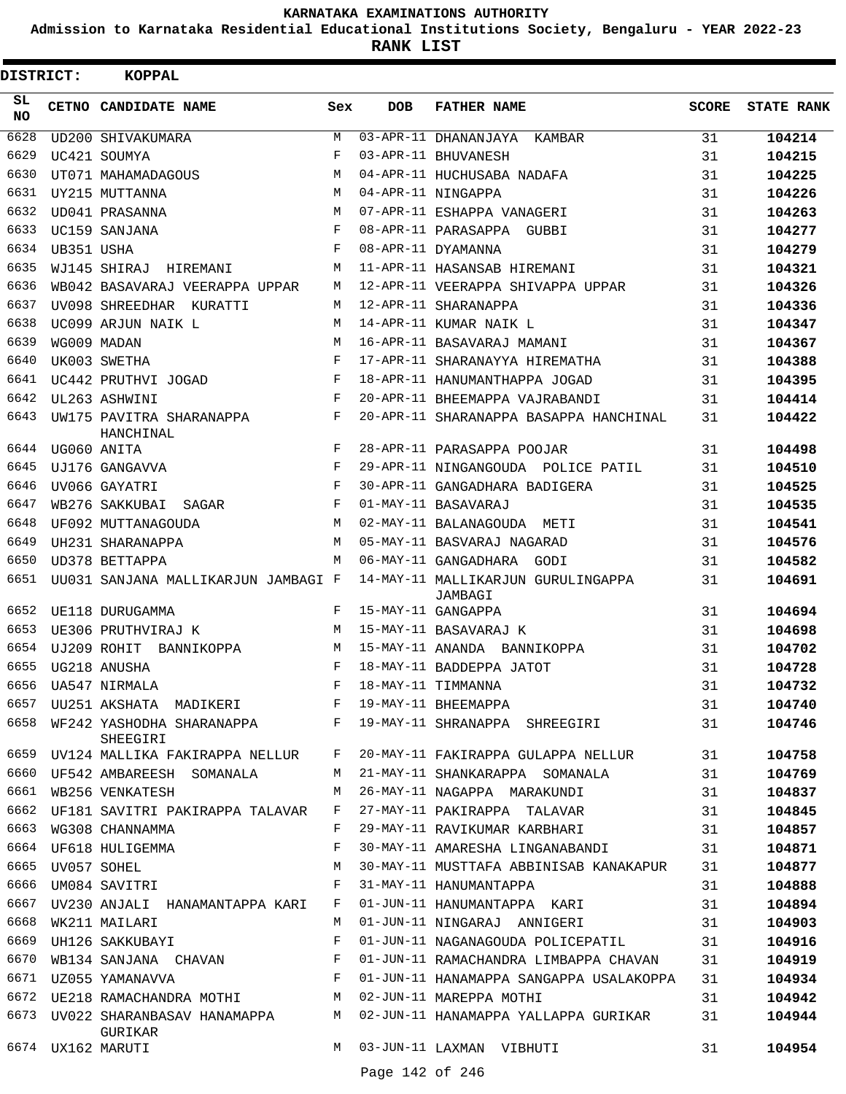**Admission to Karnataka Residential Educational Institutions Society, Bengaluru - YEAR 2022-23**

| DISTRICT: |             | <b>KOPPAL</b>                                                     |                    |                 |                                                                             |       |                   |
|-----------|-------------|-------------------------------------------------------------------|--------------------|-----------------|-----------------------------------------------------------------------------|-------|-------------------|
| SL<br>NO. |             | CETNO CANDIDATE NAME                                              | Sex                | <b>DOB</b>      | <b>FATHER NAME</b>                                                          | SCORE | <b>STATE RANK</b> |
| 6628      |             | <b>UD200 SHIVAKUMARA</b>                                          | M                  |                 | 03-APR-11 DHANANJAYA<br>KAMBAR                                              | 31    | 104214            |
| 6629      |             | UC421 SOUMYA                                                      | $_{\rm F}$         |                 | 03-APR-11 BHUVANESH                                                         | 31    | 104215            |
| 6630      |             | UT071 MAHAMADAGOUS                                                | M                  |                 | 04-APR-11 HUCHUSABA NADAFA                                                  | 31    | 104225            |
| 6631      |             | UY215 MUTTANNA                                                    | М                  |                 | 04-APR-11 NINGAPPA                                                          | 31    | 104226            |
| 6632      |             | UD041 PRASANNA                                                    | М                  |                 | 07-APR-11 ESHAPPA VANAGERI                                                  | 31    | 104263            |
| 6633      |             | UC159 SANJANA                                                     | F                  |                 | 08-APR-11 PARASAPPA GUBBI                                                   | 31    | 104277            |
| 6634      | UB351 USHA  |                                                                   | $_{\rm F}$         |                 | 08-APR-11 DYAMANNA                                                          | 31    | 104279            |
| 6635      |             | WJ145 SHIRAJ HIREMANI                                             | М                  |                 | 11-APR-11 HASANSAB HIREMANI                                                 | 31    | 104321            |
| 6636      |             | WB042 BASAVARAJ VEERAPPA UPPAR                                    | М                  |                 | 12-APR-11 VEERAPPA SHIVAPPA UPPAR                                           | 31    | 104326            |
| 6637      |             | UV098 SHREEDHAR KURATTI                                           | М                  |                 | 12-APR-11 SHARANAPPA                                                        | 31    | 104336            |
| 6638      |             | UC099 ARJUN NAIK L                                                | M                  |                 | 14-APR-11 KUMAR NAIK L                                                      | 31    | 104347            |
| 6639      |             | WG009 MADAN                                                       | М                  |                 | 16-APR-11 BASAVARAJ MAMANI                                                  | 31    | 104367            |
| 6640      |             | UK003 SWETHA                                                      | F                  |                 | 17-APR-11 SHARANAYYA HIREMATHA                                              | 31    | 104388            |
| 6641      |             | UC442 PRUTHVI JOGAD                                               | F                  |                 | 18-APR-11 HANUMANTHAPPA JOGAD                                               | 31    | 104395            |
| 6642      |             | UL263 ASHWINI                                                     | $_{\rm F}$         |                 | 20-APR-11 BHEEMAPPA VAJRABANDI                                              | 31    | 104414            |
| 6643      |             | UW175 PAVITRA SHARANAPPA<br>HANCHINAL                             | F                  |                 | 20-APR-11 SHARANAPPA BASAPPA HANCHINAL                                      | 31    | 104422            |
| 6644      |             | UG060 ANITA                                                       | F                  |                 | 28-APR-11 PARASAPPA POOJAR                                                  | 31    | 104498            |
| 6645      |             | UJ176 GANGAVVA                                                    | F                  |                 | 29-APR-11 NINGANGOUDA POLICE PATIL                                          | 31    | 104510            |
| 6646      |             | UV066 GAYATRI                                                     | F                  |                 | 30-APR-11 GANGADHARA BADIGERA                                               | 31    | 104525            |
| 6647      |             | WB276 SAKKUBAI SAGAR                                              | F                  |                 | 01-MAY-11 BASAVARAJ                                                         | 31    | 104535            |
| 6648      |             | UF092 MUTTANAGOUDA                                                | М                  |                 | 02-MAY-11 BALANAGOUDA METI                                                  | 31    | 104541            |
| 6649      |             | UH231 SHARANAPPA                                                  | М                  |                 | 05-MAY-11 BASVARAJ NAGARAD                                                  | 31    | 104576            |
| 6650      |             | UD378 BETTAPPA                                                    | М                  |                 | 06-MAY-11 GANGADHARA GODI                                                   | 31    | 104582            |
| 6651      |             | UU031 SANJANA MALLIKARJUN JAMBAGI F                               |                    |                 | 14-MAY-11 MALLIKARJUN GURULINGAPPA<br>JAMBAGI                               | 31    | 104691            |
| 6652      |             | UE118 DURUGAMMA                                                   | F                  |                 | 15-MAY-11 GANGAPPA                                                          | 31    | 104694            |
| 6653      |             | UE306 PRUTHVIRAJ K                                                | M                  |                 | 15-MAY-11 BASAVARAJ K                                                       | 31    | 104698            |
| 6654      |             | UJ209 ROHIT BANNIKOPPA                                            | М                  |                 | 15-MAY-11 ANANDA BANNIKOPPA                                                 | 31    | 104702            |
| 6655      |             | UG218 ANUSHA                                                      | $\mathbf{F}% _{0}$ |                 | 18-MAY-11 BADDEPPA JATOT                                                    | 31    | 104728            |
|           |             | 6656 UA547 NIRMALA                                                |                    |                 | F 18-MAY-11 TIMMANNA                                                        | 31    | 104732            |
|           |             | 6657 UU251 AKSHATA MADIKERI KARA FI 19-MAY-11 BHEEMAPPA           |                    |                 |                                                                             | 31    | 104740            |
|           |             | SHEEGIRI                                                          |                    |                 | 6658 WF242 YASHODHA SHARANAPPA F 19-MAY-11 SHRANAPPA SHREEGIRI 31           |       | 104746            |
|           |             |                                                                   |                    |                 | 6659 UV124 MALLIKA FAKIRAPPA NELLUR F 20-MAY-11 FAKIRAPPA GULAPPA NELLUR 31 |       | 104758            |
|           |             | 6660 UF542 AMBAREESH SOMANALA                                     |                    |                 | M 21-MAY-11 SHANKARAPPA SOMANALA 31                                         |       | 104769            |
| 6661      |             | WB256 VENKATESH                                                   | M                  |                 | 26-MAY-11 NAGAPPA MARAKUNDI                                                 | 31    | 104837            |
|           |             | 6662 UF181 SAVITRI PAKIRAPPA TALAVAR F                            |                    |                 | 27-MAY-11 PAKIRAPPA TALAVAR                                                 | 31    | 104845            |
|           |             | 6663 WG308 CHANNAMMA                                              | F                  |                 | 29-MAY-11 RAVIKUMAR KARBHARI                                                | 31    | 104857            |
|           |             | 6664 UF618 HULIGEMMA                                              | F                  |                 | 30-MAY-11 AMARESHA LINGANABANDI 31                                          |       | 104871            |
| 6665      | UV057 SOHEL |                                                                   |                    |                 | M 30-MAY-11 MUSTTAFA ABBINISAB KANAKAPUR 31                                 |       | 104877            |
|           |             | 6666 UM084 SAVITRI                                                | $\mathbf{F}$       |                 | 31-MAY-11 HANUMANTAPPA                                                      | 31    | 104888            |
|           |             | 6667 UV230 ANJALI HANAMANTAPPA KARI                               |                    |                 | F 01-JUN-11 HANUMANTAPPA KARI                                               | 31    | 104894            |
| 6668      |             | WK211 MAILARI                                                     | М                  |                 | 01-JUN-11 NINGARAJ ANNIGERI 31                                              |       | 104903            |
| 6669      |             | UH126 SAKKUBAYI                                                   | F                  |                 | 01-JUN-11 NAGANAGOUDA POLICEPATIL                                           | 31    | 104916            |
| 6670      |             | $\verb WBI34 SANJANA  \quad \verb CHAVAN  \qquad \qquad \verb F $ |                    |                 | 01-JUN-11 RAMACHANDRA LIMBAPPA CHAVAN                                       | 31    | 104919            |
|           |             | 6671 UZ055 YAMANAVVA                                              |                    |                 | F 01-JUN-11 HANAMAPPA SANGAPPA USALAKOPPA                                   | 31    | 104934            |
|           |             | 6672 UE218 RAMACHANDRA MOTHI MONTH MO2-JUN-11 MAREPPA MOTHI       |                    |                 |                                                                             | 31    | 104942            |
|           |             | GURIKAR                                                           |                    |                 | 6673 UV022 SHARANBASAV HANAMAPPA M 02-JUN-11 HANAMAPPA YALLAPPA GURIKAR     | 31    | 104944            |
|           |             | 6674 UX162 MARUTI                                                 |                    |                 | M 03-JUN-11 LAXMAN VIBHUTI                                                  | 31    | 104954            |
|           |             |                                                                   |                    | Page 142 of 246 |                                                                             |       |                   |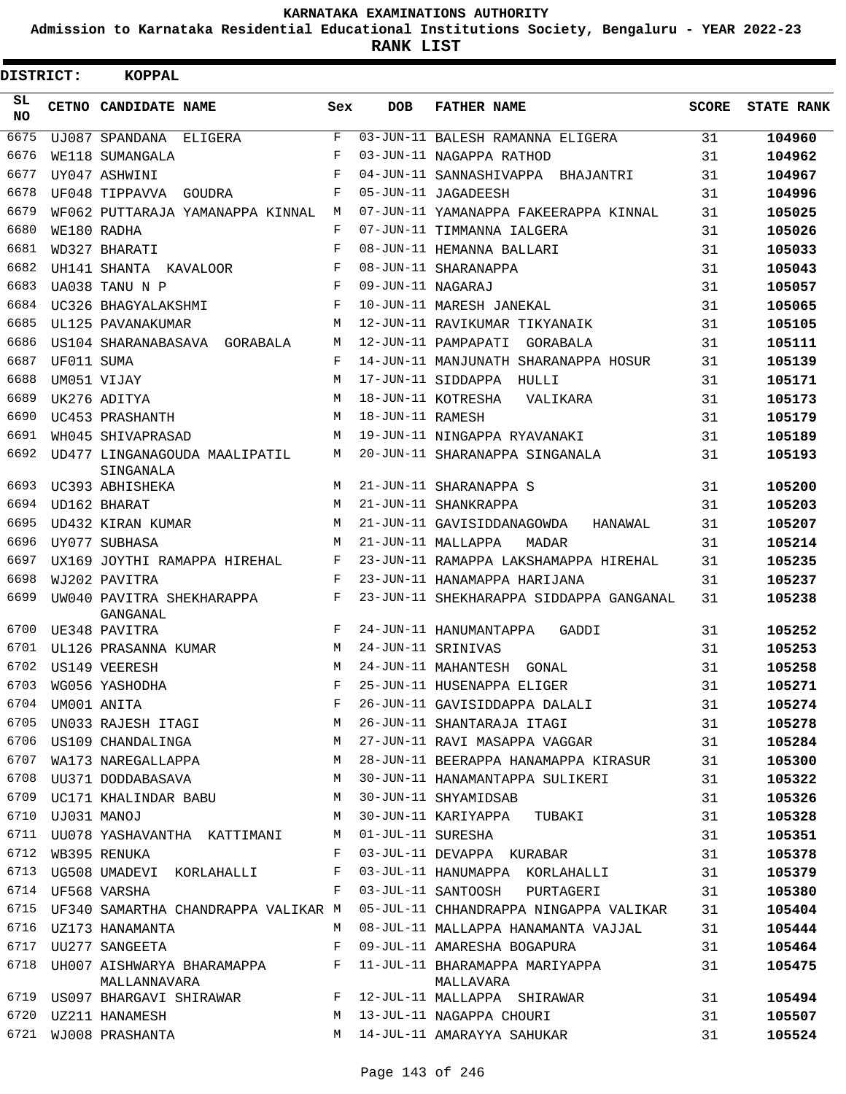**Admission to Karnataka Residential Educational Institutions Society, Bengaluru - YEAR 2022-23**

 $\blacksquare$ 

**RANK LIST**

Е

| <b>DISTRICT:</b> |                  | <b>KOPPAL</b>                                        |            |                   |                                                                                 |              |                   |
|------------------|------------------|------------------------------------------------------|------------|-------------------|---------------------------------------------------------------------------------|--------------|-------------------|
| SL<br>NO.        |                  | CETNO CANDIDATE NAME                                 | Sex        | <b>DOB</b>        | <b>FATHER NAME</b>                                                              | <b>SCORE</b> | <b>STATE RANK</b> |
| 6675             |                  | UJ087 SPANDANA<br>ELIGERA                            | F          |                   | 03-JUN-11 BALESH RAMANNA ELIGERA                                                | 31           | 104960            |
| 6676             |                  | WE118 SUMANGALA                                      | F          |                   | 03-JUN-11 NAGAPPA RATHOD                                                        | 31           | 104962            |
| 6677             |                  | UY047 ASHWINI                                        | $_{\rm F}$ |                   | 04-JUN-11 SANNASHIVAPPA BHAJANTRI                                               | 31           | 104967            |
| 6678             |                  | UF048 TIPPAVVA GOUDRA                                | F          |                   | 05-JUN-11 JAGADEESH                                                             | 31           | 104996            |
| 6679             |                  | WF062 PUTTARAJA YAMANAPPA KINNAL                     | М          |                   | 07-JUN-11 YAMANAPPA FAKEERAPPA KINNAL                                           | 31           | 105025            |
| 6680             |                  | WE180 RADHA                                          | F          |                   | 07-JUN-11 TIMMANNA IALGERA                                                      | 31           | 105026            |
| 6681             |                  | WD327 BHARATI                                        | F          |                   | 08-JUN-11 HEMANNA BALLARI                                                       | 31           | 105033            |
| 6682             |                  | UH141 SHANTA KAVALOOR                                | F          |                   | 08-JUN-11 SHARANAPPA                                                            | 31           | 105043            |
| 6683             |                  | UA038 TANU N P                                       | F          | 09-JUN-11 NAGARAJ |                                                                                 | 31           | 105057            |
| 6684             |                  | UC326 BHAGYALAKSHMI                                  | F          |                   | 10-JUN-11 MARESH JANEKAL                                                        | 31           | 105065            |
| 6685             |                  | UL125 PAVANAKUMAR                                    | М          |                   | 12-JUN-11 RAVIKUMAR TIKYANAIK                                                   | 31           | 105105            |
| 6686             |                  | US104 SHARANABASAVA GORABALA                         | M          |                   | 12-JUN-11 PAMPAPATI GORABALA                                                    | 31           | 105111            |
| 6687             | UF011 SUMA       |                                                      | F          |                   | 14-JUN-11 MANJUNATH SHARANAPPA HOSUR                                            | 31           | 105139            |
| 6688             |                  | UM051 VIJAY                                          | M          |                   | 17-JUN-11 SIDDAPPA HULLI                                                        | 31           | 105171            |
| 6689             |                  | UK276 ADITYA                                         | M          |                   | 18-JUN-11 KOTRESHA<br>VALIKARA                                                  | 31           | 105173            |
| 6690             |                  | UC453 PRASHANTH                                      | M          | 18-JUN-11 RAMESH  |                                                                                 | 31           | 105179            |
| 6691             |                  | WH045 SHIVAPRASAD                                    | M          |                   | 19-JUN-11 NINGAPPA RYAVANAKI                                                    | 31           | 105189            |
| 6692             |                  | UD477 LINGANAGOUDA MAALIPATIL<br>SINGANALA           | М          |                   | 20-JUN-11 SHARANAPPA SINGANALA                                                  | 31           | 105193            |
| 6693             |                  | UC393 ABHISHEKA                                      | M          |                   | 21-JUN-11 SHARANAPPA S                                                          | 31           | 105200            |
| 6694             |                  | UD162 BHARAT                                         | M          |                   | 21-JUN-11 SHANKRAPPA                                                            | 31           | 105203            |
| 6695             |                  | UD432 KIRAN KUMAR                                    | М          |                   | 21-JUN-11 GAVISIDDANAGOWDA<br>HANAWAL                                           | 31           | 105207            |
| 6696             |                  | UY077 SUBHASA                                        | M          |                   | 21-JUN-11 MALLAPPA<br>MADAR                                                     | 31           | 105214            |
| 6697             |                  | UX169 JOYTHI RAMAPPA HIREHAL                         | F          |                   | 23-JUN-11 RAMAPPA LAKSHAMAPPA HIREHAL                                           | 31           | 105235            |
| 6698             |                  | WJ202 PAVITRA                                        | $_{\rm F}$ |                   | 23-JUN-11 HANAMAPPA HARIJANA                                                    | 31           | 105237            |
| 6699             |                  | UW040 PAVITRA SHEKHARAPPA<br>GANGANAL                | F          |                   | 23-JUN-11 SHEKHARAPPA SIDDAPPA GANGANAL                                         | 31           | 105238            |
| 6700             |                  | UE348 PAVITRA                                        | $_{\rm F}$ |                   | 24-JUN-11 HANUMANTAPPA<br>GADDI                                                 | 31           | 105252            |
| 6701             |                  | UL126 PRASANNA KUMAR                                 | M          |                   | 24-JUN-11 SRINIVAS                                                              | 31           | 105253            |
| 6702             |                  | US149 VEERESH                                        | М          |                   | 24-JUN-11 MAHANTESH GONAL                                                       | 31           | 105258            |
|                  |                  | 6703 WG056 YASHODHA                                  | F.         |                   | 25-JUN-11 HUSENAPPA ELIGER                                                      | 31           | 105271            |
|                  |                  |                                                      |            |                   |                                                                                 | 31           | 105274            |
|                  |                  |                                                      |            |                   |                                                                                 | 31           | 105278            |
|                  |                  |                                                      |            |                   | 6706 US109 CHANDALINGA M 27-JUN-11 RAVI MASAPPA VAGGAR 31                       |              | 105284            |
| 6707             |                  | WA173 NAREGALLAPPA M                                 |            |                   | 28-JUN-11 BEERAPPA HANAMAPPA KIRASUR 31                                         |              | 105300            |
|                  |                  |                                                      |            |                   | 6708 UU371 DODDABASAVA M 30-JUN-11 HANAMANTAPPA SULIKERI                        | 31           | 105322            |
|                  |                  | 6709 UC171 KHALINDAR BABU M 30-JUN-11 SHYAMIDSAB     |            |                   |                                                                                 | 31           | 105326            |
|                  | 6710 UJ031 MANOJ |                                                      |            |                   | M 30-JUN-11 KARIYAPPA TUBAKI                                                    | 31           | 105328            |
|                  |                  | 6711 UU078 YASHAVANTHA KATTIMANI M 01-JUL-11 SURESHA |            |                   |                                                                                 | 31           | 105351            |
|                  |                  | 6712 WB395 RENUKA                                    | $F -$      |                   | 03-JUL-11 DEVAPPA KURABAR                                                       | 31           | 105378            |
|                  |                  |                                                      |            |                   | 6713 UG508 UMADEVI KORLAHALLI BO3-JUL-11 HANUMAPPA KORLAHALLI                   | 31           | 105379            |
|                  |                  | 6714 UF568 VARSHA                                    | F          |                   | 03-JUL-11 SANTOOSH PURTAGERI                                                    | 31           | 105380            |
|                  |                  |                                                      |            |                   | 6715 UF340 SAMARTHA CHANDRAPPA VALIKAR M 05-JUL-11 CHHANDRAPPA NINGAPPA VALIKAR | 31           | 105404            |
|                  |                  | 6716 UZ173 HANAMANTA                                 | M          |                   | 08-JUL-11 MALLAPPA HANAMANTA VAJJAL                                             | 31           | 105444            |
| 6717             |                  | UU277 SANGEETA                                       | F          |                   | 09-JUL-11 AMARESHA BOGAPURA                                                     | 31           | 105464            |
|                  |                  | MALLANNAVARA                                         |            |                   | 6718 UH007 AISHWARYA BHARAMAPPA F 11-JUL-11 BHARAMAPPA MARIYAPPA<br>MALLAVARA   | 31           | 105475            |
|                  |                  |                                                      |            |                   | 6719 US097 BHARGAVI SHIRAWAR F 12-JUL-11 MALLAPPA SHIRAWAR                      | 31           | 105494            |
|                  |                  | 6720 UZ211 HANAMESH                                  |            |                   | M 13-JUL-11 NAGAPPA CHOURI                                                      | 31           | 105507            |
|                  |                  | 6721 WJ008 PRASHANTA                                 |            |                   | M 14-JUL-11 AMARAYYA SAHUKAR                                                    | 31           | 105524            |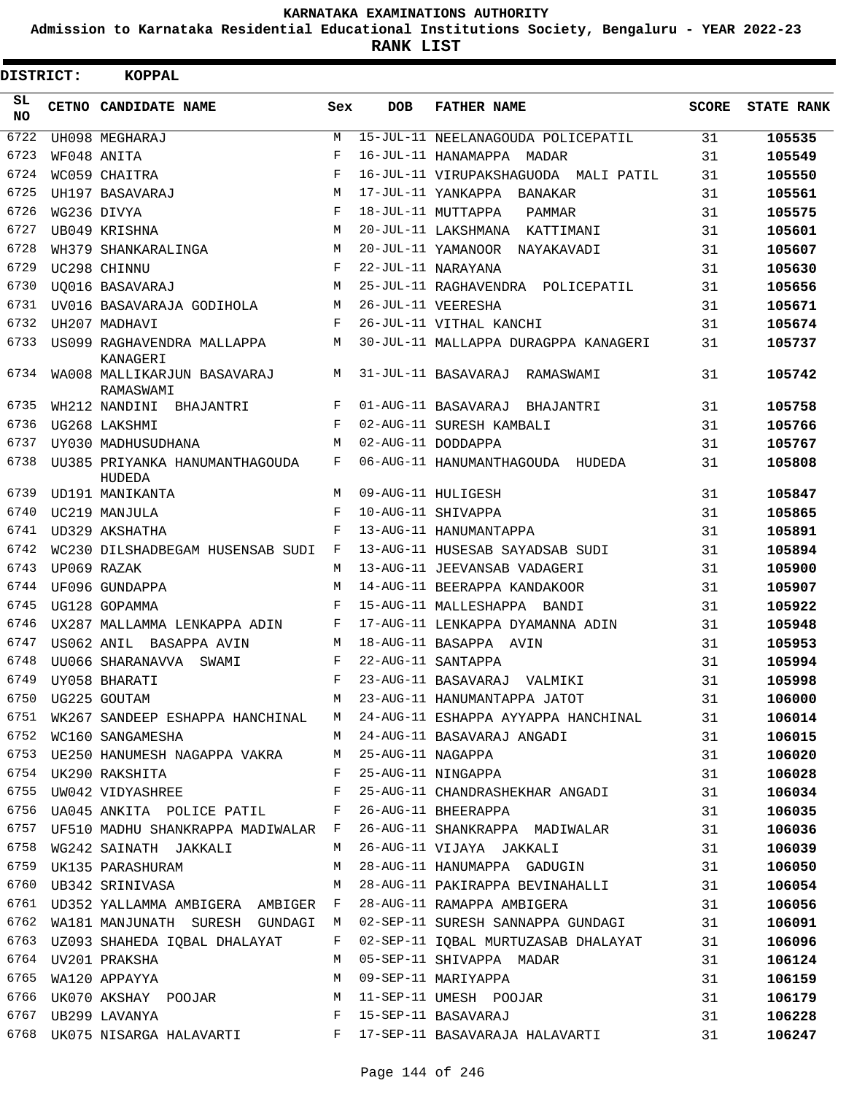**Admission to Karnataka Residential Educational Institutions Society, Bengaluru - YEAR 2022-23**

| DISTRICT: | <b>KOPPAL</b>                                         |            |            |                                                                               |              |                   |
|-----------|-------------------------------------------------------|------------|------------|-------------------------------------------------------------------------------|--------------|-------------------|
| SL<br>NO. | CETNO CANDIDATE NAME                                  | Sex        | <b>DOB</b> | <b>FATHER NAME</b>                                                            | <b>SCORE</b> | <b>STATE RANK</b> |
| 6722      | UH098 MEGHARAJ                                        | M          |            | 15-JUL-11 NEELANAGOUDA POLICEPATIL                                            | 31           | 105535            |
| 6723      | WF048 ANITA                                           | F          |            | 16-JUL-11 HANAMAPPA MADAR                                                     | 31           | 105549            |
| 6724      | WC059 CHAITRA                                         | F          |            | 16-JUL-11 VIRUPAKSHAGUODA MALI PATIL                                          | 31           | 105550            |
| 6725      | UH197 BASAVARAJ                                       | M          |            | 17-JUL-11 YANKAPPA BANAKAR                                                    | 31           | 105561            |
| 6726      | WG236 DIVYA                                           | $_{\rm F}$ |            | 18-JUL-11 MUTTAPPA<br>PAMMAR                                                  | 31           | 105575            |
| 6727      | UB049 KRISHNA                                         | M          |            | 20-JUL-11 LAKSHMANA KATTIMANI                                                 | 31           | 105601            |
| 6728      | WH379 SHANKARALINGA                                   | M          |            | 20-JUL-11 YAMANOOR NAYAKAVADI                                                 | 31           | 105607            |
| 6729      | UC298 CHINNU                                          | F          |            | 22-JUL-11 NARAYANA                                                            | 31           | 105630            |
| 6730      | UO016 BASAVARAJ                                       | M          |            | 25-JUL-11 RAGHAVENDRA POLICEPATIL                                             | 31           | 105656            |
| 6731      | UV016 BASAVARAJA GODIHOLA                             | М          |            | 26-JUL-11 VEERESHA                                                            | 31           | 105671            |
| 6732      | UH207 MADHAVI                                         | F          |            | 26-JUL-11 VITHAL KANCHI                                                       | 31           | 105674            |
| 6733      | US099 RAGHAVENDRA MALLAPPA<br>KANAGERI                | М          |            | 30-JUL-11 MALLAPPA DURAGPPA KANAGERI                                          | 31           | 105737            |
| 6734      | WA008 MALLIKARJUN BASAVARAJ<br>RAMASWAMI              | M          |            | 31-JUL-11 BASAVARAJ RAMASWAMI                                                 | 31           | 105742            |
| 6735      | WH212 NANDINI<br>BHAJANTRI                            | F          |            | 01-AUG-11 BASAVARAJ BHAJANTRI                                                 | 31           | 105758            |
| 6736      | UG268 LAKSHMI                                         | F          |            | 02-AUG-11 SURESH KAMBALI                                                      | 31           | 105766            |
| 6737      | UY030 MADHUSUDHANA                                    | M          |            | 02-AUG-11 DODDAPPA                                                            | 31           | 105767            |
| 6738      | UU385 PRIYANKA HANUMANTHAGOUDA<br>HUDEDA              | F          |            | 06-AUG-11 HANUMANTHAGOUDA HUDEDA                                              | 31           | 105808            |
| 6739      | UD191 MANIKANTA                                       | M          |            | 09-AUG-11 HULIGESH                                                            | 31           | 105847            |
| 6740      | UC219 MANJULA                                         | F          |            | 10-AUG-11 SHIVAPPA                                                            | 31           | 105865            |
| 6741      | UD329 AKSHATHA                                        | F          |            | 13-AUG-11 HANUMANTAPPA                                                        | 31           | 105891            |
| 6742      | WC230 DILSHADBEGAM HUSENSAB SUDI                      | F          |            | 13-AUG-11 HUSESAB SAYADSAB SUDI                                               | 31           | 105894            |
| 6743      | UP069 RAZAK                                           | M          |            | 13-AUG-11 JEEVANSAB VADAGERI                                                  | 31           | 105900            |
| 6744      | UF096 GUNDAPPA                                        | M          |            | 14-AUG-11 BEERAPPA KANDAKOOR                                                  | 31           | 105907            |
| 6745      | UG128 GOPAMMA                                         | F          |            | 15-AUG-11 MALLESHAPPA BANDI                                                   | 31           | 105922            |
| 6746      | UX287 MALLAMMA LENKAPPA ADIN                          | F          |            | 17-AUG-11 LENKAPPA DYAMANNA ADIN                                              | 31           | 105948            |
| 6747      | US062 ANIL BASAPPA AVIN                               | М          |            | 18-AUG-11 BASAPPA AVIN                                                        | 31           | 105953            |
| 6748      | UU066 SHARANAVVA<br>SWAMI                             | F          |            | 22-AUG-11 SANTAPPA                                                            | 31           | 105994            |
| 6749      | UY058 BHARATI                                         | F          |            | 23-AUG-11 BASAVARAJ VALMIKI                                                   | 31           | 105998            |
|           | 6750 UG225 GOUTAM                                     | M          |            | 23-AUG-11 HANUMANTAPPA JATOT                                                  | 31           | 106000            |
|           |                                                       |            |            | 6751 WK267 SANDEEP ESHAPPA HANCHINAL M 24-AUG-11 ESHAPPA AYYAPPA HANCHINAL 31 |              | 106014            |
|           | 6752 WC160 SANGAMESHA                                 |            |            | M 24-AUG-11 BASAVARAJ ANGADI<br>M 25-AUG-11 NAGAPPA                           | 31           | 106015            |
|           | 6753 UE250 HANUMESH NAGAPPA VAKRA M 25-AUG-11 NAGAPPA |            |            |                                                                               | 31           | 106020            |
|           |                                                       |            |            | 6754 UK290 RAKSHITA $F$ 25-AUG-11 NINGAPPA                                    | 31           | 106028            |
| 6755      | UW042 VIDYASHREE F                                    |            |            | 25-AUG-11 CHANDRASHEKHAR ANGADI 31                                            |              | 106034            |
|           | 6756 UA045 ANKITA POLICE PATIL BE 26-AUG-11 BHEERAPPA |            |            |                                                                               | 31           | 106035            |
|           |                                                       |            |            | 6757 UF510 MADHU SHANKRAPPA MADIWALAR F 26-AUG-11 SHANKRAPPA MADIWALAR 31     |              | 106036            |
| 6758      | WG242 SAINATH JAKKALI                                 | M          |            | 26-AUG-11 VIJAYA JAKKALI                                                      | 31           | 106039            |
|           | 6759 UK135 PARASHURAM                                 | M          |            | 28-AUG-11 HANUMAPPA GADUGIN 31                                                |              | 106050            |
|           | 6760 UB342 SRINIVASA                                  |            |            | M 28-AUG-11 PAKIRAPPA BEVINAHALLI 31                                          |              | 106054            |
|           | 6761 UD352 YALLAMMA AMBIGERA AMBIGER F                |            |            | 28-AUG-11 RAMAPPA AMBIGERA 31                                                 |              | 106056            |
| 6762      | WA181 MANJUNATH SURESH GUNDAGI M                      |            |            | 02-SEP-11 SURESH SANNAPPA GUNDAGI 31                                          |              | 106091            |
| 6763      | UZ093 SHAHEDA IQBAL DHALAYAT                          | $F$ and    |            | 02-SEP-11 IQBAL MURTUZASAB DHALAYAT 31                                        |              | 106096            |
|           | 6764 UV201 PRAKSHA                                    | M          |            | 05-SEP-11 SHIVAPPA MADAR<br>09-SEP-11 MARIYAPPA                               | 31           | 106124            |
|           | 6765 WA120 APPAYYA                                    | M          |            |                                                                               | 31           | 106159            |
|           |                                                       |            |            | 6766 UK070 AKSHAY POOJAR M 11-SEP-11 UMESH POOJAR                             | 31           | 106179            |
|           | 6767 UB299 LAVANYA                                    |            |            | F 15-SEP-11 BASAVARAJ                                                         | 31           | 106228            |
|           |                                                       |            |            | 6768 UK075 NISARGA HALAVARTI KALEL F 17-SEP-11 BASAVARAJA HALAVARTI           | 31           | 106247            |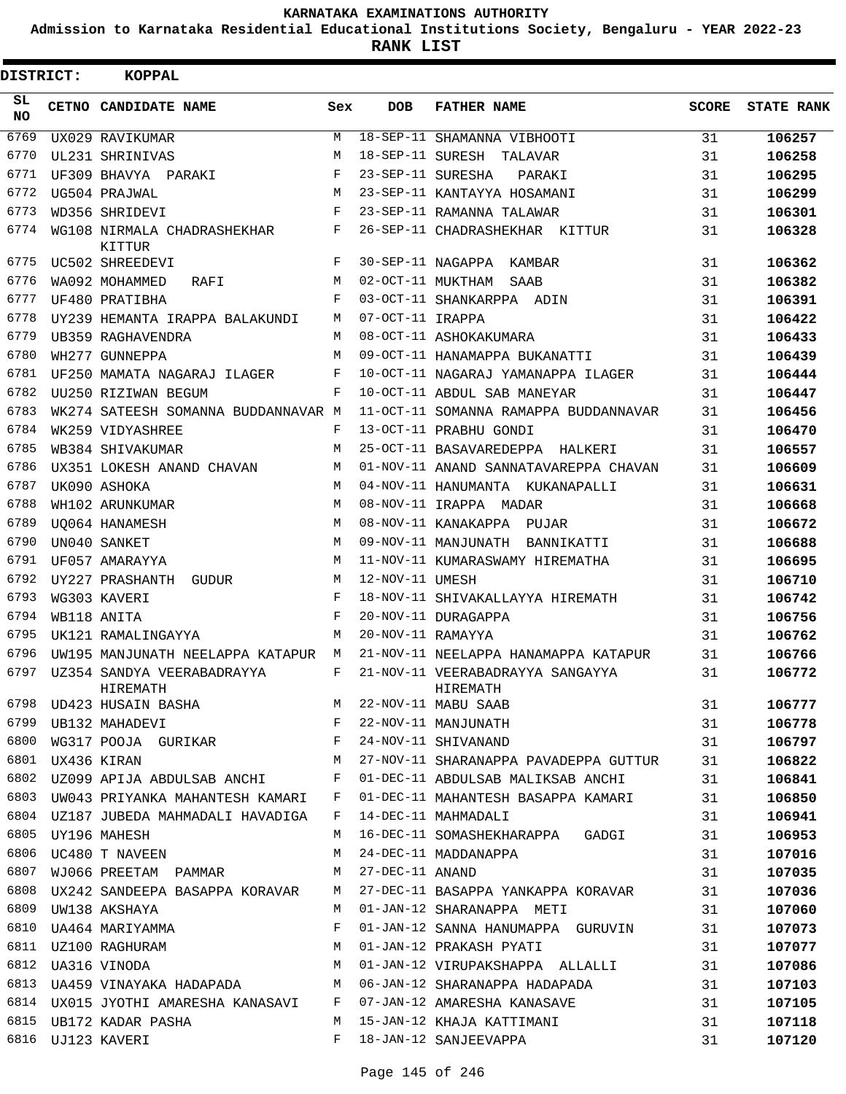**Admission to Karnataka Residential Educational Institutions Society, Bengaluru - YEAR 2022-23**

**RANK LIST**

| <b>DISTRICT:</b> | <b>KOPPAL</b>                                                |     |                   |                                                                                                                                                                                                                                            |              |                   |
|------------------|--------------------------------------------------------------|-----|-------------------|--------------------------------------------------------------------------------------------------------------------------------------------------------------------------------------------------------------------------------------------|--------------|-------------------|
| SL.<br>NO.       | CETNO CANDIDATE NAME                                         | Sex | <b>DOB</b>        | <b>FATHER NAME</b>                                                                                                                                                                                                                         | <b>SCORE</b> | <b>STATE RANK</b> |
| 6769             | UX029 RAVIKUMAR                                              | M   |                   | 18-SEP-11 SHAMANNA VIBHOOTI                                                                                                                                                                                                                | 31           | 106257            |
| 6770             | UL231 SHRINIVAS                                              | M   |                   | 18-SEP-11 SURESH TALAVAR                                                                                                                                                                                                                   | 31           | 106258            |
| 6771             | UF309 BHAVYA PARAKI                                          | F   | 23-SEP-11 SURESHA | PARAKI                                                                                                                                                                                                                                     | 31           | 106295            |
| 6772             | UG504 PRAJWAL                                                | М   |                   | 23-SEP-11 KANTAYYA HOSAMANI                                                                                                                                                                                                                | 31           | 106299            |
| 6773             | WD356 SHRIDEVI                                               | F   |                   | 23-SEP-11 RAMANNA TALAWAR                                                                                                                                                                                                                  | 31           | 106301            |
| 6774             | WG108 NIRMALA CHADRASHEKHAR<br>KITTUR                        | F   |                   | 26-SEP-11 CHADRASHEKHAR KITTUR                                                                                                                                                                                                             | 31           | 106328            |
| 6775             | UC502 SHREEDEVI                                              | F   |                   | 30-SEP-11 NAGAPPA KAMBAR                                                                                                                                                                                                                   | 31           | 106362            |
| 6776             | WA092 MOHAMMED<br>RAFI                                       | M   |                   | 02-OCT-11 MUKTHAM SAAB                                                                                                                                                                                                                     | 31           | 106382            |
| 6777             | UF480 PRATIBHA                                               | F   |                   | 03-OCT-11 SHANKARPPA ADIN                                                                                                                                                                                                                  | 31           | 106391            |
| 6778             | UY239 HEMANTA IRAPPA BALAKUNDI                               | М   | 07-OCT-11 IRAPPA  |                                                                                                                                                                                                                                            | 31           | 106422            |
| 6779             | UB359 RAGHAVENDRA                                            | М   |                   | 08-OCT-11 ASHOKAKUMARA                                                                                                                                                                                                                     | 31           | 106433            |
| 6780             | WH277 GUNNEPPA                                               | M   |                   | 09-OCT-11 HANAMAPPA BUKANATTI                                                                                                                                                                                                              | 31           | 106439            |
| 6781             | UF250 MAMATA NAGARAJ ILAGER                                  | F   |                   | 10-OCT-11 NAGARAJ YAMANAPPA ILAGER                                                                                                                                                                                                         | 31           | 106444            |
| 6782             | UU250 RIZIWAN BEGUM                                          | F   |                   | 10-OCT-11 ABDUL SAB MANEYAR                                                                                                                                                                                                                | 31           | 106447            |
| 6783             | WK274 SATEESH SOMANNA BUDDANNAVAR M                          |     |                   | 11-OCT-11 SOMANNA RAMAPPA BUDDANNAVAR                                                                                                                                                                                                      | 31           | 106456            |
| 6784             | WK259 VIDYASHREE                                             | F   |                   | 13-OCT-11 PRABHU GONDI                                                                                                                                                                                                                     | 31           | 106470            |
| 6785             | WB384 SHIVAKUMAR                                             | M   |                   | 25-OCT-11 BASAVAREDEPPA HALKERI                                                                                                                                                                                                            | 31           | 106557            |
| 6786             | UX351 LOKESH ANAND CHAVAN                                    | M   |                   | 01-NOV-11 ANAND SANNATAVAREPPA CHAVAN                                                                                                                                                                                                      | 31           | 106609            |
| 6787             | UK090 ASHOKA                                                 | M   |                   | 04-NOV-11 HANUMANTA KUKANAPALLI                                                                                                                                                                                                            | 31           | 106631            |
| 6788             | WH102 ARUNKUMAR                                              | M   |                   | 08-NOV-11 IRAPPA MADAR                                                                                                                                                                                                                     | 31           | 106668            |
| 6789             | UO064 HANAMESH                                               | M   |                   | 08-NOV-11 KANAKAPPA PUJAR                                                                                                                                                                                                                  | 31           | 106672            |
| 6790             | UN040 SANKET                                                 | M   |                   | 09-NOV-11 MANJUNATH BANNIKATTI                                                                                                                                                                                                             | 31           | 106688            |
| 6791             | UF057 AMARAYYA                                               | M   |                   | 11-NOV-11 KUMARASWAMY HIREMATHA                                                                                                                                                                                                            | 31           | 106695            |
| 6792             | UY227 PRASHANTH GUDUR                                        | M   | 12-NOV-11 UMESH   |                                                                                                                                                                                                                                            | 31           | 106710            |
| 6793             | WG303 KAVERI                                                 | F   |                   | 18-NOV-11 SHIVAKALLAYYA HIREMATH                                                                                                                                                                                                           | 31           | 106742            |
| 6794             | WB118 ANITA                                                  | F   |                   | 20-NOV-11 DURAGAPPA                                                                                                                                                                                                                        | 31           | 106756            |
| 6795             | UK121 RAMALINGAYYA                                           | М   | 20-NOV-11 RAMAYYA |                                                                                                                                                                                                                                            | 31           | 106762            |
| 6796             | UW195 MANJUNATH NEELAPPA KATAPUR M                           |     |                   | 21-NOV-11 NEELAPPA HANAMAPPA KATAPUR                                                                                                                                                                                                       | 31           | 106766            |
| 6797             | UZ354 SANDYA VEERABADRAYYA<br>HIREMATH                       | F   |                   | 21-NOV-11 VEERABADRAYYA SANGAYYA<br>HIREMATH<br>HIREMATH HIREMATH HIREMATH HIREMATH HIREMATH HIREMATH HIREMATH MABU SAAB<br>6799 UB132 MAHADEVI F 22-NOV-11 MANJUNATH F 24-NOV-11 MANJUNATH 6800 WG317 POOJA GURIKAR F 24-NOV-11 SHIVANAND | 31           | 106772            |
|                  |                                                              |     |                   |                                                                                                                                                                                                                                            | 31           | 106777            |
|                  |                                                              |     |                   |                                                                                                                                                                                                                                            | 31           | 106778            |
|                  |                                                              |     |                   |                                                                                                                                                                                                                                            | 31           | 106797            |
|                  | M<br>6801 UX436 KIRAN                                        |     |                   | 27-NOV-11 SHARANAPPA PAVADEPPA GUTTUR 31                                                                                                                                                                                                   |              | 106822            |
|                  |                                                              |     |                   | 6802 UZ099 APIJA ABDULSAB ANCHI BOTH POI-DEC-11 ABDULSAB MALIKSAB ANCHI                                                                                                                                                                    | 31           | 106841            |
|                  |                                                              |     |                   | 6803 UW043 PRIYANKA MAHANTESH KAMARI F 01-DEC-11 MAHANTESH BASAPPA KAMARI 31                                                                                                                                                               |              | 106850            |
|                  | 6804 UZ187 JUBEDA MAHMADALI HAVADIGA F                       |     |                   | 14-DEC-11 MAHMADALI                                                                                                                                                                                                                        | 31           | 106941            |
|                  | 6805 UY196 MAHESH                                            |     |                   | M 16-DEC-11 SOMASHEKHARAPPA GADGI 31                                                                                                                                                                                                       |              | 106953            |
|                  | 6806 UC480 T NAVEEN                                          |     |                   | M 24-DEC-11 MADDANAPPA                                                                                                                                                                                                                     | 31           | 107016            |
| 6807             | WJ066 PREETAM PAMMAR M 27-DEC-11 ANAND                       |     |                   |                                                                                                                                                                                                                                            | 31           | 107035            |
|                  |                                                              |     |                   | 6808 UX242 SANDEEPA BASAPPA KORAVAR M 27-DEC-11 BASAPPA YANKAPPA KORAVAR 31                                                                                                                                                                |              | 107036            |
|                  | 6809 UW138 AKSHAYA                                           | M   |                   | 01-JAN-12 SHARANAPPA METI                                                                                                                                                                                                                  | 31           | 107060            |
|                  | 6810 UA464 MARIYAMMA                                         | F   |                   | 01-JAN-12 SANNA HANUMAPPA GURUVIN 31                                                                                                                                                                                                       |              | 107073            |
|                  |                                                              |     |                   | 6811 UZ100 RAGHURAM M 01-JAN-12 PRAKASH PYATI (1999)<br>6812 UA316 VINODA M 01-JAN-12 VIRUPAKSHAPPA ALLALLI (1991)                                                                                                                         |              | 107077            |
|                  |                                                              |     |                   |                                                                                                                                                                                                                                            |              | 107086            |
|                  | 6813 UA459 VINAYAKA HADAPADA M 06-JAN-12 SHARANAPPA HADAPADA |     |                   | 31                                                                                                                                                                                                                                         |              | 107103            |
|                  |                                                              |     |                   | 6814 UX015 JYOTHI AMARESHA KANASAVI F 07-JAN-12 AMARESHA KANASAVE                                                                                                                                                                          | 31           | 107105            |
| 6815             | UB172 KADAR PASHA M                                          |     |                   | 15-JAN-12 KHAJA KATTIMANI                                                                                                                                                                                                                  | 31           | 107118            |
|                  | 6816 UJ123 KAVERI                                            | F   |                   | 18-JAN-12 SANJEEVAPPA                                                                                                                                                                                                                      | 31           | 107120            |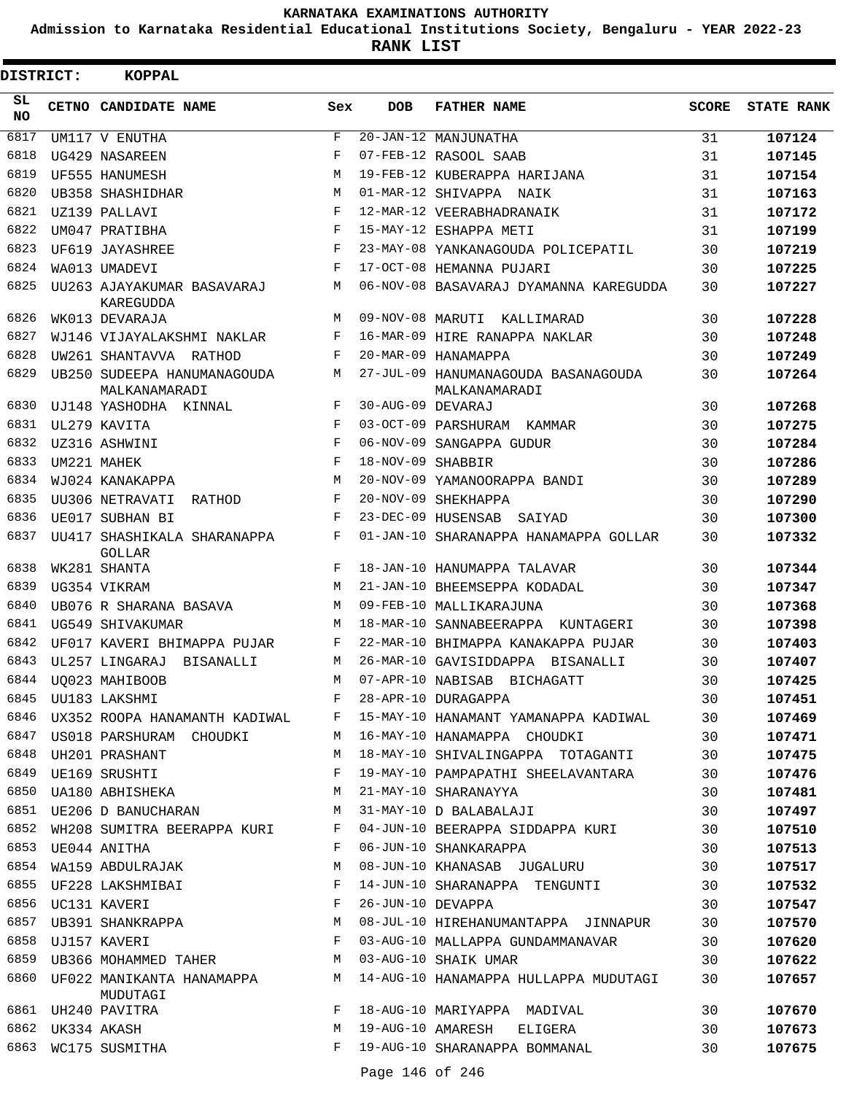**Admission to Karnataka Residential Educational Institutions Society, Bengaluru - YEAR 2022-23**

| DISTRICT:        |                  | KOPPAL                                       |              |                   |                                                      |              |                   |
|------------------|------------------|----------------------------------------------|--------------|-------------------|------------------------------------------------------|--------------|-------------------|
| SL.<br><b>NO</b> |                  | CETNO CANDIDATE NAME                         | Sex          | <b>DOB</b>        | <b>FATHER NAME</b>                                   | <b>SCORE</b> | <b>STATE RANK</b> |
| 6817             |                  | UM117 V ENUTHA                               | $\mathbf{F}$ |                   | 20-JAN-12 MANJUNATHA                                 | 31           | 107124            |
| 6818             |                  | UG429 NASAREEN                               | F            |                   | 07-FEB-12 RASOOL SAAB                                | 31           | 107145            |
| 6819             |                  | UF555 HANUMESH                               | M            |                   | 19-FEB-12 KUBERAPPA HARIJANA                         | 31           | 107154            |
| 6820             |                  | UB358 SHASHIDHAR                             | M            |                   | 01-MAR-12 SHIVAPPA NAIK                              | 31           | 107163            |
| 6821             |                  | UZ139 PALLAVI                                | F            |                   | 12-MAR-12 VEERABHADRANAIK                            | 31           | 107172            |
| 6822             |                  | UM047 PRATIBHA                               | $_{\rm F}$   |                   | 15-MAY-12 ESHAPPA METI                               | 31           | 107199            |
| 6823             |                  | UF619 JAYASHREE                              | F            |                   | 23-MAY-08 YANKANAGOUDA POLICEPATIL                   | 30           | 107219            |
| 6824             |                  | WA013 UMADEVI                                | F            |                   | 17-OCT-08 HEMANNA PUJARI                             | 30           | 107225            |
| 6825             |                  | UU263 AJAYAKUMAR BASAVARAJ<br>KAREGUDDA      | М            |                   | 06-NOV-08 BASAVARAJ DYAMANNA KAREGUDDA               | 30           | 107227            |
| 6826             |                  | WK013 DEVARAJA                               | M            |                   | 09-NOV-08 MARUTI KALLIMARAD                          | 30           | 107228            |
| 6827             |                  | WJ146 VIJAYALAKSHMI NAKLAR                   | F            |                   | 16-MAR-09 HIRE RANAPPA NAKLAR                        | 30           | 107248            |
| 6828             |                  | UW261 SHANTAVVA RATHOD                       | F            |                   | 20-MAR-09 HANAMAPPA                                  | 30           | 107249            |
| 6829             |                  | UB250 SUDEEPA HANUMANAGOUDA<br>MALKANAMARADI | M            |                   | 27-JUL-09 HANUMANAGOUDA BASANAGOUDA<br>MALKANAMARADI | 30           | 107264            |
| 6830             |                  | UJ148 YASHODHA KINNAL                        | F            | 30-AUG-09 DEVARAJ |                                                      | 30           | 107268            |
| 6831             |                  | UL279 KAVITA                                 | $_{\rm F}$   |                   | 03-OCT-09 PARSHURAM KAMMAR                           | 30           | 107275            |
| 6832             |                  | UZ316 ASHWINI                                | F            |                   | 06-NOV-09 SANGAPPA GUDUR                             | 30           | 107284            |
| 6833             |                  | UM221 MAHEK                                  | $_{\rm F}$   | 18-NOV-09 SHABBIR |                                                      | 30           | 107286            |
| 6834             |                  | WJ024 KANAKAPPA                              | M            |                   | 20-NOV-09 YAMANOORAPPA BANDI                         | 30           | 107289            |
| 6835             |                  | UU306 NETRAVATI RATHOD                       | F            |                   | 20-NOV-09 SHEKHAPPA                                  | 30           | 107290            |
| 6836             |                  | UE017 SUBHAN BI                              | F            |                   | 23-DEC-09 HUSENSAB<br>SAIYAD                         | 30           | 107300            |
| 6837             |                  | UU417 SHASHIKALA SHARANAPPA<br>GOLLAR        | F            |                   | 01-JAN-10 SHARANAPPA HANAMAPPA GOLLAR                | 30           | 107332            |
| 6838             |                  | WK281 SHANTA                                 | F            |                   | 18-JAN-10 HANUMAPPA TALAVAR                          | 30           | 107344            |
| 6839             |                  | UG354 VIKRAM                                 | M            |                   | 21-JAN-10 BHEEMSEPPA KODADAL                         | 30           | 107347            |
| 6840             |                  | UB076 R SHARANA BASAVA                       | M            |                   | 09-FEB-10 MALLIKARAJUNA                              | 30           | 107368            |
| 6841             |                  | UG549 SHIVAKUMAR                             | M            |                   | 18-MAR-10 SANNABEERAPPA KUNTAGERI                    | 30           | 107398            |
| 6842             |                  | UF017 KAVERI BHIMAPPA PUJAR                  | F            |                   | 22-MAR-10 BHIMAPPA KANAKAPPA PUJAR                   | 30           | 107403            |
| 6843             |                  | UL257 LINGARAJ<br>BISANALLI                  | М            |                   | 26-MAR-10 GAVISIDDAPPA BISANALLI                     | 30           | 107407            |
| 6844             |                  | UO023 MAHIBOOB                               | М            |                   | 07-APR-10 NABISAB BICHAGATT                          | 30           | 107425            |
| 6845             |                  | UU183 LAKSHMI                                | F            |                   | 28-APR-10 DURAGAPPA                                  | 30           | 107451            |
| 6846             |                  | UX352 ROOPA HANAMANTH KADIWAL F              |              |                   | 15-MAY-10 HANAMANT YAMANAPPA KADIWAL                 | 30           | 107469            |
| 6847             |                  | US018 PARSHURAM CHOUDKI                      | M            |                   | 16-MAY-10 HANAMAPPA CHOUDKI                          | 30           | 107471            |
| 6848             |                  | UH201 PRASHANT                               | М            |                   | 18-MAY-10 SHIVALINGAPPA TOTAGANTI                    | 30           | 107475            |
|                  |                  | 6849 UE169 SRUSHTI                           | F            |                   | 19-MAY-10 PAMPAPATHI SHEELAVANTARA                   | 30           | 107476            |
| 6850             |                  | UA180 ABHISHEKA                              | M            |                   | 21-MAY-10 SHARANAYYA                                 | 30           | 107481            |
| 6851             |                  | UE206 D BANUCHARAN M                         |              |                   | 31-MAY-10 D BALABALAJI                               | 30           | 107497            |
| 6852             |                  | WH208 SUMITRA BEERAPPA KURI F                |              |                   | 04-JUN-10 BEERAPPA SIDDAPPA KURI                     | 30           | 107510            |
|                  |                  | 6853 UE044 ANITHA                            | F            |                   | 06-JUN-10 SHANKARAPPA                                | 30           | 107513            |
| 6854             |                  | WA159 ABDULRAJAK                             | М            |                   | 08-JUN-10 KHANASAB JUGALURU                          | 30           | 107517            |
| 6855             |                  | UF228 LAKSHMIBAI                             | $\mathbf{F}$ |                   | 14-JUN-10 SHARANAPPA TENGUNTI                        | 30           | 107532            |
|                  |                  | 6856 UC131 KAVERI                            | $\mathbf{F}$ | 26-JUN-10 DEVAPPA |                                                      | 30           | 107547            |
|                  |                  | 6857 UB391 SHANKRAPPA                        | M            |                   | 08-JUL-10 HIREHANUMANTAPPA JINNAPUR                  | 30           | 107570            |
| 6858             |                  | UJ157 KAVERI                                 | F            |                   | 03-AUG-10 MALLAPPA GUNDAMMANAVAR                     | 30           | 107620            |
| 6859             |                  | UB366 MOHAMMED TAHER                         | M            |                   | 03-AUG-10 SHAIK UMAR                                 | 30           | 107622            |
|                  |                  | 6860 UF022 MANIKANTA HANAMAPPA M<br>MUDUTAGI |              |                   | 14-AUG-10 HANAMAPPA HULLAPPA MUDUTAGI                | 30           | 107657            |
|                  |                  | 6861 UH240 PAVITRA                           | F            |                   | 18-AUG-10 MARIYAPPA MADIVAL                          | 30           | 107670            |
|                  | 6862 UK334 AKASH |                                              | М            |                   | 19-AUG-10 AMARESH ELIGERA                            | 30           | 107673            |
|                  |                  | 6863 WC175 SUSMITHA                          | F            |                   | 19-AUG-10 SHARANAPPA BOMMANAL                        | 30           | 107675            |
|                  |                  |                                              |              | Page 146 of 246   |                                                      |              |                   |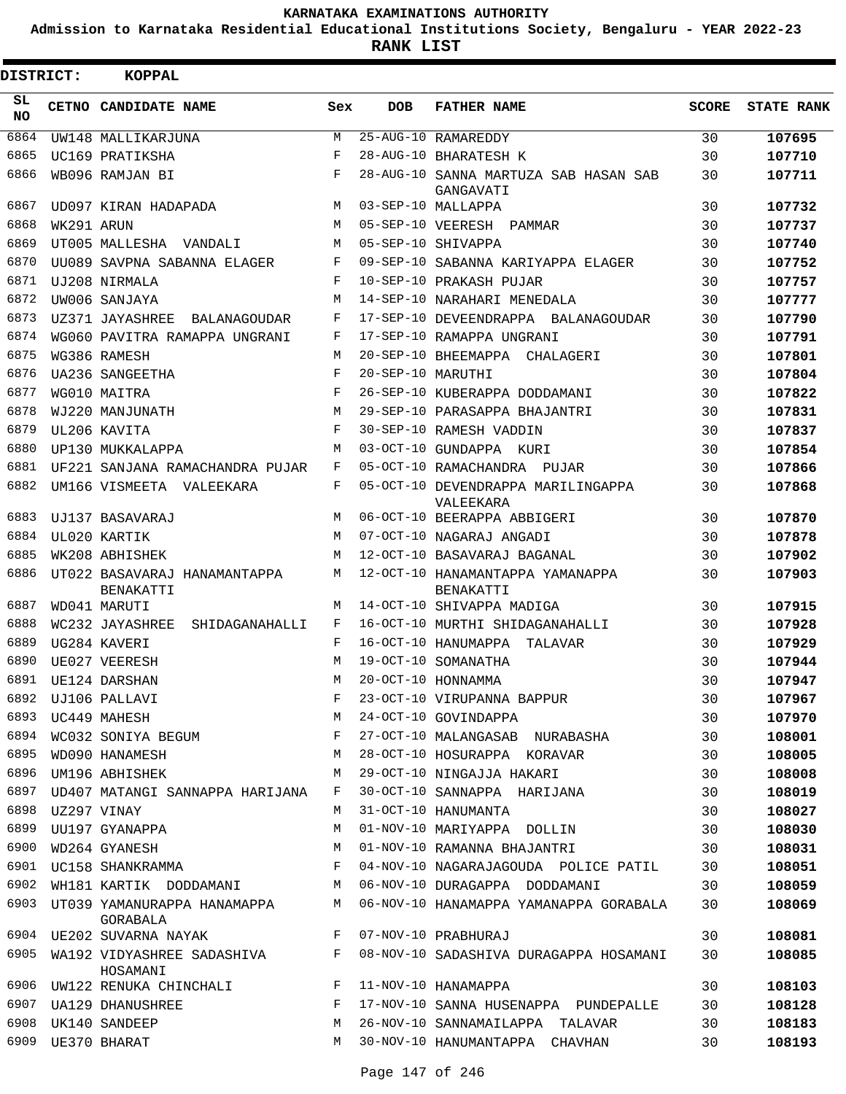**Admission to Karnataka Residential Educational Institutions Society, Bengaluru - YEAR 2022-23**

| DISTRICT:       |            | <b>KOPPAL</b>                             |     |                   |                                                    |              |                   |
|-----------------|------------|-------------------------------------------|-----|-------------------|----------------------------------------------------|--------------|-------------------|
| SL<br><b>NO</b> |            | CETNO CANDIDATE NAME                      | Sex | <b>DOB</b>        | <b>FATHER NAME</b>                                 | <b>SCORE</b> | <b>STATE RANK</b> |
| 6864            |            | UW148 MALLIKARJUNA                        | М   |                   | 25-AUG-10 RAMAREDDY                                | 30           | 107695            |
| 6865            |            | UC169 PRATIKSHA                           | F   |                   | 28-AUG-10 BHARATESH K                              | 30           | 107710            |
| 6866            |            | WB096 RAMJAN BI                           | F   |                   | 28-AUG-10 SANNA MARTUZA SAB HASAN SAB<br>GANGAVATI | 30           | 107711            |
| 6867            |            | UD097 KIRAN HADAPADA                      | M   |                   | 03-SEP-10 MALLAPPA                                 | 30           | 107732            |
| 6868            | WK291 ARUN |                                           | M   |                   | 05-SEP-10 VEERESH PAMMAR                           | 30           | 107737            |
| 6869            |            | UT005 MALLESHA VANDALI                    | М   |                   | 05-SEP-10 SHIVAPPA                                 | 30           | 107740            |
| 6870            |            | UU089 SAVPNA SABANNA ELAGER               | F   |                   | 09-SEP-10 SABANNA KARIYAPPA ELAGER                 | 30           | 107752            |
| 6871            |            | UJ208 NIRMALA                             | F   |                   | 10-SEP-10 PRAKASH PUJAR                            | 30           | 107757            |
| 6872            |            | UW006 SANJAYA                             | М   |                   | 14-SEP-10 NARAHARI MENEDALA                        | 30           | 107777            |
| 6873            |            | UZ371 JAYASHREE<br>BALANAGOUDAR           | F   |                   | 17-SEP-10 DEVEENDRAPPA BALANAGOUDAR                | 30           | 107790            |
| 6874            |            | WG060 PAVITRA RAMAPPA UNGRANI             | F   |                   | 17-SEP-10 RAMAPPA UNGRANI                          | 30           | 107791            |
| 6875            |            | WG386 RAMESH                              | М   |                   | 20-SEP-10 BHEEMAPPA CHALAGERI                      | 30           | 107801            |
| 6876            |            | <b>UA236 SANGEETHA</b>                    | F   | 20-SEP-10 MARUTHI |                                                    | 30           | 107804            |
| 6877            |            | WG010 MAITRA                              | F   |                   | 26-SEP-10 KUBERAPPA DODDAMANI                      | 30           | 107822            |
| 6878            |            | WJ220 MANJUNATH                           | M   |                   | 29-SEP-10 PARASAPPA BHAJANTRI                      | 30           | 107831            |
| 6879            |            | UL206 KAVITA                              | F   |                   | 30-SEP-10 RAMESH VADDIN                            | 30           | 107837            |
| 6880            |            | UP130 MUKKALAPPA                          | М   |                   | 03-OCT-10 GUNDAPPA KURI                            | 30           | 107854            |
| 6881            |            | UF221 SANJANA RAMACHANDRA PUJAR           | F   |                   | 05-OCT-10 RAMACHANDRA PUJAR                        | 30           | 107866            |
| 6882            |            | UM166 VISMEETA VALEEKARA                  | F   |                   | 05-OCT-10 DEVENDRAPPA MARILINGAPPA<br>VALEEKARA    | 30           | 107868            |
| 6883            |            | UJ137 BASAVARAJ                           | M   |                   | 06-OCT-10 BEERAPPA ABBIGERI                        | 30           | 107870            |
| 6884            |            | UL020 KARTIK                              | M   |                   | 07-OCT-10 NAGARAJ ANGADI                           | 30           | 107878            |
| 6885            |            | WK208 ABHISHEK                            | М   |                   | 12-OCT-10 BASAVARAJ BAGANAL                        | 30           | 107902            |
| 6886            |            | UT022 BASAVARAJ HANAMANTAPPA<br>BENAKATTI | М   |                   | 12-OCT-10 HANAMANTAPPA YAMANAPPA<br>BENAKATTI      | 30           | 107903            |
| 6887            |            | WD041 MARUTI                              | М   |                   | 14-OCT-10 SHIVAPPA MADIGA                          | 30           | 107915            |
| 6888            |            | WC232 JAYASHREE<br>SHIDAGANAHALLI         | F   |                   | 16-OCT-10 MURTHI SHIDAGANAHALLI                    | 30           | 107928            |
| 6889            |            | UG284 KAVERI                              | F   |                   | 16-OCT-10 HANUMAPPA TALAVAR                        | 30           | 107929            |
| 6890            |            | UE027 VEERESH                             | М   |                   | 19-OCT-10 SOMANATHA                                | 30           | 107944            |
| 6891            |            | UE124 DARSHAN                             | M   |                   | 20-OCT-10 HONNAMMA                                 | 30           | 107947            |
| 6892            |            | UJ106 PALLAVI                             | F   |                   | 23-OCT-10 VIRUPANNA BAPPUR                         | 30           | 107967            |
| 6893            |            | UC449 MAHESH                              | М   |                   | 24-OCT-10 GOVINDAPPA                               | 30           | 107970            |
| 6894            |            | WC032 SONIYA BEGUM                        | F   |                   | 27-OCT-10 MALANGASAB NURABASHA                     | 30           | 108001            |
| 6895            |            | WD090 HANAMESH                            | М   |                   | 28-OCT-10 HOSURAPPA KORAVAR                        | 30           | 108005            |
| 6896            |            | UM196 ABHISHEK                            | М   |                   | 29-OCT-10 NINGAJJA HAKARI                          | 30           | 108008            |
| 6897            |            | UD407 MATANGI SANNAPPA HARIJANA           | F   |                   | 30-OCT-10 SANNAPPA HARIJANA                        | 30           | 108019            |
| 6898            |            | UZ297 VINAY                               | М   |                   | 31-OCT-10 HANUMANTA                                | 30           | 108027            |
| 6899            |            | UU197 GYANAPPA                            | M   |                   | 01-NOV-10 MARIYAPPA DOLLIN                         | 30           | 108030            |
| 6900            |            | WD264 GYANESH                             | М   |                   | 01-NOV-10 RAMANNA BHAJANTRI                        | 30           | 108031            |
| 6901            |            | UC158 SHANKRAMMA                          | F   |                   | 04-NOV-10 NAGARAJAGOUDA POLICE PATIL               | 30           | 108051            |
| 6902            |            | WH181 KARTIK DODDAMANI                    | M   |                   | 06-NOV-10 DURAGAPPA DODDAMANI                      | 30           | 108059            |
| 6903            |            | UT039 YAMANURAPPA HANAMAPPA<br>GORABALA   | М   |                   | 06-NOV-10 HANAMAPPA YAMANAPPA GORABALA             | 30           | 108069            |
|                 |            | 6904 UE202 SUVARNA NAYAK                  | F   |                   | 07-NOV-10 PRABHURAJ                                | 30           | 108081            |
| 6905            |            | WA192 VIDYASHREE SADASHIVA<br>HOSAMANI    | F   |                   | 08-NOV-10 SADASHIVA DURAGAPPA HOSAMANI             | 30           | 108085            |
|                 |            | 6906 UW122 RENUKA CHINCHALI               | F   |                   | 11-NOV-10 HANAMAPPA                                | 30           | 108103            |
| 6907            |            | UA129 DHANUSHREE                          | F   |                   | 17-NOV-10 SANNA HUSENAPPA PUNDEPALLE               | 30           | 108128            |
| 6908            |            | UK140 SANDEEP                             | М   |                   | 26-NOV-10 SANNAMAILAPPA TALAVAR                    | 30           | 108183            |
| 6909            |            | UE370 BHARAT                              | М   |                   | 30-NOV-10 HANUMANTAPPA CHAVHAN                     | 30           | 108193            |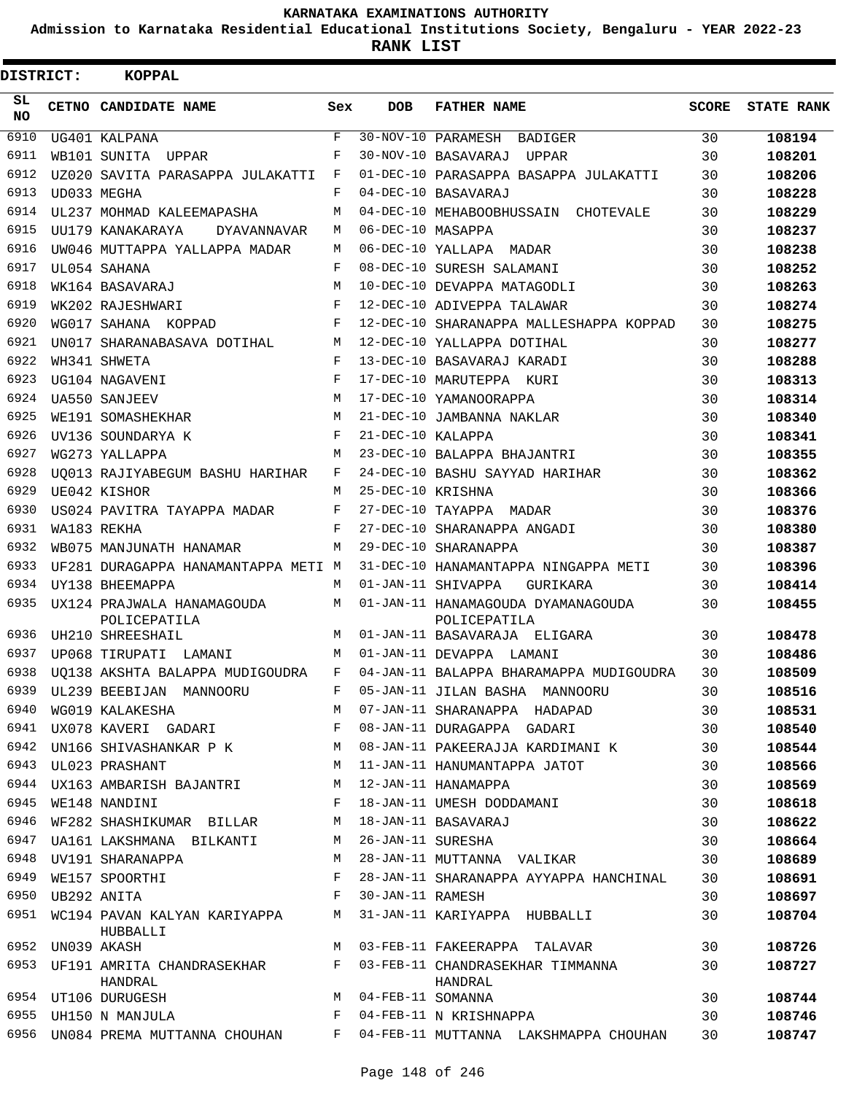**Admission to Karnataka Residential Educational Institutions Society, Bengaluru - YEAR 2022-23**

 $\blacksquare$ 

**RANK LIST**

Е

| DISTRICT: |                  | <b>KOPPAL</b>                              |                         |                     |                                                    |              |                   |
|-----------|------------------|--------------------------------------------|-------------------------|---------------------|----------------------------------------------------|--------------|-------------------|
| SL<br>NO. |                  | CETNO CANDIDATE NAME                       | Sex                     | <b>DOB</b>          | <b>FATHER NAME</b>                                 | <b>SCORE</b> | <b>STATE RANK</b> |
| 6910      |                  | UG401 KALPANA                              | $\overline{\mathbf{F}}$ |                     | 30-NOV-10 PARAMESH<br>BADIGER                      | 30           | 108194            |
| 6911      |                  | WB101 SUNITA UPPAR                         | F                       |                     | 30-NOV-10 BASAVARAJ<br>UPPAR                       | 30           | 108201            |
| 6912      |                  | UZ020 SAVITA PARASAPPA JULAKATTI           | F                       |                     | 01-DEC-10 PARASAPPA BASAPPA JULAKATTI              | 30           | 108206            |
| 6913      |                  | UD033 MEGHA                                | F                       |                     | 04-DEC-10 BASAVARAJ                                | 30           | 108228            |
| 6914      |                  | UL237 MOHMAD KALEEMAPASHA                  | M                       |                     | 04-DEC-10 MEHABOOBHUSSAIN CHOTEVALE                | 30           | 108229            |
| 6915      |                  | UU179 KANAKARAYA<br>DYAVANNAVAR            | M                       | 06-DEC-10 MASAPPA   |                                                    | 30           | 108237            |
| 6916      |                  | UW046 MUTTAPPA YALLAPPA MADAR              | М                       |                     | 06-DEC-10 YALLAPA MADAR                            | 30           | 108238            |
| 6917      |                  | UL054 SAHANA                               | F                       |                     | 08-DEC-10 SURESH SALAMANI                          | 30           | 108252            |
| 6918      |                  | WK164 BASAVARAJ                            | M                       |                     | 10-DEC-10 DEVAPPA MATAGODLI                        | 30           | 108263            |
| 6919      |                  | WK202 RAJESHWARI                           | $_{\rm F}$              |                     | 12-DEC-10 ADIVEPPA TALAWAR                         | 30           | 108274            |
| 6920      |                  | WG017 SAHANA KOPPAD                        | F                       |                     | 12-DEC-10 SHARANAPPA MALLESHAPPA KOPPAD            | 30           | 108275            |
| 6921      |                  | UN017 SHARANABASAVA DOTIHAL                | М                       |                     | 12-DEC-10 YALLAPPA DOTIHAL                         | 30           | 108277            |
| 6922      |                  | WH341 SHWETA                               | $_{\rm F}$              |                     | 13-DEC-10 BASAVARAJ KARADI                         | 30           | 108288            |
| 6923      |                  | UG104 NAGAVENI                             | $_{\rm F}$              |                     | 17-DEC-10 MARUTEPPA KURI                           | 30           | 108313            |
| 6924      |                  | <b>UA550 SANJEEV</b>                       | M                       |                     | 17-DEC-10 YAMANOORAPPA                             | 30           | 108314            |
| 6925      |                  | WE191 SOMASHEKHAR                          | M                       |                     | 21-DEC-10 JAMBANNA NAKLAR                          | 30           | 108340            |
| 6926      |                  | UV136 SOUNDARYA K                          | $_{\rm F}$              | 21-DEC-10 KALAPPA   |                                                    | 30           | 108341            |
| 6927      |                  | WG273 YALLAPPA                             | M                       |                     | 23-DEC-10 BALAPPA BHAJANTRI                        | 30           | 108355            |
| 6928      |                  | UO013 RAJIYABEGUM BASHU HARIHAR            | F                       |                     | 24-DEC-10 BASHU SAYYAD HARIHAR                     | 30           | 108362            |
| 6929      |                  | UE042 KISHOR                               | М                       | 25-DEC-10 KRISHNA   |                                                    | 30           | 108366            |
| 6930      |                  | US024 PAVITRA TAYAPPA MADAR                | F                       |                     | 27-DEC-10 TAYAPPA MADAR                            | 30           | 108376            |
| 6931      |                  | WA183 REKHA                                | F                       |                     | 27-DEC-10 SHARANAPPA ANGADI                        | 30           | 108380            |
| 6932      |                  | WB075 MANJUNATH HANAMAR                    | M                       |                     | 29-DEC-10 SHARANAPPA                               | 30           | 108387            |
| 6933      |                  | UF281 DURAGAPPA HANAMANTAPPA METI M        |                         |                     | 31-DEC-10 HANAMANTAPPA NINGAPPA METI               | 30           | 108396            |
| 6934      |                  | UY138 BHEEMAPPA                            | M                       |                     | 01-JAN-11 SHIVAPPA<br>GURIKARA                     | 30           | 108414            |
| 6935      |                  | UX124 PRAJWALA HANAMAGOUDA<br>POLICEPATILA | M                       |                     | 01-JAN-11 HANAMAGOUDA DYAMANAGOUDA<br>POLICEPATILA | 30           | 108455            |
| 6936      |                  | UH210 SHREESHAIL                           | M                       |                     | 01-JAN-11 BASAVARAJA ELIGARA                       | 30           | 108478            |
| 6937      |                  | UP068 TIRUPATI LAMANI                      | M                       |                     | 01-JAN-11 DEVAPPA LAMANI                           | 30           | 108486            |
| 6938      |                  | UO138 AKSHTA BALAPPA MUDIGOUDRA            | F                       |                     | 04-JAN-11 BALAPPA BHARAMAPPA MUDIGOUDRA            | 30           | 108509            |
| 6939      |                  | UL239 BEEBIJAN MANNOORU                    | F                       |                     | 05-JAN-11 JILAN BASHA MANNOORU                     | 30           | 108516            |
| 6940      |                  | WG019 KALAKESHA                            | M                       |                     | 07-JAN-11 SHARANAPPA HADAPAD                       | 30           | 108531            |
| 6941      |                  | UX078 KAVERI GADARI F                      |                         |                     | 08-JAN-11 DURAGAPPA GADARI                         | 30           | 108540            |
| 6942      |                  | UN166 SHIVASHANKAR P K M                   |                         |                     | 08-JAN-11 PAKEERAJJA KARDIMANI K                   | 30           | 108544            |
| 6943      |                  | UL023 PRASHANT                             | M                       |                     | 11-JAN-11 HANUMANTAPPA JATOT                       | 30           | 108566            |
| 6944      |                  | UX163 AMBARISH BAJANTRI                    | M                       |                     | 12-JAN-11 HANAMAPPA                                | 30           | 108569            |
| 6945      |                  | WE148 NANDINI                              | F                       |                     | 18-JAN-11 UMESH DODDAMANI                          | 30           | 108618            |
| 6946      |                  | WF282 SHASHIKUMAR BILLAR                   | М                       |                     | 18-JAN-11 BASAVARAJ                                | 30           | 108622            |
| 6947      |                  | UA161 LAKSHMANA BILKANTI                   | M                       | 26-JAN-11 SURESHA   |                                                    | 30           | 108664            |
| 6948      |                  | UV191 SHARANAPPA                           | М                       |                     | 28-JAN-11 MUTTANNA VALIKAR                         | 30           | 108689            |
| 6949      |                  | WE157 SPOORTHI                             | F                       |                     | 28-JAN-11 SHARANAPPA AYYAPPA HANCHINAL             | 30           | 108691            |
| 6950      | UB292 ANITA      |                                            | F                       | 30-JAN-11 RAMESH    |                                                    | 30           | 108697            |
| 6951      |                  | WC194 PAVAN KALYAN KARIYAPPA M<br>HUBBALLI |                         |                     | 31-JAN-11 KARIYAPPA HUBBALLI                       | 30           | 108704            |
|           | 6952 UN039 AKASH |                                            | M                       |                     | 03-FEB-11 FAKEERAPPA TALAVAR                       | 30           | 108726            |
| 6953      |                  | UF191 AMRITA CHANDRASEKHAR<br>HANDRAL      | F                       |                     | 03-FEB-11 CHANDRASEKHAR TIMMANNA<br>HANDRAL        | 30           | 108727            |
|           |                  | 6954 UT106 DURUGESH                        |                         | M 04-FEB-11 SOMANNA |                                                    | 30           | 108744            |
| 6955      |                  | UH150 N MANJULA                            | F                       |                     | 04-FEB-11 N KRISHNAPPA                             | 30           | 108746            |
| 6956      |                  | UN084 PREMA MUTTANNA CHOUHAN               | F                       |                     | 04-FEB-11 MUTTANNA LAKSHMAPPA CHOUHAN              | 30           | 108747            |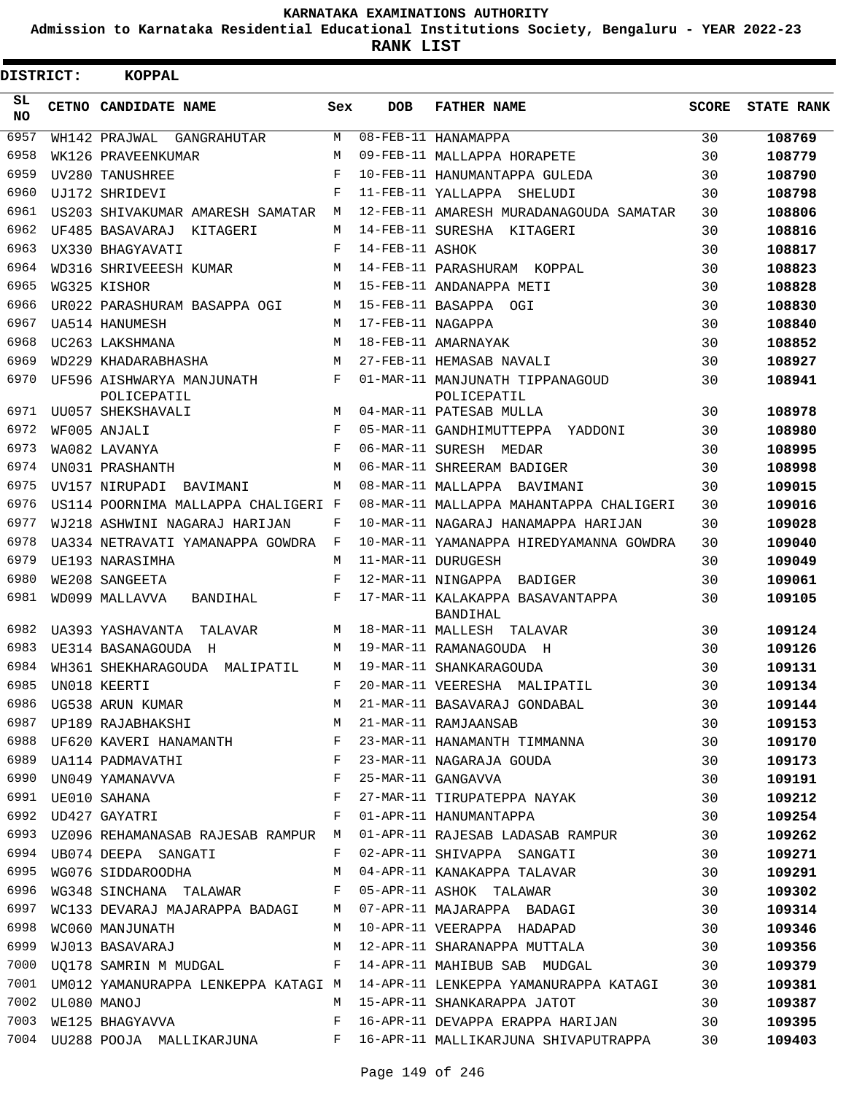**Admission to Karnataka Residential Educational Institutions Society, Bengaluru - YEAR 2022-23**

**RANK LIST**

| DISTRICT:       | <b>KOPPAL</b>                            |            |                   |                                                                                                                                                                                                                                                                                                                                   |              |                   |
|-----------------|------------------------------------------|------------|-------------------|-----------------------------------------------------------------------------------------------------------------------------------------------------------------------------------------------------------------------------------------------------------------------------------------------------------------------------------|--------------|-------------------|
| SL<br><b>NO</b> | CETNO CANDIDATE NAME                     | Sex        | <b>DOB</b>        | <b>FATHER NAME</b>                                                                                                                                                                                                                                                                                                                | <b>SCORE</b> | <b>STATE RANK</b> |
| 6957            | WH142 PRAJWAL<br>GANGRAHUTAR             | M          |                   | 08-FEB-11 HANAMAPPA                                                                                                                                                                                                                                                                                                               | 30           | 108769            |
| 6958            | WK126 PRAVEENKUMAR                       | M          |                   | 09-FEB-11 MALLAPPA HORAPETE                                                                                                                                                                                                                                                                                                       | 30           | 108779            |
| 6959            | UV280 TANUSHREE                          | $_{\rm F}$ |                   | 10-FEB-11 HANUMANTAPPA GULEDA                                                                                                                                                                                                                                                                                                     | 30           | 108790            |
| 6960            | UJ172 SHRIDEVI                           | F          |                   | 11-FEB-11 YALLAPPA SHELUDI                                                                                                                                                                                                                                                                                                        | 30           | 108798            |
| 6961            | US203 SHIVAKUMAR AMARESH SAMATAR         | М          |                   | 12-FEB-11 AMARESH MURADANAGOUDA SAMATAR                                                                                                                                                                                                                                                                                           | 30           | 108806            |
| 6962            | UF485 BASAVARAJ KITAGERI                 | M          |                   | 14-FEB-11 SURESHA KITAGERI                                                                                                                                                                                                                                                                                                        | 30           | 108816            |
| 6963            | UX330 BHAGYAVATI                         | F          | 14-FEB-11 ASHOK   |                                                                                                                                                                                                                                                                                                                                   | 30           | 108817            |
| 6964            | WD316 SHRIVEEESH KUMAR                   | M          |                   | 14-FEB-11 PARASHURAM KOPPAL                                                                                                                                                                                                                                                                                                       | 30           | 108823            |
| 6965            | WG325 KISHOR                             | M          |                   | 15-FEB-11 ANDANAPPA METI                                                                                                                                                                                                                                                                                                          | 30           | 108828            |
| 6966            | UR022 PARASHURAM BASAPPA OGI             | М          |                   | 15-FEB-11 BASAPPA OGI                                                                                                                                                                                                                                                                                                             | 30           | 108830            |
| 6967            | UA514 HANUMESH                           | M          | 17-FEB-11 NAGAPPA |                                                                                                                                                                                                                                                                                                                                   | 30           | 108840            |
| 6968            | UC263 LAKSHMANA                          | M          |                   | 18-FEB-11 AMARNAYAK                                                                                                                                                                                                                                                                                                               | 30           | 108852            |
| 6969            | WD229 KHADARABHASHA                      | M          |                   | 27-FEB-11 HEMASAB NAVALI                                                                                                                                                                                                                                                                                                          | 30           | 108927            |
| 6970            | UF596 AISHWARYA MANJUNATH<br>POLICEPATIL | F          |                   | 01-MAR-11 MANJUNATH TIPPANAGOUD<br>POLICEPATIL                                                                                                                                                                                                                                                                                    | 30           | 108941            |
| 6971            | UU057 SHEKSHAVALI                        | M          |                   | 04-MAR-11 PATESAB MULLA                                                                                                                                                                                                                                                                                                           | 30           | 108978            |
| 6972            | WF005 ANJALI                             | F          |                   | 05-MAR-11 GANDHIMUTTEPPA YADDONI                                                                                                                                                                                                                                                                                                  | 30           | 108980            |
| 6973            | WA082 LAVANYA                            | $_{\rm F}$ |                   | 06-MAR-11 SURESH MEDAR                                                                                                                                                                                                                                                                                                            | 30           | 108995            |
| 6974            | UN031 PRASHANTH                          | M          |                   | 06-MAR-11 SHREERAM BADIGER                                                                                                                                                                                                                                                                                                        | 30           | 108998            |
| 6975            | UV157 NIRUPADI<br>BAVIMANI               | М          |                   | 08-MAR-11 MALLAPPA BAVIMANI                                                                                                                                                                                                                                                                                                       | 30           | 109015            |
| 6976            | US114 POORNIMA MALLAPPA CHALIGERI F      |            |                   | 08-MAR-11 MALLAPPA MAHANTAPPA CHALIGERI                                                                                                                                                                                                                                                                                           | 30           | 109016            |
| 6977            | WJ218 ASHWINI NAGARAJ HARIJAN            | F          |                   | 10-MAR-11 NAGARAJ HANAMAPPA HARIJAN                                                                                                                                                                                                                                                                                               | 30           | 109028            |
| 6978            | UA334 NETRAVATI YAMANAPPA GOWDRA         | F          |                   | 10-MAR-11 YAMANAPPA HIREDYAMANNA GOWDRA                                                                                                                                                                                                                                                                                           | 30           | 109040            |
| 6979            | UE193 NARASIMHA                          | M          |                   | 11-MAR-11 DURUGESH                                                                                                                                                                                                                                                                                                                | 30           | 109049            |
| 6980            | WE208 SANGEETA                           | $_{\rm F}$ |                   | 12-MAR-11 NINGAPPA BADIGER                                                                                                                                                                                                                                                                                                        | 30           | 109061            |
| 6981            | WD099 MALLAVVA<br>BANDIHAL               | F          |                   | 17-MAR-11 KALAKAPPA BASAVANTAPPA                                                                                                                                                                                                                                                                                                  | 30           | 109105            |
| 6982            | UA393 YASHAVANTA TALAVAR                 | M          |                   | BANDIHAL<br>18-MAR-11 MALLESH TALAVAR                                                                                                                                                                                                                                                                                             | 30           | 109124            |
| 6983            | UE314 BASANAGOUDA<br>H                   | M          |                   | 19-MAR-11 RAMANAGOUDA H                                                                                                                                                                                                                                                                                                           | 30           | 109126            |
| 6984            | WH361 SHEKHARAGOUDA MALIPATIL            | M          |                   | 19-MAR-11 SHANKARAGOUDA                                                                                                                                                                                                                                                                                                           | 30           | 109131            |
|                 | 6985 UN018 KEERTI                        | $F -$      |                   | 20-MAR-11 VEERESHA MALIPATIL                                                                                                                                                                                                                                                                                                      | 30           | 109134            |
|                 |                                          |            |                   | 6985 UNUI8 KEERTI<br>6986 UG538 ARUN KUMAR M 21-MAR-11 BASAVARAJ GONDABAL 30<br>6987 UP189 RAJABHAKSHI M 21-MAR-11 RAMJAANSAB 30                                                                                                                                                                                                  |              | 109144            |
|                 |                                          |            |                   |                                                                                                                                                                                                                                                                                                                                   |              | 109153            |
| 6988            |                                          |            |                   | UF620 KAVERI HANAMANTH F 23-MAR-11 HANAMANTH TIMMANNA 30                                                                                                                                                                                                                                                                          |              | 109170            |
|                 |                                          |            |                   |                                                                                                                                                                                                                                                                                                                                   |              | 109173            |
|                 |                                          |            |                   | $\begin{array}{lllllllllllll} 6989&\text{UA114 PADMANATHI}& &\text{F}& 23-MAR-11 NAGARAJA GOUDA& &30\\ 6990&\text{UN049 YAMANAVVA}& &\text{F}& 25-MAR-11 GANGAVVA& &30\\ 6991&\text{UE010 SAHANA}& &\text{F}& 27-MAR-11 TIRUPATEPPA NAYAK& &30\\ 6992&\text{UD427 GAYATRI}& &\text{F}& 01-APR-11 HANUMANTAPPA& &30\\ \end{array}$ |              | 109191            |
|                 |                                          |            |                   |                                                                                                                                                                                                                                                                                                                                   |              | 109212            |
|                 |                                          |            |                   |                                                                                                                                                                                                                                                                                                                                   |              | 109254            |
|                 |                                          |            |                   | 6993 UZ096 REHAMANASAB RAJESAB RAMPUR M 01-APR-11 RAJESAB LADASAB RAMPUR 30                                                                                                                                                                                                                                                       |              | 109262            |
|                 |                                          |            |                   | 6994 UB074 DEEPA SANGATI                       F  02-APR-11 SHIVAPPA SANGATI                                                                                                                                                                                                                                                      | 30           | 109271            |
| 6995            |                                          |            |                   | WG076 SIDDAROODHA M 04-APR-11 KANAKAPPA TALAVAR 30                                                                                                                                                                                                                                                                                |              | 109291            |
| 6996            |                                          |            |                   | WG348 SINCHANA TALAWAR F 05-APR-11 ASHOK TALAWAR 30                                                                                                                                                                                                                                                                               |              | 109302            |
| 6997            |                                          |            |                   | WC133 DEVARAJ MAJARAPPA BADAGI M 07-APR-11 MAJARAPPA BADAGI 30                                                                                                                                                                                                                                                                    |              | 109314            |
| 6998            |                                          |            |                   | WC060 MANJUNATH M 10-APR-11 VEERAPPA HADAPAD                                                                                                                                                                                                                                                                                      |              | 109346            |
| 6999            |                                          |            |                   | WJ013 BASAVARAJ M 12-APR-11 SHARANAPPA MUTTALA 30                                                                                                                                                                                                                                                                                 |              | 109356            |
| 7000            |                                          |            |                   | UQ178 SAMRIN M MUDGAL F 14-APR-11 MAHIBUB SAB MUDGAL 30                                                                                                                                                                                                                                                                           |              | 109379            |
|                 |                                          |            |                   | 7001 UM012 YAMANURAPPA LENKEPPA KATAGI M 14-APR-11 LENKEPPA YAMANURAPPA KATAGI 30                                                                                                                                                                                                                                                 |              | 109381            |
|                 | 7002 UL080 MANOJ                         |            |                   | M 15-APR-11 SHANKARAPPA JATOT 30                                                                                                                                                                                                                                                                                                  |              | 109387            |
|                 |                                          |            |                   | 7003 WE125 BHAGYAVVA 600 F 16-APR-11 DEVAPPA ERAPPA HARIJAN 30                                                                                                                                                                                                                                                                    |              | 109395            |
|                 |                                          |            |                   | 7004 UU288 POOJA MALLIKARJUNA F 16-APR-11 MALLIKARJUNA SHIVAPUTRAPPA 30                                                                                                                                                                                                                                                           |              | 109403            |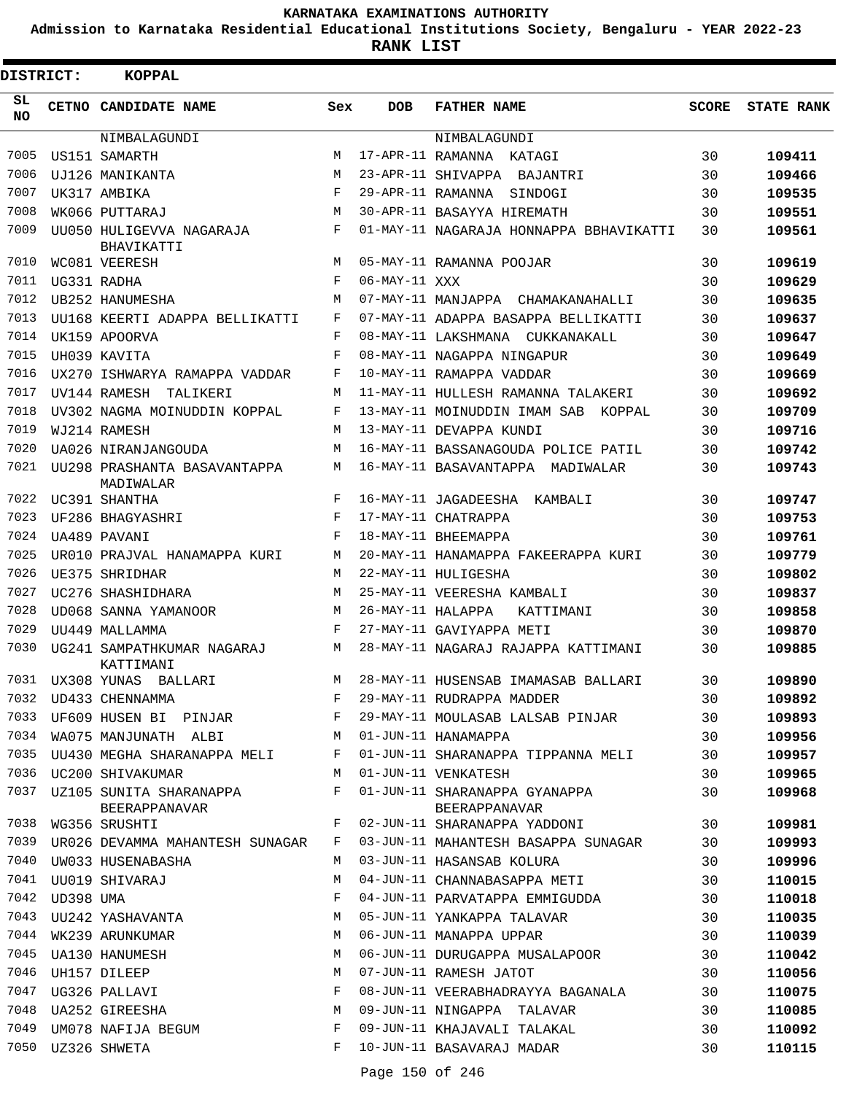**Admission to Karnataka Residential Educational Institutions Society, Bengaluru - YEAR 2022-23**

| <b>DISTRICT:</b> |           | <b>KOPPAL</b>                             |     |                   |                                                |              |                   |
|------------------|-----------|-------------------------------------------|-----|-------------------|------------------------------------------------|--------------|-------------------|
| SL<br>NO.        |           | CETNO CANDIDATE NAME                      | Sex | <b>DOB</b>        | <b>FATHER NAME</b>                             | <b>SCORE</b> | <b>STATE RANK</b> |
|                  |           | NIMBALAGUNDI                              |     |                   | NIMBALAGUNDI                                   |              |                   |
| 7005             |           | US151 SAMARTH                             | M   |                   | 17-APR-11 RAMANNA KATAGI                       | 30           | 109411            |
| 7006             |           | UJ126 MANIKANTA                           | М   |                   | 23-APR-11 SHIVAPPA BAJANTRI                    | 30           | 109466            |
| 7007             |           | UK317 AMBIKA                              | F   |                   | 29-APR-11 RAMANNA SINDOGI                      | 30           | 109535            |
| 7008             |           | WK066 PUTTARAJ                            | М   |                   | 30-APR-11 BASAYYA HIREMATH                     | 30           | 109551            |
| 7009             |           | UU050 HULIGEVVA NAGARAJA<br>BHAVIKATTI    | F   |                   | 01-MAY-11 NAGARAJA HONNAPPA BBHAVIKATTI        | 30           | 109561            |
| 7010             |           | WC081 VEERESH                             | M   |                   | 05-MAY-11 RAMANNA POOJAR                       | 30           | 109619            |
| 7011             |           | UG331 RADHA                               | F   | 06-MAY-11 XXX     |                                                | 30           | 109629            |
| 7012             |           | UB252 HANUMESHA                           | M   |                   | 07-MAY-11 MANJAPPA CHAMAKANAHALLI              | 30           | 109635            |
| 7013             |           | UU168 KEERTI ADAPPA BELLIKATTI            | F   |                   | 07-MAY-11 ADAPPA BASAPPA BELLIKATTI            | 30           | 109637            |
| 7014             |           | UK159 APOORVA                             | F   |                   | 08-MAY-11 LAKSHMANA CUKKANAKALL                | 30           | 109647            |
| 7015             |           | UH039 KAVITA                              | F   |                   | 08-MAY-11 NAGAPPA NINGAPUR                     | 30           | 109649            |
| 7016             |           | UX270 ISHWARYA RAMAPPA VADDAR             | F   |                   | 10-MAY-11 RAMAPPA VADDAR                       | 30           | 109669            |
| 7017             |           | UV144 RAMESH TALIKERI                     | M   |                   | 11-MAY-11 HULLESH RAMANNA TALAKERI             | 30           | 109692            |
| 7018             |           | UV302 NAGMA MOINUDDIN KOPPAL              | F   |                   | 13-MAY-11 MOINUDDIN IMAM SAB<br>KOPPAL         | 30           | 109709            |
| 7019             |           | WJ214 RAMESH                              | M   |                   | 13-MAY-11 DEVAPPA KUNDI                        | 30           | 109716            |
| 7020             |           | UA026 NIRANJANGOUDA                       | M   |                   | 16-MAY-11 BASSANAGOUDA POLICE PATIL            | 30           | 109742            |
| 7021             |           | UU298 PRASHANTA BASAVANTAPPA<br>MADIWALAR | М   |                   | 16-MAY-11 BASAVANTAPPA MADIWALAR               | 30           | 109743            |
| 7022             |           | UC391 SHANTHA                             | F   |                   | 16-MAY-11 JAGADEESHA KAMBALI                   | 30           | 109747            |
| 7023             |           | UF286 BHAGYASHRI                          | F   |                   | 17-MAY-11 CHATRAPPA                            | 30           | 109753            |
| 7024             |           | UA489 PAVANI                              | F   |                   | 18-MAY-11 BHEEMAPPA                            | 30           | 109761            |
| 7025             |           | UR010 PRAJVAL HANAMAPPA KURI              | M   |                   | 20-MAY-11 HANAMAPPA FAKEERAPPA KURI            | 30           | 109779            |
| 7026             |           | UE375 SHRIDHAR                            | M   |                   | 22-MAY-11 HULIGESHA                            | 30           | 109802            |
| 7027             |           | UC276 SHASHIDHARA                         | М   |                   | 25-MAY-11 VEERESHA KAMBALI                     | 30           | 109837            |
| 7028             |           | UD068 SANNA YAMANOOR                      | M   | 26-MAY-11 HALAPPA | KATTIMANI                                      | 30           | 109858            |
| 7029             |           | UU449 MALLAMMA                            | F   |                   | 27-MAY-11 GAVIYAPPA METI                       | 30           | 109870            |
| 7030             |           | UG241 SAMPATHKUMAR NAGARAJ<br>KATTIMANI   | M   |                   | 28-MAY-11 NAGARAJ RAJAPPA KATTIMANI            | 30           | 109885            |
| 7031             |           | UX308 YUNAS BALLARI                       | M   |                   | 28-MAY-11 HUSENSAB IMAMASAB BALLARI            | 30           | 109890            |
| 7032             |           | UD433 CHENNAMMA                           | F   |                   | 29-MAY-11 RUDRAPPA MADDER                      | 30           | 109892            |
| 7033             |           | UF609 HUSEN BI PINJAR                     | F   |                   | 29-MAY-11 MOULASAB LALSAB PINJAR               | 30           | 109893            |
| 7034             |           | WA075 MANJUNATH ALBI                      | M   |                   | 01-JUN-11 HANAMAPPA                            | 30           | 109956            |
|                  |           | 7035 UU430 MEGHA SHARANAPPA MELI          | F   |                   | 01-JUN-11 SHARANAPPA TIPPANNA MELI             | 30           | 109957            |
| 7036             |           | UC200 SHIVAKUMAR                          | М   |                   | 01-JUN-11 VENKATESH                            | 30           | 109965            |
| 7037             |           | UZ105 SUNITA SHARANAPPA<br>BEERAPPANAVAR  | F   |                   | 01-JUN-11 SHARANAPPA GYANAPPA<br>BEERAPPANAVAR | 30           | 109968            |
| 7038             |           | WG356 SRUSHTI                             | F   |                   | 02-JUN-11 SHARANAPPA YADDONI                   | 30           | 109981            |
| 7039             |           | UR026 DEVAMMA MAHANTESH SUNAGAR           | F   |                   | 03-JUN-11 MAHANTESH BASAPPA SUNAGAR            | 30           | 109993            |
| 7040             |           | UW033 HUSENABASHA                         | М   |                   | 03-JUN-11 HASANSAB KOLURA                      | 30           | 109996            |
| 7041             |           | UU019 SHIVARAJ                            | M   |                   | 04-JUN-11 CHANNABASAPPA METI                   | 30           | 110015            |
| 7042             | UD398 UMA |                                           | F   |                   | 04-JUN-11 PARVATAPPA EMMIGUDDA                 | 30           | 110018            |
| 7043             |           | UU242 YASHAVANTA                          | М   |                   | 05-JUN-11 YANKAPPA TALAVAR                     | 30           | 110035            |
| 7044             |           | WK239 ARUNKUMAR                           | M   |                   | 06-JUN-11 MANAPPA UPPAR                        | 30           | 110039            |
| 7045             |           | UA130 HANUMESH                            | M   |                   | 06-JUN-11 DURUGAPPA MUSALAPOOR                 | 30           | 110042            |
| 7046             |           | UH157 DILEEP                              | M   |                   | 07-JUN-11 RAMESH JATOT                         | 30           | 110056            |
| 7047             |           | UG326 PALLAVI                             | F   |                   | 08-JUN-11 VEERABHADRAYYA BAGANALA              | 30           | 110075            |
| 7048             |           | UA252 GIREESHA                            | M   |                   | 09-JUN-11 NINGAPPA TALAVAR                     | 30           | 110085            |
| 7049             |           | UM078 NAFIJA BEGUM                        | F   |                   | 09-JUN-11 KHAJAVALI TALAKAL                    | 30           | 110092            |
|                  |           | 7050 UZ326 SHWETA                         | F   |                   | 10-JUN-11 BASAVARAJ MADAR                      | 30           | 110115            |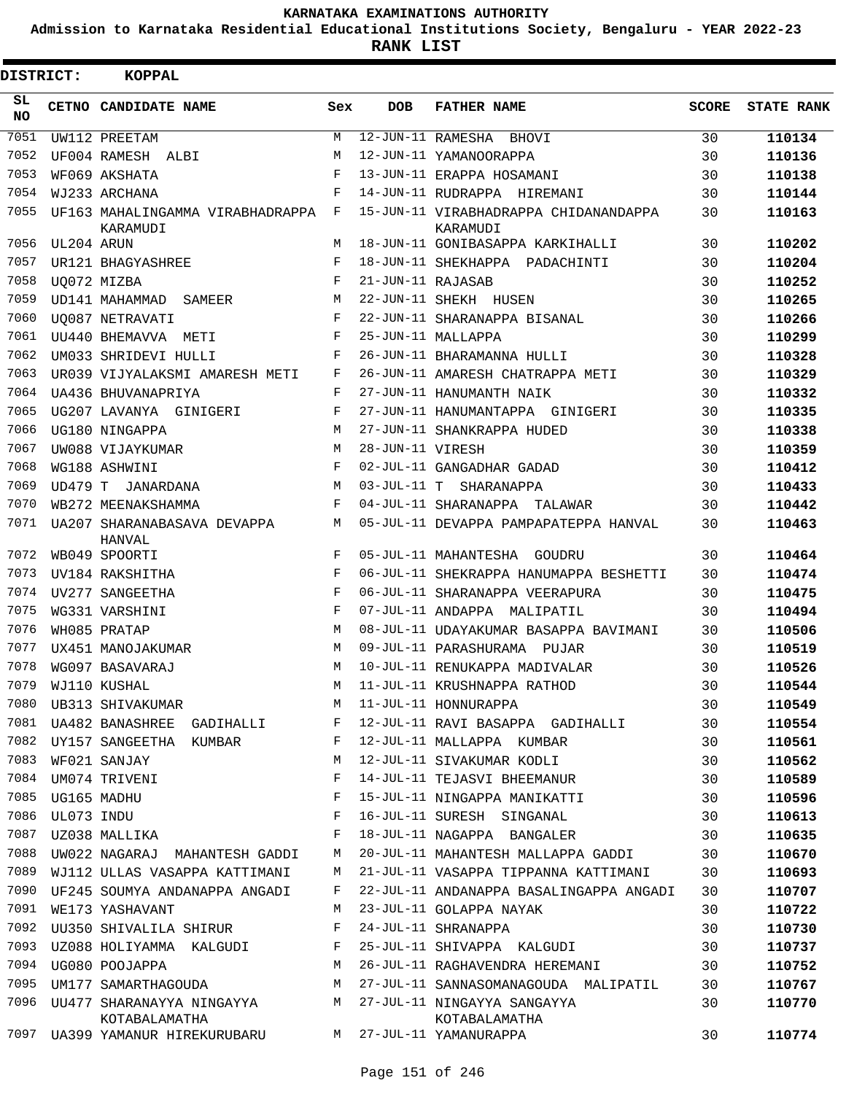**Admission to Karnataka Residential Educational Institutions Society, Bengaluru - YEAR 2022-23**

**RANK LIST**

| <b>DISTRICT:</b> |            | <b>KOPPAL</b>                                |     |                   |                                                   |              |                   |
|------------------|------------|----------------------------------------------|-----|-------------------|---------------------------------------------------|--------------|-------------------|
| SL.<br><b>NO</b> |            | CETNO CANDIDATE NAME                         | Sex | <b>DOB</b>        | <b>FATHER NAME</b>                                | <b>SCORE</b> | <b>STATE RANK</b> |
| 7051             |            | UW112 PREETAM                                | М   | 12-JUN-11 RAMESHA | BHOVI                                             | 30           | 110134            |
| 7052             |            | UF004 RAMESH ALBI                            | М   |                   | 12-JUN-11 YAMANOORAPPA                            | 30           | 110136            |
| 7053             |            | WF069 AKSHATA                                | F   |                   | 13-JUN-11 ERAPPA HOSAMANI                         | 30           | 110138            |
| 7054             |            | WJ233 ARCHANA                                | F   |                   | 14-JUN-11 RUDRAPPA HIREMANI                       | 30           | 110144            |
| 7055             |            | UF163 MAHALINGAMMA VIRABHADRAPPA<br>KARAMUDI | F   |                   | 15-JUN-11 VIRABHADRAPPA CHIDANANDAPPA<br>KARAMUDI | 30           | 110163            |
| 7056             | UL204 ARUN |                                              | М   |                   | 18-JUN-11 GONIBASAPPA KARKIHALLI                  | 30           | 110202            |
| 7057             |            | UR121 BHAGYASHREE                            | F   |                   | 18-JUN-11 SHEKHAPPA PADACHINTI                    | 30           | 110204            |
| 7058             |            | UQ072 MIZBA                                  | F   | 21-JUN-11 RAJASAB |                                                   | 30           | 110252            |
| 7059             |            | UD141 MAHAMMAD<br>SAMEER                     | M   |                   | 22-JUN-11 SHEKH HUSEN                             | 30           | 110265            |
| 7060             |            | <b>UO087 NETRAVATI</b>                       | F   |                   | 22-JUN-11 SHARANAPPA BISANAL                      | 30           | 110266            |
| 7061             |            | UU440 BHEMAVVA METI                          | F   |                   | 25-JUN-11 MALLAPPA                                | 30           | 110299            |
| 7062             |            | UM033 SHRIDEVI HULLI                         | F   |                   | 26-JUN-11 BHARAMANNA HULLI                        | 30           | 110328            |
| 7063             |            | UR039 VIJYALAKSMI AMARESH METI               | F   |                   | 26-JUN-11 AMARESH CHATRAPPA METI                  | 30           | 110329            |
| 7064             |            | UA436 BHUVANAPRIYA                           | F   |                   | 27-JUN-11 HANUMANTH NAIK                          | 30           | 110332            |
| 7065             |            | UG207 LAVANYA GINIGERI                       | F   |                   | 27-JUN-11 HANUMANTAPPA GINIGERI                   | 30           | 110335            |
| 7066             |            | UG180 NINGAPPA                               | M   |                   | 27-JUN-11 SHANKRAPPA HUDED                        | 30           | 110338            |
| 7067             |            | UW088 VIJAYKUMAR                             | M   | 28-JUN-11 VIRESH  |                                                   | 30           | 110359            |
| 7068             |            | WG188 ASHWINI                                | F   |                   | 02-JUL-11 GANGADHAR GADAD                         | 30           | 110412            |
| 7069             | UD479 T    | JANARDANA                                    | М   |                   | 03-JUL-11 T SHARANAPPA                            | 30           | 110433            |
| 7070             |            | WB272 MEENAKSHAMMA                           | F   |                   | 04-JUL-11 SHARANAPPA TALAWAR                      | 30           | 110442            |
| 7071             |            | UA207 SHARANABASAVA DEVAPPA<br>HANVAL        | М   |                   | 05-JUL-11 DEVAPPA PAMPAPATEPPA HANVAL             | 30           | 110463            |
| 7072             |            | WB049 SPOORTI                                | F   |                   | 05-JUL-11 MAHANTESHA GOUDRU                       | 30           | 110464            |
| 7073             |            | UV184 RAKSHITHA                              | F   |                   | 06-JUL-11 SHEKRAPPA HANUMAPPA BESHETTI            | 30           | 110474            |
| 7074             |            | UV277 SANGEETHA                              | F   |                   | 06-JUL-11 SHARANAPPA VEERAPURA                    | 30           | 110475            |
| 7075             |            | WG331 VARSHINI                               | F   |                   | 07-JUL-11 ANDAPPA MALIPATIL                       | 30           | 110494            |
| 7076             |            | WH085 PRATAP                                 | M   |                   | 08-JUL-11 UDAYAKUMAR BASAPPA BAVIMANI             | 30           | 110506            |
| 7077             |            | UX451 MANOJAKUMAR                            | M   |                   | 09-JUL-11 PARASHURAMA PUJAR                       | 30           | 110519            |
| 7078             |            | WG097 BASAVARAJ                              | М   |                   | 10-JUL-11 RENUKAPPA MADIVALAR                     | 30           | 110526            |
|                  |            | 7079 WJ110 KUSHAL                            |     |                   | M 11-JUL-11 KRUSHNAPPA RATHOD                     | 30           | 110544            |
| 7080             |            | UB313 SHIVAKUMAR                             | М   |                   | 11-JUL-11 HONNURAPPA                              | 30           | 110549            |
| 7081             |            | UA482 BANASHREE GADIHALLI                    | F   |                   | 12-JUL-11 RAVI BASAPPA GADIHALLI                  | 30           | 110554            |
| 7082             |            | UY157 SANGEETHA KUMBAR                       | F   |                   | 12-JUL-11 MALLAPPA KUMBAR                         | 30           | 110561            |
| 7083             |            | WF021 SANJAY                                 | М   |                   | 12-JUL-11 SIVAKUMAR KODLI                         | 30           | 110562            |
| 7084             |            | UM074 TRIVENI                                | F   |                   | 14-JUL-11 TEJASVI BHEEMANUR                       | 30           | 110589            |
| 7085             |            | UG165 MADHU                                  | F   |                   | 15-JUL-11 NINGAPPA MANIKATTI                      | 30           | 110596            |
| 7086             | UL073 INDU |                                              | F   |                   | 16-JUL-11 SURESH SINGANAL                         | 30           | 110613            |
| 7087             |            | UZ038 MALLIKA                                | F   |                   | 18-JUL-11 NAGAPPA BANGALER                        | 30           | 110635            |
| 7088             |            | UW022 NAGARAJ MAHANTESH GADDI                | М   |                   | 20-JUL-11 MAHANTESH MALLAPPA GADDI                | 30           | 110670            |
| 7089             |            | WJ112 ULLAS VASAPPA KATTIMANI                | М   |                   | 21-JUL-11 VASAPPA TIPPANNA KATTIMANI              | 30           | 110693            |
| 7090             |            | UF245 SOUMYA ANDANAPPA ANGADI                | F   |                   | 22-JUL-11 ANDANAPPA BASALINGAPPA ANGADI           | 30           | 110707            |
| 7091             |            | WE173 YASHAVANT                              | М   |                   | 23-JUL-11 GOLAPPA NAYAK                           | 30           | 110722            |
| 7092             |            | UU350 SHIVALILA SHIRUR                       | F   |                   | 24-JUL-11 SHRANAPPA                               | 30           | 110730            |
| 7093             |            | UZ088 HOLIYAMMA KALGUDI                      | F   |                   | 25-JUL-11 SHIVAPPA KALGUDI                        | 30           | 110737            |
| 7094             |            | UG080 POOJAPPA                               | М   |                   | 26-JUL-11 RAGHAVENDRA HEREMANI                    | 30           | 110752            |
| 7095             |            | UM177 SAMARTHAGOUDA                          | М   |                   | 27-JUL-11 SANNASOMANAGOUDA MALIPATIL              |              |                   |
| 7096             |            |                                              | M   |                   |                                                   | 30           | 110767            |
|                  |            | UU477 SHARANAYYA NINGAYYA<br>KOTABALAMATHA   |     |                   | 27-JUL-11 NINGAYYA SANGAYYA<br>KOTABALAMATHA      | 30           | 110770            |
| 7097             |            | UA399 YAMANUR HIREKURUBARU                   | M   |                   | 27-JUL-11 YAMANURAPPA                             | 30           | 110774            |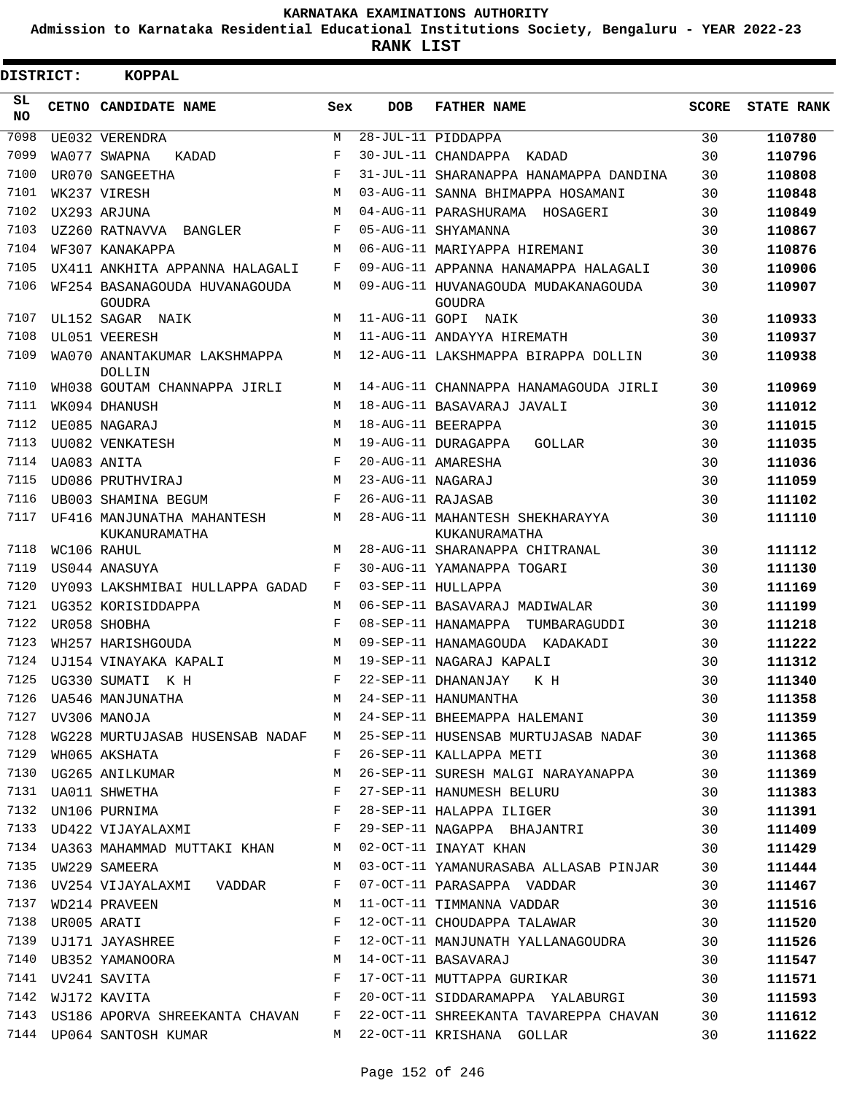**Admission to Karnataka Residential Educational Institutions Society, Bengaluru - YEAR 2022-23**

| DISTRICT:       | <b>KOPPAL</b>                                                |            |                   |                                                                                                                                                                                                                                |              |                   |
|-----------------|--------------------------------------------------------------|------------|-------------------|--------------------------------------------------------------------------------------------------------------------------------------------------------------------------------------------------------------------------------|--------------|-------------------|
| SL<br><b>NO</b> | CETNO CANDIDATE NAME                                         | Sex        | <b>DOB</b>        | <b>FATHER NAME</b>                                                                                                                                                                                                             | <b>SCORE</b> | <b>STATE RANK</b> |
| 7098            | UE032 VERENDRA                                               | M          |                   | 28-JUL-11 PIDDAPPA                                                                                                                                                                                                             | 30           | 110780            |
| 7099            | WA077 SWAPNA<br>KADAD                                        | F          |                   | 30-JUL-11 CHANDAPPA KADAD                                                                                                                                                                                                      | 30           | 110796            |
| 7100            | UR070 SANGEETHA                                              | F          |                   | 31-JUL-11 SHARANAPPA HANAMAPPA DANDINA                                                                                                                                                                                         | 30           | 110808            |
| 7101            | WK237 VIRESH                                                 | M          |                   | 03-AUG-11 SANNA BHIMAPPA HOSAMANI                                                                                                                                                                                              | 30           | 110848            |
| 7102            | UX293 ARJUNA                                                 | M          |                   | 04-AUG-11 PARASHURAMA HOSAGERI                                                                                                                                                                                                 | 30           | 110849            |
| 7103            | UZ260 RATNAVVA BANGLER                                       | $_{\rm F}$ |                   | 05-AUG-11 SHYAMANNA                                                                                                                                                                                                            | 30           | 110867            |
| 7104            | WF307 KANAKAPPA                                              | M          |                   | 06-AUG-11 MARIYAPPA HIREMANI                                                                                                                                                                                                   | 30           | 110876            |
| 7105            | UX411 ANKHITA APPANNA HALAGALI                               | F          |                   | 09-AUG-11 APPANNA HANAMAPPA HALAGALI                                                                                                                                                                                           | 30           | 110906            |
| 7106            | WF254 BASANAGOUDA HUVANAGOUDA<br>GOUDRA                      | М          |                   | 09-AUG-11 HUVANAGOUDA MUDAKANAGOUDA<br>GOUDRA                                                                                                                                                                                  | 30           | 110907            |
| 7107            | UL152 SAGAR NAIK                                             | М          |                   | 11-AUG-11 GOPI NAIK                                                                                                                                                                                                            | 30           | 110933            |
| 7108            | UL051 VEERESH                                                | M          |                   | 11-AUG-11 ANDAYYA HIREMATH                                                                                                                                                                                                     | 30           | 110937            |
| 7109            | WA070 ANANTAKUMAR LAKSHMAPPA<br><b>DOLLIN</b>                | М          |                   | 12-AUG-11 LAKSHMAPPA BIRAPPA DOLLIN                                                                                                                                                                                            | 30           | 110938            |
| 7110            | WH038 GOUTAM CHANNAPPA JIRLI                                 | M          |                   | 14-AUG-11 CHANNAPPA HANAMAGOUDA JIRLI                                                                                                                                                                                          | 30           | 110969            |
| 7111            | WK094 DHANUSH                                                | M          |                   | 18-AUG-11 BASAVARAJ JAVALI                                                                                                                                                                                                     | 30           | 111012            |
| 7112            | UE085 NAGARAJ                                                | M          |                   | 18-AUG-11 BEERAPPA                                                                                                                                                                                                             | 30           | 111015            |
| 7113            | UU082 VENKATESH                                              | M          |                   | 19-AUG-11 DURAGAPPA<br>GOLLAR                                                                                                                                                                                                  | 30           | 111035            |
| 7114            | UA083 ANITA                                                  | $_{\rm F}$ |                   | 20-AUG-11 AMARESHA                                                                                                                                                                                                             | 30           | 111036            |
| 7115            | UD086 PRUTHVIRAJ                                             | M          | 23-AUG-11 NAGARAJ |                                                                                                                                                                                                                                | 30           | 111059            |
| 7116            | UB003 SHAMINA BEGUM                                          | F          | 26-AUG-11 RAJASAB |                                                                                                                                                                                                                                | 30           | 111102            |
| 7117            | UF416 MANJUNATHA MAHANTESH<br>KUKANURAMATHA                  | M          |                   | 28-AUG-11 MAHANTESH SHEKHARAYYA<br>KUKANURAMATHA                                                                                                                                                                               | 30           | 111110            |
| 7118            | WC106 RAHUL                                                  | M          |                   | 28-AUG-11 SHARANAPPA CHITRANAL                                                                                                                                                                                                 | 30           | 111112            |
| 7119            | US044 ANASUYA                                                | F          |                   | 30-AUG-11 YAMANAPPA TOGARI                                                                                                                                                                                                     | 30           | 111130            |
| 7120            | UY093 LAKSHMIBAI HULLAPPA GADAD                              | F          |                   | 03-SEP-11 HULLAPPA                                                                                                                                                                                                             | 30           | 111169            |
| 7121            | UG352 KORISIDDAPPA                                           | М          |                   | 06-SEP-11 BASAVARAJ MADIWALAR                                                                                                                                                                                                  | 30           | 111199            |
| 7122            | UR058 SHOBHA                                                 | F          |                   | 08-SEP-11 HANAMAPPA<br>TUMBARAGUDDI                                                                                                                                                                                            | 30           | 111218            |
| 7123            | WH257 HARISHGOUDA                                            | M          |                   | 09-SEP-11 HANAMAGOUDA KADAKADI                                                                                                                                                                                                 | 30           | 111222            |
| 7124            | UJ154 VINAYAKA KAPALI                                        | M          |                   | 19-SEP-11 NAGARAJ KAPALI                                                                                                                                                                                                       | 30           | 111312            |
| 7125            | UG330 SUMATI K H                                             | F          |                   | 22-SEP-11 DHANANJAY<br>K H                                                                                                                                                                                                     | 30           | 111340            |
|                 |                                                              |            |                   |                                                                                                                                                                                                                                |              | 111358            |
|                 | 7127 UV306 MANOJA                                            |            |                   | TREAD CONTROLLER MANUSIC MODEL OF THE MANUSIC MANUSIC MANUSIC MANUSIC MANUSIC MODEL OF THE MANUSIC MANUSIC MANUSIC MANUSIC MANUSIC MANUSIC MANUSIC MANUSIC MANUSIC MANUSIC MANUSIC MANUSIC MANUSIC MANUSIC MANUSIC MANUSIC MAN |              | 111359            |
|                 |                                                              |            |                   | 7128 WG228 MURTUJASAB HUSENSAB NADAF M 25-SEP-11 HUSENSAB MURTUJASAB NADAF 30                                                                                                                                                  |              | 111365            |
|                 | 7129 WH065 AKSHATA                                           |            |                   | F 26-SEP-11 KALLAPPA METI                                                                                                                                                                                                      | 30           | 111368            |
|                 | 1129 WHO65 AKSHATA<br>7130 UG265 ANILKUMAR                   | M          |                   | 26-SEP-11 SURESH MALGI NARAYANAPPA 30                                                                                                                                                                                          |              | 111369            |
|                 | 7131 UA011 SHWETHA F<br>7132 UN106 PURNIMA F                 |            |                   | 27-SEP-11 HANUMESH BELURU 30                                                                                                                                                                                                   |              | 111383            |
|                 |                                                              |            |                   | 28-SEP-11 HALAPPA ILIGER 30                                                                                                                                                                                                    |              | 111391            |
|                 | 7133 UD422 VIJAYALAXMI F                                     |            |                   | 7133 UD422 VIJAYALAXMI                   F   29-SEP-11 NAGAPPA  BHAJANTRI               30<br>7134 UA363 MAHAMMAD MUTTAKI KHAN       M   02-OCT-11 INAYAT KHAN               30                                                |              | 111409            |
|                 |                                                              |            |                   |                                                                                                                                                                                                                                |              | 111429            |
|                 | 7135 UW229 SAMEERA                                           |            |                   | M 03-OCT-11 YAMANURASABA ALLASAB PINJAR 30                                                                                                                                                                                     |              | 111444            |
|                 | 7136 UV254 VIJAYALAXMI VADDAR F                              |            |                   | 07-OCT-11 PARASAPPA VADDAR                                                                                                                                                                                                     | 30           | 111467            |
|                 | 7137 WD214 PRAVEEN                                           | M          |                   | 11-OCT-11 TIMMANNA VADDAR                                                                                                                                                                                                      | 30           | 111516            |
|                 | 1138 UROO5 ARATI<br>7138 UROO5 ARATI<br>7139 UJ171 JAYASHREE | F          |                   | 12-OCT-11 CHOUDAPPA TALAWAR 30                                                                                                                                                                                                 |              | 111520            |
|                 |                                                              | F          |                   | 12-OCT-11 MANJUNATH YALLANAGOUDRA 30                                                                                                                                                                                           |              | 111526            |
|                 | 7140 UB352 YAMANOORA M                                       |            |                   | 14-OCT-11 BASAVARAJ                                                                                                                                                                                                            | 30           | 111547            |
|                 |                                                              |            |                   |                                                                                                                                                                                                                                |              | 111571            |
|                 |                                                              |            |                   |                                                                                                                                                                                                                                |              | 111593            |
|                 |                                                              |            |                   | 7143 US186 APORVA SHREEKANTA CHAVAN F 22-OCT-11 SHREEKANTA TAVAREPPA CHAVAN 30                                                                                                                                                 |              | 111612            |
|                 | 7144 UP064 SANTOSH KUMAR                                     |            |                   | M 22-OCT-11 KRISHANA GOLLAR                                                                                                                                                                                                    | 30           | 111622            |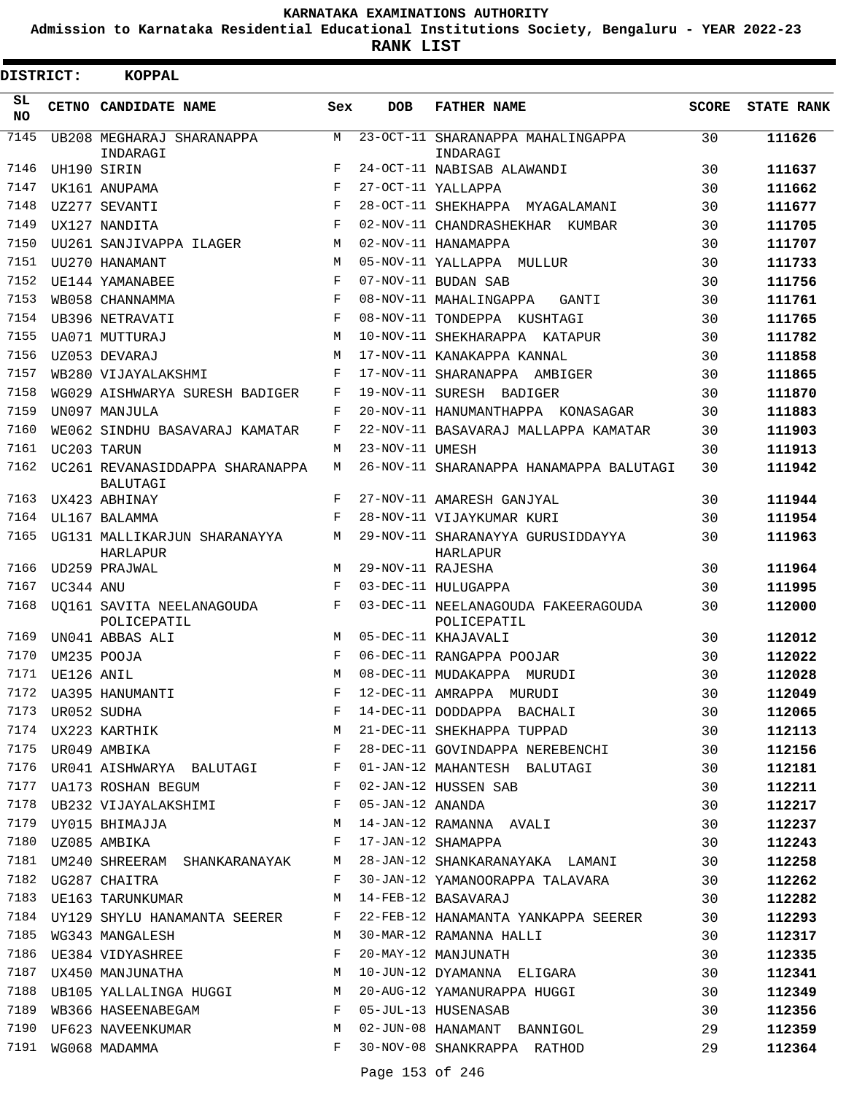**Admission to Karnataka Residential Educational Institutions Society, Bengaluru - YEAR 2022-23**

| <b>DISTRICT:</b> |            | <b>KOPPAL</b>                                                                       |              |                   |                                                    |       |                   |
|------------------|------------|-------------------------------------------------------------------------------------|--------------|-------------------|----------------------------------------------------|-------|-------------------|
| SL<br><b>NO</b>  |            | CETNO CANDIDATE NAME                                                                | Sex          | <b>DOB</b>        | <b>FATHER NAME</b>                                 | SCORE | <b>STATE RANK</b> |
| 7145             |            | UB208 MEGHARAJ SHARANAPPA<br>INDARAGI                                               | M            |                   | 23-OCT-11 SHARANAPPA MAHALINGAPPA<br>INDARAGI      | 30    | 111626            |
| 7146             |            | UH190 SIRIN                                                                         | F            |                   | 24-OCT-11 NABISAB ALAWANDI                         | 30    | 111637            |
| 7147             |            | UK161 ANUPAMA                                                                       | $\mathbf{F}$ |                   | 27-OCT-11 YALLAPPA                                 | 30    | 111662            |
| 7148             |            | UZ277 SEVANTI                                                                       | F            |                   | 28-OCT-11 SHEKHAPPA MYAGALAMANI                    | 30    | 111677            |
| 7149             |            | UX127 NANDITA                                                                       | $\mathbf F$  |                   | 02-NOV-11 CHANDRASHEKHAR KUMBAR                    | 30    | 111705            |
| 7150             |            | UU261 SANJIVAPPA ILAGER                                                             | M            |                   | 02-NOV-11 HANAMAPPA                                | 30    | 111707            |
| 7151             |            | UU270 HANAMANT                                                                      | M            |                   | 05-NOV-11 YALLAPPA MULLUR                          | 30    | 111733            |
| 7152             |            | UE144 YAMANABEE                                                                     | F            |                   | 07-NOV-11 BUDAN SAB                                | 30    | 111756            |
| 7153             |            | WB058 CHANNAMMA                                                                     | F            |                   | 08-NOV-11 MAHALINGAPPA<br>GANTI                    | 30    | 111761            |
| 7154             |            | UB396 NETRAVATI                                                                     | F            |                   | 08-NOV-11 TONDEPPA KUSHTAGI                        | 30    | 111765            |
| 7155             |            | UA071 MUTTURAJ                                                                      | M            |                   | 10-NOV-11 SHEKHARAPPA KATAPUR                      | 30    | 111782            |
| 7156             |            | UZ053 DEVARAJ                                                                       | M            |                   | 17-NOV-11 KANAKAPPA KANNAL                         | 30    | 111858            |
| 7157             |            | WB280 VIJAYALAKSHMI                                                                 | F            |                   | 17-NOV-11 SHARANAPPA AMBIGER                       | 30    | 111865            |
| 7158             |            | WG029 AISHWARYA SURESH BADIGER                                                      | F            |                   | 19-NOV-11 SURESH BADIGER                           | 30    | 111870            |
| 7159             |            | UN097 MANJULA                                                                       | F            |                   | 20-NOV-11 HANUMANTHAPPA KONASAGAR                  | 30    | 111883            |
| 7160             |            | WE062 SINDHU BASAVARAJ KAMATAR                                                      | F            |                   | 22-NOV-11 BASAVARAJ MALLAPPA KAMATAR               | 30    | 111903            |
| 7161             |            | UC203 TARUN                                                                         | M            | 23-NOV-11 UMESH   |                                                    | 30    | 111913            |
| 7162             |            | UC261 REVANASIDDAPPA SHARANAPPA<br>BALUTAGI                                         | М            |                   | 26-NOV-11 SHARANAPPA HANAMAPPA BALUTAGI            | 30    | 111942            |
| 7163             |            | UX423 ABHINAY                                                                       | F            |                   | 27-NOV-11 AMARESH GANJYAL                          | 30    | 111944            |
| 7164             |            | UL167 BALAMMA                                                                       | F            |                   | 28-NOV-11 VIJAYKUMAR KURI                          | 30    | 111954            |
| 7165             |            | UG131 MALLIKARJUN SHARANAYYA<br>HARLAPUR                                            | M            |                   | 29-NOV-11 SHARANAYYA GURUSIDDAYYA<br>HARLAPUR      | 30    | 111963            |
| 7166             |            | UD259 PRAJWAL                                                                       | М            | 29-NOV-11 RAJESHA |                                                    | 30    | 111964            |
| 7167             | UC344 ANU  |                                                                                     | F            |                   | 03-DEC-11 HULUGAPPA                                | 30    | 111995            |
| 7168             |            | UO161 SAVITA NEELANAGOUDA<br>POLICEPATIL                                            | F            |                   | 03-DEC-11 NEELANAGOUDA FAKEERAGOUDA<br>POLICEPATIL | 30    | 112000            |
| 7169             |            | UN041 ABBAS ALI                                                                     | M            |                   | 05-DEC-11 KHAJAVALI                                | 30    | 112012            |
| 7170             |            | UM235 POOJA                                                                         | F            |                   | 06-DEC-11 RANGAPPA POOJAR                          | 30    | 112022            |
| 7171             | UE126 ANIL |                                                                                     | M            |                   | 08-DEC-11 MUDAKAPPA MURUDI                         | 30    | 112028            |
|                  |            | 7172 UA395 HANUMANTI<br>7173 UR052 SUDHA<br>7174 UX223 KARTHIK<br>7175 UR049 AMBIKA | F            |                   | 12-DEC-11 AMRAPPA MURUDI                           | 30    | 112049            |
|                  |            |                                                                                     | F            |                   | 14-DEC-11 DODDAPPA BACHALI                         | 30    | 112065            |
|                  |            |                                                                                     | М            |                   | 21-DEC-11 SHEKHAPPA TUPPAD                         | 30    | 112113            |
|                  |            |                                                                                     | F            |                   | 28-DEC-11 GOVINDAPPA NEREBENCHI                    | 30    | 112156            |
|                  |            | 7176 UR041 AISHWARYA BALUTAGI F                                                     |              |                   | 01-JAN-12 MAHANTESH BALUTAGI                       | 30    | 112181            |
|                  |            | $\mathbf{F}$ . The set of $\mathbf{F}$<br>7177 UA173 ROSHAN BEGUM                   |              |                   | 02-JAN-12 HUSSEN SAB                               | 30    | 112211            |
|                  |            | 7178 UB232 VIJAYALAKSHIMI F                                                         |              |                   | 05-JAN-12 ANANDA                                   | 30    | 112217            |
| 7179             |            | UY015 BHIMAJJA M                                                                    |              |                   | 14-JAN-12 RAMANNA AVALI                            | 30    | 112237            |
| 7180             |            | UZ085 AMBIKA                                                                        | F            |                   | 17-JAN-12 SHAMAPPA                                 | 30    | 112243            |
| 7181             |            | UM240 SHREERAM SHANKARANAYAK M                                                      |              |                   | 28-JAN-12 SHANKARANAYAKA LAMANI                    | 30    | 112258            |
|                  |            | 7182 UG287 CHAITRA                                                                  | F            |                   | 30-JAN-12 YAMANOORAPPA TALAVARA                    | 30    | 112262            |
| 7183             |            | UE163 TARUNKUMAR                                                                    | M            |                   | 14-FEB-12 BASAVARAJ                                | 30    | 112282            |
|                  |            | 7184 UY129 SHYLU HANAMANTA SEERER                                                   | F            |                   | 22-FEB-12 HANAMANTA YANKAPPA SEERER                | 30    | 112293            |
| 7185             |            | WG343 MANGALESH                                                                     | M            |                   | 30-MAR-12 RAMANNA HALLI                            | 30    | 112317            |
|                  |            | 7186 UE384 VIDYASHREE                                                               | F            |                   | 20-MAY-12 MANJUNATH                                | 30    | 112335            |
| 7187             |            | UX450 MANJUNATHA M                                                                  |              |                   | 10-JUN-12 DYAMANNA ELIGARA                         | 30    | 112341            |
| 7188             |            | UB105 YALLALINGA HUGGI M                                                            |              |                   | 20-AUG-12 YAMANURAPPA HUGGI                        | 30    | 112349            |
| 7189             |            | WB366 HASEENABEGAM F                                                                |              |                   | 05-JUL-13 HUSENASAB                                | 30    | 112356            |
|                  |            | 7190 UF623 NAVEENKUMAR                                                              | M            |                   | 02-JUN-08 HANAMANT BANNIGOL                        | 29    | 112359            |
|                  |            | 7191 WG068 MADAMMA                                                                  | F            |                   | 30-NOV-08 SHANKRAPPA RATHOD                        | 29    | 112364            |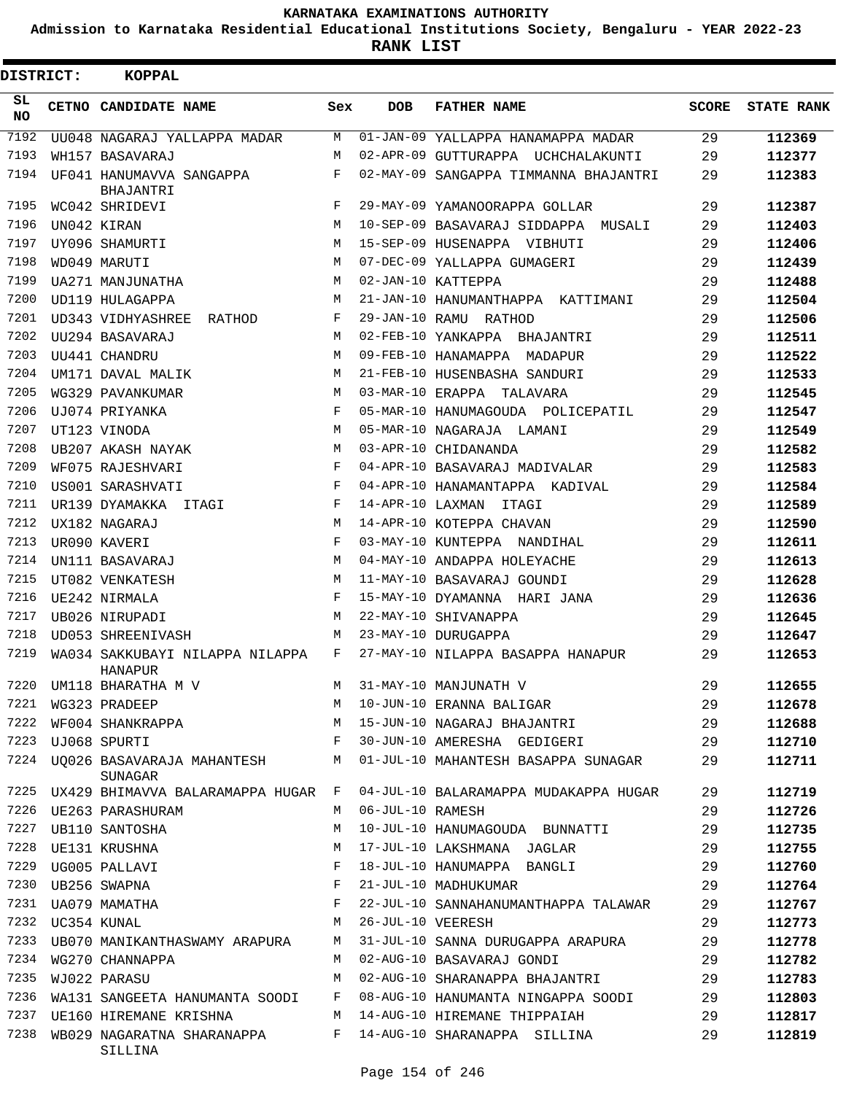**Admission to Karnataka Residential Educational Institutions Society, Bengaluru - YEAR 2022-23**

**RANK LIST**

Е

| DISTRICT:        | <b>KOPPAL</b>                              |              |                   |                                       |       |                   |
|------------------|--------------------------------------------|--------------|-------------------|---------------------------------------|-------|-------------------|
| SL.<br><b>NO</b> | CETNO CANDIDATE NAME                       | Sex          | <b>DOB</b>        | <b>FATHER NAME</b>                    | SCORE | <b>STATE RANK</b> |
| 7192             | UU048 NAGARAJ YALLAPPA MADAR               | M            |                   | 01-JAN-09 YALLAPPA HANAMAPPA MADAR    | 29    | 112369            |
| 7193             | WH157 BASAVARAJ                            | М            |                   | 02-APR-09 GUTTURAPPA UCHCHALAKUNTI    | 29    | 112377            |
| 7194             | UF041 HANUMAVVA SANGAPPA<br>BHAJANTRI      | F            |                   | 02-MAY-09 SANGAPPA TIMMANNA BHAJANTRI | 29    | 112383            |
| 7195             | WC042 SHRIDEVI                             | F            |                   | 29-MAY-09 YAMANOORAPPA GOLLAR         | 29    | 112387            |
| 7196             | UN042 KIRAN                                | M            |                   | 10-SEP-09 BASAVARAJ SIDDAPPA MUSALI   | 29    | 112403            |
| 7197             | UY096 SHAMURTI                             | M            |                   | 15-SEP-09 HUSENAPPA VIBHUTI           | 29    | 112406            |
| 7198             | WD049 MARUTI                               | M            |                   | 07-DEC-09 YALLAPPA GUMAGERI           | 29    | 112439            |
| 7199             | UA271 MANJUNATHA                           | M            |                   | 02-JAN-10 KATTEPPA                    | 29    | 112488            |
| 7200             | UD119 HULAGAPPA                            | М            |                   | 21-JAN-10 HANUMANTHAPPA KATTIMANI     | 29    | 112504            |
| 7201             | UD343 VIDHYASHREE RATHOD                   | F            |                   | 29-JAN-10 RAMU RATHOD                 | 29    | 112506            |
| 7202             | UU294 BASAVARAJ                            | M            |                   | 02-FEB-10 YANKAPPA BHAJANTRI          | 29    | 112511            |
| 7203             | UU441 CHANDRU                              | М            |                   | 09-FEB-10 HANAMAPPA MADAPUR           | 29    | 112522            |
| 7204             | UM171 DAVAL MALIK                          | M            |                   | 21-FEB-10 HUSENBASHA SANDURI          | 29    | 112533            |
| 7205             | WG329 PAVANKUMAR                           | М            |                   | 03-MAR-10 ERAPPA TALAVARA             | 29    | 112545            |
| 7206             | UJ074 PRIYANKA                             | F            |                   | 05-MAR-10 HANUMAGOUDA POLICEPATIL     | 29    | 112547            |
| 7207             | UT123 VINODA                               | M            |                   | 05-MAR-10 NAGARAJA LAMANI             | 29    | 112549            |
| 7208             | UB207 AKASH NAYAK                          | М            |                   | 03-APR-10 CHIDANANDA                  | 29    | 112582            |
| 7209             | WF075 RAJESHVARI                           | F            |                   | 04-APR-10 BASAVARAJ MADIVALAR         | 29    | 112583            |
| 7210             | US001 SARASHVATI                           | F            |                   | 04-APR-10 HANAMANTAPPA KADIVAL        | 29    | 112584            |
| 7211             | UR139 DYAMAKKA ITAGI                       | F            |                   | 14-APR-10 LAXMAN ITAGI                | 29    | 112589            |
| 7212             | UX182 NAGARAJ                              | M            |                   | 14-APR-10 KOTEPPA CHAVAN              | 29    | 112590            |
| 7213             | UR090 KAVERI                               | F            |                   | 03-MAY-10 KUNTEPPA NANDIHAL           | 29    | 112611            |
| 7214             | UN111 BASAVARAJ                            | M            |                   | 04-MAY-10 ANDAPPA HOLEYACHE           | 29    | 112613            |
| 7215             | UT082 VENKATESH                            | M            |                   | 11-MAY-10 BASAVARAJ GOUNDI            | 29    | 112628            |
| 7216             | UE242 NIRMALA                              | F            |                   | 15-MAY-10 DYAMANNA HARI JANA          | 29    | 112636            |
| 7217             | UB026 NIRUPADI                             | M            |                   | 22-MAY-10 SHIVANAPPA                  | 29    | 112645            |
| 7218             | UD053 SHREENIVASH                          | M            |                   | 23-MAY-10 DURUGAPPA                   | 29    | 112647            |
| 7219             | WA034 SAKKUBAYI NILAPPA NILAPPA<br>HANAPUR | F            |                   | 27-MAY-10 NILAPPA BASAPPA HANAPUR     | 29    | 112653            |
|                  | 7220 UM118 BHARATHA M V                    |              |                   | M 31-MAY-10 MANJUNATH V               | 29    | 112655            |
| 7221             | WG323 PRADEEP                              | М            |                   | 10-JUN-10 ERANNA BALIGAR              | 29    | 112678            |
| 7222             | WF004 SHANKRAPPA                           | М            |                   | 15-JUN-10 NAGARAJ BHAJANTRI           | 29    | 112688            |
| 7223             | UJ068 SPURTI                               | F            |                   | 30-JUN-10 AMERESHA GEDIGERI           | 29    | 112710            |
| 7224             | UQ026 BASAVARAJA MAHANTESH<br>SUNAGAR      | М            |                   | 01-JUL-10 MAHANTESH BASAPPA SUNAGAR   | 29    | 112711            |
| 7225             | UX429 BHIMAVVA BALARAMAPPA HUGAR           | $\mathbf{F}$ |                   | 04-JUL-10 BALARAMAPPA MUDAKAPPA HUGAR | 29    | 112719            |
| 7226             | UE263 PARASHURAM                           | M            | 06-JUL-10 RAMESH  |                                       | 29    | 112726            |
| 7227             | UB110 SANTOSHA                             | М            |                   | 10-JUL-10 HANUMAGOUDA BUNNATTI        | 29    | 112735            |
| 7228             | UE131 KRUSHNA                              | М            |                   | 17-JUL-10 LAKSHMANA JAGLAR            | 29    | 112755            |
| 7229             | UG005 PALLAVI                              | F            |                   | 18-JUL-10 HANUMAPPA BANGLI            | 29    | 112760            |
| 7230             | UB256 SWAPNA                               | F            |                   | 21-JUL-10 MADHUKUMAR                  | 29    | 112764            |
| 7231             | UA079 MAMATHA                              | F            |                   | 22-JUL-10 SANNAHANUMANTHAPPA TALAWAR  | 29    | 112767            |
| 7232             | UC354 KUNAL                                | М            | 26-JUL-10 VEERESH |                                       | 29    | 112773            |
| 7233             | UB070 MANIKANTHASWAMY ARAPURA              | М            |                   | 31-JUL-10 SANNA DURUGAPPA ARAPURA     | 29    | 112778            |
| 7234             | WG270 CHANNAPPA                            | М            |                   | 02-AUG-10 BASAVARAJ GONDI             | 29    | 112782            |
| 7235             | WJ022 PARASU                               | М            |                   | 02-AUG-10 SHARANAPPA BHAJANTRI        | 29    | 112783            |
| 7236             | WA131 SANGEETA HANUMANTA SOODI             | F            |                   | 08-AUG-10 HANUMANTA NINGAPPA SOODI    | 29    | 112803            |
| 7237             | UE160 HIREMANE KRISHNA                     | М            |                   | 14-AUG-10 HIREMANE THIPPAIAH          | 29    | 112817            |
| 7238             | WB029 NAGARATNA SHARANAPPA<br>SILLINA      | F            |                   | 14-AUG-10 SHARANAPPA SILLINA          | 29    | 112819            |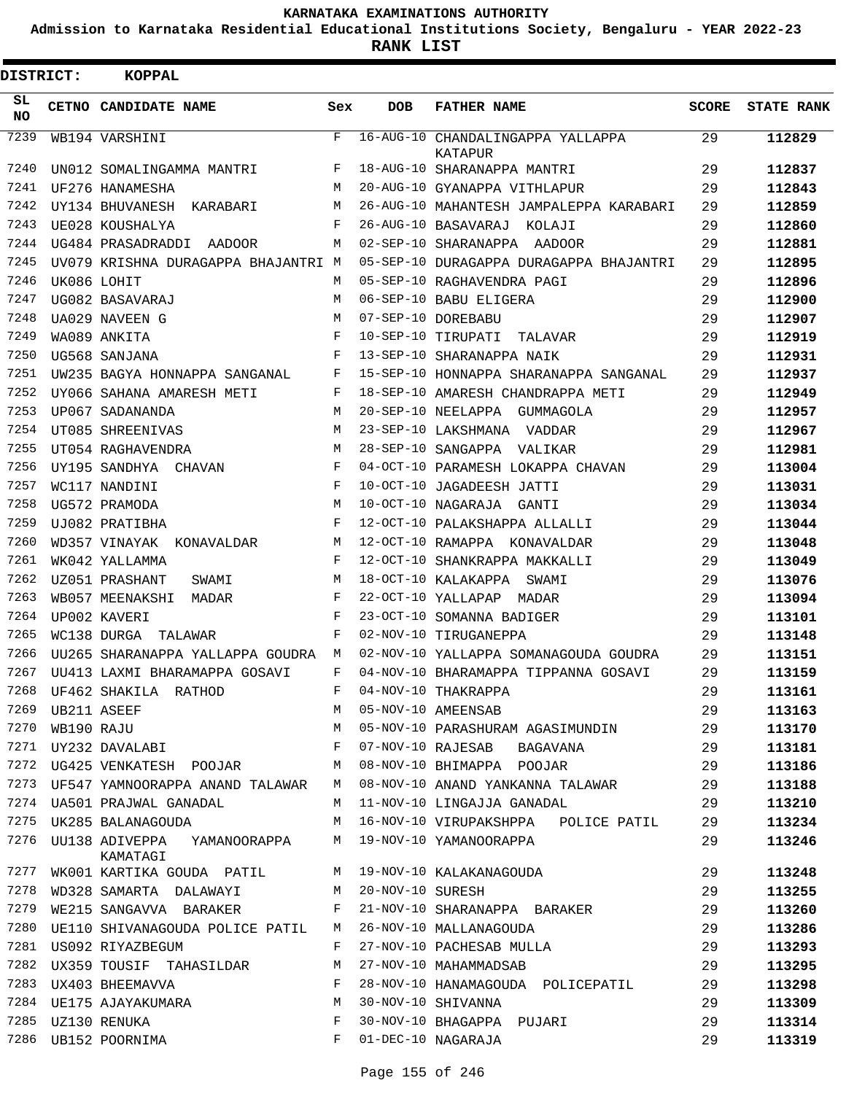**Admission to Karnataka Residential Educational Institutions Society, Bengaluru - YEAR 2022-23**

**RANK LIST**

| <b>DISTRICT:</b> |             | <b>KOPPAL</b>                              |     |                   |                                              |              |                   |
|------------------|-------------|--------------------------------------------|-----|-------------------|----------------------------------------------|--------------|-------------------|
| SL<br><b>NO</b>  |             | CETNO CANDIDATE NAME                       | Sex | <b>DOB</b>        | <b>FATHER NAME</b>                           | <b>SCORE</b> | <b>STATE RANK</b> |
| 7239             |             | WB194 VARSHINI                             | F   |                   | 16-AUG-10 CHANDALINGAPPA YALLAPPA<br>KATAPUR | 29           | 112829            |
| 7240             |             | UN012 SOMALINGAMMA MANTRI                  | F   |                   | 18-AUG-10 SHARANAPPA MANTRI                  | 29           | 112837            |
| 7241             |             | UF276 HANAMESHA                            | M   |                   | 20-AUG-10 GYANAPPA VITHLAPUR                 | 29           | 112843            |
| 7242             |             | UY134 BHUVANESH KARABARI                   | M   |                   | 26-AUG-10 MAHANTESH JAMPALEPPA KARABARI      | 29           | 112859            |
| 7243             |             | UE028 KOUSHALYA                            | F   |                   | 26-AUG-10 BASAVARAJ<br>KOLAJI                | 29           | 112860            |
| 7244             |             | UG484 PRASADRADDI<br><b>AADOOR</b>         | М   |                   | 02-SEP-10 SHARANAPPA AADOOR                  | 29           | 112881            |
| 7245             |             | UV079 KRISHNA DURAGAPPA BHAJANTRI M        |     |                   | 05-SEP-10 DURAGAPPA DURAGAPPA BHAJANTRI      | 29           | 112895            |
| 7246             |             | UK086 LOHIT                                | М   |                   | 05-SEP-10 RAGHAVENDRA PAGI                   | 29           | 112896            |
| 7247             |             | UG082 BASAVARAJ                            | М   |                   | 06-SEP-10 BABU ELIGERA                       | 29           | 112900            |
| 7248             |             | UA029 NAVEEN G                             | M   |                   | 07-SEP-10 DOREBABU                           | 29           | 112907            |
| 7249             |             | WA089 ANKITA                               | F   |                   | 10-SEP-10 TIRUPATI<br>TALAVAR                | 29           | 112919            |
| 7250             |             | UG568 SANJANA                              | F   |                   | 13-SEP-10 SHARANAPPA NAIK                    | 29           | 112931            |
| 7251             |             | UW235 BAGYA HONNAPPA SANGANAL              | F   |                   | 15-SEP-10 HONNAPPA SHARANAPPA SANGANAL       | 29           | 112937            |
| 7252             |             | UY066 SAHANA AMARESH METI                  | F   |                   | 18-SEP-10 AMARESH CHANDRAPPA METI            | 29           | 112949            |
| 7253             |             | UP067 SADANANDA                            | M   |                   | 20-SEP-10 NEELAPPA GUMMAGOLA                 | 29           | 112957            |
| 7254             |             | UT085 SHREENIVAS                           | M   |                   | 23-SEP-10 LAKSHMANA VADDAR                   | 29           | 112967            |
| 7255             |             | UT054 RAGHAVENDRA                          | M   |                   | 28-SEP-10 SANGAPPA VALIKAR                   | 29           | 112981            |
| 7256             |             | UY195 SANDHYA<br>CHAVAN                    | F   |                   | 04-OCT-10 PARAMESH LOKAPPA CHAVAN            | 29           | 113004            |
| 7257             |             | WC117 NANDINI                              | F   |                   | 10-OCT-10 JAGADEESH JATTI                    | 29           | 113031            |
| 7258             |             | UG572 PRAMODA                              | M   |                   | 10-OCT-10 NAGARAJA<br>GANTI                  | 29           | 113034            |
| 7259             |             | UJ082 PRATIBHA                             | F   |                   | 12-OCT-10 PALAKSHAPPA ALLALLI                | 29           | 113044            |
| 7260             |             | WD357 VINAYAK<br>KONAVALDAR                | М   | 12-OCT-10 RAMAPPA | KONAVALDAR                                   | 29           | 113048            |
| 7261             |             | WK042 YALLAMMA                             | F   |                   | 12-OCT-10 SHANKRAPPA MAKKALLI                | 29           | 113049            |
| 7262             |             | UZ051 PRASHANT<br>SWAMI                    | М   |                   | 18-OCT-10 KALAKAPPA<br>SWAMI                 | 29           | 113076            |
| 7263             |             | WB057 MEENAKSHI<br>MADAR                   | F   |                   | 22-OCT-10 YALLAPAP<br>MADAR                  | 29           | 113094            |
| 7264             |             | UP002 KAVERI                               | F   |                   | 23-OCT-10 SOMANNA BADIGER                    | 29           | 113101            |
| 7265             |             | WC138 DURGA<br>TALAWAR                     | F   |                   | 02-NOV-10 TIRUGANEPPA                        | 29           | 113148            |
| 7266             |             | UU265 SHARANAPPA YALLAPPA GOUDRA           | М   |                   | 02-NOV-10 YALLAPPA SOMANAGOUDA GOUDRA        | 29           | 113151            |
| 7267             |             | UU413 LAXMI BHARAMAPPA GOSAVI              | F   |                   | 04-NOV-10 BHARAMAPPA TIPPANNA GOSAVI         | 29           | 113159            |
| 7268             |             | UF462 SHAKILA RATHOD                       | F   |                   | 04-NOV-10 THAKRAPPA                          | 29           | 113161            |
| 7269             | UB211 ASEEF |                                            | М   |                   | 05-NOV-10 AMEENSAB                           | 29           | 113163            |
| 7270             | WB190 RAJU  |                                            | М   |                   | 05-NOV-10 PARASHURAM AGASIMUNDIN             | 29           | 113170            |
| 7271             |             | UY232 DAVALABI                             | F   | 07-NOV-10 RAJESAB | BAGAVANA                                     | 29           | 113181            |
| 7272             |             | UG425 VENKATESH POOJAR                     | М   |                   | 08-NOV-10 BHIMAPPA POOJAR                    | 29           | 113186            |
| 7273             |             | UF547 YAMNOORAPPA ANAND TALAWAR            | M   |                   | 08-NOV-10 ANAND YANKANNA TALAWAR             | 29           | 113188            |
| 7274             |             | UA501 PRAJWAL GANADAL                      | М   |                   | 11-NOV-10 LINGAJJA GANADAL                   | 29           | 113210            |
| 7275             |             | UK285 BALANAGOUDA                          | М   |                   | 16-NOV-10 VIRUPAKSHPPA POLICE PATIL          | 29           | 113234            |
| 7276             |             | UU138 ADIVEPPA<br>YAMANOORAPPA<br>KAMATAGI | М   |                   | 19-NOV-10 YAMANOORAPPA                       | 29           | 113246            |
| 7277             |             | WK001 KARTIKA GOUDA PATIL                  | M   |                   | 19-NOV-10 KALAKANAGOUDA                      | 29           | 113248            |
| 7278             |             | WD328 SAMARTA DALAWAYI                     | М   | 20-NOV-10 SURESH  |                                              | 29           | 113255            |
| 7279             |             | WE215 SANGAVVA BARAKER                     | F   |                   | 21-NOV-10 SHARANAPPA BARAKER                 | 29           | 113260            |
| 7280             |             | UE110 SHIVANAGOUDA POLICE PATIL            | М   |                   | 26-NOV-10 MALLANAGOUDA                       | 29           | 113286            |
| 7281             |             | US092 RIYAZBEGUM                           | F   |                   | 27-NOV-10 PACHESAB MULLA                     | 29           | 113293            |
| 7282             |             | UX359 TOUSIF TAHASILDAR                    | М   |                   | 27-NOV-10 MAHAMMADSAB                        | 29           | 113295            |
| 7283             |             | UX403 BHEEMAVVA                            | F   |                   | 28-NOV-10 HANAMAGOUDA POLICEPATIL            | 29           | 113298            |
| 7284             |             | UE175 AJAYAKUMARA                          | M   |                   | 30-NOV-10 SHIVANNA                           | 29           | 113309            |
| 7285             |             | UZ130 RENUKA                               | F   |                   | 30-NOV-10 BHAGAPPA PUJARI                    | 29           | 113314            |
| 7286             |             | UB152 POORNIMA                             | F   |                   | 01-DEC-10 NAGARAJA                           | 29           | 113319            |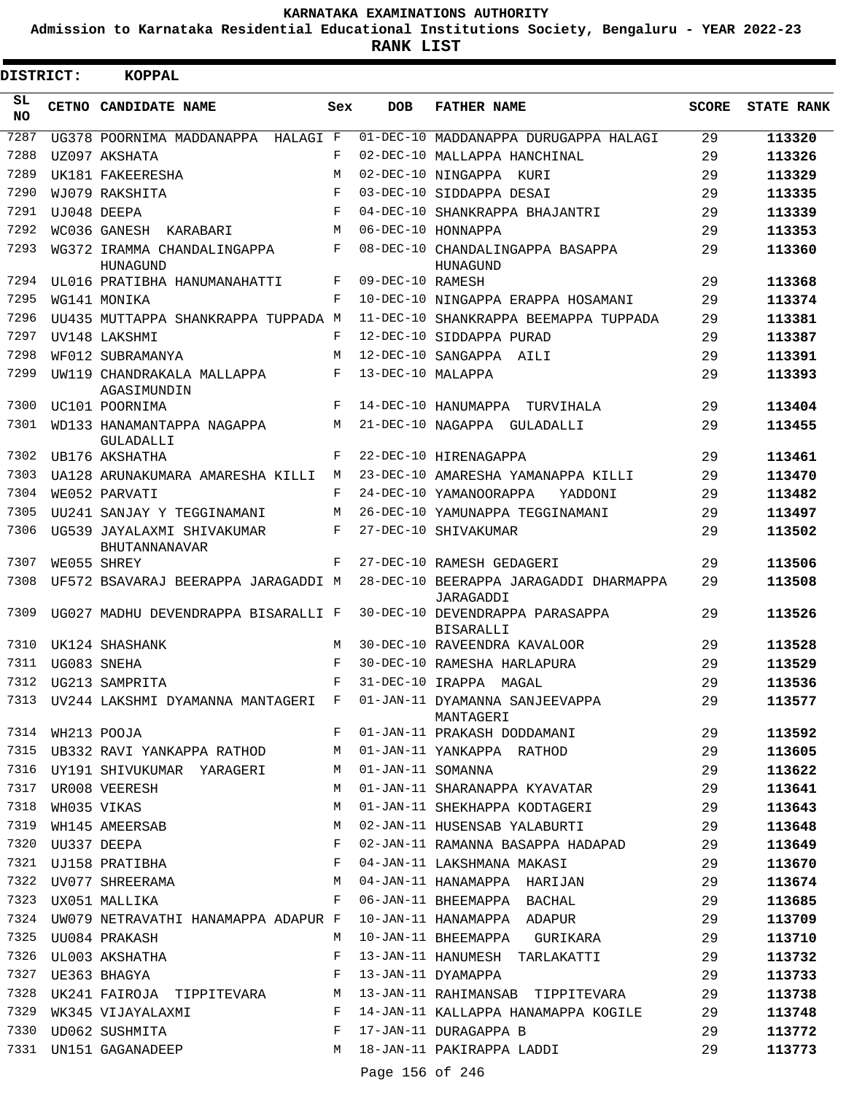**Admission to Karnataka Residential Educational Institutions Society, Bengaluru - YEAR 2022-23**

**RANK LIST**

| DISTRICT:        |                  | <b>KOPPAL</b>                                  |              |                   |                                                                                     |              |                   |
|------------------|------------------|------------------------------------------------|--------------|-------------------|-------------------------------------------------------------------------------------|--------------|-------------------|
| SL.<br><b>NO</b> |                  | CETNO CANDIDATE NAME                           | Sex          | <b>DOB</b>        | <b>FATHER NAME</b>                                                                  | <b>SCORE</b> | <b>STATE RANK</b> |
| 7287             |                  | UG378 POORNIMA MADDANAPPA HALAGI F             |              |                   | 01-DEC-10 MADDANAPPA DURUGAPPA HALAGI                                               | 29           | 113320            |
| 7288             |                  | UZ097 AKSHATA                                  | F            |                   | 02-DEC-10 MALLAPPA HANCHINAL                                                        | 29           | 113326            |
| 7289             |                  | UK181 FAKEERESHA                               | М            |                   | 02-DEC-10 NINGAPPA KURI                                                             | 29           | 113329            |
| 7290             |                  | WJ079 RAKSHITA                                 | F            |                   | 03-DEC-10 SIDDAPPA DESAI                                                            | 29           | 113335            |
| 7291             |                  | UJ048 DEEPA                                    | F            |                   | 04-DEC-10 SHANKRAPPA BHAJANTRI                                                      | 29           | 113339            |
| 7292             |                  | WC036 GANESH KARABARI                          | М            |                   | 06-DEC-10 HONNAPPA                                                                  | 29           | 113353            |
| 7293             |                  | WG372 IRAMMA CHANDALINGAPPA<br>HUNAGUND        | F            |                   | 08-DEC-10 CHANDALINGAPPA BASAPPA<br>HUNAGUND                                        | 29           | 113360            |
| 7294             |                  | UL016 PRATIBHA HANUMANAHATTI                   | F            | 09-DEC-10 RAMESH  |                                                                                     | 29           | 113368            |
| 7295             |                  | WG141 MONIKA                                   | F            |                   | 10-DEC-10 NINGAPPA ERAPPA HOSAMANI                                                  | 29           | 113374            |
| 7296             |                  | UU435 MUTTAPPA SHANKRAPPA TUPPADA M            |              |                   | 11-DEC-10 SHANKRAPPA BEEMAPPA TUPPADA                                               | 29           | 113381            |
| 7297             |                  | UV148 LAKSHMI                                  | F            |                   | 12-DEC-10 SIDDAPPA PURAD                                                            | 29           | 113387            |
| 7298             |                  | WF012 SUBRAMANYA                               | М            |                   | 12-DEC-10 SANGAPPA AILI                                                             | 29           | 113391            |
| 7299             |                  | UW119 CHANDRAKALA MALLAPPA<br>AGASIMUNDIN      | F            | 13-DEC-10 MALAPPA |                                                                                     | 29           | 113393            |
| 7300             |                  | UC101 POORNIMA                                 | F            |                   | 14-DEC-10 HANUMAPPA TURVIHALA                                                       | 29           | 113404            |
| 7301             |                  | WD133 HANAMANTAPPA NAGAPPA<br><b>GULADALLI</b> | M            |                   | 21-DEC-10 NAGAPPA GULADALLI                                                         | 29           | 113455            |
| 7302             |                  | UB176 AKSHATHA                                 | $\mathbf{F}$ |                   | 22-DEC-10 HIRENAGAPPA                                                               | 29           | 113461            |
| 7303             |                  | UA128 ARUNAKUMARA AMARESHA KILLI               | M            |                   | 23-DEC-10 AMARESHA YAMANAPPA KILLI                                                  | 29           | 113470            |
| 7304             |                  | WE052 PARVATI                                  | F            |                   | 24-DEC-10 YAMANOORAPPA<br>YADDONI                                                   | 29           | 113482            |
| 7305             |                  | UU241 SANJAY Y TEGGINAMANI                     | М            |                   | 26-DEC-10 YAMUNAPPA TEGGINAMANI                                                     | 29           | 113497            |
| 7306             |                  | UG539 JAYALAXMI SHIVAKUMAR<br>BHUTANNANAVAR    | F            |                   | 27-DEC-10 SHIVAKUMAR                                                                | 29           | 113502            |
| 7307             |                  | WE055 SHREY                                    | F            |                   | 27-DEC-10 RAMESH GEDAGERI                                                           | 29           | 113506            |
| 7308             |                  | UF572 BSAVARAJ BEERAPPA JARAGADDI M            |              |                   | 28-DEC-10 BEERAPPA JARAGADDI DHARMAPPA<br>JARAGADDI                                 | 29           | 113508            |
| 7309             |                  | UG027 MADHU DEVENDRAPPA BISARALLI F            |              |                   | 30-DEC-10 DEVENDRAPPA PARASAPPA<br><b>BISARALLI</b>                                 | 29           | 113526            |
| 7310             |                  | UK124 SHASHANK                                 | M            |                   | 30-DEC-10 RAVEENDRA KAVALOOR                                                        | 29           | 113528            |
| 7311             |                  | UG083 SNEHA                                    | F            |                   | 30-DEC-10 RAMESHA HARLAPURA                                                         | 29           | 113529            |
|                  |                  | 7312 UG213 SAMPRITA                            | F            |                   | 31-DEC-10 IRAPPA MAGAL                                                              | 29           | 113536            |
|                  |                  |                                                |              |                   | 7313 UV244 LAKSHMI DYAMANNA MANTAGERI F 01-JAN-11 DYAMANNA SANJEEVAPPA<br>MANTAGERI | 29           | 113577            |
|                  | 7314 WH213 POOJA |                                                | $F$ and      |                   | 01-JAN-11 PRAKASH DODDAMANI                                                         | 29           | 113592            |
|                  |                  | 7315 UB332 RAVI YANKAPPA RATHOD                |              |                   | M 01-JAN-11 YANKAPPA RATHOD                                                         | 29           | 113605            |
|                  |                  | 7316 UY191 SHIVUKUMAR YARAGERI                 | M            | 01-JAN-11 SOMANNA |                                                                                     | 29           | 113622            |
| 7317             |                  | UR008 VEERESH                                  | М            |                   | 01-JAN-11 SHARANAPPA KYAVATAR                                                       | 29           | 113641            |
| 7318             |                  | WH035 VIKAS                                    | М            |                   | 01-JAN-11 SHEKHAPPA KODTAGERI                                                       | 29           | 113643            |
| 7319             |                  | WH145 AMEERSAB                                 | М            |                   | 02-JAN-11 HUSENSAB YALABURTI                                                        | 29           | 113648            |
| 7320             |                  | UU337 DEEPA                                    | F            |                   | 02-JAN-11 RAMANNA BASAPPA HADAPAD                                                   | 29           | 113649            |
| 7321             |                  | UJ158 PRATIBHA                                 | F            |                   | 04-JAN-11 LAKSHMANA MAKASI                                                          | 29           | 113670            |
| 7322             |                  |                                                |              |                   | UV077 SHREERAMA 64-JAN-11 HANAMAPPA HARIJAN                                         | 29           | 113674            |
| 7323             |                  | UX051 MALLIKA                                  |              |                   | F 06-JAN-11 BHEEMAPPA BACHAL                                                        | 29           | 113685            |
| 7324             |                  |                                                |              |                   | UW079 NETRAVATHI HANAMAPPA ADAPUR F 10-JAN-11 HANAMAPPA ADAPUR                      | 29           | 113709            |
| 7325             |                  | UU084 PRAKASH                                  | M            |                   | 10-JAN-11 BHEEMAPPA GURIKARA                                                        | 29           | 113710            |
| 7326             |                  | UL003 AKSHATHA                                 | F            |                   | 13-JAN-11 HANUMESH TARLAKATTI                                                       | 29           | 113732            |
| 7327             |                  | UE363 BHAGYA                                   | F            |                   | 13-JAN-11 DYAMAPPA                                                                  | 29           | 113733            |
| 7328             |                  |                                                |              |                   | UK241 FAIROJA TIPPITEVARA M 13-JAN-11 RAHIMANSAB TIPPITEVARA                        | 29           | 113738            |
| 7329             |                  | WK345 VIJAYALAXMI                              |              |                   | F 14-JAN-11 KALLAPPA HANAMAPPA KOGILE                                               | 29           | 113748            |
| 7330             |                  | UD062 SUSHMITA                                 |              |                   | F 17-JAN-11 DURAGAPPA B                                                             | 29           | 113772            |
|                  |                  | 7331 UN151 GAGANADEEP                          | M            |                   | 18-JAN-11 PAKIRAPPA LADDI                                                           | 29           | 113773            |
|                  |                  |                                                |              | Page 156 of 246   |                                                                                     |              |                   |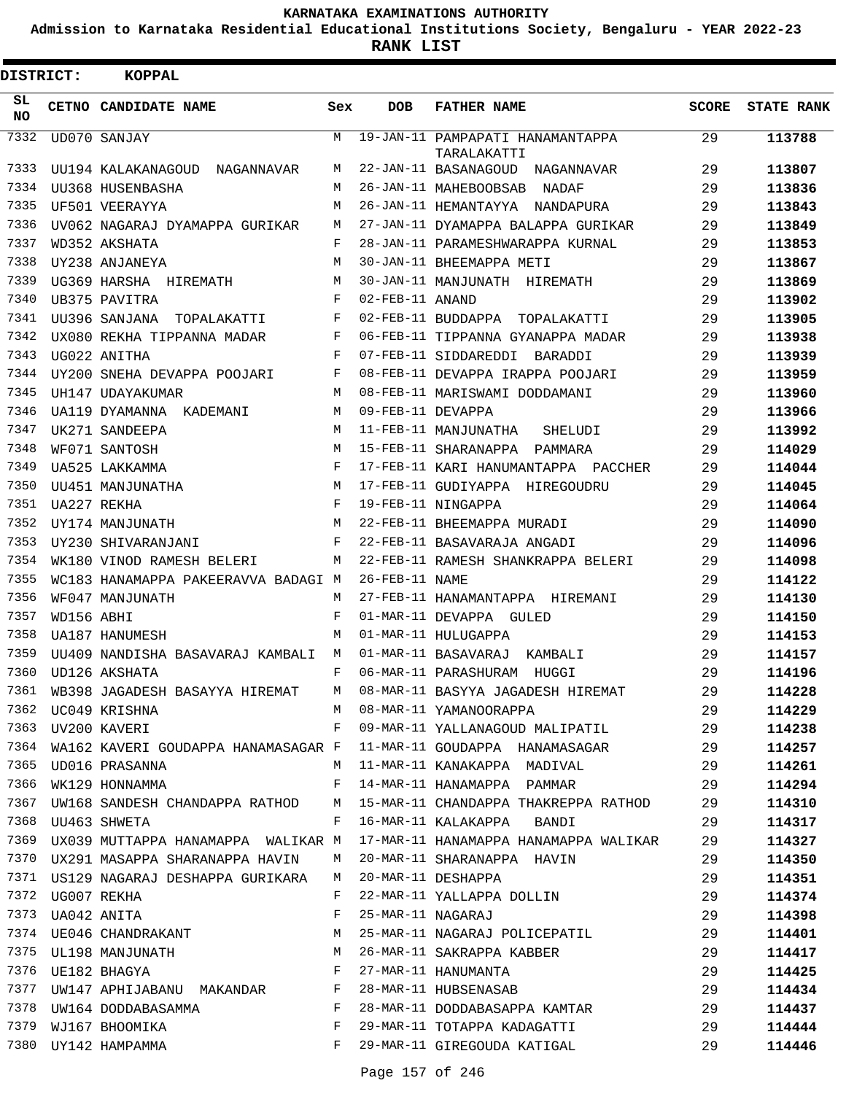**Admission to Karnataka Residential Educational Institutions Society, Bengaluru - YEAR 2022-23**

| <b>DISTRICT:</b> |                  | <b>KOPPAL</b>                             |              |                   |                                                                            |              |                   |
|------------------|------------------|-------------------------------------------|--------------|-------------------|----------------------------------------------------------------------------|--------------|-------------------|
| SL<br>NO.        |                  | CETNO CANDIDATE NAME                      | Sex          | <b>DOB</b>        | <b>FATHER NAME</b>                                                         | <b>SCORE</b> | <b>STATE RANK</b> |
| 7332             |                  | UD070 SANJAY                              | М            |                   | 19-JAN-11 PAMPAPATI HANAMANTAPPA<br>TARALAKATTI                            | 29           | 113788            |
| 7333             |                  | UU194 KALAKANAGOUD NAGANNAVAR             | М            |                   | 22-JAN-11 BASANAGOUD<br>NAGANNAVAR                                         | 29           | 113807            |
| 7334             |                  | UU368 HUSENBASHA                          | M            |                   | 26-JAN-11 MAHEBOOBSAB NADAF                                                | 29           | 113836            |
| 7335             |                  | UF501 VEERAYYA                            | M            |                   | 26-JAN-11 HEMANTAYYA NANDAPURA                                             | 29           | 113843            |
| 7336             |                  | UV062 NAGARAJ DYAMAPPA GURIKAR            | М            |                   | 27-JAN-11 DYAMAPPA BALAPPA GURIKAR                                         | 29           | 113849            |
| 7337             |                  | WD352 AKSHATA                             | F            |                   | 28-JAN-11 PARAMESHWARAPPA KURNAL                                           | 29           | 113853            |
| 7338             |                  | UY238 ANJANEYA                            | M            |                   | 30-JAN-11 BHEEMAPPA METI                                                   | 29           | 113867            |
| 7339             |                  | UG369 HARSHA HIREMATH                     | M            |                   | 30-JAN-11 MANJUNATH HIREMATH                                               | 29           | 113869            |
| 7340             |                  | UB375 PAVITRA                             | F            | 02-FEB-11 ANAND   |                                                                            | 29           | 113902            |
| 7341             |                  | UU396 SANJANA<br>TOPALAKATTI              | F            |                   | 02-FEB-11 BUDDAPPA TOPALAKATTI                                             | 29           | 113905            |
| 7342             |                  | UX080 REKHA TIPPANNA MADAR                | F            |                   | 06-FEB-11 TIPPANNA GYANAPPA MADAR                                          | 29           | 113938            |
| 7343             |                  | UG022 ANITHA                              | F            |                   | 07-FEB-11 SIDDAREDDI BARADDI                                               | 29           | 113939            |
| 7344             |                  | UY200 SNEHA DEVAPPA POOJARI               | F            |                   | 08-FEB-11 DEVAPPA IRAPPA POOJARI                                           | 29           | 113959            |
| 7345             |                  | UH147 UDAYAKUMAR                          | М            |                   | 08-FEB-11 MARISWAMI DODDAMANI                                              | 29           | 113960            |
| 7346             |                  | UA119 DYAMANNA KADEMANI                   | М            | 09-FEB-11 DEVAPPA |                                                                            | 29           | 113966            |
| 7347             |                  | UK271 SANDEEPA                            | M            |                   | 11-FEB-11 MANJUNATHA<br>SHELUDI                                            | 29           | 113992            |
| 7348             |                  | WF071 SANTOSH                             | M            |                   | 15-FEB-11 SHARANAPPA PAMMARA                                               | 29           | 114029            |
| 7349             |                  | UA525 LAKKAMMA                            | F            |                   | 17-FEB-11 KARI HANUMANTAPPA PACCHER                                        | 29           | 114044            |
| 7350             |                  | UU451 MANJUNATHA                          | M            |                   | 17-FEB-11 GUDIYAPPA HIREGOUDRU                                             | 29           | 114045            |
| 7351             | UA227 REKHA      |                                           | F            |                   | 19-FEB-11 NINGAPPA                                                         | 29           | 114064            |
| 7352             |                  | UY174 MANJUNATH                           | М            |                   | 22-FEB-11 BHEEMAPPA MURADI                                                 | 29           | 114090            |
| 7353             |                  | UY230 SHIVARANJANI                        | F            |                   | 22-FEB-11 BASAVARAJA ANGADI                                                | 29           | 114096            |
| 7354             |                  | WK180 VINOD RAMESH BELERI                 | М            |                   | 22-FEB-11 RAMESH SHANKRAPPA BELERI                                         | 29           | 114098            |
| 7355             |                  | WC183 HANAMAPPA PAKEERAVVA BADAGI M       |              | 26-FEB-11 NAME    |                                                                            | 29           | 114122            |
| 7356             |                  | WF047 MANJUNATH                           | M            |                   | 27-FEB-11 HANAMANTAPPA HIREMANI                                            | 29           | 114130            |
| 7357             | WD156 ABHI       |                                           | F            |                   | 01-MAR-11 DEVAPPA GULED                                                    | 29           | 114150            |
| 7358             |                  | <b>UA187 HANUMESH</b>                     | M            |                   | 01-MAR-11 HULUGAPPA                                                        | 29           | 114153            |
| 7359             |                  | UU409 NANDISHA BASAVARAJ KAMBALI          | M            |                   | 01-MAR-11 BASAVARAJ KAMBALI                                                | 29           | 114157            |
| 7360             |                  | UD126 AKSHATA                             | F            |                   | 06-MAR-11 PARASHURAM HUGGI                                                 | 29           | 114196            |
| 7361             |                  | WB398 JAGADESH BASAYYA HIREMAT            | M            |                   | 08-MAR-11 BASYYA JAGADESH HIREMAT                                          | 29           | 114228            |
| 7362             |                  | UC049 KRISHNA                             | M            |                   | 08-MAR-11 YAMANOORAPPA                                                     | 29           | 114229            |
|                  |                  | 7363 UV200 KAVERI                         | F            |                   | 09-MAR-11 YALLANAGOUD MALIPATIL                                            | 29           | 114238            |
| 7364             |                  | WA162 KAVERI GOUDAPPA HANAMASAGAR F       |              |                   | 11-MAR-11 GOUDAPPA HANAMASAGAR                                             | 29           | 114257            |
|                  |                  | 7365 UD016 PRASANNA                       | M            |                   | 11-MAR-11 KANAKAPPA MADIVAL                                                | 29           | 114261            |
| 7366             |                  | WK129 HONNAMMA                            | $\mathbf{F}$ |                   | 14-MAR-11 HANAMAPPA PAMMAR                                                 | 29           | 114294            |
|                  |                  |                                           |              |                   | 7367 UW168 SANDESH CHANDAPPA RATHOD M 15-MAR-11 CHANDAPPA THAKREPPA RATHOD | 29           | 114310            |
| 7368             |                  | UU463 SHWETA                              | $\mathbf{F}$ |                   | 16-MAR-11 KALAKAPPA BANDI                                                  | 29           | 114317            |
| 7369             |                  | UX039 MUTTAPPA HANAMAPPA WALIKAR M        |              |                   | 17-MAR-11 HANAMAPPA HANAMAPPA WALIKAR                                      | 29           | 114327            |
| 7370             |                  | UX291 MASAPPA SHARANAPPA HAVIN            | М            |                   | 20-MAR-11 SHARANAPPA HAVIN                                                 | 29           | 114350            |
|                  |                  | 7371 US129 NAGARAJ DESHAPPA GURIKARA      | M            |                   | 20-MAR-11 DESHAPPA                                                         | 29           | 114351            |
|                  | 7372 UG007 REKHA |                                           | F            |                   |                                                                            | 29           | 114374            |
| 7373             | UA042 ANITA      |                                           | F            | 25-MAR-11 NAGARAJ | 22-MAR-11 YALLAPPA DOLLIN                                                  | 29           |                   |
|                  |                  | 7374 UE046 CHANDRAKANT M                  |              |                   | 25-MAR-11 NAGARAJ POLICEPATIL                                              | 29           | 114398<br>114401  |
|                  |                  | M                                         |              |                   |                                                                            | 29           |                   |
|                  |                  | 7375 UL198 MANJUNATH<br>7376 UE182 BHAGYA | $\mathbb F$  |                   | 26-MAR-11 SAKRAPPA KABBER<br>27-MAR-11 HANUMANTA                           | 29           | 114417            |
| 7377             |                  | UW147 APHIJABANU MAKANDAR F               |              |                   | 28-MAR-11 HUBSENASAB                                                       | 29           | 114425            |
| 7378             |                  |                                           | F            |                   |                                                                            |              | 114434            |
|                  |                  | UW164 DODDABASAMMA                        | F            |                   | 28-MAR-11 DODDABASAPPA KAMTAR                                              | 29           | 114437            |
| 7379             |                  | WJ167 BHOOMIKA                            |              |                   | 29-MAR-11 TOTAPPA KADAGATTI                                                | 29           | 114444            |
|                  |                  | 7380 UY142 HAMPAMMA                       | F            |                   | 29-MAR-11 GIREGOUDA KATIGAL                                                | 29           | 114446            |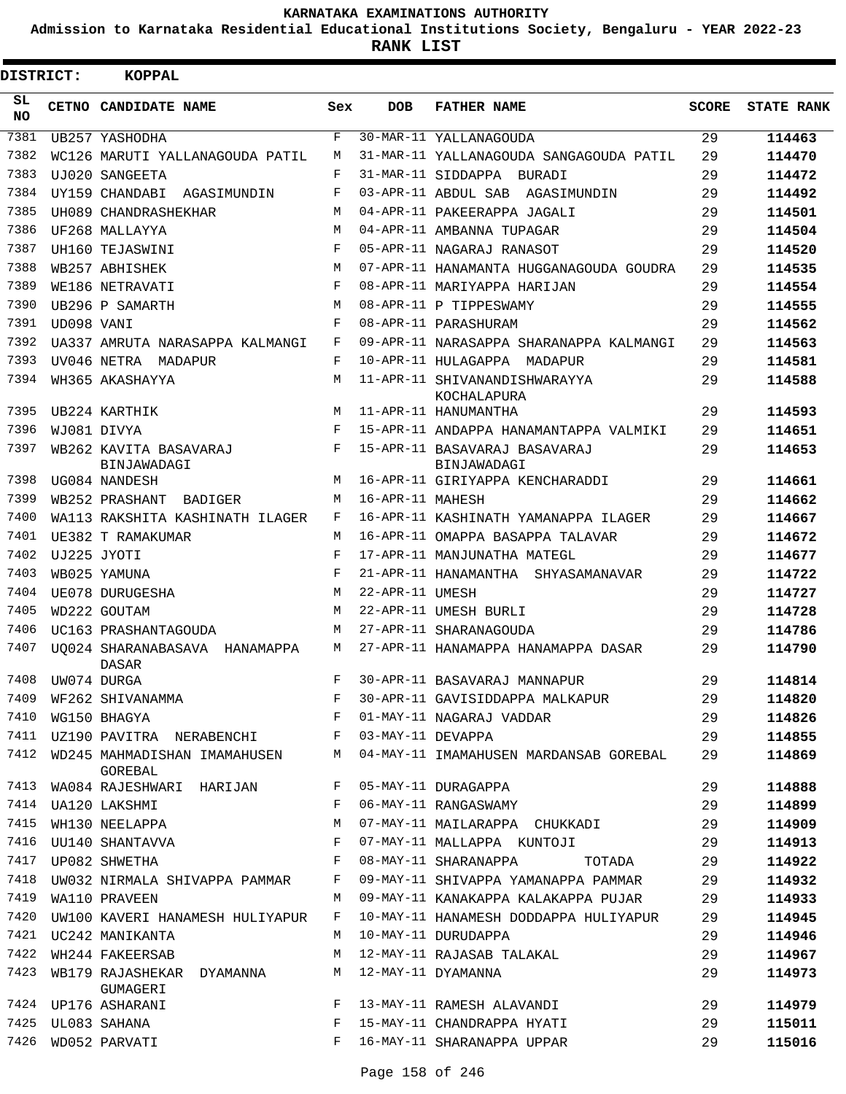**Admission to Karnataka Residential Educational Institutions Society, Bengaluru - YEAR 2022-23**

**RANK LIST**

| DISTRICT:       |            | <b>KOPPAL</b>                                  |            |                   |                                              |              |                   |
|-----------------|------------|------------------------------------------------|------------|-------------------|----------------------------------------------|--------------|-------------------|
| SL<br><b>NO</b> |            | CETNO CANDIDATE NAME                           | Sex        | <b>DOB</b>        | <b>FATHER NAME</b>                           | <b>SCORE</b> | <b>STATE RANK</b> |
| 7381            |            | UB257 YASHODHA                                 | F          |                   | 30-MAR-11 YALLANAGOUDA                       | 29           | 114463            |
| 7382            |            | WC126 MARUTI YALLANAGOUDA PATIL                | M          |                   | 31-MAR-11 YALLANAGOUDA SANGAGOUDA PATIL      | 29           | 114470            |
| 7383            |            | UJ020 SANGEETA                                 | F          |                   | 31-MAR-11 SIDDAPPA BURADI                    | 29           | 114472            |
| 7384            |            | UY159 CHANDABI<br>AGASIMUNDIN                  | F          |                   | 03-APR-11 ABDUL SAB AGASIMUNDIN              | 29           | 114492            |
| 7385            |            | UH089 CHANDRASHEKHAR                           | M          |                   | 04-APR-11 PAKEERAPPA JAGALI                  | 29           | 114501            |
| 7386            |            | UF268 MALLAYYA                                 | M          |                   | 04-APR-11 AMBANNA TUPAGAR                    | 29           | 114504            |
| 7387            |            | UH160 TEJASWINI                                | F          |                   | 05-APR-11 NAGARAJ RANASOT                    | 29           | 114520            |
| 7388            |            | WB257 ABHISHEK                                 | M          |                   | 07-APR-11 HANAMANTA HUGGANAGOUDA GOUDRA      | 29           | 114535            |
| 7389            |            | WE186 NETRAVATI                                | F          |                   | 08-APR-11 MARIYAPPA HARIJAN                  | 29           | 114554            |
| 7390            |            | UB296 P SAMARTH                                | M          |                   | 08-APR-11 P TIPPESWAMY                       | 29           | 114555            |
| 7391            | UD098 VANI |                                                | F          |                   | 08-APR-11 PARASHURAM                         | 29           | 114562            |
| 7392            |            | UA337 AMRUTA NARASAPPA KALMANGI                | F          |                   | 09-APR-11 NARASAPPA SHARANAPPA KALMANGI      | 29           | 114563            |
| 7393            |            | UV046 NETRA MADAPUR                            | F          |                   | 10-APR-11 HULAGAPPA MADAPUR                  | 29           | 114581            |
| 7394            |            | WH365 AKASHAYYA                                | M          |                   | 11-APR-11 SHIVANANDISHWARAYYA<br>KOCHALAPURA | 29           | 114588            |
| 7395            |            | UB224 KARTHIK                                  | М          |                   | 11-APR-11 HANUMANTHA                         | 29           | 114593            |
| 7396            |            | WJ081 DIVYA                                    | F          |                   | 15-APR-11 ANDAPPA HANAMANTAPPA VALMIKI       | 29           | 114651            |
| 7397            |            | WB262 KAVITA BASAVARAJ<br>BINJAWADAGI          | F          |                   | 15-APR-11 BASAVARAJ BASAVARAJ<br>BINJAWADAGI | 29           | 114653            |
| 7398            |            | UG084 NANDESH                                  | M          |                   | 16-APR-11 GIRIYAPPA KENCHARADDI              | 29           | 114661            |
| 7399            |            | WB252 PRASHANT<br>BADIGER                      | M          | 16-APR-11 MAHESH  |                                              | 29           | 114662            |
| 7400            |            | WA113 RAKSHITA KASHINATH ILAGER                | F          |                   | 16-APR-11 KASHINATH YAMANAPPA ILAGER         | 29           | 114667            |
| 7401            |            | UE382 T RAMAKUMAR                              | M          |                   | 16-APR-11 OMAPPA BASAPPA TALAVAR             | 29           | 114672            |
| 7402            |            | UJ225 JYOTI                                    | $_{\rm F}$ |                   | 17-APR-11 MANJUNATHA MATEGL                  | 29           | 114677            |
| 7403            |            | WB025 YAMUNA                                   | F          |                   | 21-APR-11 HANAMANTHA SHYASAMANAVAR           | 29           | 114722            |
| 7404            |            | UE078 DURUGESHA                                | M          | 22-APR-11 UMESH   |                                              | 29           | 114727            |
| 7405            |            | WD222 GOUTAM                                   | М          |                   | 22-APR-11 UMESH BURLI                        | 29           | 114728            |
| 7406            |            | UC163 PRASHANTAGOUDA                           | M          |                   | 27-APR-11 SHARANAGOUDA                       | 29           | 114786            |
| 7407            |            | UO024 SHARANABASAVA HANAMAPPA<br>DASAR         | M          |                   | 27-APR-11 HANAMAPPA HANAMAPPA DASAR          | 29           | 114790            |
| 7408            |            | UW074 DURGA                                    | F          |                   | 30-APR-11 BASAVARAJ MANNAPUR                 | 29           | 114814            |
| 7409            |            | WF262 SHIVANAMMA                               | F          |                   | 30-APR-11 GAVISIDDAPPA MALKAPUR              | 29           | 114820            |
| 7410            |            | WG150 BHAGYA                                   | F          |                   | 01-MAY-11 NAGARAJ VADDAR                     | 29           | 114826            |
| 7411            |            | UZ190 PAVITRA NERABENCHI F                     |            | 03-MAY-11 DEVAPPA |                                              | 29           | 114855            |
| 7412            |            | WD245 MAHMADISHAN IMAMAHUSEN<br><b>GOREBAL</b> | М          |                   | 04-MAY-11 IMAMAHUSEN MARDANSAB GOREBAL       | 29           | 114869            |
| 7413            |            | WA084 RAJESHWARI HARIJAN                       | F          |                   | 05-MAY-11 DURAGAPPA                          | 29           | 114888            |
| 7414            |            | UA120 LAKSHMI                                  | F          |                   | 06-MAY-11 RANGASWAMY                         | 29           | 114899            |
| 7415            |            | WH130 NEELAPPA                                 | М          |                   | 07-MAY-11 MAILARAPPA CHUKKADI                | 29           | 114909            |
| 7416            |            | UU140 SHANTAVVA                                | F          |                   | 07-MAY-11 MALLAPPA KUNTOJI                   | 29           | 114913            |
| 7417            |            | UP082 SHWETHA                                  | $_{\rm F}$ |                   | 08-MAY-11 SHARANAPPA TOTADA                  | 29           | 114922            |
| 7418            |            | UW032 NIRMALA SHIVAPPA PAMMAR                  | F          |                   | 09-MAY-11 SHIVAPPA YAMANAPPA PAMMAR          | 29           | 114932            |
| 7419            |            | WA110 PRAVEEN                                  | М          |                   | 09-MAY-11 KANAKAPPA KALAKAPPA PUJAR          | 29           | 114933            |
| 7420            |            | UW100 KAVERI HANAMESH HULIYAPUR                | F          |                   | 10-MAY-11 HANAMESH DODDAPPA HULIYAPUR        | 29           | 114945            |
|                 |            | 7421 UC242 MANIKANTA                           | М          |                   | 10-MAY-11 DURUDAPPA                          | 29           | 114946            |
| 7422            |            | WH244 FAKEERSAB                                | М          |                   | 12-MAY-11 RAJASAB TALAKAL                    | 29           | 114967            |
| 7423            |            | WB179 RAJASHEKAR DYAMANNA<br>GUMAGERI          | М          |                   | 12-MAY-11 DYAMANNA                           | 29           | 114973            |
| 7424            |            | UP176 ASHARANI                                 | F          |                   | 13-MAY-11 RAMESH ALAVANDI                    | 29           | 114979            |
| 7425            |            | UL083 SAHANA                                   | F          |                   | 15-MAY-11 CHANDRAPPA HYATI                   | 29           | 115011            |
| 7426            |            | WD052 PARVATI                                  | F          |                   | 16-MAY-11 SHARANAPPA UPPAR                   | 29           | 115016            |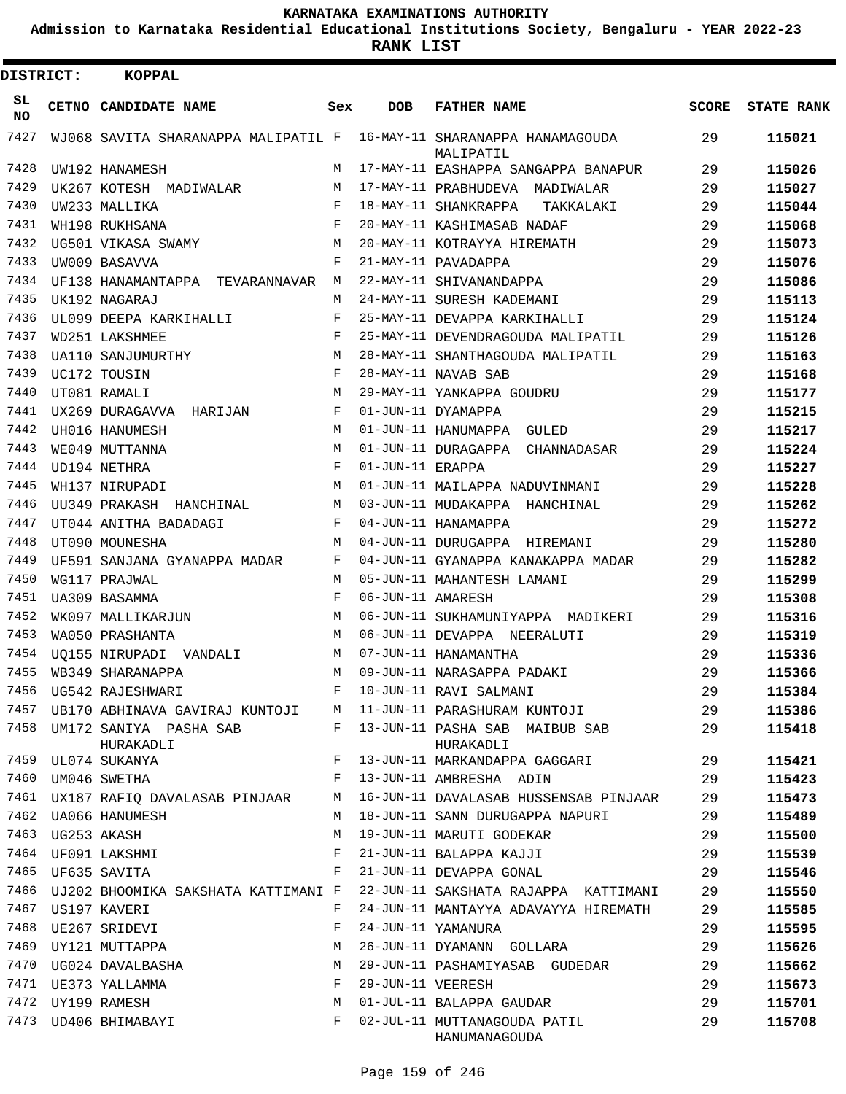**Admission to Karnataka Residential Educational Institutions Society, Bengaluru - YEAR 2022-23**

**RANK LIST**

| DISTRICT:       | <b>KOPPAL</b>                       |            |                   |                                               |              |                   |
|-----------------|-------------------------------------|------------|-------------------|-----------------------------------------------|--------------|-------------------|
| SL<br><b>NO</b> | CETNO CANDIDATE NAME                | Sex        | <b>DOB</b>        | <b>FATHER NAME</b>                            | <b>SCORE</b> | <b>STATE RANK</b> |
| 7427            | WJ068 SAVITA SHARANAPPA MALIPATIL F |            |                   | 16-MAY-11 SHARANAPPA HANAMAGOUDA<br>MALIPATIL | 29           | 115021            |
| 7428            | UW192 HANAMESH                      | М          |                   | 17-MAY-11 EASHAPPA SANGAPPA BANAPUR           | 29           | 115026            |
| 7429            | UK267 KOTESH MADIWALAR              | М          |                   | 17-MAY-11 PRABHUDEVA MADIWALAR                | 29           | 115027            |
| 7430            | UW233 MALLIKA                       | F          |                   | 18-MAY-11 SHANKRAPPA<br>TAKKALAKI             | 29           | 115044            |
| 7431            | WH198 RUKHSANA                      | F          |                   | 20-MAY-11 KASHIMASAB NADAF                    | 29           | 115068            |
| 7432            | UG501 VIKASA SWAMY                  | М          |                   | 20-MAY-11 KOTRAYYA HIREMATH                   | 29           | 115073            |
| 7433            | UW009 BASAVVA                       | F          |                   | 21-MAY-11 PAVADAPPA                           | 29           | 115076            |
| 7434            | UF138 HANAMANTAPPA TEVARANNAVAR     | М          |                   | 22-MAY-11 SHIVANANDAPPA                       | 29           | 115086            |
| 7435            | UK192 NAGARAJ                       | М          |                   | 24-MAY-11 SURESH KADEMANI                     | 29           | 115113            |
| 7436            | UL099 DEEPA KARKIHALLI              | F          |                   | 25-MAY-11 DEVAPPA KARKIHALLI                  | 29           | 115124            |
| 7437            | WD251 LAKSHMEE                      | F          |                   | 25-MAY-11 DEVENDRAGOUDA MALIPATIL             | 29           | 115126            |
| 7438            | UA110 SANJUMURTHY                   | М          |                   | 28-MAY-11 SHANTHAGOUDA MALIPATIL              | 29           | 115163            |
| 7439            | UC172 TOUSIN                        | F          |                   | 28-MAY-11 NAVAB SAB                           | 29           | 115168            |
| 7440            | UT081 RAMALI                        | М          |                   | 29-MAY-11 YANKAPPA GOUDRU                     | 29           | 115177            |
| 7441            | UX269 DURAGAVVA HARIJAN             | F          |                   | 01-JUN-11 DYAMAPPA                            | 29           | 115215            |
| 7442            | UH016 HANUMESH                      | M          |                   | 01-JUN-11 HANUMAPPA GULED                     | 29           | 115217            |
| 7443            | WE049 MUTTANNA                      | M          |                   | 01-JUN-11 DURAGAPPA CHANNADASAR               | 29           | 115224            |
| 7444            | UD194 NETHRA                        | F          | 01-JUN-11 ERAPPA  |                                               | 29           | 115227            |
| 7445            | WH137 NIRUPADI                      | M          |                   | 01-JUN-11 MAILAPPA NADUVINMANI                | 29           | 115228            |
| 7446            | UU349 PRAKASH HANCHINAL             | М          |                   | 03-JUN-11 MUDAKAPPA HANCHINAL                 | 29           | 115262            |
| 7447            | UT044 ANITHA BADADAGI               | F          |                   | 04-JUN-11 HANAMAPPA                           | 29           | 115272            |
| 7448            | UT090 MOUNESHA                      | М          |                   | 04-JUN-11 DURUGAPPA HIREMANI                  | 29           | 115280            |
| 7449            | UF591 SANJANA GYANAPPA MADAR        | F          |                   | 04-JUN-11 GYANAPPA KANAKAPPA MADAR            | 29           | 115282            |
| 7450            | WG117 PRAJWAL                       | М          |                   | 05-JUN-11 MAHANTESH LAMANI                    | 29           | 115299            |
| 7451            | UA309 BASAMMA                       | $_{\rm F}$ | 06-JUN-11 AMARESH |                                               | 29           | 115308            |
| 7452            | WK097 MALLIKARJUN                   | М          |                   | 06-JUN-11 SUKHAMUNIYAPPA MADIKERI             | 29           | 115316            |
| 7453            | WA050 PRASHANTA                     | М          |                   | 06-JUN-11 DEVAPPA NEERALUTI                   | 29           | 115319            |
| 7454            | UQ155 NIRUPADI VANDALI              | M          |                   | 07-JUN-11 HANAMANTHA                          | 29           | 115336            |
| 7455            | WB349 SHARANAPPA                    | М          |                   | 09-JUN-11 NARASAPPA PADAKI                    | 29           | 115366            |
| 7456            | UG542 RAJESHWARI                    |            |                   | 10-JUN-11 RAVI SALMANI                        | 29           | 115384            |
| 7457            | UB170 ABHINAVA GAVIRAJ KUNTOJI      | M          |                   | 11-JUN-11 PARASHURAM KUNTOJI                  | 29           | 115386            |
| 7458            | UM172 SANIYA PASHA SAB              | F          |                   | 13-JUN-11 PASHA SAB MAIBUB SAB                | 29           | 115418            |
|                 | HURAKADLI                           |            |                   | HURAKADLI                                     |              |                   |
| 7459            | UL074 SUKANYA                       | F          |                   | 13-JUN-11 MARKANDAPPA GAGGARI                 | 29           | 115421            |
| 7460            | UM046 SWETHA                        | F          |                   | 13-JUN-11 AMBRESHA ADIN                       | 29           | 115423            |
| 7461            | UX187 RAFIQ DAVALASAB PINJAAR       | М          |                   | 16-JUN-11 DAVALASAB HUSSENSAB PINJAAR         | 29           | 115473            |
| 7462            | UA066 HANUMESH                      | М          |                   | 18-JUN-11 SANN DURUGAPPA NAPURI               | 29           | 115489            |
| 7463            | UG253 AKASH                         | M          |                   | 19-JUN-11 MARUTI GODEKAR                      | 29           | 115500            |
| 7464            | UF091 LAKSHMI                       | F          |                   | 21-JUN-11 BALAPPA KAJJI                       | 29           | 115539            |
| 7465            | UF635 SAVITA                        | F          |                   | 21-JUN-11 DEVAPPA GONAL                       | 29           | 115546            |
| 7466            | UJ202 BHOOMIKA SAKSHATA KATTIMANI F |            |                   | 22-JUN-11 SAKSHATA RAJAPPA KATTIMANI          | 29           | 115550            |
| 7467            | US197 KAVERI                        | F          |                   | 24-JUN-11 MANTAYYA ADAVAYYA HIREMATH          | 29           | 115585            |
| 7468            | UE267 SRIDEVI                       | F          |                   | 24-JUN-11 YAMANURA                            | 29           | 115595            |
| 7469            | UY121 MUTTAPPA                      | М          |                   | 26-JUN-11 DYAMANN GOLLARA                     | 29           | 115626            |
| 7470            | UG024 DAVALBASHA                    | М          |                   | 29-JUN-11 PASHAMIYASAB GUDEDAR                | 29           | 115662            |
| 7471            | UE373 YALLAMMA                      | F          | 29-JUN-11 VEERESH |                                               | 29           | 115673            |
| 7472            | UY199 RAMESH                        | M          |                   | 01-JUL-11 BALAPPA GAUDAR                      | 29           | 115701            |
| 7473            | UD406 BHIMABAYI                     | F          |                   | 02-JUL-11 MUTTANAGOUDA PATIL<br>HANUMANAGOUDA | 29           | 115708            |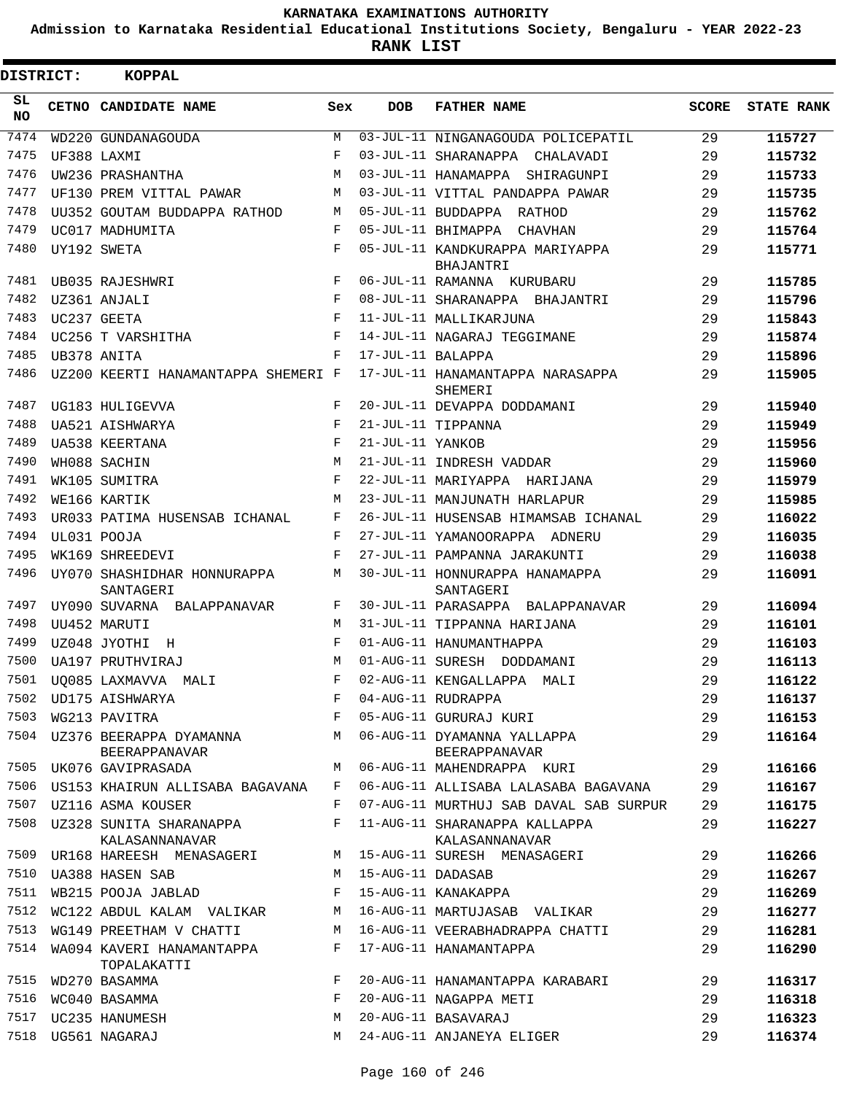**Admission to Karnataka Residential Educational Institutions Society, Bengaluru - YEAR 2022-23**

| DISTRICT: | <b>KOPPAL</b>                             |             |                   |                                                 |              |                   |
|-----------|-------------------------------------------|-------------|-------------------|-------------------------------------------------|--------------|-------------------|
| SL<br>NO. | CETNO CANDIDATE NAME                      | Sex         | <b>DOB</b>        | <b>FATHER NAME</b>                              | <b>SCORE</b> | <b>STATE RANK</b> |
| 7474      | WD220 GUNDANAGOUDA                        | M           |                   | 03-JUL-11 NINGANAGOUDA POLICEPATIL              | 29           | 115727            |
| 7475      | UF388 LAXMI                               | F           |                   | 03-JUL-11 SHARANAPPA CHALAVADI                  | 29           | 115732            |
| 7476      | UW236 PRASHANTHA                          | M           |                   | 03-JUL-11 HANAMAPPA SHIRAGUNPI                  | 29           | 115733            |
| 7477      | UF130 PREM VITTAL PAWAR                   | M           |                   | 03-JUL-11 VITTAL PANDAPPA PAWAR                 | 29           | 115735            |
| 7478      | UU352 GOUTAM BUDDAPPA RATHOD              | M           |                   | 05-JUL-11 BUDDAPPA RATHOD                       | 29           | 115762            |
| 7479      | UC017 MADHUMITA                           | F           |                   | 05-JUL-11 BHIMAPPA CHAVHAN                      | 29           | 115764            |
| 7480      | UY192 SWETA                               | F           |                   | 05-JUL-11 KANDKURAPPA MARIYAPPA<br>BHAJANTRI    | 29           | 115771            |
| 7481      | UB035 RAJESHWRI                           | F           |                   | 06-JUL-11 RAMANNA KURUBARU                      | 29           | 115785            |
| 7482      | UZ361 ANJALI                              | $_{\rm F}$  |                   | 08-JUL-11 SHARANAPPA BHAJANTRI                  | 29           | 115796            |
| 7483      | UC237 GEETA                               | F           |                   | 11-JUL-11 MALLIKARJUNA                          | 29           | 115843            |
| 7484      | UC256 T VARSHITHA                         | F           |                   | 14-JUL-11 NAGARAJ TEGGIMANE                     | 29           | 115874            |
| 7485      | UB378 ANITA                               | F           | 17-JUL-11 BALAPPA |                                                 | 29           | 115896            |
| 7486      | UZ200 KEERTI HANAMANTAPPA SHEMERI F       |             |                   | 17-JUL-11 HANAMANTAPPA NARASAPPA<br>SHEMERI     | 29           | 115905            |
| 7487      | UG183 HULIGEVVA                           | F           |                   | 20-JUL-11 DEVAPPA DODDAMANI                     | 29           | 115940            |
| 7488      | UA521 AISHWARYA                           | F           |                   | 21-JUL-11 TIPPANNA                              | 29           | 115949            |
| 7489      | UA538 KEERTANA                            | F           | 21-JUL-11 YANKOB  |                                                 | 29           | 115956            |
| 7490      | WH088 SACHIN                              | M           |                   | 21-JUL-11 INDRESH VADDAR                        | 29           | 115960            |
| 7491      | WK105 SUMITRA                             | F           |                   | 22-JUL-11 MARIYAPPA HARIJANA                    | 29           | 115979            |
| 7492      | WE166 KARTIK                              | М           |                   | 23-JUL-11 MANJUNATH HARLAPUR                    | 29           | 115985            |
| 7493      | UR033 PATIMA HUSENSAB ICHANAL             | F           |                   | 26-JUL-11 HUSENSAB HIMAMSAB ICHANAL             | 29           | 116022            |
| 7494      | UL031 POOJA                               | F           |                   | 27-JUL-11 YAMANOORAPPA ADNERU                   | 29           | 116035            |
| 7495      | WK169 SHREEDEVI                           | $\mathbf F$ |                   | 27-JUL-11 PAMPANNA JARAKUNTI                    | 29           | 116038            |
| 7496      | UY070 SHASHIDHAR HONNURAPPA<br>SANTAGERI  | М           |                   | 30-JUL-11 HONNURAPPA HANAMAPPA<br>SANTAGERI     | 29           | 116091            |
| 7497      | UY090 SUVARNA BALAPPANAVAR                | F           |                   | 30-JUL-11 PARASAPPA BALAPPANAVAR                | 29           | 116094            |
| 7498      | UU452 MARUTI                              | М           |                   | 31-JUL-11 TIPPANNA HARIJANA                     | 29           | 116101            |
| 7499      | UZ048 JYOTHI<br>$_{\rm H}$                | F           |                   | 01-AUG-11 HANUMANTHAPPA                         | 29           | 116103            |
| 7500      | UA197 PRUTHVIRAJ                          | M           |                   | 01-AUG-11 SURESH DODDAMANI                      | 29           | 116113            |
| 7501      | UO085 LAXMAVVA MALI                       | $\mathbf F$ |                   | 02-AUG-11 KENGALLAPPA MALI                      | 29           | 116122            |
| 7502      | UD175 AISHWARYA                           | F           |                   | 04-AUG-11 RUDRAPPA                              | 29           | 116137            |
| 7503      | WG213 PAVITRA                             | F           |                   | 05-AUG-11 GURURAJ KURI                          | 29           | 116153            |
| 7504      | UZ376 BEERAPPA DYAMANNA<br>BEERAPPANAVAR  | М           |                   | 06-AUG-11 DYAMANNA YALLAPPA<br>BEERAPPANAVAR    | 29           | 116164            |
|           | 7505 UK076 GAVIPRASADA                    | М           |                   | 06-AUG-11 MAHENDRAPPA KURI                      | 29           | 116166            |
| 7506      | US153 KHAIRUN ALLISABA BAGAVANA           | F           |                   | 06-AUG-11 ALLISABA LALASABA BAGAVANA            | 29           | 116167            |
| 7507      | UZ116 ASMA KOUSER                         | F           |                   | 07-AUG-11 MURTHUJ SAB DAVAL SAB SURPUR          | 29           | 116175            |
| 7508      | UZ328 SUNITA SHARANAPPA<br>KALASANNANAVAR | F           |                   | 11-AUG-11 SHARANAPPA KALLAPPA<br>KALASANNANAVAR | 29           | 116227            |
| 7509      | UR168 HAREESH MENASAGERI                  | M           |                   | 15-AUG-11 SURESH MENASAGERI                     | 29           | 116266            |
| 7510      | UA388 HASEN SAB                           | M           | 15-AUG-11 DADASAB |                                                 | 29           | 116267            |
| 7511      | WB215 POOJA JABLAD                        | F           |                   | 15-AUG-11 KANAKAPPA                             | 29           | 116269            |
| 7512      | WC122 ABDUL KALAM VALIKAR                 | М           |                   | 16-AUG-11 MARTUJASAB VALIKAR                    | 29           | 116277            |
| 7513      | WG149 PREETHAM V CHATTI                   | М           |                   | 16-AUG-11 VEERABHADRAPPA CHATTI                 | 29           | 116281            |
| 7514      | WA094 KAVERI HANAMANTAPPA<br>TOPALAKATTI  | F           |                   | 17-AUG-11 HANAMANTAPPA                          | 29           | 116290            |
| 7515      | WD270 BASAMMA                             | F           |                   | 20-AUG-11 HANAMANTAPPA KARABARI                 | 29           | 116317            |
| 7516      | WC040 BASAMMA                             | F           |                   | 20-AUG-11 NAGAPPA METI                          | 29           | 116318            |
| 7517      | UC235 HANUMESH                            | М           |                   | 20-AUG-11 BASAVARAJ                             | 29           | 116323            |
| 7518      | UG561 NAGARAJ                             | М           |                   | 24-AUG-11 ANJANEYA ELIGER                       | 29           | 116374            |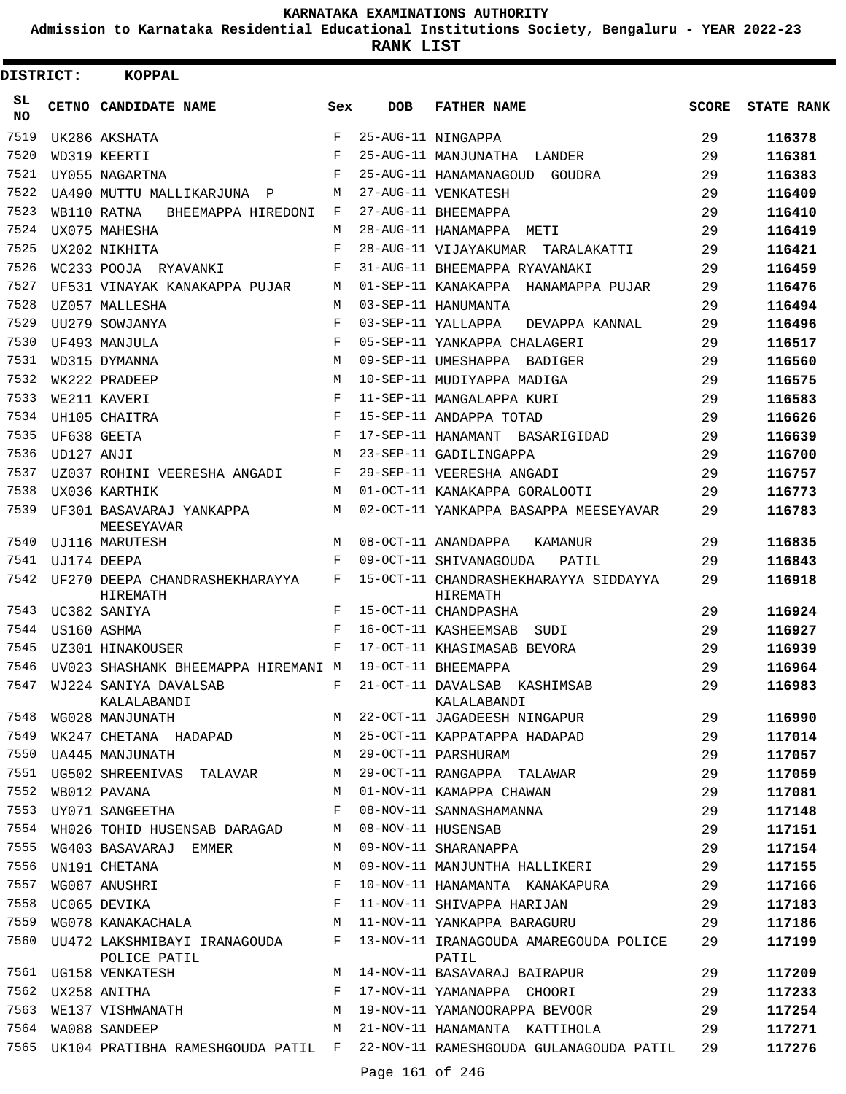**Admission to Karnataka Residential Educational Institutions Society, Bengaluru - YEAR 2022-23**

ı

| <b>DISTRICT:</b> |             | <b>KOPPAL</b>                                                             |              |            |                                                                            |              |                   |
|------------------|-------------|---------------------------------------------------------------------------|--------------|------------|----------------------------------------------------------------------------|--------------|-------------------|
| SL<br><b>NO</b>  |             | CETNO CANDIDATE NAME                                                      | Sex          | <b>DOB</b> | <b>FATHER NAME</b>                                                         | <b>SCORE</b> | <b>STATE RANK</b> |
| 7519             |             | UK286 AKSHATA                                                             | $\mathbf{F}$ |            | 25-AUG-11 NINGAPPA                                                         | 29           | 116378            |
| 7520             |             | WD319 KEERTI                                                              | F            |            | 25-AUG-11 MANJUNATHA LANDER                                                | 29           | 116381            |
| 7521             |             | UY055 NAGARTNA                                                            | F            |            | 25-AUG-11 HANAMANAGOUD GOUDRA                                              | 29           | 116383            |
| 7522             |             | UA490 MUTTU MALLIKARJUNA P                                                | M            |            | 27-AUG-11 VENKATESH                                                        | 29           | 116409            |
| 7523             |             | WB110 RATNA<br>BHEEMAPPA HIREDONI                                         | F            |            | 27-AUG-11 BHEEMAPPA                                                        | 29           | 116410            |
| 7524             |             | UX075 MAHESHA                                                             | М            |            | 28-AUG-11 HANAMAPPA METI                                                   | 29           | 116419            |
| 7525             |             | UX202 NIKHITA                                                             | F            |            | 28-AUG-11 VIJAYAKUMAR TARALAKATTI                                          | 29           | 116421            |
| 7526             |             | WC233 POOJA RYAVANKI                                                      | F            |            | 31-AUG-11 BHEEMAPPA RYAVANAKI                                              | 29           | 116459            |
| 7527             |             | UF531 VINAYAK KANAKAPPA PUJAR                                             | M            |            | 01-SEP-11 KANAKAPPA HANAMAPPA PUJAR                                        | 29           | 116476            |
| 7528             |             | UZ057 MALLESHA                                                            | M            |            | 03-SEP-11 HANUMANTA                                                        | 29           | 116494            |
| 7529             |             | UU279 SOWJANYA                                                            | F            |            | 03-SEP-11 YALLAPPA<br>DEVAPPA KANNAL                                       | 29           | 116496            |
| 7530             |             | UF493 MANJULA                                                             | $_{\rm F}$   |            | 05-SEP-11 YANKAPPA CHALAGERI                                               | 29           | 116517            |
| 7531             |             | WD315 DYMANNA                                                             | M            |            | 09-SEP-11 UMESHAPPA BADIGER                                                | 29           | 116560            |
| 7532             |             | WK222 PRADEEP                                                             | M            |            | 10-SEP-11 MUDIYAPPA MADIGA                                                 | 29           | 116575            |
| 7533             |             | WE211 KAVERI                                                              | $_{\rm F}$   |            | 11-SEP-11 MANGALAPPA KURI                                                  | 29           | 116583            |
| 7534             |             | UH105 CHAITRA                                                             | F            |            | 15-SEP-11 ANDAPPA TOTAD                                                    | 29           | 116626            |
| 7535             |             | UF638 GEETA                                                               | F            |            | 17-SEP-11 HANAMANT BASARIGIDAD                                             | 29           | 116639            |
| 7536             | UD127 ANJI  |                                                                           | M            |            | 23-SEP-11 GADILINGAPPA                                                     | 29           | 116700            |
| 7537             |             | UZ037 ROHINI VEERESHA ANGADI                                              | F            |            | 29-SEP-11 VEERESHA ANGADI                                                  | 29           | 116757            |
| 7538             |             | UX036 KARTHIK                                                             | M            |            | 01-OCT-11 KANAKAPPA GORALOOTI                                              | 29           | 116773            |
| 7539             |             | UF301 BASAVARAJ YANKAPPA<br>MEESEYAVAR                                    | M            |            | 02-OCT-11 YANKAPPA BASAPPA MEESEYAVAR                                      | 29           | 116783            |
| 7540             |             | UJ116 MARUTESH                                                            | M            |            | 08-OCT-11 ANANDAPPA<br>KAMANUR                                             | 29           | 116835            |
| 7541             |             | UJ174 DEEPA                                                               | F            |            | 09-OCT-11 SHIVANAGOUDA<br>PATIL                                            | 29           | 116843            |
| 7542             |             | UF270 DEEPA CHANDRASHEKHARAYYA<br>HIREMATH                                | F            |            | 15-OCT-11 CHANDRASHEKHARAYYA SIDDAYYA<br>HIREMATH                          | 29           | 116918            |
| 7543             |             | UC382 SANIYA                                                              | F            |            | 15-OCT-11 CHANDPASHA                                                       | 29           | 116924            |
| 7544             | US160 ASHMA |                                                                           | $_{\rm F}$   |            | 16-OCT-11 KASHEEMSAB<br>SUDI                                               | 29           | 116927            |
| 7545             |             | UZ301 HINAKOUSER                                                          | F            |            | 17-OCT-11 KHASIMASAB BEVORA                                                | 29           | 116939            |
| 7546             |             | UV023 SHASHANK BHEEMAPPA HIREMANI M                                       |              |            | 19-OCT-11 BHEEMAPPA                                                        | 29           | 116964            |
| 7547             |             | WJ224 SANIYA DAVALSAB TERRIT SHI-OCT-11 DAVALSAB KASHIMSAB<br>KALALABANDI |              |            | KALALABANDI<br>KALALABANDI<br>M 22-OCT-11 JAGADEESH NINGAPUR               | 29           | 116983            |
|                  |             | 7548 WG028 MANJUNATH                                                      |              |            |                                                                            | 29           | 116990            |
| 7549             |             |                                                                           |              |            | WK247 CHETANA HADAPAD M 25-OCT-11 KAPPATAPPA HADAPAD                       | 29           | 117014            |
|                  |             | 7550 UA445 MANJUNATH                                                      |              |            | M 29-OCT-11 PARSHURAM                                                      | 29           | 117057            |
| 7551             |             | UG502 SHREENIVAS TALAVAR M                                                |              |            | 29-OCT-11 RANGAPPA TALAWAR                                                 | 29           | 117059            |
| 7552             |             | WB012 PAVANA                                                              | M            |            | 01-NOV-11 KAMAPPA CHAWAN                                                   | 29           | 117081            |
| 7553             |             | UY071 SANGEETHA                                                           | F            |            | 08-NOV-11 SANNASHAMANNA                                                    | 29           | 117148            |
| 7554             |             | WH026 TOHID HUSENSAB DARAGAD M                                            |              |            | ANGENDAH<br>19-NOV-11 SHARANAPPA<br>19-NOV-11 MANJIDERIA ---               | 29           | 117151            |
| 7555             |             | WG403 BASAVARAJ EMMER                                                     | M            |            |                                                                            | 29           | 117154            |
| 7556             |             | UN191 CHETANA                                                             | M            |            | 09-NOV-11 MANJUNTHA HALLIKERI                                              | 29           | 117155            |
| 7557             |             | WG087 ANUSHRI<br>$\mathbf{F}$                                             | $\mathbf{F}$ |            | 10-NOV-11 HANAMANTA KANAKAPURA                                             | 29           | 117166            |
| 7558             |             | UC065 DEVIKA                                                              |              |            | 11-NOV-11 SHIVAPPA HARIJAN                                                 | 29           | 117183            |
| 7559             |             | WG078 KANAKACHALA M                                                       |              |            | 11-NOV-11 YANKAPPA BARAGURU                                                | 29           | 117186            |
| 7560             |             | UU472 LAKSHMIBAYI IRANAGOUDA F<br>POLICE PATIL                            |              |            | 13-NOV-11 IRANAGOUDA AMAREGOUDA POLICE<br>PATIL                            | 29           | 117199            |
| 7561             |             | UG158 VENKATESH                                                           |              |            | M 14-NOV-11 BASAVARAJ BAIRAPUR                                             | 29           | 117209            |
| 7562             |             | $\mathbf{F}$ and $\mathbf{F}$ are $\mathbf{F}$<br>UX258 ANITHA            |              |            | 17-NOV-11 YAMANAPPA CHOORI                                                 | 29           | 117233            |
| 7563             |             | WE137 VISHWANATH M<br>WANAR SANDEEP M                                     |              |            | 19-NOV-11 YAMANOORAPPA BEVOOR                                              | 29           | 117254            |
| 7564             |             |                                                                           |              |            | 21-NOV-11 HANAMANTA KATTIHOLA                                              | 29           | 117271            |
| 7565             |             |                                                                           |              |            | UK104 PRATIBHA RAMESHGOUDA PATIL F 22-NOV-11 RAMESHGOUDA GULANAGOUDA PATIL | 29           | 117276            |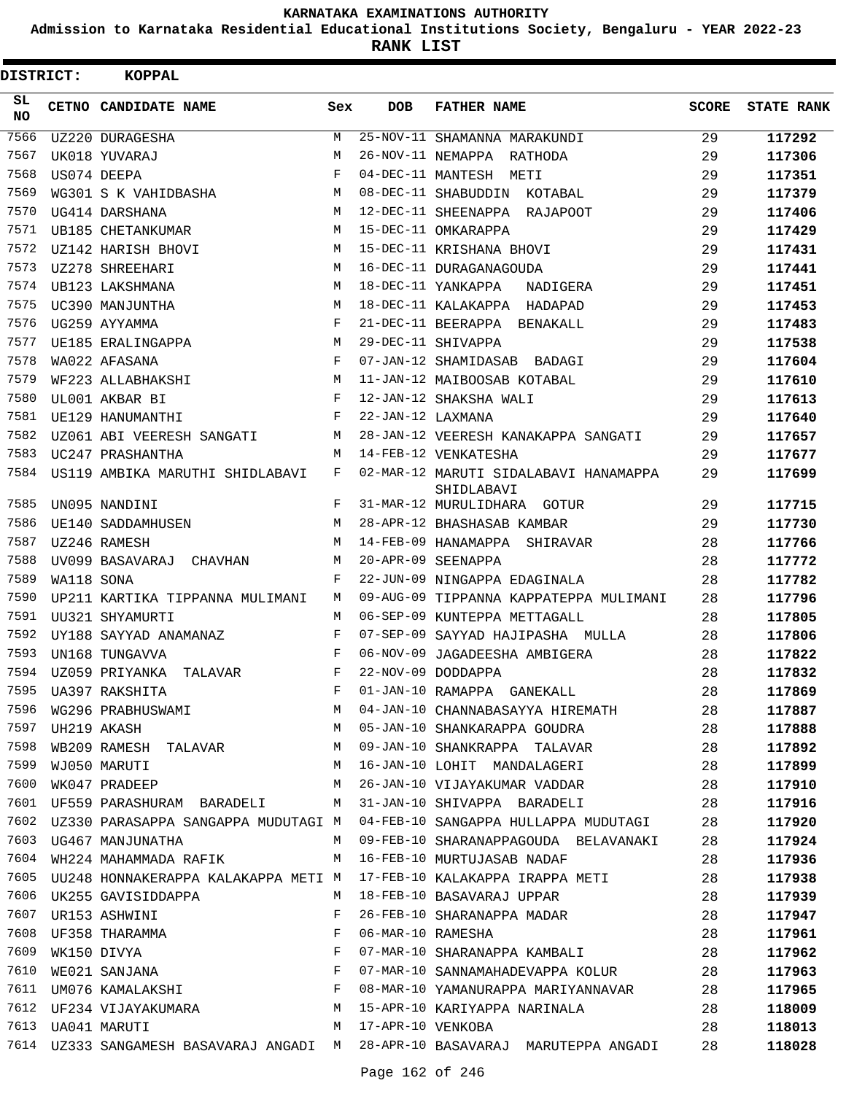**Admission to Karnataka Residential Educational Institutions Society, Bengaluru - YEAR 2022-23**

**RANK LIST**

| DISTRICT:        |            | <b>KOPPAL</b>                                                      |            |                   |                                                                              |              |                   |
|------------------|------------|--------------------------------------------------------------------|------------|-------------------|------------------------------------------------------------------------------|--------------|-------------------|
| SL.<br><b>NO</b> |            | CETNO CANDIDATE NAME                                               | Sex        | <b>DOB</b>        | <b>FATHER NAME</b>                                                           | <b>SCORE</b> | <b>STATE RANK</b> |
| 7566             |            | <b>UZ220 DURAGESHA</b>                                             | M          |                   | 25-NOV-11 SHAMANNA MARAKUNDI                                                 | 29           | 117292            |
| 7567             |            | UK018 YUVARAJ                                                      | М          |                   | 26-NOV-11 NEMAPPA RATHODA                                                    | 29           | 117306            |
| 7568             |            | US074 DEEPA                                                        | $_{\rm F}$ |                   | 04-DEC-11 MANTESH METI                                                       | 29           | 117351            |
| 7569             |            | WG301 S K VAHIDBASHA                                               | М          |                   | 08-DEC-11 SHABUDDIN KOTABAL                                                  | 29           | 117379            |
| 7570             |            | UG414 DARSHANA                                                     | M          |                   | 12-DEC-11 SHEENAPPA RAJAPOOT                                                 | 29           | 117406            |
| 7571             |            | UB185 CHETANKUMAR                                                  | M          |                   | 15-DEC-11 OMKARAPPA                                                          | 29           | 117429            |
| 7572             |            | UZ142 HARISH BHOVI                                                 | M          |                   | 15-DEC-11 KRISHANA BHOVI                                                     | 29           | 117431            |
| 7573             |            | UZ278 SHREEHARI                                                    | M          |                   | 16-DEC-11 DURAGANAGOUDA                                                      | 29           | 117441            |
| 7574             |            | UB123 LAKSHMANA                                                    | М          |                   | 18-DEC-11 YANKAPPA<br>NADIGERA                                               | 29           | 117451            |
| 7575             |            | UC390 MANJUNTHA                                                    | М          |                   | 18-DEC-11 KALAKAPPA HADAPAD                                                  | 29           | 117453            |
| 7576             |            | UG259 AYYAMMA                                                      | F          |                   | 21-DEC-11 BEERAPPA BENAKALL                                                  | 29           | 117483            |
| 7577             |            | UE185 ERALINGAPPA                                                  | М          |                   | 29-DEC-11 SHIVAPPA                                                           | 29           | 117538            |
| 7578             |            | WA022 AFASANA                                                      | F          |                   | 07-JAN-12 SHAMIDASAB BADAGI                                                  | 29           | 117604            |
| 7579             |            | WF223 ALLABHAKSHI                                                  | М          |                   | 11-JAN-12 MAIBOOSAB KOTABAL                                                  | 29           | 117610            |
| 7580             |            | UL001 AKBAR BI                                                     | F          |                   | 12-JAN-12 SHAKSHA WALI                                                       | 29           | 117613            |
| 7581             |            | UE129 HANUMANTHI                                                   | F          | 22-JAN-12 LAXMANA |                                                                              | 29           | 117640            |
| 7582             |            | UZ061 ABI VEERESH SANGATI                                          | М          |                   | 28-JAN-12 VEERESH KANAKAPPA SANGATI                                          | 29           | 117657            |
| 7583             |            | UC247 PRASHANTHA                                                   | M          |                   | 14-FEB-12 VENKATESHA                                                         | 29           | 117677            |
| 7584             |            | US119 AMBIKA MARUTHI SHIDLABAVI                                    | F          |                   | 02-MAR-12 MARUTI SIDALABAVI HANAMAPPA<br>SHIDLABAVI                          | 29           | 117699            |
| 7585             |            | UN095 NANDINI                                                      | F          |                   | 31-MAR-12 MURULIDHARA GOTUR                                                  | 29           | 117715            |
| 7586             |            | UE140 SADDAMHUSEN                                                  | M          |                   | 28-APR-12 BHASHASAB KAMBAR                                                   | 29           | 117730            |
| 7587             |            | UZ246 RAMESH                                                       | M          |                   | 14-FEB-09 HANAMAPPA SHIRAVAR                                                 | 28           | 117766            |
| 7588             |            | UV099 BASAVARAJ CHAVHAN                                            | М          |                   | 20-APR-09 SEENAPPA                                                           | 28           | 117772            |
| 7589             | WA118 SONA |                                                                    | F          |                   | 22-JUN-09 NINGAPPA EDAGINALA                                                 | 28           | 117782            |
| 7590             |            | UP211 KARTIKA TIPPANNA MULIMANI                                    | M          |                   | 09-AUG-09 TIPPANNA KAPPATEPPA MULIMANI                                       | 28           | 117796            |
| 7591             |            | UU321 SHYAMURTI                                                    | М          |                   | 06-SEP-09 KUNTEPPA METTAGALL                                                 | 28           | 117805            |
| 7592             |            | UY188 SAYYAD ANAMANAZ                                              | F          |                   | 07-SEP-09 SAYYAD HAJIPASHA MULLA                                             | 28           | 117806            |
| 7593             |            | UN168 TUNGAVVA                                                     | F          |                   | 06-NOV-09 JAGADEESHA AMBIGERA                                                | 28           | 117822            |
| 7594             |            | UZ059 PRIYANKA TALAVAR                                             | F          |                   | 22-NOV-09 DODDAPPA                                                           | 28           | 117832            |
| 7595             |            |                                                                    | F          |                   | 01-JAN-10 RAMAPPA GANEKALL                                                   | 28           | 117869            |
| 7596             |            | UA397 RAKSHITA<br>WG296 PRABHUSWAMI                                | М          |                   | 04-JAN-10 CHANNABASAYYA HIREMATH                                             | 28           | 117887            |
| 7597             |            | UH219 AKASH                                                        | M          |                   | 05-JAN-10 SHANKARAPPA GOUDRA                                                 | 28           | 117888            |
| 7598             |            | WB209 RAMESH TALAVAR                                               | M          |                   | 09-JAN-10 SHANKRAPPA TALAVAR                                                 | 28           | 117892            |
| 7599             |            | WJ050 MARUTI                                                       | М          |                   | 16-JAN-10 LOHIT MANDALAGERI                                                  | 28           | 117899            |
| 7600             |            | WK047 PRADEEP                                                      | M          |                   | 26-JAN-10 VIJAYAKUMAR VADDAR                                                 | 28           | 117910            |
| 7601             |            | UF559 PARASHURAM BARADELI M                                        |            |                   | 31-JAN-10 SHIVAPPA BARADELI                                                  | 28           | 117916            |
| 7602             |            | UZ330 PARASAPPA SANGAPPA MUDUTAGI M                                |            |                   | 04-FEB-10 SANGAPPA HULLAPPA MUDUTAGI                                         | 28           | 117920            |
| 7603             |            | UG467 MANJUNATHA                                                   | M          |                   | 09-FEB-10 SHARANAPPAGOUDA BELAVANAKI                                         | 28           | 117924            |
| 7604             |            | WH224 MAHAMMADA RAFIK                                              | M          |                   | 16-FEB-10 MURTUJASAB NADAF                                                   | 28           | 117936            |
| 7605             |            | UU248 HONNAKERAPPA KALAKAPPA METI M                                |            |                   | 17-FEB-10 KALAKAPPA IRAPPA METI                                              | 28           | 117938            |
| 7606             |            | UK255 GAVISIDDAPPA                                                 | М          |                   | 18-FEB-10 BASAVARAJ UPPAR                                                    | 28           | 117939            |
| 7607             |            | UR153 ASHWINI                                                      | F          |                   | 26-FEB-10 SHARANAPPA MADAR                                                   | 28           | 117947            |
| 7608             |            |                                                                    | F          | 06-MAR-10 RAMESHA |                                                                              | 28           | 117961            |
| 7609             |            | UF358 THARAMMA<br>WK150 DIVYA<br>WE021 SANJANA<br>UM076 KAMALAKSHI | F          |                   | 07-MAR-10 SHARANAPPA KAMBALI                                                 | 28           | 117962            |
| 7610             |            |                                                                    | $_{\rm F}$ |                   | 07-MAR-10 SANNAMAHADEVAPPA KOLUR                                             | 28           | 117963            |
| 7611             |            |                                                                    | F          |                   | 08-MAR-10 YAMANURAPPA MARIYANNAVAR                                           | 28           | 117965            |
| 7612             |            | UF234 VIJAYAKUMARA<br>UA041 MARUTI                                 | M          |                   | 15-APR-10 KARIYAPPA NARINALA                                                 | 28           | 118009            |
| 7613             |            | UA041 MARUTI                                                       | М          | 17-APR-10 VENKOBA |                                                                              | 28           | 118013            |
|                  |            |                                                                    |            |                   | 7614 UZ333 SANGAMESH BASAVARAJ ANGADI M 28-APR-10 BASAVARAJ MARUTEPPA ANGADI | 28           | 118028            |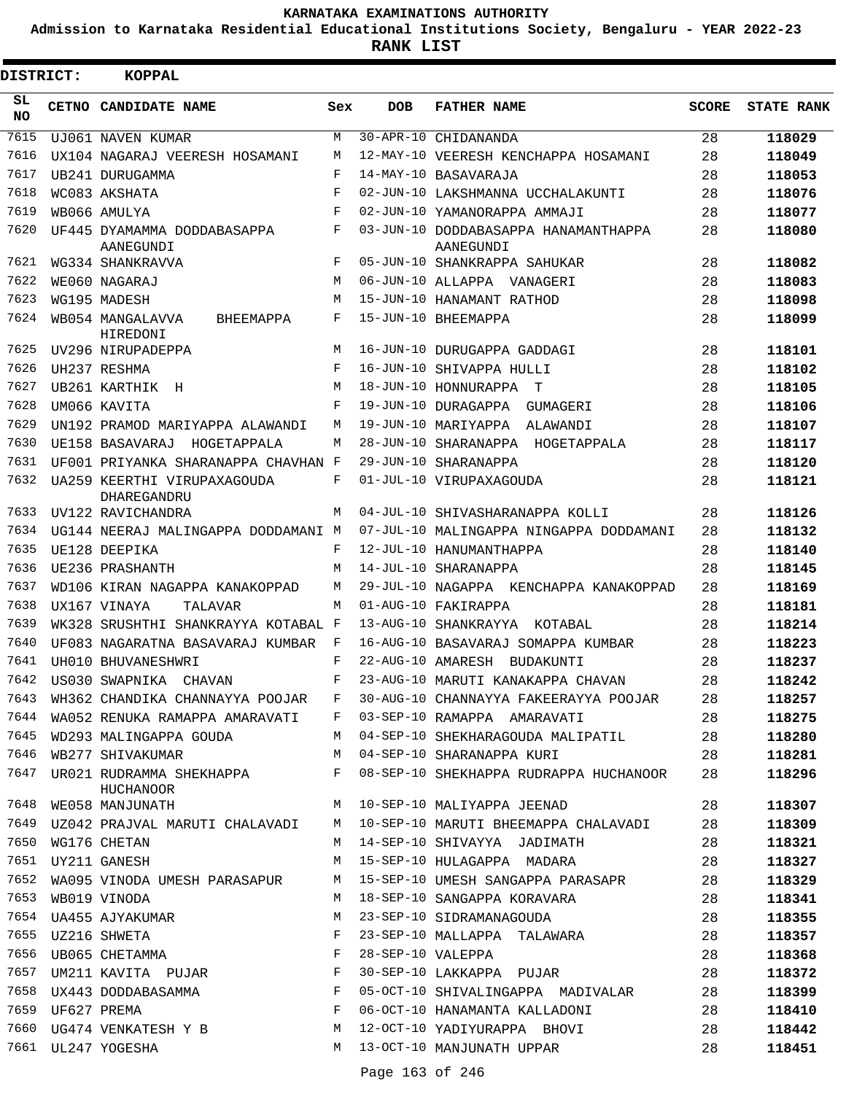**Admission to Karnataka Residential Educational Institutions Society, Bengaluru - YEAR 2022-23**

**RANK LIST**

| DISTRICT:       |                  | <b>KOPPAL</b>                                                               |            |            |                                                                                                                                                                                                                                                                                                                                                                                                                                   |              |                   |
|-----------------|------------------|-----------------------------------------------------------------------------|------------|------------|-----------------------------------------------------------------------------------------------------------------------------------------------------------------------------------------------------------------------------------------------------------------------------------------------------------------------------------------------------------------------------------------------------------------------------------|--------------|-------------------|
| SL<br><b>NO</b> |                  | CETNO CANDIDATE NAME                                                        | Sex        | <b>DOB</b> | <b>FATHER NAME</b>                                                                                                                                                                                                                                                                                                                                                                                                                | <b>SCORE</b> | <b>STATE RANK</b> |
| 7615            |                  | UJ061 NAVEN KUMAR                                                           | М          |            | 30-APR-10 CHIDANANDA                                                                                                                                                                                                                                                                                                                                                                                                              | 28           | 118029            |
| 7616            |                  | UX104 NAGARAJ VEERESH HOSAMANI                                              | M          |            | 12-MAY-10 VEERESH KENCHAPPA HOSAMANI                                                                                                                                                                                                                                                                                                                                                                                              | 28           | 118049            |
| 7617            |                  | UB241 DURUGAMMA                                                             | F          |            | 14-MAY-10 BASAVARAJA                                                                                                                                                                                                                                                                                                                                                                                                              | 28           | 118053            |
| 7618            |                  | WC083 AKSHATA                                                               | F          |            | 02-JUN-10 LAKSHMANNA UCCHALAKUNTI                                                                                                                                                                                                                                                                                                                                                                                                 | 28           | 118076            |
| 7619            |                  | WB066 AMIILYA                                                               | $_{\rm F}$ |            | 02-JUN-10 YAMANORAPPA AMMAJI                                                                                                                                                                                                                                                                                                                                                                                                      | 28           | 118077            |
| 7620            |                  | UF445 DYAMAMMA DODDABASAPPA<br>AANEGUNDI                                    | F          |            | 03-JUN-10 DODDABASAPPA HANAMANTHAPPA<br>AANEGUNDI                                                                                                                                                                                                                                                                                                                                                                                 | 28           | 118080            |
| 7621            |                  | WG334 SHANKRAVVA                                                            | F          |            | 05-JUN-10 SHANKRAPPA SAHUKAR                                                                                                                                                                                                                                                                                                                                                                                                      | 28           | 118082            |
| 7622            |                  | WE060 NAGARAJ                                                               | M          |            | 06-JUN-10 ALLAPPA VANAGERI                                                                                                                                                                                                                                                                                                                                                                                                        | 28           | 118083            |
| 7623            |                  | WG195 MADESH                                                                | M          |            | 15-JUN-10 HANAMANT RATHOD                                                                                                                                                                                                                                                                                                                                                                                                         | 28           | 118098            |
| 7624            |                  | WB054 MANGALAVVA<br>BHEEMAPPA<br>HIREDONI                                   | F          |            | 15-JUN-10 BHEEMAPPA                                                                                                                                                                                                                                                                                                                                                                                                               | 28           | 118099            |
| 7625            |                  | UV296 NIRUPADEPPA                                                           | M          |            | 16-JUN-10 DURUGAPPA GADDAGI                                                                                                                                                                                                                                                                                                                                                                                                       | 28           | 118101            |
| 7626            |                  | UH237 RESHMA                                                                | F          |            | 16-JUN-10 SHIVAPPA HULLI                                                                                                                                                                                                                                                                                                                                                                                                          | 28           | 118102            |
| 7627            |                  | UB261 KARTHIK H                                                             | M          |            | 18-JUN-10 HONNURAPPA<br>т                                                                                                                                                                                                                                                                                                                                                                                                         | 28           | 118105            |
| 7628            |                  | UM066 KAVITA                                                                | F          |            | 19-JUN-10 DURAGAPPA<br>GUMAGERI                                                                                                                                                                                                                                                                                                                                                                                                   | 28           | 118106            |
| 7629            |                  | UN192 PRAMOD MARIYAPPA ALAWANDI                                             | M          |            | 19-JUN-10 MARIYAPPA<br>ALAWANDI                                                                                                                                                                                                                                                                                                                                                                                                   | 28           | 118107            |
| 7630            |                  | UE158 BASAVARAJ<br>HOGETAPPALA                                              | М          |            | 28-JUN-10 SHARANAPPA HOGETAPPALA                                                                                                                                                                                                                                                                                                                                                                                                  | 28           | 118117            |
| 7631            |                  | UF001 PRIYANKA SHARANAPPA CHAVHAN F                                         |            |            | 29-JUN-10 SHARANAPPA                                                                                                                                                                                                                                                                                                                                                                                                              | 28           | 118120            |
| 7632            |                  | UA259 KEERTHI VIRUPAXAGOUDA<br>DHAREGANDRU                                  | F          |            | 01-JUL-10 VIRUPAXAGOUDA                                                                                                                                                                                                                                                                                                                                                                                                           | 28           | 118121            |
| 7633            |                  | UV122 RAVICHANDRA                                                           | M          |            | 04-JUL-10 SHIVASHARANAPPA KOLLI                                                                                                                                                                                                                                                                                                                                                                                                   | 28           | 118126            |
| 7634            |                  | UG144 NEERAJ MALINGAPPA DODDAMANI M                                         |            |            | 07-JUL-10 MALINGAPPA NINGAPPA DODDAMANI                                                                                                                                                                                                                                                                                                                                                                                           | 28           | 118132            |
| 7635            |                  | UE128 DEEPIKA                                                               | F          |            | 12-JUL-10 HANUMANTHAPPA                                                                                                                                                                                                                                                                                                                                                                                                           | 28           | 118140            |
| 7636            |                  | UE236 PRASHANTH                                                             | M          |            | 14-JUL-10 SHARANAPPA                                                                                                                                                                                                                                                                                                                                                                                                              | 28           | 118145            |
| 7637            |                  | WD106 KIRAN NAGAPPA KANAKOPPAD                                              | M          |            | 29-JUL-10 NAGAPPA KENCHAPPA KANAKOPPAD                                                                                                                                                                                                                                                                                                                                                                                            | 28           | 118169            |
| 7638            |                  | UX167 VINAYA<br><b>TALAVAR</b>                                              | M          |            | 01-AUG-10 FAKIRAPPA                                                                                                                                                                                                                                                                                                                                                                                                               | 28           | 118181            |
| 7639            |                  | WK328 SRUSHTHI SHANKRAYYA KOTABAL F                                         |            |            | 13-AUG-10 SHANKRAYYA KOTABAL                                                                                                                                                                                                                                                                                                                                                                                                      | 28           | 118214            |
| 7640            |                  | UF083 NAGARATNA BASAVARAJ KUMBAR                                            | F          |            | 16-AUG-10 BASAVARAJ SOMAPPA KUMBAR                                                                                                                                                                                                                                                                                                                                                                                                | 28           | 118223            |
| 7641            |                  | UH010 BHUVANESHWRI                                                          | F          |            | 22-AUG-10 AMARESH BUDAKUNTI                                                                                                                                                                                                                                                                                                                                                                                                       | 28           | 118237            |
| 7642            |                  | US030 SWAPNIKA<br>CHAVAN                                                    | F          |            | 23-AUG-10 MARUTI KANAKAPPA CHAVAN                                                                                                                                                                                                                                                                                                                                                                                                 | 28           | 118242            |
| 7643            |                  | WH362 CHANDIKA CHANNAYYA POOJAR F                                           |            |            | 30-AUG-10 CHANNAYYA FAKEERAYYA POOJAR 28                                                                                                                                                                                                                                                                                                                                                                                          |              | 118257            |
| 7644            |                  |                                                                             |            |            | WA052 RENUKA RAMAPPA AMARAVATI F 03-SEP-10 RAMAPPA AMARAVATI 28                                                                                                                                                                                                                                                                                                                                                                   |              | 118275            |
| 7645            |                  |                                                                             |            |            | WD293 MALINGAPPA GOUDA M 04-SEP-10 SHEKHARAGOUDA MALIPATIL 28                                                                                                                                                                                                                                                                                                                                                                     |              | 118280            |
| 7646            |                  |                                                                             |            |            | WB277 SHIVAKUMAR M 04-SEP-10 SHARANAPPA KURI 28                                                                                                                                                                                                                                                                                                                                                                                   |              | 118281            |
| 7647            |                  | HUCHANOOR                                                                   |            |            | UR021 RUDRAMMA SHEKHAPPA<br>F 08-SEP-10 SHEKHAPPA RUDRAPPA HUCHANOOR 28                                                                                                                                                                                                                                                                                                                                                           |              | 118296            |
|                 |                  |                                                                             |            |            | 7648 WE058 MANJUNATH M 10-SEP-10 MALIYAPPA JEENAD 28                                                                                                                                                                                                                                                                                                                                                                              |              | 118307            |
| 7649            |                  |                                                                             |            |            | UZ042 PRAJVAL MARUTI CHALAVADI M 10-SEP-10 MARUTI BHEEMAPPA CHALAVADI 28                                                                                                                                                                                                                                                                                                                                                          |              | 118309            |
| 7650            |                  | WG176 CHETAN                                                                |            |            | M 14-SEP-10 SHIVAYYA JADIMATH                                                                                                                                                                                                                                                                                                                                                                                                     | 28           | 118321            |
|                 |                  | 7651 UY211 GANESH                                                           |            |            | M 15-SEP-10 HULAGAPPA MADARA 28                                                                                                                                                                                                                                                                                                                                                                                                   |              | 118327            |
|                 |                  |                                                                             |            |            | 7652 WA095 VINODA UMESH PARASAPUR M 15-SEP-10 UMESH SANGAPPA PARASAPR 28                                                                                                                                                                                                                                                                                                                                                          |              | 118329            |
| 7653            |                  | WB019 VINODA                                                                |            |            | M 18-SEP-10 SANGAPPA KORAVARA 28                                                                                                                                                                                                                                                                                                                                                                                                  |              | 118341            |
|                 |                  | 7654 UA455 AJYAKUMAR                                                        |            |            | M 23-SEP-10 SIDRAMANAGOUDA                                                                                                                                                                                                                                                                                                                                                                                                        | 28           | 118355            |
|                 |                  |                                                                             |            |            | 23-SEP-10 MALLAPPA TALAWARA                                                                                                                                                                                                                                                                                                                                                                                                       | 28           | 118357            |
|                 |                  |                                                                             |            |            | 28-SEP-10 VALEPPA                                                                                                                                                                                                                                                                                                                                                                                                                 | 28           | 118368            |
|                 |                  |                                                                             |            |            | 30-SEP-10 LAKKAPPA PUJAR 28                                                                                                                                                                                                                                                                                                                                                                                                       |              | 118372            |
| 7658            |                  | $\begin{array}{c}\n\text{F} \\ \text{F}\n\end{array}$<br>UX443 DODDABASAMMA |            |            | 05-OCT-10 SHIVALINGAPPA MADIVALAR 28                                                                                                                                                                                                                                                                                                                                                                                              |              | 118399            |
|                 | 7659 UF627 PREMA |                                                                             |            |            | 06-OCT-10 HANAMANTA KALLADONI 28                                                                                                                                                                                                                                                                                                                                                                                                  |              | 118410            |
|                 |                  |                                                                             |            |            | $\begin{array}{ccccccccccccccccc} \text{N} & \text{N} & \text{N} & \text{N} & \text{N} & \text{N} & \text{N} & \text{N} & \text{N} & \text{N} & \text{N} & \text{N} & \text{N} & \text{N} & \text{N} & \text{N} & \text{N} & \text{N} & \text{N} & \text{N} & \text{N} & \text{N} & \text{N} & \text{N} & \text{N} & \text{N} & \text{N} & \text{N} & \text{N} & \text{N} & \text{N} & \text{N} & \text{N} & \text{N} & \text{N}$ |              | 118442            |
|                 |                  | 7661 UL247 YOGESHA                                                          |            |            | M 13-OCT-10 MANJUNATH UPPAR                                                                                                                                                                                                                                                                                                                                                                                                       | 28           | 118451            |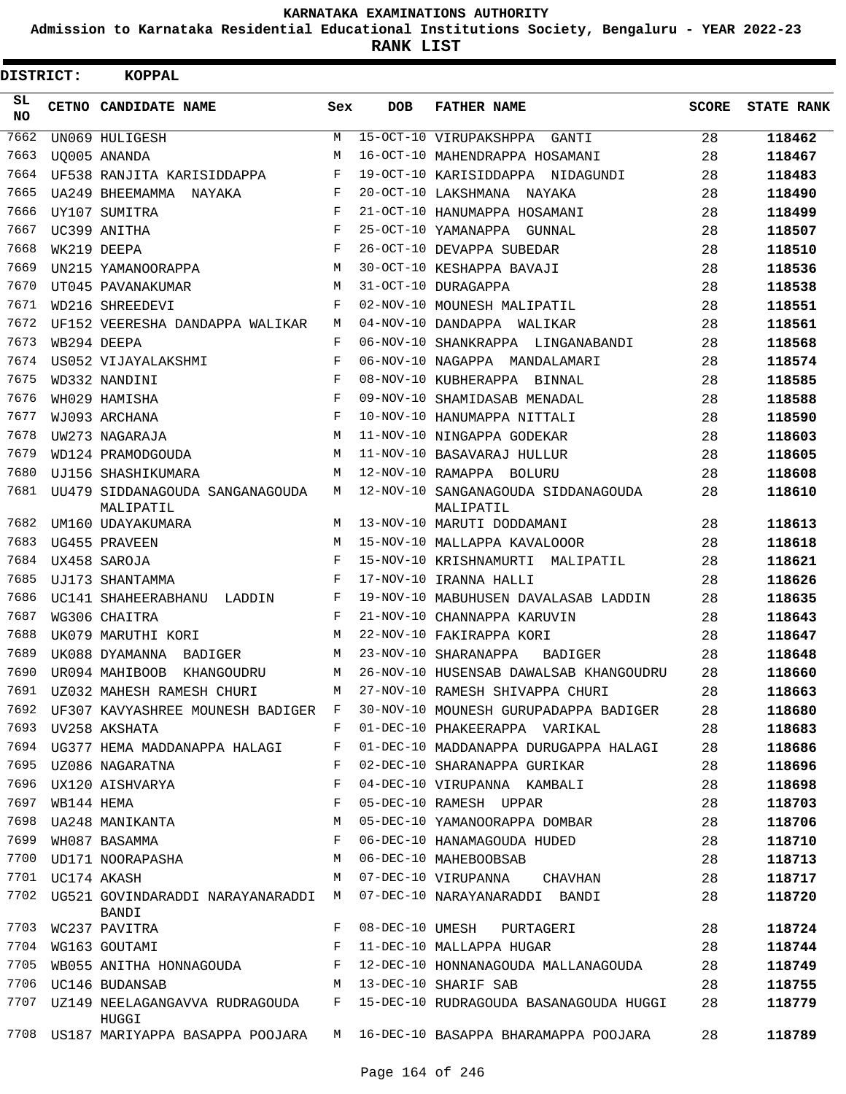**Admission to Karnataka Residential Educational Institutions Society, Bengaluru - YEAR 2022-23**

**RANK LIST**

| DISTRICT:       |             | <b>KOPPAL</b>                                |     |                 |                                                  |              |                   |
|-----------------|-------------|----------------------------------------------|-----|-----------------|--------------------------------------------------|--------------|-------------------|
| SL<br><b>NO</b> |             | CETNO CANDIDATE NAME                         | Sex | <b>DOB</b>      | <b>FATHER NAME</b>                               | <b>SCORE</b> | <b>STATE RANK</b> |
| 7662            |             | UN069 HULIGESH                               | М   |                 | 15-OCT-10 VIRUPAKSHPPA<br>GANTI                  | 28           | 118462            |
| 7663            |             | UO005 ANANDA                                 | М   |                 | 16-OCT-10 MAHENDRAPPA HOSAMANI                   | 28           | 118467            |
| 7664            |             | UF538 RANJITA KARISIDDAPPA                   | F   |                 | 19-OCT-10 KARISIDDAPPA NIDAGUNDI                 | 28           | 118483            |
| 7665            |             | UA249 BHEEMAMMA NAYAKA                       | F   |                 | 20-OCT-10 LAKSHMANA NAYAKA                       | 28           | 118490            |
| 7666            |             | UY107 SUMITRA                                | F   |                 | 21-OCT-10 HANUMAPPA HOSAMANI                     | 28           | 118499            |
| 7667            |             | UC399 ANITHA                                 | F   |                 | 25-OCT-10 YAMANAPPA GUNNAL                       | 28           | 118507            |
| 7668            |             | WK219 DEEPA                                  | F   |                 | 26-OCT-10 DEVAPPA SUBEDAR                        | 28           | 118510            |
| 7669            |             | UN215 YAMANOORAPPA                           | M   |                 | 30-OCT-10 KESHAPPA BAVAJI                        | 28           | 118536            |
| 7670            |             | UT045 PAVANAKUMAR                            | M   |                 | 31-OCT-10 DURAGAPPA                              | 28           | 118538            |
| 7671            |             | WD216 SHREEDEVI                              | F   |                 | 02-NOV-10 MOUNESH MALIPATIL                      | 28           | 118551            |
| 7672            |             | UF152 VEERESHA DANDAPPA WALIKAR              | М   |                 | 04-NOV-10 DANDAPPA WALIKAR                       | 28           | 118561            |
| 7673            |             | WB294 DEEPA                                  | F   |                 | 06-NOV-10 SHANKRAPPA LINGANABANDI                | 28           | 118568            |
| 7674            |             | US052 VIJAYALAKSHMI                          | F   |                 | 06-NOV-10 NAGAPPA MANDALAMARI                    | 28           | 118574            |
| 7675            |             | WD332 NANDINI                                | F   |                 | 08-NOV-10 KUBHERAPPA BINNAL                      | 28           | 118585            |
| 7676            |             | WH029 HAMISHA                                | F   |                 | 09-NOV-10 SHAMIDASAB MENADAL                     | 28           | 118588            |
| 7677            |             | WJ093 ARCHANA                                | F   |                 | 10-NOV-10 HANUMAPPA NITTALI                      | 28           | 118590            |
| 7678            |             | UW273 NAGARAJA                               | M   |                 | 11-NOV-10 NINGAPPA GODEKAR                       | 28           | 118603            |
| 7679            |             | WD124 PRAMODGOUDA                            | М   |                 | 11-NOV-10 BASAVARAJ HULLUR                       | 28           | 118605            |
| 7680            |             | UJ156 SHASHIKUMARA                           | М   |                 | 12-NOV-10 RAMAPPA BOLURU                         | 28           | 118608            |
| 7681            |             | UU479 SIDDANAGOUDA SANGANAGOUDA<br>MALIPATIL | М   |                 | 12-NOV-10 SANGANAGOUDA SIDDANAGOUDA<br>MALIPATIL | 28           | 118610            |
| 7682            |             | UM160 UDAYAKUMARA                            | М   |                 | 13-NOV-10 MARUTI DODDAMANI                       | 28           | 118613            |
| 7683            |             | UG455 PRAVEEN                                | М   |                 | 15-NOV-10 MALLAPPA KAVALOOOR                     | 28           | 118618            |
| 7684            |             | UX458 SAROJA                                 | F   |                 | 15-NOV-10 KRISHNAMURTI<br>MALIPATIL              | 28           | 118621            |
| 7685            |             | UJ173 SHANTAMMA                              | F   |                 | 17-NOV-10 IRANNA HALLI                           | 28           | 118626            |
| 7686            |             | UC141 SHAHEERABHANU<br>LADDIN                | F   |                 | 19-NOV-10 MABUHUSEN DAVALASAB LADDIN             | 28           | 118635            |
| 7687            |             | WG306 CHAITRA                                | F   |                 | 21-NOV-10 CHANNAPPA KARUVIN                      | 28           | 118643            |
| 7688            |             | UK079 MARUTHI KORI                           | М   |                 | 22-NOV-10 FAKIRAPPA KORI                         | 28           | 118647            |
| 7689            |             | UK088 DYAMANNA<br>BADIGER                    | М   |                 | 23-NOV-10 SHARANAPPA<br>BADIGER                  | 28           | 118648            |
| 7690            |             | UR094 MAHIBOOB<br>KHANGOUDRU                 | М   |                 | 26-NOV-10 HUSENSAB DAWALSAB KHANGOUDRU           | 28           | 118660            |
| 7691            |             | UZ032 MAHESH RAMESH CHURI                    | М   |                 | 27-NOV-10 RAMESH SHIVAPPA CHURI                  | 28           | 118663            |
| 7692            |             | UF307 KAVYASHREE MOUNESH BADIGER F           |     |                 | 30-NOV-10 MOUNESH GURUPADAPPA BADIGER            | 28           | 118680            |
| 7693            |             | UV258 AKSHATA                                | F   |                 | 01-DEC-10 PHAKEERAPPA VARIKAL                    | 28           | 118683            |
| 7694            |             | UG377 HEMA MADDANAPPA HALAGI                 | F   |                 | 01-DEC-10 MADDANAPPA DURUGAPPA HALAGI            | 28           | 118686            |
| 7695            |             | UZ086 NAGARATNA                              | F   |                 | 02-DEC-10 SHARANAPPA GURIKAR                     | 28           | 118696            |
| 7696            |             | UX120 AISHVARYA                              | F   |                 | 04-DEC-10 VIRUPANNA KAMBALI                      | 28           | 118698            |
| 7697            | WB144 HEMA  |                                              | F   |                 | 05-DEC-10 RAMESH UPPAR                           | 28           | 118703            |
| 7698            |             | UA248 MANIKANTA                              | М   |                 | 05-DEC-10 YAMANOORAPPA DOMBAR                    | 28           | 118706            |
| 7699            |             | WH087 BASAMMA                                | F   |                 | 06-DEC-10 HANAMAGOUDA HUDED                      | 28           | 118710            |
| 7700            |             | UD171 NOORAPASHA                             | М   |                 | 06-DEC-10 MAHEBOOBSAB                            | 28           | 118713            |
| 7701            | UC174 AKASH |                                              | М   |                 | 07-DEC-10 VIRUPANNA<br>CHAVHAN                   | 28           | 118717            |
| 7702            |             | UG521 GOVINDARADDI NARAYANARADDI<br>BANDI    | M   |                 | 07-DEC-10 NARAYANARADDI BANDI                    | 28           | 118720            |
| 7703            |             | WC237 PAVITRA                                | F   | 08-DEC-10 UMESH | PURTAGERI                                        | 28           | 118724            |
| 7704            |             | WG163 GOUTAMI                                | F   |                 | 11-DEC-10 MALLAPPA HUGAR                         | 28           | 118744            |
| 7705            |             | WB055 ANITHA HONNAGOUDA                      | F   |                 | 12-DEC-10 HONNANAGOUDA MALLANAGOUDA              | 28           | 118749            |
| 7706            |             | UC146 BUDANSAB                               | M   |                 | 13-DEC-10 SHARIF SAB                             | 28           | 118755            |
| 7707            |             | UZ149 NEELAGANGAVVA RUDRAGOUDA<br>HUGGI      | F   |                 | 15-DEC-10 RUDRAGOUDA BASANAGOUDA HUGGI           | 28           | 118779            |
| 7708            |             | US187 MARIYAPPA BASAPPA POOJARA              | M   |                 | 16-DEC-10 BASAPPA BHARAMAPPA POOJARA             | 28           | 118789            |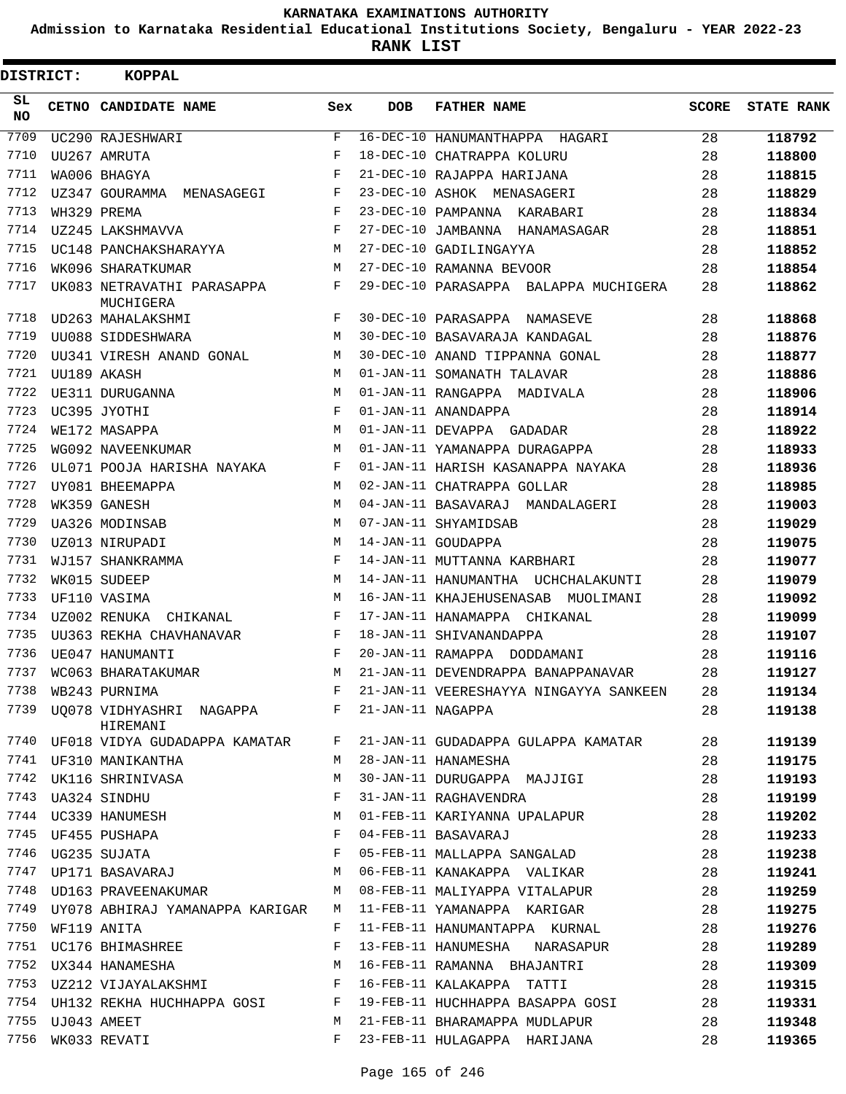**Admission to Karnataka Residential Educational Institutions Society, Bengaluru - YEAR 2022-23**

| DISTRICT:       |             | <b>KOPPAL</b>                           |             |                   |                                        |              |                   |
|-----------------|-------------|-----------------------------------------|-------------|-------------------|----------------------------------------|--------------|-------------------|
| SL<br><b>NO</b> |             | CETNO CANDIDATE NAME                    | Sex         | <b>DOB</b>        | <b>FATHER NAME</b>                     | <b>SCORE</b> | <b>STATE RANK</b> |
| 7709            |             | UC290 RAJESHWARI                        | $\mathbf F$ |                   | 16-DEC-10 HANUMANTHAPPA HAGARI         | 28           | 118792            |
| 7710            |             | UU267 AMRUTA                            | F           |                   | 18-DEC-10 CHATRAPPA KOLURU             | 28           | 118800            |
| 7711            |             | WA006 BHAGYA                            | F           |                   | 21-DEC-10 RAJAPPA HARIJANA             | 28           | 118815            |
| 7712            |             | UZ347 GOURAMMA MENASAGEGI               | F           |                   | 23-DEC-10 ASHOK MENASAGERI             | 28           | 118829            |
| 7713            |             | WH329 PREMA                             | F           |                   | 23-DEC-10 PAMPANNA KARABARI            | 28           | 118834            |
| 7714            |             | UZ245 LAKSHMAVVA                        | F           |                   | 27-DEC-10 JAMBANNA HANAMASAGAR         | 28           | 118851            |
| 7715            |             | UC148 PANCHAKSHARAYYA                   | М           |                   | 27-DEC-10 GADILINGAYYA                 | 28           | 118852            |
| 7716            |             | WK096 SHARATKUMAR                       | M           |                   | 27-DEC-10 RAMANNA BEVOOR               | 28           | 118854            |
| 7717            |             | UK083 NETRAVATHI PARASAPPA<br>MUCHIGERA | F           |                   | 29-DEC-10 PARASAPPA BALAPPA MUCHIGERA  | 28           | 118862            |
| 7718            |             | UD263 MAHALAKSHMI                       | F           |                   | 30-DEC-10 PARASAPPA NAMASEVE           | 28           | 118868            |
| 7719            |             | UU088 SIDDESHWARA                       | M           |                   | 30-DEC-10 BASAVARAJA KANDAGAL          | 28           | 118876            |
| 7720            |             | UU341 VIRESH ANAND GONAL                | М           |                   | 30-DEC-10 ANAND TIPPANNA GONAL         | 28           | 118877            |
| 7721            |             | UU189 AKASH                             | M           |                   | 01-JAN-11 SOMANATH TALAVAR             | 28           | 118886            |
| 7722            |             | UE311 DURUGANNA                         | M           |                   | 01-JAN-11 RANGAPPA MADIVALA            | 28           | 118906            |
| 7723            |             | UC395 JYOTHI                            | F           |                   | 01-JAN-11 ANANDAPPA                    | 28           | 118914            |
| 7724            |             | WE172 MASAPPA                           | M           |                   | 01-JAN-11 DEVAPPA GADADAR              | 28           | 118922            |
| 7725            |             | WG092 NAVEENKUMAR                       | M           |                   | 01-JAN-11 YAMANAPPA DURAGAPPA          | 28           | 118933            |
| 7726            |             | UL071 POOJA HARISHA NAYAKA              | F           |                   | 01-JAN-11 HARISH KASANAPPA NAYAKA      | 28           | 118936            |
| 7727            |             | UY081 BHEEMAPPA                         | M           |                   | 02-JAN-11 CHATRAPPA GOLLAR             | 28           | 118985            |
| 7728            |             | WK359 GANESH                            | М           |                   | 04-JAN-11 BASAVARAJ MANDALAGERI        | 28           | 119003            |
| 7729            |             | UA326 MODINSAB                          | M           |                   | 07-JAN-11 SHYAMIDSAB                   | 28           | 119029            |
| 7730            |             | UZ013 NIRUPADI                          | M           |                   | 14-JAN-11 GOUDAPPA                     | 28           | 119075            |
| 7731            |             | WJ157 SHANKRAMMA                        | F           |                   | 14-JAN-11 MUTTANNA KARBHARI            | 28           | 119077            |
| 7732            |             | WK015 SUDEEP                            | M           |                   | 14-JAN-11 HANUMANTHA UCHCHALAKUNTI     | 28           | 119079            |
| 7733            |             | UF110 VASIMA                            | M           |                   | 16-JAN-11 KHAJEHUSENASAB MUOLIMANI     | 28           | 119092            |
| 7734            |             | UZ002 RENUKA<br>CHIKANAL                | F           |                   | 17-JAN-11 HANAMAPPA CHIKANAL           | 28           | 119099            |
| 7735            |             | UU363 REKHA CHAVHANAVAR                 | F           |                   | 18-JAN-11 SHIVANANDAPPA                | 28           | 119107            |
| 7736            |             | UE047 HANUMANTI                         | F           |                   | 20-JAN-11 RAMAPPA DODDAMANI            | 28           | 119116            |
| 7737            |             | WC063 BHARATAKUMAR                      | М           |                   | 21-JAN-11 DEVENDRAPPA BANAPPANAVAR     | 28           | 119127            |
| 7738            |             | WB243 PURNIMA                           | $\mathbf F$ |                   | 21-JAN-11 VEERESHAYYA NINGAYYA SANKEEN | 28           | 119134            |
| 7739            |             | UO078 VIDHYASHRI NAGAPPA<br>HIREMANI    | F           | 21-JAN-11 NAGAPPA |                                        | 28           | 119138            |
| 7740            |             | UF018 VIDYA GUDADAPPA KAMATAR           | F           |                   | 21-JAN-11 GUDADAPPA GULAPPA KAMATAR    | 28           | 119139            |
| 7741            |             | UF310 MANIKANTHA                        | М           |                   | 28-JAN-11 HANAMESHA                    | 28           | 119175            |
| 7742            |             | UK116 SHRINIVASA                        | М           |                   | 30-JAN-11 DURUGAPPA MAJJIGI            | 28           | 119193            |
|                 |             | 7743 UA324 SINDHU                       | F           |                   | 31-JAN-11 RAGHAVENDRA                  | 28           | 119199            |
|                 |             | 7744 UC339 HANUMESH                     | М           |                   | 01-FEB-11 KARIYANNA UPALAPUR           | 28           | 119202            |
|                 |             | 7745 UF455 PUSHAPA                      | F           |                   | 04-FEB-11 BASAVARAJ                    | 28           | 119233            |
| 7746            |             | UG235 SUJATA                            | F           |                   | 05-FEB-11 MALLAPPA SANGALAD            | 28           | 119238            |
|                 |             | 7747 UP171 BASAVARAJ                    | М           |                   | 06-FEB-11 KANAKAPPA VALIKAR            | 28           | 119241            |
| 7748            |             | UD163 PRAVEENAKUMAR                     | М           |                   | 08-FEB-11 MALIYAPPA VITALAPUR          | 28           | 119259            |
| 7749            |             | UY078 ABHIRAJ YAMANAPPA KARIGAR         | М           |                   | 11-FEB-11 YAMANAPPA KARIGAR            | 28           | 119275            |
| 7750            |             | WF119 ANITA                             | F           |                   | 11-FEB-11 HANUMANTAPPA KURNAL          | 28           | 119276            |
| 7751            |             | UC176 BHIMASHREE                        | F           |                   | 13-FEB-11 HANUMESHA<br>NARASAPUR       | 28           | 119289            |
| 7752            |             | UX344 HANAMESHA                         | М           |                   | 16-FEB-11 RAMANNA BHAJANTRI            | 28           | 119309            |
| 7753            |             | UZ212 VIJAYALAKSHMI                     | F           |                   | 16-FEB-11 KALAKAPPA TATTI              | 28           | 119315            |
|                 |             | 7754 UH132 REKHA HUCHHAPPA GOSI         | F           |                   | 19-FEB-11 HUCHHAPPA BASAPPA GOSI       | 28           | 119331            |
| 7755            | UJ043 AMEET |                                         | М           |                   | 21-FEB-11 BHARAMAPPA MUDLAPUR          | 28           | 119348            |
| 7756            |             | WK033 REVATI                            | F           |                   | 23-FEB-11 HULAGAPPA HARIJANA           | 28           | 119365            |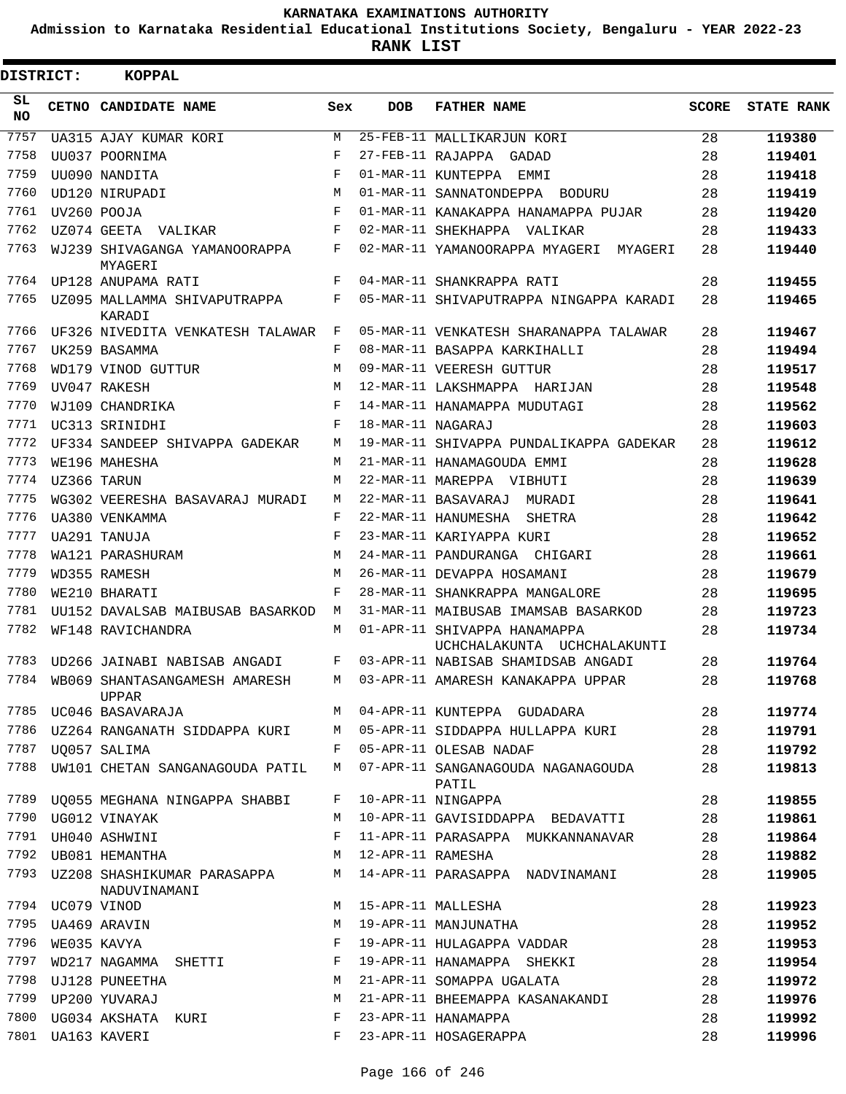**Admission to Karnataka Residential Educational Institutions Society, Bengaluru - YEAR 2022-23**

**RANK LIST**

| DISTRICT: | <b>KOPPAL</b>                                 |     |                   |                                                             |              |                   |
|-----------|-----------------------------------------------|-----|-------------------|-------------------------------------------------------------|--------------|-------------------|
| SL<br>NO. | CETNO CANDIDATE NAME                          | Sex | <b>DOB</b>        | <b>FATHER NAME</b>                                          | <b>SCORE</b> | <b>STATE RANK</b> |
| 7757      | UA315 AJAY KUMAR KORI                         | М   |                   | 25-FEB-11 MALLIKARJUN KORI                                  | 28           | 119380            |
| 7758      | UU037 POORNIMA                                | F   |                   | 27-FEB-11 RAJAPPA GADAD                                     | 28           | 119401            |
| 7759      | UU090 NANDITA                                 | F   |                   | 01-MAR-11 KUNTEPPA EMMI                                     | 28           | 119418            |
| 7760      | UD120 NIRUPADI                                | M   |                   | 01-MAR-11 SANNATONDEPPA BODURU                              | 28           | 119419            |
| 7761      | UV260 POOJA                                   | F   |                   | 01-MAR-11 KANAKAPPA HANAMAPPA PUJAR                         | 28           | 119420            |
| 7762      | UZ074 GEETA VALIKAR                           | F   |                   | 02-MAR-11 SHEKHAPPA VALIKAR                                 | 28           | 119433            |
| 7763      | WJ239 SHIVAGANGA YAMANOORAPPA<br>MYAGERI      | F   |                   | 02-MAR-11 YAMANOORAPPA MYAGERI MYAGERI                      | 28           | 119440            |
| 7764      | UP128 ANUPAMA RATI                            | F   |                   | 04-MAR-11 SHANKRAPPA RATI                                   | 28           | 119455            |
| 7765      | UZ095 MALLAMMA SHIVAPUTRAPPA<br>KARADI        | F   |                   | 05-MAR-11 SHIVAPUTRAPPA NINGAPPA KARADI                     | 28           | 119465            |
| 7766      | UF326 NIVEDITA VENKATESH TALAWAR              | F   |                   | 05-MAR-11 VENKATESH SHARANAPPA TALAWAR                      | 28           | 119467            |
| 7767      | UK259 BASAMMA                                 | F   |                   | 08-MAR-11 BASAPPA KARKIHALLI                                | 28           | 119494            |
| 7768      | WD179 VINOD GUTTUR                            | M   |                   | 09-MAR-11 VEERESH GUTTUR                                    | 28           | 119517            |
| 7769      | UV047 RAKESH                                  | M   |                   | 12-MAR-11 LAKSHMAPPA HARIJAN                                | 28           | 119548            |
| 7770      | WJ109 CHANDRIKA                               | F   |                   | 14-MAR-11 HANAMAPPA MUDUTAGI                                | 28           | 119562            |
| 7771      | UC313 SRINIDHI                                | F   | 18-MAR-11 NAGARAJ |                                                             | 28           | 119603            |
| 7772      | UF334 SANDEEP SHIVAPPA GADEKAR                | M   |                   | 19-MAR-11 SHIVAPPA PUNDALIKAPPA GADEKAR                     | 28           | 119612            |
| 7773      | WE196 MAHESHA                                 | M   |                   | 21-MAR-11 HANAMAGOUDA EMMI                                  | 28           | 119628            |
| 7774      | UZ366 TARUN                                   | M   |                   | 22-MAR-11 MAREPPA VIBHUTI                                   | 28           | 119639            |
| 7775      | WG302 VEERESHA BASAVARAJ MURADI               | M   |                   | 22-MAR-11 BASAVARAJ MURADI                                  | 28           | 119641            |
| 7776      | UA380 VENKAMMA                                | F   |                   | 22-MAR-11 HANUMESHA SHETRA                                  | 28           | 119642            |
| 7777      | UA291 TANUJA                                  | F   |                   | 23-MAR-11 KARIYAPPA KURI                                    | 28           | 119652            |
| 7778      | WA121 PARASHURAM                              | M   |                   | 24-MAR-11 PANDURANGA CHIGARI                                | 28           | 119661            |
| 7779      | WD355 RAMESH                                  | М   |                   | 26-MAR-11 DEVAPPA HOSAMANI                                  | 28           | 119679            |
| 7780      | WE210 BHARATI                                 | F   |                   | 28-MAR-11 SHANKRAPPA MANGALORE                              | 28           | 119695            |
| 7781      | UU152 DAVALSAB MAIBUSAB BASARKOD              | M   |                   | 31-MAR-11 MAIBUSAB IMAMSAB BASARKOD                         | 28           | 119723            |
| 7782      | WF148 RAVICHANDRA                             | M   |                   | 01-APR-11 SHIVAPPA HANAMAPPA<br>UCHCHALAKUNTA UCHCHALAKUNTI | 28           | 119734            |
| 7783      | UD266 JAINABI NABISAB ANGADI                  | F   |                   | 03-APR-11 NABISAB SHAMIDSAB ANGADI                          | 28           | 119764            |
| 7784      | WB069 SHANTASANGAMESH AMARESH<br><b>UPPAR</b> | М   |                   | 03-APR-11 AMARESH KANAKAPPA UPPAR                           | 28           | 119768            |
| 7785      | UC046 BASAVARAJA                              | M   |                   | 04-APR-11 KUNTEPPA GUDADARA                                 | 28           | 119774            |
| 7786      | UZ264 RANGANATH SIDDAPPA KURI                 | М   |                   | 05-APR-11 SIDDAPPA HULLAPPA KURI                            | 28           | 119791            |
| 7787      | UO057 SALIMA                                  | F   |                   | 05-APR-11 OLESAB NADAF                                      | 28           | 119792            |
| 7788      | UW101 CHETAN SANGANAGOUDA PATIL               | М   |                   | 07-APR-11 SANGANAGOUDA NAGANAGOUDA<br>PATIL                 | 28           | 119813            |
| 7789      | UQ055 MEGHANA NINGAPPA SHABBI                 | F   |                   | 10-APR-11 NINGAPPA                                          | 28           | 119855            |
| 7790      | UG012 VINAYAK                                 | M   |                   | 10-APR-11 GAVISIDDAPPA BEDAVATTI                            | 28           | 119861            |
| 7791      | UH040 ASHWINI                                 | F   |                   | 11-APR-11 PARASAPPA MUKKANNANAVAR                           | 28           | 119864            |
| 7792      | UB081 HEMANTHA                                | M   | 12-APR-11 RAMESHA |                                                             | 28           | 119882            |
| 7793      | UZ208 SHASHIKUMAR PARASAPPA<br>NADUVINAMANI   | M   |                   | 14-APR-11 PARASAPPA NADVINAMANI                             | 28           | 119905            |
| 7794      | UC079 VINOD                                   | М   |                   | 15-APR-11 MALLESHA                                          | 28           | 119923            |
| 7795      | UA469 ARAVIN                                  | М   |                   | 19-APR-11 MANJUNATHA                                        | 28           | 119952            |
| 7796      | WE035 KAVYA                                   | F   |                   | 19-APR-11 HULAGAPPA VADDAR                                  | 28           | 119953            |
| 7797      | WD217 NAGAMMA SHETTI                          | F   |                   | 19-APR-11 HANAMAPPA SHEKKI                                  | 28           | 119954            |
| 7798      | UJ128 PUNEETHA                                | М   |                   | 21-APR-11 SOMAPPA UGALATA                                   | 28           | 119972            |
| 7799      | UP200 YUVARAJ                                 | М   |                   | 21-APR-11 BHEEMAPPA KASANAKANDI                             | 28           | 119976            |
| 7800      | UG034 AKSHATA KURI                            | F   |                   | 23-APR-11 HANAMAPPA                                         | 28           | 119992            |
| 7801      | UA163 KAVERI                                  | F   |                   | 23-APR-11 HOSAGERAPPA                                       | 28           | 119996            |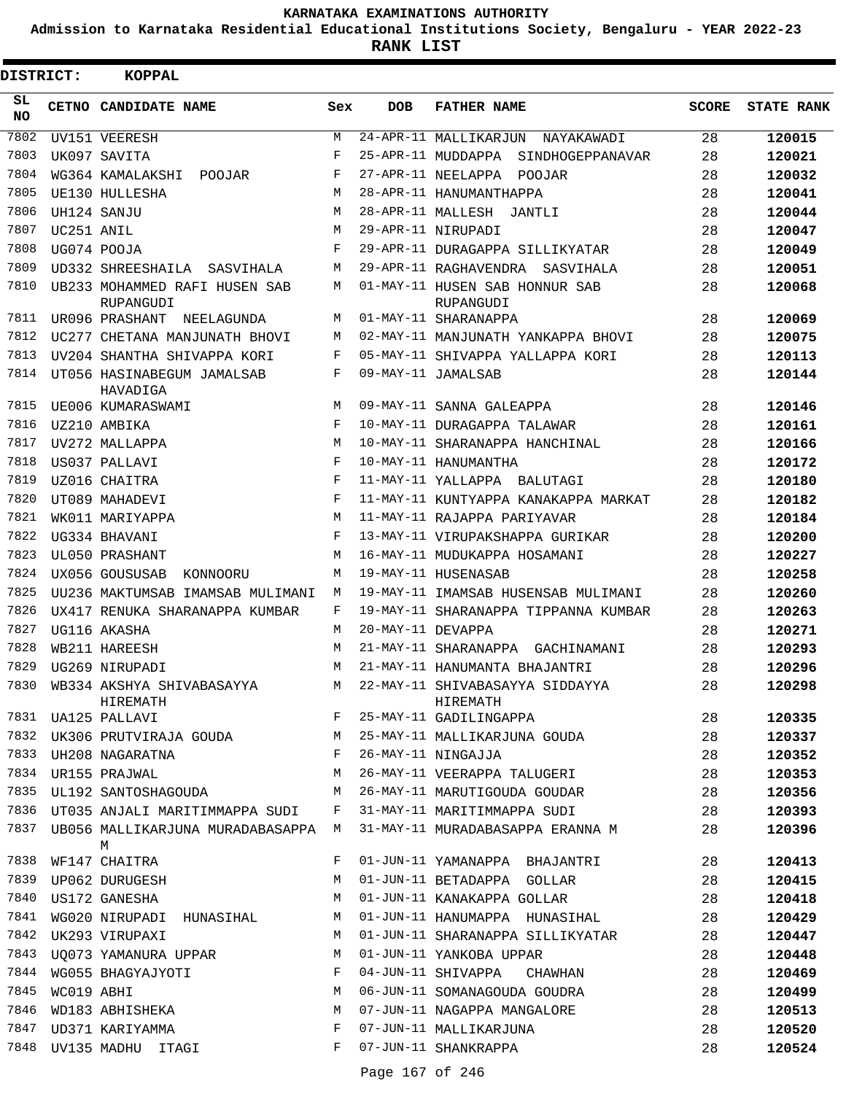**Admission to Karnataka Residential Educational Institutions Society, Bengaluru - YEAR 2022-23**

**RANK LIST**

| DISTRICT:       |            | <b>KOPPAL</b>                                                                           |              |                   |                                                            |              |                   |
|-----------------|------------|-----------------------------------------------------------------------------------------|--------------|-------------------|------------------------------------------------------------|--------------|-------------------|
| SL<br><b>NO</b> |            | CETNO CANDIDATE NAME                                                                    | Sex          | <b>DOB</b>        | <b>FATHER NAME</b>                                         | <b>SCORE</b> | <b>STATE RANK</b> |
| 7802            |            | UV151 VEERESH                                                                           | М            |                   | 24-APR-11 MALLIKARJUN<br>NAYAKAWADI                        | 28           | 120015            |
| 7803            |            | UK097 SAVITA                                                                            | F            |                   | 25-APR-11 MUDDAPPA<br>SINDHOGEPPANAVAR                     | 28           | 120021            |
| 7804            |            | WG364 KAMALAKSHI<br>POOJAR                                                              | F            |                   | 27-APR-11 NEELAPPA POOJAR                                  | 28           | 120032            |
| 7805            |            | UE130 HULLESHA                                                                          | M            |                   | 28-APR-11 HANUMANTHAPPA                                    | 28           | 120041            |
| 7806            |            | UH124 SANJU                                                                             | M            |                   | 28-APR-11 MALLESH<br>JANTLI                                | 28           | 120044            |
| 7807            | UC251 ANIL |                                                                                         | M            |                   | 29-APR-11 NIRUPADI                                         | 28           | 120047            |
| 7808            |            | UG074 POOJA                                                                             | F            |                   | 29-APR-11 DURAGAPPA SILLIKYATAR                            | 28           | 120049            |
| 7809            |            | UD332 SHREESHAILA<br>SASVIHALA                                                          | М            |                   | 29-APR-11 RAGHAVENDRA SASVIHALA                            | 28           | 120051            |
| 7810            |            | UB233 MOHAMMED RAFI HUSEN SAB<br>RUPANGUDI                                              | М            |                   | 01-MAY-11 HUSEN SAB HONNUR SAB<br>RUPANGUDI                | 28           | 120068            |
| 7811            |            | UR096 PRASHANT<br>NEELAGUNDA                                                            | М            |                   | 01-MAY-11 SHARANAPPA                                       | 28           | 120069            |
| 7812            |            | UC277 CHETANA MANJUNATH BHOVI                                                           | М            |                   | 02-MAY-11 MANJUNATH YANKAPPA BHOVI                         | 28           | 120075            |
| 7813            |            | UV204 SHANTHA SHIVAPPA KORI                                                             | F            |                   | 05-MAY-11 SHIVAPPA YALLAPPA KORI                           | 28           | 120113            |
| 7814            |            | UT056 HASINABEGUM JAMALSAB<br>HAVADIGA                                                  | F            |                   | 09-MAY-11 JAMALSAB                                         | 28           | 120144            |
| 7815            |            | UE006 KUMARASWAMI                                                                       | M            |                   | 09-MAY-11 SANNA GALEAPPA                                   | 28           | 120146            |
| 7816            |            | UZ210 AMBIKA                                                                            | $_{\rm F}$   |                   | 10-MAY-11 DURAGAPPA TALAWAR                                | 28           | 120161            |
| 7817            |            | UV272 MALLAPPA                                                                          | M            |                   | 10-MAY-11 SHARANAPPA HANCHINAL                             | 28           | 120166            |
| 7818            |            | US037 PALLAVI                                                                           | $_{\rm F}$   |                   | 10-MAY-11 HANUMANTHA                                       | 28           | 120172            |
| 7819            |            | UZ016 CHAITRA                                                                           | $_{\rm F}$   |                   | 11-MAY-11 YALLAPPA BALUTAGI                                | 28           | 120180            |
| 7820            |            | UT089 MAHADEVI                                                                          | F            |                   | 11-MAY-11 KUNTYAPPA KANAKAPPA MARKAT                       | 28           | 120182            |
| 7821            |            | WK011 MARIYAPPA                                                                         | M            |                   | 11-MAY-11 RAJAPPA PARIYAVAR                                | 28           | 120184            |
| 7822            |            | UG334 BHAVANI                                                                           | F            |                   | 13-MAY-11 VIRUPAKSHAPPA GURIKAR                            | 28           | 120200            |
| 7823            |            | UL050 PRASHANT                                                                          | M            |                   | 16-MAY-11 MUDUKAPPA HOSAMANI                               | 28           | 120227            |
| 7824            |            | UX056 GOUSUSAB<br>KONNOORU                                                              | M            |                   | 19-MAY-11 HUSENASAB                                        | 28           | 120258            |
| 7825            |            | UU236 MAKTUMSAB IMAMSAB MULIMANI                                                        | M            |                   | 19-MAY-11 IMAMSAB HUSENSAB MULIMANI                        | 28           | 120260            |
| 7826            |            | UX417 RENUKA SHARANAPPA KUMBAR                                                          | F            |                   | 19-MAY-11 SHARANAPPA TIPPANNA KUMBAR                       | 28           | 120263            |
| 7827            |            | UG116 AKASHA                                                                            | M            | 20-MAY-11 DEVAPPA |                                                            | 28           | 120271            |
| 7828            |            | WB211 HAREESH                                                                           | M            |                   | 21-MAY-11 SHARANAPPA GACHINAMANI                           | 28           | 120293            |
| 7829            |            | UG269 NIRUPADI                                                                          | M            |                   | 21-MAY-11 HANUMANTA BHAJANTRI                              | 28           | 120296            |
| 7830            |            | WB334 AKSHYA SHIVABASAYYA<br>HIREMATH<br>$\mathbf{F}$ and $\mathbf{F}$ and $\mathbf{F}$ | M            |                   | 22-MAY-11 SHIVABASAYYA SIDDAYYA<br>HIREMATH                | 28           | 120298            |
|                 |            | 7831 UA125 PALLAVI                                                                      |              |                   | 25-MAY-11 GADILINGAPPA                                     | 28           | 120335            |
|                 |            |                                                                                         |              |                   | 7832 UK306 PRUTVIRAJA GOUDA M 25-MAY-11 MALLIKARJUNA GOUDA | 28           | 120337            |
| 7833            |            | UH208 NAGARATNA                                                                         | $\mathbf{F}$ |                   | 26-MAY-11 NINGAJJA                                         | 28           | 120352            |
| 7834            |            | UR155 PRAJWAL                                                                           | М            |                   | 26-MAY-11 VEERAPPA TALUGERI                                | 28           | 120353            |
| 7835            |            | UL192 SANTOSHAGOUDA                                                                     | M            |                   | 26-MAY-11 MARUTIGOUDA GOUDAR                               | 28           | 120356            |
| 7836            |            | UT035 ANJALI MARITIMMAPPA SUDI F                                                        |              |                   | 31-MAY-11 MARITIMMAPPA SUDI                                | 28           | 120393            |
| 7837            |            | UB056 MALLIKARJUNA MURADABASAPPA M<br>М                                                 |              |                   | 31-MAY-11 MURADABASAPPA ERANNA M                           | 28           | 120396            |
| 7838            |            | WF147 CHAITRA                                                                           | F            |                   | 01-JUN-11 YAMANAPPA BHAJANTRI                              | 28           | 120413            |
| 7839            |            | UP062 DURUGESH                                                                          | М            |                   | 01-JUN-11 BETADAPPA GOLLAR                                 | 28           | 120415            |
| 7840            |            | US172 GANESHA                                                                           | М            |                   | 01-JUN-11 KANAKAPPA GOLLAR                                 | 28           | 120418            |
| 7841            |            | WG020 NIRUPADI HUNASIHAL                                                                | М            |                   | 01-JUN-11 HANUMAPPA HUNASIHAL                              | 28           | 120429            |
| 7842            |            | UK293 VIRUPAXI                                                                          | М            |                   | 01-JUN-11 SHARANAPPA SILLIKYATAR                           | 28           | 120447            |
| 7843            |            | UQ073 YAMANURA UPPAR                                                                    | М            |                   | 01-JUN-11 YANKOBA UPPAR                                    | 28           | 120448            |
| 7844            |            | WG055 BHAGYAJYOTI                                                                       | F            |                   | 04-JUN-11 SHIVAPPA CHAWHAN                                 | 28           | 120469            |
| 7845            | WC019 ABHI |                                                                                         | М            |                   | 06-JUN-11 SOMANAGOUDA GOUDRA                               | 28           | 120499            |
| 7846            |            | WD183 ABHISHEKA                                                                         | М            |                   | 07-JUN-11 NAGAPPA MANGALORE                                | 28           | 120513            |
| 7847            |            | UD371 KARIYAMMA                                                                         | F            |                   | 07-JUN-11 MALLIKARJUNA                                     | 28           | 120520            |
| 7848            |            | UV135 MADHU ITAGI                                                                       | F            |                   | 07-JUN-11 SHANKRAPPA                                       | 28           | 120524            |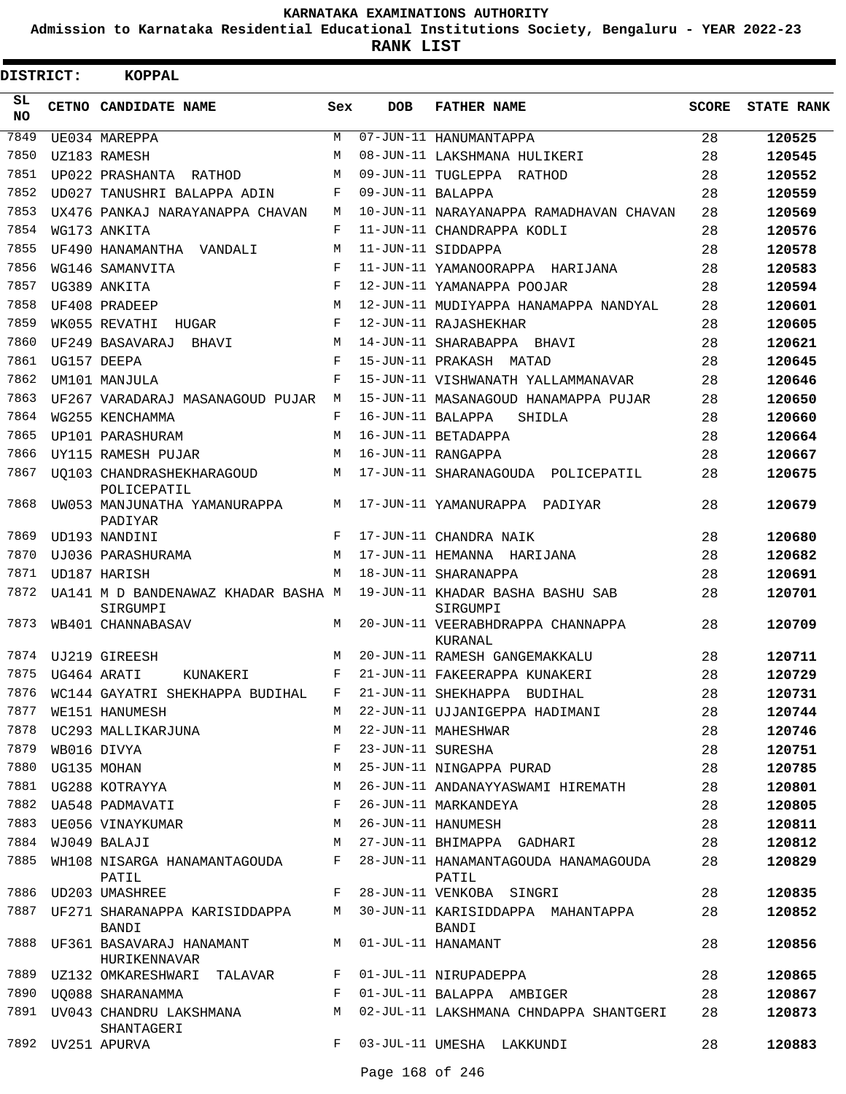**Admission to Karnataka Residential Educational Institutions Society, Bengaluru - YEAR 2022-23**

 $\blacksquare$ 

| DISTRICT: | <b>KOPPAL</b>                                   |     |                   |                                               |              |                   |
|-----------|-------------------------------------------------|-----|-------------------|-----------------------------------------------|--------------|-------------------|
| SL<br>NO. | CETNO CANDIDATE NAME                            | Sex | <b>DOB</b>        | <b>FATHER NAME</b>                            | <b>SCORE</b> | <b>STATE RANK</b> |
| 7849      | UE034 MAREPPA                                   | M   |                   | 07-JUN-11 HANUMANTAPPA                        | 28           | 120525            |
| 7850      | UZ183 RAMESH                                    | М   |                   | 08-JUN-11 LAKSHMANA HULIKERI                  | 28           | 120545            |
| 7851      | UP022 PRASHANTA RATHOD                          | M   |                   | 09-JUN-11 TUGLEPPA RATHOD                     | 28           | 120552            |
| 7852      | UD027 TANUSHRI BALAPPA ADIN                     | F   | 09-JUN-11 BALAPPA |                                               | 28           | 120559            |
| 7853      | UX476 PANKAJ NARAYANAPPA CHAVAN                 | М   |                   | 10-JUN-11 NARAYANAPPA RAMADHAVAN CHAVAN       | 28           | 120569            |
| 7854      | WG173 ANKITA                                    | F   |                   | 11-JUN-11 CHANDRAPPA KODLI                    | 28           | 120576            |
| 7855      | UF490 HANAMANTHA VANDALI                        | М   |                   | 11-JUN-11 SIDDAPPA                            | 28           | 120578            |
| 7856      | WG146 SAMANVITA                                 | F   |                   | 11-JUN-11 YAMANOORAPPA HARIJANA               | 28           | 120583            |
| 7857      | UG389 ANKITA                                    | F   |                   | 12-JUN-11 YAMANAPPA POOJAR                    | 28           | 120594            |
| 7858      | UF408 PRADEEP                                   | M   |                   | 12-JUN-11 MUDIYAPPA HANAMAPPA NANDYAL         | 28           | 120601            |
| 7859      | WK055 REVATHI<br>HUGAR                          | F   |                   | 12-JUN-11 RAJASHEKHAR                         | 28           | 120605            |
| 7860      | UF249 BASAVARAJ<br>BHAVI                        | M   |                   | 14-JUN-11 SHARABAPPA BHAVI                    | 28           | 120621            |
| 7861      | UG157 DEEPA                                     | F   |                   | 15-JUN-11 PRAKASH MATAD                       | 28           | 120645            |
| 7862      | UM101 MANJULA                                   | F   |                   | 15-JUN-11 VISHWANATH YALLAMMANAVAR            | 28           | 120646            |
| 7863      | UF267 VARADARAJ MASANAGOUD PUJAR                | М   |                   | 15-JUN-11 MASANAGOUD HANAMAPPA PUJAR          | 28           | 120650            |
| 7864      | WG255 KENCHAMMA                                 | F   | 16-JUN-11 BALAPPA | SHIDLA                                        | 28           | 120660            |
| 7865      | UP101 PARASHURAM                                | М   |                   | 16-JUN-11 BETADAPPA                           | 28           | 120664            |
| 7866      | UY115 RAMESH PUJAR                              | M   |                   | 16-JUN-11 RANGAPPA                            | 28           | 120667            |
| 7867      | UO103 CHANDRASHEKHARAGOUD<br>POLICEPATIL        | M   |                   | 17-JUN-11 SHARANAGOUDA POLICEPATIL            | 28           | 120675            |
| 7868      | UW053 MANJUNATHA YAMANURAPPA<br>PADIYAR         | M   |                   | 17-JUN-11 YAMANURAPPA PADIYAR                 | 28           | 120679            |
| 7869      | UD193 NANDINI                                   | F   |                   | 17-JUN-11 CHANDRA NAIK                        | 28           | 120680            |
| 7870      | UJ036 PARASHURAMA                               | M   |                   | 17-JUN-11 HEMANNA HARIJANA                    | 28           | 120682            |
| 7871      | UD187 HARISH                                    | M   |                   | 18-JUN-11 SHARANAPPA                          | 28           | 120691            |
| 7872      | UA141 M D BANDENAWAZ KHADAR BASHA M<br>SIRGUMPI |     |                   | 19-JUN-11 KHADAR BASHA BASHU SAB<br>SIRGUMPI  | 28           | 120701            |
| 7873      | WB401 CHANNABASAV                               | M   |                   | 20-JUN-11 VEERABHDRAPPA CHANNAPPA<br>KURANAL  | 28           | 120709            |
| 7874      | UJ219 GIREESH                                   | М   |                   | 20-JUN-11 RAMESH GANGEMAKKALU                 | 28           | 120711            |
| 7875      | UG464 ARATI<br>KUNAKERI                         | F   |                   | 21-JUN-11 FAKEERAPPA KUNAKERI                 | 28           | 120729            |
| 7876      | WC144 GAYATRI SHEKHAPPA BUDIHAL                 | F   |                   | 21-JUN-11 SHEKHAPPA BUDIHAL                   | 28           | 120731            |
| 7877      | WE151 HANUMESH                                  | M   |                   | 22-JUN-11 UJJANIGEPPA HADIMANI                | 28           | 120744            |
| 7878      | UC293 MALLIKARJUNA                              | М   |                   | 22-JUN-11 MAHESHWAR                           | 28           | 120746            |
| 7879      | WB016 DIVYA                                     | F   | 23-JUN-11 SURESHA |                                               | 28           | 120751            |
| 7880      | UG135 MOHAN                                     | M   |                   | 25-JUN-11 NINGAPPA PURAD                      | 28           | 120785            |
| 7881      | UG288 KOTRAYYA                                  | M   |                   | 26-JUN-11 ANDANAYYASWAMI HIREMATH             | 28           | 120801            |
|           | 7882 UA548 PADMAVATI                            | F   |                   | 26-JUN-11 MARKANDEYA                          | 28           | 120805            |
| 7883      | UE056 VINAYKUMAR                                | M   |                   | 26-JUN-11 HANUMESH                            | 28           | 120811            |
| 7884      | WJ049 BALAJI                                    | M   |                   | 27-JUN-11 BHIMAPPA GADHARI                    | 28           | 120812            |
| 7885      | WH108 NISARGA HANAMANTAGOUDA<br>PATIL           | F   |                   | 28-JUN-11 HANAMANTAGOUDA HANAMAGOUDA<br>PATIL | 28           | 120829            |
| 7886      | <b>UD203 UMASHREE</b>                           | F   |                   | 28-JUN-11 VENKOBA SINGRI                      | 28           | 120835            |
|           | 7887 UF271 SHARANAPPA KARISIDDAPPA<br>BANDI     |     |                   | M 30-JUN-11 KARISIDDAPPA MAHANTAPPA<br>BANDI  | 28           | 120852            |
| 7888      | UF361 BASAVARAJ HANAMANT<br>HURIKENNAVAR        |     |                   | M 01-JUL-11 HANAMANT                          | 28           | 120856            |
| 7889      | UZ132 OMKARESHWARI TALAVAR                      | F   |                   | 01-JUL-11 NIRUPADEPPA                         | 28           | 120865            |
| 7890      | UO088 SHARANAMMA                                | F   |                   | 01-JUL-11 BALAPPA AMBIGER                     | 28           | 120867            |
|           | 7891 UV043 CHANDRU LAKSHMANA<br>SHANTAGERI      | M   |                   | 02-JUL-11 LAKSHMANA CHNDAPPA SHANTGERI        | 28           | 120873            |
|           | 7892 UV251 APURVA                               | F   | Page 168 of 246   | 03-JUL-11 UMESHA LAKKUNDI                     | 28           | 120883            |
|           |                                                 |     |                   |                                               |              |                   |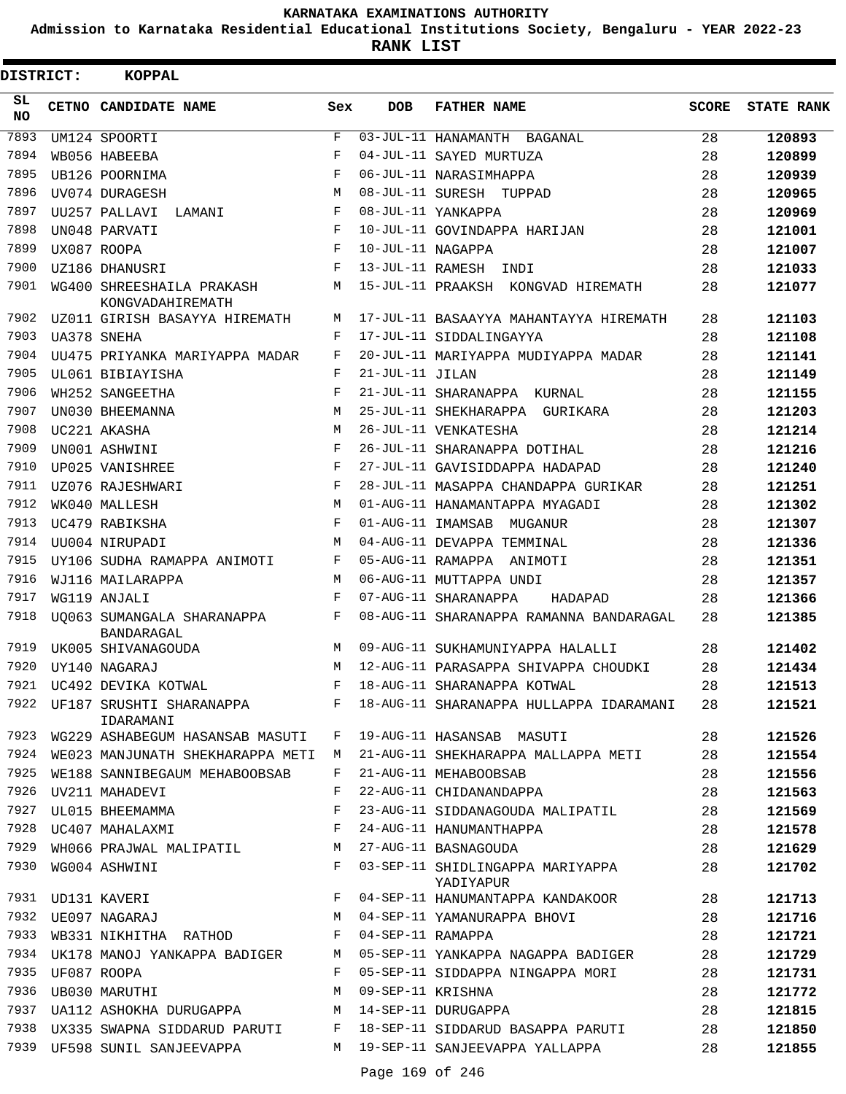**Admission to Karnataka Residential Educational Institutions Society, Bengaluru - YEAR 2022-23**

**RANK LIST**

 $\blacksquare$ 

| DISTRICT: | <b>KOPPAL</b>                                 |            |                   |                                                                             |              |                   |
|-----------|-----------------------------------------------|------------|-------------------|-----------------------------------------------------------------------------|--------------|-------------------|
| SL<br>NO. | CETNO CANDIDATE NAME                          | Sex        | <b>DOB</b>        | <b>FATHER NAME</b>                                                          | <b>SCORE</b> | <b>STATE RANK</b> |
| 7893      | UM124 SPOORTI                                 | $_{\rm F}$ |                   | 03-JUL-11 HANAMANTH BAGANAL                                                 | 28           | 120893            |
| 7894      | WB056 HABEEBA                                 | $_{\rm F}$ |                   | 04-JUL-11 SAYED MURTUZA                                                     | 28           | 120899            |
| 7895      | UB126 POORNIMA                                | $_{\rm F}$ |                   | 06-JUL-11 NARASIMHAPPA                                                      | 28           | 120939            |
| 7896      | UV074 DURAGESH                                | M          |                   | 08-JUL-11 SURESH TUPPAD                                                     | 28           | 120965            |
| 7897      | UU257 PALLAVI<br>LAMANI                       | F          |                   | 08-JUL-11 YANKAPPA                                                          | 28           | 120969            |
| 7898      | UN048 PARVATI                                 | F          |                   | 10-JUL-11 GOVINDAPPA HARIJAN                                                | 28           | 121001            |
| 7899      | UX087 ROOPA                                   | F          | 10-JUL-11 NAGAPPA |                                                                             | 28           | 121007            |
| 7900      | UZ186 DHANUSRI                                | F          |                   | 13-JUL-11 RAMESH INDI                                                       | 28           | 121033            |
| 7901      | WG400 SHREESHAILA PRAKASH<br>KONGVADAHIREMATH | М          |                   | 15-JUL-11 PRAAKSH KONGVAD HIREMATH                                          | 28           | 121077            |
| 7902      | UZ011 GIRISH BASAYYA HIREMATH                 | М          |                   | 17-JUL-11 BASAAYYA MAHANTAYYA HIREMATH                                      | 28           | 121103            |
| 7903      | UA378 SNEHA                                   | F          |                   | 17-JUL-11 SIDDALINGAYYA                                                     | 28           | 121108            |
| 7904      | UU475 PRIYANKA MARIYAPPA MADAR                | F          |                   | 20-JUL-11 MARIYAPPA MUDIYAPPA MADAR                                         | 28           | 121141            |
| 7905      | UL061 BIBIAYISHA                              | F          | 21-JUL-11 JILAN   |                                                                             | 28           | 121149            |
| 7906      | WH252 SANGEETHA                               | F          |                   | 21-JUL-11 SHARANAPPA KURNAL                                                 | 28           | 121155            |
| 7907      | UN030 BHEEMANNA                               | М          |                   | 25-JUL-11 SHEKHARAPPA GURIKARA                                              | 28           | 121203            |
| 7908      | UC221 AKASHA                                  | M          |                   | 26-JUL-11 VENKATESHA                                                        | 28           | 121214            |
| 7909      | UN001 ASHWINI                                 | F          |                   | 26-JUL-11 SHARANAPPA DOTIHAL                                                | 28           | 121216            |
| 7910      | UP025 VANISHREE                               | F          |                   | 27-JUL-11 GAVISIDDAPPA HADAPAD                                              | 28           | 121240            |
| 7911      | UZ076 RAJESHWARI                              | F          |                   | 28-JUL-11 MASAPPA CHANDAPPA GURIKAR                                         | 28           | 121251            |
| 7912      | WK040 MALLESH                                 | М          |                   | 01-AUG-11 HANAMANTAPPA MYAGADI                                              | 28           | 121302            |
| 7913      | UC479 RABIKSHA                                | F          |                   | 01-AUG-11 IMAMSAB MUGANUR                                                   | 28           | 121307            |
| 7914      | UU004 NIRUPADI                                | М          |                   | 04-AUG-11 DEVAPPA TEMMINAL                                                  | 28           | 121336            |
| 7915      | UY106 SUDHA RAMAPPA ANIMOTI                   | F          |                   | 05-AUG-11 RAMAPPA ANIMOTI                                                   | 28           | 121351            |
| 7916      | WJ116 MAILARAPPA                              | М          |                   | 06-AUG-11 MUTTAPPA UNDI                                                     | 28           | 121357            |
| 7917      | WG119 ANJALI                                  | F          |                   | 07-AUG-11 SHARANAPPA<br>HADAPAD                                             | 28           | 121366            |
| 7918      | UO063 SUMANGALA SHARANAPPA<br>BANDARAGAL      | F          |                   | 08-AUG-11 SHARANAPPA RAMANNA BANDARAGAL                                     | 28           | 121385            |
| 7919      | UK005 SHIVANAGOUDA                            | M          |                   | 09-AUG-11 SUKHAMUNIYAPPA HALALLI                                            | 28           | 121402            |
| 7920      | UY140 NAGARAJ                                 | М          |                   | 12-AUG-11 PARASAPPA SHIVAPPA CHOUDKI                                        | 28           | 121434            |
|           | 7921 UC492 DEVIKA KOTWAL                      |            |                   | F 18-AUG-11 SHARANAPPA KOTWAL                                               | 28           | 121513            |
|           | IDARAMANI                                     |            |                   | 7922 UF187 SRUSHTI SHARANAPPA     F 18-AUG-11 SHARANAPPA HULLAPPA IDARAMANI | 28           | 121521            |
|           | 7923 WG229 ASHABEGUM HASANSAB MASUTI F        |            |                   | 19-AUG-11 HASANSAB MASUTI                                                   | 28           | 121526            |
|           | 7924 WE023 MANJUNATH SHEKHARAPPA METI M       |            |                   | 21-AUG-11 SHEKHARAPPA MALLAPPA METI                                         | 28           | 121554            |
| 7925      | WE188 SANNIBEGAUM MEHABOOBSAB                 | F          |                   | 21-AUG-11 MEHABOOBSAB                                                       | 28           | 121556            |
| 7926      | UV211 MAHADEVI                                | F          |                   | 22-AUG-11 CHIDANANDAPPA                                                     | 28           | 121563            |
| 7927      | UL015 BHEEMAMMA                               | F          |                   | 23-AUG-11 SIDDANAGOUDA MALIPATIL                                            | 28           | 121569            |
|           | 7928 UC407 MAHALAXMI                          | $_{\rm F}$ |                   | 24-AUG-11 HANUMANTHAPPA                                                     | 28           | 121578            |
| 7929      | WH066 PRAJWAL MALIPATIL M                     |            |                   | 27-AUG-11 BASNAGOUDA                                                        | 28           | 121629            |
| 7930      | WG004 ASHWINI                                 | F          |                   | 03-SEP-11 SHIDLINGAPPA MARIYAPPA<br>YADIYAPUR                               | 28           | 121702            |
| 7931      | UD131 KAVERI                                  | $F -$      |                   | 04-SEP-11 HANUMANTAPPA KANDAKOOR                                            | 28           | 121713            |
| 7932      | UE097 NAGARAJ                                 |            |                   | M 04-SEP-11 YAMANURAPPA BHOVI                                               | 28           | 121716            |
| 7933      | WB331 NIKHITHA RATHOD F 04-SEP-11 RAMAPPA     |            |                   |                                                                             | 28           | 121721            |
|           | 7934 UK178 MANOJ YANKAPPA BADIGER             | M          |                   | 05-SEP-11 YANKAPPA NAGAPPA BADIGER                                          | 28           | 121729            |
| 7935      | UF087 ROOPA                                   | F          |                   | 05-SEP-11 SIDDAPPA NINGAPPA MORI                                            | 28           | 121731            |
| 7936      | UB030 MARUTHI                                 | М          | 09-SEP-11 KRISHNA |                                                                             | 28           | 121772            |
| 7937      | UA112 ASHOKHA DURUGAPPA M 14-SEP-11 DURUGAPPA |            |                   |                                                                             | 28           | 121815            |
|           |                                               |            |                   | 7938 UX335 SWAPNA SIDDARUD PARUTI F 18-SEP-11 SIDDARUD BASAPPA PARUTI       | 28           | 121850            |
| 7939      | UF598 SUNIL SANJEEVAPPA                       |            |                   | M 19-SEP-11 SANJEEVAPPA YALLAPPA                                            | 28           | 121855            |
|           |                                               |            |                   |                                                                             |              |                   |

Page 169 of 246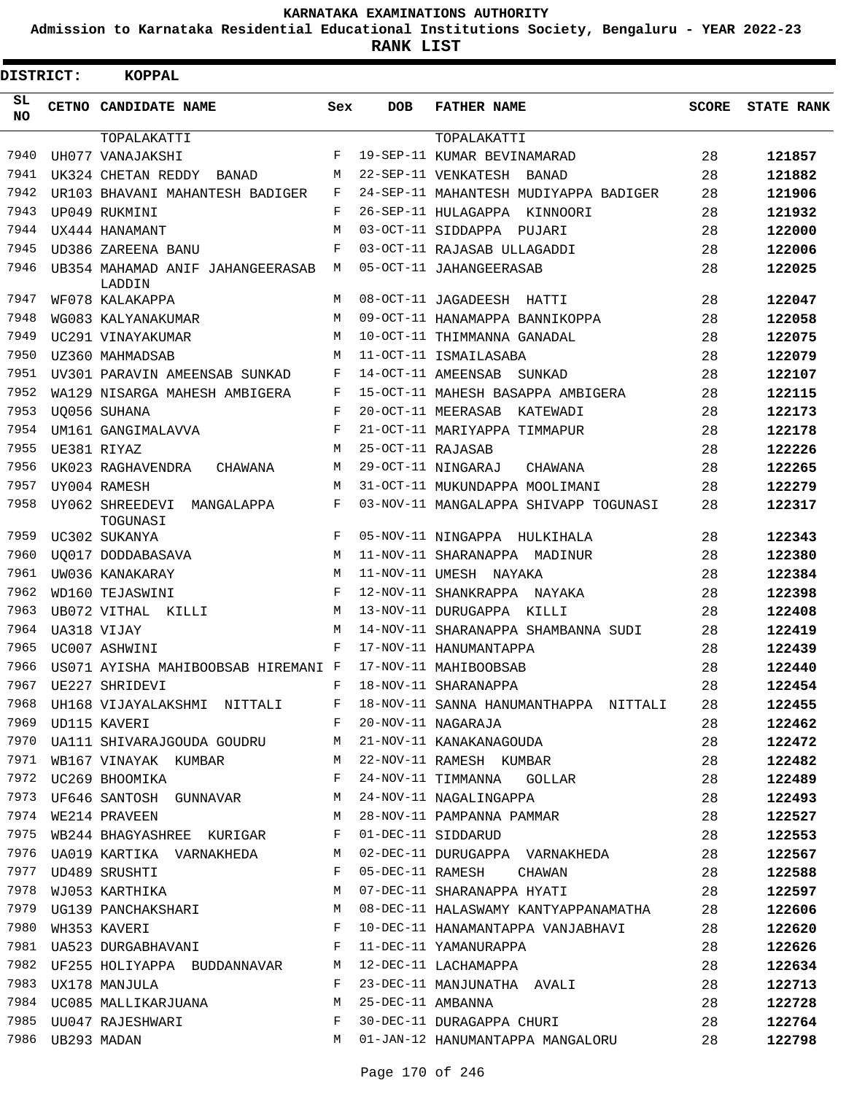**Admission to Karnataka Residential Educational Institutions Society, Bengaluru - YEAR 2022-23**

| <b>DISTRICT:</b> |                  | <b>KOPPAL</b>                                                   |            |                   |                                                                                                                                              |       |                   |
|------------------|------------------|-----------------------------------------------------------------|------------|-------------------|----------------------------------------------------------------------------------------------------------------------------------------------|-------|-------------------|
| SL<br><b>NO</b>  |                  | <b>CETNO CANDIDATE NAME</b>                                     | Sex        | <b>DOB</b>        | <b>FATHER NAME</b>                                                                                                                           | SCORE | <b>STATE RANK</b> |
|                  |                  | TOPALAKATTI                                                     |            |                   | TOPALAKATTI                                                                                                                                  |       |                   |
| 7940             |                  | UH077 VANAJAKSHI                                                | F          |                   | 19-SEP-11 KUMAR BEVINAMARAD                                                                                                                  | 28    | 121857            |
| 7941             |                  | UK324 CHETAN REDDY BANAD                                        | М          |                   | 22-SEP-11 VENKATESH BANAD                                                                                                                    | 28    | 121882            |
| 7942             |                  | UR103 BHAVANI MAHANTESH BADIGER                                 | F          |                   | 24-SEP-11 MAHANTESH MUDIYAPPA BADIGER                                                                                                        | 28    | 121906            |
| 7943             |                  | UP049 RUKMINI                                                   | $_{\rm F}$ |                   | 26-SEP-11 HULAGAPPA KINNOORI                                                                                                                 | 28    | 121932            |
| 7944             |                  | UX444 HANAMANT                                                  | М          |                   | 03-OCT-11 SIDDAPPA PUJARI                                                                                                                    | 28    | 122000            |
| 7945             |                  | UD386 ZAREENA BANU                                              | F          |                   | 03-OCT-11 RAJASAB ULLAGADDI                                                                                                                  | 28    | 122006            |
| 7946             |                  | UB354 MAHAMAD ANIF JAHANGEERASAB<br>LADDIN                      | M          |                   | 05-OCT-11 JAHANGEERASAB                                                                                                                      | 28    | 122025            |
| 7947             |                  | WF078 KALAKAPPA                                                 | М          |                   | 08-OCT-11 JAGADEESH HATTI                                                                                                                    | 28    | 122047            |
| 7948             |                  | WG083 KALYANAKUMAR                                              | М          |                   | 09-OCT-11 HANAMAPPA BANNIKOPPA                                                                                                               | 28    | 122058            |
| 7949             |                  | UC291 VINAYAKUMAR                                               | M          |                   | 10-OCT-11 THIMMANNA GANADAL                                                                                                                  | 28    | 122075            |
| 7950             |                  | UZ360 MAHMADSAB                                                 | M          |                   | 11-OCT-11 ISMAILASABA                                                                                                                        | 28    | 122079            |
| 7951             |                  | UV301 PARAVIN AMEENSAB SUNKAD                                   | F          |                   | 14-OCT-11 AMEENSAB SUNKAD                                                                                                                    | 28    | 122107            |
| 7952             |                  | WA129 NISARGA MAHESH AMBIGERA                                   | F          |                   | 15-OCT-11 MAHESH BASAPPA AMBIGERA                                                                                                            | 28    | 122115            |
| 7953             |                  | U0056 SUHANA                                                    | $_{\rm F}$ |                   | 20-OCT-11 MEERASAB KATEWADI                                                                                                                  | 28    | 122173            |
| 7954             |                  | UM161 GANGIMALAVVA                                              | F          |                   | 21-OCT-11 MARIYAPPA TIMMAPUR                                                                                                                 | 28    | 122178            |
| 7955             |                  | UE381 RIYAZ                                                     | М          | 25-OCT-11 RAJASAB |                                                                                                                                              | 28    | 122226            |
| 7956             |                  | UK023 RAGHAVENDRA<br>CHAWANA                                    | М          |                   | 29-OCT-11 NINGARAJ<br>CHAWANA                                                                                                                | 28    | 122265            |
| 7957             |                  | UY004 RAMESH                                                    | M          |                   | 31-OCT-11 MUKUNDAPPA MOOLIMANI                                                                                                               | 28    | 122279            |
| 7958             |                  | UY062 SHREEDEVI<br>MANGALAPPA<br>TOGUNASI                       | F          |                   | 03-NOV-11 MANGALAPPA SHIVAPP TOGUNASI                                                                                                        | 28    | 122317            |
| 7959             |                  | UC302 SUKANYA                                                   | F          |                   | 05-NOV-11 NINGAPPA HULKIHALA                                                                                                                 | 28    | 122343            |
| 7960             |                  | UO017 DODDABASAVA                                               | М          |                   | 11-NOV-11 SHARANAPPA MADINUR                                                                                                                 | 28    | 122380            |
| 7961             |                  | UW036 KANAKARAY                                                 | M          |                   | 11-NOV-11 UMESH NAYAKA                                                                                                                       | 28    | 122384            |
| 7962             |                  | WD160 TEJASWINI                                                 | F          |                   | 12-NOV-11 SHANKRAPPA NAYAKA                                                                                                                  | 28    | 122398            |
| 7963             |                  | UB072 VITHAL KILLI                                              | M          |                   | 13-NOV-11 DURUGAPPA KILLI                                                                                                                    | 28    | 122408            |
| 7964             |                  | UA318 VIJAY                                                     | М          |                   | 14-NOV-11 SHARANAPPA SHAMBANNA SUDI                                                                                                          | 28    | 122419            |
| 7965             |                  | UC007 ASHWINI                                                   | F          |                   | 17-NOV-11 HANUMANTAPPA                                                                                                                       | 28    | 122439            |
| 7966             |                  | US071 AYISHA MAHIBOOBSAB HIREMANI F                             |            |                   | 17-NOV-11 MAHIBOOBSAB                                                                                                                        | 28    | 122440            |
| 7967             |                  | F 18-NOV-11 SHARANAPPA<br>UE227 SHRIDEVI                        |            |                   |                                                                                                                                              | 28    | 122454            |
| 7968             |                  |                                                                 |            |                   | UH168 VIJAYALAKSHMI NITTALI F 18-NOV-11 SANNA HANUMANTHAPPA NITTALI 28                                                                       |       | 122455            |
| 7969             |                  | UD115 KAVERI F                                                  |            |                   | 20-NOV-11 NAGARAJA                                                                                                                           | 28    | 122462            |
|                  |                  | 7970 UA111 SHIVARAJGOUDA GOUDRU M 21-NOV-11 KANAKANAGOUDA       |            |                   |                                                                                                                                              | 28    | 122472            |
|                  |                  |                                                                 |            |                   | 7971 WB167 VINAYAK KUMBAR M 22-NOV-11 RAMESH KUMBAR                                                                                          | 28    | 122482            |
|                  |                  | 7972 UC269 BHOOMIKA F                                           |            |                   | 24-NOV-11 TIMMANNA GOLLAR                                                                                                                    | 28    | 122489            |
|                  |                  |                                                                 |            |                   | 7973 UF646 SANTOSH GUNNAVAR M 24-NOV-11 NAGALINGAPPA                                                                                         | 28    | 122493            |
|                  |                  |                                                                 |            |                   | 7974 WE214 PRAVEEN                             M   28-NOV-11 PAMPANNA PAMMAR<br>7975 WB244 BHAGYASHREE KURIGAR        F   01-DEC-11 SIDDARUD | 28    | 122527            |
|                  |                  |                                                                 |            |                   | 01-DEC-11 SIDDARUD                                                                                                                           | 28    | 122553            |
|                  |                  |                                                                 |            |                   | 7976 UA019 KARTIKA VARNAKHEDA M 02-DEC-11 DURUGAPPA VARNAKHEDA 28                                                                            |       | 122567            |
|                  |                  |                                                                 |            |                   | 05-DEC-11 RAMESH CHAWAN 28                                                                                                                   |       | 122588            |
|                  |                  |                                                                 |            |                   | 07-DEC-11 SHARANAPPA HYATI                                                                                                                   | 28    | 122597            |
|                  |                  |                                                                 |            |                   | 08-DEC-11 HALASWAMY KANTYAPPANAMATHA 28                                                                                                      |       | 122606            |
|                  |                  | 7979 UG139 PANCHAKSHARI M<br>7980 WH353 KAVERI M<br>7991 TILESS |            |                   | 10-DEC-11 HANAMANTAPPA VANJABHAVI 28                                                                                                         |       | 122620            |
|                  |                  |                                                                 |            |                   |                                                                                                                                              | 28    | 122626            |
|                  |                  |                                                                 |            |                   |                                                                                                                                              | 28    | 122634            |
|                  |                  | 7983 UX178 MANJULA F                                            |            |                   | 23-DEC-11 MANJUNATHA AVALI                                                                                                                   | 28    | 122713            |
|                  |                  | 7984 UC085 MALLIKARJUANA M                                      |            |                   | 25-DEC-11 AMBANNA                                                                                                                            | 28    | 122728            |
|                  |                  |                                                                 |            |                   | 30-DEC-11 DURAGAPPA CHURI 28                                                                                                                 |       | 122764            |
|                  | 7986 UB293 MADAN |                                                                 |            |                   | M 01-JAN-12 HANUMANTAPPA MANGALORU 28                                                                                                        |       | 122798            |
|                  |                  |                                                                 |            |                   |                                                                                                                                              |       |                   |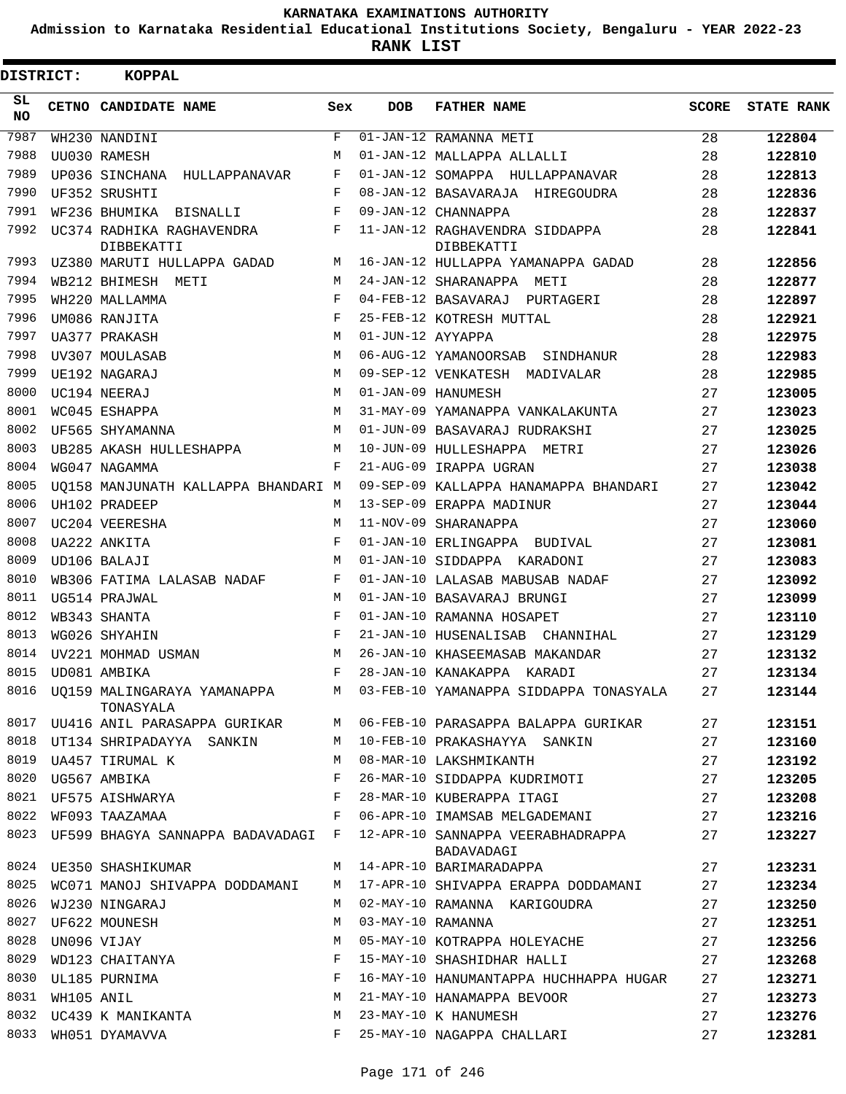**Admission to Karnataka Residential Educational Institutions Society, Bengaluru - YEAR 2022-23**

**RANK LIST**

| <b>DISTRICT:</b> |            | <b>KOPPAL</b>                            |     |                   |                                                                         |              |                   |
|------------------|------------|------------------------------------------|-----|-------------------|-------------------------------------------------------------------------|--------------|-------------------|
| SL<br><b>NO</b>  |            | CETNO CANDIDATE NAME                     | Sex | <b>DOB</b>        | <b>FATHER NAME</b>                                                      | <b>SCORE</b> | <b>STATE RANK</b> |
| 7987             |            | WH230 NANDINI                            | F   |                   | 01-JAN-12 RAMANNA METI                                                  | 28           | 122804            |
| 7988             |            | UU030 RAMESH                             | M   |                   | 01-JAN-12 MALLAPPA ALLALLI                                              | 28           | 122810            |
| 7989             |            | UP036 SINCHANA HULLAPPANAVAR             | F   |                   | 01-JAN-12 SOMAPPA HULLAPPANAVAR                                         | 28           | 122813            |
| 7990             |            | UF352 SRUSHTI                            | F   |                   | 08-JAN-12 BASAVARAJA HIREGOUDRA                                         | 28           | 122836            |
| 7991             |            | WF236 BHUMIKA BISNALLI                   | F   |                   | 09-JAN-12 CHANNAPPA                                                     | 28           | 122837            |
| 7992             |            | UC374 RADHIKA RAGHAVENDRA<br>DIBBEKATTI  | F   |                   | 11-JAN-12 RAGHAVENDRA SIDDAPPA<br>DIBBEKATTI                            | 28           | 122841            |
| 7993             |            | UZ380 MARUTI HULLAPPA GADAD              | М   |                   | 16-JAN-12 HULLAPPA YAMANAPPA GADAD                                      | 28           | 122856            |
| 7994             |            | WB212 BHIMESH METI                       | M   |                   | 24-JAN-12 SHARANAPPA METI                                               | 28           | 122877            |
| 7995             |            | WH220 MALLAMMA                           | F   |                   | 04-FEB-12 BASAVARAJ PURTAGERI                                           | 28           | 122897            |
| 7996             |            | UM086 RANJITA                            | F   |                   | 25-FEB-12 KOTRESH MUTTAL                                                | 28           | 122921            |
| 7997             |            | UA377 PRAKASH                            | M   | 01-JUN-12 AYYAPPA |                                                                         | 28           | 122975            |
| 7998             |            | UV307 MOULASAB                           | M   |                   | 06-AUG-12 YAMANOORSAB SINDHANUR                                         | 28           | 122983            |
| 7999             |            | UE192 NAGARAJ                            | M   |                   | 09-SEP-12 VENKATESH MADIVALAR                                           | 28           | 122985            |
| 8000             |            | UC194 NEERAJ                             | M   |                   | 01-JAN-09 HANUMESH                                                      | 27           | 123005            |
| 8001             |            | WC045 ESHAPPA                            | M   |                   | 31-MAY-09 YAMANAPPA VANKALAKUNTA                                        | 27           | 123023            |
| 8002             |            | UF565 SHYAMANNA                          | M   |                   | 01-JUN-09 BASAVARAJ RUDRAKSHI                                           | 27           | 123025            |
| 8003             |            | UB285 AKASH HULLESHAPPA                  | М   |                   | 10-JUN-09 HULLESHAPPA METRI                                             | 27           | 123026            |
| 8004             |            | WG047 NAGAMMA                            | F   |                   | 21-AUG-09 IRAPPA UGRAN                                                  | 27           | 123038            |
| 8005             |            | UO158 MANJUNATH KALLAPPA BHANDARI M      |     |                   | 09-SEP-09 KALLAPPA HANAMAPPA BHANDARI                                   | 27           | 123042            |
| 8006             |            | UH102 PRADEEP                            | M   |                   | 13-SEP-09 ERAPPA MADINUR                                                | 27           | 123044            |
| 8007             |            | UC204 VEERESHA                           | M   |                   | 11-NOV-09 SHARANAPPA                                                    | 27           | 123060            |
| 8008             |            | UA222 ANKITA                             | F   |                   | 01-JAN-10 ERLINGAPPA BUDIVAL                                            | 27           | 123081            |
| 8009             |            | UD106 BALAJI                             | M   |                   | 01-JAN-10 SIDDAPPA KARADONI                                             | 27           | 123083            |
| 8010             |            | WB306 FATIMA LALASAB NADAF               | F   |                   | 01-JAN-10 LALASAB MABUSAB NADAF                                         | 27           | 123092            |
| 8011             |            | UG514 PRAJWAL                            | M   |                   | 01-JAN-10 BASAVARAJ BRUNGI                                              | 27           | 123099            |
| 8012             |            | WB343 SHANTA                             | F   |                   | 01-JAN-10 RAMANNA HOSAPET                                               | 27           | 123110            |
| 8013             |            | WG026 SHYAHIN                            | F   |                   | 21-JAN-10 HUSENALISAB CHANNIHAL                                         | 27           | 123129            |
| 8014             |            | UV221 MOHMAD USMAN                       | M   |                   | 26-JAN-10 KHASEEMASAB MAKANDAR                                          | 27           | 123132            |
| 8015             |            | UD081 AMBIKA                             | F   |                   | 28-JAN-10 KANAKAPPA KARADI                                              | 27           | 123134            |
| 8016             |            | UQ159 MALINGARAYA YAMANAPPA<br>TONASYALA |     |                   | M 03-FEB-10 YAMANAPPA SIDDAPPA TONASYALA                                | 27           | 123144            |
|                  |            |                                          |     |                   | 8017 UU416 ANIL PARASAPPA GURIKAR M 06-FEB-10 PARASAPPA BALAPPA GURIKAR | 27           | 123151            |
| 8018             |            | UT134 SHRIPADAYYA SANKIN                 | M   |                   | 10-FEB-10 PRAKASHAYYA SANKIN                                            | 27           | 123160            |
| 8019             |            | UA457 TIRUMAL K                          | M   |                   | 08-MAR-10 LAKSHMIKANTH                                                  | 27           | 123192            |
|                  |            | 8020 UG567 AMBIKA                        | F   |                   | 26-MAR-10 SIDDAPPA KUDRIMOTI                                            | 27           | 123205            |
| 8021             |            | UF575 AISHWARYA                          | F   |                   | 28-MAR-10 KUBERAPPA ITAGI                                               | 27           | 123208            |
| 8022             |            | WF093 TAAZAMAA                           | F   |                   | 06-APR-10 IMAMSAB MELGADEMANI                                           | 27           | 123216            |
| 8023             |            | UF599 BHAGYA SANNAPPA BADAVADAGI F       |     |                   | 12-APR-10 SANNAPPA VEERABHADRAPPA<br>BADAVADAGI                         | 27           | 123227            |
|                  |            | 8024 UE350 SHASHIKUMAR                   | M   |                   | 14-APR-10 BARIMARADAPPA                                                 | 27           | 123231            |
| 8025             |            | WC071 MANOJ SHIVAPPA DODDAMANI           | M   |                   | 17-APR-10 SHIVAPPA ERAPPA DODDAMANI                                     | 27           | 123234            |
| 8026             |            | WJ230 NINGARAJ                           | M   |                   | 02-MAY-10 RAMANNA KARIGOUDRA                                            | 27           | 123250            |
| 8027             |            | UF622 MOUNESH                            | М   |                   | 03-MAY-10 RAMANNA                                                       | 27           | 123251            |
| 8028             |            | UN096 VIJAY                              | М   |                   | 05-MAY-10 KOTRAPPA HOLEYACHE                                            | 27           | 123256            |
| 8029             |            | WD123 CHAITANYA                          | F   |                   | 15-MAY-10 SHASHIDHAR HALLI                                              | 27           | 123268            |
| 8030             |            | UL185 PURNIMA                            | F   |                   | 16-MAY-10 HANUMANTAPPA HUCHHAPPA HUGAR                                  | 27           | 123271            |
| 8031             | WH105 ANIL |                                          | М   |                   | 21-MAY-10 HANAMAPPA BEVOOR                                              | 27           | 123273            |
| 8032             |            | UC439 K MANIKANTA                        | M   |                   | 23-MAY-10 K HANUMESH                                                    | 27           | 123276            |
| 8033             |            | WH051 DYAMAVVA                           | F   |                   | 25-MAY-10 NAGAPPA CHALLARI                                              | 27           | 123281            |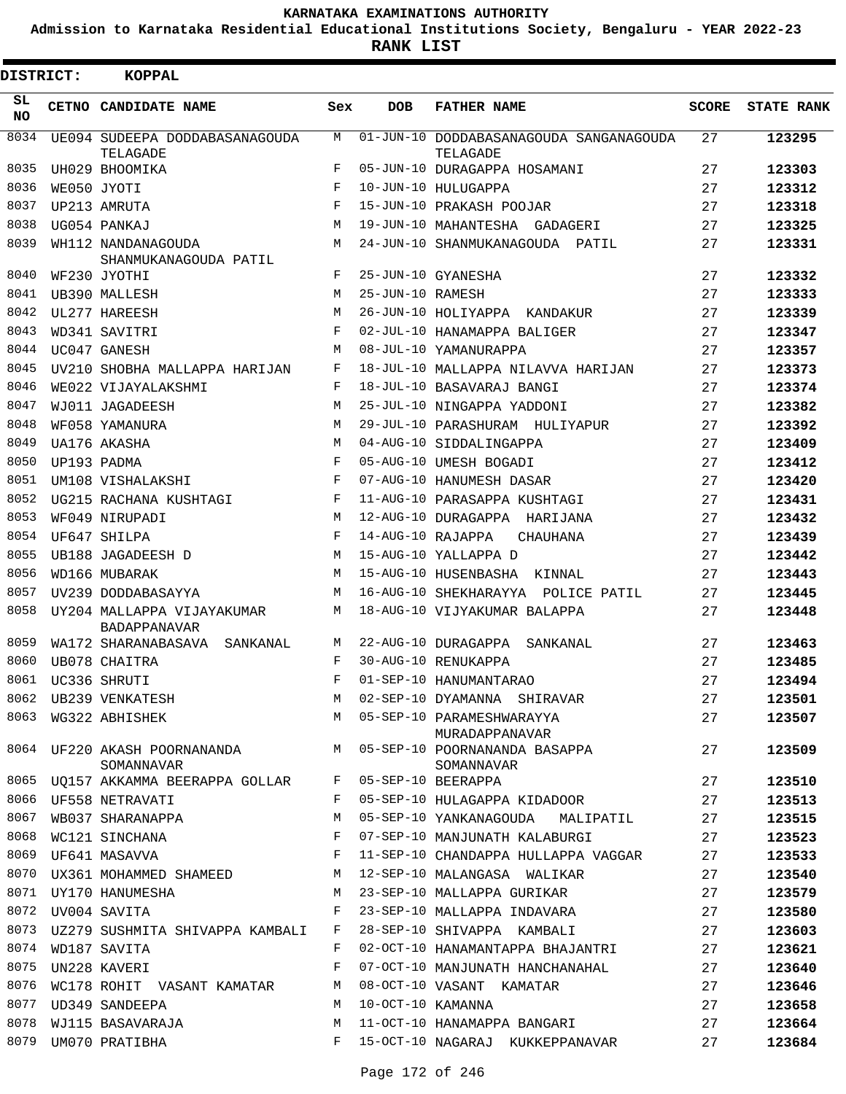**Admission to Karnataka Residential Educational Institutions Society, Bengaluru - YEAR 2022-23**

| DISTRICT:       | <b>KOPPAL</b>                                                    |                    |                   |                                                                            |              |                   |
|-----------------|------------------------------------------------------------------|--------------------|-------------------|----------------------------------------------------------------------------|--------------|-------------------|
| SL<br><b>NO</b> | CETNO CANDIDATE NAME                                             | Sex                | <b>DOB</b>        | <b>FATHER NAME</b>                                                         | <b>SCORE</b> | <b>STATE RANK</b> |
| 8034            | UE094 SUDEEPA DODDABASANAGOUDA                                   | М                  |                   | 01-JUN-10 DODDABASANAGOUDA SANGANAGOUDA                                    | 27           | 123295            |
| 8035            | TELAGADE<br>UH029 BHOOMIKA                                       | F                  |                   | TELAGADE<br>05-JUN-10 DURAGAPPA HOSAMANI                                   | 27           | 123303            |
| 8036            | WE050 JYOTI                                                      | F                  |                   | 10-JUN-10 HULUGAPPA                                                        | 27           | 123312            |
| 8037            | UP213 AMRUTA                                                     | F                  |                   | 15-JUN-10 PRAKASH POOJAR                                                   | 27           | 123318            |
| 8038            | UG054 PANKAJ                                                     | M                  |                   | 19-JUN-10 MAHANTESHA GADAGERI                                              | 27           | 123325            |
| 8039            | WH112 NANDANAGOUDA                                               | М                  |                   | 24-JUN-10 SHANMUKANAGOUDA PATIL                                            | 27           | 123331            |
|                 | SHANMUKANAGOUDA PATIL                                            |                    |                   |                                                                            |              |                   |
| 8040            | WF230 JYOTHI                                                     | F                  |                   | 25-JUN-10 GYANESHA                                                         | 27           | 123332            |
| 8041            | UB390 MALLESH                                                    | М                  | 25-JUN-10 RAMESH  |                                                                            | 27           | 123333            |
| 8042            | UL277 HAREESH                                                    | M                  |                   | 26-JUN-10 HOLIYAPPA KANDAKUR                                               | 27           | 123339            |
| 8043            | WD341 SAVITRI                                                    | F                  |                   | 02-JUL-10 HANAMAPPA BALIGER                                                | 27           | 123347            |
| 8044            | UC047 GANESH                                                     | М                  |                   | 08-JUL-10 YAMANURAPPA                                                      | 27           | 123357            |
| 8045            | UV210 SHOBHA MALLAPPA HARIJAN                                    | F                  |                   | 18-JUL-10 MALLAPPA NILAVVA HARIJAN                                         | 27           | 123373            |
| 8046            | WE022 VIJAYALAKSHMI                                              | F                  |                   | 18-JUL-10 BASAVARAJ BANGI                                                  | 27           | 123374            |
| 8047            | WJ011 JAGADEESH                                                  | М                  |                   | 25-JUL-10 NINGAPPA YADDONI                                                 | 27           | 123382            |
| 8048            | WF058 YAMANURA                                                   | М                  |                   | 29-JUL-10 PARASHURAM HULIYAPUR                                             | 27           | 123392            |
| 8049            | UA176 AKASHA                                                     | M                  |                   | 04-AUG-10 SIDDALINGAPPA                                                    | 27           | 123409            |
| 8050            | UP193 PADMA                                                      | F                  |                   | 05-AUG-10 UMESH BOGADI                                                     | 27           | 123412            |
| 8051            | UM108 VISHALAKSHI                                                | F                  |                   | 07-AUG-10 HANUMESH DASAR                                                   | 27           | 123420            |
| 8052            | UG215 RACHANA KUSHTAGI                                           | F                  |                   | 11-AUG-10 PARASAPPA KUSHTAGI                                               | 27           | 123431            |
| 8053            | WF049 NIRUPADI                                                   | M                  |                   | 12-AUG-10 DURAGAPPA HARIJANA                                               | 27           | 123432            |
| 8054            | UF647 SHILPA                                                     | F                  | 14-AUG-10 RAJAPPA | <b>CHAUHANA</b>                                                            | 27           | 123439            |
| 8055            | UB188 JAGADEESH D                                                | M                  |                   | 15-AUG-10 YALLAPPA D                                                       | 27           | 123442            |
| 8056            | WD166 MUBARAK                                                    | M                  |                   | 15-AUG-10 HUSENBASHA<br>KINNAL                                             | 27           | 123443            |
| 8057            | UV239 DODDABASAYYA                                               | M                  |                   | 16-AUG-10 SHEKHARAYYA POLICE PATIL                                         | 27           | 123445            |
| 8058            | UY204 MALLAPPA VIJAYAKUMAR<br><b>BADAPPANAVAR</b>                | M                  |                   | 18-AUG-10 VIJYAKUMAR BALAPPA                                               | 27           | 123448            |
| 8059            | WA172 SHARANABASAVA<br>SANKANAL                                  | М                  |                   | 22-AUG-10 DURAGAPPA SANKANAL                                               | 27           | 123463            |
| 8060            | UB078 CHAITRA                                                    | F                  |                   | 30-AUG-10 RENUKAPPA                                                        | 27           | 123485            |
| 8061            | UC336 SHRUTI                                                     | $\mathbf{F}% _{0}$ |                   | 01-SEP-10 HANUMANTARAO                                                     | 27           | 123494            |
|                 |                                                                  | М                  |                   | 02-SEP-10 DYAMANNA SHIRAVAR                                                | 27           | 123501            |
|                 | 8062 UB239 VENKATESH<br>8063 WG322 ABHISHEK                      |                    |                   | M 05-SEP-10 PARAMESHWARAYYA<br>MURADAPPANAVAR                              | 27           | 123507            |
|                 | SOMANNAVAR                                                       |                    |                   | 8064 UF220 AKASH POORNANANDA M 05-SEP-10 POORNANANDA BASAPPA<br>SOMANNAVAR | 27           | 123509            |
|                 | 8065 UQ157 AKKAMMA BEERAPPA GOLLAR F 05-SEP-10 BEERAPPA          |                    |                   |                                                                            | 27           | 123510            |
|                 | 8066 UF558 NETRAVATI                                             |                    |                   | F 05-SEP-10 HULAGAPPA KIDADOOR                                             | 27           | 123513            |
|                 | WB037 SHARANAPPA<br>8067 WB037 SHARANAPPA<br>8068 WC121 SINCHANA | M                  |                   | 05-SEP-10 YANKANAGOUDA MALIPATIL 27                                        |              | 123515            |
|                 |                                                                  | F                  |                   | 07-SEP-10 MANJUNATH KALABURGI                                              | 27           | 123523            |
|                 |                                                                  | F                  |                   | 11-SEP-10 CHANDAPPA HULLAPPA VAGGAR 27                                     |              | 123533            |
| 8070            | UX361 MOHAMMED SHAMEED                                           | M                  |                   | 12-SEP-10 MALANGASA WALIKAR                                                | 27           | 123540            |
| 8071            | UY170 HANUMESHA                                                  | М                  |                   | 23-SEP-10 MALLAPPA GURIKAR                                                 | 27           | 123579            |
|                 | 8072 UV004 SAVITA                                                | F                  |                   | 23-SEP-10 MALLAPPA INDAVARA                                                | 27           | 123580            |
| 8073            | UZ279 SUSHMITA SHIVAPPA KAMBALI                                  |                    |                   | F 28-SEP-10 SHIVAPPA KAMBALI                                               | 27           | 123603            |
| 8074            | WD187 SAVITA                                                     | F                  |                   | 02-OCT-10 HANAMANTAPPA BHAJANTRI                                           | 27           | 123621            |
| 8075            | UN228 KAVERI                                                     | $\mathbf{F}$       |                   | 07-OCT-10 MANJUNATH HANCHANAHAL                                            | 27           | 123640            |
|                 | 8076 WC178 ROHIT VASANT KAMATAR                                  | M                  |                   | 08-OCT-10 VASANT KAMATAR                                                   | 27           | 123646            |
| 8077            | UD349 SANDEEPA                                                   | M                  |                   | 10-OCT-10 KAMANNA                                                          | 27           | 123658            |
| 8078            | WJ115 BASAVARAJA                                                 | М                  |                   | 11-OCT-10 HANAMAPPA BANGARI                                                | 27           | 123664            |
| 8079            | UM070 PRATIBHA                                                   | $F$ and            |                   | 15-OCT-10 NAGARAJ KUKKEPPANAVAR                                            | 27           | 123684            |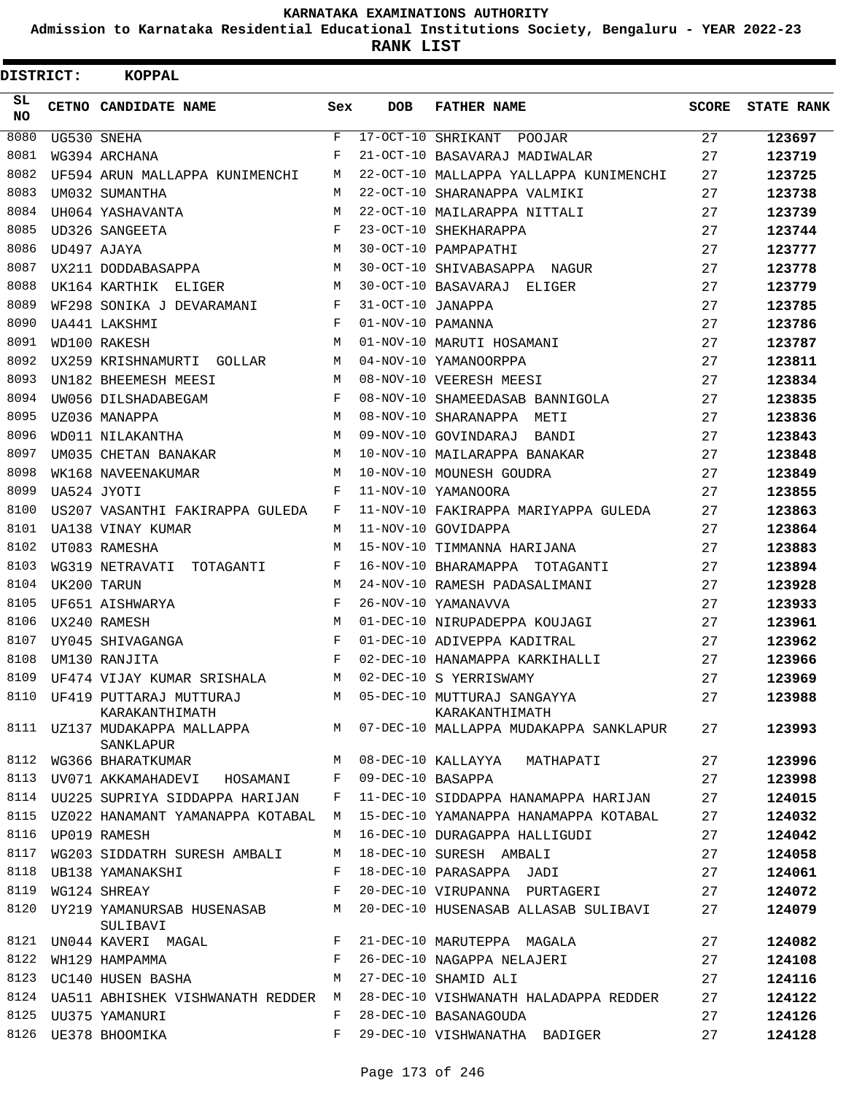**Admission to Karnataka Residential Educational Institutions Society, Bengaluru - YEAR 2022-23**

| <b>DISTRICT:</b> | <b>KOPPAL</b>                                  |              |                   |                                                                      |              |                   |
|------------------|------------------------------------------------|--------------|-------------------|----------------------------------------------------------------------|--------------|-------------------|
| SL<br><b>NO</b>  | CETNO CANDIDATE NAME                           | Sex          | <b>DOB</b>        | <b>FATHER NAME</b>                                                   | <b>SCORE</b> | <b>STATE RANK</b> |
| 8080             | UG530 SNEHA                                    | $\mathbf{F}$ |                   | 17-OCT-10 SHRIKANT<br>POOJAR                                         | 27           | 123697            |
| 8081             | WG394 ARCHANA                                  | F            |                   | 21-OCT-10 BASAVARAJ MADIWALAR                                        | 27           | 123719            |
| 8082             | UF594 ARUN MALLAPPA KUNIMENCHI                 | M            |                   | 22-OCT-10 MALLAPPA YALLAPPA KUNIMENCHI                               | 27           | 123725            |
| 8083             | UM032 SUMANTHA                                 | M            |                   | 22-OCT-10 SHARANAPPA VALMIKI                                         | 27           | 123738            |
| 8084             | UH064 YASHAVANTA                               | М            |                   | 22-OCT-10 MAILARAPPA NITTALI                                         | 27           | 123739            |
| 8085             | UD326 SANGEETA                                 | F            |                   | 23-OCT-10 SHEKHARAPPA                                                | 27           | 123744            |
| 8086             | UD497 AJAYA                                    | М            |                   | 30-OCT-10 PAMPAPATHI                                                 | 27           | 123777            |
| 8087             | UX211 DODDABASAPPA                             | М            |                   | 30-OCT-10 SHIVABASAPPA NAGUR                                         | 27           | 123778            |
| 8088             | UK164 KARTHIK ELIGER                           | M            |                   | 30-OCT-10 BASAVARAJ ELIGER                                           | 27           | 123779            |
| 8089             | WF298 SONIKA J DEVARAMANI                      | F            | 31-OCT-10 JANAPPA |                                                                      | 27           | 123785            |
| 8090             | UA441 LAKSHMI                                  | F            | 01-NOV-10 PAMANNA |                                                                      | 27           | 123786            |
| 8091             | WD100 RAKESH                                   | M            |                   | 01-NOV-10 MARUTI HOSAMANI                                            | 27           | 123787            |
| 8092             | UX259 KRISHNAMURTI GOLLAR                      | М            |                   | 04-NOV-10 YAMANOORPPA                                                | 27           | 123811            |
| 8093             | UN182 BHEEMESH MEESI                           | M            |                   | 08-NOV-10 VEERESH MEESI                                              | 27           | 123834            |
| 8094             | UW056 DILSHADABEGAM                            | F            |                   | 08-NOV-10 SHAMEEDASAB BANNIGOLA                                      | 27           | 123835            |
| 8095             | UZ036 MANAPPA                                  | M            |                   | 08-NOV-10 SHARANAPPA<br>METI                                         | 27           | 123836            |
| 8096             | WD011 NILAKANTHA                               | М            |                   | 09-NOV-10 GOVINDARAJ<br>BANDI                                        | 27           | 123843            |
| 8097             | UM035 CHETAN BANAKAR                           | М            |                   | 10-NOV-10 MAILARAPPA BANAKAR                                         | 27           | 123848            |
| 8098             | WK168 NAVEENAKUMAR                             | M            |                   | 10-NOV-10 MOUNESH GOUDRA                                             | 27           | 123849            |
| 8099             | UA524 JYOTI                                    | F            |                   | 11-NOV-10 YAMANOORA                                                  | 27           | 123855            |
| 8100             | US207 VASANTHI FAKIRAPPA GULEDA                | F            |                   | 11-NOV-10 FAKIRAPPA MARIYAPPA GULEDA                                 | 27           | 123863            |
| 8101             | UA138 VINAY KUMAR                              | М            |                   | 11-NOV-10 GOVIDAPPA                                                  | 27           | 123864            |
| 8102             | UT083 RAMESHA                                  | M            |                   | 15-NOV-10 TIMMANNA HARIJANA                                          | 27           | 123883            |
| 8103             | WG319 NETRAVATI TOTAGANTI                      | F            |                   | 16-NOV-10 BHARAMAPPA TOTAGANTI                                       | 27           | 123894            |
| 8104             | UK200 TARUN                                    | M            |                   | 24-NOV-10 RAMESH PADASALIMANI                                        | 27           | 123928            |
| 8105             | UF651 AISHWARYA                                | F            |                   | 26-NOV-10 YAMANAVVA                                                  | 27           | 123933            |
| 8106             | UX240 RAMESH                                   | M            |                   | 01-DEC-10 NIRUPADEPPA KOUJAGI                                        | 27           | 123961            |
| 8107             | UY045 SHIVAGANGA                               | F            |                   | 01-DEC-10 ADIVEPPA KADITRAL                                          | 27           | 123962            |
| 8108             | UM130 RANJITA                                  | F            |                   | 02-DEC-10 HANAMAPPA KARKIHALLI                                       | 27           | 123966            |
| 8109             | UF474 VIJAY KUMAR SRISHALA                     | М            |                   | 02-DEC-10 S YERRISWAMY                                               | 27           | 123969            |
|                  | 8110 UF419 PUTTARAJ MUTTURAJ<br>KARAKANTHIMATH |              |                   | M 05-DEC-10 MUTTURAJ SANGAYYA<br>KARAKANTHIMATH                      | 27           | 123988            |
| 8111             | SANKLAPUR                                      |              |                   | UZ137 MUDAKAPPA MALLAPPA MARA MARA MARA MALLAPPA MUDAKAPPA SANKLAPUR | 27           | 123993            |
| 8112             | WG366 BHARATKUMAR                              | M            |                   | 08-DEC-10 KALLAYYA MATHAPATI                                         | 27           | 123996            |
| 8113             | UV071 AKKAMAHADEVI HOSAMANI F                  |              |                   | 09-DEC-10 BASAPPA                                                    | 27           | 123998            |
|                  | 8114 UU225 SUPRIYA SIDDAPPA HARIJAN            | F            |                   | 11-DEC-10 SIDDAPPA HANAMAPPA HARIJAN                                 | 27           | 124015            |
| 8115             | UZ022 HANAMANT YAMANAPPA KOTABAL               | M            |                   | 15-DEC-10 YAMANAPPA HANAMAPPA KOTABAL                                | 27           | 124032            |
| 8116             | UP019 RAMESH                                   | M            |                   | 16-DEC-10 DURAGAPPA HALLIGUDI                                        | 27           | 124042            |
| 8117             | WG203 SIDDATRH SURESH AMBALI                   | М            |                   | 18-DEC-10 SURESH AMBALI                                              | 27           | 124058            |
| 8118             | UB138 YAMANAKSHI                               | F            |                   | 18-DEC-10 PARASAPPA JADI                                             | 27           | 124061            |
| 8119             | WG124 SHREAY                                   | F            |                   | 20-DEC-10 VIRUPANNA PURTAGERI                                        | 27           | 124072            |
| 8120             | UY219 YAMANURSAB HUSENASAB<br>SULIBAVI         | М            |                   | 20-DEC-10 HUSENASAB ALLASAB SULIBAVI                                 | 27           | 124079            |
| 8121             | UN044 KAVERI MAGAL                             | $F$ and      |                   | 21-DEC-10 MARUTEPPA MAGALA                                           | 27           | 124082            |
| 8122             | WH129 HAMPAMMA                                 | F            |                   | 26-DEC-10 NAGAPPA NELAJERI                                           | 27           | 124108            |
| 8123             | UC140 HUSEN BASHA                              | М            |                   | 27-DEC-10 SHAMID ALI                                                 | 27           | 124116            |
| 8124             | UA511 ABHISHEK VISHWANATH REDDER M             |              |                   | 28-DEC-10 VISHWANATH HALADAPPA REDDER                                | 27           | 124122            |
| 8125             | UU375 YAMANURI                                 | F            |                   | 28-DEC-10 BASANAGOUDA                                                | 27           | 124126            |
| 8126             | UE378 BHOOMIKA                                 | F            |                   | 29-DEC-10 VISHWANATHA BADIGER                                        | 27           | 124128            |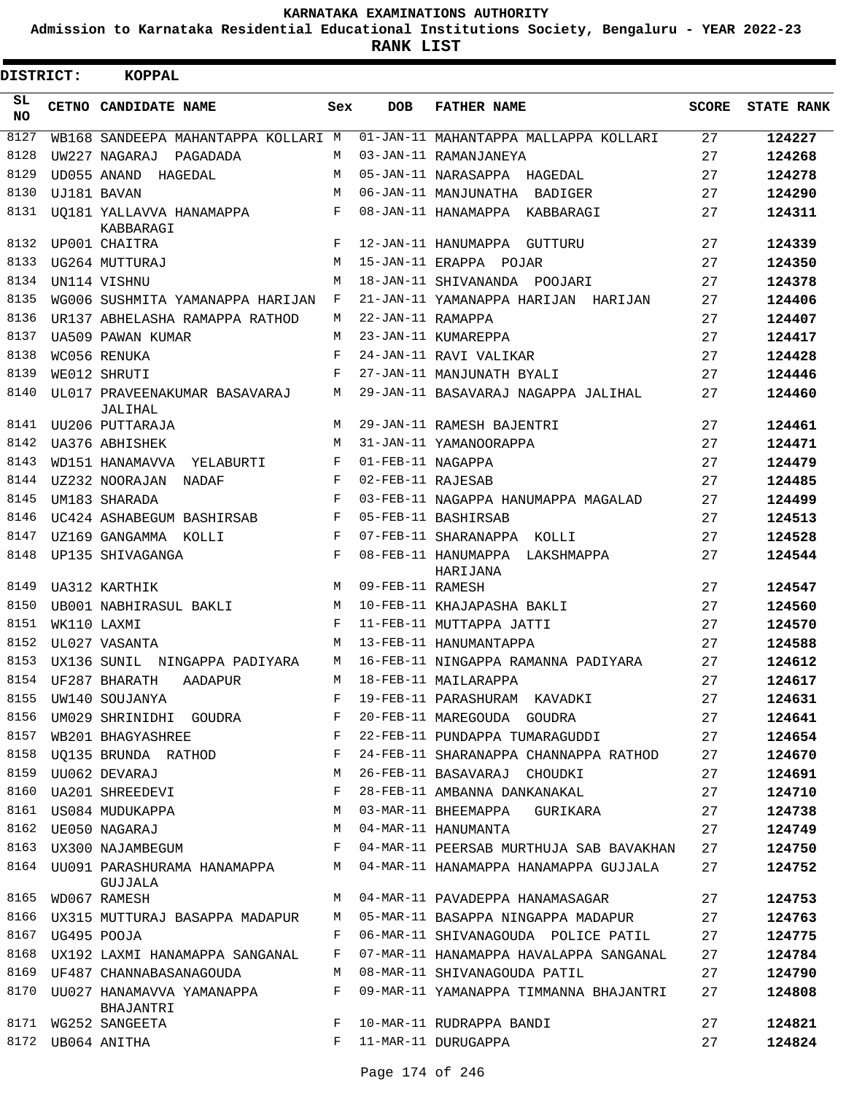**Admission to Karnataka Residential Educational Institutions Society, Bengaluru - YEAR 2022-23**

**RANK LIST**

| DISTRICT: | <b>KOPPAL</b>                            |              |                   |                                            |              |                   |
|-----------|------------------------------------------|--------------|-------------------|--------------------------------------------|--------------|-------------------|
| SL<br>NO. | CETNO CANDIDATE NAME                     | Sex          | <b>DOB</b>        | <b>FATHER NAME</b>                         | <b>SCORE</b> | <b>STATE RANK</b> |
| 8127      | WB168 SANDEEPA MAHANTAPPA KOLLARI M      |              |                   | 01-JAN-11 MAHANTAPPA MALLAPPA KOLLARI      | 27           | 124227            |
| 8128      | UW227 NAGARAJ PAGADADA                   | M            |                   | 03-JAN-11 RAMANJANEYA                      | 27           | 124268            |
| 8129      | UD055 ANAND<br>HAGEDAL                   | М            |                   | 05-JAN-11 NARASAPPA HAGEDAL                | 27           | 124278            |
| 8130      | UJ181 BAVAN                              | М            |                   | 06-JAN-11 MANJUNATHA BADIGER               | 27           | 124290            |
| 8131      | UO181 YALLAVVA HANAMAPPA<br>KABBARAGI    | F            |                   | 08-JAN-11 HANAMAPPA KABBARAGI              | 27           | 124311            |
| 8132      | UP001 CHAITRA                            | F            |                   | 12-JAN-11 HANUMAPPA GUTTURU                | 27           | 124339            |
| 8133      | UG264 MUTTURAJ                           | М            |                   | 15-JAN-11 ERAPPA POJAR                     | 27           | 124350            |
| 8134      | UN114 VISHNU                             | М            |                   | 18-JAN-11 SHIVANANDA POOJARI               | 27           | 124378            |
| 8135      | WG006 SUSHMITA YAMANAPPA HARIJAN         | F            |                   | 21-JAN-11 YAMANAPPA HARIJAN HARIJAN        | 27           | 124406            |
| 8136      | UR137 ABHELASHA RAMAPPA RATHOD           | M            | 22-JAN-11 RAMAPPA |                                            | 27           | 124407            |
| 8137      | UA509 PAWAN KUMAR                        | M            |                   | 23-JAN-11 KUMAREPPA                        | 27           | 124417            |
| 8138      | WC056 RENUKA                             | F            |                   | 24-JAN-11 RAVI VALIKAR                     | 27           | 124428            |
| 8139      | WE012 SHRUTI                             | $_{\rm F}$   |                   | 27-JAN-11 MANJUNATH BYALI                  | 27           | 124446            |
| 8140      | UL017 PRAVEENAKUMAR BASAVARAJ<br>JALIHAL | М            |                   | 29-JAN-11 BASAVARAJ NAGAPPA JALIHAL        | 27           | 124460            |
| 8141      | UU206 PUTTARAJA                          | M            |                   | 29-JAN-11 RAMESH BAJENTRI                  | 27           | 124461            |
| 8142      | UA376 ABHISHEK                           | М            |                   | 31-JAN-11 YAMANOORAPPA                     | 27           | 124471            |
| 8143      | WD151 HANAMAVVA YELABURTI                | F            | 01-FEB-11 NAGAPPA |                                            | 27           | 124479            |
| 8144      | UZ232 NOORAJAN<br>NADAF                  | F            | 02-FEB-11 RAJESAB |                                            | 27           | 124485            |
| 8145      | UM183 SHARADA                            | $_{\rm F}$   |                   | 03-FEB-11 NAGAPPA HANUMAPPA MAGALAD        | 27           | 124499            |
| 8146      | UC424 ASHABEGUM BASHIRSAB                | F            |                   | 05-FEB-11 BASHIRSAB                        | 27           | 124513            |
| 8147      | UZ169 GANGAMMA KOLLI                     | F            |                   | 07-FEB-11 SHARANAPPA KOLLI                 | 27           | 124528            |
| 8148      | UP135 SHIVAGANGA                         | $\mathbf{F}$ |                   | 08-FEB-11 HANUMAPPA LAKSHMAPPA<br>HARIJANA | 27           | 124544            |
| 8149      | UA312 KARTHIK                            | M            | 09-FEB-11 RAMESH  |                                            | 27           | 124547            |
| 8150      | UB001 NABHIRASUL BAKLI                   | М            |                   | 10-FEB-11 KHAJAPASHA BAKLI                 | 27           | 124560            |
| 8151      | WK110 LAXMI                              | F            |                   | 11-FEB-11 MUTTAPPA JATTI                   | 27           | 124570            |
| 8152      | UL027 VASANTA                            | М            |                   | 13-FEB-11 HANUMANTAPPA                     | 27           | 124588            |
| 8153      | UX136 SUNIL NINGAPPA PADIYARA            | М            |                   | 16-FEB-11 NINGAPPA RAMANNA PADIYARA        | 27           | 124612            |
| 8154      | UF287 BHARATH<br>AADAPUR                 | M            |                   | 18-FEB-11 MAILARAPPA                       | 27           | 124617            |
| 8155      | UW140 SOUJANYA                           | F            |                   | 19-FEB-11 PARASHURAM KAVADKI               | 27           | 124631            |
| 8156      | UM029 SHRINIDHI GOUDRA                   | F            |                   | 20-FEB-11 MAREGOUDA GOUDRA                 | 27           | 124641            |
| 8157      | WB201 BHAGYASHREE                        | $\mathbf{F}$ |                   | 22-FEB-11 PUNDAPPA TUMARAGUDDI             | 27           | 124654            |
| 8158      | UQ135 BRUNDA RATHOD                      | F            |                   | 24-FEB-11 SHARANAPPA CHANNAPPA RATHOD      | 27           | 124670            |
| 8159      | UU062 DEVARAJ                            | М            |                   | 26-FEB-11 BASAVARAJ CHOUDKI                | 27           | 124691            |
| 8160      | UA201 SHREEDEVI                          | F            |                   | 28-FEB-11 AMBANNA DANKANAKAL               | 27           | 124710            |
| 8161      | US084 MUDUKAPPA                          | М            |                   | 03-MAR-11 BHEEMAPPA GURIKARA               | 27           | 124738            |
|           | 8162 UE050 NAGARAJ                       | М            |                   | 04-MAR-11 HANUMANTA                        | 27           | 124749            |
| 8163      | UX300 NAJAMBEGUM                         | F            |                   | 04-MAR-11 PEERSAB MURTHUJA SAB BAVAKHAN    | 27           | 124750            |
| 8164      | UU091 PARASHURAMA HANAMAPPA<br>GUJJALA   | М            |                   | 04-MAR-11 HANAMAPPA HANAMAPPA GUJJALA      | 27           | 124752            |
| 8165      | WD067 RAMESH                             | М            |                   | 04-MAR-11 PAVADEPPA HANAMASAGAR            | 27           | 124753            |
| 8166      | UX315 MUTTURAJ BASAPPA MADAPUR           | М            |                   | 05-MAR-11 BASAPPA NINGAPPA MADAPUR         | 27           | 124763            |
| 8167      | UG495 POOJA                              | F            |                   | 06-MAR-11 SHIVANAGOUDA POLICE PATIL        | 27           | 124775            |
| 8168      | UX192 LAXMI HANAMAPPA SANGANAL           | F            |                   | 07-MAR-11 HANAMAPPA HAVALAPPA SANGANAL     | 27           | 124784            |
| 8169      | UF487 CHANNABASANAGOUDA                  | М            |                   | 08-MAR-11 SHIVANAGOUDA PATIL               | 27           | 124790            |
| 8170      | UU027 HANAMAVVA YAMANAPPA<br>BHAJANTRI   | F            |                   | 09-MAR-11 YAMANAPPA TIMMANNA BHAJANTRI     | 27           | 124808            |
|           | 8171 WG252 SANGEETA                      | F            |                   | 10-MAR-11 RUDRAPPA BANDI                   | 27           | 124821            |
|           | 8172 UB064 ANITHA                        | F            |                   | 11-MAR-11 DURUGAPPA                        | 27           | 124824            |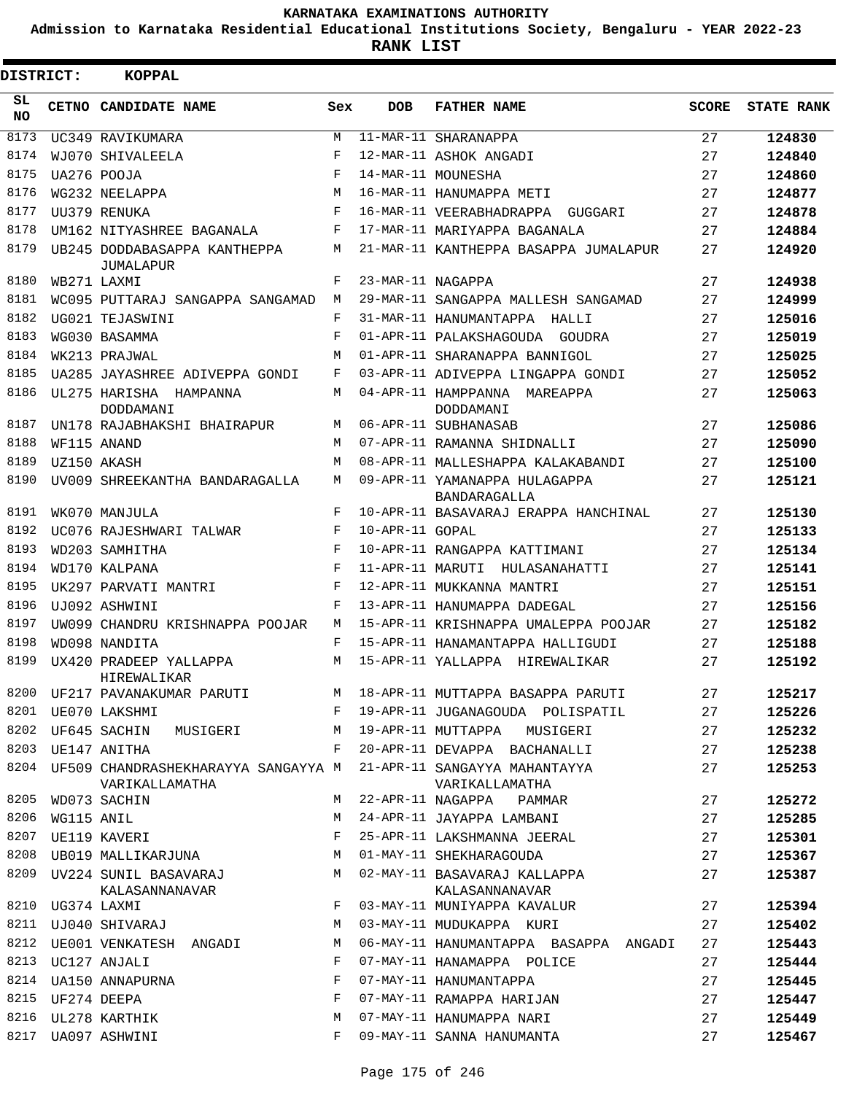**Admission to Karnataka Residential Educational Institutions Society, Bengaluru - YEAR 2022-23**

**RANK LIST**

| DISTRICT: |            | <b>KOPPAL</b>                                              |            |                   |                                                 |              |                   |
|-----------|------------|------------------------------------------------------------|------------|-------------------|-------------------------------------------------|--------------|-------------------|
| SL<br>NO. |            | CETNO CANDIDATE NAME                                       | Sex        | <b>DOB</b>        | <b>FATHER NAME</b>                              | <b>SCORE</b> | <b>STATE RANK</b> |
| 8173      |            | UC349 RAVIKUMARA                                           | М          |                   | 11-MAR-11 SHARANAPPA                            | 27           | 124830            |
| 8174      |            | WJ070 SHIVALEELA                                           | F          |                   | 12-MAR-11 ASHOK ANGADI                          | 27           | 124840            |
| 8175      |            | UA276 POOJA                                                | $_{\rm F}$ |                   | 14-MAR-11 MOUNESHA                              | 27           | 124860            |
| 8176      |            | WG232 NEELAPPA                                             | M          |                   | 16-MAR-11 HANUMAPPA METI                        | 27           | 124877            |
| 8177      |            | UU379 RENUKA                                               | F          |                   | 16-MAR-11 VEERABHADRAPPA GUGGARI                | 27           | 124878            |
| 8178      |            | UM162 NITYASHREE BAGANALA                                  | F          |                   | 17-MAR-11 MARIYAPPA BAGANALA                    | 27           | 124884            |
| 8179      |            | UB245 DODDABASAPPA KANTHEPPA<br>JUMALAPUR                  | M          |                   | 21-MAR-11 KANTHEPPA BASAPPA JUMALAPUR           | 27           | 124920            |
| 8180      |            | WB271 LAXMI                                                | F          | 23-MAR-11 NAGAPPA |                                                 | 27           | 124938            |
| 8181      |            | WC095 PUTTARAJ SANGAPPA SANGAMAD                           | М          |                   | 29-MAR-11 SANGAPPA MALLESH SANGAMAD             | 27           | 124999            |
| 8182      |            | UG021 TEJASWINI                                            | F          |                   | 31-MAR-11 HANUMANTAPPA HALLI                    | 27           | 125016            |
| 8183      |            | WG030 BASAMMA                                              | F          |                   | 01-APR-11 PALAKSHAGOUDA GOUDRA                  | 27           | 125019            |
| 8184      |            | WK213 PRAJWAL                                              | M          |                   | 01-APR-11 SHARANAPPA BANNIGOL                   | 27           | 125025            |
| 8185      |            | UA285 JAYASHREE ADIVEPPA GONDI                             | F          |                   | 03-APR-11 ADIVEPPA LINGAPPA GONDI               | 27           | 125052            |
| 8186      |            | UL275 HARISHA HAMPANNA<br>DODDAMANI                        | М          |                   | 04-APR-11 HAMPPANNA MAREAPPA<br>DODDAMANI       | 27           | 125063            |
| 8187      |            | UN178 RAJABHAKSHI BHAIRAPUR                                | М          |                   | 06-APR-11 SUBHANASAB                            | 27           | 125086            |
| 8188      |            | WF115 ANAND                                                | M          |                   | 07-APR-11 RAMANNA SHIDNALLI                     | 27           | 125090            |
| 8189      |            | UZ150 AKASH                                                | М          |                   | 08-APR-11 MALLESHAPPA KALAKABANDI               | 27           | 125100            |
| 8190      |            | UV009 SHREEKANTHA BANDARAGALLA                             | М          |                   | 09-APR-11 YAMANAPPA HULAGAPPA<br>BANDARAGALLA   | 27           | 125121            |
| 8191      |            | WK070 MANJULA                                              | F          |                   | 10-APR-11 BASAVARAJ ERAPPA HANCHINAL            | 27           | 125130            |
| 8192      |            | UC076 RAJESHWARI TALWAR                                    | F          | 10-APR-11 GOPAL   |                                                 | 27           | 125133            |
| 8193      |            | WD203 SAMHITHA                                             | $_{\rm F}$ |                   | 10-APR-11 RANGAPPA KATTIMANI                    | 27           | 125134            |
| 8194      |            | WD170 KALPANA                                              | F          |                   | 11-APR-11 MARUTI HULASANAHATTI                  | 27           | 125141            |
| 8195      |            | UK297 PARVATI MANTRI                                       | F          |                   | 12-APR-11 MUKKANNA MANTRI                       | 27           | 125151            |
| 8196      |            | UJ092 ASHWINI                                              | F          |                   | 13-APR-11 HANUMAPPA DADEGAL                     | 27           | 125156            |
| 8197      |            | UW099 CHANDRU KRISHNAPPA POOJAR                            | М          |                   | 15-APR-11 KRISHNAPPA UMALEPPA POOJAR            | 27           | 125182            |
| 8198      |            | WD098 NANDITA                                              | F          |                   | 15-APR-11 HANAMANTAPPA HALLIGUDI                | 27           | 125188            |
| 8199      |            | UX420 PRADEEP YALLAPPA<br>HIREWALIKAR                      | М          |                   | 15-APR-11 YALLAPPA HIREWALIKAR                  | 27           | 125192            |
| 8200      |            | UF217 PAVANAKUMAR PARUTI                                   | М          |                   | 18-APR-11 MUTTAPPA BASAPPA PARUTI               | 27           | 125217            |
|           |            | 8201 UE070 LAKSHMI                                         | F          |                   | 19-APR-11 JUGANAGOUDA POLISPATIL                | 27           | 125226            |
|           |            | 8202 UF645 SACHIN MUSIGERI                                 | М          |                   | 19-APR-11 MUTTAPPA MUSIGERI                     | 27           | 125232            |
| 8203      |            | UE147 ANITHA                                               | F          |                   | 20-APR-11 DEVAPPA BACHANALLI                    | 27           | 125238            |
|           |            | 8204 UF509 CHANDRASHEKHARAYYA SANGAYYA M<br>VARIKALLAMATHA |            |                   | 21-APR-11 SANGAYYA MAHANTAYYA<br>VARIKALLAMATHA | 27           | 125253            |
| 8205      |            | WD073 SACHIN                                               | М          |                   | 22-APR-11 NAGAPPA PAMMAR                        | 27           | 125272            |
| 8206      | WG115 ANIL |                                                            | М          |                   | 24-APR-11 JAYAPPA LAMBANI                       | 27           | 125285            |
|           |            | 8207 UE119 KAVERI                                          | F          |                   | 25-APR-11 LAKSHMANNA JEERAL                     | 27           | 125301            |
| 8208      |            | UB019 MALLIKARJUNA                                         | М          |                   | 01-MAY-11 SHEKHARAGOUDA                         | 27           | 125367            |
| 8209      |            | UV224 SUNIL BASAVARAJ<br>KALASANNANAVAR                    | M          |                   | 02-MAY-11 BASAVARAJ KALLAPPA<br>KALASANNANAVAR  | 27           | 125387            |
| 8210      |            | UG374 LAXMI                                                | F          |                   | 03-MAY-11 MUNIYAPPA KAVALUR                     | 27           | 125394            |
| 8211      |            | UJ040 SHIVARAJ                                             | М          |                   | 03-MAY-11 MUDUKAPPA KURI                        | 27           | 125402            |
| 8212      |            | UE001 VENKATESH ANGADI                                     | М          |                   | 06-MAY-11 HANUMANTAPPA BASAPPA ANGADI           | 27           | 125443            |
| 8213      |            | UC127 ANJALI                                               | F          |                   | 07-MAY-11 HANAMAPPA POLICE                      | 27           | 125444            |
| 8214      |            | UA150 ANNAPURNA                                            | F          |                   | 07-MAY-11 HANUMANTAPPA                          | 27           | 125445            |
| 8215      |            | UF274 DEEPA                                                | F          |                   | 07-MAY-11 RAMAPPA HARIJAN                       | 27           | 125447            |
| 8216      |            | UL278 KARTHIK                                              | М          |                   | 07-MAY-11 HANUMAPPA NARI                        | 27           | 125449            |
| 8217      |            | UA097 ASHWINI                                              | F          |                   | 09-MAY-11 SANNA HANUMANTA                       | 27           | 125467            |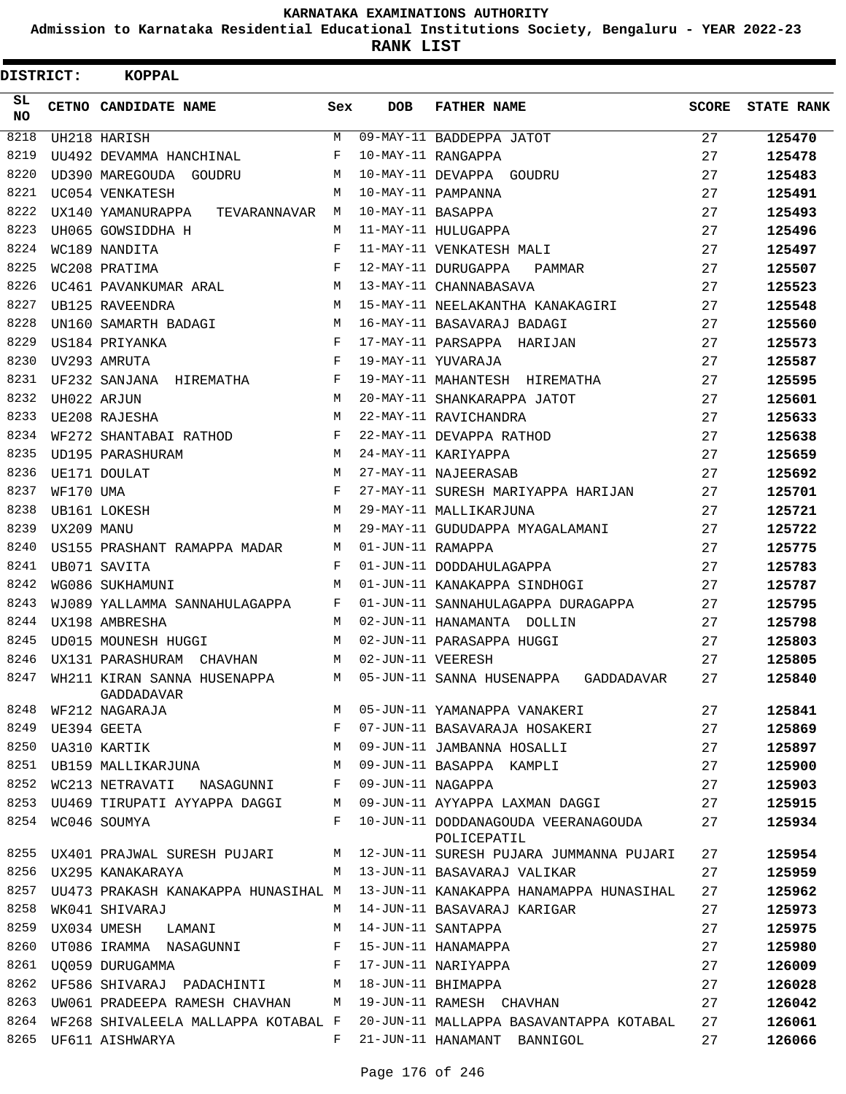**Admission to Karnataka Residential Educational Institutions Society, Bengaluru - YEAR 2022-23**

**RANK LIST**

| <b>DISTRICT:</b> |            | KOPPAL                                                           |              |                   |                                                    |    |                  |
|------------------|------------|------------------------------------------------------------------|--------------|-------------------|----------------------------------------------------|----|------------------|
| SL.<br><b>NO</b> |            | CETNO CANDIDATE NAME                                             | Sex          | <b>DOB</b>        | <b>FATHER NAME</b>                                 |    | SCORE STATE RANK |
| 8218             |            | UH218 HARISH                                                     | M            |                   | 09-MAY-11 BADDEPPA JATOT                           | 27 | 125470           |
| 8219             |            | UU492 DEVAMMA HANCHINAL                                          | F            |                   | 10-MAY-11 RANGAPPA                                 | 27 | 125478           |
| 8220             |            | UD390 MAREGOUDA GOUDRU                                           | M            |                   | 10-MAY-11 DEVAPPA GOUDRU                           | 27 | 125483           |
| 8221             |            | UC054 VENKATESH                                                  | M            |                   | 10-MAY-11 PAMPANNA                                 | 27 | 125491           |
| 8222             |            | UX140 YAMANURAPPA TEVARANNAVAR M                                 |              | 10-MAY-11 BASAPPA |                                                    | 27 | 125493           |
| 8223             |            | UH065 GOWSIDDHA H                                                | M            |                   | 11-MAY-11 HULUGAPPA                                | 27 | 125496           |
| 8224             |            | WC189 NANDITA                                                    | F            |                   | 11-MAY-11 VENKATESH MALI                           | 27 | 125497           |
| 8225             |            | WC208 PRATIMA                                                    | $\mathbf{F}$ |                   | 12-MAY-11 DURUGAPPA PAMMAR                         | 27 | 125507           |
| 8226             |            | UC461 PAVANKUMAR ARAL                                            | M            |                   | 13-MAY-11 CHANNABASAVA                             | 27 | 125523           |
| 8227             |            | UB125 RAVEENDRA                                                  | М            |                   | 15-MAY-11 NEELAKANTHA KANAKAGIRI                   | 27 | 125548           |
| 8228             |            | UN160 SAMARTH BADAGI                                             | М            |                   | 16-MAY-11 BASAVARAJ BADAGI                         | 27 | 125560           |
| 8229             |            | $\mathbf{F}$ and $\mathbf{F}$ and $\mathbf{F}$<br>US184 PRIYANKA |              |                   | 17-MAY-11 PARSAPPA HARIJAN                         | 27 | 125573           |
| 8230             |            | $\mathbf{F}$ and $\mathbf{F}$ and $\mathbf{F}$<br>UV293 AMRUTA   |              |                   | 19-MAY-11 YUVARAJA                                 | 27 | 125587           |
| 8231             |            | UF232 SANJANA HIREMATHA F                                        |              |                   | 19-MAY-11 MAHANTESH HIREMATHA                      | 27 | 125595           |
| 8232             |            | UH022 ARJUN                                                      | M            |                   | 20-MAY-11 SHANKARAPPA JATOT                        | 27 | 125601           |
| 8233             |            | UE208 RAJESHA                                                    | М            |                   | 22-MAY-11 RAVICHANDRA                              | 27 | 125633           |
| 8234             |            | WF272 SHANTABAI RATHOD                                           | $\mathbf{F}$ |                   | 22-MAY-11 DEVAPPA RATHOD                           | 27 | 125638           |
| 8235             |            | UD195 PARASHURAM                                                 | М            |                   | 24-MAY-11 KARIYAPPA                                | 27 | 125659           |
| 8236             |            | UE171 DOULAT                                                     | M            |                   | 27-MAY-11 NAJEERASAB                               | 27 | 125692           |
| 8237             | WF170 UMA  |                                                                  | F            |                   | 27-MAY-11 SURESH MARIYAPPA HARIJAN                 | 27 | 125701           |
| 8238             |            | UB161 LOKESH                                                     | M            |                   | 29-MAY-11 MALLIKARJUNA                             | 27 | 125721           |
| 8239             | UX209 MANU |                                                                  | М            |                   | 29-MAY-11 GUDUDAPPA MYAGALAMANI                    | 27 | 125722           |
| 8240             |            | US155 PRASHANT RAMAPPA MADAR                                     | М            | 01-JUN-11 RAMAPPA |                                                    | 27 | 125775           |
| 8241             |            | UB071 SAVITA                                                     | F            |                   | 01-JUN-11 DODDAHULAGAPPA                           | 27 | 125783           |
| 8242             |            | WG086 SUKHAMUNI                                                  | M            |                   | 01-JUN-11 KANAKAPPA SINDHOGI                       | 27 | 125787           |
| 8243             |            | WJ089 YALLAMMA SANNAHULAGAPPA F                                  |              |                   | 01-JUN-11 SANNAHULAGAPPA DURAGAPPA                 | 27 | 125795           |
| 8244             |            | UX198 AMBRESHA                                                   | M            |                   | 02-JUN-11 HANAMANTA DOLLIN                         | 27 | 125798           |
| 8245             |            | UD015 MOUNESH HUGGI                                              | M            |                   | 02-JUN-11 PARASAPPA HUGGI                          | 27 | 125803           |
| 8246             |            | UX131 PARASHURAM CHAVHAN                                         | M            | 02-JUN-11 VEERESH |                                                    | 27 | 125805           |
| 8247             |            | WH211 KIRAN SANNA HUSENAPPA<br>GADDADAVAR                        | M            |                   | 05-JUN-11 SANNA HUSENAPPA GADDADAVAR               | 27 | 125840           |
| 8248             |            | WF212 NAGARAJA                                                   | M            |                   | 05-JUN-11 YAMANAPPA VANAKERI                       | 27 | 125841           |
| 8249             |            | UE394 GEETA                                                      | F            |                   | 07-JUN-11 BASAVARAJA HOSAKERI                      | 27 | 125869           |
| 8250             |            | UA310 KARTIK                                                     | М            |                   | 09-JUN-11 JAMBANNA HOSALLI                         | 27 | 125897           |
| 8251             |            | UB159 MALLIKARJUNA                                               | М            |                   | 09-JUN-11 BASAPPA KAMPLI                           | 27 | 125900           |
| 8252             |            | WC213 NETRAVATI<br>NASAGUNNI                                     | F            | 09-JUN-11 NAGAPPA |                                                    | 27 | 125903           |
| 8253             |            | UU469 TIRUPATI AYYAPPA DAGGI                                     | М            |                   | 09-JUN-11 AYYAPPA LAXMAN DAGGI                     | 27 | 125915           |
| 8254             |            | WC046 SOUMYA                                                     | F            |                   | 10-JUN-11 DODDANAGOUDA VEERANAGOUDA<br>POLICEPATIL | 27 | 125934           |
| 8255             |            | UX401 PRAJWAL SURESH PUJARI                                      | M            |                   | 12-JUN-11 SURESH PUJARA JUMMANNA PUJARI            | 27 | 125954           |
| 8256             |            | UX295 KANAKARAYA                                                 | M            |                   | 13-JUN-11 BASAVARAJ VALIKAR                        | 27 | 125959           |
| 8257             |            | UU473 PRAKASH KANAKAPPA HUNASIHAL M                              |              |                   | 13-JUN-11 KANAKAPPA HANAMAPPA HUNASIHAL            | 27 | 125962           |
| 8258             |            | WK041 SHIVARAJ                                                   | M            |                   | 14-JUN-11 BASAVARAJ KARIGAR                        | 27 | 125973           |
| 8259             |            | UX034 UMESH<br>LAMANI                                            | M            |                   | 14-JUN-11 SANTAPPA                                 | 27 | 125975           |
| 8260             |            | UT086 IRAMMA NASAGUNNI                                           | F            |                   | 15-JUN-11 HANAMAPPA                                | 27 | 125980           |
| 8261             |            | UO059 DURUGAMMA                                                  | F            |                   | 17-JUN-11 NARIYAPPA                                | 27 | 126009           |
|                  |            | 8262 UF586 SHIVARAJ PADACHINTI                                   | M            |                   | 18-JUN-11 BHIMAPPA                                 | 27 | 126028           |
| 8263             |            | UW061 PRADEEPA RAMESH CHAVHAN                                    | M            |                   | 19-JUN-11 RAMESH CHAVHAN                           | 27 | 126042           |
| 8264             |            | WF268 SHIVALEELA MALLAPPA KOTABAL F                              |              |                   | 20-JUN-11 MALLAPPA BASAVANTAPPA KOTABAL            | 27 | 126061           |
| 8265             |            | UF611 AISHWARYA                                                  | F            |                   | 21-JUN-11 HANAMANT BANNIGOL                        | 27 | 126066           |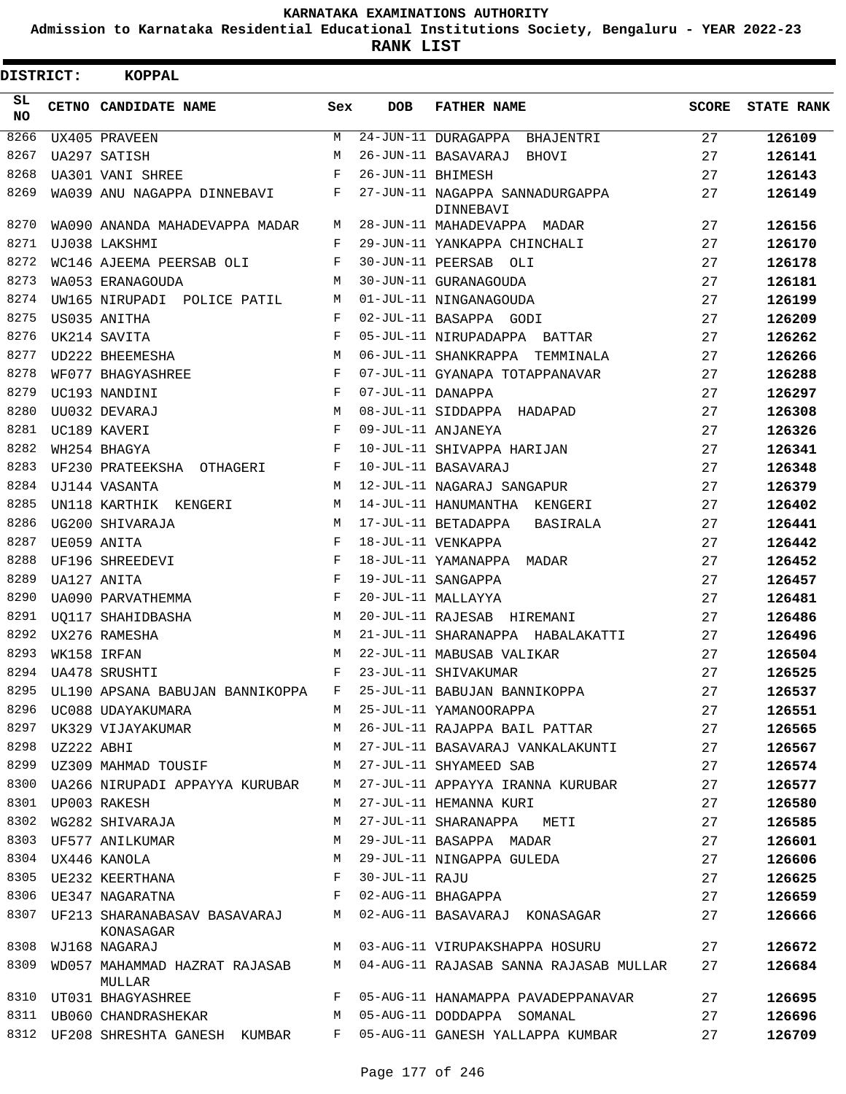**Admission to Karnataka Residential Educational Institutions Society, Bengaluru - YEAR 2022-23**

**RANK LIST**

Е

| <b>DISTRICT:</b> |            | <b>KOPPAL</b>                           |             |                   |                                              |              |                   |
|------------------|------------|-----------------------------------------|-------------|-------------------|----------------------------------------------|--------------|-------------------|
| SL.<br><b>NO</b> |            | CETNO CANDIDATE NAME                    | Sex         | <b>DOB</b>        | <b>FATHER NAME</b>                           | <b>SCORE</b> | <b>STATE RANK</b> |
| 8266             |            | UX405 PRAVEEN                           | М           |                   | 24-JUN-11 DURAGAPPA BHAJENTRI                | 27           | 126109            |
| 8267             |            | UA297 SATISH                            | M           |                   | 26-JUN-11 BASAVARAJ BHOVI                    | 27           | 126141            |
| 8268             |            | <b>UA301 VANI SHREE</b>                 | F           | 26-JUN-11 BHIMESH |                                              | 27           | 126143            |
| 8269             |            | WA039 ANU NAGAPPA DINNEBAVI F           |             |                   | 27-JUN-11 NAGAPPA SANNADURGAPPA<br>DINNEBAVI | 27           | 126149            |
| 8270             |            | WA090 ANANDA MAHADEVAPPA MADAR          | M           |                   | 28-JUN-11 MAHADEVAPPA MADAR                  | 27           | 126156            |
| 8271             |            | UJ038 LAKSHMI                           | F           |                   | 29-JUN-11 YANKAPPA CHINCHALI                 | 27           | 126170            |
| 8272             |            | WC146 AJEEMA PEERSAB OLI                | F           |                   | 30-JUN-11 PEERSAB OLI                        | 27           | 126178            |
| 8273             |            | WA053 ERANAGOUDA                        | M           |                   | 30-JUN-11 GURANAGOUDA                        | 27           | 126181            |
| 8274             |            | UW165 NIRUPADI POLICE PATIL             | М           |                   | 01-JUL-11 NINGANAGOUDA                       | 27           | 126199            |
| 8275             |            | US035 ANITHA                            | F           |                   | 02-JUL-11 BASAPPA GODI                       | 27           | 126209            |
| 8276             |            | UK214 SAVITA                            | $\mathbf F$ |                   | 05-JUL-11 NIRUPADAPPA BATTAR                 | 27           | 126262            |
| 8277             |            | UD222 BHEEMESHA                         | М           |                   | 06-JUL-11 SHANKRAPPA TEMMINALA               | 27           | 126266            |
| 8278             |            | WF077 BHAGYASHREE                       | F           |                   | 07-JUL-11 GYANAPA TOTAPPANAVAR               | 27           | 126288            |
| 8279             |            | UC193 NANDINI                           | F           | 07-JUL-11 DANAPPA |                                              | 27           | 126297            |
| 8280             |            | UU032 DEVARAJ                           | M           |                   | 08-JUL-11 SIDDAPPA HADAPAD                   | 27           | 126308            |
| 8281             |            | UC189 KAVERI                            | F           |                   | 09-JUL-11 ANJANEYA                           | 27           | 126326            |
| 8282             |            | WH254 BHAGYA                            | F           |                   | 10-JUL-11 SHIVAPPA HARIJAN                   | 27           | 126341            |
| 8283             |            | UF230 PRATEEKSHA OTHAGERI               | F           |                   | 10-JUL-11 BASAVARAJ                          | 27           | 126348            |
| 8284             |            | UJ144 VASANTA                           | M           |                   | 12-JUL-11 NAGARAJ SANGAPUR                   | 27           | 126379            |
| 8285             |            | UN118 KARTHIK KENGERI                   | М           |                   | 14-JUL-11 HANUMANTHA KENGERI                 | 27           | 126402            |
| 8286             |            |                                         | М           |                   | 17-JUL-11 BETADAPPA                          |              |                   |
| 8287             |            | UG200 SHIVARAJA                         | F           |                   | BASIRALA                                     | 27           | 126441            |
|                  |            | UE059 ANITA                             |             |                   | 18-JUL-11 VENKAPPA                           | 27           | 126442            |
| 8288             |            | UF196 SHREEDEVI                         | F           |                   | 18-JUL-11 YAMANAPPA MADAR                    | 27           | 126452            |
| 8289             |            | UA127 ANITA                             | F           |                   | 19-JUL-11 SANGAPPA                           | 27           | 126457            |
| 8290             |            | UA090 PARVATHEMMA                       | F           |                   | 20-JUL-11 MALLAYYA                           | 27           | 126481            |
| 8291             |            | UO117 SHAHIDBASHA                       | М           |                   | 20-JUL-11 RAJESAB HIREMANI                   | 27           | 126486            |
| 8292             |            | UX276 RAMESHA                           | M           |                   | 21-JUL-11 SHARANAPPA HABALAKATTI             | 27           | 126496            |
| 8293             |            | WK158 IRFAN                             | M           |                   | 22-JUL-11 MABUSAB VALIKAR                    | 27           | 126504            |
| 8294             |            | <b>UA478 SRUSHTI</b>                    | F           |                   | 23-JUL-11 SHIVAKUMAR                         | 27           | 126525            |
| 8295             |            | UL190 APSANA BABUJAN BANNIKOPPA         | F           |                   | 25-JUL-11 BABUJAN BANNIKOPPA                 | 27           | 126537            |
| 8296             |            | UC088 UDAYAKUMARA                       | M           |                   | 25-JUL-11 YAMANOORAPPA                       | 27           | 126551            |
| 8297             |            | UK329 VIJAYAKUMAR                       | М           |                   | 26-JUL-11 RAJAPPA BAIL PATTAR                | 27           | 126565            |
| 8298             | UZ222 ABHI |                                         | M           |                   | 27-JUL-11 BASAVARAJ VANKALAKUNTI             | 27           | 126567            |
| 8299             |            | UZ309 MAHMAD TOUSIF                     | М           |                   | 27-JUL-11 SHYAMEED SAB                       | 27           | 126574            |
| 8300             |            | UA266 NIRUPADI APPAYYA KURUBAR          | М           |                   | 27-JUL-11 APPAYYA IRANNA KURUBAR             | 27           | 126577            |
| 8301             |            | UP003 RAKESH                            | M           |                   | 27-JUL-11 HEMANNA KURI                       | 27           | 126580            |
| 8302             |            | WG282 SHIVARAJA                         | М           |                   | 27-JUL-11 SHARANAPPA<br>METI                 | 27           | 126585            |
| 8303             |            | UF577 ANILKUMAR                         | М           |                   | 29-JUL-11 BASAPPA MADAR                      | 27           | 126601            |
| 8304             |            | UX446 KANOLA                            | М           |                   | 29-JUL-11 NINGAPPA GULEDA                    | 27           | 126606            |
| 8305             |            | UE232 KEERTHANA                         | F           | 30-JUL-11 RAJU    |                                              | 27           | 126625            |
| 8306             |            | UE347 NAGARATNA                         | F           |                   | 02-AUG-11 BHAGAPPA                           | 27           | 126659            |
| 8307             |            | UF213 SHARANABASAV BASAVARAJ            | М           |                   | 02-AUG-11 BASAVARAJ KONASAGAR                | 27           | 126666            |
| 8308             |            | KONASAGAR                               | М           |                   |                                              | 27           |                   |
|                  |            | WJ168 NAGARAJ                           |             |                   | 03-AUG-11 VIRUPAKSHAPPA HOSURU               |              | 126672            |
| 8309             |            | WD057 MAHAMMAD HAZRAT RAJASAB<br>MULLAR | M           |                   | 04-AUG-11 RAJASAB SANNA RAJASAB MULLAR       | 27           | 126684            |
| 8310             |            | UT031 BHAGYASHREE                       | F           |                   | 05-AUG-11 HANAMAPPA PAVADEPPANAVAR           | 27           | 126695            |
| 8311             |            | UB060 CHANDRASHEKAR                     | М           |                   | 05-AUG-11 DODDAPPA SOMANAL                   | 27           | 126696            |
| 8312             |            | UF208 SHRESHTA GANESH KUMBAR            | F           |                   | 05-AUG-11 GANESH YALLAPPA KUMBAR             | 27           | 126709            |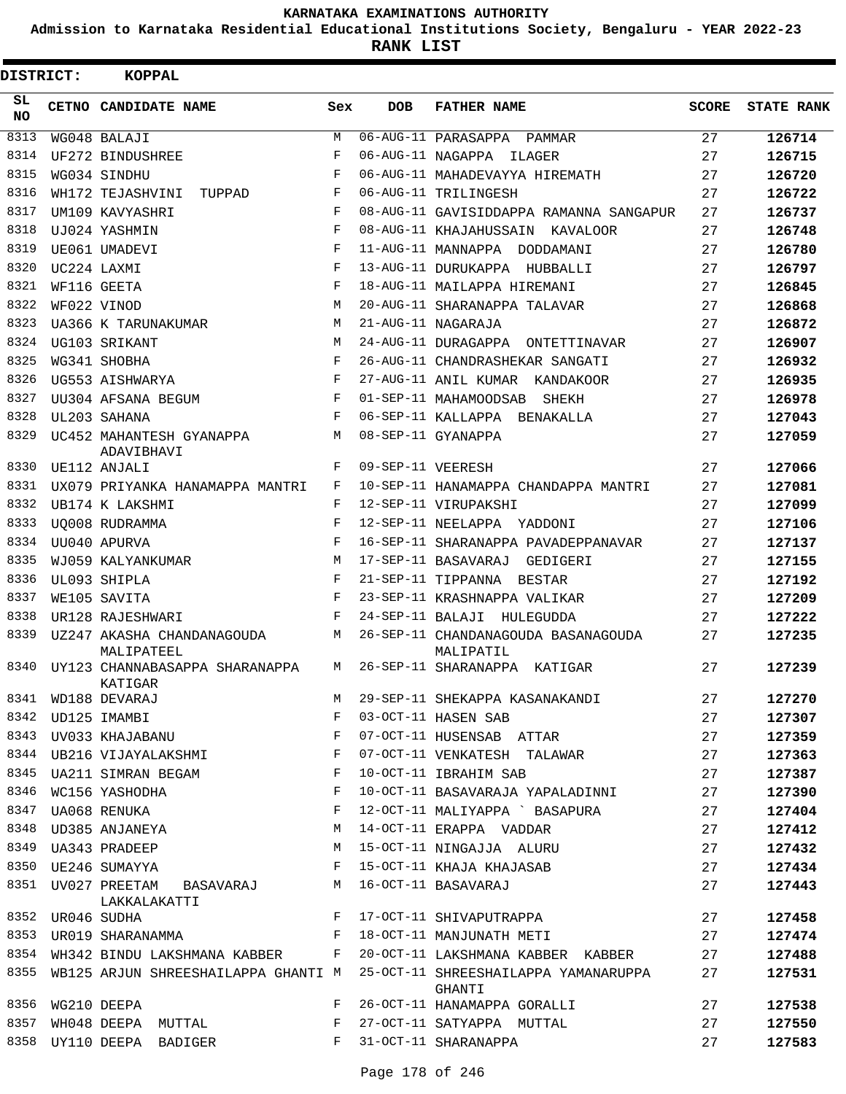**Admission to Karnataka Residential Educational Institutions Society, Bengaluru - YEAR 2022-23**

| DISTRICT:  | <b>KOPPAL</b>                                                                       |            |                   |                                                                       |              |                   |
|------------|-------------------------------------------------------------------------------------|------------|-------------------|-----------------------------------------------------------------------|--------------|-------------------|
| SL.<br>NO. | CETNO CANDIDATE NAME                                                                | Sex        | <b>DOB</b>        | <b>FATHER NAME</b>                                                    | <b>SCORE</b> | <b>STATE RANK</b> |
| 8313       | WG048 BALAJI                                                                        | М          |                   | 06-AUG-11 PARASAPPA PAMMAR                                            | 27           | 126714            |
| 8314       | UF272 BINDUSHREE                                                                    | F          | 06-AUG-11 NAGAPPA | ILAGER                                                                | 27           | 126715            |
| 8315       | WG034 SINDHU                                                                        | F          |                   | 06-AUG-11 MAHADEVAYYA HIREMATH                                        | 27           | 126720            |
| 8316       | WH172 TEJASHVINI<br>TUPPAD                                                          | F          |                   | 06-AUG-11 TRILINGESH                                                  | 27           | 126722            |
| 8317       | UM109 KAVYASHRI                                                                     | F          |                   | 08-AUG-11 GAVISIDDAPPA RAMANNA SANGAPUR                               | 27           | 126737            |
| 8318       | UJ024 YASHMIN                                                                       | $_{\rm F}$ |                   | 08-AUG-11 KHAJAHUSSAIN KAVALOOR                                       | 27           | 126748            |
| 8319       | UE061 UMADEVI                                                                       | F          |                   | 11-AUG-11 MANNAPPA DODDAMANI                                          | 27           | 126780            |
| 8320       | UC224 LAXMI                                                                         | F          |                   | 13-AUG-11 DURUKAPPA HUBBALLI                                          | 27           | 126797            |
| 8321       | WF116 GEETA                                                                         | F          |                   | 18-AUG-11 MAILAPPA HIREMANI                                           | 27           | 126845            |
| 8322       | WF022 VINOD                                                                         | М          |                   | 20-AUG-11 SHARANAPPA TALAVAR                                          | 27           | 126868            |
| 8323       | UA366 K TARUNAKUMAR                                                                 | M          |                   | 21-AUG-11 NAGARAJA                                                    | 27           | 126872            |
| 8324       | UG103 SRIKANT                                                                       | М          |                   | 24-AUG-11 DURAGAPPA ONTETTINAVAR                                      | 27           | 126907            |
| 8325       | WG341 SHOBHA                                                                        | F          |                   | 26-AUG-11 CHANDRASHEKAR SANGATI                                       | 27           | 126932            |
| 8326       | UG553 AISHWARYA                                                                     | F          |                   | 27-AUG-11 ANIL KUMAR KANDAKOOR                                        | 27           | 126935            |
| 8327       | UU304 AFSANA BEGUM                                                                  | F          |                   | 01-SEP-11 MAHAMOODSAB<br>SHEKH                                        | 27           | 126978            |
| 8328       | UL203 SAHANA                                                                        | F          |                   | 06-SEP-11 KALLAPPA BENAKALLA                                          | 27           | 127043            |
| 8329       | UC452 MAHANTESH GYANAPPA<br>ADAVIBHAVI                                              | М          |                   | 08-SEP-11 GYANAPPA                                                    | 27           | 127059            |
| 8330       | UE112 ANJALI                                                                        | F          | 09-SEP-11 VEERESH |                                                                       | 27           | 127066            |
| 8331       | UX079 PRIYANKA HANAMAPPA MANTRI                                                     | F          |                   | 10-SEP-11 HANAMAPPA CHANDAPPA MANTRI                                  | 27           | 127081            |
| 8332       | UB174 K LAKSHMI                                                                     | F          |                   | 12-SEP-11 VIRUPAKSHI                                                  | 27           | 127099            |
| 8333       | UO008 RUDRAMMA                                                                      | F          |                   | 12-SEP-11 NEELAPPA YADDONI                                            | 27           | 127106            |
| 8334       | UU040 APURVA                                                                        | F          |                   | 16-SEP-11 SHARANAPPA PAVADEPPANAVAR                                   | 27           | 127137            |
| 8335       | WJ059 KALYANKUMAR                                                                   | М          |                   | 17-SEP-11 BASAVARAJ GEDIGERI                                          | 27           | 127155            |
| 8336       | UL093 SHIPLA                                                                        | F          |                   | 21-SEP-11 TIPPANNA BESTAR                                             | 27           | 127192            |
| 8337       | WE105 SAVITA                                                                        | $_{\rm F}$ |                   | 23-SEP-11 KRASHNAPPA VALIKAR                                          | 27           | 127209            |
| 8338       | UR128 RAJESHWARI                                                                    | F          |                   | 24-SEP-11 BALAJI HULEGUDDA                                            | 27           | 127222            |
| 8339       | UZ247 AKASHA CHANDANAGOUDA<br>MALIPATEEL                                            | М          |                   | 26-SEP-11 CHANDANAGOUDA BASANAGOUDA<br>MALIPATIL                      | 27           | 127235            |
| 8340       | UY123 CHANNABASAPPA SHARANAPPA<br>KATIGAR                                           | M          |                   | 26-SEP-11 SHARANAPPA KATIGAR                                          | 27           | 127239            |
| 8341       | WD188 DEVARAJ                                                                       | М          |                   | 29-SEP-11 SHEKAPPA KASANAKANDI                                        | 27           | 127270            |
| 8342       | UD125 IMAMBI                                                                        | F          |                   | 03-OCT-11 HASEN SAB                                                   | 27           | 127307            |
| 8343       | UV033 KHAJABANU F                                                                   |            |                   | 07-OCT-11 HUSENSAB ATTAR                                              | 27           | 127359            |
|            | 8344 UB216 VIJAYALAKSHMI F                                                          |            |                   | 07-OCT-11 VENKATESH TALAWAR                                           | 27           | 127363            |
| 8345       | UA211 SIMRAN BEGAM F                                                                |            |                   | 10-OCT-11 IBRAHIM SAB                                                 | 27           | 127387            |
| 8346       | WC156 YASHODHA                                                                      | F          |                   | 10-OCT-11 BASAVARAJA YAPALADINNI                                      | 27           | 127390            |
| 8347       | UA068 RENUKA                                                                        | F          |                   | 12-OCT-11 MALIYAPPA ' BASAPURA                                        | 27           | 127404            |
|            | 8348 UD385 ANJANEYA                                                                 | М          |                   | 14-OCT-11 ERAPPA VADDAR                                               | 27           | 127412            |
|            | 8349 UA343 PRADEEP                                                                  | М          |                   | 15-OCT-11 NINGAJJA ALURU                                              | 27           | 127432            |
|            | $\mathbf{F}$ and the contract of the contract of $\mathbf{F}$<br>8350 UE246 SUMAYYA |            |                   | 15-OCT-11 KHAJA KHAJASAB                                              | 27           | 127434            |
|            | 8351 UV027 PREETAM BASAVARAJ M 16-OCT-11 BASAVARAJ<br>LAKKALAKATTI                  |            |                   |                                                                       | 27           | 127443            |
|            | $\mathbf{F}$ and $\mathbf{F}$<br>8352 UR046 SUDHA                                   |            |                   | 17-OCT-11 SHIVAPUTRAPPA                                               | 27           | 127458            |
|            | 8353 UR019 SHARANAMMA F 18-OCT-11 MANJUNATH METI                                    |            |                   |                                                                       | 27           | 127474            |
|            |                                                                                     |            |                   | 8354 WH342 BINDU LAKSHMANA KABBER F 20-OCT-11 LAKSHMANA KABBER KABBER | 27           | 127488            |
| 8355       | WB125 ARJUN SHREESHAILAPPA GHANTI M                                                 |            |                   | 25-OCT-11 SHREESHAILAPPA YAMANARUPPA<br>GHANTI                        | 27           | 127531            |
| 8356       | WG210 DEEPA                                                                         | F          |                   | 26-OCT-11 HANAMAPPA GORALLI                                           | 27           | 127538            |
| 8357       | WH048 DEEPA MUTTAL F                                                                |            |                   | 27-OCT-11 SATYAPPA MUTTAL                                             | 27           | 127550            |
| 8358       | $\mathbf{F}$ and the set of $\mathbf{F}$ and $\mathbf{F}$<br>UY110 DEEPA BADIGER    |            |                   | 31-OCT-11 SHARANAPPA                                                  | 27           | 127583            |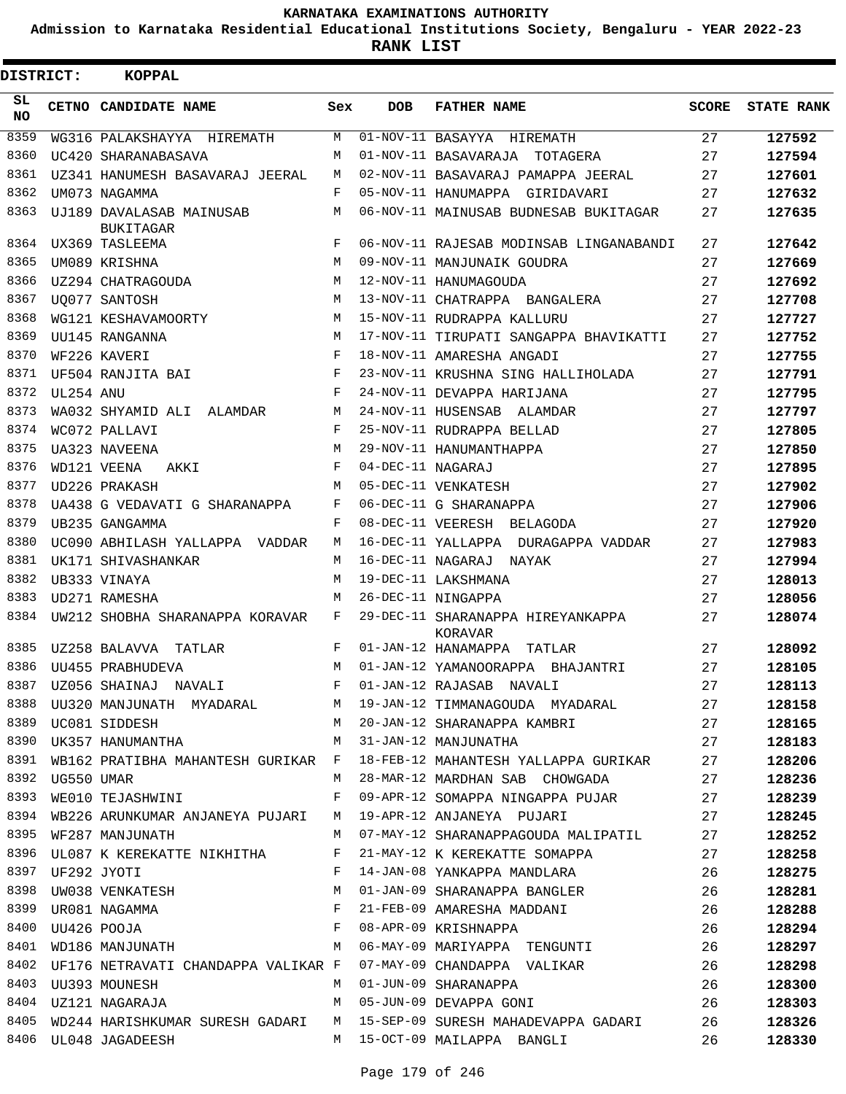**Admission to Karnataka Residential Educational Institutions Society, Bengaluru - YEAR 2022-23**

**RANK LIST**

| DISTRICT: |           | <b>KOPPAL</b>                                |     |                                |                                                                                                                                                                                                                                                                                         |              |                   |
|-----------|-----------|----------------------------------------------|-----|--------------------------------|-----------------------------------------------------------------------------------------------------------------------------------------------------------------------------------------------------------------------------------------------------------------------------------------|--------------|-------------------|
| SL<br>NO. |           | CETNO CANDIDATE NAME                         | Sex | <b>DOB</b>                     | <b>FATHER NAME</b>                                                                                                                                                                                                                                                                      | <b>SCORE</b> | <b>STATE RANK</b> |
| 8359      |           | WG316 PALAKSHAYYA HIREMATH                   | М   | $\overline{01-NOV-}11$ BASAYYA | HIREMATH                                                                                                                                                                                                                                                                                | 27           | 127592            |
| 8360      |           | UC420 SHARANABASAVA                          | М   |                                | 01-NOV-11 BASAVARAJA TOTAGERA                                                                                                                                                                                                                                                           | 27           | 127594            |
| 8361      |           | UZ341 HANUMESH BASAVARAJ JEERAL              | М   |                                | 02-NOV-11 BASAVARAJ PAMAPPA JEERAL                                                                                                                                                                                                                                                      | 27           | 127601            |
| 8362      |           | UM073 NAGAMMA                                | F   |                                | 05-NOV-11 HANUMAPPA GIRIDAVARI                                                                                                                                                                                                                                                          | 27           | 127632            |
| 8363      |           | UJ189 DAVALASAB MAINUSAB<br><b>BUKITAGAR</b> | М   |                                | 06-NOV-11 MAINUSAB BUDNESAB BUKITAGAR                                                                                                                                                                                                                                                   | 27           | 127635            |
| 8364      |           | UX369 TASLEEMA                               | F   |                                | 06-NOV-11 RAJESAB MODINSAB LINGANABANDI                                                                                                                                                                                                                                                 | 27           | 127642            |
| 8365      |           | UM089 KRISHNA                                | M   |                                | 09-NOV-11 MANJUNAIK GOUDRA                                                                                                                                                                                                                                                              | 27           | 127669            |
| 8366      |           | UZ294 CHATRAGOUDA                            | M   |                                | 12-NOV-11 HANUMAGOUDA                                                                                                                                                                                                                                                                   | 27           | 127692            |
| 8367      |           | UO077 SANTOSH                                | M   |                                | 13-NOV-11 CHATRAPPA BANGALERA                                                                                                                                                                                                                                                           | 27           | 127708            |
| 8368      |           | WG121 KESHAVAMOORTY                          | М   |                                | 15-NOV-11 RUDRAPPA KALLURU                                                                                                                                                                                                                                                              | 27           | 127727            |
| 8369      |           | UU145 RANGANNA                               | М   |                                | 17-NOV-11 TIRUPATI SANGAPPA BHAVIKATTI                                                                                                                                                                                                                                                  | 27           | 127752            |
| 8370      |           | WF226 KAVERI                                 | F   |                                | 18-NOV-11 AMARESHA ANGADI                                                                                                                                                                                                                                                               | 27           | 127755            |
| 8371      |           | UF504 RANJITA BAI                            | F   |                                | 23-NOV-11 KRUSHNA SING HALLIHOLADA                                                                                                                                                                                                                                                      | 27           | 127791            |
| 8372      | UL254 ANU |                                              | F   |                                | 24-NOV-11 DEVAPPA HARIJANA                                                                                                                                                                                                                                                              | 27           | 127795            |
| 8373      |           | WA032 SHYAMID ALI ALAMDAR                    | М   |                                | 24-NOV-11 HUSENSAB ALAMDAR                                                                                                                                                                                                                                                              | 27           | 127797            |
| 8374      |           | WC072 PALLAVI                                | F   |                                | 25-NOV-11 RUDRAPPA BELLAD                                                                                                                                                                                                                                                               | 27           | 127805            |
| 8375      |           | UA323 NAVEENA                                | M   |                                | 29-NOV-11 HANUMANTHAPPA                                                                                                                                                                                                                                                                 | 27           | 127850            |
| 8376      |           | WD121 VEENA<br>AKKI                          | F   | 04-DEC-11 NAGARAJ              |                                                                                                                                                                                                                                                                                         | 27           | 127895            |
| 8377      |           | UD226 PRAKASH                                | М   |                                | 05-DEC-11 VENKATESH                                                                                                                                                                                                                                                                     | 27           | 127902            |
| 8378      |           | UA438 G VEDAVATI G SHARANAPPA                | F   |                                | 06-DEC-11 G SHARANAPPA                                                                                                                                                                                                                                                                  | 27           | 127906            |
| 8379      |           | UB235 GANGAMMA                               | F   |                                | 08-DEC-11 VEERESH BELAGODA                                                                                                                                                                                                                                                              | 27           | 127920            |
| 8380      |           | UC090 ABHILASH YALLAPPA VADDAR               | M   |                                | 16-DEC-11 YALLAPPA DURAGAPPA VADDAR                                                                                                                                                                                                                                                     | 27           | 127983            |
| 8381      |           | UK171 SHIVASHANKAR                           | M   |                                | 16-DEC-11 NAGARAJ NAYAK                                                                                                                                                                                                                                                                 | 27           | 127994            |
| 8382      |           | UB333 VINAYA                                 | М   |                                | 19-DEC-11 LAKSHMANA                                                                                                                                                                                                                                                                     | 27           | 128013            |
| 8383      |           | UD271 RAMESHA                                | М   |                                | 26-DEC-11 NINGAPPA                                                                                                                                                                                                                                                                      | 27           | 128056            |
| 8384      |           | UW212 SHOBHA SHARANAPPA KORAVAR              | F   |                                | 29-DEC-11 SHARANAPPA HIREYANKAPPA<br>KORAVAR                                                                                                                                                                                                                                            | 27           | 128074            |
| 8385      |           | UZ258 BALAVVA TATLAR                         | F   |                                | 01-JAN-12 HANAMAPPA TATLAR                                                                                                                                                                                                                                                              | 27           | 128092            |
| 8386      |           | UU455 PRABHUDEVA                             | М   |                                | 01-JAN-12 YAMANOORAPPA BHAJANTRI                                                                                                                                                                                                                                                        | 27           | 128105            |
|           |           | 8387 UZ056 SHAINAJ NAVALI                    | F   |                                | 01-JAN-12 RAJASAB NAVALI                                                                                                                                                                                                                                                                | 27           | 128113            |
|           |           |                                              |     |                                | 8388 UU320 MANJUNATH MYADARAL M 19-JAN-12 TIMMANAGOUDA MYADARAL 27                                                                                                                                                                                                                      |              | 128158            |
|           |           |                                              |     |                                | 8389 UC081 SIDDESH M 20-JAN-12 SHARANAPPA KAMBRI 27                                                                                                                                                                                                                                     |              | 128165            |
|           |           |                                              |     |                                | 8390 UK357 HANUMANTHA MANUMANTHA MANJUNATHA 27                                                                                                                                                                                                                                          |              | 128183            |
| 8391      |           |                                              |     |                                | WB162 PRATIBHA MAHANTESH GURIKAR F 18-FEB-12 MAHANTESH YALLAPPA GURIKAR 27                                                                                                                                                                                                              |              | 128206            |
|           |           |                                              |     |                                | M 28-MAR-12 MARDHAN SAB CHOWGADA 27                                                                                                                                                                                                                                                     |              | 128236            |
| 8393      |           | WE010 TEJASHWINI                             |     |                                | F 09-APR-12 SOMAPPA NINGAPPA PUJAR 27                                                                                                                                                                                                                                                   |              | 128239            |
| 8394      |           |                                              |     |                                | WB226 ARUNKUMAR ANJANEYA PUJARI M 19-APR-12 ANJANEYA PUJARI 27                                                                                                                                                                                                                          |              | 128245            |
|           |           |                                              |     |                                | 8395 WF287 MANJUNATH M C7-MAY-12 SHARANAPPAGOUDA MALIPATIL 27                                                                                                                                                                                                                           |              | 128252            |
|           |           |                                              |     |                                | 8396 UL087 K KEREKATTE NIKHITHA F 21-MAY-12 K KEREKATTE SOMAPPA 27                                                                                                                                                                                                                      |              | 128258            |
| 8397      |           |                                              |     |                                | UF292 JYOTI                 F   14-JAN-08 YANKAPPA MANDLARA         26                                                                                                                                                                                                                  |              | 128275            |
| 8398      |           |                                              |     |                                | UW038 VENKATESH M 01-JAN-09 SHARANAPPA BANGLER 26                                                                                                                                                                                                                                       |              | 128281            |
|           |           |                                              |     |                                |                                                                                                                                                                                                                                                                                         |              | 128288            |
|           |           |                                              |     |                                | 9399 URO81 NAGAMMA (26 EXTER) 21 AMARESHA MADDANI (26 EXTER) 26 EXTER-09 AMARESHA MADDANI (26 EXTER-09 AMARESHA MADDANI (26 EXTER-09 AMARESHA MADDANI (26 EXTER-09 AMARIYAPPA (26 EXTERGUNTI (26 EXTERGUNISTI (26 EXTERGUNISTI<br>21-FEB-09 AMARESHA MADDANI<br>08-APR-09 KRISHNAPPA 26 |              | 128294            |
|           |           |                                              |     |                                |                                                                                                                                                                                                                                                                                         |              | 128297            |
| 8402      |           |                                              |     |                                | UF176 NETRAVATI CHANDAPPA VALIKAR F 07-MAY-09 CHANDAPPA VALIKAR 6 26                                                                                                                                                                                                                    |              | 128298            |
|           |           |                                              |     |                                |                                                                                                                                                                                                                                                                                         |              | 128300            |
|           |           |                                              |     |                                |                                                                                                                                                                                                                                                                                         |              | 128303            |
| 8405      |           |                                              |     |                                | WD244 HARISHKUMAR SURESH GADARI M 15-SEP-09 SURESH MAHADEVAPPA GADARI 26                                                                                                                                                                                                                |              | 128326            |
|           |           |                                              |     |                                | 8406 UL048 JAGADEESH M 15-OCT-09 MAILAPPA BANGLI                                                                                                                                                                                                                                        | 26           | 128330            |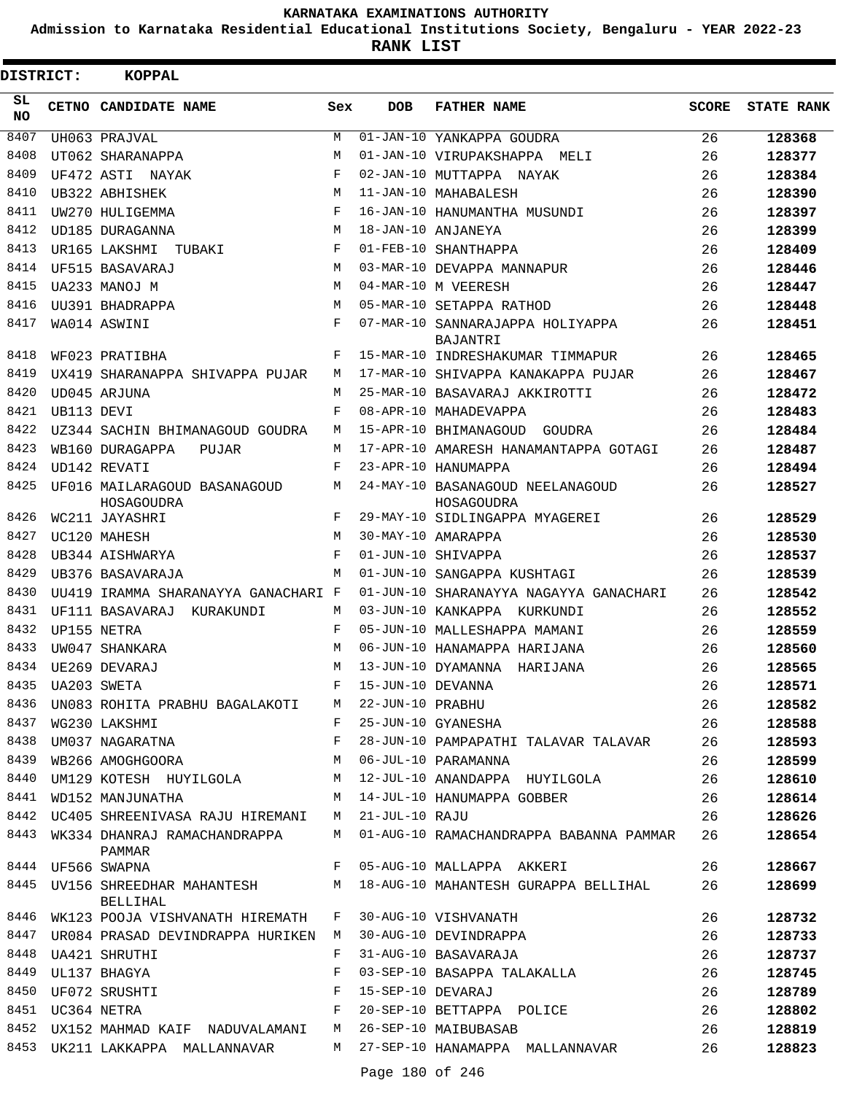**Admission to Karnataka Residential Educational Institutions Society, Bengaluru - YEAR 2022-23**

**RANK LIST**

| DISTRICT: |                  | <b>KOPPAL</b>                                               |            |            |                                                                                |              |                   |
|-----------|------------------|-------------------------------------------------------------|------------|------------|--------------------------------------------------------------------------------|--------------|-------------------|
| SL<br>NO. |                  | CETNO CANDIDATE NAME                                        | Sex        | <b>DOB</b> | <b>FATHER NAME</b>                                                             | <b>SCORE</b> | <b>STATE RANK</b> |
| 8407      |                  | UH063 PRAJVAL                                               | M          |            | 01-JAN-10 YANKAPPA GOUDRA                                                      | 26           | 128368            |
| 8408      |                  | UT062 SHARANAPPA                                            | M          |            | 01-JAN-10 VIRUPAKSHAPPA MELI                                                   | 26           | 128377            |
| 8409      |                  | UF472 ASTI NAYAK                                            | $_{\rm F}$ |            | 02-JAN-10 MUTTAPPA NAYAK                                                       | 26           | 128384            |
| 8410      |                  | UB322 ABHISHEK                                              | M          |            | 11-JAN-10 MAHABALESH                                                           | 26           | 128390            |
| 8411      |                  | UW270 HULIGEMMA                                             | F          |            | 16-JAN-10 HANUMANTHA MUSUNDI                                                   | 26           | 128397            |
| 8412      |                  | UD185 DURAGANNA                                             | M          |            | 18-JAN-10 ANJANEYA                                                             | 26           | 128399            |
| 8413      |                  | UR165 LAKSHMI TUBAKI                                        | F          |            | 01-FEB-10 SHANTHAPPA                                                           | 26           | 128409            |
| 8414      |                  | UF515 BASAVARAJ                                             | M          |            | 03-MAR-10 DEVAPPA MANNAPUR                                                     | 26           | 128446            |
| 8415      |                  | UA233 MANOJ M                                               | M          |            | 04-MAR-10 M VEERESH                                                            | 26           | 128447            |
| 8416      |                  | UU391 BHADRAPPA                                             | M          |            | 05-MAR-10 SETAPPA RATHOD                                                       | 26           | 128448            |
| 8417      |                  | WA014 ASWINI                                                | F          |            | 07-MAR-10 SANNARAJAPPA HOLIYAPPA<br>BAJANTRI                                   | 26           | 128451            |
| 8418      |                  | WF023 PRATIBHA                                              | F          |            | 15-MAR-10 INDRESHAKUMAR TIMMAPUR                                               | 26           | 128465            |
| 8419      |                  | UX419 SHARANAPPA SHIVAPPA PUJAR                             | М          |            | 17-MAR-10 SHIVAPPA KANAKAPPA PUJAR                                             | 26           | 128467            |
| 8420      |                  | UD045 ARJUNA                                                | M          |            | 25-MAR-10 BASAVARAJ AKKIROTTI                                                  | 26           | 128472            |
| 8421      | UB113 DEVI       |                                                             | $_{\rm F}$ |            | 08-APR-10 MAHADEVAPPA                                                          | 26           | 128483            |
| 8422      |                  | UZ344 SACHIN BHIMANAGOUD GOUDRA                             | M          |            | 15-APR-10 BHIMANAGOUD GOUDRA                                                   | 26           | 128484            |
| 8423      |                  | WB160 DURAGAPPA<br>PUJAR                                    | M          |            | 17-APR-10 AMARESH HANAMANTAPPA GOTAGI                                          | 26           | 128487            |
| 8424      |                  | UD142 REVATI                                                | F          |            | 23-APR-10 HANUMAPPA                                                            | 26           | 128494            |
| 8425      |                  | UF016 MAILARAGOUD BASANAGOUD<br>HOSAGOUDRA                  | M          |            | 24-MAY-10 BASANAGOUD NEELANAGOUD<br>HOSAGOUDRA                                 | 26           | 128527            |
| 8426      |                  | WC211 JAYASHRI                                              | F          |            | 29-MAY-10 SIDLINGAPPA MYAGEREI                                                 | 26           | 128529            |
| 8427      |                  | UC120 MAHESH                                                | M          |            | 30-MAY-10 AMARAPPA                                                             | 26           | 128530            |
| 8428      |                  | UB344 AISHWARYA                                             | F          |            | 01-JUN-10 SHIVAPPA                                                             | 26           | 128537            |
| 8429      |                  | UB376 BASAVARAJA                                            | M          |            | 01-JUN-10 SANGAPPA KUSHTAGI                                                    | 26           | 128539            |
| 8430      |                  | UU419 IRAMMA SHARANAYYA GANACHARI F                         |            |            | 01-JUN-10 SHARANAYYA NAGAYYA GANACHARI                                         | 26           | 128542            |
| 8431      |                  | UF111 BASAVARAJ KURAKUNDI                                   | M          |            | 03-JUN-10 KANKAPPA KURKUNDI                                                    | 26           | 128552            |
| 8432      |                  | UP155 NETRA                                                 | F          |            | 05-JUN-10 MALLESHAPPA MAMANI                                                   | 26           | 128559            |
| 8433      |                  | UW047 SHANKARA                                              | M          |            | 06-JUN-10 HANAMAPPA HARIJANA                                                   | 26           | 128560            |
| 8434      |                  | UE269 DEVARAJ                                               | M          |            | 13-JUN-10 DYAMANNA HARIJANA                                                    | 26           | 128565            |
|           | 8435 UA203 SWETA |                                                             |            |            | F 15-JUN-10 DEVANNA                                                            | 26           | 128571            |
|           |                  | 8436 UN083 ROHITA PRABHU BAGALAKOTI M 22-JUN-10 PRABHU      |            |            | F 15-JUN-10 DEVANNA<br>LAKOTI M 22-JUN-10 PRABHU<br>F 25-JUN-10 GYANESHA       | 26           | 128582            |
| 8437      |                  | WG230 LAKSHMI                                               |            |            |                                                                                | 26           | 128588            |
| 8438      |                  |                                                             |            |            | UM037 NAGARATNA $F$ 28-JUN-10 PAMPAPATHI TALAVAR TALAVAR 26                    |              | 128593            |
| 8439      |                  | WB266 AMOGHGOORA M 06-JUL-10 PARAMANNA                      |            |            |                                                                                | 26           | 128599            |
|           |                  |                                                             |            |            | 8440 UM129 KOTESH HUYILGOLA M 12-JUL-10 ANANDAPPA HUYILGOLA                    | 26           | 128610            |
| 8441      |                  | WD152 MANJUNATHA                                            |            |            | M 14-JUL-10 HANUMAPPA GOBBER 26                                                |              | 128614            |
|           |                  | 8442 UC405 SHREENIVASA RAJU HIREMANI M 21-JUL-10 RAJU       |            |            |                                                                                | 26           | 128626            |
|           |                  | PAMMAR                                                      |            |            | 8443 WK334 DHANRAJ RAMACHANDRAPPA M 01-AUG-10 RAMACHANDRAPPA BABANNA PAMMAR 26 |              | 128654            |
|           |                  | 8444 UF566 SWAPNA                                           |            |            | F 05-AUG-10 MALLAPPA AKKERI                                                    | 26           | 128667            |
|           |                  | BELLIHAL                                                    |            |            | 8445 UV156 SHREEDHAR MAHANTESH M 18-AUG-10 MAHANTESH GURAPPA BELLIHAL          | 26           | 128699            |
|           |                  | 8446 WK123 POOJA VISHVANATH HIREMATH F 30-AUG-10 VISHVANATH |            |            |                                                                                | 26           | 128732            |
|           |                  |                                                             |            |            | 8447 UR084 PRASAD DEVINDRAPPA HURIKEN M 30-AUG-10 DEVINDRAPPA                  | 26           | 128733            |
|           |                  | 8448 UA421 SHRUTHI                                          | F          |            | 31-AUG-10 BASAVARAJA                                                           | 26           | 128737            |
| 8449      |                  | UL137 BHAGYA                                                | F          |            | 03-SEP-10 BASAPPA TALAKALLA                                                    | 26           | 128745            |
| 8450      |                  | UF072 SRUSHTI<br>F 15-SEP-10 DEVARAJ                        |            |            |                                                                                | 26           | 128789            |
|           | 8451 UC364 NETRA |                                                             |            |            | F 20-SEP-10 BETTAPPA POLICE                                                    | 26           | 128802            |
|           |                  | 8452 UX152 MAHMAD KAIF NADUVALAMANI M 26-SEP-10 MAIBUBASAB  |            |            |                                                                                | 26           | 128819            |
|           |                  |                                                             |            |            | 8453 UK211 LAKKAPPA MALLANNAVAR M 27-SEP-10 HANAMAPPA MALLANNAVAR              | 26           | 128823            |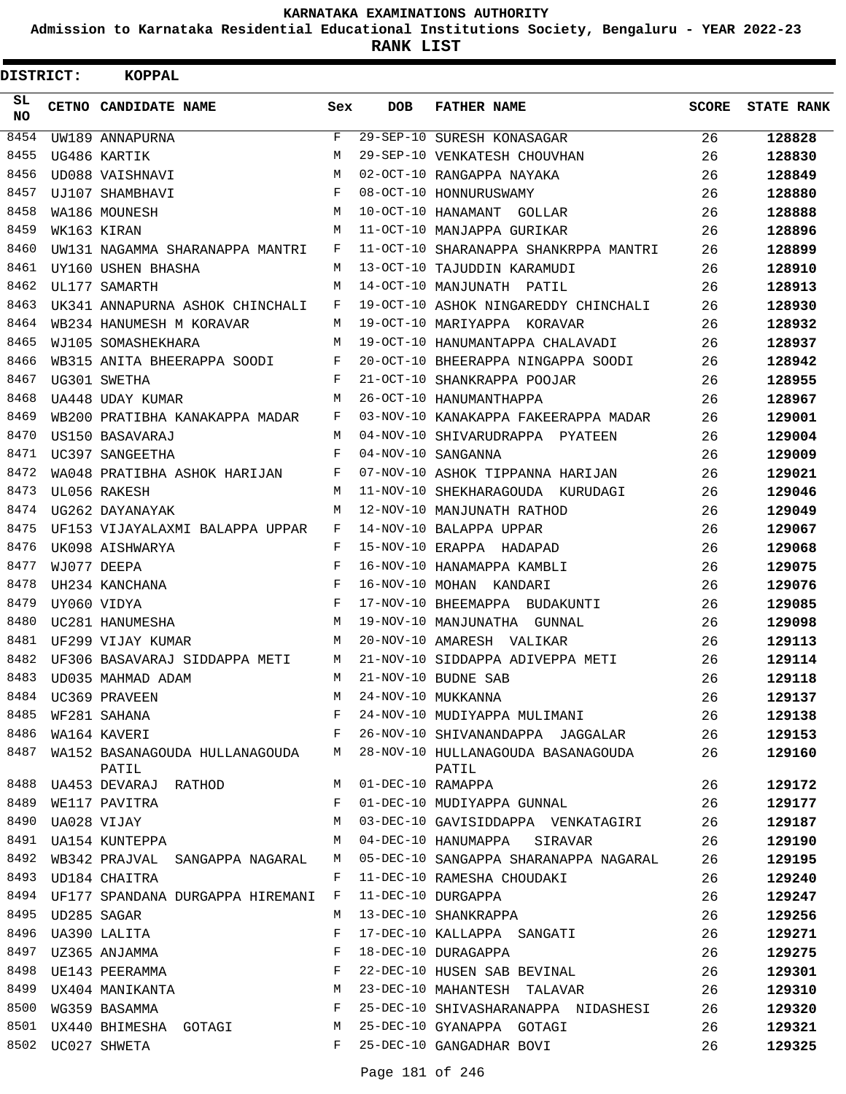**Admission to Karnataka Residential Educational Institutions Society, Bengaluru - YEAR 2022-23**

| <b>DISTRICT:</b> | <b>KOPPAL</b>                             |              |                   |                                             |              |                   |
|------------------|-------------------------------------------|--------------|-------------------|---------------------------------------------|--------------|-------------------|
| SL<br>NO.        | CETNO CANDIDATE NAME                      | Sex          | <b>DOB</b>        | <b>FATHER NAME</b>                          | <b>SCORE</b> | <b>STATE RANK</b> |
| 8454             | UW189 ANNAPURNA                           | F            |                   | 29-SEP-10 SURESH KONASAGAR                  | 26           | 128828            |
| 8455             | UG486 KARTIK                              | М            |                   | 29-SEP-10 VENKATESH CHOUVHAN                | 26           | 128830            |
| 8456             | UD088 VAISHNAVI                           | М            |                   | 02-OCT-10 RANGAPPA NAYAKA                   | 26           | 128849            |
| 8457             | UJ107 SHAMBHAVI                           | F            |                   | 08-OCT-10 HONNURUSWAMY                      | 26           | 128880            |
| 8458             | WA186 MOUNESH                             | М            |                   | 10-OCT-10 HANAMANT GOLLAR                   | 26           | 128888            |
| 8459             | WK163 KIRAN                               | M            |                   | 11-OCT-10 MANJAPPA GURIKAR                  | 26           | 128896            |
| 8460             | UW131 NAGAMMA SHARANAPPA MANTRI           | F            |                   | 11-OCT-10 SHARANAPPA SHANKRPPA MANTRI       | 26           | 128899            |
| 8461             | UY160 USHEN BHASHA                        | М            |                   | 13-OCT-10 TAJUDDIN KARAMUDI                 | 26           | 128910            |
| 8462             | UL177 SAMARTH                             | M            |                   | 14-OCT-10 MANJUNATH PATIL                   | 26           | 128913            |
| 8463             | UK341 ANNAPURNA ASHOK CHINCHALI           | F            |                   | 19-OCT-10 ASHOK NINGAREDDY CHINCHALI        | 26           | 128930            |
| 8464             | WB234 HANUMESH M KORAVAR                  | М            |                   | 19-OCT-10 MARIYAPPA KORAVAR                 | 26           | 128932            |
| 8465             | WJ105 SOMASHEKHARA                        | М            |                   | 19-OCT-10 HANUMANTAPPA CHALAVADI            | 26           | 128937            |
| 8466             | WB315 ANITA BHEERAPPA SOODI               | F            |                   | 20-OCT-10 BHEERAPPA NINGAPPA SOODI          | 26           | 128942            |
| 8467             | UG301 SWETHA                              | F            |                   | 21-OCT-10 SHANKRAPPA POOJAR                 | 26           | 128955            |
| 8468             | UA448 UDAY KUMAR                          | М            |                   | 26-OCT-10 HANUMANTHAPPA                     | 26           | 128967            |
| 8469             | WB200 PRATIBHA KANAKAPPA MADAR            | F            |                   | 03-NOV-10 KANAKAPPA FAKEERAPPA MADAR        | 26           | 129001            |
| 8470             | US150 BASAVARAJ                           | М            |                   | 04-NOV-10 SHIVARUDRAPPA PYATEEN             | 26           | 129004            |
| 8471             | UC397 SANGEETHA                           | F            |                   | 04-NOV-10 SANGANNA                          | 26           | 129009            |
| 8472             | WA048 PRATIBHA ASHOK HARIJAN              | F            |                   | 07-NOV-10 ASHOK TIPPANNA HARIJAN            | 26           | 129021            |
| 8473             | UL056 RAKESH                              | М            |                   | 11-NOV-10 SHEKHARAGOUDA KURUDAGI            | 26           | 129046            |
| 8474             | UG262 DAYANAYAK                           | М            |                   | 12-NOV-10 MANJUNATH RATHOD                  | 26           | 129049            |
| 8475             | UF153 VIJAYALAXMI BALAPPA UPPAR           | F            |                   | 14-NOV-10 BALAPPA UPPAR                     | 26           | 129067            |
| 8476             | UK098 AISHWARYA                           | F            |                   | 15-NOV-10 ERAPPA HADAPAD                    | 26           | 129068            |
| 8477             | WJ077 DEEPA                               | F            |                   | 16-NOV-10 HANAMAPPA KAMBLI                  | 26           | 129075            |
| 8478             | UH234 KANCHANA                            | F            |                   | 16-NOV-10 MOHAN KANDARI                     | 26           | 129076            |
| 8479             | UY060 VIDYA                               | F            |                   | 17-NOV-10 BHEEMAPPA BUDAKUNTI               | 26           | 129085            |
| 8480             | UC281 HANUMESHA                           | М            |                   | 19-NOV-10 MANJUNATHA GUNNAL                 | 26           | 129098            |
| 8481             | UF299 VIJAY KUMAR                         | М            |                   | 20-NOV-10 AMARESH VALIKAR                   | 26           | 129113            |
| 8482             | UF306 BASAVARAJ SIDDAPPA METI             | М            |                   | 21-NOV-10 SIDDAPPA ADIVEPPA METI            | 26           | 129114            |
| 8483             | UD035 MAHMAD ADAM                         | М            |                   | 21-NOV-10 BUDNE SAB                         | 26           | 129118            |
|                  | 8484 UC369 PRAVEEN                        | М            |                   | 24-NOV-10 MUKKANNA                          | 26           | 129137            |
| 8485             | WF281 SAHANA                              | F            |                   | 24-NOV-10 MUDIYAPPA MULIMANI                | 26           | 129138            |
| 8486             | WA164 KAVERI                              | F            |                   | 26-NOV-10 SHIVANANDAPPA JAGGALAR            | 26           | 129153            |
| 8487             | WA152 BASANAGOUDA HULLANAGOUDA M<br>PATIL |              |                   | 28-NOV-10 HULLANAGOUDA BASANAGOUDA<br>PATIL | 26           | 129160            |
| 8488             | UA453 DEVARAJ RATHOD                      | M            | 01-DEC-10 RAMAPPA |                                             | 26           | 129172            |
| 8489             | WE117 PAVITRA                             | F            |                   | 01-DEC-10 MUDIYAPPA GUNNAL                  | 26           | 129177            |
| 8490             | UA028 VIJAY                               | М            |                   | 03-DEC-10 GAVISIDDAPPA VENKATAGIRI          | 26           | 129187            |
| 8491             | UA154 KUNTEPPA                            | М            |                   | 04-DEC-10 HANUMAPPA SIRAVAR                 | 26           | 129190            |
| 8492             | WB342 PRAJVAL SANGAPPA NAGARAL            | М            |                   | 05-DEC-10 SANGAPPA SHARANAPPA NAGARAL       | 26           | 129195            |
| 8493             | UD184 CHAITRA                             | F            |                   | 11-DEC-10 RAMESHA CHOUDAKI                  | 26           | 129240            |
|                  | 8494 UF177 SPANDANA DURGAPPA HIREMANI     | $\mathbf{F}$ |                   | 11-DEC-10 DURGAPPA                          | 26           | 129247            |
| 8495             | UD285 SAGAR                               | М            |                   | 13-DEC-10 SHANKRAPPA                        | 26           | 129256            |
| 8496             | UA390 LALITA                              | F            |                   | 17-DEC-10 KALLAPPA SANGATI                  | 26           | 129271            |
| 8497             | UZ365 ANJAMMA<br>UE143 PEERAMMA           | F            |                   | 18-DEC-10 DURAGAPPA                         | 26           | 129275            |
| 8498             |                                           | F            |                   | 22-DEC-10 HUSEN SAB BEVINAL                 | 26           | 129301            |
| 8499             | UX404 MANIKANTA                           | М            |                   | 23-DEC-10 MAHANTESH TALAVAR                 | 26           | 129310            |
| 8500             | WG359 BASAMMA                             | F            |                   | 25-DEC-10 SHIVASHARANAPPA NIDASHESI         | 26           | 129320            |
|                  | 8501 UX440 BHIMESHA GOTAGI                | М            |                   | 25-DEC-10 GYANAPPA GOTAGI                   | 26           | 129321            |
|                  | 8502 UC027 SHWETA                         | F            |                   | 25-DEC-10 GANGADHAR BOVI                    | 26           | 129325            |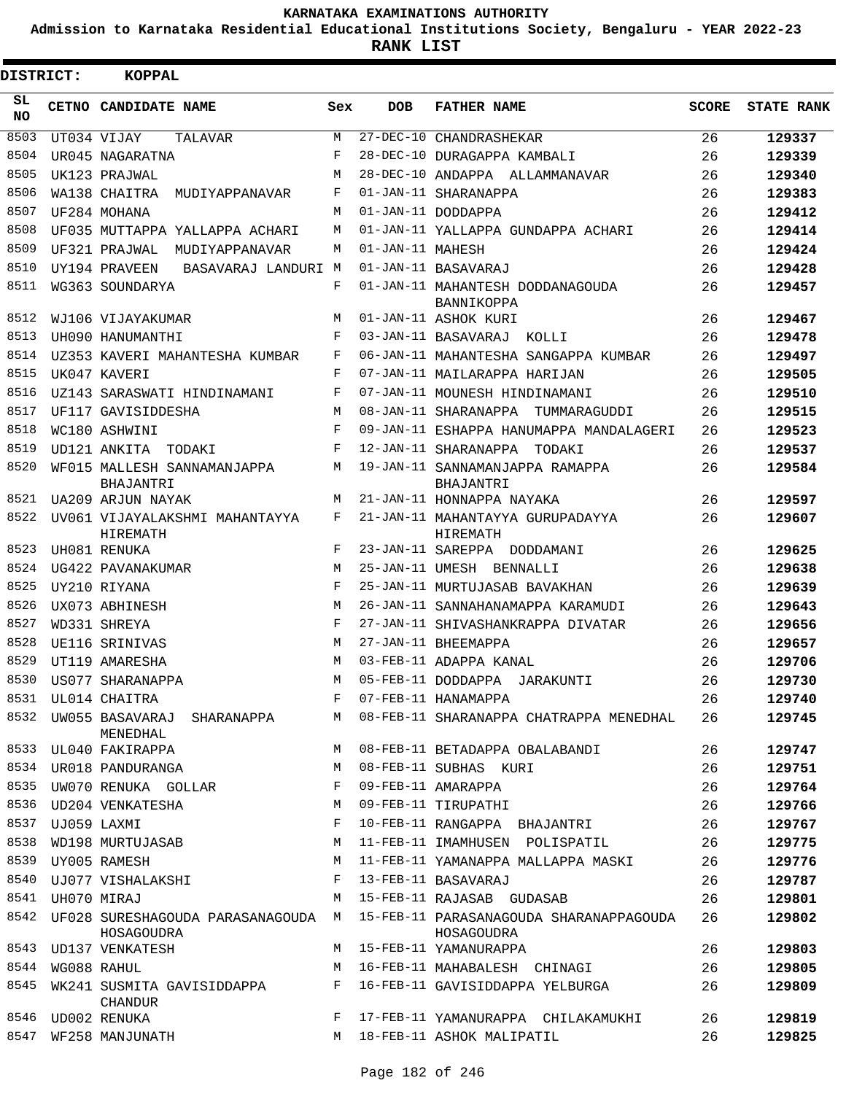**Admission to Karnataka Residential Educational Institutions Society, Bengaluru - YEAR 2022-23**

**RANK LIST**

| DISTRICT: | KOPPAL                                     |            |                  |                                                                                          |              |                   |
|-----------|--------------------------------------------|------------|------------------|------------------------------------------------------------------------------------------|--------------|-------------------|
| SL<br>NO. | CETNO CANDIDATE NAME                       | Sex        | <b>DOB</b>       | <b>FATHER NAME</b>                                                                       | <b>SCORE</b> | <b>STATE RANK</b> |
| 8503      | UT034 VIJAY<br>TALAVAR                     | M          |                  | 27-DEC-10 CHANDRASHEKAR                                                                  | 26           | 129337            |
| 8504      | UR045 NAGARATNA                            | $_{\rm F}$ |                  | 28-DEC-10 DURAGAPPA KAMBALI                                                              | 26           | 129339            |
| 8505      | UK123 PRAJWAL                              | M          |                  | 28-DEC-10 ANDAPPA ALLAMMANAVAR                                                           | 26           | 129340            |
| 8506      | WA138 CHAITRA<br>MUDIYAPPANAVAR            | F          |                  | 01-JAN-11 SHARANAPPA                                                                     | 26           | 129383            |
| 8507      | UF284 MOHANA                               | M          |                  | 01-JAN-11 DODDAPPA                                                                       | 26           | 129412            |
| 8508      | UF035 MUTTAPPA YALLAPPA ACHARI             | М          |                  | 01-JAN-11 YALLAPPA GUNDAPPA ACHARI                                                       | 26           | 129414            |
| 8509      | UF321 PRAJWAL<br>MUDIYAPPANAVAR            | M          | 01-JAN-11 MAHESH |                                                                                          | 26           | 129424            |
| 8510      | UY194 PRAVEEN<br>BASAVARAJ LANDURI M       |            |                  | 01-JAN-11 BASAVARAJ                                                                      | 26           | 129428            |
| 8511      | WG363 SOUNDARYA                            | F          |                  | 01-JAN-11 MAHANTESH DODDANAGOUDA<br>BANNIKOPPA                                           | 26           | 129457            |
| 8512      | WJ106 VIJAYAKUMAR                          | M          |                  | 01-JAN-11 ASHOK KURI                                                                     | 26           | 129467            |
| 8513      | UH090 HANUMANTHI                           | F          |                  | 03-JAN-11 BASAVARAJ<br>KOLLI                                                             | 26           | 129478            |
| 8514      | UZ353 KAVERI MAHANTESHA KUMBAR             | F          |                  | 06-JAN-11 MAHANTESHA SANGAPPA KUMBAR                                                     | 26           | 129497            |
| 8515      | UK047 KAVERI                               | F          |                  | 07-JAN-11 MAILARAPPA HARIJAN                                                             | 26           | 129505            |
| 8516      | UZ143 SARASWATI HINDINAMANI                | F          |                  | 07-JAN-11 MOUNESH HINDINAMANI                                                            | 26           | 129510            |
| 8517      | UF117 GAVISIDDESHA                         | M          |                  | 08-JAN-11 SHARANAPPA<br>TUMMARAGUDDI                                                     | 26           | 129515            |
| 8518      | WC180 ASHWINI                              | F          |                  | 09-JAN-11 ESHAPPA HANUMAPPA MANDALAGERI                                                  | 26           | 129523            |
| 8519      | UD121 ANKITA TODAKI                        | F          |                  | 12-JAN-11 SHARANAPPA TODAKI                                                              | 26           | 129537            |
| 8520      | WF015 MALLESH SANNAMANJAPPA                | M          |                  | 19-JAN-11 SANNAMANJAPPA RAMAPPA                                                          | 26           | 129584            |
|           | BHAJANTRI                                  |            |                  | <b>BHAJANTRI</b>                                                                         |              |                   |
| 8521      | UA209 ARJUN NAYAK                          | M          |                  | 21-JAN-11 HONNAPPA NAYAKA                                                                | 26           | 129597            |
| 8522      | UV061 VIJAYALAKSHMI MAHANTAYYA<br>HIREMATH | F          |                  | 21-JAN-11 MAHANTAYYA GURUPADAYYA<br>HIREMATH                                             | 26           | 129607            |
| 8523      | UH081 RENUKA                               | F          |                  | 23-JAN-11 SAREPPA DODDAMANI                                                              | 26           | 129625            |
| 8524      | UG422 PAVANAKUMAR                          | M          |                  | 25-JAN-11 UMESH BENNALLI                                                                 | 26           | 129638            |
| 8525      | UY210 RIYANA                               | F          |                  | 25-JAN-11 MURTUJASAB BAVAKHAN                                                            | 26           | 129639            |
| 8526      | UX073 ABHINESH                             | M          |                  | 26-JAN-11 SANNAHANAMAPPA KARAMUDI                                                        | 26           | 129643            |
| 8527      | WD331 SHREYA                               | $_{\rm F}$ |                  | 27-JAN-11 SHIVASHANKRAPPA DIVATAR                                                        | 26           | 129656            |
| 8528      | UE116 SRINIVAS                             | M          |                  | 27-JAN-11 BHEEMAPPA                                                                      | 26           | 129657            |
| 8529      | UT119 AMARESHA                             | M          |                  | 03-FEB-11 ADAPPA KANAL                                                                   | 26           | 129706            |
| 8530      | US077 SHARANAPPA                           | M          |                  | 05-FEB-11 DODDAPPA JARAKUNTI                                                             | 26           | 129730            |
| 8531      | UL014 CHAITRA                              | F          |                  | 07-FEB-11 HANAMAPPA                                                                      | 26           | 129740            |
| 8532      | UW055 BASAVARAJ SHARANAPPA<br>MENEDHAL     |            |                  | M 08-FEB-11 SHARANAPPA CHATRAPPA MENEDHAL                                                | 26           | 129745            |
| 8533      | UL040 FAKIRAPPA                            | M          |                  | 08-FEB-11 BETADAPPA OBALABANDI                                                           | 26           | 129747            |
| 8534      | UR018 PANDURANGA                           | М          |                  | 08-FEB-11 SUBHAS KURI                                                                    | 26           | 129751            |
| 8535      | UW070 RENUKA GOLLAR                        | F          |                  | 09-FEB-11 AMARAPPA                                                                       | 26           | 129764            |
| 8536      | UD204 VENKATESHA                           | М          |                  | 09-FEB-11 TIRUPATHI                                                                      | 26           | 129766            |
| 8537      | UJ059 LAXMI                                | F          |                  | 10-FEB-11 RANGAPPA BHAJANTRI                                                             | 26           | 129767            |
| 8538      | WD198 MURTUJASAB                           | М          |                  | 11-FEB-11 IMAMHUSEN POLISPATIL                                                           | 26           | 129775            |
| 8539      | UY005 RAMESH                               | М          |                  | 11-FEB-11 YAMANAPPA MALLAPPA MASKI                                                       | 26           | 129776            |
| 8540      | UJ077 VISHALAKSHI                          | F          |                  | 13-FEB-11 BASAVARAJ                                                                      | 26           | 129787            |
| 8541      | UH070 MIRAJ                                | М          |                  | 15-FEB-11 RAJASAB GUDASAB                                                                | 26           | 129801            |
| 8542      | HOSAGOUDRA                                 |            |                  | UF028 SURESHAGOUDA PARASANAGOUDA M 15-FEB-11 PARASANAGOUDA SHARANAPPAGOUDA<br>HOSAGOUDRA | 26           | 129802            |
|           | 8543 UD137 VENKATESH                       | M          |                  | 15-FEB-11 YAMANURAPPA                                                                    | 26           | 129803            |
| 8544      | WG088 RAHUL                                | M          |                  | 16-FEB-11 MAHABALESH CHINAGI                                                             | 26           | 129805            |
| 8545      | WK241 SUSMITA GAVISIDDAPPA<br>CHANDUR      | F          |                  | 16-FEB-11 GAVISIDDAPPA YELBURGA                                                          | 26           | 129809            |
|           | 8546 UD002 RENUKA                          | F          |                  | 17-FEB-11 YAMANURAPPA CHILAKAMUKHI                                                       | 26           | 129819            |
| 8547      | WF258 MANJUNATH                            | M          |                  | 18-FEB-11 ASHOK MALIPATIL                                                                | 26           | 129825            |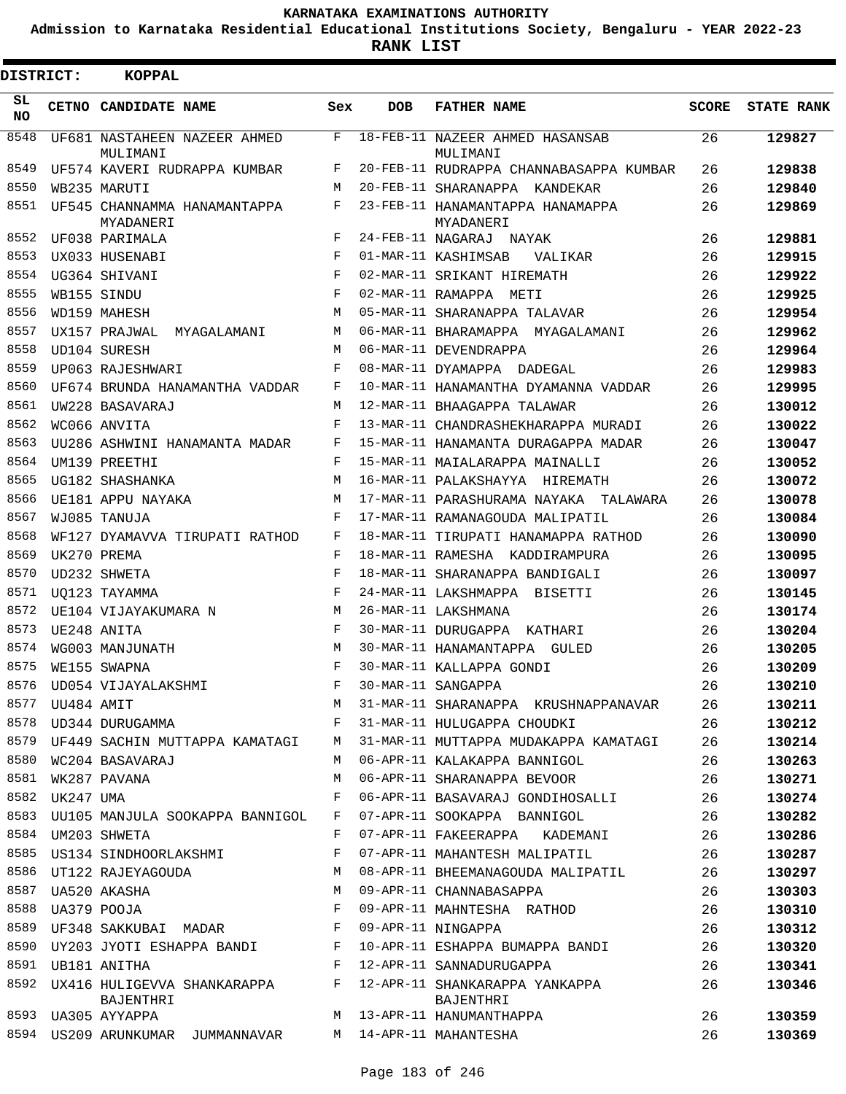**Admission to Karnataka Residential Educational Institutions Society, Bengaluru - YEAR 2022-23**

| DISTRICT:       |                | <b>KOPPAL</b>                                           |            |                   |                                                                                |              |                   |
|-----------------|----------------|---------------------------------------------------------|------------|-------------------|--------------------------------------------------------------------------------|--------------|-------------------|
| SL<br><b>NO</b> |                | CETNO CANDIDATE NAME                                    | Sex        | <b>DOB</b>        | <b>FATHER NAME</b>                                                             | <b>SCORE</b> | <b>STATE RANK</b> |
| 8548            |                | UF681 NASTAHEEN NAZEER AHMED<br>MULIMANI                | F          |                   | 18-FEB-11 NAZEER AHMED HASANSAB<br>MULIMANI                                    | 26           | 129827            |
| 8549            |                | UF574 KAVERI RUDRAPPA KUMBAR                            | F          |                   | 20-FEB-11 RUDRAPPA CHANNABASAPPA KUMBAR                                        | 26           | 129838            |
| 8550            |                | WB235 MARUTI                                            | M          |                   | 20-FEB-11 SHARANAPPA KANDEKAR                                                  | 26           | 129840            |
| 8551            |                | UF545 CHANNAMMA HANAMANTAPPA<br>MYADANERI               | F          |                   | 23-FEB-11 HANAMANTAPPA HANAMAPPA<br>MYADANERI                                  | 26           | 129869            |
| 8552            |                | UF038 PARIMALA                                          | F          | 24-FEB-11 NAGARAJ | NAYAK                                                                          | 26           | 129881            |
| 8553            |                | UX033 HUSENABI                                          | F          |                   | 01-MAR-11 KASHIMSAB<br>VALIKAR                                                 | 26           | 129915            |
| 8554            |                | UG364 SHIVANI                                           | F          |                   | 02-MAR-11 SRIKANT HIREMATH                                                     | 26           | 129922            |
| 8555            |                | WB155 SINDU                                             | F          |                   | 02-MAR-11 RAMAPPA METI                                                         | 26           | 129925            |
| 8556            |                | WD159 MAHESH                                            | M          |                   | 05-MAR-11 SHARANAPPA TALAVAR                                                   | 26           | 129954            |
| 8557            |                | UX157 PRAJWAL<br>MYAGALAMANI                            | M          |                   | 06-MAR-11 BHARAMAPPA MYAGALAMANI                                               | 26           | 129962            |
| 8558            |                | UD104 SURESH                                            | M          |                   | 06-MAR-11 DEVENDRAPPA                                                          | 26           | 129964            |
| 8559            |                | UP063 RAJESHWARI                                        | F          |                   | 08-MAR-11 DYAMAPPA DADEGAL                                                     | 26           | 129983            |
| 8560            |                | UF674 BRUNDA HANAMANTHA VADDAR                          | F          |                   | 10-MAR-11 HANAMANTHA DYAMANNA VADDAR                                           | 26           | 129995            |
| 8561            |                | UW228 BASAVARAJ                                         | M          |                   | 12-MAR-11 BHAAGAPPA TALAWAR                                                    | 26           | 130012            |
| 8562            |                | WC066 ANVITA                                            | $_{\rm F}$ |                   | 13-MAR-11 CHANDRASHEKHARAPPA MURADI                                            | 26           | 130022            |
| 8563            |                | UU286 ASHWINI HANAMANTA MADAR                           | F          |                   | 15-MAR-11 HANAMANTA DURAGAPPA MADAR                                            | 26           | 130047            |
| 8564            |                | UM139 PREETHI                                           | F          |                   | 15-MAR-11 MAIALARAPPA MAINALLI                                                 | 26           | 130052            |
| 8565            |                | UG182 SHASHANKA                                         | M          |                   | 16-MAR-11 PALAKSHAYYA HIREMATH                                                 | 26           | 130072            |
| 8566            |                | UE181 APPU NAYAKA                                       | M          |                   | 17-MAR-11 PARASHURAMA NAYAKA TALAWARA                                          | 26           | 130078            |
| 8567            |                | WJ085 TANUJA                                            | F          |                   | 17-MAR-11 RAMANAGOUDA MALIPATIL                                                | 26           | 130084            |
| 8568            |                | WF127 DYAMAVVA TIRUPATI RATHOD                          | F          |                   | 18-MAR-11 TIRUPATI HANAMAPPA RATHOD                                            | 26           | 130090            |
| 8569            |                | UK270 PREMA                                             | F          |                   | 18-MAR-11 RAMESHA KADDIRAMPURA                                                 | 26           | 130095            |
| 8570            |                | UD232 SHWETA                                            | F          |                   | 18-MAR-11 SHARANAPPA BANDIGALI                                                 | 26           | 130097            |
| 8571            |                | UO123 TAYAMMA                                           | F          |                   | 24-MAR-11 LAKSHMAPPA BISETTI                                                   | 26           | 130145            |
| 8572            |                | UE104 VIJAYAKUMARA N                                    | М          |                   | 26-MAR-11 LAKSHMANA                                                            | 26           | 130174            |
| 8573            |                | UE248 ANITA                                             | F          |                   | 30-MAR-11 DURUGAPPA KATHARI                                                    | 26           | 130204            |
| 8574            |                | WG003 MANJUNATH                                         | M          |                   | 30-MAR-11 HANAMANTAPPA GULED                                                   | 26           | 130205            |
| 8575            |                | WE155 SWAPNA                                            | F          |                   | 30-MAR-11 KALLAPPA GONDI                                                       | 26           | 130209            |
|                 |                | 8576 UD054 VIJAYALAKSHMI                                | F          |                   | 30-MAR-11 SANGAPPA                                                             | 26           | 130210            |
|                 |                |                                                         |            |                   |                                                                                | 26           | 130211            |
|                 |                |                                                         |            |                   |                                                                                | 26           | 130212            |
|                 |                |                                                         |            |                   | 8579 UF449 SACHIN MUTTAPPA KAMATAGI M 31-MAR-11 MUTTAPPA MUDAKAPPA KAMATAGI    | 26           | 130214            |
|                 |                | 8580 WC204 BASAVARAJ                                    |            |                   | M 06-APR-11 KALAKAPPA BANNIGOL                                                 | 26           | 130263            |
|                 |                | 8581 WK287 PAVANA                                       | M          |                   | 06-APR-11 SHARANAPPA BEVOOR                                                    | 26           | 130271            |
|                 | 8582 UK247 UMA |                                                         |            |                   | F 06-APR-11 BASAVARAJ GONDIHOSALLI 26                                          |              | 130274            |
|                 |                |                                                         |            |                   | 8583 UU105 MANJULA SOOKAPPA BANNIGOL F 07-APR-11 SOOKAPPA BANNIGOL             | 26           | 130282            |
|                 |                | 8584 UM203 SHWETA                                       |            |                   | F 07-APR-11 FAKEERAPPA KADEMANI 26                                             |              | 130286            |
|                 |                |                                                         |            |                   | 8585 US134 SINDHOORLAKSHMI F 07-APR-11 MAHANTESH MALIPATIL                     | 26           | 130287            |
|                 |                |                                                         |            |                   | 8586 UT122 RAJEYAGOUDA M W 08-APR-11 BHEEMANAGOUDA MALIPATIL 26                |              | 130297            |
|                 |                | 8587 UA520 AKASHA                                       |            |                   | M 09-APR-11 CHANNABASAPPA                                                      | 26           | 130303            |
|                 |                |                                                         |            |                   | 8588 UA379 POOJA <b>Example 11 September 11 MAHNTESHA</b> RATHOD               | 26           | 130310            |
|                 |                | 8589 UF348 SAKKUBAI MADAR<br>F 09-APR-11 NINGAPPA       |            |                   |                                                                                | 26           | 130312            |
|                 |                |                                                         |            |                   | 8590 UY203 JYOTI ESHAPPA BANDI F 10-APR-11 ESHAPPA BUMAPPA BANDI 26            |              | 130320            |
|                 |                | 8591 UB181 ANITHA                                       |            |                   | F 12-APR-11 SANNADURUGAPPA                                                     | 26           | 130341            |
|                 |                | BAJENTHRI                                               |            |                   | 8592 UX416 HULIGEVVA SHANKARAPPA F 12-APR-11 SHANKARAPPA YANKAPPA<br>BAJENTHRI | 26           | 130346            |
|                 |                | 8593 UA305 AYYAPPA                                      |            |                   | M 13-APR-11 HANUMANTHAPPA                                                      | 26 30        | 130359            |
|                 |                | 8594 US209 ARUNKUMAR JUMMANNAVAR M 14-APR-11 MAHANTESHA |            |                   |                                                                                | 26           | 130369            |
|                 |                |                                                         |            |                   |                                                                                |              |                   |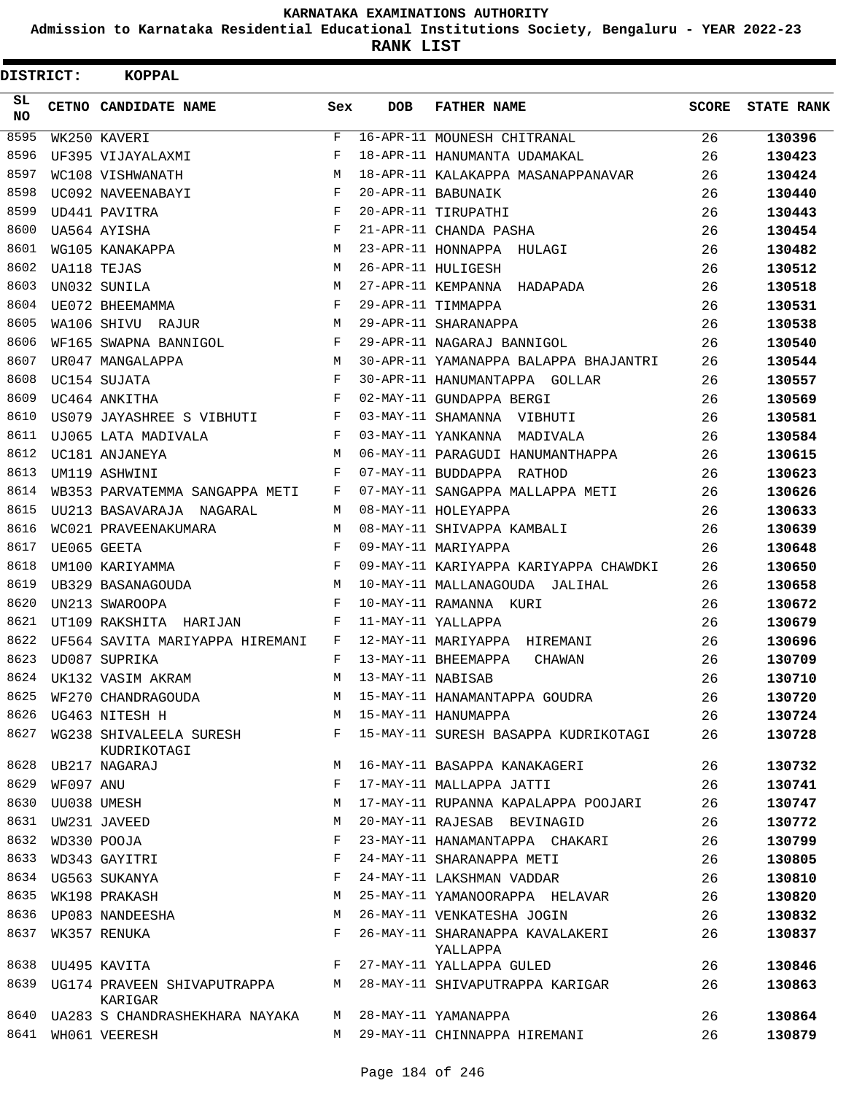**Admission to Karnataka Residential Educational Institutions Society, Bengaluru - YEAR 2022-23**

**RANK LIST**

| DISTRICT:        |           | <b>KOPPAL</b>                                                            |         |                   |                                             |              |                   |
|------------------|-----------|--------------------------------------------------------------------------|---------|-------------------|---------------------------------------------|--------------|-------------------|
| SL.<br><b>NO</b> |           | CETNO CANDIDATE NAME                                                     | Sex     | <b>DOB</b>        | <b>FATHER NAME</b>                          | <b>SCORE</b> | <b>STATE RANK</b> |
| 8595             |           | WK250 KAVERI                                                             | F       |                   | 16-APR-11 MOUNESH CHITRANAL                 | 26           | 130396            |
| 8596             |           | UF395 VIJAYALAXMI                                                        | F       |                   | 18-APR-11 HANUMANTA UDAMAKAL                | 26           | 130423            |
| 8597             |           | WC108 VISHWANATH                                                         | M       |                   | 18-APR-11 KALAKAPPA MASANAPPANAVAR          | 26           | 130424            |
| 8598             |           | UC092 NAVEENABAYI                                                        | F       |                   | 20-APR-11 BABUNAIK                          | 26           | 130440            |
| 8599             |           | UD441 PAVITRA                                                            | F       |                   | 20-APR-11 TIRUPATHI                         | 26           | 130443            |
| 8600             |           | UA564 AYISHA                                                             | F       |                   | 21-APR-11 CHANDA PASHA                      | 26           | 130454            |
| 8601             |           | WG105 KANAKAPPA                                                          | M       |                   | 23-APR-11 HONNAPPA HULAGI                   | 26           | 130482            |
| 8602             |           | <b>UA118 TEJAS</b>                                                       | M       |                   | 26-APR-11 HULIGESH                          | 26           | 130512            |
| 8603             |           | UN032 SUNILA                                                             | М       |                   | 27-APR-11 KEMPANNA HADAPADA                 | 26           | 130518            |
| 8604             |           | UE072 BHEEMAMMA                                                          | F       |                   | 29-APR-11 TIMMAPPA                          | 26           | 130531            |
| 8605             |           | WA106 SHIVU RAJUR                                                        | M       |                   | 29-APR-11 SHARANAPPA                        | 26           | 130538            |
| 8606             |           | WF165 SWAPNA BANNIGOL                                                    | F       |                   | 29-APR-11 NAGARAJ BANNIGOL                  | 26           | 130540            |
| 8607             |           | UR047 MANGALAPPA                                                         | М       |                   | 30-APR-11 YAMANAPPA BALAPPA BHAJANTRI       | 26           | 130544            |
| 8608             |           | UC154 SUJATA                                                             | F       |                   | 30-APR-11 HANUMANTAPPA GOLLAR               | 26           | 130557            |
| 8609             |           | UC464 ANKITHA                                                            | F       |                   | 02-MAY-11 GUNDAPPA BERGI                    | 26           | 130569            |
| 8610             |           | US079 JAYASHREE S VIBHUTI                                                | F       |                   | 03-MAY-11 SHAMANNA VIBHUTI                  | 26           | 130581            |
| 8611             |           | UJ065 LATA MADIVALA                                                      | F       |                   | 03-MAY-11 YANKANNA MADIVALA                 | 26           | 130584            |
| 8612             |           | UC181 ANJANEYA                                                           | M       |                   | 06-MAY-11 PARAGUDI HANUMANTHAPPA            | 26           | 130615            |
| 8613             |           | UM119 ASHWINI                                                            | F       |                   | 07-MAY-11 BUDDAPPA RATHOD                   | 26           | 130623            |
| 8614             |           | WB353 PARVATEMMA SANGAPPA METI                                           | F       |                   | 07-MAY-11 SANGAPPA MALLAPPA METI            | 26           | 130626            |
| 8615             |           | UU213 BASAVARAJA NAGARAL                                                 | М       |                   | 08-MAY-11 HOLEYAPPA                         | 26           | 130633            |
| 8616             |           | WC021 PRAVEENAKUMARA                                                     | М       |                   | 08-MAY-11 SHIVAPPA KAMBALI                  | 26           | 130639            |
| 8617             |           | UE065 GEETA                                                              | F       |                   | 09-MAY-11 MARIYAPPA                         | 26           | 130648            |
| 8618             |           | UM100 KARIYAMMA                                                          | F       |                   | 09-MAY-11 KARIYAPPA KARIYAPPA CHAWDKI       | 26           | 130650            |
| 8619             |           | UB329 BASANAGOUDA                                                        | M       |                   | 10-MAY-11 MALLANAGOUDA JALIHAL              | 26           | 130658            |
| 8620             |           | UN213 SWAROOPA                                                           | F       |                   | 10-MAY-11 RAMANNA KURI                      | 26           | 130672            |
| 8621             |           | UT109 RAKSHITA HARIJAN                                                   | F       |                   | 11-MAY-11 YALLAPPA                          | 26           | 130679            |
| 8622             |           | UF564 SAVITA MARIYAPPA HIREMANI                                          | F       |                   | 12-MAY-11 MARIYAPPA HIREMANI                | 26           | 130696            |
| 8623             |           | UD087 SUPRIKA                                                            | F       |                   | 13-MAY-11 BHEEMAPPA<br>CHAWAN               | 26           | 130709            |
| 8624             |           | UK132 VASIM AKRAM                                                        | М       | 13-MAY-11 NABISAB |                                             | 26           | 130710            |
| 8625             |           | WF270 CHANDRAGOUDA                                                       | M       |                   | 15-MAY-11 HANAMANTAPPA GOUDRA               | 26           | 130720            |
|                  |           | 8626 UG463 NITESH H                                                      |         |                   | M 15-MAY-11 HANUMAPPA                       | 26           | 130724            |
| 8627             |           | WG238 SHIVALEELA SURESH<br>KUDRIKOTAGI                                   | $F$ –   |                   | 15-MAY-11 SURESH BASAPPA KUDRIKOTAGI        | 26           | 130728            |
|                  |           | 8628 UB217 NAGARAJ                                                       | M       |                   | 16-MAY-11 BASAPPA KANAKAGERI                | 26           | 130732            |
| 8629             | WF097 ANU |                                                                          | F       |                   | 17-MAY-11 MALLAPPA JATTI                    | 26           | 130741            |
|                  |           | 8630 UU038 UMESH                                                         | M       |                   | 17-MAY-11 RUPANNA KAPALAPPA POOJARI         | 26           | 130747            |
|                  |           | 8631 UW231 JAVEED                                                        | M       |                   | 20-MAY-11 RAJESAB BEVINAGID                 | 26           | 130772            |
| 8632             |           | WD330 POOJA                                                              | F       |                   | 23-MAY-11 HANAMANTAPPA CHAKARI              | 26           | 130799            |
| 8633             |           | WD343 GAYITRI                                                            | F       |                   | 24-MAY-11 SHARANAPPA METI                   | 26           | 130805            |
|                  |           | 8634 UG563 SUKANYA                                                       | F       |                   | 24-MAY-11 LAKSHMAN VADDAR                   | 26           | 130810            |
|                  |           | 8635 WK198 PRAKASH                                                       | M       |                   | 25-MAY-11 YAMANOORAPPA HELAVAR              | 26           | 130820            |
| 8636             |           | UP083 NANDEESHA                                                          | М       |                   | 26-MAY-11 VENKATESHA JOGIN                  | 26           | 130832            |
| 8637             |           | WK357 RENUKA                                                             | F       |                   | 26-MAY-11 SHARANAPPA KAVALAKERI<br>YALLAPPA | 26           | 130837            |
|                  |           | 8638 UU495 KAVITA                                                        | $F$ and |                   | 27-MAY-11 YALLAPPA GULED                    | 26           | 130846            |
| 8639             |           | UG174 PRAVEEN SHIVAPUTRAPPA M 28-MAY-11 SHIVAPUTRAPPA KARIGAR<br>KARIGAR |         |                   |                                             | 26           | 130863            |
|                  |           | 8640 UA283 S CHANDRASHEKHARA NAYAKA                                      |         |                   | M 28-MAY-11 YAMANAPPA                       | 26           | 130864            |
|                  |           | 8641 WHO61 VEERESH                                                       | M       |                   | 29-MAY-11 CHINNAPPA HIREMANI                | 26           | 130879            |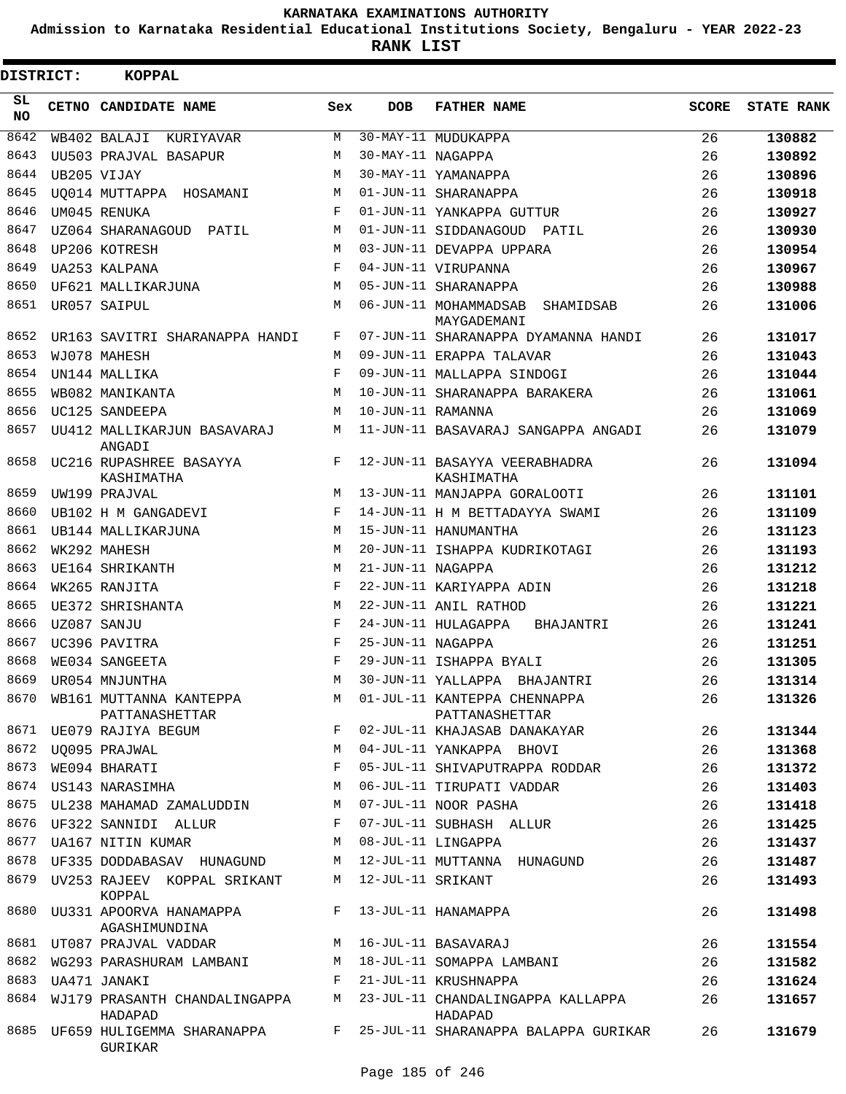**Admission to Karnataka Residential Educational Institutions Society, Bengaluru - YEAR 2022-23**

| DISTRICT:        | <b>KOPPAL</b>                                                             |     |                     |                                                                                   |              |                   |
|------------------|---------------------------------------------------------------------------|-----|---------------------|-----------------------------------------------------------------------------------|--------------|-------------------|
| SL.<br><b>NO</b> | CETNO CANDIDATE NAME                                                      | Sex | <b>DOB</b>          | <b>FATHER NAME</b>                                                                | <b>SCORE</b> | <b>STATE RANK</b> |
| 8642             | WB402 BALAJI KURIYAVAR                                                    | М   |                     | 30-MAY-11 MUDUKAPPA                                                               | 26           | 130882            |
| 8643             | UU503 PRAJVAL BASAPUR                                                     | M   | 30-MAY-11 NAGAPPA   |                                                                                   | 26           | 130892            |
| 8644             | UB205 VIJAY                                                               | М   |                     | 30-MAY-11 YAMANAPPA                                                               | 26           | 130896            |
| 8645             | UO014 MUTTAPPA HOSAMANI                                                   | М   |                     | 01-JUN-11 SHARANAPPA                                                              | 26           | 130918            |
| 8646             | UM045 RENUKA                                                              | F   |                     | 01-JUN-11 YANKAPPA GUTTUR                                                         | 26           | 130927            |
| 8647             | UZ064 SHARANAGOUD PATIL                                                   | М   |                     | 01-JUN-11 SIDDANAGOUD PATIL                                                       | 26           | 130930            |
| 8648             | UP206 KOTRESH                                                             | M   |                     | 03-JUN-11 DEVAPPA UPPARA                                                          | 26           | 130954            |
| 8649             | UA253 KALPANA                                                             | F   |                     | 04-JUN-11 VIRUPANNA                                                               | 26           | 130967            |
| 8650             | UF621 MALLIKARJUNA                                                        | M   |                     | 05-JUN-11 SHARANAPPA                                                              | 26           | 130988            |
| 8651             | UR057 SAIPUL                                                              | M   |                     | 06-JUN-11 MOHAMMADSAB SHAMIDSAB<br>MAYGADEMANI                                    | 26           | 131006            |
| 8652             | UR163 SAVITRI SHARANAPPA HANDI                                            | F   |                     | 07-JUN-11 SHARANAPPA DYAMANNA HANDI                                               | 26           | 131017            |
| 8653             | WJ078 MAHESH                                                              | M   |                     | 09-JUN-11 ERAPPA TALAVAR                                                          | 26           | 131043            |
| 8654             | UN144 MALLIKA                                                             | F   |                     | 09-JUN-11 MALLAPPA SINDOGI                                                        | 26           | 131044            |
| 8655             | WB082 MANIKANTA                                                           | M   |                     | 10-JUN-11 SHARANAPPA BARAKERA                                                     | 26           | 131061            |
| 8656             | UC125 SANDEEPA                                                            | M   | 10-JUN-11 RAMANNA   |                                                                                   | 26           | 131069            |
| 8657             | UU412 MALLIKARJUN BASAVARAJ<br>ANGADI                                     | М   |                     | 11-JUN-11 BASAVARAJ SANGAPPA ANGADI                                               | 26           | 131079            |
| 8658             | UC216 RUPASHREE BASAYYA<br>KASHIMATHA                                     | F   |                     | 12-JUN-11 BASAYYA VEERABHADRA<br>KASHIMATHA                                       | 26           | 131094            |
| 8659             | UW199 PRAJVAL                                                             | M   |                     | 13-JUN-11 MANJAPPA GORALOOTI                                                      | 26           | 131101            |
| 8660             | UB102 H M GANGADEVI                                                       | F   |                     | 14-JUN-11 H M BETTADAYYA SWAMI                                                    | 26           | 131109            |
| 8661             | UB144 MALLIKARJUNA                                                        | M   |                     | 15-JUN-11 HANUMANTHA                                                              | 26           | 131123            |
| 8662             | WK292 MAHESH                                                              | M   |                     | 20-JUN-11 ISHAPPA KUDRIKOTAGI                                                     | 26           | 131193            |
| 8663             | UE164 SHRIKANTH                                                           | М   | 21-JUN-11 NAGAPPA   |                                                                                   | 26           | 131212            |
| 8664             | WK265 RANJITA                                                             | F   |                     | 22-JUN-11 KARIYAPPA ADIN                                                          | 26           | 131218            |
| 8665             | UE372 SHRISHANTA                                                          | M   |                     | 22-JUN-11 ANIL RATHOD                                                             | 26           | 131221            |
| 8666             | UZ087 SANJU                                                               | F   |                     | 24-JUN-11 HULAGAPPA<br>BHAJANTRI                                                  | 26           | 131241            |
| 8667             | UC396 PAVITRA                                                             | F   | 25-JUN-11 NAGAPPA   |                                                                                   | 26           | 131251            |
| 8668             | WE034 SANGEETA                                                            | F   |                     | 29-JUN-11 ISHAPPA BYALI                                                           | 26           | 131305            |
| 8669             | UR054 MNJUNTHA                                                            | М   |                     | 30-JUN-11 YALLAPPA BHAJANTRI                                                      | 26           | 131314            |
|                  | 8670 WB161 MUTTANNA KANTEPPA<br>PATTANASHETTAR                            | М   |                     | 01-JUL-11 KANTEPPA CHENNAPPA<br>PATTANASHETTAR                                    | 26           | 131326            |
|                  | 8671 UE079 RAJIYA BEGUM                                                   | F   |                     | 02-JUL-11 KHAJASAB DANAKAYAR                                                      | 26           | 131344            |
| 8672             | UQ095 PRAJWAL                                                             | М   |                     | 04-JUL-11 YANKAPPA BHOVI                                                          | 26           | 131368            |
| 8673             | WE094 BHARATI                                                             | F   |                     | 05-JUL-11 SHIVAPUTRAPPA RODDAR                                                    | 26           | 131372            |
|                  | 8674 US143 NARASIMHA                                                      | M   |                     | 06-JUL-11 TIRUPATI VADDAR                                                         | 26           | 131403            |
|                  | 8675 UL238 MAHAMAD ZAMALUDDIN                                             | М   |                     | 07-JUL-11 NOOR PASHA                                                              | 26           | 131418            |
| 8676             | UF322 SANNIDI ALLUR                                                       | F   |                     | 07-JUL-11 SUBHASH ALLUR                                                           | 26           | 131425            |
| 8677             | UA167 NITIN KUMAR                                                         | M   |                     | 08-JUL-11 LINGAPPA                                                                | 26           | 131437            |
|                  | 8678 UF335 DODDABASAV HUNAGUND                                            | M   |                     | 12-JUL-11 MUTTANNA HUNAGUND                                                       | 26           | 131487            |
|                  | 8679 UV253 RAJEEV KOPPAL SRIKANT<br>KOPPAL                                |     | M 12-JUL-11 SRIKANT |                                                                                   | 26           | 131493            |
|                  | 8680 UU331 APOORVA HANAMAPPA KALEE F 13-JUL-11 HANAMAPPA<br>AGASHIMUNDINA |     |                     |                                                                                   | 26           | 131498            |
|                  | 8681 UT087 PRAJVAL VADDAR M 16-JUL-11 BASAVARAJ                           |     |                     |                                                                                   | 26           | 131554            |
|                  | 8682 WG293 PARASHURAM LAMBANI M 18-JUL-11 SOMAPPA LAMBANI                 |     |                     |                                                                                   | 26           | 131582            |
| 8683             | UA471 JANAKI                                                              |     |                     | F 21-JUL-11 KRUSHNAPPA                                                            | 26           | 131624            |
|                  | HADAPAD                                                                   |     |                     | 8684 WJ179 PRASANTH CHANDALINGAPPA M 23-JUL-11 CHANDALINGAPPA KALLAPPA<br>HADAPAD | 26           | 131657            |
|                  | GURIKAR                                                                   |     |                     | 8685 UF659 HULIGEMMA SHARANAPPA     F   25-JUL-11 SHARANAPPA BALAPPA GURIKAR      | 26           | 131679            |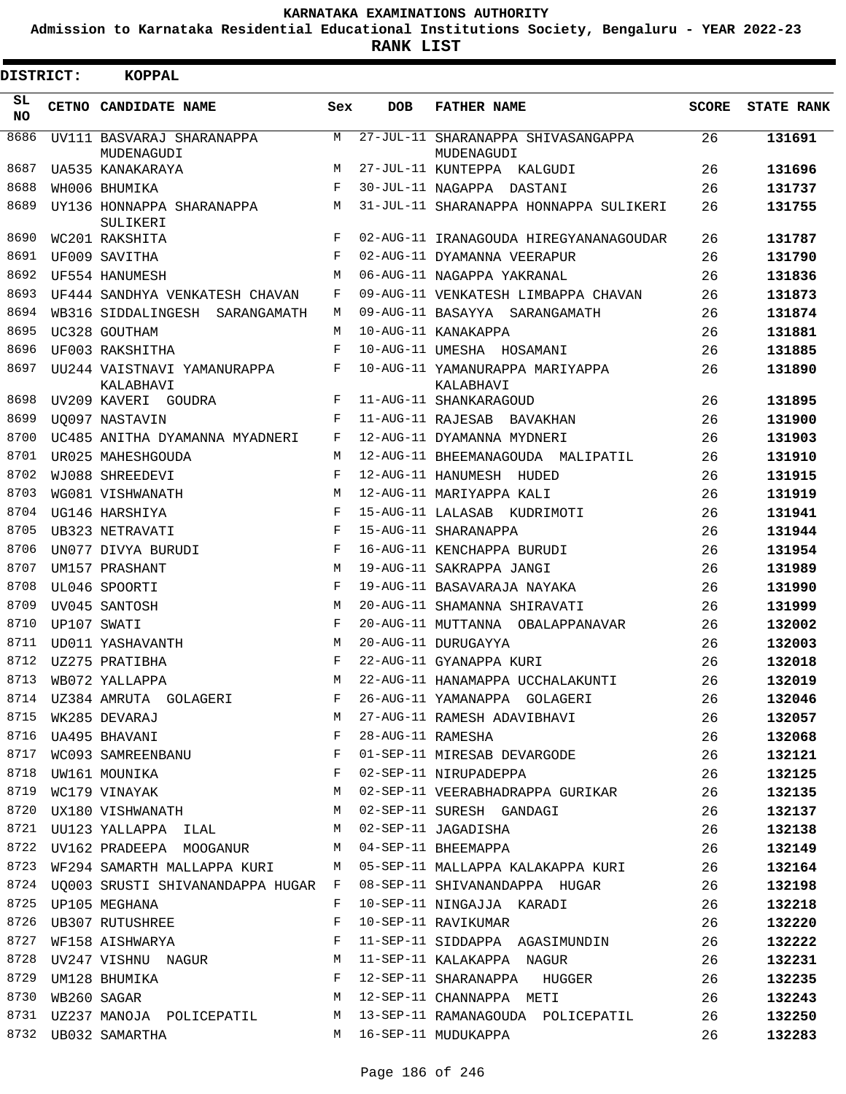**Admission to Karnataka Residential Educational Institutions Society, Bengaluru - YEAR 2022-23**

**RANK LIST**

| <b>DISTRICT:</b> |                  | <b>KOPPAL</b>                                                                  |            |                   |                                                                           |              |                   |
|------------------|------------------|--------------------------------------------------------------------------------|------------|-------------------|---------------------------------------------------------------------------|--------------|-------------------|
| SL<br>NO.        |                  | CETNO CANDIDATE NAME                                                           | Sex        | <b>DOB</b>        | <b>FATHER NAME</b>                                                        | <b>SCORE</b> | <b>STATE RANK</b> |
| 8686             |                  | UV111 BASVARAJ SHARANAPPA                                                      | M          |                   | 27-JUL-11 SHARANAPPA SHIVASANGAPPA                                        | 26           | 131691            |
| 8687             |                  | MUDENAGUDI<br>UA535 KANAKARAYA                                                 | M          |                   | MUDENAGUDI<br>27-JUL-11 KUNTEPPA KALGUDI                                  | 26           | 131696            |
| 8688             |                  | WH006 BHUMIKA                                                                  | F          |                   | 30-JUL-11 NAGAPPA DASTANI                                                 | 26           | 131737            |
| 8689             |                  | UY136 HONNAPPA SHARANAPPA                                                      | M          |                   | 31-JUL-11 SHARANAPPA HONNAPPA SULIKERI                                    | 26           | 131755            |
|                  |                  | SULIKERI                                                                       |            |                   |                                                                           |              |                   |
| 8690             |                  | WC201 RAKSHITA                                                                 | F          |                   | 02-AUG-11 IRANAGOUDA HIREGYANANAGOUDAR                                    | 26           | 131787            |
| 8691             |                  | UF009 SAVITHA                                                                  | $_{\rm F}$ |                   | 02-AUG-11 DYAMANNA VEERAPUR                                               | 26           | 131790            |
| 8692             |                  | UF554 HANUMESH                                                                 | М          |                   | 06-AUG-11 NAGAPPA YAKRANAL                                                | 26           | 131836            |
| 8693             |                  | UF444 SANDHYA VENKATESH CHAVAN                                                 | F          |                   | 09-AUG-11 VENKATESH LIMBAPPA CHAVAN                                       | 26           | 131873            |
| 8694             |                  | WB316 SIDDALINGESH SARANGAMATH                                                 | М          |                   | 09-AUG-11 BASAYYA SARANGAMATH                                             | 26           | 131874            |
| 8695             |                  | UC328 GOUTHAM                                                                  | M          |                   | 10-AUG-11 KANAKAPPA                                                       | 26           | 131881            |
| 8696             |                  | UF003 RAKSHITHA                                                                | F          |                   | 10-AUG-11 UMESHA HOSAMANI                                                 | 26           | 131885            |
| 8697             |                  | UU244 VAISTNAVI YAMANURAPPA<br>KALABHAVI                                       | F          |                   | 10-AUG-11 YAMANURAPPA MARIYAPPA<br>KALABHAVI                              | 26           | 131890            |
| 8698             |                  | UV209 KAVERI GOUDRA                                                            | F          |                   | 11-AUG-11 SHANKARAGOUD                                                    | 26           | 131895            |
| 8699             |                  | UO097 NASTAVIN                                                                 | F          |                   | 11-AUG-11 RAJESAB BAVAKHAN                                                | 26           | 131900            |
| 8700             |                  | UC485 ANITHA DYAMANNA MYADNERI                                                 | F          |                   | 12-AUG-11 DYAMANNA MYDNERI                                                | 26           | 131903            |
| 8701             |                  | UR025 MAHESHGOUDA                                                              | М          |                   | 12-AUG-11 BHEEMANAGOUDA MALIPATIL                                         | 26           | 131910            |
| 8702             |                  | WJ088 SHREEDEVI                                                                | F          |                   | 12-AUG-11 HANUMESH HUDED                                                  | 26           | 131915            |
| 8703             |                  | WG081 VISHWANATH                                                               | М          |                   | 12-AUG-11 MARIYAPPA KALI                                                  | 26           | 131919            |
| 8704             |                  | UG146 HARSHIYA                                                                 | F          |                   | 15-AUG-11 LALASAB KUDRIMOTI                                               | 26           | 131941            |
| 8705             |                  | UB323 NETRAVATI                                                                | F          |                   | 15-AUG-11 SHARANAPPA                                                      | 26           | 131944            |
| 8706             |                  | UN077 DIVYA BURUDI                                                             | F          |                   | 16-AUG-11 KENCHAPPA BURUDI                                                | 26           | 131954            |
| 8707             |                  | UM157 PRASHANT                                                                 | М          |                   | 19-AUG-11 SAKRAPPA JANGI                                                  | 26           | 131989            |
| 8708             |                  | UL046 SPOORTI                                                                  | F          |                   | 19-AUG-11 BASAVARAJA NAYAKA                                               | 26           | 131990            |
| 8709             |                  | UV045 SANTOSH                                                                  | M          |                   | 20-AUG-11 SHAMANNA SHIRAVATI                                              | 26           | 131999            |
| 8710             |                  | UP107 SWATI                                                                    | F          |                   | 20-AUG-11 MUTTANNA OBALAPPANAVAR                                          | 26           | 132002            |
| 8711             |                  | UD011 YASHAVANTH                                                               | M          |                   | 20-AUG-11 DURUGAYYA                                                       | 26           | 132003            |
| 8712             |                  | UZ275 PRATIBHA                                                                 | F          |                   | 22-AUG-11 GYANAPPA KURI                                                   | 26           | 132018            |
| 8713             |                  | WB072 YALLAPPA                                                                 | M          |                   | 22-AUG-11 HANAMAPPA UCCHALAKUNTI                                          | 26           | 132019            |
|                  |                  | 8714 UZ384 AMRUTA GOLAGERI                                                     | F          |                   | 26-AUG-11 YAMANAPPA GOLAGERI                                              | 26           | 132046            |
| 8715             |                  | WK285 DEVARAJ                                                                  |            |                   | 27-AUG-11 RAMESH ADAVIBHAVI                                               | 26           | 132057            |
|                  |                  | $\begin{aligned} \mathbf{M} \\ \mathbf{F} \end{aligned}$<br>8716 UA495 BHAVANI |            | 28-AUG-11 RAMESHA |                                                                           | 26           | 132068            |
| 8717             |                  | WC093 SAMREENBANU F                                                            |            |                   | 01-SEP-11 MIRESAB DEVARGODE                                               | 26           | 132121            |
| 8718             |                  | UW161 MOUNIKA F                                                                |            |                   | 02-SEP-11 NIRUPADEPPA                                                     | 26           | 132125            |
| 8719             |                  | WC179 VINAYAK M                                                                |            |                   | 02-SEP-11 VEERABHADRAPPA GURIKAR 26                                       |              | 132135            |
|                  |                  | 8720 UX180 VISHWANATH                                                          |            |                   | 02-SEP-11 SURESH GANDAGI                                                  | 26           | 132137            |
|                  |                  | 8721 UU123 YALLAPPA ILAL $M$ 02-SEP-11 JAGADISHA                               |            |                   |                                                                           | 26           | 132138            |
|                  |                  |                                                                                |            |                   | 8722 UV162 PRADEEPA MOOGANUR M 04-SEP-11 BHEEMAPPA                        | 26           | 132149            |
|                  |                  |                                                                                |            |                   | 8723 WF294 SAMARTH MALLAPPA KURI M 05-SEP-11 MALLAPPA KALAKAPPA KURI 26   |              | 132164            |
|                  |                  |                                                                                |            |                   | 8724 UQ003 SRUSTI SHIVANANDAPPA HUGAR F 08-SEP-11 SHIVANANDAPPA HUGAR 26  |              | 132198            |
|                  |                  | 8725 UP105 MEGHANA                                                             | F          |                   | 10-SEP-11 NINGAJJA KARADI                                                 | 26           | 132218            |
| 8726             |                  | UB307 RUTUSHREE                                                                | F          |                   | 10-SEP-11 RAVIKUMAR                                                       | 26           | 132220            |
| 8727             |                  | WF158 AISHWARYA F                                                              |            |                   | 11-SEP-11 SIDDAPPA AGASIMUNDIN 26                                         |              | 132222            |
|                  |                  |                                                                                |            |                   | 8728 UV247 VISHNU NAGUR M 11-SEP-11 KALAKAPPA NAGUR                       | 26           | 132231            |
|                  |                  |                                                                                |            |                   | $\frac{26}{26}$ UM128 BHUMIKA $\frac{12-5EP-11}{26}$ SHARANAPPA HUGGER 26 |              | 132235            |
|                  | 8730 WB260 SAGAR | M 12-SEP-11 CHANNAPPA METI                                                     |            |                   | $\sim$ 26                                                                 |              | 132243            |
|                  |                  |                                                                                |            |                   | 8731 UZ237 MANOJA POLICEPATIL M 13-SEP-11 RAMANAGOUDA POLICEPATIL 26      |              | 132250            |
|                  |                  | 8732 UB032 SAMARTHA                                                            |            |                   | M 16-SEP-11 MUDUKAPPA                                                     | 26           | 132283            |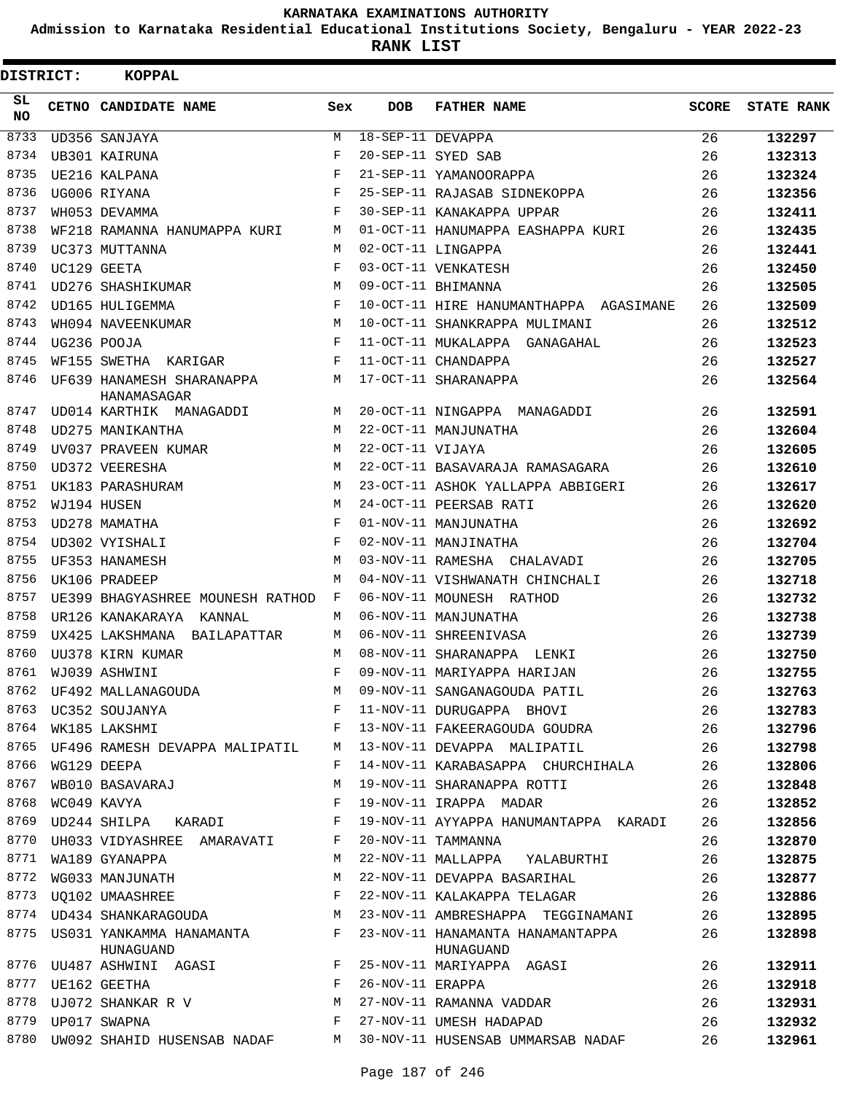**Admission to Karnataka Residential Educational Institutions Society, Bengaluru - YEAR 2022-23**

| <b>DISTRICT:</b> | <b>KOPPAL</b>                                                                                                                                                                                                                                                                                                                                                                                                                                                |              |                   |                                               |              |                   |
|------------------|--------------------------------------------------------------------------------------------------------------------------------------------------------------------------------------------------------------------------------------------------------------------------------------------------------------------------------------------------------------------------------------------------------------------------------------------------------------|--------------|-------------------|-----------------------------------------------|--------------|-------------------|
| SL.<br>NO.       | CETNO CANDIDATE NAME                                                                                                                                                                                                                                                                                                                                                                                                                                         | Sex          | <b>DOB</b>        | <b>FATHER NAME</b>                            | <b>SCORE</b> | <b>STATE RANK</b> |
| 8733             | UD356 SANJAYA                                                                                                                                                                                                                                                                                                                                                                                                                                                | M            | 18-SEP-11 DEVAPPA |                                               | 26           | 132297            |
| 8734             | UB301 KAIRUNA                                                                                                                                                                                                                                                                                                                                                                                                                                                | F            |                   | 20-SEP-11 SYED SAB                            | 26           | 132313            |
| 8735             | UE216 KALPANA                                                                                                                                                                                                                                                                                                                                                                                                                                                | $_{\rm F}$   |                   | 21-SEP-11 YAMANOORAPPA                        | 26           | 132324            |
| 8736             | UG006 RIYANA                                                                                                                                                                                                                                                                                                                                                                                                                                                 | F            |                   | 25-SEP-11 RAJASAB SIDNEKOPPA                  | 26           | 132356            |
| 8737             | WH053 DEVAMMA                                                                                                                                                                                                                                                                                                                                                                                                                                                | F            |                   | 30-SEP-11 KANAKAPPA UPPAR                     | 26           | 132411            |
| 8738             | WF218 RAMANNA HANUMAPPA KURI                                                                                                                                                                                                                                                                                                                                                                                                                                 | M            |                   | 01-OCT-11 HANUMAPPA EASHAPPA KURI             | 26           | 132435            |
| 8739             | UC373 MUTTANNA                                                                                                                                                                                                                                                                                                                                                                                                                                               | M            |                   | 02-OCT-11 LINGAPPA                            | 26           | 132441            |
| 8740             | UC129 GEETA                                                                                                                                                                                                                                                                                                                                                                                                                                                  | F            |                   | 03-OCT-11 VENKATESH                           | 26           | 132450            |
| 8741             | UD276 SHASHIKUMAR                                                                                                                                                                                                                                                                                                                                                                                                                                            | M            |                   | 09-OCT-11 BHIMANNA                            | 26           | 132505            |
| 8742             | UD165 HULIGEMMA                                                                                                                                                                                                                                                                                                                                                                                                                                              | F            |                   | 10-OCT-11 HIRE HANUMANTHAPPA AGASIMANE        | 26           | 132509            |
| 8743             | WH094 NAVEENKUMAR                                                                                                                                                                                                                                                                                                                                                                                                                                            | M            |                   | 10-OCT-11 SHANKRAPPA MULIMANI                 | 26           | 132512            |
| 8744             | UG236 POOJA                                                                                                                                                                                                                                                                                                                                                                                                                                                  | F            |                   | 11-OCT-11 MUKALAPPA GANAGAHAL                 | 26           | 132523            |
| 8745             | WF155 SWETHA KARIGAR                                                                                                                                                                                                                                                                                                                                                                                                                                         | F            |                   | 11-OCT-11 CHANDAPPA                           | 26           | 132527            |
| 8746             | UF639 HANAMESH SHARANAPPA<br>HANAMASAGAR                                                                                                                                                                                                                                                                                                                                                                                                                     | М            |                   | 17-OCT-11 SHARANAPPA                          | 26           | 132564            |
| 8747             | UD014 KARTHIK MANAGADDI                                                                                                                                                                                                                                                                                                                                                                                                                                      | M            |                   | 20-OCT-11 NINGAPPA MANAGADDI                  | 26           | 132591            |
| 8748             | UD275 MANIKANTHA                                                                                                                                                                                                                                                                                                                                                                                                                                             | M            |                   | 22-OCT-11 MANJUNATHA                          | 26           | 132604            |
| 8749             | UV037 PRAVEEN KUMAR                                                                                                                                                                                                                                                                                                                                                                                                                                          | M            | 22-OCT-11 VIJAYA  |                                               | 26           | 132605            |
| 8750             | UD372 VEERESHA                                                                                                                                                                                                                                                                                                                                                                                                                                               | M            |                   | 22-OCT-11 BASAVARAJA RAMASAGARA               | 26           | 132610            |
| 8751             | UK183 PARASHURAM                                                                                                                                                                                                                                                                                                                                                                                                                                             | М            |                   | 23-OCT-11 ASHOK YALLAPPA ABBIGERI             | 26           | 132617            |
| 8752             | WJ194 HUSEN                                                                                                                                                                                                                                                                                                                                                                                                                                                  | M            |                   | 24-OCT-11 PEERSAB RATI                        | 26           | 132620            |
| 8753             | UD278 MAMATHA                                                                                                                                                                                                                                                                                                                                                                                                                                                | F            |                   | 01-NOV-11 MANJUNATHA                          | 26           | 132692            |
| 8754             | UD302 VYISHALI                                                                                                                                                                                                                                                                                                                                                                                                                                               | F            |                   | 02-NOV-11 MANJINATHA                          | 26           | 132704            |
| 8755             | UF353 HANAMESH                                                                                                                                                                                                                                                                                                                                                                                                                                               | M            |                   | 03-NOV-11 RAMESHA CHALAVADI                   | 26           | 132705            |
| 8756             | UK106 PRADEEP                                                                                                                                                                                                                                                                                                                                                                                                                                                | M            |                   | 04-NOV-11 VISHWANATH CHINCHALI                | 26           | 132718            |
| 8757             | UE399 BHAGYASHREE MOUNESH RATHOD                                                                                                                                                                                                                                                                                                                                                                                                                             | F            |                   | 06-NOV-11 MOUNESH RATHOD                      | 26           | 132732            |
| 8758             | UR126 KANAKARAYA<br>KANNAL                                                                                                                                                                                                                                                                                                                                                                                                                                   | M            |                   | 06-NOV-11 MANJUNATHA                          | 26           | 132738            |
| 8759             | UX425 LAKSHMANA BAILAPATTAR                                                                                                                                                                                                                                                                                                                                                                                                                                  | М            |                   | 06-NOV-11 SHREENIVASA                         | 26           | 132739            |
| 8760             | UU378 KIRN KUMAR                                                                                                                                                                                                                                                                                                                                                                                                                                             | M            |                   | 08-NOV-11 SHARANAPPA LENKI                    | 26           | 132750            |
| 8761             | WJ039 ASHWINI                                                                                                                                                                                                                                                                                                                                                                                                                                                | F            |                   | 09-NOV-11 MARIYAPPA HARIJAN                   | 26           | 132755            |
| 8762             |                                                                                                                                                                                                                                                                                                                                                                                                                                                              | М            |                   | 09-NOV-11 SANGANAGOUDA PATIL                  | 26           | 132763            |
| 8763             |                                                                                                                                                                                                                                                                                                                                                                                                                                                              | F            |                   | 11-NOV-11 DURUGAPPA BHOVI                     | 26           | 132783            |
| 8764             | UF492 MALLANAGOUDA<br>UC352 SOUJANYA<br>WK185 LAKSHMI<br>WK185 LAKSHMI                                                                                                                                                                                                                                                                                                                                                                                       | F            |                   | 13-NOV-11 FAKEERAGOUDA GOUDRA                 | 26           | 132796            |
| 8765             | UF496 RAMESH DEVAPPA MALIPATIL                                                                                                                                                                                                                                                                                                                                                                                                                               | M            |                   | 13-NOV-11 DEVAPPA MALIPATIL                   | 26           | 132798            |
| 8766             | WG129 DEEPA                                                                                                                                                                                                                                                                                                                                                                                                                                                  | F            |                   | 14-NOV-11 KARABASAPPA CHURCHIHALA             | 26           | 132806            |
| 8767             | WB010 BASAVARAJ                                                                                                                                                                                                                                                                                                                                                                                                                                              | М            |                   | 19-NOV-11 SHARANAPPA ROTTI                    | 26           | 132848            |
| 8768             | WC049 KAVYA                                                                                                                                                                                                                                                                                                                                                                                                                                                  | F            |                   | 19-NOV-11 IRAPPA MADAR                        | 26           | 132852            |
| 8769             | UD244 SHILPA KARADI                                                                                                                                                                                                                                                                                                                                                                                                                                          | F            |                   | 19-NOV-11 AYYAPPA HANUMANTAPPA KARADI         | 26           | 132856            |
| 8770             | UH033 VIDYASHREE AMARAVATI                                                                                                                                                                                                                                                                                                                                                                                                                                   | F            |                   | 20-NOV-11 TAMMANNA                            | 26           | 132870            |
| 8771             | WA189 GYANAPPA                                                                                                                                                                                                                                                                                                                                                                                                                                               | М            |                   | 22-NOV-11 MALLAPPA YALABURTHI                 | 26           | 132875            |
| 8772             | WG033 MANJUNATH                                                                                                                                                                                                                                                                                                                                                                                                                                              | М            |                   | 22-NOV-11 DEVAPPA BASARIHAL                   | 26           | 132877            |
| 8773             | WG033 MANJUNATH<br>UQ102 UMAASHREE                                                                                                                                                                                                                                                                                                                                                                                                                           | $\mathbf{F}$ |                   | 22-NOV-11 KALAKAPPA TELAGAR                   | 26           | 132886            |
| 8774             | UD434 SHANKARAGOUDA                                                                                                                                                                                                                                                                                                                                                                                                                                          | M            |                   | 23-NOV-11 AMBRESHAPPA TEGGINAMANI             | 26           | 132895            |
| 8775             | US031 YANKAMMA HANAMANTA F<br>HUNAGUAND                                                                                                                                                                                                                                                                                                                                                                                                                      |              |                   | 23-NOV-11 HANAMANTA HANAMANTAPPA<br>HUNAGUAND | 26           | 132898            |
|                  | 8776 UU487 ASHWINI AGASI F                                                                                                                                                                                                                                                                                                                                                                                                                                   |              |                   | 25-NOV-11 MARIYAPPA AGASI                     | 26           | 132911            |
|                  |                                                                                                                                                                                                                                                                                                                                                                                                                                                              |              | 26-NOV-11 ERAPPA  |                                               | 26           | 132918            |
|                  | $\begin{array}{lll}\n & \text{if} & \text{if} \\ \text{1: } & \text{if} & \text{if} \\ \text{2: } & \text{if} & \text{if} \\ \text{3: } & \text{if} & \text{if} \\ \text{4: } & \text{if} & \text{if} \\ \text{5: } & \text{if} & \text{if} \\ \text{6: } & \text{if} & \text{if} \\ \text{7: } & \text{if} & \text{if} \\ \text{7: } & \text{if} & \text{if} \\ \text{7: } & \text{if} & \text{if} \\ \text{7: } & \text{if} & \text{if} \\ \text{7: } & \$ |              |                   | 27-NOV-11 RAMANNA VADDAR                      | 26           | 132931            |
|                  |                                                                                                                                                                                                                                                                                                                                                                                                                                                              |              |                   | 27-NOV-11 UMESH HADAPAD                       | 26           | 132932            |
| 8780             | UW092 SHAHID HUSENSAB NADAF M                                                                                                                                                                                                                                                                                                                                                                                                                                |              |                   | 30-NOV-11 HUSENSAB UMMARSAB NADAF             | 26           | 132961            |
|                  |                                                                                                                                                                                                                                                                                                                                                                                                                                                              |              |                   |                                               |              |                   |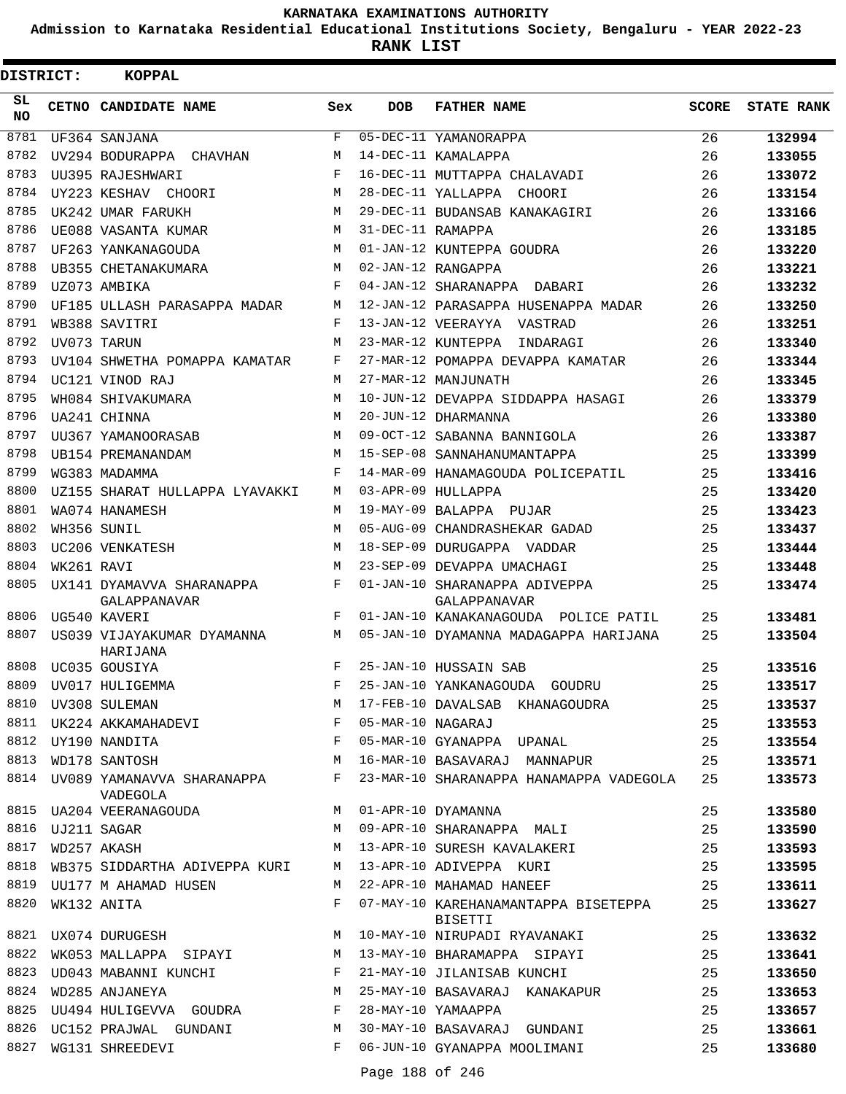**Admission to Karnataka Residential Educational Institutions Society, Bengaluru - YEAR 2022-23**

**RANK LIST**

| DISTRICT: |                        | <b>KOPPAL</b>                                                                |            |                   |                                                 |              |                   |
|-----------|------------------------|------------------------------------------------------------------------------|------------|-------------------|-------------------------------------------------|--------------|-------------------|
| SL<br>NO. |                        | CETNO CANDIDATE NAME                                                         | <b>Sex</b> | <b>DOB</b>        | <b>FATHER NAME</b>                              | <b>SCORE</b> | <b>STATE RANK</b> |
| 8781      |                        | UF364 SANJANA                                                                | F          |                   | 05-DEC-11 YAMANORAPPA                           | 26           | 132994            |
| 8782      |                        | UV294 BODURAPPA CHAVHAN                                                      | М          |                   | 14-DEC-11 KAMALAPPA                             | 26           | 133055            |
| 8783      |                        | UU395 RAJESHWARI                                                             | F          |                   | 16-DEC-11 MUTTAPPA CHALAVADI                    | 26           | 133072            |
| 8784      |                        | UY223 KESHAV CHOORI                                                          | M          |                   | 28-DEC-11 YALLAPPA CHOORI                       | 26           | 133154            |
| 8785      |                        | UK242 UMAR FARUKH                                                            | M          |                   | 29-DEC-11 BUDANSAB KANAKAGIRI                   | 26           | 133166            |
| 8786      |                        | UE088 VASANTA KUMAR                                                          | М          | 31-DEC-11 RAMAPPA |                                                 | 26           | 133185            |
| 8787      |                        | UF263 YANKANAGOUDA                                                           | M          |                   | 01-JAN-12 KUNTEPPA GOUDRA                       | 26           | 133220            |
| 8788      |                        | UB355 CHETANAKUMARA                                                          | М          |                   | 02-JAN-12 RANGAPPA                              | 26           | 133221            |
| 8789      |                        | UZ073 AMBIKA                                                                 | F          |                   | 04-JAN-12 SHARANAPPA DABARI                     | 26           | 133232            |
| 8790      |                        | UF185 ULLASH PARASAPPA MADAR                                                 | М          |                   | 12-JAN-12 PARASAPPA HUSENAPPA MADAR             | 26           | 133250            |
| 8791      |                        | WB388 SAVITRI                                                                | F          |                   | 13-JAN-12 VEERAYYA VASTRAD                      | 26           | 133251            |
| 8792      |                        | UV073 TARUN                                                                  | М          |                   | 23-MAR-12 KUNTEPPA<br>INDARAGI                  | 26           | 133340            |
| 8793      |                        | UV104 SHWETHA POMAPPA KAMATAR                                                | F          |                   | 27-MAR-12 POMAPPA DEVAPPA KAMATAR               | 26           | 133344            |
| 8794      |                        | UC121 VINOD RAJ                                                              | М          |                   | 27-MAR-12 MANJUNATH                             | 26           | 133345            |
| 8795      |                        | WH084 SHIVAKUMARA                                                            | M          |                   | 10-JUN-12 DEVAPPA SIDDAPPA HASAGI               | 26           | 133379            |
| 8796      |                        | UA241 CHINNA                                                                 | M          |                   | 20-JUN-12 DHARMANNA                             | 26           | 133380            |
| 8797      |                        | UU367 YAMANOORASAB                                                           | M          |                   | 09-OCT-12 SABANNA BANNIGOLA                     | 26           | 133387            |
| 8798      |                        | UB154 PREMANANDAM                                                            | М          |                   | 15-SEP-08 SANNAHANUMANTAPPA                     | 25           | 133399            |
| 8799      |                        | WG383 MADAMMA                                                                | F          |                   | 14-MAR-09 HANAMAGOUDA POLICEPATIL               | 25           | 133416            |
| 8800      |                        | UZ155 SHARAT HULLAPPA LYAVAKKI                                               | M          |                   | 03-APR-09 HULLAPPA                              | 25           | 133420            |
| 8801      |                        | WA074 HANAMESH                                                               | М          |                   | 19-MAY-09 BALAPPA PUJAR                         | 25           | 133423            |
| 8802      |                        | WH356 SUNIL                                                                  | M          |                   | 05-AUG-09 CHANDRASHEKAR GADAD                   | 25           | 133437            |
| 8803      |                        | UC206 VENKATESH                                                              | M          |                   | 18-SEP-09 DURUGAPPA VADDAR                      | 25           | 133444            |
| 8804      | WK261 RAVI             |                                                                              | M          |                   | 23-SEP-09 DEVAPPA UMACHAGI                      | 25           | 133448            |
| 8805      |                        | UX141 DYAMAVVA SHARANAPPA<br>GALAPPANAVAR                                    | F          |                   | 01-JAN-10 SHARANAPPA ADIVEPPA<br>GALAPPANAVAR   | 25           | 133474            |
| 8806      |                        | UG540 KAVERI                                                                 | $_{\rm F}$ |                   | 01-JAN-10 KANAKANAGOUDA POLICE PATIL            | 25           | 133481            |
| 8807      |                        | US039 VIJAYAKUMAR DYAMANNA<br>HARIJANA                                       | M          |                   | 05-JAN-10 DYAMANNA MADAGAPPA HARIJANA           | 25           | 133504            |
| 8808      |                        | UC035 GOUSIYA                                                                | F          |                   | 25-JAN-10 HUSSAIN SAB                           | 25           | 133516            |
|           |                        | 8809 UV017 HULIGEMMA                                                         | F          |                   | 25-JAN-10 YANKANAGOUDA GOUDRU                   | 25           | 133517            |
|           |                        | UVOI7 HOLIGEMMA<br>UV308 SULEMAN<br>UK224 AKKAMAHADEVI<br>8810 UV308 SULEMAN | М          |                   | 17-FEB-10 DAVALSAB KHANAGOUDRA                  | 25           | 133537            |
| 8811      |                        |                                                                              | F          |                   | 05-MAR-10 NAGARAJ                               | 25           | 133553            |
| 8812      |                        | UY190 NANDITA                                                                | F          |                   | 05-MAR-10 GYANAPPA UPANAL                       | 25           | 133554            |
| 8813      |                        | WD178 SANTOSH                                                                | М          |                   | 16-MAR-10 BASAVARAJ MANNAPUR                    | 25           | 133571            |
|           |                        | 8814 UV089 YAMANAVVA SHARANAPPA<br>VADEGOLA                                  | F          |                   | 23-MAR-10 SHARANAPPA HANAMAPPA VADEGOLA         | 25           | 133573            |
|           |                        | 8815 UA204 VEERANAGOUDA                                                      | M          |                   | 01-APR-10 DYAMANNA                              | 25           | 133580            |
|           | 8816    UJ211    SAGAR |                                                                              | М          |                   | 09-APR-10 SHARANAPPA MALI                       | 25           | 133590            |
| 8817      |                        | WD257 AKASH                                                                  | М          |                   | 13-APR-10 SURESH KAVALAKERI                     | 25           | 133593            |
| 8818      |                        | WB375 SIDDARTHA ADIVEPPA KURI                                                | М          |                   | 13-APR-10 ADIVEPPA KURI                         | 25           | 133595            |
| 8819      |                        | UU177 M AHAMAD HUSEN                                                         | М          |                   | 22-APR-10 MAHAMAD HANEEF                        | 25           | 133611            |
| 8820      |                        | WK132 ANITA                                                                  | F          |                   | 07-MAY-10 KAREHANAMANTAPPA BISETEPPA<br>BISETTI | 25           | 133627            |
|           |                        | 8821 UX074 DURUGESH                                                          | М          |                   | 10-MAY-10 NIRUPADI RYAVANAKI                    | 25           | 133632            |
| 8822      |                        | WK053 MALLAPPA SIPAYI                                                        | M          |                   | 13-MAY-10 BHARAMAPPA SIPAYI                     | 25           | 133641            |
| 8823      |                        | UD043 MABANNI KUNCHI                                                         | F          |                   | 21-MAY-10 JILANISAB KUNCHI                      | 25           | 133650            |
| 8824      |                        | WD285 ANJANEYA                                                               | М          |                   | 25-MAY-10 BASAVARAJ KANAKAPUR                   | 25           | 133653            |
| 8825      |                        | UU494 HULIGEVVA GOUDRA                                                       | F          |                   | 28-MAY-10 YAMAAPPA                              | 25           | 133657            |
| 8826      |                        | UC152 PRAJWAL GUNDANI                                                        | М          |                   | 30-MAY-10 BASAVARAJ GUNDANI                     | 25           | 133661            |
| 8827      |                        | WG131 SHREEDEVI                                                              | F          |                   | 06-JUN-10 GYANAPPA MOOLIMANI                    | 25           | 133680            |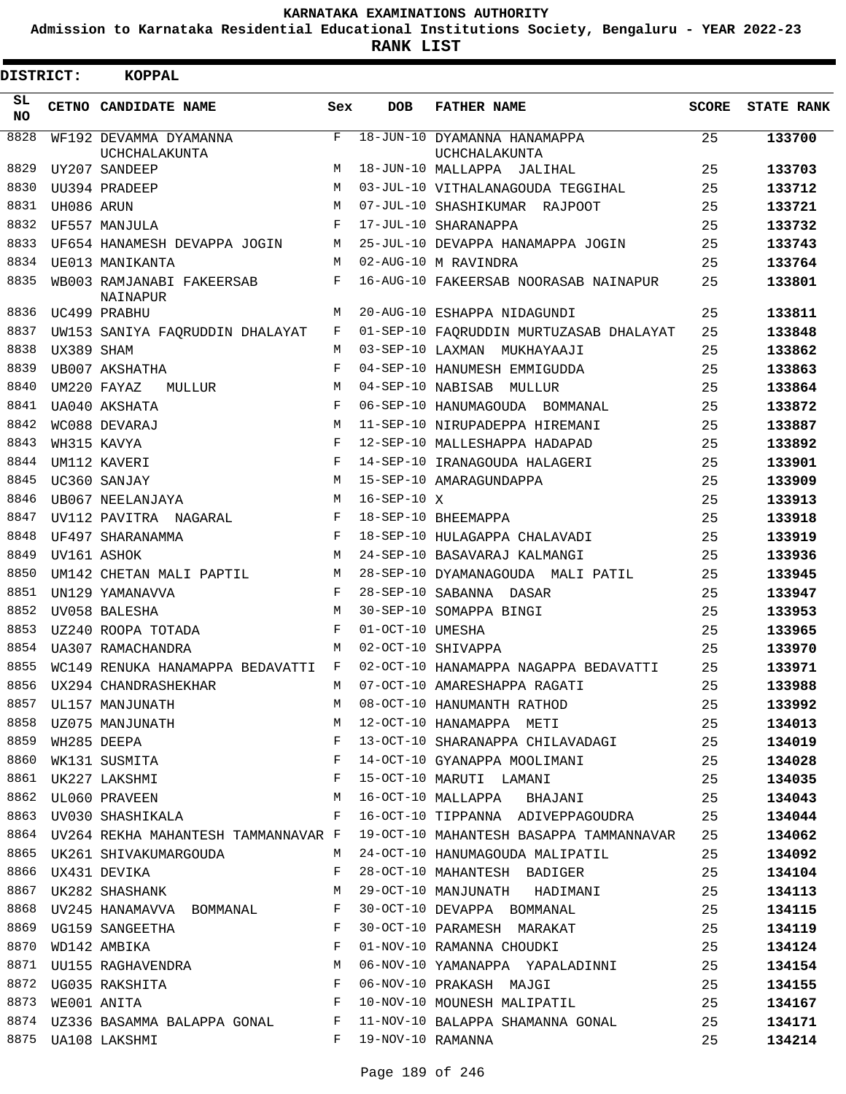**Admission to Karnataka Residential Educational Institutions Society, Bengaluru - YEAR 2022-23**

**RANK LIST**

| DISTRICT: |            | <b>KOPPAL</b>                                                                              |              |                  |                                                                                                               |              |                   |
|-----------|------------|--------------------------------------------------------------------------------------------|--------------|------------------|---------------------------------------------------------------------------------------------------------------|--------------|-------------------|
| SL<br>NO. |            | CETNO CANDIDATE NAME                                                                       | Sex          | <b>DOB</b>       | <b>FATHER NAME</b>                                                                                            | <b>SCORE</b> | <b>STATE RANK</b> |
| 8828      |            | WF192 DEVAMMA DYAMANNA<br>UCHCHALAKUNTA                                                    | F            |                  | 18-JUN-10 DYAMANNA HANAMAPPA<br><b>UCHCHALAKUNTA</b>                                                          | 25           | 133700            |
| 8829      |            | UY207 SANDEEP                                                                              | M            |                  | 18-JUN-10 MALLAPPA JALIHAL                                                                                    | 25           | 133703            |
| 8830      |            | UU394 PRADEEP                                                                              | M            |                  | 03-JUL-10 VITHALANAGOUDA TEGGIHAL                                                                             | 25           | 133712            |
| 8831      | UH086 ARUN |                                                                                            | M            |                  | 07-JUL-10 SHASHIKUMAR RAJPOOT                                                                                 | 25           | 133721            |
| 8832      |            | UF557 MANJULA                                                                              | F            |                  | 17-JUL-10 SHARANAPPA                                                                                          | 25           | 133732            |
| 8833      |            | UF654 HANAMESH DEVAPPA JOGIN                                                               | М            |                  | 25-JUL-10 DEVAPPA HANAMAPPA JOGIN                                                                             | 25           | 133743            |
| 8834      |            | UE013 MANIKANTA                                                                            | M            |                  | 02-AUG-10 M RAVINDRA                                                                                          | 25           | 133764            |
| 8835      |            | WB003 RAMJANABI FAKEERSAB<br>NAINAPUR                                                      | F            |                  | 16-AUG-10 FAKEERSAB NOORASAB NAINAPUR                                                                         | 25           | 133801            |
| 8836      |            | UC499 PRABHU                                                                               | M            |                  | 20-AUG-10 ESHAPPA NIDAGUNDI                                                                                   | 25           | 133811            |
| 8837      |            | UW153 SANIYA FAQRUDDIN DHALAYAT                                                            | F            |                  | 01-SEP-10 FAQRUDDIN MURTUZASAB DHALAYAT                                                                       | 25           | 133848            |
| 8838      | UX389 SHAM |                                                                                            | М            |                  | 03-SEP-10 LAXMAN MUKHAYAAJI                                                                                   | 25           | 133862            |
| 8839      |            | UB007 AKSHATHA                                                                             | F            |                  | 04-SEP-10 HANUMESH EMMIGUDDA                                                                                  | 25           | 133863            |
| 8840      |            | UM220 FAYAZ<br>MULLUR                                                                      | M            |                  | 04-SEP-10 NABISAB MULLUR                                                                                      | 25           | 133864            |
| 8841      |            | UA040 AKSHATA                                                                              | $\mathbf{F}$ |                  | 06-SEP-10 HANUMAGOUDA BOMMANAL                                                                                | 25           | 133872            |
| 8842      |            | WC088 DEVARAJ                                                                              | M            |                  | 11-SEP-10 NIRUPADEPPA HIREMANI                                                                                | 25           | 133887            |
| 8843      |            | WH315 KAVYA                                                                                | F            |                  | 12-SEP-10 MALLESHAPPA HADAPAD                                                                                 | 25           | 133892            |
| 8844      |            | UM112 KAVERI                                                                               | F            |                  | 14-SEP-10 IRANAGOUDA HALAGERI                                                                                 | 25           | 133901            |
| 8845      |            | UC360 SANJAY                                                                               | M            |                  | 15-SEP-10 AMARAGUNDAPPA                                                                                       | 25           | 133909            |
| 8846      |            | UB067 NEELANJAYA                                                                           | M            | $16-SEP-10 X$    |                                                                                                               | 25           | 133913            |
| 8847      |            | UV112 PAVITRA NAGARAL                                                                      | F            |                  | 18-SEP-10 BHEEMAPPA                                                                                           | 25           | 133918            |
| 8848      |            | UF497 SHARANAMMA                                                                           | F            |                  | 18-SEP-10 HULAGAPPA CHALAVADI                                                                                 | 25           | 133919            |
| 8849      |            | UV161 ASHOK                                                                                | M            |                  | 24-SEP-10 BASAVARAJ KALMANGI                                                                                  | 25           | 133936            |
| 8850      |            | UM142 CHETAN MALI PAPTIL                                                                   | M            |                  | 28-SEP-10 DYAMANAGOUDA MALI PATIL                                                                             | 25           | 133945            |
| 8851      |            | UN129 YAMANAVVA                                                                            | F            |                  | 28-SEP-10 SABANNA DASAR                                                                                       | 25           | 133947            |
| 8852      |            | UV058 BALESHA                                                                              | M            |                  | 30-SEP-10 SOMAPPA BINGI                                                                                       | 25           | 133953            |
| 8853      |            | UZ240 ROOPA TOTADA                                                                         | F            | 01-OCT-10 UMESHA |                                                                                                               | 25           | 133965            |
| 8854      |            | UA307 RAMACHANDRA                                                                          | M            |                  | 02-OCT-10 SHIVAPPA                                                                                            | 25           | 133970            |
| 8855      |            | WC149 RENUKA HANAMAPPA BEDAVATTI F                                                         |              |                  | 02-OCT-10 HANAMAPPA NAGAPPA BEDAVATTI                                                                         | 25           | 133971            |
|           |            | 8856 UX294 CHANDRASHEKHAR                                                                  | M            |                  | 07-OCT-10 AMARESHAPPA RAGATI                                                                                  | 25           | 133988            |
|           |            |                                                                                            |              |                  |                                                                                                               |              | 133992            |
|           |            |                                                                                            |              |                  | 8857 UL157 MANJUNATH 25<br>8858 UZ075 MANJUNATH 25 M 22-OCT-10 HANAMAPPA METI                                 |              | 134013            |
|           |            |                                                                                            |              |                  | 13-OCT-10 SHARANAPPA CHILAVADAGI 25                                                                           |              | 134019            |
|           |            | 8859 WH285 DEEPA F<br>8860 WK131 SUSMITA F<br>8861 UK227 LAKSHMI F<br>8862 UL060 PRAVEEN M |              |                  | 14-OCT-10 GYANAPPA MOOLIMANI 25                                                                               |              | 134028            |
|           |            |                                                                                            |              |                  | 15-OCT-10 MARUTI LAMANI 25                                                                                    |              | 134035            |
|           |            |                                                                                            |              |                  | 16-OCT-10 MALLAPPA BHAJANI 25                                                                                 |              | 134043            |
|           |            |                                                                                            |              |                  | 8863 UV030 SHASHIKALA (Barata Series of Table of Table States of Table States States of Table States States A |              | 134044            |
|           |            |                                                                                            |              |                  | 8864 UV264 REKHA MAHANTESH TAMMANNAVAR F 19-OCT-10 MAHANTESH BASAPPA TAMMANNAVAR 25                           |              | 134062            |
|           |            |                                                                                            |              |                  | 8865 UK261 SHIVAKUMARGOUDA M 24-OCT-10 HANUMAGOUDA MALIPATIL 25                                               |              | 134092            |
|           |            |                                                                                            |              |                  | 8866 UX431 DEVIKA 25                                                                                          |              | 134104            |
| 8867      |            |                                                                                            |              |                  | UK282 SHASHANK 29-OCT-10 MANJUNATH HADIMANI 25                                                                |              | 134113            |
| 8868      |            |                                                                                            |              |                  | UV245 HANAMAVVA BOMMANAL F 30-OCT-10 DEVAPPA BOMMANAL 25                                                      |              | 134115            |
|           |            | 8869 UG159 SANGEETHA F                                                                     |              |                  | 30-OCT-10 PARAMESH MARAKAT 25                                                                                 |              | 134119            |
| 8870      |            | $\mathbf{F}$ . The set of $\mathbf{F}$<br>WD142 AMBIKA                                     |              |                  | 01-NOV-10 RAMANNA CHOUDKI 25                                                                                  |              | 134124            |
|           |            | 8871 UU155 RAGHAVENDRA M                                                                   |              |                  | 06-NOV-10 YAMANAPPA YAPALADINNI 25                                                                            |              | 134154            |
|           |            |                                                                                            |              |                  |                                                                                                               |              | 134155            |
|           |            |                                                                                            |              |                  |                                                                                                               |              | 134167            |
|           |            |                                                                                            |              |                  | 8874 UZ336 BASAMMA BALAPPA GONAL F 11-NOV-10 BALAPPA SHAMANNA GONAL 25                                        |              | 134171            |
|           |            | 8875 UA108 LAKSHMI                                                                         |              |                  | F 19-NOV-10 RAMANNA                                                                                           | 25           | 134214            |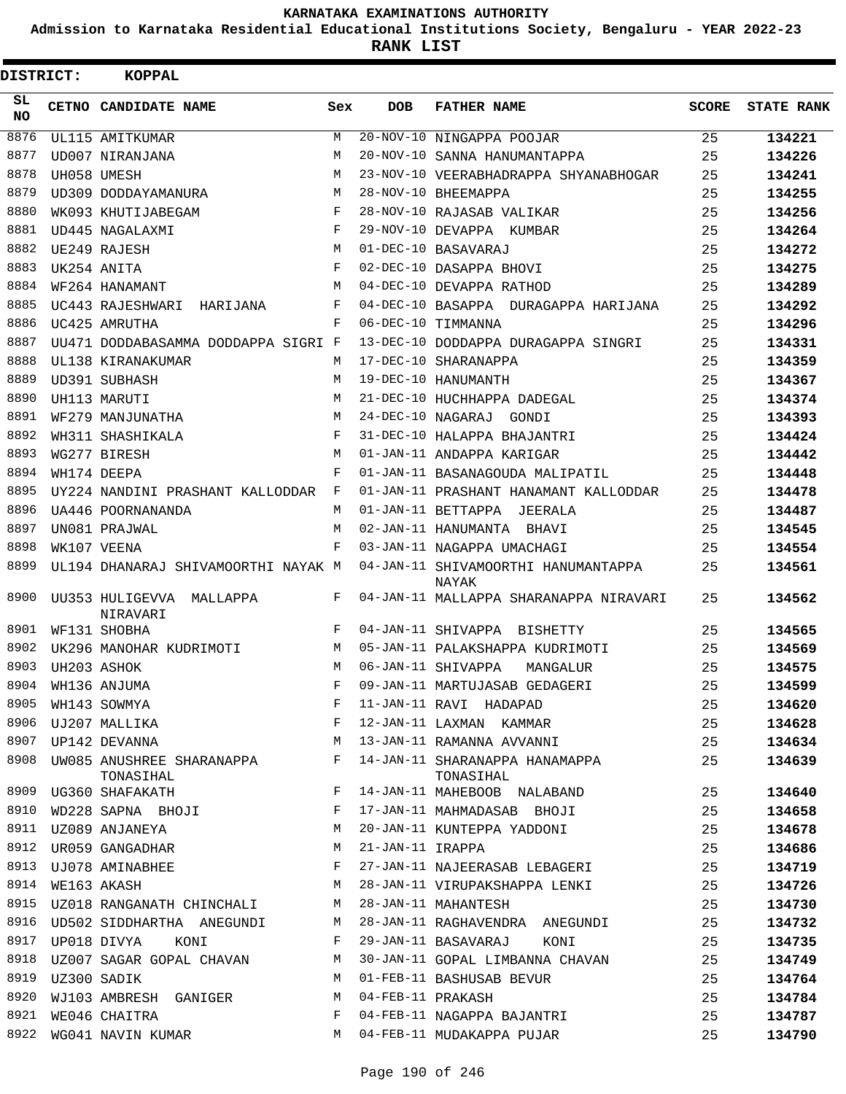**Admission to Karnataka Residential Educational Institutions Society, Bengaluru - YEAR 2022-23**

**RANK LIST**

| DISTRICT: | <b>KOPPAL</b>                        |            |                   |                                              |              |                   |
|-----------|--------------------------------------|------------|-------------------|----------------------------------------------|--------------|-------------------|
| SL<br>NO. | CETNO CANDIDATE NAME                 | Sex        | <b>DOB</b>        | <b>FATHER NAME</b>                           | <b>SCORE</b> | <b>STATE RANK</b> |
| 8876      | UL115 AMITKUMAR                      | M          |                   | 20-NOV-10 NINGAPPA POOJAR                    | 25           | 134221            |
| 8877      | UD007 NIRANJANA                      | M          |                   | 20-NOV-10 SANNA HANUMANTAPPA                 | 25           | 134226            |
| 8878      | UH058 UMESH                          | M          |                   | 23-NOV-10 VEERABHADRAPPA SHYANABHOGAR        | 25           | 134241            |
| 8879      | UD309 DODDAYAMANURA                  | М          |                   | 28-NOV-10 BHEEMAPPA                          | 25           | 134255            |
| 8880      | WK093 KHUTIJABEGAM                   | F          |                   | 28-NOV-10 RAJASAB VALIKAR                    | 25           | 134256            |
| 8881      | UD445 NAGALAXMI                      | F          |                   | 29-NOV-10 DEVAPPA KUMBAR                     | 25           | 134264            |
| 8882      | UE249 RAJESH                         | М          |                   | 01-DEC-10 BASAVARAJ                          | 25           | 134272            |
| 8883      | UK254 ANITA                          | F          |                   | 02-DEC-10 DASAPPA BHOVI                      | 25           | 134275            |
| 8884      | WF264 HANAMANT                       | М          |                   | 04-DEC-10 DEVAPPA RATHOD                     | 25           | 134289            |
| 8885      | UC443 RAJESHWARI HARIJANA            | F          |                   | 04-DEC-10 BASAPPA DURAGAPPA HARIJANA         | 25           | 134292            |
| 8886      | UC425 AMRUTHA                        | $_{\rm F}$ |                   | 06-DEC-10 TIMMANNA                           | 25           | 134296            |
| 8887      | UU471 DODDABASAMMA DODDAPPA SIGRI F  |            |                   | 13-DEC-10 DODDAPPA DURAGAPPA SINGRI          | 25           | 134331            |
| 8888      | UL138 KIRANAKUMAR                    | М          |                   | 17-DEC-10 SHARANAPPA                         | 25           | 134359            |
| 8889      | UD391 SUBHASH                        | М          |                   | 19-DEC-10 HANUMANTH                          | 25           | 134367            |
| 8890      | UH113 MARUTI                         | M          |                   | 21-DEC-10 HUCHHAPPA DADEGAL                  | 25           | 134374            |
| 8891      | WF279 MANJUNATHA                     | М          |                   | 24-DEC-10 NAGARAJ GONDI                      | 25           | 134393            |
| 8892      | WH311 SHASHIKALA                     | F          |                   | 31-DEC-10 HALAPPA BHAJANTRI                  | 25           | 134424            |
| 8893      | WG277 BIRESH                         | М          |                   | 01-JAN-11 ANDAPPA KARIGAR                    | 25           | 134442            |
| 8894      | WH174 DEEPA                          | F          |                   | 01-JAN-11 BASANAGOUDA MALIPATIL              | 25           | 134448            |
| 8895      | UY224 NANDINI PRASHANT KALLODDAR     | F          |                   | 01-JAN-11 PRASHANT HANAMANT KALLODDAR        | 25           | 134478            |
| 8896      | UA446 POORNANANDA                    | М          |                   | 01-JAN-11 BETTAPPA JEERALA                   | 25           | 134487            |
| 8897      | UN081 PRAJWAL                        | M          |                   | 02-JAN-11 HANUMANTA BHAVI                    | 25           | 134545            |
| 8898      | WK107 VEENA                          | F          |                   | 03-JAN-11 NAGAPPA UMACHAGI                   | 25           | 134554            |
| 8899      | UL194 DHANARAJ SHIVAMOORTHI NAYAK M  |            |                   | 04-JAN-11 SHIVAMOORTHI HANUMANTAPPA<br>NAYAK | 25           | 134561            |
| 8900      | UU353 HULIGEVVA MALLAPPA<br>NIRAVARI | F          |                   | 04-JAN-11 MALLAPPA SHARANAPPA NIRAVARI       | 25           | 134562            |
| 8901      | WF131 SHOBHA                         | F          |                   | 04-JAN-11 SHIVAPPA BISHETTY                  | 25           | 134565            |
| 8902      | UK296 MANOHAR KUDRIMOTI              | М          |                   | 05-JAN-11 PALAKSHAPPA KUDRIMOTI              | 25           | 134569            |
| 8903      | UH203 ASHOK                          | М          |                   | 06-JAN-11 SHIVAPPA<br>MANGALUR               | 25           | 134575            |
|           | 8904 WH136 ANJUMA                    | F          |                   | 09-JAN-11 MARTUJASAB GEDAGERI                | 25           | 134599            |
|           | 8905 WH143 SOWMYA                    | F          |                   | 11-JAN-11 RAVI HADAPAD                       | 25           | 134620            |
| 8906      | UJ207 MALLIKA                        | F          |                   | 12-JAN-11 LAXMAN KAMMAR                      | 25           | 134628            |
| 8907      | UP142 DEVANNA                        | М          |                   | 13-JAN-11 RAMANNA AVVANNI                    | 25           | 134634            |
| 8908      | UW085 ANUSHREE SHARANAPPA            | F          |                   | 14-JAN-11 SHARANAPPA HANAMAPPA               | 25           | 134639            |
| 8909      | TONASIHAL                            | F          |                   | TONASIHAL                                    |              |                   |
| 8910      | UG360 SHAFAKATH                      | F          |                   | 14-JAN-11 MAHEBOOB NALABAND                  | 25<br>25     | 134640            |
| 8911      | WD228 SAPNA BHOJI                    | М          |                   | 17-JAN-11 MAHMADASAB BHOJI                   |              | 134658            |
| 8912      | UZ089 ANJANEYA<br>UR059 GANGADHAR    | М          | 21-JAN-11 IRAPPA  | 20-JAN-11 KUNTEPPA YADDONI                   | 25           | 134678            |
| 8913      | UJ078 AMINABHEE                      | F          |                   | 27-JAN-11 NAJEERASAB LEBAGERI                | 25           | 134686            |
| 8914      |                                      | М          |                   |                                              | 25           | 134719            |
| 8915      | WE163 AKASH                          |            |                   | 28-JAN-11 VIRUPAKSHAPPA LENKI                | 25           | 134726            |
|           | UZ018 RANGANATH CHINCHALI            | М          |                   | 28-JAN-11 MAHANTESH                          | 25           | 134730            |
| 8916      | UD502 SIDDHARTHA ANEGUNDI            | M          |                   | 28-JAN-11 RAGHAVENDRA ANEGUNDI               | 25           | 134732            |
| 8917      | UP018 DIVYA<br>KONI                  | F          |                   | 29-JAN-11 BASAVARAJ<br>KONI                  | 25           | 134735            |
| 8918      | UZ007 SAGAR GOPAL CHAVAN             | M          |                   | 30-JAN-11 GOPAL LIMBANNA CHAVAN              | 25           | 134749            |
| 8919      | UZ300 SADIK                          | М          |                   | 01-FEB-11 BASHUSAB BEVUR                     | 25           | 134764            |
| 8920      | WJ103 AMBRESH GANIGER                | M          | 04-FEB-11 PRAKASH |                                              | 25           | 134784            |
| 8921      | WE046 CHAITRA                        | F          |                   | 04-FEB-11 NAGAPPA BAJANTRI                   | 25           | 134787            |
| 8922      | WG041 NAVIN KUMAR                    | M          |                   | 04-FEB-11 MUDAKAPPA PUJAR                    | 25           | 134790            |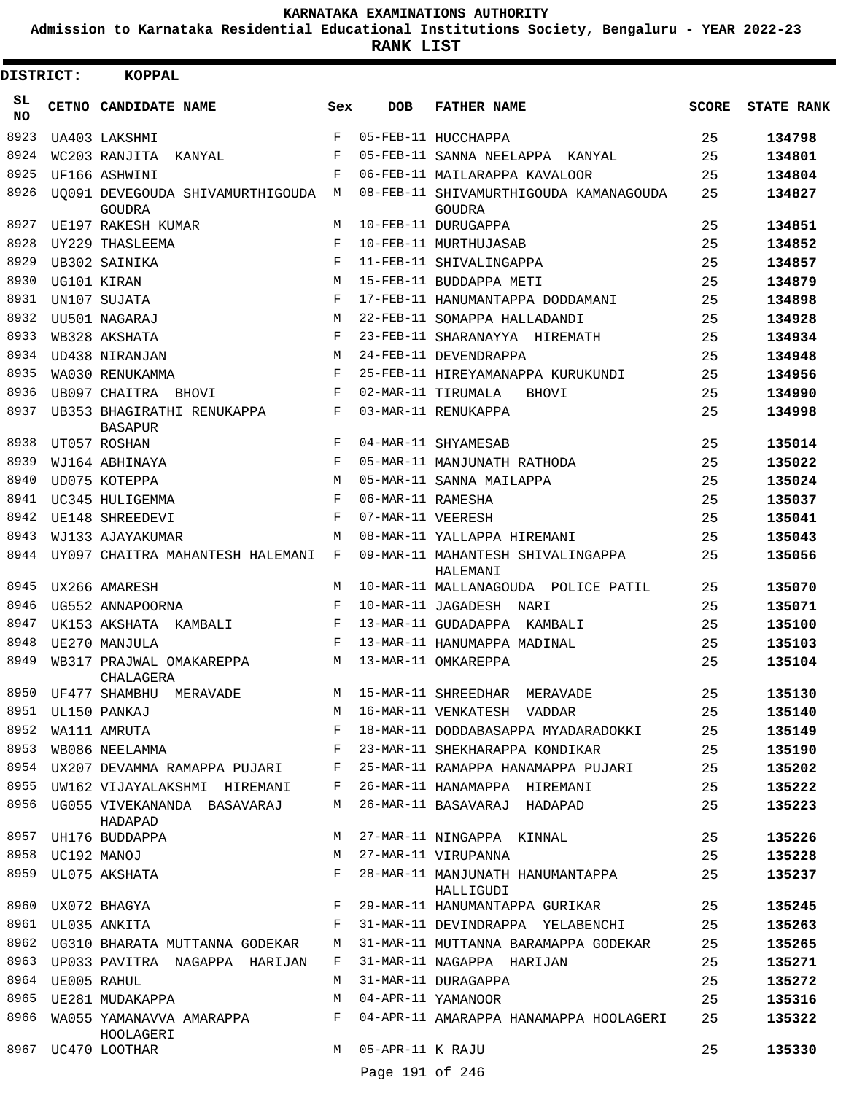**Admission to Karnataka Residential Educational Institutions Society, Bengaluru - YEAR 2022-23**

ı

**RANK LIST**

| <b>DISTRICT:</b> | <b>KOPPAL</b>                                     |            |                   |                                                  |              |                   |
|------------------|---------------------------------------------------|------------|-------------------|--------------------------------------------------|--------------|-------------------|
| SL<br><b>NO</b>  | CETNO CANDIDATE NAME                              | Sex        | <b>DOB</b>        | <b>FATHER NAME</b>                               | <b>SCORE</b> | <b>STATE RANK</b> |
| 8923             | UA403 LAKSHMI                                     | F          |                   | 05-FEB-11 HUCCHAPPA                              | 25           | 134798            |
| 8924             | WC203 RANJITA KANYAL                              | F          |                   | 05-FEB-11 SANNA NEELAPPA KANYAL                  | 25           | 134801            |
| 8925             | UF166 ASHWINI                                     | $_{\rm F}$ |                   | 06-FEB-11 MAILARAPPA KAVALOOR                    | 25           | 134804            |
| 8926             | UO091 DEVEGOUDA SHIVAMURTHIGOUDA<br><b>GOUDRA</b> | М          |                   | 08-FEB-11 SHIVAMURTHIGOUDA KAMANAGOUDA<br>GOUDRA | 25           | 134827            |
| 8927             | UE197 RAKESH KUMAR                                | М          |                   | 10-FEB-11 DURUGAPPA                              | 25           | 134851            |
| 8928             | UY229 THASLEEMA                                   | F          |                   | 10-FEB-11 MURTHUJASAB                            | 25           | 134852            |
| 8929             | <b>UB302 SAINIKA</b>                              | F          |                   | 11-FEB-11 SHIVALINGAPPA                          | 25           | 134857            |
| 8930             | UG101 KIRAN                                       | М          |                   | 15-FEB-11 BUDDAPPA METI                          | 25           | 134879            |
| 8931             | UN107 SUJATA                                      | $_{\rm F}$ |                   | 17-FEB-11 HANUMANTAPPA DODDAMANI                 | 25           | 134898            |
| 8932             | UU501 NAGARAJ                                     | М          |                   | 22-FEB-11 SOMAPPA HALLADANDI                     | 25           | 134928            |
| 8933             | WB328 AKSHATA                                     | F          |                   | 23-FEB-11 SHARANAYYA HIREMATH                    | 25           | 134934            |
| 8934             | UD438 NIRANJAN                                    | М          |                   | 24-FEB-11 DEVENDRAPPA                            | 25           | 134948            |
| 8935             | WA030 RENUKAMMA                                   | F          |                   | 25-FEB-11 HIREYAMANAPPA KURUKUNDI                | 25           | 134956            |
| 8936             | UB097 CHAITRA BHOVI                               | F          |                   | 02-MAR-11 TIRUMALA<br><b>BHOVI</b>               | 25           | 134990            |
| 8937             | UB353 BHAGIRATHI RENUKAPPA<br><b>BASAPUR</b>      | F          |                   | 03-MAR-11 RENUKAPPA                              | 25           | 134998            |
| 8938             | UT057 ROSHAN                                      | F          |                   | 04-MAR-11 SHYAMESAB                              | 25           | 135014            |
| 8939             | WJ164 ABHINAYA                                    | F          |                   | 05-MAR-11 MANJUNATH RATHODA                      | 25           | 135022            |
| 8940             | UD075 KOTEPPA                                     | M          |                   | 05-MAR-11 SANNA MAILAPPA                         | 25           | 135024            |
| 8941             | UC345 HULIGEMMA                                   | F          | 06-MAR-11 RAMESHA |                                                  | 25           | 135037            |
| 8942             | UE148 SHREEDEVI                                   | F          | 07-MAR-11 VEERESH |                                                  | 25           | 135041            |
| 8943             | WJ133 AJAYAKUMAR                                  | M          |                   | 08-MAR-11 YALLAPPA HIREMANI                      | 25           | 135043            |
| 8944             | UY097 CHAITRA MAHANTESH HALEMANI                  | F          |                   | 09-MAR-11 MAHANTESH SHIVALINGAPPA<br>HALEMANI    | 25           | 135056            |
| 8945             | UX266 AMARESH                                     | М          |                   | 10-MAR-11 MALLANAGOUDA POLICE PATIL              | 25           | 135070            |
| 8946             | UG552 ANNAPOORNA                                  | F          |                   | 10-MAR-11 JAGADESH NARI                          | 25           | 135071            |
| 8947             | UK153 AKSHATA<br>KAMBALI                          | F          |                   | 13-MAR-11 GUDADAPPA KAMBALI                      | 25           | 135100            |
| 8948             | UE270 MANJULA                                     | F          |                   | 13-MAR-11 HANUMAPPA MADINAL                      | 25           | 135103            |
| 8949             | WB317 PRAJWAL OMAKAREPPA<br>CHALAGERA             | M          |                   | 13-MAR-11 OMKAREPPA                              | 25           | 135104            |
| 8950             | UF477 SHAMBHU MERAVADE                            | М          |                   | 15-MAR-11 SHREEDHAR MERAVADE                     | 25           | 135130            |
| 8951             | UL150 PANKAJ                                      | M          |                   | 16-MAR-11 VENKATESH VADDAR                       | 25           | 135140            |
| 8952             | WA111 AMRUTA                                      | F          |                   | 18-MAR-11 DODDABASAPPA MYADARADOKKI              | 25           | 135149            |
| 8953             | WB086 NEELAMMA                                    | F          |                   | 23-MAR-11 SHEKHARAPPA KONDIKAR                   | 25           | 135190            |
| 8954             | UX207 DEVAMMA RAMAPPA PUJARI                      | F          |                   | 25-MAR-11 RAMAPPA HANAMAPPA PUJARI               | 25           | 135202            |
| 8955             | UW162 VIJAYALAKSHMI HIREMANI                      | F          |                   | 26-MAR-11 HANAMAPPA HIREMANI                     | 25           | 135222            |
| 8956             | UG055 VIVEKANANDA BASAVARAJ<br>HADAPAD            | М          |                   | 26-MAR-11 BASAVARAJ HADAPAD                      | 25           | 135223            |
| 8957             | UH176 BUDDAPPA                                    | М          |                   | 27-MAR-11 NINGAPPA KINNAL                        | 25           | 135226            |
| 8958             | UC192 MANOJ                                       | М          |                   | 27-MAR-11 VIRUPANNA                              | 25           | 135228            |
| 8959             | UL075 AKSHATA                                     | F          |                   | 28-MAR-11 MANJUNATH HANUMANTAPPA<br>HALLIGUDI    | 25           | 135237            |
| 8960             | UX072 BHAGYA                                      | F          |                   | 29-MAR-11 HANUMANTAPPA GURIKAR                   | 25           | 135245            |
| 8961             | UL035 ANKITA                                      | F          |                   | 31-MAR-11 DEVINDRAPPA YELABENCHI                 | 25           | 135263            |
| 8962             | UG310 BHARATA MUTTANNA GODEKAR                    | М          |                   | 31-MAR-11 MUTTANNA BARAMAPPA GODEKAR             | 25           | 135265            |
| 8963             | UP033 PAVITRA NAGAPPA HARIJAN                     | F          |                   | 31-MAR-11 NAGAPPA HARIJAN                        | 25           | 135271            |
| 8964             | UE005 RAHUL                                       | М          |                   | 31-MAR-11 DURAGAPPA                              | 25           | 135272            |
| 8965             | UE281 MUDAKAPPA                                   | M          |                   | 04-APR-11 YAMANOOR                               | 25           | 135316            |
| 8966             | WA055 YAMANAVVA AMARAPPA<br>HOOLAGERI             | F          |                   | 04-APR-11 AMARAPPA HANAMAPPA HOOLAGERI           | 25           | 135322            |
| 8967             | UC470 LOOTHAR                                     | М          | 05-APR-11 K RAJU  |                                                  | 25           | 135330            |
|                  |                                                   |            | Page 191 of 246   |                                                  |              |                   |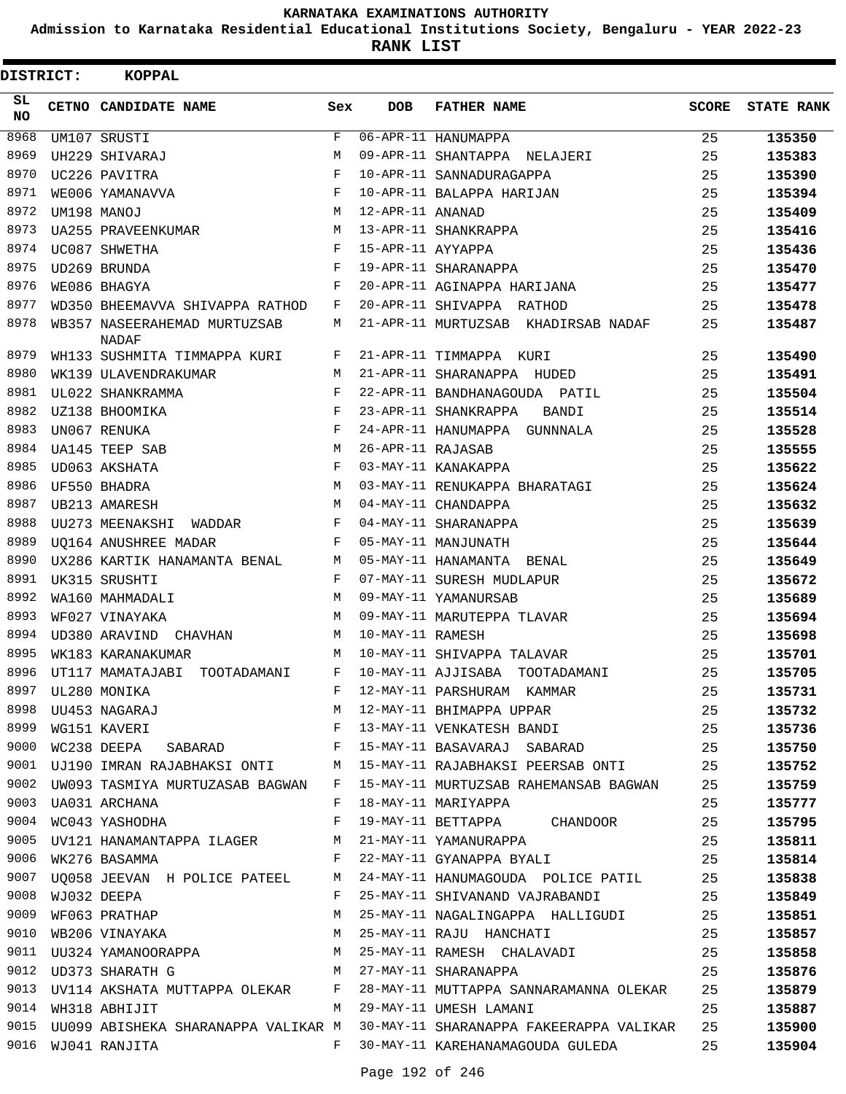**Admission to Karnataka Residential Educational Institutions Society, Bengaluru - YEAR 2022-23**

| <b>DISTRICT:</b> | <b>KOPPAL</b>                                                     |              |                   |                                                                                     |              |                   |
|------------------|-------------------------------------------------------------------|--------------|-------------------|-------------------------------------------------------------------------------------|--------------|-------------------|
| SL.<br><b>NO</b> | CETNO CANDIDATE NAME                                              | Sex          | <b>DOB</b>        | <b>FATHER NAME</b>                                                                  | <b>SCORE</b> | <b>STATE RANK</b> |
| 8968             | UM107 SRUSTI                                                      | $\mathbf{F}$ |                   | 06-APR-11 HANUMAPPA                                                                 | 25           | 135350            |
| 8969             | UH229 SHIVARAJ                                                    | M            |                   | 09-APR-11 SHANTAPPA NELAJERI                                                        | 25           | 135383            |
| 8970             | UC226 PAVITRA                                                     | F            |                   | 10-APR-11 SANNADURAGAPPA                                                            | 25           | 135390            |
| 8971             | WE006 YAMANAVVA                                                   | F            |                   | 10-APR-11 BALAPPA HARIJAN                                                           | 25           | 135394            |
| 8972             | UM198 MANOJ                                                       | M            | 12-APR-11 ANANAD  |                                                                                     | 25           | 135409            |
| 8973             | UA255 PRAVEENKUMAR                                                | M            |                   | 13-APR-11 SHANKRAPPA                                                                | 25           | 135416            |
| 8974             | UC087 SHWETHA                                                     | F            | 15-APR-11 AYYAPPA |                                                                                     | 25           | 135436            |
| 8975             | UD269 BRUNDA                                                      | $_{\rm F}$   |                   | 19-APR-11 SHARANAPPA                                                                | 25           | 135470            |
| 8976             | WE086 BHAGYA                                                      | F            |                   | 20-APR-11 AGINAPPA HARIJANA                                                         | 25           | 135477            |
| 8977             | WD350 BHEEMAVVA SHIVAPPA RATHOD                                   | F            |                   | 20-APR-11 SHIVAPPA RATHOD                                                           | 25           | 135478            |
| 8978             | WB357 NASEERAHEMAD MURTUZSAB<br>NADAF                             | М            |                   | 21-APR-11 MURTUZSAB KHADIRSAB NADAF                                                 | 25           | 135487            |
| 8979             | WH133 SUSHMITA TIMMAPPA KURI                                      | F            |                   | 21-APR-11 TIMMAPPA KURI                                                             | 25           | 135490            |
| 8980             | WK139 ULAVENDRAKUMAR                                              | M            |                   | 21-APR-11 SHARANAPPA HUDED                                                          | 25           | 135491            |
| 8981             | UL022 SHANKRAMMA                                                  | F            |                   | 22-APR-11 BANDHANAGOUDA PATIL                                                       | 25           | 135504            |
| 8982             | UZ138 BHOOMIKA                                                    | F            |                   | 23-APR-11 SHANKRAPPA<br>BANDI                                                       | 25           | 135514            |
| 8983             | UN067 RENUKA                                                      | F            |                   | 24-APR-11 HANUMAPPA GUNNNALA                                                        | 25           | 135528            |
| 8984             | UA145 TEEP SAB                                                    | M            | 26-APR-11 RAJASAB |                                                                                     | 25           | 135555            |
| 8985             | UD063 AKSHATA                                                     | F            |                   | 03-MAY-11 KANAKAPPA                                                                 | 25           | 135622            |
| 8986             | UF550 BHADRA                                                      | M            |                   | 03-MAY-11 RENUKAPPA BHARATAGI                                                       | 25           | 135624            |
| 8987             | UB213 AMARESH                                                     | M            |                   | 04-MAY-11 CHANDAPPA                                                                 | 25           | 135632            |
| 8988             | UU273 MEENAKSHI WADDAR                                            | $_{\rm F}$   |                   | 04-MAY-11 SHARANAPPA                                                                | 25           | 135639            |
| 8989             | UO164 ANUSHREE MADAR                                              | F            |                   | 05-MAY-11 MANJUNATH                                                                 | 25           | 135644            |
| 8990             | UX286 KARTIK HANAMANTA BENAL                                      | M            |                   | 05-MAY-11 HANAMANTA BENAL                                                           | 25           | 135649            |
| 8991             | UK315 SRUSHTI                                                     | F            |                   | 07-MAY-11 SURESH MUDLAPUR                                                           | 25           | 135672            |
| 8992             | WA160 MAHMADALI                                                   | M            |                   | 09-MAY-11 YAMANURSAB                                                                | 25           | 135689            |
| 8993             | WF027 VINAYAKA                                                    | M            |                   | 09-MAY-11 MARUTEPPA TLAVAR                                                          | 25           | 135694            |
| 8994             | UD380 ARAVIND CHAVHAN                                             | M            | 10-MAY-11 RAMESH  |                                                                                     | 25           | 135698            |
| 8995             | WK183 KARANAKUMAR                                                 | M            |                   | 10-MAY-11 SHIVAPPA TALAVAR                                                          | 25           | 135701            |
| 8996             | UT117 MAMATAJABI TOOTADAMANI                                      | F            |                   | 10-MAY-11 AJJISABA TOOTADAMANI                                                      | 25           | 135705            |
| 8997             |                                                                   |              |                   | 12-MAY-11 PARSHURAM KAMMAR                                                          | 25           | 135731            |
| 8998             |                                                                   |              |                   | M 12-MAY-11 BHIMAPPA UPPAR                                                          | 25           | 135732            |
| 8999             | UL280 MONIKA<br>UU453 NAGARAJ M<br>WG151 KAVERI F<br>TG000 TTTL T |              |                   | 13-MAY-11 VENKATESH BANDI 25                                                        |              | 135736            |
|                  |                                                                   |              |                   | 9000 WC238 DEEPA SABARAD F 15-MAY-11 BASAVARAJ SABARAD 25                           |              | 135750            |
|                  |                                                                   |              |                   | 9001 UJ190 IMRAN RAJABHAKSI ONTI MAIS-MAY-11 RAJABHAKSI PEERSAB ONTI 25             |              | 135752            |
|                  |                                                                   |              |                   | 9002 UW093 TASMIYA MURTUZASAB BAGWAN F 15-MAY-11 MURTUZSAB RAHEMANSAB BAGWAN 25     |              | 135759            |
|                  | 9003 UA031 ARCHANA                                                | $\mathbf{F}$ |                   | 18-MAY-11 MARIYAPPA                                                                 | 25           | 135777            |
|                  | 9004 WC043 YASHODHA                                               | $\mathbf{F}$ |                   | 19-MAY-11 BETTAPPA CHANDOOR 25                                                      |              | 135795            |
|                  | 9005 UV121 HANAMANTAPPA ILAGER M 21-MAY-11 YAMANURAPPA            |              |                   | 25                                                                                  |              | 135811            |
|                  | 9006 WK276 BASAMMA F                                              |              |                   | 22-MAY-11 GYANAPPA BYALI 25                                                         |              | 135814            |
|                  |                                                                   |              |                   | 9007 UQ058 JEEVAN H POLICE PATEEL M 24-MAY-11 HANUMAGOUDA POLICE PATIL 25           |              | 135838            |
|                  | 9008 WJ032 DEEPA                                                  | $F$ and $F$  |                   | 25-MAY-11 SHIVANAND VAJRABANDI 25                                                   |              | 135849            |
| 9009             | WF063 PRATHAP                                                     | M            |                   | 25-MAY-11 NAGALINGAPPA HALLIGUDI 25                                                 |              | 135851            |
|                  |                                                                   |              |                   | 9010 WB206 VINAYAKA 25-MAY-11 RAJU HANCHATI 25                                      |              | 135857            |
|                  |                                                                   |              |                   | 9011 UU324 YAMANOORAPPA M 25-MAY-11 RAMESH CHALAVADI 25                             |              | 135858            |
|                  |                                                                   |              |                   | 9012 UD373 SHARATH G<br>9012 UD373 SHARATH G M 27-MAY-11 SHARANAPPA 25              |              | 135876            |
|                  |                                                                   |              |                   | 9013 UV114 AKSHATA MUTTAPPA OLEKAR F 28-MAY-11 MUTTAPPA SANNARAMANNA OLEKAR 25      |              | 135879            |
|                  |                                                                   |              |                   | 9014 WH318 ABHIJIT TWESH LAMANI 25                                                  |              | 135887            |
|                  |                                                                   |              |                   | 9015 UU099 ABISHEKA SHARANAPPA VALIKAR M 30-MAY-11 SHARANAPPA FAKEERAPPA VALIKAR 25 |              | 135900            |
|                  | 9016 WJ041 RANJITA                                                | $F$ and      |                   | 30-MAY-11 KAREHANAMAGOUDA GULEDA                                                    | 25           | 135904            |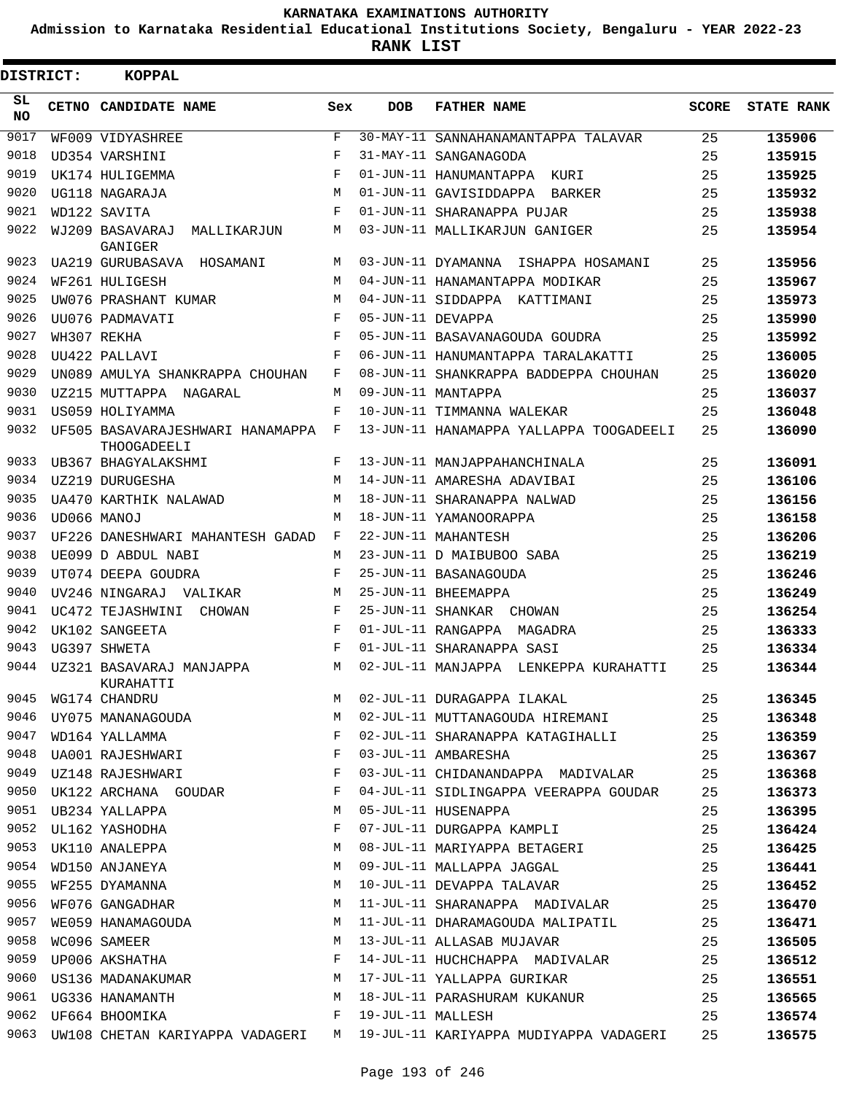**Admission to Karnataka Residential Educational Institutions Society, Bengaluru - YEAR 2022-23**

**RANK LIST**

| DISTRICT:  | <b>KOPPAL</b>                                                                      |            |                   |                                                                               |              |                   |
|------------|------------------------------------------------------------------------------------|------------|-------------------|-------------------------------------------------------------------------------|--------------|-------------------|
| SL.<br>NO. | CETNO CANDIDATE NAME                                                               | Sex        | <b>DOB</b>        | <b>FATHER NAME</b>                                                            | <b>SCORE</b> | <b>STATE RANK</b> |
| 9017       | WF009 VIDYASHREE                                                                   | F          |                   | 30-MAY-11 SANNAHANAMANTAPPA TALAVAR                                           | 25           | 135906            |
| 9018       | UD354 VARSHINI                                                                     | F          |                   | 31-MAY-11 SANGANAGODA                                                         | 25           | 135915            |
| 9019       | UK174 HULIGEMMA                                                                    | $_{\rm F}$ |                   | 01-JUN-11 HANUMANTAPPA<br>KURI                                                | 25           | 135925            |
| 9020       | UG118 NAGARAJA                                                                     | M          |                   | 01-JUN-11 GAVISIDDAPPA<br>BARKER                                              | 25           | 135932            |
| 9021       | WD122 SAVITA                                                                       | $_{\rm F}$ |                   | 01-JUN-11 SHARANAPPA PUJAR                                                    | 25           | 135938            |
| 9022       | WJ209 BASAVARAJ<br>MALLIKARJUN<br>GANIGER                                          | M          |                   | 03-JUN-11 MALLIKARJUN GANIGER                                                 | 25           | 135954            |
| 9023       | UA219 GURUBASAVA HOSAMANI                                                          | M          |                   | 03-JUN-11 DYAMANNA ISHAPPA HOSAMANI                                           | 25           | 135956            |
| 9024       | WF261 HULIGESH                                                                     | M          |                   | 04-JUN-11 HANAMANTAPPA MODIKAR                                                | 25           | 135967            |
| 9025       | UW076 PRASHANT KUMAR                                                               | M          |                   | 04-JUN-11 SIDDAPPA KATTIMANI                                                  | 25           | 135973            |
| 9026       | UU076 PADMAVATI                                                                    | F          | 05-JUN-11 DEVAPPA |                                                                               | 25           | 135990            |
| 9027       | WH307 REKHA                                                                        | F          |                   | 05-JUN-11 BASAVANAGOUDA GOUDRA                                                | 25           | 135992            |
| 9028       | UU422 PALLAVI                                                                      | F          |                   | 06-JUN-11 HANUMANTAPPA TARALAKATTI                                            | 25           | 136005            |
| 9029       | UN089 AMULYA SHANKRAPPA CHOUHAN                                                    | F          |                   | 08-JUN-11 SHANKRAPPA BADDEPPA CHOUHAN                                         | 25           | 136020            |
| 9030       | UZ215 MUTTAPPA NAGARAL                                                             | M          |                   | 09-JUN-11 MANTAPPA                                                            | 25           | 136037            |
| 9031       | US059 HOLIYAMMA                                                                    | $_{\rm F}$ |                   | 10-JUN-11 TIMMANNA WALEKAR                                                    | 25           | 136048            |
| 9032       | UF505 BASAVARAJESHWARI HANAMAPPA<br>THOOGADEELI                                    | F          |                   | 13-JUN-11 HANAMAPPA YALLAPPA TOOGADEELI                                       | 25           | 136090            |
| 9033       | UB367 BHAGYALAKSHMI                                                                | F          |                   | 13-JUN-11 MANJAPPAHANCHINALA                                                  | 25           | 136091            |
| 9034       | UZ219 DURUGESHA                                                                    | M          |                   | 14-JUN-11 AMARESHA ADAVIBAI                                                   | 25           | 136106            |
| 9035       | UA470 KARTHIK NALAWAD                                                              | M          |                   | 18-JUN-11 SHARANAPPA NALWAD                                                   | 25           | 136156            |
| 9036       | UD066 MANOJ                                                                        | M          |                   | 18-JUN-11 YAMANOORAPPA                                                        | 25           | 136158            |
| 9037       | UF226 DANESHWARI MAHANTESH GADAD                                                   | F          |                   | 22-JUN-11 MAHANTESH                                                           | 25           | 136206            |
| 9038       | UE099 D ABDUL NABI                                                                 | M          |                   | 23-JUN-11 D MAIBUBOO SABA                                                     | 25           | 136219            |
| 9039       | UT074 DEEPA GOUDRA                                                                 | $_{\rm F}$ |                   | 25-JUN-11 BASANAGOUDA                                                         | 25           | 136246            |
| 9040       | UV246 NINGARAJ VALIKAR                                                             | M          |                   | 25-JUN-11 BHEEMAPPA                                                           | 25           | 136249            |
| 9041       | UC472 TEJASHWINI<br>CHOWAN                                                         | F          |                   | 25-JUN-11 SHANKAR<br>CHOWAN                                                   | 25           | 136254            |
| 9042       | UK102 SANGEETA                                                                     | $_{\rm F}$ |                   | 01-JUL-11 RANGAPPA MAGADRA                                                    | 25           | 136333            |
| 9043       | UG397 SHWETA                                                                       | F          |                   | 01-JUL-11 SHARANAPPA SASI                                                     | 25           | 136334            |
| 9044       | UZ321 BASAVARAJ MANJAPPA<br>KURAHATTI                                              | M          |                   | 02-JUL-11 MANJAPPA LENKEPPA KURAHATTI                                         | 25           | 136344            |
| 9045       | WG174 CHANDRU                                                                      | M          |                   | 02-JUL-11 DURAGAPPA ILAKAL                                                    | 25           | 136345            |
| 9046       | UY075 MANANAGOUDA                                                                  | M          |                   | 02-JUL-11 MUTTANAGOUDA HIREMANI 25                                            |              | 136348            |
| 9047       | WD164 YALLAMMA                                                                     | F          |                   | 02-JUL-11 SHARANAPPA KATAGIHALLI 25                                           |              | 136359            |
| 9048       | UA001 RAJESHWARI                                                                   | F          |                   | 03-JUL-11 AMBARESHA                                                           | 25           | 136367            |
| 9049       | UZ148 RAJESHWARI                                                                   | F          |                   | 03-JUL-11 CHIDANANDAPPA MADIVALAR                                             | 25           | 136368            |
| 9050       | UK122 ARCHANA GOUDAR                                                               | F          |                   | 04-JUL-11 SIDLINGAPPA VEERAPPA GOUDAR                                         | 25           | 136373            |
|            | 9051 UB234 YALLAPPA                                                                | М          |                   | 05-JUL-11 HUSENAPPA                                                           | 25           | 136395            |
|            | 9052 UL162 YASHODHA                                                                | F          |                   | 07-JUL-11 DURGAPPA KAMPLI                                                     | 25           | 136424            |
| 9053       | UK110 ANALEPPA                                                                     | М          |                   | 08-JUL-11 MARIYAPPA BETAGERI                                                  | 25           | 136425            |
| 9054       | WD150 ANJANEYA                                                                     | М          |                   | 09-JUL-11 MALLAPPA JAGGAL                                                     | 25           | 136441            |
| 9055       | WF255 DYAMANNA                                                                     | M          |                   | 10-JUL-11 DEVAPPA TALAVAR                                                     | 25           | 136452            |
| 9056       | WF076 GANGADHAR                                                                    | М          |                   | 11-JUL-11 SHARANAPPA MADIVALAR 25                                             |              | 136470            |
| 9057       | WE059 HANAMAGOUDA                                                                  | М          |                   | 11-JUL-11 DHARAMAGOUDA MALIPATIL                                              | 25           | 136471            |
| 9058       | WC096 SAMEER                                                                       | М          |                   | 13-JUL-11 ALLASAB MUJAVAR                                                     | 25           | 136505            |
| 9059       | UP006 AKSHATHA                                                                     | F          |                   | 14-JUL-11 HUCHCHAPPA MADIVALAR                                                | 25           | 136512            |
|            | 9060 US136 MADANAKUMAR                                                             | M          |                   | 17-JUL-11 YALLAPPA GURIKAR                                                    | 25           | 136551            |
|            | 9061 UG336 HANAMANTH                                                               | М          |                   | 18-JUL-11 PARASHURAM KUKANUR                                                  | 25           | 136565            |
|            | 9062 UF664 BHOOMIKA<br>$\mathbf{F}$ . The contract of the contract of $\mathbf{F}$ |            | 19-JUL-11 MALLESH |                                                                               | 25           | 136574            |
|            |                                                                                    |            |                   | 9063 UW108 CHETAN KARIYAPPA VADAGERI M 19-JUL-11 KARIYAPPA MUDIYAPPA VADAGERI | 25           | 136575            |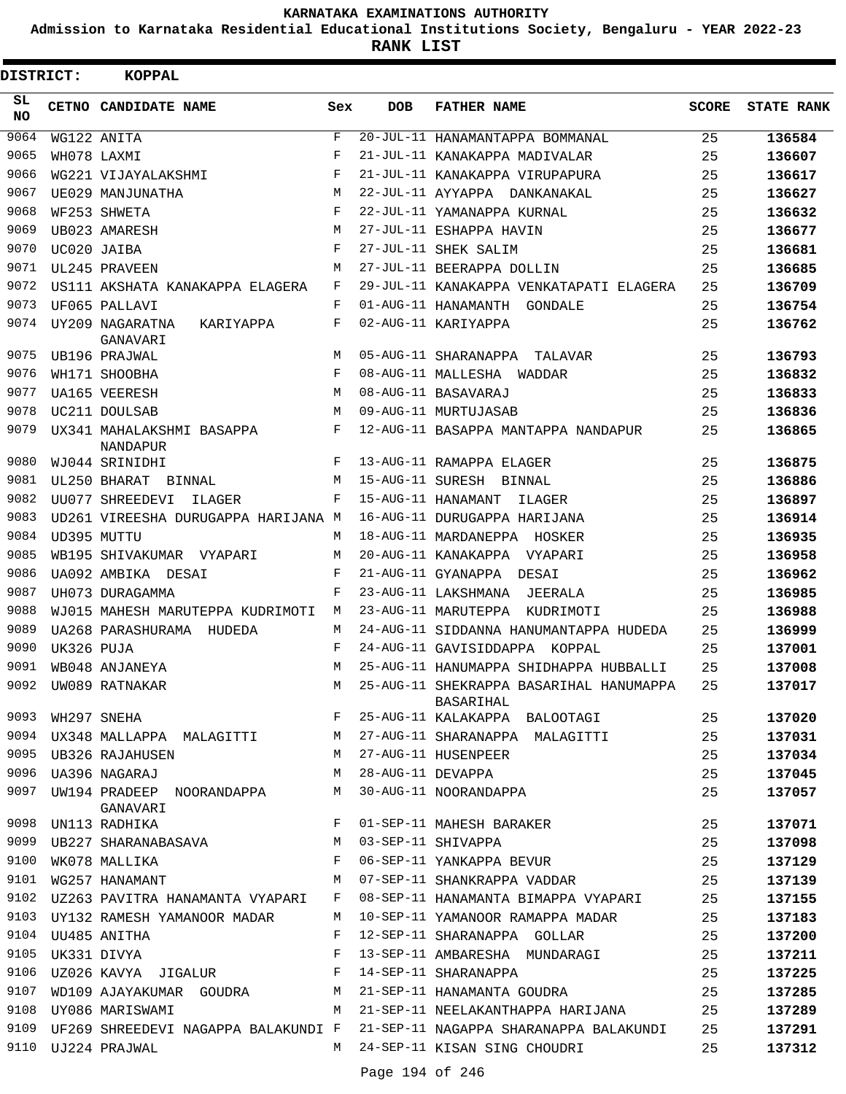**Admission to Karnataka Residential Educational Institutions Society, Bengaluru - YEAR 2022-23**

| DISTRICT: |                  | <b>KOPPAL</b>                                                                                                                                                                                                                                     |                    |                     |                                                                                 |              |                   |
|-----------|------------------|---------------------------------------------------------------------------------------------------------------------------------------------------------------------------------------------------------------------------------------------------|--------------------|---------------------|---------------------------------------------------------------------------------|--------------|-------------------|
| SL<br>NO. |                  | CETNO CANDIDATE NAME                                                                                                                                                                                                                              | Sex                | <b>DOB</b>          | <b>FATHER NAME</b>                                                              | <b>SCORE</b> | <b>STATE RANK</b> |
| 9064      |                  | WG122 ANITA                                                                                                                                                                                                                                       | $\mathbf{F}% _{0}$ |                     | 20-JUL-11 HANAMANTAPPA BOMMANAL                                                 | 25           | 136584            |
| 9065      |                  | WH078 LAXMI                                                                                                                                                                                                                                       | F                  |                     | 21-JUL-11 KANAKAPPA MADIVALAR                                                   | 25           | 136607            |
| 9066      |                  | WG221 VIJAYALAKSHMI                                                                                                                                                                                                                               | F                  |                     | 21-JUL-11 KANAKAPPA VIRUPAPURA                                                  | 25           | 136617            |
| 9067      |                  | UE029 MANJUNATHA                                                                                                                                                                                                                                  | M                  |                     | 22-JUL-11 AYYAPPA DANKANAKAL                                                    | 25           | 136627            |
| 9068      |                  | WF253 SHWETA                                                                                                                                                                                                                                      | F                  |                     | 22-JUL-11 YAMANAPPA KURNAL                                                      | 25           | 136632            |
| 9069      |                  | UB023 AMARESH                                                                                                                                                                                                                                     | М                  |                     | 27-JUL-11 ESHAPPA HAVIN                                                         | 25           | 136677            |
| 9070      |                  | UC020 JAIBA                                                                                                                                                                                                                                       | $_{\rm F}$         |                     | 27-JUL-11 SHEK SALIM                                                            | 25           | 136681            |
| 9071      |                  | UL245 PRAVEEN                                                                                                                                                                                                                                     | M                  |                     | 27-JUL-11 BEERAPPA DOLLIN                                                       | 25           | 136685            |
| 9072      |                  | US111 AKSHATA KANAKAPPA ELAGERA                                                                                                                                                                                                                   | F                  |                     | 29-JUL-11 KANAKAPPA VENKATAPATI ELAGERA                                         | 25           | 136709            |
| 9073      |                  | UF065 PALLAVI                                                                                                                                                                                                                                     | F                  |                     | 01-AUG-11 HANAMANTH GONDALE                                                     | 25           | 136754            |
| 9074      |                  | UY209 NAGARATNA<br>KARIYAPPA<br>GANAVARI                                                                                                                                                                                                          | F                  |                     | 02-AUG-11 KARIYAPPA                                                             | 25           | 136762            |
| 9075      |                  | UB196 PRAJWAL                                                                                                                                                                                                                                     | M                  |                     | 05-AUG-11 SHARANAPPA TALAVAR                                                    | 25           | 136793            |
| 9076      |                  | WH171 SHOOBHA                                                                                                                                                                                                                                     | $_{\rm F}$         |                     | 08-AUG-11 MALLESHA WADDAR                                                       | 25           | 136832            |
| 9077      |                  | UA165 VEERESH                                                                                                                                                                                                                                     | M                  |                     | 08-AUG-11 BASAVARAJ                                                             | 25           | 136833            |
| 9078      |                  | UC211 DOULSAB                                                                                                                                                                                                                                     | M                  |                     | 09-AUG-11 MURTUJASAB                                                            | 25           | 136836            |
| 9079      |                  | UX341 MAHALAKSHMI BASAPPA<br>NANDAPUR                                                                                                                                                                                                             | F                  |                     | 12-AUG-11 BASAPPA MANTAPPA NANDAPUR                                             | 25           | 136865            |
| 9080      |                  | WJ044 SRINIDHI                                                                                                                                                                                                                                    | F                  |                     | 13-AUG-11 RAMAPPA ELAGER                                                        | 25           | 136875            |
| 9081      |                  | UL250 BHARAT BINNAL                                                                                                                                                                                                                               | М                  |                     | 15-AUG-11 SURESH BINNAL                                                         | 25           | 136886            |
| 9082      |                  | UU077 SHREEDEVI<br>ILAGER                                                                                                                                                                                                                         | F                  |                     | 15-AUG-11 HANAMANT<br>ILAGER                                                    | 25           | 136897            |
| 9083      |                  | UD261 VIREESHA DURUGAPPA HARIJANA M                                                                                                                                                                                                               |                    |                     | 16-AUG-11 DURUGAPPA HARIJANA                                                    | 25           | 136914            |
| 9084      |                  | UD395 MUTTU                                                                                                                                                                                                                                       | М                  |                     | 18-AUG-11 MARDANEPPA HOSKER                                                     | 25           | 136935            |
| 9085      |                  | WB195 SHIVAKUMAR VYAPARI                                                                                                                                                                                                                          | M                  |                     | 20-AUG-11 KANAKAPPA VYAPARI                                                     | 25           | 136958            |
| 9086      |                  | UA092 AMBIKA DESAI                                                                                                                                                                                                                                | F                  |                     | 21-AUG-11 GYANAPPA DESAI                                                        | 25           | 136962            |
| 9087      |                  | UH073 DURAGAMMA                                                                                                                                                                                                                                   | F                  |                     | 23-AUG-11 LAKSHMANA<br>JEERALA                                                  | 25           | 136985            |
| 9088      |                  | WJ015 MAHESH MARUTEPPA KUDRIMOTI                                                                                                                                                                                                                  | М                  |                     | 23-AUG-11 MARUTEPPA KUDRIMOTI                                                   | 25           | 136988            |
| 9089      |                  | UA268 PARASHURAMA HUDEDA                                                                                                                                                                                                                          | М                  |                     | 24-AUG-11 SIDDANNA HANUMANTAPPA HUDEDA                                          | 25           | 136999            |
| 9090      | UK326 PUJA       |                                                                                                                                                                                                                                                   | F                  |                     | 24-AUG-11 GAVISIDDAPPA KOPPAL                                                   | 25           | 137001            |
| 9091      |                  | WB048 ANJANEYA                                                                                                                                                                                                                                    | M                  |                     | 25-AUG-11 HANUMAPPA SHIDHAPPA HUBBALLI                                          | 25           | 137008            |
| 9092      |                  | UW089 RATNAKAR                                                                                                                                                                                                                                    | M                  |                     | 25-AUG-11 SHEKRAPPA BASARIHAL HANUMAPPA<br>BASARIHAL                            | 25           | 137017            |
| 9093      |                  | $\mathbf F$ . The set of the set of the set of the set of the set of the set of the set of the set of the set of the set of the set of the set of the set of the set of the set of the set of the set of the set of the set of the<br>WH297 SNEHA |                    |                     | 25-AUG-11 KALAKAPPA BALOOTAGI                                                   | 25           | 137020            |
|           |                  |                                                                                                                                                                                                                                                   |                    |                     | 9094 UX348 MALLAPPA MALAGITTI M 27-AUG-11 SHARANAPPA MALAGITTI                  | 25           | 137031            |
|           |                  | 9095 UB326 RAJAHUSEN                                                                                                                                                                                                                              |                    |                     | M 27-AUG-11 HUSENPEER                                                           | 25           | 137034            |
|           |                  | 9096 UA396 NAGARAJ                                                                                                                                                                                                                                |                    | M 28-AUG-11 DEVAPPA |                                                                                 | 25           | 137045            |
| 9097      |                  | UW194 PRADEEP NOORANDAPPA M<br>GANAVARI                                                                                                                                                                                                           |                    |                     | 30-AUG-11 NOORANDAPPA                                                           | 25           | 137057            |
| 9098      |                  | $\mathbf{F}$<br>UN113 RADHIKA                                                                                                                                                                                                                     |                    |                     | 01-SEP-11 MAHESH BARAKER                                                        | 25           | 137071            |
| 9099      |                  | UB227 SHARANABASAVA M 03-SEP-11 SHIVAPPA                                                                                                                                                                                                          |                    |                     |                                                                                 | 25           | 137098            |
| 9100      |                  | $\mathbf{F}$<br>WK078 MALLIKA                                                                                                                                                                                                                     |                    |                     | 06-SEP-11 YANKAPPA BEVUR                                                        | 25           | 137129            |
|           |                  | 9101 WG257 HANAMANT                                                                                                                                                                                                                               | M                  |                     | 07-SEP-11 SHANKRAPPA VADDAR                                                     | 25           | 137139            |
|           |                  | 9102 UZ263 PAVITRA HANAMANTA VYAPARI                                                                                                                                                                                                              |                    |                     | F 08-SEP-11 HANAMANTA BIMAPPA VYAPARI                                           | 25           | 137155            |
|           |                  | 9103 UY132 RAMESH YAMANOOR MADAR                                                                                                                                                                                                                  |                    |                     | M 10-SEP-11 YAMANOOR RAMAPPA MADAR                                              | 25           | 137183            |
|           |                  | 9104 UU485 ANITHA                                                                                                                                                                                                                                 |                    |                     | F 12-SEP-11 SHARANAPPA GOLLAR                                                   | 25           | 137200            |
|           | 9105 UK331 DIVYA | $\mathbb{F}^{\times}$ . $\mathbb{F}^{\times}$                                                                                                                                                                                                     |                    |                     | 13-SEP-11 AMBARESHA MUNDARAGI                                                   | 25           | 137211            |
| 9106      |                  | UZ026 KAVYA JIGALUR F                                                                                                                                                                                                                             |                    |                     | 14-SEP-11 SHARANAPPA                                                            | 25           | 137225            |
| 9107      |                  |                                                                                                                                                                                                                                                   |                    |                     | WD109 AJAYAKUMAR GOUDRA M 21-SEP-11 HANAMANTA GOUDRA                            | 25           | 137285            |
| 9108      |                  | M <sub>1</sub><br>UY086 MARISWAMI                                                                                                                                                                                                                 |                    |                     | 21-SEP-11 NEELAKANTHAPPA HARIJANA                                               | 25           | 137289            |
|           |                  |                                                                                                                                                                                                                                                   |                    |                     | 9109 UF269 SHREEDEVI NAGAPPA BALAKUNDI F 21-SEP-11 NAGAPPA SHARANAPPA BALAKUNDI | 25           | 137291            |
|           |                  | 9110 UJ224 PRAJWAL                                                                                                                                                                                                                                |                    |                     | M 24-SEP-11 KISAN SING CHOUDRI                                                  | 25           | 137312            |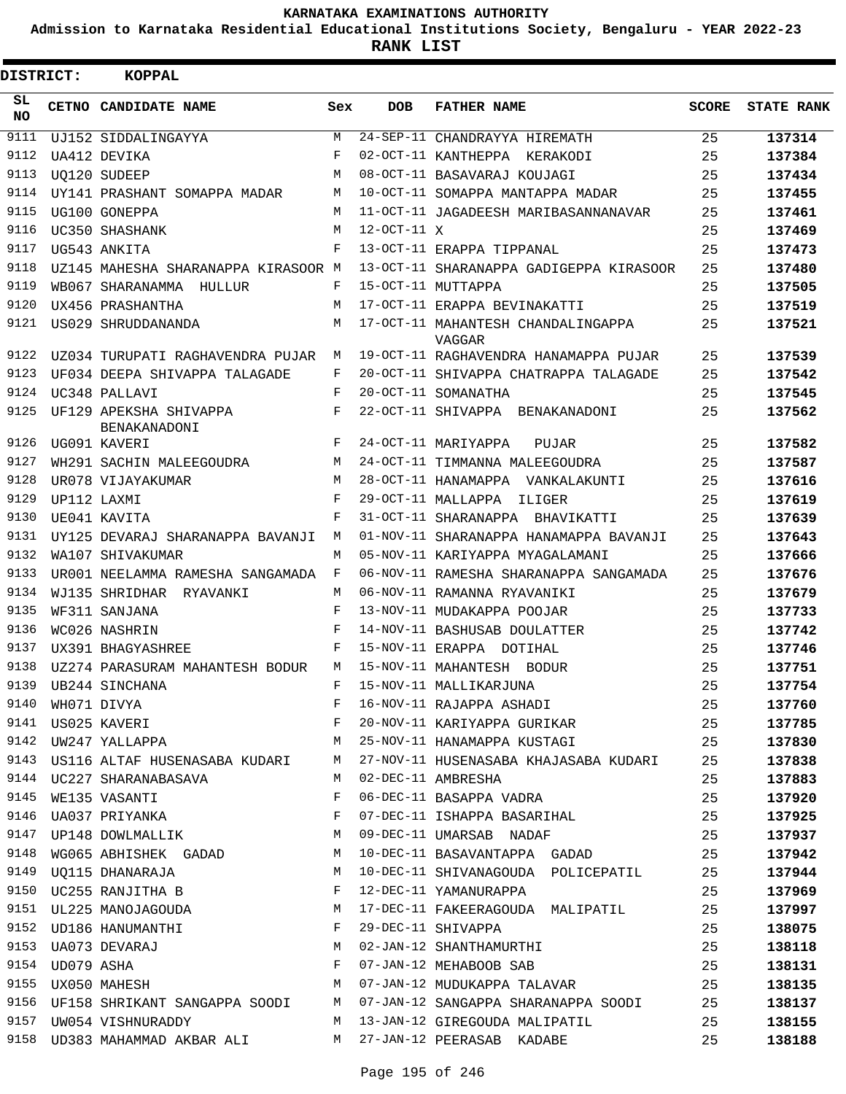**Admission to Karnataka Residential Educational Institutions Society, Bengaluru - YEAR 2022-23**

**RANK LIST**

| DISTRICT:       | <b>KOPPAL</b>                                       |     |                     |                                                                                                                                                                                                       |              |                   |
|-----------------|-----------------------------------------------------|-----|---------------------|-------------------------------------------------------------------------------------------------------------------------------------------------------------------------------------------------------|--------------|-------------------|
| SL<br><b>NO</b> | CETNO CANDIDATE NAME                                | Sex | <b>DOB</b>          | <b>FATHER NAME</b>                                                                                                                                                                                    | <b>SCORE</b> | <b>STATE RANK</b> |
| 9111            | UJ152 SIDDALINGAYYA                                 | М   |                     | 24-SEP-11 CHANDRAYYA HIREMATH                                                                                                                                                                         | 25           | 137314            |
| 9112            | UA412 DEVIKA                                        | F   |                     | 02-OCT-11 KANTHEPPA KERAKODI                                                                                                                                                                          | 25           | 137384            |
| 9113            | <b>UO120 SUDEEP</b>                                 | M   |                     | 08-OCT-11 BASAVARAJ KOUJAGI                                                                                                                                                                           | 25           | 137434            |
| 9114            | UY141 PRASHANT SOMAPPA MADAR                        | M   |                     | 10-OCT-11 SOMAPPA MANTAPPA MADAR                                                                                                                                                                      | 25           | 137455            |
| 9115            | UG100 GONEPPA                                       | M   |                     | 11-OCT-11 JAGADEESH MARIBASANNANAVAR                                                                                                                                                                  | 25           | 137461            |
| 9116            | UC350 SHASHANK                                      | M   | $12$ -OCT-11 $\chi$ |                                                                                                                                                                                                       | 25           | 137469            |
| 9117            | UG543 ANKITA                                        | F   |                     | 13-OCT-11 ERAPPA TIPPANAL                                                                                                                                                                             | 25           | 137473            |
| 9118            | UZ145 MAHESHA SHARANAPPA KIRASOOR M                 |     |                     | 13-OCT-11 SHARANAPPA GADIGEPPA KIRASOOR                                                                                                                                                               | 25           | 137480            |
| 9119            | WB067 SHARANAMMA HULLUR                             | F   |                     | 15-OCT-11 MUTTAPPA                                                                                                                                                                                    | 25           | 137505            |
| 9120            | UX456 PRASHANTHA                                    | M   |                     | 17-OCT-11 ERAPPA BEVINAKATTI                                                                                                                                                                          | 25           | 137519            |
| 9121            | US029 SHRUDDANANDA                                  | M   |                     | 17-OCT-11 MAHANTESH CHANDALINGAPPA<br>VAGGAR                                                                                                                                                          | 25           | 137521            |
| 9122            | UZ034 TURUPATI RAGHAVENDRA PUJAR                    | М   |                     | 19-OCT-11 RAGHAVENDRA HANAMAPPA PUJAR                                                                                                                                                                 | 25           | 137539            |
| 9123            | UF034 DEEPA SHIVAPPA TALAGADE                       | F   |                     | 20-OCT-11 SHIVAPPA CHATRAPPA TALAGADE                                                                                                                                                                 | 25           | 137542            |
| 9124            | UC348 PALLAVI                                       | F   |                     | 20-OCT-11 SOMANATHA                                                                                                                                                                                   | 25           | 137545            |
| 9125            | UF129 APEKSHA SHIVAPPA<br>BENAKANADONI              | F   |                     | 22-OCT-11 SHIVAPPA BENAKANADONI                                                                                                                                                                       | 25           | 137562            |
| 9126            | UG091 KAVERI                                        | F   |                     | 24-OCT-11 MARIYAPPA<br>PUJAR                                                                                                                                                                          | 25           | 137582            |
| 9127            | WH291 SACHIN MALEEGOUDRA                            | M   |                     | 24-OCT-11 TIMMANNA MALEEGOUDRA                                                                                                                                                                        | 25           | 137587            |
| 9128            | UR078 VIJAYAKUMAR                                   | M   |                     | 28-OCT-11 HANAMAPPA VANKALAKUNTI                                                                                                                                                                      | 25           | 137616            |
| 9129            | UP112 LAXMI                                         | F   |                     | 29-OCT-11 MALLAPPA<br>ILIGER                                                                                                                                                                          | 25           | 137619            |
| 9130            | UE041 KAVITA                                        | F   |                     | 31-OCT-11 SHARANAPPA BHAVIKATTI                                                                                                                                                                       | 25           | 137639            |
| 9131            | UY125 DEVARAJ SHARANAPPA BAVANJI                    | M   |                     | 01-NOV-11 SHARANAPPA HANAMAPPA BAVANJI                                                                                                                                                                | 25           | 137643            |
| 9132            | WA107 SHIVAKUMAR                                    | M   |                     | 05-NOV-11 KARIYAPPA MYAGALAMANI                                                                                                                                                                       | 25           | 137666            |
| 9133            | UR001 NEELAMMA RAMESHA SANGAMADA                    | F   |                     | 06-NOV-11 RAMESHA SHARANAPPA SANGAMADA                                                                                                                                                                | 25           | 137676            |
| 9134            | WJ135 SHRIDHAR RYAVANKI                             | М   |                     | 06-NOV-11 RAMANNA RYAVANIKI                                                                                                                                                                           | 25           | 137679            |
| 9135            | WF311 SANJANA                                       | F   |                     | 13-NOV-11 MUDAKAPPA POOJAR                                                                                                                                                                            | 25           | 137733            |
| 9136            | WC026 NASHRIN                                       | F   |                     | 14-NOV-11 BASHUSAB DOULATTER                                                                                                                                                                          | 25           | 137742            |
| 9137            | UX391 BHAGYASHREE                                   | F   |                     | 15-NOV-11 ERAPPA DOTIHAL                                                                                                                                                                              | 25           | 137746            |
| 9138            | UZ274 PARASURAM MAHANTESH BODUR                     | M   |                     | 15-NOV-11 MAHANTESH BODUR                                                                                                                                                                             | 25           | 137751            |
|                 | 9139 UB244 SINCHANA                                 |     |                     | F 15-NOV-11 MALLIKARJUNA                                                                                                                                                                              | 25           | 137754            |
|                 |                                                     |     |                     |                                                                                                                                                                                                       |              | 137760            |
|                 |                                                     |     |                     |                                                                                                                                                                                                       |              | 137785            |
|                 |                                                     |     |                     |                                                                                                                                                                                                       |              | 137830            |
|                 |                                                     |     |                     | 9143 US116 ALTAF HUSENASABA KUDARI M 27-NOV-11 HUSENASABA KHAJASABA KUDARI 25                                                                                                                         |              | 137838            |
|                 | 9144 UC227 SHARANABASAVA M 02-DEC-11 AMBRESHA       |     |                     |                                                                                                                                                                                                       | 25           | 137883            |
|                 | 9145 WE135 VASANTI<br>$\mathbf{F}$ and $\mathbf{F}$ |     |                     | 06-DEC-11 BASAPPA VADRA                                                                                                                                                                               | 25           | 137920            |
|                 | 9146 UA037 PRIYANKA F                               |     |                     | 07-DEC-11 ISHAPPA BASARIHAL 25                                                                                                                                                                        |              | 137925            |
|                 | 9147 UP148 DOWLMALLIK M 09-DEC-11 UMARSAB NADAF     |     |                     | 25                                                                                                                                                                                                    |              | 137937            |
|                 |                                                     |     |                     | 9148 WG065 ABHISHEK GADAD M 10-DEC-11 BASAVANTAPPA GADAD 25                                                                                                                                           |              | 137942            |
|                 |                                                     |     |                     | 9149 UQ115 DHANARAJA M 10-DEC-11 SHIVANAGOUDA POLICEPATIL 25                                                                                                                                          |              | 137944            |
|                 | 9150 UC255 RANJITHA B F                             |     |                     | 12-DEC-11 YAMANURAPPA 25                                                                                                                                                                              |              | 137969            |
|                 |                                                     |     |                     | 9151 UL225 MANOJAGOUDA M 17-DEC-11 FAKEERAGOUDA MALIPATIL 25                                                                                                                                          |              | 137997            |
|                 |                                                     |     |                     |                                                                                                                                                                                                       |              | 138075            |
|                 |                                                     |     |                     | 9152 UD186 HANUMANTHI F 29-DEC-11 SHIVAPPA 25<br>9153 UA073 DEVARAJ M 02-JAN-12 SHANTHAMURTHI 25<br>9154 UD079 ASHA F 07-JAN-12 MEHABOOB SAB 25<br>9155 UX050 MAHESH M 07-JAN-12 MUDUKAPPA TALAVAR 25 |              | 138118            |
|                 |                                                     |     |                     |                                                                                                                                                                                                       |              | 138131            |
|                 |                                                     |     |                     |                                                                                                                                                                                                       |              | 138135            |
|                 |                                                     |     |                     | 9156 UF158 SHRIKANT SANGAPPA SOODI M 07-JAN-12 SANGAPPA SHARANAPPA SOODI 25                                                                                                                           |              | 138137            |
|                 |                                                     |     |                     | 9157 UW054 VISHNURADDY M 13-JAN-12 GIREGOUDA MALIPATIL 25                                                                                                                                             |              | 138155            |
|                 |                                                     |     |                     | 9158 UD383 MAHAMMAD AKBAR ALI M 27-JAN-12 PEERASAB KADABE 25                                                                                                                                          |              | 138188            |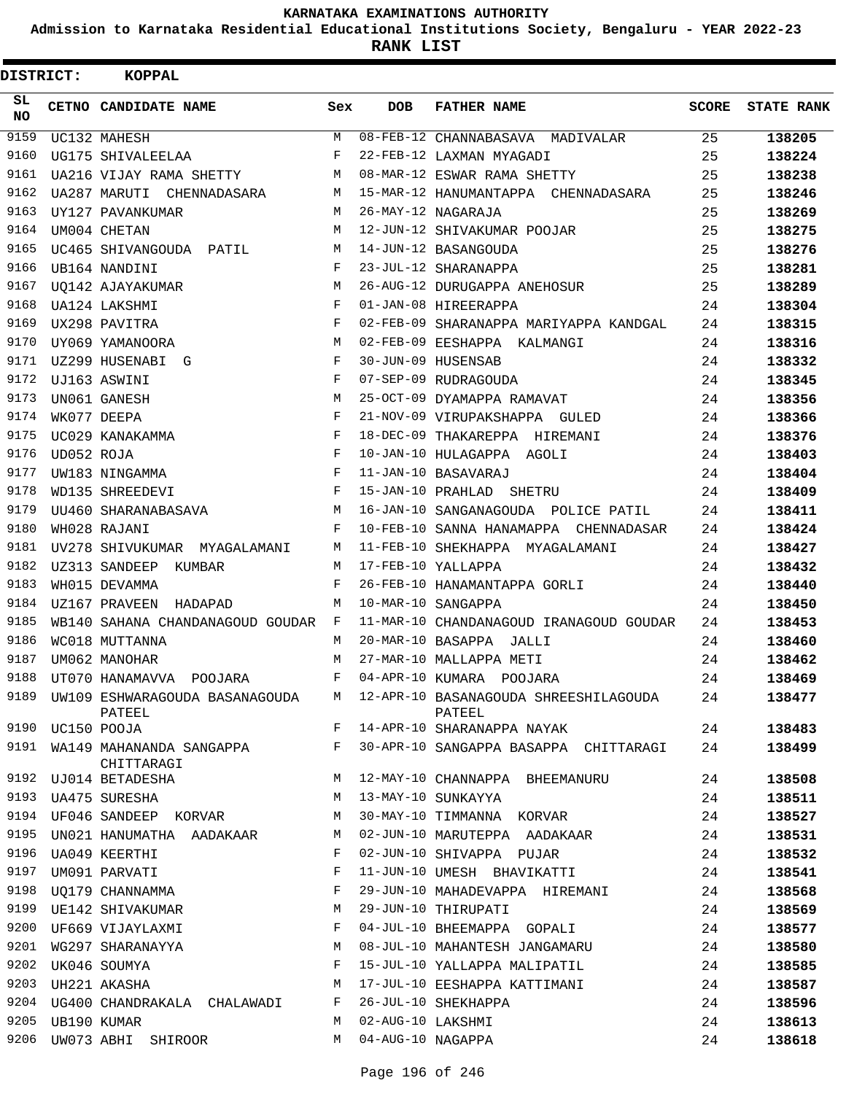**Admission to Karnataka Residential Educational Institutions Society, Bengaluru - YEAR 2022-23**

**RANK LIST**

| DISTRICT:       |            | <b>KOPPAL</b>                                 |              |                   |                                                 |              |                   |
|-----------------|------------|-----------------------------------------------|--------------|-------------------|-------------------------------------------------|--------------|-------------------|
| SL<br><b>NO</b> |            | CETNO CANDIDATE NAME                          | Sex          | <b>DOB</b>        | <b>FATHER NAME</b>                              | <b>SCORE</b> | <b>STATE RANK</b> |
| 9159            |            | UC132 MAHESH                                  | M            |                   | 08-FEB-12 CHANNABASAVA MADIVALAR                | 25           | 138205            |
| 9160            |            | UG175 SHIVALEELAA                             | F            |                   | 22-FEB-12 LAXMAN MYAGADI                        | 25           | 138224            |
| 9161            |            | UA216 VIJAY RAMA SHETTY                       | M            |                   | 08-MAR-12 ESWAR RAMA SHETTY                     | 25           | 138238            |
| 9162            |            | UA287 MARUTI CHENNADASARA                     | М            |                   | 15-MAR-12 HANUMANTAPPA CHENNADASARA             | 25           | 138246            |
| 9163            |            | UY127 PAVANKUMAR                              | M            |                   | 26-MAY-12 NAGARAJA                              | 25           | 138269            |
| 9164            |            | UM004 CHETAN                                  | M            |                   | 12-JUN-12 SHIVAKUMAR POOJAR                     | 25           | 138275            |
| 9165            |            | UC465 SHIVANGOUDA PATIL                       | М            |                   | 14-JUN-12 BASANGOUDA                            | 25           | 138276            |
| 9166            |            | UB164 NANDINI                                 | F            |                   | 23-JUL-12 SHARANAPPA                            | 25           | 138281            |
| 9167            |            | UO142 AJAYAKUMAR                              | М            |                   | 26-AUG-12 DURUGAPPA ANEHOSUR                    | 25           | 138289            |
| 9168            |            | UA124 LAKSHMI                                 | F            |                   | 01-JAN-08 HIREERAPPA                            | 24           | 138304            |
| 9169            |            | UX298 PAVITRA                                 | F            |                   | 02-FEB-09 SHARANAPPA MARIYAPPA KANDGAL          | 24           | 138315            |
| 9170            |            | UY069 YAMANOORA                               | M            |                   | 02-FEB-09 EESHAPPA KALMANGI                     | 24           | 138316            |
| 9171            |            | UZ299 HUSENABI G                              | F            |                   | 30-JUN-09 HUSENSAB                              | 24           | 138332            |
| 9172            |            | UJ163 ASWINI                                  | F            |                   | 07-SEP-09 RUDRAGOUDA                            | 24           | 138345            |
| 9173            |            | UN061 GANESH                                  | M            |                   | 25-OCT-09 DYAMAPPA RAMAVAT                      | 24           | 138356            |
| 9174            |            | WK077 DEEPA                                   | F            |                   | 21-NOV-09 VIRUPAKSHAPPA GULED                   | 24           | 138366            |
| 9175            |            | UC029 KANAKAMMA                               | F            |                   | 18-DEC-09 THAKAREPPA HIREMANI                   | 24           | 138376            |
| 9176            | UD052 ROJA |                                               | F            |                   | 10-JAN-10 HULAGAPPA AGOLI                       | 24           | 138403            |
| 9177            |            | UW183 NINGAMMA                                | F            |                   | 11-JAN-10 BASAVARAJ                             | 24           | 138404            |
| 9178            |            | WD135 SHREEDEVI                               | F            |                   | 15-JAN-10 PRAHLAD SHETRU                        | 24           | 138409            |
| 9179            |            | UU460 SHARANABASAVA                           | M            |                   | 16-JAN-10 SANGANAGOUDA POLICE PATIL             | 24           | 138411            |
| 9180            |            | WH028 RAJANI                                  | F            |                   | 10-FEB-10 SANNA HANAMAPPA CHENNADASAR           | 24           | 138424            |
| 9181            |            | UV278 SHIVUKUMAR MYAGALAMANI                  | М            |                   | 11-FEB-10 SHEKHAPPA MYAGALAMANI                 | 24           | 138427            |
| 9182            |            | UZ313 SANDEEP<br>KUMBAR                       | М            |                   | 17-FEB-10 YALLAPPA                              | 24           | 138432            |
| 9183            |            | WH015 DEVAMMA                                 | F            |                   | 26-FEB-10 HANAMANTAPPA GORLI                    | 24           | 138440            |
| 9184            |            | UZ167 PRAVEEN HADAPAD                         | M            |                   | 10-MAR-10 SANGAPPA                              | 24           | 138450            |
| 9185            |            | WB140 SAHANA CHANDANAGOUD GOUDAR              | $\mathbf{F}$ |                   | 11-MAR-10 CHANDANAGOUD IRANAGOUD GOUDAR         | 24           | 138453            |
| 9186            |            | WC018 MUTTANNA                                | M            |                   | 20-MAR-10 BASAPPA JALLI                         | 24           | 138460            |
| 9187            |            | UM062 MANOHAR                                 | M            |                   | 27-MAR-10 MALLAPPA METI                         | 24           | 138462            |
| 9188            |            | UT070 HANAMAVVA POOJARA                       | F            |                   | 04-APR-10 KUMARA POOJARA                        | 24           | 138469            |
|                 |            | 9189 UW109 ESHWARAGOUDA BASANAGOUDA<br>PATEEL | M            |                   | 12-APR-10 BASANAGOUDA SHREESHILAGOUDA<br>PATEEL | 24           | 138477            |
| 9190            |            | UC150 POOJA                                   | F            |                   | 14-APR-10 SHARANAPPA NAYAK                      | 24           | 138483            |
|                 |            | 9191 WA149 MAHANANDA SANGAPPA<br>CHITTARAGI   | F            |                   | 30-APR-10 SANGAPPA BASAPPA CHITTARAGI           | 24           | 138499            |
|                 |            | 9192 UJ014 BETADESHA                          | M            |                   | 12-MAY-10 CHANNAPPA BHEEMANURU                  | 24           | 138508            |
| 9193            |            | <b>UA475 SURESHA</b>                          | М            |                   | 13-MAY-10 SUNKAYYA                              | 24           | 138511            |
| 9194            |            | UF046 SANDEEP KORVAR                          | М            |                   | 30-MAY-10 TIMMANNA KORVAR                       | 24           | 138527            |
| 9195            |            | UN021 HANUMATHA AADAKAAR                      | М            |                   | 02-JUN-10 MARUTEPPA AADAKAAR                    | 24           | 138531            |
| 9196            |            | UA049 KEERTHI                                 | F            |                   | 02-JUN-10 SHIVAPPA PUJAR                        | 24           | 138532            |
| 9197            |            | UM091 PARVATI                                 | F            |                   | 11-JUN-10 UMESH BHAVIKATTI                      | 24           | 138541            |
| 9198            |            | UQ179 CHANNAMMA                               | F            |                   | 29-JUN-10 MAHADEVAPPA HIREMANI                  | 24           | 138568            |
| 9199            |            | UE142 SHIVAKUMAR                              | М            |                   | 29-JUN-10 THIRUPATI                             | 24           | 138569            |
| 9200            |            | UF669 VIJAYLAXMI                              | F            |                   | 04-JUL-10 BHEEMAPPA GOPALI                      | 24           | 138577            |
| 9201            |            | WG297 SHARANAYYA                              | М            |                   | 08-JUL-10 MAHANTESH JANGAMARU                   | 24           | 138580            |
| 9202            |            | UK046 SOUMYA                                  | F            |                   | 15-JUL-10 YALLAPPA MALIPATIL                    | 24           | 138585            |
| 9203            |            | UH221 AKASHA                                  | М            |                   | 17-JUL-10 EESHAPPA KATTIMANI                    | 24           | 138587            |
| 9204            |            | UG400 CHANDRAKALA CHALAWADI                   | F            |                   | 26-JUL-10 SHEKHAPPA                             | 24           | 138596            |
| 9205            |            | UB190 KUMAR                                   | M            | 02-AUG-10 LAKSHMI |                                                 | 24           | 138613            |
| 9206            |            | UW073 ABHI SHIROOR                            | M            | 04-AUG-10 NAGAPPA |                                                 | 24           | 138618            |
|                 |            |                                               |              |                   |                                                 |              |                   |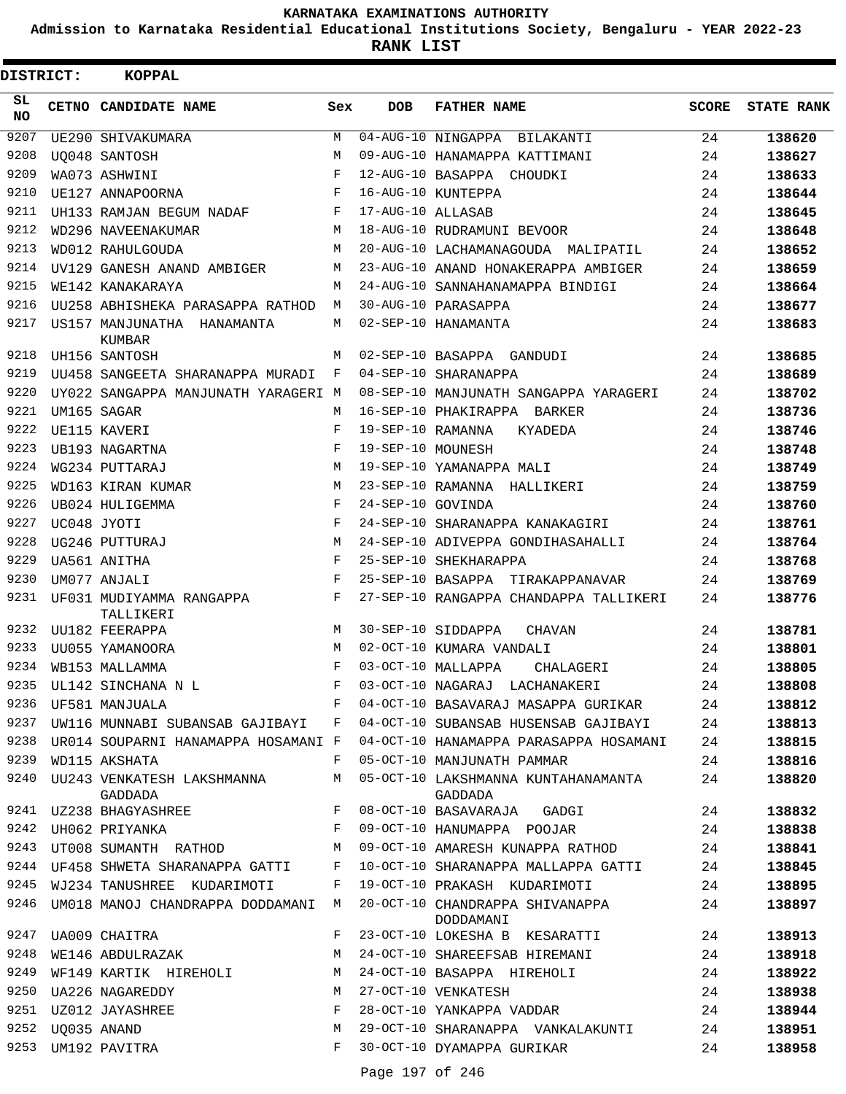**Admission to Karnataka Residential Educational Institutions Society, Bengaluru - YEAR 2022-23**

**RANK LIST**

| DISTRICT:        | <b>KOPPAL</b>                                               |       |                   |                                                |              |                   |
|------------------|-------------------------------------------------------------|-------|-------------------|------------------------------------------------|--------------|-------------------|
| SL.<br><b>NO</b> | CETNO CANDIDATE NAME                                        | Sex   | <b>DOB</b>        | <b>FATHER NAME</b>                             | <b>SCORE</b> | <b>STATE RANK</b> |
| 9207             | UE290 SHIVAKUMARA                                           | M     |                   | 04-AUG-10 NINGAPPA BILAKANTI                   | 24           | 138620            |
| 9208             | UO048 SANTOSH                                               | M     |                   | 09-AUG-10 HANAMAPPA KATTIMANI                  | 24           | 138627            |
| 9209             | WA073 ASHWINI                                               | F     |                   | 12-AUG-10 BASAPPA CHOUDKI                      | 24           | 138633            |
| 9210             | UE127 ANNAPOORNA                                            | F     |                   | 16-AUG-10 KUNTEPPA                             | 24           | 138644            |
| 9211             | UH133 RAMJAN BEGUM NADAF                                    | F     | 17-AUG-10 ALLASAB |                                                | 24           | 138645            |
| 9212             | WD296 NAVEENAKUMAR                                          | М     |                   | 18-AUG-10 RUDRAMUNI BEVOOR                     | 24           | 138648            |
| 9213             | WD012 RAHULGOUDA                                            | M     |                   | 20-AUG-10 LACHAMANAGOUDA MALIPATIL             | 24           | 138652            |
| 9214             | UV129 GANESH ANAND AMBIGER                                  | М     |                   | 23-AUG-10 ANAND HONAKERAPPA AMBIGER            | 24           | 138659            |
| 9215             | WE142 KANAKARAYA                                            | M     |                   | 24-AUG-10 SANNAHANAMAPPA BINDIGI               | 24           | 138664            |
| 9216             | UU258 ABHISHEKA PARASAPPA RATHOD                            | M     |                   | 30-AUG-10 PARASAPPA                            | 24           | 138677            |
| 9217             | US157 MANJUNATHA HANAMANTA<br>KUMBAR                        | M     |                   | 02-SEP-10 HANAMANTA                            | 24           | 138683            |
| 9218             | UH156 SANTOSH                                               | М     |                   | 02-SEP-10 BASAPPA GANDUDI                      | 24           | 138685            |
| 9219             | UU458 SANGEETA SHARANAPPA MURADI                            | F     |                   | 04-SEP-10 SHARANAPPA                           | 24           | 138689            |
| 9220             | UY022 SANGAPPA MANJUNATH YARAGERI M                         |       |                   | 08-SEP-10 MANJUNATH SANGAPPA YARAGERI          | 24           | 138702            |
| 9221             | UM165 SAGAR                                                 | М     |                   | 16-SEP-10 PHAKIRAPPA BARKER                    | 24           | 138736            |
| 9222             | UE115 KAVERI                                                | F     | 19-SEP-10 RAMANNA | KYADEDA                                        | 24           | 138746            |
| 9223             | UB193 NAGARTNA                                              | F     | 19-SEP-10 MOUNESH |                                                | 24           | 138748            |
| 9224             | WG234 PUTTARAJ                                              | М     |                   | 19-SEP-10 YAMANAPPA MALI                       | 24           | 138749            |
| 9225             | WD163 KIRAN KUMAR                                           | М     |                   | 23-SEP-10 RAMANNA HALLIKERI                    | 24           | 138759            |
| 9226             | UB024 HULIGEMMA                                             | F     | 24-SEP-10 GOVINDA |                                                | 24           | 138760            |
| 9227             | UC048 JYOTI                                                 | F     |                   | 24-SEP-10 SHARANAPPA KANAKAGIRI                | 24           | 138761            |
| 9228             | UG246 PUTTURAJ                                              | М     |                   | 24-SEP-10 ADIVEPPA GONDIHASAHALLI              | 24           | 138764            |
| 9229             | UA561 ANITHA                                                | F     |                   | 25-SEP-10 SHEKHARAPPA                          | 24           | 138768            |
| 9230             | UM077 ANJALI                                                | F     |                   | 25-SEP-10 BASAPPA TIRAKAPPANAVAR               | 24           | 138769            |
| 9231             | UF031 MUDIYAMMA RANGAPPA<br>TALLIKERI                       | F     |                   | 27-SEP-10 RANGAPPA CHANDAPPA TALLIKERI         | 24           | 138776            |
| 9232             | UU182 FEERAPPA                                              | M     |                   | 30-SEP-10 SIDDAPPA<br>CHAVAN                   | 24           | 138781            |
| 9233             | UU055 YAMANOORA                                             | M     |                   | 02-OCT-10 KUMARA VANDALI                       | 24           | 138801            |
| 9234             | WB153 MALLAMMA                                              | F     |                   | 03-OCT-10 MALLAPPA<br>CHALAGERI                | 24           | 138805            |
|                  | 9235 UL142 SINCHANA N L                                     | $F =$ |                   | 03-OCT-10 NAGARAJ LACHANAKERI                  | 24           | 138808            |
|                  | 9236 UF581 MANJUALA                                         | F     |                   | 04-OCT-10 BASAVARAJ MASAPPA GURIKAR            | 24           | 138812            |
| 9237             | UW116 MUNNABI SUBANSAB GAJIBAYI F                           |       |                   | 04-OCT-10 SUBANSAB HUSENSAB GAJIBAYI           | 24           | 138813            |
| 9238             | UR014 SOUPARNI HANAMAPPA HOSAMANI F                         |       |                   | 04-OCT-10 HANAMAPPA PARASAPPA HOSAMANI         | 24           | 138815            |
| 9239             | WD115 AKSHATA                                               | F     |                   | 05-OCT-10 MANJUNATH PAMMAR                     | 24           | 138816            |
| 9240             | UU243 VENKATESH LAKSHMANNA<br>GADDADA                       | M     |                   | 05-OCT-10 LAKSHMANNA KUNTAHANAMANTA<br>GADDADA | 24           | 138820            |
| 9241             | $\mathbf{F}$ . The set of $\mathbf{F}$<br>UZ238 BHAGYASHREE |       |                   | 08-OCT-10 BASAVARAJA GADGI                     | 24           | 138832            |
| 9242             | UH062 PRIYANKA                                              | F     |                   | 09-OCT-10 HANUMAPPA POOJAR                     | 24           | 138838            |
| 9243             | UT008 SUMANTH RATHOD                                        | М     |                   | 09-OCT-10 AMARESH KUNAPPA RATHOD               | 24           | 138841            |
| 9244             | UF458 SHWETA SHARANAPPA GATTI                               | F     |                   | 10-OCT-10 SHARANAPPA MALLAPPA GATTI            | 24           | 138845            |
| 9245             | WJ234 TANUSHREE KUDARIMOTI                                  | F     |                   | 19-OCT-10 PRAKASH KUDARIMOTI                   | 24           | 138895            |
| 9246             | UM018 MANOJ CHANDRAPPA DODDAMANI                            | M     |                   | 20-OCT-10 CHANDRAPPA SHIVANAPPA<br>DODDAMANI   | 24           | 138897            |
| 9247             | UA009 CHAITRA                                               | F     |                   | 23-OCT-10 LOKESHA B KESARATTI                  | 24           | 138913            |
| 9248             | WE146 ABDULRAZAK                                            | М     |                   | 24-OCT-10 SHAREEFSAB HIREMANI                  | 24           | 138918            |
| 9249             | WF149 KARTIK HIREHOLI                                       | М     |                   | 24-OCT-10 BASAPPA HIREHOLI                     | 24           | 138922            |
| 9250             | UA226 NAGAREDDY                                             | М     |                   | 27-OCT-10 VENKATESH                            | 24           | 138938            |
| 9251             | UZ012 JAYASHREE                                             | F     |                   | 28-OCT-10 YANKAPPA VADDAR                      | 24           | 138944            |
| 9252             | UQ035 ANAND                                                 | М     |                   | 29-OCT-10 SHARANAPPA VANKALAKUNTI              | 24           | 138951            |
| 9253             | UM192 PAVITRA                                               | F     |                   | 30-OCT-10 DYAMAPPA GURIKAR                     | 24           | 138958            |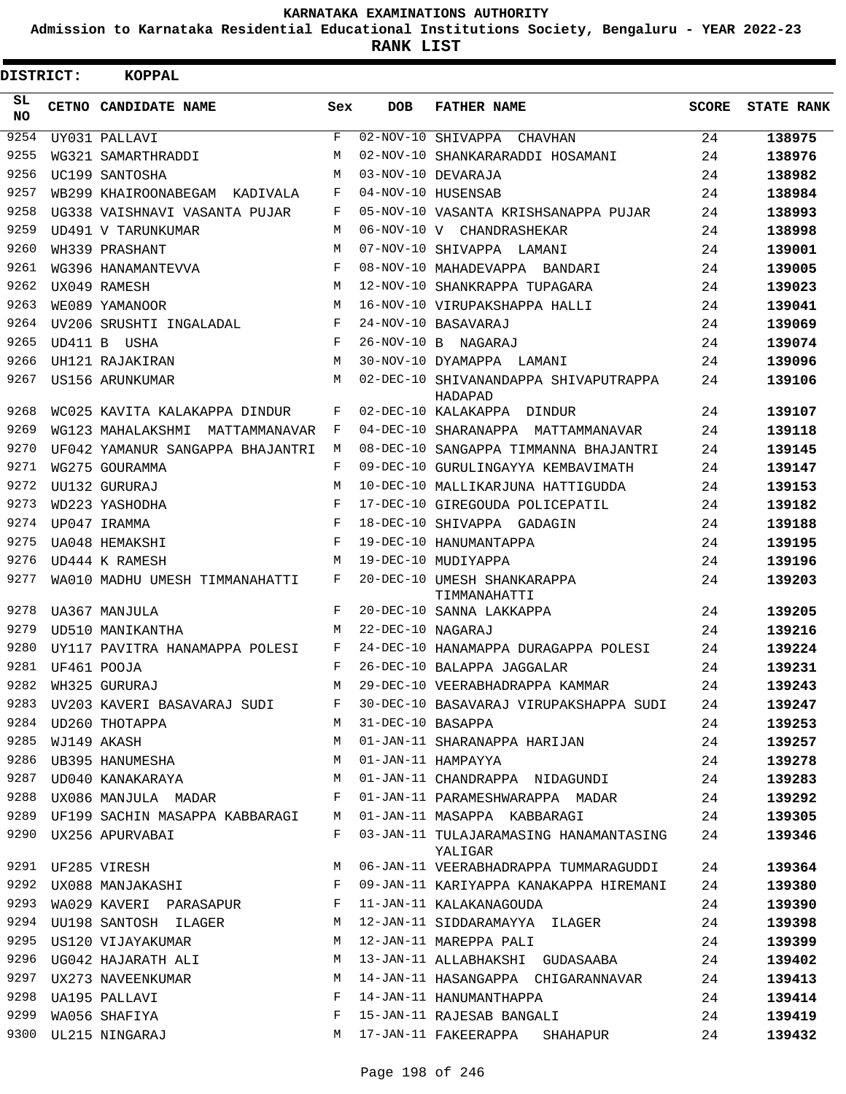**Admission to Karnataka Residential Educational Institutions Society, Bengaluru - YEAR 2022-23**

**RANK LIST**

| DISTRICT:       | <b>KOPPAL</b>                    |     |                   |                                                   |              |                   |
|-----------------|----------------------------------|-----|-------------------|---------------------------------------------------|--------------|-------------------|
| SL<br><b>NO</b> | CETNO CANDIDATE NAME             | Sex | <b>DOB</b>        | <b>FATHER NAME</b>                                | <b>SCORE</b> | <b>STATE RANK</b> |
| 9254            | UY031 PALLAVI                    | F   |                   | 02-NOV-10 SHIVAPPA CHAVHAN                        | 24           | 138975            |
| 9255            | WG321 SAMARTHRADDI               | M   |                   | 02-NOV-10 SHANKARARADDI HOSAMANI                  | 24           | 138976            |
| 9256            | UC199 SANTOSHA                   | М   |                   | 03-NOV-10 DEVARAJA                                | 24           | 138982            |
| 9257            | WB299 KHAIROONABEGAM KADIVALA    | F   |                   | 04-NOV-10 HUSENSAB                                | 24           | 138984            |
| 9258            | UG338 VAISHNAVI VASANTA PUJAR    | F   |                   | 05-NOV-10 VASANTA KRISHSANAPPA PUJAR              | 24           | 138993            |
| 9259            | UD491 V TARUNKUMAR               | М   |                   | 06-NOV-10 V CHANDRASHEKAR                         | 24           | 138998            |
| 9260            | WH339 PRASHANT                   | M   |                   | 07-NOV-10 SHIVAPPA LAMANI                         | 24           | 139001            |
| 9261            | WG396 HANAMANTEVVA               | F   |                   | 08-NOV-10 MAHADEVAPPA BANDARI                     | 24           | 139005            |
| 9262            | UX049 RAMESH                     | М   |                   | 12-NOV-10 SHANKRAPPA TUPAGARA                     | 24           | 139023            |
| 9263            | WE089 YAMANOOR                   | M   |                   | 16-NOV-10 VIRUPAKSHAPPA HALLI                     | 24           | 139041            |
| 9264            | UV206 SRUSHTI INGALADAL          | F   |                   | 24-NOV-10 BASAVARAJ                               | 24           | 139069            |
| 9265            | UD411 B USHA                     | F   |                   | 26-NOV-10 B NAGARAJ                               | 24           | 139074            |
| 9266            | UH121 RAJAKIRAN                  | M   |                   | 30-NOV-10 DYAMAPPA LAMANI                         | 24           | 139096            |
| 9267            | US156 ARUNKUMAR                  | M   |                   | 02-DEC-10 SHIVANANDAPPA SHIVAPUTRAPPA<br>HADAPAD  | 24           | 139106            |
| 9268            | WC025 KAVITA KALAKAPPA DINDUR    | F   |                   | 02-DEC-10 KALAKAPPA DINDUR                        | 24           | 139107            |
| 9269            | WG123 MAHALAKSHMI MATTAMMANAVAR  | F   |                   | 04-DEC-10 SHARANAPPA MATTAMMANAVAR                | 24           | 139118            |
| 9270            | UF042 YAMANUR SANGAPPA BHAJANTRI | М   |                   | 08-DEC-10 SANGAPPA TIMMANNA BHAJANTRI             | 24           | 139145            |
| 9271            | WG275 GOURAMMA                   | F   |                   | 09-DEC-10 GURULINGAYYA KEMBAVIMATH                | 24           | 139147            |
| 9272            | UU132 GURURAJ                    | М   |                   | 10-DEC-10 MALLIKARJUNA HATTIGUDDA                 | 24           | 139153            |
| 9273            | WD223 YASHODHA                   | F   |                   | 17-DEC-10 GIREGOUDA POLICEPATIL                   | 24           | 139182            |
| 9274            | UP047 IRAMMA                     | F   |                   | 18-DEC-10 SHIVAPPA GADAGIN                        | 24           | 139188            |
| 9275            | UA048 HEMAKSHI                   | F   |                   | 19-DEC-10 HANUMANTAPPA                            | 24           | 139195            |
| 9276            | UD444 K RAMESH                   | M   |                   | 19-DEC-10 MUDIYAPPA                               | 24           | 139196            |
| 9277            | WA010 MADHU UMESH TIMMANAHATTI   | F   |                   | 20-DEC-10 UMESH SHANKARAPPA<br>TIMMANAHATTI       | 24           | 139203            |
| 9278            | UA367 MANJULA                    | F   |                   | 20-DEC-10 SANNA LAKKAPPA                          | 24           | 139205            |
| 9279            | UD510 MANIKANTHA                 | М   | 22-DEC-10 NAGARAJ |                                                   | 24           | 139216            |
| 9280            | UY117 PAVITRA HANAMAPPA POLESI   | F   |                   | 24-DEC-10 HANAMAPPA DURAGAPPA POLESI              | 24           | 139224            |
| 9281            | UF461 POOJA                      | F   |                   | 26-DEC-10 BALAPPA JAGGALAR                        | 24           | 139231            |
|                 | 9282 WH325 GURURAJ               | M   |                   | 29-DEC-10 VEERABHADRAPPA KAMMAR                   | 24           | 139243            |
| 9283            | UV203 KAVERI BASAVARAJ SUDI      | F   |                   | 30-DEC-10 BASAVARAJ VIRUPAKSHAPPA SUDI            | 24           | 139247            |
| 9284            | UD260 THOTAPPA                   | М   | 31-DEC-10 BASAPPA |                                                   | 24           | 139253            |
| 9285            | WJ149 AKASH                      | М   |                   | 01-JAN-11 SHARANAPPA HARIJAN                      | 24           | 139257            |
| 9286            | UB395 HANUMESHA                  | М   |                   | 01-JAN-11 HAMPAYYA                                | 24           | 139278            |
| 9287            | UD040 KANAKARAYA                 | М   |                   | 01-JAN-11 CHANDRAPPA NIDAGUNDI                    | 24           | 139283            |
| 9288            | UX086 MANJULA MADAR              | F   |                   | 01-JAN-11 PARAMESHWARAPPA MADAR                   | 24           | 139292            |
| 9289            | UF199 SACHIN MASAPPA KABBARAGI M |     |                   | 01-JAN-11 MASAPPA KABBARAGI                       | 24           | 139305            |
| 9290            | UX256 APURVABAI                  | F   |                   | 03-JAN-11 TULAJARAMASING HANAMANTASING<br>YALIGAR | 24           | 139346            |
|                 | 9291 UF285 VIRESH                | М   |                   | 06-JAN-11 VEERABHADRAPPA TUMMARAGUDDI             | 24           | 139364            |
|                 | 9292 UX088 MANJAKASHI            | F   |                   | 09-JAN-11 KARIYAPPA KANAKAPPA HIREMANI            | 24           | 139380            |
| 9293            | WA029 KAVERI PARASAPUR           | F   |                   | 11-JAN-11 KALAKANAGOUDA                           | 24           | 139390            |
| 9294            | UU198 SANTOSH ILAGER             | M   |                   | 12-JAN-11 SIDDARAMAYYA ILAGER                     | 24           | 139398            |
| 9295            | US120 VIJAYAKUMAR                | M   |                   | 12-JAN-11 MAREPPA PALI                            | 24           | 139399            |
| 9296            | UG042 HAJARATH ALI               | М   |                   | 13-JAN-11 ALLABHAKSHI GUDASAABA                   | 24           | 139402            |
| 9297            | UX273 NAVEENKUMAR                | M   |                   | 14-JAN-11 HASANGAPPA CHIGARANNAVAR                | 24           | 139413            |
| 9298            | UA195 PALLAVI                    | F   |                   | 14-JAN-11 HANUMANTHAPPA                           | 24           | 139414            |
| 9299            | WA056 SHAFIYA                    | F   |                   | 15-JAN-11 RAJESAB BANGALI                         | 24           | 139419            |
|                 | 9300 UL215 NINGARAJ              | M   |                   | 17-JAN-11 FAKEERAPPA<br>SHAHAPUR                  | 24           | 139432            |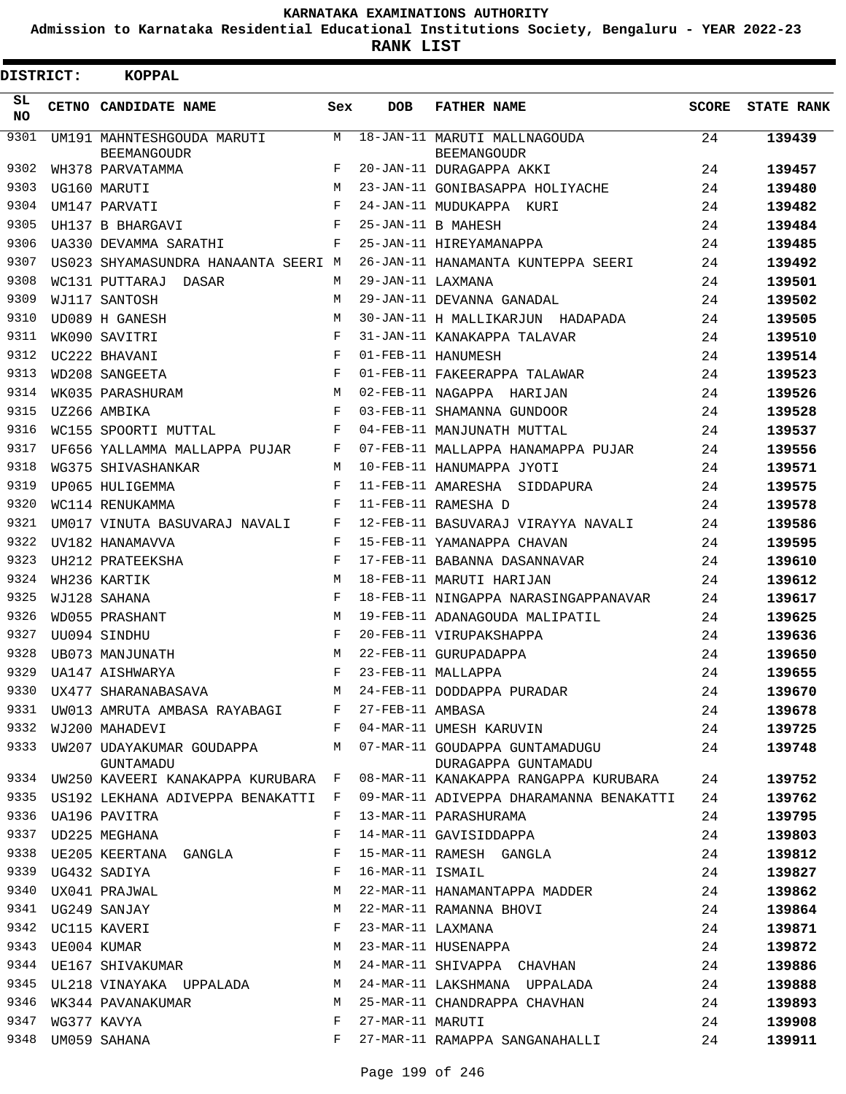**Admission to Karnataka Residential Educational Institutions Society, Bengaluru - YEAR 2022-23**

**RANK LIST**

| <b>DISTRICT:</b> | KOPPAL                                           |            |                   |                                                       |              |                   |
|------------------|--------------------------------------------------|------------|-------------------|-------------------------------------------------------|--------------|-------------------|
| SL.<br>NO.       | CETNO CANDIDATE NAME                             | Sex        | <b>DOB</b>        | <b>FATHER NAME</b>                                    | <b>SCORE</b> | <b>STATE RANK</b> |
| 9301             | UM191 MAHNTESHGOUDA MARUTI                       | M          |                   | 18-JAN-11 MARUTI MALLNAGOUDA                          | 24           | 139439            |
| 9302             | <b>BEEMANGOUDR</b><br>WH378 PARVATAMMA           | F          |                   | <b>BEEMANGOUDR</b><br>20-JAN-11 DURAGAPPA AKKI        | 24           | 139457            |
| 9303             | UG160 MARUTI                                     | M          |                   | 23-JAN-11 GONIBASAPPA HOLIYACHE                       | 24           | 139480            |
| 9304             | UM147 PARVATI                                    | F          |                   | 24-JAN-11 MUDUKAPPA KURI                              | 24           | 139482            |
| 9305             | UH137 B BHARGAVI                                 | F          |                   | 25-JAN-11 B MAHESH                                    | 24           | 139484            |
| 9306             | UA330 DEVAMMA SARATHI                            | F          |                   | 25-JAN-11 HIREYAMANAPPA                               | 24           | 139485            |
| 9307             | US023 SHYAMASUNDRA HANAANTA SEERI M              |            |                   | 26-JAN-11 HANAMANTA KUNTEPPA SEERI                    | 24           | 139492            |
| 9308             | WC131 PUTTARAJ DASAR                             | M          | 29-JAN-11 LAXMANA |                                                       | 24           | 139501            |
| 9309             | WJ117 SANTOSH                                    | M          |                   | 29-JAN-11 DEVANNA GANADAL                             | 24           | 139502            |
| 9310             | UD089 H GANESH                                   | М          |                   | 30-JAN-11 H MALLIKARJUN HADAPADA                      | 24           | 139505            |
| 9311             | WK090 SAVITRI                                    | F          |                   | 31-JAN-11 KANAKAPPA TALAVAR                           | 24           | 139510            |
| 9312             | UC222 BHAVANI                                    | F          |                   | 01-FEB-11 HANUMESH                                    | 24           | 139514            |
| 9313             | WD208 SANGEETA                                   | F          |                   | 01-FEB-11 FAKEERAPPA TALAWAR                          | 24           | 139523            |
| 9314             | WK035 PARASHURAM                                 | М          |                   | 02-FEB-11 NAGAPPA HARIJAN                             | 24           | 139526            |
| 9315             | UZ266 AMBIKA                                     | F          |                   | 03-FEB-11 SHAMANNA GUNDOOR                            | 24           | 139528            |
| 9316             | WC155 SPOORTI MUTTAL                             | F          |                   | 04-FEB-11 MANJUNATH MUTTAL                            | 24           | 139537            |
| 9317             | UF656 YALLAMMA MALLAPPA PUJAR                    | F          |                   | 07-FEB-11 MALLAPPA HANAMAPPA PUJAR                    | 24           | 139556            |
| 9318             | WG375 SHIVASHANKAR                               | М          |                   | 10-FEB-11 HANUMAPPA JYOTI                             | 24           | 139571            |
| 9319             | UP065 HULIGEMMA                                  | F          |                   | 11-FEB-11 AMARESHA SIDDAPURA                          | 24           | 139575            |
| 9320             |                                                  | F          |                   | 11-FEB-11 RAMESHA D                                   | 24           | 139578            |
| 9321             | WC114 RENUKAMMA<br>UM017 VINUTA BASUVARAJ NAVALI | F          |                   |                                                       |              |                   |
| 9322             |                                                  | F          |                   | 12-FEB-11 BASUVARAJ VIRAYYA NAVALI                    | 24           | 139586            |
| 9323             | UV182 HANAMAVVA                                  | $_{\rm F}$ |                   | 15-FEB-11 YAMANAPPA CHAVAN                            | 24           | 139595            |
| 9324             | UH212 PRATEEKSHA                                 | M          |                   | 17-FEB-11 BABANNA DASANNAVAR                          | 24           | 139610            |
| 9325             | WH236 KARTIK                                     | F          |                   | 18-FEB-11 MARUTI HARIJAN                              | 24           | 139612            |
| 9326             | WJ128 SAHANA                                     |            |                   | 18-FEB-11 NINGAPPA NARASINGAPPANAVAR                  | 24           | 139617            |
| 9327             | WD055 PRASHANT                                   | М<br>F     |                   | 19-FEB-11 ADANAGOUDA MALIPATIL                        | 24           | 139625            |
| 9328             | UU094 SINDHU                                     | M          |                   | 20-FEB-11 VIRUPAKSHAPPA                               | 24           | 139636            |
| 9329             | UB073 MANJUNATH                                  | F          |                   | 22-FEB-11 GURUPADAPPA                                 | 24           | 139650            |
|                  | UA147 AISHWARYA                                  |            |                   | 23-FEB-11 MALLAPPA                                    | 24           | 139655            |
| 9330<br>9331     | UX477 SHARANABASAVA                              | M          |                   | 24-FEB-11 DODDAPPA PURADAR                            | 24           | 139670            |
|                  | UW013 AMRUTA AMBASA RAYABAGI                     | F          | 27-FEB-11 AMBASA  | 04-MAR-11 UMESH KARUVIN                               | 24           | 139678            |
| 9332             | WJ200 MAHADEVI                                   | F          |                   |                                                       | 24           | 139725            |
| 9333             | UW207 UDAYAKUMAR GOUDAPPA<br>GUNTAMADU           | М          |                   | 07-MAR-11 GOUDAPPA GUNTAMADUGU<br>DURAGAPPA GUNTAMADU | 24           | 139748            |
| 9334             | UW250 KAVEERI KANAKAPPA KURUBARA F               |            |                   | 08-MAR-11 KANAKAPPA RANGAPPA KURUBARA                 | 24           | 139752            |
| 9335             | US192 LEKHANA ADIVEPPA BENAKATTI                 | F          |                   | 09-MAR-11 ADIVEPPA DHARAMANNA BENAKATTI               | 24           | 139762            |
| 9336             | UA196 PAVITRA                                    | F          |                   | 13-MAR-11 PARASHURAMA                                 | 24           | 139795            |
| 9337             | UD225 MEGHANA                                    | F          |                   | 14-MAR-11 GAVISIDDAPPA                                | 24           | 139803            |
| 9338             | UE205 KEERTANA GANGLA                            | F          |                   | 15-MAR-11 RAMESH GANGLA                               | 24           | 139812            |
| 9339             | UG432 SADIYA                                     | F          | 16-MAR-11 ISMAIL  |                                                       | 24           | 139827            |
| 9340             | UX041 PRAJWAL                                    | M          |                   | 22-MAR-11 HANAMANTAPPA MADDER                         | 24           | 139862            |
| 9341             | UG249 SANJAY                                     | М          |                   | 22-MAR-11 RAMANNA BHOVI                               | 24           | 139864            |
| 9342             | UC115 KAVERI                                     | F          | 23-MAR-11 LAXMANA |                                                       | 24           | 139871            |
| 9343             | UE004 KUMAR                                      | М          |                   | 23-MAR-11 HUSENAPPA                                   | 24           | 139872            |
| 9344             | UE167 SHIVAKUMAR                                 | М          |                   | 24-MAR-11 SHIVAPPA CHAVHAN                            | 24           | 139886            |
| 9345             | UL218 VINAYAKA UPPALADA                          | М          |                   | 24-MAR-11 LAKSHMANA UPPALADA                          | 24           | 139888            |
| 9346             | WK344 PAVANAKUMAR                                | М          |                   | 25-MAR-11 CHANDRAPPA CHAVHAN                          | 24           | 139893            |
| 9347             | WG377 KAVYA                                      | F          | 27-MAR-11 MARUTI  |                                                       | 24           | 139908            |
| 9348             | UM059 SAHANA                                     | F          |                   | 27-MAR-11 RAMAPPA SANGANAHALLI                        | 24           | 139911            |
|                  |                                                  |            |                   |                                                       |              |                   |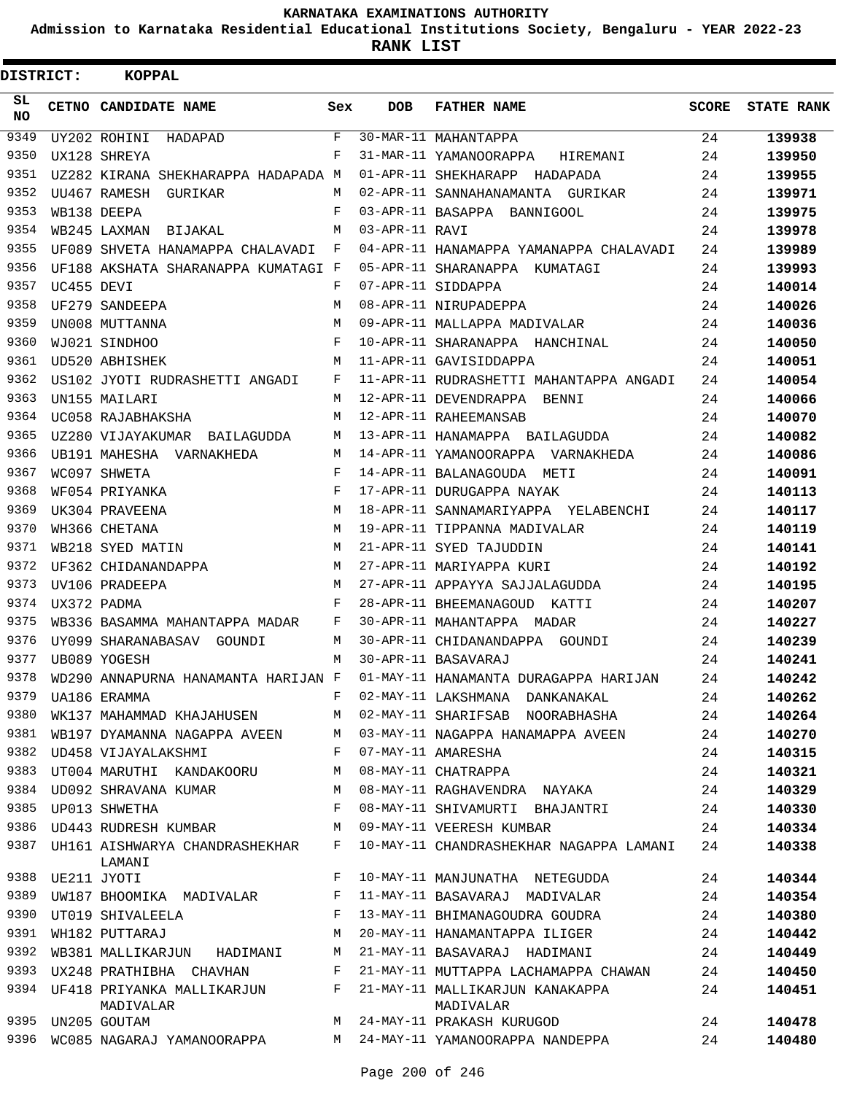**Admission to Karnataka Residential Educational Institutions Society, Bengaluru - YEAR 2022-23**

 $\blacksquare$ 

| DISTRICT:  |             | <b>KOPPAL</b>                                 |              |                |                                              |       |                   |
|------------|-------------|-----------------------------------------------|--------------|----------------|----------------------------------------------|-------|-------------------|
| SL.<br>NO. |             | CETNO CANDIDATE NAME                          | Sex          | DOB            | <b>FATHER NAME</b>                           | SCORE | <b>STATE RANK</b> |
| 9349       |             | UY202 ROHINI<br>HADAPAD                       | $\mathbf{F}$ |                | 30-MAR-11 MAHANTAPPA                         | 24    | 139938            |
| 9350       |             | UX128 SHREYA                                  | F            |                | 31-MAR-11 YAMANOORAPPA<br>HIREMANI           | 24    | 139950            |
| 9351       |             | UZ282 KIRANA SHEKHARAPPA HADAPADA M           |              |                | 01-APR-11 SHEKHARAPP HADAPADA                | 24    | 139955            |
| 9352       |             | UU467 RAMESH<br>GURIKAR                       | M            |                | 02-APR-11 SANNAHANAMANTA GURIKAR             | 24    | 139971            |
| 9353       |             | WB138 DEEPA                                   | F            |                | 03-APR-11 BASAPPA BANNIGOOL                  | 24    | 139975            |
| 9354       |             | WB245 LAXMAN BIJAKAL                          | M            | 03-APR-11 RAVI |                                              | 24    | 139978            |
| 9355       |             | UF089 SHVETA HANAMAPPA CHALAVADI F            |              |                | 04-APR-11 HANAMAPPA YAMANAPPA CHALAVADI      | 24    | 139989            |
| 9356       |             | UF188 AKSHATA SHARANAPPA KUMATAGI F           |              |                | 05-APR-11 SHARANAPPA KUMATAGI                | 24    | 139993            |
| 9357       | UC455 DEVI  |                                               | F            |                | 07-APR-11 SIDDAPPA                           | 24    | 140014            |
| 9358       |             | UF279 SANDEEPA                                | M            |                | 08-APR-11 NIRUPADEPPA                        | 24    | 140026            |
| 9359       |             | UN008 MUTTANNA                                | M            |                | 09-APR-11 MALLAPPA MADIVALAR                 | 24    | 140036            |
| 9360       |             | WJ021 SINDHOO                                 | F            |                | 10-APR-11 SHARANAPPA HANCHINAL               | 24    | 140050            |
| 9361       |             | UD520 ABHISHEK                                | M            |                | 11-APR-11 GAVISIDDAPPA                       | 24    | 140051            |
| 9362       |             | US102 JYOTI RUDRASHETTI ANGADI                | F            |                | 11-APR-11 RUDRASHETTI MAHANTAPPA ANGADI      | 24    | 140054            |
| 9363       |             | UN155 MAILARI                                 | M            |                | 12-APR-11 DEVENDRAPPA BENNI                  | 24    | 140066            |
| 9364       |             | UC058 RAJABHAKSHA                             | M            |                | 12-APR-11 RAHEEMANSAR                        | 24    | 140070            |
| 9365       |             | UZ280 VIJAYAKUMAR BAILAGUDDA                  | M            |                | 13-APR-11 HANAMAPPA BAILAGUDDA               | 24    | 140082            |
| 9366       |             | UB191 MAHESHA VARNAKHEDA                      | M            |                | 14-APR-11 YAMANOORAPPA VARNAKHEDA            | 24    | 140086            |
| 9367       |             | WC097 SHWETA                                  | F            |                | 14-APR-11 BALANAGOUDA METI                   | 24    | 140091            |
| 9368       |             | WF054 PRIYANKA                                | F            |                | 17-APR-11 DURUGAPPA NAYAK                    | 24    | 140113            |
| 9369       |             | UK304 PRAVEENA                                | M            |                | 18-APR-11 SANNAMARIYAPPA YELABENCHI          | 24    | 140117            |
| 9370       |             | WH366 CHETANA                                 | M            |                | 19-APR-11 TIPPANNA MADIVALAR                 | 24    | 140119            |
| 9371       |             | WB218 SYED MATIN                              | M            |                | 21-APR-11 SYED TAJUDDIN                      | 24    | 140141            |
| 9372       |             | UF362 CHIDANANDAPPA                           | M            |                | 27-APR-11 MARIYAPPA KURI                     | 24    | 140192            |
| 9373       |             | UV106 PRADEEPA                                | M            |                | 27-APR-11 APPAYYA SAJJALAGUDDA               | 24    | 140195            |
| 9374       |             | UX372 PADMA                                   | F            |                | 28-APR-11 BHEEMANAGOUD KATTI                 | 24    | 140207            |
| 9375       |             | WB336 BASAMMA MAHANTAPPA MADAR                | F            |                | 30-APR-11 MAHANTAPPA MADAR                   | 24    | 140227            |
| 9376       |             | UY099 SHARANABASAV GOUNDI                     | M            |                | 30-APR-11 CHIDANANDAPPA GOUNDI               | 24    | 140239            |
| 9377       |             | UB089 YOGESH                                  | M            |                | 30-APR-11 BASAVARAJ                          | 24    | 140241            |
| 9378       |             | WD290 ANNAPURNA HANAMANTA HARIJAN F           |              |                | 01-MAY-11 HANAMANTA DURAGAPPA HARIJAN        | 24    | 140242            |
| 9379       |             | UA186 ERAMMA                                  | F            |                | 02-MAY-11 LAKSHMANA DANKANAKAL               | 24    | 140262            |
| 9380       |             | WK137 MAHAMMAD KHAJAHUSEN                     | M            |                | 02-MAY-11 SHARIFSAB NOORABHASHA              | 24    | 140264            |
| 9381       |             | WB197 DYAMANNA NAGAPPA AVEEN                  | M            |                | 03-MAY-11 NAGAPPA HANAMAPPA AVEEN            | 24    | 140270            |
| 9382       |             | UD458 VIJAYALAKSHMI                           | F            |                | 07-MAY-11 AMARESHA                           | 24    | 140315            |
| 9383       |             | UT004 MARUTHI KANDAKOORU                      | M            |                | 08-MAY-11 CHATRAPPA                          | 24    | 140321            |
| 9384       |             | UD092 SHRAVANA KUMAR                          | М            |                | 08-MAY-11 RAGHAVENDRA NAYAKA                 | 24    | 140329            |
| 9385       |             | UP013 SHWETHA                                 | F            |                | 08-MAY-11 SHIVAMURTI BHAJANTRI               | 24    | 140330            |
| 9386       |             | UD443 RUDRESH KUMBAR                          | M            |                | 09-MAY-11 VEERESH KUMBAR                     | 24    | 140334            |
|            |             | 9387 UH161 AISHWARYA CHANDRASHEKHAR<br>LAMANI | F            |                | 10-MAY-11 CHANDRASHEKHAR NAGAPPA LAMANI      | 24    | 140338            |
| 9388       | UE211 JYOTI |                                               | F            |                | 10-MAY-11 MANJUNATHA NETEGUDDA               | 24    | 140344            |
| 9389       |             | UW187 BHOOMIKA MADIVALAR                      | F            |                | 11-MAY-11 BASAVARAJ MADIVALAR                | 24    | 140354            |
| 9390       |             | UT019 SHIVALEELA                              | F            |                | 13-MAY-11 BHIMANAGOUDRA GOUDRA               | 24    | 140380            |
| 9391       |             | WH182 PUTTARAJ                                | M            |                | 20-MAY-11 HANAMANTAPPA ILIGER                | 24    | 140442            |
| 9392       |             | WB381 MALLIKARJUN HADIMANI                    | M            |                | 21-MAY-11 BASAVARAJ HADIMANI                 | 24    | 140449            |
| 9393       |             | UX248 PRATHIBHA CHAVHAN                       | F            |                | 21-MAY-11 MUTTAPPA LACHAMAPPA CHAWAN         | 24    | 140450            |
| 9394       |             | UF418 PRIYANKA MALLIKARJUN<br>MADIVALAR       | F            |                | 21-MAY-11 MALLIKARJUN KANAKAPPA<br>MADIVALAR | 24    | 140451            |
| 9395       |             | UN205 GOUTAM                                  | М            |                | 24-MAY-11 PRAKASH KURUGOD                    | 24    | 140478            |
| 9396       |             | WC085 NAGARAJ YAMANOORAPPA                    | M            |                | 24-MAY-11 YAMANOORAPPA NANDEPPA              | 24    | 140480            |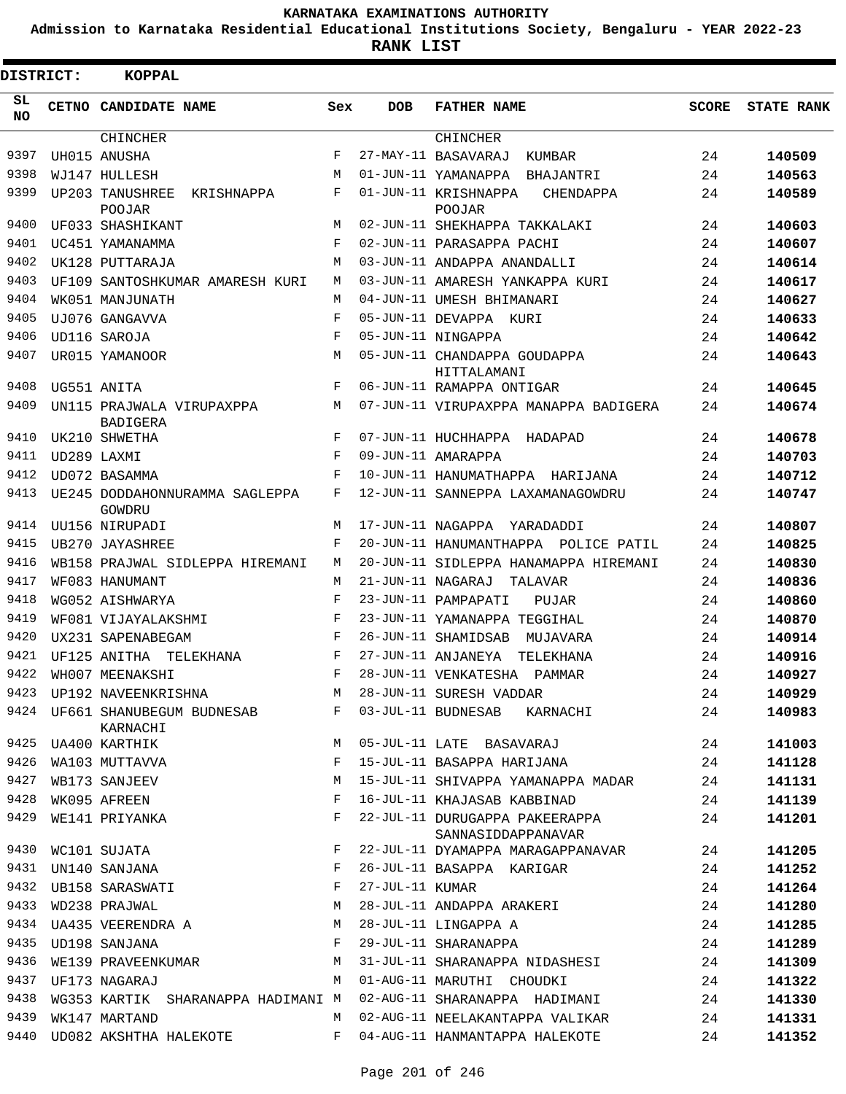**Admission to Karnataka Residential Educational Institutions Society, Bengaluru - YEAR 2022-23**

**RANK LIST**

| DISTRICT: | <b>KOPPAL</b>                                |            |                   |                                                      |              |                   |
|-----------|----------------------------------------------|------------|-------------------|------------------------------------------------------|--------------|-------------------|
| SL<br>NO. | CETNO CANDIDATE NAME                         | Sex        | <b>DOB</b>        | <b>FATHER NAME</b>                                   | <b>SCORE</b> | <b>STATE RANK</b> |
|           | <b>CHINCHER</b>                              |            |                   | <b>CHINCHER</b>                                      |              |                   |
| 9397      | UH015 ANUSHA                                 | F          |                   | 27-MAY-11 BASAVARAJ<br>KUMBAR                        | 24           | 140509            |
| 9398      | WJ147 HULLESH                                | M          |                   | 01-JUN-11 YAMANAPPA BHAJANTRI                        | 24           | 140563            |
| 9399      | UP203 TANUSHREE<br>KRISHNAPPA<br>POOJAR      | F          |                   | 01-JUN-11 KRISHNAPPA<br>CHENDAPPA<br>POOJAR          | 24           | 140589            |
| 9400      | UF033 SHASHIKANT                             | M          |                   | 02-JUN-11 SHEKHAPPA TAKKALAKI                        | 24           | 140603            |
| 9401      | UC451 YAMANAMMA                              | F          |                   | 02-JUN-11 PARASAPPA PACHI                            | 24           | 140607            |
| 9402      | UK128 PUTTARAJA                              | M          |                   | 03-JUN-11 ANDAPPA ANANDALLI                          | 24           | 140614            |
| 9403      | UF109 SANTOSHKUMAR AMARESH KURI              | M          |                   | 03-JUN-11 AMARESH YANKAPPA KURI                      | 24           | 140617            |
| 9404      | WK051 MANJUNATH                              | M          |                   | 04-JUN-11 UMESH BHIMANARI                            | 24           | 140627            |
| 9405      | UJ076 GANGAVVA                               | F          |                   | 05-JUN-11 DEVAPPA KURI                               | 24           | 140633            |
| 9406      | UD116 SAROJA                                 | F          |                   | 05-JUN-11 NINGAPPA                                   | 24           | 140642            |
| 9407      | UR015 YAMANOOR                               | M          |                   | 05-JUN-11 CHANDAPPA GOUDAPPA<br>HITTALAMANI          | 24           | 140643            |
| 9408      | UG551 ANITA                                  | F          |                   | 06-JUN-11 RAMAPPA ONTIGAR                            | 24           | 140645            |
| 9409      | UN115 PRAJWALA VIRUPAXPPA<br><b>BADIGERA</b> | M          |                   | 07-JUN-11 VIRUPAXPPA MANAPPA BADIGERA                | 24           | 140674            |
| 9410      | UK210 SHWETHA                                | F          |                   | 07-JUN-11 HUCHHAPPA HADAPAD                          | 24           | 140678            |
| 9411      | UD289 LAXMI                                  | $_{\rm F}$ |                   | 09-JUN-11 AMARAPPA                                   | 24           | 140703            |
| 9412      | UD072 BASAMMA                                | F          |                   | 10-JUN-11 HANUMATHAPPA<br>HARIJANA                   | 24           | 140712            |
| 9413      | UE245 DODDAHONNURAMMA SAGLEPPA<br>GOWDRU     | F          |                   | 12-JUN-11 SANNEPPA LAXAMANAGOWDRU                    | 24           | 140747            |
| 9414      | UU156 NIRUPADI                               | M          | 17-JUN-11 NAGAPPA | YARADADDI                                            | 24           | 140807            |
| 9415      | <b>UB270 JAYASHREE</b>                       | F          |                   | 20-JUN-11 HANUMANTHAPPA POLICE PATIL                 | 24           | 140825            |
| 9416      | WB158 PRAJWAL SIDLEPPA HIREMANI              | M          |                   | 20-JUN-11 SIDLEPPA HANAMAPPA HIREMANI                | 24           | 140830            |
| 9417      | WF083 HANUMANT                               | M          | 21-JUN-11 NAGARAJ | TALAVAR                                              | 24           | 140836            |
| 9418      | WG052 AISHWARYA                              | F          |                   | 23-JUN-11 PAMPAPATI<br>PUJAR                         | 24           | 140860            |
| 9419      | WF081 VIJAYALAKSHMI                          | F          |                   | 23-JUN-11 YAMANAPPA TEGGIHAL                         | 24           | 140870            |
| 9420      | UX231 SAPENABEGAM                            | F          |                   | 26-JUN-11 SHAMIDSAB<br>MUJAVARA                      | 24           | 140914            |
| 9421      | UF125 ANITHA<br>TELEKHANA                    | F          |                   | 27-JUN-11 ANJANEYA<br>TELEKHANA                      | 24           | 140916            |
| 9422      | WH007 MEENAKSHI                              | F          |                   | 28-JUN-11 VENKATESHA<br>PAMMAR                       | 24           | 140927            |
| 9423      | UP192 NAVEENKRISHNA                          | М          |                   | 28-JUN-11 SURESH VADDAR                              | 24           | 140929            |
|           | 9424 UF661 SHANUBEGUM BUDNESAB<br>KARNACHI   | F          |                   | 03-JUL-11 BUDNESAB KARNACHI                          | 24           | 140983            |
| 9425      | UA400 KARTHIK                                | М          |                   | 05-JUL-11 LATE BASAVARAJ                             | 24           | 141003            |
| 9426      | WA103 MUTTAVVA                               | F          |                   | 15-JUL-11 BASAPPA HARIJANA                           | 24           | 141128            |
| 9427      | WB173 SANJEEV                                | М          |                   | 15-JUL-11 SHIVAPPA YAMANAPPA MADAR                   | 24           | 141131            |
| 9428      | WK095 AFREEN                                 | F          |                   | 16-JUL-11 KHAJASAB KABBINAD                          | 24           | 141139            |
| 9429      | WE141 PRIYANKA                               | F          |                   | 22-JUL-11 DURUGAPPA PAKEERAPPA<br>SANNASIDDAPPANAVAR | 24           | 141201            |
| 9430      | WC101 SUJATA                                 | F          |                   | 22-JUL-11 DYAMAPPA MARAGAPPANAVAR                    | 24           | 141205            |
| 9431      | UN140 SANJANA                                | F          |                   | 26-JUL-11 BASAPPA KARIGAR                            | 24           | 141252            |
|           | 9432 UB158 SARASWATI                         | F          | 27-JUL-11 KUMAR   |                                                      | 24           | 141264            |
| 9433      | WD238 PRAJWAL                                | М          |                   | 28-JUL-11 ANDAPPA ARAKERI                            | 24           | 141280            |
| 9434      | UA435 VEERENDRA A                            | М          |                   | 28-JUL-11 LINGAPPA A                                 | 24           | 141285            |
| 9435      | UD198 SANJANA                                | F          |                   | 29-JUL-11 SHARANAPPA                                 | 24           | 141289            |
| 9436      | WE139 PRAVEENKUMAR                           | М          |                   | 31-JUL-11 SHARANAPPA NIDASHESI                       | 24           | 141309            |
| 9437      | UF173 NAGARAJ                                | M          |                   | 01-AUG-11 MARUTHI CHOUDKI                            | 24           | 141322            |
| 9438      | WG353 KARTIK SHARANAPPA HADIMANI M           |            |                   | 02-AUG-11 SHARANAPPA HADIMANI                        | 24           | 141330            |
| 9439      | WK147 MARTAND                                | M          |                   | 02-AUG-11 NEELAKANTAPPA VALIKAR                      | 24           | 141331            |
| 9440      | UD082 AKSHTHA HALEKOTE                       | F          |                   | 04-AUG-11 HANMANTAPPA HALEKOTE                       | 24           | 141352            |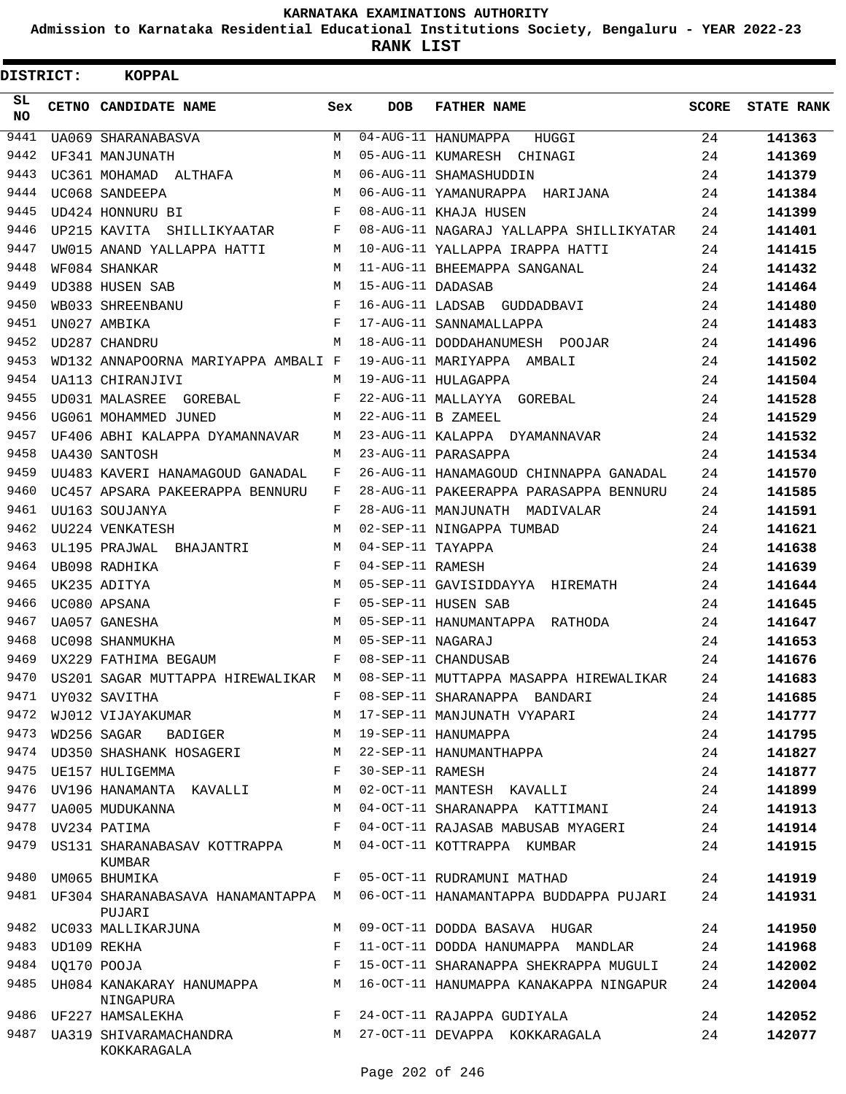**Admission to Karnataka Residential Educational Institutions Society, Bengaluru - YEAR 2022-23**

**RANK LIST**

| DISTRICT: | <b>KOPPAL</b>                               |       |                   |                                                                                |       |                   |
|-----------|---------------------------------------------|-------|-------------------|--------------------------------------------------------------------------------|-------|-------------------|
| SL<br>NO. | CETNO CANDIDATE NAME                        | Sex   | <b>DOB</b>        | <b>FATHER NAME</b>                                                             | SCORE | <b>STATE RANK</b> |
| 9441      | <b>UA069 SHARANABASVA</b>                   | М     |                   | 04-AUG-11 HANUMAPPA<br>HUGGI                                                   | 24    | 141363            |
| 9442      | UF341 MANJUNATH                             | M     |                   | 05-AUG-11 KUMARESH CHINAGI                                                     | 24    | 141369            |
| 9443      | UC361 MOHAMAD ALTHAFA                       | M     |                   | 06-AUG-11 SHAMASHUDDIN                                                         | 24    | 141379            |
| 9444      | UC068 SANDEEPA                              | M     |                   | 06-AUG-11 YAMANURAPPA HARIJANA                                                 | 24    | 141384            |
| 9445      | UD424 HONNURU BI                            | F     |                   | 08-AUG-11 KHAJA HUSEN                                                          | 24    | 141399            |
| 9446      | UP215 KAVITA SHILLIKYAATAR                  | F     |                   | 08-AUG-11 NAGARAJ YALLAPPA SHILLIKYATAR                                        | 24    | 141401            |
| 9447      | UW015 ANAND YALLAPPA HATTI                  | M     |                   | 10-AUG-11 YALLAPPA IRAPPA HATTI                                                | 24    | 141415            |
| 9448      | WF084 SHANKAR                               | M     |                   | 11-AUG-11 BHEEMAPPA SANGANAL                                                   | 24    | 141432            |
| 9449      | UD388 HUSEN SAB                             | M     | 15-AUG-11 DADASAB |                                                                                | 24    | 141464            |
| 9450      | WB033 SHREENBANU                            | F     |                   | 16-AUG-11 LADSAB GUDDADBAVI                                                    | 24    | 141480            |
| 9451      | UN027 AMBIKA                                | F     |                   | 17-AUG-11 SANNAMALLAPPA                                                        | 24    | 141483            |
| 9452      | UD287 CHANDRU                               | M     |                   | 18-AUG-11 DODDAHANUMESH POOJAR                                                 | 24    | 141496            |
| 9453      | WD132 ANNAPOORNA MARIYAPPA AMBALI F         |       |                   | 19-AUG-11 MARIYAPPA AMBALI                                                     | 24    | 141502            |
| 9454      | UA113 CHIRANJIVI                            | M     |                   | 19-AUG-11 HULAGAPPA                                                            | 24    | 141504            |
| 9455      | UD031 MALASREE GOREBAL                      | F     |                   | 22-AUG-11 MALLAYYA GOREBAL                                                     | 24    | 141528            |
| 9456      | UG061 MOHAMMED JUNED                        | М     |                   | 22-AUG-11 B ZAMEEL                                                             | 24    | 141529            |
| 9457      | UF406 ABHI KALAPPA DYAMANNAVAR              | M     |                   | 23-AUG-11 KALAPPA DYAMANNAVAR                                                  | 24    | 141532            |
| 9458      | UA430 SANTOSH                               | M     |                   | 23-AUG-11 PARASAPPA                                                            | 24    | 141534            |
| 9459      | UU483 KAVERI HANAMAGOUD GANADAL             | F     |                   | 26-AUG-11 HANAMAGOUD CHINNAPPA GANADAL                                         | 24    | 141570            |
| 9460      | UC457 APSARA PAKEERAPPA BENNURU             | F     |                   | 28-AUG-11 PAKEERAPPA PARASAPPA BENNURU                                         | 24    | 141585            |
| 9461      | UU163 SOUJANYA                              | F     |                   | 28-AUG-11 MANJUNATH MADIVALAR                                                  | 24    | 141591            |
| 9462      | UU224 VENKATESH                             | M     |                   | 02-SEP-11 NINGAPPA TUMBAD                                                      | 24    | 141621            |
| 9463      | UL195 PRAJWAL BHAJANTRI                     | М     | 04-SEP-11 TAYAPPA |                                                                                | 24    | 141638            |
| 9464      | UB098 RADHIKA                               | F     | 04-SEP-11 RAMESH  |                                                                                | 24    | 141639            |
| 9465      | UK235 ADITYA                                | M     |                   | 05-SEP-11 GAVISIDDAYYA HIREMATH                                                | 24    | 141644            |
| 9466      | UC080 APSANA                                | F     |                   | 05-SEP-11 HUSEN SAB                                                            | 24    | 141645            |
| 9467      | <b>UA057 GANESHA</b>                        | M     |                   | 05-SEP-11 HANUMANTAPPA RATHODA                                                 | 24    | 141647            |
| 9468      | UC098 SHANMUKHA                             | М     | 05-SEP-11 NAGARAJ |                                                                                | 24    | 141653            |
| 9469      | UX229 FATHIMA BEGAUM                        | F     |                   | 08-SEP-11 CHANDUSAB                                                            | 24    | 141676            |
| 9470      | US201 SAGAR MUTTAPPA HIREWALIKAR M          |       |                   | 08-SEP-11 MUTTAPPA MASAPPA HIREWALIKAR                                         | 24    | 141683            |
|           | 9471 UY032 SAVITHA                          | F     |                   | 08-SEP-11 SHARANAPPA BANDARI                                                   | 24    | 141685            |
| 9472      | WJ012 VIJAYAKUMAR                           | M     |                   | 17-SEP-11 MANJUNATH VYAPARI                                                    | 24    | 141777            |
| 9473      | <b>BADIGER</b><br>WD256 SAGAR               | М     |                   | 19-SEP-11 HANUMAPPA                                                            | 24    | 141795            |
|           | 9474 UD350 SHASHANK HOSAGERI                | М     |                   | 22-SEP-11 HANUMANTHAPPA                                                        | 24    | 141827            |
|           | 9475 UE157 HULIGEMMA                        | F     | 30-SEP-11 RAMESH  |                                                                                | 24    | 141877            |
| 9476      | UV196 HANAMANTA KAVALLI                     | М     |                   | 02-OCT-11 MANTESH KAVALLI                                                      | 24    | 141899            |
| 9477      | UA005 MUDUKANNA                             | M     |                   | 04-OCT-11 SHARANAPPA KATTIMANI                                                 | 24    | 141913            |
|           | 9478 UV234 PATIMA                           | F     |                   | 04-OCT-11 RAJASAB MABUSAB MYAGERI                                              | 24    | 141914            |
|           | 9479 US131 SHARANABASAV KOTTRAPPA<br>KUMBAR | М     |                   | 04-OCT-11 KOTTRAPPA KUMBAR                                                     | 24    | 141915            |
|           | 9480 UM065 BHUMIKA                          | F     |                   | 05-OCT-11 RUDRAMUNI MATHAD                                                     | 24    | 141919            |
|           | PUJARI                                      |       |                   | 9481 UF304 SHARANABASAVA HANAMANTAPPA M 06-OCT-11 HANAMANTAPPA BUDDAPPA PUJARI | 24    | 141931            |
|           | 9482 UC033 MALLIKARJUNA                     | M     |                   | 09-OCT-11 DODDA BASAVA HUGAR                                                   | 24    | 141950            |
| 9483      | UD109 REKHA                                 | F     |                   | 11-OCT-11 DODDA HANUMAPPA MANDLAR                                              | 24    | 141968            |
| 9484      | UQ170 POOJA                                 | F     |                   | 15-OCT-11 SHARANAPPA SHEKRAPPA MUGULI                                          | 24    | 142002            |
| 9485      | UH084 KANAKARAY HANUMAPPA<br>NINGAPURA      | M     |                   | 16-OCT-11 HANUMAPPA KANAKAPPA NINGAPUR                                         | 24    | 142004            |
|           | 9486 UF227 HAMSALEKHA                       | $F -$ |                   | 24-OCT-11 RAJAPPA GUDIYALA                                                     | 24    | 142052            |
| 9487      | UA319 SHIVARAMACHANDRA<br>KOKKARAGALA       |       |                   | M 27-OCT-11 DEVAPPA KOKKARAGALA                                                | 24    | 142077            |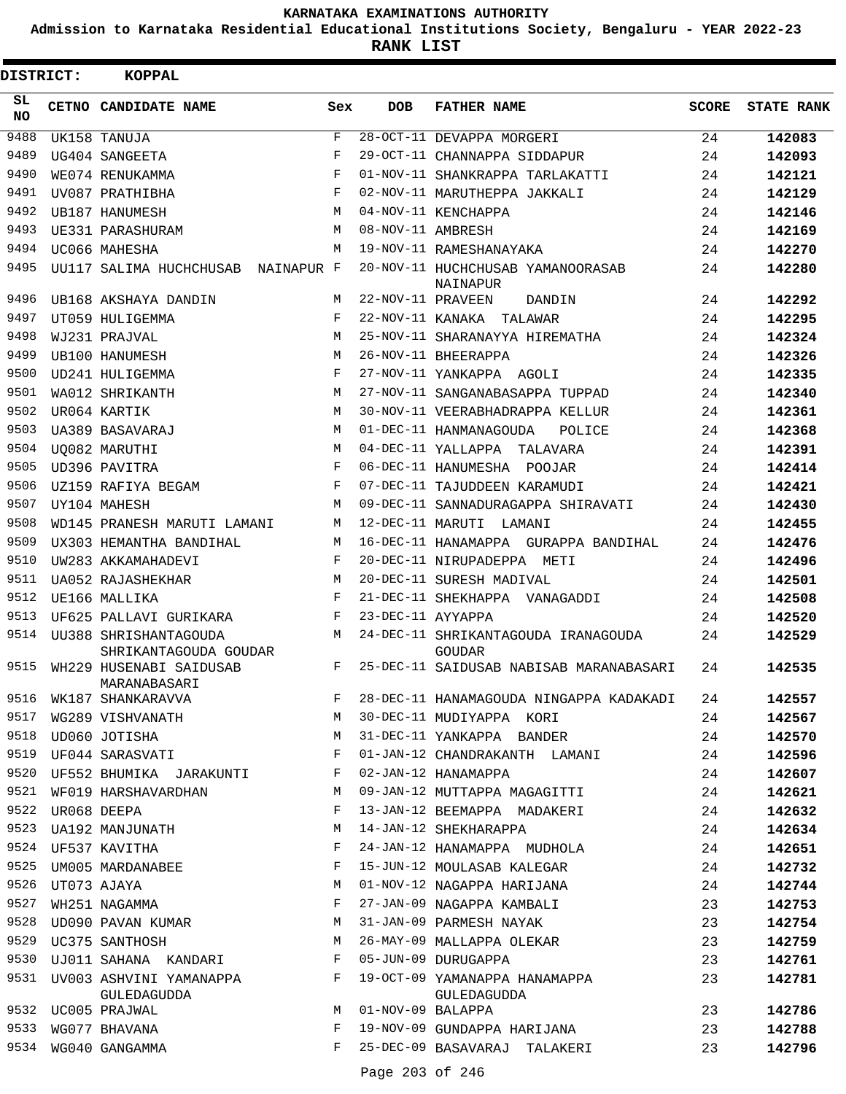**Admission to Karnataka Residential Educational Institutions Society, Bengaluru - YEAR 2022-23**

| DISTRICT:    |                  | <b>KOPPAL</b>                                                             |             |                   |                                                                                          |              |                   |
|--------------|------------------|---------------------------------------------------------------------------|-------------|-------------------|------------------------------------------------------------------------------------------|--------------|-------------------|
| SL<br>NO.    |                  | CETNO CANDIDATE NAME                                                      | Sex         | <b>DOB</b>        | <b>FATHER NAME</b>                                                                       | <b>SCORE</b> | <b>STATE RANK</b> |
| 9488         |                  | UK158 TANUJA                                                              | F           |                   | 28-OCT-11 DEVAPPA MORGERI                                                                | 24           | 142083            |
| 9489         |                  | UG404 SANGEETA                                                            | $\mathbf F$ |                   | 29-OCT-11 CHANNAPPA SIDDAPUR                                                             | 24           | 142093            |
| 9490         |                  | WE074 RENUKAMMA                                                           | $_{\rm F}$  |                   | 01-NOV-11 SHANKRAPPA TARLAKATTI                                                          | 24           | 142121            |
| 9491         |                  | UV087 PRATHIBHA                                                           | F           |                   | 02-NOV-11 MARUTHEPPA JAKKALI                                                             | 24           | 142129            |
| 9492         |                  | <b>UB187 HANUMESH</b>                                                     | М           |                   | 04-NOV-11 KENCHAPPA                                                                      | 24           | 142146            |
| 9493         |                  | UE331 PARASHURAM                                                          | M           | 08-NOV-11 AMBRESH |                                                                                          | 24           | 142169            |
| 9494         |                  | UC066 MAHESHA                                                             | M           |                   | 19-NOV-11 RAMESHANAYAKA                                                                  | 24           | 142270            |
| 9495         |                  | UU117 SALIMA HUCHCHUSAB NAINAPUR F                                        |             |                   | 20-NOV-11 HUCHCHUSAB YAMANOORASAB<br>NAINAPUR                                            | 24           | 142280            |
| 9496         |                  | UB168 AKSHAYA DANDIN                                                      | M           | 22-NOV-11 PRAVEEN | DANDIN                                                                                   | 24           | 142292            |
| 9497         |                  | UT059 HULIGEMMA                                                           | F           |                   | 22-NOV-11 KANAKA TALAWAR                                                                 | 24           | 142295            |
| 9498         |                  | WJ231 PRAJVAL                                                             | М           |                   | 25-NOV-11 SHARANAYYA HIREMATHA                                                           | 24           | 142324            |
| 9499         |                  | <b>UB100 HANUMESH</b>                                                     | M           |                   | 26-NOV-11 BHEERAPPA                                                                      | 24           | 142326            |
| 9500         |                  | UD241 HULIGEMMA                                                           | F           |                   | 27-NOV-11 YANKAPPA AGOLI                                                                 | 24           | 142335            |
| 9501         |                  | WA012 SHRIKANTH                                                           | M           |                   | 27-NOV-11 SANGANABASAPPA TUPPAD                                                          | 24           | 142340            |
| 9502         |                  | UR064 KARTIK                                                              | M           |                   | 30-NOV-11 VEERABHADRAPPA KELLUR                                                          | 24           | 142361            |
| 9503         |                  | UA389 BASAVARAJ                                                           | М           |                   | 01-DEC-11 HANMANAGOUDA<br>POLICE                                                         | 24           | 142368            |
| 9504         |                  | UO082 MARUTHI                                                             | M           |                   | 04-DEC-11 YALLAPPA TALAVARA                                                              | 24           | 142391            |
| 9505         |                  | UD396 PAVITRA                                                             | F           |                   | 06-DEC-11 HANUMESHA POOJAR                                                               | 24           | 142414            |
| 9506         |                  | UZ159 RAFIYA BEGAM                                                        | F           |                   | 07-DEC-11 TAJUDDEEN KARAMUDI                                                             | 24           | 142421            |
| 9507         |                  | UY104 MAHESH                                                              | M           |                   | 09-DEC-11 SANNADURAGAPPA SHIRAVATI                                                       | 24           | 142430            |
| 9508         |                  | WD145 PRANESH MARUTI LAMANI                                               | M           |                   | 12-DEC-11 MARUTI LAMANI                                                                  | 24           | 142455            |
| 9509         |                  | UX303 HEMANTHA BANDIHAL                                                   | M           |                   | 16-DEC-11 HANAMAPPA GURAPPA BANDIHAL                                                     | 24           | 142476            |
| 9510         |                  | UW283 AKKAMAHADEVI                                                        | F           |                   | 20-DEC-11 NIRUPADEPPA METI                                                               | 24           | 142496            |
| 9511         |                  | UA052 RAJASHEKHAR                                                         | М           |                   | 20-DEC-11 SURESH MADIVAL                                                                 | 24           | 142501            |
| 9512         |                  | UE166 MALLIKA                                                             | F           |                   | 21-DEC-11 SHEKHAPPA VANAGADDI                                                            | 24           | 142508            |
| 9513         |                  | UF625 PALLAVI GURIKARA                                                    | F           | 23-DEC-11 AYYAPPA |                                                                                          | 24           | 142520            |
| 9514<br>9515 |                  | UU388 SHRISHANTAGOUDA<br>SHRIKANTAGOUDA GOUDAR<br>WH229 HUSENABI SAIDUSAB | М<br>F      |                   | 24-DEC-11 SHRIKANTAGOUDA IRANAGOUDA<br>GOUDAR<br>25-DEC-11 SAIDUSAB NABISAB MARANABASARI | 24<br>24     | 142529<br>142535  |
| 9516         |                  | MARANABASARI<br>WK187 SHANKARAVVA                                         | F           |                   | 28-DEC-11 HANAMAGOUDA NINGAPPA KADAKADI                                                  | 24           | 142557            |
| 9517         |                  | WG289 VISHVANATH                                                          | М           |                   | 30-DEC-11 MUDIYAPPA KORI                                                                 |              |                   |
| 9518         |                  |                                                                           | М           |                   |                                                                                          | 24           | 142567            |
|              |                  | UD060 JOTISHA<br>9519 UF044 SARASVATI                                     | F           |                   | 31-DEC-11 YANKAPPA BANDER                                                                | 24           | 142570            |
| 9520         |                  | UF552 BHUMIKA JARAKUNTI                                                   | F           |                   | 01-JAN-12 CHANDRAKANTH LAMANI<br>02-JAN-12 HANAMAPPA                                     | 24<br>24     | 142596<br>142607  |
| 9521         |                  | WF019 HARSHAVARDHAN                                                       | М           |                   | 09-JAN-12 MUTTAPPA MAGAGITTI                                                             |              |                   |
| 9522         |                  |                                                                           | F           |                   | 13-JAN-12 BEEMAPPA MADAKERI                                                              | 24           | 142621            |
| 9523         |                  | UR068 DEEPA                                                               | М           |                   | 14-JAN-12 SHEKHARAPPA                                                                    | 24           | 142632            |
| 9524         |                  | <b>UA192 MANJUNATH</b>                                                    | F           |                   |                                                                                          | 24           | 142634            |
| 9525         |                  | UF537 KAVITHA                                                             |             |                   | 24-JAN-12 HANAMAPPA MUDHOLA                                                              | 24           | 142651            |
|              |                  | UM005 MARDANABEE                                                          | F           |                   | 15-JUN-12 MOULASAB KALEGAR                                                               | 24           | 142732            |
|              | 9526 UT073 AJAYA |                                                                           | М           |                   | 01-NOV-12 NAGAPPA HARIJANA                                                               | 24           | 142744            |
| 9527         |                  | WH251 NAGAMMA                                                             | F           |                   | 27-JAN-09 NAGAPPA KAMBALI                                                                | 23           | 142753            |
| 9528         |                  | UD090 PAVAN KUMAR                                                         | М           |                   | 31-JAN-09 PARMESH NAYAK                                                                  | 23           | 142754            |
| 9529         |                  | UC375 SANTHOSH                                                            | М           |                   | 26-MAY-09 MALLAPPA OLEKAR                                                                | 23           | 142759            |
| 9530         |                  | UJ011 SAHANA KANDARI                                                      | F           |                   | 05-JUN-09 DURUGAPPA                                                                      | 23           | 142761            |
|              |                  | 9531 UV003 ASHVINI YAMANAPPA<br>GULEDAGUDDA                               | F           |                   | 19-OCT-09 YAMANAPPA HANAMAPPA                                                            | 23           | 142781            |
|              |                  | 9532 UC005 PRAJWAL                                                        | M           | 01-NOV-09 BALAPPA | GULEDAGUDDA                                                                              | 23           | 142786            |
| 9533         |                  | WG077 BHAVANA                                                             | F           |                   | 19-NOV-09 GUNDAPPA HARIJANA                                                              | 23           | 142788            |
| 9534         |                  | WG040 GANGAMMA                                                            | F           |                   | 25-DEC-09 BASAVARAJ TALAKERI                                                             | 23           | 142796            |
|              |                  |                                                                           |             |                   |                                                                                          |              |                   |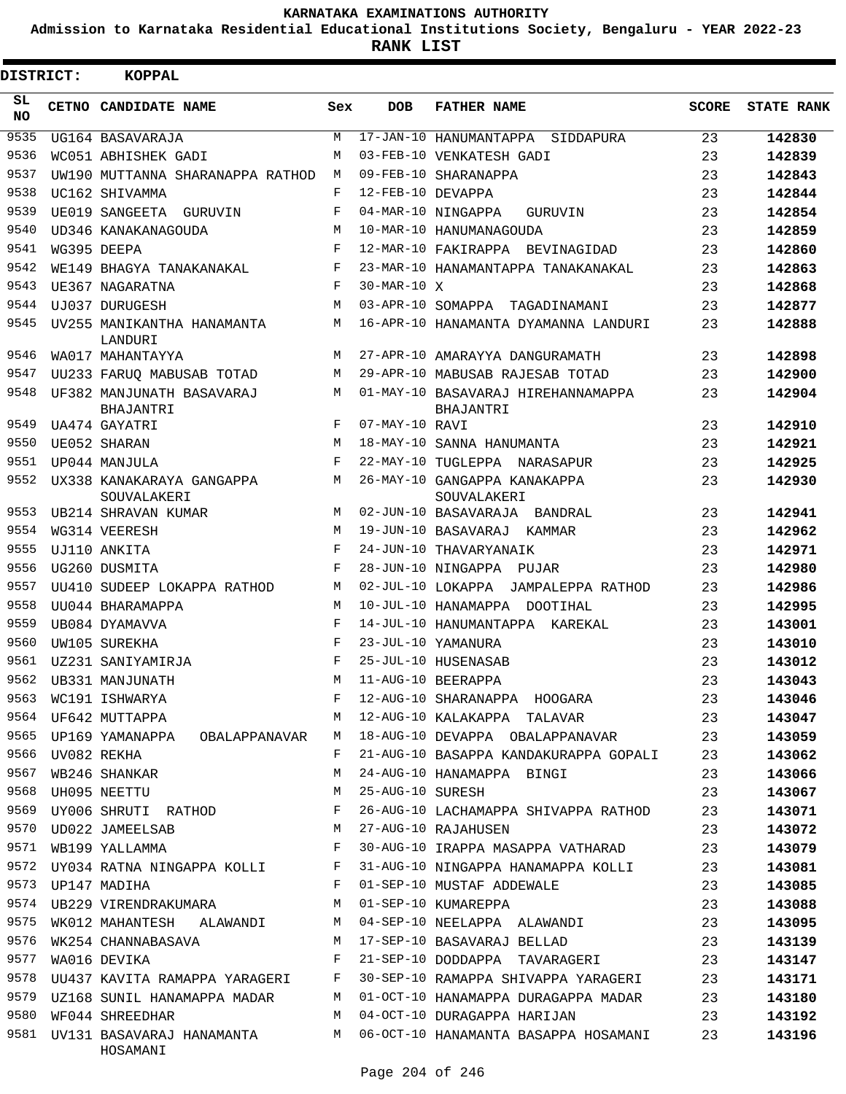**Admission to Karnataka Residential Educational Institutions Society, Bengaluru - YEAR 2022-23**

| <b>DISTRICT:</b> |                  | <b>KOPPAL</b>                                 |     |                   |                                                        |              |                   |
|------------------|------------------|-----------------------------------------------|-----|-------------------|--------------------------------------------------------|--------------|-------------------|
| SL<br>NO.        |                  | CETNO CANDIDATE NAME                          | Sex | <b>DOB</b>        | <b>FATHER NAME</b>                                     | <b>SCORE</b> | <b>STATE RANK</b> |
| 9535             |                  | UG164 BASAVARAJA                              | М   |                   | 17-JAN-10 HANUMANTAPPA SIDDAPURA                       | 23           | 142830            |
| 9536             |                  | WC051 ABHISHEK GADI                           | М   |                   | 03-FEB-10 VENKATESH GADI                               | 23           | 142839            |
| 9537             |                  | UW190 MUTTANNA SHARANAPPA RATHOD              | M   |                   | 09-FEB-10 SHARANAPPA                                   | 23           | 142843            |
| 9538             |                  | UC162 SHIVAMMA                                | F   | 12-FEB-10 DEVAPPA |                                                        | 23           | 142844            |
| 9539             |                  | UE019 SANGEETA GURUVIN                        | F   |                   | 04-MAR-10 NINGAPPA<br><b>GURUVIN</b>                   | 23           | 142854            |
| 9540             |                  | UD346 KANAKANAGOUDA                           | M   |                   | 10-MAR-10 HANUMANAGOUDA                                | 23           | 142859            |
| 9541             |                  | WG395 DEEPA                                   | F   |                   | 12-MAR-10 FAKIRAPPA BEVINAGIDAD                        | 23           | 142860            |
| 9542             |                  | WE149 BHAGYA TANAKANAKAL                      | F   |                   | 23-MAR-10 HANAMANTAPPA TANAKANAKAL                     | 23           | 142863            |
| 9543             |                  | UE367 NAGARATNA                               | F   | $30-MAR-10 X$     |                                                        | 23           | 142868            |
| 9544             |                  | UJ037 DURUGESH                                | M   |                   | 03-APR-10 SOMAPPA TAGADINAMANI                         | 23           | 142877            |
| 9545             |                  | UV255 MANIKANTHA HANAMANTA<br>LANDURI         | M   |                   | 16-APR-10 HANAMANTA DYAMANNA LANDURI                   | 23           | 142888            |
| 9546             |                  | WA017 MAHANTAYYA                              | M   |                   | 27-APR-10 AMARAYYA DANGURAMATH                         | 23           | 142898            |
| 9547             |                  | UU233 FARUO MABUSAB TOTAD                     | M   |                   | 29-APR-10 MABUSAB RAJESAB TOTAD                        | 23           | 142900            |
| 9548             |                  | UF382 MANJUNATH BASAVARAJ<br><b>BHAJANTRI</b> | М   |                   | 01-MAY-10 BASAVARAJ HIREHANNAMAPPA<br><b>BHAJANTRI</b> | 23           | 142904            |
| 9549             |                  | UA474 GAYATRI                                 | F   | 07-MAY-10 RAVI    |                                                        | 23           | 142910            |
| 9550             |                  | UE052 SHARAN                                  | М   |                   | 18-MAY-10 SANNA HANUMANTA                              | 23           | 142921            |
| 9551             |                  | UP044 MANJULA                                 | F   |                   | 22-MAY-10 TUGLEPPA NARASAPUR                           | 23           | 142925            |
| 9552             |                  | UX338 KANAKARAYA GANGAPPA                     | M   |                   | 26-MAY-10 GANGAPPA KANAKAPPA                           | 23           | 142930            |
|                  |                  | SOUVALAKERI                                   |     |                   | SOUVALAKERI                                            |              |                   |
| 9553             |                  | UB214 SHRAVAN KUMAR                           | M   |                   | 02-JUN-10 BASAVARAJA BANDRAL                           | 23           | 142941            |
| 9554             |                  | WG314 VEERESH                                 | M   |                   | 19-JUN-10 BASAVARAJ KAMMAR                             | 23           | 142962            |
| 9555             |                  | UJ110 ANKITA                                  | F   |                   | 24-JUN-10 THAVARYANAIK                                 | 23           | 142971            |
| 9556             |                  | UG260 DUSMITA                                 | F   |                   | 28-JUN-10 NINGAPPA PUJAR                               | 23           | 142980            |
| 9557             |                  | UU410 SUDEEP LOKAPPA RATHOD                   | М   |                   | 02-JUL-10 LOKAPPA JAMPALEPPA RATHOD                    | 23           | 142986            |
| 9558             |                  | UU044 BHARAMAPPA                              | M   |                   | 10-JUL-10 HANAMAPPA DOOTIHAL                           | 23           | 142995            |
| 9559             |                  | UB084 DYAMAVVA                                | F   |                   | 14-JUL-10 HANUMANTAPPA KAREKAL                         | 23           | 143001            |
| 9560             |                  | UW105 SUREKHA                                 | F   |                   | 23-JUL-10 YAMANURA                                     | 23           | 143010            |
| 9561             |                  | UZ231 SANIYAMIRJA                             | F   |                   | 25-JUL-10 HUSENASAB                                    | 23           | 143012            |
| 9562             |                  | UB331 MANJUNATH                               | M   |                   | 11-AUG-10 BEERAPPA                                     | 23           | 143043            |
| 9563             |                  | WC191 ISHWARYA                                | F   |                   | 12-AUG-10 SHARANAPPA HOOGARA                           | 23           | 143046            |
|                  |                  | 9564 UF642 MUTTAPPA                           | М   |                   | 12-AUG-10 KALAKAPPA TALAVAR                            | 23           | 143047            |
|                  |                  | 9565 UP169 YAMANAPPA OBALAPPANAVAR            | М   |                   | 18-AUG-10 DEVAPPA OBALAPPANAVAR                        | 23           | 143059            |
|                  | 9566 UV082 REKHA |                                               | F   |                   | 21-AUG-10 BASAPPA KANDAKURAPPA GOPALI                  | 23           | 143062            |
| 9567             |                  | WB246 SHANKAR                                 | М   |                   | 24-AUG-10 HANAMAPPA BINGI                              | 23           | 143066            |
| 9568             |                  | UH095 NEETTU                                  | М   | 25-AUG-10 SURESH  |                                                        | 23           | 143067            |
| 9569             |                  | UY006 SHRUTI RATHOD                           | F   |                   | 26-AUG-10 LACHAMAPPA SHIVAPPA RATHOD                   | 23           | 143071            |
|                  |                  | M<br>9570 UD022 JAMEELSAB                     |     |                   | 27-AUG-10 RAJAHUSEN                                    | 23           | 143072            |
| 9571             |                  | WB199 YALLAMMA                                | F   |                   | 30-AUG-10 IRAPPA MASAPPA VATHARAD                      | 23           | 143079            |
|                  |                  | 9572 UY034 RATNA NINGAPPA KOLLI F             |     |                   | 31-AUG-10 NINGAPPA HANAMAPPA KOLLI                     | 23           | 143081            |
|                  |                  | 9573 UP147 MADIHA                             | F   |                   | 01-SEP-10 MUSTAF ADDEWALE                              | 23           | 143085            |
|                  |                  | 9574 UB229 VIRENDRAKUMARA                     | М   |                   | 01-SEP-10 KUMAREPPA                                    | 23           | 143088            |
| 9575             |                  | WK012 MAHANTESH ALAWANDI                      | M   |                   | 04-SEP-10 NEELAPPA ALAWANDI                            | 23           | 143095            |
| 9576             |                  | WK254 CHANNABASAVA                            | M   |                   | 17-SEP-10 BASAVARAJ BELLAD                             | 23           | 143139            |
| 9577             |                  | WA016 DEVIKA                                  | F   |                   | 21-SEP-10 DODDAPPA TAVARAGERI                          | 23           | 143147            |
|                  |                  | 9578 UU437 KAVITA RAMAPPA YARAGERI F          |     |                   | 30-SEP-10 RAMAPPA SHIVAPPA YARAGERI                    | 23           | 143171            |
| 9579             |                  | UZ168 SUNIL HANAMAPPA MADAR                   | M   |                   | 01-OCT-10 HANAMAPPA DURAGAPPA MADAR                    | 23           | 143180            |
| 9580             |                  | WF044 SHREEDHAR                               | М   |                   | 04-OCT-10 DURAGAPPA HARIJAN                            | 23           | 143192            |
|                  |                  | 9581 UV131 BASAVARAJ HANAMANTA M<br>HOSAMANI  |     |                   | 06-OCT-10 HANAMANTA BASAPPA HOSAMANI                   | 23           | 143196            |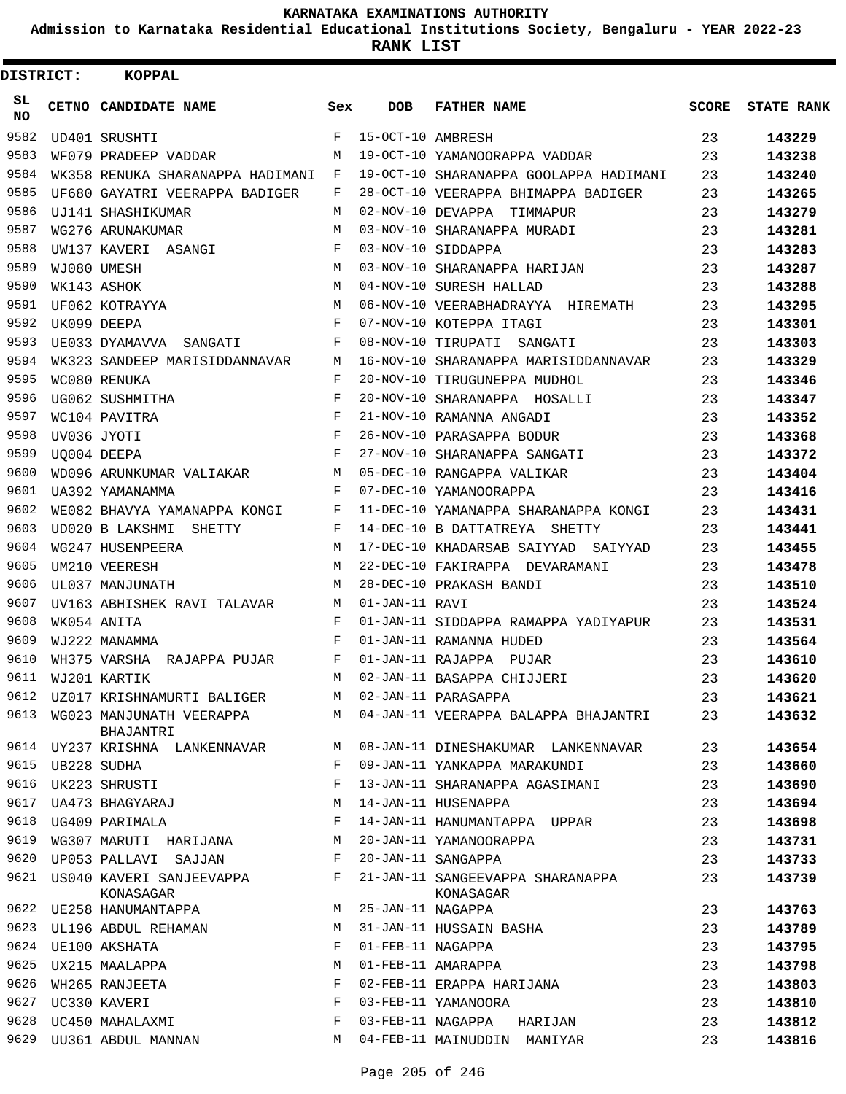**Admission to Karnataka Residential Educational Institutions Society, Bengaluru - YEAR 2022-23**

| <b>DISTRICT:</b> | <b>KOPPAL</b>                              |     |                   |                                               |              |                   |
|------------------|--------------------------------------------|-----|-------------------|-----------------------------------------------|--------------|-------------------|
| SL<br><b>NO</b>  | CETNO CANDIDATE NAME                       | Sex | <b>DOB</b>        | <b>FATHER NAME</b>                            | <b>SCORE</b> | <b>STATE RANK</b> |
| 9582             | UD401 SRUSHTI                              | F   | 15-OCT-10 AMBRESH |                                               | 23           | 143229            |
| 9583             | WF079 PRADEEP VADDAR                       | М   |                   | 19-OCT-10 YAMANOORAPPA VADDAR                 | 23           | 143238            |
| 9584             | WK358 RENUKA SHARANAPPA HADIMANI           | F   |                   | 19-OCT-10 SHARANAPPA GOOLAPPA HADIMANI        | 23           | 143240            |
| 9585             | UF680 GAYATRI VEERAPPA BADIGER             | F   |                   | 28-OCT-10 VEERAPPA BHIMAPPA BADIGER           | 23           | 143265            |
| 9586             | UJ141 SHASHIKUMAR                          | М   |                   | 02-NOV-10 DEVAPPA TIMMAPUR                    | 23           | 143279            |
| 9587             | WG276 ARUNAKUMAR                           | M   |                   | 03-NOV-10 SHARANAPPA MURADI                   | 23           | 143281            |
| 9588             | UW137 KAVERI ASANGI                        | F   |                   | 03-NOV-10 SIDDAPPA                            | 23           | 143283            |
| 9589             | WJ080 UMESH                                | M   |                   | 03-NOV-10 SHARANAPPA HARIJAN                  | 23           | 143287            |
| 9590             | WK143 ASHOK                                | M   |                   | 04-NOV-10 SURESH HALLAD                       | 23           | 143288            |
| 9591             | UF062 KOTRAYYA                             | М   |                   | 06-NOV-10 VEERABHADRAYYA HIREMATH             | 23           | 143295            |
| 9592             | UK099 DEEPA                                | F   |                   | 07-NOV-10 KOTEPPA ITAGI                       | 23           | 143301            |
| 9593             | UE033 DYAMAVVA SANGATI                     | F   |                   | 08-NOV-10 TIRUPATI SANGATI                    | 23           | 143303            |
| 9594             | WK323 SANDEEP MARISIDDANNAVAR              | М   |                   | 16-NOV-10 SHARANAPPA MARISIDDANNAVAR          | 23           | 143329            |
| 9595             | WC080 RENUKA                               | F   |                   | 20-NOV-10 TIRUGUNEPPA MUDHOL                  | 23           | 143346            |
| 9596             | UG062 SUSHMITHA                            | F   |                   | 20-NOV-10 SHARANAPPA HOSALLI                  | 23           | 143347            |
| 9597             | WC104 PAVITRA                              | F   |                   | 21-NOV-10 RAMANNA ANGADI                      | 23           | 143352            |
| 9598             | UV036 JYOTI                                | F   |                   | 26-NOV-10 PARASAPPA BODUR                     | 23           | 143368            |
| 9599             | UQ004 DEEPA                                | F   |                   | 27-NOV-10 SHARANAPPA SANGATI                  | 23           | 143372            |
| 9600             | WD096 ARUNKUMAR VALIAKAR                   | М   |                   | 05-DEC-10 RANGAPPA VALIKAR                    | 23           | 143404            |
| 9601             | UA392 YAMANAMMA                            | F   |                   | 07-DEC-10 YAMANOORAPPA                        | 23           | 143416            |
| 9602             | WE082 BHAVYA YAMANAPPA KONGI               | F   |                   | 11-DEC-10 YAMANAPPA SHARANAPPA KONGI          | 23           | 143431            |
| 9603             | UD020 B LAKSHMI SHETTY                     | F   |                   | 14-DEC-10 B DATTATREYA SHETTY                 | 23           | 143441            |
| 9604             | WG247 HUSENPEERA                           | M   |                   | 17-DEC-10 KHADARSAB SAIYYAD SAIYYAD           | 23           | 143455            |
| 9605             | UM210 VEERESH                              | M   |                   | 22-DEC-10 FAKIRAPPA DEVARAMANI                | 23           | 143478            |
| 9606             | UL037 MANJUNATH                            | М   |                   | 28-DEC-10 PRAKASH BANDI                       | 23           | 143510            |
| 9607             | UV163 ABHISHEK RAVI TALAVAR                | М   | 01-JAN-11 RAVI    |                                               | 23           | 143524            |
| 9608             | WK054 ANITA                                | F   |                   | 01-JAN-11 SIDDAPPA RAMAPPA YADIYAPUR          | 23           | 143531            |
| 9609             | WJ222 MANAMMA                              | F   |                   | 01-JAN-11 RAMANNA HUDED                       | 23           | 143564            |
| 9610             | WH375 VARSHA RAJAPPA PUJAR                 | F   |                   | 01-JAN-11 RAJAPPA PUJAR                       | 23           | 143610            |
| 9611             | WJ201 KARTIK                               | M   |                   | 02-JAN-11 BASAPPA CHIJJERI                    | 23           | 143620            |
|                  | 9612    UZ017    KRISHNAMURTI    BALIGER   | М   |                   | 02-JAN-11 PARASAPPA                           | 23           | 143621            |
| 9613             | WG023 MANJUNATH VEERAPPA<br>BHAJANTRI      | М   |                   | 04-JAN-11 VEERAPPA BALAPPA BHAJANTRI          | 23           | 143632            |
|                  | 9614 UY237 KRISHNA LANKENNAVAR             | М   |                   | 08-JAN-11 DINESHAKUMAR LANKENNAVAR            | 23           | 143654            |
| 9615             | UB228 SUDHA                                | F   |                   | 09-JAN-11 YANKAPPA MARAKUNDI                  | 23           | 143660            |
| 9616             | UK223 SHRUSTI                              | F   |                   | 13-JAN-11 SHARANAPPA AGASIMANI                | 23           | 143690            |
| 9617             | UA473 BHAGYARAJ                            | М   |                   | 14-JAN-11 HUSENAPPA                           | 23           | 143694            |
|                  | 9618 UG409 PARIMALA                        | F   |                   | 14-JAN-11 HANUMANTAPPA UPPAR                  | 23           | 143698            |
| 9619             | WG307 MARUTI HARIJANA                      | М   |                   | 20-JAN-11 YAMANOORAPPA                        | 23           | 143731            |
| 9620             | UP053 PALLAVI SAJJAN                       | F   |                   | 20-JAN-11 SANGAPPA                            | 23           | 143733            |
|                  | 9621 US040 KAVERI SANJEEVAPPA<br>KONASAGAR | F   |                   | 21-JAN-11 SANGEEVAPPA SHARANAPPA<br>KONASAGAR | 23           | 143739            |
|                  | 9622 UE258 HANUMANTAPPA                    | М   | 25-JAN-11 NAGAPPA |                                               | 23           | 143763            |
|                  | 9623 UL196 ABDUL REHAMAN                   | М   |                   | 31-JAN-11 HUSSAIN BASHA                       | 23           | 143789            |
| 9624             | UE100 AKSHATA                              | F   | 01-FEB-11 NAGAPPA |                                               | 23           | 143795            |
| 9625             | UX215 MAALAPPA                             | М   |                   | 01-FEB-11 AMARAPPA                            | 23           | 143798            |
| 9626             | WH265 RANJEETA                             | F   |                   | 02-FEB-11 ERAPPA HARIJANA                     | 23           | 143803            |
|                  | 9627 UC330 KAVERI                          | F   |                   | 03-FEB-11 YAMANOORA                           | 23           | 143810            |
| 9628             | UC450 MAHALAXMI                            | F   |                   | 03-FEB-11 NAGAPPA HARIJAN                     | 23           | 143812            |
| 9629             | UU361 ABDUL MANNAN                         | М   |                   | 04-FEB-11 MAINUDDIN MANIYAR                   | 23           | 143816            |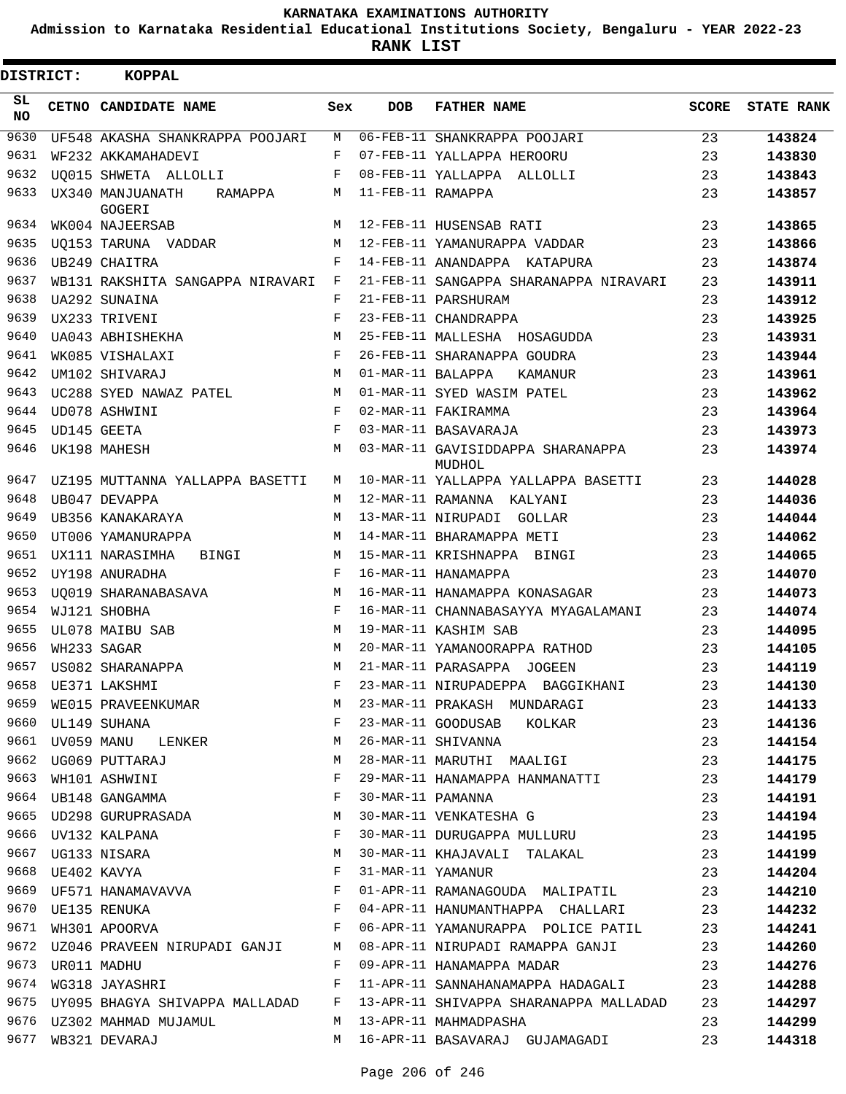**Admission to Karnataka Residential Educational Institutions Society, Bengaluru - YEAR 2022-23**

**RANK LIST**

| <b>DISTRICT:</b> |                  | KOPPAL                                                                      |            |                   |                                                                                                                                                                                                                               |              |                   |
|------------------|------------------|-----------------------------------------------------------------------------|------------|-------------------|-------------------------------------------------------------------------------------------------------------------------------------------------------------------------------------------------------------------------------|--------------|-------------------|
| SL.<br>NO.       |                  | CETNO CANDIDATE NAME                                                        | Sex        | <b>DOB</b>        | <b>FATHER NAME</b>                                                                                                                                                                                                            | <b>SCORE</b> | <b>STATE RANK</b> |
| 9630             |                  | UF548 AKASHA SHANKRAPPA POOJARI                                             | М          |                   | 06-FEB-11 SHANKRAPPA POOJARI                                                                                                                                                                                                  | 23           | 143824            |
| 9631             |                  | WF232 AKKAMAHADEVI                                                          | F          |                   | 07-FEB-11 YALLAPPA HEROORU                                                                                                                                                                                                    | 23           | 143830            |
| 9632             |                  | UO015 SHWETA ALLOLLI                                                        | F          |                   | 08-FEB-11 YALLAPPA ALLOLLI                                                                                                                                                                                                    | 23           | 143843            |
| 9633             |                  | UX340 MANJUANATH<br>RAMAPPA<br>GOGERI                                       | М          | 11-FEB-11 RAMAPPA |                                                                                                                                                                                                                               | 23           | 143857            |
| 9634             |                  | WK004 NAJEERSAB                                                             | М          |                   | 12-FEB-11 HUSENSAB RATI                                                                                                                                                                                                       | 23           | 143865            |
| 9635             |                  | UQ153 TARUNA VADDAR                                                         | М          |                   | 12-FEB-11 YAMANURAPPA VADDAR                                                                                                                                                                                                  | 23           | 143866            |
| 9636             |                  | UB249 CHAITRA                                                               | F          |                   | 14-FEB-11 ANANDAPPA KATAPURA                                                                                                                                                                                                  | 23           | 143874            |
| 9637             |                  | WB131 RAKSHITA SANGAPPA NIRAVARI                                            | F          |                   | 21-FEB-11 SANGAPPA SHARANAPPA NIRAVARI                                                                                                                                                                                        | 23           | 143911            |
| 9638             |                  | UA292 SUNAINA                                                               | F          |                   | 21-FEB-11 PARSHURAM                                                                                                                                                                                                           | 23           | 143912            |
| 9639             |                  | UX233 TRIVENI                                                               | F          |                   | 23-FEB-11 CHANDRAPPA                                                                                                                                                                                                          | 23           | 143925            |
| 9640             |                  | UA043 ABHISHEKHA                                                            | М          |                   | 25-FEB-11 MALLESHA HOSAGUDDA                                                                                                                                                                                                  | 23           | 143931            |
| 9641             |                  | WK085 VISHALAXI                                                             | F          |                   | 26-FEB-11 SHARANAPPA GOUDRA                                                                                                                                                                                                   | 23           | 143944            |
| 9642             |                  | UM102 SHIVARAJ                                                              | М          | 01-MAR-11 BALAPPA | KAMANUR                                                                                                                                                                                                                       | 23           | 143961            |
| 9643             |                  | UC288 SYED NAWAZ PATEL                                                      | М          |                   | 01-MAR-11 SYED WASIM PATEL                                                                                                                                                                                                    | 23           | 143962            |
| 9644             |                  | UD078 ASHWINI                                                               | F          |                   | 02-MAR-11 FAKIRAMMA                                                                                                                                                                                                           | 23           | 143964            |
| 9645             |                  | UD145 GEETA                                                                 | $_{\rm F}$ |                   | 03-MAR-11 BASAVARAJA                                                                                                                                                                                                          | 23           | 143973            |
| 9646             |                  | UK198 MAHESH                                                                | М          |                   | 03-MAR-11 GAVISIDDAPPA SHARANAPPA<br>MUDHOL                                                                                                                                                                                   | 23           | 143974            |
| 9647             |                  | UZ195 MUTTANNA YALLAPPA BASETTI                                             | М          |                   | 10-MAR-11 YALLAPPA YALLAPPA BASETTI                                                                                                                                                                                           | 23           | 144028            |
| 9648             |                  | UB047 DEVAPPA                                                               | М          |                   | 12-MAR-11 RAMANNA KALYANI                                                                                                                                                                                                     | 23           | 144036            |
| 9649             |                  | UB356 KANAKARAYA                                                            | М          |                   | 13-MAR-11 NIRUPADI GOLLAR                                                                                                                                                                                                     | 23           | 144044            |
| 9650             |                  | UT006 YAMANURAPPA                                                           | M          |                   | 14-MAR-11 BHARAMAPPA METI                                                                                                                                                                                                     | 23           | 144062            |
| 9651             |                  | UX111 NARASIMHA<br>BINGI                                                    | М          |                   | 15-MAR-11 KRISHNAPPA BINGI                                                                                                                                                                                                    | 23           | 144065            |
| 9652             |                  | UY198 ANURADHA                                                              | F          |                   | 16-MAR-11 HANAMAPPA                                                                                                                                                                                                           | 23           | 144070            |
| 9653             |                  | UO019 SHARANABASAVA                                                         | М          |                   | 16-MAR-11 HANAMAPPA KONASAGAR                                                                                                                                                                                                 | 23           | 144073            |
| 9654             |                  | WJ121 SHOBHA                                                                | F          |                   | 16-MAR-11 CHANNABASAYYA MYAGALAMANI                                                                                                                                                                                           | 23           | 144074            |
| 9655             |                  | UL078 MAIBU SAB                                                             | М          |                   | 19-MAR-11 KASHIM SAB                                                                                                                                                                                                          | 23           | 144095            |
| 9656             |                  | WH233 SAGAR                                                                 | М          |                   | 20-MAR-11 YAMANOORAPPA RATHOD                                                                                                                                                                                                 | 23           | 144105            |
| 9657             |                  | US082 SHARANAPPA                                                            | М          |                   | 21-MAR-11 PARASAPPA JOGEEN                                                                                                                                                                                                    | 23           | 144119            |
|                  |                  | 9658 UE371 LAKSHMI                                                          | F          |                   | 23-MAR-11 NIRUPADEPPA BAGGIKHANI 23                                                                                                                                                                                           |              | 144130            |
| 9659             |                  | WE015 PRAVEENKUMAR M                                                        |            |                   |                                                                                                                                                                                                                               | 23           | 144133            |
|                  |                  | 9660 UL149 SUHANA F                                                         |            |                   | 23-MAR-11 PRAKASH MUNDARAGI<br>23-MAR-11 GOODUSAB KOLKAR                                                                                                                                                                      | 23           | 144136            |
| 9661             |                  | UV059 MANU LENKER M                                                         |            |                   |                                                                                                                                                                                                                               | 23           | 144154            |
|                  |                  |                                                                             | M          |                   | 26-MAR-11 SHIVANNA<br>28-MAR-11 MARUTHI MAALIGI                                                                                                                                                                               | 23           | 144175            |
|                  |                  | 9662 UG069 PUTTARAJ<br>9663 WH101 ASHWINI                                   | F          |                   |                                                                                                                                                                                                                               | 23           | 144179            |
|                  |                  | 9664 UB148 GANGAMMA                                                         | F          |                   | 29-MAR-11 HANAMAPPA HANMANATTI<br>30-MAR-11 PAMANNA                                                                                                                                                                           | 23           |                   |
|                  |                  |                                                                             |            |                   | 30-MAR-11 VENKATESHA G                                                                                                                                                                                                        |              | 144191<br>144194  |
|                  |                  | 9665 UD298 GURUPRASADA M                                                    |            |                   |                                                                                                                                                                                                                               | 23           |                   |
|                  |                  | $\begin{array}{c}\n\text{F} \\ \text{M}\n\end{array}$<br>9666 UV132 KALPANA |            |                   | 30-MAR-11 DURUGAPPA MULLURU                                                                                                                                                                                                   | 23           | 144195            |
|                  |                  | 9667 UG133 NISARA                                                           |            |                   | 30-MAR-11 KHAJAVALI TALAKAL                                                                                                                                                                                                   | 23           | 144199            |
|                  |                  | 9668 UE402 KAVYA                                                            | F          |                   | 31-MAR-11 YAMANUR                                                                                                                                                                                                             | 23           | 144204            |
|                  |                  | 9669 UF571 HANAMAVAVVA F                                                    |            |                   | 01-APR-11 RAMANAGOUDA MALIPATIL 23                                                                                                                                                                                            |              | 144210            |
|                  |                  |                                                                             |            |                   | 9670 UE135 RENUKA                                   F   04-APR-11 HANUMANTHAPPA  CHALLARI                   23<br>9671  WH301 APOORVA                             F     06-APR-11 YAMANURAPPA   POLICE PATIL               23 |              | 144232            |
|                  |                  |                                                                             |            |                   |                                                                                                                                                                                                                               |              | 144241            |
|                  |                  |                                                                             |            |                   | 9672 UZ046 PRAVEEN NIRUPADI GANJI M 08-APR-11 NIRUPADI RAMAPPA GANJI 23                                                                                                                                                       |              | 144260            |
|                  | 9673 UR011 MADHU |                                                                             |            |                   | F 09-APR-11 HANAMAPPA MADAR 23                                                                                                                                                                                                |              | 144276            |
|                  |                  |                                                                             |            |                   | 9674 WG318 JAYASHRI 23<br>9674 WG318 JAYASHRI TARRET RADAGALI 23                                                                                                                                                              |              | 144288            |
|                  |                  |                                                                             |            |                   | 9675 UY095 BHAGYA SHIVAPPA MALLADAD F 13-APR-11 SHIVAPPA SHARANAPPA MALLADAD                                                                                                                                                  | 23           | 144297            |
|                  |                  | 9676 UZ302 MAHMAD MUJAMUL NARAH MARA MAHALANG MAHMADPASHA                   |            |                   |                                                                                                                                                                                                                               | 23           | 144299            |
|                  |                  | 9677 WB321 DEVARAJ                                                          | M          |                   | 16-APR-11 BASAVARAJ GUJAMAGADI                                                                                                                                                                                                | 23           | 144318            |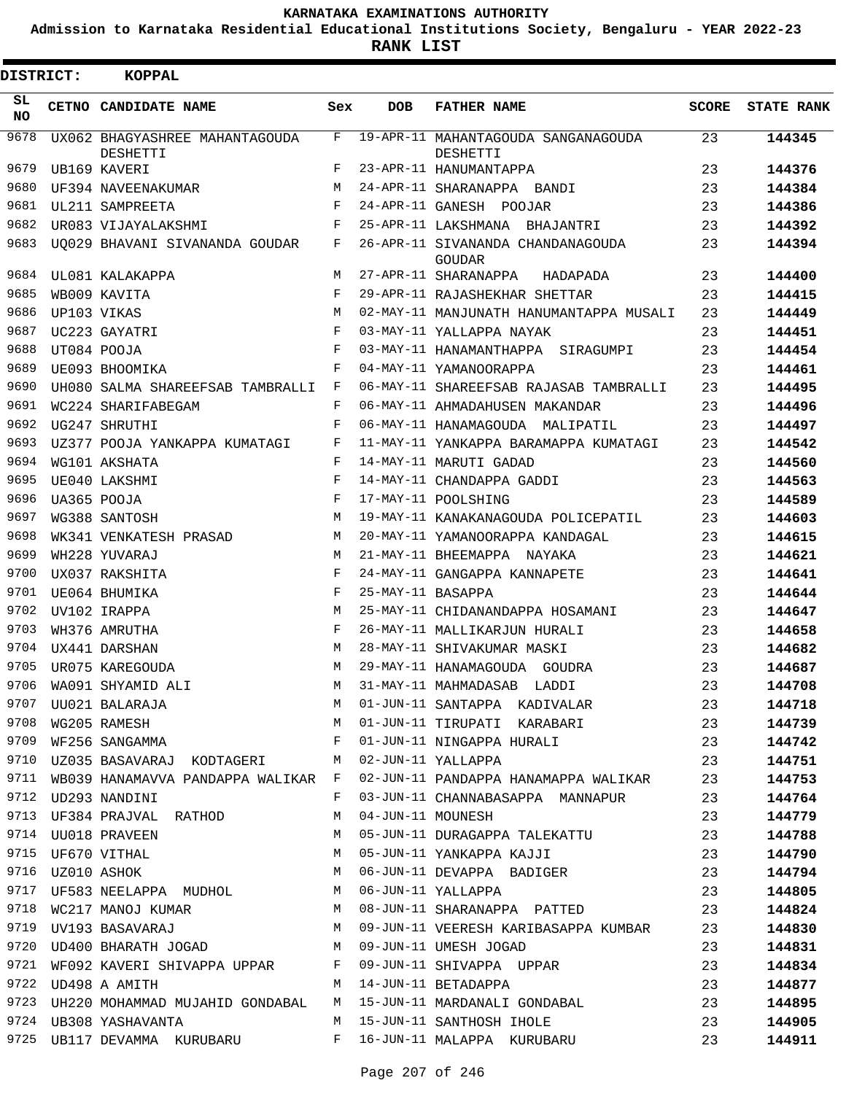**Admission to Karnataka Residential Educational Institutions Society, Bengaluru - YEAR 2022-23**

**RANK LIST**

| DISTRICT: | <b>KOPPAL</b>                                    |            |                   |                                                                                                                                                                                                           |       |                   |
|-----------|--------------------------------------------------|------------|-------------------|-----------------------------------------------------------------------------------------------------------------------------------------------------------------------------------------------------------|-------|-------------------|
| SL<br>NO. | CETNO CANDIDATE NAME                             | Sex        | <b>DOB</b>        | <b>FATHER NAME</b>                                                                                                                                                                                        | SCORE | <b>STATE RANK</b> |
| 9678      | UX062 BHAGYASHREE MAHANTAGOUDA<br>DESHETTI       | F          |                   | 19-APR-11 MAHANTAGOUDA SANGANAGOUDA<br>DESHETTI                                                                                                                                                           | 23    | 144345            |
| 9679      | UB169 KAVERI                                     | F          |                   | 23-APR-11 HANUMANTAPPA                                                                                                                                                                                    | 23    | 144376            |
| 9680      | UF394 NAVEENAKUMAR                               | M          |                   | 24-APR-11 SHARANAPPA BANDI                                                                                                                                                                                | 23    | 144384            |
| 9681      | UL211 SAMPREETA                                  | F          |                   | 24-APR-11 GANESH POOJAR                                                                                                                                                                                   | 23    | 144386            |
| 9682      | UR083 VIJAYALAKSHMI                              | F          |                   | 25-APR-11 LAKSHMANA BHAJANTRI                                                                                                                                                                             | 23    | 144392            |
| 9683      | UO029 BHAVANI SIVANANDA GOUDAR                   | F          |                   | 26-APR-11 SIVANANDA CHANDANAGOUDA<br><b>GOUDAR</b>                                                                                                                                                        | 23    | 144394            |
| 9684      | UL081 KALAKAPPA                                  | М          |                   | 27-APR-11 SHARANAPPA<br>HADAPADA                                                                                                                                                                          | 23    | 144400            |
| 9685      | WB009 KAVITA                                     | F          |                   | 29-APR-11 RAJASHEKHAR SHETTAR                                                                                                                                                                             | 23    | 144415            |
| 9686      | UP103 VIKAS                                      | M          |                   | 02-MAY-11 MANJUNATH HANUMANTAPPA MUSALI                                                                                                                                                                   | 23    | 144449            |
| 9687      | UC223 GAYATRI                                    | $_{\rm F}$ |                   | 03-MAY-11 YALLAPPA NAYAK                                                                                                                                                                                  | 23    | 144451            |
| 9688      | UT084 POOJA                                      | F          |                   | 03-MAY-11 HANAMANTHAPPA SIRAGUMPI                                                                                                                                                                         | 23    | 144454            |
| 9689      | UE093 BHOOMIKA                                   | F          |                   | 04-MAY-11 YAMANOORAPPA                                                                                                                                                                                    | 23    | 144461            |
| 9690      | UH080 SALMA SHAREEFSAB TAMBRALLI F               |            |                   | 06-MAY-11 SHAREEFSAB RAJASAB TAMBRALLI                                                                                                                                                                    | 23    | 144495            |
| 9691      | WC224 SHARIFABEGAM                               | $_{\rm F}$ |                   | 06-MAY-11 AHMADAHUSEN MAKANDAR                                                                                                                                                                            | 23    | 144496            |
| 9692      | UG247 SHRUTHI                                    | F          |                   | 06-MAY-11 HANAMAGOUDA MALIPATIL                                                                                                                                                                           | 23    | 144497            |
| 9693      | UZ377 POOJA YANKAPPA KUMATAGI                    | F          |                   | 11-MAY-11 YANKAPPA BARAMAPPA KUMATAGI                                                                                                                                                                     | 23    | 144542            |
| 9694      | WG101 AKSHATA                                    | F          |                   | 14-MAY-11 MARUTI GADAD                                                                                                                                                                                    | 23    | 144560            |
| 9695      | UE040 LAKSHMI                                    | F          |                   | 14-MAY-11 CHANDAPPA GADDI                                                                                                                                                                                 | 23    | 144563            |
| 9696      | UA365 POOJA                                      | F          |                   | 17-MAY-11 POOLSHING                                                                                                                                                                                       | 23    | 144589            |
| 9697      | WG388 SANTOSH                                    | M          |                   | 19-MAY-11 KANAKANAGOUDA POLICEPATIL                                                                                                                                                                       | 23    | 144603            |
| 9698      | WK341 VENKATESH PRASAD                           | M          |                   | 20-MAY-11 YAMANOORAPPA KANDAGAL                                                                                                                                                                           | 23    | 144615            |
| 9699      | WH228 YUVARAJ                                    | M          |                   | 21-MAY-11 BHEEMAPPA NAYAKA                                                                                                                                                                                | 23    | 144621            |
| 9700      | UX037 RAKSHITA                                   | $_{\rm F}$ |                   | 24-MAY-11 GANGAPPA KANNAPETE                                                                                                                                                                              | 23    | 144641            |
| 9701      | UE064 BHUMIKA                                    | $_{\rm F}$ | 25-MAY-11 BASAPPA |                                                                                                                                                                                                           | 23    | 144644            |
| 9702      | UV102 IRAPPA                                     | M          |                   | 25-MAY-11 CHIDANANDAPPA HOSAMANI                                                                                                                                                                          | 23    | 144647            |
| 9703      | WH376 AMRUTHA                                    | $_{\rm F}$ |                   | 26-MAY-11 MALLIKARJUN HURALI                                                                                                                                                                              | 23    | 144658            |
| 9704      | UX441 DARSHAN                                    | М          |                   | 28-MAY-11 SHIVAKUMAR MASKI                                                                                                                                                                                | 23    | 144682            |
| 9705      | UR075 KAREGOUDA                                  | М          |                   | 29-MAY-11 HANAMAGOUDA GOUDRA                                                                                                                                                                              | 23    | 144687            |
|           | 9706 WA091 SHYAMID ALI                           |            |                   | M 31-MAY-11 MAHMADASAB LADDI                                                                                                                                                                              | 23    | 144708            |
|           |                                                  |            |                   |                                                                                                                                                                                                           |       | 144718            |
|           |                                                  |            |                   |                                                                                                                                                                                                           |       | 144739            |
|           |                                                  |            |                   |                                                                                                                                                                                                           |       | 144742            |
|           |                                                  |            |                   | 9710 UZ035 BASAVARAJ KODTAGERI M 02-JUN-11 YALLAPPA 23                                                                                                                                                    |       | 144751            |
|           |                                                  |            |                   | 9711 WB039 HANAMAVVA PANDAPPA WALIKAR F 02-JUN-11 PANDAPPA HANAMAPPA WALIKAR 23                                                                                                                           |       | 144753            |
|           | 9712 UD293 NANDINI                               |            |                   | F 03-JUN-11 CHANNABASAPPA MANNAPUR 23                                                                                                                                                                     |       | 144764            |
|           | 9713 UF384 PRAJVAL RATHOD M 04-JUN-11 MOUNESH    |            |                   |                                                                                                                                                                                                           | 23    | 144779            |
|           |                                                  |            |                   |                                                                                                                                                                                                           |       | 144788            |
|           |                                                  |            |                   |                                                                                                                                                                                                           |       | 144790            |
|           |                                                  |            |                   |                                                                                                                                                                                                           |       | 144794            |
|           |                                                  |            |                   | 9717 UF583 NEELAPPA MUDHOL M 06-JUN-11 YALLAPPA 23                                                                                                                                                        |       | 144805            |
|           |                                                  |            |                   |                                                                                                                                                                                                           |       | 144824            |
|           |                                                  |            |                   | 9718 WC217 MANOJ KUMAR                   M   08-JUN-11 SHARANAPPA  PATTED                         23<br>9719  UV193 BASAVARAJ                         M   09-JUN-11 VEERESH KARIBASAPPA KUMBAR         23 |       | 144830            |
|           | 9720 UD400 BHARATH JOGAD M 09-JUN-11 UMESH JOGAD |            |                   | 23                                                                                                                                                                                                        |       | 144831            |
|           |                                                  |            |                   | 9721 WF092 KAVERI SHIVAPPA UPPAR F 09-JUN-11 SHIVAPPA UPPAR 23                                                                                                                                            |       | 144834            |
|           |                                                  |            |                   |                                                                                                                                                                                                           |       | 144877            |
|           |                                                  |            |                   | 9722 UD498 A AMITH 14-JUN-11 BETADAPPA 23<br>9723 UH220 MOHAMMAD MUJAHID GONDABAL 1 M 15-JUN-11 MARDANALI GONDABAL 23                                                                                     |       | 144895            |
|           |                                                  |            |                   | 9724 UB308 YASHAVANTA 23                                                                                                                                                                                  |       | 144905            |
|           |                                                  |            |                   | 9725 UB117 DEVAMMA KURUBARU     F 16-JUN-11 MALAPPA KURUBARU       23                                                                                                                                     |       | 144911            |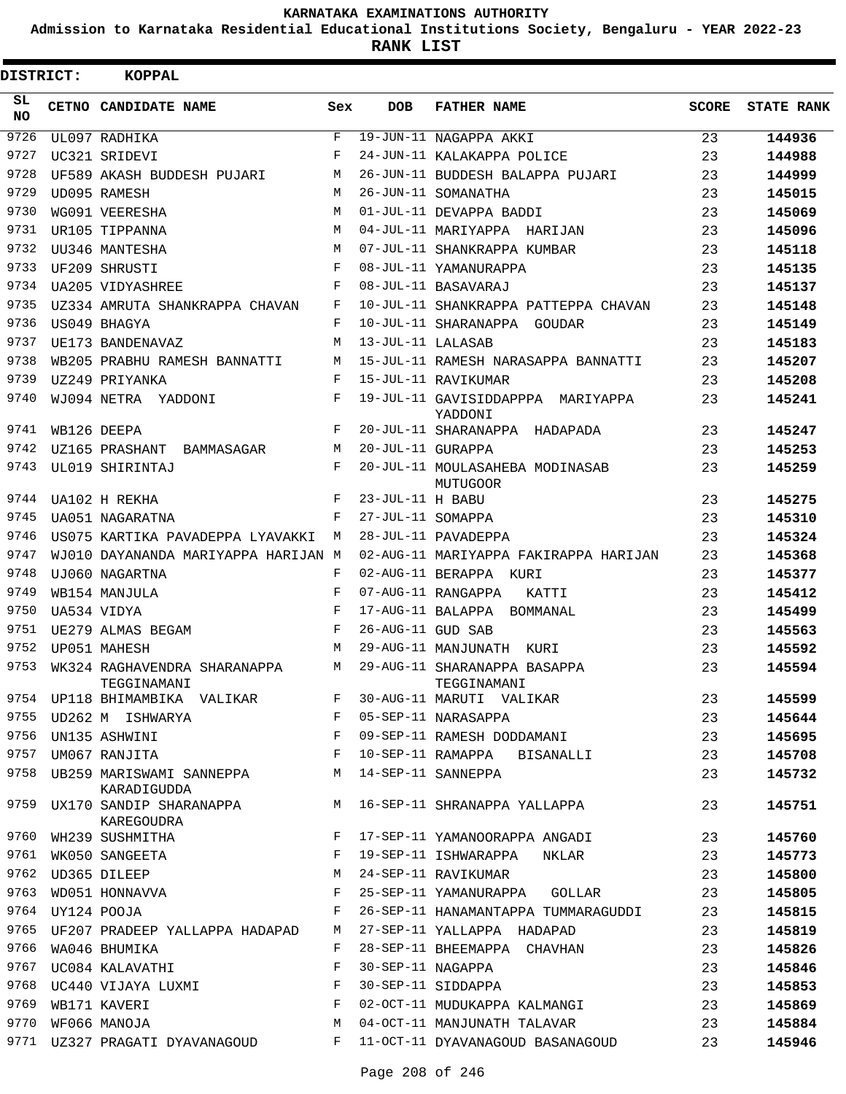**Admission to Karnataka Residential Educational Institutions Society, Bengaluru - YEAR 2022-23**

| <b>DISTRICT:</b> |                  | <b>KOPPAL</b>                                |              |                   |                                                    |              |                   |
|------------------|------------------|----------------------------------------------|--------------|-------------------|----------------------------------------------------|--------------|-------------------|
| SL<br><b>NO</b>  |                  | CETNO CANDIDATE NAME                         | Sex          | <b>DOB</b>        | <b>FATHER NAME</b>                                 | <b>SCORE</b> | <b>STATE RANK</b> |
| 9726             |                  | UL097 RADHIKA                                | $\mathbf{F}$ |                   | 19-JUN-11 NAGAPPA AKKI                             | 23           | 144936            |
| 9727             |                  | UC321 SRIDEVI                                | F            |                   | 24-JUN-11 KALAKAPPA POLICE                         | 23           | 144988            |
| 9728             |                  | UF589 AKASH BUDDESH PUJARI                   | М            |                   | 26-JUN-11 BUDDESH BALAPPA PUJARI                   | 23           | 144999            |
| 9729             |                  | UD095 RAMESH                                 | М            |                   | 26-JUN-11 SOMANATHA                                | 23           | 145015            |
| 9730             |                  | WG091 VEERESHA                               | М            |                   | 01-JUL-11 DEVAPPA BADDI                            | 23           | 145069            |
| 9731             |                  | UR105 TIPPANNA                               | M            |                   | 04-JUL-11 MARIYAPPA HARIJAN                        | 23           | 145096            |
| 9732             |                  | UU346 MANTESHA                               | M            |                   | 07-JUL-11 SHANKRAPPA KUMBAR                        | 23           | 145118            |
| 9733             |                  | UF209 SHRUSTI                                | F            |                   | 08-JUL-11 YAMANURAPPA                              | 23           | 145135            |
| 9734             |                  | <b>UA205 VIDYASHREE</b>                      | F            |                   | 08-JUL-11 BASAVARAJ                                | 23           | 145137            |
| 9735             |                  | UZ334 AMRUTA SHANKRAPPA CHAVAN               | F            |                   | 10-JUL-11 SHANKRAPPA PATTEPPA CHAVAN               | 23           | 145148            |
| 9736             |                  | US049 BHAGYA                                 | F            |                   | 10-JUL-11 SHARANAPPA GOUDAR                        | 23           | 145149            |
| 9737             |                  | UE173 BANDENAVAZ                             | М            | 13-JUL-11 LALASAB |                                                    | 23           | 145183            |
| 9738             |                  | WB205 PRABHU RAMESH BANNATTI                 | М            |                   | 15-JUL-11 RAMESH NARASAPPA BANNATTI                | 23           | 145207            |
| 9739             |                  | UZ249 PRIYANKA                               | F            |                   | 15-JUL-11 RAVIKUMAR                                | 23           | 145208            |
| 9740             |                  | WJ094 NETRA YADDONI                          | F            |                   | 19-JUL-11 GAVISIDDAPPPA MARIYAPPA<br>YADDONI       | 23           | 145241            |
| 9741             |                  | WB126 DEEPA                                  | F            |                   | 20-JUL-11 SHARANAPPA HADAPADA                      | 23           | 145247            |
| 9742             |                  | UZ165 PRASHANT BAMMASAGAR                    | M            | 20-JUL-11 GURAPPA |                                                    | 23           | 145253            |
| 9743             |                  | UL019 SHIRINTAJ                              | F            |                   | 20-JUL-11 MOULASAHEBA MODINASAB<br><b>MUTUGOOR</b> | 23           | 145259            |
| 9744             |                  | UA102 H REKHA                                | F            | 23-JUL-11 H BABU  |                                                    | 23           | 145275            |
| 9745             |                  | UA051 NAGARATNA                              | F            | 27-JUL-11 SOMAPPA |                                                    | 23           | 145310            |
| 9746             |                  | US075 KARTIKA PAVADEPPA LYAVAKKI             | М            |                   | 28-JUL-11 PAVADEPPA                                | 23           | 145324            |
| 9747             |                  | WJ010 DAYANANDA MARIYAPPA HARIJAN M          |              |                   | 02-AUG-11 MARIYAPPA FAKIRAPPA HARIJAN              | 23           | 145368            |
| 9748             |                  | UJ060 NAGARTNA                               | F            |                   | 02-AUG-11 BERAPPA KURI                             | 23           | 145377            |
| 9749             |                  | WB154 MANJULA                                | F            |                   | 07-AUG-11 RANGAPPA<br>KATTI                        | 23           | 145412            |
| 9750             |                  | UA534 VIDYA                                  | F            |                   | 17-AUG-11 BALAPPA<br>BOMMANAL                      | 23           | 145499            |
| 9751             |                  | UE279 ALMAS BEGAM                            | F            | 26-AUG-11 GUD SAB |                                                    | 23           | 145563            |
| 9752             |                  | UP051 MAHESH                                 | М            |                   | 29-AUG-11 MANJUNATH KURI                           | 23           | 145592            |
| 9753             |                  | WK324 RAGHAVENDRA SHARANAPPA<br>TEGGINAMANI  | M            |                   | 29-AUG-11 SHARANAPPA BASAPPA<br>TEGGINAMANI        | 23           | 145594            |
|                  |                  | 9754 UP118 BHIMAMBIKA VALIKAR                | F            |                   | 30-AUG-11 MARUTI VALIKAR                           | 23           | 145599            |
| 9755             |                  | UD262 M ISHWARYA                             | $\mathbf{F}$ |                   | 05-SEP-11 NARASAPPA                                | 23           | 145644            |
| 9756             |                  | <b>Example 20</b><br>UN135 ASHWINI           |              |                   | 09-SEP-11 RAMESH DODDAMANI                         | 23           | 145695            |
|                  |                  | 9757 UM067 RANJITA                           | F            |                   | 10-SEP-11 RAMAPPA BISANALLI                        | 23           | 145708            |
|                  |                  | 9758 UB259 MARISWAMI SANNEPPA<br>KARADIGUDDA | M            |                   | 14-SEP-11 SANNEPPA                                 | 23           | 145732            |
|                  |                  | 9759 UX170 SANDIP SHARANAPPA<br>KAREGOUDRA   |              |                   | M 16-SEP-11 SHRANAPPA YALLAPPA                     | 23           | 145751            |
|                  |                  | 9760 WH239 SUSHMITHA<br>9761 WK050 SANGEETA  | F            |                   | 17-SEP-11 YAMANOORAPPA ANGADI                      | 23           | 145760            |
|                  |                  |                                              | F            |                   | 19-SEP-11 ISHWARAPPA NKLAR                         | 23           | 145773            |
| 9762             |                  | UD365 DILEEP                                 | М            |                   | 24-SEP-11 RAVIKUMAR                                | 23           | 145800            |
| 9763             |                  | WD051 HONNAVVA                               | F            |                   | 25-SEP-11 YAMANURAPPA GOLLAR                       | 23           | 145805            |
|                  | 9764 UY124 POOJA |                                              | F            |                   | 26-SEP-11 HANAMANTAPPA TUMMARAGUDDI                | 23           | 145815            |
|                  |                  | 9765 UF207 PRADEEP YALLAPPA HADAPAD          | М            |                   | 27-SEP-11 YALLAPPA HADAPAD                         | 23           | 145819            |
| 9766             |                  | WA046 BHUMIKA                                | F            |                   | 28-SEP-11 BHEEMAPPA CHAVHAN                        | 23           | 145826            |
| 9767             |                  | UC084 KALAVATHI                              | F            | 30-SEP-11 NAGAPPA |                                                    | 23           | 145846            |
|                  |                  | 9768 UC440 VIJAYA LUXMI                      | $\mathbf{F}$ |                   | 30-SEP-11 SIDDAPPA                                 | 23           | 145853            |
|                  |                  | 9769 WB171 KAVERI                            | F            |                   | 02-OCT-11 MUDUKAPPA KALMANGI                       | 23           | 145869            |
| 9770             |                  | WF066 MANOJA                                 | М            |                   | 04-OCT-11 MANJUNATH TALAVAR                        | 23           | 145884            |
|                  |                  | 9771 UZ327 PRAGATI DYAVANAGOUD               | F            |                   | 11-OCT-11 DYAVANAGOUD BASANAGOUD                   | 23           | 145946            |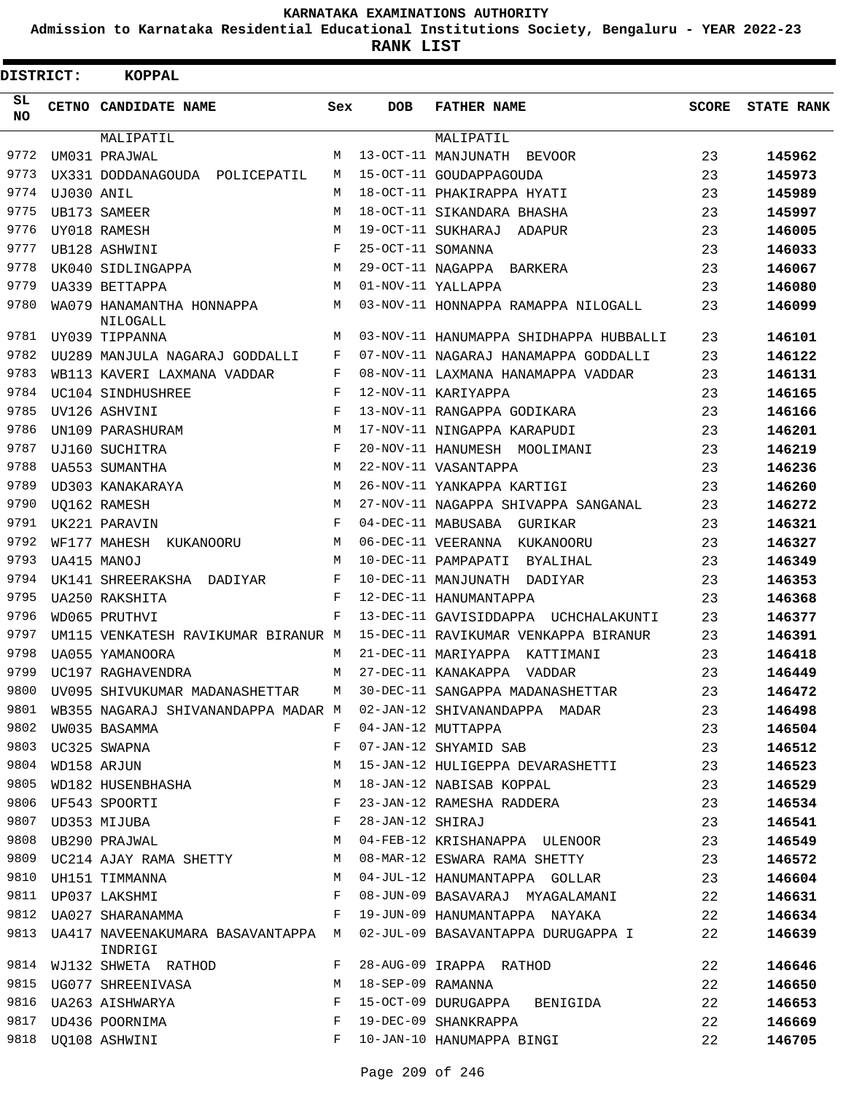**Admission to Karnataka Residential Educational Institutions Society, Bengaluru - YEAR 2022-23**

**RANK LIST**

| DISTRICT: |            | <b>KOPPAL</b>                                 |            |                   |                                        |              |                   |
|-----------|------------|-----------------------------------------------|------------|-------------------|----------------------------------------|--------------|-------------------|
| SL<br>NO. |            | <b>CETNO CANDIDATE NAME</b>                   | Sex        | <b>DOB</b>        | <b>FATHER NAME</b>                     | <b>SCORE</b> | <b>STATE RANK</b> |
|           |            | MALIPATIL                                     |            |                   | MALIPATIL                              |              |                   |
| 9772      |            | UM031 PRAJWAL                                 | М          |                   | 13-OCT-11 MANJUNATH BEVOOR             | 23           | 145962            |
| 9773      |            | UX331 DODDANAGOUDA POLICEPATIL                | M          |                   | 15-OCT-11 GOUDAPPAGOUDA                | 23           | 145973            |
| 9774      | UJ030 ANIL |                                               | М          |                   | 18-OCT-11 PHAKIRAPPA HYATI             | 23           | 145989            |
| 9775      |            | UB173 SAMEER                                  | M          |                   | 18-OCT-11 SIKANDARA BHASHA             | 23           | 145997            |
| 9776      |            | UY018 RAMESH                                  | M          |                   | 19-OCT-11 SUKHARAJ<br><b>ADAPUR</b>    | 23           | 146005            |
| 9777      |            | UB128 ASHWINI                                 | F          | 25-OCT-11 SOMANNA |                                        | 23           | 146033            |
| 9778      |            | UK040 SIDLINGAPPA                             | M          | 29-OCT-11 NAGAPPA | <b>BARKERA</b>                         | 23           | 146067            |
| 9779      |            | UA339 BETTAPPA                                | M          |                   | 01-NOV-11 YALLAPPA                     | 23           | 146080            |
| 9780      |            | WA079 HANAMANTHA HONNAPPA<br>NILOGALL         | М          |                   | 03-NOV-11 HONNAPPA RAMAPPA NILOGALL    | 23           | 146099            |
| 9781      |            | UY039 TIPPANNA                                | M          |                   | 03-NOV-11 HANUMAPPA SHIDHAPPA HUBBALLI | 23           | 146101            |
| 9782      |            | UU289 MANJULA NAGARAJ GODDALLI                | F          |                   | 07-NOV-11 NAGARAJ HANAMAPPA GODDALLI   | 23           | 146122            |
| 9783      |            | WB113 KAVERI LAXMANA VADDAR                   | F          |                   | 08-NOV-11 LAXMANA HANAMAPPA VADDAR     | 23           | 146131            |
| 9784      |            | UC104 SINDHUSHREE                             | F          |                   | 12-NOV-11 KARIYAPPA                    | 23           | 146165            |
| 9785      |            | UV126 ASHVINI                                 | F          |                   | 13-NOV-11 RANGAPPA GODIKARA            | 23           | 146166            |
| 9786      |            | UN109 PARASHURAM                              | M          |                   | 17-NOV-11 NINGAPPA KARAPUDI            | 23           | 146201            |
| 9787      |            | UJ160 SUCHITRA                                | F          |                   | 20-NOV-11 HANUMESH MOOLIMANI           | 23           | 146219            |
| 9788      |            | UA553 SUMANTHA                                | M          |                   | 22-NOV-11 VASANTAPPA                   | 23           | 146236            |
| 9789      |            | UD303 KANAKARAYA                              | M          |                   | 26-NOV-11 YANKAPPA KARTIGI             | 23           | 146260            |
| 9790      |            | UO162 RAMESH                                  | M          |                   | 27-NOV-11 NAGAPPA SHIVAPPA SANGANAL    | 23           | 146272            |
| 9791      |            | UK221 PARAVIN                                 | F          |                   | 04-DEC-11 MABUSABA<br>GURIKAR          | 23           | 146321            |
| 9792      |            | WF177 MAHESH<br>KUKANOORU                     | M          |                   | 06-DEC-11 VEERANNA<br>KUKANOORU        | 23           | 146327            |
| 9793      |            | UA415 MANOJ                                   | M          |                   | 10-DEC-11 PAMPAPATI<br>BYALIHAL        | 23           | 146349            |
| 9794      |            | UK141 SHREERAKSHA DADIYAR                     | F          |                   | 10-DEC-11 MANJUNATH DADIYAR            | 23           | 146353            |
| 9795      |            | <b>UA250 RAKSHITA</b>                         | F          |                   | 12-DEC-11 HANUMANTAPPA                 | 23           | 146368            |
| 9796      |            | WD065 PRUTHVI                                 | F          |                   | 13-DEC-11 GAVISIDDAPPA UCHCHALAKUNTI   | 23           | 146377            |
| 9797      |            | UM115 VENKATESH RAVIKUMAR BIRANUR M           |            |                   | 15-DEC-11 RAVIKUMAR VENKAPPA BIRANUR   | 23           | 146391            |
| 9798      |            | UA055 YAMANOORA                               | М          |                   | 21-DEC-11 MARIYAPPA<br>KATTIMANI       | 23           | 146418            |
| 9799      |            | UC197 RAGHAVENDRA                             | М          |                   | 27-DEC-11 KANAKAPPA<br>VADDAR          | 23           | 146449            |
| 9800      |            | UV095 SHIVUKUMAR MADANASHETTAR                | М          |                   | 30-DEC-11 SANGAPPA MADANASHETTAR       | 23           | 146472            |
| 9801      |            | WB355 NAGARAJ SHIVANANDAPPA MADAR M           |            |                   | 02-JAN-12 SHIVANANDAPPA MADAR          | 23           | 146498            |
| 9802      |            | UW035 BASAMMA                                 | F          |                   | 04-JAN-12 MUTTAPPA                     | 23           | 146504            |
| 9803      |            | UC325 SWAPNA                                  | F          |                   | 07-JAN-12 SHYAMID SAB                  | 23           | 146512            |
| 9804      |            | WD158 ARJUN                                   | М          |                   | 15-JAN-12 HULIGEPPA DEVARASHETTI       | 23           | 146523            |
| 9805      |            | WD182 HUSENBHASHA                             | М          |                   | 18-JAN-12 NABISAB KOPPAL               | 23           | 146529            |
|           |            | 9806 UF543 SPOORTI                            | F          |                   | 23-JAN-12 RAMESHA RADDERA              | 23           | 146534            |
| 9807      |            | UD353 MIJUBA                                  | F          | 28-JAN-12 SHIRAJ  |                                        | 23           | 146541            |
| 9808      |            | UB290 PRAJWAL                                 | М          |                   | 04-FEB-12 KRISHANAPPA ULENOOR          | 23           | 146549            |
| 9809      |            | UC214 AJAY RAMA SHETTY                        | M          |                   | 08-MAR-12 ESWARA RAMA SHETTY           | 23           | 146572            |
|           |            | 9810 UH151 TIMMANNA                           | M          |                   | 04-JUL-12 HANUMANTAPPA GOLLAR          | 23           | 146604            |
|           |            | 9811 UP037 LAKSHMI                            | F          |                   | 08-JUN-09 BASAVARAJ MYAGALAMANI        | 22           | 146631            |
| 9812      |            | UA027 SHARANAMMA                              | F          |                   | 19-JUN-09 HANUMANTAPPA NAYAKA          | 22           | 146634            |
| 9813      |            | UA417 NAVEENAKUMARA BASAVANTAPPA M<br>INDRIGI |            |                   | 02-JUL-09 BASAVANTAPPA DURUGAPPA I     | 22           | 146639            |
| 9814      |            | WJ132 SHWETA RATHOD                           | F          |                   | 28-AUG-09 IRAPPA RATHOD                | 22           | 146646            |
| 9815      |            | UG077 SHREENIVASA                             | M          | 18-SEP-09 RAMANNA |                                        | 22           | 146650            |
| 9816      |            | UA263 AISHWARYA                               | $_{\rm F}$ |                   | 15-OCT-09 DURUGAPPA BENIGIDA           | 22           | 146653            |
| 9817      |            | UD436 POORNIMA                                | F          |                   | 19-DEC-09 SHANKRAPPA                   | 22           | 146669            |
| 9818      |            | UQ108 ASHWINI                                 | F          |                   | 10-JAN-10 HANUMAPPA BINGI              | 22           | 146705            |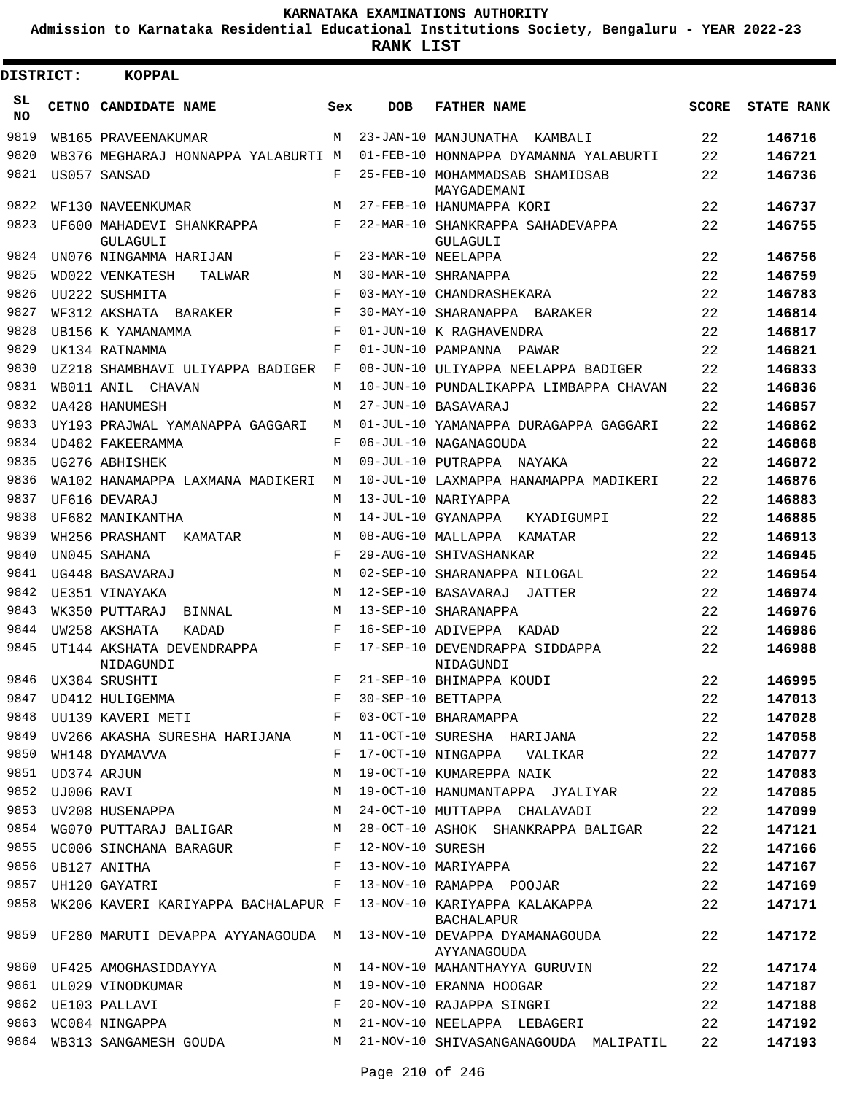**Admission to Karnataka Residential Educational Institutions Society, Bengaluru - YEAR 2022-23**

 $\blacksquare$ 

**RANK LIST**

Е

| <b>DISTRICT:</b> |            | <b>KOPPAL</b>                          |     |                  |                                                     |              |                   |
|------------------|------------|----------------------------------------|-----|------------------|-----------------------------------------------------|--------------|-------------------|
| SL.<br>NO.       |            | CETNO CANDIDATE NAME                   | Sex | <b>DOB</b>       | <b>FATHER NAME</b>                                  | <b>SCORE</b> | <b>STATE RANK</b> |
| 9819             |            | WB165 PRAVEENAKUMAR                    | M   |                  | 23-JAN-10 MANJUNATHA<br>KAMRALT                     | 22           | 146716            |
| 9820             |            | WB376 MEGHARAJ HONNAPPA YALABURTI M    |     |                  | 01-FEB-10 HONNAPPA DYAMANNA YALABURTI               | 22           | 146721            |
| 9821             |            | US057 SANSAD                           | F   |                  | 25-FEB-10 MOHAMMADSAB SHAMIDSAB<br>MAYGADEMANI      | 22           | 146736            |
| 9822             |            | WF130 NAVEENKUMAR                      | М   |                  | 27-FEB-10 HANUMAPPA KORI                            | 22           | 146737            |
| 9823             |            | UF600 MAHADEVI SHANKRAPPA<br>GULAGULI  | F   |                  | 22-MAR-10 SHANKRAPPA SAHADEVAPPA<br><b>GULAGULI</b> | 22           | 146755            |
| 9824             |            | UN076 NINGAMMA HARIJAN                 | F   |                  | 23-MAR-10 NEELAPPA                                  | 22           | 146756            |
| 9825             |            | WD022 VENKATESH<br>TALWAR              | М   |                  | 30-MAR-10 SHRANAPPA                                 | 22           | 146759            |
| 9826             |            | UU222 SUSHMITA                         | F   |                  | 03-MAY-10 CHANDRASHEKARA                            | 22           | 146783            |
| 9827             |            | WF312 AKSHATA BARAKER                  | F   |                  | 30-MAY-10 SHARANAPPA BARAKER                        | 22           | 146814            |
| 9828             |            | UB156 K YAMANAMMA                      | F   |                  | 01-JUN-10 K RAGHAVENDRA                             | 22           | 146817            |
| 9829             |            | UK134 RATNAMMA                         | F   |                  | 01-JUN-10 PAMPANNA PAWAR                            | 22           | 146821            |
| 9830             |            | UZ218 SHAMBHAVI ULIYAPPA BADIGER       | F   |                  | 08-JUN-10 ULIYAPPA NEELAPPA BADIGER                 | 22           | 146833            |
| 9831             |            | WB011 ANIL CHAVAN                      | M   |                  | 10-JUN-10 PUNDALIKAPPA LIMBAPPA CHAVAN              | 22           | 146836            |
| 9832             |            | UA428 HANUMESH                         | M   |                  | 27-JUN-10 BASAVARAJ                                 | 22           | 146857            |
| 9833             |            | UY193 PRAJWAL YAMANAPPA GAGGARI        | M   |                  | 01-JUL-10 YAMANAPPA DURAGAPPA GAGGARI               | 22           | 146862            |
| 9834             |            | UD482 FAKEERAMMA                       | F   |                  | 06-JUL-10 NAGANAGOUDA                               | 22           | 146868            |
| 9835             |            | UG276 ABHISHEK                         | M   |                  | 09-JUL-10 PUTRAPPA NAYAKA                           | 22           | 146872            |
| 9836             |            | WA102 HANAMAPPA LAXMANA MADIKERI       | M   |                  | 10-JUL-10 LAXMAPPA HANAMAPPA MADIKERI               | 22           | 146876            |
| 9837             |            | UF616 DEVARAJ                          | M   |                  | 13-JUL-10 NARIYAPPA                                 | 22           | 146883            |
| 9838             |            | UF682 MANIKANTHA                       | M   |                  | 14-JUL-10 GYANAPPA<br>KYADIGUMPI                    | 22           | 146885            |
| 9839             |            | WH256 PRASHANT<br>KAMATAR              | M   |                  | 08-AUG-10 MALLAPPA<br>KAMATAR                       | 22           | 146913            |
| 9840             |            | UN045 SAHANA                           | F   |                  | 29-AUG-10 SHIVASHANKAR                              | 22           | 146945            |
| 9841             |            | UG448 BASAVARAJ                        | M   |                  | 02-SEP-10 SHARANAPPA NILOGAL                        | 22           | 146954            |
| 9842             |            | UE351 VINAYAKA                         | M   |                  | 12-SEP-10 BASAVARAJ<br>JATTER                       | 22           | 146974            |
| 9843             |            | WK350 PUTTARAJ<br>BINNAL               | M   |                  | 13-SEP-10 SHARANAPPA                                | 22           | 146976            |
| 9844             |            | UW258 AKSHATA<br>KADAD                 | F   |                  | 16-SEP-10 ADIVEPPA KADAD                            | 22           | 146986            |
| 9845             |            | UT144 AKSHATA DEVENDRAPPA<br>NIDAGUNDI | F   |                  | 17-SEP-10 DEVENDRAPPA SIDDAPPA<br>NIDAGUNDI         | 22           | 146988            |
| 9846             |            | UX384 SRUSHTI                          | F   |                  | 21-SEP-10 BHIMAPPA KOUDI                            | 22           | 146995            |
| 9847             |            | UD412 HULIGEMMA                        | F   |                  | 30-SEP-10 BETTAPPA                                  | 22           | 147013            |
| 9848             |            | UU139 KAVERI METI                      | F   |                  | 03-OCT-10 BHARAMAPPA                                | 22           | 147028            |
|                  |            | 9849 UV266 AKASHA SURESHA HARIJANA     | M   |                  | 11-OCT-10 SURESHA HARIJANA                          | 22           | 147058            |
| 9850             |            | WH148 DYAMAVVA                         | F   |                  | 17-OCT-10 NINGAPPA VALIKAR                          | 22           | 147077            |
| 9851             |            | UD374 ARJUN                            | M   |                  | 19-OCT-10 KUMAREPPA NAIK                            | 22           | 147083            |
| 9852             | UJ006 RAVI |                                        | M   |                  | 19-OCT-10 HANUMANTAPPA JYALIYAR                     | 22           | 147085            |
| 9853             |            | UV208 HUSENAPPA                        | М   |                  | 24-OCT-10 MUTTAPPA CHALAVADI                        | 22           | 147099            |
| 9854             |            | WG070 PUTTARAJ BALIGAR                 | M   |                  | 28-OCT-10 ASHOK SHANKRAPPA BALIGAR                  | 22           | 147121            |
|                  |            | 9855 UC006 SINCHANA BARAGUR            | F   | 12-NOV-10 SURESH |                                                     | 22           | 147166            |
|                  |            | 9856 UB127 ANITHA                      | F   |                  | 13-NOV-10 MARIYAPPA                                 | 22           | 147167            |
|                  |            | 9857 UH120 GAYATRI                     | F   |                  | 13-NOV-10 RAMAPPA POOJAR                            | 22           | 147169            |
| 9858             |            | WK206 KAVERI KARIYAPPA BACHALAPUR F    |     |                  | 13-NOV-10 KARIYAPPA KALAKAPPA<br>BACHALAPUR         | 22           | 147171            |
| 9859             |            | UF280 MARUTI DEVAPPA AYYANAGOUDA M     |     |                  | 13-NOV-10 DEVAPPA DYAMANAGOUDA<br>AYYANAGOUDA       | 22           | 147172            |
|                  |            | 9860 UF425 AMOGHASIDDAYYA              | M   |                  | 14-NOV-10 MAHANTHAYYA GURUVIN                       | 22           | 147174            |
|                  |            | 9861 UL029 VINODKUMAR                  | M   |                  | 19-NOV-10 ERANNA HOOGAR                             | 22           | 147187            |
| 9862             |            | UE103 PALLAVI                          | F   |                  | 20-NOV-10 RAJAPPA SINGRI                            | 22           | 147188            |
| 9863             |            | WC084 NINGAPPA                         | M   |                  | 21-NOV-10 NEELAPPA LEBAGERI                         | 22           | 147192            |
|                  |            | 9864 WB313 SANGAMESH GOUDA             | M   |                  | 21-NOV-10 SHIVASANGANAGOUDA MALIPATIL               | 22           | 147193            |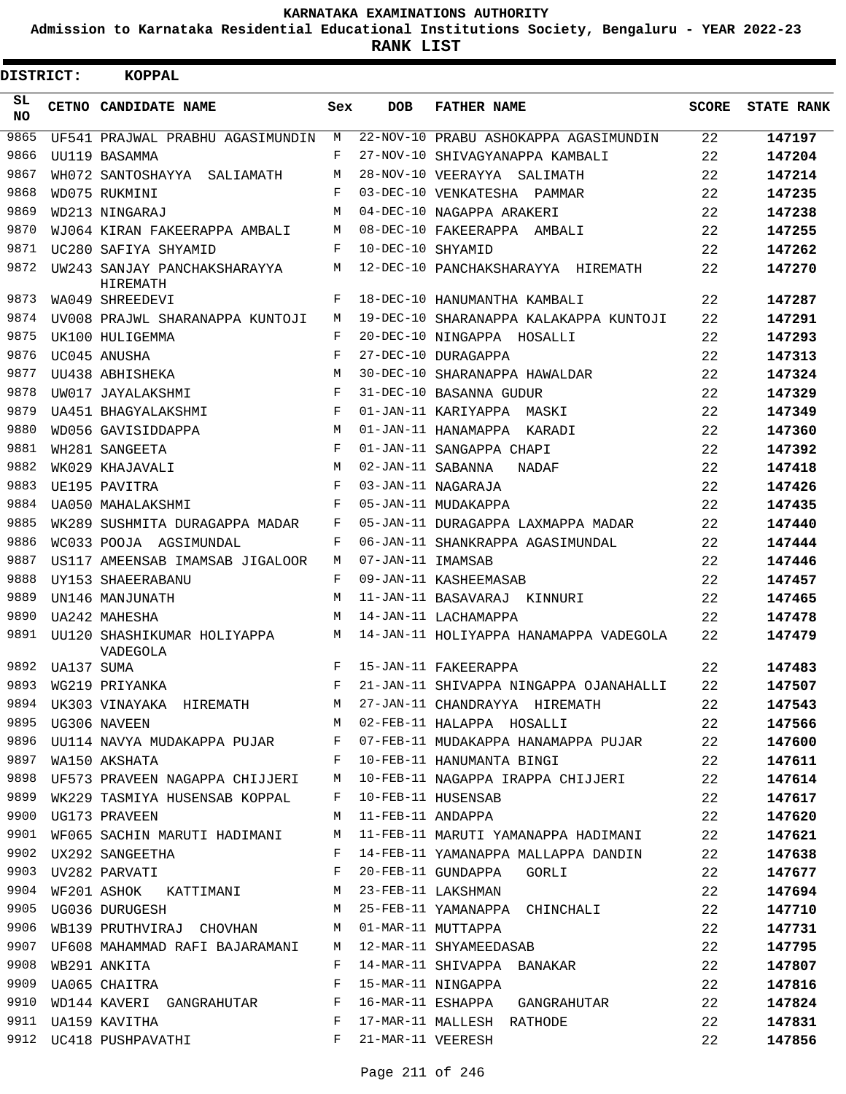**Admission to Karnataka Residential Educational Institutions Society, Bengaluru - YEAR 2022-23**

| <b>DISTRICT:</b> |            | <b>KOPPAL</b>                                                  |     |                   |                                                                                                                                     |              |                   |
|------------------|------------|----------------------------------------------------------------|-----|-------------------|-------------------------------------------------------------------------------------------------------------------------------------|--------------|-------------------|
| SL<br><b>NO</b>  |            | CETNO CANDIDATE NAME                                           | Sex | <b>DOB</b>        | <b>FATHER NAME</b>                                                                                                                  | <b>SCORE</b> | <b>STATE RANK</b> |
| 9865             |            | UF541 PRAJWAL PRABHU AGASIMUNDIN                               | M   |                   | 22-NOV-10 PRABU ASHOKAPPA AGASIMUNDIN                                                                                               | 22           | 147197            |
| 9866             |            | UU119 BASAMMA                                                  | F   |                   | 27-NOV-10 SHIVAGYANAPPA KAMBALI                                                                                                     | 22           | 147204            |
| 9867             |            | WH072 SANTOSHAYYA SALIAMATH                                    | М   |                   | 28-NOV-10 VEERAYYA SALIMATH                                                                                                         | 22           | 147214            |
| 9868             |            | WD075 RUKMINI                                                  | F   |                   | 03-DEC-10 VENKATESHA PAMMAR                                                                                                         | 22           | 147235            |
| 9869             |            | WD213 NINGARAJ                                                 | M   |                   | 04-DEC-10 NAGAPPA ARAKERI                                                                                                           | 22           | 147238            |
| 9870             |            | WJ064 KIRAN FAKEERAPPA AMBALI                                  | M   |                   | 08-DEC-10 FAKEERAPPA AMBALI                                                                                                         | 22           | 147255            |
| 9871             |            | UC280 SAFIYA SHYAMID                                           | F   | 10-DEC-10 SHYAMID |                                                                                                                                     | 22           | 147262            |
| 9872             |            | UW243 SANJAY PANCHAKSHARAYYA<br>HIREMATH                       | М   |                   | 12-DEC-10 PANCHAKSHARAYYA HIREMATH                                                                                                  | 22           | 147270            |
| 9873             |            | WA049 SHREEDEVI                                                | F   |                   | 18-DEC-10 HANUMANTHA KAMBALI                                                                                                        | 22           | 147287            |
| 9874             |            | UV008 PRAJWL SHARANAPPA KUNTOJI                                | М   |                   | 19-DEC-10 SHARANAPPA KALAKAPPA KUNTOJI                                                                                              | 22           | 147291            |
| 9875             |            | UK100 HULIGEMMA                                                | F   |                   | 20-DEC-10 NINGAPPA HOSALLI                                                                                                          | 22           | 147293            |
| 9876             |            | UC045 ANUSHA                                                   | F   |                   | 27-DEC-10 DURAGAPPA                                                                                                                 | 22           | 147313            |
| 9877             |            | UU438 ABHISHEKA                                                | М   |                   | 30-DEC-10 SHARANAPPA HAWALDAR                                                                                                       | 22           | 147324            |
| 9878             |            | UW017 JAYALAKSHMI                                              | F   |                   | 31-DEC-10 BASANNA GUDUR                                                                                                             | 22           | 147329            |
| 9879             |            | UA451 BHAGYALAKSHMI                                            | F   |                   | 01-JAN-11 KARIYAPPA MASKI                                                                                                           | 22           | 147349            |
| 9880             |            | WD056 GAVISIDDAPPA                                             | М   |                   | 01-JAN-11 HANAMAPPA KARADI                                                                                                          | 22           | 147360            |
| 9881             |            | WH281 SANGEETA                                                 | F   |                   | 01-JAN-11 SANGAPPA CHAPI                                                                                                            | 22           | 147392            |
| 9882             |            | WK029 KHAJAVALI                                                | М   | 02-JAN-11 SABANNA | NADAF                                                                                                                               | 22           | 147418            |
| 9883             |            | UE195 PAVITRA                                                  | F   |                   | 03-JAN-11 NAGARAJA                                                                                                                  | 22           | 147426            |
| 9884             |            | UA050 MAHALAKSHMI                                              | F   |                   | 05-JAN-11 MUDAKAPPA                                                                                                                 | 22           | 147435            |
| 9885             |            | WK289 SUSHMITA DURAGAPPA MADAR                                 | F   |                   | 05-JAN-11 DURAGAPPA LAXMAPPA MADAR                                                                                                  | 22           | 147440            |
| 9886             |            | WC033 POOJA AGSIMUNDAL                                         | F   |                   | 06-JAN-11 SHANKRAPPA AGASIMUNDAL                                                                                                    | 22           | 147444            |
| 9887             |            | US117 AMEENSAB IMAMSAB JIGALOOR                                | М   | 07-JAN-11 IMAMSAB |                                                                                                                                     | 22           | 147446            |
| 9888             |            | UY153 SHAEERABANU                                              | F   |                   | 09-JAN-11 KASHEEMASAB                                                                                                               | 22           | 147457            |
| 9889             |            | UN146 MANJUNATH                                                | М   |                   | 11-JAN-11 BASAVARAJ KINNURI                                                                                                         | 22           | 147465            |
| 9890             |            | UA242 MAHESHA                                                  | М   |                   | 14-JAN-11 LACHAMAPPA                                                                                                                | 22           | 147478            |
| 9891             |            | UU120 SHASHIKUMAR HOLIYAPPA<br>VADEGOLA                        | М   |                   | 14-JAN-11 HOLIYAPPA HANAMAPPA VADEGOLA                                                                                              | 22           | 147479            |
| 9892             | UA137 SUMA |                                                                | F   |                   | 15-JAN-11 FAKEERAPPA                                                                                                                | 22           | 147483            |
| 9893             |            | WG219 PRIYANKA                                                 | F   |                   | 21-JAN-11 SHIVAPPA NINGAPPA OJANAHALLI                                                                                              | 22           | 147507            |
|                  |            |                                                                |     |                   | 9894 UK303 VINAYAKA HIREMATH     M 27-JAN-11 CHANDRAYYA HIREMATH     22<br>9895 UG306 NAVEEN     M 02-FEB-11 HALAPPA HOSALLI     22 |              | 147543            |
|                  |            |                                                                |     |                   |                                                                                                                                     |              | 147566            |
|                  |            |                                                                |     |                   | 9896 UU114 NAVYA MUDAKAPPA PUJAR F 07-FEB-11 MUDAKAPPA HANAMAPPA PUJAR 22                                                           |              | 147600            |
|                  |            |                                                                |     |                   | 9897 WA150 AKSHATA 622 COMPARED 22                                                                                                  |              | 147611            |
|                  |            |                                                                |     |                   | 9898 UF573 PRAVEEN NAGAPPA CHIJJERI M 10-FEB-11 NAGAPPA IRAPPA CHIJJERI 22                                                          |              | 147614            |
|                  |            | 9899 WK229 TASMIYA HUSENSAB KOPPAL F 10-FEB-11 HUSENSAB        |     |                   | $\begin{array}{c} 22 \\ 22 \end{array}$                                                                                             |              | 147617            |
|                  |            | 9900 UG173 PRAVEEN M 11-FEB-11 ANDAPPA                         |     |                   |                                                                                                                                     |              | 147620            |
|                  |            |                                                                |     |                   | 9901 WF065 SACHIN MARUTI HADIMANI MATULE ANG ARUTI YAMANAPPA HADIMANI 22                                                            |              | 147621            |
|                  |            |                                                                |     |                   | 9902 UX292 SANGEETHA THE RESERVE FOR THE PEB-11 YAMANAPPA MALLAPPA DANDIN                                                           |              | 147638            |
|                  |            |                                                                |     |                   | 9903 UV282 PARVATI                                  F  20-FEB-11 GUNDAPPA   GORLI                  22                               |              | 147677            |
|                  |            | 9904 WF201 ASHOK KATTIMANI M 23-FEB-11 LAKSHMAN                |     |                   | $\overline{22}$                                                                                                                     |              | 147694            |
|                  |            |                                                                |     |                   | 9905 UG036 DURUGESH M 25-FEB-11 YAMANAPPA CHINCHALI 22                                                                              |              | 147710            |
|                  |            | 9906 WB139 PRUTHVIRAJ CHOVHAN M 01-MAR-11 MUTTAPPA             |     |                   | 22                                                                                                                                  |              | 147731            |
|                  |            |                                                                |     |                   | 9907 UF608 MAHAMMAD RAFI BAJARAMANI M 12-MAR-11 SHYAMEEDASAB                                                                        |              | 147795            |
|                  |            |                                                                |     |                   | 9908 WB291 ANKITA 22 P 14-MAR-11 SHIVAPPA BANAKAR                                                                                   |              | 147807            |
|                  |            | 9909 UA065 CHAITRA THE RESERVE RESERVE TO THE PART-11 NINGAPPA |     |                   |                                                                                                                                     | 22           | 147816            |
|                  |            |                                                                |     |                   | 9910 WD144 KAVERI GANGRAHUTAR F 16-MAR-11 ESHAPPA GANGRAHUTAR 22                                                                    |              | 147824            |
|                  |            |                                                                |     |                   | 9911 UA159 KAVITHA $F$ 17-MAR-11 MALLESH RATHODE 22                                                                                 |              | 147831            |
|                  |            | 9912 UC418 PUSHPAVATHI BARALA E 21-MAR-11 VEERESH              |     |                   |                                                                                                                                     | 22           | 147856            |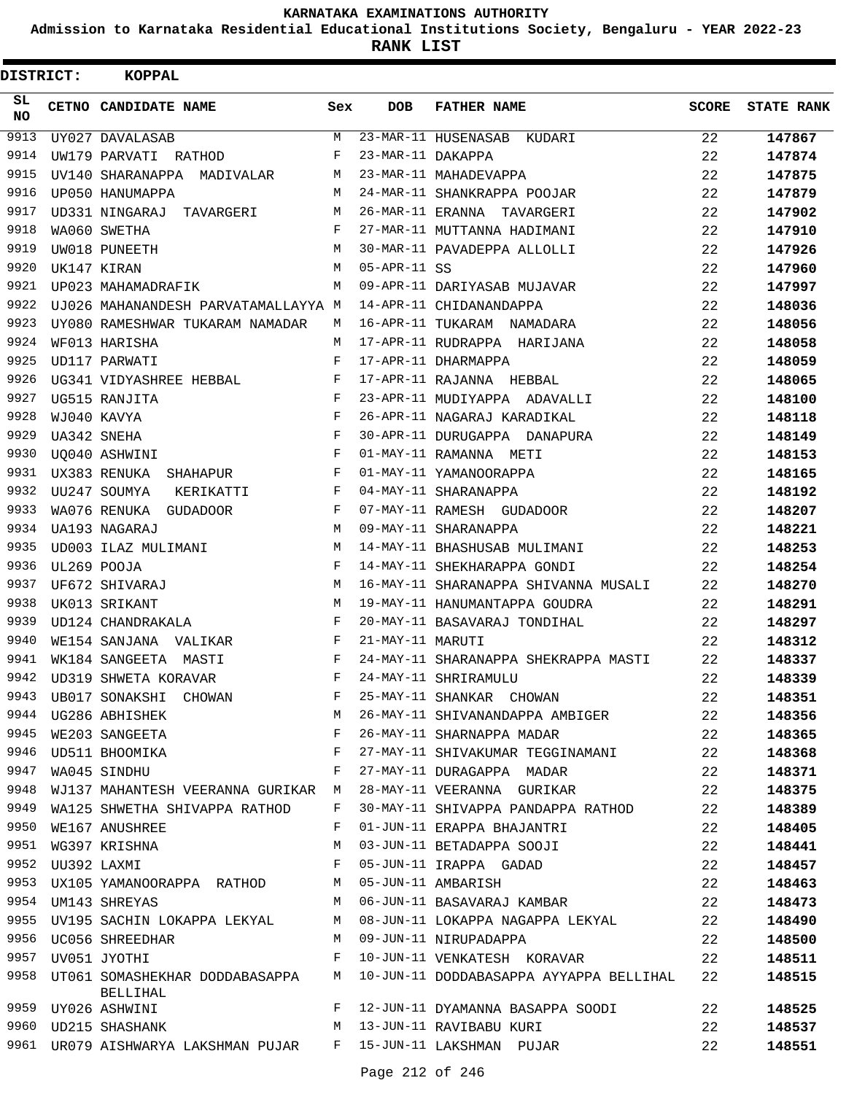**Admission to Karnataka Residential Educational Institutions Society, Bengaluru - YEAR 2022-23**

**RANK LIST**

| DISTRICT:        |             | <b>KOPPAL</b>                                                         |     |                   |                                         |              |                   |
|------------------|-------------|-----------------------------------------------------------------------|-----|-------------------|-----------------------------------------|--------------|-------------------|
| SL.<br><b>NO</b> |             | CETNO CANDIDATE NAME                                                  | Sex | <b>DOB</b>        | <b>FATHER NAME</b>                      | <b>SCORE</b> | <b>STATE RANK</b> |
| 9913             |             | UY027 DAVALASAB                                                       | М   |                   | 23-MAR-11 HUSENASAB KUDARI              | 22           | 147867            |
| 9914             |             | UW179 PARVATI RATHOD                                                  | F   | 23-MAR-11 DAKAPPA |                                         | 22           | 147874            |
| 9915             |             | UV140 SHARANAPPA MADIVALAR                                            | М   |                   | 23-MAR-11 MAHADEVAPPA                   | 22           | 147875            |
| 9916             |             | UP050 HANUMAPPA                                                       | М   |                   | 24-MAR-11 SHANKRAPPA POOJAR             | 22           | 147879            |
| 9917             |             | UD331 NINGARAJ TAVARGERI                                              | М   |                   | 26-MAR-11 ERANNA TAVARGERI              | 22           | 147902            |
| 9918             |             | WA060 SWETHA                                                          | F   |                   | 27-MAR-11 MUTTANNA HADIMANI             | 22           | 147910            |
| 9919             |             | UW018 PUNEETH                                                         | M   |                   | 30-MAR-11 PAVADEPPA ALLOLLI             | 22           | 147926            |
| 9920             |             | UK147 KIRAN                                                           | M   | $05-APR-11$ SS    |                                         | 22           | 147960            |
| 9921             |             | UP023 MAHAMADRAFIK                                                    | M   |                   | 09-APR-11 DARIYASAB MUJAVAR             | 22           | 147997            |
| 9922             |             | UJ026 MAHANANDESH PARVATAMALLAYYA M                                   |     |                   | 14-APR-11 CHIDANANDAPPA                 | 22           | 148036            |
| 9923             |             | UY080 RAMESHWAR TUKARAM NAMADAR                                       | М   |                   | 16-APR-11 TUKARAM NAMADARA              | 22           | 148056            |
| 9924             |             | WF013 HARISHA                                                         | М   |                   | 17-APR-11 RUDRAPPA HARIJANA             | 22           | 148058            |
| 9925             |             | UD117 PARWATI                                                         | F   |                   | 17-APR-11 DHARMAPPA                     | 22           | 148059            |
| 9926             |             | UG341 VIDYASHREE HEBBAL                                               | F   |                   | 17-APR-11 RAJANNA HEBBAL                | 22           | 148065            |
| 9927             |             | UG515 RANJITA                                                         | F   |                   | 23-APR-11 MUDIYAPPA ADAVALLI            | 22           | 148100            |
| 9928             |             | WJ040 KAVYA                                                           | F   |                   | 26-APR-11 NAGARAJ KARADIKAL             | 22           | 148118            |
| 9929             |             | UA342 SNEHA                                                           | F   |                   | 30-APR-11 DURUGAPPA DANAPURA            | 22           | 148149            |
| 9930             |             | UO040 ASHWINI                                                         | F   |                   | 01-MAY-11 RAMANNA METI                  | 22           | 148153            |
| 9931             |             | UX383 RENUKA SHAHAPUR                                                 | F   |                   | 01-MAY-11 YAMANOORAPPA                  | 22           | 148165            |
| 9932             |             | UU247 SOUMYA<br>KERIKATTI                                             | F   |                   | 04-MAY-11 SHARANAPPA                    | 22           | 148192            |
| 9933             |             | WA076 RENUKA GUDADOOR                                                 | F   |                   | 07-MAY-11 RAMESH GUDADOOR               | 22           | 148207            |
| 9934             |             | UA193 NAGARAJ                                                         | M   |                   | 09-MAY-11 SHARANAPPA                    | 22           | 148221            |
| 9935             |             | UD003 ILAZ MULIMANI                                                   | М   |                   | 14-MAY-11 BHASHUSAB MULIMANI            | 22           | 148253            |
| 9936             |             | UL269 POOJA                                                           | F   |                   | 14-MAY-11 SHEKHARAPPA GONDI             | 22           | 148254            |
| 9937             |             | UF672 SHIVARAJ                                                        | М   |                   | 16-MAY-11 SHARANAPPA SHIVANNA MUSALI    | 22           | 148270            |
| 9938             |             | UK013 SRIKANT                                                         | М   |                   | 19-MAY-11 HANUMANTAPPA GOUDRA           | 22           | 148291            |
| 9939             |             | UD124 CHANDRAKALA                                                     | F   |                   | 20-MAY-11 BASAVARAJ TONDIHAL            | 22           | 148297            |
| 9940             |             | WE154 SANJANA VALIKAR                                                 | F   | 21-MAY-11 MARUTI  |                                         | 22           | 148312            |
| 9941             |             | WK184 SANGEETA MASTI                                                  | F   |                   | 24-MAY-11 SHARANAPPA SHEKRAPPA MASTI    | 22           | 148337            |
| 9942             |             | UD319 SHWETA KORAVAR                                                  | F   |                   | 24-MAY-11 SHRIRAMULU                    | 22           | 148339            |
| 9943             |             | UB017 SONAKSHI CHOWAN                                                 | F   |                   | 25-MAY-11 SHANKAR CHOWAN                | 22           | 148351            |
| 9944             |             | UG286 ABHISHEK                                                        | М   |                   | 26-MAY-11 SHIVANANDAPPA AMBIGER         | 22           | 148356            |
| 9945             |             | WE203 SANGEETA                                                        | F   |                   | 26-MAY-11 SHARNAPPA MADAR               | 22           | 148365            |
| 9946             |             | $\mathbf{F}^{\mathbf{r}}$<br>UD511 BHOOMIKA                           |     |                   | 27-MAY-11 SHIVAKUMAR TEGGINAMANI        | 22           | 148368            |
| 9947             |             | WA045 SINDHU                                                          | F   |                   | 27-MAY-11 DURAGAPPA MADAR               | 22           | 148371            |
| 9948             |             | WJ137 MAHANTESH VEERANNA GURIKAR M                                    |     |                   | 28-MAY-11 VEERANNA GURIKAR              | 22           | 148375            |
| 9949             |             | WA125 SHWETHA SHIVAPPA RATHOD                                         | F   |                   | 30-MAY-11 SHIVAPPA PANDAPPA RATHOD      | 22           | 148389            |
| 9950             |             | WE167 ANUSHREE                                                        | F   |                   | 01-JUN-11 ERAPPA BHAJANTRI              | 22           | 148405            |
|                  |             | 9951 WG397 KRISHNA                                                    | М   |                   | 03-JUN-11 BETADAPPA SOOJI               | 22           | 148441            |
| 9952             | UU392 LAXMI |                                                                       | F   |                   | 05-JUN-11 IRAPPA GADAD                  | 22           | 148457            |
| 9953             |             | UX105 YAMANOORAPPA RATHOD                                             | M   |                   | 05-JUN-11 AMBARISH                      | 22           | 148463            |
|                  |             | 9954 UM143 SHREYAS                                                    | М   |                   | 06-JUN-11 BASAVARAJ KAMBAR              | 22           | 148473            |
|                  |             | 9955 UV195 SACHIN LOKAPPA LEKYAL                                      | M   |                   | 08-JUN-11 LOKAPPA NAGAPPA LEKYAL        | 22           | 148490            |
| 9956             |             | UC056 SHREEDHAR                                                       | M   |                   | 09-JUN-11 NIRUPADAPPA                   | 22           | 148500            |
| 9957             |             | UV051 JYOTHI                                                          | F   |                   | 10-JUN-11 VENKATESH KORAVAR             | 22           | 148511            |
| 9958             |             | UT061 SOMASHEKHAR DODDABASAPPA<br>BELLIHAL                            | M   |                   | 10-JUN-11 DODDABASAPPA AYYAPPA BELLIHAL | 22           | 148515            |
| 9959             |             | UY026 ASHWINI                                                         | F   |                   | 12-JUN-11 DYAMANNA BASAPPA SOODI        | 22           | 148525            |
|                  |             | 9960 UD215 SHASHANK                                                   | M   |                   | 13-JUN-11 RAVIBABU KURI                 | 22           | 148537            |
|                  |             | 9961 UR079 AISHWARYA LAKSHMAN PUJAR     F   15-JUN-11 LAKSHMAN  PUJAR |     |                   |                                         | 22           | 148551            |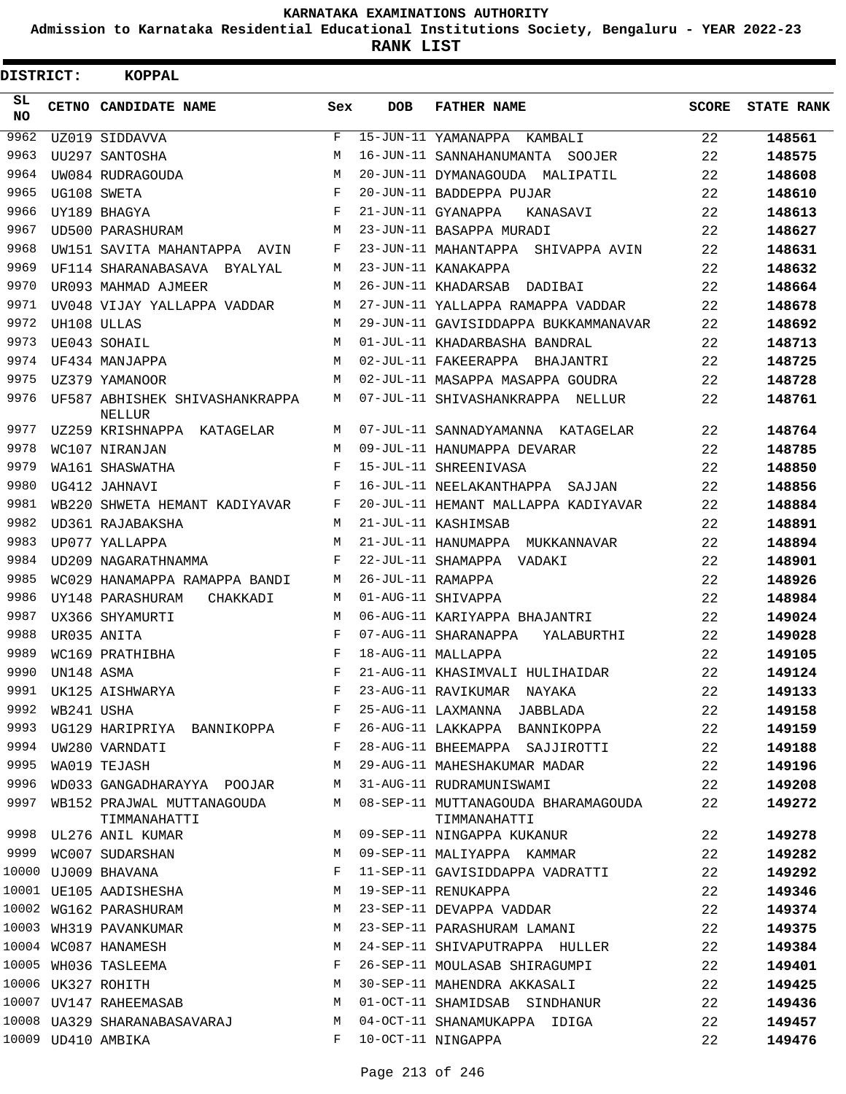**Admission to Karnataka Residential Educational Institutions Society, Bengaluru - YEAR 2022-23**

| DISTRICT: |            | <b>KOPPAL</b>                              |            |                   |                                                     |              |                   |
|-----------|------------|--------------------------------------------|------------|-------------------|-----------------------------------------------------|--------------|-------------------|
| SL<br>NO. |            | CETNO CANDIDATE NAME                       | Sex        | <b>DOB</b>        | <b>FATHER NAME</b>                                  | <b>SCORE</b> | <b>STATE RANK</b> |
| 9962      |            | UZ019 SIDDAVVA                             | F          |                   | 15-JUN-11 YAMANAPPA KAMBALI                         | 22           | 148561            |
| 9963      |            | UU297 SANTOSHA                             | М          |                   | 16-JUN-11 SANNAHANUMANTA SOOJER                     | 22           | 148575            |
| 9964      |            | UW084 RUDRAGOUDA                           | M          |                   | 20-JUN-11 DYMANAGOUDA MALIPATIL                     | 22           | 148608            |
| 9965      |            | UG108 SWETA                                | F          |                   | 20-JUN-11 BADDEPPA PUJAR                            | 22           | 148610            |
| 9966      |            | UY189 BHAGYA                               | F          |                   | 21-JUN-11 GYANAPPA<br>KANASAVI                      | 22           | 148613            |
| 9967      |            | UD500 PARASHURAM                           | М          |                   | 23-JUN-11 BASAPPA MURADI                            | 22           | 148627            |
| 9968      |            | UW151 SAVITA MAHANTAPPA AVIN               | F          |                   | 23-JUN-11 MAHANTAPPA SHIVAPPA AVIN                  | 22           | 148631            |
| 9969      |            | UF114 SHARANABASAVA<br>BYALYAL             | M          |                   | 23-JUN-11 KANAKAPPA                                 | 22           | 148632            |
| 9970      |            | UR093 MAHMAD AJMEER                        | М          |                   | 26-JUN-11 KHADARSAB<br>DADIBAI                      | 22           | 148664            |
| 9971      |            | UV048 VIJAY YALLAPPA VADDAR                | М          |                   | 27-JUN-11 YALLAPPA RAMAPPA VADDAR                   | 22           | 148678            |
| 9972      |            | UH108 ULLAS                                | М          |                   | 29-JUN-11 GAVISIDDAPPA BUKKAMMANAVAR                | 22           | 148692            |
| 9973      |            | UE043 SOHAIL                               | М          |                   | 01-JUL-11 KHADARBASHA BANDRAL                       | 22           | 148713            |
| 9974      |            | UF434 MANJAPPA                             | M          |                   | 02-JUL-11 FAKEERAPPA BHAJANTRI                      | 22           | 148725            |
| 9975      |            | UZ379 YAMANOOR                             | M          |                   | 02-JUL-11 MASAPPA MASAPPA GOUDRA                    | 22           | 148728            |
| 9976      |            | UF587 ABHISHEK SHIVASHANKRAPPA<br>NELLUR   | М          |                   | 07-JUL-11 SHIVASHANKRAPPA NELLUR                    | 22           | 148761            |
| 9977      |            | UZ259 KRISHNAPPA KATAGELAR                 | М          |                   | 07-JUL-11 SANNADYAMANNA KATAGELAR                   | 22           | 148764            |
| 9978      |            | WC107 NIRANJAN                             | М          |                   | 09-JUL-11 HANUMAPPA DEVARAR                         | 22           | 148785            |
| 9979      |            | WA161 SHASWATHA                            | $_{\rm F}$ |                   | 15-JUL-11 SHREENIVASA                               | 22           | 148850            |
| 9980      |            | UG412 JAHNAVI                              | F          |                   | 16-JUL-11 NEELAKANTHAPPA SAJJAN                     | 22           | 148856            |
| 9981      |            | WB220 SHWETA HEMANT KADIYAVAR              | F          |                   | 20-JUL-11 HEMANT MALLAPPA KADIYAVAR                 | 22           | 148884            |
| 9982      |            | UD361 RAJABAKSHA                           | М          |                   | 21-JUL-11 KASHIMSAB                                 | 22           | 148891            |
| 9983      |            | UP077 YALLAPPA                             | М          |                   | 21-JUL-11 HANUMAPPA MUKKANNAVAR                     | 22           | 148894            |
| 9984      |            | UD209 NAGARATHNAMMA                        | F          |                   | 22-JUL-11 SHAMAPPA VADAKI                           | 22           | 148901            |
| 9985      |            | WC029 HANAMAPPA RAMAPPA BANDI              | М          | 26-JUL-11 RAMAPPA |                                                     | 22           | 148926            |
| 9986      |            | UY148 PARASHURAM<br>CHAKKADI               | М          |                   | 01-AUG-11 SHIVAPPA                                  | 22           | 148984            |
| 9987      |            | UX366 SHYAMURTI                            | М          |                   | 06-AUG-11 KARIYAPPA BHAJANTRI                       | 22           | 149024            |
| 9988      |            | UR035 ANITA                                | $_{\rm F}$ |                   | 07-AUG-11 SHARANAPPA<br>YALABURTHI                  | 22           | 149028            |
| 9989      |            | WC169 PRATHIBHA                            | F          |                   | 18-AUG-11 MALLAPPA                                  | 22           | 149105            |
| 9990      | UN148 ASMA |                                            | $_{\rm F}$ |                   | 21-AUG-11 KHASIMVALI HULIHAIDAR                     | 22           | 149124            |
| 9991      |            | UK125 AISHWARYA                            | F          |                   | 23-AUG-11 RAVIKUMAR NAYAKA                          | 22           | 149133            |
| 9992      | WB241 USHA |                                            | F          |                   | 25-AUG-11 LAXMANNA JABBLADA                         | 22           | 149158            |
| 9993      |            | UG129 HARIPRIYA BANNIKOPPA                 | F          |                   | 26-AUG-11 LAKKAPPA BANNIKOPPA                       | 22           | 149159            |
| 9994      |            | UW280 VARNDATI                             | F          |                   | 28-AUG-11 BHEEMAPPA SAJJIROTTI                      | 22           | 149188            |
| 9995      |            | WA019 TEJASH                               | М          |                   | 29-AUG-11 MAHESHAKUMAR MADAR                        | 22           | 149196            |
| 9996      |            | WD033 GANGADHARAYYA POOJAR                 | М          |                   | 31-AUG-11 RUDRAMUNISWAMI                            | $22^{\circ}$ | 149208            |
| 9997      |            | WB152 PRAJWAL MUTTANAGOUDA<br>TIMMANAHATTI | М          |                   | 08-SEP-11 MUTTANAGOUDA BHARAMAGOUDA<br>TIMMANAHATTI | 22           | 149272            |
|           |            | 9998 UL276 ANIL KUMAR                      | М          |                   | 09-SEP-11 NINGAPPA KUKANUR                          | 22           | 149278            |
|           |            | 9999 WC007 SUDARSHAN                       | М          |                   | 09-SEP-11 MALIYAPPA KAMMAR                          | 22           | 149282            |
|           |            | 10000 UJ009 BHAVANA                        | F          |                   | 11-SEP-11 GAVISIDDAPPA VADRATTI                     | 22           | 149292            |
|           |            | 10001 UE105 AADISHESHA                     | М          |                   | 19-SEP-11 RENUKAPPA                                 | 22           | 149346            |
|           |            | 10002 WG162 PARASHURAM                     | М          |                   | 23-SEP-11 DEVAPPA VADDAR                            | 22           | 149374            |
|           |            | 10003 WH319 PAVANKUMAR                     | М          |                   | 23-SEP-11 PARASHURAM LAMANI                         | 22           | 149375            |
|           |            | 10004 WC087 HANAMESH                       | М          |                   | 24-SEP-11 SHIVAPUTRAPPA HULLER                      | 22           | 149384            |
|           |            | 10005 WH036 TASLEEMA                       | F          |                   | 26-SEP-11 MOULASAB SHIRAGUMPI                       | 22           | 149401            |
|           |            | 10006 UK327 ROHITH                         | М          |                   | 30-SEP-11 MAHENDRA AKKASALI                         | 22           | 149425            |
|           |            | 10007 UV147 RAHEEMASAB                     | М          |                   | 01-OCT-11 SHAMIDSAB SINDHANUR                       | 22           | 149436            |
|           |            | 10008 UA329 SHARANABASAVARAJ               | M          |                   | 04-OCT-11 SHANAMUKAPPA IDIGA                        | 22           | 149457            |
|           |            | 10009 UD410 AMBIKA                         | F          |                   | 10-OCT-11 NINGAPPA                                  | 22           | 149476            |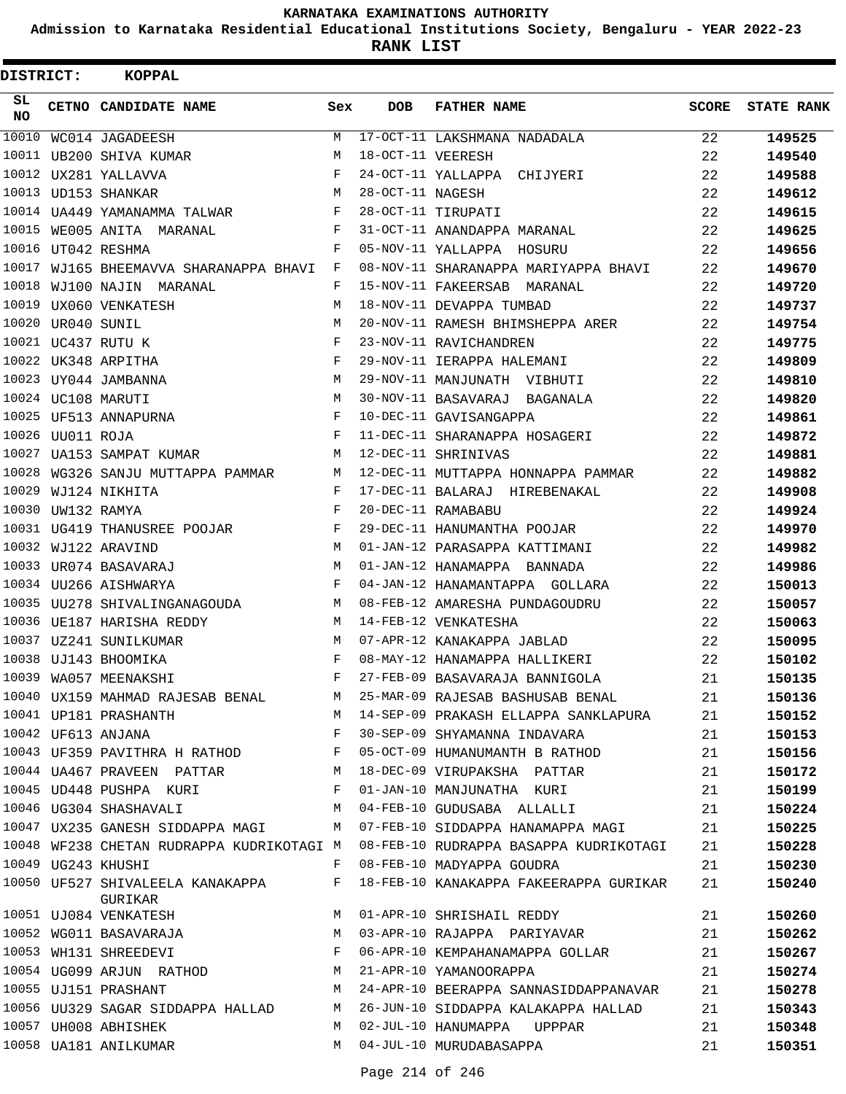**Admission to Karnataka Residential Educational Institutions Society, Bengaluru - YEAR 2022-23**

**RANK LIST**

| DISTRICT:       |                   | <b>KOPPAL</b>                      |     |                   |                                                                                                                                                    |       |                   |
|-----------------|-------------------|------------------------------------|-----|-------------------|----------------------------------------------------------------------------------------------------------------------------------------------------|-------|-------------------|
| SL<br><b>NO</b> |                   | CETNO CANDIDATE NAME               | Sex | <b>DOB</b>        | <b>FATHER NAME</b>                                                                                                                                 | SCORE | <b>STATE RANK</b> |
| 10010           |                   | WC014 JAGADEESH                    | M   |                   | 17-OCT-11 LAKSHMANA NADADALA                                                                                                                       | 22    | 149525            |
| 10011           |                   | UB200 SHIVA KUMAR                  | M   | 18-OCT-11 VEERESH |                                                                                                                                                    | 22    | 149540            |
|                 |                   | 10012 UX281 YALLAVVA               | F   |                   | 24-OCT-11 YALLAPPA CHIJYERI                                                                                                                        | 22    | 149588            |
|                 |                   | 10013 UD153 SHANKAR                | М   | 28-OCT-11 NAGESH  |                                                                                                                                                    | 22    | 149612            |
|                 |                   | 10014 UA449 YAMANAMMA TALWAR       | F   |                   | 28-OCT-11 TIRUPATI                                                                                                                                 | 22    | 149615            |
|                 |                   | 10015 WE005 ANITA MARANAL          | F   |                   | 31-OCT-11 ANANDAPPA MARANAL                                                                                                                        | 22    | 149625            |
|                 |                   | 10016 UT042 RESHMA                 | F   |                   | 05-NOV-11 YALLAPPA HOSURU                                                                                                                          | 22    | 149656            |
| 10017           |                   | WJ165 BHEEMAVVA SHARANAPPA BHAVI   | F   |                   | 08-NOV-11 SHARANAPPA MARIYAPPA BHAVI                                                                                                               | 22    | 149670            |
| 10018           |                   | WJ100 NAJIN<br>MARANAL             | F   |                   | 15-NOV-11 FAKEERSAB MARANAL                                                                                                                        | 22    | 149720            |
|                 |                   | 10019 UX060 VENKATESH              | M   |                   | 18-NOV-11 DEVAPPA TUMBAD                                                                                                                           | 22    | 149737            |
|                 | 10020 UR040 SUNIL |                                    | M   |                   | 20-NOV-11 RAMESH BHIMSHEPPA ARER                                                                                                                   | 22    | 149754            |
|                 |                   | 10021 UC437 RUTU K                 | F   |                   | 23-NOV-11 RAVICHANDREN                                                                                                                             | 22    | 149775            |
|                 |                   | 10022 UK348 ARPITHA                | F   |                   | 29-NOV-11 IERAPPA HALEMANI                                                                                                                         | 22    | 149809            |
|                 |                   | 10023 UY044 JAMBANNA               | М   |                   | 29-NOV-11 MANJUNATH VIBHUTI                                                                                                                        | 22    | 149810            |
|                 |                   | 10024 UC108 MARUTI                 | M   |                   | 30-NOV-11 BASAVARAJ BAGANALA                                                                                                                       | 22    | 149820            |
|                 |                   | 10025 UF513 ANNAPURNA              | F   |                   | 10-DEC-11 GAVISANGAPPA                                                                                                                             | 22    | 149861            |
|                 | 10026 UU011 ROJA  |                                    | F   |                   | 11-DEC-11 SHARANAPPA HOSAGERI                                                                                                                      | 22    | 149872            |
| 10027           |                   | UA153 SAMPAT KUMAR                 | М   |                   | 12-DEC-11 SHRINIVAS                                                                                                                                | 22    | 149881            |
| 10028           |                   | WG326 SANJU MUTTAPPA PAMMAR        | М   |                   | 12-DEC-11 MUTTAPPA HONNAPPA PAMMAR                                                                                                                 | 22    | 149882            |
| 10029           |                   | WJ124 NIKHITA                      | F   |                   | 17-DEC-11 BALARAJ HIREBENAKAL                                                                                                                      | 22    | 149908            |
|                 | 10030 UW132 RAMYA |                                    | F   |                   | 20-DEC-11 RAMABABU                                                                                                                                 | 22    | 149924            |
|                 |                   | 10031 UG419 THANUSREE POOJAR       | F   |                   | 29-DEC-11 HANUMANTHA POOJAR                                                                                                                        | 22    | 149970            |
|                 |                   | 10032 WJ122 ARAVIND                | M   |                   | 01-JAN-12 PARASAPPA KATTIMANI                                                                                                                      | 22    | 149982            |
| 10033           |                   | UR074 BASAVARAJ                    | M   |                   | 01-JAN-12 HANAMAPPA BANNADA                                                                                                                        | 22    | 149986            |
|                 |                   | 10034 UU266 AISHWARYA              | F   |                   | 04-JAN-12 HANAMANTAPPA GOLLARA                                                                                                                     | 22    | 150013            |
|                 |                   | 10035 UU278 SHIVALINGANAGOUDA      | М   |                   | 08-FEB-12 AMARESHA PUNDAGOUDRU                                                                                                                     | 22    | 150057            |
|                 |                   | 10036 UE187 HARISHA REDDY          | M   |                   | 14-FEB-12 VENKATESHA                                                                                                                               | 22    | 150063            |
|                 |                   | 10037 UZ241 SUNILKUMAR             | М   |                   | 07-APR-12 KANAKAPPA JABLAD                                                                                                                         | 22    | 150095            |
|                 |                   | 10038 UJ143 BHOOMIKA               | F   |                   | 08-MAY-12 HANAMAPPA HALLIKERI                                                                                                                      | 22    | 150102            |
|                 |                   | 10039 WA057 MEENAKSHI              | F   |                   | 27-FEB-09 BASAVARAJA BANNIGOLA                                                                                                                     | 21    | 150135            |
|                 |                   |                                    |     |                   | 10040 UX159 MAHMAD RAJESAB BENAL M 25-MAR-09 RAJESAB BASHUSAB BENAL                                                                                | 21    | 150136            |
|                 |                   | 10041 UP181 PRASHANTH              |     |                   | M 14-SEP-09 PRAKASH ELLAPPA SANKLAPURA 21                                                                                                          |       | 150152            |
|                 |                   | $\mathbf{F}$<br>10042 UF613 ANJANA |     |                   | 30-SEP-09 SHYAMANNA INDAVARA                                                                                                                       | 21    | 150153            |
|                 |                   |                                    |     |                   | 10043 UF359 PAVITHRA H RATHOD F 05-OCT-09 HUMANUMANTH B RATHOD                                                                                     | 21    | 150156            |
|                 |                   |                                    |     |                   | 10044 UA467 PRAVEEN PATTAR M 18-DEC-09 VIRUPAKSHA PATTAR                                                                                           | 21    | 150172            |
|                 |                   |                                    |     |                   | 10045 UD448 PUSHPA KURI NAMERIN F 01-JAN-10 MANJUNATHA KURI                                                                                        | 21    | 150199            |
|                 |                   |                                    |     |                   | 10046 UG304 SHASHAVALI M 04-FEB-10 GUDUSABA ALLALLI                                                                                                | 21    | 150224            |
|                 |                   |                                    |     |                   | 10047 UX235 GANESH SIDDAPPA MAGI M 07-FEB-10 SIDDAPPA HANAMAPPA MAGI                                                                               | 21    | 150225            |
|                 |                   |                                    |     |                   | 10048 WF238 CHETAN RUDRAPPA KUDRIKOTAGI M 08-FEB-10 RUDRAPPA BASAPPA KUDRIKOTAGI                                                                   | 21    | 150228            |
|                 |                   | 10049 UG243 KHUSHI                 |     |                   | F 08-FEB-10 MADYAPPA GOUDRA                                                                                                                        | 21    | 150230            |
|                 |                   | GURIKAR                            |     |                   | 10050 UF527 SHIVALEELA KANAKAPPA F 18-FEB-10 KANAKAPPA FAKEERAPPA GURIKAR                                                                          | 21    | 150240            |
|                 |                   | 10051 UJ084 VENKATESH              | M   |                   | 01-APR-10 SHRISHAIL REDDY                                                                                                                          | 21    | 150260            |
|                 |                   | 10052 WG011 BASAVARAJA M           |     |                   | 03-APR-10 RAJAPPA PARIYAVAR                                                                                                                        | 21    | 150262            |
|                 |                   |                                    |     |                   | 10053 WH131 SHREEDEVI F 06-APR-10 KEMPAHANAMAPPA GOLLAR<br>10054 UG099 ARJUN RATHOD M 21-APR-10 YAMANOORAPPA<br>06-APR-10 KEMPAHANAMAPPA GOLLAR 21 |       | 150267            |
|                 |                   |                                    |     |                   |                                                                                                                                                    | 21    | 150274            |
|                 |                   |                                    |     |                   | 10055 UJ151 PRASHANT M 24-APR-10 BEERAPPA SANNASIDDAPPANAVAR                                                                                       | 21    | 150278            |
|                 |                   |                                    |     |                   | 10056 UU329 SAGAR SIDDAPPA HALLAD M 26-JUN-10 SIDDAPPA KALAKAPPA HALLAD                                                                            | 21    | 150343            |
|                 |                   | 10057 UH008 ABHISHEK               | M   |                   | 02-JUL-10 HANUMAPPA UPPPAR                                                                                                                         | 21    | 150348            |
|                 |                   | 10058 UA181 ANILKUMAR              |     |                   | M 04-JUL-10 MURUDABASAPPA                                                                                                                          | 21    | 150351            |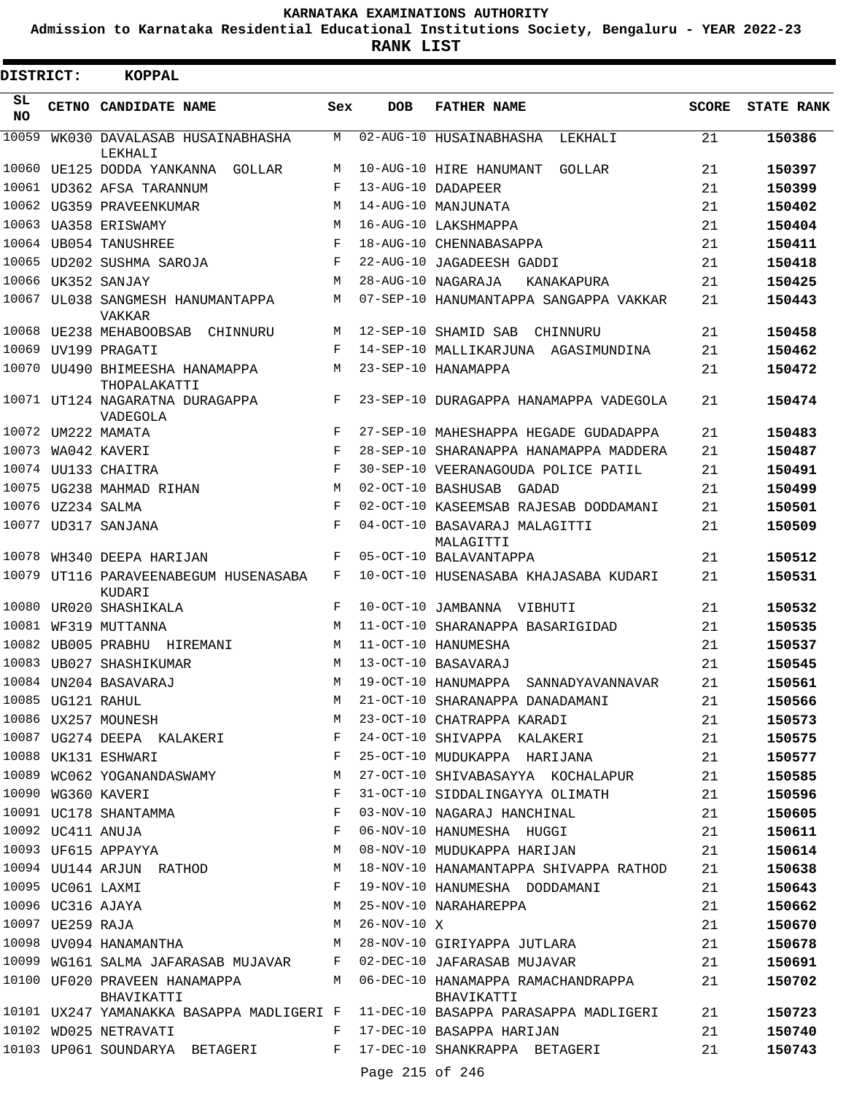**Admission to Karnataka Residential Educational Institutions Society, Bengaluru - YEAR 2022-23**

**RANK LIST**

ı

| DISTRICT: |                   | <b>KOPPAL</b>                                   |     |                   |                                                                                 |              |                   |
|-----------|-------------------|-------------------------------------------------|-----|-------------------|---------------------------------------------------------------------------------|--------------|-------------------|
| SL<br>NO. |                   | CETNO CANDIDATE NAME                            | Sex | <b>DOB</b>        | <b>FATHER NAME</b>                                                              | <b>SCORE</b> | <b>STATE RANK</b> |
| 10059     |                   | WK030 DAVALASAB HUSAINABHASHA<br>LEKHALI        | M   |                   | 02-AUG-10 HUSAINABHASHA<br>LEKHALI                                              | 21           | 150386            |
|           |                   | 10060 UE125 DODDA YANKANNA GOLLAR               | М   |                   | 10-AUG-10 HIRE HANUMANT<br>GOLLAR                                               | 21           | 150397            |
| 10061     |                   | UD362 AFSA TARANNUM                             | F   |                   | 13-AUG-10 DADAPEER                                                              | 21           | 150399            |
| 10062     |                   | UG359 PRAVEENKUMAR                              | М   |                   | 14-AUG-10 MANJUNATA                                                             | 21           | 150402            |
|           |                   | 10063 UA358 ERISWAMY                            | M   |                   | 16-AUG-10 LAKSHMAPPA                                                            | 21           | 150404            |
|           |                   | 10064 UB054 TANUSHREE                           | F   |                   | 18-AUG-10 CHENNABASAPPA                                                         | 21           | 150411            |
| 10065     |                   | UD202 SUSHMA SAROJA                             | F   |                   | 22-AUG-10 JAGADEESH GADDI                                                       | 21           | 150418            |
| 10066     |                   | UK352 SANJAY                                    | М   |                   | 28-AUG-10 NAGARAJA<br>KANAKAPURA                                                | 21           | 150425            |
| 10067     |                   | UL038 SANGMESH HANUMANTAPPA<br><b>VAKKAR</b>    | М   |                   | 07-SEP-10 HANUMANTAPPA SANGAPPA VAKKAR                                          | 21           | 150443            |
|           |                   | 10068 UE238 MEHABOOBSAB<br>CHINNURU             | M   |                   | 12-SEP-10 SHAMID SAB<br>CHINNURU                                                | 21           | 150458            |
| 10069     |                   | UV199 PRAGATI                                   | F   |                   | 14-SEP-10 MALLIKARJUNA AGASIMUNDINA                                             | 21           | 150462            |
|           |                   | 10070 UU490 BHIMEESHA HANAMAPPA<br>THOPALAKATTI | M   |                   | 23-SEP-10 HANAMAPPA                                                             | 21           | 150472            |
|           |                   | 10071 UT124 NAGARATNA DURAGAPPA<br>VADEGOLA     | F   |                   | 23-SEP-10 DURAGAPPA HANAMAPPA VADEGOLA                                          | 21           | 150474            |
|           |                   | 10072 UM222 MAMATA                              | F   |                   | 27-SEP-10 MAHESHAPPA HEGADE GUDADAPPA                                           | 21           | 150483            |
| 10073     |                   | WA042 KAVERI                                    | F   |                   | 28-SEP-10 SHARANAPPA HANAMAPPA MADDERA                                          | 21           | 150487            |
|           |                   | 10074 UU133 CHAITRA                             | F   |                   | 30-SEP-10 VEERANAGOUDA POLICE PATIL                                             | 21           | 150491            |
|           |                   | 10075 UG238 MAHMAD RIHAN                        | М   |                   | 02-OCT-10 BASHUSAB<br>GADAD                                                     | 21           | 150499            |
|           | 10076 UZ234 SALMA |                                                 | F   |                   | 02-OCT-10 KASEEMSAB RAJESAB DODDAMANI                                           | 21           | 150501            |
|           |                   | 10077 UD317 SANJANA                             | F   |                   | 04-OCT-10 BASAVARAJ MALAGITTI<br>MALAGITTI                                      | 21           | 150509            |
| 10078     |                   | WH340 DEEPA HARIJAN                             | F   |                   | 05-OCT-10 BALAVANTAPPA                                                          | 21           | 150512            |
|           |                   | 10079 UT116 PARAVEENABEGUM HUSENASABA<br>KUDARI | F   |                   | 10-OCT-10 HUSENASABA KHAJASABA KUDARI                                           | 21           | 150531            |
| 10080     |                   | UR020 SHASHIKALA                                | F   |                   | 10-OCT-10 JAMBANNA VIBHUTI                                                      | 21           | 150532            |
| 10081     |                   | WF319 MUTTANNA                                  | M   |                   | 11-OCT-10 SHARANAPPA BASARIGIDAD                                                | 21           | 150535            |
| 10082     |                   | UB005 PRABHU HIREMANI                           | М   |                   | 11-OCT-10 HANUMESHA                                                             | 21           | 150537            |
|           |                   | 10083 UB027 SHASHIKUMAR                         | М   |                   | 13-OCT-10 RASAVARAJ                                                             | 21           | 150545            |
|           |                   | 10084 UN204 BASAVARAJ                           | М   |                   | 19-OCT-10 HANUMAPPA SANNADYAVANNAVAR                                            | 21           | 150561            |
|           | 10085 UG121 RAHUL |                                                 | M   |                   | 21-OCT-10 SHARANAPPA DANADAMANI                                                 | 21           | 150566            |
|           |                   | 10086 UX257 MOUNESH                             | М   |                   | 23-OCT-10 CHATRAPPA KARADI                                                      | 21           | 150573            |
|           |                   | 10087 UG274 DEEPA KALAKERI                      | F   |                   | 24-OCT-10 SHIVAPPA KALAKERI                                                     | 21           | 150575            |
|           |                   | 10088 UK131 ESHWARI                             | F   |                   | 25-OCT-10 MUDUKAPPA HARIJANA                                                    | 21           | 150577            |
|           |                   | 10089 WC062 YOGANANDASWAMY                      | М   |                   | 27-OCT-10 SHIVABASAYYA KOCHALAPUR                                               | 21           | 150585            |
|           |                   | 10090 WG360 KAVERI                              | F   |                   | 31-OCT-10 SIDDALINGAYYA OLIMATH                                                 | 21           | 150596            |
|           |                   | 10091 UC178 SHANTAMMA                           | F   |                   | 03-NOV-10 NAGARAJ HANCHINAL                                                     | 21           | 150605            |
|           |                   | 10092 UC411 ANUJA                               | F   |                   | 06-NOV-10 HANUMESHA HUGGI                                                       | 21           | 150611            |
|           |                   | 10093 UF615 APPAYYA                             | М   |                   | 08-NOV-10 MUDUKAPPA HARIJAN                                                     | 21           | 150614            |
|           |                   | 10094 UU144 ARJUN RATHOD                        | М   |                   | 18-NOV-10 HANAMANTAPPA SHIVAPPA RATHOD                                          | 21           | 150638            |
|           | 10095 UC061 LAXMI |                                                 | F   |                   | 19-NOV-10 HANUMESHA DODDAMANI                                                   | 21           | 150643            |
|           |                   | 10096 UC316 AJAYA                               | М   |                   | 25-NOV-10 NARAHAREPPA                                                           | 21           | 150662            |
|           | 10097 UE259 RAJA  |                                                 | М   | $26 - NOV - 10 X$ |                                                                                 | 21           | 150670            |
|           |                   | 10098 UV094 HANAMANTHA                          | М   |                   | 28-NOV-10 GIRIYAPPA JUTLARA                                                     | 21           | 150678            |
|           |                   | 10099 WG161 SALMA JAFARASAB MUJAVAR             | F   |                   | 02-DEC-10 JAFARASAB MUJAVAR                                                     | 21           | 150691            |
|           |                   | 10100 UF020 PRAVEEN HANAMAPPA<br>BHAVIKATTI     |     |                   | M 06-DEC-10 HANAMAPPA RAMACHANDRAPPA<br>BHAVIKATTI                              | 21           | 150702            |
|           |                   |                                                 |     |                   | 10101 UX247 YAMANAKKA BASAPPA MADLIGERI F 11-DEC-10 BASAPPA PARASAPPA MADLIGERI | 21           | 150723            |
|           |                   | 10102 WD025 NETRAVATI                           | F   |                   | 17-DEC-10 BASAPPA HARIJAN                                                       | 21           | 150740            |
|           |                   | 10103 UP061 SOUNDARYA BETAGERI                  | F   |                   | 17-DEC-10 SHANKRAPPA BETAGERI                                                   | 21           | 150743            |
|           |                   |                                                 |     | Page 215 of 246   |                                                                                 |              |                   |
|           |                   |                                                 |     |                   |                                                                                 |              |                   |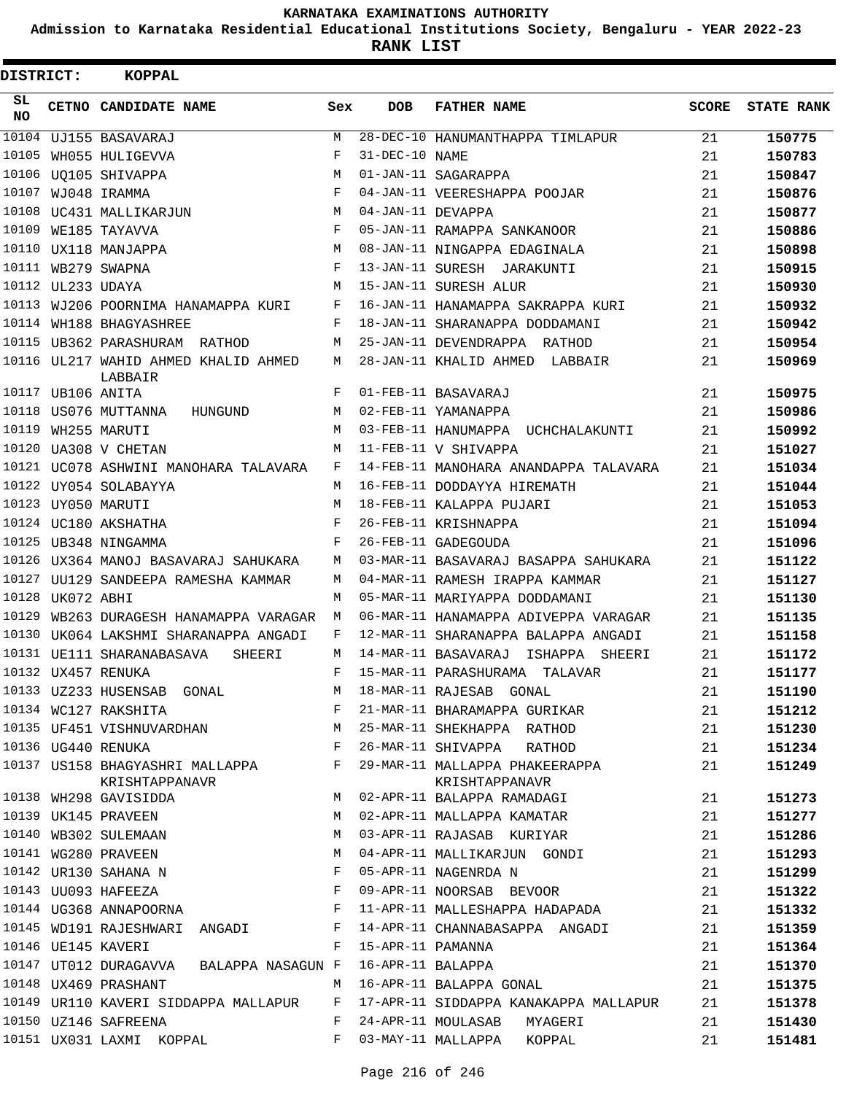**Admission to Karnataka Residential Educational Institutions Society, Bengaluru - YEAR 2022-23**

**RANK LIST**

| DISTRICT: |                   | <b>KOPPAL</b>                                     |       |                   |                                                                              |              |                   |
|-----------|-------------------|---------------------------------------------------|-------|-------------------|------------------------------------------------------------------------------|--------------|-------------------|
| SL<br>NO. |                   | CETNO CANDIDATE NAME                              | Sex   | <b>DOB</b>        | <b>FATHER NAME</b>                                                           | <b>SCORE</b> | <b>STATE RANK</b> |
|           |                   | 10104 UJ155 BASAVARAJ                             | M     |                   | 28-DEC-10 HANUMANTHAPPA TIMLAPUR                                             | 21           | 150775            |
| 10105     |                   | WH055 HULIGEVVA                                   | F     | 31-DEC-10 NAME    |                                                                              | 21           | 150783            |
|           |                   | 10106 UQ105 SHIVAPPA                              | M     |                   | 01-JAN-11 SAGARAPPA                                                          | 21           | 150847            |
| 10107     |                   | WJ048 IRAMMA                                      | F     |                   | 04-JAN-11 VEERESHAPPA POOJAR                                                 | 21           | 150876            |
|           |                   | 10108 UC431 MALLIKARJUN                           | М     | 04-JAN-11 DEVAPPA |                                                                              | 21           | 150877            |
|           |                   | 10109 WE185 TAYAVVA                               | F     |                   | 05-JAN-11 RAMAPPA SANKANOOR                                                  | 21           | 150886            |
|           |                   | 10110 UX118 MANJAPPA                              | M     |                   | 08-JAN-11 NINGAPPA EDAGINALA                                                 | 21           | 150898            |
|           |                   | 10111 WB279 SWAPNA                                | F     |                   | 13-JAN-11 SURESH JARAKUNTI                                                   | 21           | 150915            |
|           | 10112 UL233 UDAYA |                                                   | М     |                   | 15-JAN-11 SURESH ALUR                                                        | 21           | 150930            |
|           |                   | 10113 WJ206 POORNIMA HANAMAPPA KURI               | F     |                   | 16-JAN-11 HANAMAPPA SAKRAPPA KURI                                            | 21           | 150932            |
|           |                   | 10114 WH188 BHAGYASHREE                           | F     |                   | 18-JAN-11 SHARANAPPA DODDAMANI                                               | 21           | 150942            |
|           |                   | 10115 UB362 PARASHURAM RATHOD                     | М     |                   | 25-JAN-11 DEVENDRAPPA RATHOD                                                 | 21           | 150954            |
|           |                   | 10116 UL217 WAHID AHMED KHALID AHMED<br>LABBAIR   | М     |                   | 28-JAN-11 KHALID AHMED LABBAIR                                               | 21           | 150969            |
|           | 10117 UB106 ANITA |                                                   | F     |                   | 01-FEB-11 BASAVARAJ                                                          | 21           | 150975            |
|           |                   | 10118 US076 MUTTANNA<br>HUNGUND                   | М     |                   | 02-FEB-11 YAMANAPPA                                                          | 21           | 150986            |
|           |                   | 10119 WH255 MARUTI                                | М     |                   | 03-FEB-11 HANUMAPPA UCHCHALAKUNTI                                            | 21           | 150992            |
|           |                   | 10120 UA308 V CHETAN                              | M     |                   | 11-FEB-11 V SHIVAPPA                                                         | 21           | 151027            |
|           |                   | 10121 UC078 ASHWINI MANOHARA TALAVARA             | F     |                   | 14-FEB-11 MANOHARA ANANDAPPA TALAVARA                                        | 21           | 151034            |
|           |                   | 10122 UY054 SOLABAYYA                             | M     |                   | 16-FEB-11 DODDAYYA HIREMATH                                                  | 21           | 151044            |
|           |                   | 10123 UY050 MARUTI                                | М     |                   | 18-FEB-11 KALAPPA PUJARI                                                     | 21           | 151053            |
|           |                   | 10124 UC180 AKSHATHA                              | F     |                   | 26-FEB-11 KRISHNAPPA                                                         | 21           | 151094            |
|           |                   | 10125 UB348 NINGAMMA                              | F     |                   | 26-FEB-11 GADEGOUDA                                                          | 21           | 151096            |
|           |                   | 10126 UX364 MANOJ BASAVARAJ SAHUKARA              | М     |                   | 03-MAR-11 BASAVARAJ BASAPPA SAHUKARA                                         | 21           | 151122            |
|           |                   | 10127 UU129 SANDEEPA RAMESHA KAMMAR               | M     |                   | 04-MAR-11 RAMESH IRAPPA KAMMAR                                               | 21           | 151127            |
| 10128     | UK072 ABHI        |                                                   | M     |                   | 05-MAR-11 MARIYAPPA DODDAMANI                                                | 21           | 151130            |
| 10129     |                   | WB263 DURAGESH HANAMAPPA VARAGAR                  | М     |                   | 06-MAR-11 HANAMAPPA ADIVEPPA VARAGAR                                         | 21           | 151135            |
|           |                   | 10130 UK064 LAKSHMI SHARANAPPA ANGADI             | F     |                   | 12-MAR-11 SHARANAPPA BALAPPA ANGADI                                          | 21           | 151158            |
|           |                   | 10131 UE111 SHARANABASAVA<br>SHEERI               | M     |                   | 14-MAR-11 BASAVARAJ ISHAPPA SHEERI                                           | 21           | 151172            |
|           |                   | 10132 UX457 RENUKA                                | F     |                   | 15-MAR-11 PARASHURAMA TALAVAR                                                | 21           | 151177            |
|           |                   | 10133 UZ233 HUSENSAB GONAL                        | M     |                   | 18-MAR-11 RAJESAB GONAL                                                      | 21           | 151190            |
|           |                   | 10134 WC127 RAKSHITA                              | F     |                   | 21-MAR-11 BHARAMAPPA GURIKAR                                                 | 21           | 151212            |
|           |                   | 10135 UF451 VISHNUVARDHAN M                       |       |                   | 25-MAR-11 SHEKHAPPA RATHOD                                                   | 21           | 151230            |
|           |                   | 10136 UG440 RENUKA<br>$\mathbf{F}$                |       |                   | 26-MAR-11 SHIVAPPA RATHOD                                                    | 21           | 151234            |
|           |                   | 10137 US158 BHAGYASHRI MALLAPPA<br>KRISHTAPPANAVR | F     |                   | 29-MAR-11 MALLAPPA PHAKEERAPPA<br>KRISHTAPPANAVR                             | 21           | 151249            |
|           |                   | 10138 WH298 GAVISIDDA                             | М     |                   | 02-APR-11 BALAPPA RAMADAGI                                                   | 21           | 151273            |
|           |                   | 10139 UK145 PRAVEEN<br>10140 WB302 SULEMAAN       | М     |                   | 02-APR-11 MALLAPPA KAMATAR                                                   | 21           | 151277            |
|           |                   |                                                   | M     |                   | 03-APR-11 RAJASAB KURIYAR                                                    | 21           | 151286            |
|           |                   |                                                   | М     |                   | 04-APR-11 MALLIKARJUN GONDI                                                  | 21           | 151293            |
|           |                   | 10141 WG280 PRAVEEN<br>10142 UR130 SAHANA N       | F     |                   | 05-APR-11 NAGENRDA N                                                         | 21           | 151299            |
|           |                   | 10143 UU093 HAFEEZA                               | F     |                   | 09-APR-11 NOORSAB BEVOOR                                                     | 21           | 151322            |
|           |                   | 10144 UG368 ANNAPOORNA                            | F     |                   | 11-APR-11 MALLESHAPPA HADAPADA                                               | 21           | 151332            |
|           |                   | 10145 WD191 RAJESHWARI ANGADI                     | F     |                   | 14-APR-11 CHANNABASAPPA ANGADI                                               | 21           | 151359            |
|           |                   | 10146 UE145 KAVERI                                | F     | 15-APR-11 PAMANNA |                                                                              | 21           | 151364            |
|           |                   | 10147 UT012 DURAGAVVA BALAPPA NASAGUN F           |       | 16-APR-11 BALAPPA |                                                                              | 21           | 151370            |
|           |                   | 10148 UX469 PRASHANT                              |       |                   | M 16-APR-11 BALAPPA GONAL                                                    | 21           | 151375            |
|           |                   |                                                   |       |                   | 10149 UR110 KAVERI SIDDAPPA MALLAPUR F 17-APR-11 SIDDAPPA KANAKAPPA MALLAPUR | 21           | 151378            |
|           |                   | 10150 UZ146 SAFREENA                              | F     |                   | 24-APR-11 MOULASAB MYAGERI                                                   | 21           | 151430            |
|           |                   | 10151 UX031 LAXMI KOPPAL                          | $F -$ |                   | 03-MAY-11 MALLAPPA KOPPAL                                                    | 21           | 151481            |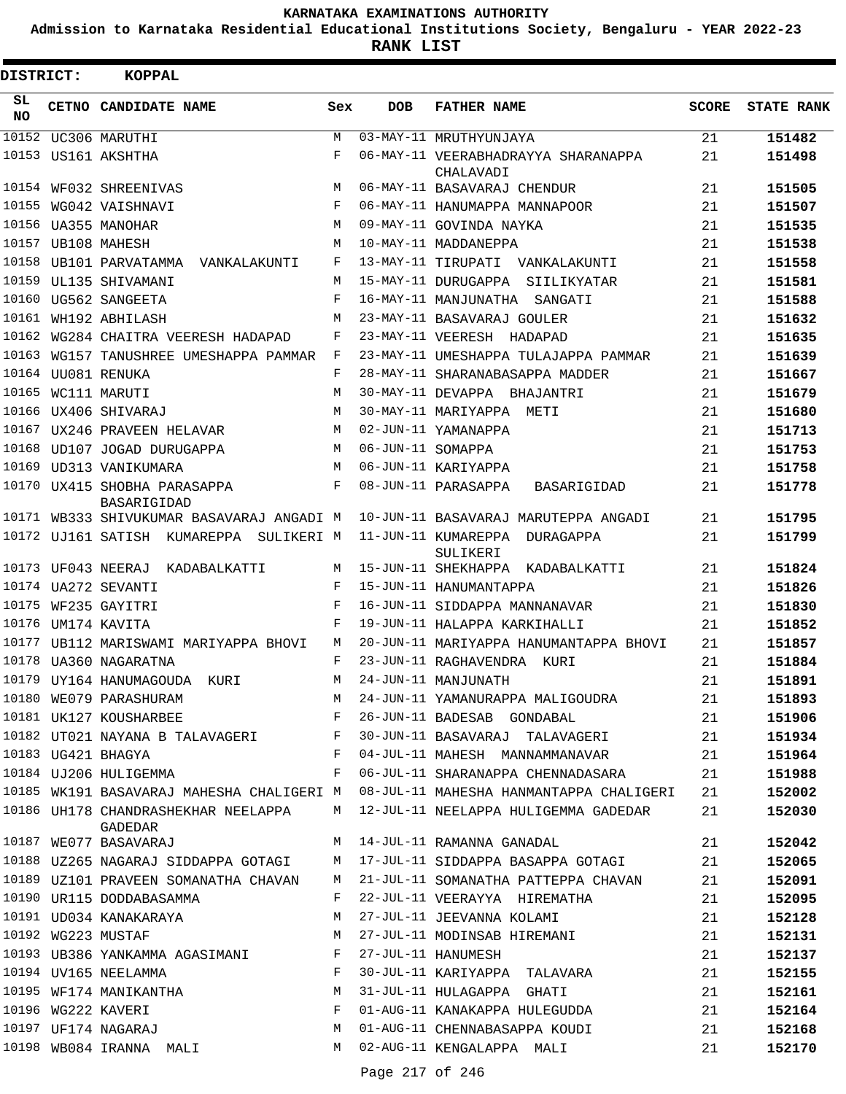**Admission to Karnataka Residential Educational Institutions Society, Bengaluru - YEAR 2022-23**

| DISTRICT:       | <b>KOPPAL</b>                                                            |              |                   |                                                                            |              |                   |
|-----------------|--------------------------------------------------------------------------|--------------|-------------------|----------------------------------------------------------------------------|--------------|-------------------|
| SL<br><b>NO</b> | CETNO CANDIDATE NAME                                                     | Sex          | <b>DOB</b>        | <b>FATHER NAME</b>                                                         | <b>SCORE</b> | <b>STATE RANK</b> |
| 10152           | UC306 MARUTHI                                                            | M            |                   | 03-MAY-11 MRUTHYUNJAYA                                                     | 21           | 151482            |
|                 | 10153 US161 AKSHTHA                                                      | F            |                   | 06-MAY-11 VEERABHADRAYYA SHARANAPPA                                        | 21           | 151498            |
| 10154           | WF032 SHREENIVAS                                                         | M            |                   | CHALAVADI<br>06-MAY-11 BASAVARAJ CHENDUR                                   | 21           | 151505            |
|                 | 10155 WG042 VAISHNAVI                                                    | F            |                   | 06-MAY-11 HANUMAPPA MANNAPOOR                                              | 21           | 151507            |
|                 | 10156 UA355 MANOHAR                                                      | M            |                   | 09-MAY-11 GOVINDA NAYKA                                                    | 21           | 151535            |
| 10157           | UB108 MAHESH                                                             | M            |                   | 10-MAY-11 MADDANEPPA                                                       | 21           | 151538            |
| 10158           | UB101 PARVATAMMA<br>VANKALAKUNTI                                         | F            |                   | 13-MAY-11 TIRUPATI VANKALAKUNTI                                            | 21           | 151558            |
| 10159           | UL135 SHIVAMANI                                                          | M            |                   | 15-MAY-11 DURUGAPPA SIILIKYATAR                                            | 21           | 151581            |
| 10160           | UG562 SANGEETA                                                           | F            |                   | 16-MAY-11 MANJUNATHA SANGATI                                               | 21           | 151588            |
| 10161           | WH192 ABHILASH                                                           | M            |                   | 23-MAY-11 BASAVARAJ GOULER                                                 | 21           | 151632            |
| 10162           | WG284 CHAITRA VEERESH HADAPAD                                            | F            |                   | 23-MAY-11 VEERESH HADAPAD                                                  | 21           | 151635            |
| 10163           | WG157 TANUSHREE UMESHAPPA PAMMAR                                         | F            |                   | 23-MAY-11 UMESHAPPA TULAJAPPA PAMMAR                                       | 21           | 151639            |
|                 | 10164 UU081 RENUKA                                                       | F            |                   | 28-MAY-11 SHARANABASAPPA MADDER                                            | 21           | 151667            |
| 10165           | WC111 MARUTI                                                             | M            |                   | 30-MAY-11 DEVAPPA BHAJANTRI                                                | 21           | 151679            |
|                 | 10166 UX406 SHIVARAJ                                                     | M            |                   | 30-MAY-11 MARIYAPPA METI                                                   | 21           | 151680            |
|                 | 10167 UX246 PRAVEEN HELAVAR                                              | M            |                   | 02-JUN-11 YAMANAPPA                                                        | 21           | 151713            |
| 10168           | UD107 JOGAD DURUGAPPA                                                    | M            | 06-JUN-11 SOMAPPA |                                                                            | 21           | 151753            |
| 10169           | UD313 VANIKUMARA                                                         | M            |                   | 06-JUN-11 KARIYAPPA                                                        | 21           | 151758            |
|                 | 10170 UX415 SHOBHA PARASAPPA                                             | F            |                   | 08-JUN-11 PARASAPPA<br>BASARIGIDAD                                         | 21           | 151778            |
|                 | BASARIGIDAD                                                              |              |                   |                                                                            |              |                   |
|                 | 10171 WB333 SHIVUKUMAR BASAVARAJ ANGADI M                                |              |                   | 10-JUN-11 BASAVARAJ MARUTEPPA ANGADI                                       | 21           | 151795            |
|                 | 10172 UJ161 SATISH KUMAREPPA SULIKERI M                                  |              |                   | 11-JUN-11 KUMAREPPA DURAGAPPA                                              | 21           | 151799            |
|                 |                                                                          |              |                   | SULIKERI                                                                   |              |                   |
|                 | 10173 UF043 NEERAJ KADABALKATTI                                          | M            |                   | 15-JUN-11 SHEKHAPPA KADABALKATTI                                           | 21           | 151824            |
|                 | 10174 UA272 SEVANTI                                                      | F            |                   | 15-JUN-11 HANUMANTAPPA                                                     | 21           | 151826            |
|                 | 10175 WF235 GAYITRI                                                      | F            |                   | 16-JUN-11 SIDDAPPA MANNANAVAR                                              | 21           | 151830            |
| 10176           | UM174 KAVITA                                                             | F            |                   | 19-JUN-11 HALAPPA KARKIHALLI                                               | 21           | 151852            |
| 10177           | UB112 MARISWAMI MARIYAPPA BHOVI                                          | М            |                   | 20-JUN-11 MARIYAPPA HANUMANTAPPA BHOVI                                     | 21           | 151857            |
|                 | 10178 UA360 NAGARATNA                                                    | F            |                   | 23-JUN-11 RAGHAVENDRA KURI                                                 | 21           | 151884            |
|                 | 10179 UY164 HANUMAGOUDA<br>KURI                                          | M            |                   | 24-JUN-11 MANJUNATH                                                        | 21           | 151891            |
|                 | 10180 WE079 PARASHURAM                                                   | М            |                   | 24-JUN-11 YAMANURAPPA MALIGOUDRA                                           | 21           | 151893            |
|                 | $\mathbf{F}$ and $\mathbf{F}$ and $\mathbf{F}$<br>10181 UK127 KOUSHARBEE |              |                   | 26-JUN-11 BADESAB GONDABAL                                                 | 21           | 151906            |
|                 | 10182 UT021 NAYANA B TALAVAGERI F                                        |              |                   | 30-JUN-11 BASAVARAJ TALAVAGERI                                             | 21           | 151934            |
|                 | 10183 UG421 BHAGYA                                                       | $\mathbf{F}$ |                   | 04-JUL-11 MAHESH MANNAMMANAVAR                                             | 21           | 151964            |
|                 | 10184 UJ206 HULIGEMMA                                                    | F            |                   | 06-JUL-11 SHARANAPPA CHENNADASARA                                          | 21           | 151988            |
|                 | 10185 WK191 BASAVARAJ MAHESHA CHALIGERI M                                |              |                   | 08-JUL-11 MAHESHA HANMANTAPPA CHALIGERI                                    | 21           | 152002            |
|                 | GADEDAR                                                                  |              |                   | 10186 UH178 CHANDRASHEKHAR NEELAPPA M 12-JUL-11 NEELAPPA HULIGEMMA GADEDAR | 21           | 152030            |
|                 | 10187 WE077 BASAVARAJ                                                    | M            |                   | 14-JUL-11 RAMANNA GANADAL                                                  | 21           | 152042            |
|                 | 10188 UZ265 NAGARAJ SIDDAPPA GOTAGI                                      | M            |                   | 17-JUL-11 SIDDAPPA BASAPPA GOTAGI                                          | 21           | 152065            |
|                 | 10189 UZ101 PRAVEEN SOMANATHA CHAVAN                                     | M            |                   | 21-JUL-11 SOMANATHA PATTEPPA CHAVAN                                        | 21           | 152091            |
|                 | 10190 UR115 DODDABASAMMA                                                 | F            |                   | 22-JUL-11 VEERAYYA HIREMATHA                                               | 21           | 152095            |
|                 | 10191 UD034 KANAKARAYA                                                   | M            |                   | 27-JUL-11 JEEVANNA KOLAMI                                                  | 21           | 152128            |
|                 | 10192 WG223 MUSTAF                                                       | M            |                   | 27-JUL-11 MODINSAB HIREMANI                                                | 21           | 152131            |
|                 | 10193 UB386 YANKAMMA AGASIMANI F                                         |              |                   | 27-JUL-11 HANUMESH                                                         | 21           | 152137            |
|                 | 10194 UV165 NEELAMMA                                                     | F            |                   | 30-JUL-11 KARIYAPPA TALAVARA                                               | 21           | 152155            |
|                 | 10195 WF174 MANIKANTHA                                                   | М            |                   | 31-JUL-11 HULAGAPPA GHATI                                                  | 21           | 152161            |
|                 |                                                                          | F            |                   | 01-AUG-11 KANAKAPPA HULEGUDDA                                              | 21           | 152164            |
|                 |                                                                          | М            |                   | 01-AUG-11 CHENNABASAPPA KOUDI                                              | 21           | 152168            |
|                 | 10198 WB084 IRANNA MALI                                                  |              |                   | M 02-AUG-11 KENGALAPPA MALI                                                | 21           | 152170            |
|                 |                                                                          |              |                   |                                                                            |              |                   |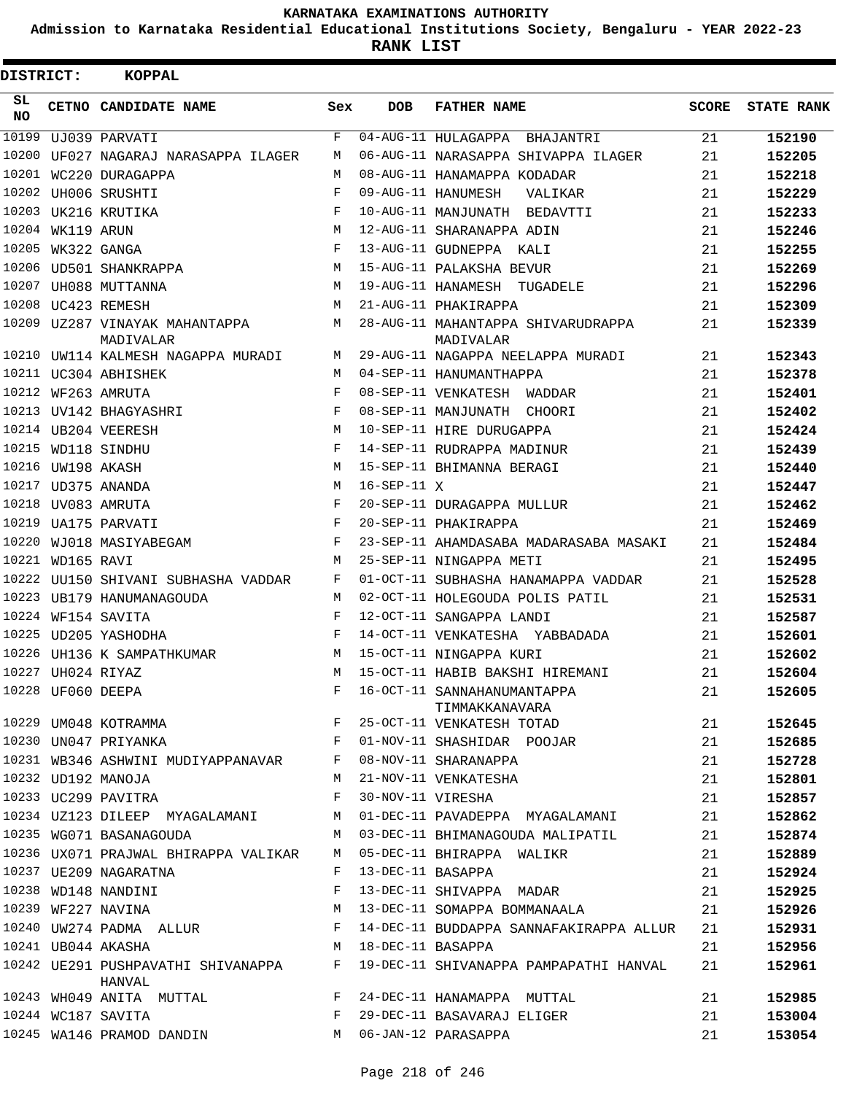**Admission to Karnataka Residential Educational Institutions Society, Bengaluru - YEAR 2022-23**

**RANK LIST**

| <b>DISTRICT:</b> |                   | KOPPAL                                        |              |                   |                                                 |       |                   |
|------------------|-------------------|-----------------------------------------------|--------------|-------------------|-------------------------------------------------|-------|-------------------|
| SL<br><b>NO</b>  |                   | CETNO CANDIDATE NAME                          | Sex          | <b>DOB</b>        | <b>FATHER NAME</b>                              | SCORE | <b>STATE RANK</b> |
| 10199            |                   | UJ039 PARVATI                                 | F            |                   | 04-AUG-11 HULAGAPPA BHAJANTRI                   | 21    | 152190            |
|                  |                   | 10200 UF027 NAGARAJ NARASAPPA ILAGER          | M            |                   | 06-AUG-11 NARASAPPA SHIVAPPA ILAGER             | 21    | 152205            |
|                  |                   | 10201 WC220 DURAGAPPA                         | M            |                   | 08-AUG-11 HANAMAPPA KODADAR                     | 21    | 152218            |
|                  |                   | 10202 UH006 SRUSHTI                           | $\mathbf{F}$ |                   | 09-AUG-11 HANUMESH<br>VALIKAR                   | 21    | 152229            |
|                  |                   | 10203 UK216 KRUTIKA                           | F            |                   | 10-AUG-11 MANJUNATH BEDAVTTI                    | 21    | 152233            |
|                  | 10204 WK119 ARUN  |                                               | M            |                   | 12-AUG-11 SHARANAPPA ADIN                       | 21    | 152246            |
|                  | 10205 WK322 GANGA |                                               | F            |                   | 13-AUG-11 GUDNEPPA KALI                         | 21    | 152255            |
|                  |                   | 10206 UD501 SHANKRAPPA                        | M            |                   | 15-AUG-11 PALAKSHA BEVUR                        | 21    | 152269            |
|                  |                   | 10207 UH088 MUTTANNA                          | M            |                   | 19-AUG-11 HANAMESH TUGADELE                     | 21    | 152296            |
|                  |                   | 10208 UC423 REMESH                            | M            |                   | 21-AUG-11 PHAKIRAPPA                            | 21    | 152309            |
|                  |                   | 10209 UZ287 VINAYAK MAHANTAPPA M<br>MADIVALAR |              |                   | 28-AUG-11 MAHANTAPPA SHIVARUDRAPPA<br>MADIVALAR | 21    | 152339            |
|                  |                   | 10210 UW114 KALMESH NAGAPPA MURADI            | M            |                   | 29-AUG-11 NAGAPPA NEELAPPA MURADI               | 21    | 152343            |
|                  |                   | 10211 UC304 ABHISHEK                          | M            |                   | 04-SEP-11 HANUMANTHAPPA                         | 21    | 152378            |
|                  |                   | 10212 WF263 AMRUTA                            | $\mathbf{F}$ |                   | 08-SEP-11 VENKATESH WADDAR                      | 21    | 152401            |
|                  |                   | 10213 UV142 BHAGYASHRI                        | $\mathbf{F}$ |                   | 08-SEP-11 MANJUNATH CHOORI                      | 21    | 152402            |
|                  |                   | 10214 UB204 VEERESH                           | M            |                   | 10-SEP-11 HIRE DURUGAPPA                        | 21    | 152424            |
|                  |                   | 10215 WD118 SINDHU                            | $\mathbf{F}$ |                   | 14-SEP-11 RUDRAPPA MADINUR                      | 21    | 152439            |
|                  | 10216 UW198 AKASH |                                               | M            |                   | 15-SEP-11 BHIMANNA BERAGI                       | 21    | 152440            |
|                  |                   | 10217 UD375 ANANDA                            | M            | 16-SEP-11 X       |                                                 | 21    | 152447            |
|                  |                   | 10218 UV083 AMRUTA                            | F            |                   | 20-SEP-11 DURAGAPPA MULLUR                      | 21    | 152462            |
| 10219            |                   | UA175 PARVATI                                 | $\mathbf{F}$ |                   | 20-SEP-11 PHAKIRAPPA                            | 21    | 152469            |
| 10220            |                   | WJ018 MASIYABEGAM F                           |              |                   | 23-SEP-11 AHAMDASABA MADARASABA MASAKI          | 21    | 152484            |
|                  | 10221 WD165 RAVI  |                                               | M            |                   | 25-SEP-11 NINGAPPA METI                         | 21    | 152495            |
|                  |                   | 10222 UU150 SHIVANI SUBHASHA VADDAR           | $\mathbf{F}$ |                   | 01-OCT-11 SUBHASHA HANAMAPPA VADDAR             | 21    | 152528            |
|                  |                   | 10223 UB179 HANUMANAGOUDA                     | M            |                   | 02-OCT-11 HOLEGOUDA POLIS PATIL                 | 21    | 152531            |
|                  |                   | 10224 WF154 SAVITA                            | F            |                   | 12-OCT-11 SANGAPPA LANDI                        | 21    | 152587            |
|                  |                   | 10225 UD205 YASHODHA                          | $\mathbf{F}$ |                   | 14-OCT-11 VENKATESHA YABBADADA                  | 21    | 152601            |
|                  |                   | 10226 UH136 K SAMPATHKUMAR                    | М            |                   | 15-OCT-11 NINGAPPA KURI                         | 21    | 152602            |
|                  | 10227 UH024 RIYAZ |                                               | M            |                   | 15-OCT-11 HABIB BAKSHI HIREMANI                 | 21    | 152604            |
|                  |                   | 10228 UF060 DEEPA                             | F            |                   | 16-OCT-11 SANNAHANUMANTAPPA<br>TIMMAKKANAVARA   | 21    | 152605            |
|                  |                   | 10229 UM048 KOTRAMMA                          | F            |                   | 25-OCT-11 VENKATESH TOTAD                       | 21    | 152645            |
|                  |                   | 10230 UN047 PRIYANKA                          | F            |                   | 01-NOV-11 SHASHIDAR POOJAR                      | 21    | 152685            |
|                  |                   | 10231 WB346 ASHWINI MUDIYAPPANAVAR            | F            |                   | 08-NOV-11 SHARANAPPA                            | 21    | 152728            |
|                  |                   | 10232 UD192 MANOJA                            | M            |                   | 21-NOV-11 VENKATESHA                            | 21    | 152801            |
|                  |                   | 10233 UC299 PAVITRA                           | F            | 30-NOV-11 VIRESHA |                                                 | 21    | 152857            |
|                  |                   | 10234  UZ123  DILEEP  MYAGALAMANI             | М            |                   | 01-DEC-11 PAVADEPPA MYAGALAMANI                 | 21    | 152862            |
|                  |                   | 10235 WG071 BASANAGOUDA                       | M            |                   | 03-DEC-11 BHIMANAGOUDA MALIPATIL                | 21    | 152874            |
|                  |                   | 10236 UX071 PRAJWAL BHIRAPPA VALIKAR          | М            |                   | 05-DEC-11 BHIRAPPA WALIKR                       | 21    | 152889            |
|                  |                   | 10237 UE209 NAGARATNA                         | F            |                   | 13-DEC-11 BASAPPA                               | 21    | 152924            |
|                  |                   | 10238 WD148 NANDINI                           | F            |                   | 13-DEC-11 SHIVAPPA MADAR                        | 21    | 152925            |
|                  |                   | 10239 WF227 NAVINA                            | M            |                   | 13-DEC-11 SOMAPPA BOMMANAALA                    | 21    | 152926            |
|                  |                   | 10240 UW274 PADMA ALLUR                       | F            |                   | 14-DEC-11 BUDDAPPA SANNAFAKIRAPPA ALLUR         | 21    | 152931            |
|                  |                   | 10241 UB044 AKASHA                            | M            | 18-DEC-11 BASAPPA |                                                 | 21    | 152956            |
|                  |                   | 10242 UE291 PUSHPAVATHI SHIVANAPPA<br>HANVAL  | F            |                   | 19-DEC-11 SHIVANAPPA PAMPAPATHI HANVAL          | 21    | 152961            |
|                  |                   | 10243 WH049 ANITA MUTTAL                      | F            |                   | 24-DEC-11 HANAMAPPA MUTTAL                      | 21    | 152985            |
|                  |                   | 10244 WC187 SAVITA                            | F            |                   | 29-DEC-11 BASAVARAJ ELIGER                      | 21    | 153004            |
|                  |                   | 10245 WA146 PRAMOD DANDIN                     | M            |                   | 06-JAN-12 PARASAPPA                             | 21    | 153054            |
|                  |                   |                                               |              |                   |                                                 |       |                   |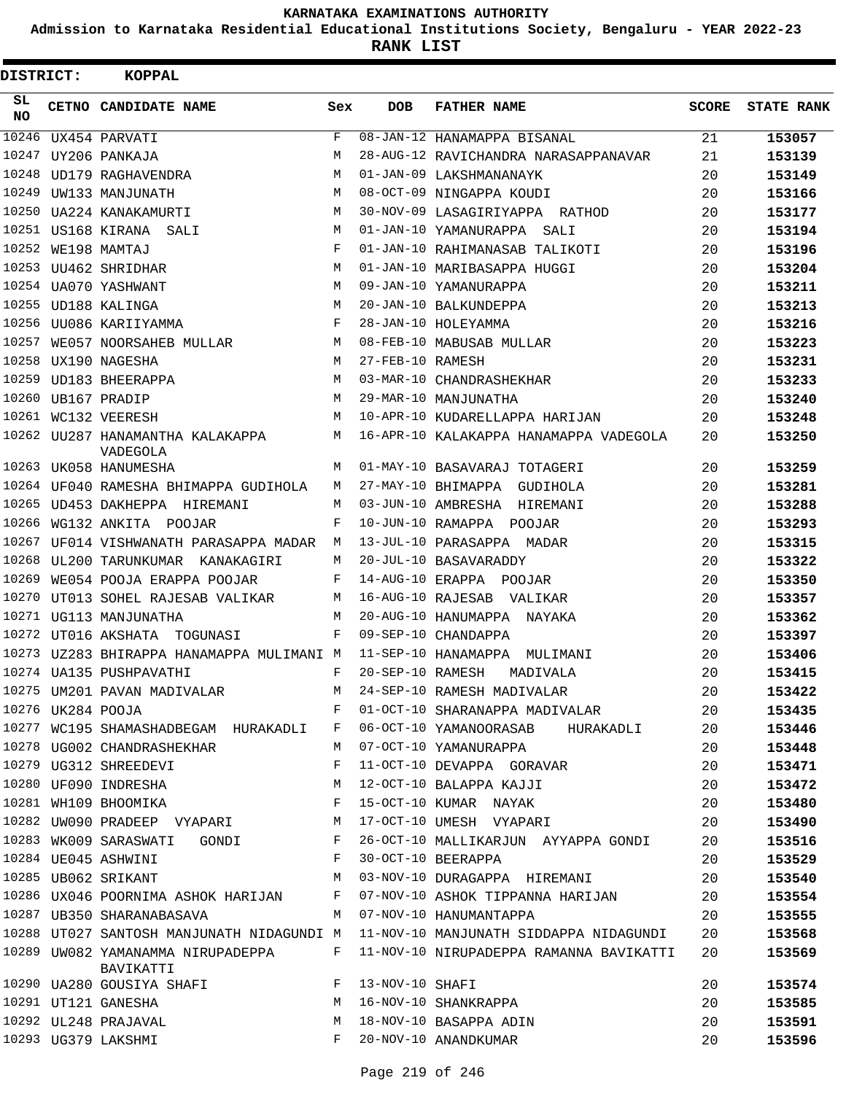**Admission to Karnataka Residential Educational Institutions Society, Bengaluru - YEAR 2022-23**

| DISTRICT: |  | <b>KOPPAL</b>                                  |            |                   |                                         |              |                   |
|-----------|--|------------------------------------------------|------------|-------------------|-----------------------------------------|--------------|-------------------|
| SL<br>NO. |  | CETNO CANDIDATE NAME                           | Sex        | <b>DOB</b>        | <b>FATHER NAME</b>                      | <b>SCORE</b> | <b>STATE RANK</b> |
| 10246     |  | UX454 PARVATI                                  | $_{\rm F}$ |                   | 08-JAN-12 HANAMAPPA BISANAL             | 21           | 153057            |
| 10247     |  | UY206 PANKAJA                                  | М          |                   | 28-AUG-12 RAVICHANDRA NARASAPPANAVAR    | 21           | 153139            |
| 10248     |  | UD179 RAGHAVENDRA                              | M          |                   | 01-JAN-09 LAKSHMANANAYK                 | 20           | 153149            |
| 10249     |  | UW133 MANJUNATH                                | M          |                   | 08-OCT-09 NINGAPPA KOUDI                | 20           | 153166            |
| 10250     |  | UA224 KANAKAMURTI                              | M          |                   | 30-NOV-09 LASAGIRIYAPPA RATHOD          | 20           | 153177            |
| 10251     |  | US168 KIRANA SALI                              | M          |                   | 01-JAN-10 YAMANURAPPA<br>SALI           | 20           | 153194            |
|           |  | 10252 WE198 MAMTAJ                             | F          |                   | 01-JAN-10 RAHIMANASAB TALIKOTI          | 20           | 153196            |
| 10253     |  | UU462 SHRIDHAR                                 | M          |                   | 01-JAN-10 MARIBASAPPA HUGGI             | 20           | 153204            |
|           |  | 10254 UA070 YASHWANT                           | M          |                   | 09-JAN-10 YAMANURAPPA                   | 20           | 153211            |
| 10255     |  | UD188 KALINGA                                  | M          |                   | 20-JAN-10 BALKUNDEPPA                   | 20           | 153213            |
|           |  | 10256 UU086 KARIIYAMMA                         | F          |                   | 28-JAN-10 HOLEYAMMA                     | 20           | 153216            |
| 10257     |  | WE057 NOORSAHEB MULLAR                         | М          |                   | 08-FEB-10 MABUSAB MULLAR                | 20           | 153223            |
| 10258     |  | UX190 NAGESHA                                  | М          | 27-FEB-10 RAMESH  |                                         | 20           | 153231            |
| 10259     |  | UD183 BHEERAPPA                                | M          |                   | 03-MAR-10 CHANDRASHEKHAR                | 20           | 153233            |
|           |  | 10260 UB167 PRADIP                             | М          |                   | 29-MAR-10 MANJUNATHA                    | 20           | 153240            |
|           |  | 10261 WC132 VEERESH                            | M          |                   | 10-APR-10 KUDARELLAPPA HARIJAN          | 20           | 153248            |
|           |  | 10262 UU287 HANAMANTHA KALAKAPPA<br>VADEGOLA   | М          |                   | 16-APR-10 KALAKAPPA HANAMAPPA VADEGOLA  | 20           | 153250            |
|           |  | 10263 UK058 HANUMESHA                          | М          |                   | 01-MAY-10 BASAVARAJ TOTAGERI            | 20           | 153259            |
|           |  | 10264 UF040 RAMESHA BHIMAPPA GUDIHOLA          | М          |                   | 27-MAY-10 BHIMAPPA<br>GUDIHOLA          | 20           | 153281            |
| 10265     |  | UD453 DAKHEPPA HIREMANI                        | M          |                   | 03-JUN-10 AMBRESHA HIREMANI             | 20           | 153288            |
| 10266     |  | WG132 ANKITA POOJAR                            | F          |                   | 10-JUN-10 RAMAPPA POOJAR                | 20           | 153293            |
| 10267     |  | UF014 VISHWANATH PARASAPPA MADAR               | М          |                   | 13-JUL-10 PARASAPPA MADAR               | 20           | 153315            |
| 10268     |  | UL200 TARUNKUMAR<br>KANAKAGIRI                 | М          |                   | 20-JUL-10 BASAVARADDY                   | 20           | 153322            |
| 10269     |  | WE054 POOJA ERAPPA POOJAR                      | F          |                   | 14-AUG-10 ERAPPA POOJAR                 | 20           | 153350            |
| 10270     |  | UT013 SOHEL RAJESAB VALIKAR                    | М          | 16-AUG-10 RAJESAB | VALIKAR                                 | 20           | 153357            |
| 10271     |  | UG113 MANJUNATHA                               | M          |                   | 20-AUG-10 HANUMAPPA NAYAKA              | 20           | 153362            |
|           |  | 10272 UT016 AKSHATA<br>TOGUNASI                | F          |                   | 09-SEP-10 CHANDAPPA                     | 20           | 153397            |
|           |  | 10273 UZ283 BHIRAPPA HANAMAPPA MULIMANI M      |            |                   | 11-SEP-10 HANAMAPPA MULIMANI            | 20           | 153406            |
|           |  | 10274 UA135 PUSHPAVATHI                        | $_{\rm F}$ | 20-SEP-10 RAMESH  | MADIVALA                                | 20           | 153415            |
|           |  | 10275 UM201 PAVAN MADIVALAR                    | М          |                   | 24-SEP-10 RAMESH MADIVALAR              | 20           | 153422            |
|           |  | 10276 UK284 POOJA                              | F          |                   | 01-OCT-10 SHARANAPPA MADIVALAR          | 20           | 153435            |
|           |  | 10277 WC195 SHAMASHADBEGAM HURAKADLI           | F          |                   | 06-OCT-10 YAMANOORASAB HURAKADLI        | 20           | 153446            |
|           |  | 10278 UG002 CHANDRASHEKHAR                     | М          |                   | 07-OCT-10 YAMANURAPPA                   | 20           | 153448            |
|           |  | 10279 UG312 SHREEDEVI                          | F          |                   | 11-OCT-10 DEVAPPA GORAVAR               | 20           | 153471            |
|           |  | 10280 UF090 INDRESHA                           | М          |                   | 12-OCT-10 BALAPPA KAJJI                 | 20           | 153472            |
|           |  | 10281 WH109 BHOOMIKA F                         |            |                   | 15-OCT-10 KUMAR NAYAK                   | 20           | 153480            |
|           |  | 10282 UW090 PRADEEP VYAPARI M                  |            |                   | 17-OCT-10 UMESH VYAPARI                 | 20           | 153490            |
|           |  | 10283 WK009 SARASWATI<br>GONDI F               |            |                   | 26-OCT-10 MALLIKARJUN AYYAPPA GONDI     | 20           | 153516            |
|           |  | 10284 UE045 ASHWINI                            | F          |                   | 30-OCT-10 BEERAPPA                      | 20           | 153529            |
|           |  | 10285 UB062 SRIKANT                            | M          |                   | 03-NOV-10 DURAGAPPA HIREMANI            | 20           | 153540            |
|           |  | 10286 UX046 POORNIMA ASHOK HARIJAN F           |            |                   | 07-NOV-10 ASHOK TIPPANNA HARIJAN        | 20           | 153554            |
|           |  | 10287 UB350 SHARANABASAVA                      | M          |                   | 07-NOV-10 HANUMANTAPPA                  | 20           | 153555            |
|           |  | 10288 UT027 SANTOSH MANJUNATH NIDAGUNDI M      |            |                   | 11-NOV-10 MANJUNATH SIDDAPPA NIDAGUNDI  | 20           | 153568            |
|           |  | 10289 UW082 YAMANAMMA NIRUPADEPPA<br>BAVIKATTI | F          |                   | 11-NOV-10 NIRUPADEPPA RAMANNA BAVIKATTI | 20           | 153569            |
|           |  | 10290 UA280 GOUSIYA SHAFI                      | F          | 13-NOV-10 SHAFI   |                                         | 20           | 153574            |
|           |  | 10291 UT121 GANESHA                            | М          |                   | 16-NOV-10 SHANKRAPPA                    | 20           | 153585            |
|           |  | 10292 UL248 PRAJAVAL                           | М          |                   | 18-NOV-10 BASAPPA ADIN                  | 20           | 153591            |
|           |  | 10293 UG379 LAKSHMI                            | F          |                   | 20-NOV-10 ANANDKUMAR                    | 20           | 153596            |
|           |  |                                                |            |                   |                                         |              |                   |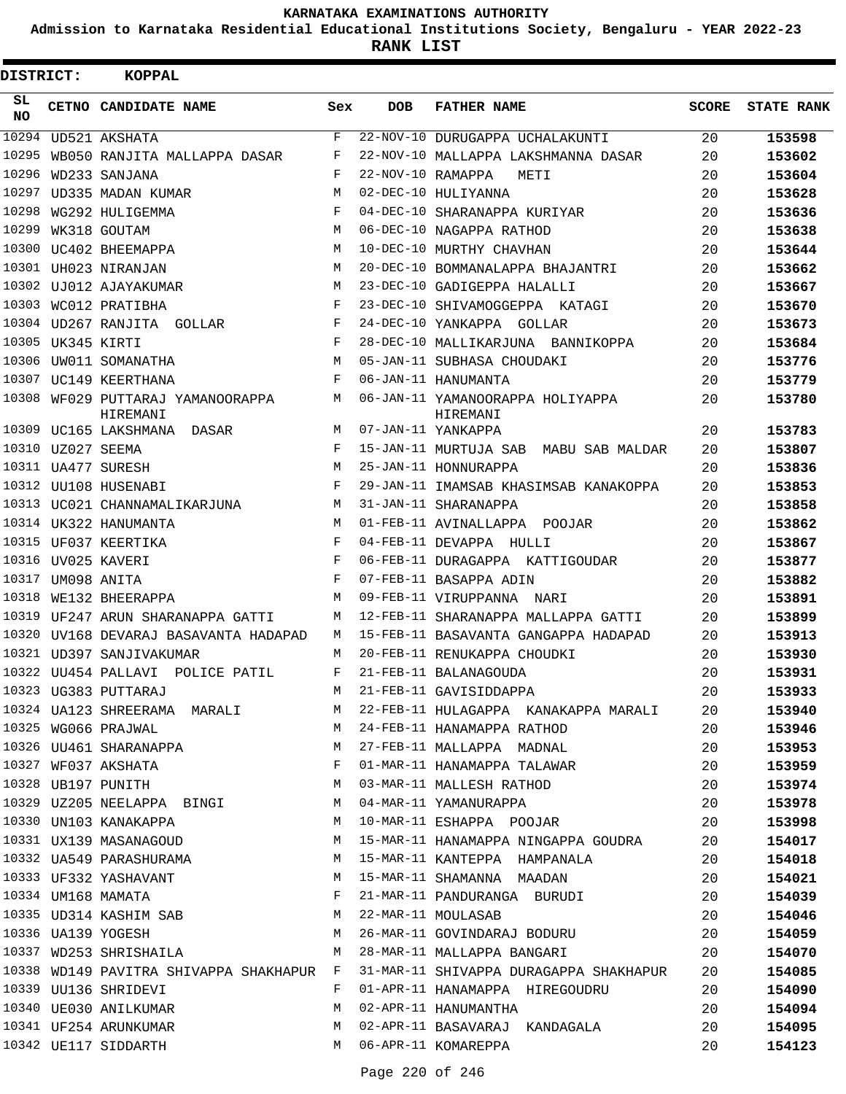**Admission to Karnataka Residential Educational Institutions Society, Bengaluru - YEAR 2022-23**

| <b>DISTRICT:</b> |                   | <b>KOPPAL</b>                                 |     |                   |                                              |              |                   |
|------------------|-------------------|-----------------------------------------------|-----|-------------------|----------------------------------------------|--------------|-------------------|
| SL<br>NO.        |                   | CETNO CANDIDATE NAME                          | Sex | <b>DOB</b>        | <b>FATHER NAME</b>                           | <b>SCORE</b> | <b>STATE RANK</b> |
| 10294            |                   | UD521 AKSHATA                                 | F   |                   | 22-NOV-10 DURUGAPPA UCHALAKUNTI              | 20           | 153598            |
| 10295            |                   | WB050 RANJITA MALLAPPA DASAR                  | F   |                   | 22-NOV-10 MALLAPPA LAKSHMANNA DASAR          | 20           | 153602            |
| 10296            |                   | WD233 SANJANA                                 | F   | 22-NOV-10 RAMAPPA | METI                                         | 20           | 153604            |
| 10297            |                   | UD335 MADAN KUMAR                             | М   |                   | 02-DEC-10 HULIYANNA                          | 20           | 153628            |
| 10298            |                   | WG292 HULIGEMMA                               | F   |                   | 04-DEC-10 SHARANAPPA KURIYAR                 | 20           | 153636            |
| 10299            |                   | WK318 GOUTAM                                  | M   |                   | 06-DEC-10 NAGAPPA RATHOD                     | 20           | 153638            |
| 10300            |                   | UC402 BHEEMAPPA                               | M   |                   | 10-DEC-10 MURTHY CHAVHAN                     | 20           | 153644            |
|                  |                   | 10301 UH023 NIRANJAN                          | М   |                   | 20-DEC-10 BOMMANALAPPA BHAJANTRI             | 20           | 153662            |
| 10302            |                   | UJ012 AJAYAKUMAR                              | М   |                   | 23-DEC-10 GADIGEPPA HALALLI                  | 20           | 153667            |
| 10303            |                   | WC012 PRATIBHA                                | F   |                   | 23-DEC-10 SHIVAMOGGEPPA KATAGI               | 20           | 153670            |
|                  |                   | 10304 UD267 RANJITA GOLLAR                    | F   |                   | 24-DEC-10 YANKAPPA GOLLAR                    | 20           | 153673            |
|                  | 10305 UK345 KIRTI |                                               | F   |                   | 28-DEC-10 MALLIKARJUNA BANNIKOPPA            | 20           | 153684            |
| 10306            |                   | UW011 SOMANATHA                               | M   |                   | 05-JAN-11 SUBHASA CHOUDAKI                   | 20           | 153776            |
|                  |                   | 10307 UC149 KEERTHANA                         | F   |                   | 06-JAN-11 HANUMANTA                          | 20           | 153779            |
|                  |                   | 10308 WF029 PUTTARAJ YAMANOORAPPA<br>HIREMANI | М   |                   | 06-JAN-11 YAMANOORAPPA HOLIYAPPA<br>HIREMANI | 20           | 153780            |
|                  |                   | 10309 UC165 LAKSHMANA DASAR                   | М   |                   | 07-JAN-11 YANKAPPA                           | 20           | 153783            |
|                  | 10310 UZ027 SEEMA |                                               | F   |                   | 15-JAN-11 MURTUJA SAB MABU SAB MALDAR        | 20           | 153807            |
|                  |                   | 10311 UA477 SURESH                            | М   |                   | 25-JAN-11 HONNURAPPA                         | 20           | 153836            |
|                  |                   | 10312 UU108 HUSENABI                          | F   |                   | 29-JAN-11 IMAMSAB KHASIMSAB KANAKOPPA        | 20           | 153853            |
|                  |                   | 10313 UC021 CHANNAMALIKARJUNA                 | М   |                   | 31-JAN-11 SHARANAPPA                         | 20           | 153858            |
|                  |                   | 10314 UK322 HANUMANTA                         | M   |                   | 01-FEB-11 AVINALLAPPA POOJAR                 | 20           | 153862            |
|                  |                   | 10315 UF037 KEERTIKA                          | F   |                   | 04-FEB-11 DEVAPPA HULLI                      | 20           | 153867            |
|                  |                   | 10316 UV025 KAVERI                            | F   |                   | 06-FEB-11 DURAGAPPA KATTIGOUDAR              | 20           | 153877            |
|                  | 10317 UM098 ANITA |                                               | F   |                   | 07-FEB-11 BASAPPA ADIN                       | 20           | 153882            |
| 10318            |                   | WE132 BHEERAPPA                               | М   |                   | 09-FEB-11 VIRUPPANNA NARI                    | 20           | 153891            |
| 10319            |                   | UF247 ARUN SHARANAPPA GATTI                   | М   |                   | 12-FEB-11 SHARANAPPA MALLAPPA GATTI          | 20           | 153899            |
| 10320            |                   | UV168 DEVARAJ BASAVANTA HADAPAD               | М   |                   | 15-FEB-11 BASAVANTA GANGAPPA HADAPAD         | 20           | 153913            |
|                  |                   | 10321 UD397 SANJIVAKUMAR                      | M   |                   | 20-FEB-11 RENUKAPPA CHOUDKI                  | 20           | 153930            |
|                  |                   | 10322 UU454 PALLAVI POLICE PATIL              | F   |                   | 21-FEB-11 BALANAGOUDA                        | 20           | 153931            |
|                  |                   | 10323 UG383 PUTTARAJ                          | M   |                   | 21-FEB-11 GAVISIDDAPPA                       | 20           | 153933            |
|                  |                   | 10324 UA123 SHREERAMA MARALI                  | M   |                   | 22-FEB-11 HULAGAPPA KANAKAPPA MARALI         | 20           | 153940            |
|                  |                   | 10325 WG066 PRAJWAL                           | M   |                   | 24-FEB-11 HANAMAPPA RATHOD                   | 20           | 153946            |
|                  |                   | 10326 UU461 SHARANAPPA                        | M   |                   | 27-FEB-11 MALLAPPA MADNAL                    | 20           | 153953            |
|                  |                   | 10327 WF037 AKSHATA                           | F   |                   | 01-MAR-11 HANAMAPPA TALAWAR                  | 20           | 153959            |
|                  |                   | 10328 UB197 PUNITH                            | M   |                   | 03-MAR-11 MALLESH RATHOD                     | 20           | 153974            |
|                  |                   | 10329 UZ205 NEELAPPA BINGI                    | M   |                   | 04-MAR-11 YAMANURAPPA                        | 20           | 153978            |
|                  |                   | 10330 UN103 KANAKAPPA                         | M   |                   | 10-MAR-11 ESHAPPA POOJAR                     | 20           | 153998            |
|                  |                   | 10331 UX139 MASANAGOUD                        | M   |                   | 15-MAR-11 HANAMAPPA NINGAPPA GOUDRA          | 20           | 154017            |
|                  |                   | 10332 UA549 PARASHURAMA                       | M   |                   | 15-MAR-11 KANTEPPA HAMPANALA                 | 20           | 154018            |
|                  |                   | 10333 UF332 YASHAVANT                         | M   |                   | 15-MAR-11 SHAMANNA MAADAN                    | 20           | 154021            |
|                  |                   | 10334 UM168 MAMATA                            | F   |                   | 21-MAR-11 PANDURANGA BURUDI                  | 20           | 154039            |
|                  |                   | 10335 UD314 KASHIM SAB                        | M   |                   | 22-MAR-11 MOULASAB                           | 20           | 154046            |
|                  |                   | 10336 UA139 YOGESH                            | M   |                   | 26-MAR-11 GOVINDARAJ BODURU                  | 20           | 154059            |
|                  |                   | 10337 WD253 SHRISHAILA                        | M   |                   | 28-MAR-11 MALLAPPA BANGARI                   | 20           | 154070            |
|                  |                   | 10338 WD149 PAVITRA SHIVAPPA SHAKHAPUR F      |     |                   | 31-MAR-11 SHIVAPPA DURAGAPPA SHAKHAPUR       | 20           | 154085            |
|                  |                   | 10339 UU136 SHRIDEVI                          | F   |                   | 01-APR-11 HANAMAPPA HIREGOUDRU               | 20           | 154090            |
|                  |                   | 10340 UE030 ANILKUMAR                         | М   |                   | 02-APR-11 HANUMANTHA                         | 20           | 154094            |
|                  |                   | 10341 UF254 ARUNKUMAR                         | М   |                   | 02-APR-11 BASAVARAJ KANDAGALA                | 20           | 154095            |
|                  |                   | 10342 UE117 SIDDARTH                          | M   |                   | 06-APR-11 KOMAREPPA                          | 20           | 154123            |
|                  |                   |                                               |     |                   |                                              |              |                   |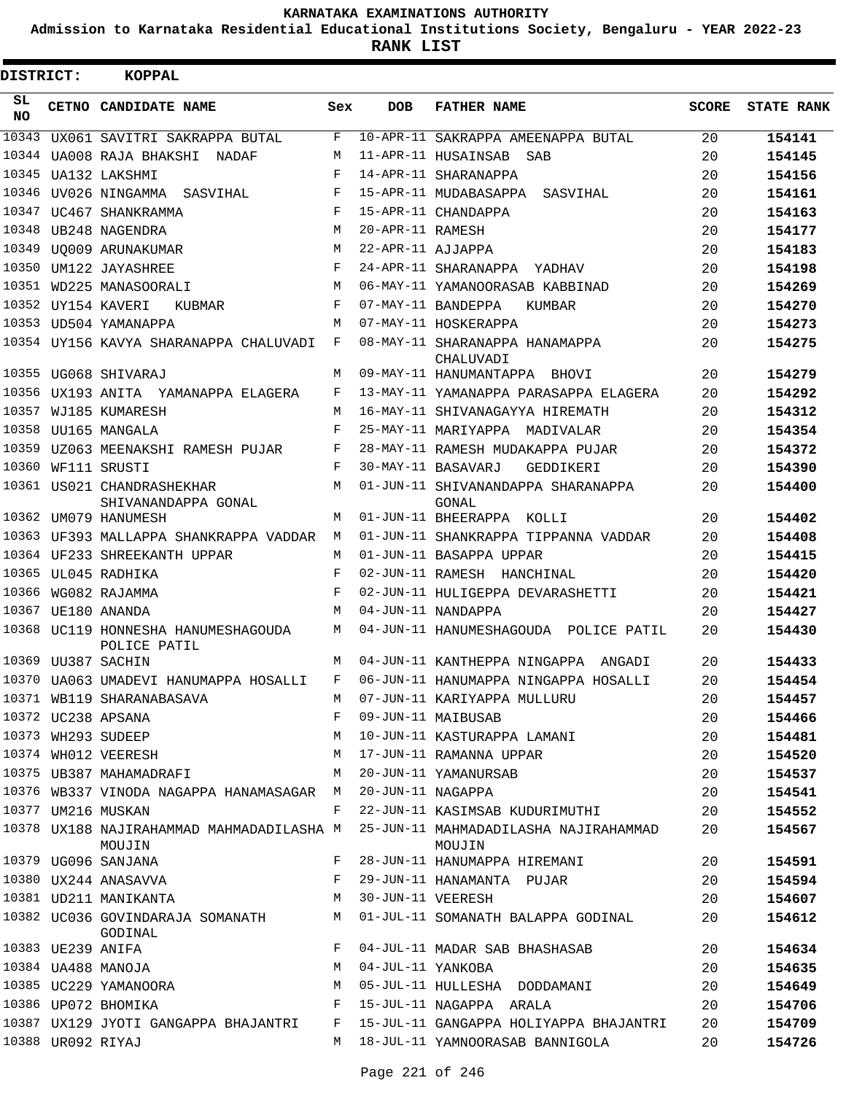**Admission to Karnataka Residential Educational Institutions Society, Bengaluru - YEAR 2022-23**

**RANK LIST**

Е

| DISTRICT:       |                   | KOPPAL                                                     |             |                   |                                                                                           |              |                   |
|-----------------|-------------------|------------------------------------------------------------|-------------|-------------------|-------------------------------------------------------------------------------------------|--------------|-------------------|
| SL<br><b>NO</b> |                   | CETNO CANDIDATE NAME                                       | Sex         | DOB               | <b>FATHER NAME</b>                                                                        | <b>SCORE</b> | <b>STATE RANK</b> |
| 10343           |                   | UX061 SAVITRI SAKRAPPA BUTAL                               | F           |                   | 10-APR-11 SAKRAPPA AMEENAPPA BUTAL                                                        | 20           | 154141            |
| 10344           |                   | UA008 RAJA BHAKSHI NADAF                                   | M           |                   | 11-APR-11 HUSAINSAB SAB                                                                   | 20           | 154145            |
| 10345           |                   | UA132 LAKSHMI                                              | F           |                   | 14-APR-11 SHARANAPPA                                                                      | 20           | 154156            |
| 10346           |                   | UV026 NINGAMMA SASVIHAL                                    | F           |                   | 15-APR-11 MUDABASAPPA SASVIHAL                                                            | 20           | 154161            |
|                 |                   | 10347 UC467 SHANKRAMMA                                     | F           |                   | 15-APR-11 CHANDAPPA                                                                       | 20           | 154163            |
| 10348           |                   | UB248 NAGENDRA                                             | M           | 20-APR-11 RAMESH  |                                                                                           | 20           | 154177            |
| 10349           |                   | UO009 ARUNAKUMAR                                           | M           | 22-APR-11 AJJAPPA |                                                                                           | 20           | 154183            |
| 10350           |                   | UM122 JAYASHREE                                            | F           |                   | 24-APR-11 SHARANAPPA YADHAV                                                               | 20           | 154198            |
|                 |                   | 10351 WD225 MANASOORALI                                    | M           |                   | 06-MAY-11 YAMANOORASAB KABBINAD                                                           | 20           | 154269            |
|                 |                   | 10352 UY154 KAVERI<br>KUBMAR                               | F           |                   | 07-MAY-11 BANDEPPA<br>KUMBAR                                                              | 20           | 154270            |
|                 |                   | 10353 UD504 YAMANAPPA                                      | M           |                   | 07-MAY-11 HOSKERAPPA                                                                      | 20           | 154273            |
|                 |                   | 10354 UY156 KAVYA SHARANAPPA CHALUVADI                     | F           |                   | 08-MAY-11 SHARANAPPA HANAMAPPA<br>CHALUVADI                                               | 20           | 154275            |
|                 |                   | 10355 UG068 SHIVARAJ                                       | M           |                   | 09-MAY-11 HANUMANTAPPA BHOVI                                                              | 20           | 154279            |
|                 |                   | 10356 UX193 ANITA YAMANAPPA ELAGERA                        | F           |                   | 13-MAY-11 YAMANAPPA PARASAPPA ELAGERA                                                     | 20           | 154292            |
|                 |                   | 10357 WJ185 KUMARESH                                       | M           |                   | 16-MAY-11 SHIVANAGAYYA HIREMATH                                                           | 20           | 154312            |
| 10358           |                   | UU165 MANGALA                                              | F           |                   | 25-MAY-11 MARIYAPPA MADIVALAR                                                             | 20           | 154354            |
|                 |                   | 10359 UZ063 MEENAKSHI RAMESH PUJAR                         | F           |                   | 28-MAY-11 RAMESH MUDAKAPPA PUJAR                                                          | 20           | 154372            |
|                 |                   | 10360 WF111 SRUSTI                                         | F           |                   | 30-MAY-11 BASAVARJ<br>GEDDIKERI                                                           | 20           | 154390            |
|                 |                   | 10361 US021 CHANDRASHEKHAR<br>SHIVANANDAPPA GONAL          | M           |                   | 01-JUN-11 SHIVANANDAPPA SHARANAPPA<br>GONAL                                               | 20           | 154400            |
|                 |                   | 10362 UM079 HANUMESH                                       | M           |                   | 01-JUN-11 BHEERAPPA KOLLI                                                                 | 20           | 154402            |
|                 |                   | 10363 UF393 MALLAPPA SHANKRAPPA VADDAR                     | M           |                   | 01-JUN-11 SHANKRAPPA TIPPANNA VADDAR                                                      | 20           | 154408            |
|                 |                   | 10364 UF233 SHREEKANTH UPPAR                               | M           |                   | 01-JUN-11 BASAPPA UPPAR                                                                   | 20           | 154415            |
|                 |                   | 10365 UL045 RADHIKA                                        | F           |                   | 02-JUN-11 RAMESH HANCHINAL                                                                | 20           | 154420            |
|                 |                   | 10366 WG082 RAJAMMA                                        | F           |                   | 02-JUN-11 HULIGEPPA DEVARASHETTI                                                          | 20           | 154421            |
|                 |                   | 10367 UE180 ANANDA                                         | M           |                   | 04-JUN-11 NANDAPPA                                                                        | 20           | 154427            |
|                 |                   | 10368 UC119 HONNESHA HANUMESHAGOUDA<br>POLICE PATIL        | M           |                   | 04-JUN-11 HANUMESHAGOUDA POLICE PATIL                                                     | 20           | 154430            |
|                 |                   | 10369 UU387 SACHIN                                         | M           |                   | 04-JUN-11 KANTHEPPA NINGAPPA ANGADI                                                       | 20           | 154433            |
|                 |                   | 10370 UA063 UMADEVI HANUMAPPA HOSALLI F                    |             |                   | 06-JUN-11 HANUMAPPA NINGAPPA HOSALLI                                                      | 20           | 154454            |
|                 |                   |                                                            |             |                   |                                                                                           | 20           | 154457            |
|                 |                   | 10372 UC238 APSANA                                         |             |                   |                                                                                           | 20           | 154466            |
|                 |                   | 10373 WH293 SUDEEP                                         |             |                   | M 10-JUN-11 KASTURAPPA LAMANI                                                             | 20           | 154481            |
|                 |                   | 10374 WHO12 VEERESH                                        |             |                   | M 17-JUN-11 RAMANNA UPPAR                                                                 | 20           | 154520            |
|                 |                   | 10375 UB387 MAHAMADRAFI                                    | M           |                   | 20-JUN-11 YAMANURSAB                                                                      | 20           | 154537            |
|                 |                   | 10376 WB337 VINODA NAGAPPA HANAMASAGAR M 20-JUN-11 NAGAPPA |             |                   |                                                                                           | 20           | 154541            |
|                 |                   | 10377 UM216 MUSKAN                                         | $F$ and $F$ |                   | 22-JUN-11 KASIMSAB KUDURIMUTHI                                                            | 20           | 154552            |
|                 |                   | MOUJIN                                                     |             |                   | 10378 UX188 NAJIRAHAMMAD MAHMADADILASHA M 25-JUN-11 MAHMADADILASHA NAJIRAHAMMAD<br>MOUJIN | 20           | 154567            |
|                 |                   | 10379 UG096 SANJANA                                        |             |                   | F 28-JUN-11 HANUMAPPA HIREMANI                                                            | 20           | 154591            |
|                 |                   | 10380 UX244 ANASAVVA                                       |             |                   | F 29-JUN-11 HANAMANTA PUJAR                                                               | 20           | 154594            |
|                 |                   | 10381 UD211 MANIKANTA M 30-JUN-11 VEERESH                  |             |                   |                                                                                           | 20           | 154607            |
|                 |                   | GODINAL                                                    |             |                   | 10382 UC036 GOVINDARAJA SOMANATH M 01-JUL-11 SOMANATH BALAPPA GODINAL                     | 20           | 154612            |
|                 |                   | 10383 UE239 ANIFA                                          |             |                   | F 04-JUL-11 MADAR SAB BHASHASAB                                                           | 20           | 154634            |
|                 |                   | 10384 UA488 MANOJA                                         |             |                   | M 04-JUL-11 YANKOBA                                                                       | 20           | 154635            |
|                 |                   | 10385 UC229 YAMANOORA                                      |             |                   | M 05-JUL-11 HULLESHA DODDAMANI                                                            | 20           | 154649            |
|                 |                   | 10386 UP072 BHOMIKA                                        |             |                   | F 15-JUL-11 NAGAPPA ARALA                                                                 | 20           | 154706            |
|                 |                   |                                                            |             |                   | 10387 UX129 JYOTI GANGAPPA BHAJANTRI F 15-JUL-11 GANGAPPA HOLIYAPPA BHAJANTRI             | 20           | 154709            |
|                 | 10388 UR092 RIYAJ |                                                            |             |                   | M 18-JUL-11 YAMNOORASAB BANNIGOLA                                                         | 20           | 154726            |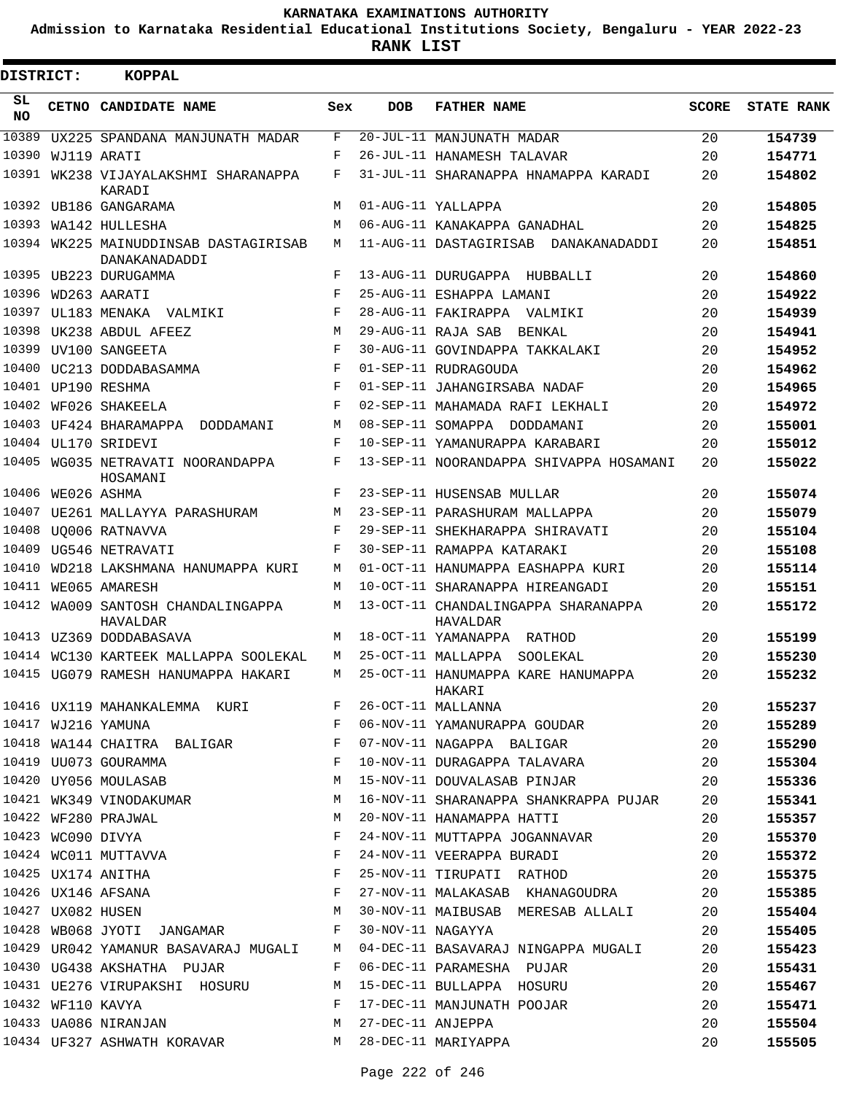**Admission to Karnataka Residential Educational Institutions Society, Bengaluru - YEAR 2022-23**

 $\blacksquare$ 

**RANK LIST**

Е

| DISTRICT:        |                   | <b>KOPPAL</b>                                          |            |                   |                                                 |              |                   |
|------------------|-------------------|--------------------------------------------------------|------------|-------------------|-------------------------------------------------|--------------|-------------------|
| SL.<br><b>NO</b> |                   | CETNO CANDIDATE NAME                                   | Sex        | <b>DOB</b>        | <b>FATHER NAME</b>                              | <b>SCORE</b> | <b>STATE RANK</b> |
| 10389            |                   | UX225 SPANDANA MANJUNATH MADAR                         | F          |                   | 20-JUL-11 MANJUNATH MADAR                       | 20           | 154739            |
| 10390            |                   | WJ119 ARATI                                            | F          |                   | 26-JUL-11 HANAMESH TALAVAR                      | 20           | 154771            |
| 10391            |                   | WK238 VIJAYALAKSHMI SHARANAPPA<br>KARADI               | F          |                   | 31-JUL-11 SHARANAPPA HNAMAPPA KARADI            | 20           | 154802            |
|                  |                   | 10392 UB186 GANGARAMA                                  | M          |                   | 01-AUG-11 YALLAPPA                              | 20           | 154805            |
| 10393            |                   | WA142 HULLESHA                                         | М          |                   | 06-AUG-11 KANAKAPPA GANADHAL                    | 20           | 154825            |
|                  |                   | 10394 WK225 MAINUDDINSAB DASTAGIRISAB<br>DANAKANADADDI | M          |                   | 11-AUG-11 DASTAGIRISAB DANAKANADADDI            | 20           | 154851            |
|                  |                   | 10395 UB223 DURUGAMMA                                  | F          |                   | 13-AUG-11 DURUGAPPA HUBBALLI                    | 20           | 154860            |
| 10396            |                   | WD263 AARATI                                           | $_{\rm F}$ |                   | 25-AUG-11 ESHAPPA LAMANI                        | 20           | 154922            |
| 10397            |                   | UL183 MENAKA VALMIKI                                   | F          |                   | 28-AUG-11 FAKIRAPPA VALMIKI                     | 20           | 154939            |
| 10398            |                   | UK238 ABDUL AFEEZ                                      | M          |                   | 29-AUG-11 RAJA SAB<br>BENKAL                    | 20           | 154941            |
| 10399            |                   | UV100 SANGEETA                                         | F          |                   | 30-AUG-11 GOVINDAPPA TAKKALAKI                  | 20           | 154952            |
|                  |                   | 10400 UC213 DODDABASAMMA                               | $_{\rm F}$ |                   | 01-SEP-11 RUDRAGOUDA                            | 20           | 154962            |
|                  |                   | 10401 UP190 RESHMA                                     | F          |                   | 01-SEP-11 JAHANGIRSABA NADAF                    | 20           | 154965            |
| 10402            |                   | WF026 SHAKEELA                                         | $_{\rm F}$ |                   | 02-SEP-11 MAHAMADA RAFI LEKHALI                 | 20           | 154972            |
| 10403            |                   | UF424 BHARAMAPPA<br>DODDAMANI                          | M          |                   | 08-SEP-11 SOMAPPA DODDAMANI                     | 20           | 155001            |
|                  |                   | 10404 UL170 SRIDEVI                                    | F          |                   | 10-SEP-11 YAMANURAPPA KARABARI                  | 20           | 155012            |
| 10405            |                   | WG035 NETRAVATI NOORANDAPPA<br>HOSAMANI                | F          |                   | 13-SEP-11 NOORANDAPPA SHIVAPPA HOSAMANI         | 20           | 155022            |
| 10406            |                   | WE026 ASHMA                                            | F          |                   | 23-SEP-11 HUSENSAB MULLAR                       | 20           | 155074            |
| 10407            |                   | UE261 MALLAYYA PARASHURAM                              | M          |                   | 23-SEP-11 PARASHURAM MALLAPPA                   | 20           | 155079            |
| 10408            |                   | UO006 RATNAVVA                                         | F          |                   | 29-SEP-11 SHEKHARAPPA SHIRAVATI                 | 20           | 155104            |
| 10409            |                   | UG546 NETRAVATI                                        | F          |                   | 30-SEP-11 RAMAPPA KATARAKI                      | 20           | 155108            |
| 10410            |                   | WD218 LAKSHMANA HANUMAPPA KURI                         | М          |                   | 01-OCT-11 HANUMAPPA EASHAPPA KURI               | 20           | 155114            |
| 10411            |                   | WE065 AMARESH                                          | М          |                   | 10-OCT-11 SHARANAPPA HIREANGADI                 | 20           | 155151            |
| 10412            |                   | WA009 SANTOSH CHANDALINGAPPA<br>HAVALDAR               | М          |                   | 13-OCT-11 CHANDALINGAPPA SHARANAPPA<br>HAVALDAR | 20           | 155172            |
|                  |                   | 10413 UZ369 DODDABASAVA                                | М          |                   | 18-OCT-11 YAMANAPPA RATHOD                      | 20           | 155199            |
|                  |                   | 10414 WC130 KARTEEK MALLAPPA SOOLEKAL                  | М          |                   | 25-OCT-11 MALLAPPA<br>SOOLEKAL                  | 20           | 155230            |
|                  |                   | 10415 UG079 RAMESH HANUMAPPA HAKARI                    | M          |                   | 25-OCT-11 HANUMAPPA KARE HANUMAPPA<br>HAKARI    | 20           | 155232            |
|                  |                   | $\mathbf{F}$<br>10416 UX119 MAHANKALEMMA KURI          |            |                   | 26-OCT-11 MALLANNA                              | 20           | 155237            |
|                  |                   | 10417 WJ216 YAMUNA                                     | F          |                   | 06-NOV-11 YAMANURAPPA GOUDAR                    | 20           | 155289            |
|                  |                   | 10418 WA144 CHAITRA BALIGAR                            | F          |                   | 07-NOV-11 NAGAPPA BALIGAR                       | 20           | 155290            |
|                  |                   | 10419 UU073 GOURAMMA                                   | F          |                   | 10-NOV-11 DURAGAPPA TALAVARA                    | 20           | 155304            |
|                  |                   | 10420 UY056 MOULASAB                                   | M          |                   | 15-NOV-11 DOUVALASAB PINJAR                     | 20           | 155336            |
|                  |                   | 10421 WK349 VINODAKUMAR                                | M          |                   | 16-NOV-11 SHARANAPPA SHANKRAPPA PUJAR           | 20           | 155341            |
|                  |                   | 10422 WF280 PRAJWAL                                    | M          |                   | 20-NOV-11 HANAMAPPA HATTI                       | 20           | 155357            |
|                  | 10423 WC090 DIVYA |                                                        | F          |                   | 24-NOV-11 MUTTAPPA JOGANNAVAR                   | 20           | 155370            |
|                  |                   | 10424 WC011 MUTTAVVA                                   | F          |                   | 24-NOV-11 VEERAPPA BURADI                       | 20           | 155372            |
|                  |                   | 10425 UX174 ANITHA                                     | F          |                   | 25-NOV-11 TIRUPATI RATHOD                       | 20           | 155375            |
|                  |                   | 10426 UX146 AFSANA                                     | F          |                   | 27-NOV-11 MALAKASAB KHANAGOUDRA                 | 20           | 155385            |
|                  | 10427 UX082 HUSEN |                                                        | M          |                   | 30-NOV-11 MAIBUSAB MERESAB ALLALI               | 20           | 155404            |
|                  |                   | 10428 WB068 JYOTI JANGAMAR                             | F          | 30-NOV-11 NAGAYYA |                                                 | 20           | 155405            |
|                  |                   | 10429 UR042 YAMANUR BASAVARAJ MUGALI                   | M          |                   | 04-DEC-11 BASAVARAJ NINGAPPA MUGALI             | 20           | 155423            |
|                  |                   | 10430 UG438 AKSHATHA PUJAR                             | F          |                   | 06-DEC-11 PARAMESHA PUJAR                       | 20           | 155431            |
|                  |                   | 10431 UE276 VIRUPAKSHI HOSURU                          | M          |                   | 15-DEC-11 BULLAPPA HOSURU                       | 20           | 155467            |
|                  |                   | 10432 WF110 KAVYA                                      | F          |                   | 17-DEC-11 MANJUNATH POOJAR                      | 20           | 155471            |
|                  |                   | 10433 UA086 NIRANJAN                                   | M          | 27-DEC-11 ANJEPPA |                                                 | 20           | 155504            |
|                  |                   | 10434 UF327 ASHWATH KORAVAR                            | M          |                   | 28-DEC-11 MARIYAPPA                             | 20           | 155505            |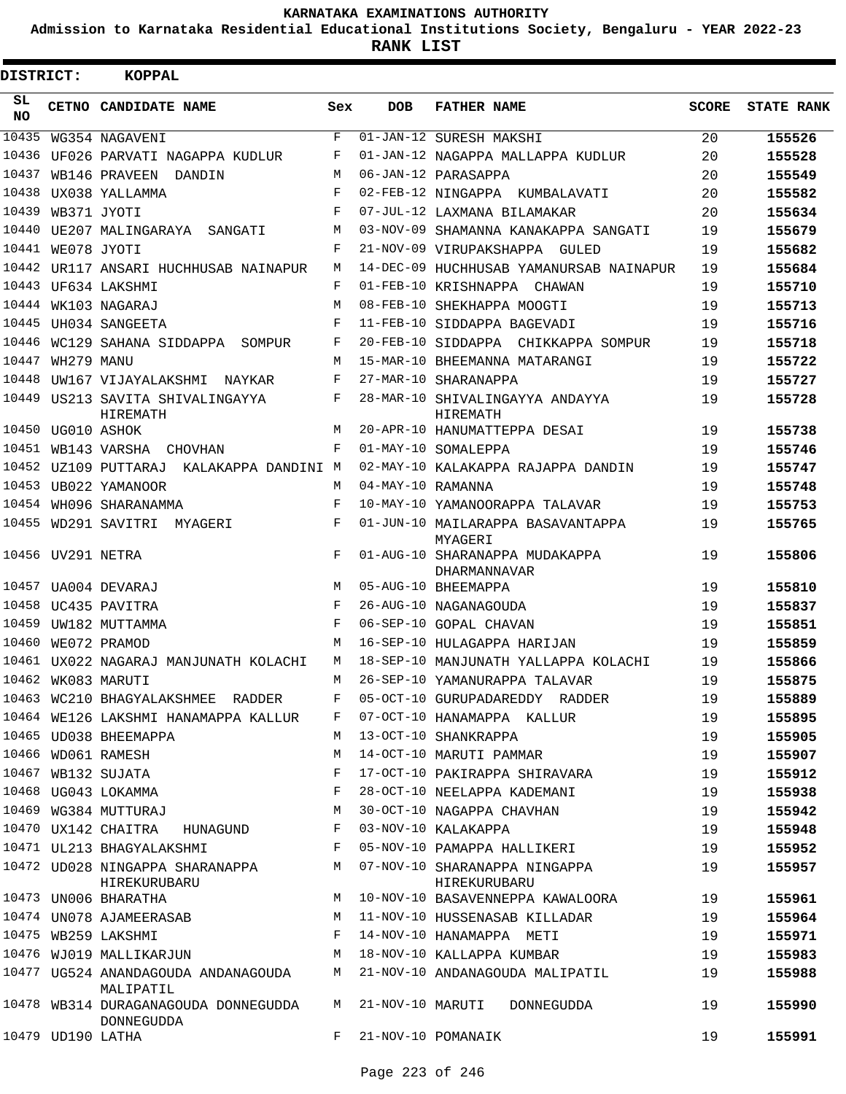**Admission to Karnataka Residential Educational Institutions Society, Bengaluru - YEAR 2022-23**

| DISTRICT:       |                   | <b>KOPPAL</b>                                      |     |                   |                                                    |       |                   |
|-----------------|-------------------|----------------------------------------------------|-----|-------------------|----------------------------------------------------|-------|-------------------|
| SL<br><b>NO</b> |                   | CETNO CANDIDATE NAME                               | Sex | <b>DOB</b>        | <b>FATHER NAME</b>                                 | SCORE | <b>STATE RANK</b> |
| 10435           |                   | WG354 NAGAVENI                                     | F   |                   | 01-JAN-12 SURESH MAKSHI                            | 20    | 155526            |
| 10436           |                   | UF026 PARVATI NAGAPPA KUDLUR                       | F   |                   | 01-JAN-12 NAGAPPA MALLAPPA KUDLUR                  | 20    | 155528            |
| 10437           |                   | WB146 PRAVEEN<br>DANDIN                            | M   |                   | 06-JAN-12 PARASAPPA                                | 20    | 155549            |
| 10438           |                   | UX038 YALLAMMA                                     | F   |                   | 02-FEB-12 NINGAPPA KUMBALAVATI                     | 20    | 155582            |
| 10439           |                   | WB371 JYOTI                                        | F   |                   | 07-JUL-12 LAXMANA BILAMAKAR                        | 20    | 155634            |
| 10440           |                   | UE207 MALINGARAYA SANGATI                          | M   |                   | 03-NOV-09 SHAMANNA KANAKAPPA SANGATI               | 19    | 155679            |
|                 | 10441 WE078 JYOTI |                                                    | F   |                   | 21-NOV-09 VIRUPAKSHAPPA GULED                      | 19    | 155682            |
|                 |                   | 10442 UR117 ANSARI HUCHHUSAB NAINAPUR              | M   |                   | 14-DEC-09 HUCHHUSAB YAMANURSAB NAINAPUR            | 19    | 155684            |
|                 |                   | 10443 UF634 LAKSHMI                                | F   |                   | 01-FEB-10 KRISHNAPPA CHAWAN                        | 19    | 155710            |
| 10444           |                   | WK103 NAGARAJ                                      | M   |                   | 08-FEB-10 SHEKHAPPA MOOGTI                         | 19    | 155713            |
|                 |                   | 10445 UH034 SANGEETA                               | F   |                   | 11-FEB-10 SIDDAPPA BAGEVADI                        | 19    | 155716            |
| 10446           |                   | WC129 SAHANA SIDDAPPA SOMPUR                       | F   |                   | 20-FEB-10 SIDDAPPA CHIKKAPPA SOMPUR                | 19    | 155718            |
| 10447           | WH279 MANU        |                                                    | М   |                   | 15-MAR-10 BHEEMANNA MATARANGI                      | 19    | 155722            |
| 10448           |                   | UW167 VIJAYALAKSHMI NAYKAR                         | F   |                   | 27-MAR-10 SHARANAPPA                               | 19    | 155727            |
|                 |                   | 10449 US213 SAVITA SHIVALINGAYYA<br>HIREMATH       | F   |                   | 28-MAR-10 SHIVALINGAYYA ANDAYYA<br><b>HIREMATH</b> | 19    | 155728            |
|                 | 10450 UG010 ASHOK |                                                    | M   |                   | 20-APR-10 HANUMATTEPPA DESAI                       | 19    | 155738            |
|                 |                   | 10451 WB143 VARSHA CHOVHAN                         | F   |                   | 01-MAY-10 SOMALEPPA                                | 19    | 155746            |
|                 |                   | 10452 UZ109 PUTTARAJ KALAKAPPA DANDINI M           |     |                   | 02-MAY-10 KALAKAPPA RAJAPPA DANDIN                 | 19    | 155747            |
|                 |                   | 10453 UB022 YAMANOOR                               | М   | 04-MAY-10 RAMANNA |                                                    | 19    | 155748            |
|                 |                   | 10454 WH096 SHARANAMMA                             | F   |                   | 10-MAY-10 YAMANOORAPPA TALAVAR                     | 19    | 155753            |
|                 |                   | 10455 WD291 SAVITRI MYAGERI                        | F   |                   | 01-JUN-10 MAILARAPPA BASAVANTAPPA<br>MYAGERI       | 19    | 155765            |
|                 | 10456 UV291 NETRA |                                                    | F   |                   | 01-AUG-10 SHARANAPPA MUDAKAPPA<br>DHARMANNAVAR     | 19    | 155806            |
|                 |                   | 10457 UA004 DEVARAJ                                | M   |                   | 05-AUG-10 BHEEMAPPA                                | 19    | 155810            |
|                 |                   | 10458 UC435 PAVITRA                                | F   |                   | 26-AUG-10 NAGANAGOUDA                              | 19    | 155837            |
|                 |                   | 10459 UW182 MUTTAMMA                               | F   |                   | 06-SEP-10 GOPAL CHAVAN                             | 19    | 155851            |
|                 |                   | 10460 WE072 PRAMOD                                 | M   |                   | 16-SEP-10 HULAGAPPA HARIJAN                        | 19    | 155859            |
|                 |                   | 10461 UX022 NAGARAJ MANJUNATH KOLACHI              | M   |                   | 18-SEP-10 MANJUNATH YALLAPPA KOLACHI               | 19    | 155866            |
|                 |                   | 10462 WK083 MARUTI                                 | М   |                   | 26-SEP-10 YAMANURAPPA TALAVAR                      | 19    | 155875            |
|                 |                   | 10463 WC210 BHAGYALAKSHMEE RADDER                  | F   |                   | 05-OCT-10 GURUPADAREDDY RADDER                     | 19    | 155889            |
|                 |                   | 10464 WE126 LAKSHMI HANAMAPPA KALLUR               | F   |                   | 07-OCT-10 HANAMAPPA KALLUR                         | 19    | 155895            |
|                 |                   | 10465 UD038 BHEEMAPPA                              | M   |                   | 13-OCT-10 SHANKRAPPA                               | 19    | 155905            |
|                 |                   | 10466 WD061 RAMESH                                 | M   |                   | 14-OCT-10 MARUTI PAMMAR                            | 19    | 155907            |
|                 |                   | 10467 WB132 SUJATA                                 | F   |                   | 17-OCT-10 PAKIRAPPA SHIRAVARA                      | 19    | 155912            |
|                 |                   | 10468 UG043 LOKAMMA                                | F   |                   | 28-OCT-10 NEELAPPA KADEMANI                        | 19    | 155938            |
|                 |                   | 10469 WG384 MUTTURAJ                               | М   |                   | 30-OCT-10 NAGAPPA CHAVHAN                          | 19    | 155942            |
|                 |                   | 10470 UX142 CHAITRA HUNAGUND                       | F   |                   | 03-NOV-10 KALAKAPPA                                | 19    | 155948            |
|                 |                   | 10471 UL213 BHAGYALAKSHMI                          | F   |                   | 05-NOV-10 PAMAPPA HALLIKERI                        | 19    | 155952            |
|                 |                   | 10472 UD028 NINGAPPA SHARANAPPA<br>HIREKURUBARU    | М   |                   | 07-NOV-10 SHARANAPPA NINGAPPA<br>HIREKURUBARU      | 19    | 155957            |
|                 |                   | 10473 UN006 BHARATHA                               | M   |                   | 10-NOV-10 BASAVENNEPPA KAWALOORA                   | 19    | 155961            |
|                 |                   | 10474 UN078 AJAMEERASAB                            | M   |                   | 11-NOV-10 HUSSENASAB KILLADAR                      | 19    | 155964            |
|                 |                   | 10475 WB259 LAKSHMI                                | F   |                   | 14-NOV-10 HANAMAPPA METI                           | 19    | 155971            |
|                 |                   | 10476 WJ019 MALLIKARJUN                            | M   |                   | 18-NOV-10 KALLAPPA KUMBAR                          | 19    | 155983            |
|                 |                   | 10477 UG524 ANANDAGOUDA ANDANAGOUDA<br>MALIPATIL   | М   |                   | 21-NOV-10 ANDANAGOUDA MALIPATIL                    | 19    | 155988            |
|                 |                   | 10478 WB314 DURAGANAGOUDA DONNEGUDDA<br>DONNEGUDDA | M   |                   | 21-NOV-10 MARUTI<br>DONNEGUDDA                     | 19    | 155990            |
|                 |                   | 10479 UD190 LATHA                                  | F   |                   | 21-NOV-10 POMANAIK                                 | 19    | 155991            |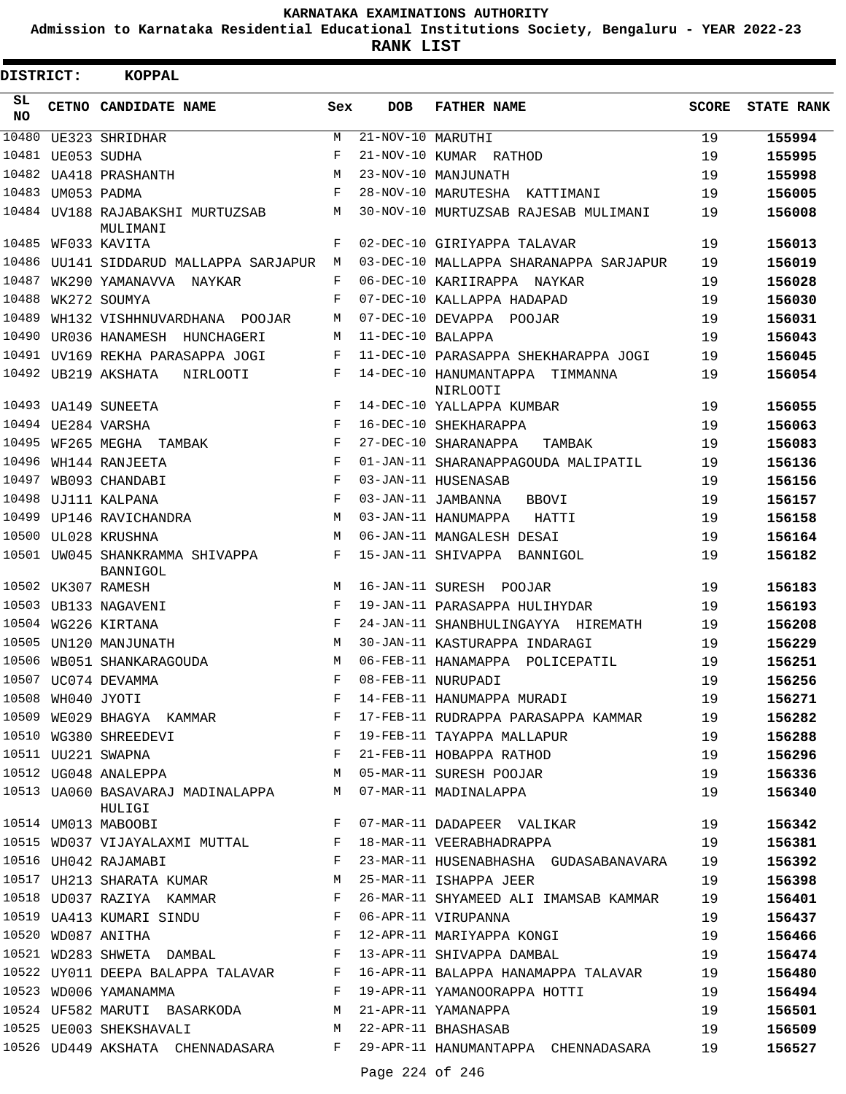**Admission to Karnataka Residential Educational Institutions Society, Bengaluru - YEAR 2022-23**

| DISTRICT: |                   | <b>KOPPAL</b>                                                                                                                                |              |                   |                                                                                                                                                       |              |                   |
|-----------|-------------------|----------------------------------------------------------------------------------------------------------------------------------------------|--------------|-------------------|-------------------------------------------------------------------------------------------------------------------------------------------------------|--------------|-------------------|
| SL<br>NO. |                   | CETNO CANDIDATE NAME                                                                                                                         | Sex          | <b>DOB</b>        | <b>FATHER NAME</b>                                                                                                                                    | <b>SCORE</b> | <b>STATE RANK</b> |
| 10480     |                   | UE323 SHRIDHAR                                                                                                                               | М            | 21-NOV-10 MARUTHI |                                                                                                                                                       | 19           | 155994            |
| 10481     |                   | UE053 SUDHA                                                                                                                                  | F            |                   | 21-NOV-10 KUMAR RATHOD                                                                                                                                | 19           | 155995            |
|           |                   | 10482 UA418 PRASHANTH                                                                                                                        | M            |                   | 23-NOV-10 MANJUNATH                                                                                                                                   | 19           | 155998            |
| 10483     |                   | UM053 PADMA                                                                                                                                  | F            |                   | 28-NOV-10 MARUTESHA KATTIMANI                                                                                                                         | 19           | 156005            |
|           |                   | 10484 UV188 RAJABAKSHI MURTUZSAB<br>MULIMANI                                                                                                 | М            |                   | 30-NOV-10 MURTUZSAB RAJESAB MULIMANI                                                                                                                  | 19           | 156008            |
|           |                   | 10485 WF033 KAVITA                                                                                                                           | F            |                   | 02-DEC-10 GIRIYAPPA TALAVAR                                                                                                                           | 19           | 156013            |
| 10486     |                   | UU141 SIDDARUD MALLAPPA SARJAPUR                                                                                                             | M            |                   | 03-DEC-10 MALLAPPA SHARANAPPA SARJAPUR                                                                                                                | 19           | 156019            |
| 10487     |                   | WK290 YAMANAVVA NAYKAR                                                                                                                       | F            |                   | 06-DEC-10 KARIIRAPPA NAYKAR                                                                                                                           | 19           | 156028            |
| 10488     |                   | WK272 SOUMYA                                                                                                                                 | F            |                   | 07-DEC-10 KALLAPPA HADAPAD                                                                                                                            | 19           | 156030            |
| 10489     |                   | WH132 VISHHNUVARDHANA POOJAR                                                                                                                 | M            |                   | 07-DEC-10 DEVAPPA POOJAR                                                                                                                              | 19           | 156031            |
| 10490     |                   | UR036 HANAMESH HUNCHAGERI                                                                                                                    | М            | 11-DEC-10 BALAPPA |                                                                                                                                                       | 19           | 156043            |
|           |                   | 10491 UV169 REKHA PARASAPPA JOGI                                                                                                             | F            |                   | 11-DEC-10 PARASAPPA SHEKHARAPPA JOGI                                                                                                                  | 19           | 156045            |
|           |                   | 10492 UB219 AKSHATA<br>NIRLOOTI                                                                                                              | F            |                   | 14-DEC-10 HANUMANTAPPA<br>TIMMANNA<br>NIRLOOTI                                                                                                        | 19           | 156054            |
|           |                   | 10493 UA149 SUNEETA                                                                                                                          | F            |                   | 14-DEC-10 YALLAPPA KUMBAR                                                                                                                             | 19           | 156055            |
|           |                   | 10494 UE284 VARSHA                                                                                                                           | F            |                   | 16-DEC-10 SHEKHARAPPA                                                                                                                                 | 19           | 156063            |
| 10495     |                   | WF265 MEGHA TAMBAK                                                                                                                           | F            |                   | 27-DEC-10 SHARANAPPA<br>TAMBAK                                                                                                                        | 19           | 156083            |
| 10496     |                   | WH144 RANJEETA                                                                                                                               | F            |                   | 01-JAN-11 SHARANAPPAGOUDA MALIPATIL                                                                                                                   | 19           | 156136            |
| 10497     |                   | WB093 CHANDABI                                                                                                                               | F            |                   | 03-JAN-11 HUSENASAB                                                                                                                                   | 19           | 156156            |
| 10498     |                   | UJ111 KALPANA                                                                                                                                | F            |                   | 03-JAN-11 JAMBANNA<br>BBOVI                                                                                                                           | 19           | 156157            |
|           |                   | 10499 UP146 RAVICHANDRA                                                                                                                      | M            |                   | 03-JAN-11 HANUMAPPA<br>HATTI                                                                                                                          | 19           | 156158            |
| 10500     |                   | UL028 KRUSHNA                                                                                                                                | M            |                   | 06-JAN-11 MANGALESH DESAI                                                                                                                             | 19           | 156164            |
|           |                   | 10501 UW045 SHANKRAMMA SHIVAPPA<br>BANNIGOL                                                                                                  | F            |                   | 15-JAN-11 SHIVAPPA BANNIGOL                                                                                                                           | 19           | 156182            |
|           |                   | 10502 UK307 RAMESH                                                                                                                           | M            |                   | 16-JAN-11 SURESH POOJAR                                                                                                                               | 19           | 156183            |
|           |                   | 10503 UB133 NAGAVENI                                                                                                                         | F            |                   | 19-JAN-11 PARASAPPA HULIHYDAR                                                                                                                         | 19           | 156193            |
|           |                   | 10504 WG226 KIRTANA                                                                                                                          | F            |                   | 24-JAN-11 SHANBHULINGAYYA HIREMATH                                                                                                                    | 19           | 156208            |
|           |                   | 10505 UN120 MANJUNATH                                                                                                                        | М            |                   | 30-JAN-11 KASTURAPPA INDARAGI                                                                                                                         | 19           | 156229            |
| 10506     |                   | WB051 SHANKARAGOUDA                                                                                                                          | M            |                   | 06-FEB-11 HANAMAPPA POLICEPATIL                                                                                                                       | 19           | 156251            |
|           |                   | 10507 UC074 DEVAMMA                                                                                                                          | $\mathbf{F}$ |                   | 08-FEB-11 NURUPADI                                                                                                                                    | 19           | 156256            |
|           | 10508 WH040 JYOTI |                                                                                                                                              | F            |                   | 14-FEB-11 HANUMAPPA MURADI                                                                                                                            | 19           | 156271            |
|           |                   |                                                                                                                                              |              |                   | 10509 WE029 BHAGYA KAMMAR KAMMAR F 17-FEB-11 RUDRAPPA PARASAPPA KAMMAR 19                                                                             |              | 156282            |
|           |                   |                                                                                                                                              |              |                   |                                                                                                                                                       | 19           | 156288            |
|           |                   |                                                                                                                                              |              |                   | 10510 WG380 SHREEDEVI F 19-FEB-11 TAYAPPA MALLAPUR<br>10511 UU221 SWAPNA F 21-FEB-11 HOBAPPA RATHOD<br>10512 UG048 ANALEPPA M 05-MAR-11 SURESH POOJAR | 19           | 156296            |
|           |                   |                                                                                                                                              |              |                   |                                                                                                                                                       | 19           | 156336            |
|           |                   | 10513 UA060 BASAVARAJ MADINALAPPA MO7-MAR-11 MADINALAPPA<br>HULIGI                                                                           |              |                   |                                                                                                                                                       | 19           | 156340            |
|           |                   | 10514 UM013 MABOOBI                                                                                                                          |              |                   | F 07-MAR-11 DADAPEER VALIKAR                                                                                                                          | 19           | 156342            |
|           |                   | 10515 WD037 VIJAYALAXMI MUTTAL F 18-MAR-11 VEERABHADRAPPA                                                                                    |              |                   |                                                                                                                                                       | 19           | 156381            |
|           |                   | $\mathbf{F}$ and $\mathbf{F}$<br>10516 UH042 RAJAMABI                                                                                        |              |                   | 23-MAR-11 HUSENABHASHA GUDASABANAVARA                                                                                                                 | 19           | 156392            |
|           |                   | 10517 UH213 SHARATA KUMAR M 25-MAR-11 ISHAPPA JEER                                                                                           |              |                   |                                                                                                                                                       | 19           | 156398            |
|           |                   |                                                                                                                                              |              |                   | 10518 UD037 RAZIYA KAMMAR KAMMAR F 26-MAR-11 SHYAMEED ALI IMAMSAB KAMMAR                                                                              | 19           | 156401            |
|           |                   | 10519 UA413 KUMARI SINDU                F   06-APR-11 VIRUPANNA<br>10520 WD087 ANITHA                          F   12-APR-11 MARIYAPPA KONGI |              |                   |                                                                                                                                                       | 19           | 156437            |
|           |                   |                                                                                                                                              |              |                   |                                                                                                                                                       | 19           | 156466            |
|           |                   |                                                                                                                                              |              |                   | 10521 WD283 SHWETA DAMBAL TAN F 13-APR-11 SHIVAPPA DAMBAL                                                                                             | 19           | 156474            |
|           |                   |                                                                                                                                              |              |                   | 10522 UY011 DEEPA BALAPPA TALAVAR F 16-APR-11 BALAPPA HANAMAPPA TALAVAR 19                                                                            |              | 156480            |
|           |                   | 10523 WD006 YAMANAMMA                                                                                                                        |              |                   | F 19-APR-11 YAMANOORAPPA HOTTI                                                                                                                        | 19           | 156494            |
|           |                   | 10524 UF582 MARUTI BASARKODA M 21-APR-11 YAMANAPPA                                                                                           |              |                   |                                                                                                                                                       | 19           | 156501            |
|           |                   | 10525 UE003 SHEKSHAVALI M 22-APR-11 BHASHASAB                                                                                                |              |                   |                                                                                                                                                       | 19           | 156509            |
|           |                   |                                                                                                                                              |              |                   | 10526 UD449 AKSHATA CHENNADASARA F 29-APR-11 HANUMANTAPPA CHENNADASARA                                                                                | 19           | 156527            |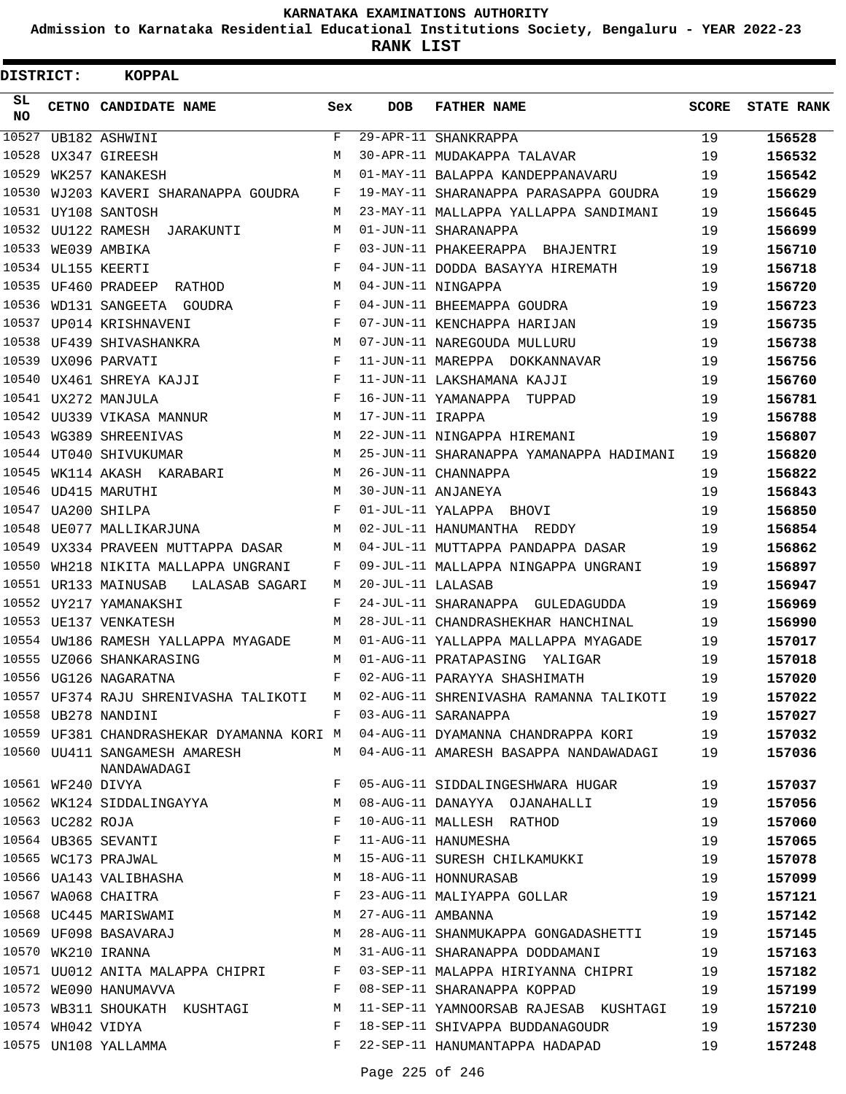**Admission to Karnataka Residential Educational Institutions Society, Bengaluru - YEAR 2022-23**

| <b>DISTRICT:</b> |                   | <b>KOPPAL</b>                                |     |                   |                                                                              |              |                   |
|------------------|-------------------|----------------------------------------------|-----|-------------------|------------------------------------------------------------------------------|--------------|-------------------|
| SL<br><b>NO</b>  |                   | CETNO CANDIDATE NAME                         | Sex | <b>DOB</b>        | <b>FATHER NAME</b>                                                           | <b>SCORE</b> | <b>STATE RANK</b> |
| 10527            |                   | UB182 ASHWINI                                | F   |                   | 29-APR-11 SHANKRAPPA                                                         | 19           | 156528            |
| 10528            |                   | UX347 GIREESH                                | M   |                   | 30-APR-11 MUDAKAPPA TALAVAR                                                  | 19           | 156532            |
| 10529            |                   | WK257 KANAKESH                               | М   |                   | 01-MAY-11 BALAPPA KANDEPPANAVARU                                             | 19           | 156542            |
| 10530            |                   | WJ203 KAVERI SHARANAPPA GOUDRA               | F   |                   | 19-MAY-11 SHARANAPPA PARASAPPA GOUDRA                                        | 19           | 156629            |
|                  |                   | 10531 UY108 SANTOSH                          | М   |                   | 23-MAY-11 MALLAPPA YALLAPPA SANDIMANI                                        | 19           | 156645            |
|                  |                   | 10532 UU122 RAMESH JARAKUNTI                 | М   |                   | 01-JUN-11 SHARANAPPA                                                         | 19           | 156699            |
|                  |                   | 10533 WE039 AMBIKA                           | F   |                   | 03-JUN-11 PHAKEERAPPA BHAJENTRI                                              | 19           | 156710            |
|                  |                   | 10534 UL155 KEERTI                           | F   |                   | 04-JUN-11 DODDA BASAYYA HIREMATH                                             | 19           | 156718            |
|                  |                   | 10535 UF460 PRADEEP<br>RATHOD                | М   |                   | 04-JUN-11 NINGAPPA                                                           | 19           | 156720            |
| 10536            |                   | WD131 SANGEETA GOUDRA                        | F   |                   | 04-JUN-11 BHEEMAPPA GOUDRA                                                   | 19           | 156723            |
| 10537            |                   | UP014 KRISHNAVENI                            | F   |                   | 07-JUN-11 KENCHAPPA HARIJAN                                                  | 19           | 156735            |
|                  |                   | 10538 UF439 SHIVASHANKRA                     | М   |                   | 07-JUN-11 NAREGOUDA MULLURU                                                  | 19           | 156738            |
|                  |                   | 10539 UX096 PARVATI                          | F   |                   | 11-JUN-11 MAREPPA DOKKANNAVAR                                                | 19           | 156756            |
|                  |                   | 10540 UX461 SHREYA KAJJI                     | F   |                   | 11-JUN-11 LAKSHAMANA KAJJI                                                   | 19           | 156760            |
|                  |                   | 10541 UX272 MANJULA                          | F   |                   | 16-JUN-11 YAMANAPPA TUPPAD                                                   | 19           | 156781            |
|                  |                   | 10542 UU339 VIKASA MANNUR                    | М   | 17-JUN-11 IRAPPA  |                                                                              | 19           | 156788            |
|                  |                   | 10543 WG389 SHREENIVAS                       | М   |                   | 22-JUN-11 NINGAPPA HIREMANI                                                  | 19           | 156807            |
|                  |                   | 10544 UT040 SHIVUKUMAR                       | М   |                   | 25-JUN-11 SHARANAPPA YAMANAPPA HADIMANI                                      | 19           | 156820            |
|                  |                   | 10545 WK114 AKASH KARABARI                   | М   |                   | 26-JUN-11 CHANNAPPA                                                          | 19           | 156822            |
|                  |                   | 10546 UD415 MARUTHI                          | M   |                   | 30-JUN-11 ANJANEYA                                                           | 19           | 156843            |
|                  |                   | 10547 UA200 SHILPA                           | F   |                   | 01-JUL-11 YALAPPA BHOVI                                                      | 19           | 156850            |
|                  |                   | 10548 UE077 MALLIKARJUNA                     | М   |                   | 02-JUL-11 HANUMANTHA REDDY                                                   | 19           | 156854            |
|                  |                   | 10549 UX334 PRAVEEN MUTTAPPA DASAR           | М   |                   | 04-JUL-11 MUTTAPPA PANDAPPA DASAR                                            | 19           | 156862            |
| 10550            |                   | WH218 NIKITA MALLAPPA UNGRANI                | F   |                   | 09-JUL-11 MALLAPPA NINGAPPA UNGRANI                                          | 19           | 156897            |
|                  |                   | 10551 UR133 MAINUSAB<br>LALASAB SAGARI       | М   | 20-JUL-11 LALASAB |                                                                              | 19           | 156947            |
|                  |                   | 10552 UY217 YAMANAKSHI                       | F   |                   | 24-JUL-11 SHARANAPPA GULEDAGUDDA                                             | 19           | 156969            |
|                  |                   | 10553 UE137 VENKATESH                        | М   |                   | 28-JUL-11 CHANDRASHEKHAR HANCHINAL                                           | 19           | 156990            |
|                  |                   | 10554 UW186 RAMESH YALLAPPA MYAGADE          | М   |                   | 01-AUG-11 YALLAPPA MALLAPPA MYAGADE                                          | 19           | 157017            |
|                  |                   | 10555 UZ066 SHANKARASING                     | М   |                   | 01-AUG-11 PRATAPASING<br>YALIGAR                                             | 19           | 157018            |
|                  |                   | 10556 UG126 NAGARATNA                        | F   |                   | 02-AUG-11 PARAYYA SHASHIMATH                                                 | 19           | 157020            |
|                  |                   | 10557 UF374 RAJU SHRENIVASHA TALIKOTI        |     |                   | M 02-AUG-11 SHRENIVASHA RAMANNA TALIKOTI                                     | 19           | 157022            |
|                  |                   | 10558 UB278 NANDINI                          |     |                   | F 03-AUG-11 SARANAPPA                                                        | 19           | 157027            |
|                  |                   |                                              |     |                   | 10559 UF381 CHANDRASHEKAR DYAMANNA KORI M 04-AUG-11 DYAMANNA CHANDRAPPA KORI | 19           | 157032            |
|                  |                   | 10560 UU411 SANGAMESH AMARESH<br>NANDAWADAGI |     |                   | M 04-AUG-11 AMARESH BASAPPA NANDAWADAGI                                      | 19           | 157036            |
|                  | 10561 WF240 DIVYA |                                              | F   |                   | 05-AUG-11 SIDDALINGESHWARA HUGAR                                             | 19           | 157037            |
|                  |                   | 10562 WK124 SIDDALINGAYYA                    | M   |                   | 08-AUG-11 DANAYYA OJANAHALLI                                                 | 19           | 157056            |
|                  | 10563 UC282 ROJA  |                                              | F   |                   | 10-AUG-11 MALLESH RATHOD                                                     | 19           | 157060            |
|                  |                   | 10564 UB365 SEVANTI                          | F   |                   | 11-AUG-11 HANUMESHA                                                          | 19           | 157065            |
|                  |                   | 10565 WC173 PRAJWAL                          | М   |                   | 15-AUG-11 SURESH CHILKAMUKKI                                                 | 19           | 157078            |
|                  |                   | 10566 UA143 VALIBHASHA                       | M   |                   | 18-AUG-11 HONNURASAB                                                         | 19           | 157099            |
|                  |                   | 10567 WA068 CHAITRA                          | F   |                   | 23-AUG-11 MALIYAPPA GOLLAR                                                   | 19           | 157121            |
|                  |                   | 10568 UC445 MARISWAMI                        | M   | 27-AUG-11 AMBANNA |                                                                              | 19           | 157142            |
|                  |                   | 10569 UF098 BASAVARAJ                        | M   |                   | 28-AUG-11 SHANMUKAPPA GONGADASHETTI                                          | 19           | 157145            |
|                  |                   | 10570 WK210 IRANNA                           | M   |                   | 31-AUG-11 SHARANAPPA DODDAMANI                                               | 19           | 157163            |
|                  |                   | 10571 UU012 ANITA MALAPPA CHIPRI F           |     |                   | 03-SEP-11 MALAPPA HIRIYANNA CHIPRI                                           | 19           | 157182            |
|                  |                   | 10572 WE090 HANUMAVVA                        | F   |                   | 08-SEP-11 SHARANAPPA KOPPAD                                                  | 19           | 157199            |
|                  |                   | 10573 WB311 SHOUKATH KUSHTAGI                | М   |                   | 11-SEP-11 YAMNOORSAB RAJESAB KUSHTAGI                                        | 19           | 157210            |
|                  | 10574 WH042 VIDYA |                                              | F   |                   | 18-SEP-11 SHIVAPPA BUDDANAGOUDR                                              | 19           | 157230            |
|                  |                   | 10575 UN108 YALLAMMA                         | F   |                   | 22-SEP-11 HANUMANTAPPA HADAPAD                                               | 19           | 157248            |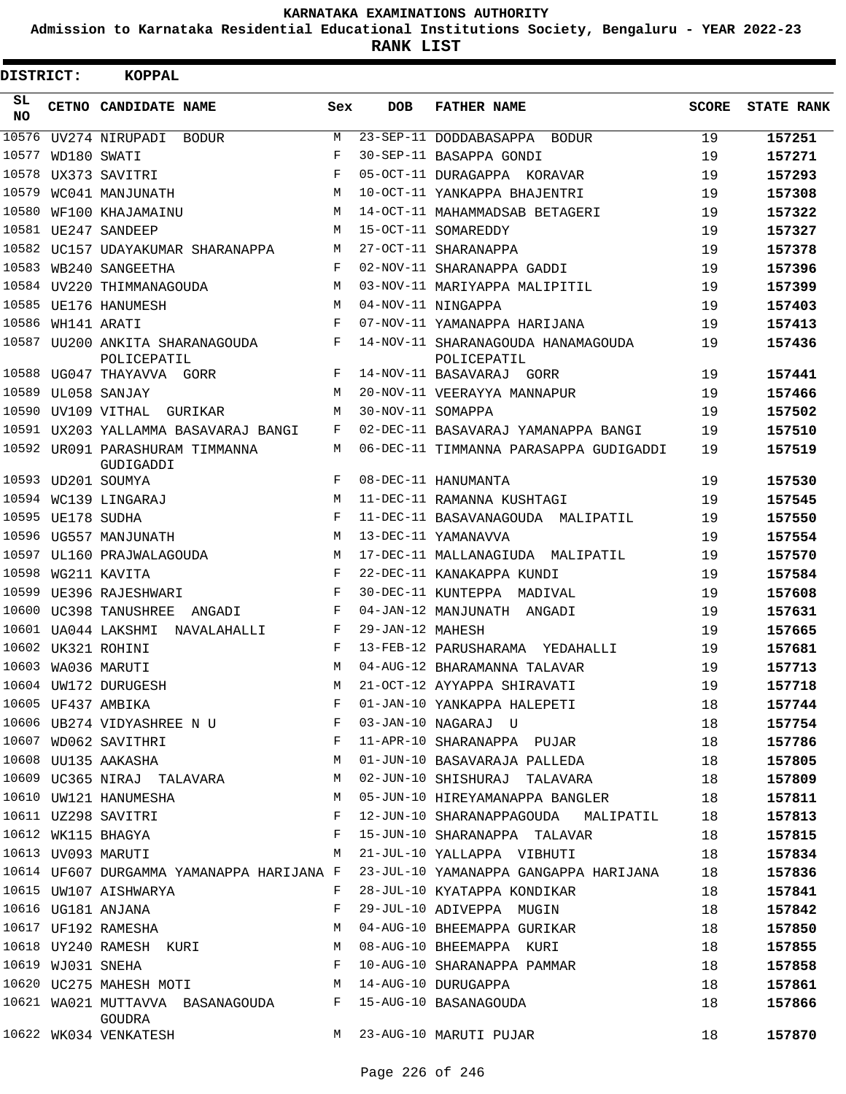**Admission to Karnataka Residential Educational Institutions Society, Bengaluru - YEAR 2022-23**

| DISTRICT: |                   | <b>KOPPAL</b>                                                                        |            |                   |                                                                                    |              |                   |
|-----------|-------------------|--------------------------------------------------------------------------------------|------------|-------------------|------------------------------------------------------------------------------------|--------------|-------------------|
| SL<br>NO. |                   | CETNO CANDIDATE NAME                                                                 | Sex        | <b>DOB</b>        | <b>FATHER NAME</b>                                                                 | <b>SCORE</b> | <b>STATE RANK</b> |
| 10576     |                   | UV274 NIRUPADI BODUR                                                                 | М          |                   | 23-SEP-11 DODDABASAPPA BODUR                                                       | 19           | 157251            |
| 10577     |                   | WD180 SWATI                                                                          | F          |                   | 30-SEP-11 BASAPPA GONDI                                                            | 19           | 157271            |
|           |                   | 10578 UX373 SAVITRI                                                                  | $_{\rm F}$ |                   | 05-OCT-11 DURAGAPPA KORAVAR                                                        | 19           | 157293            |
| 10579     |                   | WC041 MANJUNATH                                                                      | M          |                   | 10-OCT-11 YANKAPPA BHAJENTRI                                                       | 19           | 157308            |
| 10580     |                   | WF100 KHAJAMAINU                                                                     | М          |                   | 14-OCT-11 MAHAMMADSAB BETAGERI                                                     | 19           | 157322            |
|           |                   | 10581 UE247 SANDEEP                                                                  | М          |                   | 15-OCT-11 SOMAREDDY                                                                | 19           | 157327            |
|           |                   | 10582 UC157 UDAYAKUMAR SHARANAPPA                                                    | М          |                   | 27-OCT-11 SHARANAPPA                                                               | 19           | 157378            |
|           |                   | 10583 WB240 SANGEETHA                                                                | F          |                   | 02-NOV-11 SHARANAPPA GADDI                                                         | 19           | 157396            |
|           |                   | 10584 UV220 THIMMANAGOUDA                                                            | М          |                   | 03-NOV-11 MARIYAPPA MALIPITIL                                                      | 19           | 157399            |
|           |                   | 10585 UE176 HANUMESH                                                                 | М          |                   | 04-NOV-11 NINGAPPA                                                                 | 19           | 157403            |
|           | 10586 WH141 ARATI |                                                                                      | F          |                   | 07-NOV-11 YAMANAPPA HARIJANA                                                       | 19           | 157413            |
|           |                   | 10587 UU200 ANKITA SHARANAGOUDA<br>POLICEPATIL                                       | F          |                   | 14-NOV-11 SHARANAGOUDA HANAMAGOUDA<br>POLICEPATIL                                  | 19           | 157436            |
|           |                   | 10588 UG047 THAYAVVA GORR                                                            | F          |                   | 14-NOV-11 BASAVARAJ GORR                                                           | 19           | 157441            |
|           |                   | 10589 UL058 SANJAY                                                                   | М          |                   | 20-NOV-11 VEERAYYA MANNAPUR                                                        | 19           | 157466            |
|           |                   | 10590 UV109 VITHAL GURIKAR                                                           | М          | 30-NOV-11 SOMAPPA |                                                                                    | 19           | 157502            |
|           |                   | 10591 UX203 YALLAMMA BASAVARAJ BANGI                                                 | F          |                   | 02-DEC-11 BASAVARAJ YAMANAPPA BANGI                                                | 19           | 157510            |
|           |                   | 10592 UR091 PARASHURAM TIMMANNA<br>GUDIGADDI                                         | М          |                   | 06-DEC-11 TIMMANNA PARASAPPA GUDIGADDI                                             | 19           | 157519            |
|           |                   | 10593 UD201 SOUMYA                                                                   | F          |                   | 08-DEC-11 HANUMANTA                                                                | 19           | 157530            |
|           |                   | 10594 WC139 LINGARAJ                                                                 | M          |                   | 11-DEC-11 RAMANNA KUSHTAGI                                                         | 19           | 157545            |
|           | 10595 UE178 SUDHA |                                                                                      | F          |                   | 11-DEC-11 BASAVANAGOUDA MALIPATIL                                                  | 19           | 157550            |
|           |                   | 10596 UG557 MANJUNATH                                                                | M          |                   | 13-DEC-11 YAMANAVVA                                                                | 19           | 157554            |
|           |                   | 10597 UL160 PRAJWALAGOUDA                                                            | M          |                   | 17-DEC-11 MALLANAGIUDA MALIPATIL                                                   | 19           | 157570            |
| 10598     |                   | WG211 KAVITA                                                                         | F          |                   | 22-DEC-11 KANAKAPPA KUNDI                                                          | 19           | 157584            |
|           |                   | 10599 UE396 RAJESHWARI                                                               | F          |                   | 30-DEC-11 KUNTEPPA MADIVAL                                                         | 19           | 157608            |
|           |                   | 10600 UC398 TANUSHREE<br>ANGADI                                                      | F          |                   | 04-JAN-12 MANJUNATH ANGADI                                                         | 19           | 157631            |
|           |                   | 10601 UA044 LAKSHMI NAVALAHALLI                                                      | F          | 29-JAN-12 MAHESH  |                                                                                    | 19           | 157665            |
|           |                   | 10602 UK321 ROHINI                                                                   | F          |                   | 13-FEB-12 PARUSHARAMA YEDAHALLI                                                    | 19           | 157681            |
|           |                   | 10603 WA036 MARUTI                                                                   | M          |                   | 04-AUG-12 BHARAMANNA TALAVAR                                                       | 19           | 157713            |
|           |                   | 10604 UW172 DURUGESH                                                                 | M          |                   | 21-OCT-12 AYYAPPA SHIRAVATI                                                        | 19           | 157718            |
|           |                   |                                                                                      |            |                   | 01-JAN-10 YANKAPPA HALEPETI                                                        | 18           | 157744            |
|           |                   |                                                                                      |            |                   |                                                                                    | 18           | 157754            |
|           |                   | 10607 WD062 SAVITHRI F                                                               |            |                   | 11-APR-10 SHARANAPPA PUJAR                                                         | 18           | 157786            |
|           |                   | M<br>10608 UU135 AAKASHA                                                             |            |                   | 01-JUN-10 BASAVARAJA PALLEDA                                                       | 18           | 157805            |
|           |                   | 10609 UC365 NIRAJ TALAVARA M                                                         |            |                   | 02-JUN-10 SHISHURAJ TALAVARA                                                       | 18           | 157809            |
|           |                   | <b>M</b><br>10610 UW121 HANUMESHA                                                    |            |                   | 05-JUN-10 HIREYAMANAPPA BANGLER                                                    | 18           | 157811            |
|           |                   | $\mathbf{F}$ and the contract of the contract of $\mathbf{F}$<br>10611 UZ298 SAVITRI |            |                   | 12-JUN-10 SHARANAPPAGOUDA MALIPATIL                                                | 18           | 157813            |
|           |                   | $\mathbf{F}$<br>10612 WK115 BHAGYA                                                   |            |                   | 15-JUN-10 SHARANAPPA TALAVAR                                                       | 18           | 157815            |
|           |                   | 10613 UV093 MARUTI                                                                   |            |                   | M 21-JUL-10 YALLAPPA VIBHUTI                                                       | 18           | 157834            |
|           |                   |                                                                                      |            |                   | 10614 UF607 DURGAMMA YAMANAPPA HARIJANA F 23-JUL-10 YAMANAPPA GANGAPPA HARIJANA 18 |              | 157836            |
|           |                   | 10615 UW107 AISHWARYA                                                                | F          |                   | 28-JUL-10 KYATAPPA KONDIKAR                                                        | 18           | 157841            |
|           |                   | 10616 UG181 ANJANA                                                                   | F          |                   | 29-JUL-10 ADIVEPPA MUGIN                                                           | 18           | 157842            |
|           |                   | $10617$ UF192 RAMESHA                                                                | М          |                   | 04-AUG-10 BHEEMAPPA GURIKAR                                                        | 18           | 157850            |
|           |                   | 10618 UY240 RAMESH KURI M                                                            |            |                   | 08-AUG-10 BHEEMAPPA KURI                                                           | 18           | 157855            |
|           |                   | $\mathbf{F}$ and $\mathbf{F}$ and $\mathbf{F}$<br>10619 WJ031 SNEHA                  |            |                   | 10-AUG-10 SHARANAPPA PAMMAR                                                        | 18           | 157858            |
|           |                   | 10620 UC275 MAHESH MOTI M M 14-AUG-10 DURUGAPPA                                      |            |                   |                                                                                    | 18           | 157861            |
|           |                   | 10621 WA021 MUTTAVVA BASANAGOUDA F 15-AUG-10 BASANAGOUDA<br>GOUDRA                   |            |                   |                                                                                    | 18           | 157866            |
|           |                   | 10622 WK034 VENKATESH                                                                |            |                   | M 23-AUG-10 MARUTI PUJAR                                                           | 18           | 157870            |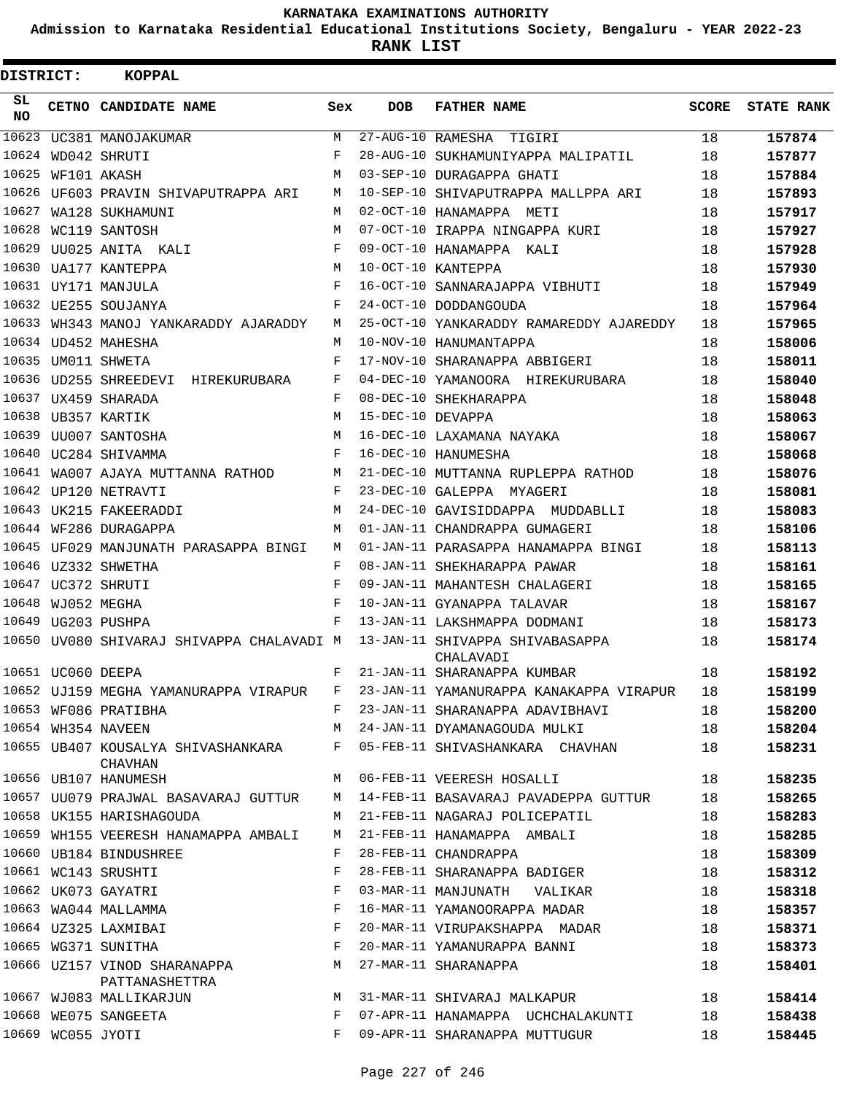**Admission to Karnataka Residential Educational Institutions Society, Bengaluru - YEAR 2022-23**

| DISTRICT:       |                   | <b>KOPPAL</b>                                  |       |                   |                                              |              |                   |
|-----------------|-------------------|------------------------------------------------|-------|-------------------|----------------------------------------------|--------------|-------------------|
| SL<br><b>NO</b> |                   | CETNO CANDIDATE NAME                           | Sex   | <b>DOB</b>        | <b>FATHER NAME</b>                           | <b>SCORE</b> | <b>STATE RANK</b> |
| 10623           |                   | UC381 MANOJAKUMAR                              | М     | 27-AUG-10 RAMESHA | TIGIRI                                       | 18           | 157874            |
| 10624           |                   | WD042 SHRUTI                                   | F     |                   | 28-AUG-10 SUKHAMUNIYAPPA MALIPATIL           | 18           | 157877            |
| 10625           |                   | WF101 AKASH                                    | M     |                   | 03-SEP-10 DURAGAPPA GHATI                    | 18           | 157884            |
| 10626           |                   | UF603 PRAVIN SHIVAPUTRAPPA ARI                 | M     |                   | 10-SEP-10 SHIVAPUTRAPPA MALLPPA ARI          | 18           | 157893            |
| 10627           |                   | WA128 SUKHAMUNI                                | M     |                   | 02-OCT-10 HANAMAPPA METI                     | 18           | 157917            |
| 10628           |                   | WC119 SANTOSH                                  | M     |                   | 07-OCT-10 IRAPPA NINGAPPA KURI               | 18           | 157927            |
| 10629           |                   | UU025 ANITA KALI                               | F     |                   | 09-OCT-10 HANAMAPPA KALI                     | 18           | 157928            |
| 10630           |                   | UA177 KANTEPPA                                 | M     |                   | 10-OCT-10 KANTEPPA                           | 18           | 157930            |
|                 |                   | 10631 UY171 MANJULA                            | F     |                   | 16-OCT-10 SANNARAJAPPA VIBHUTI               | 18           | 157949            |
|                 |                   | 10632 UE255 SOUJANYA                           | F     |                   | 24-OCT-10 DODDANGOUDA                        | 18           | 157964            |
| 10633           |                   | WH343 MANOJ YANKARADDY AJARADDY                | М     |                   | 25-OCT-10 YANKARADDY RAMAREDDY AJAREDDY      | 18           | 157965            |
| 10634           |                   | UD452 MAHESHA                                  | М     |                   | 10-NOV-10 HANUMANTAPPA                       | 18           | 158006            |
| 10635           |                   | UM011 SHWETA                                   | F     |                   | 17-NOV-10 SHARANAPPA ABBIGERI                | 18           | 158011            |
|                 |                   | 10636 UD255 SHREEDEVI HIREKURUBARA             | F     |                   | 04-DEC-10 YAMANOORA HIREKURUBARA             | 18           | 158040            |
|                 |                   | 10637 UX459 SHARADA                            | F     |                   | 08-DEC-10 SHEKHARAPPA                        | 18           | 158048            |
| 10638           |                   | UB357 KARTIK                                   | M     | 15-DEC-10 DEVAPPA |                                              | 18           | 158063            |
| 10639           |                   | UU007 SANTOSHA                                 | M     |                   | 16-DEC-10 LAXAMANA NAYAKA                    | 18           | 158067            |
|                 |                   | 10640 UC284 SHIVAMMA                           | F     |                   | 16-DEC-10 HANUMESHA                          | 18           | 158068            |
| 10641           |                   | WA007 AJAYA MUTTANNA RATHOD                    | М     |                   | 21-DEC-10 MUTTANNA RUPLEPPA RATHOD           | 18           | 158076            |
| 10642           |                   | UP120 NETRAVTI                                 | F     |                   | 23-DEC-10 GALEPPA MYAGERI                    | 18           | 158081            |
| 10643           |                   | UK215 FAKEERADDI                               | M     |                   | 24-DEC-10 GAVISIDDAPPA MUDDABLLI             | 18           | 158083            |
| 10644           |                   | WF286 DURAGAPPA                                | M     |                   | 01-JAN-11 CHANDRAPPA GUMAGERI                | 18           | 158106            |
|                 |                   | 10645 UF029 MANJUNATH PARASAPPA BINGI          | M     |                   | 01-JAN-11 PARASAPPA HANAMAPPA BINGI          | 18           | 158113            |
| 10646           |                   | UZ332 SHWETHA                                  | F     |                   | 08-JAN-11 SHEKHARAPPA PAWAR                  | 18           | 158161            |
| 10647           |                   | UC372 SHRUTI                                   | F     |                   | 09-JAN-11 MAHANTESH CHALAGERI                | 18           | 158165            |
| 10648           |                   | WJ052 MEGHA                                    | F     |                   | 10-JAN-11 GYANAPPA TALAVAR                   | 18           | 158167            |
| 10649           |                   | UG203 PUSHPA                                   | F     |                   | 13-JAN-11 LAKSHMAPPA DODMANI                 | 18           | 158173            |
|                 |                   | 10650 UV080 SHIVARAJ SHIVAPPA CHALAVADI M      |       |                   | 13-JAN-11 SHIVAPPA SHIVABASAPPA<br>CHALAVADI | 18           | 158174            |
|                 | 10651 UC060 DEEPA |                                                | F     |                   | 21-JAN-11 SHARANAPPA KUMBAR                  | 18           | 158192            |
|                 |                   | 10652 UJ159 MEGHA YAMANURAPPA VIRAPUR          | F     |                   | 23-JAN-11 YAMANURAPPA KANAKAPPA VIRAPUR      | 18           | 158199            |
|                 |                   | 10653 WF086 PRATIBHA                           | $F$ – |                   | 23-JAN-11 SHARANAPPA ADAVIBHAVI              | 18           | 158200            |
|                 |                   | 10654 WH354 NAVEEN                             | M     |                   | 24-JAN-11 DYAMANAGOUDA MULKI                 | 18           | 158204            |
|                 |                   | 10655 UB407 KOUSALYA SHIVASHANKARA<br>CHAVHAN  |       |                   | F 05-FEB-11 SHIVASHANKARA CHAVHAN            | 18           | 158231            |
|                 |                   | 10656 UB107 HANUMESH                           | M     |                   | 06-FEB-11 VEERESH HOSALLI                    | 18           | 158235            |
|                 |                   | 10657 UU079 PRAJWAL BASAVARAJ GUTTUR           |       |                   | M 14-FEB-11 BASAVARAJ PAVADEPPA GUTTUR       | 18           | 158265            |
|                 |                   | 10658 UK155 HARISHAGOUDA                       | M     |                   | 21-FEB-11 NAGARAJ POLICEPATIL                | 18           | 158283            |
|                 |                   | 10659 WH155 VEERESH HANAMAPPA AMBALI           |       |                   | M 21-FEB-11 HANAMAPPA AMBALI                 | 18           | 158285            |
|                 |                   | 10660 UB184 BINDUSHREE                         | F     |                   | 28-FEB-11 CHANDRAPPA                         | 18           | 158309            |
|                 |                   | 10661 WC143 SRUSHTI                            | F     |                   | 28-FEB-11 SHARANAPPA BADIGER                 | 18           | 158312            |
|                 |                   | 10662 UK073 GAYATRI                            | F     |                   | 03-MAR-11 MANJUNATH VALIKAR                  | 18           | 158318            |
|                 |                   | 10663 WA044 MALLAMMA                           | F     |                   | 16-MAR-11 YAMANOORAPPA MADAR                 | 18           | 158357            |
|                 |                   | 10664 UZ325 LAXMIBAI                           | F     |                   | 20-MAR-11 VIRUPAKSHAPPA MADAR                | 18           | 158371            |
|                 |                   | 10665 WG371 SUNITHA                            | F     |                   | 20-MAR-11 YAMANURAPPA BANNI                  | 18           | 158373            |
|                 |                   | 10666 UZ157 VINOD SHARANAPPA<br>PATTANASHETTRA | M     |                   | 27-MAR-11 SHARANAPPA                         | 18           | 158401            |
|                 |                   | 10667 WJ083 MALLIKARJUN                        | M     |                   | 31-MAR-11 SHIVARAJ MALKAPUR                  | 18           | 158414            |
|                 |                   | 10668 WE075 SANGEETA                           | F     |                   | 07-APR-11 HANAMAPPA UCHCHALAKUNTI            | 18           | 158438            |
|                 | 10669 WC055 JYOTI |                                                | F     |                   | 09-APR-11 SHARANAPPA MUTTUGUR                | 18           | 158445            |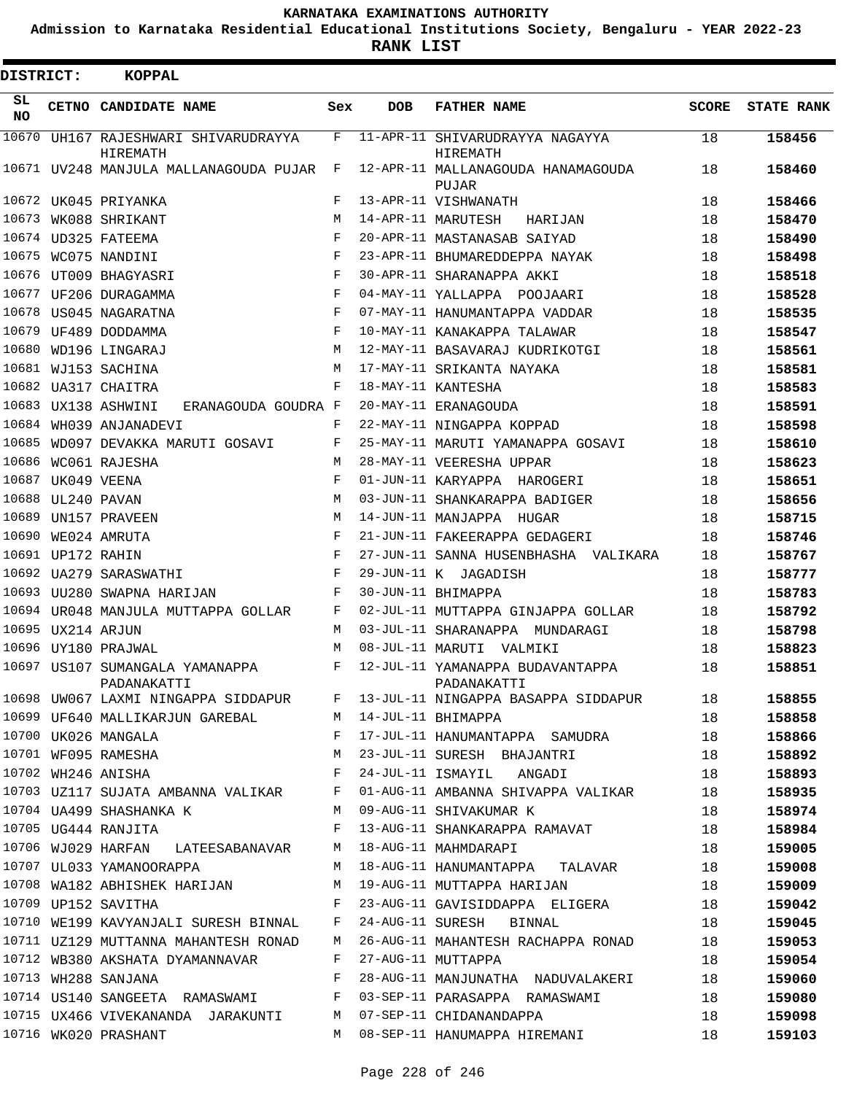**Admission to Karnataka Residential Educational Institutions Society, Bengaluru - YEAR 2022-23**

**RANK LIST**

Е

| <b>DISTRICT:</b> |                   | <b>KOPPAL</b>                                               |            |            |                                                                                                                                      |              |                   |
|------------------|-------------------|-------------------------------------------------------------|------------|------------|--------------------------------------------------------------------------------------------------------------------------------------|--------------|-------------------|
| SL<br><b>NO</b>  |                   | CETNO CANDIDATE NAME                                        | Sex        | <b>DOB</b> | <b>FATHER NAME</b>                                                                                                                   | <b>SCORE</b> | <b>STATE RANK</b> |
| 10670            |                   | UH167 RAJESHWARI SHIVARUDRAYYA<br>HIREMATH                  | F          |            | 11-APR-11 SHIVARUDRAYYA NAGAYYA<br>HIREMATH                                                                                          | 18           | 158456            |
|                  |                   | 10671 UV248 MANJULA MALLANAGOUDA PUJAR                      | F          |            | 12-APR-11 MALLANAGOUDA HANAMAGOUDA<br>PUJAR                                                                                          | 18           | 158460            |
|                  |                   | 10672 UK045 PRIYANKA                                        | F          |            | 13-APR-11 VISHWANATH                                                                                                                 | 18           | 158466            |
| 10673            |                   | WK088 SHRIKANT                                              | M          |            | 14-APR-11 MARUTESH<br>HARIJAN                                                                                                        | 18           | 158470            |
|                  |                   | 10674 UD325 FATEEMA                                         | F          |            | 20-APR-11 MASTANASAB SAIYAD                                                                                                          | 18           | 158490            |
|                  |                   | 10675 WC075 NANDINI                                         | F          |            | 23-APR-11 BHUMAREDDEPPA NAYAK                                                                                                        | 18           | 158498            |
|                  |                   | 10676 UT009 BHAGYASRI                                       | F          |            | 30-APR-11 SHARANAPPA AKKI                                                                                                            | 18           | 158518            |
|                  |                   | 10677 UF206 DURAGAMMA                                       | $_{\rm F}$ |            | 04-MAY-11 YALLAPPA POOJAARI                                                                                                          | 18           | 158528            |
|                  |                   | 10678 US045 NAGARATNA                                       | F          |            | 07-MAY-11 HANUMANTAPPA VADDAR                                                                                                        | 18           | 158535            |
|                  |                   | 10679 UF489 DODDAMMA                                        | F          |            | 10-MAY-11 KANAKAPPA TALAWAR                                                                                                          | 18           | 158547            |
| 10680            |                   | WD196 LINGARAJ                                              | M          |            | 12-MAY-11 BASAVARAJ KUDRIKOTGI                                                                                                       | 18           | 158561            |
|                  |                   | 10681 WJ153 SACHINA                                         | M          |            | 17-MAY-11 SRIKANTA NAYAKA                                                                                                            | 18           | 158581            |
|                  |                   | 10682 UA317 CHAITRA                                         | F          |            | 18-MAY-11 KANTESHA                                                                                                                   | 18           | 158583            |
|                  |                   | 10683 UX138 ASHWINI<br>ERANAGOUDA GOUDRA F                  |            |            | 20-MAY-11 ERANAGOUDA                                                                                                                 | 18           | 158591            |
| 10684            |                   | WH039 ANJANADEVI                                            | F          |            | 22-MAY-11 NINGAPPA KOPPAD                                                                                                            | 18           | 158598            |
| 10685            |                   | WD097 DEVAKKA MARUTI GOSAVI                                 | F          |            | 25-MAY-11 MARUTI YAMANAPPA GOSAVI                                                                                                    | 18           | 158610            |
| 10686            |                   | WC061 RAJESHA                                               | M          |            | 28-MAY-11 VEERESHA UPPAR                                                                                                             | 18           | 158623            |
| 10687            |                   | UK049 VEENA                                                 | F          |            | 01-JUN-11 KARYAPPA HAROGERI                                                                                                          | 18           | 158651            |
|                  | 10688 UL240 PAVAN |                                                             | M          |            | 03-JUN-11 SHANKARAPPA BADIGER                                                                                                        | 18           | 158656            |
|                  |                   | 10689 UN157 PRAVEEN                                         | M          |            | 14-JUN-11 MANJAPPA HUGAR                                                                                                             | 18           | 158715            |
| 10690            |                   | WE024 AMRUTA                                                | F          |            | 21-JUN-11 FAKEERAPPA GEDAGERI                                                                                                        | 18           | 158746            |
|                  | 10691 UP172 RAHIN |                                                             | F          |            | 27-JUN-11 SANNA HUSENBHASHA VALIKARA                                                                                                 | 18           | 158767            |
|                  |                   | 10692 UA279 SARASWATHI                                      | F          |            | 29-JUN-11 K JAGADISH                                                                                                                 | 18           | 158777            |
|                  |                   | 10693 UU280 SWAPNA HARIJAN                                  | F          |            | 30-JUN-11 BHIMAPPA                                                                                                                   | 18           | 158783            |
|                  |                   | 10694 UR048 MANJULA MUTTAPPA GOLLAR                         | F          |            | 02-JUL-11 MUTTAPPA GINJAPPA GOLLAR                                                                                                   | 18           | 158792            |
|                  | 10695 UX214 ARJUN |                                                             | M          |            | 03-JUL-11 SHARANAPPA MUNDARAGI                                                                                                       | 18           | 158798            |
|                  |                   | 10696 UY180 PRAJWAL                                         | M          |            | 08-JUL-11 MARUTI VALMIKI                                                                                                             | 18           | 158823            |
|                  |                   | 10697 US107 SUMANGALA YAMANAPPA<br>PADANAKATTI              | F          |            | 12-JUL-11 YAMANAPPA BUDAVANTAPPA<br>PADANAKATTI                                                                                      | 18           | 158851            |
|                  |                   |                                                             |            |            | 10698 UW067 LAXMI NINGAPPA SIDDAPUR F 13-JUL-11 NINGAPPA BASAPPA SIDDAPUR 18                                                         |              | 158855            |
|                  |                   | 10699 UF640 MALLIKARJUN GAREBAL M 14-JUL-11 BHIMAPPA        |            |            |                                                                                                                                      | 18           | 158858            |
|                  |                   |                                                             |            |            |                                                                                                                                      |              | 158866            |
|                  |                   |                                                             |            |            | 10700 UK026 MANGALA (1899) E 17-JUL-11 HANUMANTAPPA SAMUDRA (1899)<br>10701 NF095 RAMESHA (1899) M 23-JUL-11 SURESH BHAJANTRI (1899) |              | 158892            |
|                  |                   | 10702 WH246 ANISHA                                          |            |            | F 24-JUL-11 ISMAYIL ANGADI                                                                                                           | 18           | 158893            |
|                  |                   |                                                             |            |            | 10703 UZ117 SUJATA AMBANNA VALIKAR F 01-AUG-11 AMBANNA SHIVAPPA VALIKAR 18                                                           |              | 158935            |
|                  |                   |                                                             |            |            | 10704 UA499 SHASHANKA K M 09-AUG-11 SHIVAKUMAR K 18                                                                                  |              | 158974            |
|                  |                   | 10705 UG444 RANJITA                                         |            |            | F 13-AUG-11 SHANKARAPPA RAMAVAT 18                                                                                                   |              | 158984            |
|                  |                   | 10706 WJ029 HARFAN LATEESABANAVAR M 18-AUG-11 MAHMDARAPI    |            |            |                                                                                                                                      | 18           | 159005            |
|                  |                   |                                                             |            |            | 10707 UL033 YAMANOORAPPA 18-AUG-11 HANUMANTAPPA TALAVAR 18                                                                           |              | 159008            |
|                  |                   |                                                             |            |            | 10708 WA182 ABHISHEK HARIJAN M 19-AUG-11 MUTTAPPA HARIJAN 18                                                                         |              | 159009            |
|                  |                   |                                                             |            |            | 10709 UP152 SAVITHA 61 18                                                                                                            |              | 159042            |
|                  |                   |                                                             |            |            | 10710 WE199 KAVYANJALI SURESH BINNAL F 24-AUG-11 SURESH BINNAL 18                                                                    |              | 159045            |
|                  |                   |                                                             |            |            | 10711 UZ129 MUTTANNA MAHANTESH RONAD M 26-AUG-11 MAHANTESH RACHAPPA RONAD 18                                                         |              | 159053            |
|                  |                   | 10712 WB380 AKSHATA DYAMANNAVAR F 27-AUG-11 MUTTAPPA        |            |            |                                                                                                                                      | 18           | 159054            |
|                  |                   | 10713 WH288 SANJANA                                         |            |            | F 28-AUG-11 MANJUNATHA NADUVALAKERI 18                                                                                               |              | 159060            |
|                  |                   |                                                             |            |            | 10714 US140 SANGEETA RAMASWAMI F 03-SEP-11 PARASAPPA RAMASWAMI 18                                                                    |              | 159080            |
|                  |                   | 10715 UX466 VIVEKANANDA JARAKUNTI M 07-SEP-11 CHIDANANDAPPA |            |            |                                                                                                                                      | 18           | 159098            |
|                  |                   | 10716 WK020 PRASHANT                                        |            |            | M 08-SEP-11 HANUMAPPA HIREMANI                                                                                                       | 18           | 159103            |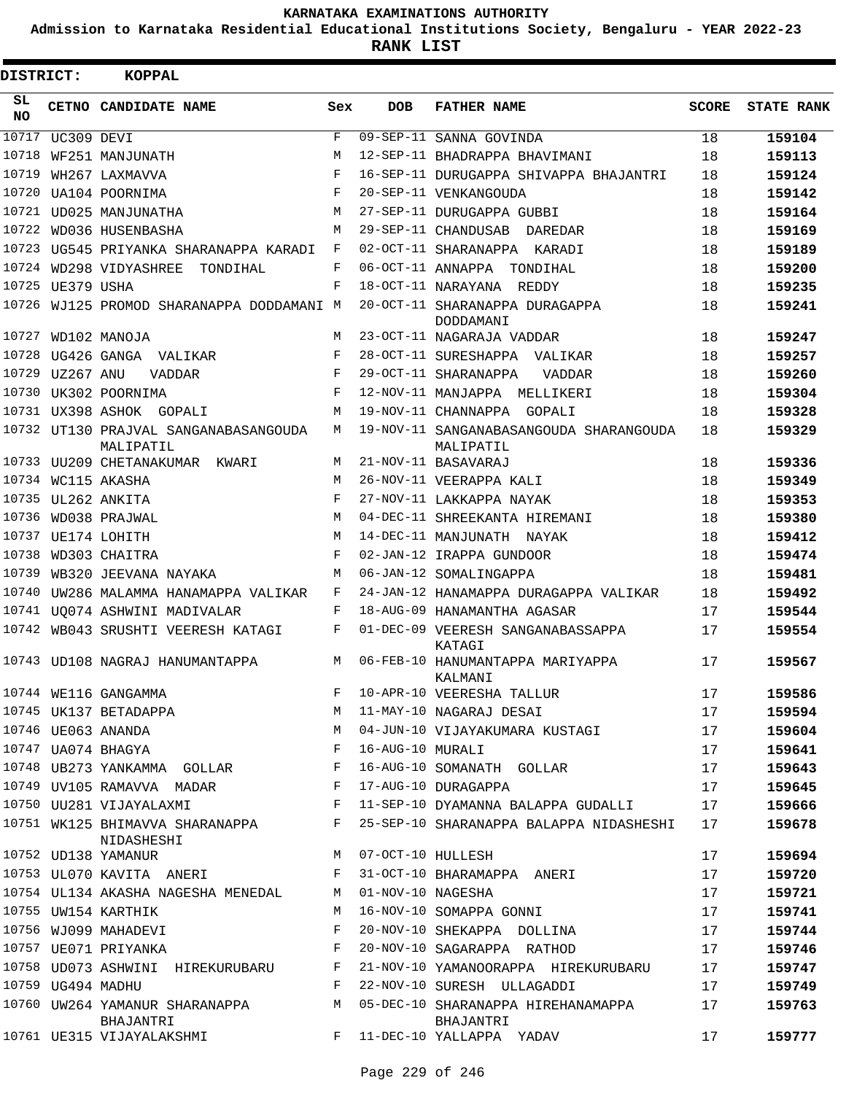**Admission to Karnataka Residential Educational Institutions Society, Bengaluru - YEAR 2022-23**

**RANK LIST**

| DISTRICT:       |                   | <b>KOPPAL</b>                                                                                                                                                                                                                                                 |       |                   |                                                      |              |                   |
|-----------------|-------------------|---------------------------------------------------------------------------------------------------------------------------------------------------------------------------------------------------------------------------------------------------------------|-------|-------------------|------------------------------------------------------|--------------|-------------------|
| SL<br><b>NO</b> |                   | CETNO CANDIDATE NAME                                                                                                                                                                                                                                          | Sex   | <b>DOB</b>        | <b>FATHER NAME</b>                                   | <b>SCORE</b> | <b>STATE RANK</b> |
| 10717           | UC309 DEVI        |                                                                                                                                                                                                                                                               | F     |                   | 09-SEP-11 SANNA GOVINDA                              | 18           | 159104            |
| 10718           |                   | WF251 MANJUNATH                                                                                                                                                                                                                                               | M     |                   | 12-SEP-11 BHADRAPPA BHAVIMANI                        | 18           | 159113            |
| 10719           |                   | WH267 LAXMAVVA                                                                                                                                                                                                                                                | F     |                   | 16-SEP-11 DURUGAPPA SHIVAPPA BHAJANTRI               | 18           | 159124            |
| 10720           |                   | UA104 POORNIMA                                                                                                                                                                                                                                                | F     |                   | 20-SEP-11 VENKANGOUDA                                | 18           | 159142            |
| 10721           |                   | UD025 MANJUNATHA                                                                                                                                                                                                                                              | M     |                   | 27-SEP-11 DURUGAPPA GUBBI                            | 18           | 159164            |
| 10722           |                   | WD036 HUSENBASHA                                                                                                                                                                                                                                              | M     |                   | 29-SEP-11 CHANDUSAB DAREDAR                          | 18           | 159169            |
| 10723           |                   | UG545 PRIYANKA SHARANAPPA KARADI                                                                                                                                                                                                                              | F     |                   | 02-OCT-11 SHARANAPPA KARADI                          | 18           | 159189            |
| 10724           |                   | WD298 VIDYASHREE<br>TONDIHAL                                                                                                                                                                                                                                  | F     | 06-OCT-11 ANNAPPA | TONDIHAL                                             | 18           | 159200            |
|                 | 10725 UE379 USHA  |                                                                                                                                                                                                                                                               | F     |                   | 18-OCT-11 NARAYANA REDDY                             | 18           | 159235            |
|                 |                   | 10726 WJ125 PROMOD SHARANAPPA DODDAMANI M                                                                                                                                                                                                                     |       |                   | 20-OCT-11 SHARANAPPA DURAGAPPA<br>DODDAMANI          | 18           | 159241            |
| 10727           |                   | WD102 MANOJA                                                                                                                                                                                                                                                  | M     |                   | 23-OCT-11 NAGARAJA VADDAR                            | 18           | 159247            |
| 10728           |                   | UG426 GANGA VALIKAR                                                                                                                                                                                                                                           | F     |                   | 28-OCT-11 SURESHAPPA<br>VALIKAR                      | 18           | 159257            |
| 10729           | UZ267 ANU         | <b>VADDAR</b>                                                                                                                                                                                                                                                 | F     |                   | 29-OCT-11 SHARANAPPA<br>VADDAR                       | 18           | 159260            |
|                 |                   | 10730 UK302 POORNIMA                                                                                                                                                                                                                                          | F     |                   | 12-NOV-11 MANJAPPA MELLIKERI                         | 18           | 159304            |
|                 |                   | 10731 UX398 ASHOK GOPALI                                                                                                                                                                                                                                      | M     |                   | 19-NOV-11 CHANNAPPA GOPALI                           | 18           | 159328            |
|                 |                   | 10732 UT130 PRAJVAL SANGANABASANGOUDA<br>MALIPATIL                                                                                                                                                                                                            | М     |                   | 19-NOV-11 SANGANABASANGOUDA SHARANGOUDA<br>MALIPATIL | 18           | 159329            |
|                 |                   | 10733 UU209 CHETANAKUMAR KWARI                                                                                                                                                                                                                                | M     |                   | 21-NOV-11 BASAVARAJ                                  | 18           | 159336            |
| 10734           |                   | WC115 AKASHA                                                                                                                                                                                                                                                  | M     |                   | 26-NOV-11 VEERAPPA KALI                              | 18           | 159349            |
|                 |                   | 10735 UL262 ANKITA                                                                                                                                                                                                                                            | F     |                   | 27-NOV-11 LAKKAPPA NAYAK                             | 18           | 159353            |
| 10736           |                   | WD038 PRAJWAL                                                                                                                                                                                                                                                 | M     |                   | 04-DEC-11 SHREEKANTA HIREMANI                        | 18           | 159380            |
|                 |                   | 10737 UE174 LOHITH                                                                                                                                                                                                                                            | M     |                   | 14-DEC-11 MANJUNATH NAYAK                            | 18           | 159412            |
| 10738           |                   | WD303 CHAITRA                                                                                                                                                                                                                                                 | F     |                   | 02-JAN-12 IRAPPA GUNDOOR                             | 18           | 159474            |
| 10739           |                   | WB320 JEEVANA NAYAKA                                                                                                                                                                                                                                          | M     |                   | 06-JAN-12 SOMALINGAPPA                               | 18           | 159481            |
| 10740           |                   | UW286 MALAMMA HANAMAPPA VALIKAR                                                                                                                                                                                                                               | F     |                   | 24-JAN-12 HANAMAPPA DURAGAPPA VALIKAR                | 18           | 159492            |
|                 |                   | 10741 UQ074 ASHWINI MADIVALAR                                                                                                                                                                                                                                 | F     |                   | 18-AUG-09 HANAMANTHA AGASAR                          | 17           | 159544            |
|                 |                   | 10742 WB043 SRUSHTI VEERESH KATAGI                                                                                                                                                                                                                            | F     |                   | 01-DEC-09 VEERESH SANGANABASSAPPA<br>KATAGI          | 17           | 159554            |
|                 |                   | 10743 UD108 NAGRAJ HANUMANTAPPA                                                                                                                                                                                                                               | M     |                   | 06-FEB-10 HANUMANTAPPA MARIYAPPA<br>KALMANI          | 17           | 159567            |
|                 |                   |                                                                                                                                                                                                                                                               | F     |                   | 10-APR-10 VEERESHA TALLUR                            | 17           | 159586            |
|                 |                   | 10744 WE116 GANGAMMA<br>10745 UK137 BETADAPPA                                                                                                                                                                                                                 | M     |                   | 11-MAY-10 NAGARAJ DESAI                              | 17           | 159594            |
|                 |                   | 10746 UE063 ANANDA                                                                                                                                                                                                                                            | М     |                   | 04-JUN-10 VIJAYAKUMARA KUSTAGI                       | 17           | 159604            |
|                 |                   | 10747 UA074 BHAGYA                                                                                                                                                                                                                                            | F     | 16-AUG-10 MURALI  |                                                      | 17           | 159641            |
|                 |                   | 10748 UB273 YANKAMMA GOLLAR F                                                                                                                                                                                                                                 |       |                   | 16-AUG-10 SOMANATH GOLLAR                            | 17           | 159643            |
|                 |                   | 10749 UV105 RAMAVVA MADAR F                                                                                                                                                                                                                                   |       |                   | 17-AUG-10 DURAGAPPA                                  | 17           | 159645            |
|                 |                   | 10750 UU281 VIJAYALAXMI                                                                                                                                                                                                                                       | F     |                   | 11-SEP-10 DYAMANNA BALAPPA GUDALLI                   | 17           | 159666            |
|                 |                   | 10751 WK125 BHIMAVVA SHARANAPPA<br>NIDASHESHI                                                                                                                                                                                                                 | F     |                   | 25-SEP-10 SHARANAPPA BALAPPA NIDASHESHI              | 17           | 159678            |
|                 |                   | 10752 UD138 YAMANUR                                                                                                                                                                                                                                           | М     | 07-OCT-10 HULLESH |                                                      | 17           | 159694            |
|                 |                   | 10753 UL070 KAVITA ANERI<br>$\mathbf{F}$ and the set of the set of the set of the set of the set of the set of the set of the set of the set of the set of the set of the set of the set of the set of the set of the set of the set of the set of the set of |       |                   | 31-OCT-10 BHARAMAPPA ANERI                           | 17           | 159720            |
|                 |                   | 10754 UL134 AKASHA NAGESHA MENEDAL                                                                                                                                                                                                                            | M     | 01-NOV-10 NAGESHA |                                                      | 17           | 159721            |
|                 |                   | 10755 UW154 KARTHIK                                                                                                                                                                                                                                           | М     |                   | 16-NOV-10 SOMAPPA GONNI                              | 17           | 159741            |
|                 |                   | 10756 WJ099 MAHADEVI                                                                                                                                                                                                                                          | F     |                   | 20-NOV-10 SHEKAPPA DOLLINA                           | 17           | 159744            |
|                 |                   | 10757 UE071 PRIYANKA                                                                                                                                                                                                                                          | F     |                   | 20-NOV-10 SAGARAPPA RATHOD                           | 17           | 159746            |
|                 |                   | 10758 UD073 ASHWINI HIREKURUBARU                                                                                                                                                                                                                              | F     |                   | 21-NOV-10 YAMANOORAPPA HIREKURUBARU                  | 17           | 159747            |
|                 | 10759 UG494 MADHU |                                                                                                                                                                                                                                                               | F     |                   | 22-NOV-10 SURESH ULLAGADDI                           | 17           | 159749            |
|                 |                   | 10760 UW264 YAMANUR SHARANAPPA<br>BHAJANTRI                                                                                                                                                                                                                   | M     |                   | 05-DEC-10 SHARANAPPA HIREHANAMAPPA<br>BHAJANTRI      | 17           | 159763            |
|                 |                   | 10761 UE315 VIJAYALAKSHMI                                                                                                                                                                                                                                     | $F$ – |                   | 11-DEC-10 YALLAPPA YADAV                             | 17           | 159777            |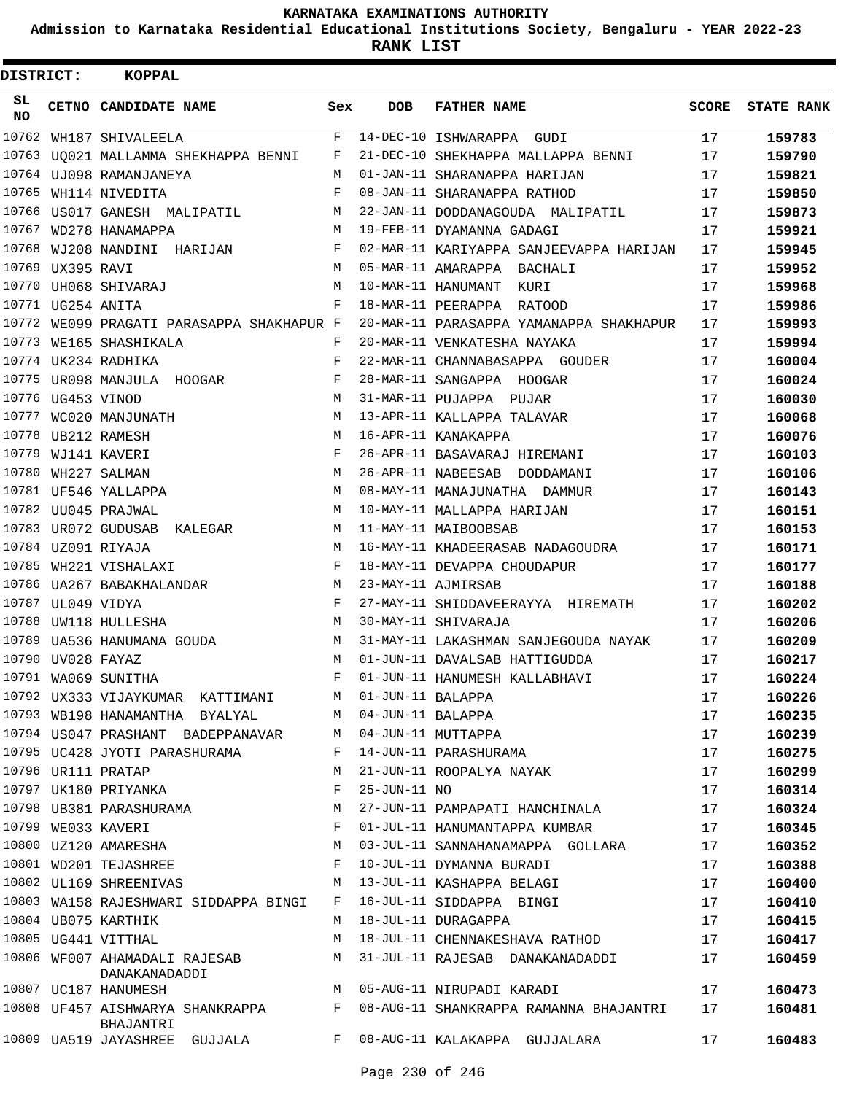**Admission to Karnataka Residential Educational Institutions Society, Bengaluru - YEAR 2022-23**

| <b>DISTRICT:</b> |                   | <b>KOPPAL</b>                                 |     |                   |                                         |              |                   |
|------------------|-------------------|-----------------------------------------------|-----|-------------------|-----------------------------------------|--------------|-------------------|
| SL.<br><b>NO</b> |                   | CETNO CANDIDATE NAME                          | Sex | DOB               | <b>FATHER NAME</b>                      | <b>SCORE</b> | <b>STATE RANK</b> |
| 10762            |                   | WH187 SHIVALEELA                              | F   |                   | 14-DEC-10 ISHWARAPPA GUDI               | 17           | 159783            |
| 10763            |                   | UO021 MALLAMMA SHEKHAPPA BENNI                | F   |                   | 21-DEC-10 SHEKHAPPA MALLAPPA BENNI      | 17           | 159790            |
|                  |                   | 10764 UJ098 RAMANJANEYA                       | М   |                   | 01-JAN-11 SHARANAPPA HARIJAN            | 17           | 159821            |
|                  |                   | 10765 WH114 NIVEDITA                          | F   |                   | 08-JAN-11 SHARANAPPA RATHOD             | 17           | 159850            |
| 10766            |                   | US017 GANESH MALIPATIL                        | М   |                   | 22-JAN-11 DODDANAGOUDA MALIPATIL        | 17           | 159873            |
| 10767            |                   | WD278 HANAMAPPA                               | М   |                   | 19-FEB-11 DYAMANNA GADAGI               | 17           | 159921            |
| 10768            |                   | WJ208 NANDINI HARIJAN                         | F   |                   | 02-MAR-11 KARIYAPPA SANJEEVAPPA HARIJAN | 17           | 159945            |
|                  | 10769 UX395 RAVI  |                                               | M   |                   | 05-MAR-11 AMARAPPA BACHALI              | 17           | 159952            |
| 10770            |                   | UH068 SHIVARAJ                                | М   |                   | 10-MAR-11 HANUMANT<br>KURI              | 17           | 159968            |
|                  | 10771 UG254 ANITA |                                               | F   |                   | 18-MAR-11 PEERAPPA RATOOD               | 17           | 159986            |
| 10772            |                   | WE099 PRAGATI PARASAPPA SHAKHAPUR F           |     |                   | 20-MAR-11 PARASAPPA YAMANAPPA SHAKHAPUR | 17           | 159993            |
| 10773            |                   | WE165 SHASHIKALA                              | F   |                   | 20-MAR-11 VENKATESHA NAYAKA             | 17           | 159994            |
|                  |                   | 10774 UK234 RADHIKA                           | F   |                   | 22-MAR-11 CHANNABASAPPA GOUDER          | 17           | 160004            |
|                  |                   | 10775 UR098 MANJULA HOOGAR                    | F   |                   | 28-MAR-11 SANGAPPA HOOGAR               | 17           | 160024            |
|                  | 10776 UG453 VINOD |                                               | M   |                   | 31-MAR-11 PUJAPPA PUJAR                 | 17           | 160030            |
| 10777            |                   | WC020 MANJUNATH                               | M   |                   | 13-APR-11 KALLAPPA TALAVAR              | 17           | 160068            |
| 10778            |                   | UB212 RAMESH                                  | М   |                   | 16-APR-11 KANAKAPPA                     | 17           | 160076            |
| 10779            |                   | WJ141 KAVERI                                  | F   |                   | 26-APR-11 BASAVARAJ HIREMANI            | 17           | 160103            |
| 10780            |                   | WH227 SALMAN                                  | М   |                   | 26-APR-11 NABEESAB DODDAMANI            | 17           | 160106            |
|                  |                   | 10781 UF546 YALLAPPA                          | M   |                   | 08-MAY-11 MANAJUNATHA DAMMUR            | 17           | 160143            |
|                  |                   | 10782 UU045 PRAJWAL                           | М   |                   | 10-MAY-11 MALLAPPA HARIJAN              | 17           | 160151            |
|                  |                   | 10783 UR072 GUDUSAB KALEGAR                   | M   |                   | 11-MAY-11 MAIBOOBSAB                    | 17           | 160153            |
|                  |                   | 10784 UZ091 RIYAJA                            | M   |                   | 16-MAY-11 KHADEERASAB NADAGOUDRA        | 17           | 160171            |
|                  |                   | 10785 WH221 VISHALAXI                         | F   |                   | 18-MAY-11 DEVAPPA CHOUDAPUR             | 17           | 160177            |
| 10786            |                   | UA267 BABAKHALANDAR                           | M   |                   | 23-MAY-11 AJMIRSAB                      | 17           | 160188            |
| 10787            | UL049 VIDYA       |                                               | F   |                   | 27-MAY-11 SHIDDAVEERAYYA HIREMATH       | 17           | 160202            |
| 10788            |                   | UW118 HULLESHA                                | М   |                   | 30-MAY-11 SHIVARAJA                     | 17           | 160206            |
|                  |                   | 10789 UA536 HANUMANA GOUDA                    | М   |                   | 31-MAY-11 LAKASHMAN SANJEGOUDA NAYAK    | 17           | 160209            |
|                  | 10790 UV028 FAYAZ |                                               | М   |                   | 01-JUN-11 DAVALSAB HATTIGUDDA           | 17           | 160217            |
|                  |                   | 10791 WA069 SUNITHA                           | F   |                   | 01-JUN-11 HANUMESH KALLABHAVI           | 17           | 160224            |
|                  |                   | 10792 UX333 VIJAYKUMAR KATTIMANI              | M   | 01-JUN-11 BALAPPA |                                         | 17           | 160226            |
|                  |                   | 10793 WB198 HANAMANTHA BYALYAL                | M   | 04-JUN-11 BALAPPA |                                         | 17           | 160235            |
|                  |                   | 10794 US047 PRASHANT BADEPPANAVAR             | M   |                   | 04-JUN-11 MUTTAPPA                      | 17           | 160239            |
|                  |                   | 10795 UC428 JYOTI PARASHURAMA                 | F   |                   | 14-JUN-11 PARASHURAMA                   | 17           | 160275            |
|                  |                   | 10796 UR111 PRATAP                            | М   |                   | 21-JUN-11 ROOPALYA NAYAK                | 17           | 160299            |
|                  |                   | 10797 UK180 PRIYANKA                          | F   | 25-JUN-11 NO      |                                         | 17           | 160314            |
|                  |                   | 10798 UB381 PARASHURAMA                       | М   |                   | 27-JUN-11 PAMPAPATI HANCHINALA          | 17           | 160324            |
|                  |                   | 10799 WE033 KAVERI                            | F   |                   | 01-JUL-11 HANUMANTAPPA KUMBAR           | 17           | 160345            |
|                  |                   | 10800 UZ120 AMARESHA                          | М   |                   | 03-JUL-11 SANNAHANAMAPPA GOLLARA        | 17           | 160352            |
|                  |                   | 10801 WD201 TEJASHREE                         | F   |                   | 10-JUL-11 DYMANNA BURADI                | 17           | 160388            |
|                  |                   | 10802 UL169 SHREENIVAS                        | M   |                   | 13-JUL-11 KASHAPPA BELAGI               | 17           | 160400            |
|                  |                   | 10803 WA158 RAJESHWARI SIDDAPPA BINGI         | F   |                   | 16-JUL-11 SIDDAPPA BINGI                | 17           | 160410            |
|                  |                   | 10804 UB075 KARTHIK                           | M   |                   | 18-JUL-11 DURAGAPPA                     | 17           | 160415            |
|                  |                   | 10805 UG441 VITTHAL                           | M   |                   | 18-JUL-11 CHENNAKESHAVA RATHOD          | 17           | 160417            |
|                  |                   | 10806 WF007 AHAMADALI RAJESAB                 | M   |                   | 31-JUL-11 RAJESAB DANAKANADADDI         | 17           | 160459            |
|                  |                   | DANAKANADADDI                                 |     |                   |                                         |              |                   |
|                  |                   | 10807 UC187 HANUMESH                          | M   |                   | 05-AUG-11 NIRUPADI KARADI               | 17           | 160473            |
|                  |                   | 10808 UF457 AISHWARYA SHANKRAPPA<br>BHAJANTRI | F   |                   | 08-AUG-11 SHANKRAPPA RAMANNA BHAJANTRI  | 17           | 160481            |
|                  |                   | 10809 UA519 JAYASHREE GUJJALA                 |     |                   | F 08-AUG-11 KALAKAPPA GUJJALARA         | 17           | 160483            |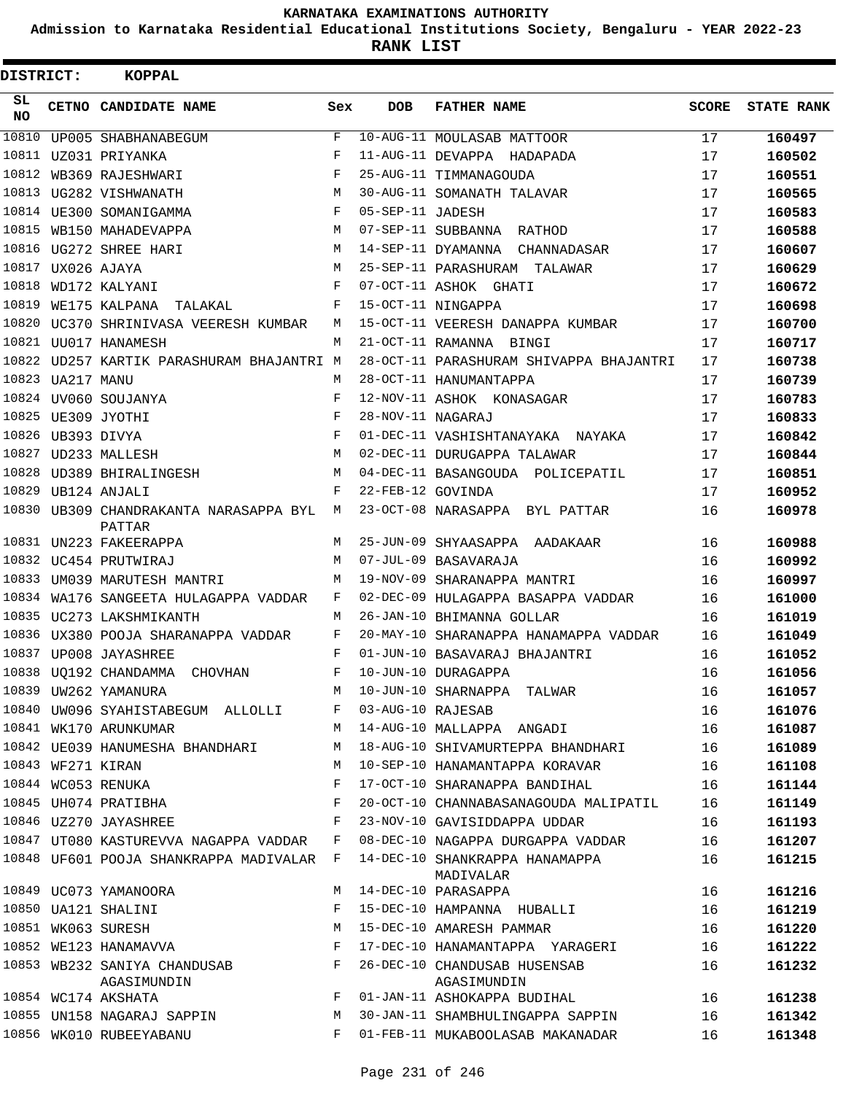**Admission to Karnataka Residential Educational Institutions Society, Bengaluru - YEAR 2022-23**

**RANK LIST**

| DISTRICT:       |                   | <b>KOPPAL</b>                               |     |                   |                                             |          |                   |
|-----------------|-------------------|---------------------------------------------|-----|-------------------|---------------------------------------------|----------|-------------------|
| SL<br><b>NO</b> |                   | CETNO CANDIDATE NAME                        | Sex | <b>DOB</b>        | <b>FATHER NAME</b>                          | SCORE    | <b>STATE RANK</b> |
| 10810           |                   | UP005 SHABHANABEGUM                         | F   |                   | 10-AUG-11 MOULASAB MATTOOR                  | 17       | 160497            |
|                 |                   | 10811 UZ031 PRIYANKA                        | F   |                   | 11-AUG-11 DEVAPPA HADAPADA                  | 17       | 160502            |
|                 |                   | 10812 WB369 RAJESHWARI                      | F   |                   | 25-AUG-11 TIMMANAGOUDA                      | 17       | 160551            |
|                 |                   | 10813 UG282 VISHWANATH                      | М   |                   | 30-AUG-11 SOMANATH TALAVAR                  | 17       | 160565            |
|                 |                   | 10814 UE300 SOMANIGAMMA                     | F   | 05-SEP-11 JADESH  |                                             | 17       | 160583            |
|                 |                   | 10815 WB150 MAHADEVAPPA                     | M   |                   | 07-SEP-11 SUBBANNA RATHOD                   | 17       | 160588            |
|                 |                   | 10816 UG272 SHREE HARI                      | M   |                   | 14-SEP-11 DYAMANNA CHANNADASAR              | 17       | 160607            |
| 10817           |                   | UX026 AJAYA                                 | M   |                   | 25-SEP-11 PARASHURAM TALAWAR                | 17       | 160629            |
| 10818           |                   | WD172 KALYANI                               | F   |                   | 07-OCT-11 ASHOK GHATI                       | 17       | 160672            |
| 10819           |                   | WE175 KALPANA TALAKAL                       | F   |                   | 15-OCT-11 NINGAPPA                          | 17       | 160698            |
|                 |                   | 10820 UC370 SHRINIVASA VEERESH KUMBAR       | M   |                   | 15-OCT-11 VEERESH DANAPPA KUMBAR            | 17       | 160700            |
|                 |                   | 10821 UU017 HANAMESH                        | М   |                   | 21-OCT-11 RAMANNA BINGI                     | 17       | 160717            |
|                 |                   | 10822 UD257 KARTIK PARASHURAM BHAJANTRI M   |     |                   | 28-OCT-11 PARASHURAM SHIVAPPA BHAJANTRI     | 17       | 160738            |
|                 | 10823 UA217 MANU  |                                             | M   |                   | 28-OCT-11 HANUMANTAPPA                      | 17       | 160739            |
|                 |                   | 10824 UV060 SOUJANYA                        | F   |                   | 12-NOV-11 ASHOK KONASAGAR                   | 17       | 160783            |
|                 |                   | 10825 UE309 JYOTHI                          | F   | 28-NOV-11 NAGARAJ |                                             | 17       | 160833            |
|                 | 10826 UB393 DIVYA |                                             | F   |                   | 01-DEC-11 VASHISHTANAYAKA NAYAKA            | 17       | 160842            |
|                 |                   | 10827 UD233 MALLESH                         | M   |                   | 02-DEC-11 DURUGAPPA TALAWAR                 | 17       | 160844            |
|                 |                   | 10828 UD389 BHIRALINGESH                    | M   |                   | 04-DEC-11 BASANGOUDA POLICEPATIL            | 17       | 160851            |
| 10829           |                   | UB124 ANJALI                                | F   | 22-FEB-12 GOVINDA |                                             | 17       | 160952            |
|                 |                   | 10830 UB309 CHANDRAKANTA NARASAPPA BYL M    |     |                   | 23-OCT-08 NARASAPPA BYL PATTAR              | 16       | 160978            |
|                 |                   | <b>PATTAR</b><br>10831 UN223 FAKEERAPPA     | M   |                   | 25-JUN-09 SHYAASAPPA AADAKAAR               | 16       | 160988            |
|                 |                   | 10832 UC454 PRUTWIRAJ                       | M   |                   | 07-JUL-09 BASAVARAJA                        | 16       | 160992            |
|                 |                   | 10833 UM039 MARUTESH MANTRI                 | M   |                   | 19-NOV-09 SHARANAPPA MANTRI                 | 16       | 160997            |
| 10834           |                   | WA176 SANGEETA HULAGAPPA VADDAR             | F   |                   | 02-DEC-09 HULAGAPPA BASAPPA VADDAR          | 16       | 161000            |
|                 |                   | 10835 UC273 LAKSHMIKANTH                    | M   |                   | 26-JAN-10 BHIMANNA GOLLAR                   | 16       | 161019            |
|                 |                   | 10836 UX380 POOJA SHARANAPPA VADDAR         | F   |                   | 20-MAY-10 SHARANAPPA HANAMAPPA VADDAR       | 16       | 161049            |
|                 |                   | 10837 UP008 JAYASHREE                       | F   |                   | 01-JUN-10 BASAVARAJ BHAJANTRI               | 16       | 161052            |
|                 |                   | 10838  UQ192  CHANDAMMA  CHOVHAN            | F   |                   | 10-JUN-10 DURAGAPPA                         | 16       | 161056            |
|                 |                   | 10839 UW262 YAMANURA                        | M   |                   | 10-JUN-10 SHARNAPPA TALWAR                  | 16       | 161057            |
|                 |                   | 10840 UW096 SYAHISTABEGUM ALLOLLI           | F   | 03-AUG-10 RAJESAB |                                             | 16       | 161076            |
|                 |                   | 10841 WK170 ARUNKUMAR                       | М   |                   | 14-AUG-10 MALLAPPA ANGADI                   | 16       | 161087            |
|                 |                   | 10842 UE039 HANUMESHA BHANDHARI             | М   |                   | 18-AUG-10 SHIVAMURTEPPA BHANDHARI           | 16       | 161089            |
|                 | 10843 WF271 KIRAN |                                             | М   |                   | 10-SEP-10 HANAMANTAPPA KORAVAR              | 16       | 161108            |
|                 |                   | 10844 WC053 RENUKA                          | F   |                   | 17-OCT-10 SHARANAPPA BANDIHAL               | 16       | 161144            |
|                 |                   | 10845 UH074 PRATIBHA                        | F   |                   | 20-OCT-10 CHANNABASANAGOUDA MALIPATIL       | 16       |                   |
|                 |                   | 10846 UZ270 JAYASHREE                       | F   |                   | 23-NOV-10 GAVISIDDAPPA UDDAR                | 16       | 161149<br>161193  |
|                 |                   | 10847 UT080 KASTUREVVA NAGAPPA VADDAR       | F   |                   | 08-DEC-10 NAGAPPA DURGAPPA VADDAR           |          |                   |
|                 |                   | 10848 UF601 POOJA SHANKRAPPA MADIVALAR F    |     |                   | 14-DEC-10 SHANKRAPPA HANAMAPPA              | 16<br>16 | 161207<br>161215  |
|                 |                   |                                             |     |                   | MADIVALAR                                   |          |                   |
|                 |                   | 10849 UC073 YAMANOORA                       | M   |                   | 14-DEC-10 PARASAPPA                         | 16       | 161216            |
|                 |                   | 10850 UA121 SHALINI                         | F   |                   | 15-DEC-10 HAMPANNA HUBALLI                  | 16       | 161219            |
|                 |                   | 10851 WK063 SURESH                          | M   |                   | 15-DEC-10 AMARESH PAMMAR                    | 16       | 161220            |
|                 |                   | 10852 WE123 HANAMAVVA                       | F   |                   | 17-DEC-10 HANAMANTAPPA YARAGERI             | 16       | 161222            |
|                 |                   | 10853 WB232 SANIYA CHANDUSAB<br>AGASIMUNDIN | F   |                   | 26-DEC-10 CHANDUSAB HUSENSAB<br>AGASIMUNDIN | 16       | 161232            |
|                 |                   | 10854 WC174 AKSHATA                         | F   |                   | 01-JAN-11 ASHOKAPPA BUDIHAL                 | 16       | 161238            |
|                 |                   | 10855 UN158 NAGARAJ SAPPIN                  | М   |                   | 30-JAN-11 SHAMBHULINGAPPA SAPPIN            | 16       | 161342            |
|                 |                   | 10856 WK010 RUBEEYABANU                     | F   |                   | 01-FEB-11 MUKABOOLASAB MAKANADAR            | 16       | 161348            |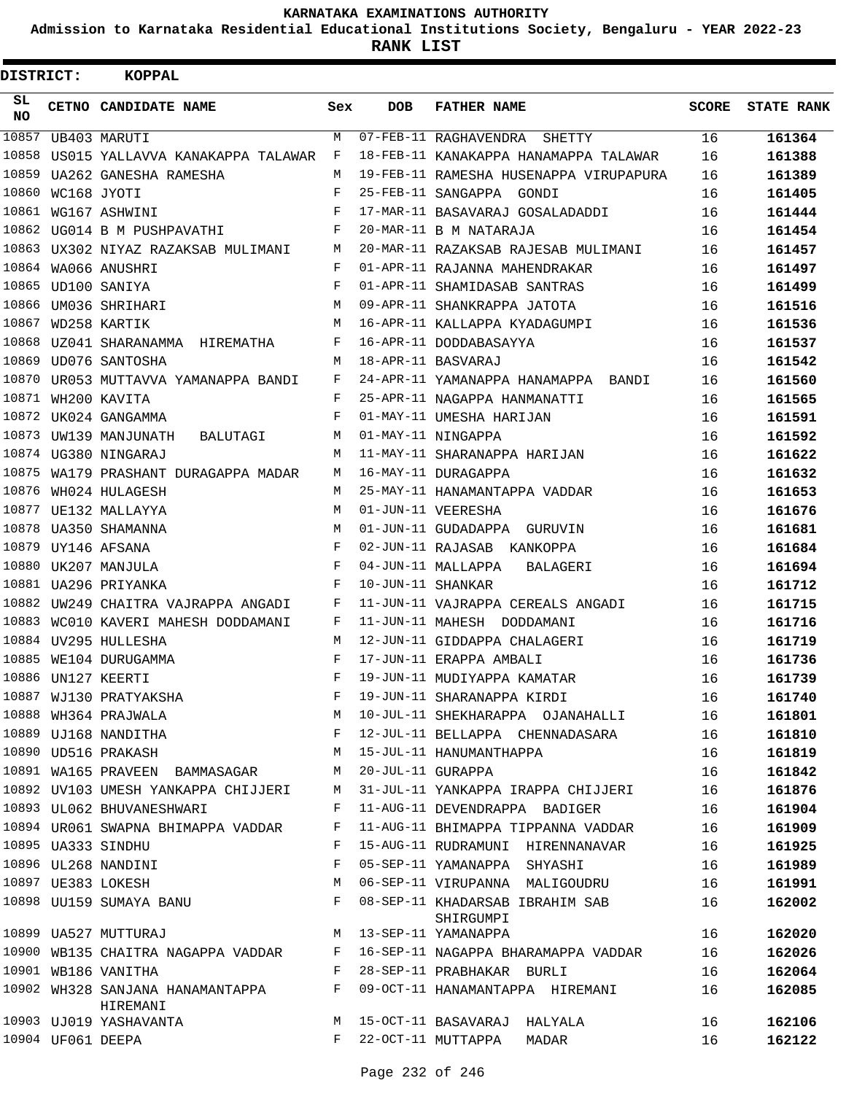**Admission to Karnataka Residential Educational Institutions Society, Bengaluru - YEAR 2022-23**

| <b>DISTRICT:</b> |             | <b>KOPPAL</b>                                |     |                   |                                        |              |                   |
|------------------|-------------|----------------------------------------------|-----|-------------------|----------------------------------------|--------------|-------------------|
| SL<br><b>NO</b>  |             | CETNO CANDIDATE NAME                         | Sex | <b>DOB</b>        | <b>FATHER NAME</b>                     | <b>SCORE</b> | <b>STATE RANK</b> |
|                  |             | 10857 UB403 MARUTI                           | M   |                   | 07-FEB-11 RAGHAVENDRA SHETTY           | 16           | 161364            |
| 10858            |             | US015 YALLAVVA KANAKAPPA TALAWAR             | F   |                   | 18-FEB-11 KANAKAPPA HANAMAPPA TALAWAR  | 16           | 161388            |
| 10859            |             | UA262 GANESHA RAMESHA                        | М   |                   | 19-FEB-11 RAMESHA HUSENAPPA VIRUPAPURA | 16           | 161389            |
| 10860            | WC168 JYOTI |                                              | F   |                   | 25-FEB-11 SANGAPPA GONDI               | 16           | 161405            |
|                  |             | 10861 WG167 ASHWINI                          | F   |                   | 17-MAR-11 BASAVARAJ GOSALADADDI        | 16           | 161444            |
|                  |             | 10862 UG014 B M PUSHPAVATHI                  | F   |                   | 20-MAR-11 B M NATARAJA                 | 16           | 161454            |
|                  |             | 10863 UX302 NIYAZ RAZAKSAB MULIMANI          | M   |                   | 20-MAR-11 RAZAKSAB RAJESAB MULIMANI    | 16           | 161457            |
|                  |             | 10864 WA066 ANUSHRI                          | F   |                   | 01-APR-11 RAJANNA MAHENDRAKAR          | 16           | 161497            |
|                  |             | 10865 UD100 SANIYA                           | F   |                   | 01-APR-11 SHAMIDASAB SANTRAS           | 16           | 161499            |
|                  |             | 10866 UM036 SHRIHARI                         | М   |                   | 09-APR-11 SHANKRAPPA JATOTA            | 16           | 161516            |
|                  |             | 10867 WD258 KARTIK                           | М   |                   | 16-APR-11 KALLAPPA KYADAGUMPI          | 16           | 161536            |
|                  |             | 10868 UZ041 SHARANAMMA HIREMATHA             | F   |                   | 16-APR-11 DODDABASAYYA                 | 16           | 161537            |
| 10869            |             | UD076 SANTOSHA                               | М   |                   | 18-APR-11 BASVARAJ                     | 16           | 161542            |
|                  |             | 10870 UR053 MUTTAVVA YAMANAPPA BANDI         | F   |                   | 24-APR-11 YAMANAPPA HANAMAPPA BANDI    | 16           | 161560            |
|                  |             | 10871 WH200 KAVITA                           | F   |                   | 25-APR-11 NAGAPPA HANMANATTI           | 16           | 161565            |
|                  |             | 10872 UK024 GANGAMMA                         | F   |                   | 01-MAY-11 UMESHA HARIJAN               | 16           | 161591            |
|                  |             | 10873 UW139 MANJUNATH<br>BALUTAGI            | М   |                   | 01-MAY-11 NINGAPPA                     | 16           | 161592            |
|                  |             | 10874 UG380 NINGARAJ                         | М   |                   | 11-MAY-11 SHARANAPPA HARIJAN           | 16           | 161622            |
| 10875            |             | WA179 PRASHANT DURAGAPPA MADAR               | М   |                   | 16-MAY-11 DURAGAPPA                    | 16           | 161632            |
| 10876            |             | WH024 HULAGESH                               | М   |                   | 25-MAY-11 HANAMANTAPPA VADDAR          | 16           | 161653            |
|                  |             | 10877 UE132 MALLAYYA                         | М   |                   | 01-JUN-11 VEERESHA                     | 16           | 161676            |
|                  |             | 10878 UA350 SHAMANNA                         | М   |                   | 01-JUN-11 GUDADAPPA GURUVIN            | 16           | 161681            |
| 10879            |             | UY146 AFSANA                                 | F   |                   | 02-JUN-11 RAJASAB KANKOPPA             | 16           | 161684            |
|                  |             | 10880 UK207 MANJULA                          | F   |                   | 04-JUN-11 MALLAPPA<br>BALAGERI         | 16           | 161694            |
|                  |             | 10881 UA296 PRIYANKA                         | F   | 10-JUN-11 SHANKAR |                                        | 16           | 161712            |
|                  |             | 10882 UW249 CHAITRA VAJRAPPA ANGADI          | F   |                   | 11-JUN-11 VAJRAPPA CEREALS ANGADI      | 16           | 161715            |
|                  |             | 10883 WC010 KAVERI MAHESH DODDAMANI          | F   |                   | 11-JUN-11 MAHESH DODDAMANI             | 16           | 161716            |
|                  |             | 10884 UV295 HULLESHA                         | М   |                   | 12-JUN-11 GIDDAPPA CHALAGERI           | 16           | 161719            |
|                  |             | 10885 WE104 DURUGAMMA                        | F   |                   | 17-JUN-11 ERAPPA AMBALI                | 16           | 161736            |
|                  |             | 10886 UN127 KEERTI                           | F   |                   | 19-JUN-11 MUDIYAPPA KAMATAR            | 16           | 161739            |
|                  |             | 10887 WJ130 PRATYAKSHA                       | F   |                   | 19-JUN-11 SHARANAPPA KIRDI             | 16           | 161740            |
|                  |             | 10888 WH364 PRAJWALA                         | М   |                   | 10-JUL-11 SHEKHARAPPA OJANAHALLI       | 16           | 161801            |
|                  |             | 10889 UJ168 NANDITHA                         | F   |                   | 12-JUL-11 BELLAPPA CHENNADASARA        | 16           | 161810            |
|                  |             | 10890 UD516 PRAKASH                          | M   |                   | 15-JUL-11 HANUMANTHAPPA                | 16           | 161819            |
|                  |             | 10891 WA165 PRAVEEN BAMMASAGAR               | M   | 20-JUL-11 GURAPPA |                                        | 16           | 161842            |
|                  |             | 10892 UV103 UMESH YANKAPPA CHIJJERI          | M   |                   | 31-JUL-11 YANKAPPA IRAPPA CHIJJERI     | 16           | 161876            |
|                  |             | 10893 UL062 BHUVANESHWARI                    | F   |                   | 11-AUG-11 DEVENDRAPPA BADIGER          | 16           | 161904            |
|                  |             | 10894 UR061 SWAPNA BHIMAPPA VADDAR           | F   |                   | 11-AUG-11 BHIMAPPA TIPPANNA VADDAR     | 16           | 161909            |
|                  |             | 10895 UA333 SINDHU                           | F   |                   | 15-AUG-11 RUDRAMUNI HIRENNANAVAR       | 16           | 161925            |
|                  |             | 10896 UL268 NANDINI                          | F   |                   | 05-SEP-11 YAMANAPPA SHYASHI            | 16           | 161989            |
|                  |             | 10897 UE383 LOKESH                           | М   |                   | 06-SEP-11 VIRUPANNA MALIGOUDRU         | 16           |                   |
|                  |             | 10898 UU159 SUMAYA BANU                      | F   |                   | 08-SEP-11 KHADARSAB IBRAHIM SAB        |              | 161991            |
|                  |             |                                              |     |                   | SHIRGUMPI                              | 16           | 162002            |
|                  |             | 10899 UA527 MUTTURAJ                         | М   |                   | 13-SEP-11 YAMANAPPA                    | 16           | 162020            |
|                  |             | 10900 WB135 CHAITRA NAGAPPA VADDAR           | F   |                   | 16-SEP-11 NAGAPPA BHARAMAPPA VADDAR    | 16           | 162026            |
|                  |             | 10901 WB186 VANITHA                          | F   |                   | 28-SEP-11 PRABHAKAR BURLI              | 16           | 162064            |
|                  |             | 10902 WH328 SANJANA HANAMANTAPPA<br>HIREMANI | F   |                   | 09-OCT-11 HANAMANTAPPA HIREMANI        | 16           | 162085            |
|                  |             | 10903 UJ019 YASHAVANTA                       | M   |                   | 15-OCT-11 BASAVARAJ HALYALA            | 16           | 162106            |
|                  |             | 10904 UF061 DEEPA                            | F   |                   | 22-OCT-11 MUTTAPPA<br>MADAR            | 16           | 162122            |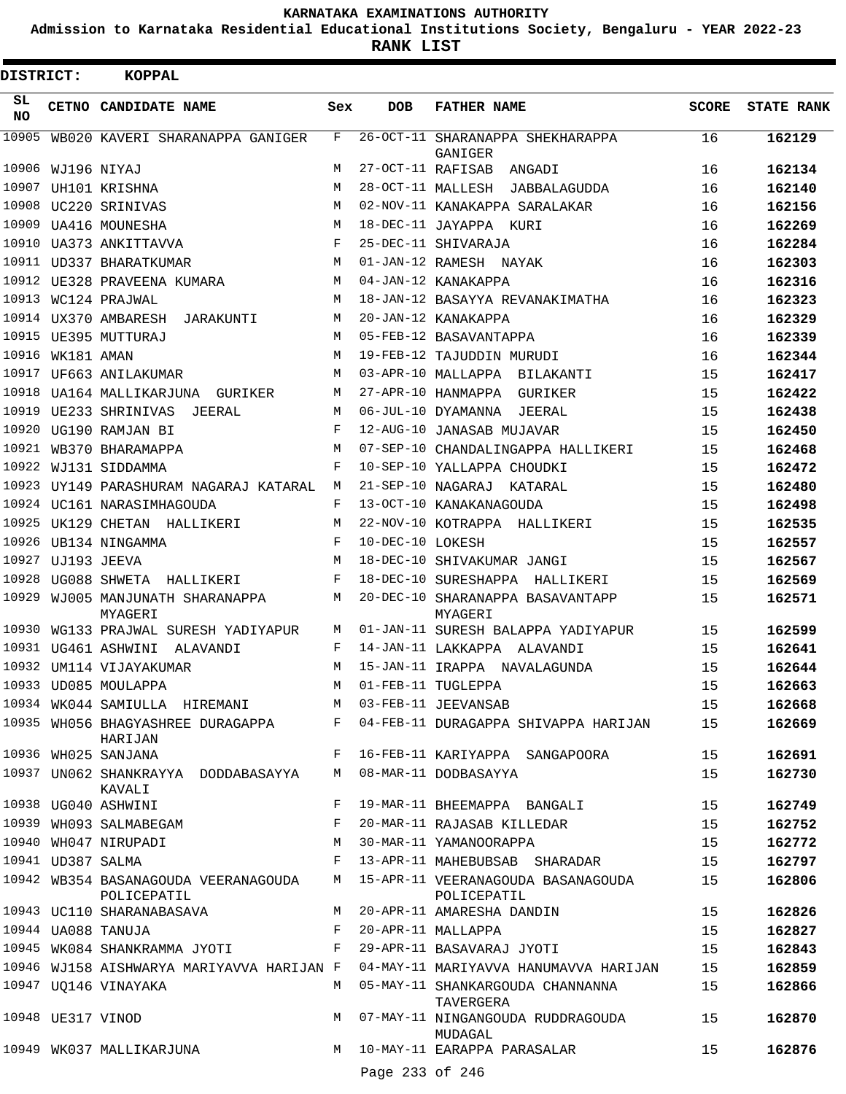**Admission to Karnataka Residential Educational Institutions Society, Bengaluru - YEAR 2022-23**

| <b>DISTRICT:</b> |                   | <b>KOPPAL</b>                                       |     |                   |                                                     |              |                   |
|------------------|-------------------|-----------------------------------------------------|-----|-------------------|-----------------------------------------------------|--------------|-------------------|
| SL<br><b>NO</b>  |                   | CETNO CANDIDATE NAME                                | Sex | <b>DOB</b>        | <b>FATHER NAME</b>                                  | <b>SCORE</b> | <b>STATE RANK</b> |
| 10905            |                   | WB020 KAVERI SHARANAPPA GANIGER                     | F   |                   | 26-OCT-11 SHARANAPPA SHEKHARAPPA<br>GANIGER         | 16           | 162129            |
| 10906            |                   | WJ196 NIYAJ                                         | М   | 27-OCT-11 RAFISAB | ANGADI                                              | 16           | 162134            |
| 10907            |                   | UH101 KRISHNA                                       | M   | 28-OCT-11 MALLESH | JABBALAGUDDA                                        | 16           | 162140            |
| 10908            |                   | UC220 SRINIVAS                                      | M   |                   | 02-NOV-11 KANAKAPPA SARALAKAR                       | 16           | 162156            |
| 10909            |                   | <b>UA416 MOUNESHA</b>                               | M   |                   | 18-DEC-11 JAYAPPA<br>KURI                           | 16           | 162269            |
| 10910            |                   | UA373 ANKITTAVVA                                    | F   |                   | 25-DEC-11 SHIVARAJA                                 | 16           | 162284            |
|                  |                   | 10911 UD337 BHARATKUMAR                             | M   |                   | 01-JAN-12 RAMESH NAYAK                              | 16           | 162303            |
| 10912            |                   | UE328 PRAVEENA KUMARA                               | M   |                   | 04-JAN-12 KANAKAPPA                                 | 16           | 162316            |
| 10913            |                   | WC124 PRAJWAL                                       | M   |                   | 18-JAN-12 BASAYYA REVANAKIMATHA                     | 16           | 162323            |
|                  |                   | 10914 UX370 AMBARESH<br>JARAKUNTI                   | M   |                   | 20-JAN-12 KANAKAPPA                                 | 16           | 162329            |
| 10915            |                   | UE395 MUTTURAJ                                      | M   |                   | 05-FEB-12 BASAVANTAPPA                              | 16           | 162339            |
| 10916            | WK181 AMAN        |                                                     | M   |                   | 19-FEB-12 TAJUDDIN MURUDI                           | 16           | 162344            |
| 10917            |                   | UF663 ANILAKUMAR                                    | M   |                   | 03-APR-10 MALLAPPA BILAKANTI                        | 15           | 162417            |
| 10918            |                   | UA164 MALLIKARJUNA GURIKER                          | M   |                   | 27-APR-10 HANMAPPA<br>GURIKER                       | 15           | 162422            |
| 10919            |                   | UE233 SHRINIVAS<br>JEERAL                           | M   |                   | 06-JUL-10 DYAMANNA<br>JEERAL                        | 15           | 162438            |
| 10920            |                   | UG190 RAMJAN BI                                     | F   |                   | 12-AUG-10 JANASAB MUJAVAR                           | 15           | 162450            |
| 10921            |                   | WB370 BHARAMAPPA                                    | M   |                   | 07-SEP-10 CHANDALINGAPPA HALLIKERI                  | 15           | 162468            |
| 10922            |                   | WJ131 SIDDAMMA                                      | F   |                   | 10-SEP-10 YALLAPPA CHOUDKI                          | 15           | 162472            |
| 10923            |                   | UY149 PARASHURAM NAGARAJ KATARAL                    | М   | 21-SEP-10 NAGARAJ | KATARAL                                             | 15           | 162480            |
|                  |                   | 10924 UC161 NARASIMHAGOUDA                          | F   |                   | 13-OCT-10 KANAKANAGOUDA                             | 15           | 162498            |
| 10925            |                   | UK129 CHETAN HALLIKERI                              | M   |                   | 22-NOV-10 KOTRAPPA HALLIKERI                        | 15           | 162535            |
| 10926            |                   | UB134 NINGAMMA                                      | F   | 10-DEC-10 LOKESH  |                                                     | 15           | 162557            |
| 10927            |                   | UJ193 JEEVA                                         | M   |                   | 18-DEC-10 SHIVAKUMAR JANGI                          | 15           | 162567            |
| 10928            |                   | UG088 SHWETA HALLIKERI                              | F   |                   | 18-DEC-10 SURESHAPPA<br>HALLIKERI                   | 15           | 162569            |
| 10929            |                   | WJ005 MANJUNATH SHARANAPPA<br>MYAGERI               | М   |                   | 20-DEC-10 SHARANAPPA BASAVANTAPP<br>MYAGERI         | 15           | 162571            |
|                  |                   | 10930 WG133 PRAJWAL SURESH YADIYAPUR                | M   |                   | 01-JAN-11 SURESH BALAPPA YADIYAPUR                  | 15           | 162599            |
| 10931            |                   | UG461 ASHWINI<br>ALAVANDI                           | F   |                   | 14-JAN-11 LAKKAPPA ALAVANDI                         | 15           | 162641            |
|                  |                   | 10932 UM114 VIJAYAKUMAR                             | M   |                   | 15-JAN-11 IRAPPA NAVALAGUNDA                        | 15           | 162644            |
|                  |                   | 10933 UD085 MOULAPPA                                | M   |                   | 01-FEB-11 TUGLEPPA                                  | 15           | 162663            |
|                  |                   | 10934 WK044 SAMIULLA HIREMANI M 03-FEB-11 JEEVANSAB |     |                   |                                                     | 15           | 162668            |
|                  |                   | 10935 WH056 BHAGYASHREE DURAGAPPA F<br>HARIJAN      |     |                   | 04-FEB-11 DURAGAPPA SHIVAPPA HARIJAN                | 15           | 162669            |
|                  |                   | 10936 WH025 SANJANA                                 | F   |                   | 16-FEB-11 KARIYAPPA SANGAPOORA                      | 15           | 162691            |
|                  |                   | 10937 UN062 SHANKRAYYA DODDABASAYYA<br>KAVALI       | M   |                   | 08-MAR-11 DODBASAYYA                                | 15           | 162730            |
|                  |                   | 10938 UG040 ASHWINI                                 | F   |                   | 19-MAR-11 BHEEMAPPA BANGALI                         | 15           | 162749            |
|                  |                   | 10939 WH093 SALMABEGAM                              |     |                   | 20-MAR-11 RAJASAB KILLEDAR                          | 15           | 162752            |
|                  |                   | 10940 WH047 NIRUPADI                                | M   |                   | 30-MAR-11 YAMANOORAPPA                              | 15           | 162772            |
|                  | 10941 UD387 SALMA |                                                     | F   |                   | 13-APR-11 MAHEBUBSAB SHARADAR                       | 15           | 162797            |
|                  |                   | 10942 WB354 BASANAGOUDA VEERANAGOUDA<br>POLICEPATIL |     |                   | M 15-APR-11 VEERANAGOUDA BASANAGOUDA<br>POLICEPATIL | 15           | 162806            |
|                  |                   | 10943 UC110 SHARANABASAVA                           | M   |                   | 20-APR-11 AMARESHA DANDIN                           | 15           | 162826            |
|                  |                   | 10944 UA088 TANUJA                                  | F   |                   | 20-APR-11 MALLAPPA                                  | 15           | 162827            |
|                  |                   | 10945 WK084 SHANKRAMMA JYOTI                        | F   |                   | 29-APR-11 BASAVARAJ JYOTI                           | 15           | 162843            |
|                  |                   | 10946 WJ158 AISHWARYA MARIYAVVA HARIJAN F           |     |                   | 04-MAY-11 MARIYAVVA HANUMAVVA HARIJAN               | 15           | 162859            |
|                  |                   | 10947 UQ146 VINAYAKA                                | M   |                   | 05-MAY-11 SHANKARGOUDA CHANNANNA<br>TAVERGERA       | 15           | 162866            |
|                  | 10948 UE317 VINOD |                                                     | M   |                   | 07-MAY-11 NINGANGOUDA RUDDRAGOUDA<br>MUDAGAL        | 15           | 162870            |
|                  |                   | 10949 WK037 MALLIKARJUNA                            |     | Page 233 of 246   | M 10-MAY-11 EARAPPA PARASALAR                       | 15           | 162876            |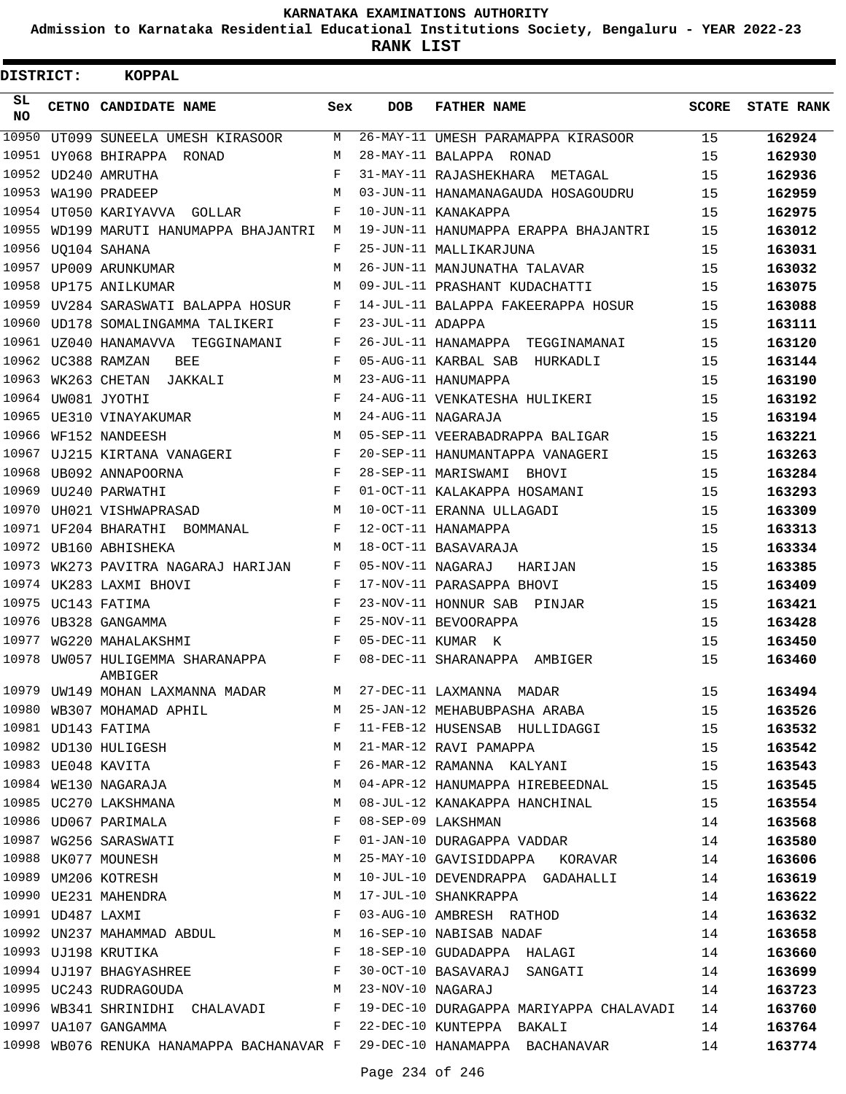**Admission to Karnataka Residential Educational Institutions Society, Bengaluru - YEAR 2022-23**

| DISTRICT: |                   | <b>KOPPAL</b>                                                     |     |                   |                                                                                                             |              |                   |
|-----------|-------------------|-------------------------------------------------------------------|-----|-------------------|-------------------------------------------------------------------------------------------------------------|--------------|-------------------|
| SL<br>NO. |                   | CETNO CANDIDATE NAME                                              | Sex | <b>DOB</b>        | <b>FATHER NAME</b>                                                                                          | <b>SCORE</b> | <b>STATE RANK</b> |
| 10950     |                   | UT099 SUNEELA UMESH KIRASOOR                                      | М   |                   | 26-MAY-11 UMESH PARAMAPPA KIRASOOR                                                                          | 15           | 162924            |
|           |                   | 10951 UY068 BHIRAPPA RONAD                                        | M   |                   | 28-MAY-11 BALAPPA RONAD                                                                                     | 15           | 162930            |
|           |                   | 10952 UD240 AMRUTHA                                               | F   |                   | 31-MAY-11 RAJASHEKHARA METAGAL                                                                              | 15           | 162936            |
|           |                   | 10953 WA190 PRADEEP                                               | M   |                   | 03-JUN-11 HANAMANAGAUDA HOSAGOUDRU                                                                          | 15           | 162959            |
|           |                   | 10954 UT050 KARIYAVVA GOLLAR                                      | F   |                   | 10-JUN-11 KANAKAPPA                                                                                         | 15           | 162975            |
|           |                   | 10955 WD199 MARUTI HANUMAPPA BHAJANTRI                            | М   |                   | 19-JUN-11 HANUMAPPA ERAPPA BHAJANTRI                                                                        | 15           | 163012            |
|           |                   | 10956 UQ104 SAHANA                                                | F   |                   | 25-JUN-11 MALLIKARJUNA                                                                                      | 15           | 163031            |
| 10957     |                   | UP009 ARUNKUMAR                                                   | М   |                   | 26-JUN-11 MANJUNATHA TALAVAR                                                                                | 15           | 163032            |
| 10958     |                   | UP175 ANILKUMAR                                                   | М   |                   | 09-JUL-11 PRASHANT KUDACHATTI                                                                               | 15           | 163075            |
| 10959     |                   | UV284 SARASWATI BALAPPA HOSUR                                     | F   |                   | 14-JUL-11 BALAPPA FAKEERAPPA HOSUR                                                                          | 15           | 163088            |
| 10960     |                   | UD178 SOMALINGAMMA TALIKERI                                       | F   | 23-JUL-11 ADAPPA  |                                                                                                             | 15           | 163111            |
|           |                   |                                                                   | F   |                   | 26-JUL-11 HANAMAPPA<br>TEGGINAMANAI                                                                         | 15           | 163120            |
|           |                   | 10962 UC388 RAMZAN<br>BEE                                         | F   |                   | 05-AUG-11 KARBAL SAB<br>HURKADLI                                                                            | 15           | 163144            |
|           |                   | 10963 WK263 CHETAN JAKKALI                                        | М   |                   | 23-AUG-11 HANUMAPPA                                                                                         | 15           | 163190            |
|           |                   | 10964 UW081 JYOTHI                                                | F   |                   | 24-AUG-11 VENKATESHA HULIKERI                                                                               | 15           | 163192            |
| 10965     |                   | UE310 VINAYAKUMAR                                                 | М   |                   | 24-AUG-11 NAGARAJA                                                                                          | 15           | 163194            |
| 10966     |                   | WF152 NANDEESH                                                    | М   |                   | 05-SEP-11 VEERABADRAPPA BALIGAR                                                                             | 15           | 163221            |
|           |                   | 10967 UJ215 KIRTANA VANAGERI                                      | F   |                   | 20-SEP-11 HANUMANTAPPA VANAGERI                                                                             | 15           | 163263            |
|           |                   | 10968 UB092 ANNAPOORNA                                            | F   |                   | 28-SEP-11 MARISWAMI BHOVI                                                                                   | 15           | 163284            |
|           |                   | 10969 UU240 PARWATHI                                              | F   |                   | 01-OCT-11 KALAKAPPA HOSAMANI                                                                                | 15           | 163293            |
|           |                   | 10970 UH021 VISHWAPRASAD                                          | М   |                   | 10-OCT-11 ERANNA ULLAGADI                                                                                   | 15           | 163309            |
|           |                   | 10971 UF204 BHARATHI BOMMANAL                                     | F   |                   | 12-OCT-11 HANAMAPPA                                                                                         | 15           | 163313            |
|           |                   | 10972 UB160 ABHISHEKA                                             | M   |                   | 18-OCT-11 BASAVARAJA                                                                                        | 15           | 163334            |
| 10973     |                   | WK273 PAVITRA NAGARAJ HARIJAN                                     | F   | 05-NOV-11 NAGARAJ | HARIJAN                                                                                                     | 15           | 163385            |
|           |                   | 10974 UK283 LAXMI BHOVI                                           | F   |                   | 17-NOV-11 PARASAPPA BHOVI                                                                                   | 15           | 163409            |
|           |                   | 10975 UC143 FATIMA                                                | F   |                   | 23-NOV-11 HONNUR SAB PINJAR                                                                                 | 15           | 163421            |
|           |                   | 10976 UB328 GANGAMMA                                              | F   |                   | 25-NOV-11 BEVOORAPPA                                                                                        | 15           | 163428            |
| 10977     |                   | WG220 MAHALAKSHMI                                                 | F   |                   | 05-DEC-11 KUMAR K                                                                                           | 15           | 163450            |
| 10978     |                   | UW057 HULIGEMMA SHARANAPPA<br>AMBIGER                             | F   |                   | 08-DEC-11 SHARANAPPA<br>AMBIGER                                                                             | 15           | 163460            |
|           |                   | 10979 UW149 MOHAN LAXMANNA MADAR                                  | M   |                   | 27-DEC-11 LAXMANNA MADAR                                                                                    | 15           | 163494            |
|           |                   | 10980 WB307 MOHAMAD APHIL                                         | M   |                   | 25-JAN-12 MEHABUBPASHA ARABA                                                                                | 15           | 163526            |
|           |                   | 10981 UD143 FATIMA<br>10982 UD130 HULIGESH                        | F   |                   | 11-FEB-12 HUSENSAB HULLIDAGGI                                                                               | 15           | 163532            |
|           |                   |                                                                   | М   |                   | 21-MAR-12 RAVI PAMAPPA                                                                                      | 15           | 163542            |
|           |                   | 10983 UE048 KAVITA                                                | F   |                   | 26-MAR-12 RAMANNA KALYANI                                                                                   | 15           | 163543            |
|           |                   | 10984 WE130 NAGARAJA                                              | M   |                   | 04-APR-12 HANUMAPPA HIREBEEDNAL                                                                             | 15           | 163545            |
|           |                   | 10985 UC270 LAKSHMANA                                             | M   |                   | 08-JUL-12 KANAKAPPA HANCHINAL                                                                               | 15           | 163554            |
|           |                   | 10986 UD067 PARIMALA                                              | F   |                   | 08-SEP-09 LAKSHMAN                                                                                          | 14           | 163568            |
|           |                   | 10987 WG256 SARASWATI                                             | F   |                   | 01-JAN-10 DURAGAPPA VADDAR                                                                                  | 14           | 163580            |
|           |                   | 10988 UK077 MOUNESH                                               | М   |                   | 25-MAY-10 GAVISIDDAPPA KORAVAR                                                                              | 14           | 163606            |
|           |                   | 10989 UM206 KOTRESH                                               | М   |                   | 10-JUL-10 DEVENDRAPPA GADAHALLI                                                                             | 14           | 163619            |
|           |                   | 10990 UE231 MAHENDRA<br>10990 UE231 MAHENDRA<br>10991 UD487 LAXMI | М   |                   | 17-JUL-10 SHANKRAPPA                                                                                        | 14           | 163622            |
|           | 10991 UD487 LAXMI |                                                                   | F   |                   | 03-AUG-10 AMBRESH RATHOD                                                                                    | 14           | 163632            |
|           |                   |                                                                   |     |                   | 10992 UN237 MAHAMMAD ABDUL M 16-SEP-10 NABISAB NADAF                                                        | 14           | 163658            |
|           |                   |                                                                   |     |                   | 10993 UJ198 KRUTIKA<br>10994 UJ197 BHAGYASHREE THE SEP-10 GUDADAPPA HALAGI<br>F 30-OCT-10 BASAVARAJ SANGATI | 14           | 163660            |
|           |                   |                                                                   |     |                   | 30-OCT-10 BASAVARAJ SANGATI                                                                                 | 14           | 163699            |
|           |                   | 10995 UC243 RUDRAGOUDA M                                          |     |                   | 23-NOV-10 NAGARAJ                                                                                           | 14           | 163723            |
|           |                   |                                                                   |     |                   | 10996 WB341 SHRINIDHI CHALAVADI F 19-DEC-10 DURAGAPPA MARIYAPPA CHALAVADI                                   | 14           | 163760            |
|           |                   | 10997 UA107 GANGAMMA                                              |     |                   | F 22-DEC-10 KUNTEPPA BAKALI                                                                                 | 14           | 163764            |
|           |                   |                                                                   |     |                   | 10998 WB076 RENUKA HANAMAPPA BACHANAVAR F 29-DEC-10 HANAMAPPA BACHANAVAR                                    | 14           | 163774            |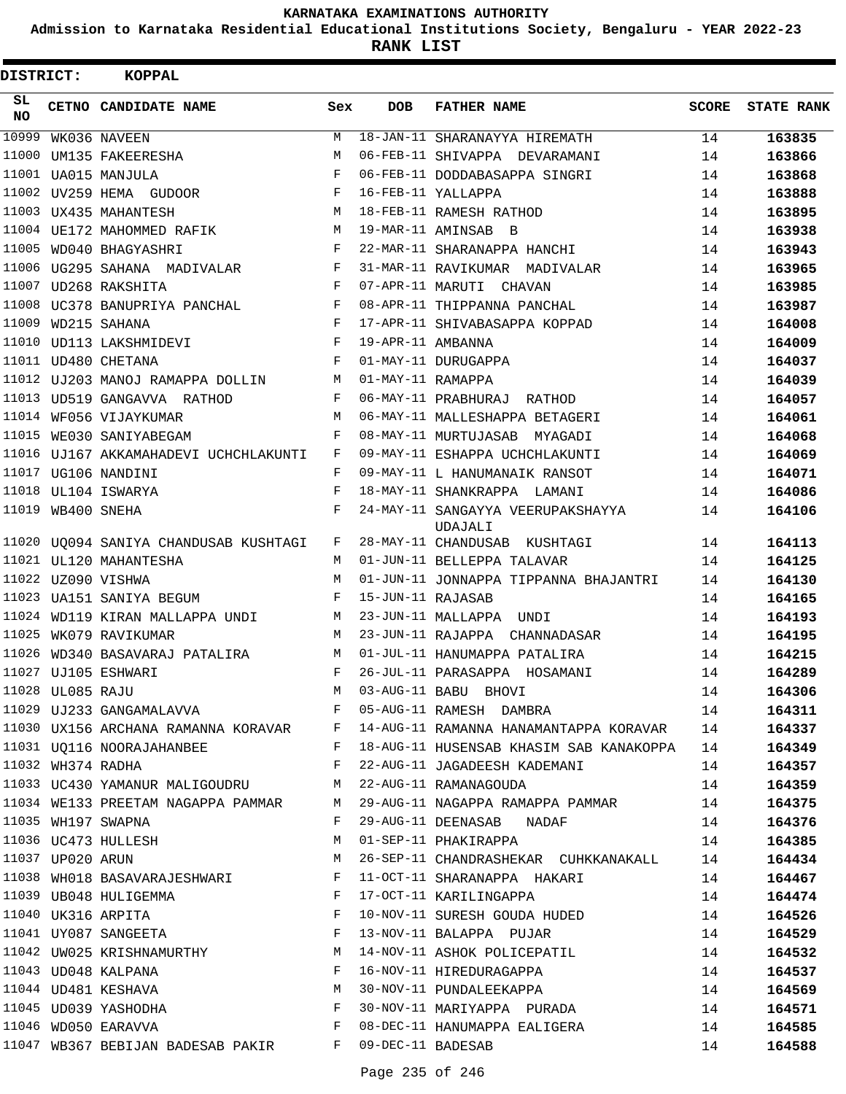**Admission to Karnataka Residential Educational Institutions Society, Bengaluru - YEAR 2022-23**

| DISTRICT:       |                   | <b>KOPPAL</b>                                          |              |                   |                                                                                                                                                                                                                 |       |                   |
|-----------------|-------------------|--------------------------------------------------------|--------------|-------------------|-----------------------------------------------------------------------------------------------------------------------------------------------------------------------------------------------------------------|-------|-------------------|
| SL<br><b>NO</b> |                   | CETNO CANDIDATE NAME                                   | Sex          | DOB               | <b>FATHER NAME</b>                                                                                                                                                                                              | SCORE | <b>STATE RANK</b> |
| 10999           |                   | WK036 NAVEEN                                           | M            |                   | 18-JAN-11 SHARANAYYA HIREMATH                                                                                                                                                                                   | 14    | 163835            |
| 11000           |                   | UM135 FAKEERESHA                                       | M            |                   | 06-FEB-11 SHIVAPPA DEVARAMANI                                                                                                                                                                                   | 14    | 163866            |
|                 |                   | 11001 UA015 MANJULA                                    | F            |                   | 06-FEB-11 DODDABASAPPA SINGRI                                                                                                                                                                                   | 14    | 163868            |
|                 |                   | 11002 UV259 HEMA GUDOOR                                | F            |                   | 16-FEB-11 YALLAPPA                                                                                                                                                                                              | 14    | 163888            |
|                 |                   | 11003 UX435 MAHANTESH                                  | М            |                   | 18-FEB-11 RAMESH RATHOD                                                                                                                                                                                         | 14    | 163895            |
|                 |                   | 11004 UE172 MAHOMMED RAFIK                             | М            |                   | 19-MAR-11 AMINSAB B                                                                                                                                                                                             | 14    | 163938            |
|                 |                   | 11005 WD040 BHAGYASHRI                                 | F            |                   | 22-MAR-11 SHARANAPPA HANCHI                                                                                                                                                                                     | 14    | 163943            |
|                 |                   | 11006 UG295 SAHANA MADIVALAR                           | F            |                   | 31-MAR-11 RAVIKUMAR MADIVALAR                                                                                                                                                                                   | 14    | 163965            |
|                 |                   | 11007 UD268 RAKSHITA                                   | F            |                   | 07-APR-11 MARUTI CHAVAN                                                                                                                                                                                         | 14    | 163985            |
|                 |                   | 11008 UC378 BANUPRIYA PANCHAL F                        |              |                   | 08-APR-11 THIPPANNA PANCHAL                                                                                                                                                                                     | 14    | 163987            |
|                 |                   | 11009 WD215 SAHANA                                     | $\mathbf{F}$ |                   | 17-APR-11 SHIVABASAPPA KOPPAD                                                                                                                                                                                   | 14    | 164008            |
|                 |                   | 11010 UD113 LAKSHMIDEVI                                | F            | 19-APR-11 AMBANNA |                                                                                                                                                                                                                 | 14    | 164009            |
|                 |                   | 11011 UD480 CHETANA                                    | F            |                   | 01-MAY-11 DURUGAPPA                                                                                                                                                                                             | 14    | 164037            |
|                 |                   | 11012 UJ203 MANOJ RAMAPPA DOLLIN                       | M            | 01-MAY-11 RAMAPPA |                                                                                                                                                                                                                 | 14    | 164039            |
|                 |                   | 11013 UD519 GANGAVVA RATHOD                            | F            |                   | 06-MAY-11 PRABHURAJ RATHOD                                                                                                                                                                                      | 14    | 164057            |
|                 |                   | 11014 WF056 VIJAYKUMAR                                 | M            |                   | 06-MAY-11 MALLESHAPPA BETAGERI                                                                                                                                                                                  | 14    | 164061            |
| 11015           |                   | WE030 SANIYABEGAM                                      | F            |                   | 08-MAY-11 MURTUJASAB MYAGADI                                                                                                                                                                                    | 14    | 164068            |
|                 |                   | 11016 UJ167 AKKAMAHADEVI UCHCHLAKUNTI                  | F            |                   | 09-MAY-11 ESHAPPA UCHCHLAKUNTI                                                                                                                                                                                  | 14    | 164069            |
|                 |                   | 11017 UG106 NANDINI                                    | F            |                   | 09-MAY-11 L HANUMANAIK RANSOT                                                                                                                                                                                   | 14    | 164071            |
|                 |                   | 11018 UL104 ISWARYA                                    | F            |                   | 18-MAY-11 SHANKRAPPA LAMANI                                                                                                                                                                                     | 14    | 164086            |
|                 | 11019 WB400 SNEHA |                                                        | F            |                   | 24-MAY-11 SANGAYYA VEERUPAKSHAYYA<br>UDAJALI                                                                                                                                                                    | 14    | 164106            |
|                 |                   | 11020 UQ094 SANIYA CHANDUSAB KUSHTAGI                  | F            |                   | 28-MAY-11 CHANDUSAB KUSHTAGI                                                                                                                                                                                    | 14    | 164113            |
|                 |                   | 11021 UL120 MAHANTESHA                                 | M            |                   | 01-JUN-11 BELLEPPA TALAVAR                                                                                                                                                                                      | 14    | 164125            |
|                 |                   | 11022 UZ090 VISHWA                                     | M            |                   | 01-JUN-11 JONNAPPA TIPPANNA BHAJANTRI                                                                                                                                                                           | 14    | 164130            |
|                 |                   | 11023 UA151 SANIYA BEGUM                               | F            | 15-JUN-11 RAJASAB |                                                                                                                                                                                                                 | 14    | 164165            |
|                 |                   | 11024 WD119 KIRAN MALLAPPA UNDI                        | M            |                   | 23-JUN-11 MALLAPPA UNDI                                                                                                                                                                                         | 14    | 164193            |
|                 |                   | 11025 WK079 RAVIKUMAR                                  | M            |                   | 23-JUN-11 RAJAPPA CHANNADASAR                                                                                                                                                                                   | 14    | 164195            |
|                 |                   | 11026 WD340 BASAVARAJ PATALIRA                         | M            |                   | 01-JUL-11 HANUMAPPA PATALIRA                                                                                                                                                                                    | 14    | 164215            |
|                 |                   | 11027 UJ105 ESHWARI                                    | F            |                   | 26-JUL-11 PARASAPPA HOSAMANI                                                                                                                                                                                    | 14    | 164289            |
|                 | 11028 UL085 RAJU  | M 03-AUG-11 BABU BHOVI                                 |              |                   |                                                                                                                                                                                                                 | 14    | 164306            |
|                 |                   |                                                        |              |                   | 11029 UJ233 GANGAMALAVVA<br>F 05-AUG-11 RAMESH DAMBRA                                                                                                                                                           |       | 164311            |
|                 |                   |                                                        |              |                   | 11030 UX156 ARCHANA RAMANNA KORAVAR F 14-AUG-11 RAMANNA HANAMANTAPPA KORAVAR 14                                                                                                                                 |       | 164337            |
|                 |                   |                                                        |              |                   | 11031 UQ116 NOORAJAHANBEE F 18-AUG-11 HUSENSAB KHASIM SAB KANAKOPPA 14                                                                                                                                          |       | 164349            |
|                 |                   | 11032 WH374 RADHA                                      |              |                   | F 22-AUG-11 JAGADEESH KADEMANI 14                                                                                                                                                                               |       | 164357            |
|                 |                   | 11033 UC430 YAMANUR MALIGOUDRU M 22-AUG-11 RAMANAGOUDA |              |                   | 14                                                                                                                                                                                                              |       | 164359            |
|                 |                   |                                                        |              |                   | 11034 WE133 PREETAM NAGAPPA PAMMAR M 29-AUG-11 NAGAPPA RAMAPPA PAMMAR 14                                                                                                                                        |       | 164375            |
|                 |                   | 11035 WH197 SWAPNA                                     |              |                   | F 29-AUG-11 DEENASAB NADAF 14                                                                                                                                                                                   |       | 164376            |
|                 |                   |                                                        |              |                   | 11036 UC473 HULLESH M 01-SEP-11 PHAKIRAPPA 14                                                                                                                                                                   |       | 164385            |
|                 |                   | 11037 UP020 ARUN<br><b>M</b>                           |              |                   | 26-SEP-11 CHANDRASHEKAR CUHKKANAKALL 14                                                                                                                                                                         |       | 164434            |
|                 |                   |                                                        |              |                   | 11038 WH018 BASAVARAJESHWARI F 11-OCT-11 SHARANAPPA HAKARI                                                                                                                                                      | 14    | 164467            |
|                 |                   |                                                        |              |                   | 11039 UB048 HULIGEMMA<br>11040 UK316 ARPITA 14<br>11040 UK316 ARPITA 14 F 10-NOV-11 SURESH GOUDA HUDED 14                                                                                                       |       | 164474            |
|                 |                   |                                                        |              |                   |                                                                                                                                                                                                                 |       | 164526            |
|                 |                   |                                                        |              |                   | 11041 UY087 SANGEETA THE RESERVE RESERVED BALAPPA PUJAR PUJAR                                                                                                                                                   |       | 164529            |
|                 |                   |                                                        |              |                   | 11042 UW025 KRISHNAMURTHY M 14-NOV-11 ASHOK POLICEPATIL                                                                                                                                                         | 14    | 164532            |
|                 |                   |                                                        |              |                   |                                                                                                                                                                                                                 |       | 164537            |
|                 |                   |                                                        |              |                   | $\begin{array}{cccccccccc} 11043 & \text{UD048 KALPANA} & & & & \text{F} & 16-NOV-11 HIREDURAGAPPA & & & & 14 \\ 11044 & \text{UD481 KESHAVA & & & & \text{M} & 30-NOV-11 PUNDALEEKAPPA & & & & 14 \end{array}$ |       | 164569            |
|                 |                   | 11045 UD039 YASHODHA F                                 |              |                   | 30-NOV-11 MARIYAPPA PURADA 14                                                                                                                                                                                   |       | 164571            |
|                 |                   | 11046 WD050 EARAVVA F                                  |              |                   | 08-DEC-11 HANUMAPPA EALIGERA                                                                                                                                                                                    | 14    | 164585            |
|                 |                   | 11047 WB367 BEBIJAN BADESAB PAKIR F 09-DEC-11 BADESAB  |              |                   |                                                                                                                                                                                                                 | 14    | 164588            |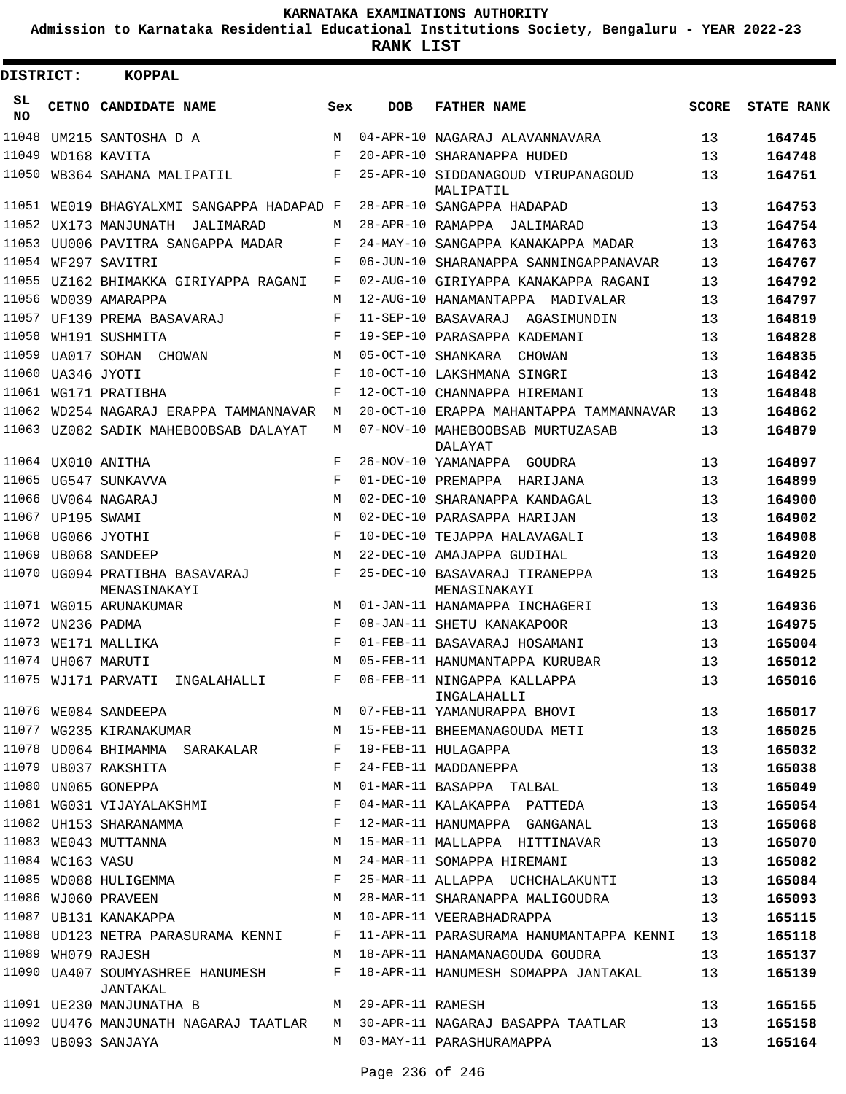**Admission to Karnataka Residential Educational Institutions Society, Bengaluru - YEAR 2022-23**

**RANK LIST**

| <b>DISTRICT:</b> |                   | KOPPAL                                         |     |                  |                                                    |              |                   |
|------------------|-------------------|------------------------------------------------|-----|------------------|----------------------------------------------------|--------------|-------------------|
| SL<br>NO.        |                   | CETNO CANDIDATE NAME                           | Sex | <b>DOB</b>       | <b>FATHER NAME</b>                                 | <b>SCORE</b> | <b>STATE RANK</b> |
| 11048            |                   | UM215 SANTOSHA D A                             | М   |                  | 04-APR-10 NAGARAJ ALAVANNAVARA                     | 13           | 164745            |
| 11049            |                   | WD168 KAVITA                                   | F   |                  | 20-APR-10 SHARANAPPA HUDED                         | 13           | 164748            |
|                  |                   | 11050 WB364 SAHANA MALIPATIL                   | F   |                  | 25-APR-10 SIDDANAGOUD VIRUPANAGOUD<br>MALIPATIL    | 13           | 164751            |
|                  |                   | 11051 WE019 BHAGYALXMI SANGAPPA HADAPAD F      |     |                  | 28-APR-10 SANGAPPA HADAPAD                         | 13           | 164753            |
|                  |                   | 11052 UX173 MANJUNATH<br>JALIMARAD             | М   |                  | 28-APR-10 RAMAPPA JALIMARAD                        | 13           | 164754            |
|                  |                   | 11053 UU006 PAVITRA SANGAPPA MADAR             | F   |                  | 24-MAY-10 SANGAPPA KANAKAPPA MADAR                 | 13           | 164763            |
|                  |                   | 11054 WF297 SAVITRI                            | F   |                  | 06-JUN-10 SHARANAPPA SANNINGAPPANAVAR              | 13           | 164767            |
|                  |                   | 11055 UZ162 BHIMAKKA GIRIYAPPA RAGANI          | F   |                  | 02-AUG-10 GIRIYAPPA KANAKAPPA RAGANI               | 13           | 164792            |
|                  |                   | 11056 WD039 AMARAPPA                           | М   |                  | 12-AUG-10 HANAMANTAPPA MADIVALAR                   | 13           | 164797            |
| 11057            |                   | UF139 PREMA BASAVARAJ                          | F   |                  | 11-SEP-10 BASAVARAJ AGASIMUNDIN                    | 13           | 164819            |
|                  |                   | 11058 WH191 SUSHMITA                           | F   |                  | 19-SEP-10 PARASAPPA KADEMANI                       | 13           | 164828            |
|                  | 11059 UA017 SOHAN | CHOWAN                                         | M   |                  | 05-OCT-10 SHANKARA CHOWAN                          | 13           | 164835            |
|                  | 11060 UA346 JYOTI |                                                | F   |                  | 10-OCT-10 LAKSHMANA SINGRI                         | 13           | 164842            |
|                  |                   | 11061 WG171 PRATIBHA                           | F   |                  | 12-OCT-10 CHANNAPPA HIREMANI                       | 13           | 164848            |
|                  |                   | 11062 WD254 NAGARAJ ERAPPA TAMMANNAVAR         | М   |                  | 20-OCT-10 ERAPPA MAHANTAPPA TAMMANNAVAR            | 13           | 164862            |
|                  |                   | 11063 UZ082 SADIK MAHEBOOBSAB DALAYAT          | М   |                  | 07-NOV-10 MAHEBOOBSAB MURTUZASAB<br><b>DALAYAT</b> | 13           | 164879            |
|                  |                   | 11064 UX010 ANITHA                             | F   |                  | 26-NOV-10 YAMANAPPA GOUDRA                         | 13           | 164897            |
|                  |                   | 11065 UG547 SUNKAVVA                           | F   |                  | 01-DEC-10 PREMAPPA HARIJANA                        | 13           | 164899            |
|                  |                   | 11066 UV064 NAGARAJ                            | M   |                  | 02-DEC-10 SHARANAPPA KANDAGAL                      | 13           | 164900            |
|                  | 11067 UP195 SWAMI |                                                | M   |                  | 02-DEC-10 PARASAPPA HARIJAN                        | 13           | 164902            |
|                  |                   | 11068 UG066 JYOTHI                             | F   |                  | 10-DEC-10 TEJAPPA HALAVAGALI                       | 13           | 164908            |
|                  |                   | 11069 UB068 SANDEEP                            | M   |                  | 22-DEC-10 AMAJAPPA GUDIHAL                         | 13           | 164920            |
|                  |                   | 11070 UG094 PRATIBHA BASAVARAJ<br>MENASINAKAYI | F   |                  | 25-DEC-10 BASAVARAJ TIRANEPPA<br>MENASINAKAYI      | 13           | 164925            |
|                  |                   | 11071 WG015 ARUNAKUMAR                         | M   |                  | 01-JAN-11 HANAMAPPA INCHAGERI                      | 13           | 164936            |
|                  | 11072 UN236 PADMA |                                                | F   |                  | 08-JAN-11 SHETU KANAKAPOOR                         | 13           | 164975            |
|                  |                   | 11073 WE171 MALLIKA                            | F   |                  | 01-FEB-11 BASAVARAJ HOSAMANI                       | 13           | 165004            |
|                  |                   | 11074 UH067 MARUTI                             | M   |                  | 05-FEB-11 HANUMANTAPPA KURUBAR                     | 13           | 165012            |
|                  |                   | 11075 WJ171 PARVATI<br>INGALAHALLI             | F   |                  | 06-FEB-11 NINGAPPA KALLAPPA<br>INGALAHALLI         | 13           | 165016            |
|                  |                   | 11076 WE084 SANDEEPA                           | M   |                  | 07-FEB-11 YAMANURAPPA BHOVI                        | 13           | 165017            |
|                  |                   | 11077 WG235 KIRANAKUMAR                        | М   |                  | 15-FEB-11 BHEEMANAGOUDA METI                       | 13           | 165025            |
|                  |                   | 11078 UD064 BHIMAMMA SARAKALAR                 | F   |                  | 19-FEB-11 HULAGAPPA                                | 13           | 165032            |
|                  |                   | 11079 UB037 RAKSHITA                           | F   |                  | 24-FEB-11 MADDANEPPA                               | 13           | 165038            |
|                  |                   | 11080 UN065 GONEPPA                            | М   |                  | 01-MAR-11 BASAPPA TALBAL                           | 13           | 165049            |
|                  |                   | 11081 WG031 VIJAYALAKSHMI                      | F   |                  | 04-MAR-11 KALAKAPPA PATTEDA                        | 13           | 165054            |
|                  |                   | 11082 UH153 SHARANAMMA                         | F   |                  | 12-MAR-11 HANUMAPPA GANGANAL                       | 13           | 165068            |
|                  |                   | 11083 WE043 MUTTANNA                           | М   |                  | 15-MAR-11 MALLAPPA HITTINAVAR                      | 13           | 165070            |
|                  | 11084 WC163 VASU  |                                                | М   |                  | 24-MAR-11 SOMAPPA HIREMANI                         | 13           | 165082            |
|                  |                   | 11085 WD088 HULIGEMMA                          | F   |                  | 25-MAR-11 ALLAPPA UCHCHALAKUNTI                    | 13           | 165084            |
|                  |                   | 11086 WJ060 PRAVEEN                            | М   |                  | 28-MAR-11 SHARANAPPA MALIGOUDRA                    | 13           | 165093            |
|                  |                   | 11087 UB131 KANAKAPPA                          | М   |                  | 10-APR-11 VEERABHADRAPPA                           | 13           | 165115            |
|                  |                   | 11088 UD123 NETRA PARASURAMA KENNI             | F   |                  | 11-APR-11 PARASURAMA HANUMANTAPPA KENNI            | 13           | 165118            |
|                  |                   | 11089 WH079 RAJESH                             | М   |                  | 18-APR-11 HANAMANAGOUDA GOUDRA                     | 13           | 165137            |
|                  |                   | 11090 UA407 SOUMYASHREE HANUMESH<br>JANTAKAL   | F   |                  | 18-APR-11 HANUMESH SOMAPPA JANTAKAL                | 13           | 165139            |
|                  |                   | 11091 UE230 MANJUNATHA B                       | M   | 29-APR-11 RAMESH |                                                    | 13           | 165155            |
|                  |                   | 11092 UU476 MANJUNATH NAGARAJ TAATLAR          |     |                  | M 30-APR-11 NAGARAJ BASAPPA TAATLAR                | 13           | 165158            |
|                  |                   | 11093 UB093 SANJAYA                            |     |                  | M 03-MAY-11 PARASHURAMAPPA                         | 13           | 165164            |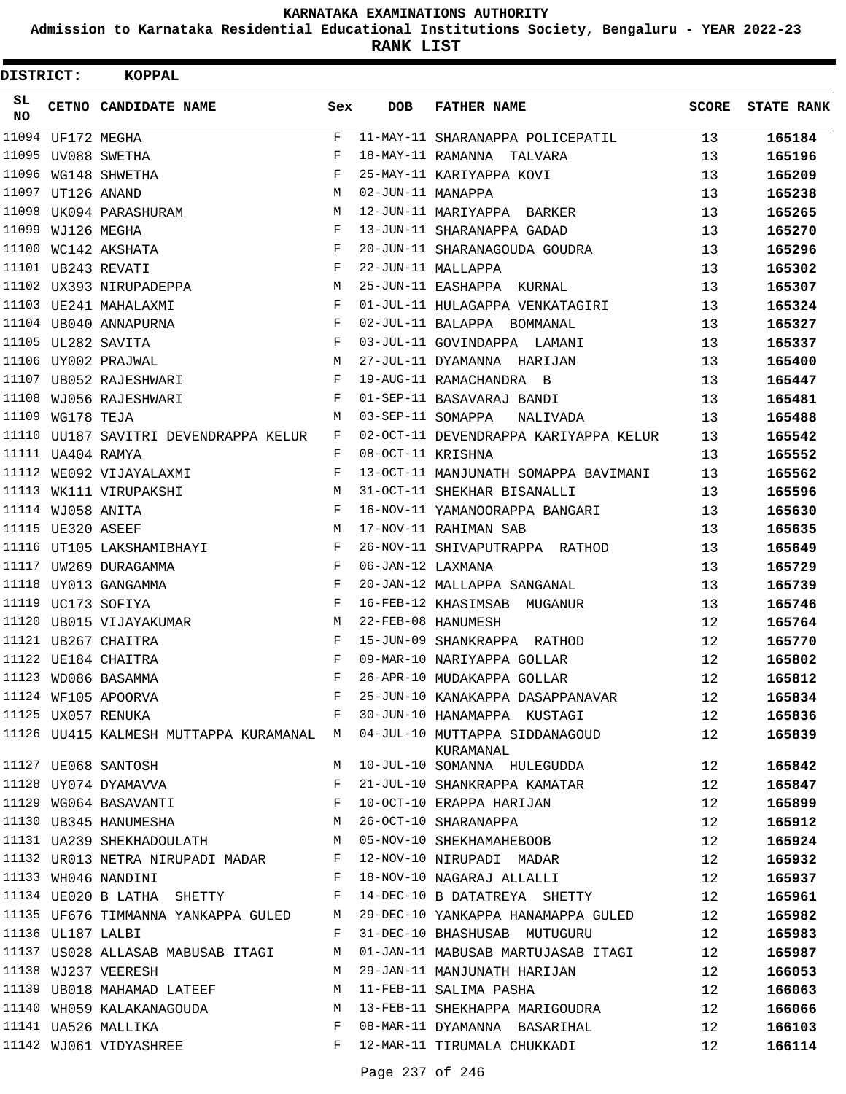**Admission to Karnataka Residential Educational Institutions Society, Bengaluru - YEAR 2022-23**

| DISTRICT:  |                   | KOPPAL                                       |     |                   |                                                                                      |                 |                   |
|------------|-------------------|----------------------------------------------|-----|-------------------|--------------------------------------------------------------------------------------|-----------------|-------------------|
| SL.<br>NO. |                   | CETNO CANDIDATE NAME                         | Sex | <b>DOB</b>        | <b>FATHER NAME</b>                                                                   | SCORE           | <b>STATE RANK</b> |
|            | 11094 UF172 MEGHA |                                              | F   |                   | 11-MAY-11 SHARANAPPA POLICEPATIL                                                     | 13              | 165184            |
|            |                   | 11095 UV088 SWETHA                           | F   |                   | 18-MAY-11 RAMANNA TALVARA                                                            | 13              | 165196            |
|            |                   | 11096 WG148 SHWETHA                          | F   |                   | 25-MAY-11 KARIYAPPA KOVI                                                             | 13              | 165209            |
|            | 11097 UT126 ANAND |                                              | M   | 02-JUN-11 MANAPPA |                                                                                      | 13              | 165238            |
|            |                   | 11098 UK094 PARASHURAM                       | M   |                   | 12-JUN-11 MARIYAPPA BARKER                                                           | 13              | 165265            |
|            | 11099 WJ126 MEGHA |                                              | F   |                   | 13-JUN-11 SHARANAPPA GADAD                                                           | 13              | 165270            |
|            |                   | 11100 WC142 AKSHATA                          | F   |                   | 20-JUN-11 SHARANAGOUDA GOUDRA                                                        | 13              | 165296            |
|            |                   | 11101 UB243 REVATI                           | F   |                   | 22-JUN-11 MALLAPPA                                                                   | 13              | 165302            |
|            |                   | 11102 UX393 NIRUPADEPPA                      | М   |                   | 25-JUN-11 EASHAPPA KURNAL                                                            | 13              | 165307            |
|            |                   | 11103 UE241 MAHALAXMI                        | F   |                   | 01-JUL-11 HULAGAPPA VENKATAGIRI                                                      | 13              | 165324            |
|            |                   | 11104 UB040 ANNAPURNA                        | F   |                   | 02-JUL-11 BALAPPA BOMMANAL                                                           | 13              | 165327            |
|            |                   | 11105 UL282 SAVITA                           | F   |                   | 03-JUL-11 GOVINDAPPA LAMANI                                                          | 13 <sup>°</sup> | 165337            |
|            |                   | 11106 UY002 PRAJWAL                          | M   |                   | 27-JUL-11 DYAMANNA HARIJAN                                                           | 13              | 165400            |
|            |                   | 11107 UB052 RAJESHWARI                       | F   |                   | 19-AUG-11 RAMACHANDRA B                                                              | 13              | 165447            |
|            |                   | 11108 WJ056 RAJESHWARI                       | F   |                   | 01-SEP-11 BASAVARAJ BANDI                                                            | 13              | 165481            |
|            | 11109 WG178 TEJA  |                                              | M   |                   | 03-SEP-11 SOMAPPA<br>NALIVADA                                                        | 13              | 165488            |
|            |                   | 11110 UU187 SAVITRI DEVENDRAPPA KELUR        | F   |                   | 02-OCT-11 DEVENDRAPPA KARIYAPPA KELUR                                                | 13              | 165542            |
|            | 11111 UA404 RAMYA |                                              | F   | 08-OCT-11 KRISHNA |                                                                                      | 13              | 165552            |
|            |                   | 11112 WE092 VIJAYALAXMI                      | F   |                   | 13-OCT-11 MANJUNATH SOMAPPA BAVIMANI                                                 | 13              | 165562            |
|            |                   | 11113 WK111 VIRUPAKSHI                       | М   |                   | 31-OCT-11 SHEKHAR BISANALLI                                                          | 13              | 165596            |
|            | 11114 WJ058 ANITA |                                              | F   |                   | 16-NOV-11 YAMANOORAPPA BANGARI                                                       | 13              | 165630            |
|            | 11115 UE320 ASEEF |                                              | M   |                   | 17-NOV-11 RAHIMAN SAB                                                                | 13              | 165635            |
|            |                   | 11116 UT105 LAKSHAMIBHAYI                    | F   |                   | 26-NOV-11 SHIVAPUTRAPPA RATHOD                                                       | 13              | 165649            |
|            |                   | 11117 UW269 DURAGAMMA                        | F   | 06-JAN-12 LAXMANA |                                                                                      | 13              | 165729            |
|            |                   | 11118 UY013 GANGAMMA                         | F   |                   | 20-JAN-12 MALLAPPA SANGANAL                                                          | 13              | 165739            |
|            |                   | 11119 UC173 SOFIYA                           | F   |                   | 16-FEB-12 KHASIMSAB MUGANUR                                                          | 13              | 165746            |
|            |                   | 11120 UB015 VIJAYAKUMAR                      | М   |                   | 22-FEB-08 HANUMESH                                                                   | 12              | 165764            |
|            |                   | 11121 UB267 CHAITRA                          | F   |                   | 15-JUN-09 SHANKRAPPA RATHOD                                                          | 12              | 165770            |
|            |                   | 11122 UE184 CHAITRA                          | F   |                   | 09-MAR-10 NARIYAPPA GOLLAR                                                           | 12              | 165802            |
|            |                   | 11123 WD086 BASAMMA                          | F   |                   | 26-APR-10 MUDAKAPPA GOLLAR                                                           | 12              | 165812            |
|            |                   | 11124 WF105 APOORVA                          | F   |                   | 25-JUN-10 KANAKAPPA DASAPPANAVAR                                                     | 12              | 165834            |
|            |                   | 11125 UX057 RENUKA                           | F   |                   | 30-JUN-10 HANAMAPPA KUSTAGI                                                          | 12              | 165836            |
|            |                   |                                              |     |                   | 11126 UU415 KALMESH MUTTAPPA KURAMANAL M 04-JUL-10 MUTTAPPA SIDDANAGOUD<br>KURAMANAL | 12              | 165839            |
|            |                   | 11127 UE068 SANTOSH                          | M   |                   | 10-JUL-10 SOMANNA HULEGUDDA                                                          | 12              | 165842            |
|            |                   | 11128 UY074 DYAMAVVA                         | F   |                   | 21-JUL-10 SHANKRAPPA KAMATAR                                                         | 12              | 165847            |
|            |                   | 11129 WG064 BASAVANTI F                      |     |                   | 10-OCT-10 ERAPPA HARIJAN                                                             | 12              | 165899            |
|            |                   | 11130 UB345 HANUMESHA M 26-OCT-10 SHARANAPPA |     |                   |                                                                                      | 12              | 165912            |
|            |                   | 11131 UA239 SHEKHADOULATH M                  |     |                   | 05-NOV-10 SHEKHAMAHEBOOB                                                             | 12              | 165924            |
|            |                   | 11132 UR013 NETRA NIRUPADI MADAR F           |     |                   | 12-NOV-10 NIRUPADI MADAR                                                             | 12              | 165932            |
|            |                   | 11133 WH046 NANDINI                          | F   |                   | 18-NOV-10 NAGARAJ ALLALLI                                                            | 12              | 165937            |
|            |                   | 11134 UE020 B LATHA SHETTY F                 |     |                   | 14-DEC-10 B DATATREYA SHETTY                                                         | 12              | 165961            |
|            |                   | 11135 UF676 TIMMANNA YANKAPPA GULED M        |     |                   | 29-DEC-10 YANKAPPA HANAMAPPA GULED 12                                                |                 | 165982            |
|            | 11136 UL187 LALBI |                                              | F   |                   | 31-DEC-10 BHASHUSAB MUTUGURU                                                         | 12              | 165983            |
|            |                   | 11137 US028 ALLASAB MABUSAB ITAGI M          |     |                   | 01-JAN-11 MABUSAB MARTUJASAB ITAGI                                                   | 12              | 165987            |
|            |                   | 11138 WJ237 VEERESH                          | М   |                   | 29-JAN-11 MANJUNATH HARIJAN                                                          | 12              | 166053            |
|            |                   | 11139 UB018 MAHAMAD LATEEF                   | М   |                   | 11-FEB-11 SALIMA PASHA                                                               | 12              | 166063            |
|            |                   | 11140 WH059 KALAKANAGOUDA                    | M   |                   | 13-FEB-11 SHEKHAPPA MARIGOUDRA                                                       | 12              | 166066            |
|            |                   | 11141 UA526 MALLIKA                          | F   |                   | 08-MAR-11 DYAMANNA BASARIHAL                                                         | 12              | 166103            |
|            |                   | 11142 WJ061 VIDYASHREE                       | F   |                   | 12-MAR-11 TIRUMALA CHUKKADI                                                          | 12              | 166114            |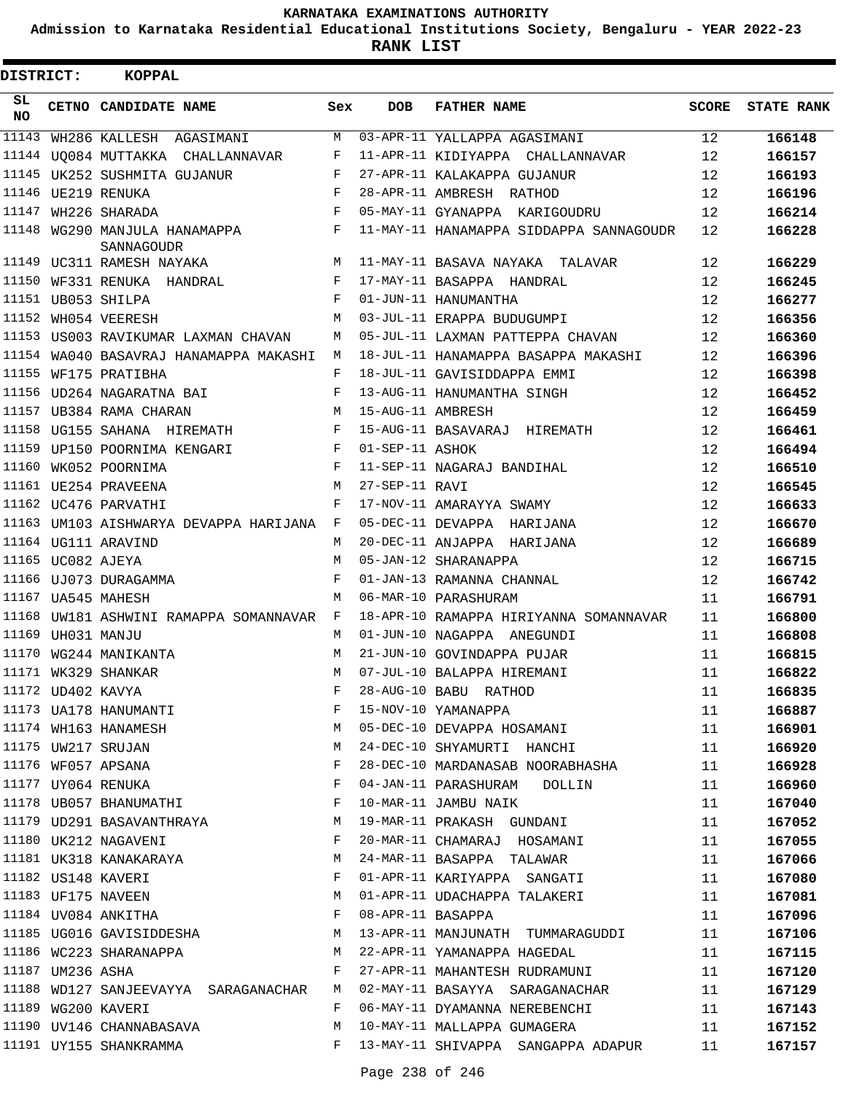**Admission to Karnataka Residential Educational Institutions Society, Bengaluru - YEAR 2022-23**

**RANK LIST**

| <b>DISTRICT:</b> |                   | KOPPAL                                      |              |                   |                                         |              |                   |
|------------------|-------------------|---------------------------------------------|--------------|-------------------|-----------------------------------------|--------------|-------------------|
| SL<br><b>NO</b>  |                   | CETNO CANDIDATE NAME                        | Sex          | <b>DOB</b>        | <b>FATHER NAME</b>                      | <b>SCORE</b> | <b>STATE RANK</b> |
| 11143            |                   | WH286 KALLESH AGASIMANI                     | М            |                   | 03-APR-11 YALLAPPA AGASIMANI            | 12           | 166148            |
|                  |                   | 11144 UQ084 MUTTAKKA CHALLANNAVAR           | F            |                   | 11-APR-11 KIDIYAPPA CHALLANNAVAR        | 12           | 166157            |
| 11145            |                   | UK252 SUSHMITA GUJANUR                      | F            |                   | 27-APR-11 KALAKAPPA GUJANUR             | 12           | 166193            |
|                  |                   | 11146 UE219 RENUKA                          | F            |                   | 28-APR-11 AMBRESH RATHOD                | 12           | 166196            |
| 11147            |                   | WH226 SHARADA                               | F            |                   | 05-MAY-11 GYANAPPA KARIGOUDRU           | 12           | 166214            |
|                  |                   | 11148 WG290 MANJULA HANAMAPPA<br>SANNAGOUDR | F            |                   | 11-MAY-11 HANAMAPPA SIDDAPPA SANNAGOUDR | 12           | 166228            |
|                  |                   | 11149 UC311 RAMESH NAYAKA                   | M            |                   | 11-MAY-11 BASAVA NAYAKA TALAVAR         | 12           | 166229            |
|                  |                   | 11150 WF331 RENUKA HANDRAL                  | F            |                   | 17-MAY-11 BASAPPA HANDRAL               | 12           | 166245            |
|                  |                   | 11151 UB053 SHILPA                          | F            |                   | 01-JUN-11 HANUMANTHA                    | 12           | 166277            |
|                  |                   | 11152 WH054 VEERESH                         | М            |                   | 03-JUL-11 ERAPPA BUDUGUMPI              | 12           | 166356            |
|                  |                   | 11153 US003 RAVIKUMAR LAXMAN CHAVAN         | М            |                   | 05-JUL-11 LAXMAN PATTEPPA CHAVAN        | 12           | 166360            |
|                  |                   | 11154 WA040 BASAVRAJ HANAMAPPA MAKASHI      | М            |                   | 18-JUL-11 HANAMAPPA BASAPPA MAKASHI     | 12           | 166396            |
|                  |                   | 11155 WF175 PRATIBHA                        | F            |                   | 18-JUL-11 GAVISIDDAPPA EMMI             | 12           | 166398            |
|                  |                   | 11156 UD264 NAGARATNA BAI                   | F            |                   | 13-AUG-11 HANUMANTHA SINGH              | 12           | 166452            |
|                  |                   | 11157 UB384 RAMA CHARAN                     | M            | 15-AUG-11 AMBRESH |                                         | 12           | 166459            |
|                  |                   | 11158 UG155 SAHANA HIREMATH                 | F            |                   | 15-AUG-11 BASAVARAJ HIREMATH            | 12           | 166461            |
|                  |                   | 11159 UP150 POORNIMA KENGARI                | F            | 01-SEP-11 ASHOK   |                                         | 12           | 166494            |
| 11160            |                   | WK052 POORNIMA                              | F            |                   | 11-SEP-11 NAGARAJ BANDIHAL              | 12           | 166510            |
|                  |                   | 11161 UE254 PRAVEENA                        | М            | 27-SEP-11 RAVI    |                                         | 12           | 166545            |
|                  |                   | 11162 UC476 PARVATHI                        | F            |                   | 17-NOV-11 AMARAYYA SWAMY                | 12           | 166633            |
|                  |                   | 11163 UM103 AISHWARYA DEVAPPA HARIJANA      | $\mathbf{F}$ |                   | 05-DEC-11 DEVAPPA HARIJANA              | 12           | 166670            |
|                  |                   | 11164 UG111 ARAVIND                         | M            |                   | 20-DEC-11 ANJAPPA HARIJANA              | 12           | 166689            |
|                  | 11165 UC082 AJEYA |                                             | M            |                   | 05-JAN-12 SHARANAPPA                    | 12           | 166715            |
|                  |                   | 11166 UJ073 DURAGAMMA                       | F            |                   | 01-JAN-13 RAMANNA CHANNAL               | 12           | 166742            |
|                  |                   | 11167 UA545 MAHESH                          | M            |                   | 06-MAR-10 PARASHURAM                    | 11           | 166791            |
|                  |                   | 11168 UW181 ASHWINI RAMAPPA SOMANNAVAR      | F            |                   | 18-APR-10 RAMAPPA HIRIYANNA SOMANNAVAR  | 11           | 166800            |
|                  | 11169 UH031 MANJU |                                             | M            |                   | 01-JUN-10 NAGAPPA ANEGUNDI              | 11           | 166808            |
|                  |                   | 11170 WG244 MANIKANTA                       | M            |                   | 21-JUN-10 GOVINDAPPA PUJAR              | 11           | 166815            |
|                  |                   | 11171 WK329 SHANKAR                         | M            |                   | 07-JUL-10 BALAPPA HIREMANI              | 11           | 166822            |
|                  | 11172 UD402 KAVYA |                                             | F            |                   | 28-AUG-10 BABU RATHOD                   | 11           | 166835            |
|                  |                   | 11173 UA178 HANUMANTI                       | F            |                   | 15-NOV-10 YAMANAPPA                     | 11           | 166887            |
|                  |                   | 11174 WH163 HANAMESH                        | M            |                   | 05-DEC-10 DEVAPPA HOSAMANI              | 11           | 166901            |
|                  |                   | 11175 UW217 SRUJAN                          | М            |                   | 24-DEC-10 SHYAMURTI HANCHI              | 11           | 166920            |
|                  |                   | 11176 WF057 APSANA                          | F            |                   | 28-DEC-10 MARDANASAB NOORABHASHA        | 11           | 166928            |
|                  |                   | 11177 UY064 RENUKA                          | F            |                   | 04-JAN-11 PARASHURAM DOLLIN             | 11           | 166960            |
|                  |                   | 11178 UB057 BHANUMATHI                      | F            |                   | 10-MAR-11 JAMBU NAIK                    |              |                   |
|                  |                   | 11179 UD291 BASAVANTHRAYA                   | M            |                   | 19-MAR-11 PRAKASH GUNDANI               | 11<br>11     | 167040            |
|                  |                   | 11180 UK212 NAGAVENI                        | F            |                   |                                         |              | 167052            |
|                  |                   |                                             |              |                   | 20-MAR-11 CHAMARAJ HOSAMANI             | 11           | 167055            |
|                  |                   | 11181 UK318 KANAKARAYA                      | М            |                   | 24-MAR-11 BASAPPA TALAWAR               | 11           | 167066            |
|                  |                   | 11182 US148 KAVERI                          | F            |                   | 01-APR-11 KARIYAPPA SANGATI             | 11           | 167080            |
|                  |                   | 11183 UF175 NAVEEN                          | M            |                   | 01-APR-11 UDACHAPPA TALAKERI            | 11           | 167081            |
|                  |                   | 11184 UV084 ANKITHA                         | F            | 08-APR-11 BASAPPA |                                         | 11           | 167096            |
|                  |                   | 11185 UG016 GAVISIDDESHA                    | М            |                   | 13-APR-11 MANJUNATH TUMMARAGUDDI        | 11           | 167106            |
|                  |                   | 11186 WC223 SHARANAPPA                      | М            |                   | 22-APR-11 YAMANAPPA HAGEDAL             | 11           | 167115            |
|                  | 11187 UM236 ASHA  |                                             | F            |                   | 27-APR-11 MAHANTESH RUDRAMUNI           | 11           | 167120            |
|                  |                   | 11188 WD127 SANJEEVAYYA SARAGANACHAR        | M            |                   | 02-MAY-11 BASAYYA SARAGANACHAR          | 11           | 167129            |
|                  |                   | 11189 WG200 KAVERI                          | F            |                   | 06-MAY-11 DYAMANNA NEREBENCHI           | 11           | 167143            |
|                  |                   | 11190 UV146 CHANNABASAVA                    | M            |                   | 10-MAY-11 MALLAPPA GUMAGERA             | 11           | 167152            |
|                  |                   | 11191 UY155 SHANKRAMMA                      | F            |                   | 13-MAY-11 SHIVAPPA SANGAPPA ADAPUR      | 11           | 167157            |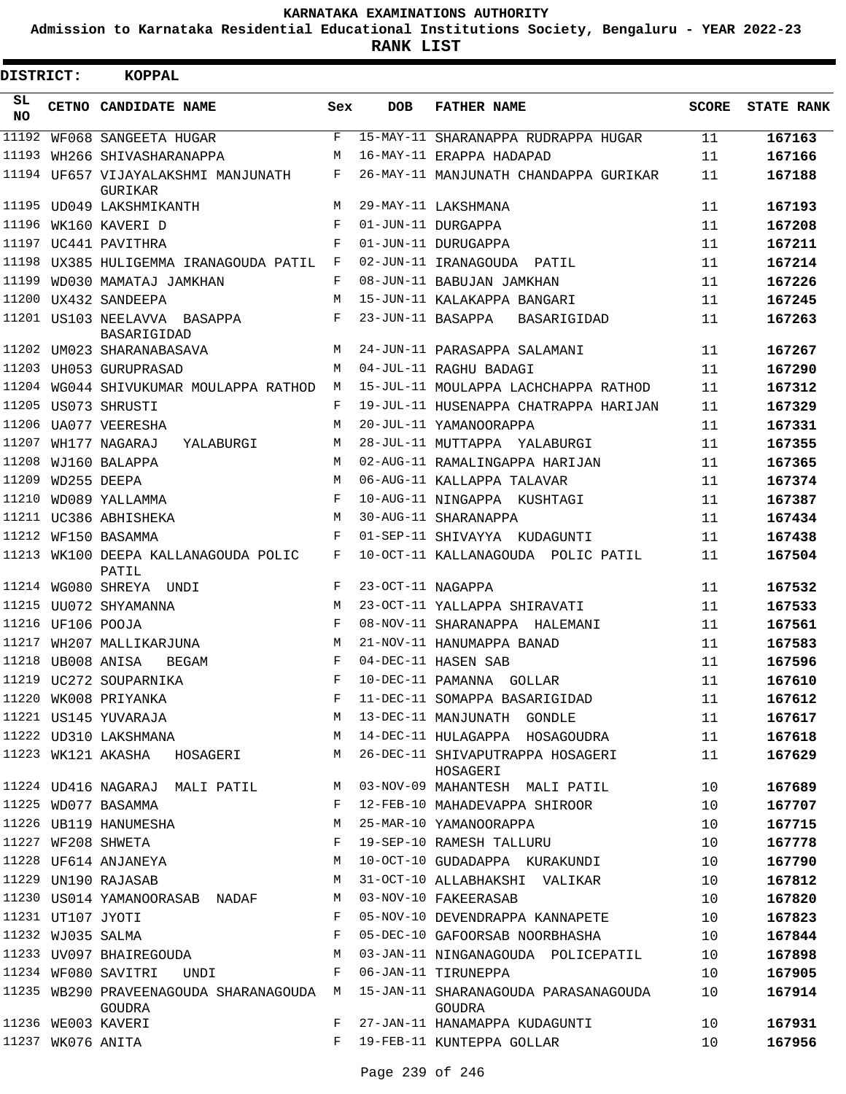**Admission to Karnataka Residential Educational Institutions Society, Bengaluru - YEAR 2022-23**

**RANK LIST**

| DISTRICT:  |                   | KOPPAL                                             |              |                   |                                                |              |                   |
|------------|-------------------|----------------------------------------------------|--------------|-------------------|------------------------------------------------|--------------|-------------------|
| SL.<br>NO. |                   | CETNO CANDIDATE NAME                               | Sex          | <b>DOB</b>        | <b>FATHER NAME</b>                             | <b>SCORE</b> | <b>STATE RANK</b> |
| 11192      |                   | WF068 SANGEETA HUGAR                               | F            |                   | 15-MAY-11 SHARANAPPA RUDRAPPA HUGAR            | 11           | 167163            |
|            |                   | 11193 WH266 SHIVASHARANAPPA                        | М            |                   | 16-MAY-11 ERAPPA HADAPAD                       | 11           | 167166            |
|            |                   | 11194 UF657 VIJAYALAKSHMI MANJUNATH<br>GURIKAR     | F            |                   | 26-MAY-11 MANJUNATH CHANDAPPA GURIKAR          | 11           | 167188            |
|            |                   | 11195 UD049 LAKSHMIKANTH                           | M            |                   | 29-MAY-11 LAKSHMANA                            | 11           | 167193            |
|            |                   | 11196 WK160 KAVERI D                               | F            |                   | 01-JUN-11 DURGAPPA                             | 11           | 167208            |
|            |                   | 11197 UC441 PAVITHRA                               | F            |                   | 01-JUN-11 DURUGAPPA                            | 11           | 167211            |
|            |                   | 11198 UX385 HULIGEMMA IRANAGOUDA PATIL F           |              |                   | 02-JUN-11 IRANAGOUDA PATIL                     | 11           | 167214            |
| 11199      |                   | WD030 MAMATAJ JAMKHAN                              | F            |                   | 08-JUN-11 BABUJAN JAMKHAN                      | 11           | 167226            |
| 11200      |                   | UX432 SANDEEPA                                     | M            |                   | 15-JUN-11 KALAKAPPA BANGARI                    | 11           | 167245            |
|            |                   | 11201 US103 NEELAVVA BASAPPA<br><b>BASARIGIDAD</b> | $\mathbf{F}$ |                   | 23-JUN-11 BASAPPA BASARIGIDAD                  | 11           | 167263            |
|            |                   | 11202 UM023 SHARANABASAVA                          | M            |                   | 24-JUN-11 PARASAPPA SALAMANI                   | 11           | 167267            |
|            |                   | 11203 UH053 GURUPRASAD                             | M            |                   | 04-JUL-11 RAGHU BADAGI                         | 11           | 167290            |
|            |                   | 11204 WG044 SHIVUKUMAR MOULAPPA RATHOD             | M            |                   | 15-JUL-11 MOULAPPA LACHCHAPPA RATHOD           | 11           | 167312            |
|            |                   | 11205 US073 SHRUSTI                                | F            |                   | 19-JUL-11 HUSENAPPA CHATRAPPA HARIJAN          | 11           | 167329            |
|            |                   | 11206 UA077 VEERESHA                               | M            |                   | 20-JUL-11 YAMANOORAPPA                         | 11           | 167331            |
| 11207      |                   | WH177 NAGARAJ<br>YALABURGI                         | M            |                   | 28-JUL-11 MUTTAPPA YALABURGI                   | 11           | 167355            |
|            |                   | 11208 WJ160 BALAPPA                                | M            |                   | 02-AUG-11 RAMALINGAPPA HARIJAN                 | 11           | 167365            |
| 11209      |                   | WD255 DEEPA                                        | M            |                   | 06-AUG-11 KALLAPPA TALAVAR                     | 11           | 167374            |
| 11210      |                   | WD089 YALLAMMA                                     | $\mathbf{F}$ |                   | 10-AUG-11 NINGAPPA KUSHTAGI                    | 11           | 167387            |
|            |                   | 11211 UC386 ABHISHEKA                              | M            |                   | 30-AUG-11 SHARANAPPA                           | 11           | 167434            |
|            |                   | 11212 WF150 BASAMMA                                | F            |                   | 01-SEP-11 SHIVAYYA KUDAGUNTI                   | 11           | 167438            |
|            |                   | 11213 WK100 DEEPA KALLANAGOUDA POLIC<br>PATIL      | F            |                   | 10-OCT-11 KALLANAGOUDA POLIC PATIL             | 11           | 167504            |
|            |                   | 11214 WG080 SHREYA UNDI                            | F            | 23-OCT-11 NAGAPPA |                                                | 11           | 167532            |
|            |                   | 11215 UU072 SHYAMANNA                              | M            |                   | 23-OCT-11 YALLAPPA SHIRAVATI                   | 11           | 167533            |
|            | 11216 UF106 POOJA |                                                    | F            |                   | 08-NOV-11 SHARANAPPA HALEMANI                  | 11           | 167561            |
|            |                   | 11217 WH207 MALLIKARJUNA                           | M            |                   | 21-NOV-11 HANUMAPPA BANAD                      | 11           | 167583            |
|            |                   | 11218 UB008 ANISA<br><b>BEGAM</b>                  | F            |                   | 04-DEC-11 HASEN SAB                            | 11           | 167596            |
|            |                   | 11219 UC272 SOUPARNIKA                             | F            |                   | 10-DEC-11 PAMANNA GOLLAR                       | 11           | 167610            |
|            |                   | 11220 WK008 PRIYANKA                               | F            |                   | 11-DEC-11 SOMAPPA BASARIGIDAD                  | 11           | 167612            |
|            |                   | 11221 US145 YUVARAJA                               | М            |                   | 13-DEC-11 MANJUNATH GONDLE                     | 11           | 167617            |
|            |                   | 11222 UD310 LAKSHMANA                              | М            |                   | 14-DEC-11 HULAGAPPA HOSAGOUDRA                 | 11           | 167618            |
|            |                   | 11223 WK121 AKASHA<br>HOSAGERI                     | М            |                   | 26-DEC-11 SHIVAPUTRAPPA HOSAGERI<br>HOSAGERI   | 11           | 167629            |
|            |                   | 11224 UD416 NAGARAJ MALI PATIL                     | M            |                   | 03-NOV-09 MAHANTESH MALI PATIL                 | 10           | 167689            |
|            |                   | 11225 WD077 BASAMMA                                | F            |                   | 12-FEB-10 MAHADEVAPPA SHIROOR                  | 10           | 167707            |
|            |                   | 11226 UB119 HANUMESHA                              | М            |                   | 25-MAR-10 YAMANOORAPPA                         | 10           | 167715            |
|            |                   | 11227 WF208 SHWETA                                 | F            |                   | 19-SEP-10 RAMESH TALLURU                       | 10           | 167778            |
|            |                   | 11228 UF614 ANJANEYA                               | М            |                   | 10-OCT-10 GUDADAPPA KURAKUNDI                  | 10           | 167790            |
|            |                   | 11229 UN190 RAJASAB                                | М            |                   | 31-OCT-10 ALLABHAKSHI VALIKAR                  | 10           | 167812            |
|            |                   | 11230 US014 YAMANOORASAB NADAF                     | M            |                   | 03-NOV-10 FAKEERASAB                           | 10           | 167820            |
|            |                   | 11231 UT107 JYOTI                                  | F            |                   | 05-NOV-10 DEVENDRAPPA KANNAPETE                | 10           | 167823            |
|            |                   | 11232 WJ035 SALMA                                  | F            |                   | 05-DEC-10 GAFOORSAB NOORBHASHA                 | 10           | 167844            |
|            |                   | 11233 UV097 BHAIREGOUDA                            | М            |                   | 03-JAN-11 NINGANAGOUDA POLICEPATIL             | 10           | 167898            |
|            |                   | 11234 WF080 SAVITRI<br>UNDI                        | F            |                   | 06-JAN-11 TIRUNEPPA                            | 10           | 167905            |
|            |                   | 11235 WB290 PRAVEENAGOUDA SHARANAGOUDA M<br>GOUDRA |              |                   | 15-JAN-11 SHARANAGOUDA PARASANAGOUDA<br>GOUDRA | 10           | 167914            |
|            |                   | 11236 WE003 KAVERI                                 | F            |                   | 27-JAN-11 HANAMAPPA KUDAGUNTI                  | 10           | 167931            |
|            |                   | 11237 WK076 ANITA                                  | F            |                   | 19-FEB-11 KUNTEPPA GOLLAR                      | 10           | 167956            |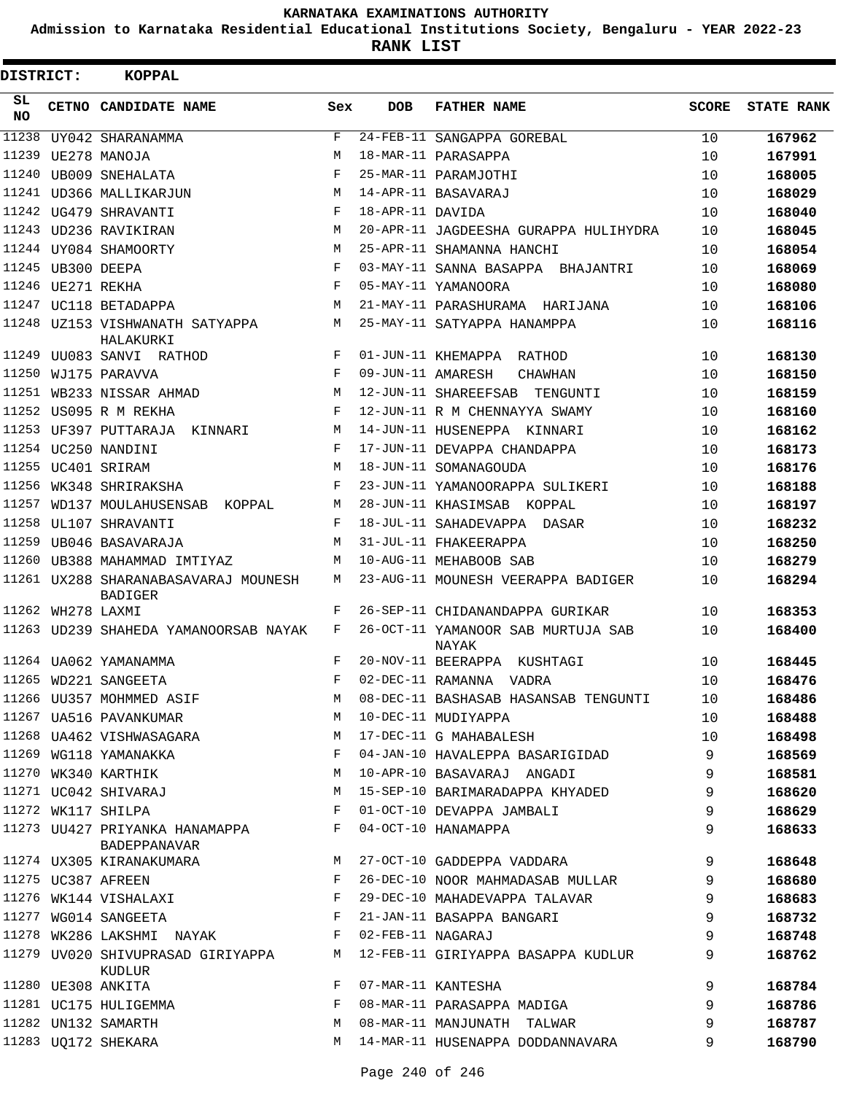**Admission to Karnataka Residential Educational Institutions Society, Bengaluru - YEAR 2022-23**

| DISTRICT:  |                   | <b>KOPPAL</b>                                          |     |                   |                                             |       |                   |
|------------|-------------------|--------------------------------------------------------|-----|-------------------|---------------------------------------------|-------|-------------------|
| SL.<br>NO. |                   | CETNO CANDIDATE NAME                                   | Sex | <b>DOB</b>        | <b>FATHER NAME</b>                          | SCORE | <b>STATE RANK</b> |
| 11238      |                   | UY042 SHARANAMMA                                       | F   |                   | 24-FEB-11 SANGAPPA GOREBAL                  | 10    | 167962            |
| 11239      |                   | UE278 MANOJA                                           | M   |                   | 18-MAR-11 PARASAPPA                         | 10    | 167991            |
|            |                   | 11240 UB009 SNEHALATA                                  | F   |                   | 25-MAR-11 PARAMJOTHI                        | 10    | 168005            |
|            |                   | 11241 UD366 MALLIKARJUN                                | М   |                   | 14-APR-11 BASAVARAJ                         | 10    | 168029            |
|            |                   | 11242 UG479 SHRAVANTI                                  | F   | 18-APR-11 DAVIDA  |                                             | 10    | 168040            |
|            |                   | 11243 UD236 RAVIKIRAN                                  | М   |                   | 20-APR-11 JAGDEESHA GURAPPA HULIHYDRA       | 10    | 168045            |
|            |                   | 11244 UY084 SHAMOORTY                                  | M   |                   | 25-APR-11 SHAMANNA HANCHI                   | 10    | 168054            |
|            | 11245 UB300 DEEPA |                                                        | F   |                   | 03-MAY-11 SANNA BASAPPA BHAJANTRI           | 10    | 168069            |
|            | 11246 UE271 REKHA |                                                        | F   |                   | 05-MAY-11 YAMANOORA                         | 10    | 168080            |
|            |                   | 11247 UC118 BETADAPPA                                  | M   |                   | 21-MAY-11 PARASHURAMA HARIJANA              | 10    | 168106            |
|            |                   | 11248 UZ153 VISHWANATH SATYAPPA<br>HALAKURKI           | М   |                   | 25-MAY-11 SATYAPPA HANAMPPA                 | 10    | 168116            |
|            |                   | 11249 UU083 SANVI RATHOD                               | F   |                   | 01-JUN-11 KHEMAPPA RATHOD                   | 10    | 168130            |
| 11250      |                   | WJ175 PARAVVA                                          | F   | 09-JUN-11 AMARESH | CHAWHAN                                     | 10    | 168150            |
| 11251      |                   | WB233 NISSAR AHMAD                                     | М   |                   | 12-JUN-11 SHAREEFSAB<br>TENGUNTI            | 10    | 168159            |
|            |                   | 11252 US095 R M REKHA                                  | F   |                   | 12-JUN-11 R M CHENNAYYA SWAMY               | 10    | 168160            |
|            |                   | 11253 UF397 PUTTARAJA KINNARI                          | М   |                   | 14-JUN-11 HUSENEPPA KINNARI                 | 10    | 168162            |
|            |                   | 11254 UC250 NANDINI                                    | F   |                   | 17-JUN-11 DEVAPPA CHANDAPPA                 | 10    | 168173            |
|            |                   | 11255 UC401 SRIRAM                                     | М   |                   | 18-JUN-11 SOMANAGOUDA                       | 10    | 168176            |
| 11256      |                   | WK348 SHRIRAKSHA                                       | F   |                   | 23-JUN-11 YAMANOORAPPA SULIKERI             | 10    | 168188            |
| 11257      |                   | WD137 MOULAHUSENSAB KOPPAL                             | М   |                   | 28-JUN-11 KHASIMSAB KOPPAL                  | 10    | 168197            |
| 11258      |                   | UL107 SHRAVANTI                                        | F   |                   | 18-JUL-11 SAHADEVAPPA DASAR                 | 10    | 168232            |
| 11259      |                   | UB046 BASAVARAJA                                       | М   |                   | 31-JUL-11 FHAKEERAPPA                       | 10    | 168250            |
|            |                   | 11260 UB388 MAHAMMAD IMTIYAZ                           | М   |                   | 10-AUG-11 MEHABOOB SAB                      | 10    | 168279            |
|            |                   | 11261 UX288 SHARANABASAVARAJ MOUNESH<br><b>BADIGER</b> | М   |                   | 23-AUG-11 MOUNESH VEERAPPA BADIGER          | 10    | 168294            |
|            | 11262 WH278 LAXMI |                                                        | F   |                   | 26-SEP-11 CHIDANANDAPPA GURIKAR             | 10    | 168353            |
|            |                   | 11263 UD239 SHAHEDA YAMANOORSAB NAYAK                  | F   |                   | 26-OCT-11 YAMANOOR SAB MURTUJA SAB<br>NAYAK | 10    | 168400            |
|            |                   | 11264 UA062 YAMANAMMA                                  | F   |                   | 20-NOV-11 BEERAPPA KUSHTAGI                 | 10    | 168445            |
|            |                   | 11265 WD221 SANGEETA                                   | F   |                   | 02-DEC-11 RAMANNA VADRA                     | 10    | 168476            |
|            |                   | 11266 UU357 MOHMMED ASIF                               | М   |                   | 08-DEC-11 BASHASAB HASANSAB TENGUNTI        | 10    | 168486            |
|            |                   | 11267 UA516 PAVANKUMAR                                 | М   |                   | 10-DEC-11 MUDIYAPPA                         | 10    | 168488            |
|            |                   | 11268 UA462 VISHWASAGARA                               | М   |                   | 17-DEC-11 G MAHABALESH                      | 10    | 168498            |
|            |                   | 11269 WG118 YAMANAKKA                                  | F   |                   | 04-JAN-10 HAVALEPPA BASARIGIDAD             | 9     | 168569            |
|            |                   | 11270 WK340 KARTHIK                                    | М   |                   | 10-APR-10 BASAVARAJ ANGADI                  | 9     | 168581            |
|            |                   | 11271 UC042 SHIVARAJ                                   | М   |                   | 15-SEP-10 BARIMARADAPPA KHYADED             | 9     | 168620            |
|            |                   | 11272 WK117 SHILPA                                     | F   |                   | 01-OCT-10 DEVAPPA JAMBALI                   | 9     | 168629            |
|            |                   | 11273 UU427 PRIYANKA HANAMAPPA<br>BADEPPANAVAR         | F   |                   | 04-OCT-10 HANAMAPPA                         | 9     | 168633            |
|            |                   | 11274 UX305 KIRANAKUMARA                               | М   |                   | 27-OCT-10 GADDEPPA VADDARA                  | 9     | 168648            |
|            |                   | 11275 UC387 AFREEN                                     | F   |                   | 26-DEC-10 NOOR MAHMADASAB MULLAR            | 9     | 168680            |
|            |                   | 11276 WK144 VISHALAXI                                  | F   |                   | 29-DEC-10 MAHADEVAPPA TALAVAR               | 9     | 168683            |
|            |                   | 11277 WG014 SANGEETA                                   | F   |                   | 21-JAN-11 BASAPPA BANGARI                   | 9     | 168732            |
|            |                   | 11278 WK286 LAKSHMI NAYAK                              | F   | 02-FEB-11 NAGARAJ |                                             | 9     | 168748            |
|            |                   | 11279 UV020 SHIVUPRASAD GIRIYAPPA<br>KUDLUR            | М   |                   | 12-FEB-11 GIRIYAPPA BASAPPA KUDLUR          | 9     | 168762            |
|            |                   | 11280 UE308 ANKITA                                     | F   |                   | 07-MAR-11 KANTESHA                          | 9     | 168784            |
|            |                   | 11281 UC175 HULIGEMMA                                  | F   |                   | 08-MAR-11 PARASAPPA MADIGA                  | 9     | 168786            |
|            |                   | 11282 UN132 SAMARTH                                    | М   |                   | 08-MAR-11 MANJUNATH TALWAR                  | 9     | 168787            |
|            |                   | 11283 UQ172 SHEKARA                                    | М   |                   | 14-MAR-11 HUSENAPPA DODDANNAVARA            | 9     | 168790            |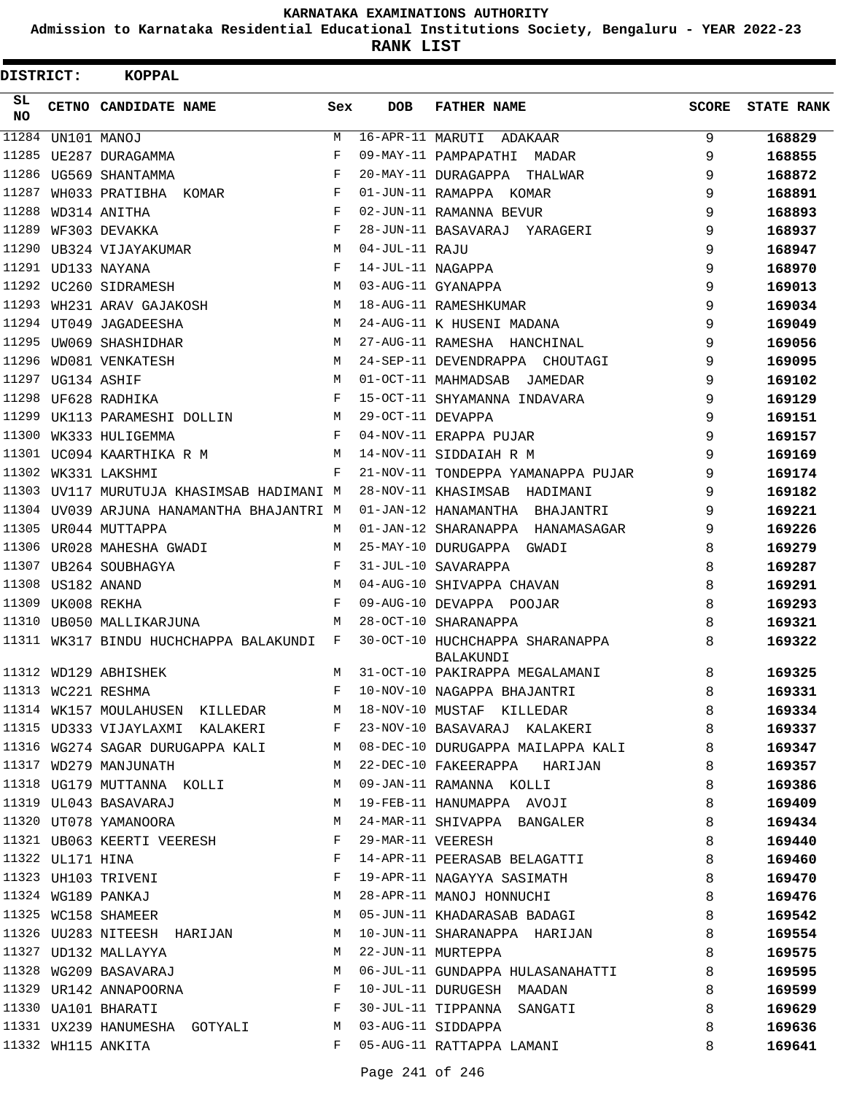**Admission to Karnataka Residential Educational Institutions Society, Bengaluru - YEAR 2022-23**

| DISTRICT:       |                   | <b>KOPPAL</b>                             |            |                   |                                              |              |            |
|-----------------|-------------------|-------------------------------------------|------------|-------------------|----------------------------------------------|--------------|------------|
| SL<br><b>NO</b> |                   | CETNO CANDIDATE NAME                      | Sex        | <b>DOB</b>        | <b>FATHER NAME</b>                           | <b>SCORE</b> | STATE RANK |
| 11284           |                   | UN101 MANOJ                               | M          |                   | 16-APR-11 MARUTI ADAKAAR                     | 9            | 168829     |
| 11285           |                   | UE287 DURAGAMMA                           | $_{\rm F}$ |                   | 09-MAY-11 PAMPAPATHI<br>MADAR                | 9            | 168855     |
|                 |                   | 11286 UG569 SHANTAMMA                     | F          |                   | 20-MAY-11 DURAGAPPA<br>THALWAR               | 9            | 168872     |
| 11287           |                   | WH033 PRATIBHA KOMAR                      | F          |                   | 01-JUN-11 RAMAPPA KOMAR                      | 9            | 168891     |
| 11288           |                   | WD314 ANITHA                              | F          |                   | 02-JUN-11 RAMANNA BEVUR                      | 9            | 168893     |
| 11289           |                   | WF303 DEVAKKA                             | F          |                   | 28-JUN-11 BASAVARAJ YARAGERI                 | 9            | 168937     |
|                 |                   | 11290 UB324 VIJAYAKUMAR                   | М          | 04-JUL-11 RAJU    |                                              | 9            | 168947     |
|                 |                   | 11291 UD133 NAYANA                        | F          | 14-JUL-11 NAGAPPA |                                              | 9            | 168970     |
|                 |                   | 11292 UC260 SIDRAMESH                     | M          |                   | 03-AUG-11 GYANAPPA                           | 9            | 169013     |
| 11293           |                   | WH231 ARAV GAJAKOSH                       | М          |                   | 18-AUG-11 RAMESHKUMAR                        | 9            | 169034     |
|                 |                   | 11294 UT049 JAGADEESHA                    | М          |                   | 24-AUG-11 K HUSENI MADANA                    | 9            | 169049     |
|                 |                   | 11295 UW069 SHASHIDHAR                    | M          |                   | 27-AUG-11 RAMESHA HANCHINAL                  | 9            | 169056     |
| 11296           |                   | WD081 VENKATESH                           | М          |                   | 24-SEP-11 DEVENDRAPPA CHOUTAGI               | 9            | 169095     |
| 11297           |                   | UG134 ASHIF                               | M          |                   | 01-OCT-11 MAHMADSAB JAMEDAR                  | 9            | 169102     |
|                 |                   | 11298 UF628 RADHIKA                       | F          |                   | 15-OCT-11 SHYAMANNA INDAVARA                 | 9            | 169129     |
| 11299           |                   | UK113 PARAMESHI DOLLIN                    | М          | 29-OCT-11 DEVAPPA |                                              | 9            | 169151     |
| 11300           |                   | WK333 HULIGEMMA                           | F          |                   | 04-NOV-11 ERAPPA PUJAR                       | 9            | 169157     |
|                 |                   | 11301 UC094 KAARTHIKA R M                 | М          |                   | 14-NOV-11 SIDDAIAH R M                       | 9            | 169169     |
|                 |                   | 11302 WK331 LAKSHMI                       | F          |                   | 21-NOV-11 TONDEPPA YAMANAPPA PUJAR           | 9            | 169174     |
|                 |                   | 11303 UV117 MURUTUJA KHASIMSAB HADIMANI M |            |                   | 28-NOV-11 KHASIMSAB HADIMANI                 | 9            | 169182     |
|                 |                   | 11304 UV039 ARJUNA HANAMANTHA BHAJANTRI M |            |                   | 01-JAN-12 HANAMANTHA BHAJANTRI               | 9            | 169221     |
|                 |                   | 11305 UR044 MUTTAPPA                      | M          |                   | 01-JAN-12 SHARANAPPA HANAMASAGAR             | 9            | 169226     |
|                 |                   | 11306 UR028 MAHESHA GWADI                 | M          |                   | 25-MAY-10 DURUGAPPA GWADI                    | 8            | 169279     |
|                 |                   | 11307 UB264 SOUBHAGYA                     | F          |                   | 31-JUL-10 SAVARAPPA                          | 8            | 169287     |
|                 |                   |                                           | M          |                   | 04-AUG-10 SHIVAPPA CHAVAN                    | 8            | 169291     |
|                 | 11309 UK008 REKHA |                                           | F          |                   | 09-AUG-10 DEVAPPA POOJAR                     | 8            | 169293     |
|                 |                   | 11310 UB050 MALLIKARJUNA                  | M          |                   | 28-OCT-10 SHARANAPPA                         | 8            | 169321     |
|                 |                   | 11311 WK317 BINDU HUCHCHAPPA BALAKUNDI F  |            |                   | 30-OCT-10 HUCHCHAPPA SHARANAPPA<br>BALAKUNDI | 8            | 169322     |
|                 |                   | 11312 WD129 ABHISHEK                      | M          |                   | 31-OCT-10 PAKIRAPPA MEGALAMANI               | 8            | 169325     |
|                 |                   | 11313 WC221 RESHMA                        |            |                   | F 10-NOV-10 NAGAPPA BHAJANTRI                | $\,8\,$      | 169331     |
|                 |                   | 11314 WK157 MOULAHUSEN KILLEDAR           | M          |                   | 18-NOV-10 MUSTAF KILLEDAR                    | 8            | 169334     |
|                 |                   | 11315 UD333 VIJAYLAXMI KALAKERI           | F          |                   | 23-NOV-10 BASAVARAJ KALAKERI                 | 8            | 169337     |
|                 |                   | 11316 WG274 SAGAR DURUGAPPA KALI          | M          |                   | 08-DEC-10 DURUGAPPA MAILAPPA KALI            | 8            | 169347     |
|                 |                   | 11317 WD279 MANJUNATH                     | M          |                   | 22-DEC-10 FAKEERAPPA HARIJAN                 | 8            | 169357     |
|                 |                   | 11318 UG179 MUTTANNA KOLLI                | M          |                   | 09-JAN-11 RAMANNA KOLLI                      | 8            | 169386     |
|                 |                   | 11319 UL043 BASAVARAJ                     | M          |                   | 19-FEB-11 HANUMAPPA AVOJI                    | 8            | 169409     |
|                 |                   | 11320 UT078 YAMANOORA                     | M          |                   | 24-MAR-11 SHIVAPPA BANGALER                  | 8            | 169434     |
|                 |                   | 11321 UB063 KEERTI VEERESH                | F          |                   | 29-MAR-11 VEERESH                            | 8            | 169440     |
|                 | 11322 UL171 HINA  |                                           | $_{\rm F}$ |                   | 14-APR-11 PEERASAB BELAGATTI                 | 8            | 169460     |
|                 |                   | 11323 UH103 TRIVENI                       | F          |                   | 19-APR-11 NAGAYYA SASIMATH                   | 8            | 169470     |
|                 |                   | 11324 WG189 PANKAJ                        | М          |                   | 28-APR-11 MANOJ HONNUCHI                     | 8            | 169476     |
|                 |                   | 11325 WC158 SHAMEER                       | М          |                   | 05-JUN-11 KHADARASAB BADAGI                  | 8            | 169542     |
|                 |                   | 11326 UU283 NITEESH HARIJAN               | М          |                   | 10-JUN-11 SHARANAPPA HARIJAN                 | 8            | 169554     |
|                 |                   | 11327 UD132 MALLAYYA                      | M          |                   | 22-JUN-11 MURTEPPA                           | 8            | 169575     |
|                 |                   | 11328 WG209 BASAVARAJ                     | M          |                   | 06-JUL-11 GUNDAPPA HULASANAHATTI             | 8            | 169595     |
|                 |                   | 11329 UR142 ANNAPOORNA                    |            |                   | 10-JUL-11 DURUGESH MAADAN                    | 8            | 169599     |
|                 |                   | 11330 UA101 BHARATI                       | F          |                   | 30-JUL-11 TIPPANNA SANGATI                   | 8            | 169629     |
|                 |                   | 11331 UX239 HANUMESHA GOTYALI             | M          |                   | 03-AUG-11 SIDDAPPA                           | 8            | 169636     |
|                 |                   | 11332 WH115 ANKITA                        | F          |                   | 05-AUG-11 RATTAPPA LAMANI                    | 8            | 169641     |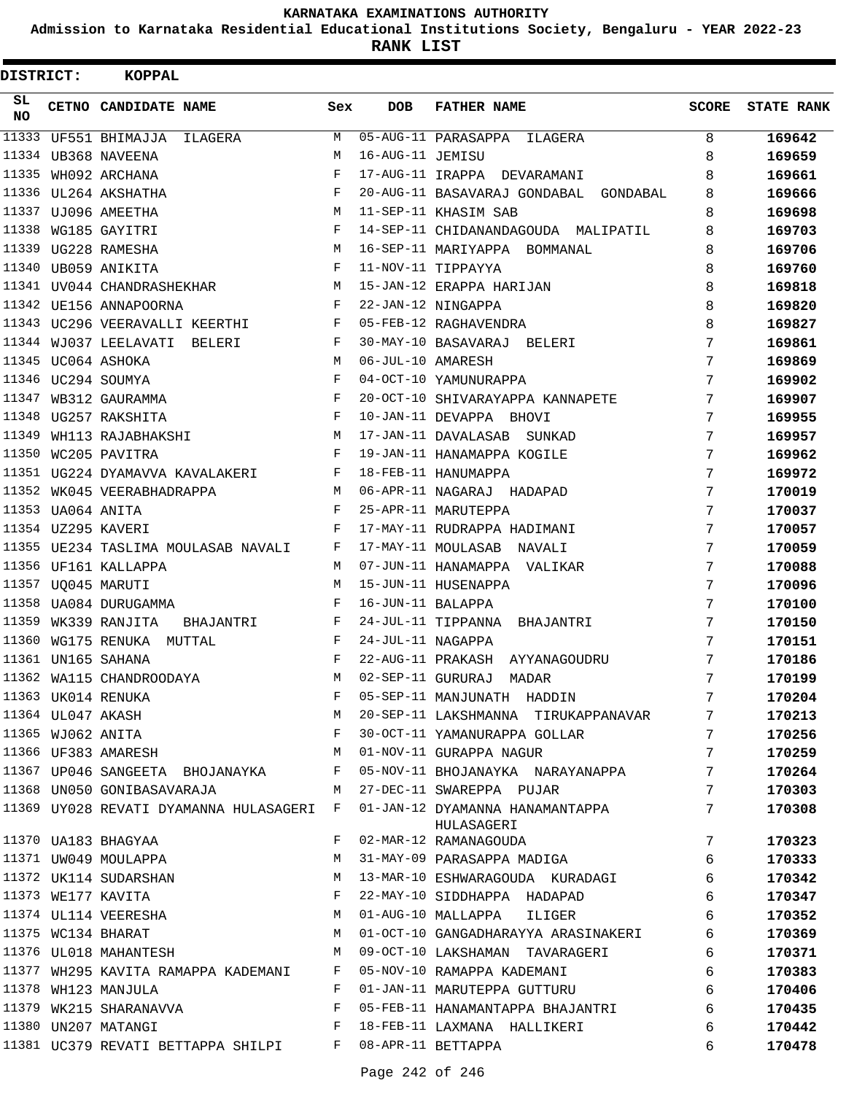**Admission to Karnataka Residential Educational Institutions Society, Bengaluru - YEAR 2022-23**

**RANK LIST**

| DISTRICT:       |                   | <b>KOPPAL</b>                                                                                                                                                                                                                                                 |              |                   |                                                       |                 |                   |
|-----------------|-------------------|---------------------------------------------------------------------------------------------------------------------------------------------------------------------------------------------------------------------------------------------------------------|--------------|-------------------|-------------------------------------------------------|-----------------|-------------------|
| SL<br><b>NO</b> |                   | CETNO CANDIDATE NAME                                                                                                                                                                                                                                          | Sex          | <b>DOB</b>        | <b>FATHER NAME</b>                                    | <b>SCORE</b>    | <b>STATE RANK</b> |
| 11333           |                   | UF551 BHIMAJJA ILAGERA                                                                                                                                                                                                                                        | M            |                   | 05-AUG-11 PARASAPPA ILAGERA                           | 8               | 169642            |
|                 |                   | 11334 UB368 NAVEENA                                                                                                                                                                                                                                           | M            | 16-AUG-11 JEMISU  |                                                       | 8               | 169659            |
|                 |                   | 11335 WH092 ARCHANA                                                                                                                                                                                                                                           | $_{\rm F}$   |                   | 17-AUG-11 IRAPPA DEVARAMANI                           | 8               | 169661            |
|                 |                   | 11336 UL264 AKSHATHA                                                                                                                                                                                                                                          | F            |                   | 20-AUG-11 BASAVARAJ GONDABAL<br>GONDABAL              | 8               | 169666            |
|                 |                   | 11337 UJ096 AMEETHA                                                                                                                                                                                                                                           | M            |                   | 11-SEP-11 KHASIM SAB                                  | 8               | 169698            |
|                 |                   | 11338 WG185 GAYITRI                                                                                                                                                                                                                                           | F            |                   | 14-SEP-11 CHIDANANDAGOUDA MALIPATIL                   | 8               | 169703            |
|                 |                   | 11339 UG228 RAMESHA                                                                                                                                                                                                                                           | M            |                   | 16-SEP-11 MARIYAPPA BOMMANAL                          | 8               | 169706            |
|                 |                   | 11340 UB059 ANIKITA                                                                                                                                                                                                                                           | F            |                   | 11-NOV-11 TIPPAYYA                                    | 8               | 169760            |
|                 |                   | 11341 UV044 CHANDRASHEKHAR                                                                                                                                                                                                                                    | M            |                   | 15-JAN-12 ERAPPA HARIJAN                              | 8               | 169818            |
|                 |                   | 11342 UE156 ANNAPOORNA                                                                                                                                                                                                                                        | F            |                   | 22-JAN-12 NINGAPPA                                    | 8               | 169820            |
|                 |                   | 11343 UC296 VEERAVALLI KEERTHI                                                                                                                                                                                                                                | $\mathbf{F}$ |                   | 05-FEB-12 RAGHAVENDRA                                 | 8               | 169827            |
|                 |                   | 11344 WJ037 LEELAVATI BELERI                                                                                                                                                                                                                                  | F            |                   | 30-MAY-10 BASAVARAJ BELERI                            | 7               | 169861            |
|                 |                   | 11345 UC064 ASHOKA                                                                                                                                                                                                                                            | М            | 06-JUL-10 AMARESH |                                                       | 7               | 169869            |
|                 |                   | 11346 UC294 SOUMYA                                                                                                                                                                                                                                            | F            |                   | 04-OCT-10 YAMUNURAPPA                                 | 7               | 169902            |
|                 |                   | 11347 WB312 GAURAMMA                                                                                                                                                                                                                                          | F            |                   | 20-OCT-10 SHIVARAYAPPA KANNAPETE                      | 7               | 169907            |
|                 |                   | 11348 UG257 RAKSHITA                                                                                                                                                                                                                                          | F            |                   | 10-JAN-11 DEVAPPA BHOVI                               | 7               | 169955            |
| 11349           |                   | WH113 RAJABHAKSHI                                                                                                                                                                                                                                             | M            |                   | 17-JAN-11 DAVALASAB SUNKAD                            | 7               | 169957            |
| 11350           |                   | WC205 PAVITRA                                                                                                                                                                                                                                                 | F            |                   | 19-JAN-11 HANAMAPPA KOGILE                            | 7               | 169962            |
|                 |                   | 11351 UG224 DYAMAVVA KAVALAKERI                                                                                                                                                                                                                               | F            |                   | 18-FEB-11 HANUMAPPA                                   | 7               | 169972            |
| 11352           |                   | WK045 VEERABHADRAPPA                                                                                                                                                                                                                                          | M            |                   | 06-APR-11 NAGARAJ HADAPAD                             | 7               | 170019            |
|                 | 11353 UA064 ANITA |                                                                                                                                                                                                                                                               | F            |                   | 25-APR-11 MARUTEPPA                                   | 7               | 170037            |
|                 |                   | 11354 UZ295 KAVERI                                                                                                                                                                                                                                            | F            |                   | 17-MAY-11 RUDRAPPA HADIMANI                           | 7               | 170057            |
|                 |                   | 11355 UE234 TASLIMA MOULASAB NAVALI                                                                                                                                                                                                                           | F            |                   | 17-MAY-11 MOULASAB NAVALI                             | 7               | 170059            |
|                 |                   | 11356 UF161 KALLAPPA                                                                                                                                                                                                                                          | M            |                   | 07-JUN-11 HANAMAPPA VALIKAR                           | 7               | 170088            |
|                 |                   | 11357 UQ045 MARUTI                                                                                                                                                                                                                                            | M            |                   | 15-JUN-11 HUSENAPPA                                   | 7               | 170096            |
|                 |                   | 11358 UA084 DURUGAMMA                                                                                                                                                                                                                                         | F            | 16-JUN-11 BALAPPA |                                                       | 7               | 170100            |
| 11359           |                   | WK339 RANJITA<br>BHAJANTRI                                                                                                                                                                                                                                    | F            |                   | 24-JUL-11 TIPPANNA BHAJANTRI                          | 7               | 170150            |
| 11360           |                   | WG175 RENUKA MUTTAL                                                                                                                                                                                                                                           | F            | 24-JUL-11 NAGAPPA |                                                       | 7               | 170151            |
|                 |                   | 11361 UN165 SAHANA                                                                                                                                                                                                                                            | F            |                   | 22-AUG-11 PRAKASH AYYANAGOUDRU                        | 7               | 170186            |
|                 |                   | 11362 WA115 CHANDROODAYA                                                                                                                                                                                                                                      | M            | 02-SEP-11 GURURAJ | MADAR                                                 | 7               | 170199            |
|                 |                   |                                                                                                                                                                                                                                                               |              |                   | 05-SEP-11 MANJUNATH HADDIN                            | $7\phantom{.0}$ | 170204            |
|                 |                   |                                                                                                                                                                                                                                                               |              |                   | 20-SEP-11 LAKSHMANNA TIRUKAPPANAVAR                   | 7               | 170213            |
|                 |                   |                                                                                                                                                                                                                                                               |              |                   | 30-OCT-11 YAMANURAPPA GOLLAR                          | 7               | 170256            |
|                 |                   | 11363 UK014 RENUKA F<br>11364 UL047 AKASH M<br>11365 WJ062 ANITA F<br>11366 UF383 AMARESH M                                                                                                                                                                   |              |                   | 01-NOV-11 GURAPPA NAGUR                               | 7               | 170259            |
|                 |                   | 11367 UP046 SANGEETA BHOJANAYKA F                                                                                                                                                                                                                             |              |                   | 05-NOV-11 BHOJANAYKA NARAYANAPPA                      | $7\phantom{.0}$ | 170264            |
|                 |                   |                                                                                                                                                                                                                                                               |              |                   | 11368 UN050 GONIBASAVARAJA M 27-DEC-11 SWAREPPA PUJAR | 7               | 170303            |
|                 |                   | 11369 UY028 REVATI DYAMANNA HULASAGERI F                                                                                                                                                                                                                      |              |                   | 01-JAN-12 DYAMANNA HANAMANTAPPA<br>HULASAGERI         | 7               | 170308            |
|                 |                   | 11370 UA183 BHAGYAA                                                                                                                                                                                                                                           | F            |                   | 02-MAR-12 RAMANAGOUDA                                 | 7               | 170323            |
|                 |                   | 11371 UW049 MOULAPPA                                                                                                                                                                                                                                          | M            |                   | 31-MAY-09 PARASAPPA MADIGA                            | 6               | 170333            |
|                 |                   |                                                                                                                                                                                                                                                               | М            |                   | 13-MAR-10 ESHWARAGOUDA KURADAGI                       | 6               | 170342            |
|                 |                   |                                                                                                                                                                                                                                                               | F            |                   | 22-MAY-10 SIDDHAPPA HADAPAD                           | 6               | 170347            |
|                 |                   | 11372 UK114 SUDARSHAN<br>11373 WE177 KAVITA<br>11374 UL114 VEERESHA                                                                                                                                                                                           | M            |                   | 01-AUG-10 MALLAPPA ILIGER                             | 6               | 170352            |
|                 |                   | M<br>11375 WC134 BHARAT                                                                                                                                                                                                                                       |              |                   | 01-OCT-10 GANGADHARAYYA ARASINAKERI                   | 6               | 170369            |
|                 |                   | 11376 UL018 MAHANTESH                                                                                                                                                                                                                                         |              |                   | M 09-OCT-10 LAKSHAMAN TAVARAGERI                      | 6               | 170371            |
|                 |                   | 11377 WH295 KAVITA RAMAPPA KADEMANI F 05-NOV-10 RAMAPPA KADEMANI                                                                                                                                                                                              |              |                   |                                                       | 6               | 170383            |
|                 |                   | 11378 WH123 MANJULA                                                                                                                                                                                                                                           | F            |                   | 01-JAN-11 MARUTEPPA GUTTURU                           | 6               | 170406            |
|                 |                   | 11379 WK215 SHARANAVVA<br><b>Example 2</b> For the second property of the second property of the second property of the second property of the second property of the second property of the second property of the second property of the second property of |              |                   | 05-FEB-11 HANAMANTAPPA BHAJANTRI                      | 6               | 170435            |
|                 |                   | 11380 UN207 MATANGI                                                                                                                                                                                                                                           | $\mathbf{F}$ |                   | 18-FEB-11 LAXMANA HALLIKERI                           | 6               | 170442            |
|                 |                   | 11381 UC379 REVATI BETTAPPA SHILPI F 08-APR-11 BETTAPPA                                                                                                                                                                                                       |              |                   |                                                       | 6               | 170478            |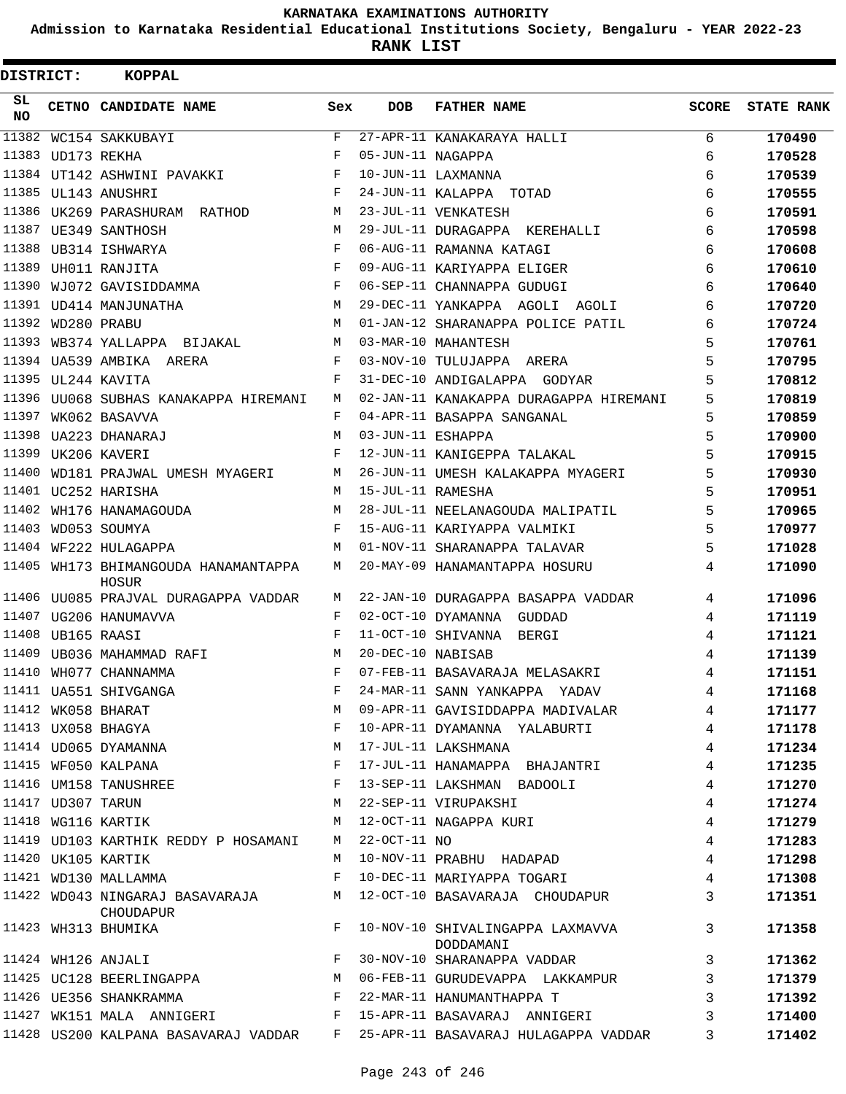**Admission to Karnataka Residential Educational Institutions Society, Bengaluru - YEAR 2022-23**

| DISTRICT:       |                   | <b>KOPPAL</b>                                                                             |            |                   |                                                                             |                |                   |
|-----------------|-------------------|-------------------------------------------------------------------------------------------|------------|-------------------|-----------------------------------------------------------------------------|----------------|-------------------|
| SL<br><b>NO</b> |                   | CETNO CANDIDATE NAME                                                                      | Sex        | <b>DOB</b>        | <b>FATHER NAME</b>                                                          | SCORE          | <b>STATE RANK</b> |
| 11382           |                   | WC154 SAKKUBAYI                                                                           | F          |                   | 27-APR-11 KANAKARAYA HALLI                                                  | 6              | 170490            |
|                 | 11383 UD173 REKHA |                                                                                           | $_{\rm F}$ | 05-JUN-11 NAGAPPA |                                                                             | 6              | 170528            |
|                 |                   | 11384 UT142 ASHWINI PAVAKKI                                                               | F          |                   | 10-JUN-11 LAXMANNA                                                          | 6              | 170539            |
|                 |                   | 11385 UL143 ANUSHRI                                                                       | F          |                   | 24-JUN-11 KALAPPA TOTAD                                                     | 6              | 170555            |
|                 |                   | 11386 UK269 PARASHURAM RATHOD                                                             | М          |                   | 23-JUL-11 VENKATESH                                                         | 6              | 170591            |
|                 |                   | 11387 UE349 SANTHOSH                                                                      | M          |                   | 29-JUL-11 DURAGAPPA KEREHALLI                                               | 6              | 170598            |
|                 |                   | 11388 UB314 ISHWARYA                                                                      | F          |                   | 06-AUG-11 RAMANNA KATAGI                                                    | 6              | 170608            |
| 11389           |                   | UH011 RANJITA                                                                             | F          |                   | 09-AUG-11 KARIYAPPA ELIGER                                                  | 6              | 170610            |
| 11390           |                   | WJ072 GAVISIDDAMMA                                                                        | F          |                   | 06-SEP-11 CHANNAPPA GUDUGI                                                  | 6              | 170640            |
|                 |                   | 11391 UD414 MANJUNATHA                                                                    | M          |                   | 29-DEC-11 YANKAPPA AGOLI AGOLI                                              | 6              | 170720            |
|                 | 11392 WD280 PRABU |                                                                                           | M          |                   | 01-JAN-12 SHARANAPPA POLICE PATIL                                           | 6              | 170724            |
| 11393           |                   | WB374 YALLAPPA BIJAKAL                                                                    | М          |                   | 03-MAR-10 MAHANTESH                                                         | 5              | 170761            |
|                 |                   | 11394 UA539 AMBIKA ARERA                                                                  | F          |                   | 03-NOV-10 TULUJAPPA ARERA                                                   | 5              | 170795            |
|                 |                   | 11395 UL244 KAVITA                                                                        | F          |                   | 31-DEC-10 ANDIGALAPPA GODYAR                                                | 5              | 170812            |
|                 |                   | 11396 UU068 SUBHAS KANAKAPPA HIREMANI                                                     | M          |                   | 02-JAN-11 KANAKAPPA DURAGAPPA HIREMANI                                      | 5              | 170819            |
| 11397           |                   | WK062 BASAVVA                                                                             | F          |                   | 04-APR-11 BASAPPA SANGANAL                                                  | 5              | 170859            |
| 11398           |                   | UA223 DHANARAJ                                                                            | M          | 03-JUN-11 ESHAPPA |                                                                             | 5              | 170900            |
|                 |                   | 11399 UK206 KAVERI                                                                        | F          |                   | 12-JUN-11 KANIGEPPA TALAKAL                                                 | 5              | 170915            |
| 11400           |                   | WD181 PRAJWAL UMESH MYAGERI                                                               | М          |                   | 26-JUN-11 UMESH KALAKAPPA MYAGERI                                           | 5              | 170930            |
|                 |                   | 11401 UC252 HARISHA                                                                       | М          | 15-JUL-11 RAMESHA |                                                                             | 5              | 170951            |
| 11402           |                   | WH176 HANAMAGOUDA                                                                         | M          |                   | 28-JUL-11 NEELANAGOUDA MALIPATIL                                            | 5              | 170965            |
|                 |                   | 11403 WD053 SOUMYA                                                                        | F          |                   | 15-AUG-11 KARIYAPPA VALMIKI                                                 | 5              | 170977            |
|                 |                   | 11404 WF222 HULAGAPPA                                                                     | M          |                   | 01-NOV-11 SHARANAPPA TALAVAR                                                | 5              | 171028            |
| 11405           |                   | WH173 BHIMANGOUDA HANAMANTAPPA<br>HOSUR                                                   | М          |                   | 20-MAY-09 HANAMANTAPPA HOSURU                                               | 4              | 171090            |
|                 |                   | 11406 UU085 PRAJVAL DURAGAPPA VADDAR                                                      | М          |                   | 22-JAN-10 DURAGAPPA BASAPPA VADDAR                                          | 4              | 171096            |
|                 |                   | 11407 UG206 HANUMAVVA                                                                     | F          |                   | 02-OCT-10 DYAMANNA GUDDAD                                                   | 4              | 171119            |
|                 | 11408 UB165 RAASI |                                                                                           | F          |                   | 11-OCT-10 SHIVANNA BERGI                                                    | 4              | 171121            |
|                 |                   | 11409 UB036 MAHAMMAD RAFI                                                                 | M          | 20-DEC-10 NABISAB |                                                                             | 4              | 171139            |
|                 |                   | 11410 WH077 CHANNAMMA                                                                     | F          |                   | 07-FEB-11 BASAVARAJA MELASAKRI                                              | 4              | 171151            |
|                 |                   |                                                                                           |            |                   | 24-MAR-11 SANN YANKAPPA YADAV                                               | 4              | 171168            |
|                 |                   |                                                                                           | M          |                   | 09-APR-11 GAVISIDDAPPA MADIVALAR                                            | $\overline{4}$ | 171177            |
|                 |                   |                                                                                           | F          |                   | 10-APR-11 DYAMANNA YALABURTI                                                | 4              | 171178            |
|                 |                   | 11411 UA551 SHIVGANGA<br>11412 WK058 BHARAT<br>11413 UX058 BHAGYA<br>11414 UD065 DYAMANNA | М          |                   | 17-JUL-11 LAKSHMANA                                                         | 4              | 171234            |
|                 |                   | 11415 WF050 KALPANA                                                                       | F          |                   | 17-JUL-11 HANAMAPPA BHAJANTRI                                               | 4              | 171235            |
|                 |                   | 11416 UM158 TANUSHREE                                                                     | F          |                   | 13-SEP-11 LAKSHMAN BADOOLI                                                  | 4              | 171270            |
|                 | 11417 UD307 TARUN |                                                                                           | M          |                   | 22-SEP-11 VIRUPAKSHI                                                        | 4              | 171274            |
|                 |                   | 11418 WG116 KARTIK                                                                        | M          |                   | 22-SEP-11 VIRUPAKSHI<br>12-OCT-11 NAGAPPA KURI                              | $\overline{4}$ | 171279            |
|                 |                   | 11419 UD103 KARTHIK REDDY P HOSAMANI                                                      | M          | $22-OCT-11$ NO    |                                                                             | 4              | 171283            |
|                 |                   | 11420 UK105 KARTIK                                                                        | M          |                   | 10-NOV-11 PRABHU HADAPAD                                                    | 4              | 171298            |
|                 |                   | 11421 WD130 MALLAMMA                                                                      | F          |                   | 10-DEC-11 MARIYAPPA TOGARI                                                  | 4              | 171308            |
|                 |                   | 11422 WD043 NINGARAJ BASAVARAJA M<br>CHOUDAPUR                                            |            |                   | 12-OCT-10 BASAVARAJA CHOUDAPUR                                              | $\mathbf{3}$   | 171351            |
|                 |                   | 11423 WH313 BHUMIKA                                                                       | F          |                   | 10-NOV-10 SHIVALINGAPPA LAXMAVVA<br>DODDAMANI                               | $\mathbf{3}$   | 171358            |
|                 |                   | $\mathbf{F}$<br>11424 WH126 ANJALI                                                        |            |                   | 30-NOV-10 SHARANAPPA VADDAR                                                 | $\mathbf{3}$   | 171362            |
|                 |                   | 11425 UC128 BEERLINGAPPA                                                                  | M          |                   | 06-FEB-11 GURUDEVAPPA LAKKAMPUR                                             | $\mathbf{3}$   | 171379            |
|                 |                   | 11426 UE356 SHANKRAMMA                                                                    | F          |                   | 22-MAR-11 HANUMANTHAPPA T                                                   | 3              | 171392            |
|                 |                   |                                                                                           |            |                   | 11427 WK151 MALA ANNIGERI TI S-APR-11 BASAVARAJ ANNIGERI                    | 3              | 171400            |
|                 |                   |                                                                                           |            |                   | 11428 US200 KALPANA BASAVARAJ VADDAR F 25-APR-11 BASAVARAJ HULAGAPPA VADDAR | 3              | 171402            |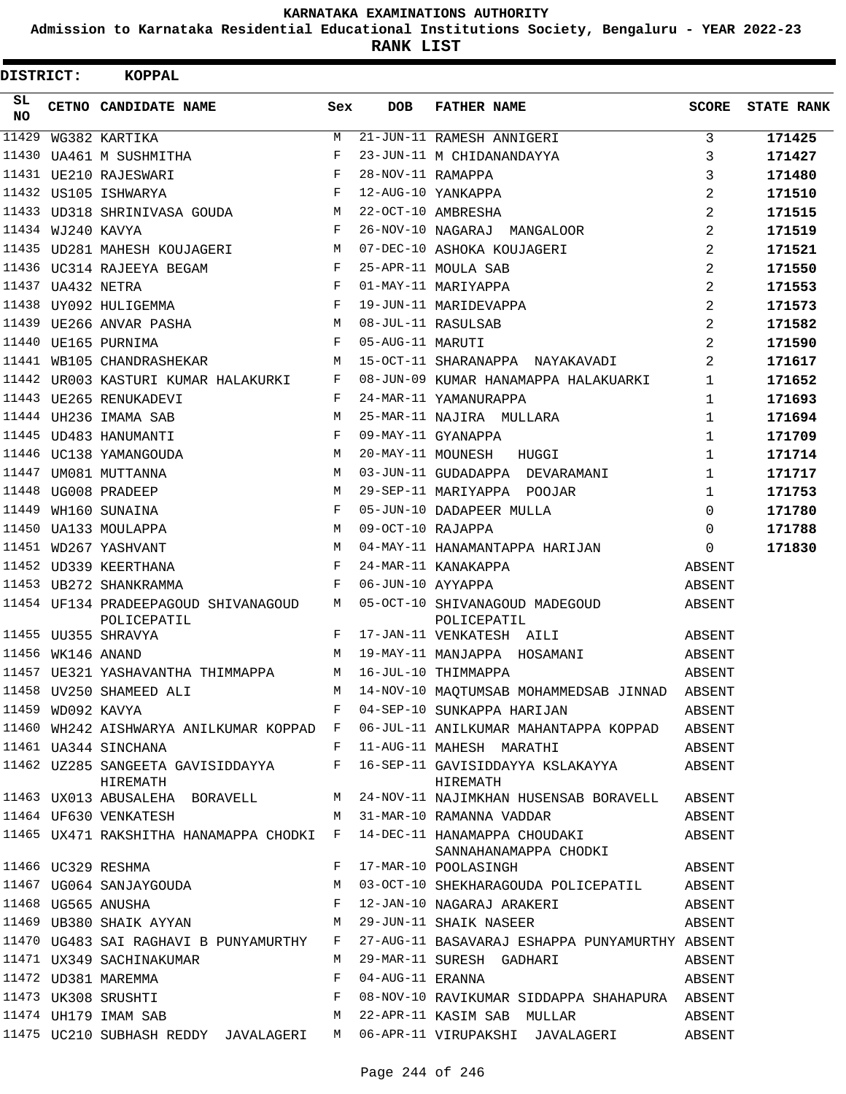**Admission to Karnataka Residential Educational Institutions Society, Bengaluru - YEAR 2022-23**

| DISTRICT:        |                   | <b>KOPPAL</b>                                                          |     |                   |                                                                                                                                                                                                                                                                                      |                |                   |
|------------------|-------------------|------------------------------------------------------------------------|-----|-------------------|--------------------------------------------------------------------------------------------------------------------------------------------------------------------------------------------------------------------------------------------------------------------------------------|----------------|-------------------|
| SL.<br><b>NO</b> |                   | CETNO CANDIDATE NAME                                                   | Sex | <b>DOB</b>        | <b>FATHER NAME</b>                                                                                                                                                                                                                                                                   | SCORE          | <b>STATE RANK</b> |
| 11429            |                   | WG382 KARTIKA                                                          | М   |                   | 21-JUN-11 RAMESH ANNIGERI                                                                                                                                                                                                                                                            | 3              | 171425            |
| 11430            |                   | UA461 M SUSHMITHA                                                      | F   |                   | 23-JUN-11 M CHIDANANDAYYA                                                                                                                                                                                                                                                            | 3              | 171427            |
|                  |                   | 11431 UE210 RAJESWARI                                                  | F   | 28-NOV-11 RAMAPPA |                                                                                                                                                                                                                                                                                      | 3              | 171480            |
|                  |                   | 11432 US105 ISHWARYA                                                   | F   |                   | 12-AUG-10 YANKAPPA                                                                                                                                                                                                                                                                   | 2              | 171510            |
|                  |                   | 11433 UD318 SHRINIVASA GOUDA                                           | М   |                   | 22-OCT-10 AMBRESHA                                                                                                                                                                                                                                                                   | $\overline{2}$ | 171515            |
|                  | 11434 WJ240 KAVYA |                                                                        | F   |                   | 26-NOV-10 NAGARAJ MANGALOOR                                                                                                                                                                                                                                                          | 2              | 171519            |
|                  |                   | 11435 UD281 MAHESH KOUJAGERI                                           | M   |                   | 07-DEC-10 ASHOKA KOUJAGERI                                                                                                                                                                                                                                                           | 2              | 171521            |
|                  |                   | 11436 UC314 RAJEEYA BEGAM                                              | F   |                   | 25-APR-11 MOULA SAB                                                                                                                                                                                                                                                                  | $\overline{2}$ | 171550            |
|                  | 11437 UA432 NETRA |                                                                        | F   |                   | 01-MAY-11 MARIYAPPA                                                                                                                                                                                                                                                                  | $\overline{2}$ | 171553            |
| 11438            |                   | UY092 HULIGEMMA                                                        | F   |                   | 19-JUN-11 MARIDEVAPPA                                                                                                                                                                                                                                                                | $\overline{2}$ | 171573            |
|                  |                   | 11439 UE266 ANVAR PASHA                                                | M   |                   | 08-JUL-11 RASULSAB                                                                                                                                                                                                                                                                   | $\overline{2}$ | 171582            |
|                  |                   | 11440 UE165 PURNIMA                                                    | F   | 05-AUG-11 MARUTI  |                                                                                                                                                                                                                                                                                      | 2              | 171590            |
|                  |                   | 11441 WB105 CHANDRASHEKAR                                              | М   |                   | 15-OCT-11 SHARANAPPA NAYAKAVADI                                                                                                                                                                                                                                                      | 2              | 171617            |
| 11442            |                   | UR003 KASTURI KUMAR HALAKURKI                                          | F   |                   | 08-JUN-09 KUMAR HANAMAPPA HALAKUARKI                                                                                                                                                                                                                                                 | 1              | 171652            |
|                  |                   | 11443 UE265 RENUKADEVI                                                 | F   |                   | 24-MAR-11 YAMANURAPPA                                                                                                                                                                                                                                                                | 1              | 171693            |
|                  |                   | 11444 UH236 IMAMA SAB                                                  | M   |                   | 25-MAR-11 NAJIRA MULLARA                                                                                                                                                                                                                                                             | 1              | 171694            |
|                  |                   | 11445 UD483 HANUMANTI                                                  | F   |                   | 09-MAY-11 GYANAPPA                                                                                                                                                                                                                                                                   | $\mathbf{1}$   | 171709            |
|                  |                   | 11446 UC138 YAMANGOUDA                                                 | М   |                   | 20-MAY-11 MOUNESH<br>HUGGI                                                                                                                                                                                                                                                           | $\mathbf{1}$   | 171714            |
|                  |                   | 11447 UM081 MUTTANNA                                                   | M   |                   | 03-JUN-11 GUDADAPPA DEVARAMANI                                                                                                                                                                                                                                                       | 1              | 171717            |
|                  |                   | 11448 UG008 PRADEEP                                                    | M   |                   | 29-SEP-11 MARIYAPPA POOJAR                                                                                                                                                                                                                                                           | $\mathbf{1}$   | 171753            |
| 11449            |                   | WH160 SUNAINA                                                          | F   |                   | 05-JUN-10 DADAPEER MULLA                                                                                                                                                                                                                                                             | $\Omega$       | 171780            |
| 11450            |                   | UA133 MOULAPPA                                                         | M   | 09-OCT-10 RAJAPPA |                                                                                                                                                                                                                                                                                      | $\Omega$       | 171788            |
|                  |                   | 11451 WD267 YASHVANT                                                   | M   |                   | 04-MAY-11 HANAMANTAPPA HARIJAN                                                                                                                                                                                                                                                       | $\Omega$       | 171830            |
|                  |                   | 11452 UD339 KEERTHANA                                                  | F   |                   | 24-MAR-11 KANAKAPPA                                                                                                                                                                                                                                                                  | ABSENT         |                   |
|                  |                   | 11453 UB272 SHANKRAMMA                                                 | F   | 06-JUN-10 AYYAPPA |                                                                                                                                                                                                                                                                                      | ABSENT         |                   |
|                  |                   | 11454 UF134 PRADEEPAGOUD SHIVANAGOUD<br>POLICEPATIL                    | M   |                   | 05-OCT-10 SHIVANAGOUD MADEGOUD<br>POLICEPATIL                                                                                                                                                                                                                                        | ABSENT         |                   |
|                  |                   | 11455 UU355 SHRAVYA                                                    | F   |                   | 17-JAN-11 VENKATESH AILI                                                                                                                                                                                                                                                             | ABSENT         |                   |
|                  | 11456 WK146 ANAND |                                                                        | М   |                   | 19-MAY-11 MANJAPPA HOSAMANI                                                                                                                                                                                                                                                          | ABSENT         |                   |
|                  |                   | 11457 UE321 YASHAVANTHA THIMMAPPA                                      | M   |                   | 16-JUL-10 THIMMAPPA                                                                                                                                                                                                                                                                  | ABSENT         |                   |
|                  |                   |                                                                        |     |                   | M 14-NOV-10 MAQTUMSAB MOHAMMEDSAB JINNAD                                                                                                                                                                                                                                             | ABSENT         |                   |
|                  |                   | 11458 UV250 SHAMEED ALI $M$ M 11459 WD092 KAVYA F<br>11459 WD092 KAVYA |     |                   | 04-SEP-10 SUNKAPPA HARIJAN                                                                                                                                                                                                                                                           | ABSENT         |                   |
|                  |                   |                                                                        |     |                   | 11460 WH242 AISHWARYA ANILKUMAR KOPPAD F 06-JUL-11 ANILKUMAR MAHANTAPPA KOPPAD ABSENT                                                                                                                                                                                                |                |                   |
|                  |                   | 11461 UA344 SINCHANA                                                   |     |                   | F 11-AUG-11 MAHESH MARATHI                                                                                                                                                                                                                                                           | ABSENT         |                   |
|                  |                   | HIREMATH                                                               |     |                   | 11462 UZ285 SANGEETA GAVISIDDAYYA F 16-SEP-11 GAVISIDDAYYA KSLAKAYYA ABSENT<br>HIREMATH                                                                                                                                                                                              |                |                   |
|                  |                   |                                                                        |     |                   | 11463 UX013 ABUSALEHA BORAVELL M 24-NOV-11 NAJIMKHAN HUSENSAB BORAVELL ABSENT                                                                                                                                                                                                        |                |                   |
|                  |                   | 11464 UF630 VENKATESH                                                  |     |                   | M 31-MAR-10 RAMANNA VADDAR                                                                                                                                                                                                                                                           | ABSENT         |                   |
|                  |                   |                                                                        |     |                   | 11465 UX471 RAKSHITHA HANAMAPPA CHODKI F 14-DEC-11 HANAMAPPA CHOUDAKI ABSENT<br>SANNAHANAMAPPA CHODKI                                                                                                                                                                                |                |                   |
|                  |                   | 11466 UC329 RESHMA                                                     | F   |                   | ABSENT<br>17-MAR-10 POOLASINGH                                                                                                                                                                                                                                                       |                |                   |
|                  |                   |                                                                        |     |                   |                                                                                                                                                                                                                                                                                      |                |                   |
|                  |                   |                                                                        |     |                   | $\begin{array}{cccccccc} 11467 & UG064 & SANJAYGOUDA & & & & M & 03-OCT-10 & SHEKHARAGOUDA POLICEPATH & & ABSENT \\ 11468 & UG565 ANUSHA & & & F & 12-JAN-10 NAGARAJ ARAKERI & & & ABSENT \\ 11469 UB380 SHAIK AYYAN & & & M & 29-JUN-11 SHAIK NASEER & & & & ABSENT \\ \end{array}$ |                |                   |
|                  |                   |                                                                        |     |                   |                                                                                                                                                                                                                                                                                      |                |                   |
|                  |                   | 11470 UG483 SAI RAGHAVI B PUNYAMURTHY F                                |     |                   | 27-AUG-11 BASAVARAJ ESHAPPA PUNYAMURTHY ABSENT                                                                                                                                                                                                                                       |                |                   |
|                  |                   | 11471 UX349 SACHINAKUMAR<br>11472 UDO01 MARTINGA                       | M   |                   | 29-MAR-11 SURESH GADHARI                                                                                                                                                                                                                                                             | ABSENT         |                   |
|                  |                   |                                                                        |     |                   |                                                                                                                                                                                                                                                                                      | ABSENT         |                   |
|                  |                   |                                                                        |     |                   | 08-NOV-10 RAVIKUMAR SIDDAPPA SHAHAPURA ABSENT                                                                                                                                                                                                                                        |                |                   |
|                  |                   |                                                                        |     |                   | 11472 UD381 MAREMMA F 04-AUG-11 ERANNA F 08-NOV-10 RAVIKUMAR SIDDAPPA SHAHAPURA<br>11473 UK308 SRUSHTI F 08-NOV-10 RAVIKUMAR SIDDAPPA SHAHAPURA<br>11474 UH179 IMAM SAB M 22-APR-11 KASIM SAB MULLAR                                                                                 | ABSENT         |                   |
|                  |                   |                                                                        |     |                   | 11475 UC210 SUBHASH REDDY JAVALAGERI M 06-APR-11 VIRUPAKSHI JAVALAGERI                                                                                                                                                                                                               | ABSENT         |                   |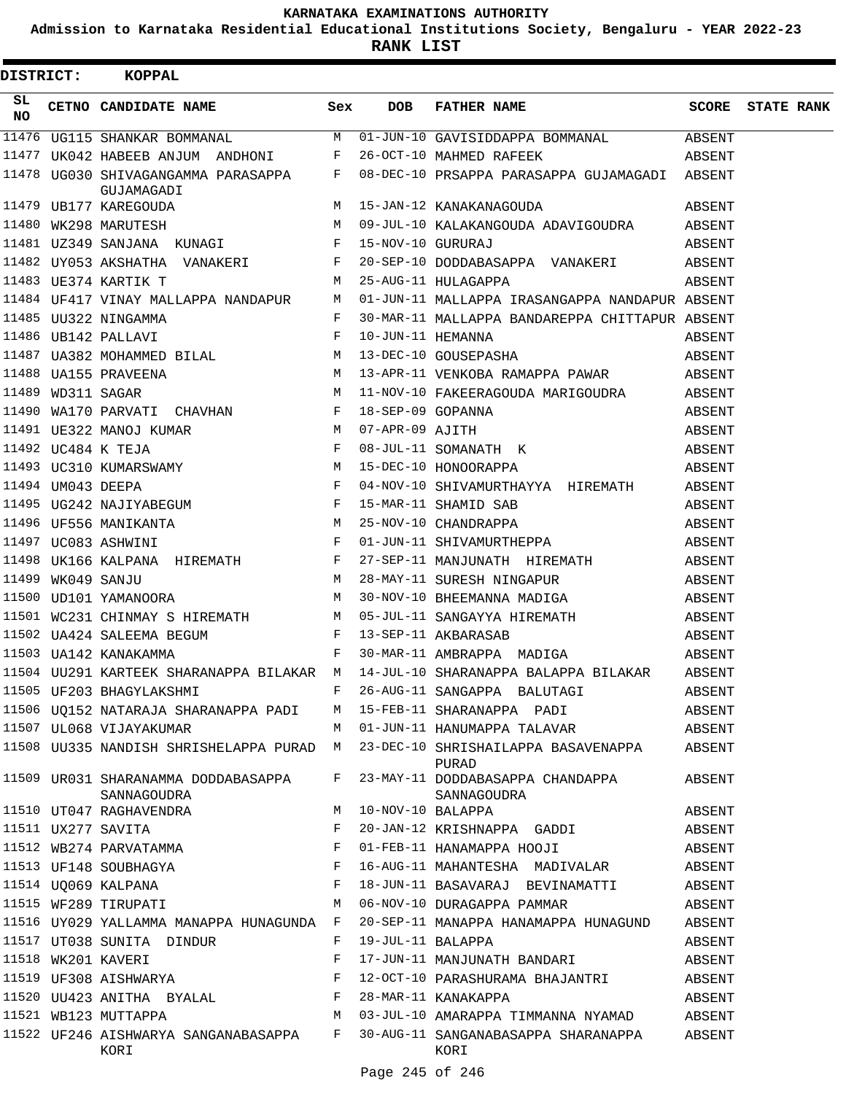**Admission to Karnataka Residential Educational Institutions Society, Bengaluru - YEAR 2022-23**

**RANK LIST**

|          | DISTRICT: KOPPAL                                           |     |                   |                                                                                                                                                                                                                                                                                                            |        |                         |
|----------|------------------------------------------------------------|-----|-------------------|------------------------------------------------------------------------------------------------------------------------------------------------------------------------------------------------------------------------------------------------------------------------------------------------------------|--------|-------------------------|
| SL<br>NO | CETNO CANDIDATE NAME                                       | Sex | <b>DOB</b>        | FATHER NAME                                                                                                                                                                                                                                                                                                |        | <b>SCORE</b> STATE RANK |
|          |                                                            |     |                   | 11476 UG115 SHANKAR BOMMANAL M 01-JUN-10 GAVISIDDAPPA BOMMANAL ABSENT                                                                                                                                                                                                                                      |        |                         |
|          | 11477 UK042 HABEEB ANJUM ANDHONI F 26-OCT-10 MAHMED RAFEEK |     |                   |                                                                                                                                                                                                                                                                                                            | ABSENT |                         |
|          | GUJAMAGADI                                                 |     |                   | 11478 UG030 SHIVAGANGAMMA PARASAPPA F 08-DEC-10 PRSAPPA PARASAPPA GUJAMAGADI ABSENT                                                                                                                                                                                                                        |        |                         |
|          |                                                            |     |                   |                                                                                                                                                                                                                                                                                                            |        |                         |
|          |                                                            |     |                   | UB177 KAREGOUDA<br>11479 UB177 KAREGOUDA M 15-JAN-12 KANAKANAGOUDA ADAVIGOUDRA ABSENT<br>11480 WK298 MARUTESH M 09-JUL-10 KALAKANGOUDA ADAVIGOUDRA ABSENT                                                                                                                                                  |        |                         |
|          | 11481 UZ349 SANJANA KUNAGI $F$ 15-NOV-10 GURURAJ           |     |                   |                                                                                                                                                                                                                                                                                                            | ABSENT |                         |
|          |                                                            |     |                   |                                                                                                                                                                                                                                                                                                            |        |                         |
|          |                                                            |     |                   |                                                                                                                                                                                                                                                                                                            |        |                         |
|          |                                                            |     |                   | 11484 UF417 VINAY MALLAPPA NANDAPUR M 01-JUN-11 MALLAPPA IRASANGAPPA NANDAPUR ABSENT                                                                                                                                                                                                                       |        |                         |
|          |                                                            |     |                   |                                                                                                                                                                                                                                                                                                            |        |                         |
|          |                                                            |     |                   |                                                                                                                                                                                                                                                                                                            |        |                         |
|          |                                                            |     |                   |                                                                                                                                                                                                                                                                                                            |        |                         |
|          |                                                            |     |                   |                                                                                                                                                                                                                                                                                                            |        |                         |
|          |                                                            |     |                   |                                                                                                                                                                                                                                                                                                            |        |                         |
|          |                                                            |     |                   |                                                                                                                                                                                                                                                                                                            |        |                         |
|          |                                                            |     |                   |                                                                                                                                                                                                                                                                                                            |        |                         |
|          |                                                            |     |                   |                                                                                                                                                                                                                                                                                                            |        |                         |
|          |                                                            |     |                   |                                                                                                                                                                                                                                                                                                            |        |                         |
|          |                                                            |     |                   |                                                                                                                                                                                                                                                                                                            |        |                         |
|          |                                                            |     |                   | $11490 W170 PARYATI CHAVHAN\n11490 W170 PARYATI CHAVHAN\n11491 UE322 MANOJ KUMAR\n11491 UE322 MANOJ KUMAR\n11492 UC484 K TEJA\n11493 UC310 KUMARSWANY\n11494 UMO43 DEEPA\n11494 UMO43 DEEPA\n11495 UC32NAJIYABEGUM\n11496 UF556 MANIKANTA\n11497 UC83 ASHNNI\n11498 UFG36 MANIKANTA\n11499 W15-DEC-10 HON$ |        |                         |
|          |                                                            |     |                   |                                                                                                                                                                                                                                                                                                            |        |                         |
|          |                                                            |     |                   |                                                                                                                                                                                                                                                                                                            |        |                         |
|          |                                                            |     |                   | 11498 UK166 KALPANA HIREMATH F 27-SEP-11 MANJUNATH HIREMATH ABSENT<br>11499 WK049 SANJU M 28-MAY-11 SURESH NINGAPUR ABSENT<br>11500 UD101 YAMANOORA M 30-NOV-10 BHEEMANNA MADIGA ABSENT<br>11500 UD101 YAMANOORA M 30-NOV-10 BHEEMANNA                                                                     |        |                         |
|          |                                                            |     |                   |                                                                                                                                                                                                                                                                                                            |        |                         |
|          |                                                            |     |                   |                                                                                                                                                                                                                                                                                                            |        |                         |
|          |                                                            |     |                   | 11501 WC231 CHINMAY S HIREMATH M 05-JUL-11 SANGAYYA HIREMATH                                                                                                                                                                                                                                               | ABSENT |                         |
|          |                                                            |     |                   |                                                                                                                                                                                                                                                                                                            | ABSENT |                         |
|          |                                                            |     |                   |                                                                                                                                                                                                                                                                                                            | ABSENT |                         |
|          |                                                            |     |                   | 11504 UU291 KARTEEK SHARANAPPA BILAKAR M 14-JUL-10 SHARANAPPA BALAPPA BILAKAR ABSENT                                                                                                                                                                                                                       |        |                         |
|          | 11505 UF203 BHAGYLAKSHMI                                   |     |                   | F 26-AUG-11 SANGAPPA BALUTAGI                                                                                                                                                                                                                                                                              | ABSENT |                         |
|          | 11506 UQ152 NATARAJA SHARANAPPA PADI                       |     |                   | M 15-FEB-11 SHARANAPPA PADI                                                                                                                                                                                                                                                                                | ABSENT |                         |
|          | 11507 UL068 VIJAYAKUMAR                                    |     |                   | M 01-JUN-11 HANUMAPPA TALAVAR                                                                                                                                                                                                                                                                              | ABSENT |                         |
|          |                                                            |     |                   | 11508 UU335 NANDISH SHRISHELAPPA PURAD M 23-DEC-10 SHRISHAILAPPA BASAVENAPPA<br>PURAD                                                                                                                                                                                                                      | ABSENT |                         |
|          | 11509 UR031 SHARANAMMA DODDABASAPPA<br>SANNAGOUDRA         | F   |                   | 23-MAY-11 DODDABASAPPA CHANDAPPA<br>SANNAGOUDRA                                                                                                                                                                                                                                                            | ABSENT |                         |
|          | 11510 UT047 RAGHAVENDRA                                    | М   | 10-NOV-10 BALAPPA |                                                                                                                                                                                                                                                                                                            | ABSENT |                         |
|          | 11511 UX277 SAVITA                                         | F   |                   | 20-JAN-12 KRISHNAPPA GADDI                                                                                                                                                                                                                                                                                 | ABSENT |                         |
|          | 11512 WB274 PARVATAMMA                                     | F   |                   | 01-FEB-11 HANAMAPPA HOOJI                                                                                                                                                                                                                                                                                  | ABSENT |                         |
|          | 11513 UF148 SOUBHAGYA                                      | F   |                   | 16-AUG-11 MAHANTESHA MADIVALAR                                                                                                                                                                                                                                                                             | ABSENT |                         |
|          | 11514 UQ069 KALPANA                                        | F   |                   | 18-JUN-11 BASAVARAJ BEVINAMATTI                                                                                                                                                                                                                                                                            | ABSENT |                         |
|          | 11515 WF289 TIRUPATI                                       | M   |                   | 06-NOV-10 DURAGAPPA PAMMAR                                                                                                                                                                                                                                                                                 | ABSENT |                         |
|          | 11516 UY029 YALLAMMA MANAPPA HUNAGUNDA F                   |     |                   | 20-SEP-11 MANAPPA HANAMAPPA HUNAGUND                                                                                                                                                                                                                                                                       | ABSENT |                         |
|          | 11517 UT038 SUNITA DINDUR                                  | F   | 19-JUL-11 BALAPPA |                                                                                                                                                                                                                                                                                                            | ABSENT |                         |
|          | 11518 WK201 KAVERI                                         | F   |                   | 17-JUN-11 MANJUNATH BANDARI                                                                                                                                                                                                                                                                                | ABSENT |                         |
|          | 11519 UF308 AISHWARYA                                      | F   |                   | 12-OCT-10 PARASHURAMA BHAJANTRI                                                                                                                                                                                                                                                                            | ABSENT |                         |
|          | 11520 UU423 ANITHA BYALAL                                  | F   |                   | 28-MAR-11 KANAKAPPA                                                                                                                                                                                                                                                                                        | ABSENT |                         |
|          | 11521 WB123 MUTTAPPA                                       | M   |                   | 03-JUL-10 AMARAPPA TIMMANNA NYAMAD                                                                                                                                                                                                                                                                         | ABSENT |                         |
|          | 11522 UF246 AISHWARYA SANGANABASAPPA F<br>KORI             |     |                   | 30-AUG-11 SANGANABASAPPA SHARANAPPA<br>KORI                                                                                                                                                                                                                                                                | ABSENT |                         |